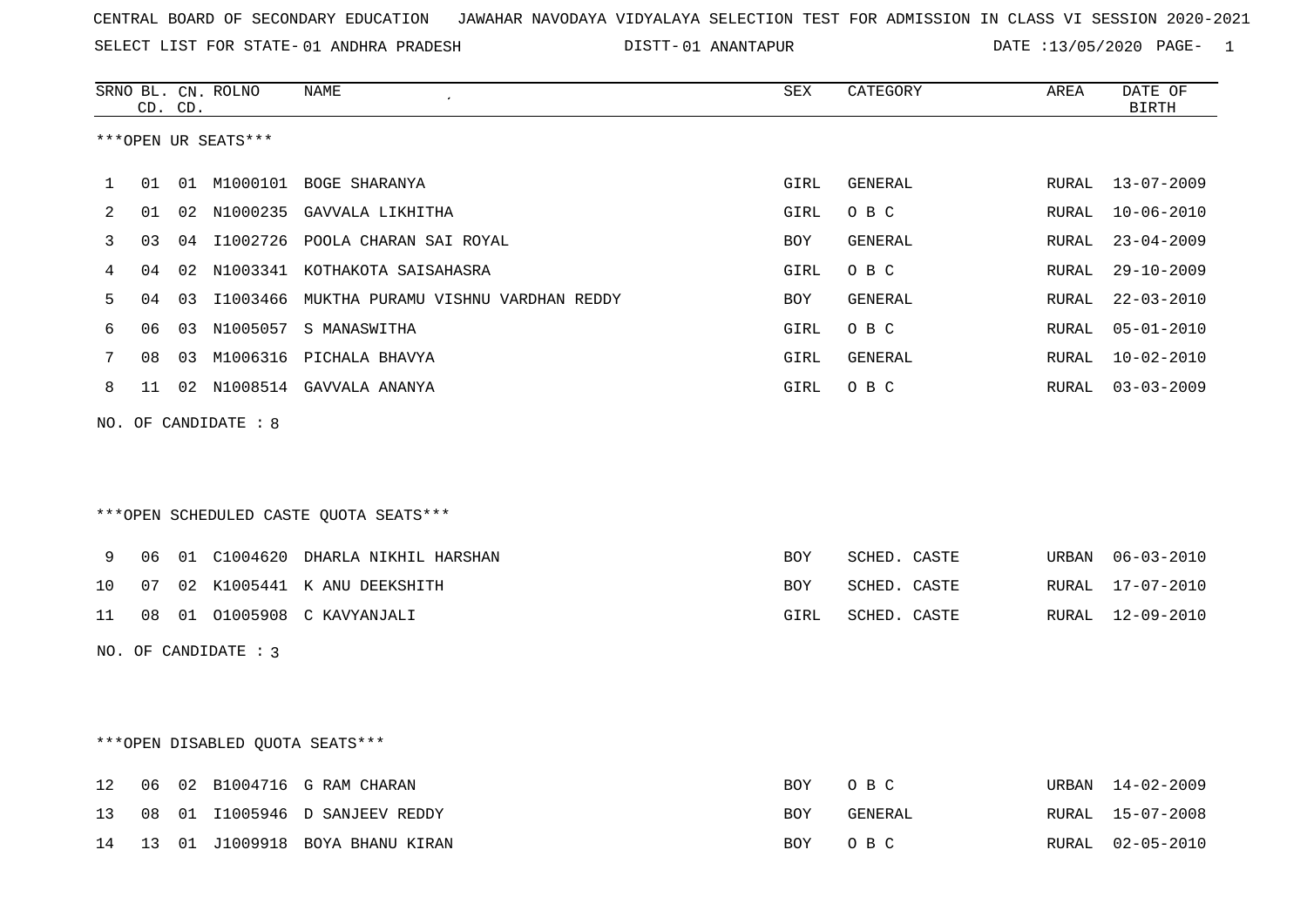SELECT LIST FOR STATE- DISTT- 01 ANDHRA PRADESH

01 ANANTAPUR DATE :13/05/2020 PAGE- 1

|    |    | CD. CD. | SRNO BL. CN. ROLNO     | NAME                                        | SEX        | CATEGORY     | AREA  | DATE OF<br><b>BIRTH</b> |
|----|----|---------|------------------------|---------------------------------------------|------------|--------------|-------|-------------------------|
|    |    |         | ***OPEN UR SEATS***    |                                             |            |              |       |                         |
| 1  | 01 |         |                        | 01 M1000101 BOGE SHARANYA                   | GIRL       | GENERAL      | RURAL | 13-07-2009              |
| 2  | 01 | 02      | N1000235               | GAVVALA LIKHITHA                            | GIRL       | O B C        | RURAL | $10 - 06 - 2010$        |
| 3  | 03 | 04      |                        | I1002726 POOLA CHARAN SAI ROYAL             | BOY        | GENERAL      | RURAL | $23 - 04 - 2009$        |
| 4  | 04 | 02      |                        | N1003341 KOTHAKOTA SAISAHASRA               | GIRL       | O B C        | RURAL | $29 - 10 - 2009$        |
| 5  | 04 | 03      |                        | I1003466 MUKTHA PURAMU VISHNU VARDHAN REDDY | BOY        | GENERAL      | RURAL | $22 - 03 - 2010$        |
| 6  | 06 | 03      |                        | N1005057 S MANASWITHA                       | GIRL       | O B C        | RURAL | $05 - 01 - 2010$        |
| 7  | 08 |         |                        | 03 M1006316 PICHALA BHAVYA                  | GIRL       | GENERAL      | RURAL | $10 - 02 - 2010$        |
| 8  | 11 |         |                        | 02 N1008514 GAVVALA ANANYA                  | GIRL       | O B C        | RURAL | $03 - 03 - 2009$        |
|    |    |         | NO. OF CANDIDATE : 8   |                                             |            |              |       |                         |
|    |    |         |                        | ***OPEN SCHEDULED CASTE QUOTA SEATS***      |            |              |       |                         |
| 9  | 06 |         |                        | 01 C1004620 DHARLA NIKHIL HARSHAN           | <b>BOY</b> | SCHED. CASTE | URBAN | $06 - 03 - 2010$        |
| 10 | 07 |         |                        | 02 K1005441 K ANU DEEKSHITH                 | BOY        | SCHED. CASTE | RURAL | 17-07-2010              |
| 11 | 08 |         |                        | 01 01005908 C KAVYANJALI                    | GIRL       | SCHED. CASTE | RURAL | 12-09-2010              |
|    |    |         | NO. OF CANDIDATE : $3$ |                                             |            |              |       |                         |
|    |    |         |                        | ***OPEN DISABLED QUOTA SEATS***             |            |              |       |                         |
| 12 | 06 |         |                        | 02 B1004716 G RAM CHARAN                    | <b>BOY</b> | O B C        |       | URBAN 14-02-2009        |
| 13 | 08 |         |                        | 01 I1005946 D SANJEEV REDDY                 | BOY        | GENERAL      |       | RURAL 15-07-2008        |

14 13 01 J1009918 BOYA BHANU KIRAN BOY O B C RURAL 02-05-2010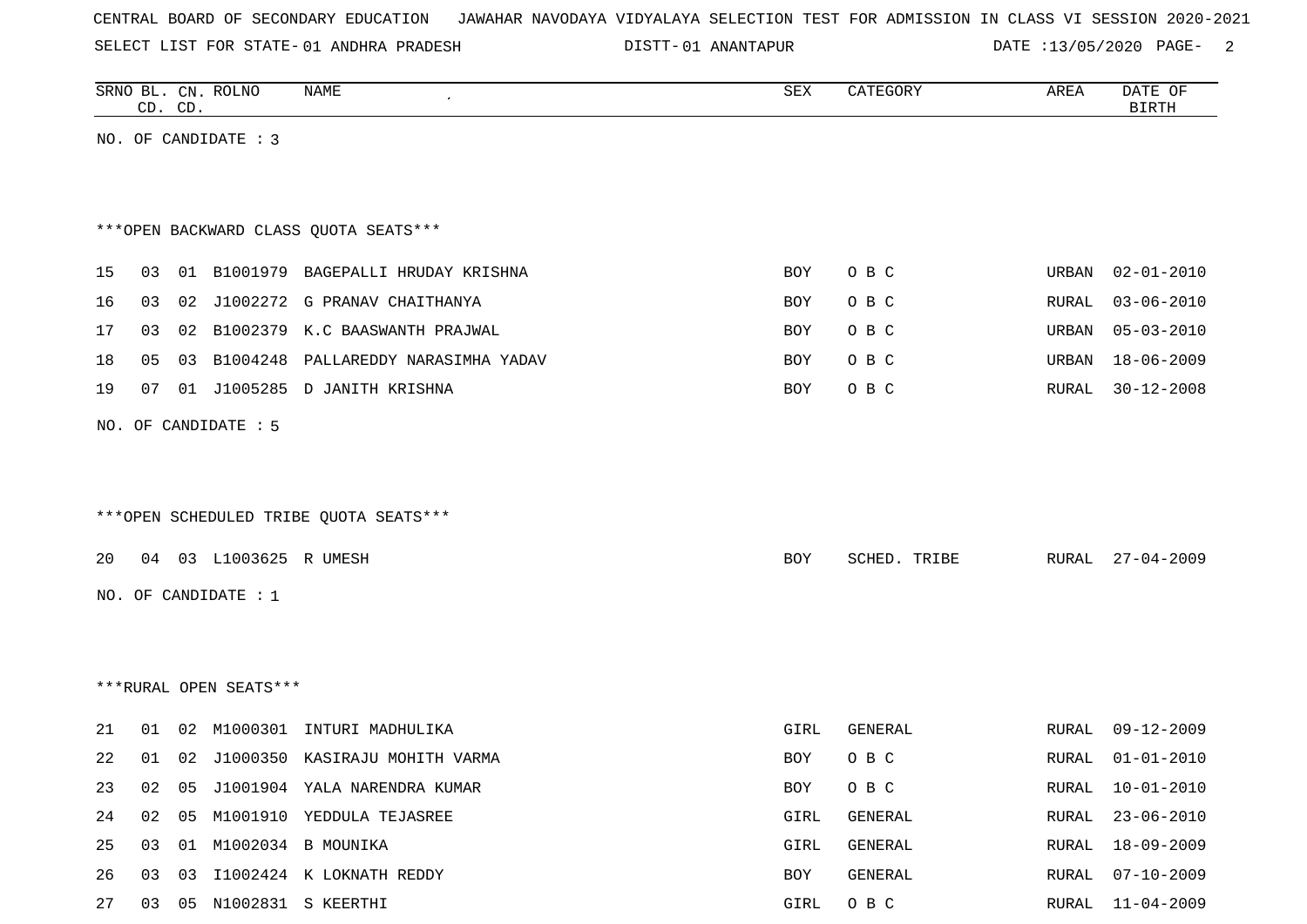SELECT LIST FOR STATE- DISTT- 01 ANDHRA PRADESH

01 ANANTAPUR DATE :13/05/2020 PAGE- 2

|    |    | CD. CD. | SRNO BL. CN. ROLNO     | NAME                                   | ${\tt SEX}$ | CATEGORY       | AREA  | DATE OF<br><b>BIRTH</b> |
|----|----|---------|------------------------|----------------------------------------|-------------|----------------|-------|-------------------------|
|    |    |         | NO. OF CANDIDATE : 3   |                                        |             |                |       |                         |
|    |    |         |                        |                                        |             |                |       |                         |
|    |    |         |                        |                                        |             |                |       |                         |
|    |    |         |                        | *** OPEN BACKWARD CLASS QUOTA SEATS*** |             |                |       |                         |
| 15 | 03 |         |                        | 01 B1001979 BAGEPALLI HRUDAY KRISHNA   | BOY         | O B C          | URBAN | $02 - 01 - 2010$        |
| 16 | 03 | 02      |                        | J1002272 G PRANAV CHAITHANYA           | BOY         | O B C          | RURAL | $03 - 06 - 2010$        |
| 17 | 03 |         |                        | 02 B1002379 K.C BAASWANTH PRAJWAL      | BOY         | O B C          | URBAN | $05 - 03 - 2010$        |
| 18 | 05 |         |                        | 03 B1004248 PALLAREDDY NARASIMHA YADAV | BOY         | O B C          | URBAN | $18 - 06 - 2009$        |
| 19 | 07 |         |                        | 01 J1005285 D JANITH KRISHNA           | BOY         | O B C          | RURAL | $30 - 12 - 2008$        |
|    |    |         | NO. OF CANDIDATE : 5   |                                        |             |                |       |                         |
|    |    |         |                        |                                        |             |                |       |                         |
|    |    |         |                        |                                        |             |                |       |                         |
|    |    |         |                        | ***OPEN SCHEDULED TRIBE QUOTA SEATS*** |             |                |       |                         |
| 20 |    |         | 04 03 L1003625 R UMESH |                                        | BOY         | SCHED. TRIBE   | RURAL | $27 - 04 - 2009$        |
|    |    |         |                        |                                        |             |                |       |                         |
|    |    |         | NO. OF CANDIDATE : $1$ |                                        |             |                |       |                         |
|    |    |         |                        |                                        |             |                |       |                         |
|    |    |         |                        |                                        |             |                |       |                         |
|    |    |         | ***RURAL OPEN SEATS*** |                                        |             |                |       |                         |
| 21 | 01 | 02      | M1000301               | INTURI MADHULIKA                       | GIRL        | <b>GENERAL</b> | RURAL | $09 - 12 - 2009$        |
| 22 | 01 |         |                        | 02 J1000350 KASIRAJU MOHITH VARMA      | <b>BOY</b>  | O B C          | RURAL | $01 - 01 - 2010$        |
| 23 | 02 |         |                        | 05 J1001904 YALA NARENDRA KUMAR        | BOY         | O B C          |       | RURAL 10-01-2010        |
| 24 | 02 | 05      |                        | M1001910 YEDDULA TEJASREE              | GIRL        | GENERAL        | RURAL | $23 - 06 - 2010$        |
| 25 | 03 |         |                        | 01 M1002034 B MOUNIKA                  | GIRL        | GENERAL        | RURAL | $18 - 09 - 2009$        |
| 26 | 03 | 03      |                        | I1002424 K LOKNATH REDDY               | BOY         | GENERAL        | RURAL | $07 - 10 - 2009$        |
| 27 |    |         |                        | 03  05  N1002831  S KEERTHI            | GIRL        | O B C          | RURAL | $11 - 04 - 2009$        |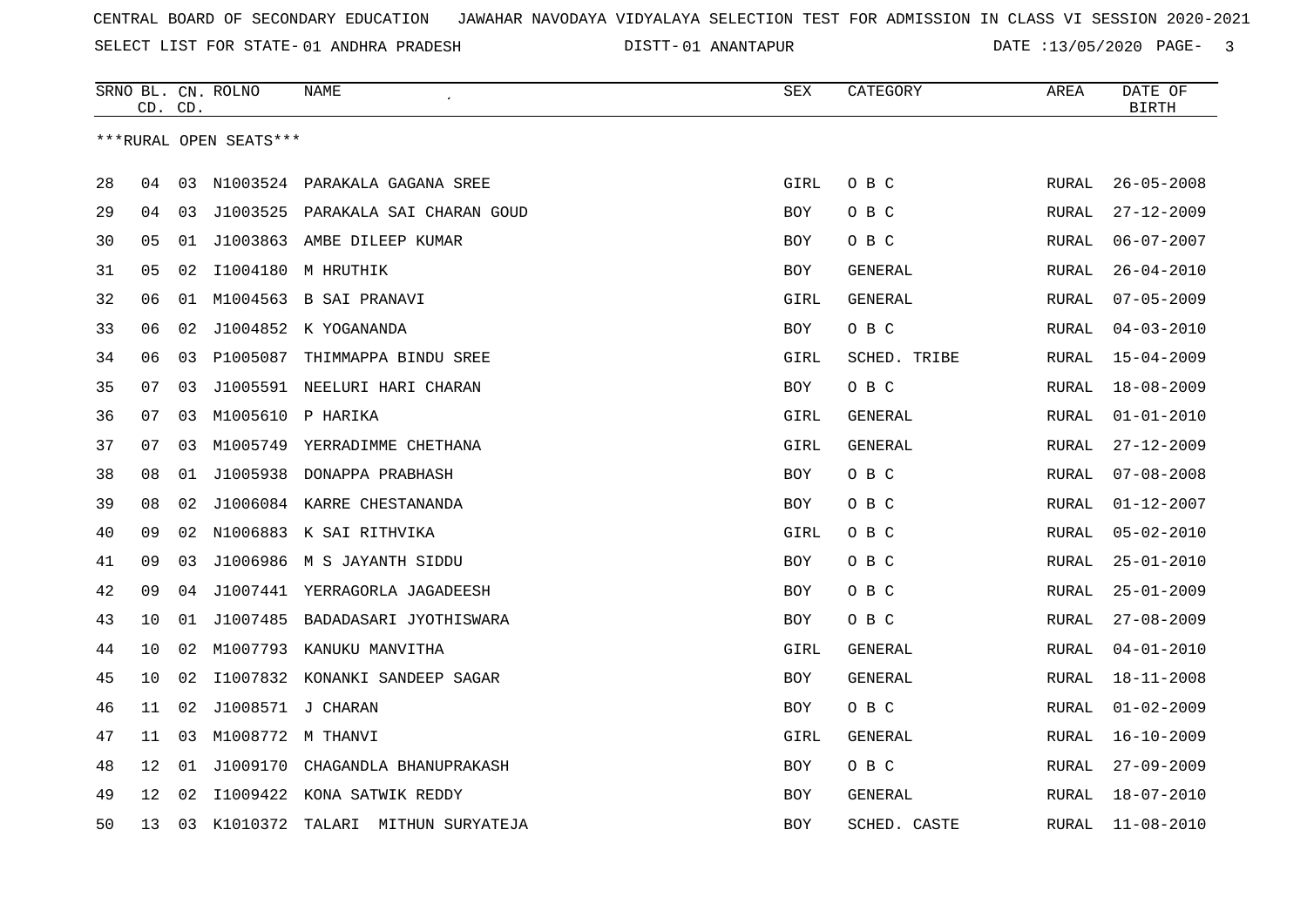SELECT LIST FOR STATE- DISTT- 01 ANDHRA PRADESH

01 ANANTAPUR DATE :13/05/2020 PAGE- 3

|    |    | CD. CD. | SRNO BL. CN. ROLNO     | NAME                              | <b>SEX</b> | CATEGORY       | AREA         | DATE OF<br><b>BIRTH</b> |
|----|----|---------|------------------------|-----------------------------------|------------|----------------|--------------|-------------------------|
|    |    |         | ***RURAL OPEN SEATS*** |                                   |            |                |              |                         |
| 28 | 04 |         |                        | 03 N1003524 PARAKALA GAGANA SREE  | GIRL       | O B C          | <b>RURAL</b> | $26 - 05 - 2008$        |
| 29 | 04 | 03      |                        | J1003525 PARAKALA SAI CHARAN GOUD | <b>BOY</b> | O B C          | RURAL        | $27 - 12 - 2009$        |
| 30 | 05 | 01      |                        | J1003863 AMBE DILEEP KUMAR        | BOY        | O B C          | <b>RURAL</b> | $06 - 07 - 2007$        |
| 31 | 05 | 02      |                        | I1004180 M HRUTHIK                | BOY        | GENERAL        | RURAL        | $26 - 04 - 2010$        |
| 32 | 06 | 01      |                        | M1004563 B SAI PRANAVI            | GIRL       | <b>GENERAL</b> | RURAL        | $07 - 05 - 2009$        |
| 33 | 06 | 02      |                        | J1004852 K YOGANANDA              | <b>BOY</b> | O B C          | RURAL        | $04 - 03 - 2010$        |
| 34 | 06 | 03      | P1005087               | THIMMAPPA BINDU SREE              | GIRL       | SCHED. TRIBE   | RURAL        | $15 - 04 - 2009$        |
| 35 | 07 | 03      |                        | J1005591 NEELURI HARI CHARAN      | BOY        | O B C          | RURAL        | $18 - 08 - 2009$        |
| 36 | 07 | 03      |                        | M1005610 P HARIKA                 | GIRL       | GENERAL        | RURAL        | $01 - 01 - 2010$        |
| 37 | 07 | 03      |                        | M1005749 YERRADIMME CHETHANA      | GIRL       | <b>GENERAL</b> | <b>RURAL</b> | $27 - 12 - 2009$        |
| 38 | 08 |         |                        | 01 J1005938 DONAPPA PRABHASH      | <b>BOY</b> | O B C          | RURAL        | $07 - 08 - 2008$        |
| 39 | 08 | 02      |                        | J1006084 KARRE CHESTANANDA        | <b>BOY</b> | O B C          | RURAL        | $01 - 12 - 2007$        |
| 40 | 09 | 02      |                        | N1006883 K SAI RITHVIKA           | GIRL       | O B C          | RURAL        | $05 - 02 - 2010$        |
| 41 | 09 | 03      |                        | J1006986 M S JAYANTH SIDDU        | BOY        | O B C          | <b>RURAL</b> | $25 - 01 - 2010$        |
| 42 | 09 | 04      |                        | J1007441 YERRAGORLA JAGADEESH     | BOY        | O B C          | RURAL        | $25 - 01 - 2009$        |
| 43 | 10 | 01      | J1007485               | BADADASARI JYOTHISWARA            | <b>BOY</b> | O B C          | RURAL        | $27 - 08 - 2009$        |
| 44 | 10 | 02      |                        | M1007793 KANUKU MANVITHA          | GIRL       | GENERAL        | <b>RURAL</b> | $04 - 01 - 2010$        |
| 45 | 10 | 02      |                        | I1007832 KONANKI SANDEEP SAGAR    | <b>BOY</b> | GENERAL        | RURAL        | $18 - 11 - 2008$        |
| 46 | 11 | 02      |                        | J1008571 J CHARAN                 | BOY        | O B C          | RURAL        | $01 - 02 - 2009$        |
| 47 | 11 | 03      |                        | M1008772 M THANVI                 | GIRL       | GENERAL        | RURAL        | $16 - 10 - 2009$        |
| 48 | 12 | 01      | J1009170               | CHAGANDLA BHANUPRAKASH            | BOY        | O B C          | <b>RURAL</b> | $27 - 09 - 2009$        |
| 49 | 12 | 02      | I1009422               | KONA SATWIK REDDY                 | BOY        | GENERAL        | RURAL        | $18 - 07 - 2010$        |
| 50 | 13 | 03      | K1010372               | TALARI<br>MITHUN SURYATEJA        | <b>BOY</b> | SCHED. CASTE   | <b>RURAL</b> | $11 - 08 - 2010$        |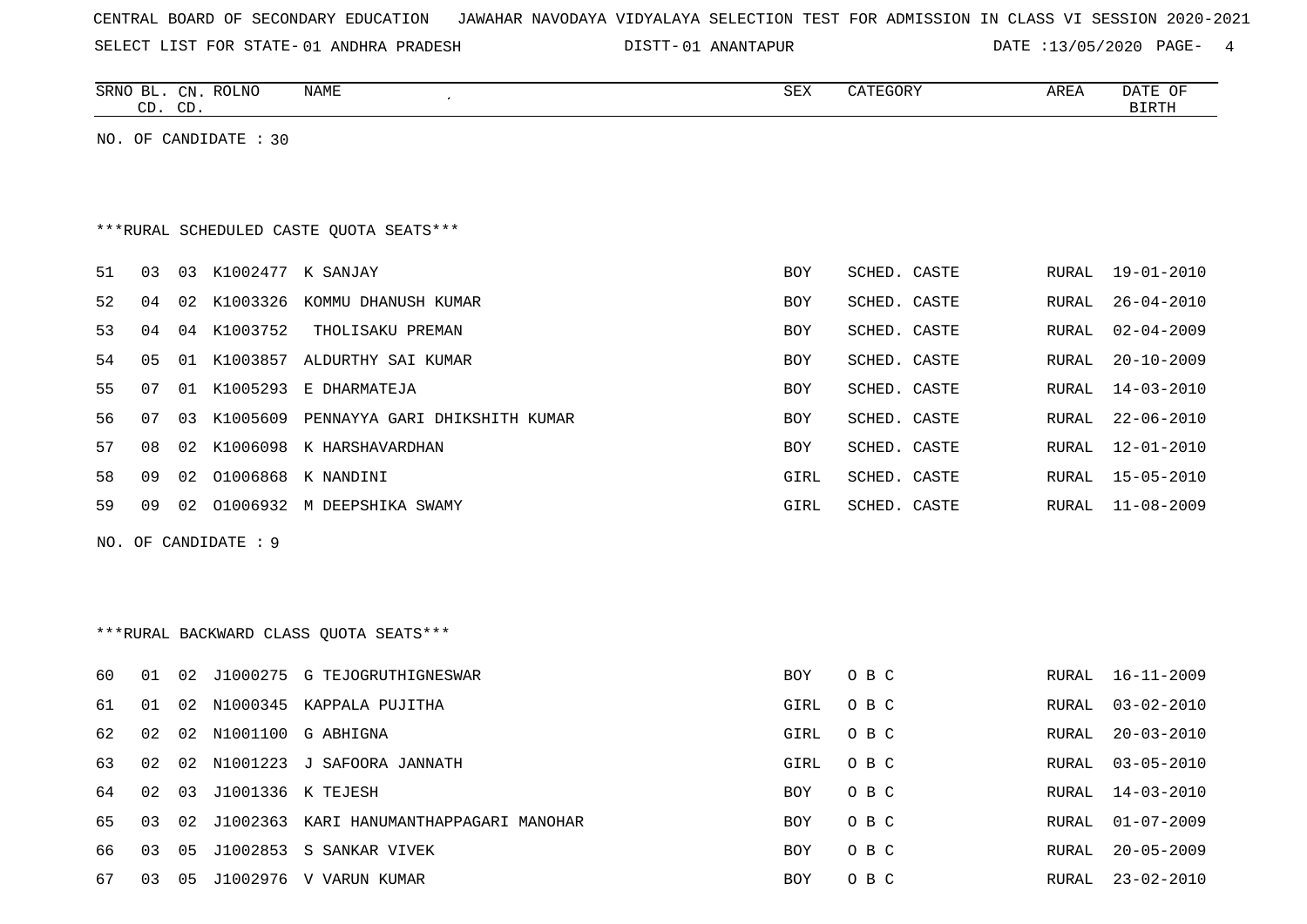| CENTRAL BOARD OF SECONDARY EDUCATION – JAWAHAR NAVODAYA VIDYALAYA SELECTION TEST FOR ADMISSION IN CLASS VI SESSION 2020-2021 |  |  |  |  |
|------------------------------------------------------------------------------------------------------------------------------|--|--|--|--|
|------------------------------------------------------------------------------------------------------------------------------|--|--|--|--|

SELECT LIST FOR STATE- 01 ANDHRA PRADESH

01 ANDHRA PRADESH 01 ANANTAPUR DATE :13/05/2020 PAGE- 4

|    |    | CD. CD. | SRNO BL. CN. ROLNO    | NAME<br>$\pmb{\cdot}$                     | SEX         | CATEGORY     | AREA         | DATE OF<br><b>BIRTH</b> |
|----|----|---------|-----------------------|-------------------------------------------|-------------|--------------|--------------|-------------------------|
|    |    |         | NO. OF CANDIDATE : 30 |                                           |             |              |              |                         |
|    |    |         |                       |                                           |             |              |              |                         |
|    |    |         |                       |                                           |             |              |              |                         |
|    |    |         |                       | ***RURAL SCHEDULED CASTE OUOTA SEATS***   |             |              |              |                         |
| 51 | 03 |         | 03 K1002477 K SANJAY  |                                           | <b>BOY</b>  | SCHED. CASTE | RURAL        | 19-01-2010              |
| 52 | 04 |         |                       | 02 K1003326 KOMMU DHANUSH KUMAR           | BOY         | SCHED. CASTE | RURAL        | $26 - 04 - 2010$        |
| 53 | 04 |         | 04 K1003752           | THOLISAKU PREMAN                          | BOY         | SCHED. CASTE | RURAL        | $02 - 04 - 2009$        |
| 54 | 05 |         |                       | 01 K1003857 ALDURTHY SAI KUMAR            | <b>BOY</b>  | SCHED. CASTE | RURAL        | $20 - 10 - 2009$        |
| 55 | 07 |         |                       | 01 K1005293 E DHARMATEJA                  | <b>BOY</b>  | SCHED. CASTE | <b>RURAL</b> | $14 - 03 - 2010$        |
| 56 | 07 |         |                       | 03 K1005609 PENNAYYA GARI DHIKSHITH KUMAR | <b>BOY</b>  | SCHED. CASTE | RURAL        | $22 - 06 - 2010$        |
| 57 | 08 | 02      |                       | K1006098 K HARSHAVARDHAN                  | BOY         | SCHED. CASTE | RURAL        | $12 - 01 - 2010$        |
| 58 | 09 | 02      |                       | 01006868 K NANDINI                        | GIRL        | SCHED. CASTE | RURAL        | $15 - 05 - 2010$        |
| 59 | 09 |         |                       | 02 01006932 M DEEPSHIKA SWAMY             | GIRL        | SCHED. CASTE | RURAL        | $11 - 08 - 2009$        |
|    |    |         | NO. OF CANDIDATE : 9  |                                           |             |              |              |                         |
|    |    |         |                       |                                           |             |              |              |                         |
|    |    |         |                       |                                           |             |              |              |                         |
|    |    |         |                       | *** RURAL BACKWARD CLASS QUOTA SEATS***   |             |              |              |                         |
|    |    |         |                       |                                           |             |              |              |                         |
| 60 | 01 | 02      |                       | J1000275 G TEJOGRUTHIGNESWAR              | BOY         | O B C        | RURAL        | $16 - 11 - 2009$        |
| 61 | 01 |         |                       | 02 N1000345 KAPPALA PUJITHA               | <b>GIRL</b> | O B C        | RURAL        | $03 - 02 - 2010$        |
| 62 | 02 |         |                       | 02 N1001100 G ABHIGNA                     | GIRL        | O B C        | RURAL        | $20 - 03 - 2010$        |
| 63 | 02 |         |                       | 02 N1001223 J SAFOORA JANNATH             | GIRL        | O B C        | RURAL        | $03 - 05 - 2010$        |
| 64 | 02 | 03      |                       | J1001336 K TEJESH                         | BOY         | O B C        | RURAL        | $14 - 03 - 2010$        |
| 65 | 03 | 02      |                       | J1002363 KARI HANUMANTHAPPAGARI MANOHAR   | <b>BOY</b>  | O B C        | RURAL        | $01 - 07 - 2009$        |
| 66 | 03 | 05      |                       | J1002853 S SANKAR VIVEK                   | <b>BOY</b>  | O B C        | RURAL        | $20 - 05 - 2009$        |
| 67 | 03 | 05      |                       | J1002976 V VARUN KUMAR                    | <b>BOY</b>  | O B C        | RURAL        | $23 - 02 - 2010$        |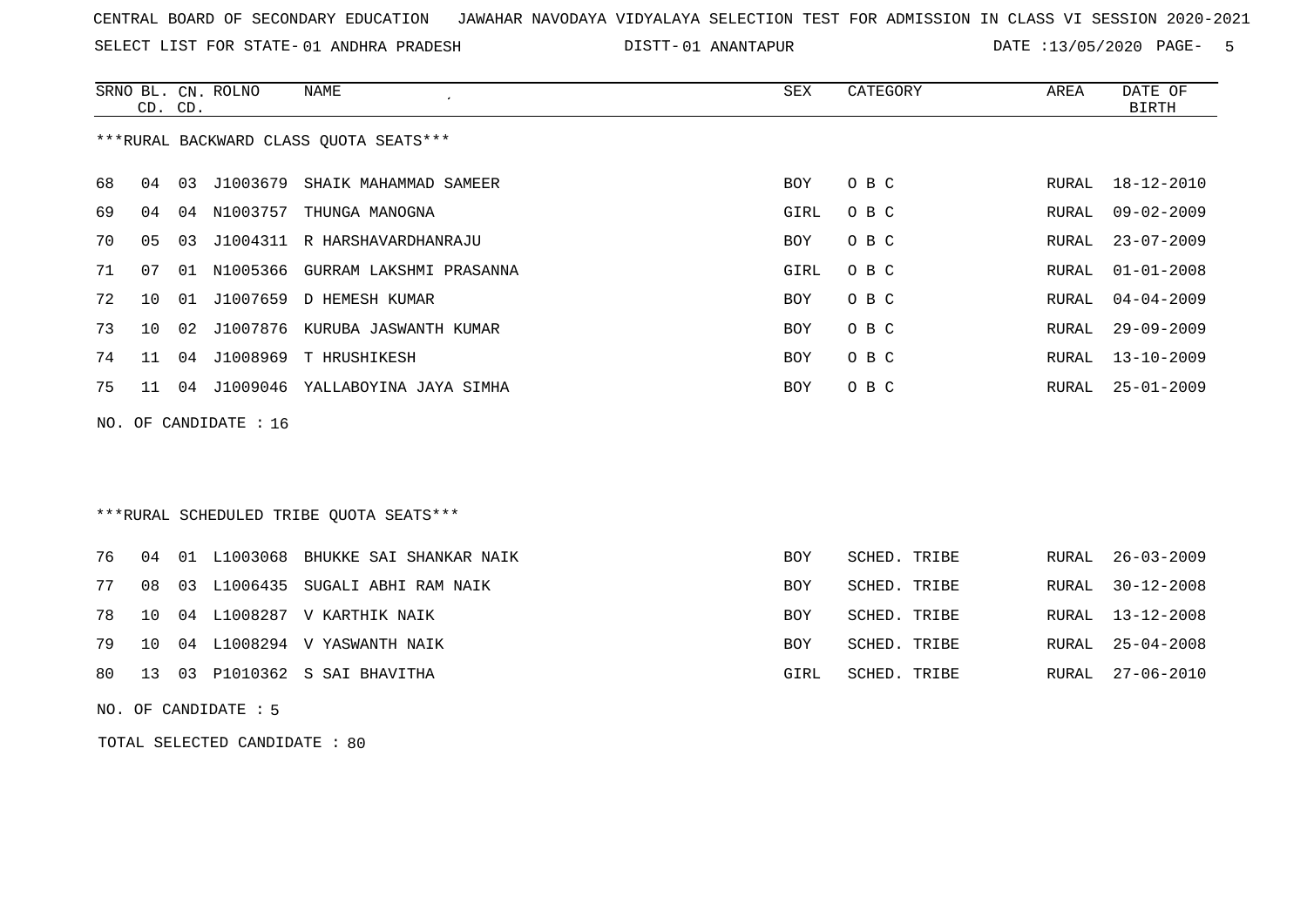SELECT LIST FOR STATE- DISTT- 01 ANDHRA PRADESH

01 ANANTAPUR DATE :13/05/2020 PAGE- 5

|    |                                        |    | SRNO BL. CN. ROLNO | NAME                             | SEX        | CATEGORY | AREA  | DATE OF          |  |  |
|----|----------------------------------------|----|--------------------|----------------------------------|------------|----------|-------|------------------|--|--|
|    | CD. CD.                                |    |                    |                                  |            |          |       | BIRTH            |  |  |
|    | ***RURAL BACKWARD CLASS OUOTA SEATS*** |    |                    |                                  |            |          |       |                  |  |  |
| 68 | 04                                     | 03 |                    | J1003679 SHAIK MAHAMMAD SAMEER   | <b>BOY</b> | O B C    | RURAL | 18-12-2010       |  |  |
| 69 | 04                                     | 04 | N1003757           | THUNGA MANOGNA                   | GIRL       | O B C    | RURAL | 09-02-2009       |  |  |
| 70 | 05                                     | 03 |                    | J1004311 R HARSHAVARDHANRAJU     | <b>BOY</b> | O B C    | RURAL | $23 - 07 - 2009$ |  |  |
| 71 | 07                                     | 01 |                    | N1005366 GURRAM LAKSHMI PRASANNA | GIRL       | O B C    | RURAL | $01 - 01 - 2008$ |  |  |
| 72 | 10 <sup>°</sup>                        | 01 | J1007659           | D HEMESH KUMAR                   | <b>BOY</b> | O B C    | RURAL | 04-04-2009       |  |  |
| 73 | 10 <sup>°</sup>                        | 02 |                    | J1007876 KURUBA JASWANTH KUMAR   | <b>BOY</b> | O B C    | RURAL | $29 - 09 - 2009$ |  |  |
| 74 | 11                                     | 04 |                    | J1008969 T HRUSHIKESH            | BOY        | O B C    | RURAL | $13 - 10 - 2009$ |  |  |
| 75 | 11                                     | 04 |                    | J1009046 YALLABOYINA JAYA SIMHA  | <b>BOY</b> | O B C    | RURAL | $25 - 01 - 2009$ |  |  |
|    | NO. OF CANDIDATE : $16$                |    |                    |                                  |            |          |       |                  |  |  |

# \*\*\*RURAL SCHEDULED TRIBE QUOTA SEATS\*\*\*

|  |  | 76 04 01 L1003068 BHUKKE SAI SHANKAR NAIK | BOY        | SCHED. TRIBE | RURAL 26-03-2009 |
|--|--|-------------------------------------------|------------|--------------|------------------|
|  |  | 77 08 03 L1006435 SUGALI ABHI RAM NAIK    | BOY        | SCHED. TRIBE | RURAL 30-12-2008 |
|  |  | 78 10 04 L1008287 V KARTHIK NAIK          | <b>BOY</b> | SCHED. TRIBE | RURAL 13-12-2008 |
|  |  | 79 10 04 L1008294 V YASWANTH NAIK         | BOY        | SCHED. TRIBE | RURAL 25-04-2008 |
|  |  | 80 13 03 P1010362 S SAI BHAVITHA          | GIRL       | SCHED. TRIBE | RURAL 27-06-2010 |

NO. OF CANDIDATE : 5

TOTAL SELECTED CANDIDATE : 80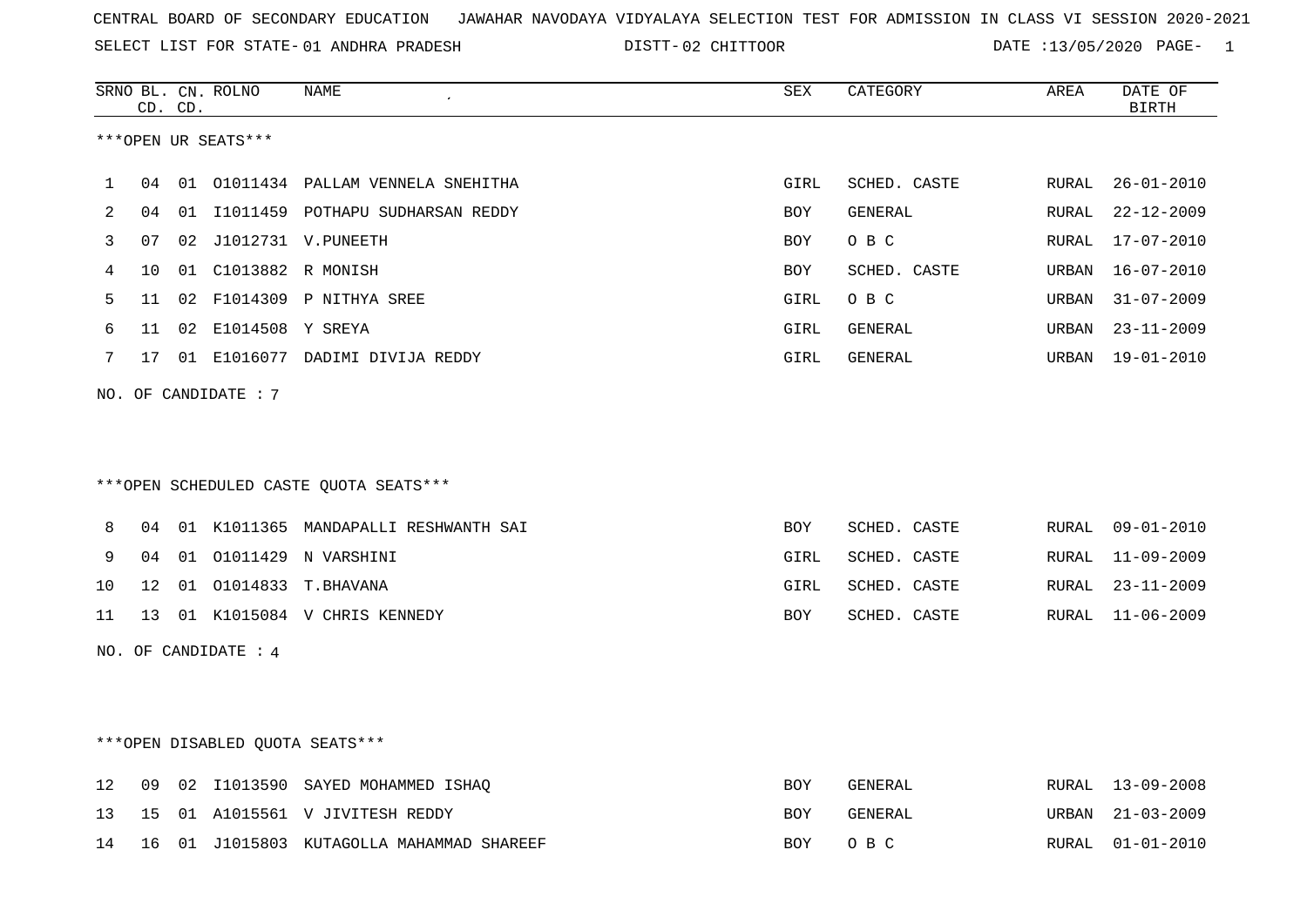SELECT LIST FOR STATE- DISTT- 01 ANDHRA PRADESH

02 CHITTOOR DATE :13/05/2020 PAGE- 1

|         |    | CD. CD. | SRNO BL. CN. ROLNO   | NAME                                   | SEX        | CATEGORY     | AREA  | DATE OF<br><b>BIRTH</b> |
|---------|----|---------|----------------------|----------------------------------------|------------|--------------|-------|-------------------------|
|         |    |         | ***OPEN UR SEATS***  |                                        |            |              |       |                         |
| 1       | 04 |         |                      | 01 01011434 PALLAM VENNELA SNEHITHA    | GIRL       | SCHED. CASTE | RURAL | $26 - 01 - 2010$        |
| 2       | 04 |         |                      | 01 I1011459 POTHAPU SUDHARSAN REDDY    | BOY        | GENERAL      | RURAL | $22 - 12 - 2009$        |
| 3       | 07 |         |                      | 02 J1012731 V.PUNEETH                  | <b>BOY</b> | O B C        | RURAL | $17 - 07 - 2010$        |
| 4       | 10 |         | 01 C1013882 R MONISH |                                        | BOY        | SCHED. CASTE | URBAN | $16 - 07 - 2010$        |
| 5       | 11 |         |                      | 02 F1014309 P NITHYA SREE              | GIRL       | O B C        | URBAN | $31 - 07 - 2009$        |
| 6       | 11 |         | 02 E1014508 Y SREYA  |                                        | GIRL       | GENERAL      | URBAN | $23 - 11 - 2009$        |
| 7       | 17 |         |                      | 01 E1016077 DADIMI DIVIJA REDDY        | GIRL       | GENERAL      | URBAN | $19 - 01 - 2010$        |
|         |    |         | NO. OF CANDIDATE : 7 |                                        |            |              |       |                         |
|         |    |         |                      |                                        |            |              |       |                         |
|         |    |         |                      |                                        |            |              |       |                         |
|         |    |         |                      | ***OPEN SCHEDULED CASTE QUOTA SEATS*** |            |              |       |                         |
|         |    |         |                      |                                        |            |              |       |                         |
| 8       | 04 |         |                      | 01 K1011365 MANDAPALLI RESHWANTH SAI   | <b>BOY</b> | SCHED. CASTE | RURAL | $09 - 01 - 2010$        |
| 9       | 04 |         |                      | 01  01011429  N VARSHINI               | GIRL       | SCHED. CASTE | RURAL | $11 - 09 - 2009$        |
| 10      | 12 |         |                      | 01 01014833 T. BHAVANA                 | GIRL       | SCHED. CASTE | RURAL | $23 - 11 - 2009$        |
| 11      | 13 |         |                      | 01 K1015084 V CHRIS KENNEDY            | BOY        | SCHED. CASTE | RURAL | $11 - 06 - 2009$        |
|         |    |         | NO. OF CANDIDATE : 4 |                                        |            |              |       |                         |
|         |    |         |                      |                                        |            |              |       |                         |
|         |    |         |                      |                                        |            |              |       |                         |
|         |    |         |                      | ***OPEN DISABLED QUOTA SEATS***        |            |              |       |                         |
| $12 \,$ | 09 | 02      |                      | I1013590 SAYED MOHAMMED ISHAQ          | BOY        | GENERAL      | RURAL | $13 - 09 - 2008$        |
| 13      | 15 |         |                      | 01 A1015561 V JIVITESH REDDY           | BOY        | GENERAL      | URBAN | $21 - 03 - 2009$        |
| 14      | 16 |         |                      | 01 J1015803 KUTAGOLLA MAHAMMAD SHAREEF | <b>BOY</b> | O B C        | RURAL | $01 - 01 - 2010$        |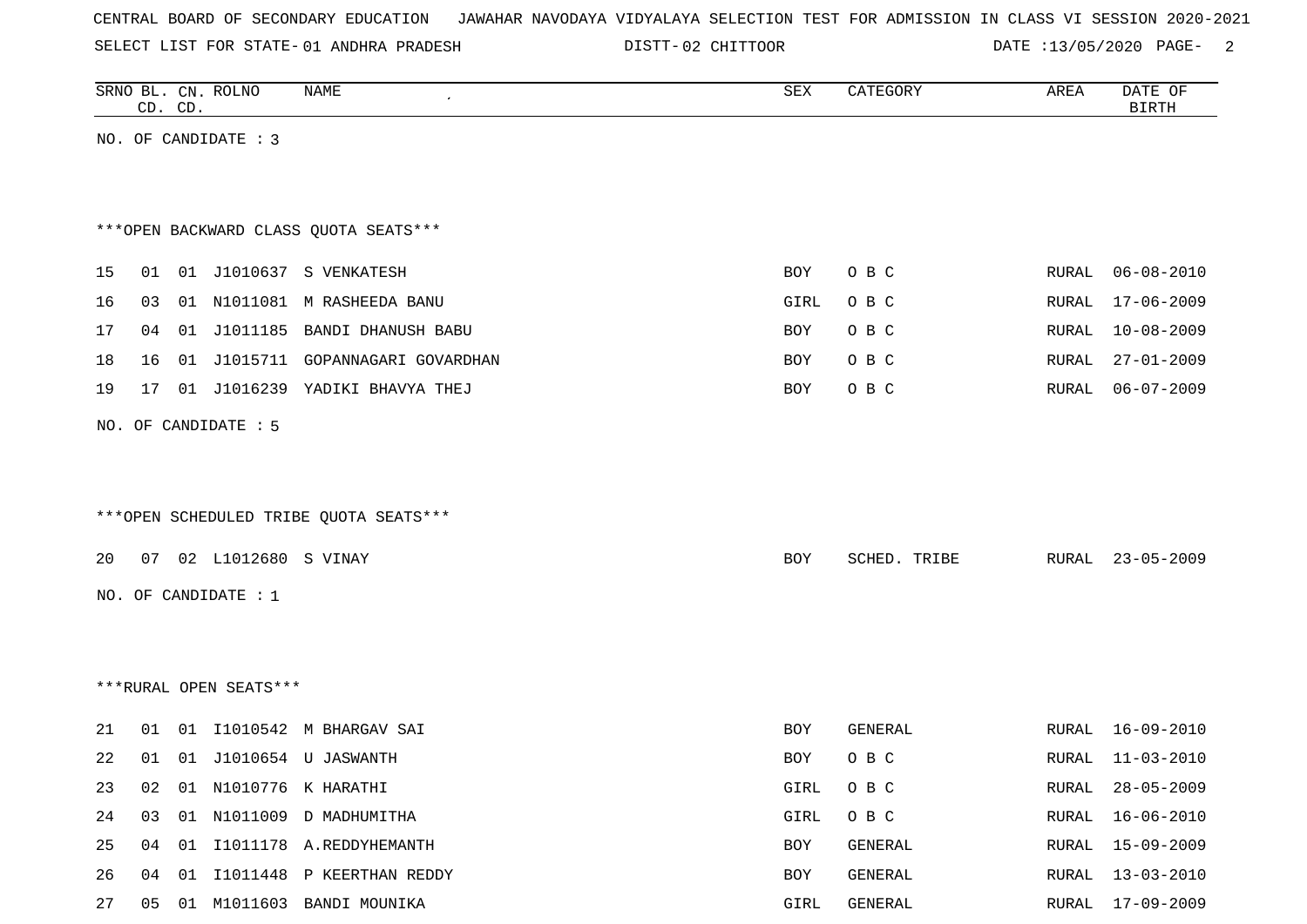SELECT LIST FOR STATE- DISTT- 01 ANDHRA PRADESH

02 CHITTOOR DATE :13/05/2020 PAGE- 2

|    |    | CD. CD. | SRNO BL. CN. ROLNO     | NAME                                   | SEX        | CATEGORY     | AREA         | DATE OF<br><b>BIRTH</b> |
|----|----|---------|------------------------|----------------------------------------|------------|--------------|--------------|-------------------------|
|    |    |         | NO. OF CANDIDATE : 3   |                                        |            |              |              |                         |
|    |    |         |                        |                                        |            |              |              |                         |
|    |    |         |                        |                                        |            |              |              |                         |
|    |    |         |                        | *** OPEN BACKWARD CLASS QUOTA SEATS*** |            |              |              |                         |
| 15 | 01 |         |                        | 01 J1010637 S VENKATESH                | BOY        | O B C        | RURAL        | $06 - 08 - 2010$        |
| 16 | 03 |         |                        | 01 N1011081 M RASHEEDA BANU            | GIRL       | O B C        | <b>RURAL</b> | $17 - 06 - 2009$        |
| 17 | 04 |         |                        | 01 J1011185 BANDI DHANUSH BABU         | BOY        | O B C        | <b>RURAL</b> | $10 - 08 - 2009$        |
| 18 | 16 |         |                        | 01 J1015711 GOPANNAGARI GOVARDHAN      | BOY        | O B C        | <b>RURAL</b> | $27 - 01 - 2009$        |
| 19 | 17 |         |                        | 01 J1016239 YADIKI BHAVYA THEJ         | <b>BOY</b> | O B C        | RURAL        | $06 - 07 - 2009$        |
|    |    |         | NO. OF CANDIDATE : 5   |                                        |            |              |              |                         |
|    |    |         |                        |                                        |            |              |              |                         |
|    |    |         |                        |                                        |            |              |              |                         |
|    |    |         |                        | ***OPEN SCHEDULED TRIBE QUOTA SEATS*** |            |              |              |                         |
| 20 |    |         | 07 02 L1012680 S VINAY |                                        | BOY        | SCHED. TRIBE | RURAL        | $23 - 05 - 2009$        |
|    |    |         | NO. OF CANDIDATE : $1$ |                                        |            |              |              |                         |
|    |    |         |                        |                                        |            |              |              |                         |
|    |    |         |                        |                                        |            |              |              |                         |
|    |    |         | ***RURAL OPEN SEATS*** |                                        |            |              |              |                         |
|    |    |         |                        |                                        |            |              |              |                         |
| 21 | 01 |         |                        | 01 I1010542 M BHARGAV SAI              | BOY        | GENERAL      | RURAL        | $16 - 09 - 2010$        |
| 22 | 01 |         |                        | 01 J1010654 U JASWANTH                 | BOY        | O B C        | <b>RURAL</b> | $11 - 03 - 2010$        |
| 23 | 02 |         |                        | 01 N1010776 K HARATHI                  | GIRL       | O B C        | RURAL        | $28 - 05 - 2009$        |
| 24 | 03 |         |                        | 01 N1011009 D MADHUMITHA               | GIRL       | O B C        | RURAL        | $16 - 06 - 2010$        |
| 25 | 04 |         |                        | 01 I1011178 A.REDDYHEMANTH             | BOY        | GENERAL      | RURAL        | $15 - 09 - 2009$        |
| 26 | 04 |         |                        | 01 I1011448 P KEERTHAN REDDY           | BOY        | GENERAL      | RURAL        | $13 - 03 - 2010$        |
| 27 |    |         |                        | 05 01 M1011603 BANDI MOUNIKA           | GIRL       | GENERAL      |              | RURAL 17-09-2009        |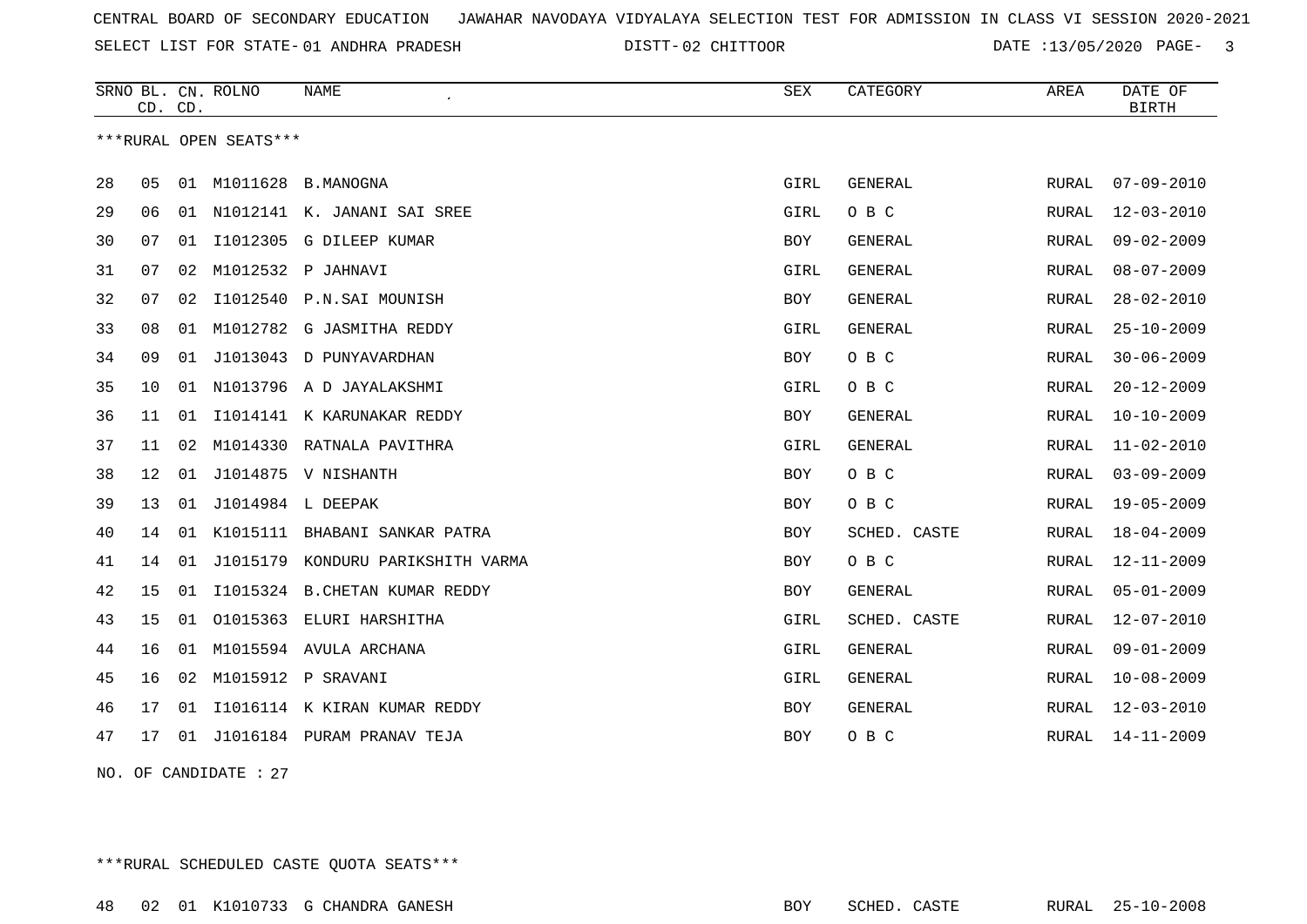SELECT LIST FOR STATE- DISTT- 01 ANDHRA PRADESH

02 CHITTOOR DATE :13/05/2020 PAGE- 3

|    | CD. CD. |    | SRNO BL. CN. ROLNO     | <b>NAME</b>                       | <b>SEX</b> | CATEGORY       | AREA         | DATE OF<br><b>BIRTH</b> |
|----|---------|----|------------------------|-----------------------------------|------------|----------------|--------------|-------------------------|
|    |         |    | ***RURAL OPEN SEATS*** |                                   |            |                |              |                         |
| 28 | 05      |    |                        | 01 M1011628 B.MANOGNA             | GIRL       | <b>GENERAL</b> | RURAL        | $07 - 09 - 2010$        |
| 29 | 06      | 01 |                        | N1012141 K. JANANI SAI SREE       | GIRL       | O B C          | RURAL        | $12 - 03 - 2010$        |
| 30 | 07      | 01 |                        | I1012305 G DILEEP KUMAR           | <b>BOY</b> | <b>GENERAL</b> | RURAL        | $09 - 02 - 2009$        |
| 31 | 07      | 02 |                        | M1012532 P JAHNAVI                | GIRL       | <b>GENERAL</b> | RURAL        | $08 - 07 - 2009$        |
| 32 | 07      | 02 | I1012540               | P.N.SAI MOUNISH                   | BOY        | <b>GENERAL</b> | RURAL        | $28 - 02 - 2010$        |
| 33 | 08      | 01 |                        | M1012782 G JASMITHA REDDY         | GIRL       | <b>GENERAL</b> | RURAL        | $25 - 10 - 2009$        |
| 34 | 09      | 01 | J1013043               | D PUNYAVARDHAN                    | <b>BOY</b> | O B C          | <b>RURAL</b> | $30 - 06 - 2009$        |
| 35 | 10      | 01 |                        | N1013796 A D JAYALAKSHMI          | GIRL       | O B C          | RURAL        | $20 - 12 - 2009$        |
| 36 | 11      | 01 |                        | I1014141 K KARUNAKAR REDDY        | BOY        | <b>GENERAL</b> | RURAL        | $10 - 10 - 2009$        |
| 37 | 11      | 02 | M1014330               | RATNALA PAVITHRA                  | GIRL       | <b>GENERAL</b> | RURAL        | $11 - 02 - 2010$        |
| 38 | 12      | 01 |                        | J1014875 V NISHANTH               | <b>BOY</b> | O B C          | RURAL        | $03 - 09 - 2009$        |
| 39 | 13      | 01 | J1014984 L DEEPAK      |                                   | <b>BOY</b> | O B C          | RURAL        | $19 - 05 - 2009$        |
| 40 | 14      | 01 |                        | K1015111 BHABANI SANKAR PATRA     | BOY        | SCHED. CASTE   | RURAL        | $18 - 04 - 2009$        |
| 41 | 14      | 01 |                        | J1015179 KONDURU PARIKSHITH VARMA | BOY        | O B C          | RURAL        | $12 - 11 - 2009$        |
| 42 | 15      | 01 |                        | I1015324 B.CHETAN KUMAR REDDY     | BOY        | GENERAL        | RURAL        | $05 - 01 - 2009$        |
| 43 | 15      | 01 | 01015363               | ELURI HARSHITHA                   | GIRL       | SCHED. CASTE   | RURAL        | $12 - 07 - 2010$        |
| 44 | 16      | 01 |                        | M1015594 AVULA ARCHANA            | GIRL       | <b>GENERAL</b> | RURAL        | $09 - 01 - 2009$        |
| 45 | 16      | 02 | M1015912               | P SRAVANI                         | GIRL       | GENERAL        | RURAL        | $10 - 08 - 2009$        |
| 46 | 17      | 01 |                        | I1016114 K KIRAN KUMAR REDDY      | BOY        | GENERAL        | RURAL        | $12 - 03 - 2010$        |
| 47 | 17      | 01 |                        | J1016184 PURAM PRANAV TEJA        | BOY        | O B C          | RURAL        | $14 - 11 - 2009$        |
|    |         |    |                        |                                   |            |                |              |                         |

NO. OF CANDIDATE : 27

\*\*\*RURAL SCHEDULED CASTE QUOTA SEATS\*\*\*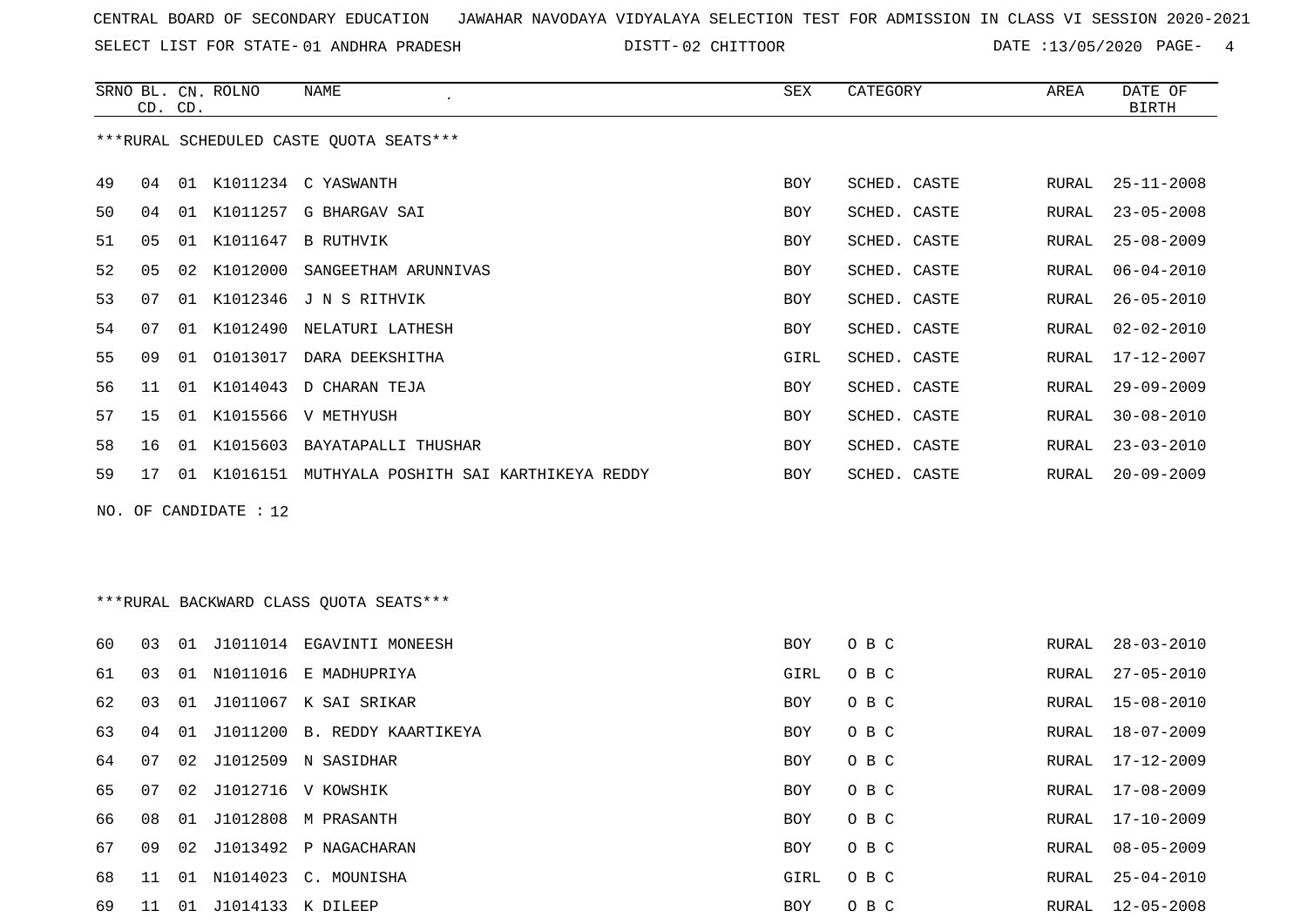SELECT LIST FOR STATE- DISTT- 01 ANDHRA PRADESH

02 CHITTOOR DATE :13/05/2020 PAGE- 4

|    |                                         | CD. CD. | SRNO BL. CN. ROLNO | NAME                                              | SEX        | CATEGORY     | AREA  | DATE OF<br><b>BIRTH</b> |  |  |
|----|-----------------------------------------|---------|--------------------|---------------------------------------------------|------------|--------------|-------|-------------------------|--|--|
|    | ***RURAL SCHEDULED CASTE OUOTA SEATS*** |         |                    |                                                   |            |              |       |                         |  |  |
| 49 | 04                                      |         |                    | 01 K1011234 C YASWANTH                            | <b>BOY</b> | SCHED. CASTE | RURAL | $25 - 11 - 2008$        |  |  |
| 50 | 04                                      |         |                    | 01 K1011257 G BHARGAV SAI                         | <b>BOY</b> | SCHED. CASTE | RURAL | $23 - 05 - 2008$        |  |  |
| 51 | 05                                      | 01      |                    | K1011647 B RUTHVIK                                | <b>BOY</b> | SCHED. CASTE | RURAL | $25 - 08 - 2009$        |  |  |
| 52 | 0 <sub>5</sub>                          | 02      |                    | K1012000 SANGEETHAM ARUNNIVAS                     | BOY        | SCHED. CASTE | RURAL | $06 - 04 - 2010$        |  |  |
| 53 | 07                                      | 01      |                    | K1012346 J N S RITHVIK                            | BOY        | SCHED. CASTE | RURAL | $26 - 05 - 2010$        |  |  |
| 54 | 07                                      | 01      |                    | K1012490 NELATURI LATHESH                         | BOY        | SCHED. CASTE | RURAL | $02 - 02 - 2010$        |  |  |
| 55 | 09                                      | 01      |                    | 01013017 DARA DEEKSHITHA                          | GIRL       | SCHED. CASTE | RURAL | 17-12-2007              |  |  |
| 56 | 11                                      | 01      |                    | K1014043 D CHARAN TEJA                            | <b>BOY</b> | SCHED. CASTE | RURAL | $29 - 09 - 2009$        |  |  |
| 57 | 15                                      |         |                    | 01 K1015566 V METHYUSH                            | <b>BOY</b> | SCHED. CASTE | RURAL | $30 - 08 - 2010$        |  |  |
| 58 | 16                                      | 01      |                    | K1015603 BAYATAPALLI THUSHAR                      | BOY        | SCHED. CASTE | RURAL | $23 - 03 - 2010$        |  |  |
| 59 | 17                                      |         |                    | 01 K1016151 MUTHYALA POSHITH SAI KARTHIKEYA REDDY | <b>BOY</b> | SCHED. CASTE | RURAL | $20 - 09 - 2009$        |  |  |
|    | NO. OF CANDIDATE : 12                   |         |                    |                                                   |            |              |       |                         |  |  |

\*\*\*RURAL BACKWARD CLASS QUOTA SEATS\*\*\*

| 60 | 03  | 01              | J1011014          | EGAVINTI MONEESH             | <b>BOY</b> | O B C | RURAL | 28-03-2010       |
|----|-----|-----------------|-------------------|------------------------------|------------|-------|-------|------------------|
| 61 | 03  |                 |                   | 01 N1011016 E MADHUPRIYA     | GIRL       | O B C | RURAL | 27-05-2010       |
| 62 | 03  | 01              |                   | J1011067 K SAI SRIKAR        | <b>BOY</b> | O B C | RURAL | 15-08-2010       |
| 63 | 04  | 01              |                   | J1011200 B. REDDY KAARTIKEYA | <b>BOY</b> | O B C | RURAL | 18-07-2009       |
| 64 | 07  | 02              | J1012509          | N SASIDHAR                   | BOY        | O B C | RURAL | $17 - 12 - 2009$ |
| 65 | 07  |                 |                   | 02 J1012716 V KOWSHIK        | <b>BOY</b> | O B C | RURAL | 17-08-2009       |
| 66 | 08  |                 |                   | 01 J1012808 M PRASANTH       | <b>BOY</b> | O B C | RURAL | 17-10-2009       |
| 67 | 09  | 02 <sub>o</sub> |                   | J1013492 P NAGACHARAN        | <b>BOY</b> | O B C | RURAL | 08-05-2009       |
| 68 | 11  | . N 1           |                   | N1014023 C. MOUNISHA         | GIRL       | O B C | RURAL | 25-04-2010       |
| 69 | -11 | 01              | J1014133 K DILEEP |                              | <b>BOY</b> | O B C | RURAL | $12 - 05 - 2008$ |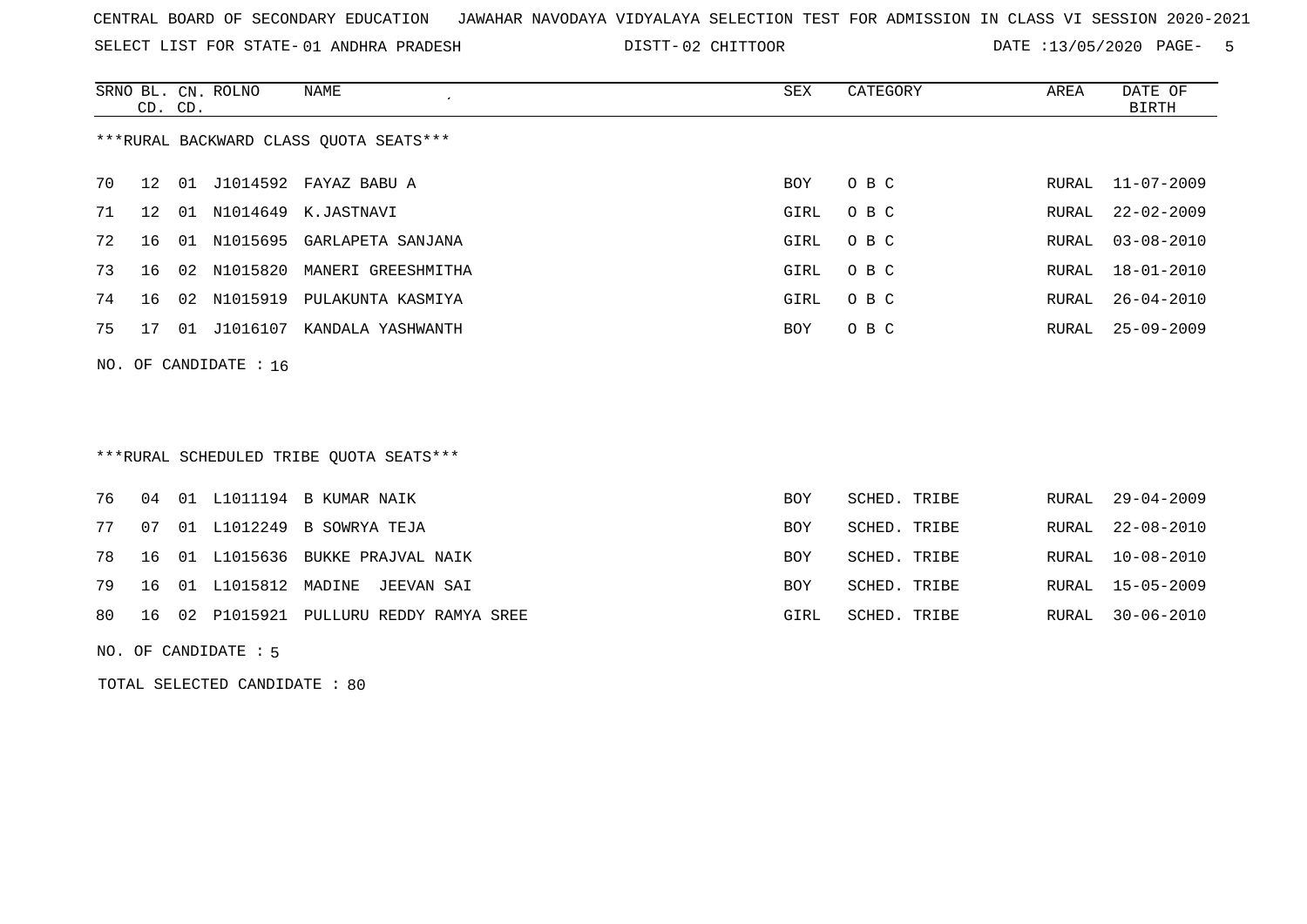SELECT LIST FOR STATE- DISTT- 01 ANDHRA PRADESH

02 CHITTOOR DATE :13/05/2020 PAGE- 5

|                                        | CD. CD.         |    | SRNO BL. CN. ROLNO      | NAME                       | SEX        | CATEGORY | AREA  | DATE OF<br>BIRTH |
|----------------------------------------|-----------------|----|-------------------------|----------------------------|------------|----------|-------|------------------|
| ***RURAL BACKWARD CLASS QUOTA SEATS*** |                 |    |                         |                            |            |          |       |                  |
| 70                                     | 12              | 01 |                         | J1014592 FAYAZ BABU A      | BOY        | O B C    | RURAL | 11-07-2009       |
| 71                                     | 12 <sup>°</sup> | 01 | N1014649                | K.JASTNAVI                 | GIRL       | O B C    | RURAL | $22 - 02 - 2009$ |
| 72                                     | 16              | 01 |                         | N1015695 GARLAPETA SANJANA | GIRL       | O B C    | RURAL | 03-08-2010       |
| 73                                     | 16              | 02 | N1015820                | MANERI GREESHMITHA         | GIRL       | O B C    | RURAL | $18 - 01 - 2010$ |
| 74                                     | 16              | 02 | N1015919                | PULAKUNTA KASMIYA          | GIRL       | O B C    | RURAL | $26 - 04 - 2010$ |
| 75                                     | 17              | 01 | J1016107                | KANDALA YASHWANTH          | <b>BOY</b> | O B C    | RURAL | $25 - 09 - 2009$ |
|                                        |                 |    | NO. OF CANDIDATE : $16$ |                            |            |          |       |                  |

# \*\*\*RURAL SCHEDULED TRIBE QUOTA SEATS\*\*\*

|  |  | 76 04 01 L1011194 B KUMAR NAIK             | <b>BOY</b> | SCHED. TRIBE | RURAL 29-04-2009 |
|--|--|--------------------------------------------|------------|--------------|------------------|
|  |  | 77 07 01 L1012249 B SOWRYA TEJA            | BOY        | SCHED. TRIBE | RURAL 22-08-2010 |
|  |  | 78 16 01 L1015636 BUKKE PRAJVAL NAIK       | <b>BOY</b> | SCHED. TRIBE | RURAL 10-08-2010 |
|  |  | 79 16 01 L1015812 MADINE JEEVAN SAI        | <b>BOY</b> | SCHED. TRIBE | RURAL 15-05-2009 |
|  |  | 80 16 02 P1015921 PULLURU REDDY RAMYA SREE | GIRL       | SCHED. TRIBE | RURAL 30-06-2010 |

NO. OF CANDIDATE : 5

TOTAL SELECTED CANDIDATE : 80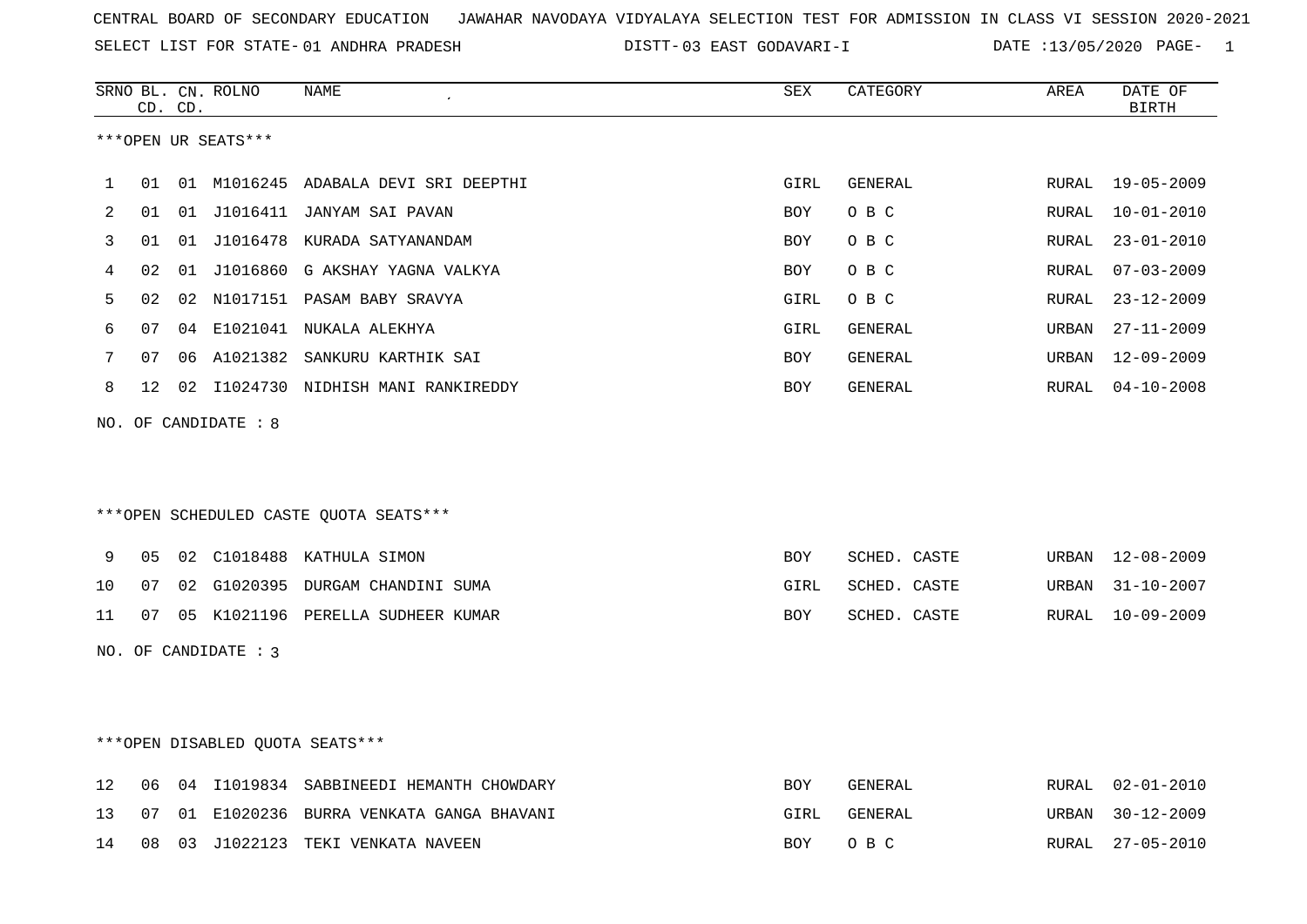SELECT LIST FOR STATE- DISTT- 01 ANDHRA PRADESH

DISTT-03 EAST GODAVARI-I DATE :13/05/2020 PAGE- 1

|    |    | CD. CD. | SRNO BL. CN. ROLNO   | NAME                                    | SEX        | CATEGORY     | AREA         | DATE OF<br><b>BIRTH</b> |
|----|----|---------|----------------------|-----------------------------------------|------------|--------------|--------------|-------------------------|
|    |    |         | ***OPEN UR SEATS***  |                                         |            |              |              |                         |
| 1  | 01 |         |                      | 01 M1016245 ADABALA DEVI SRI DEEPTHI    | GIRL       | GENERAL      | RURAL        | $19 - 05 - 2009$        |
| 2  | 01 |         |                      | 01 J1016411 JANYAM SAI PAVAN            | <b>BOY</b> | O B C        | <b>RURAL</b> | $10 - 01 - 2010$        |
| 3  | 01 | 01      |                      | J1016478 KURADA SATYANANDAM             | <b>BOY</b> | O B C        | RURAL        | $23 - 01 - 2010$        |
| 4  | 02 | 01      |                      | J1016860 G AKSHAY YAGNA VALKYA          | BOY        | O B C        | RURAL        | $07 - 03 - 2009$        |
| 5  | 02 | 02      |                      | N1017151 PASAM BABY SRAVYA              | GIRL       | O B C        | RURAL        | $23 - 12 - 2009$        |
| 6  | 07 | 04      |                      | E1021041 NUKALA ALEKHYA                 | GIRL       | GENERAL      | URBAN        | $27 - 11 - 2009$        |
| 7  | 07 | 06      |                      | A1021382 SANKURU KARTHIK SAI            | BOY        | GENERAL      | URBAN        | 12-09-2009              |
| 8  | 12 | 02      |                      | I1024730 NIDHISH MANI RANKIREDDY        | BOY        | GENERAL      | RURAL        | $04 - 10 - 2008$        |
|    |    |         | NO. OF CANDIDATE : 8 | ***OPEN SCHEDULED CASTE QUOTA SEATS***  |            |              |              |                         |
| 9  | 05 | 02      |                      | C1018488 KATHULA SIMON                  | BOY        | SCHED. CASTE | URBAN        | $12 - 08 - 2009$        |
| 10 | 07 | 02      |                      | G1020395 DURGAM CHANDINI SUMA           | GIRL       | SCHED. CASTE | URBAN        | $31 - 10 - 2007$        |
| 11 | 07 |         |                      | 05 K1021196 PERELLA SUDHEER KUMAR       | <b>BOY</b> | SCHED. CASTE | RURAL        | $10 - 09 - 2009$        |
|    |    |         | NO. OF CANDIDATE : 3 |                                         |            |              |              |                         |
|    |    |         |                      | ***OPEN DISABLED QUOTA SEATS***         |            |              |              |                         |
| 12 | 06 | 04      |                      | I1019834 SABBINEEDI HEMANTH CHOWDARY    | <b>BOY</b> | GENERAL      | RURAL        | $02 - 01 - 2010$        |
| 13 | 07 |         |                      | 01 E1020236 BURRA VENKATA GANGA BHAVANI | GIRL       | GENERAL      | URBAN        | $30 - 12 - 2009$        |

14 08 03 J1022123 TEKI VENKATA NAVEEN BOY O B C RURAL 27-05-2010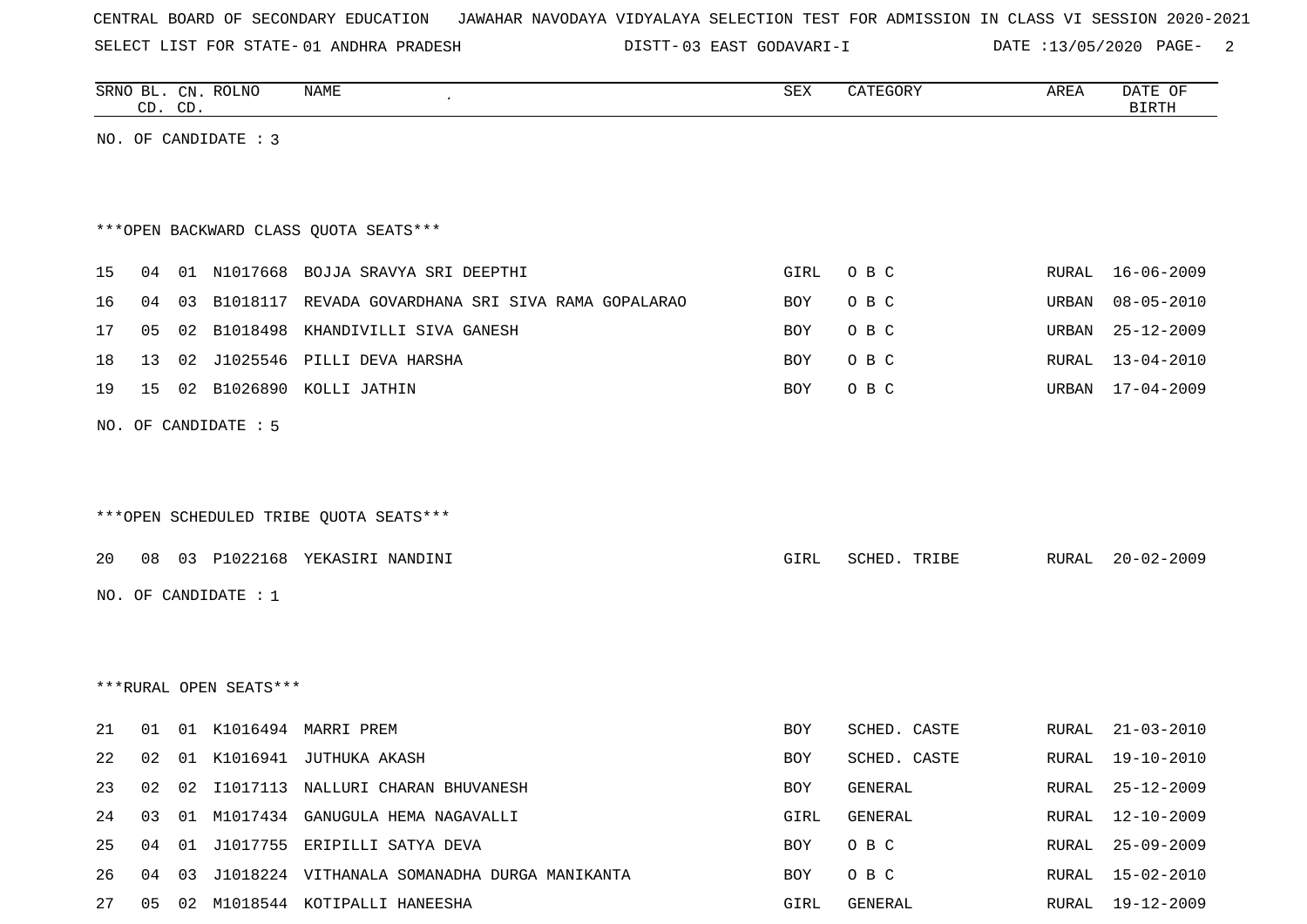SELECT LIST FOR STATE- DISTT- 01 ANDHRA PRADESH

DISTT-03 EAST GODAVARI-I DATE :13/05/2020 PAGE- 2

|    |    | CD. CD. | SRNO BL. CN. ROLNO     | NAME                                                  | ${\tt SEX}$ | CATEGORY     | AREA  | DATE OF<br><b>BIRTH</b> |
|----|----|---------|------------------------|-------------------------------------------------------|-------------|--------------|-------|-------------------------|
|    |    |         | NO. OF CANDIDATE : 3   |                                                       |             |              |       |                         |
|    |    |         |                        |                                                       |             |              |       |                         |
|    |    |         |                        |                                                       |             |              |       |                         |
|    |    |         |                        | *** OPEN BACKWARD CLASS QUOTA SEATS***                |             |              |       |                         |
| 15 | 04 |         |                        | 01 N1017668 BOJJA SRAVYA SRI DEEPTHI                  | GIRL        | O B C        | RURAL | 16-06-2009              |
| 16 | 04 |         |                        | 03 B1018117 REVADA GOVARDHANA SRI SIVA RAMA GOPALARAO | BOY         | O B C        | URBAN | $08 - 05 - 2010$        |
| 17 | 05 |         |                        | 02 B1018498 KHANDIVILLI SIVA GANESH                   | BOY         | O B C        | URBAN | 25-12-2009              |
| 18 | 13 |         |                        | 02 J1025546 PILLI DEVA HARSHA                         | BOY         | O B C        | RURAL | $13 - 04 - 2010$        |
| 19 | 15 |         |                        | 02 B1026890 KOLLI JATHIN                              | BOY         | O B C        | URBAN | 17-04-2009              |
|    |    |         | NO. OF CANDIDATE : 5   |                                                       |             |              |       |                         |
|    |    |         |                        |                                                       |             |              |       |                         |
|    |    |         |                        |                                                       |             |              |       |                         |
|    |    |         |                        | ***OPEN SCHEDULED TRIBE QUOTA SEATS***                |             |              |       |                         |
| 20 | 08 |         |                        | 03 P1022168 YEKASIRI NANDINI                          | GIRL        | SCHED. TRIBE | RURAL | $20 - 02 - 2009$        |
|    |    |         | NO. OF CANDIDATE : 1   |                                                       |             |              |       |                         |
|    |    |         |                        |                                                       |             |              |       |                         |
|    |    |         |                        |                                                       |             |              |       |                         |
|    |    |         | ***RURAL OPEN SEATS*** |                                                       |             |              |       |                         |
|    |    |         |                        |                                                       |             |              |       |                         |
| 21 | 01 |         |                        | 01 K1016494 MARRI PREM                                | BOY         | SCHED. CASTE | RURAL | $21 - 03 - 2010$        |
| 22 | 02 |         |                        | 01 K1016941 JUTHUKA AKASH                             | BOY         | SCHED. CASTE | RURAL | 19-10-2010              |
| 23 | 02 |         |                        | 02 I1017113 NALLURI CHARAN BHUVANESH                  | BOY         | GENERAL      | RURAL | $25 - 12 - 2009$        |
| 24 | 03 |         |                        | 01 M1017434 GANUGULA HEMA NAGAVALLI                   | GIRL        | GENERAL      | RURAL | 12-10-2009              |
| 25 | 04 |         |                        | 01 J1017755 ERIPILLI SATYA DEVA                       | BOY         | O B C        | RURAL | $25 - 09 - 2009$        |
| 26 | 04 |         |                        | 03 J1018224 VITHANALA SOMANADHA DURGA MANIKANTA       | BOY         | O B C        | RURAL | 15-02-2010              |
| 27 | 05 |         |                        | 02 M1018544 KOTIPALLI HANEESHA                        | GIRL        | GENERAL      | RURAL | 19-12-2009              |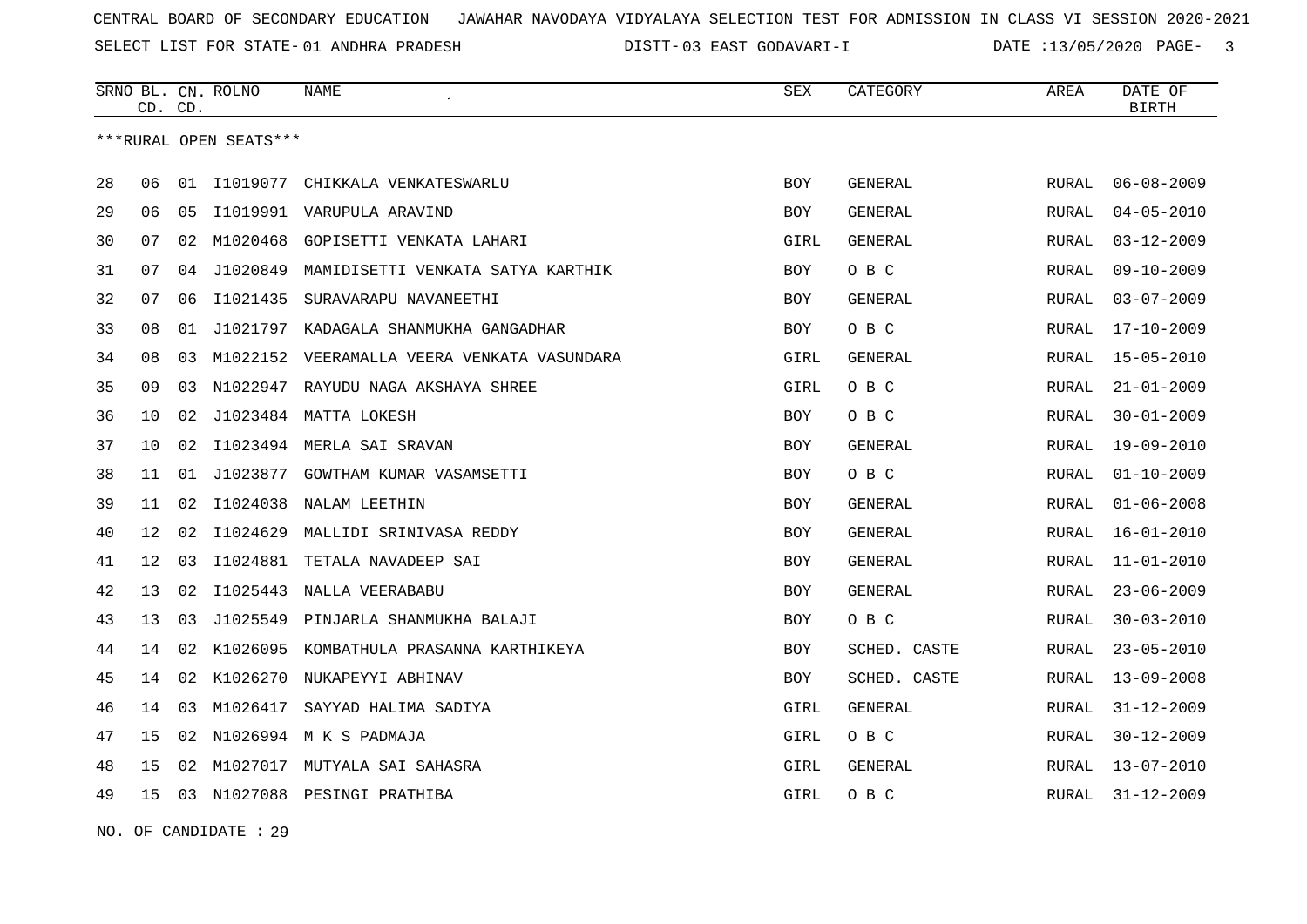SELECT LIST FOR STATE- DISTT- 01 ANDHRA PRADESH

03 EAST GODAVARI-I DATE :13/05/2020 PAGE- 3

|    |    | CD. CD. | SRNO BL. CN. ROLNO     | <b>NAME</b>                           | SEX        | CATEGORY     | AREA  | DATE OF<br><b>BIRTH</b> |
|----|----|---------|------------------------|---------------------------------------|------------|--------------|-------|-------------------------|
|    |    |         | ***RURAL OPEN SEATS*** |                                       |            |              |       |                         |
| 28 | 06 | 01      | I1019077               | CHIKKALA VENKATESWARLU                | <b>BOY</b> | GENERAL      | RURAL | $06 - 08 - 2009$        |
| 29 | 06 | 05      |                        | I1019991 VARUPULA ARAVIND             | BOY        | GENERAL      | RURAL | $04 - 05 - 2010$        |
| 30 | 07 | 02      | M1020468               | GOPISETTI VENKATA LAHARI              | GIRL       | GENERAL      | RURAL | $03 - 12 - 2009$        |
| 31 | 07 | 04      | J1020849               | MAMIDISETTI VENKATA SATYA KARTHIK     | <b>BOY</b> | O B C        | RURAL | $09 - 10 - 2009$        |
| 32 | 07 | 06      | I1021435               | SURAVARAPU NAVANEETHI                 | BOY        | GENERAL      | RURAL | $03 - 07 - 2009$        |
| 33 | 08 | 01      |                        | J1021797 KADAGALA SHANMUKHA GANGADHAR | BOY        | O B C        | RURAL | $17 - 10 - 2009$        |
| 34 | 08 | 03      | M1022152               | VEERAMALLA VEERA VENKATA VASUNDARA    | GIRL       | GENERAL      | RURAL | $15 - 05 - 2010$        |
| 35 | 09 | 03      |                        | N1022947 RAYUDU NAGA AKSHAYA SHREE    | GIRL       | O B C        | RURAL | $21 - 01 - 2009$        |
| 36 | 10 | 02      |                        | J1023484 MATTA LOKESH                 | <b>BOY</b> | O B C        | RURAL | $30 - 01 - 2009$        |
| 37 | 10 | 02      |                        | I1023494 MERLA SAI SRAVAN             | <b>BOY</b> | GENERAL      | RURAL | 19-09-2010              |
| 38 | 11 | 01      | J1023877               | GOWTHAM KUMAR VASAMSETTI              | <b>BOY</b> | O B C        | RURAL | $01 - 10 - 2009$        |
| 39 | 11 | 02      | I1024038               | NALAM LEETHIN                         | <b>BOY</b> | GENERAL      | RURAL | $01 - 06 - 2008$        |
| 40 | 12 | 02      | I1024629               | MALLIDI SRINIVASA REDDY               | BOY        | GENERAL      | RURAL | $16 - 01 - 2010$        |
| 41 | 12 | 03      |                        | I1024881 TETALA NAVADEEP SAI          | <b>BOY</b> | GENERAL      | RURAL | $11 - 01 - 2010$        |
| 42 | 13 | 02      | I1025443               | NALLA VEERABABU                       | <b>BOY</b> | GENERAL      | RURAL | $23 - 06 - 2009$        |
| 43 | 13 | 03      | J1025549               | PINJARLA SHANMUKHA BALAJI             | <b>BOY</b> | O B C        | RURAL | $30 - 03 - 2010$        |
| 44 | 14 | 02      | K1026095               | KOMBATHULA PRASANNA KARTHIKEYA        | BOY        | SCHED. CASTE | RURAL | $23 - 05 - 2010$        |
| 45 | 14 | 02      |                        | K1026270 NUKAPEYYI ABHINAV            | BOY        | SCHED. CASTE | RURAL | $13 - 09 - 2008$        |
| 46 | 14 | 03      | M1026417               | SAYYAD HALIMA SADIYA                  | GIRL       | GENERAL      | RURAL | $31 - 12 - 2009$        |
| 47 | 15 | 02      |                        | N1026994 M K S PADMAJA                | GIRL       | O B C        | RURAL | $30 - 12 - 2009$        |
| 48 | 15 | 02      |                        | M1027017 MUTYALA SAI SAHASRA          | GIRL       | GENERAL      | RURAL | $13 - 07 - 2010$        |
| 49 | 15 | 03      |                        | N1027088 PESINGI PRATHIBA             | GIRL       | O B C        | RURAL | $31 - 12 - 2009$        |

NO. OF CANDIDATE : 29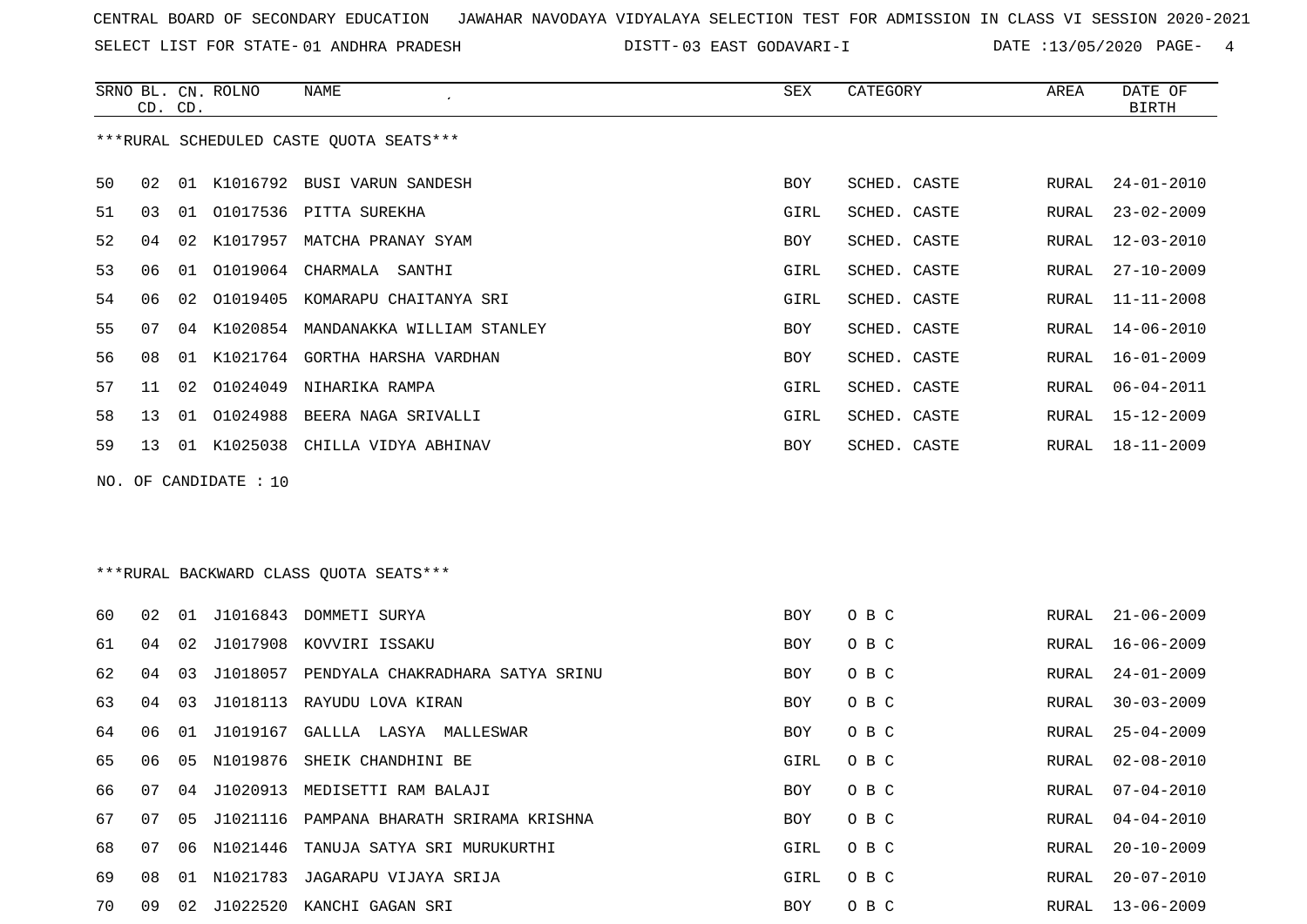SELECT LIST FOR STATE- DISTT- 01 ANDHRA PRADESH

DISTT-03 EAST GODAVARI-I DATE :13/05/2020 PAGE- 4

|    | CD. CD. |    | SRNO BL. CN. ROLNO    | NAME                                     | SEX  | CATEGORY     | AREA  | DATE OF<br><b>BIRTH</b> |
|----|---------|----|-----------------------|------------------------------------------|------|--------------|-------|-------------------------|
|    |         |    |                       | ***RURAL SCHEDULED CASTE QUOTA SEATS***  |      |              |       |                         |
| 50 | 02      |    |                       | 01 K1016792 BUSI VARUN SANDESH           | BOY  | SCHED. CASTE | RURAL | $24 - 01 - 2010$        |
| 51 | 03      | 01 |                       | 01017536 PITTA SUREKHA                   | GIRL | SCHED. CASTE | RURAL | $23 - 02 - 2009$        |
| 52 | 04      | 02 |                       | K1017957 MATCHA PRANAY SYAM              | BOY  | SCHED. CASTE | RURAL | 12-03-2010              |
| 53 | 06      | 01 | 01019064              | CHARMALA<br>SANTHI                       | GIRL | SCHED. CASTE | RURAL | $27 - 10 - 2009$        |
| 54 | 06      | 02 | 01019405              | KOMARAPU CHAITANYA SRI                   | GIRL | SCHED. CASTE | RURAL | $11 - 11 - 2008$        |
| 55 | 07      | 04 |                       | K1020854 MANDANAKKA WILLIAM STANLEY      | BOY  | SCHED. CASTE | RURAL | $14 - 06 - 2010$        |
| 56 | 08      | 01 |                       | K1021764 GORTHA HARSHA VARDHAN           | BOY  | SCHED. CASTE | RURAL | 16-01-2009              |
| 57 | 11      | 02 |                       | 01024049 NIHARIKA RAMPA                  | GIRL | SCHED. CASTE | RURAL | $06 - 04 - 2011$        |
| 58 | 13      | 01 | 01024988              | BEERA NAGA SRIVALLI                      | GIRL | SCHED. CASTE | RURAL | $15 - 12 - 2009$        |
| 59 | 13      |    |                       | 01 K1025038 CHILLA VIDYA ABHINAV         | BOY  | SCHED. CASTE | RURAL | $18 - 11 - 2009$        |
|    |         |    | NO. OF CANDIDATE : 10 |                                          |      |              |       |                         |
|    |         |    |                       |                                          |      |              |       |                         |
|    |         |    |                       |                                          |      |              |       |                         |
|    |         |    |                       | *** RURAL BACKWARD CLASS QUOTA SEATS***  |      |              |       |                         |
| 60 | 02      | 01 | J1016843              | DOMMETI SURYA                            | BOY  | O B C        | RURAL | $21 - 06 - 2009$        |
| 61 | 04      | 02 | J1017908              | KOVVIRI ISSAKU                           | BOY  | O B C        | RURAL | $16 - 06 - 2009$        |
| 62 | 04      | 03 | J1018057              | PENDYALA CHAKRADHARA SATYA SRINU         | BOY  | O B C        | RURAL | $24 - 01 - 2009$        |
| 63 | 04      | 03 |                       | J1018113 RAYUDU LOVA KIRAN               | BOY  | O B C        | RURAL | $30 - 03 - 2009$        |
| 64 | 06      | 01 | J1019167              | GALLLA LASYA MALLESWAR                   | BOY  | O B C        | RURAL | $25 - 04 - 2009$        |
| 65 | 06      | 05 |                       | N1019876 SHEIK CHANDHINI BE              | GIRL | O B C        | RURAL | $02 - 08 - 2010$        |
| 66 | 07      | 04 |                       | J1020913 MEDISETTI RAM BALAJI            | BOY  | O B C        | RURAL | $07 - 04 - 2010$        |
| 67 | 07      | 05 |                       | J1021116 PAMPANA BHARATH SRIRAMA KRISHNA | BOY  | O B C        | RURAL | $04 - 04 - 2010$        |
| 68 | 07      |    |                       | 06 N1021446 TANUJA SATYA SRI MURUKURTHI  | GIRL | O B C        | RURAL | $20 - 10 - 2009$        |
| 69 | 08      |    |                       | 01 N1021783 JAGARAPU VIJAYA SRIJA        | GIRL | O B C        | RURAL | $20 - 07 - 2010$        |
| 70 | 09      |    |                       | 02 J1022520 KANCHI GAGAN SRI             | BOY  | O B C        | RURAL | $13 - 06 - 2009$        |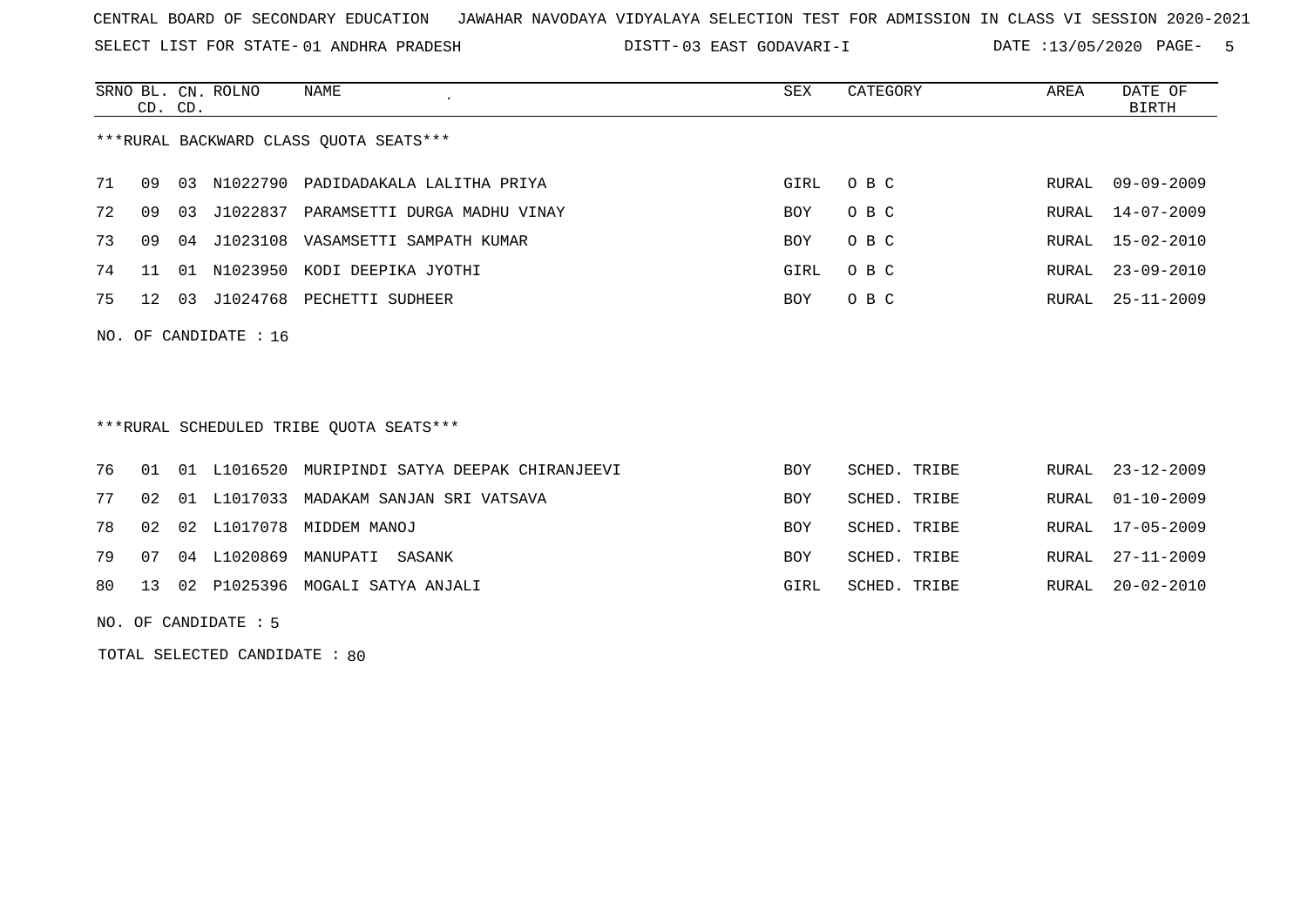SELECT LIST FOR STATE- DISTT- 01 ANDHRA PRADESH

03 EAST GODAVARI-I DATE :13/05/2020 PAGE- 5

|                                         | CD. CD. |       | SRNO BL. CN. ROLNO      | NAME<br>$\cdot$              | SEX  | CATEGORY | AREA  | DATE OF<br>BIRTH |  |
|-----------------------------------------|---------|-------|-------------------------|------------------------------|------|----------|-------|------------------|--|
| *** RURAL BACKWARD CLASS QUOTA SEATS*** |         |       |                         |                              |      |          |       |                  |  |
| 71                                      | 09      | 03    | N1022790                | PADIDADAKALA LALITHA PRIYA   | GIRL | O B C    | RURAL | 09-09-2009       |  |
| 72                                      | 09      | 03    | J1022837                | PARAMSETTI DURGA MADHU VINAY | BOY  | O B C    | RURAL | 14-07-2009       |  |
| 73                                      | 09      | 04    | J1023108                | VASAMSETTI SAMPATH KUMAR     | BOY  | O B C    |       | RURAL 15-02-2010 |  |
| 74                                      |         | . N 1 | N1023950                | KODI DEEPIKA JYOTHI          | GIRL | O B C    | RURAL | $23 - 09 - 2010$ |  |
| 75                                      | 12      | 03    | J1024768                | PECHETTI SUDHEER             | BOY  | O B C    | RURAL | 25-11-2009       |  |
|                                         |         |       | NO. OF CANDIDATE : $16$ |                              |      |          |       |                  |  |

\*\*\*RURAL SCHEDULED TRIBE QUOTA SEATS\*\*\*

|  |  | 76 01 01 L1016520 MURIPINDI SATYA DEEPAK CHIRANJEEVI | <b>BOY</b> | SCHED. TRIBE | RURAL 23-12-2009 |
|--|--|------------------------------------------------------|------------|--------------|------------------|
|  |  | 77 02 01 L1017033 MADAKAM SANJAN SRI VATSAVA         | BOY.       | SCHED. TRIBE | RURAL 01-10-2009 |
|  |  | 78 02 02 L1017078 MIDDEM MANOJ                       | <b>BOY</b> | SCHED. TRIBE | RURAL 17-05-2009 |
|  |  | 79 07 04 L1020869 MANUPATI SASANK                    | <b>BOY</b> | SCHED. TRIBE | RURAL 27-11-2009 |
|  |  | 80 13 02 P1025396 MOGALI SATYA ANJALI                | GIRL       | SCHED. TRIBE | RURAL 20-02-2010 |
|  |  |                                                      |            |              |                  |

NO. OF CANDIDATE : 5

TOTAL SELECTED CANDIDATE : 80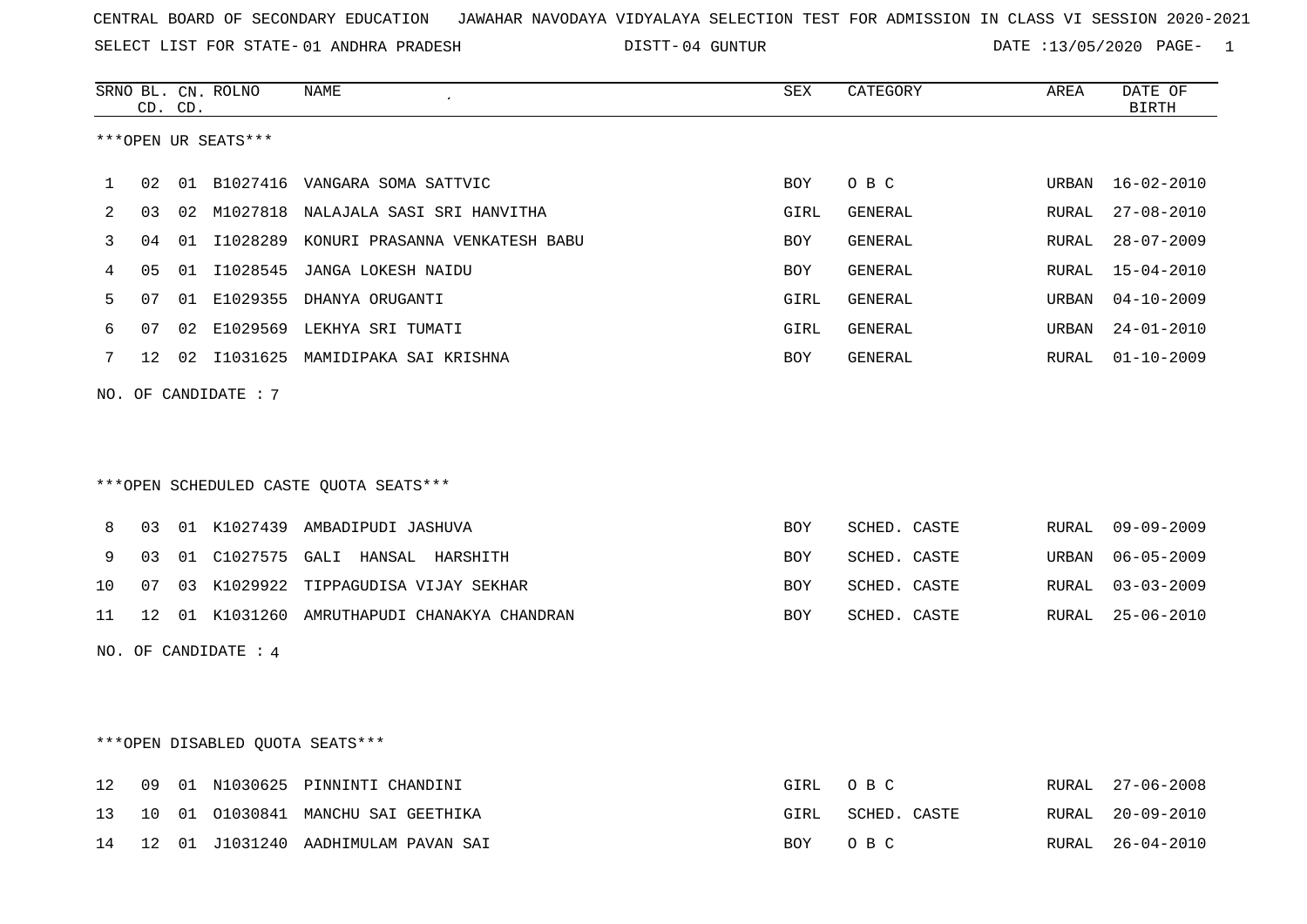SELECT LIST FOR STATE- DISTT- 01 ANDHRA PRADESH

04 GUNTUR DATE :13/05/2020 PAGE- 1

|    |    | CD. CD. | SRNO BL. CN. ROLNO   | <b>NAME</b>                                | <b>SEX</b> | CATEGORY     | AREA  | DATE OF<br><b>BIRTH</b> |
|----|----|---------|----------------------|--------------------------------------------|------------|--------------|-------|-------------------------|
|    |    |         | ***OPEN UR SEATS***  |                                            |            |              |       |                         |
| 1  | 02 |         |                      | 01 B1027416 VANGARA SOMA SATTVIC           | <b>BOY</b> | O B C        | URBAN | $16 - 02 - 2010$        |
| 2  | 03 |         |                      | 02 M1027818 NALAJALA SASI SRI HANVITHA     | GIRL       | GENERAL      | RURAL | $27 - 08 - 2010$        |
| 3  | 04 |         |                      | 01 I1028289 KONURI PRASANNA VENKATESH BABU | <b>BOY</b> | GENERAL      | RURAL | $28 - 07 - 2009$        |
| 4  | 05 | 01      |                      | I1028545 JANGA LOKESH NAIDU                | BOY        | GENERAL      | RURAL | $15 - 04 - 2010$        |
| 5  | 07 |         |                      | 01 E1029355 DHANYA ORUGANTI                | GIRL       | GENERAL      | URBAN | $04 - 10 - 2009$        |
| 6  | 07 |         |                      | 02 E1029569 LEKHYA SRI TUMATI              | GIRL       | GENERAL      | URBAN | $24 - 01 - 2010$        |
| 7  |    |         |                      | 12 02 I1031625 MAMIDIPAKA SAI KRISHNA      | BOY        | GENERAL      | RURAL | $01 - 10 - 2009$        |
|    |    |         | NO. OF CANDIDATE : 7 |                                            |            |              |       |                         |
|    |    |         |                      |                                            |            |              |       |                         |
|    |    |         |                      |                                            |            |              |       |                         |
|    |    |         |                      | ***OPEN SCHEDULED CASTE QUOTA SEATS***     |            |              |       |                         |
| 8  | 03 |         |                      | 01 K1027439 AMBADIPUDI JASHUVA             | <b>BOY</b> | SCHED. CASTE | RURAL | $09 - 09 - 2009$        |
| 9  | 03 |         |                      | 01 C1027575 GALI HANSAL HARSHITH           | BOY        | SCHED. CASTE | URBAN | $06 - 05 - 2009$        |
| 10 | 07 |         |                      | 03 K1029922 TIPPAGUDISA VIJAY SEKHAR       | <b>BOY</b> | SCHED. CASTE | RURAL | $03 - 03 - 2009$        |
| 11 | 12 |         |                      | 01 K1031260 AMRUTHAPUDI CHANAKYA CHANDRAN  | <b>BOY</b> | SCHED. CASTE | RURAL | $25 - 06 - 2010$        |
|    |    |         | NO. OF CANDIDATE : 4 |                                            |            |              |       |                         |
|    |    |         |                      |                                            |            |              |       |                         |
|    |    |         |                      |                                            |            |              |       |                         |
|    |    |         |                      | ***OPEN DISABLED QUOTA SEATS***            |            |              |       |                         |
| 12 | 09 |         |                      | 01 N1030625 PINNINTI CHANDINI              | GIRL       | O B C        | RURAL | $27 - 06 - 2008$        |

13 10 01 O1030841 MANCHU SAI GEETHIKA GIRL SCHED. CASTE RURAL 20-09-2010

14 12 01 J1031240 AADHIMULAM PAVAN SAI BOY O B C RURAL 26-04-2010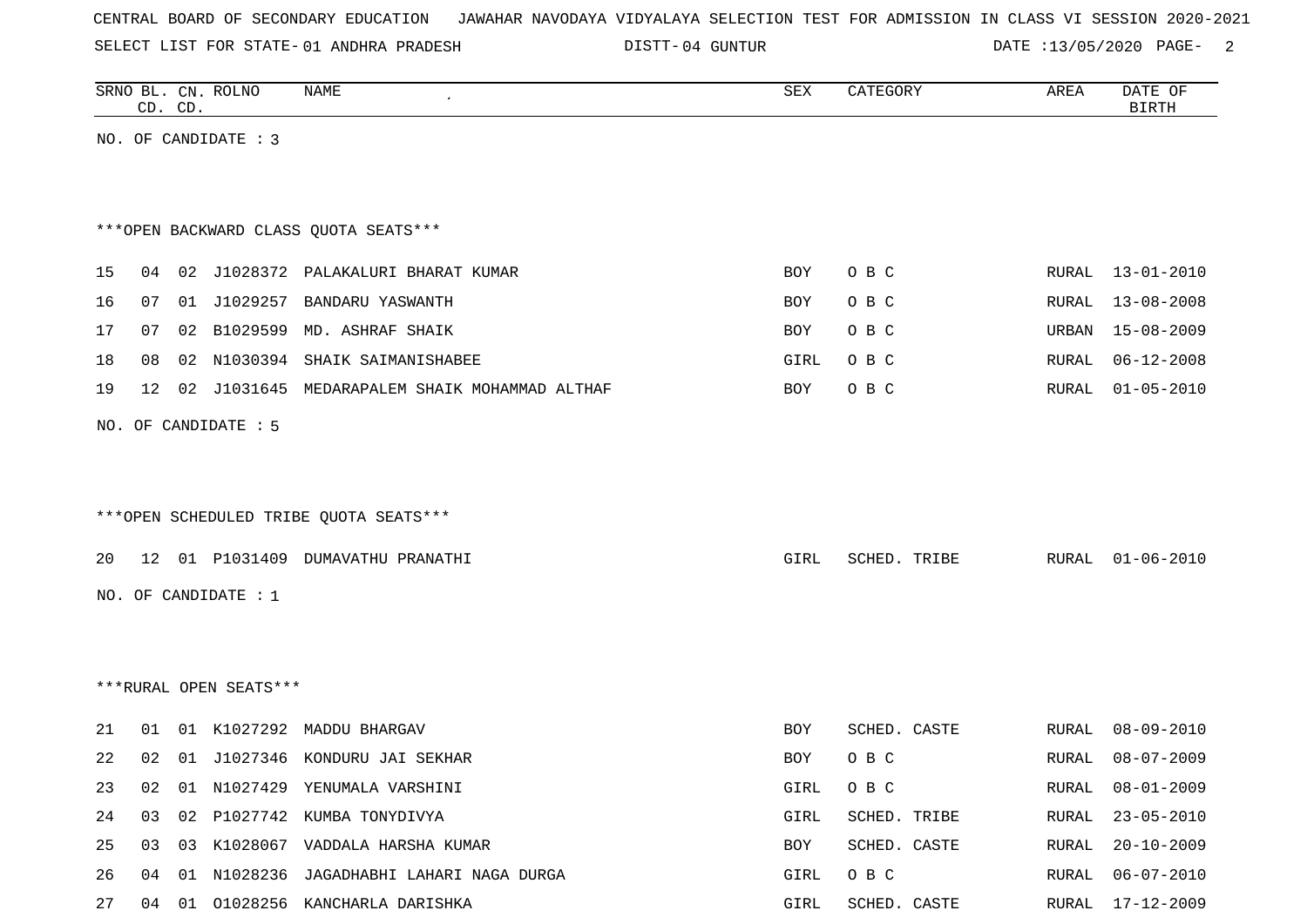|  |  | CENTRAL BOARD OF SECONDARY EDUCATION JAWAHAR NAVODAYA VIDYALAYA SELECTION TEST FOR ADMISSION IN CLASS VI SESSION 2020-2021 |  |  |  |  |  |  |  |
|--|--|----------------------------------------------------------------------------------------------------------------------------|--|--|--|--|--|--|--|
|  |  |                                                                                                                            |  |  |  |  |  |  |  |

SELECT LIST FOR STATE- 01 ANDHRA PRADESH

01 ANDHRA PRADESH 04 GUNTUR DATE :13/05/2020 PAGE- 2

|    |    | CD. CD. | SRNO BL. CN. ROLNO     | NAME                                          | SEX        | CATEGORY     | AREA         | DATE OF<br><b>BIRTH</b> |
|----|----|---------|------------------------|-----------------------------------------------|------------|--------------|--------------|-------------------------|
|    |    |         | NO. OF CANDIDATE : 3   |                                               |            |              |              |                         |
|    |    |         |                        |                                               |            |              |              |                         |
|    |    |         |                        |                                               |            |              |              |                         |
|    |    |         |                        | *** OPEN BACKWARD CLASS QUOTA SEATS***        |            |              |              |                         |
| 15 | 04 |         |                        | 02 J1028372 PALAKALURI BHARAT KUMAR           | <b>BOY</b> | O B C        | RURAL        | $13 - 01 - 2010$        |
| 16 | 07 |         |                        | 01 J1029257 BANDARU YASWANTH                  | BOY        | O B C        | RURAL        | $13 - 08 - 2008$        |
| 17 | 07 |         |                        | 02 B1029599 MD. ASHRAF SHAIK                  | BOY        | O B C        | URBAN        | $15 - 08 - 2009$        |
| 18 | 08 |         |                        | 02 N1030394 SHAIK SAIMANISHABEE               | GIRL       | O B C        | RURAL        | $06 - 12 - 2008$        |
| 19 | 12 |         |                        | 02 J1031645 MEDARAPALEM SHAIK MOHAMMAD ALTHAF | BOY        | O B C        | <b>RURAL</b> | $01 - 05 - 2010$        |
|    |    |         | NO. OF CANDIDATE : 5   |                                               |            |              |              |                         |
|    |    |         |                        |                                               |            |              |              |                         |
|    |    |         |                        |                                               |            |              |              |                         |
|    |    |         |                        | ***OPEN SCHEDULED TRIBE QUOTA SEATS***        |            |              |              |                         |
| 20 |    |         |                        | 12 01 P1031409 DUMAVATHU PRANATHI             | GIRL       | SCHED. TRIBE | RURAL        | $01 - 06 - 2010$        |
|    |    |         | NO. OF CANDIDATE : $1$ |                                               |            |              |              |                         |
|    |    |         |                        |                                               |            |              |              |                         |
|    |    |         |                        |                                               |            |              |              |                         |
|    |    |         | ***RURAL OPEN SEATS*** |                                               |            |              |              |                         |
|    |    |         |                        |                                               |            |              |              |                         |
| 21 | 01 |         |                        | 01 K1027292 MADDU BHARGAV                     | BOY        | SCHED. CASTE | RURAL        | $08 - 09 - 2010$        |
| 22 | 02 |         |                        | 01 J1027346 KONDURU JAI SEKHAR                | BOY        | O B C        | RURAL        | $08 - 07 - 2009$        |
| 23 | 02 |         |                        | 01 N1027429 YENUMALA VARSHINI                 | GIRL       | O B C        |              | RURAL 08-01-2009        |
| 24 | 03 |         |                        | 02 P1027742 KUMBA TONYDIVYA                   | GIRL       | SCHED. TRIBE | RURAL        | $23 - 05 - 2010$        |
| 25 |    |         |                        | 03 03 K1028067 VADDALA HARSHA KUMAR           | BOY        | SCHED. CASTE | RURAL        | $20 - 10 - 2009$        |
| 26 |    |         |                        | 04 01 N1028236 JAGADHABHI LAHARI NAGA DURGA   | GIRL       | O B C        | RURAL        | $06 - 07 - 2010$        |
| 27 | 04 |         |                        | 01 01028256 KANCHARLA DARISHKA                | GIRL       | SCHED. CASTE | RURAL        | 17-12-2009              |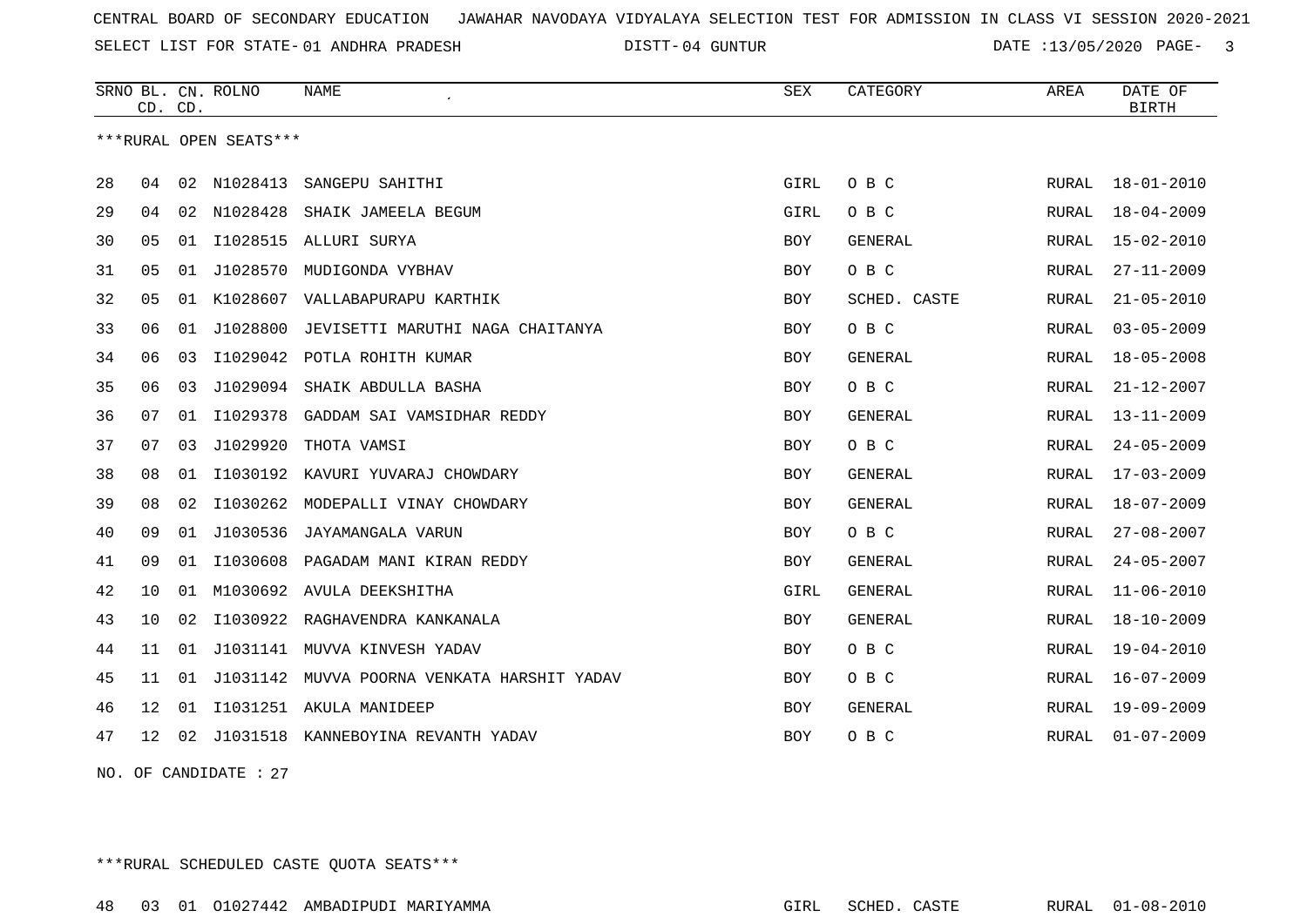SELECT LIST FOR STATE- DISTT- 01 ANDHRA PRADESH

04 GUNTUR DATE :13/05/2020 PAGE- 3

|    |                 | CD. CD. | SRNO BL. CN. ROLNO     | <b>NAME</b>                           | <b>SEX</b> | CATEGORY       | AREA         | DATE OF<br><b>BIRTH</b> |
|----|-----------------|---------|------------------------|---------------------------------------|------------|----------------|--------------|-------------------------|
|    |                 |         | ***RURAL OPEN SEATS*** |                                       |            |                |              |                         |
| 28 | 04              |         | 02 N1028413            | SANGEPU SAHITHI                       | GIRL       | O B C          | RURAL        | $18 - 01 - 2010$        |
|    |                 |         |                        |                                       |            |                |              |                         |
| 29 | 04              | 02      | N1028428               | SHAIK JAMEELA BEGUM                   | GIRL       | O B C          | RURAL        | $18 - 04 - 2009$        |
| 30 | 05              | 01      |                        | I1028515 ALLURI SURYA                 | <b>BOY</b> | <b>GENERAL</b> | RURAL        | $15 - 02 - 2010$        |
| 31 | 05              | 01      | J1028570               | MUDIGONDA VYBHAV                      | BOY        | O B C          | RURAL        | $27 - 11 - 2009$        |
| 32 | 05              | 01      | K1028607               | VALLABAPURAPU KARTHIK                 | BOY        | SCHED. CASTE   | RURAL        | $21 - 05 - 2010$        |
| 33 | 06              | 01      | J1028800               | JEVISETTI MARUTHI NAGA CHAITANYA      | <b>BOY</b> | O B C          | RURAL        | $03 - 05 - 2009$        |
| 34 | 06              | 03      | I1029042               | POTLA ROHITH KUMAR                    | <b>BOY</b> | GENERAL        | RURAL        | $18 - 05 - 2008$        |
| 35 | 06              | 03      | J1029094               | SHAIK ABDULLA BASHA                   | <b>BOY</b> | O B C          | RURAL        | $21 - 12 - 2007$        |
| 36 | 07              | 01      |                        | I1029378 GADDAM SAI VAMSIDHAR REDDY   | <b>BOY</b> | <b>GENERAL</b> | RURAL        | $13 - 11 - 2009$        |
| 37 | 07              | 03      | J1029920               | THOTA VAMSI                           | <b>BOY</b> | O B C          | RURAL        | $24 - 05 - 2009$        |
| 38 | 08              | 01      |                        | I1030192 KAVURI YUVARAJ CHOWDARY      | <b>BOY</b> | <b>GENERAL</b> | RURAL        | $17 - 03 - 2009$        |
| 39 | 08              | 02      | I1030262               | MODEPALLI VINAY CHOWDARY              | <b>BOY</b> | <b>GENERAL</b> | RURAL        | $18 - 07 - 2009$        |
| 40 | 09              | 01      | J1030536               | JAYAMANGALA VARUN                     | BOY        | O B C          | RURAL        | $27 - 08 - 2007$        |
| 41 | 09              | 01      | I1030608               | PAGADAM MANI KIRAN REDDY              | <b>BOY</b> | GENERAL        | RURAL        | $24 - 05 - 2007$        |
| 42 | 10              | 01      |                        | M1030692 AVULA DEEKSHITHA             | GIRL       | <b>GENERAL</b> | <b>RURAL</b> | $11 - 06 - 2010$        |
| 43 | 10              | 02      |                        | I1030922 RAGHAVENDRA KANKANALA        | <b>BOY</b> | <b>GENERAL</b> | RURAL        | $18 - 10 - 2009$        |
| 44 | 11              | 01      | J1031141               | MUVVA KINVESH YADAV                   | <b>BOY</b> | O B C          | RURAL        | 19-04-2010              |
| 45 | 11              | 01      | J1031142               | MUVVA POORNA VENKATA HARSHIT YADAV    | BOY        | O B C          | RURAL        | $16 - 07 - 2009$        |
| 46 | 12              | 01      |                        | I1031251 AKULA MANIDEEP               | <b>BOY</b> | <b>GENERAL</b> | RURAL        | 19-09-2009              |
| 47 | 12 <sup>7</sup> |         |                        | 02 J1031518 KANNEBOYINA REVANTH YADAV | <b>BOY</b> | O B C          | RURAL        | $01 - 07 - 2009$        |
|    |                 |         |                        |                                       |            |                |              |                         |

NO. OF CANDIDATE : 27

\*\*\*RURAL SCHEDULED CASTE QUOTA SEATS\*\*\*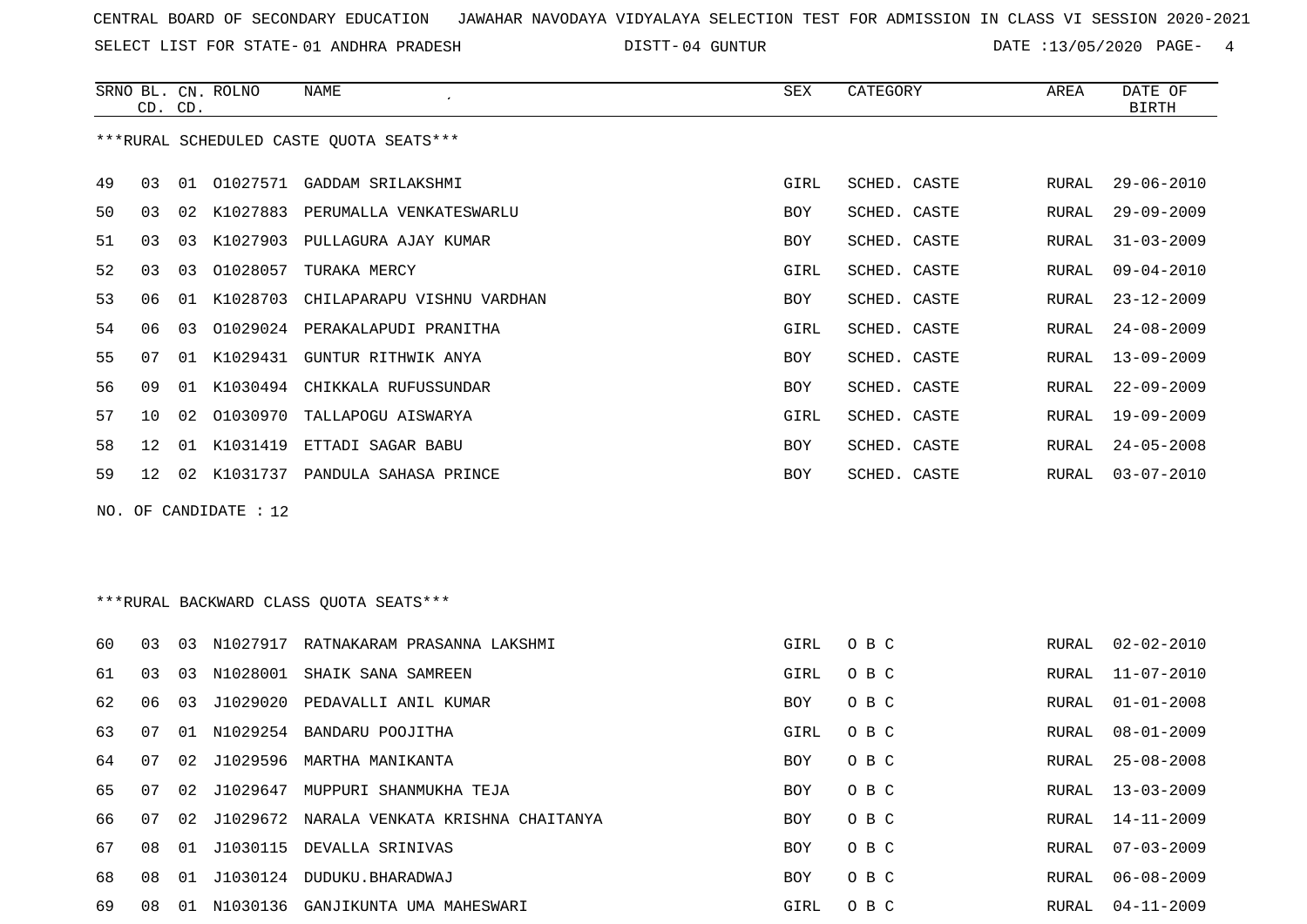SELECT LIST FOR STATE- DISTT- 01 ANDHRA PRADESH

04 GUNTUR DATE :13/05/2020 PAGE- 4

|     | CD. CD.         |                      | SRNO BL. CN. ROLNO | <b>NAME</b>                              | <b>SEX</b> | CATEGORY     | AREA  | DATE OF<br><b>BIRTH</b> |
|-----|-----------------|----------------------|--------------------|------------------------------------------|------------|--------------|-------|-------------------------|
|     |                 |                      |                    | *** RURAL SCHEDULED CASTE QUOTA SEATS*** |            |              |       |                         |
| 49  | 03              | 01                   |                    | 01027571 GADDAM SRILAKSHMI               | GIRL       | SCHED. CASTE | RURAL | $29 - 06 - 2010$        |
| 50  | 03              | 02 <sub>o</sub>      | K1027883           | PERUMALLA VENKATESWARLU                  | BOY        | SCHED. CASTE | RURAL | $29 - 09 - 2009$        |
| 51  | 03              | 03                   | K1027903           | PULLAGURA AJAY KUMAR                     | BOY        | SCHED. CASTE | RURAL | $31 - 03 - 2009$        |
| 52  | 03              | 03                   | 01028057           | TURAKA MERCY                             | GIRL       | SCHED. CASTE | RURAL | $09 - 04 - 2010$        |
| 53  | 06              | 01                   | K1028703           | CHILAPARAPU VISHNU VARDHAN               | <b>BOY</b> | SCHED. CASTE | RURAL | $23 - 12 - 2009$        |
| 54  | 06              | 03                   | 01029024           | PERAKALAPUDI PRANITHA                    | GIRL       | SCHED. CASTE | RURAL | $24 - 08 - 2009$        |
| 55  | 07              |                      |                    | 01 K1029431 GUNTUR RITHWIK ANYA          | BOY        | SCHED. CASTE | RURAL | $13 - 09 - 2009$        |
| 56  | 09              |                      |                    | 01 K1030494 CHIKKALA RUFUSSUNDAR         | <b>BOY</b> | SCHED. CASTE | RURAL | $22 - 09 - 2009$        |
| 57  | 10              | 02                   | 01030970           | TALLAPOGU AISWARYA                       | GIRL       | SCHED. CASTE | RURAL | $19 - 09 - 2009$        |
| 58  | $12 \,$         | 01                   | K1031419           | ETTADI SAGAR BABU                        | BOY        | SCHED. CASTE | RURAL | $24 - 05 - 2008$        |
| 59  | 12 <sup>°</sup> |                      |                    | 02 K1031737 PANDULA SAHASA PRINCE        | <b>BOY</b> | SCHED. CASTE | RURAL | $03 - 07 - 2010$        |
| NO. |                 |                      | OF CANDIDATE : 12  |                                          |            |              |       |                         |
|     |                 |                      |                    | *** RURAL BACKWARD CLASS QUOTA SEATS***  |            |              |       |                         |
| 60  | 03              |                      |                    | 03 N1027917 RATNAKARAM PRASANNA LAKSHMI  | GIRL       | O B C        | RURAL | $02 - 02 - 2010$        |
| 61  | 0 <sub>3</sub>  | 03                   |                    | N1028001 SHAIK SANA SAMREEN              | GIRL       | O B C        | RURAL | $11 - 07 - 2010$        |
|     |                 | $\sim$ $\sim$ $\sim$ | .                  |                                          |            |              |       | .                       |

| 60 | 03 | 03 | N1027917    | RATNAKARAM PRASANNA LAKSHMI      | GIRL       | O B C | RURAL | 02-02-2010       |
|----|----|----|-------------|----------------------------------|------------|-------|-------|------------------|
| 61 | 03 | 03 |             | N1028001 SHAIK SANA SAMREEN      | GIRL       | O B C | RURAL | $11 - 07 - 2010$ |
| 62 | 06 | 03 | J1029020    | PEDAVALLI ANIL KUMAR             | BOY        | O B C | RURAL | $01 - 01 - 2008$ |
| 63 | 07 | 01 |             | N1029254 BANDARU POOJITHA        | GIRL       | O B C | RURAL | 08-01-2009       |
| 64 | 07 |    | 02 J1029596 | MARTHA MANIKANTA                 | BOY        | O B C | RURAL | 25-08-2008       |
| 65 | 07 |    | 02 J1029647 | MUPPURI SHANMUKHA TEJA           | BOY        | O B C | RURAL | $13 - 03 - 2009$ |
| 66 | 07 |    | 02 J1029672 | NARALA VENKATA KRISHNA CHAITANYA | <b>BOY</b> | O B C | RURAL | 14-11-2009       |
| 67 | 08 |    |             | 01 J1030115 DEVALLA SRINIVAS     | BOY        | O B C | RURAL | $07 - 03 - 2009$ |
| 68 | 08 |    | 01 J1030124 | DUDUKU.BHARADWAJ                 | BOY        | O B C | RURAL | 06-08-2009       |
| 69 | 08 | 01 | N1030136    | GANJIKUNTA UMA MAHESWARI         | GIRL       | O B C | RURAL | $04 - 11 - 2009$ |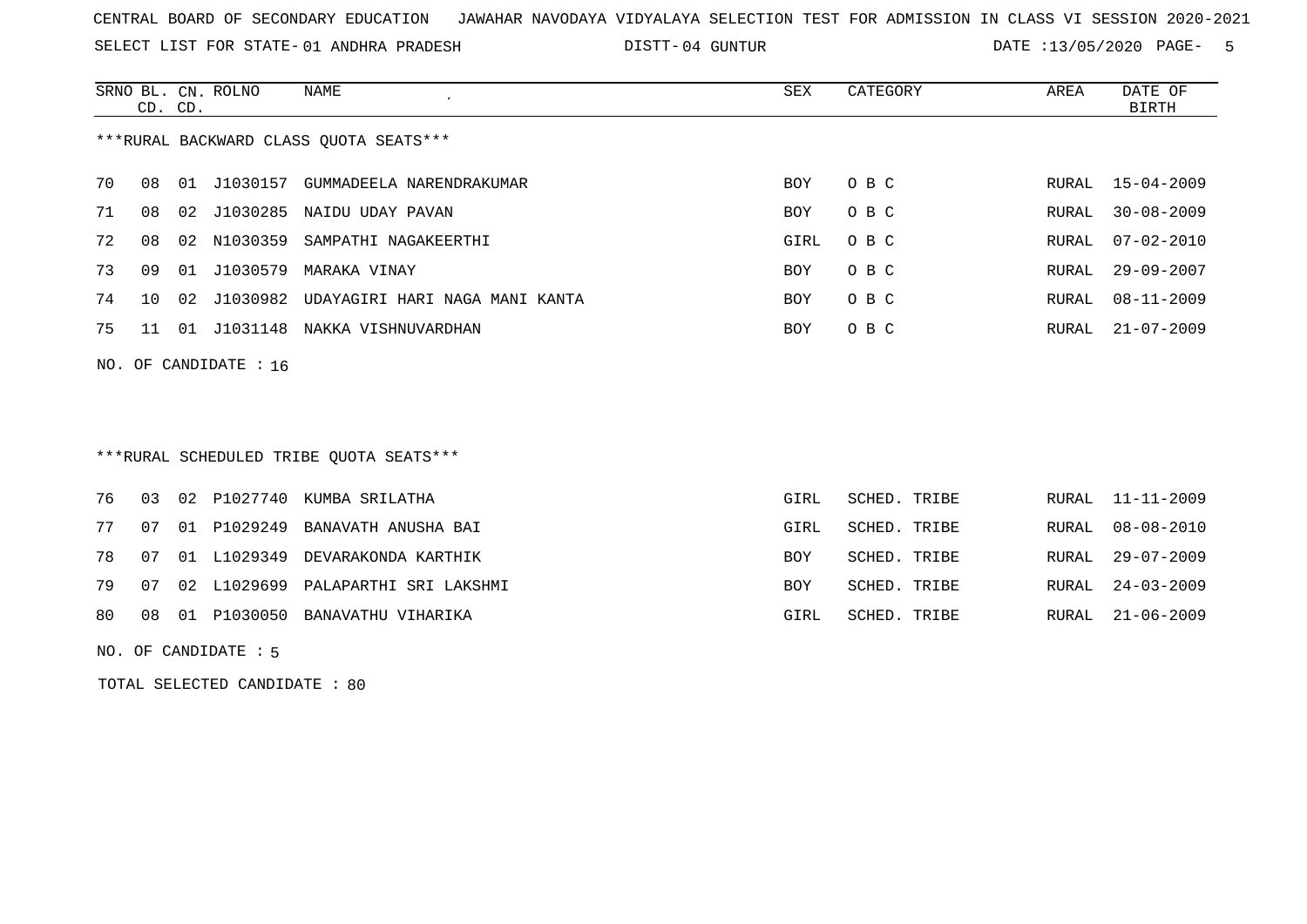SELECT LIST FOR STATE- DISTT- 01 ANDHRA PRADESH

04 GUNTUR DATE :13/05/2020 PAGE- 5

|                                        | CD. CD. |    | SRNO BL. CN. ROLNO | NAME<br>$\cdot$                         | SEX        | CATEGORY | AREA  | DATE OF<br>BIRTH |
|----------------------------------------|---------|----|--------------------|-----------------------------------------|------------|----------|-------|------------------|
| ***RURAL BACKWARD CLASS OUOTA SEATS*** |         |    |                    |                                         |            |          |       |                  |
| 70                                     | 08      | 01 | J1030157           | GUMMADEELA NARENDRAKUMAR                | BOY        | O B C    | RURAL | $15 - 04 - 2009$ |
| 71                                     | 08      | 02 | J1030285           | NAIDU UDAY PAVAN                        | BOY        | O B C    | RURAL | $30 - 08 - 2009$ |
| 72                                     | 08      | 02 | N1030359           | SAMPATHI NAGAKEERTHI                    | GIRL       | O B C    | RURAL | $07 - 02 - 2010$ |
| 73                                     | 09      | 01 | J1030579           | MARAKA VINAY                            | <b>BOY</b> | O B C    | RURAL | $29 - 09 - 2007$ |
| 74                                     | 10      | 02 |                    | J1030982 UDAYAGIRI HARI NAGA MANI KANTA | <b>BOY</b> | O B C    | RURAL | $08 - 11 - 2009$ |
| 75                                     | 11      | 01 | J1031148           | NAKKA VISHNUVARDHAN                     | <b>BOY</b> | O B C    | RURAL | $21 - 07 - 2009$ |
|                                        |         |    |                    |                                         |            |          |       |                  |

NO. OF CANDIDATE : 16

# \*\*\*RURAL SCHEDULED TRIBE QUOTA SEATS\*\*\*

|  |  | 76 03 02 P1027740 KUMBA SRILATHA         | GIRL       | SCHED. TRIBE |  | RURAL 11-11-2009 |
|--|--|------------------------------------------|------------|--------------|--|------------------|
|  |  | 77 07 01 P1029249 BANAVATH ANUSHA BAI    | GIRL       | SCHED. TRIBE |  | RURAL 08-08-2010 |
|  |  | 78 07 01 L1029349 DEVARAKONDA KARTHIK    | <b>BOY</b> | SCHED. TRIBE |  | RURAL 29-07-2009 |
|  |  | 79 07 02 L1029699 PALAPARTHI SRI LAKSHMI | <b>BOY</b> | SCHED. TRIBE |  | RURAL 24-03-2009 |
|  |  | 80 08 01 P1030050 BANAVATHU VIHARIKA     | GIRL       | SCHED. TRIBE |  | RURAL 21-06-2009 |

NO. OF CANDIDATE : 5

TOTAL SELECTED CANDIDATE : 80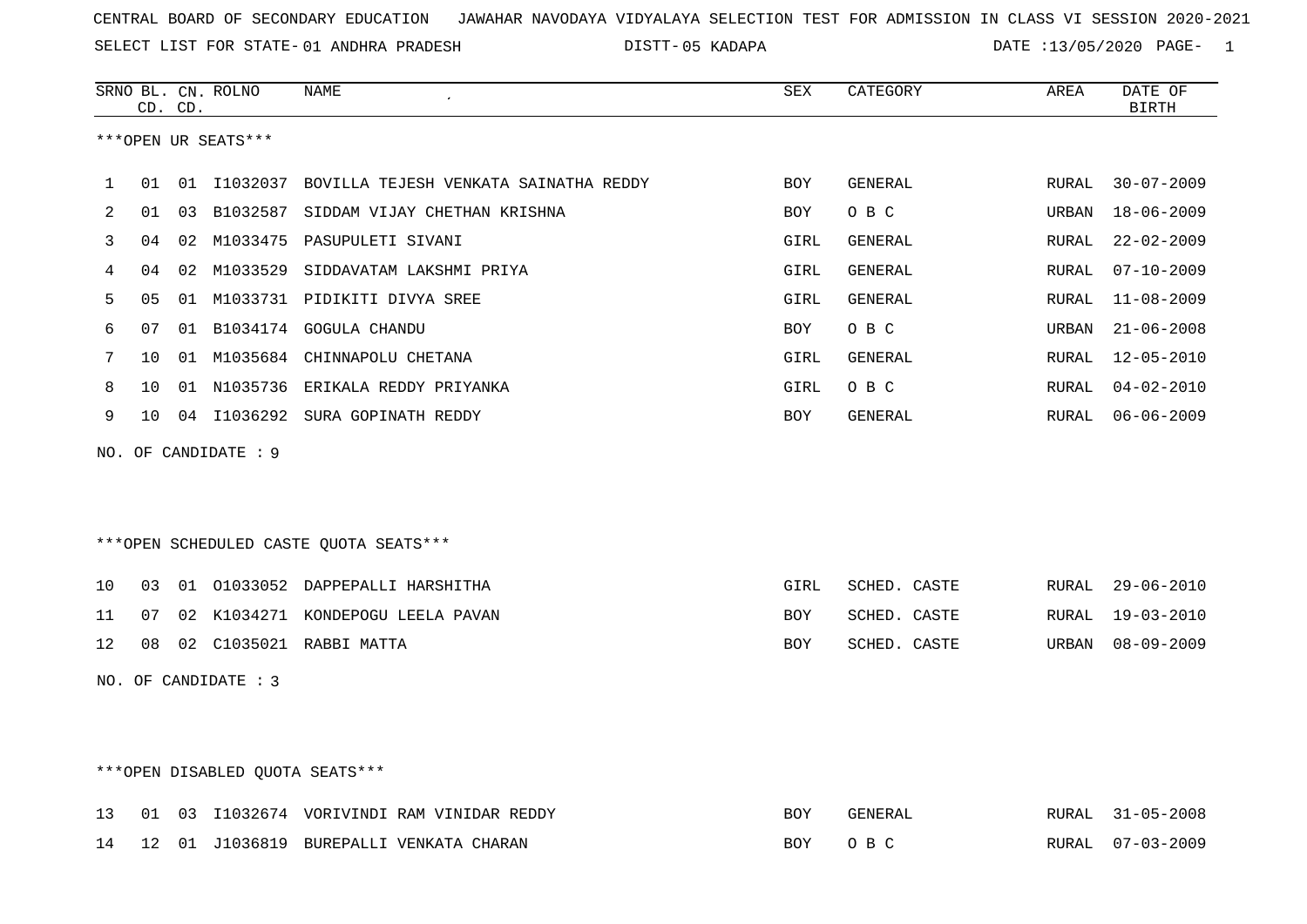SELECT LIST FOR STATE- DISTT- 01 ANDHRA PRADESH

05 KADAPA DATE :13/05/2020 PAGE- 1

|     |    | CD. CD. | SRNO BL. CN. ROLNO   | <b>NAME</b>                                       | ${\tt SEX}$ | CATEGORY     | AREA  | DATE OF<br><b>BIRTH</b> |
|-----|----|---------|----------------------|---------------------------------------------------|-------------|--------------|-------|-------------------------|
|     |    |         | ***OPEN UR SEATS***  |                                                   |             |              |       |                         |
|     |    |         |                      |                                                   |             |              |       |                         |
| 1   | 01 |         |                      | 01 I1032037 BOVILLA TEJESH VENKATA SAINATHA REDDY | BOY         | GENERAL      | RURAL | $30 - 07 - 2009$        |
| 2   | 01 | 03      | B1032587             | SIDDAM VIJAY CHETHAN KRISHNA                      | BOY         | O B C        | URBAN | $18 - 06 - 2009$        |
| 3   | 04 | 02      |                      | M1033475 PASUPULETI SIVANI                        | GIRL        | GENERAL      | RURAL | $22 - 02 - 2009$        |
| 4   | 04 | 02      |                      | M1033529 SIDDAVATAM LAKSHMI PRIYA                 | GIRL        | GENERAL      | RURAL | $07 - 10 - 2009$        |
| 5   | 05 | 01      |                      | M1033731 PIDIKITI DIVYA SREE                      | GIRL        | GENERAL      | RURAL | $11 - 08 - 2009$        |
| 6   | 07 |         |                      | 01 B1034174 GOGULA CHANDU                         | <b>BOY</b>  | O B C        | URBAN | $21 - 06 - 2008$        |
| 7   | 10 |         |                      | 01 M1035684 CHINNAPOLU CHETANA                    | GIRL        | GENERAL      | RURAL | $12 - 05 - 2010$        |
| 8   | 10 | 01      |                      | N1035736 ERIKALA REDDY PRIYANKA                   | GIRL        | O B C        | RURAL | $04 - 02 - 2010$        |
| 9   | 10 |         |                      | 04 I1036292 SURA GOPINATH REDDY                   | BOY         | GENERAL      | RURAL | $06 - 06 - 2009$        |
| NO. |    |         | OF CANDIDATE : 9     |                                                   |             |              |       |                         |
|     |    |         |                      |                                                   |             |              |       |                         |
|     |    |         |                      |                                                   |             |              |       |                         |
|     |    |         |                      | ***OPEN SCHEDULED CASTE QUOTA SEATS***            |             |              |       |                         |
|     |    |         |                      |                                                   |             |              |       |                         |
| 10  | 03 |         |                      | 01 01033052 DAPPEPALLI HARSHITHA                  | GIRL        | SCHED. CASTE | RURAL | $29 - 06 - 2010$        |
| 11  | 07 |         |                      | 02 K1034271 KONDEPOGU LEELA PAVAN                 | BOY         | SCHED. CASTE | RURAL | $19 - 03 - 2010$        |
| 12  | 08 |         |                      | 02 C1035021 RABBI MATTA                           | <b>BOY</b>  | SCHED. CASTE | URBAN | $08 - 09 - 2009$        |
|     |    |         | NO. OF CANDIDATE : 3 |                                                   |             |              |       |                         |
|     |    |         |                      |                                                   |             |              |       |                         |
|     |    |         |                      |                                                   |             |              |       |                         |
|     |    |         |                      |                                                   |             |              |       |                         |

# \*\*\*OPEN DISABLED QUOTA SEATS\*\*\*

|  |  | 13 01 03 11032674 VORIVINDI RAM VINIDAR REDDY | <b>BOY</b> | GENERAL | RURAL 31-05-2008 |
|--|--|-----------------------------------------------|------------|---------|------------------|
|  |  | 14 12 01 J1036819 BUREPALLI VENKATA CHARAN    | BOY OBC    |         | RURAL 07-03-2009 |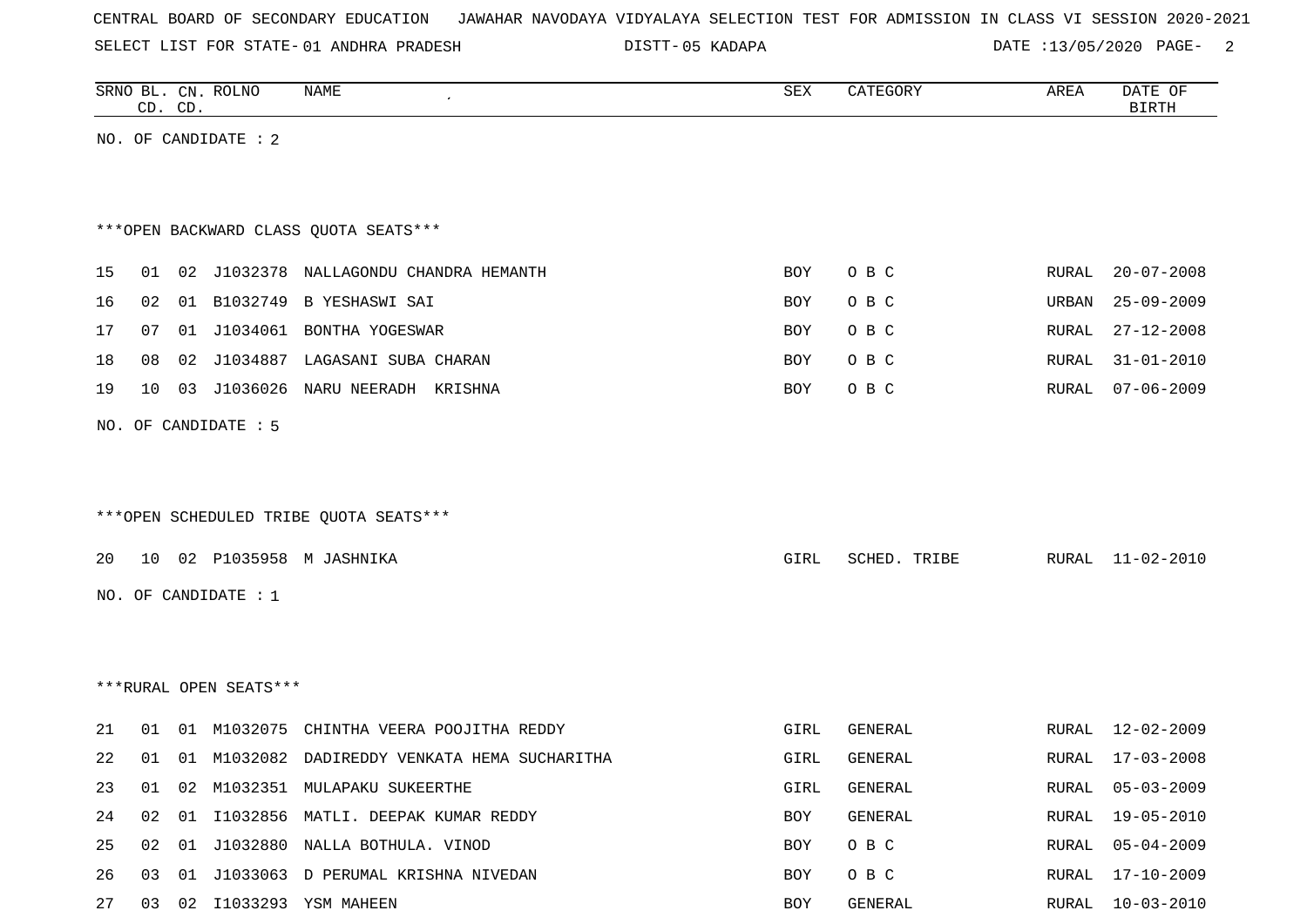SELECT LIST FOR STATE- DISTT- 01 ANDHRA PRADESH

05 KADAPA DATE :13/05/2020 PAGE- 2

|    | CD. CD.                                |    | SRNO BL. CN. ROLNO     | NAME                                          | SEX  | CATEGORY       | AREA          | DATE OF<br><b>BIRTH</b> |  |  |
|----|----------------------------------------|----|------------------------|-----------------------------------------------|------|----------------|---------------|-------------------------|--|--|
|    |                                        |    | NO. OF CANDIDATE : 2   |                                               |      |                |               |                         |  |  |
|    |                                        |    |                        |                                               |      |                |               |                         |  |  |
|    | *** OPEN BACKWARD CLASS QUOTA SEATS*** |    |                        |                                               |      |                |               |                         |  |  |
| 15 | 01                                     |    |                        | 02 J1032378 NALLAGONDU CHANDRA HEMANTH        | BOY  | O B C          | RURAL         | $20 - 07 - 2008$        |  |  |
| 16 | 02                                     |    |                        | 01 B1032749 B YESHASWI SAI                    | BOY  | O B C          | URBAN         | $25 - 09 - 2009$        |  |  |
| 17 | 07                                     |    |                        | 01 J1034061 BONTHA YOGESWAR                   | BOY  | O B C          | RURAL         | $27 - 12 - 2008$        |  |  |
| 18 | 08                                     |    |                        | 02 J1034887 LAGASANI SUBA CHARAN              | BOY  | O B C          | RURAL         | $31 - 01 - 2010$        |  |  |
| 19 | 10                                     |    |                        | 03 J1036026 NARU NEERADH KRISHNA              | BOY  | O B C          | RURAL         | $07 - 06 - 2009$        |  |  |
|    |                                        |    | NO. OF CANDIDATE : 5   |                                               |      |                |               |                         |  |  |
|    |                                        |    |                        |                                               |      |                |               |                         |  |  |
|    |                                        |    |                        |                                               |      |                |               |                         |  |  |
|    |                                        |    |                        | ***OPEN SCHEDULED TRIBE QUOTA SEATS***        |      |                |               |                         |  |  |
| 20 | 10                                     |    |                        | 02 P1035958 M JASHNIKA                        | GIRL | SCHED. TRIBE   | RURAL         | 11-02-2010              |  |  |
|    |                                        |    | NO. OF CANDIDATE : 1   |                                               |      |                |               |                         |  |  |
|    |                                        |    |                        |                                               |      |                |               |                         |  |  |
|    |                                        |    |                        |                                               |      |                |               |                         |  |  |
|    |                                        |    | ***RURAL OPEN SEATS*** |                                               |      |                |               |                         |  |  |
| 21 | 01                                     |    |                        | 01 M1032075 CHINTHA VEERA POOJITHA REDDY      | GIRL | GENERAL        | RURAL         | 12-02-2009              |  |  |
| 22 | 01                                     |    |                        | 01 M1032082 DADIREDDY VENKATA HEMA SUCHARITHA | GIRL | <b>GENERAL</b> | RURAL         | 17-03-2008              |  |  |
| 23 | 01                                     |    |                        | 02 M1032351 MULAPAKU SUKEERTHE                | GIRL | GENERAL        | ${\tt RURAL}$ | $05 - 03 - 2009$        |  |  |
| 24 | 02                                     |    |                        | 01 I1032856 MATLI. DEEPAK KUMAR REDDY         | BOY  | GENERAL        | RURAL         | $19 - 05 - 2010$        |  |  |
| 25 | 02                                     | 01 |                        | J1032880 NALLA BOTHULA. VINOD                 | BOY  | O B C          | RURAL         | $05 - 04 - 2009$        |  |  |
| 26 | 03                                     | 01 |                        | J1033063 D PERUMAL KRISHNA NIVEDAN            | BOY  | O B C          | RURAL         | 17-10-2009              |  |  |
| 27 | 03                                     | 02 |                        | I1033293 YSM MAHEEN                           | BOY  | GENERAL        | RURAL         | $10 - 03 - 2010$        |  |  |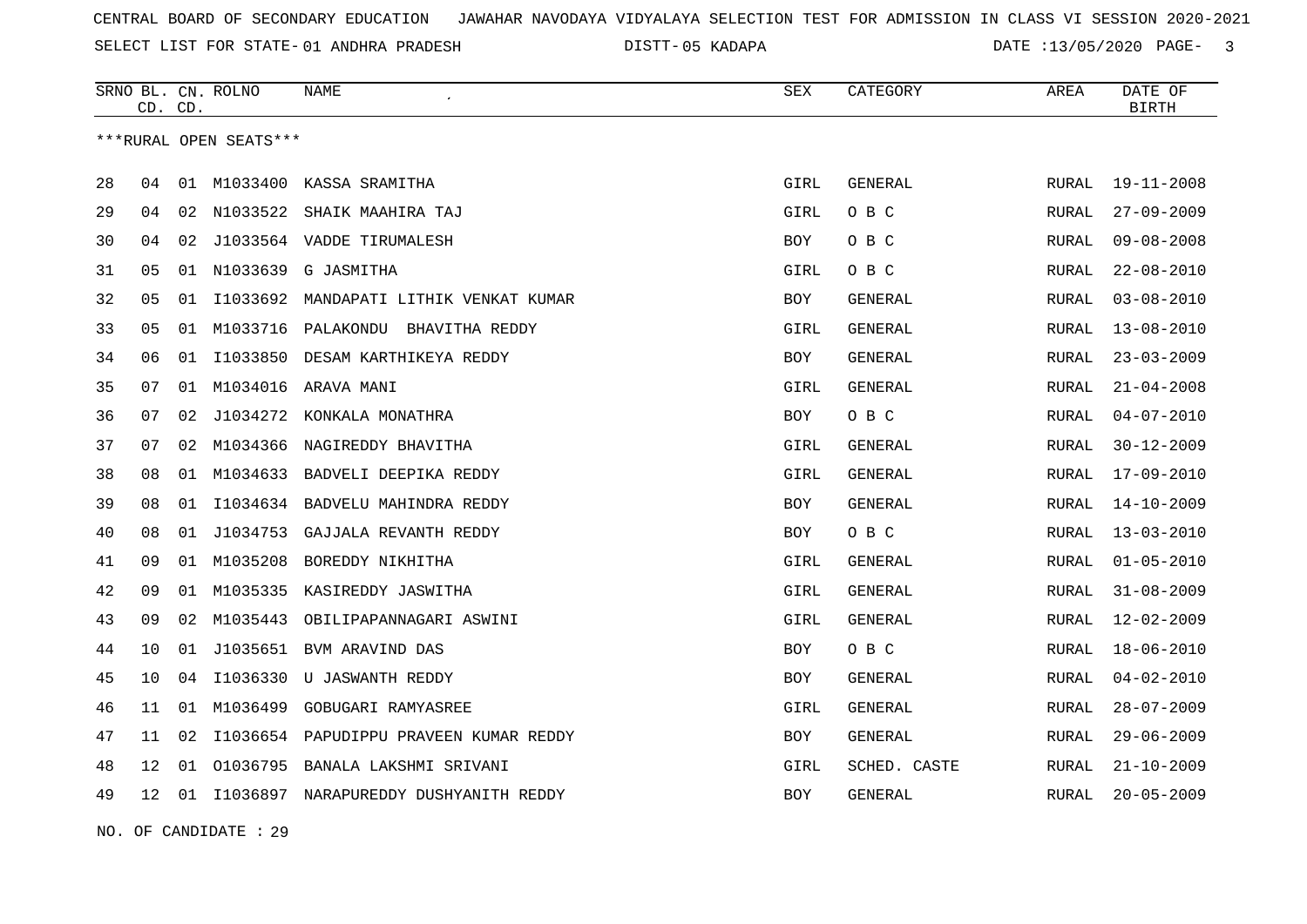SELECT LIST FOR STATE- DISTT- 01 ANDHRA PRADESH

05 KADAPA DATE :13/05/2020 PAGE- 3

|    | CD. | CD. | SRNO BL. CN. ROLNO     | <b>NAME</b>                              | <b>SEX</b> | CATEGORY       | AREA         | DATE OF<br><b>BIRTH</b> |
|----|-----|-----|------------------------|------------------------------------------|------------|----------------|--------------|-------------------------|
|    |     |     | ***RURAL OPEN SEATS*** |                                          |            |                |              |                         |
| 28 | 04  | 01  | M1033400               | KASSA SRAMITHA                           | GIRL       | GENERAL        | RURAL        | $19 - 11 - 2008$        |
| 29 | 04  | 02  | N1033522               | SHAIK MAAHIRA TAJ                        | GIRL       | O B C          | <b>RURAL</b> | $27 - 09 - 2009$        |
| 30 | 04  |     |                        | 02 J1033564 VADDE TIRUMALESH             | <b>BOY</b> | O B C          | RURAL        | $09 - 08 - 2008$        |
| 31 | 05  |     | 01 N1033639            | G JASMITHA                               | GIRL       | O B C          | RURAL        | $22 - 08 - 2010$        |
| 32 | 05  | 01  | I1033692               | MANDAPATI LITHIK VENKAT KUMAR            | BOY        | <b>GENERAL</b> | <b>RURAL</b> | $03 - 08 - 2010$        |
| 33 | 05  | 01  | M1033716               | PALAKONDU BHAVITHA REDDY                 | GIRL       | GENERAL        | RURAL        | $13 - 08 - 2010$        |
| 34 | 06  | 01  | I1033850               | DESAM KARTHIKEYA REDDY                   | BOY        | GENERAL        | RURAL        | $23 - 03 - 2009$        |
| 35 | 07  | 01  | M1034016               | ARAVA MANI                               | GIRL       | <b>GENERAL</b> | RURAL        | $21 - 04 - 2008$        |
| 36 | 07  | 02  | J1034272               | KONKALA MONATHRA                         | BOY        | O B C          | RURAL        | $04 - 07 - 2010$        |
| 37 | 07  | 02  | M1034366               | NAGIREDDY BHAVITHA                       | GIRL       | GENERAL        | <b>RURAL</b> | $30 - 12 - 2009$        |
| 38 | 08  | 01  | M1034633               | BADVELI DEEPIKA REDDY                    | GIRL       | GENERAL        | RURAL        | 17-09-2010              |
| 39 | 08  | 01  | I1034634               | BADVELU MAHINDRA REDDY                   | BOY        | <b>GENERAL</b> | RURAL        | $14 - 10 - 2009$        |
| 40 | 08  | 01  | J1034753               | GAJJALA REVANTH REDDY                    | BOY        | O B C          | RURAL        | $13 - 03 - 2010$        |
| 41 | 09  |     | 01 M1035208            | BOREDDY NIKHITHA                         | GIRL       | GENERAL        | RURAL        | $01 - 05 - 2010$        |
| 42 | 09  |     | 01 M1035335            | KASIREDDY JASWITHA                       | GIRL       | GENERAL        | <b>RURAL</b> | $31 - 08 - 2009$        |
| 43 | 09  | 02  | M1035443               | OBILIPAPANNAGARI ASWINI                  | GIRL       | <b>GENERAL</b> | RURAL        | $12 - 02 - 2009$        |
| 44 | 10  |     |                        | 01 J1035651 BVM ARAVIND DAS              | BOY        | O B C          | RURAL        | $18 - 06 - 2010$        |
| 45 | 10  | 04  | I1036330               | U JASWANTH REDDY                         | <b>BOY</b> | GENERAL        | <b>RURAL</b> | $04 - 02 - 2010$        |
| 46 | 11  |     | 01 M1036499            | GOBUGARI RAMYASREE                       | GIRL       | GENERAL        | RURAL        | $28 - 07 - 2009$        |
| 47 | 11  | 02  |                        | I1036654 PAPUDIPPU PRAVEEN KUMAR REDDY   | BOY        | GENERAL        | RURAL        | $29 - 06 - 2009$        |
| 48 | 12  | 01  | 01036795               | BANALA LAKSHMI SRIVANI                   | GIRL       | SCHED. CASTE   | RURAL        | $21 - 10 - 2009$        |
| 49 | 12  |     |                        | 01 I1036897 NARAPUREDDY DUSHYANITH REDDY | BOY        | GENERAL        | RURAL        | $20 - 05 - 2009$        |

NO. OF CANDIDATE : 29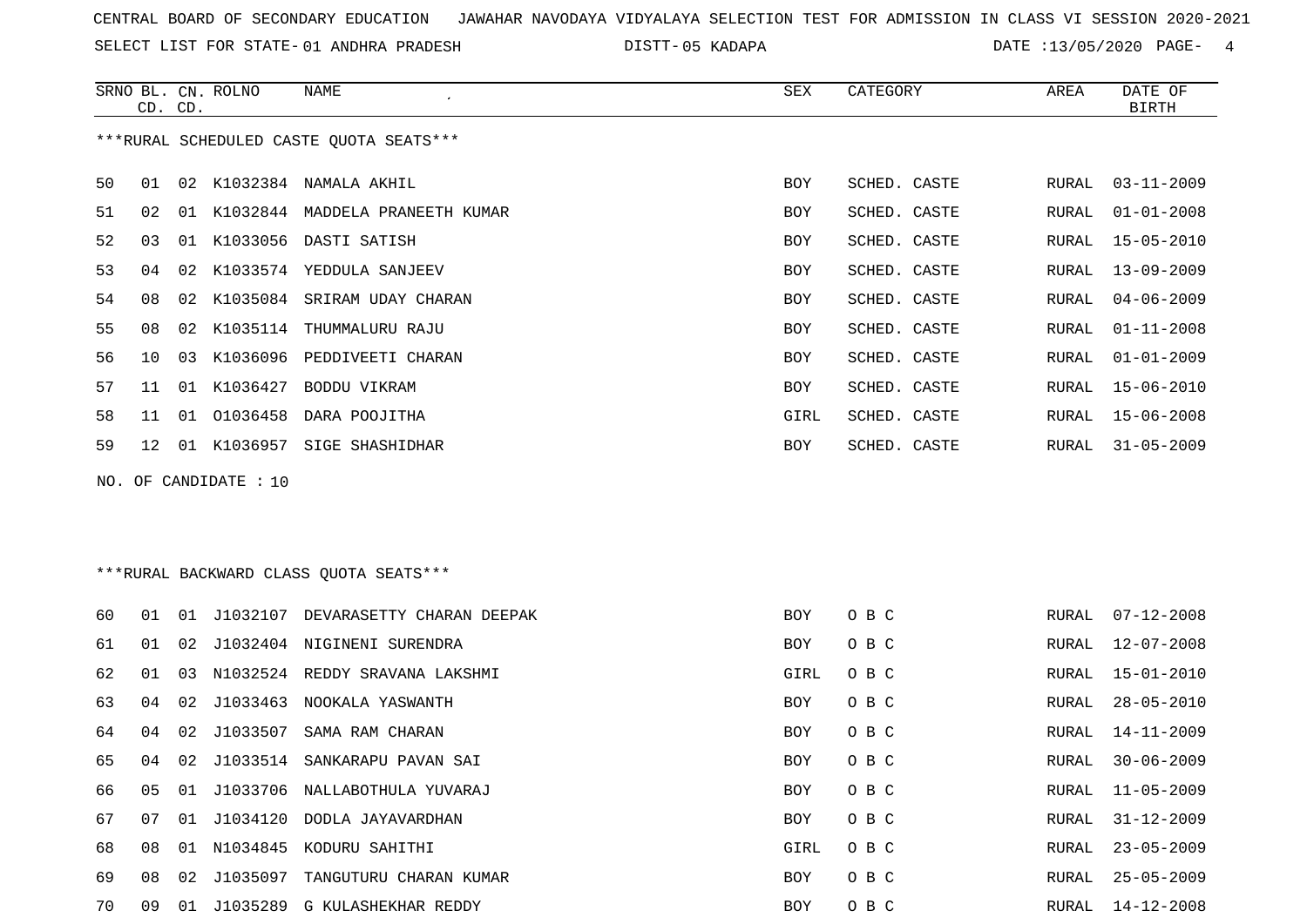SELECT LIST FOR STATE- DISTT- 01 ANDHRA PRADESH

05 KADAPA DATE :13/05/2020 PAGE- 4

|    | CD. CD.                                 |    | SRNO BL. CN. ROLNO    | NAME                            | SEX  | CATEGORY     | AREA  | DATE OF<br>BIRTH |  |  |
|----|-----------------------------------------|----|-----------------------|---------------------------------|------|--------------|-------|------------------|--|--|
|    | ***RURAL SCHEDULED CASTE OUOTA SEATS*** |    |                       |                                 |      |              |       |                  |  |  |
| 50 | 01                                      | 02 |                       | K1032384 NAMALA AKHIL           | BOY  | SCHED. CASTE | RURAL | $03 - 11 - 2009$ |  |  |
| 51 | 02                                      | 01 |                       | K1032844 MADDELA PRANEETH KUMAR | BOY  | SCHED. CASTE | RURAL | $01 - 01 - 2008$ |  |  |
| 52 | 03                                      | 01 |                       | K1033056 DASTI SATISH           | BOY  | SCHED. CASTE | RURAL | $15 - 05 - 2010$ |  |  |
| 53 | 04                                      | 02 |                       | K1033574 YEDDULA SANJEEV        | BOY  | SCHED. CASTE | RURAL | $13 - 09 - 2009$ |  |  |
| 54 | 08                                      | 02 |                       | K1035084 SRIRAM UDAY CHARAN     | BOY  | SCHED. CASTE | RURAL | $04 - 06 - 2009$ |  |  |
| 55 | 08                                      | 02 |                       | K1035114 THUMMALURU RAJU        | BOY  | SCHED. CASTE | RURAL | $01 - 11 - 2008$ |  |  |
| 56 | 10                                      | 03 | K1036096              | PEDDIVEETI CHARAN               | BOY  | SCHED. CASTE | RURAL | $01 - 01 - 2009$ |  |  |
| 57 | 11                                      | 01 | K1036427              | BODDU VIKRAM                    | BOY  | SCHED. CASTE | RURAL | $15 - 06 - 2010$ |  |  |
| 58 | 11                                      | 01 |                       | 01036458 DARA POOJITHA          | GIRL | SCHED. CASTE | RURAL | 15-06-2008       |  |  |
| 59 | $12^{\circ}$                            | 01 |                       | K1036957 SIGE SHASHIDHAR        | BOY  | SCHED. CASTE | RURAL | $31 - 05 - 2009$ |  |  |
|    |                                         |    | NO. OF CANDIDATE : 10 |                                 |      |              |       |                  |  |  |

\*\*\*RURAL BACKWARD CLASS QUOTA SEATS\*\*\*

| 60 | 01  | 01 | J1032107    | DEVARASETTY CHARAN DEEPAK        | <b>BOY</b> | O B C | RURAL | $07 - 12 - 2008$ |
|----|-----|----|-------------|----------------------------------|------------|-------|-------|------------------|
| 61 | 01  |    |             | 02 J1032404 NIGINENI SURENDRA    | BOY        | O B C | RURAL | $12 - 07 - 2008$ |
| 62 | 01  | 03 |             | N1032524 REDDY SRAVANA LAKSHMI   | GIRL       | O B C | RURAL | 15-01-2010       |
| 63 | 04  |    | 02 J1033463 | NOOKALA YASWANTH                 | BOY        | O B C | RURAL | $28 - 05 - 2010$ |
| 64 | O 4 |    | 02 J1033507 | SAMA RAM CHARAN                  | BOY        | O B C | RURAL | 14-11-2009       |
| 65 | 04  |    |             | 02 J1033514 SANKARAPU PAVAN SAI  | BOY        | O B C | RURAL | $30 - 06 - 2009$ |
| 66 | 05  |    |             | 01 J1033706 NALLABOTHULA YUVARAJ | BOY        | O B C | RURAL | 11-05-2009       |
| 67 | 07  |    |             | 01 J1034120 DODLA JAYAVARDHAN    | BOY        | O B C | RURAL | $31 - 12 - 2009$ |
| 68 | 08  |    |             | 01 N1034845 KODURU SAHITHI       | GIRL       | O B C | RURAL | $23 - 05 - 2009$ |
| 69 | 08  |    | 02 J1035097 | TANGUTURU CHARAN KUMAR           | BOY        | O B C | RURAL | $25 - 05 - 2009$ |
| 70 | 09  | 01 | 11035289    | G KULASHEKHAR REDDY              | BOY        | O B C | RURAL | $14 - 12 - 2008$ |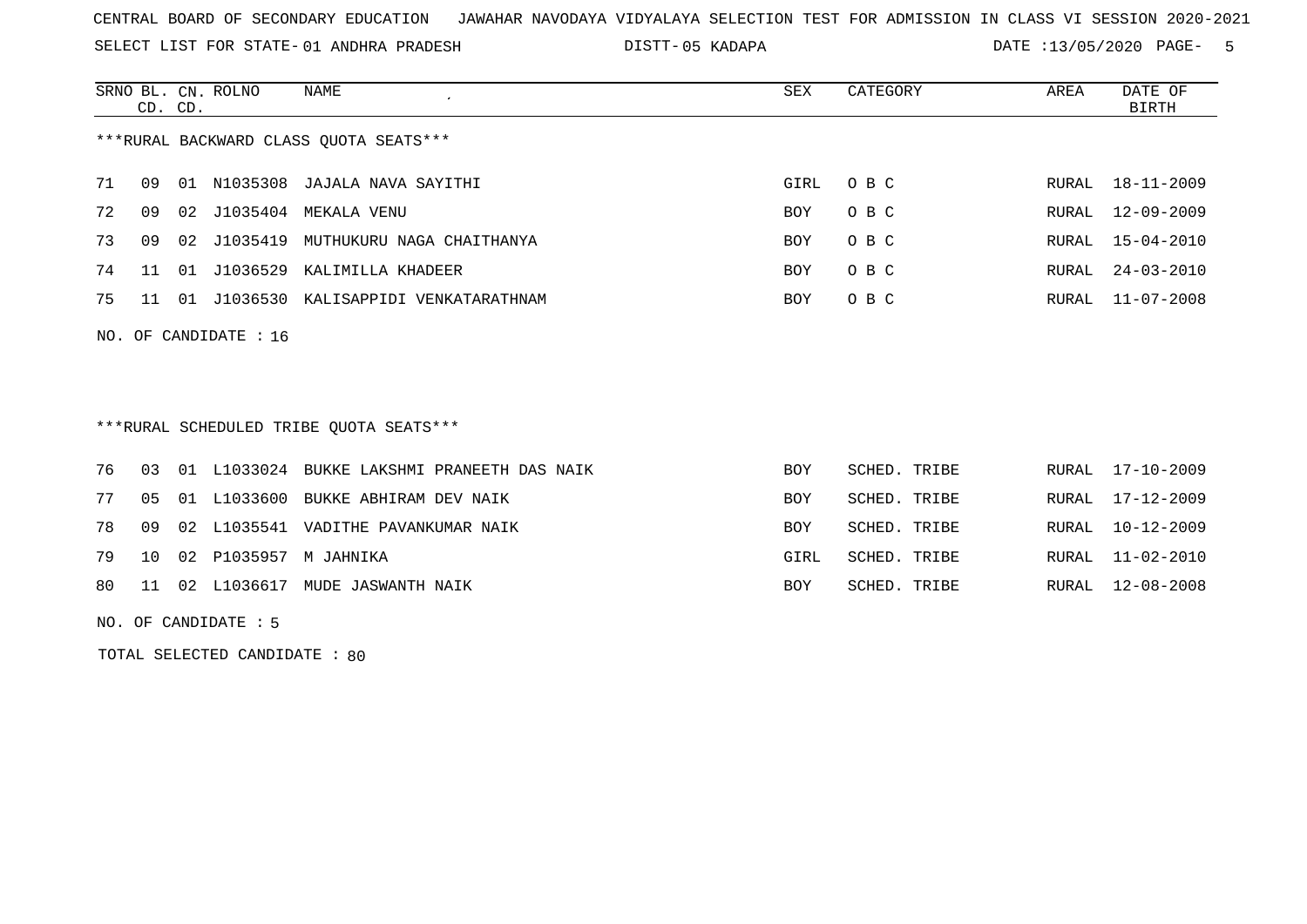SELECT LIST FOR STATE- DISTT- 01 ANDHRA PRADESH

05 KADAPA DATE :13/05/2020 PAGE- 5

|    | CD. CD.                 |       | SRNO BL. CN. ROLNO | NAME                                   | SEX        | CATEGORY | AREA  | DATE OF<br>BIRTH |  |
|----|-------------------------|-------|--------------------|----------------------------------------|------------|----------|-------|------------------|--|
|    |                         |       |                    | ***RURAL BACKWARD CLASS OUOTA SEATS*** |            |          |       |                  |  |
| 71 | 09                      | . N 1 |                    | N1035308 JAJALA NAVA SAYITHI           | GIRL       | $O$ B C  | RURAL | 18-11-2009       |  |
| 72 | 09                      |       | 02 J1035404        | MEKALA VENU                            | <b>BOY</b> | O B C    |       | RURAL 12-09-2009 |  |
| 73 | 09                      |       | 02 J1035419        | MUTHUKURU NAGA CHAITHANYA              | <b>BOY</b> | O B C    |       | RURAL 15-04-2010 |  |
| 74 | 11                      |       | 01 J1036529        | KALIMILLA KHADEER                      | <b>BOY</b> | O B C    | RURAL | $24 - 03 - 2010$ |  |
| 75 | 11                      | 01    |                    | J1036530 KALISAPPIDI VENKATARATHNAM    | <b>BOY</b> | O B C    | RURAL | $11 - 07 - 2008$ |  |
|    | NO. OF CANDIDATE : $16$ |       |                    |                                        |            |          |       |                  |  |

\*\*\*RURAL SCHEDULED TRIBE QUOTA SEATS\*\*\*

|  |  | 76 03 01 L1033024 BUKKE LAKSHMI PRANEETH DAS NAIK | <b>BOY</b> | SCHED. TRIBE | RURAL 17-10-2009 |
|--|--|---------------------------------------------------|------------|--------------|------------------|
|  |  | 77 05 01 L1033600 BUKKE ABHIRAM DEV NAIK          | BOY        | SCHED. TRIBE | RURAL 17-12-2009 |
|  |  | 78 09 02 L1035541 VADITHE PAVANKUMAR NAIK         | BOY        | SCHED. TRIBE | RURAL 10-12-2009 |
|  |  | 79 10 02 P1035957 M JAHNIKA                       | GIRL       | SCHED. TRIBE | RURAL 11-02-2010 |
|  |  | 80 11 02 L1036617 MUDE JASWANTH NAIK              | BOY        | SCHED. TRIBE | RURAL 12-08-2008 |

NO. OF CANDIDATE : 5

TOTAL SELECTED CANDIDATE : 80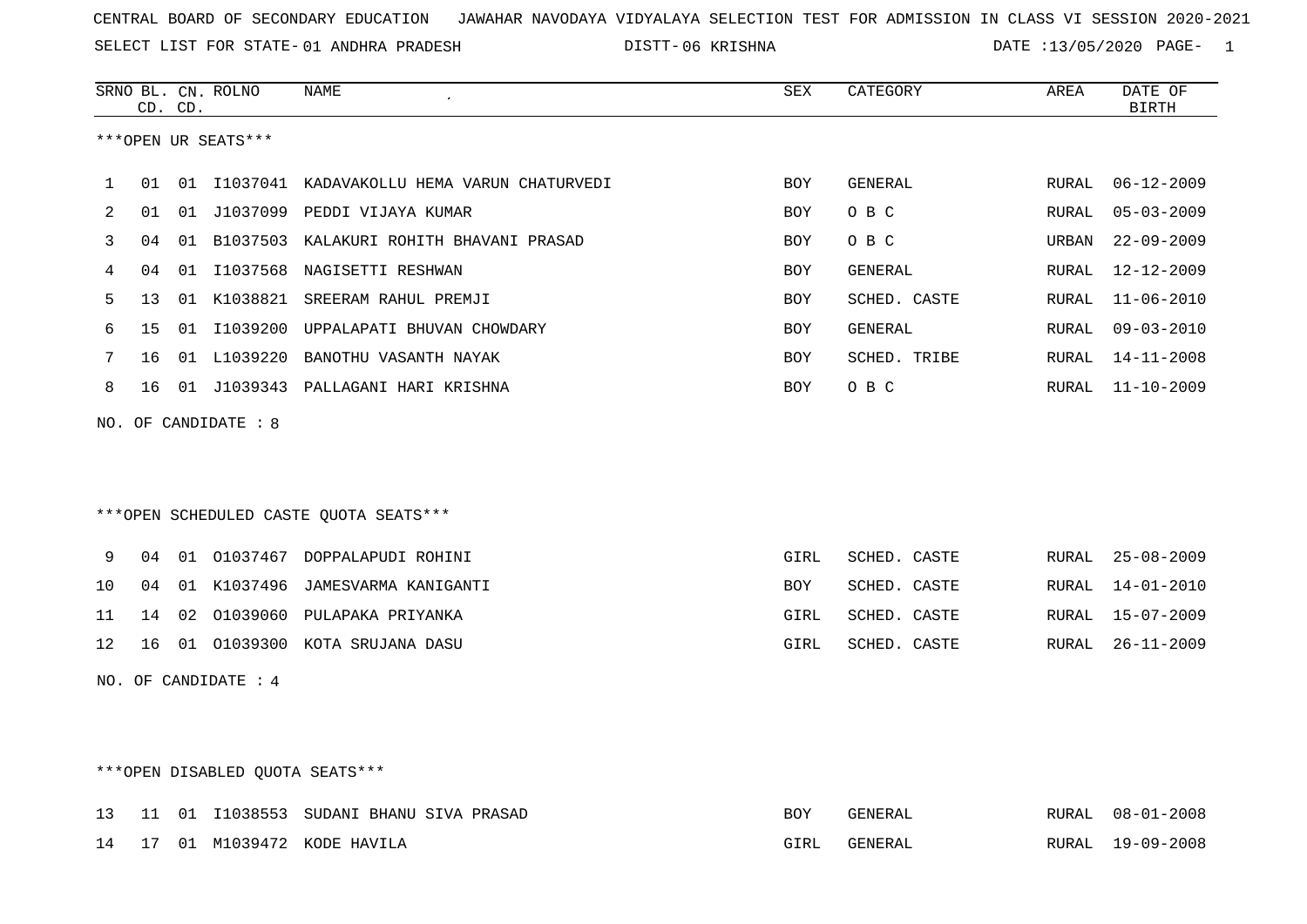SELECT LIST FOR STATE- DISTT- 01 ANDHRA PRADESH

06 KRISHNA DATE :13/05/2020 PAGE- 1

|              |    | CD. CD. | SRNO BL. CN. ROLNO   | <b>NAME</b><br>$\epsilon$                     | SEX        | CATEGORY     | AREA         | DATE OF<br><b>BIRTH</b> |
|--------------|----|---------|----------------------|-----------------------------------------------|------------|--------------|--------------|-------------------------|
|              |    |         | ***OPEN UR SEATS***  |                                               |            |              |              |                         |
| $\mathbf{1}$ | 01 |         |                      | 01 I1037041 KADAVAKOLLU HEMA VARUN CHATURVEDI | <b>BOY</b> | GENERAL      | <b>RURAL</b> | $06 - 12 - 2009$        |
| 2            | 01 |         | 01 J1037099          | PEDDI VIJAYA KUMAR                            | BOY        | O B C        | RURAL        | $05 - 03 - 2009$        |
| 3            | 04 | 01      |                      | B1037503 KALAKURI ROHITH BHAVANI PRASAD       | BOY        | O B C        | URBAN        | $22 - 09 - 2009$        |
| 4            | 04 |         | 01 I1037568          | NAGISETTI RESHWAN                             | <b>BOY</b> | GENERAL      | <b>RURAL</b> | $12 - 12 - 2009$        |
| 5            | 13 |         |                      | 01 K1038821 SREERAM RAHUL PREMJI              | <b>BOY</b> | SCHED. CASTE | <b>RURAL</b> | $11 - 06 - 2010$        |
| 6            | 15 |         | 01 I1039200          | UPPALAPATI BHUVAN CHOWDARY                    | <b>BOY</b> | GENERAL      | <b>RURAL</b> | $09 - 03 - 2010$        |
| 7            | 16 |         | 01 L1039220          | BANOTHU VASANTH NAYAK                         | <b>BOY</b> | SCHED. TRIBE | RURAL        | $14 - 11 - 2008$        |
| 8            | 16 |         |                      | 01 J1039343 PALLAGANI HARI KRISHNA            | <b>BOY</b> | O B C        | RURAL        | $11 - 10 - 2009$        |
|              |    |         | NO. OF CANDIDATE : 8 |                                               |            |              |              |                         |
|              |    |         |                      |                                               |            |              |              |                         |
|              |    |         |                      |                                               |            |              |              |                         |
|              |    |         |                      | ***OPEN SCHEDULED CASTE QUOTA SEATS***        |            |              |              |                         |
| 9            | 04 |         |                      | 01 01037467 DOPPALAPUDI ROHINI                | GIRL       | SCHED. CASTE | RURAL        | $25 - 08 - 2009$        |
| 10           | 04 |         |                      | 01 K1037496 JAMESVARMA KANIGANTI              | <b>BOY</b> | SCHED. CASTE | <b>RURAL</b> | $14 - 01 - 2010$        |
| 11           | 14 | 02      | 01039060             | PULAPAKA PRIYANKA                             | GIRL       | SCHED. CASTE | <b>RURAL</b> | $15 - 07 - 2009$        |
| 12           | 16 |         |                      | 01 01039300 KOTA SRUJANA DASU                 | GIRL       | SCHED. CASTE | RURAL        | $26 - 11 - 2009$        |
|              |    |         | NO. OF CANDIDATE : 4 |                                               |            |              |              |                         |
|              |    |         |                      |                                               |            |              |              |                         |
|              |    |         |                      |                                               |            |              |              |                         |

# \*\*\*OPEN DISABLED QUOTA SEATS\*\*\*

|  |  | 13 11 01 I1038553 SUDANI BHANU SIVA PRASAD | BOY  | GENERAL | RURAL 08-01-2008 |
|--|--|--------------------------------------------|------|---------|------------------|
|  |  | 14 17 01 M1039472 KODE HAVILA              | GIRL | GENERAL | RURAL 19-09-2008 |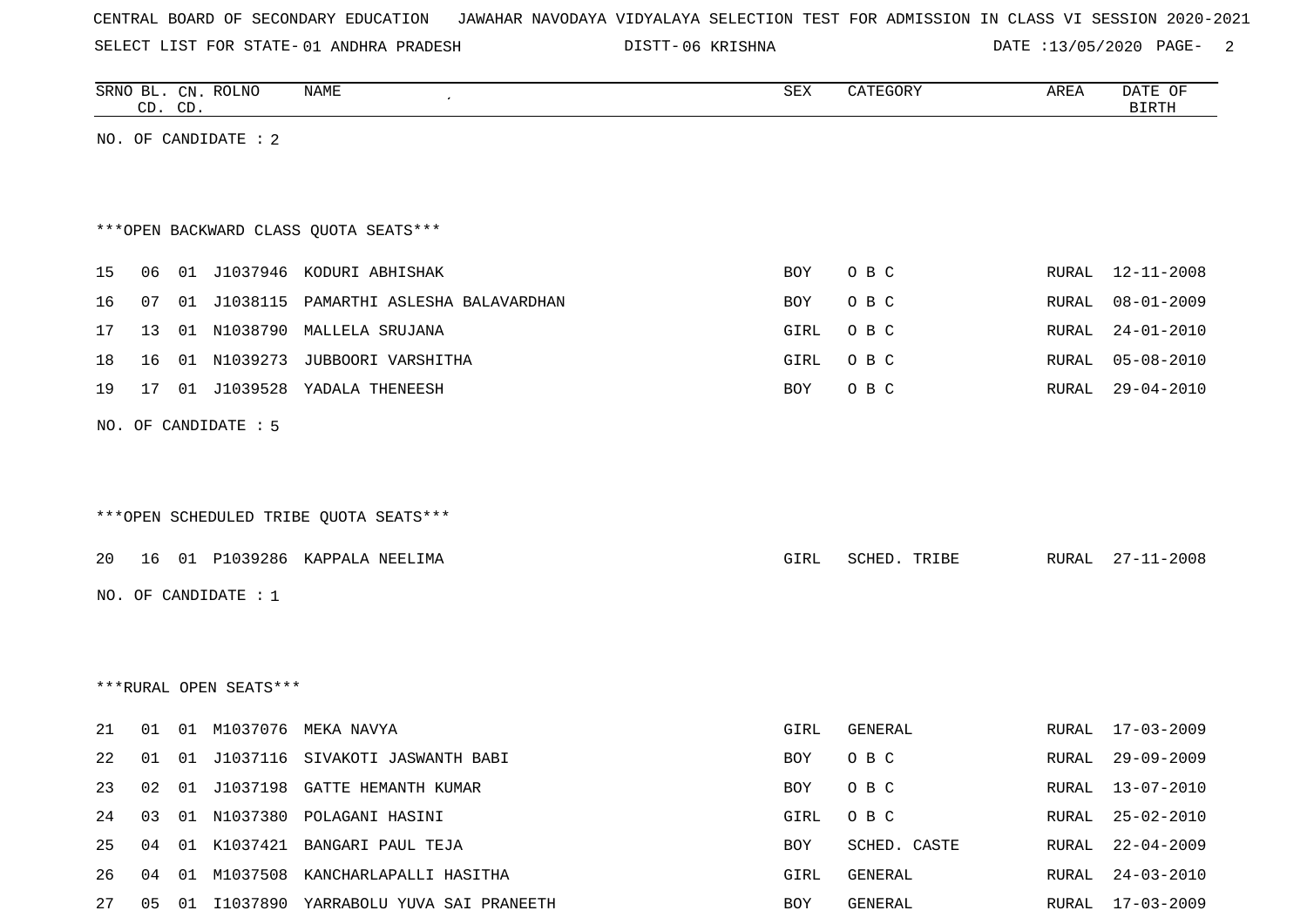SELECT LIST FOR STATE- DISTT- 01 ANDHRA PRADESH

06 KRISHNA DATE :13/05/2020 PAGE- 2

|    |    | CD. CD. | SRNO BL. CN. ROLNO     | NAME                                    | SEX        | CATEGORY     | AREA  | DATE OF<br><b>BIRTH</b> |
|----|----|---------|------------------------|-----------------------------------------|------------|--------------|-------|-------------------------|
|    |    |         | NO. OF CANDIDATE : 2   |                                         |            |              |       |                         |
|    |    |         |                        |                                         |            |              |       |                         |
|    |    |         |                        |                                         |            |              |       |                         |
|    |    |         |                        | *** OPEN BACKWARD CLASS QUOTA SEATS***  |            |              |       |                         |
| 15 | 06 |         |                        | 01 J1037946 KODURI ABHISHAK             | BOY        | O B C        | RURAL | 12-11-2008              |
| 16 | 07 |         | 01 J1038115            | PAMARTHI ASLESHA BALAVARDHAN            | BOY        | O B C        | RURAL | $08 - 01 - 2009$        |
|    |    |         |                        | 01 N1038790 MALLELA SRUJANA             |            | O B C        | RURAL | $24 - 01 - 2010$        |
| 17 | 13 |         |                        |                                         | GIRL       |              |       |                         |
| 18 | 16 |         | 01 N1039273            | JUBBOORI VARSHITHA                      | GIRL       | O B C        | RURAL | $05 - 08 - 2010$        |
| 19 | 17 |         | 01 J1039528            | YADALA THENEESH                         | BOY        | O B C        | RURAL | $29 - 04 - 2010$        |
|    |    |         | NO. OF CANDIDATE : 5   |                                         |            |              |       |                         |
|    |    |         |                        |                                         |            |              |       |                         |
|    |    |         |                        |                                         |            |              |       |                         |
|    |    |         |                        | ***OPEN SCHEDULED TRIBE QUOTA SEATS***  |            |              |       |                         |
|    |    |         |                        |                                         |            |              |       |                         |
| 20 | 16 |         |                        | 01 P1039286 KAPPALA NEELIMA             | GIRL       | SCHED. TRIBE | RURAL | $27 - 11 - 2008$        |
|    |    |         | NO. OF CANDIDATE : 1   |                                         |            |              |       |                         |
|    |    |         |                        |                                         |            |              |       |                         |
|    |    |         |                        |                                         |            |              |       |                         |
|    |    |         | ***RURAL OPEN SEATS*** |                                         |            |              |       |                         |
|    |    |         |                        |                                         |            |              |       |                         |
| 21 | 01 | 01      | M1037076               | MEKA NAVYA                              | GIRL       | GENERAL      | RURAL | $17 - 03 - 2009$        |
| 22 | 01 |         |                        | 01 J1037116 SIVAKOTI JASWANTH BABI      | <b>BOY</b> | O B C        | RURAL | $29 - 09 - 2009$        |
| 23 | 02 |         |                        | 01 J1037198 GATTE HEMANTH KUMAR         | BOY        | O B C        |       | RURAL 13-07-2010        |
| 24 | 03 |         |                        | 01 N1037380 POLAGANI HASINI             | GIRL       | O B C        | RURAL | $25 - 02 - 2010$        |
| 25 | 04 |         |                        | 01 K1037421 BANGARI PAUL TEJA           | BOY        | SCHED. CASTE | RURAL | $22 - 04 - 2009$        |
| 26 | 04 | 01      |                        | M1037508 KANCHARLAPALLI HASITHA         | GIRL       | GENERAL      | RURAL | $24 - 03 - 2010$        |
| 27 | 05 |         |                        | 01 I1037890 YARRABOLU YUVA SAI PRANEETH | BOY        | GENERAL      | RURAL | 17-03-2009              |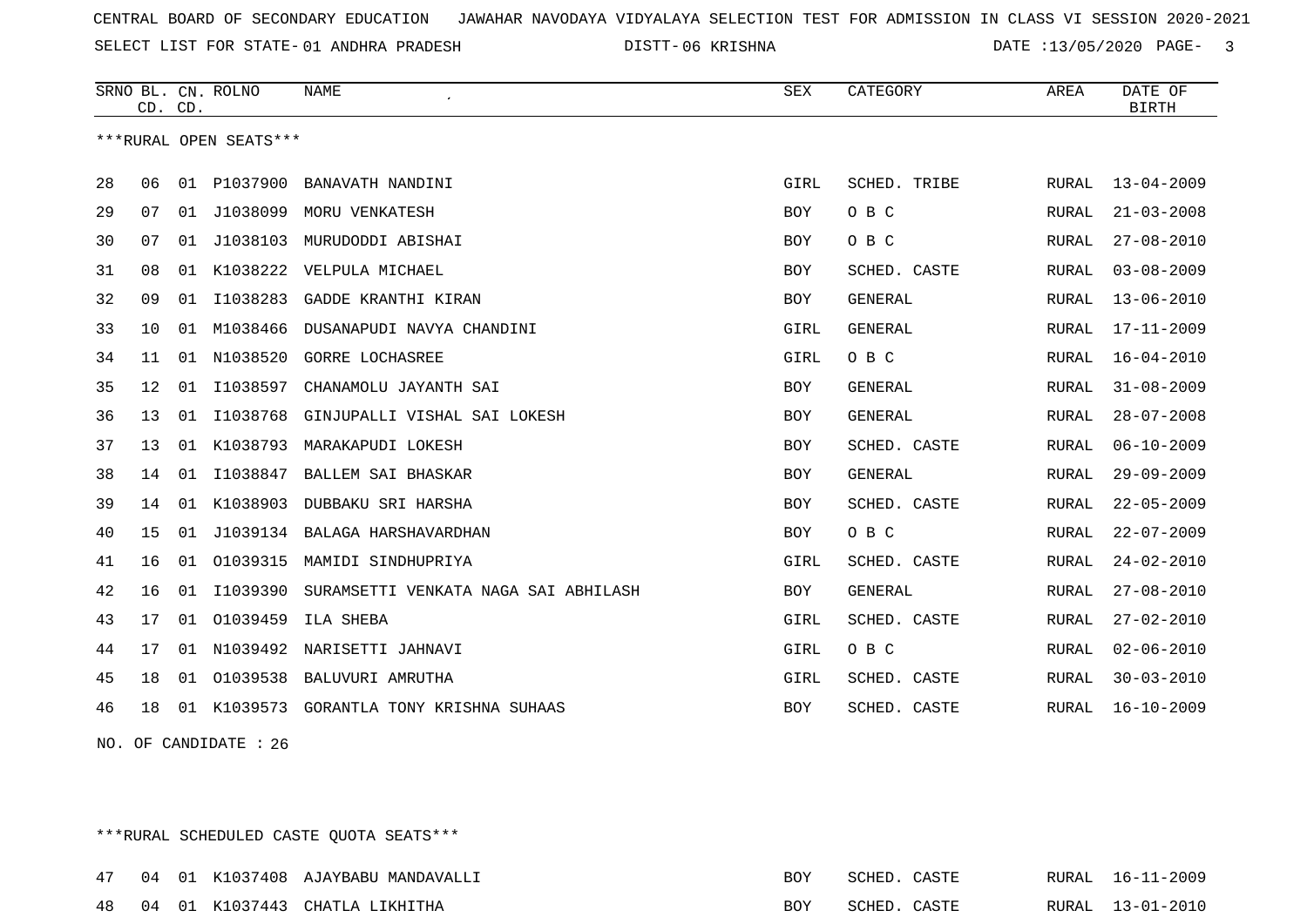SELECT LIST FOR STATE- DISTT- 01 ANDHRA PRADESH

06 KRISHNA DATE :13/05/2020 PAGE- 3

|    | CD. CD.                |    | SRNO BL. CN. ROLNO | NAME                                     | <b>SEX</b> | CATEGORY       | AREA         | DATE OF<br><b>BIRTH</b> |  |  |
|----|------------------------|----|--------------------|------------------------------------------|------------|----------------|--------------|-------------------------|--|--|
|    | ***RURAL OPEN SEATS*** |    |                    |                                          |            |                |              |                         |  |  |
| 28 | 06                     |    |                    | 01 P1037900 BANAVATH NANDINI             | GIRL       | SCHED. TRIBE   | RURAL        | $13 - 04 - 2009$        |  |  |
| 29 | 07                     |    |                    | 01 J1038099 MORU VENKATESH               | BOY        | O B C          | RURAL        | $21 - 03 - 2008$        |  |  |
| 30 | 07                     | 01 | J1038103           | MURUDODDI ABISHAI                        | BOY        | O B C          | RURAL        | $27 - 08 - 2010$        |  |  |
| 31 | 08                     | 01 | K1038222           | VELPULA MICHAEL                          | <b>BOY</b> | SCHED. CASTE   | RURAL        | $03 - 08 - 2009$        |  |  |
| 32 | 09                     | 01 |                    | I1038283 GADDE KRANTHI KIRAN             | <b>BOY</b> | <b>GENERAL</b> | RURAL        | $13 - 06 - 2010$        |  |  |
| 33 | 10                     | 01 | M1038466           | DUSANAPUDI NAVYA CHANDINI                | GIRL       | <b>GENERAL</b> | RURAL        | $17 - 11 - 2009$        |  |  |
| 34 | 11                     | 01 | N1038520           | GORRE LOCHASREE                          | GIRL       | O B C          | RURAL        | $16 - 04 - 2010$        |  |  |
| 35 | 12                     | 01 | I1038597           | CHANAMOLU JAYANTH SAI                    | <b>BOY</b> | <b>GENERAL</b> | RURAL        | $31 - 08 - 2009$        |  |  |
| 36 | 13                     | 01 | I1038768           | GINJUPALLI VISHAL SAI LOKESH             | <b>BOY</b> | <b>GENERAL</b> | RURAL        | $28 - 07 - 2008$        |  |  |
| 37 | 13                     | 01 | K1038793           | MARAKAPUDI LOKESH                        | <b>BOY</b> | SCHED. CASTE   | RURAL        | $06 - 10 - 2009$        |  |  |
| 38 | 14                     | 01 | I1038847           | BALLEM SAI BHASKAR                       | <b>BOY</b> | <b>GENERAL</b> | <b>RURAL</b> | $29 - 09 - 2009$        |  |  |
| 39 | 14                     | 01 | K1038903           | DUBBAKU SRI HARSHA                       | BOY        | SCHED. CASTE   | RURAL        | $22 - 05 - 2009$        |  |  |
| 40 | 15                     | 01 |                    | J1039134 BALAGA HARSHAVARDHAN            | <b>BOY</b> | O B C          | RURAL        | $22 - 07 - 2009$        |  |  |
| 41 | 16                     | 01 | 01039315           | MAMIDI SINDHUPRIYA                       | GIRL       | SCHED. CASTE   | RURAL        | $24 - 02 - 2010$        |  |  |
| 42 | 16                     | 01 | I1039390           | SURAMSETTI VENKATA NAGA SAI ABHILASH     | <b>BOY</b> | GENERAL        | RURAL        | $27 - 08 - 2010$        |  |  |
| 43 | 17                     |    | 01 01039459        | ILA SHEBA                                | GIRL       | SCHED. CASTE   | RURAL        | $27 - 02 - 2010$        |  |  |
| 44 | 17                     | 01 | N1039492           | NARISETTI JAHNAVI                        | GIRL       | O B C          | <b>RURAL</b> | $02 - 06 - 2010$        |  |  |
| 45 | 18                     | 01 | 01039538           | BALUVURI AMRUTHA                         | GIRL       | SCHED. CASTE   | RURAL        | $30 - 03 - 2010$        |  |  |
| 46 | 18                     |    |                    | 01 K1039573 GORANTLA TONY KRISHNA SUHAAS | <b>BOY</b> | SCHED. CASTE   | RURAL        | $16 - 10 - 2009$        |  |  |

NO. OF CANDIDATE : 26

\*\*\*RURAL SCHEDULED CASTE QUOTA SEATS\*\*\*

|  |  | 47 04 01 K1037408 AJAYBABU MANDAVALLI | <b>BOY</b> | SCHED. CASTE |  | RURAL 16-11-2009 |
|--|--|---------------------------------------|------------|--------------|--|------------------|
|  |  | 48 04 01 K1037443 CHATLA LIKHITHA     | BOY        | SCHED. CASTE |  | RURAL 13-01-2010 |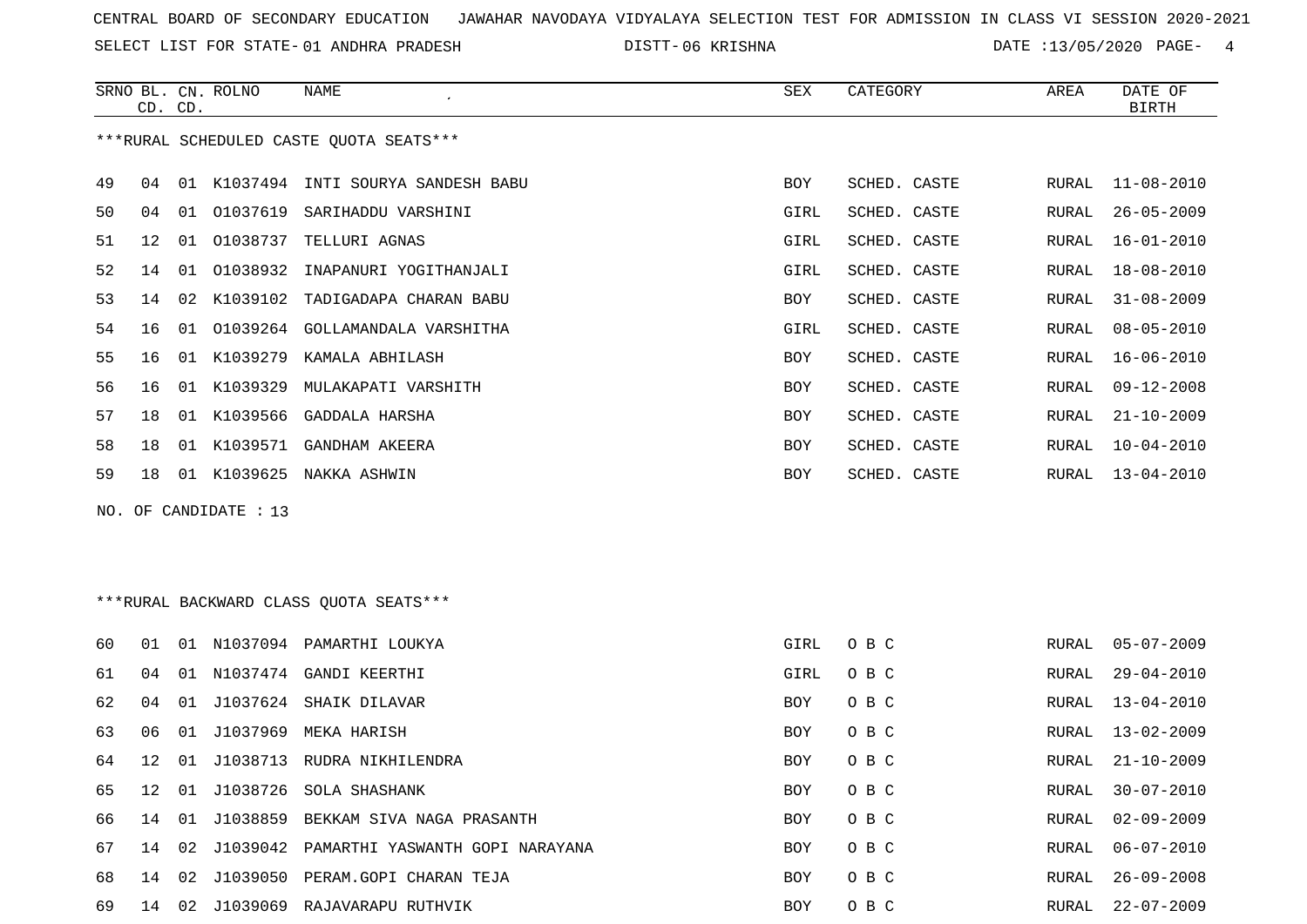SELECT LIST FOR STATE- DISTT- 01 ANDHRA PRADESH

06 KRISHNA DATE :13/05/2020 PAGE- 4

RURAL 02-09-2009

RURAL 06-07-2010

|    |    | CD. CD. | SRNO BL. CN. ROLNO    | <b>NAME</b>                             | ${\tt SEX}$ | CATEGORY     | AREA         | DATE OF<br><b>BIRTH</b> |
|----|----|---------|-----------------------|-----------------------------------------|-------------|--------------|--------------|-------------------------|
|    |    |         |                       | ***RURAL SCHEDULED CASTE OUOTA SEATS*** |             |              |              |                         |
| 49 | 04 | 01      | K1037494              | INTI SOURYA SANDESH BABU                | <b>BOY</b>  | SCHED. CASTE | RURAL        | $11 - 08 - 2010$        |
| 50 | 04 | 01      | 01037619              | SARIHADDU VARSHINI                      | GIRL        | SCHED. CASTE | <b>RURAL</b> | $26 - 05 - 2009$        |
| 51 | 12 | 01      | 01038737              | TELLURI AGNAS                           | GIRL        | SCHED. CASTE | RURAL        | $16 - 01 - 2010$        |
| 52 | 14 | 01      | 01038932              | INAPANURI YOGITHANJALI                  | GIRL        | SCHED. CASTE | RURAL        | $18 - 08 - 2010$        |
| 53 | 14 | 02      | K1039102              | TADIGADAPA CHARAN BABU                  | <b>BOY</b>  | SCHED. CASTE | RURAL        | $31 - 08 - 2009$        |
| 54 | 16 | 01      | 01039264              | GOLLAMANDALA VARSHITHA                  | GIRL        | SCHED. CASTE | RURAL        | $08 - 05 - 2010$        |
| 55 | 16 | 01      | K1039279              | KAMALA ABHILASH                         | <b>BOY</b>  | SCHED. CASTE | <b>RURAL</b> | $16 - 06 - 2010$        |
| 56 | 16 |         | 01 K1039329           | MULAKAPATI VARSHITH                     | <b>BOY</b>  | SCHED. CASTE | <b>RURAL</b> | $09 - 12 - 2008$        |
| 57 | 18 | 01      | K1039566              | GADDALA HARSHA                          | <b>BOY</b>  | SCHED. CASTE | RURAL        | $21 - 10 - 2009$        |
| 58 | 18 | 01      | K1039571              | GANDHAM AKEERA                          | <b>BOY</b>  | SCHED. CASTE | <b>RURAL</b> | $10 - 04 - 2010$        |
| 59 | 18 |         |                       | 01 K1039625 NAKKA ASHWIN                | <b>BOY</b>  | SCHED. CASTE | RURAL        | $13 - 04 - 2010$        |
|    |    |         | NO. OF CANDIDATE : 13 |                                         |             |              |              |                         |
|    |    |         |                       | ***RURAL BACKWARD CLASS OUOTA SEATS***  |             |              |              |                         |
| 60 | 01 |         |                       | 01 N1037094 PAMARTHI LOUKYA             | GIRL        | O B C        | RURAL        | $05 - 07 - 2009$        |
| 61 | 04 |         |                       | 01 N1037474 GANDI KEERTHI               | GIRL        | O B C        | RURAL        | $29 - 04 - 2010$        |

62 04 01 J1037624 SHAIK DILAVAR BOY O B C RURAL 13-04-2010

69 14 02 J1039069 RAJAVARAPU RUTHVIK BOY O B C RURAL 22-07-2009

|  |  | 63 06 01 J1037969 MEKA HARISH       | BOY OBC | RURAL 13-02-2009 |
|--|--|-------------------------------------|---------|------------------|
|  |  | 64 12 01 J1038713 RUDRA NIKHILENDRA | BOY OBC | RURAL 21-10-2009 |
|  |  | 65 12 01 J1038726 SOLA SHASHANK     | BOY OBC | RURAL 30-07-2010 |

66 14 01 J1038859 BEKKAM SIVA NAGA PRASANTH BOY O B C

67 14 02 J1039042 PAMARTHI YASWANTH GOPI NARAYANA BOY O B C

68 14 02 J1039050 PERAM.GOPI CHARAN TEJA BOY O B C RURAL 26-09-2008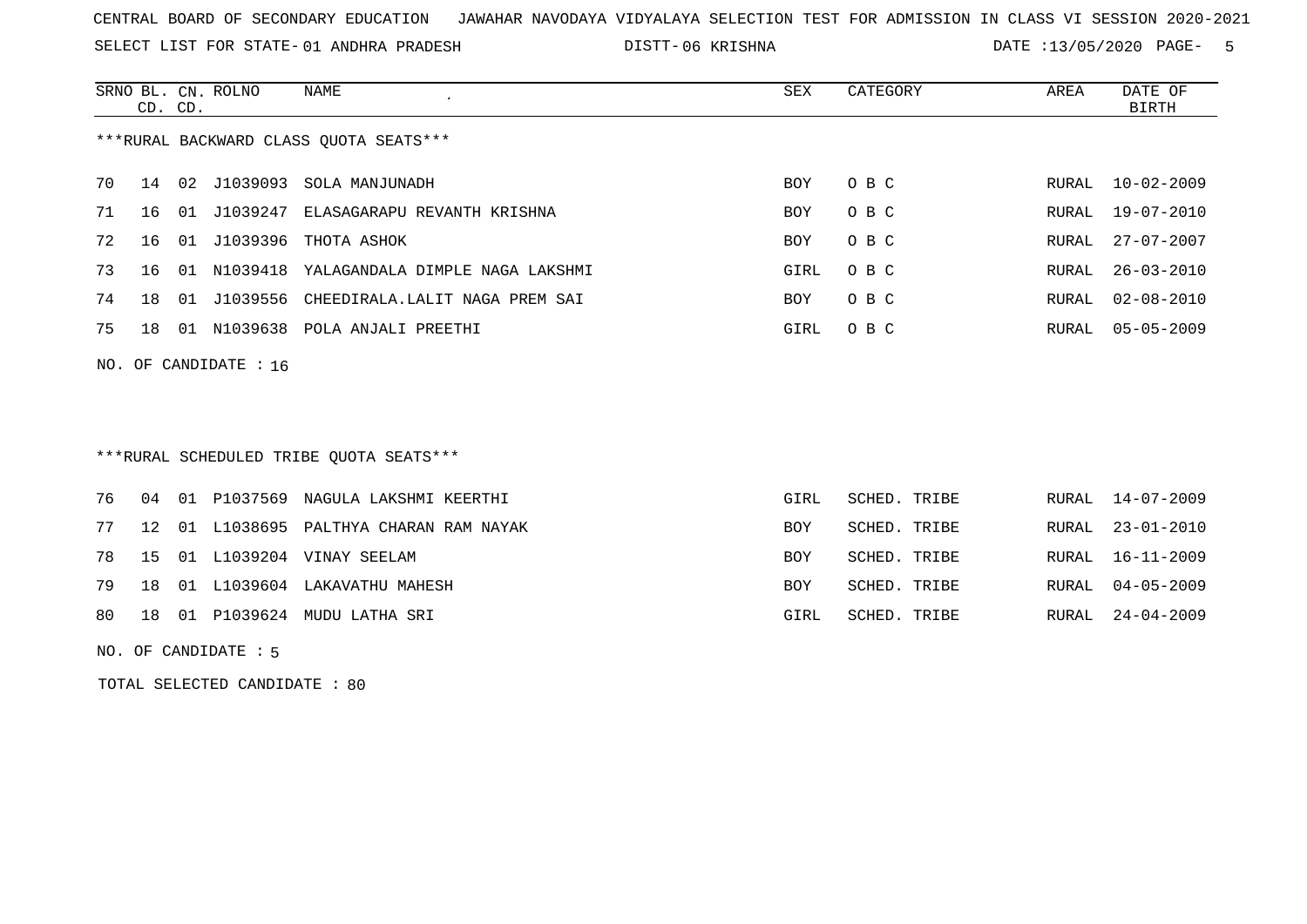SELECT LIST FOR STATE- DISTT- 01 ANDHRA PRADESH

06 KRISHNA DATE :13/05/2020 PAGE- 5

|                                        | CD. CD.                 |    | SRNO BL. CN. ROLNO | NAME<br>$\epsilon$                       | SEX  | CATEGORY | AREA  | DATE OF<br>BIRTH |  |
|----------------------------------------|-------------------------|----|--------------------|------------------------------------------|------|----------|-------|------------------|--|
| ***RURAL BACKWARD CLASS QUOTA SEATS*** |                         |    |                    |                                          |      |          |       |                  |  |
| 70                                     | 14                      |    |                    | 02 J1039093 SOLA MANJUNADH               | BOY  | O B C    |       | RURAL 10-02-2009 |  |
| 71                                     | 16                      | 01 |                    | J1039247 ELASAGARAPU REVANTH KRISHNA     | BOY  | O B C    | RURAL | 19-07-2010       |  |
| 72                                     | 16                      | 01 |                    | J1039396 THOTA ASHOK                     | BOY  | O B C    | RURAL | 27-07-2007       |  |
| 73                                     | 16                      | 01 |                    | N1039418 YALAGANDALA DIMPLE NAGA LAKSHMI | GIRL | O B C    | RURAL | $26 - 03 - 2010$ |  |
| 74                                     | 18                      | 01 |                    | J1039556 CHEEDIRALA.LALIT NAGA PREM SAI  | BOY  | O B C    | RURAL | 02-08-2010       |  |
| 75                                     | 18                      | 01 | N1039638           | POLA ANJALI PREETHI                      | GIRL | O B C    | RURAL | $05 - 05 - 2009$ |  |
|                                        | NO. OF CANDIDATE : $16$ |    |                    |                                          |      |          |       |                  |  |

\*\*\*RURAL SCHEDULED TRIBE QUOTA SEATS\*\*\*

|  |  | 76 04 01 P1037569 NAGULA LAKSHMI KEERTHI   | GIRL       | SCHED. TRIBE | RURAL 14-07-2009 |
|--|--|--------------------------------------------|------------|--------------|------------------|
|  |  | 77 12 01 L1038695 PALTHYA CHARAN RAM NAYAK | BOY.       | SCHED. TRIBE | RURAL 23-01-2010 |
|  |  | 78 15 01 L1039204 VINAY SEELAM             | <b>BOY</b> | SCHED. TRIBE | RURAL 16-11-2009 |
|  |  | 79 18 01 L1039604 LAKAVATHU MAHESH         | <b>BOY</b> | SCHED. TRIBE | RURAL 04-05-2009 |
|  |  | 80 18 01 P1039624 MUDU LATHA SRI           | GIRL       | SCHED. TRIBE | RURAL 24-04-2009 |
|  |  |                                            |            |              |                  |

NO. OF CANDIDATE : 5

TOTAL SELECTED CANDIDATE : 80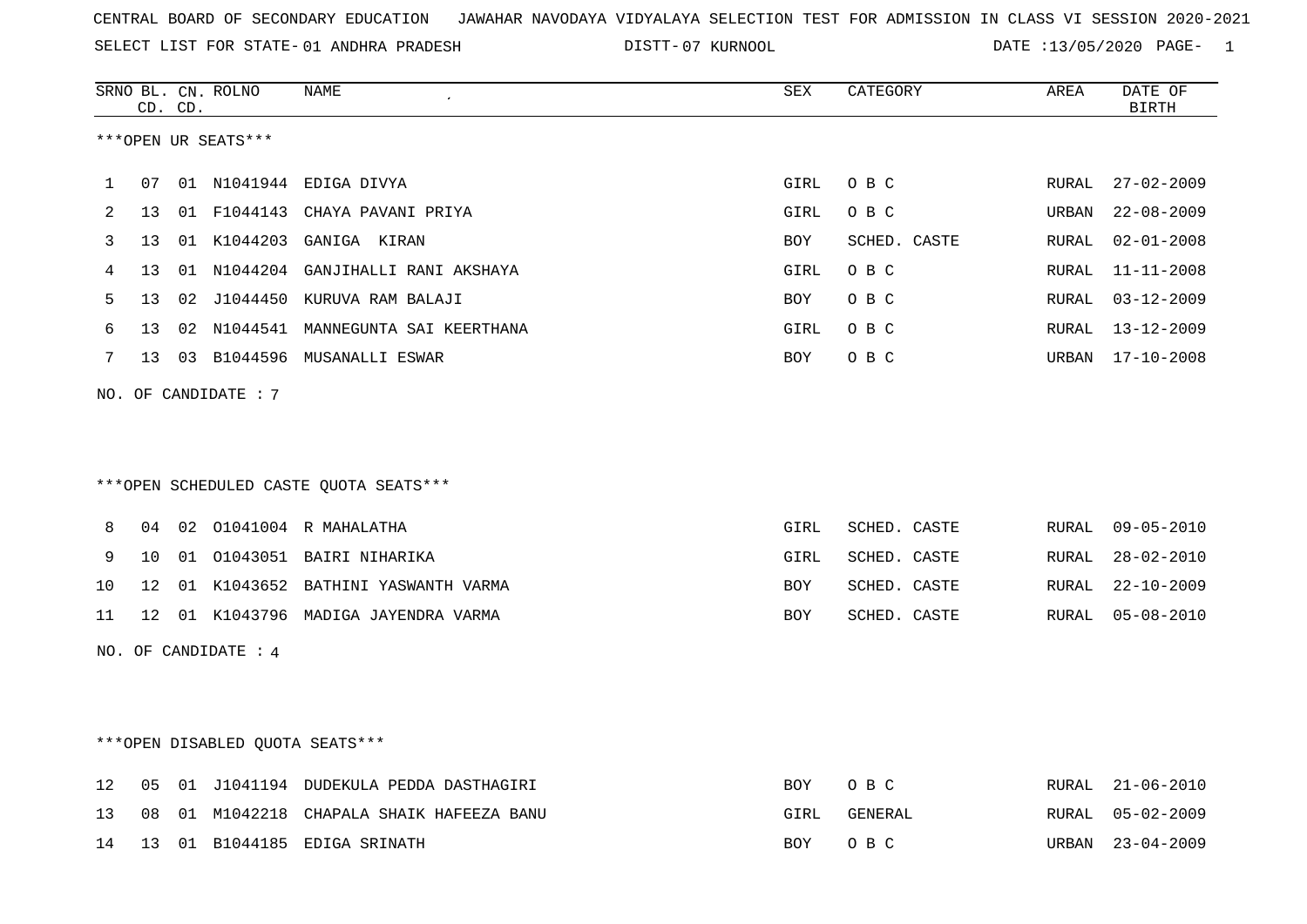SELECT LIST FOR STATE- DISTT- 01 ANDHRA PRADESH

07 KURNOOL DATE :13/05/2020 PAGE- 1

|    |                     | CD. CD. | SRNO BL. CN. ROLNO              | NAME                                   | SEX        | CATEGORY     | AREA  | DATE OF<br>$\operatorname{BIRTH}$ |  |  |
|----|---------------------|---------|---------------------------------|----------------------------------------|------------|--------------|-------|-----------------------------------|--|--|
|    | ***OPEN UR SEATS*** |         |                                 |                                        |            |              |       |                                   |  |  |
|    |                     |         |                                 |                                        |            |              |       |                                   |  |  |
| 1  | 07                  |         |                                 | 01 N1041944 EDIGA DIVYA                | GIRL       | O B C        | RURAL | $27 - 02 - 2009$                  |  |  |
| 2  | 13                  |         |                                 | 01 F1044143 CHAYA PAVANI PRIYA         | GIRL       | O B C        | URBAN | $22 - 08 - 2009$                  |  |  |
| 3  | 13                  |         |                                 | 01 K1044203 GANIGA KIRAN               | <b>BOY</b> | SCHED. CASTE | RURAL | $02 - 01 - 2008$                  |  |  |
| 4  | 13                  |         |                                 | 01 N1044204 GANJIHALLI RANI AKSHAYA    | GIRL       | O B C        | RURAL | $11 - 11 - 2008$                  |  |  |
| 5  | 13                  |         |                                 | 02 J1044450 KURUVA RAM BALAJI          | BOY        | O B C        | RURAL | $03 - 12 - 2009$                  |  |  |
| 6  | 13                  |         |                                 | 02 N1044541 MANNEGUNTA SAI KEERTHANA   | GIRL       | O B C        | RURAL | $13 - 12 - 2009$                  |  |  |
| 7  | 13                  |         |                                 | 03 B1044596 MUSANALLI ESWAR            | <b>BOY</b> | O B C        |       | URBAN 17-10-2008                  |  |  |
|    |                     |         | NO. OF CANDIDATE : 7            |                                        |            |              |       |                                   |  |  |
|    |                     |         |                                 |                                        |            |              |       |                                   |  |  |
|    |                     |         |                                 |                                        |            |              |       |                                   |  |  |
|    |                     |         |                                 | ***OPEN SCHEDULED CASTE QUOTA SEATS*** |            |              |       |                                   |  |  |
|    |                     |         |                                 |                                        |            |              |       |                                   |  |  |
| 8  | 04                  |         |                                 | 02 01041004 R MAHALATHA                | GIRL       | SCHED. CASTE | RURAL | $09 - 05 - 2010$                  |  |  |
| 9  | 10                  |         |                                 | 01 01043051 BAIRI NIHARIKA             | GIRL       | SCHED. CASTE | RURAL | $28 - 02 - 2010$                  |  |  |
| 10 | 12                  |         |                                 | 01 K1043652 BATHINI YASWANTH VARMA     | <b>BOY</b> | SCHED. CASTE | RURAL | $22 - 10 - 2009$                  |  |  |
| 11 | 12 <sup>°</sup>     |         |                                 | 01 K1043796 MADIGA JAYENDRA VARMA      | BOY        | SCHED. CASTE | RURAL | $05 - 08 - 2010$                  |  |  |
|    |                     |         | NO. OF CANDIDATE : 4            |                                        |            |              |       |                                   |  |  |
|    |                     |         |                                 |                                        |            |              |       |                                   |  |  |
|    |                     |         |                                 |                                        |            |              |       |                                   |  |  |
|    |                     |         |                                 |                                        |            |              |       |                                   |  |  |
|    |                     |         | ***OPEN DISABLED QUOTA SEATS*** |                                        |            |              |       |                                   |  |  |
| 12 | 05                  |         |                                 | 01 J1041194 DUDEKULA PEDDA DASTHAGIRI  | BOY        | O B C        | RURAL | $21 - 06 - 2010$                  |  |  |
| 13 | 08                  |         |                                 | 01 M1042218 CHAPALA SHAIK HAFEEZA BANU | GIRL       | GENERAL      | RURAL | $05 - 02 - 2009$                  |  |  |
| 14 | 13                  |         |                                 | 01 B1044185 EDIGA SRINATH              | BOY        | O B C        | URBAN | $23 - 04 - 2009$                  |  |  |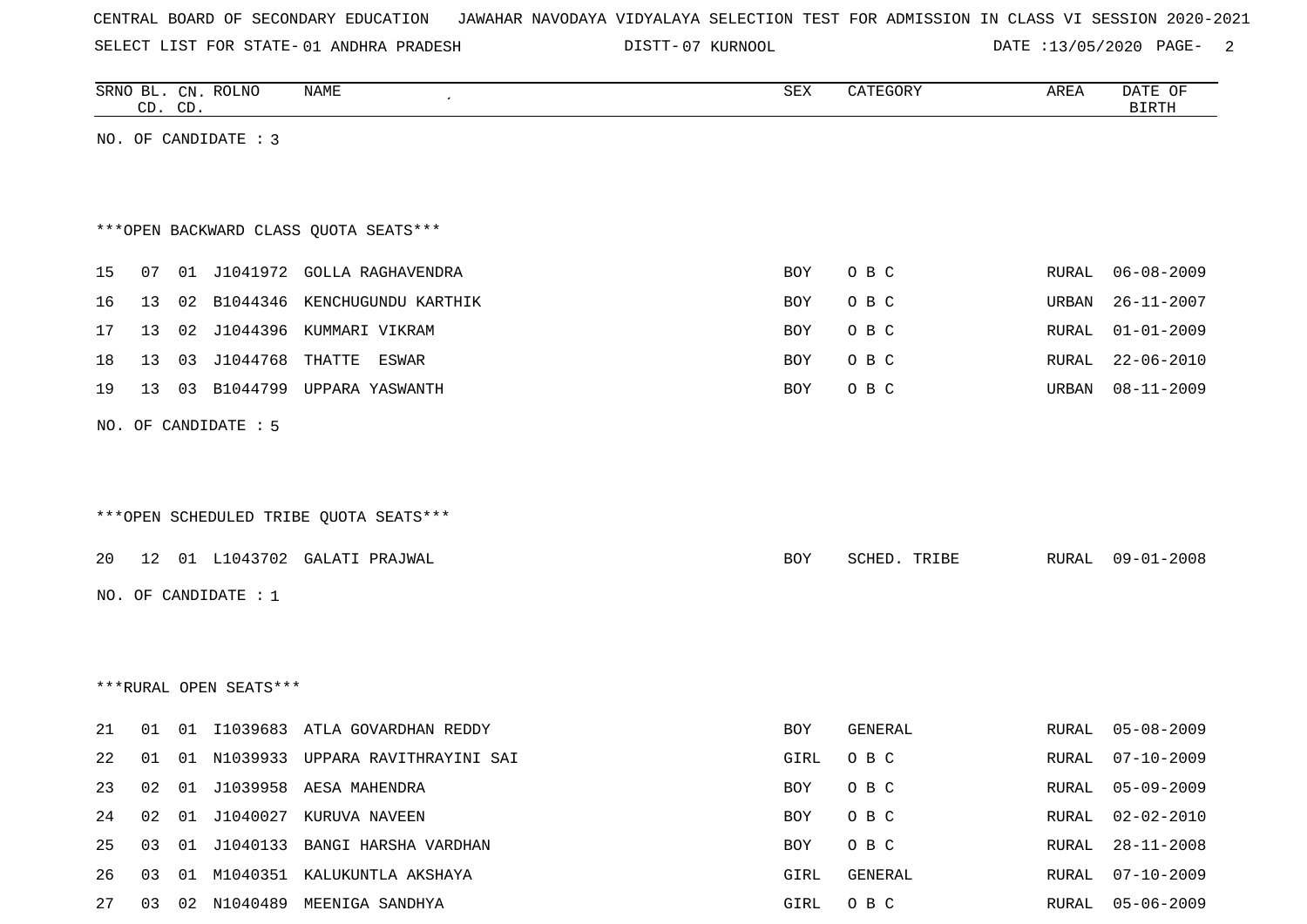SELECT LIST FOR STATE- DISTT- 01 ANDHRA PRADESH

07 KURNOOL DATE :13/05/2020 PAGE- 2

|    | CD. CD. | SRNO BL. CN. ROLNO     | NAME                                   | SEX        | CATEGORY     | AREA         | DATE OF<br><b>BIRTH</b> |
|----|---------|------------------------|----------------------------------------|------------|--------------|--------------|-------------------------|
|    |         | NO. OF CANDIDATE : 3   |                                        |            |              |              |                         |
|    |         |                        |                                        |            |              |              |                         |
|    |         |                        |                                        |            |              |              |                         |
|    |         |                        | *** OPEN BACKWARD CLASS QUOTA SEATS*** |            |              |              |                         |
| 15 | 07      |                        | 01 J1041972 GOLLA RAGHAVENDRA          | BOY        | O B C        | RURAL        | $06 - 08 - 2009$        |
| 16 |         |                        | 13 02 B1044346 KENCHUGUNDU KARTHIK     | BOY        | O B C        | URBAN        | $26 - 11 - 2007$        |
| 17 |         |                        | 13 02 J1044396 KUMMARI VIKRAM          | <b>BOY</b> | O B C        | <b>RURAL</b> | $01 - 01 - 2009$        |
| 18 | 13      | 03 J1044768            | THATTE<br>ESWAR                        | BOY        | O B C        | RURAL        | $22 - 06 - 2010$        |
| 19 | 13      |                        | 03 B1044799 UPPARA YASWANTH            | <b>BOY</b> | O B C        | URBAN        | $08 - 11 - 2009$        |
|    |         | NO. OF CANDIDATE : 5   |                                        |            |              |              |                         |
|    |         |                        |                                        |            |              |              |                         |
|    |         |                        |                                        |            |              |              |                         |
|    |         |                        | ***OPEN SCHEDULED TRIBE QUOTA SEATS*** |            |              |              |                         |
|    |         |                        |                                        |            |              |              |                         |
| 20 |         |                        | 12 01 L1043702 GALATI PRAJWAL          | BOY        | SCHED. TRIBE | RURAL        | $09 - 01 - 2008$        |
|    |         | NO. OF CANDIDATE : $1$ |                                        |            |              |              |                         |
|    |         |                        |                                        |            |              |              |                         |
|    |         |                        |                                        |            |              |              |                         |
|    |         | ***RURAL OPEN SEATS*** |                                        |            |              |              |                         |
| 21 | 01      |                        | 01 I1039683 ATLA GOVARDHAN REDDY       | BOY        | GENERAL      | RURAL        | $05 - 08 - 2009$        |
| 22 | 01      |                        | 01 N1039933 UPPARA RAVITHRAYINI SAI    | GIRL       | O B C        | RURAL        | $07 - 10 - 2009$        |
| 23 | 02      |                        | 01 J1039958 AESA MAHENDRA              | BOY        | O B C        | RURAL        | $05 - 09 - 2009$        |
| 24 | 02      |                        | 01 J1040027 KURUVA NAVEEN              | BOY        | O B C        | RURAL        | $02 - 02 - 2010$        |
| 25 | 03      |                        | 01 J1040133 BANGI HARSHA VARDHAN       | BOY        | O B C        | RURAL        | $28 - 11 - 2008$        |
| 26 | 03      |                        | 01 M1040351 KALUKUNTLA AKSHAYA         | GIRL       | GENERAL      | RURAL        | $07 - 10 - 2009$        |
| 27 |         |                        | 03 02 N1040489 MEENIGA SANDHYA         | GIRL       | O B C        | RURAL        | $05 - 06 - 2009$        |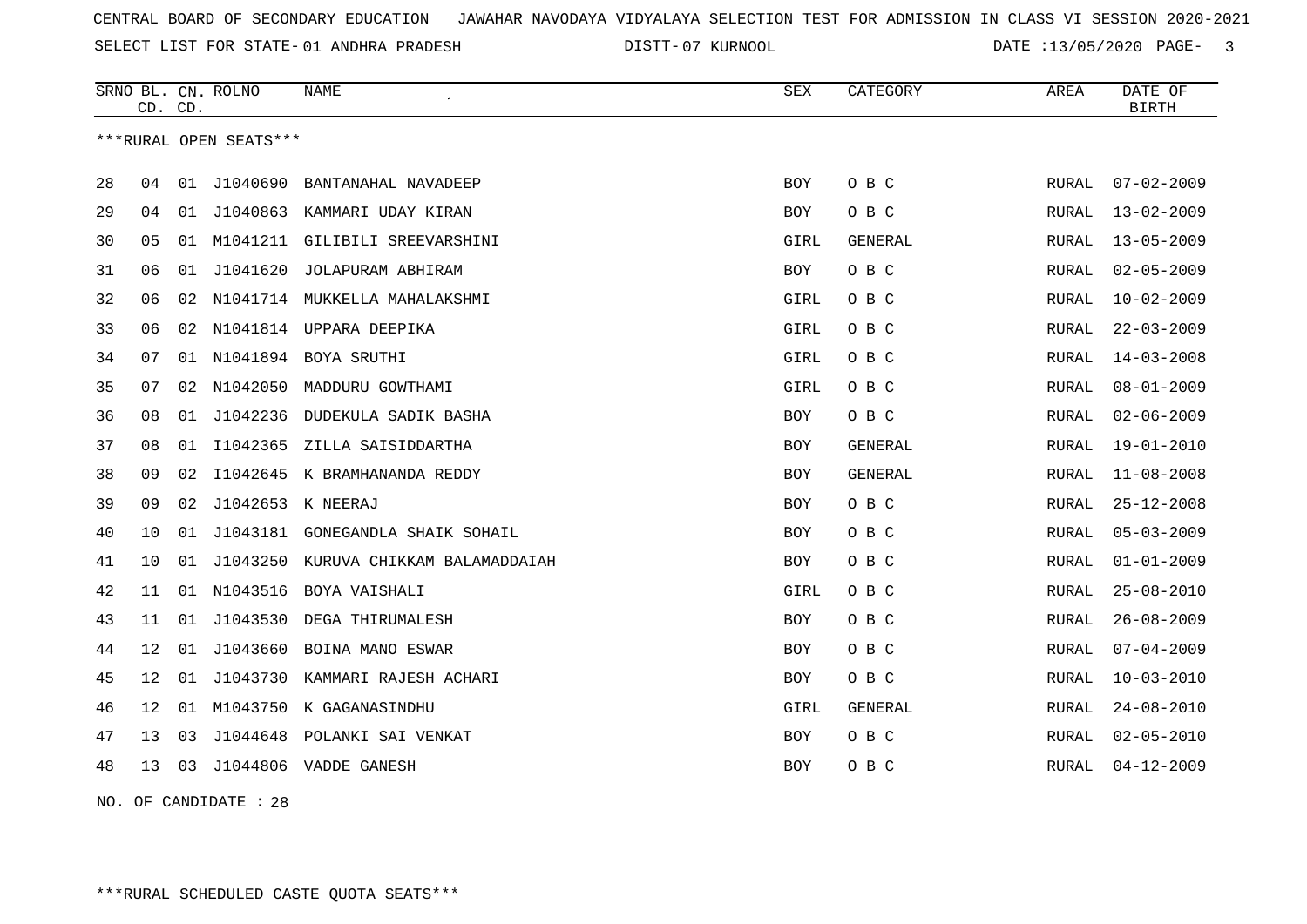SELECT LIST FOR STATE- DISTT- 01 ANDHRA PRADESH

07 KURNOOL DATE :13/05/2020 PAGE- 3

|    | CD. CD.                |    | SRNO BL. CN. ROLNO | <b>NAME</b>                   | <b>SEX</b> | CATEGORY       | AREA         | DATE OF<br><b>BIRTH</b> |  |  |
|----|------------------------|----|--------------------|-------------------------------|------------|----------------|--------------|-------------------------|--|--|
|    | ***RURAL OPEN SEATS*** |    |                    |                               |            |                |              |                         |  |  |
| 28 | 04                     | 01 | J1040690           | BANTANAHAL NAVADEEP           | <b>BOY</b> | O B C          | RURAL        | $07 - 02 - 2009$        |  |  |
| 29 | 04                     | 01 | J1040863           | KAMMARI UDAY KIRAN            | BOY        | O B C          | RURAL        | $13 - 02 - 2009$        |  |  |
| 30 | 05                     |    | 01 M1041211        | GILIBILI SREEVARSHINI         | GIRL       | <b>GENERAL</b> | RURAL        | $13 - 05 - 2009$        |  |  |
| 31 | 06                     | 01 | J1041620           | JOLAPURAM ABHIRAM             | BOY        | O B C          | RURAL        | $02 - 05 - 2009$        |  |  |
| 32 | 06                     | 02 |                    | N1041714 MUKKELLA MAHALAKSHMI | GIRL       | O B C          | RURAL        | $10 - 02 - 2009$        |  |  |
| 33 | 06                     | 02 | N1041814           | UPPARA DEEPIKA                | GIRL       | O B C          | <b>RURAL</b> | $22 - 03 - 2009$        |  |  |
| 34 | 07                     | 01 | N1041894           | BOYA SRUTHI                   | GIRL       | O B C          | <b>RURAL</b> | $14 - 03 - 2008$        |  |  |
| 35 | 07                     | 02 | N1042050           | MADDURU GOWTHAMI              | GIRL       | O B C          | RURAL        | $08 - 01 - 2009$        |  |  |
| 36 | 08                     | 01 | J1042236           | DUDEKULA SADIK BASHA          | <b>BOY</b> | O B C          | RURAL        | $02 - 06 - 2009$        |  |  |
| 37 | 08                     | 01 | I1042365           | ZILLA SAISIDDARTHA            | BOY        | <b>GENERAL</b> | RURAL        | $19 - 01 - 2010$        |  |  |
| 38 | 09                     | 02 | I1042645           | K BRAMHANANDA REDDY           | BOY        | <b>GENERAL</b> | RURAL        | $11 - 08 - 2008$        |  |  |
| 39 | 09                     | 02 | J1042653 K NEERAJ  |                               | <b>BOY</b> | O B C          | <b>RURAL</b> | $25 - 12 - 2008$        |  |  |
| 40 | 10                     | 01 | J1043181           | GONEGANDLA SHAIK SOHAIL       | BOY        | O B C          | <b>RURAL</b> | $05 - 03 - 2009$        |  |  |
| 41 | 10                     | 01 | J1043250           | KURUVA CHIKKAM BALAMADDAIAH   | BOY        | O B C          | RURAL        | $01 - 01 - 2009$        |  |  |
| 42 | 11                     |    | 01 N1043516        | BOYA VAISHALI                 | GIRL       | O B C          | RURAL        | $25 - 08 - 2010$        |  |  |
| 43 | 11                     |    | 01 J1043530        | DEGA THIRUMALESH              | BOY        | O B C          | RURAL        | $26 - 08 - 2009$        |  |  |
| 44 | 12                     | 01 | J1043660           | BOINA MANO ESWAR              | BOY        | O B C          | RURAL        | $07 - 04 - 2009$        |  |  |
| 45 | 12                     | 01 | J1043730           | KAMMARI RAJESH ACHARI         | <b>BOY</b> | O B C          | RURAL        | $10 - 03 - 2010$        |  |  |
| 46 | 12                     | 01 | M1043750           | K GAGANASINDHU                | GIRL       | <b>GENERAL</b> | <b>RURAL</b> | $24 - 08 - 2010$        |  |  |
| 47 | 13                     | 03 | J1044648           | POLANKI SAI VENKAT            | <b>BOY</b> | O B C          | <b>RURAL</b> | $02 - 05 - 2010$        |  |  |
| 48 | 13                     | 03 |                    | J1044806 VADDE GANESH         | <b>BOY</b> | O B C          | RURAL        | $04 - 12 - 2009$        |  |  |
|    |                        |    |                    |                               |            |                |              |                         |  |  |

NO. OF CANDIDATE : 28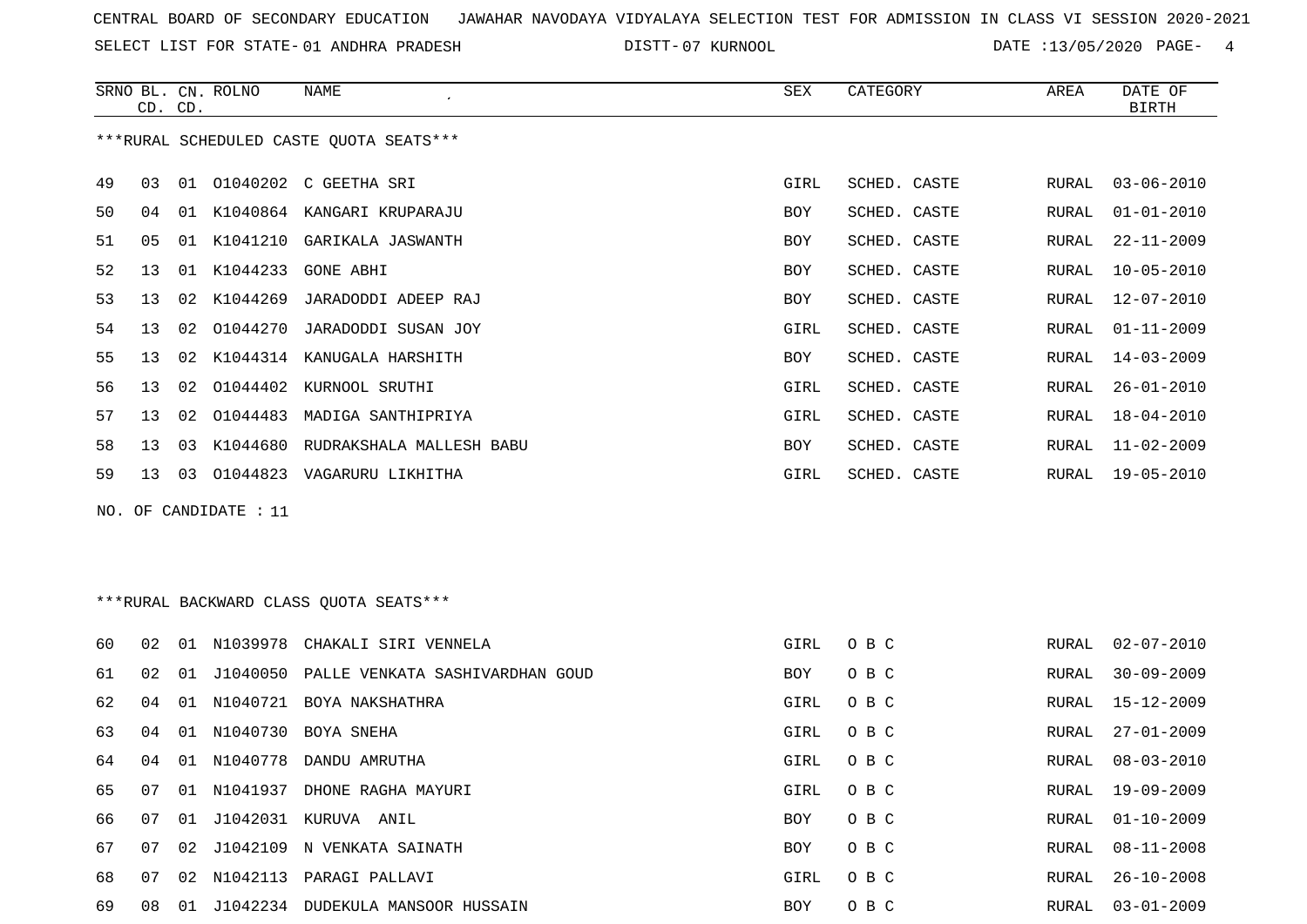SELECT LIST FOR STATE- DISTT- 01 ANDHRA PRADESH

07 KURNOOL DATE :13/05/2020 PAGE- 4

|                                         |                 | CD. CD. | SRNO BL. CN. ROLNO | NAME                          | SEX        | CATEGORY     | AREA         | DATE OF<br><b>BIRTH</b> |  |
|-----------------------------------------|-----------------|---------|--------------------|-------------------------------|------------|--------------|--------------|-------------------------|--|
| ***RURAL SCHEDULED CASTE OUOTA SEATS*** |                 |         |                    |                               |            |              |              |                         |  |
| 49                                      | 03              |         |                    | 01 01040202 C GEETHA SRI      | GIRL       | SCHED. CASTE | RURAL        | $03 - 06 - 2010$        |  |
| 50                                      | 04              |         |                    | 01 K1040864 KANGARI KRUPARAJU | <b>BOY</b> | SCHED. CASTE | RURAL        | $01 - 01 - 2010$        |  |
| 51                                      | 0 <sub>5</sub>  | 01      | K1041210           | GARIKALA JASWANTH             | <b>BOY</b> | SCHED. CASTE | <b>RURAL</b> | $22 - 11 - 2009$        |  |
| 52                                      | 13              | 01      | K1044233           | <b>GONE ABHI</b>              | <b>BOY</b> | SCHED. CASTE | RURAL        | $10 - 05 - 2010$        |  |
| 53                                      | 13              | 02      | K1044269           | JARADODDI ADEEP RAJ           | <b>BOY</b> | SCHED. CASTE | RURAL        | $12 - 07 - 2010$        |  |
| 54                                      | 13              | 02      | 01044270           | JARADODDI SUSAN JOY           | GIRL       | SCHED. CASTE | RURAL        | $01 - 11 - 2009$        |  |
| 55                                      | 13              | 02      | K1044314           | KANUGALA HARSHITH             | <b>BOY</b> | SCHED. CASTE | RURAL        | $14 - 03 - 2009$        |  |
| 56                                      | 13              | 02      | 01044402           | KURNOOL SRUTHI                | GIRL       | SCHED. CASTE | RURAL        | $26 - 01 - 2010$        |  |
| 57                                      | 13              | 02      | 01044483           | MADIGA SANTHIPRIYA            | GIRL       | SCHED. CASTE | RURAL        | $18 - 04 - 2010$        |  |
| 58                                      | 13 <sup>°</sup> | 03      | K1044680           | RUDRAKSHALA MALLESH BABU      | <b>BOY</b> | SCHED. CASTE | RURAL        | $11 - 02 - 2009$        |  |
| 59                                      | 13 <sup>7</sup> | 03      |                    | 01044823 VAGARURU LIKHITHA    | GIRL       | SCHED. CASTE | RURAL        | $19 - 05 - 2010$        |  |
| NO. OF CANDIDATE : 11                   |                 |         |                    |                               |            |              |              |                         |  |
|                                         |                 |         |                    |                               |            |              |              |                         |  |
|                                         |                 |         |                    |                               |            |              |              |                         |  |
| ***RURAL BACKWARD CLASS OUOTA SEATS***  |                 |         |                    |                               |            |              |              |                         |  |

| 60 | 02 | . በ 1 | N1039978    | CHAKALI SIRI VENNELA              | GIRL       | O B C | RURAL | $02 - 07 - 2010$ |
|----|----|-------|-------------|-----------------------------------|------------|-------|-------|------------------|
| 61 | 02 | 01    | J1040050    | PALLE VENKATA SASHIVARDHAN GOUD   | <b>BOY</b> | O B C | RURAL | $30 - 09 - 2009$ |
| 62 | 04 | 01    |             | N1040721 BOYA NAKSHATHRA          | GIRL       | O B C | RURAL | 15-12-2009       |
| 63 | 04 | 01    | N1040730    | BOYA SNEHA                        | GIRL       | O B C | RURAL | 27-01-2009       |
| 64 | 04 | 01    | N1040778    | DANDU AMRUTHA                     | GIRL       | O B C |       | RURAL 08-03-2010 |
| 65 | 07 | 01    | N1041937    | DHONE RAGHA MAYURI                | GIRL       | O B C |       | RURAL 19-09-2009 |
| 66 | 07 |       |             | 01 J1042031 KURUVA ANIL           | <b>BOY</b> | O B C | RURAL | $01 - 10 - 2009$ |
| 67 | 07 |       | 02 J1042109 | N VENKATA SAINATH                 | BOY        | O B C | RURAL | $08 - 11 - 2008$ |
| 68 | 07 | 02    | N1042113    | PARAGI PALLAVI                    | GIRL       | O B C | RURAL | $26 - 10 - 2008$ |
| 69 | 08 | 01    |             | J1042234 DUDEKULA MANSOOR HUSSAIN | <b>BOY</b> | O B C | RURAL | 03-01-2009       |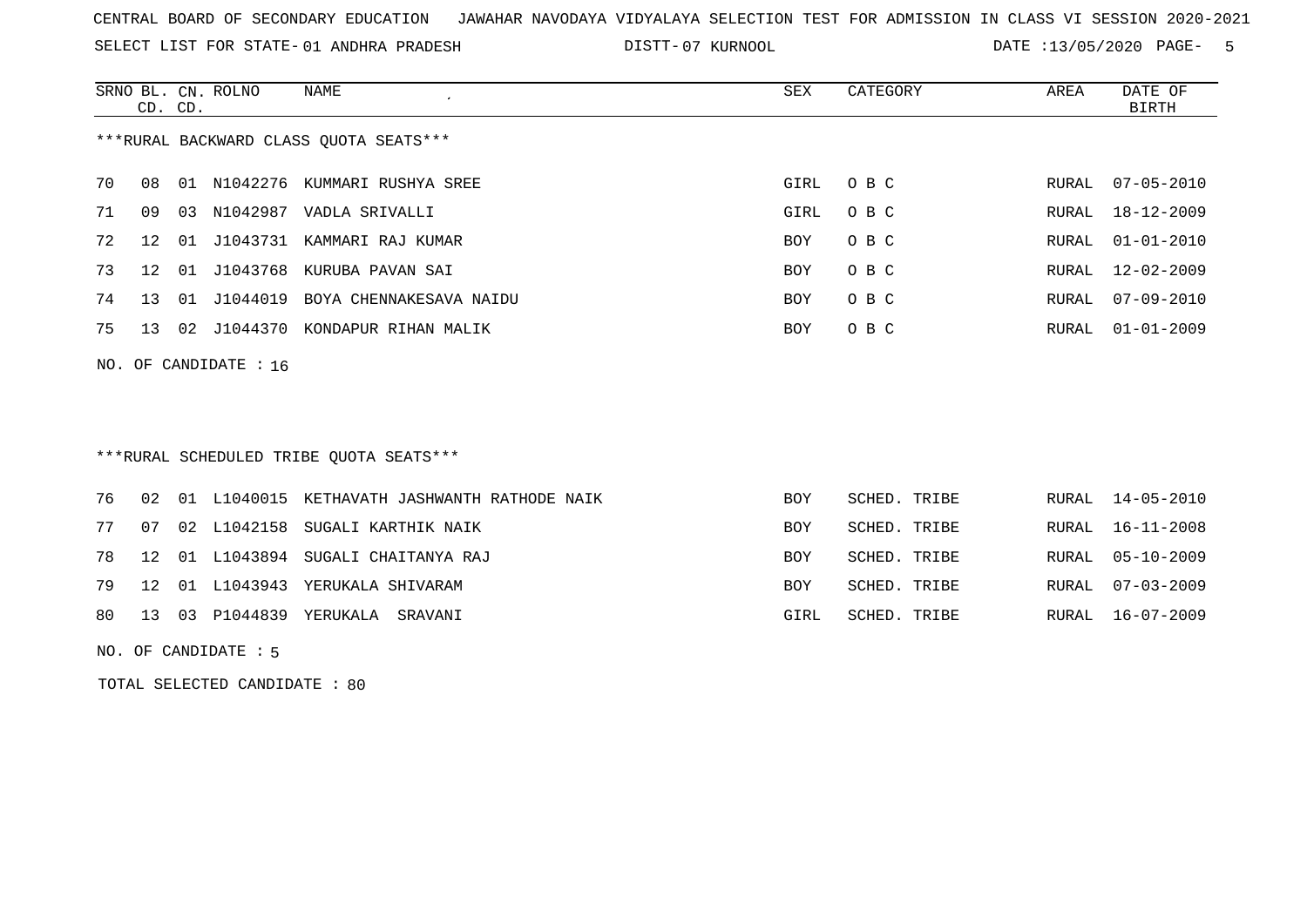SELECT LIST FOR STATE- DISTT- 01 ANDHRA PRADESH

07 KURNOOL DATE :13/05/2020 PAGE- 5

|                                        | CD. CD.                 |    | SRNO BL. CN. ROLNO | NAME                    | SEX        | CATEGORY | AREA  | DATE OF<br>BIRTH |  |  |  |
|----------------------------------------|-------------------------|----|--------------------|-------------------------|------------|----------|-------|------------------|--|--|--|
| ***RURAL BACKWARD CLASS OUOTA SEATS*** |                         |    |                    |                         |            |          |       |                  |  |  |  |
| 70                                     | 08                      | 01 | N1042276           | KUMMARI RUSHYA SREE     | GIRL       | O B C    | RURAL | $07 - 05 - 2010$ |  |  |  |
| 71                                     | 09                      | 03 | N1042987           | VADLA SRIVALLI          | GIRL       | O B C    | RURAL | 18-12-2009       |  |  |  |
| 72                                     | 12                      | 01 | J1043731           | KAMMARI RAJ KUMAR       | BOY        | O B C    | RURAL | $01 - 01 - 2010$ |  |  |  |
| 73                                     | 12                      | 01 | J1043768           | KURUBA PAVAN SAI        | BOY        | O B C    |       | RURAL 12-02-2009 |  |  |  |
| 74                                     | 13                      | 01 | J1044019           | BOYA CHENNAKESAVA NAIDU | <b>BOY</b> | O B C    | RURAL | $07 - 09 - 2010$ |  |  |  |
| 75                                     | 13                      |    | 02 J1044370        | KONDAPUR RIHAN MALIK    | BOY        | O B C    | RURAL | $01 - 01 - 2009$ |  |  |  |
|                                        | NO. OF CANDIDATE : $16$ |    |                    |                         |            |          |       |                  |  |  |  |

# \*\*\*RURAL SCHEDULED TRIBE QUOTA SEATS\*\*\*

|  | 77 07 02 L1042158 SUGALI KARTHIK NAIK  | <b>BOY</b>                         | SCHED. TRIBE | RURAL 16-11-2008 |
|--|----------------------------------------|------------------------------------|--------------|------------------|
|  |                                        |                                    |              |                  |
|  | 78 12 01 L1043894 SUGALI CHAITANYA RAJ | <b>BOY</b>                         | SCHED. TRIBE | RURAL 05-10-2009 |
|  | 79 12 01 L1043943 YERUKALA SHIVARAM    | <b>BOY</b>                         | SCHED. TRIBE | RURAL 07-03-2009 |
|  |                                        | GIRL                               | SCHED. TRIBE | RURAL 16-07-2009 |
|  |                                        | 80 13 03 P1044839 YERUKALA SRAVANI |              |                  |

NO. OF CANDIDATE : 5

TOTAL SELECTED CANDIDATE : 80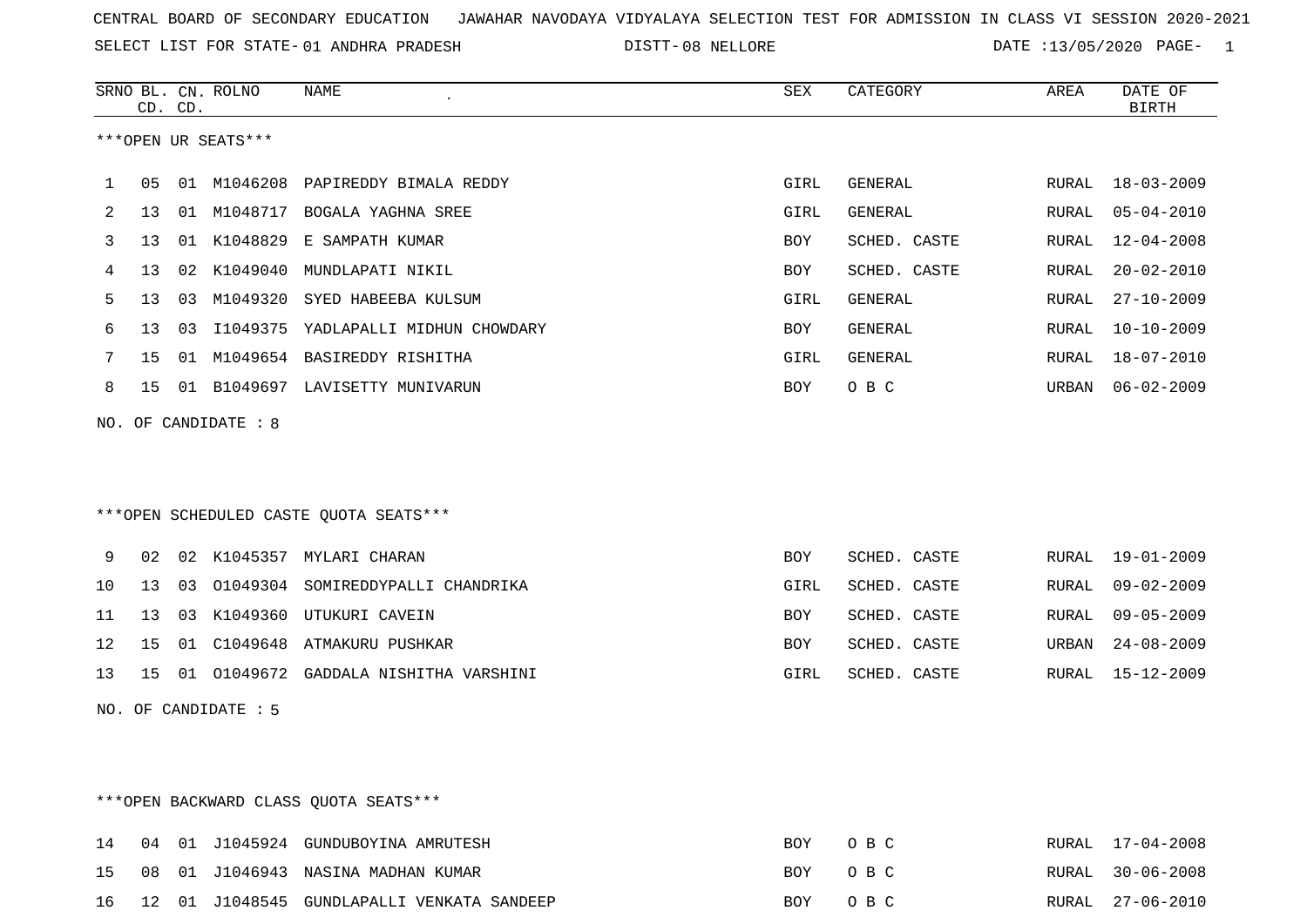SELECT LIST FOR STATE- DISTT- 01 ANDHRA PRADESH

DISTT-08 NELLORE **DATE** :13/05/2020 PAGE- 1

|                      | CD. CD.                                |    | SRNO BL. CN. ROLNO | <b>NAME</b>                        | SEX        | CATEGORY       | AREA  | DATE OF<br><b>BIRTH</b> |  |  |  |
|----------------------|----------------------------------------|----|--------------------|------------------------------------|------------|----------------|-------|-------------------------|--|--|--|
| ***OPEN UR SEATS***  |                                        |    |                    |                                    |            |                |       |                         |  |  |  |
| 1                    | 05                                     |    | 01 M1046208        | PAPIREDDY BIMALA REDDY             | GIRL       | GENERAL        | RURAL | $18 - 03 - 2009$        |  |  |  |
| 2                    | 13                                     |    | 01 M1048717        | BOGALA YAGHNA SREE                 | GIRL       | GENERAL        | RURAL | $05 - 04 - 2010$        |  |  |  |
| 3                    | 13                                     | 01 | K1048829           | E SAMPATH KUMAR                    | BOY        | SCHED. CASTE   | RURAL | $12 - 04 - 2008$        |  |  |  |
| 4                    | 13                                     | 02 | K1049040           | MUNDLAPATI NIKIL                   | <b>BOY</b> | SCHED. CASTE   | RURAL | $20 - 02 - 2010$        |  |  |  |
| 5                    | 13 <sup>°</sup>                        | 03 | M1049320           | SYED HABEEBA KULSUM                | GIRL       | <b>GENERAL</b> | RURAL | $27 - 10 - 2009$        |  |  |  |
| 6                    | 13                                     | 03 | I1049375           | YADLAPALLI MIDHUN CHOWDARY         | BOY        | <b>GENERAL</b> | RURAL | $10 - 10 - 2009$        |  |  |  |
| 7                    | 15                                     | 01 |                    | M1049654 BASIREDDY RISHITHA        | GIRL       | <b>GENERAL</b> | RURAL | $18 - 07 - 2010$        |  |  |  |
| 8                    | 15                                     |    |                    | 01 B1049697 LAVISETTY MUNIVARUN    | <b>BOY</b> | O B C          | URBAN | $06 - 02 - 2009$        |  |  |  |
| NO. OF CANDIDATE : 8 |                                        |    |                    |                                    |            |                |       |                         |  |  |  |
|                      |                                        |    |                    |                                    |            |                |       |                         |  |  |  |
|                      |                                        |    |                    |                                    |            |                |       |                         |  |  |  |
|                      | ***OPEN SCHEDULED CASTE QUOTA SEATS*** |    |                    |                                    |            |                |       |                         |  |  |  |
|                      |                                        |    |                    |                                    |            |                |       |                         |  |  |  |
| 9                    | 02                                     |    | 02 K1045357        | MYLARI CHARAN                      | <b>BOY</b> | SCHED. CASTE   | RURAL | $19 - 01 - 2009$        |  |  |  |
| 10                   | 13                                     | 03 |                    | 01049304 SOMIREDDYPALLI CHANDRIKA  | GIRL       | SCHED. CASTE   | RURAL | $09 - 02 - 2009$        |  |  |  |
| 11                   | 13                                     | 03 | K1049360           | UTUKURI CAVEIN                     | BOY        | SCHED. CASTE   | RURAL | $09 - 05 - 2009$        |  |  |  |
| 12                   | 15                                     | 01 | C1049648           | ATMAKURU PUSHKAR                   | BOY        | SCHED. CASTE   | URBAN | $24 - 08 - 2009$        |  |  |  |
| 13                   | 15                                     | 01 |                    | 01049672 GADDALA NISHITHA VARSHINI | GIRL       | SCHED. CASTE   | RURAL | 15-12-2009              |  |  |  |
|                      | NO. OF CANDIDATE : 5                   |    |                    |                                    |            |                |       |                         |  |  |  |

\*\*\*OPEN BACKWARD CLASS QUOTA SEATS\*\*\*

|  |  | 14 04 01 J1045924 GUNDUBOYINA AMRUTESH        | BOY OBC | RURAL 17-04-2008 |
|--|--|-----------------------------------------------|---------|------------------|
|  |  | 15 08 01 J1046943 NASINA MADHAN KUMAR         | BOY OBC | RURAL 30-06-2008 |
|  |  | 16 12 01 J1048545 GUNDLAPALLI VENKATA SANDEEP | BOY OBC | RURAL 27-06-2010 |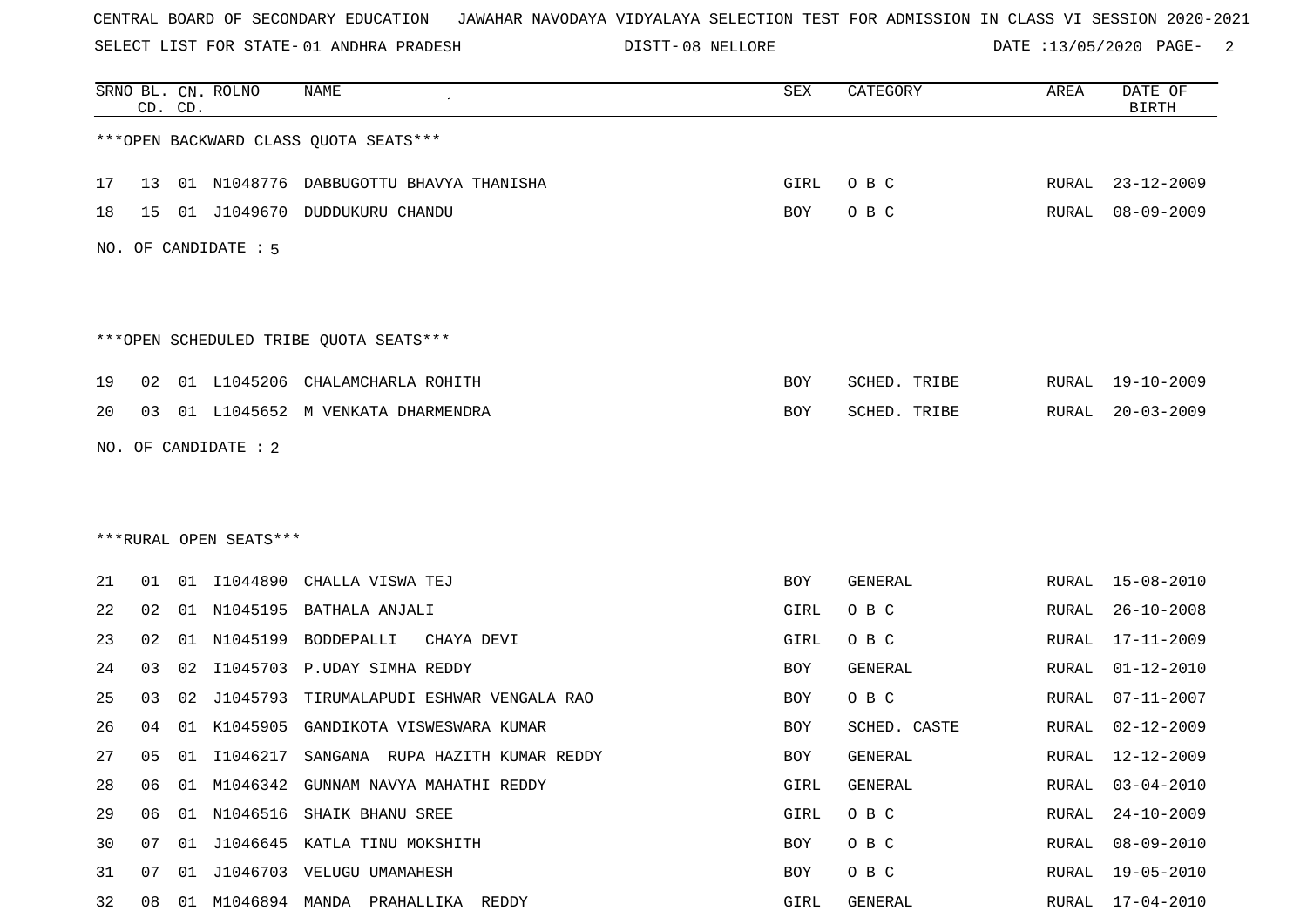SELECT LIST FOR STATE- DISTT- 01 ANDHRA PRADESH

DISTT-08 NELLORE **DATE** :13/05/2020 PAGE- 2

|    |    | CD. CD. | SRNO BL. CN. ROLNO     | <b>NAME</b>                                 | SEX  | CATEGORY       | AREA  | DATE OF<br><b>BIRTH</b> |
|----|----|---------|------------------------|---------------------------------------------|------|----------------|-------|-------------------------|
|    |    |         |                        | *** OPEN BACKWARD CLASS QUOTA SEATS***      |      |                |       |                         |
| 17 | 13 |         |                        | 01 N1048776 DABBUGOTTU BHAVYA THANISHA      | GIRL | O B C          | RURAL | $23 - 12 - 2009$        |
| 18 | 15 |         |                        | 01 J1049670 DUDDUKURU CHANDU                | BOY  | O B C          | RURAL | $08 - 09 - 2009$        |
|    |    |         | NO. OF CANDIDATE : 5   |                                             |      |                |       |                         |
|    |    |         |                        | ***OPEN SCHEDULED TRIBE QUOTA SEATS***      |      |                |       |                         |
| 19 | 02 |         |                        | 01 L1045206 CHALAMCHARLA ROHITH             | BOY  | SCHED. TRIBE   | RURAL | $19 - 10 - 2009$        |
| 20 | 03 |         |                        | 01 L1045652 M VENKATA DHARMENDRA            | BOY  | SCHED. TRIBE   | RURAL | $20 - 03 - 2009$        |
|    |    |         | NO. OF CANDIDATE : 2   |                                             |      |                |       |                         |
|    |    |         |                        |                                             |      |                |       |                         |
|    |    |         |                        |                                             |      |                |       |                         |
|    |    |         | ***RURAL OPEN SEATS*** |                                             |      |                |       |                         |
| 21 | 01 |         |                        | 01 I1044890 CHALLA VISWA TEJ                | BOY  | GENERAL        |       | RURAL 15-08-2010        |
| 22 | 02 |         |                        | 01 N1045195 BATHALA ANJALI                  | GIRL | O B C          | RURAL | $26 - 10 - 2008$        |
| 23 | 02 |         |                        | 01 N1045199 BODDEPALLI<br>CHAYA DEVI        | GIRL | O B C          | RURAL | $17 - 11 - 2009$        |
| 24 | 03 | 02      |                        | I1045703 P.UDAY SIMHA REDDY                 | BOY  | <b>GENERAL</b> | RURAL | $01 - 12 - 2010$        |
| 25 | 03 | 02      |                        | J1045793 TIRUMALAPUDI ESHWAR VENGALA RAO    | BOY  | O B C          | RURAL | $07 - 11 - 2007$        |
| 26 | 04 | 01      | K1045905               | GANDIKOTA VISWESWARA KUMAR                  | BOY  | SCHED. CASTE   | RURAL | $02 - 12 - 2009$        |
| 27 | 05 |         |                        | 01 I1046217 SANGANA RUPA HAZITH KUMAR REDDY | BOY  | GENERAL        | RURAL | $12 - 12 - 2009$        |
| 28 | 06 |         |                        | 01 M1046342 GUNNAM NAVYA MAHATHI REDDY      | GIRL | GENERAL        | RURAL | $03 - 04 - 2010$        |
| 29 | 06 |         |                        | 01 N1046516 SHAIK BHANU SREE                | GIRL | O B C          | RURAL | $24 - 10 - 2009$        |
| 30 | 07 |         |                        | 01 J1046645 KATLA TINU MOKSHITH             | BOY  | O B C          | RURAL | $08 - 09 - 2010$        |
| 31 | 07 |         |                        | 01 J1046703 VELUGU UMAMAHESH                | BOY  | O B C          | RURAL | 19-05-2010              |
| 32 |    |         |                        | 08 01 M1046894 MANDA PRAHALLIKA REDDY       | GIRL | GENERAL        |       | RURAL 17-04-2010        |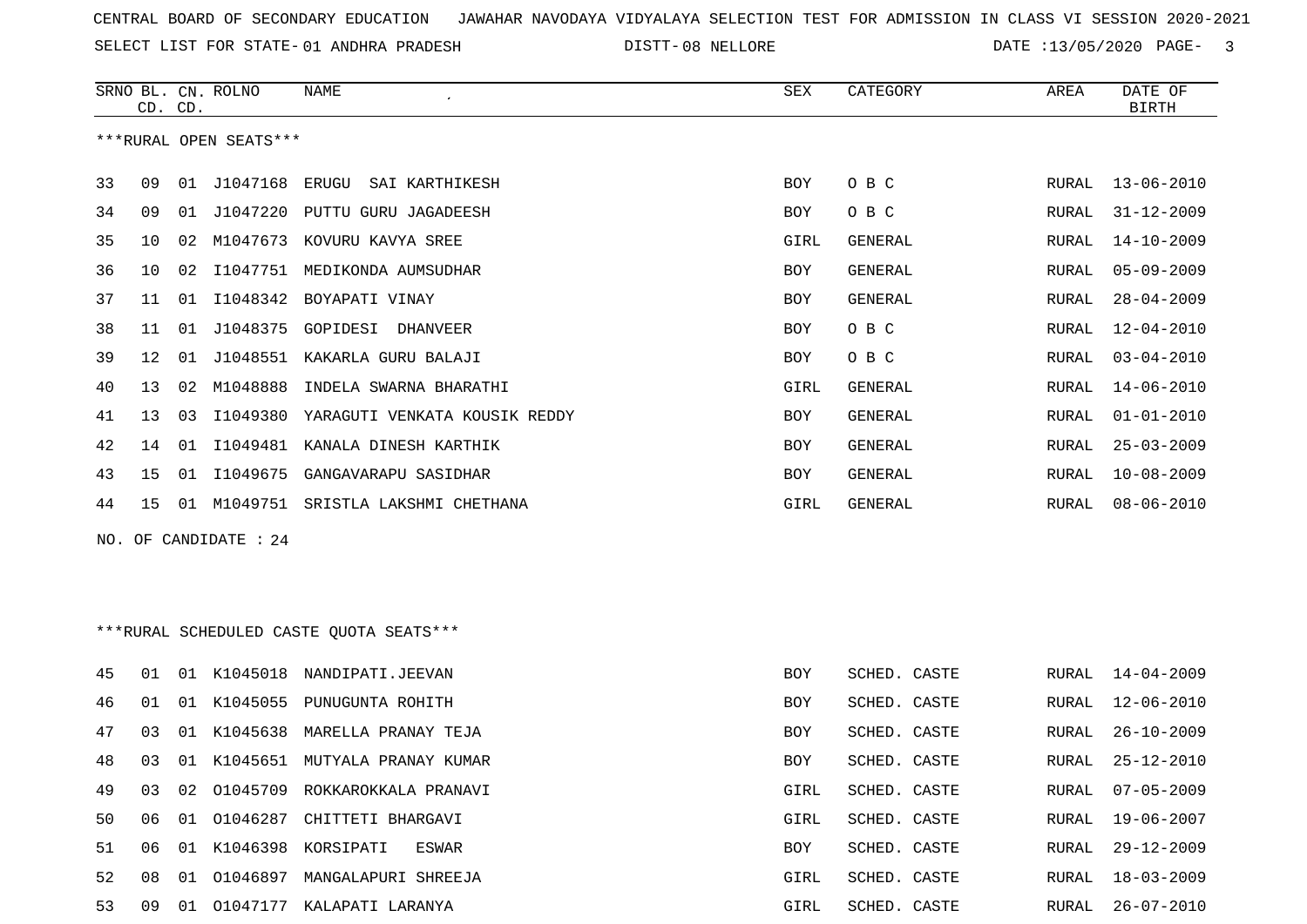SELECT LIST FOR STATE- DISTT- 01 ANDHRA PRADESH

DISTT-08 NELLORE **DATE** :13/05/2020 PAGE- 3

|     | CD. CD.         |    | SRNO BL. CN. ROLNO     | <b>NAME</b>                             | <b>SEX</b> | CATEGORY       | AREA         | DATE OF<br><b>BIRTH</b> |
|-----|-----------------|----|------------------------|-----------------------------------------|------------|----------------|--------------|-------------------------|
|     |                 |    | ***RURAL OPEN SEATS*** |                                         |            |                |              |                         |
| 33  | 09              | 01 | J1047168               | ERUGU<br>SAI KARTHIKESH                 | BOY        | O B C          | RURAL        | $13 - 06 - 2010$        |
| 34  | 09              | 01 |                        | J1047220 PUTTU GURU JAGADEESH           | BOY        | O B C          | RURAL        | $31 - 12 - 2009$        |
| 35  | 10              | 02 |                        | M1047673 KOVURU KAVYA SREE              | GIRL       | GENERAL        | RURAL        | $14 - 10 - 2009$        |
| 36  | 10              | 02 | I1047751               | MEDIKONDA AUMSUDHAR                     | BOY        | <b>GENERAL</b> | RURAL        | $05 - 09 - 2009$        |
| 37  | 11              | 01 | I1048342               | BOYAPATI VINAY                          | BOY        | GENERAL        | RURAL        | $28 - 04 - 2009$        |
| 38  | 11              |    |                        | 01 J1048375 GOPIDESI DHANVEER           | BOY        | O B C          | RURAL        | $12 - 04 - 2010$        |
| 39  | 12 <sub>1</sub> | 01 | J1048551               | KAKARLA GURU BALAJI                     | BOY        | O B C          | RURAL        | $03 - 04 - 2010$        |
| 40  | 13              | 02 | M1048888               | INDELA SWARNA BHARATHI                  | GIRL       | GENERAL        | RURAL        | $14 - 06 - 2010$        |
| 41  | 13              | 03 | I1049380               | YARAGUTI VENKATA KOUSIK REDDY           | BOY        | GENERAL        | RURAL        | $01 - 01 - 2010$        |
| 42  | 14              | 01 | I1049481               | KANALA DINESH KARTHIK                   | BOY        | GENERAL        | RURAL        | $25 - 03 - 2009$        |
| 43  | 15              | 01 | I1049675               | GANGAVARAPU SASIDHAR                    | <b>BOY</b> | <b>GENERAL</b> | <b>RURAL</b> | $10 - 08 - 2009$        |
| 44  | 15              |    |                        | 01 M1049751 SRISTLA LAKSHMI CHETHANA    | GIRL       | GENERAL        | RURAL        | $08 - 06 - 2010$        |
| NO. |                 |    | OF CANDIDATE : 24      |                                         |            |                |              |                         |
|     |                 |    |                        |                                         |            |                |              |                         |
|     |                 |    |                        | ***RURAL SCHEDULED CASTE QUOTA SEATS*** |            |                |              |                         |
| 45  | 01              | 01 | K1045018               | NANDIPATI.JEEVAN                        | BOY        | SCHED. CASTE   | RURAL        | $14 - 04 - 2009$        |
| 46  | 01              |    |                        | 01 K1045055 PUNUGUNTA ROHITH            | <b>BOY</b> | SCHED. CASTE   | RURAL        | $12 - 06 - 2010$        |

| 47 | 03  | . N 1 | K1045638 | MARELLA PRANAY TEJA  | <b>BOY</b> | SCHED, CASTE | RURAL | 26-10-2009       |
|----|-----|-------|----------|----------------------|------------|--------------|-------|------------------|
| 48 | 03  | -01   | K1045651 | MUTYALA PRANAY KUMAR | <b>BOY</b> | SCHED. CASTE | RURAL | 25-12-2010       |
| 49 | 03  | O 2.  | 01045709 | ROKKAROKKALA PRANAVI | GIRL       | SCHED, CASTE | RURAL | $07 - 05 - 2009$ |
| 50 | 06  | - 01  | 01046287 | CHITTETI BHARGAVI    | GIRL       | SCHED. CASTE | RURAL | 19-06-2007       |
| 51 | 06  | . በ 1 | K1046398 | KORSIPATI<br>ESWAR   | <b>BOY</b> | SCHED, CASTE | RURAL | $29 - 12 - 2009$ |
| 52 | 08  | . N 1 | 01046897 | MANGALAPURI SHREEJA  | GIRL       | SCHED, CASTE | RURAL | $18 - 03 - 2009$ |
| 53 | 09. | .N.1  | 01047177 | KALAPATI LARANYA     | GIRL       | SCHED, CASTE | RURAL | 26-07-2010       |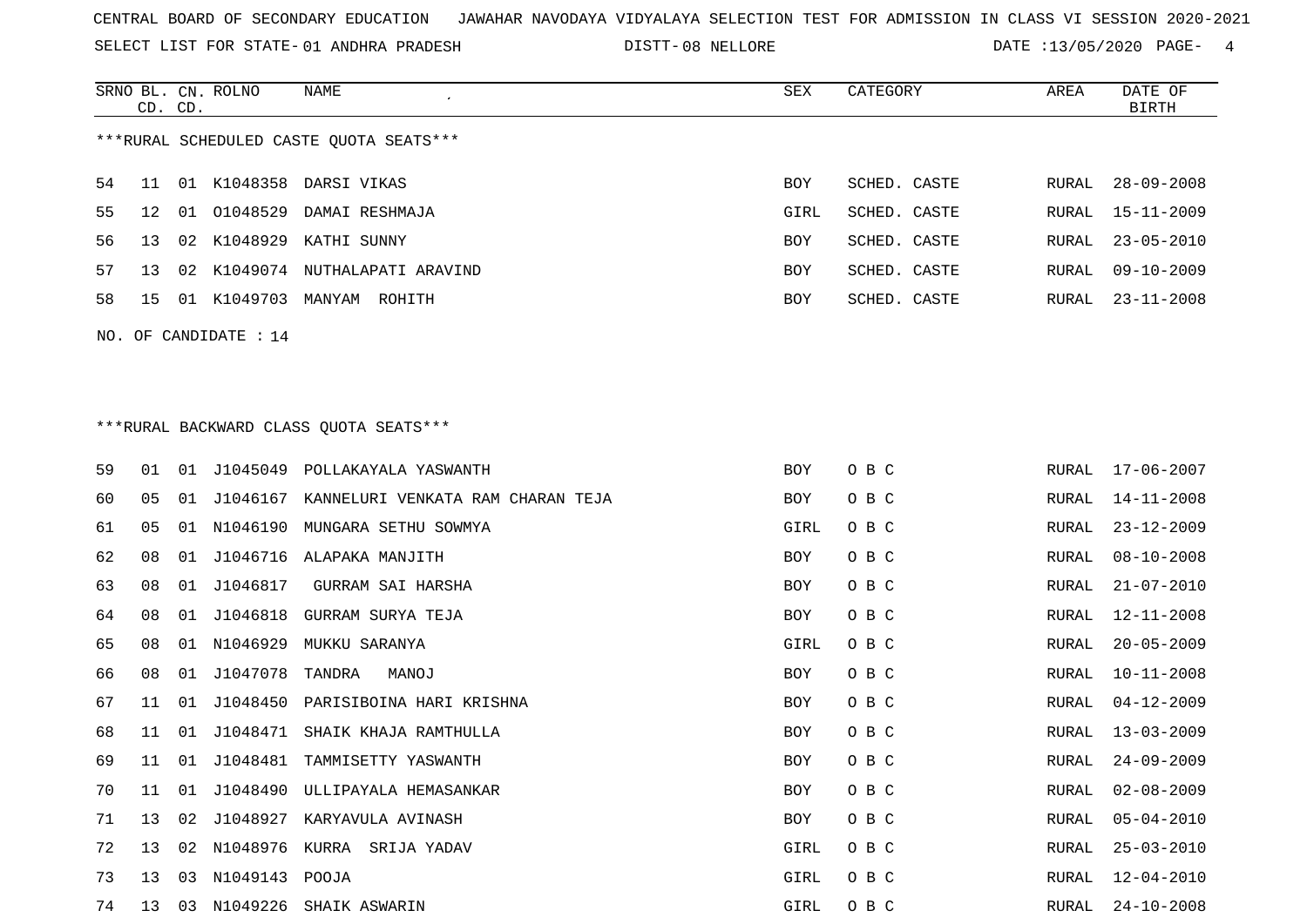SELECT LIST FOR STATE- DISTT- 01 ANDHRA PRADESH

SRNO BL. CN.

ROLNO NAME SEX CATEGORY AREA DATE OF

DISTT-08 NELLORE **DATE** :13/05/2020 PAGE- 4

|    | CD. CD. |    |                       |                                            |            |              |       | <b>BIRTH</b>     |
|----|---------|----|-----------------------|--------------------------------------------|------------|--------------|-------|------------------|
|    |         |    |                       | ***RURAL SCHEDULED CASTE QUOTA SEATS***    |            |              |       |                  |
| 54 | 11      |    |                       | 01 K1048358 DARSI VIKAS                    | <b>BOY</b> | SCHED. CASTE | RURAL | $28 - 09 - 2008$ |
| 55 | 12      | 01 | 01048529              | DAMAI RESHMAJA                             | GIRL       | SCHED. CASTE | RURAL | 15-11-2009       |
| 56 | 13      |    |                       | 02 K1048929 KATHI SUNNY                    | BOY        | SCHED. CASTE | RURAL | $23 - 05 - 2010$ |
| 57 | 13      |    |                       | 02 K1049074 NUTHALAPATI ARAVIND            | BOY        | SCHED. CASTE | RURAL | $09 - 10 - 2009$ |
| 58 | 15      |    |                       | 01 K1049703 MANYAM ROHITH                  | BOY        | SCHED. CASTE | RURAL | $23 - 11 - 2008$ |
|    |         |    | NO. OF CANDIDATE : 14 |                                            |            |              |       |                  |
|    |         |    |                       |                                            |            |              |       |                  |
|    |         |    |                       |                                            |            |              |       |                  |
|    |         |    |                       | *** RURAL BACKWARD CLASS QUOTA SEATS***    |            |              |       |                  |
| 59 | 01      | 01 |                       | J1045049 POLLAKAYALA YASWANTH              | BOY        | O B C        | RURAL | 17-06-2007       |
| 60 | 05      | 01 |                       | J1046167 KANNELURI VENKATA RAM CHARAN TEJA | BOY        | O B C        | RURAL | 14-11-2008       |
| 61 | 05      |    | 01 N1046190           | MUNGARA SETHU SOWMYA                       | GIRL       | O B C        | RURAL | $23 - 12 - 2009$ |
| 62 | 08      | 01 | J1046716              | ALAPAKA MANJITH                            | BOY        | O B C        | RURAL | $08 - 10 - 2008$ |
| 63 | 08      | 01 | J1046817              | GURRAM SAI HARSHA                          | BOY        | O B C        | RURAL | $21 - 07 - 2010$ |
| 64 | 08      | 01 | J1046818              | GURRAM SURYA TEJA                          | BOY        | O B C        | RURAL | $12 - 11 - 2008$ |
| 65 | 08      | 01 | N1046929              | MUKKU SARANYA                              | GIRL       | O B C        | RURAL | $20 - 05 - 2009$ |
| 66 | 08      | 01 | J1047078              | TANDRA<br>MANOJ                            | BOY        | O B C        | RURAL | $10 - 11 - 2008$ |
| 67 | 11      | 01 | J1048450              | PARISIBOINA HARI KRISHNA                   | BOY        | O B C        | RURAL | $04 - 12 - 2009$ |
| 68 | 11      | 01 | J1048471              | SHAIK KHAJA RAMTHULLA                      | BOY        | O B C        | RURAL | $13 - 03 - 2009$ |
| 69 | 11      | 01 | J1048481              | TAMMISETTY YASWANTH                        | BOY        | O B C        | RURAL | $24 - 09 - 2009$ |
| 70 | 11      | 01 | J1048490              | ULLIPAYALA HEMASANKAR                      | BOY        | O B C        | RURAL | $02 - 08 - 2009$ |
| 71 |         |    |                       | 13 02 J1048927 KARYAVULA AVINASH           | BOY        | O B C        | RURAL | $05 - 04 - 2010$ |
| 72 | 13      |    |                       | 02 N1048976 KURRA SRIJA YADAV              | GIRL       | O B C        | RURAL | $25 - 03 - 2010$ |
| 73 | 13      |    | 03 N1049143 POOJA     |                                            | GIRL       | O B C        | RURAL | $12 - 04 - 2010$ |
| 74 | 13      |    |                       | 03 N1049226 SHAIK ASWARIN                  | GIRL       | O B C        | RURAL | $24 - 10 - 2008$ |
|    |         |    |                       |                                            |            |              |       |                  |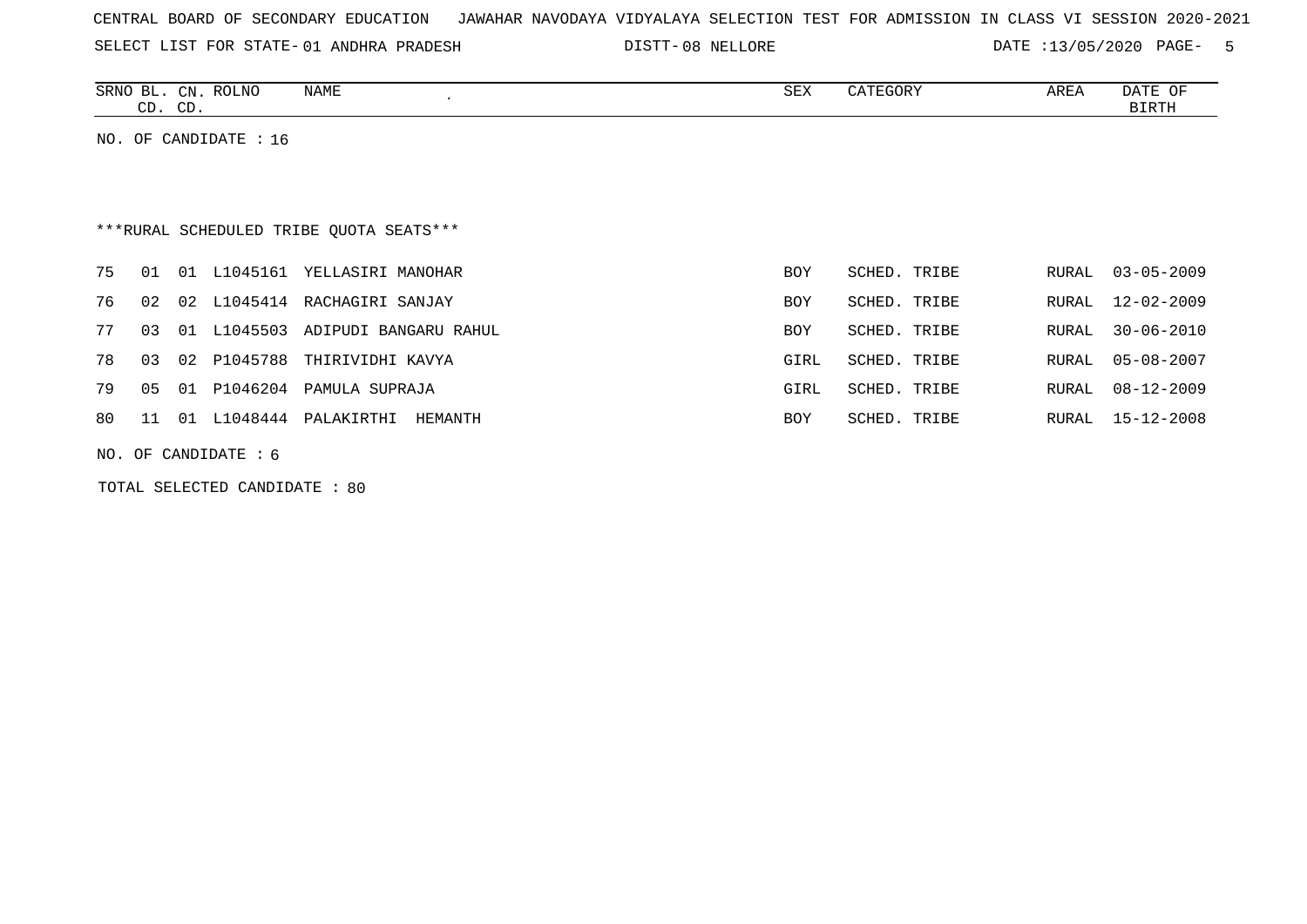SELECT LIST FOR STATE- DISTT- 01 ANDHRA PRADESH

DISTT-08 NELLORE **DATE** :13/05/2020 PAGE- 5

| SRNO<br>$\sim$<br>⊐∟ | CN           | <b>ROLNO</b> | <b>NAME</b> | SEX | CATEGORY | AREA | n a mm<br>ΟF<br>DA I L |
|----------------------|--------------|--------------|-------------|-----|----------|------|------------------------|
| $\sim$<br>ىت         | $\cap$<br>ىب |              |             |     |          |      | 3IRTH                  |

NO. OF CANDIDATE : 16

# \*\*\*RURAL SCHEDULED TRIBE QUOTA SEATS\*\*\*

|          |  |                         | 75 01 01 L1045161 YELLASIRI MANOHAR     | <b>BOY</b> | SCHED. TRIBE | RURAL 03-05-2009 |
|----------|--|-------------------------|-----------------------------------------|------------|--------------|------------------|
|          |  |                         | 76 02 02 L1045414 RACHAGIRI SANJAY      | <b>BOY</b> | SCHED. TRIBE | RURAL 12-02-2009 |
|          |  |                         | 77 03 01 L1045503 ADIPUDI BANGARU RAHUL | <b>BOY</b> | SCHED. TRIBE | RURAL 30-06-2010 |
|          |  | 78  03  02  P1045788    | THIRIVIDHI KAVYA                        | GIRL       | SCHED. TRIBE | RURAL 05-08-2007 |
|          |  | 79   05   01   P1046204 | PAMULA SUPRAJA                          | GIRL       | SCHED. TRIBE | RURAL 08-12-2009 |
| 80 11 01 |  | L1048444                | PALAKIRTHI HEMANTH                      | <b>BOY</b> | SCHED. TRIBE | RURAL 15-12-2008 |

NO. OF CANDIDATE : 6

TOTAL SELECTED CANDIDATE : 80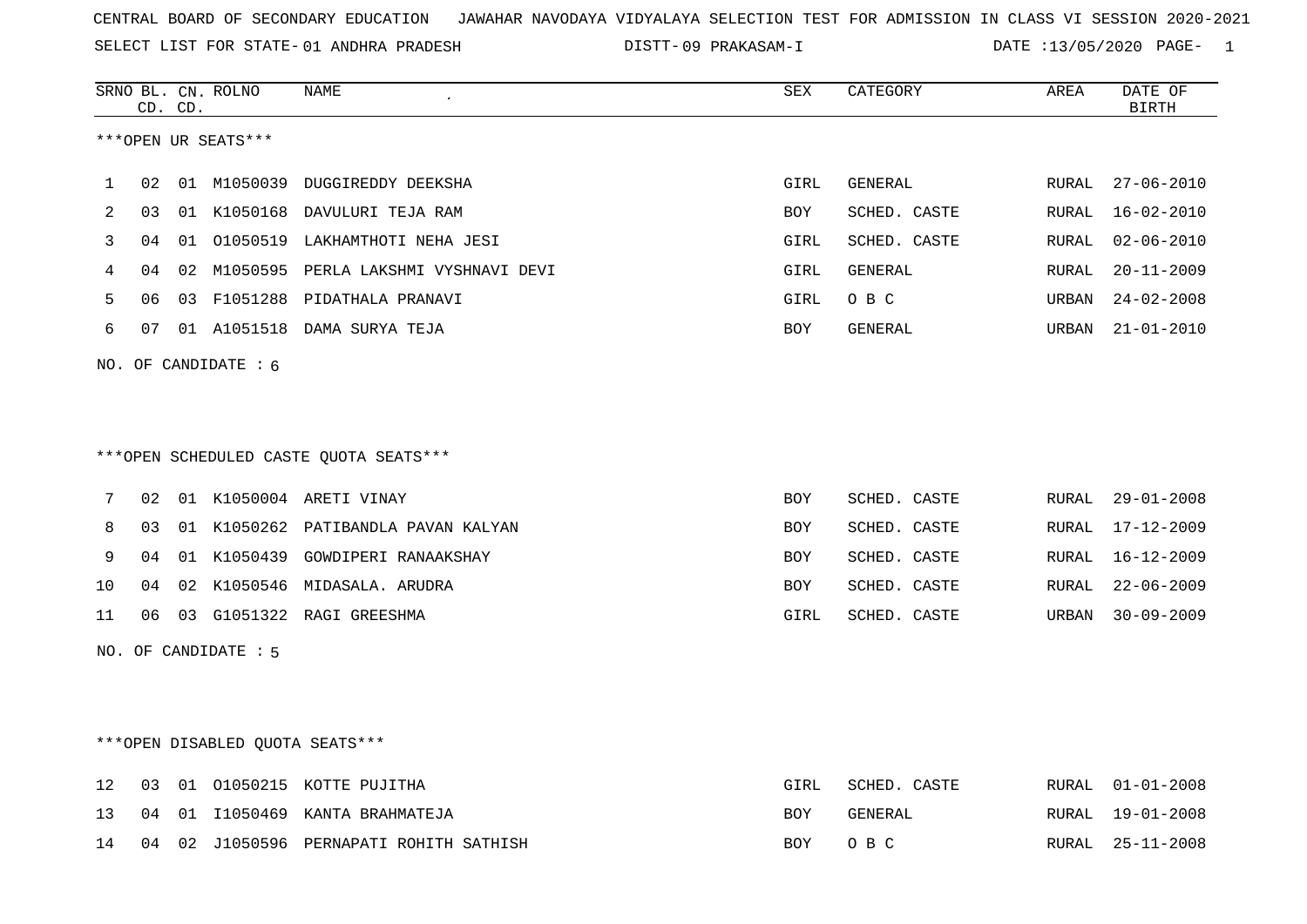SELECT LIST FOR STATE- DISTT- 01 ANDHRA PRADESH

DISTT-09 PRAKASAM-I DATE :13/05/2020 PAGE- 1

|             |    | CD. CD. | SRNO BL. CN. ROLNO     | NAME                                    | <b>SEX</b> | CATEGORY     | AREA  | DATE OF<br><b>BIRTH</b> |
|-------------|----|---------|------------------------|-----------------------------------------|------------|--------------|-------|-------------------------|
|             |    |         | ***OPEN UR SEATS***    |                                         |            |              |       |                         |
| $\mathbf 1$ | 02 |         |                        | 01 M1050039 DUGGIREDDY DEEKSHA          | GIRL       | GENERAL      | RURAL | $27 - 06 - 2010$        |
| 2           | 03 |         |                        | 01 K1050168 DAVULURI TEJA RAM           | BOY        | SCHED. CASTE | RURAL | $16 - 02 - 2010$        |
| 3           | 04 | 01      |                        | O1050519 LAKHAMTHOTI NEHA JESI          | GIRL       | SCHED. CASTE | RURAL | $02 - 06 - 2010$        |
| 4           | 04 |         |                        | 02 M1050595 PERLA LAKSHMI VYSHNAVI DEVI | GIRL       | GENERAL      | RURAL | $20 - 11 - 2009$        |
| 5           | 06 |         |                        | 03 F1051288 PIDATHALA PRANAVI           | GIRL       | O B C        | URBAN | $24 - 02 - 2008$        |
| 6           | 07 |         |                        | 01 A1051518 DAMA SURYA TEJA             | BOY        | GENERAL      | URBAN | $21 - 01 - 2010$        |
|             |    |         | NO. OF CANDIDATE : $6$ |                                         |            |              |       |                         |
|             |    |         |                        |                                         |            |              |       |                         |
|             |    |         |                        |                                         |            |              |       |                         |
|             |    |         |                        | ***OPEN SCHEDULED CASTE QUOTA SEATS***  |            |              |       |                         |
| 7           | 02 |         |                        | 01 K1050004 ARETI VINAY                 | <b>BOY</b> | SCHED. CASTE | RURAL | $29 - 01 - 2008$        |
| 8           | 03 |         |                        | 01 K1050262 PATIBANDLA PAVAN KALYAN     | <b>BOY</b> | SCHED. CASTE | RURAL | $17 - 12 - 2009$        |
| 9           | 04 |         |                        | 01 K1050439 GOWDIPERI RANAAKSHAY        | BOY        | SCHED. CASTE | RURAL | $16 - 12 - 2009$        |
| 10          | 04 |         |                        | 02 K1050546 MIDASALA. ARUDRA            | BOY        | SCHED. CASTE | RURAL | $22 - 06 - 2009$        |
| 11          | 06 |         |                        | 03 G1051322 RAGI GREESHMA               | GIRL       | SCHED. CASTE | URBAN | $30 - 09 - 2009$        |
|             |    |         | NO. OF CANDIDATE : 5   |                                         |            |              |       |                         |
|             |    |         |                        |                                         |            |              |       |                         |
|             |    |         |                        |                                         |            |              |       |                         |
|             |    |         |                        | ***OPEN DISABLED QUOTA SEATS***         |            |              |       |                         |
| 12          | 03 |         |                        | 01 01050215 KOTTE PUJITHA               | GIRL       | SCHED. CASTE | RURAL | $01 - 01 - 2008$        |
| 13          | 04 |         |                        | 01 I1050469 KANTA BRAHMATEJA            | BOY        | GENERAL      | RURAL | $19 - 01 - 2008$        |
| 14          | 04 |         |                        | 02 J1050596 PERNAPATI ROHITH SATHISH    | BOY        | O B C        | RURAL | $25 - 11 - 2008$        |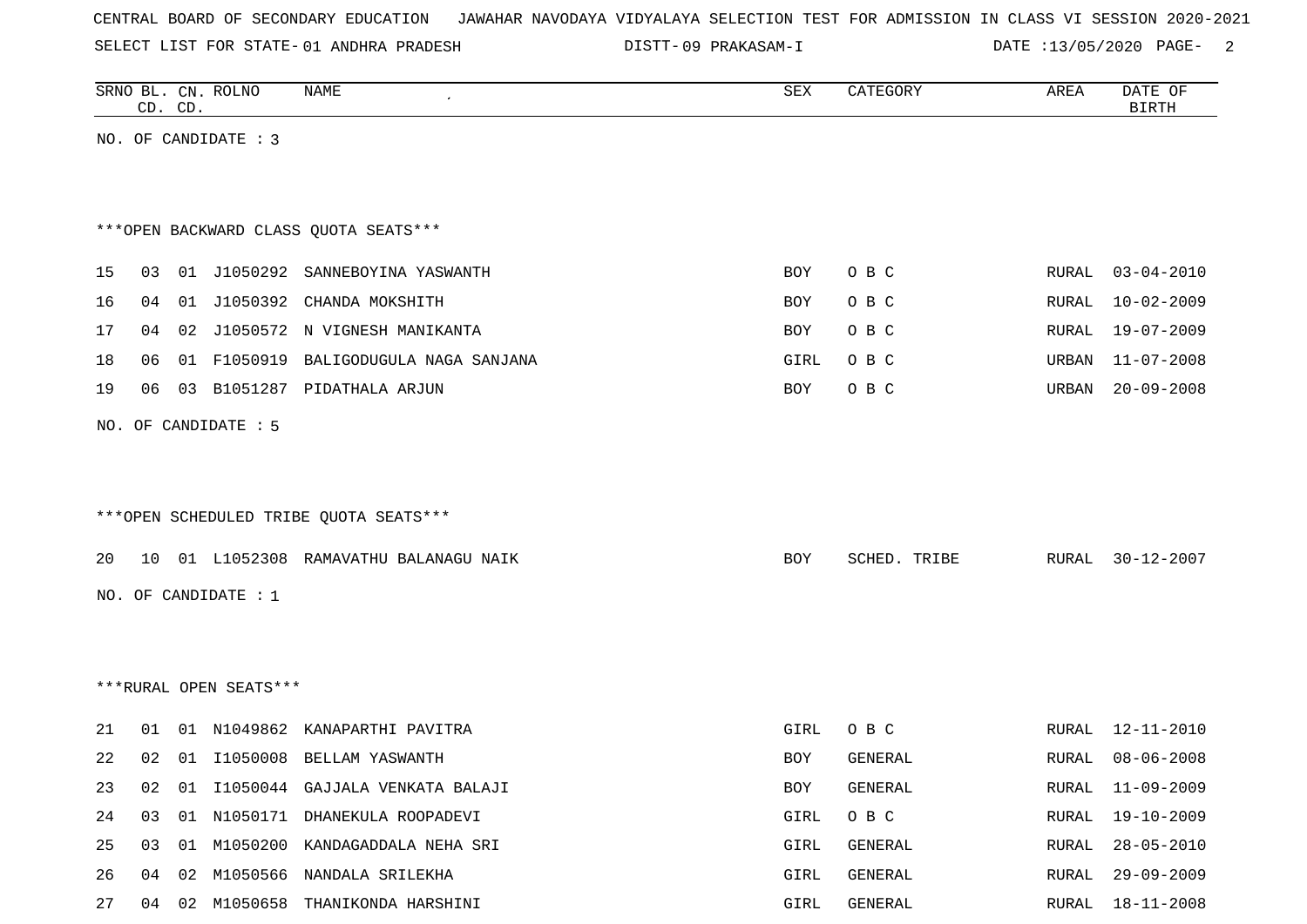SELECT LIST FOR STATE- DISTT- 01 ANDHRA PRADESH

09 PRAKASAM-I DATE :13/05/2020 PAGE- 2

|    |    | CD. CD. | SRNO BL. CN. ROLNO     | <b>NAME</b>                             | SEX  | CATEGORY     | AREA  | DATE OF<br><b>BIRTH</b> |
|----|----|---------|------------------------|-----------------------------------------|------|--------------|-------|-------------------------|
|    |    |         | NO. OF CANDIDATE : 3   |                                         |      |              |       |                         |
|    |    |         |                        |                                         |      |              |       |                         |
|    |    |         |                        |                                         |      |              |       |                         |
|    |    |         |                        | *** OPEN BACKWARD CLASS QUOTA SEATS***  |      |              |       |                         |
| 15 |    |         |                        | 03 01 J1050292 SANNEBOYINA YASWANTH     | BOY  | O B C        | RURAL | $03 - 04 - 2010$        |
| 16 | 04 | 01      | J1050392               | CHANDA MOKSHITH                         | BOY  | O B C        | RURAL | $10 - 02 - 2009$        |
| 17 | 04 | 02      |                        | J1050572 N VIGNESH MANIKANTA            | BOY  | O B C        | RURAL | $19 - 07 - 2009$        |
| 18 | 06 |         | 01 F1050919            | BALIGODUGULA NAGA SANJANA               | GIRL | O B C        | URBAN | $11 - 07 - 2008$        |
| 19 | 06 |         |                        | 03 B1051287 PIDATHALA ARJUN             | BOY  | O B C        | URBAN | $20 - 09 - 2008$        |
|    |    |         | NO. OF CANDIDATE : 5   |                                         |      |              |       |                         |
|    |    |         |                        |                                         |      |              |       |                         |
|    |    |         |                        |                                         |      |              |       |                         |
|    |    |         |                        | *** OPEN SCHEDULED TRIBE QUOTA SEATS*** |      |              |       |                         |
|    |    |         |                        |                                         |      |              |       |                         |
| 20 | 10 |         |                        | 01 L1052308 RAMAVATHU BALANAGU NAIK     | BOY  | SCHED. TRIBE | RURAL | $30 - 12 - 2007$        |
|    |    |         | NO. OF CANDIDATE : $1$ |                                         |      |              |       |                         |
|    |    |         |                        |                                         |      |              |       |                         |
|    |    |         |                        |                                         |      |              |       |                         |
|    |    |         | ***RURAL OPEN SEATS*** |                                         |      |              |       |                         |
| 21 | 01 |         |                        | 01 N1049862 KANAPARTHI PAVITRA          | GIRL | O B C        | RURAL | 12-11-2010              |
| 22 | 02 | 01      | I1050008               | BELLAM YASWANTH                         | BOY  | GENERAL      | RURAL | $08 - 06 - 2008$        |
| 23 | 02 | 01      |                        | I1050044 GAJJALA VENKATA BALAJI         | BOY  | GENERAL      |       | RURAL 11-09-2009        |
| 24 | 03 |         |                        | 01 N1050171 DHANEKULA ROOPADEVI         | GIRL | O B C        | RURAL | 19-10-2009              |
| 25 | 03 |         |                        | 01 M1050200 KANDAGADDALA NEHA SRI       | GIRL | GENERAL      | RURAL | $28 - 05 - 2010$        |
| 26 |    | 04 02   |                        | M1050566 NANDALA SRILEKHA               | GIRL | GENERAL      | RURAL | $29 - 09 - 2009$        |
| 27 |    |         |                        | 04 02 M1050658 THANIKONDA HARSHINI      | GIRL | GENERAL      | RURAL | $18 - 11 - 2008$        |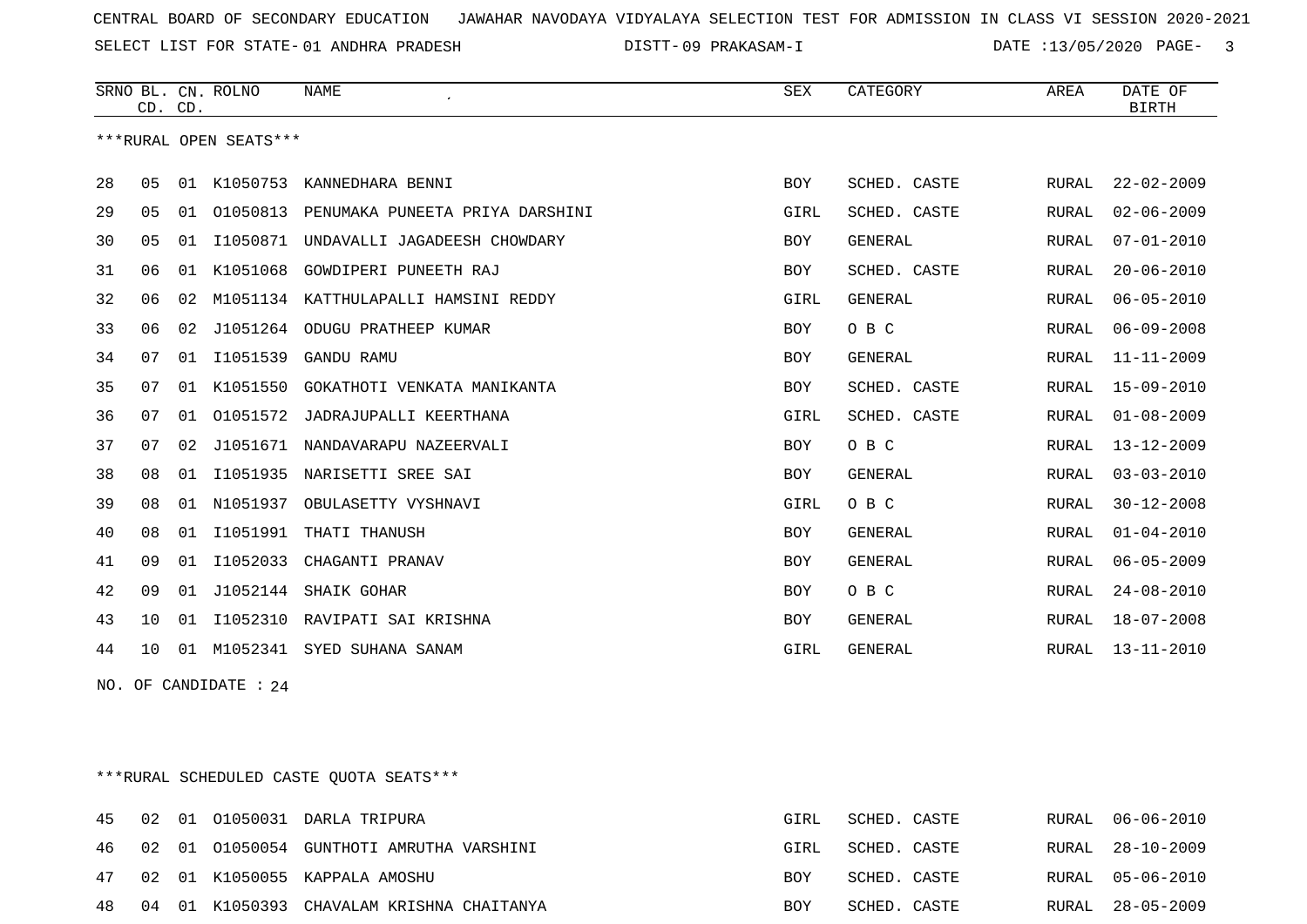SELECT LIST FOR STATE- DISTT- 01 ANDHRA PRADESH

09 PRAKASAM-I DATE :13/05/2020 PAGE- 3

|    | CD. CD. |    | SRNO BL. CN. ROLNO     | <b>NAME</b>                     | <b>SEX</b> | CATEGORY       | AREA  | DATE OF<br><b>BIRTH</b> |
|----|---------|----|------------------------|---------------------------------|------------|----------------|-------|-------------------------|
|    |         |    | ***RURAL OPEN SEATS*** |                                 |            |                |       |                         |
| 28 | 05      |    | 01 K1050753            | KANNEDHARA BENNI                | <b>BOY</b> | SCHED. CASTE   | RURAL | $22 - 02 - 2009$        |
| 29 | 05      | 01 | 01050813               | PENUMAKA PUNEETA PRIYA DARSHINI | GIRL       | SCHED. CASTE   | RURAL | $02 - 06 - 2009$        |
| 30 | 05      | 01 | I1050871               | UNDAVALLI JAGADEESH CHOWDARY    | <b>BOY</b> | <b>GENERAL</b> | RURAL | $07 - 01 - 2010$        |
| 31 | 06      | 01 | K1051068               | GOWDIPERI PUNEETH RAJ           | <b>BOY</b> | SCHED. CASTE   | RURAL | $20 - 06 - 2010$        |
| 32 | 06      | 02 | M1051134               | KATTHULAPALLI HAMSINI REDDY     | GIRL       | <b>GENERAL</b> | RURAL | $06 - 05 - 2010$        |
| 33 | 06      | 02 |                        | J1051264 ODUGU PRATHEEP KUMAR   | <b>BOY</b> | O B C          | RURAL | $06 - 09 - 2008$        |
| 34 | 07      | 01 | I1051539               | GANDU RAMU                      | <b>BOY</b> | GENERAL        | RURAL | $11 - 11 - 2009$        |
| 35 | 07      | 01 | K1051550               | GOKATHOTI VENKATA MANIKANTA     | <b>BOY</b> | SCHED. CASTE   | RURAL | $15 - 09 - 2010$        |
| 36 | 07      | 01 | 01051572               | JADRAJUPALLI KEERTHANA          | GIRL       | SCHED. CASTE   | RURAL | $01 - 08 - 2009$        |
| 37 | 07      | 02 | J1051671               | NANDAVARAPU NAZEERVALI          | <b>BOY</b> | O B C          | RURAL | $13 - 12 - 2009$        |
| 38 | 08      | 01 | I1051935               | NARISETTI SREE SAI              | <b>BOY</b> | <b>GENERAL</b> | RURAL | $03 - 03 - 2010$        |
| 39 | 08      | 01 | N1051937               | OBULASETTY VYSHNAVI             | GIRL       | O B C          | RURAL | $30 - 12 - 2008$        |
| 40 | 08      | 01 | I1051991               | THATI THANUSH                   | <b>BOY</b> | <b>GENERAL</b> | RURAL | $01 - 04 - 2010$        |
| 41 | 09      | 01 | I1052033               | CHAGANTI PRANAV                 | <b>BOY</b> | <b>GENERAL</b> | RURAL | $06 - 05 - 2009$        |
| 42 | 09      | 01 |                        | J1052144 SHAIK GOHAR            | <b>BOY</b> | O B C          | RURAL | $24 - 08 - 2010$        |
| 43 | 10      | 01 | I1052310               | RAVIPATI SAI KRISHNA            | <b>BOY</b> | <b>GENERAL</b> | RURAL | $18 - 07 - 2008$        |
| 44 | 10      | 01 | M1052341               | SYED SUHANA SANAM               | GIRL       | <b>GENERAL</b> | RURAL | $13 - 11 - 2010$        |

NO. OF CANDIDATE : 24

\*\*\*RURAL SCHEDULED CASTE QUOTA SEATS\*\*\*

|  |  | 45 02 01 01050031 DARLA TRIPURA              | GIRL       | SCHED. CASTE | RURAL 06-06-2010 |
|--|--|----------------------------------------------|------------|--------------|------------------|
|  |  | 46 02 01 01050054 GUNTHOTI AMRUTHA VARSHINI  | GIRL       | SCHED. CASTE | RURAL 28-10-2009 |
|  |  | 47 02 01 K1050055 KAPPALA AMOSHU             | <b>BOY</b> | SCHED. CASTE | RURAL 05-06-2010 |
|  |  | 48 04 01 K1050393 CHAVALAM KRISHNA CHAITANYA | <b>BOY</b> | SCHED. CASTE | RURAL 28-05-2009 |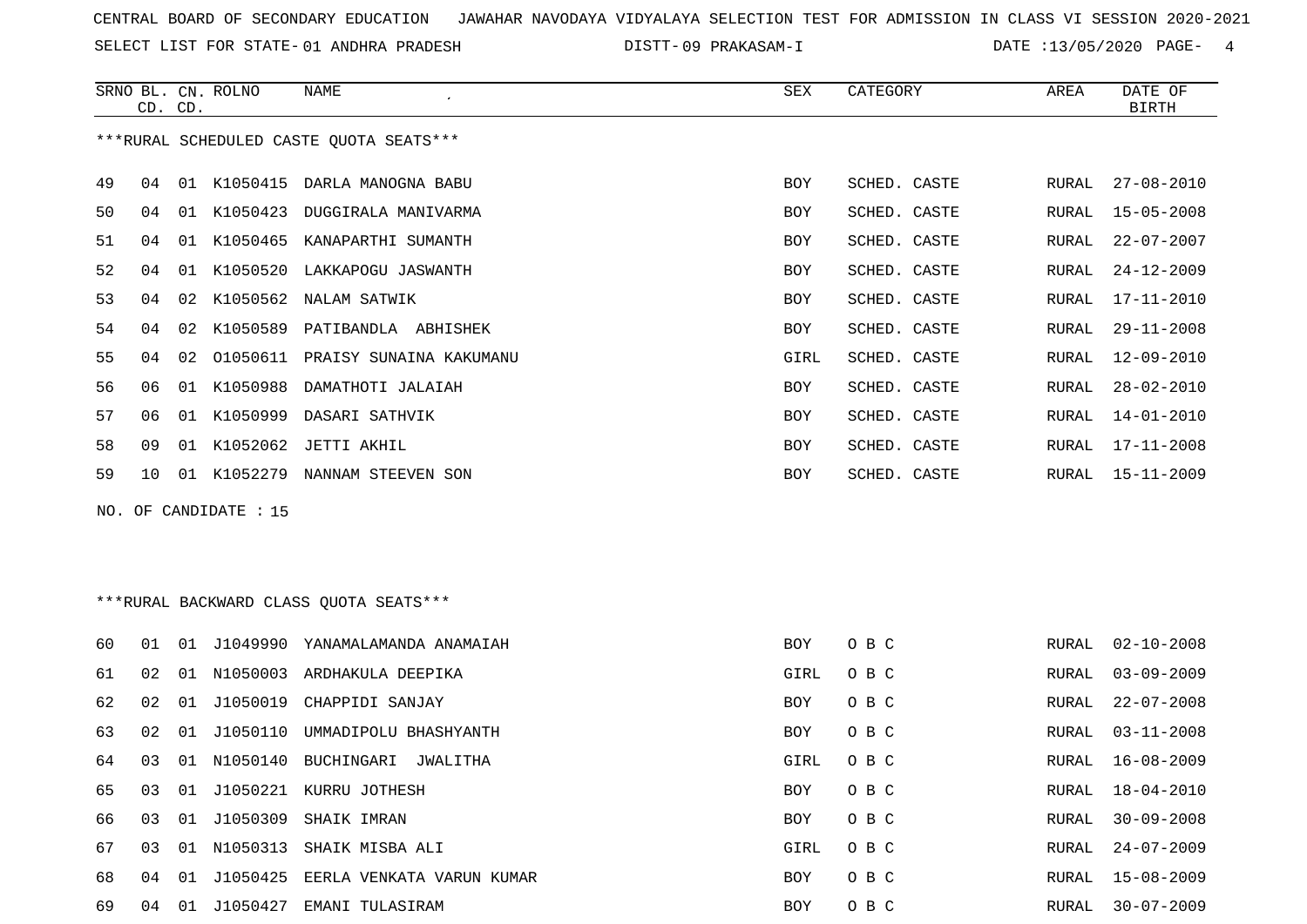SELECT LIST FOR STATE- DISTT- 01 ANDHRA PRADESH

09 PRAKASAM-I DATE :13/05/2020 PAGE- 4

|    | CD. CD. |    | SRNO BL. CN. ROLNO    | NAME                                     | SEX        | CATEGORY     | AREA  | DATE OF<br><b>BIRTH</b> |
|----|---------|----|-----------------------|------------------------------------------|------------|--------------|-------|-------------------------|
|    |         |    |                       | *** RURAL SCHEDULED CASTE QUOTA SEATS*** |            |              |       |                         |
|    |         |    |                       |                                          |            |              |       |                         |
| 49 | 04      |    |                       | 01 K1050415 DARLA MANOGNA BABU           | <b>BOY</b> | SCHED. CASTE | RURAL | $27 - 08 - 2010$        |
| 50 | 04      |    |                       | 01 K1050423 DUGGIRALA MANIVARMA          | <b>BOY</b> | SCHED. CASTE | RURAL | $15 - 05 - 2008$        |
| 51 | 04      |    |                       | 01 K1050465 KANAPARTHI SUMANTH           | BOY        | SCHED. CASTE | RURAL | $22 - 07 - 2007$        |
| 52 | 04      |    |                       | 01 K1050520 LAKKAPOGU JASWANTH           | BOY        | SCHED. CASTE | RURAL | $24 - 12 - 2009$        |
| 53 | 04      |    |                       | 02 K1050562 NALAM SATWIK                 | <b>BOY</b> | SCHED. CASTE | RURAL | $17 - 11 - 2010$        |
| 54 | 04      |    |                       | 02 K1050589 PATIBANDLA ABHISHEK          | BOY        | SCHED. CASTE | RURAL | $29 - 11 - 2008$        |
| 55 | 04      | 02 |                       | 01050611 PRAISY SUNAINA KAKUMANU         | GIRL       | SCHED. CASTE | RURAL | $12 - 09 - 2010$        |
| 56 | 06      |    |                       | 01 K1050988 DAMATHOTI JALAIAH            | <b>BOY</b> | SCHED. CASTE | RURAL | $28 - 02 - 2010$        |
| 57 | 06      |    |                       | 01 K1050999 DASARI SATHVIK               | BOY        | SCHED. CASTE | RURAL | $14 - 01 - 2010$        |
| 58 | 09      |    |                       | 01 K1052062 JETTI AKHIL                  | <b>BOY</b> | SCHED. CASTE | RURAL | $17 - 11 - 2008$        |
| 59 | 10      |    |                       | 01 K1052279 NANNAM STEEVEN SON           | <b>BOY</b> | SCHED. CASTE | RURAL | $15 - 11 - 2009$        |
|    |         |    | NO. OF CANDIDATE : 15 |                                          |            |              |       |                         |
|    |         |    |                       |                                          |            |              |       |                         |
|    |         |    |                       |                                          |            |              |       |                         |
|    |         |    |                       | *** RURAL BACKWARD CLASS QUOTA SEATS***  |            |              |       |                         |
|    |         |    |                       |                                          |            |              |       |                         |
| 60 | 01      |    |                       | 01 J1049990 YANAMALAMANDA ANAMAIAH       | BOY        | O B C        | RURAL | $02 - 10 - 2008$        |
| 61 | 02      |    |                       | 01 N1050003 ARDHAKULA DEEPIKA            | GIRL       | O B C        | RURAL | $03 - 09 - 2009$        |
| 62 | 02      |    |                       | 01 J1050019 CHAPPIDI SANJAY              | <b>BOY</b> | O B C        | RURAL | $22 - 07 - 2008$        |
| 63 | 02      |    | 01 J1050110           | UMMADIPOLU BHASHYANTH                    | BOY        | O B C        | RURAL | $03 - 11 - 2008$        |
| 64 | 03      |    |                       | 01 N1050140 BUCHINGARI JWALITHA          | GIRL       | O B C        | RURAL | $16 - 08 - 2009$        |
| 65 | 03      | 01 |                       | J1050221 KURRU JOTHESH                   | BOY        | O B C        | RURAL | $18 - 04 - 2010$        |
| 66 | 03      |    |                       | 01 J1050309 SHAIK IMRAN                  | BOY        | O B C        | RURAL | $30 - 09 - 2008$        |
| 67 | 03      |    |                       | 01 N1050313 SHAIK MISBA ALI              | GIRL       | O B C        | RURAL | $24 - 07 - 2009$        |
| 68 | 04      |    |                       | 01 J1050425 EERLA VENKATA VARUN KUMAR    | <b>BOY</b> | O B C        | RURAL | 15-08-2009              |

04 01 J1050427 EMANI TULASIRAM BOY O B C RURAL 30-07-2009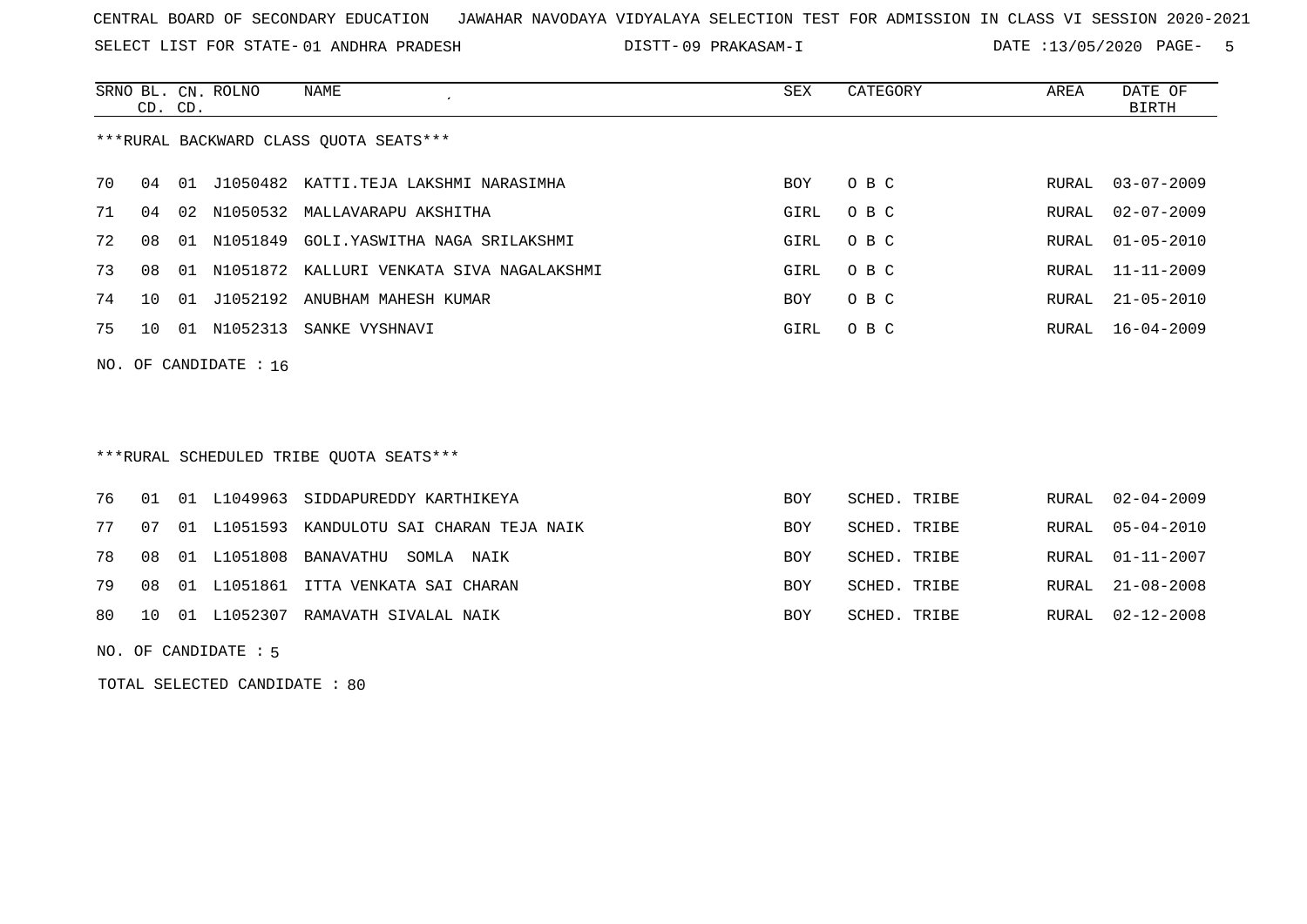SELECT LIST FOR STATE- DISTT- 01 ANDHRA PRADESH

09 PRAKASAM-I DATE :13/05/2020 PAGE- 5

|     |    | CD. CD. | SRNO BL. CN. ROLNO | NAME                                       | <b>SEX</b> | CATEGORY     | AREA  | DATE OF<br><b>BIRTH</b> |
|-----|----|---------|--------------------|--------------------------------------------|------------|--------------|-------|-------------------------|
|     |    |         |                    | *** RURAL BACKWARD CLASS QUOTA SEATS***    |            |              |       |                         |
| 70  | 04 |         |                    | 01 J1050482 KATTI.TEJA LAKSHMI NARASIMHA   | BOY        | O B C        | RURAL | $03 - 07 - 2009$        |
| 71  | 04 |         | 02 N1050532        | MALLAVARAPU AKSHITHA                       | GIRL       | O B C        | RURAL | $02 - 07 - 2009$        |
| 72  | 08 | 01      | N1051849           | GOLI. YASWITHA NAGA SRILAKSHMI             | GIRL       | O B C        | RURAL | $01 - 05 - 2010$        |
| 73  | 08 | 01      |                    | N1051872 KALLURI VENKATA SIVA NAGALAKSHMI  | GIRL       | O B C        | RURAL | $11 - 11 - 2009$        |
| 74  | 10 | 01      |                    | J1052192 ANUBHAM MAHESH KUMAR              | <b>BOY</b> | O B C        | RURAL | $21 - 05 - 2010$        |
| 75  | 10 |         |                    | 01 N1052313 SANKE VYSHNAVI                 | GIRL       | O B C        | RURAL | $16 - 04 - 2009$        |
| NO. |    |         | OF CANDIDATE : 16  |                                            |            |              |       |                         |
|     |    |         |                    |                                            |            |              |       |                         |
|     |    |         |                    |                                            |            |              |       |                         |
|     |    |         |                    | ***RURAL SCHEDULED TRIBE OUOTA SEATS***    |            |              |       |                         |
| 76  | 01 |         |                    | 01 L1049963 SIDDAPUREDDY KARTHIKEYA        | <b>BOY</b> | SCHED. TRIBE | RURAL | $02 - 04 - 2009$        |
| 77  | 07 |         |                    | 01 L1051593 KANDULOTU SAI CHARAN TEJA NAIK | <b>BOY</b> | SCHED. TRIBE | RURAL | $05 - 04 - 2010$        |
| 78  | 08 |         | 01 L1051808        | BANAVATHU<br>SOMLA NAIK                    | <b>BOY</b> | SCHED. TRIBE | RURAL | $01 - 11 - 2007$        |
| 79  | 08 | 01      | L1051861           | ITTA VENKATA SAI CHARAN                    | <b>BOY</b> | SCHED. TRIBE | RURAL | $21 - 08 - 2008$        |
|     |    |         |                    |                                            |            |              |       |                         |

80 10 01 L1052307 RAMAVATH SIVALAL NAIK BOY SCHED.TRIBE RURAL 02-12-2008

NO. OF CANDIDATE : 5

TOTAL SELECTED CANDIDATE : 80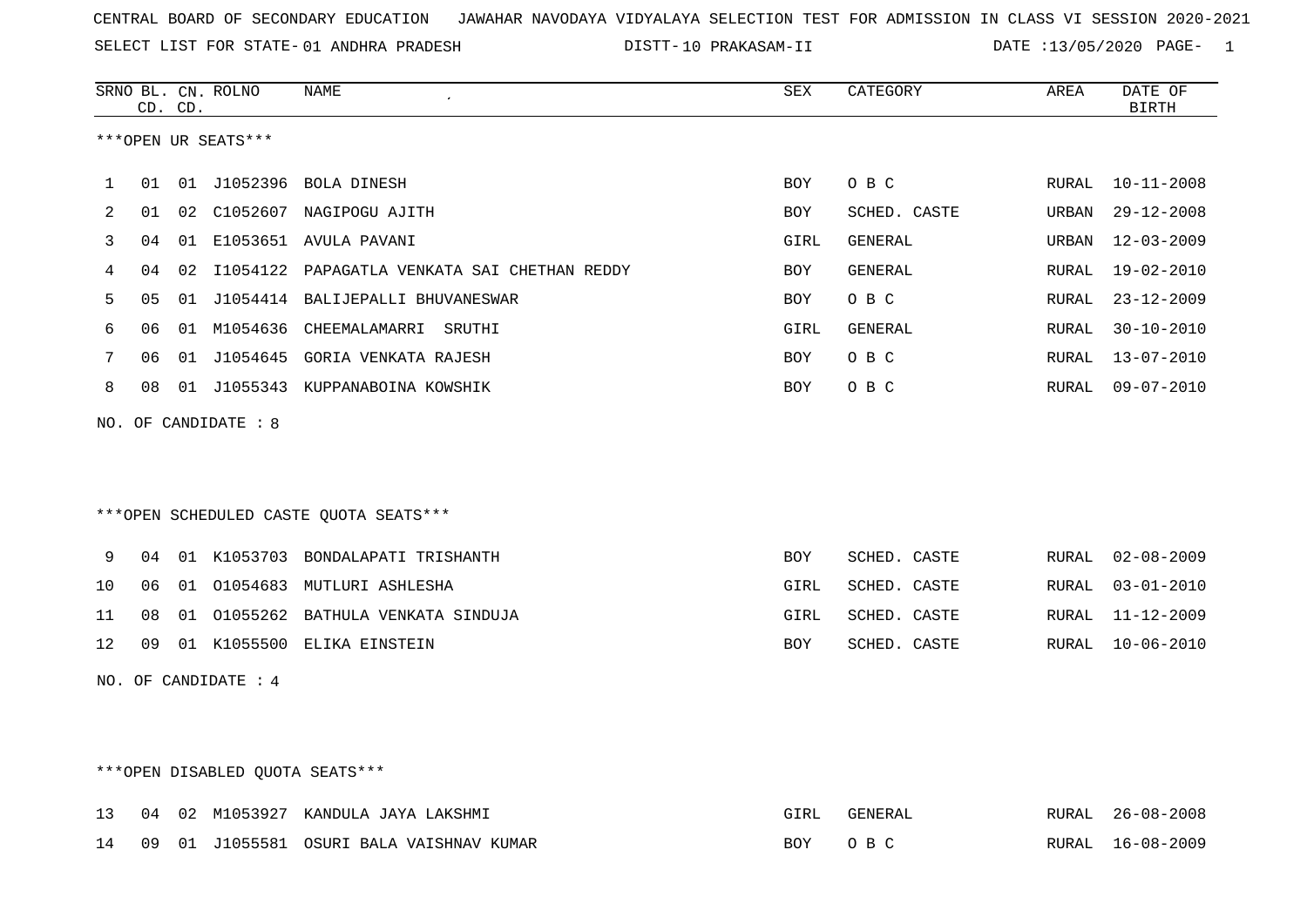SELECT LIST FOR STATE- DISTT- 01 ANDHRA PRADESH

10 PRAKASAM-II DATE :13/05/2020 PAGE- 1

|                | CD. CD.        |    | SRNO BL. CN. ROLNO   | <b>NAME</b><br>$\lambda$                        | ${\tt SEX}$ | CATEGORY     | AREA          | DATE OF<br><b>BIRTH</b> |
|----------------|----------------|----|----------------------|-------------------------------------------------|-------------|--------------|---------------|-------------------------|
|                |                |    | ***OPEN UR SEATS***  |                                                 |             |              |               |                         |
| $\mathbf 1$    |                |    |                      | 01 01 J1052396 BOLA DINESH                      | <b>BOY</b>  | O B C        | RURAL         | $10 - 11 - 2008$        |
| $\overline{2}$ | 01             |    |                      | 02 C1052607 NAGIPOGU AJITH                      | <b>BOY</b>  | SCHED. CASTE | URBAN         | $29 - 12 - 2008$        |
| 3              | 04             | 01 |                      | E1053651 AVULA PAVANI                           | GIRL        | GENERAL      | URBAN         | $12 - 03 - 2009$        |
| 4              | 04             |    |                      | 02 I1054122 PAPAGATLA VENKATA SAI CHETHAN REDDY | <b>BOY</b>  | GENERAL      | RURAL         | $19 - 02 - 2010$        |
| 5              | 0 <sub>5</sub> |    |                      | 01 J1054414 BALIJEPALLI BHUVANESWAR             | BOY         | O B C        | RURAL         | $23 - 12 - 2009$        |
| 6              | 06             |    |                      | 01 M1054636 CHEEMALAMARRI SRUTHI                | GIRL        | GENERAL      | RURAL         | $30 - 10 - 2010$        |
| 7              | 06             |    |                      | 01 J1054645 GORIA VENKATA RAJESH                | <b>BOY</b>  | O B C        | ${\tt RURAL}$ | $13 - 07 - 2010$        |
| 8              | 08             |    |                      | 01 J1055343 KUPPANABOINA KOWSHIK                | <b>BOY</b>  | O B C        | RURAL         | $09 - 07 - 2010$        |
|                |                |    | NO. OF CANDIDATE : 8 |                                                 |             |              |               |                         |
|                |                |    |                      | ***OPEN SCHEDULED CASTE QUOTA SEATS***          |             |              |               |                         |
| 9              | 04             |    |                      | 01 K1053703 BONDALAPATI TRISHANTH               | <b>BOY</b>  | SCHED. CASTE | RURAL         | $02 - 08 - 2009$        |
| 10             | 06             | 01 | 01054683             | MUTLURI ASHLESHA                                | GIRL        | SCHED. CASTE | RURAL         | $03 - 01 - 2010$        |
| 11             | 08             | 01 | 01055262             | BATHULA VENKATA SINDUJA                         | GIRL        | SCHED. CASTE | RURAL         | $11 - 12 - 2009$        |
| 12             | 09             |    |                      | 01 K1055500 ELIKA EINSTEIN                      | BOY         | SCHED. CASTE | RURAL         | $10 - 06 - 2010$        |
| NO.            |                |    | OF CANDIDATE : 4     |                                                 |             |              |               |                         |

# \*\*\*OPEN DISABLED QUOTA SEATS\*\*\*

| 13    | 04 | 02 |           | 2 M1053927 KANDULA JAYA LAKSHMI |     | $TENFR$ $\Delta$ 1. | RURAI | $26 - 08 - 2008$ |
|-------|----|----|-----------|---------------------------------|-----|---------------------|-------|------------------|
| 14 09 |    | 01 | .T1055581 | 1 OSURI BALA VAISHNAV KUMAR     | BOY |                     | RURAL | 16-08-2009       |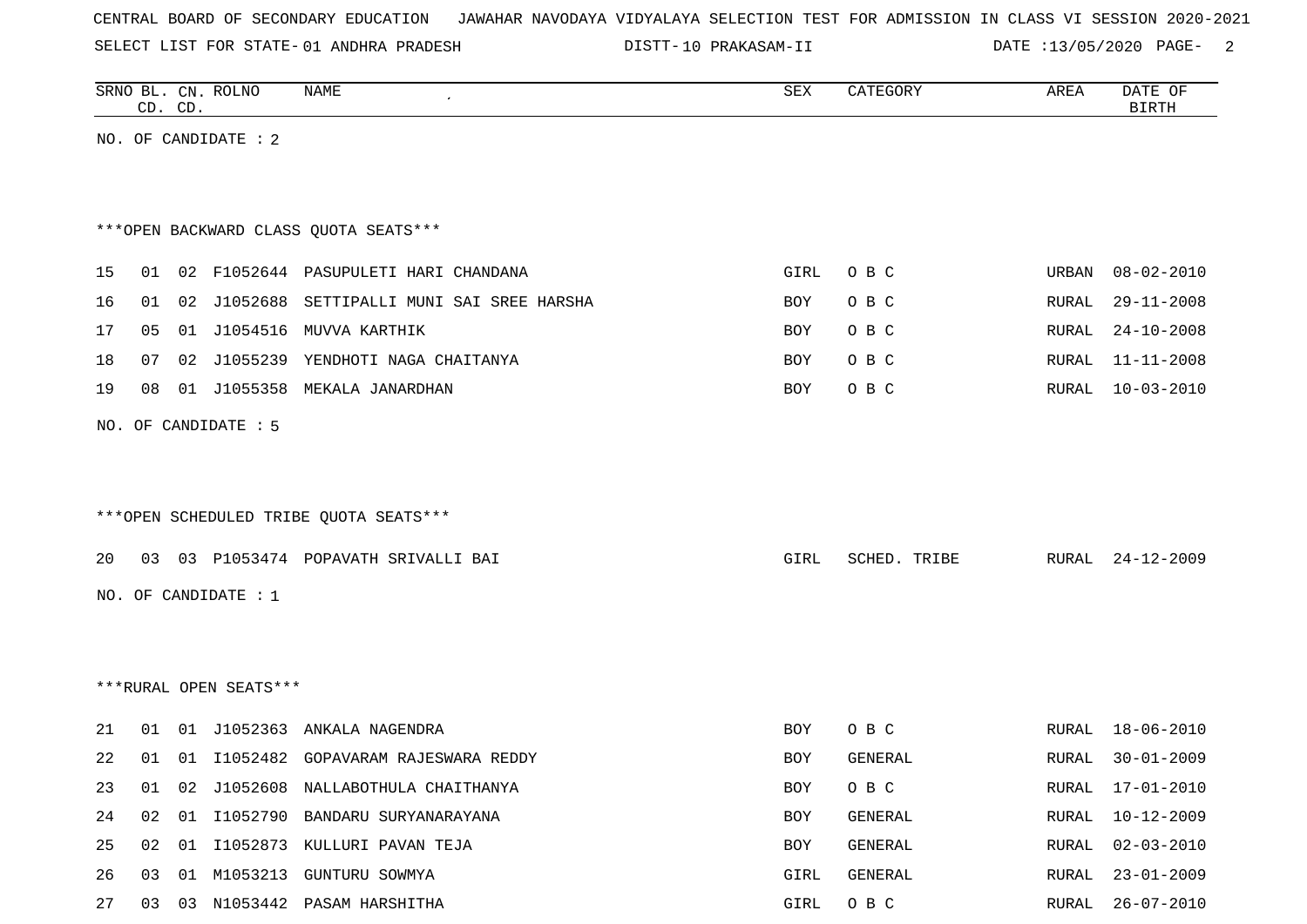SELECT LIST FOR STATE- DISTT- 01 ANDHRA PRADESH

10 PRAKASAM-II DATE :13/05/2020 PAGE- 2

|    |    | CD. CD. | SRNO BL. CN. ROLNO     | NAME                                    | SEX  | CATEGORY     | AREA  | DATE OF<br><b>BIRTH</b> |
|----|----|---------|------------------------|-----------------------------------------|------|--------------|-------|-------------------------|
|    |    |         | NO. OF CANDIDATE : $2$ |                                         |      |              |       |                         |
|    |    |         |                        |                                         |      |              |       |                         |
|    |    |         |                        |                                         |      |              |       |                         |
|    |    |         |                        | *** OPEN BACKWARD CLASS QUOTA SEATS***  |      |              |       |                         |
| 15 |    |         |                        | 01 02 F1052644 PASUPULETI HARI CHANDANA | GIRL | O B C        | URBAN | $08 - 02 - 2010$        |
| 16 | 01 |         | 02 J1052688            | SETTIPALLI MUNI SAI SREE HARSHA         | BOY  | O B C        | RURAL | $29 - 11 - 2008$        |
| 17 | 05 | 01      |                        | J1054516 MUVVA KARTHIK                  | BOY  | O B C        | RURAL | $24 - 10 - 2008$        |
| 18 | 07 | 02      |                        | J1055239 YENDHOTI NAGA CHAITANYA        | BOY  | O B C        | RURAL | 11-11-2008              |
| 19 | 08 |         |                        | 01 J1055358 MEKALA JANARDHAN            | BOY  | O B C        | RURAL | $10 - 03 - 2010$        |
|    |    |         | NO. OF CANDIDATE : 5   |                                         |      |              |       |                         |
|    |    |         |                        |                                         |      |              |       |                         |
|    |    |         |                        |                                         |      |              |       |                         |
|    |    |         |                        | *** OPEN SCHEDULED TRIBE QUOTA SEATS*** |      |              |       |                         |
|    |    |         |                        |                                         |      |              |       |                         |
| 20 |    |         |                        | 03 03 P1053474 POPAVATH SRIVALLI BAI    | GIRL | SCHED. TRIBE | RURAL | $24 - 12 - 2009$        |
|    |    |         | NO. OF CANDIDATE : $1$ |                                         |      |              |       |                         |
|    |    |         |                        |                                         |      |              |       |                         |
|    |    |         |                        |                                         |      |              |       |                         |
|    |    |         | ***RURAL OPEN SEATS*** |                                         |      |              |       |                         |
| 21 |    |         |                        | 01 01 J1052363 ANKALA NAGENDRA          | BOY  | O B C        | RURAL | $18 - 06 - 2010$        |
| 22 | 01 | 01      | I1052482               | GOPAVARAM RAJESWARA REDDY               | BOY  | GENERAL      | RURAL | $30 - 01 - 2009$        |
| 23 |    |         |                        | 01 02 J1052608 NALLABOTHULA CHAITHANYA  | BOY  | O B C        |       | RURAL 17-01-2010        |
| 24 |    |         |                        | 02 01 I1052790 BANDARU SURYANARAYANA    | BOY  | GENERAL      |       | RURAL 10-12-2009        |
| 25 |    |         |                        | 02 01 I1052873 KULLURI PAVAN TEJA       | BOY  | GENERAL      | RURAL | $02 - 03 - 2010$        |
| 26 |    |         |                        | 03 01 M1053213 GUNTURU SOWMYA           | GIRL | GENERAL      |       | RURAL 23-01-2009        |
| 27 |    |         |                        | 03 03 N1053442 PASAM HARSHITHA          | GIRL | O B C        |       | RURAL 26-07-2010        |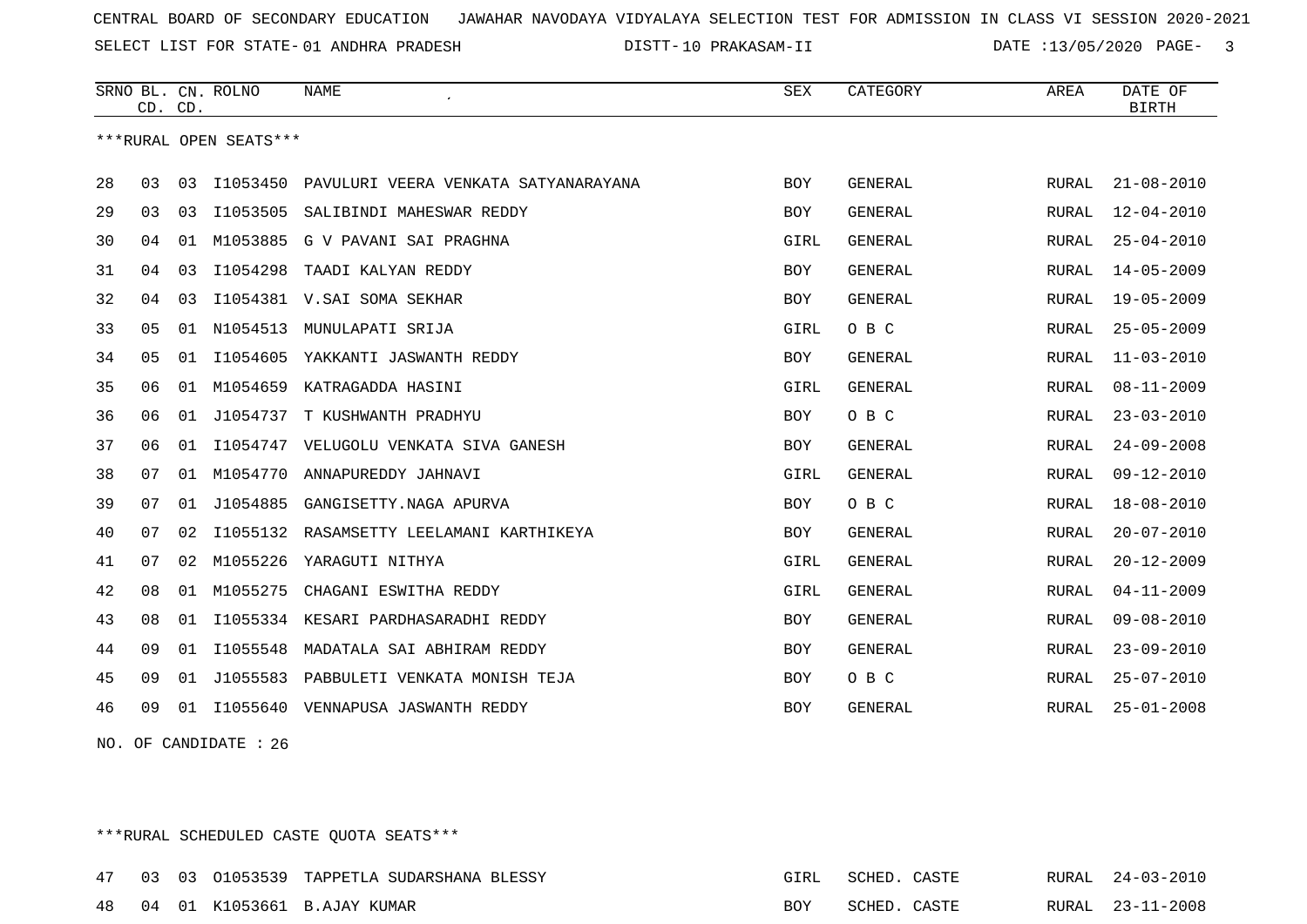SELECT LIST FOR STATE- DISTT- 01 ANDHRA PRADESH

10 PRAKASAM-II DATE :13/05/2020 PAGE- 3

|    | CD. | CD. | SRNO BL. CN. ROLNO     | <b>NAME</b>                          | <b>SEX</b> | CATEGORY       | AREA         | DATE OF<br><b>BIRTH</b> |
|----|-----|-----|------------------------|--------------------------------------|------------|----------------|--------------|-------------------------|
|    |     |     | ***RURAL OPEN SEATS*** |                                      |            |                |              |                         |
| 28 | 03  | 03  | I1053450               | PAVULURI VEERA VENKATA SATYANARAYANA | BOY        | GENERAL        | RURAL        | $21 - 08 - 2010$        |
| 29 | 03  | 03  | I1053505               | SALIBINDI MAHESWAR REDDY             | <b>BOY</b> | <b>GENERAL</b> | RURAL        | $12 - 04 - 2010$        |
| 30 | 04  | 01  | M1053885               | G V PAVANI SAI PRAGHNA               | GIRL       | <b>GENERAL</b> | RURAL        | $25 - 04 - 2010$        |
| 31 | 04  | 03  | I1054298               | TAADI KALYAN REDDY                   | BOY        | GENERAL        | <b>RURAL</b> | $14 - 05 - 2009$        |
| 32 | 04  | 03  |                        | I1054381 V.SAI SOMA SEKHAR           | <b>BOY</b> | <b>GENERAL</b> | <b>RURAL</b> | $19 - 05 - 2009$        |
| 33 | 05  | 01  | N1054513               | MUNULAPATI SRIJA                     | GIRL       | O B C          | RURAL        | $25 - 05 - 2009$        |
| 34 | 05  | 01  | I1054605               | YAKKANTI JASWANTH REDDY              | <b>BOY</b> | <b>GENERAL</b> | <b>RURAL</b> | $11 - 03 - 2010$        |
| 35 | 06  | 01  | M1054659               | KATRAGADDA HASINI                    | GIRL       | <b>GENERAL</b> | <b>RURAL</b> | $08 - 11 - 2009$        |
| 36 | 06  | 01  | J1054737               | T KUSHWANTH PRADHYU                  | BOY        | O B C          | RURAL        | $23 - 03 - 2010$        |
| 37 | 06  | 01  | I1054747               | VELUGOLU VENKATA SIVA GANESH         | <b>BOY</b> | <b>GENERAL</b> | <b>RURAL</b> | $24 - 09 - 2008$        |
| 38 | 07  | 01  | M1054770               | ANNAPUREDDY JAHNAVI                  | GIRL       | <b>GENERAL</b> | RURAL        | $09 - 12 - 2010$        |
| 39 | 07  | 01  | J1054885               | GANGISETTY.NAGA APURVA               | BOY        | O B C          | RURAL        | $18 - 08 - 2010$        |
| 40 | 07  | 02  | I1055132               | RASAMSETTY LEELAMANI KARTHIKEYA      | <b>BOY</b> | <b>GENERAL</b> | RURAL        | $20 - 07 - 2010$        |
| 41 | 07  | 02  | M1055226               | YARAGUTI NITHYA                      | GIRL       | <b>GENERAL</b> | <b>RURAL</b> | $20 - 12 - 2009$        |
| 42 | 08  | 01  | M1055275               | CHAGANI ESWITHA REDDY                | GIRL       | <b>GENERAL</b> | <b>RURAL</b> | $04 - 11 - 2009$        |
| 43 | 08  | 01  | I1055334               | KESARI PARDHASARADHI REDDY           | <b>BOY</b> | <b>GENERAL</b> | <b>RURAL</b> | $09 - 08 - 2010$        |
| 44 | 09  | 01  | I1055548               | MADATALA SAI ABHIRAM REDDY           | BOY        | <b>GENERAL</b> | <b>RURAL</b> | $23 - 09 - 2010$        |
| 45 | 09  | 01  | J1055583               | PABBULETI VENKATA MONISH TEJA        | BOY        | O B C          | RURAL        | $25 - 07 - 2010$        |
| 46 | 09  | 01  | I1055640               | VENNAPUSA JASWANTH REDDY             | <b>BOY</b> | GENERAL        | RURAL        | $25 - 01 - 2008$        |

NO. OF CANDIDATE : 26

\*\*\*RURAL SCHEDULED CASTE QUOTA SEATS\*\*\*

|  |  | 47 03 03 01053539 TAPPETLA SUDARSHANA BLESSY |     | GIRL SCHED. CASTE |  | RURAL 24-03-2010 |
|--|--|----------------------------------------------|-----|-------------------|--|------------------|
|  |  | 48 04 01 K1053661 B.AJAY KUMAR               | BOY | SCHED. CASTE      |  | RURAL 23-11-2008 |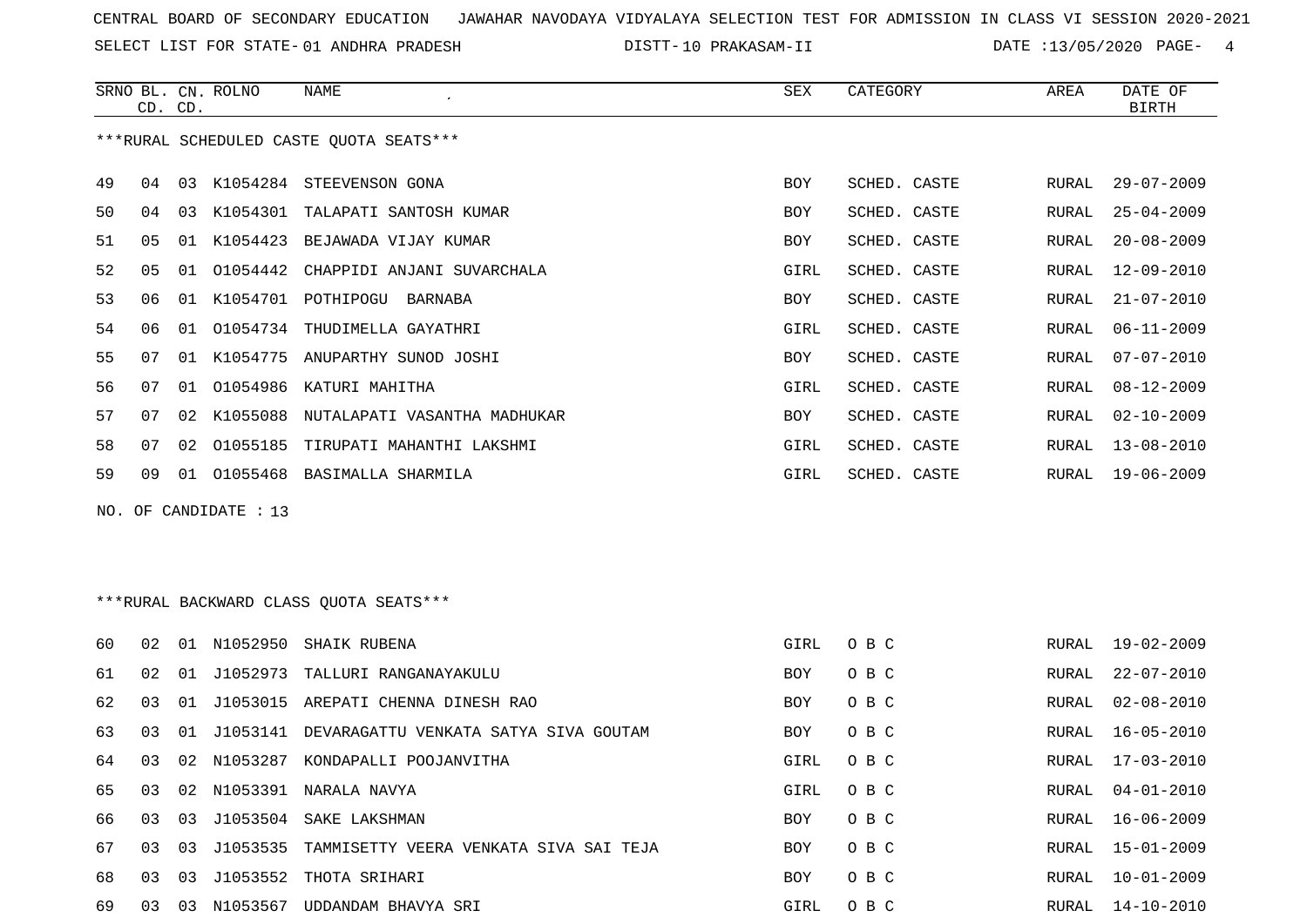SELECT LIST FOR STATE- DISTT- 01 ANDHRA PRADESH

10 PRAKASAM-II DATE :13/05/2020 PAGE- 4

|    |                | CD. CD. | SRNO BL. CN. ROLNO    | <b>NAME</b><br>$\mathcal{L}_{\mathcal{L}}$ | SEX        | CATEGORY     | AREA  | DATE OF<br><b>BIRTH</b> |
|----|----------------|---------|-----------------------|--------------------------------------------|------------|--------------|-------|-------------------------|
|    |                |         |                       | ***RURAL SCHEDULED CASTE QUOTA SEATS***    |            |              |       |                         |
| 49 | 04             | 03      |                       | K1054284 STEEVENSON GONA                   | <b>BOY</b> | SCHED. CASTE | RURAL | $29 - 07 - 2009$        |
| 50 | 04             | 03      |                       | K1054301 TALAPATI SANTOSH KUMAR            | <b>BOY</b> | SCHED. CASTE | RURAL | $25 - 04 - 2009$        |
| 51 | 05             |         |                       | 01 K1054423 BEJAWADA VIJAY KUMAR           | <b>BOY</b> | SCHED. CASTE | RURAL | $20 - 08 - 2009$        |
| 52 | 0 <sub>5</sub> | 01      |                       | 01054442 CHAPPIDI ANJANI SUVARCHALA        | GIRL       | SCHED. CASTE | RURAL | $12 - 09 - 2010$        |
| 53 | 06             | 01      |                       | K1054701 POTHIPOGU BARNABA                 | <b>BOY</b> | SCHED. CASTE | RURAL | $21 - 07 - 2010$        |
| 54 | 06             | 01      | 01054734              | THUDIMELLA GAYATHRI                        | GIRL       | SCHED. CASTE | RURAL | $06 - 11 - 2009$        |
| 55 | 07             | 01      | K1054775              | ANUPARTHY SUNOD JOSHI                      | <b>BOY</b> | SCHED. CASTE | RURAL | $07 - 07 - 2010$        |
| 56 | 07             | 01      |                       | 01054986 KATURI MAHITHA                    | GIRL       | SCHED. CASTE | RURAL | $08 - 12 - 2009$        |
| 57 | 07             | 02      |                       | K1055088 NUTALAPATI VASANTHA MADHUKAR      | <b>BOY</b> | SCHED. CASTE | RURAL | $02 - 10 - 2009$        |
| 58 | 07             | 02      |                       | 01055185 TIRUPATI MAHANTHI LAKSHMI         | GIRL       | SCHED. CASTE | RURAL | $13 - 08 - 2010$        |
| 59 | 09             | 01      |                       | 01055468 BASIMALLA SHARMILA                | GIRL       | SCHED. CASTE | RURAL | $19 - 06 - 2009$        |
|    |                |         | NO. OF CANDIDATE : 13 |                                            |            |              |       |                         |
|    |                |         |                       |                                            |            |              |       |                         |
|    |                |         |                       |                                            |            |              |       |                         |

\*\*\*RURAL BACKWARD CLASS QUOTA SEATS\*\*\*

| 60 | 02 | . N 1 | N1052950    | SHAIK RUBENA                           | GIRL       | O B C | RURAL | $19 - 02 - 2009$ |
|----|----|-------|-------------|----------------------------------------|------------|-------|-------|------------------|
| 61 | 02 | 01    | J1052973    | TALLURI RANGANAYAKULU                  | <b>BOY</b> | O B C | RURAL | $22 - 07 - 2010$ |
| 62 | 03 | . O 1 | J1053015    | AREPATI CHENNA DINESH RAO              | BOY        | O B C | RURAL | 02-08-2010       |
| 63 | 03 | 01    | J1053141    | DEVARAGATTU VENKATA SATYA SIVA GOUTAM  | <b>BOY</b> | O B C | RURAL | 16-05-2010       |
| 64 | 03 |       | 02 N1053287 | KONDAPALLI POOJANVITHA                 | GIRL       | O B C | RURAL | $17 - 03 - 2010$ |
| 65 | 03 | 02    | N1053391    | NARALA NAVYA                           | GIRL       | O B C | RURAL | $04 - 01 - 2010$ |
| 66 | 03 | 03    | J1053504    | SAKE LAKSHMAN                          | <b>BOY</b> | O B C | RURAL | $16 - 06 - 2009$ |
| 67 | 03 | 03    | 11053535    | TAMMISETTY VEERA VENKATA SIVA SAI TEJA | <b>BOY</b> | O B C | RURAL | $15 - 01 - 2009$ |
| 68 | 03 | 03    | J1053552    | THOTA SRIHARI                          | <b>BOY</b> | O B C | RURAL | $10 - 01 - 2009$ |
| 69 | 03 | 03    | N1053567    | UDDANDAM BHAVYA SRI                    | GIRL       | O B C | RURAL | $14 - 10 - 2010$ |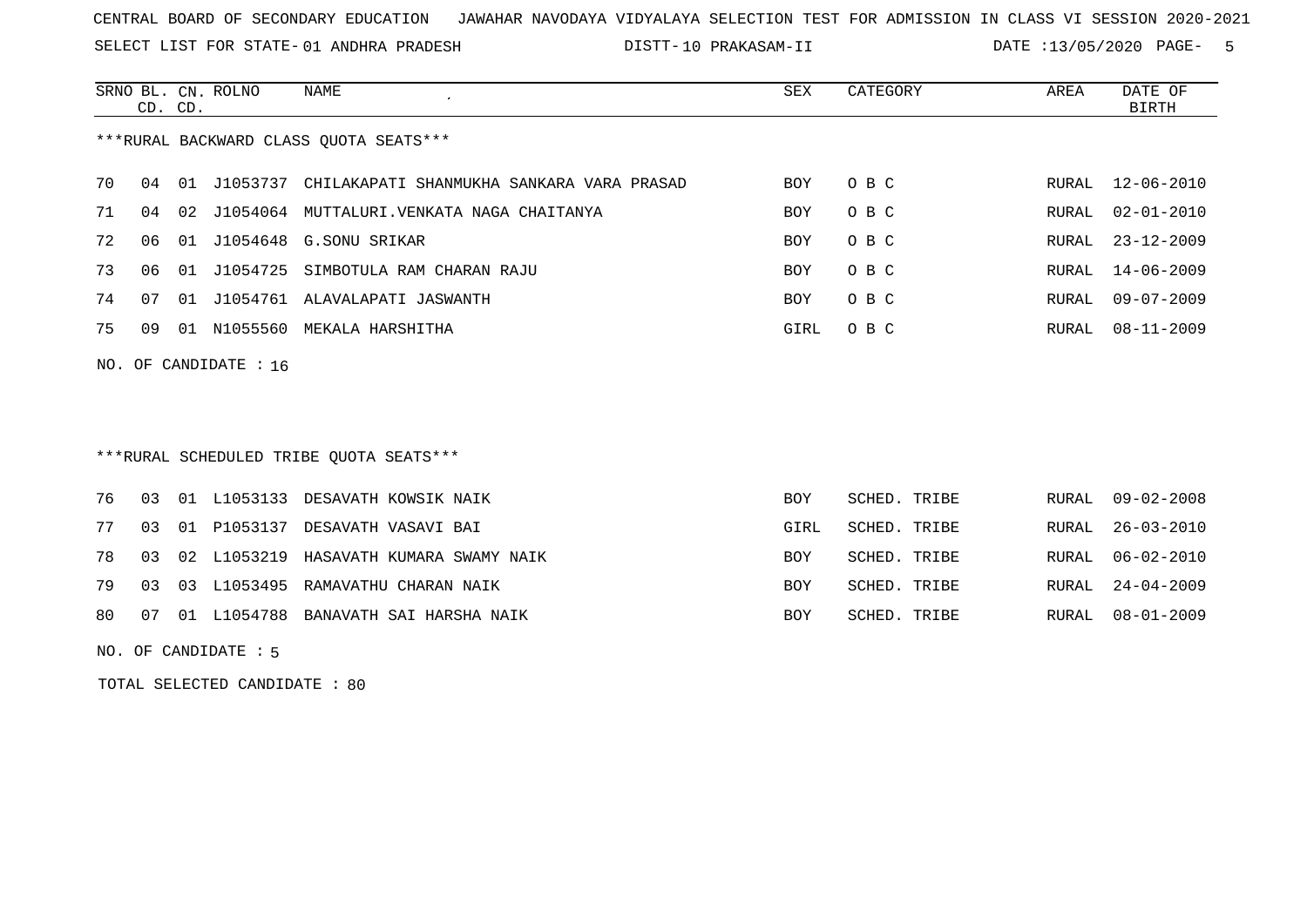SELECT LIST FOR STATE- DISTT- 01 ANDHRA PRADESH

10 PRAKASAM-II DATE :13/05/2020 PAGE- 5

|    | CD. CD. |       | SRNO BL. CN. ROLNO      | NAME<br>$\cdot$                           | SEX        | CATEGORY | AREA  | DATE OF<br>BIRTH |
|----|---------|-------|-------------------------|-------------------------------------------|------------|----------|-------|------------------|
|    |         |       |                         | ***RURAL BACKWARD CLASS QUOTA SEATS***    |            |          |       |                  |
| 70 | 04      | . O 1 | J1053737                | CHILAKAPATI SHANMUKHA SANKARA VARA PRASAD | <b>BOY</b> | O B C    |       | RURAL 12-06-2010 |
| 71 | 04      |       | 02 J1054064             | MUTTALURI.VENKATA NAGA CHAITANYA          | <b>BOY</b> | O B C    | RURAL | $02 - 01 - 2010$ |
| 72 | 06      | 01    |                         | J1054648 G.SONU SRIKAR                    | <b>BOY</b> | O B C    |       | RURAL 23-12-2009 |
| 73 | 06      | 01    | J1054725                | SIMBOTULA RAM CHARAN RAJU                 | <b>BOY</b> | O B C    |       | RURAL 14-06-2009 |
| 74 | 07      | O 1   | J1054761                | ALAVALAPATI JASWANTH                      | <b>BOY</b> | O B C    | RURAL | $09 - 07 - 2009$ |
| 75 | 09      | 01    | N1055560                | MEKALA HARSHITHA                          | GIRL       | O B C    | RURAL | 08-11-2009       |
|    |         |       | NO. OF CANDIDATE : $16$ |                                           |            |          |       |                  |

# \*\*\*RURAL SCHEDULED TRIBE QUOTA SEATS\*\*\*

|  |  | 76 03 01 L1053133 DESAVATH KOWSIK NAIK       | BOY  | SCHED. TRIBE | RURAL 09-02-2008 |
|--|--|----------------------------------------------|------|--------------|------------------|
|  |  | 77 03 01 P1053137 DESAVATH VASAVI BAI        | GIRL | SCHED. TRIBE | RURAL 26-03-2010 |
|  |  | 78 03 02 L1053219 HASAVATH KUMARA SWAMY NAIK | BOY  | SCHED. TRIBE | RURAL 06-02-2010 |
|  |  | 79 03 03 L1053495 RAMAVATHU CHARAN NAIK      | BOY  | SCHED. TRIBE | RURAL 24-04-2009 |
|  |  | 80 07 01 L1054788 BANAVATH SAI HARSHA NAIK   | BOY  | SCHED. TRIBE | RURAL 08-01-2009 |

NO. OF CANDIDATE : 5

TOTAL SELECTED CANDIDATE : 80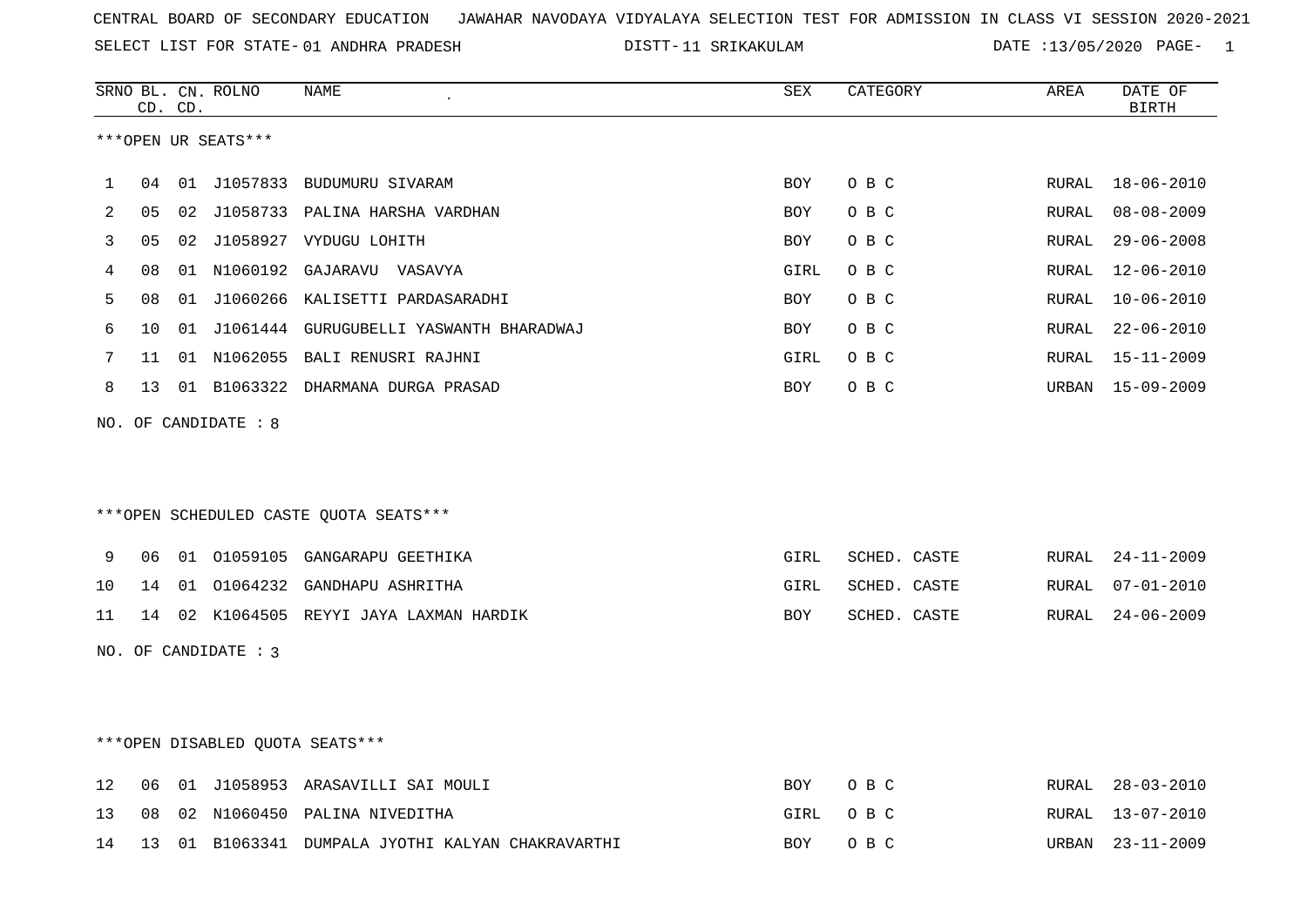SELECT LIST FOR STATE- DISTT- 01 ANDHRA PRADESH

DISTT-11 SRIKAKULAM DATE :13/05/2020 PAGE- 1

|    |    | CD. CD. | SRNO BL. CN. ROLNO   | NAME                                           | SEX        | CATEGORY     | AREA         | DATE OF<br><b>BIRTH</b> |
|----|----|---------|----------------------|------------------------------------------------|------------|--------------|--------------|-------------------------|
|    |    |         | ***OPEN UR SEATS***  |                                                |            |              |              |                         |
| 1  | 04 |         |                      | 01 J1057833 BUDUMURU SIVARAM                   | BOY        | O B C        | RURAL        | $18 - 06 - 2010$        |
| 2  | 05 |         |                      | 02 J1058733 PALINA HARSHA VARDHAN              | BOY        | O B C        | RURAL        | $08 - 08 - 2009$        |
| 3  | 05 |         |                      | 02 J1058927 VYDUGU LOHITH                      | BOY        | O B C        | RURAL        | $29 - 06 - 2008$        |
| 4  | 08 |         |                      | 01 N1060192 GAJARAVU VASAVYA                   | GIRL       | O B C        | RURAL        | 12-06-2010              |
| 5  | 08 |         |                      | 01 J1060266 KALISETTI PARDASARADHI             | BOY        | O B C        | <b>RURAL</b> | $10 - 06 - 2010$        |
| 6  | 10 |         |                      | 01 J1061444 GURUGUBELLI YASWANTH BHARADWAJ     | BOY        | O B C        | RURAL        | $22 - 06 - 2010$        |
| 7  | 11 |         |                      | 01 N1062055 BALI RENUSRI RAJHNI                | GIRL       | O B C        | RURAL        | 15-11-2009              |
| 8  | 13 |         |                      | 01 B1063322 DHARMANA DURGA PRASAD              | BOY        | O B C        | URBAN        | $15 - 09 - 2009$        |
|    |    |         | NO. OF CANDIDATE : 8 | ***OPEN SCHEDULED CASTE QUOTA SEATS***         |            |              |              |                         |
| 9  | 06 |         |                      | 01 01059105 GANGARAPU GEETHIKA                 | GIRL       | SCHED. CASTE | RURAL        | $24 - 11 - 2009$        |
| 10 | 14 |         |                      | 01 01064232 GANDHAPU ASHRITHA                  | GIRL       | SCHED. CASTE | RURAL        | $07 - 01 - 2010$        |
| 11 |    |         |                      | 14 02 K1064505 REYYI JAYA LAXMAN HARDIK        | BOY        | SCHED. CASTE | RURAL        | $24 - 06 - 2009$        |
|    |    |         | NO. OF CANDIDATE : 3 |                                                |            |              |              |                         |
|    |    |         |                      | ***OPEN DISABLED QUOTA SEATS***                |            |              |              |                         |
| 12 | 06 |         |                      | 01 J1058953 ARASAVILLI SAI MOULI               | <b>BOY</b> | O B C        | RURAL        | $28 - 03 - 2010$        |
| 13 | 08 |         |                      | 02 N1060450 PALINA NIVEDITHA                   | GIRL       | O B C        | RURAL        | $13 - 07 - 2010$        |
| 14 | 13 |         |                      | 01 B1063341 DUMPALA JYOTHI KALYAN CHAKRAVARTHI | <b>BOY</b> | O B C        | URBAN        | $23 - 11 - 2009$        |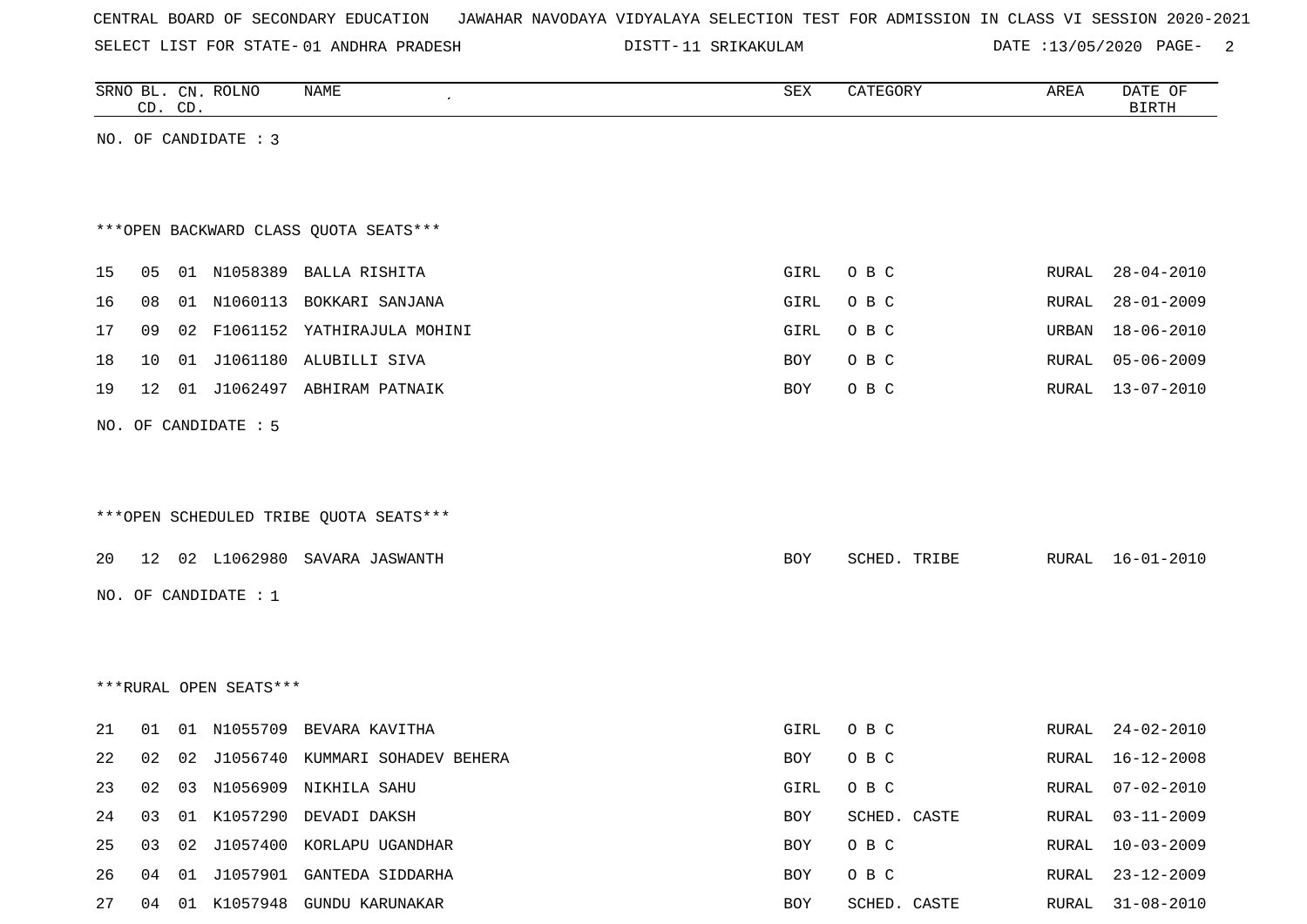|  |  |  |  | CENTRAL BOARD OF SECONDARY EDUCATION – JAWAHAR NAVODAYA VIDYALAYA SELECTION TEST FOR ADMISSION IN CLASS VI SESSION 2020-2021 |  |  |  |  |  |  |  |  |  |  |  |  |
|--|--|--|--|------------------------------------------------------------------------------------------------------------------------------|--|--|--|--|--|--|--|--|--|--|--|--|
|--|--|--|--|------------------------------------------------------------------------------------------------------------------------------|--|--|--|--|--|--|--|--|--|--|--|--|

SELECT LIST FOR STATE- 01 ANDHRA PRADESH

01 ANDHRA PRADESH 11 SRIKAKULAM DATE :13/05/2020 PAGE- 2

|    |    | CD. CD. | SRNO BL. CN. ROLNO     | <b>NAME</b>                            | ${\tt SEX}$ | CATEGORY     | AREA  | DATE OF<br><b>BIRTH</b> |
|----|----|---------|------------------------|----------------------------------------|-------------|--------------|-------|-------------------------|
|    |    |         | NO. OF CANDIDATE : 3   |                                        |             |              |       |                         |
|    |    |         |                        |                                        |             |              |       |                         |
|    |    |         |                        |                                        |             |              |       |                         |
|    |    |         |                        | *** OPEN BACKWARD CLASS QUOTA SEATS*** |             |              |       |                         |
| 15 | 05 |         |                        | 01 N1058389 BALLA RISHITA              | GIRL        | O B C        | RURAL | $28 - 04 - 2010$        |
| 16 | 08 |         |                        | 01 N1060113 BOKKARI SANJANA            | GIRL        | O B C        | RURAL | $28 - 01 - 2009$        |
| 17 | 09 |         |                        | 02 F1061152 YATHIRAJULA MOHINI         | GIRL        | O B C        | URBAN | $18 - 06 - 2010$        |
| 18 | 10 |         |                        | 01 J1061180 ALUBILLI SIVA              | BOY         | O B C        | RURAL | $05 - 06 - 2009$        |
| 19 | 12 |         |                        | 01 J1062497 ABHIRAM PATNAIK            | BOY         | O B C        | RURAL | $13 - 07 - 2010$        |
|    |    |         | NO. OF CANDIDATE : 5   |                                        |             |              |       |                         |
|    |    |         |                        |                                        |             |              |       |                         |
|    |    |         |                        |                                        |             |              |       |                         |
|    |    |         |                        | ***OPEN SCHEDULED TRIBE QUOTA SEATS*** |             |              |       |                         |
|    |    |         |                        |                                        |             |              |       |                         |
| 20 |    |         |                        | 12 02 L1062980 SAVARA JASWANTH         | BOY         | SCHED. TRIBE |       | RURAL 16-01-2010        |
|    |    |         | NO. OF CANDIDATE : $1$ |                                        |             |              |       |                         |
|    |    |         |                        |                                        |             |              |       |                         |
|    |    |         |                        |                                        |             |              |       |                         |
|    |    |         | ***RURAL OPEN SEATS*** |                                        |             |              |       |                         |
| 21 | 01 |         |                        | 01 N1055709 BEVARA KAVITHA             | GIRL        | O B C        | RURAL | $24 - 02 - 2010$        |
| 22 | 02 |         |                        | 02 J1056740 KUMMARI SOHADEV BEHERA     | <b>BOY</b>  | O B C        | RURAL | 16-12-2008              |
| 23 |    |         |                        | 02 03 N1056909 NIKHILA SAHU            | GIRL        | O B C        | RURAL | $07 - 02 - 2010$        |
| 24 |    |         |                        | 03 01 K1057290 DEVADI DAKSH            | BOY         | SCHED. CASTE | RURAL | $03 - 11 - 2009$        |
| 25 |    |         |                        | 03 02 J1057400 KORLAPU UGANDHAR        | BOY         | O B C        | RURAL | $10 - 03 - 2009$        |
| 26 |    |         |                        | 04 01 J1057901 GANTEDA SIDDARHA        | BOY         | O B C        | RURAL | $23 - 12 - 2009$        |
| 27 |    |         |                        | 04 01 K1057948 GUNDU KARUNAKAR         | BOY         | SCHED. CASTE |       | RURAL 31-08-2010        |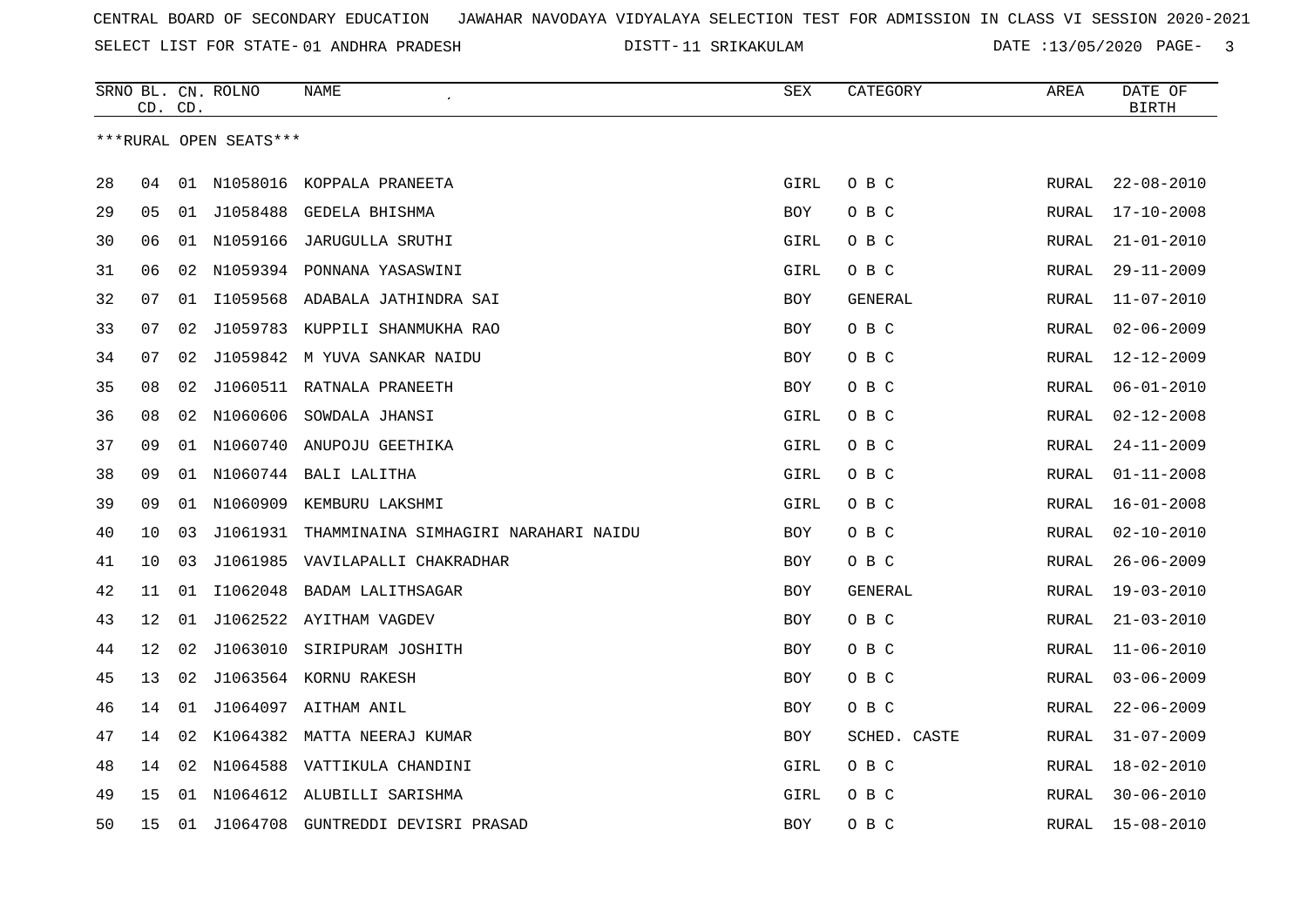SELECT LIST FOR STATE- DISTT- 01 ANDHRA PRADESH

DISTT-11 SRIKAKULAM DATE :13/05/2020 PAGE- 3

|    | CD. | CD. | SRNO BL. CN. ROLNO     | <b>NAME</b>                                   | SEX        | CATEGORY       | AREA         | DATE OF<br><b>BIRTH</b> |
|----|-----|-----|------------------------|-----------------------------------------------|------------|----------------|--------------|-------------------------|
|    |     |     | ***RURAL OPEN SEATS*** |                                               |            |                |              |                         |
| 28 | 04  |     |                        | 01 N1058016 KOPPALA PRANEETA                  | GIRL       | O B C          | <b>RURAL</b> | $22 - 08 - 2010$        |
| 29 | 05  |     |                        | 01 J1058488 GEDELA BHISHMA                    | BOY        | O B C          | RURAL        | 17-10-2008              |
| 30 | 06  |     | 01 N1059166            | JARUGULLA SRUTHI                              | GIRL       | O B C          | <b>RURAL</b> | $21 - 01 - 2010$        |
| 31 | 06  |     |                        | 02 N1059394 PONNANA YASASWINI                 | GIRL       | O B C          | <b>RURAL</b> | $29 - 11 - 2009$        |
| 32 | 07  | 01  | I1059568               | ADABALA JATHINDRA SAI                         | <b>BOY</b> | <b>GENERAL</b> | <b>RURAL</b> | $11 - 07 - 2010$        |
| 33 | 07  | 02  |                        | J1059783 KUPPILI SHANMUKHA RAO                | BOY        | O B C          | <b>RURAL</b> | $02 - 06 - 2009$        |
| 34 | 07  | 02  |                        | J1059842 M YUVA SANKAR NAIDU                  | <b>BOY</b> | O B C          | <b>RURAL</b> | $12 - 12 - 2009$        |
| 35 | 08  | 02  |                        | J1060511 RATNALA PRANEETH                     | <b>BOY</b> | O B C          | <b>RURAL</b> | $06 - 01 - 2010$        |
| 36 | 08  | 02  |                        | N1060606 SOWDALA JHANSI                       | GIRL       | O B C          | RURAL        | $02 - 12 - 2008$        |
| 37 | 09  |     |                        | 01 N1060740 ANUPOJU GEETHIKA                  | GIRL       | O B C          | RURAL        | $24 - 11 - 2009$        |
| 38 | 09  |     |                        | 01 N1060744 BALI LALITHA                      | GIRL       | O B C          | RURAL        | $01 - 11 - 2008$        |
| 39 | 09  |     | 01 N1060909            | KEMBURU LAKSHMI                               | GIRL       | O B C          | <b>RURAL</b> | $16 - 01 - 2008$        |
| 40 | 10  | 03  |                        | J1061931 THAMMINAINA SIMHAGIRI NARAHARI NAIDU | <b>BOY</b> | O B C          | RURAL        | $02 - 10 - 2010$        |
| 41 | 10  | 03  | J1061985               | VAVILAPALLI CHAKRADHAR                        | <b>BOY</b> | O B C          | <b>RURAL</b> | $26 - 06 - 2009$        |
| 42 | 11  | 01  | I1062048               | BADAM LALITHSAGAR                             | BOY        | <b>GENERAL</b> | RURAL        | $19 - 03 - 2010$        |
| 43 | 12  | 01  |                        | J1062522 AYITHAM VAGDEV                       | <b>BOY</b> | O B C          | RURAL        | $21 - 03 - 2010$        |
| 44 | 12  | 02  | J1063010               | SIRIPURAM JOSHITH                             | <b>BOY</b> | O B C          | RURAL        | $11 - 06 - 2010$        |
| 45 | 13  | 02  |                        | J1063564 KORNU RAKESH                         | <b>BOY</b> | O B C          | RURAL        | $03 - 06 - 2009$        |
| 46 | 14  | 01  |                        | J1064097 AITHAM ANIL                          | BOY        | O B C          | RURAL        | $22 - 06 - 2009$        |
| 47 | 14  |     |                        | 02 K1064382 MATTA NEERAJ KUMAR                | <b>BOY</b> | SCHED. CASTE   | RURAL        | $31 - 07 - 2009$        |
| 48 | 14  | 02  |                        | N1064588 VATTIKULA CHANDINI                   | GIRL       | O B C          | RURAL        | $18 - 02 - 2010$        |
| 49 | 15  | 01  |                        | N1064612 ALUBILLI SARISHMA                    | GIRL       | O B C          | RURAL        | $30 - 06 - 2010$        |
| 50 | 15  | 01  | J1064708               | GUNTREDDI DEVISRI PRASAD                      | <b>BOY</b> | O B C          | RURAL        | 15-08-2010              |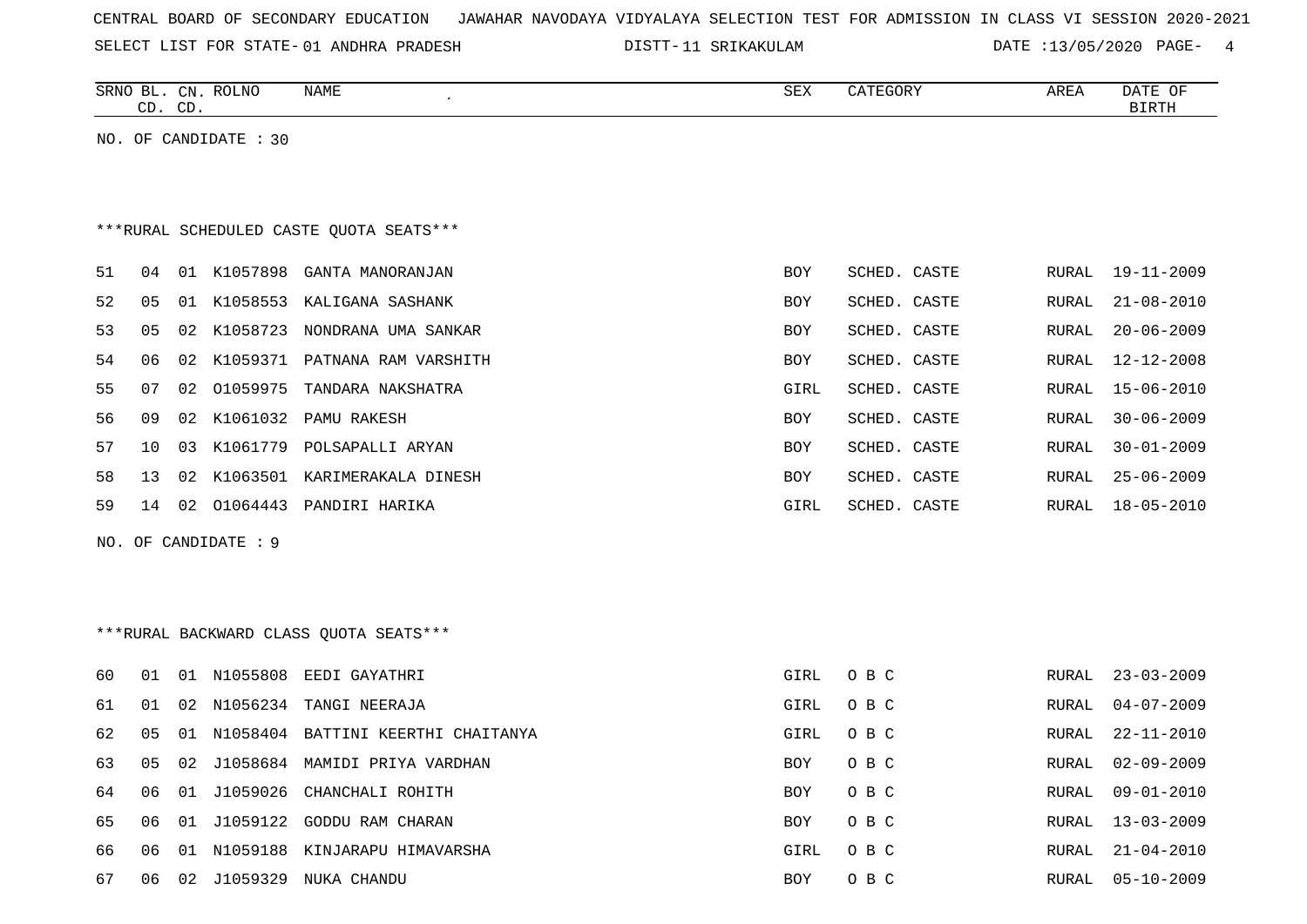| CENTRAL BOARD OF SECONDARY EDUCATION – JAWAHAR NAVODAYA VIDYALAYA SELECTION TEST FOR ADMISSION IN CLASS VI SESSION 2020-2021 |  |  |  |  |
|------------------------------------------------------------------------------------------------------------------------------|--|--|--|--|
|------------------------------------------------------------------------------------------------------------------------------|--|--|--|--|

SELECT LIST FOR STATE- 01 ANDHRA PRADESH

01 ANDHRA PRADESH 11 SRIKAKULAM DATE :13/05/2020 PAGE- 4

|    |    | CD. CD. | SRNO BL. CN. ROLNO    | NAME                                     | SEX        | CATEGORY     | AREA         | DATE OF<br><b>BIRTH</b> |
|----|----|---------|-----------------------|------------------------------------------|------------|--------------|--------------|-------------------------|
|    |    |         | NO. OF CANDIDATE : 30 |                                          |            |              |              |                         |
|    |    |         |                       |                                          |            |              |              |                         |
|    |    |         |                       |                                          |            |              |              |                         |
|    |    |         |                       | *** RURAL SCHEDULED CASTE QUOTA SEATS*** |            |              |              |                         |
| 51 | 04 |         |                       | 01 K1057898 GANTA MANORANJAN             | BOY        | SCHED. CASTE | RURAL        | 19-11-2009              |
| 52 | 05 |         |                       | 01 K1058553 KALIGANA SASHANK             | <b>BOY</b> | SCHED. CASTE | RURAL        | $21 - 08 - 2010$        |
| 53 | 05 | 02      |                       | K1058723 NONDRANA UMA SANKAR             | <b>BOY</b> | SCHED. CASTE | RURAL        | $20 - 06 - 2009$        |
| 54 | 06 | 02      |                       | K1059371 PATNANA RAM VARSHITH            | <b>BOY</b> | SCHED. CASTE | <b>RURAL</b> | $12 - 12 - 2008$        |
| 55 | 07 | 02      | 01059975              | TANDARA NAKSHATRA                        | GIRL       | SCHED. CASTE | <b>RURAL</b> | $15 - 06 - 2010$        |
| 56 | 09 | 02      |                       | K1061032 PAMU RAKESH                     | <b>BOY</b> | SCHED. CASTE | <b>RURAL</b> | $30 - 06 - 2009$        |
| 57 | 10 | 03      | K1061779              | POLSAPALLI ARYAN                         | BOY        | SCHED. CASTE | RURAL        | $30 - 01 - 2009$        |
| 58 | 13 | 02      |                       | K1063501 KARIMERAKALA DINESH             | BOY        | SCHED. CASTE | RURAL        | $25 - 06 - 2009$        |
| 59 | 14 |         |                       | 02 01064443 PANDIRI HARIKA               | GIRL       | SCHED. CASTE | RURAL        | $18 - 05 - 2010$        |
|    |    |         | NO. OF CANDIDATE : 9  |                                          |            |              |              |                         |
|    |    |         |                       |                                          |            |              |              |                         |
|    |    |         |                       |                                          |            |              |              |                         |
|    |    |         |                       | *** RURAL BACKWARD CLASS QUOTA SEATS***  |            |              |              |                         |
| 60 | 01 |         |                       | 01 N1055808 EEDI GAYATHRI                | GIRL       | O B C        | RURAL        | $23 - 03 - 2009$        |
| 61 | 01 | 02      | N1056234              | TANGI NEERAJA                            | GIRL       | O B C        | RURAL        | $04 - 07 - 2009$        |
| 62 | 05 |         |                       | 01 N1058404 BATTINI KEERTHI CHAITANYA    | GIRL       | O B C        | RURAL        | $22 - 11 - 2010$        |
| 63 | 05 | 02      |                       | J1058684 MAMIDI PRIYA VARDHAN            | <b>BOY</b> | O B C        | RURAL        | $02 - 09 - 2009$        |
| 64 | 06 | 01      | J1059026              | CHANCHALI ROHITH                         | BOY        | O B C        | RURAL        | $09 - 01 - 2010$        |
| 65 | 06 | 01      |                       | J1059122 GODDU RAM CHARAN                | <b>BOY</b> | O B C        | RURAL        | $13 - 03 - 2009$        |
| 66 | 06 | 01      |                       | N1059188 KINJARAPU HIMAVARSHA            | GIRL       | O B C        | RURAL        | $21 - 04 - 2010$        |
| 67 |    |         |                       | 06 02 J1059329 NUKA CHANDU               | <b>BOY</b> | $O$ B $C$    |              | RURAL 05-10-2009        |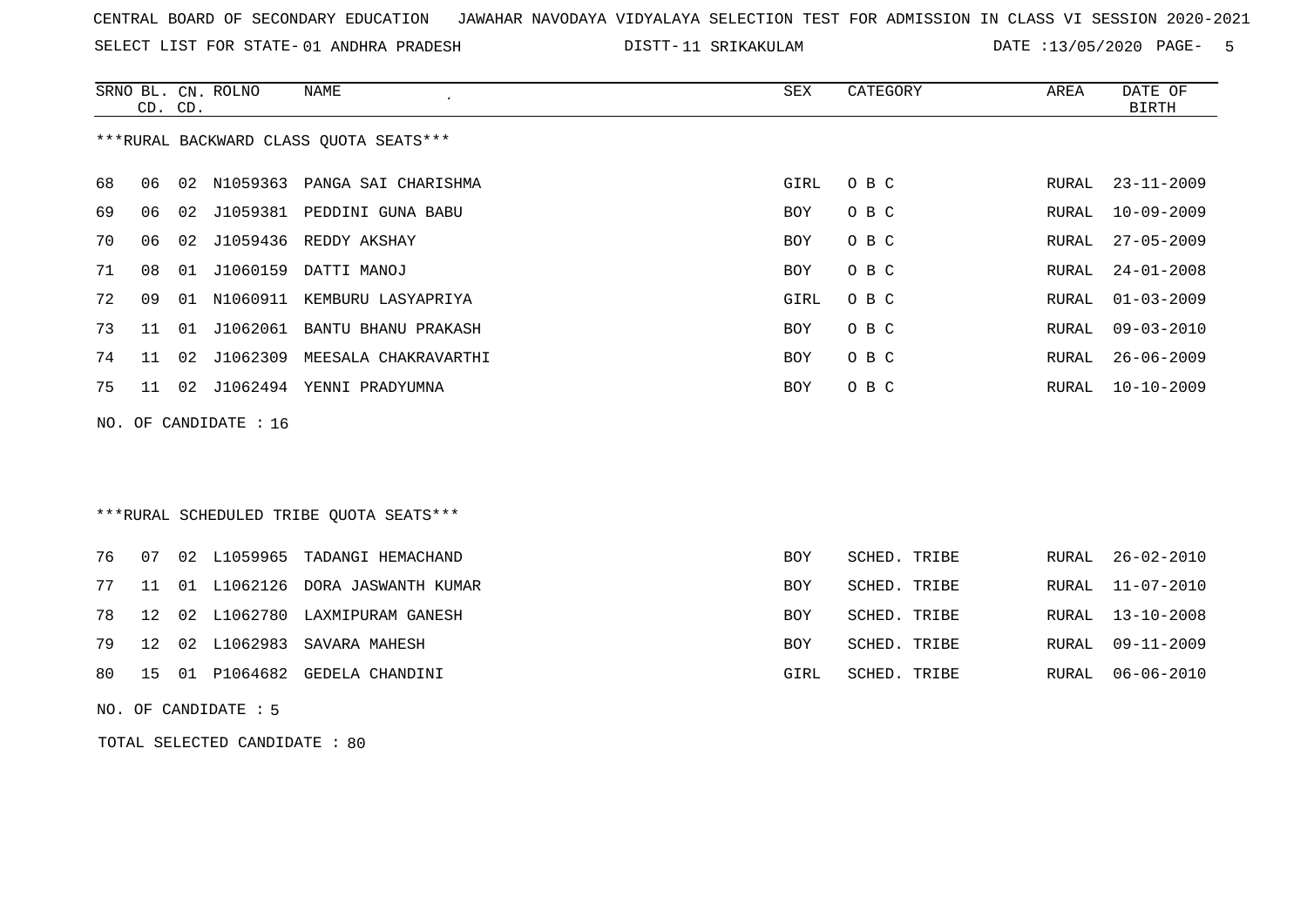SELECT LIST FOR STATE- DISTT- 01 ANDHRA PRADESH

DISTT-11 SRIKAKULAM DATE :13/05/2020 PAGE- 5

|    | CD. CD. |    | SRNO BL. CN. ROLNO    | <b>NAME</b>                             | SEX        | CATEGORY     | AREA  | DATE OF<br><b>BIRTH</b> |
|----|---------|----|-----------------------|-----------------------------------------|------------|--------------|-------|-------------------------|
|    |         |    |                       | *** RURAL BACKWARD CLASS QUOTA SEATS*** |            |              |       |                         |
| 68 | 06      | 02 | N1059363              | PANGA SAI CHARISHMA                     | GIRL       | O B C        | RURAL | $23 - 11 - 2009$        |
| 69 | 06      | 02 | J1059381              | PEDDINI GUNA BABU                       | <b>BOY</b> | O B C        | RURAL | $10 - 09 - 2009$        |
| 70 | 06      | 02 | J1059436              | REDDY AKSHAY                            | BOY        | O B C        | RURAL | $27 - 05 - 2009$        |
| 71 | 08      | 01 | J1060159              | DATTI MANOJ                             | BOY        | O B C        | RURAL | $24 - 01 - 2008$        |
| 72 | 09      | 01 | N1060911              | KEMBURU LASYAPRIYA                      | GIRL       | O B C        | RURAL | $01 - 03 - 2009$        |
| 73 | 11      | 01 |                       | J1062061 BANTU BHANU PRAKASH            | BOY        | O B C        | RURAL | $09 - 03 - 2010$        |
| 74 | 11      | 02 | J1062309              | MEESALA CHAKRAVARTHI                    | BOY        | O B C        | RURAL | $26 - 06 - 2009$        |
| 75 | 11      | 02 |                       | J1062494 YENNI PRADYUMNA                | BOY        | O B C        | RURAL | $10 - 10 - 2009$        |
|    |         |    | NO. OF CANDIDATE : 16 |                                         |            |              |       |                         |
|    |         |    |                       |                                         |            |              |       |                         |
|    |         |    |                       |                                         |            |              |       |                         |
|    |         |    |                       | ***RURAL SCHEDULED TRIBE QUOTA SEATS*** |            |              |       |                         |
|    |         |    |                       |                                         |            |              |       |                         |
| 76 | 07      | 02 | L1059965              | TADANGI HEMACHAND                       | BOY        | SCHED. TRIBE | RURAL | $26 - 02 - 2010$        |
| 77 | 11      |    |                       | 01 L1062126 DORA JASWANTH KUMAR         | <b>BOY</b> | SCHED. TRIBE | RURAL | $11 - 07 - 2010$        |
| 78 | 12      | 02 | L1062780              | LAXMIPURAM GANESH                       | <b>BOY</b> | SCHED. TRIBE | RURAL | $13 - 10 - 2008$        |
| 79 | 12      | 02 | L1062983              | SAVARA MAHESH                           | BOY        | SCHED. TRIBE | RURAL | $09 - 11 - 2009$        |
| 80 | 15      | 01 | P1064682              | GEDELA CHANDINI                         | GIRL       | SCHED. TRIBE | RURAL | $06 - 06 - 2010$        |

NO. OF CANDIDATE : 5

TOTAL SELECTED CANDIDATE : 80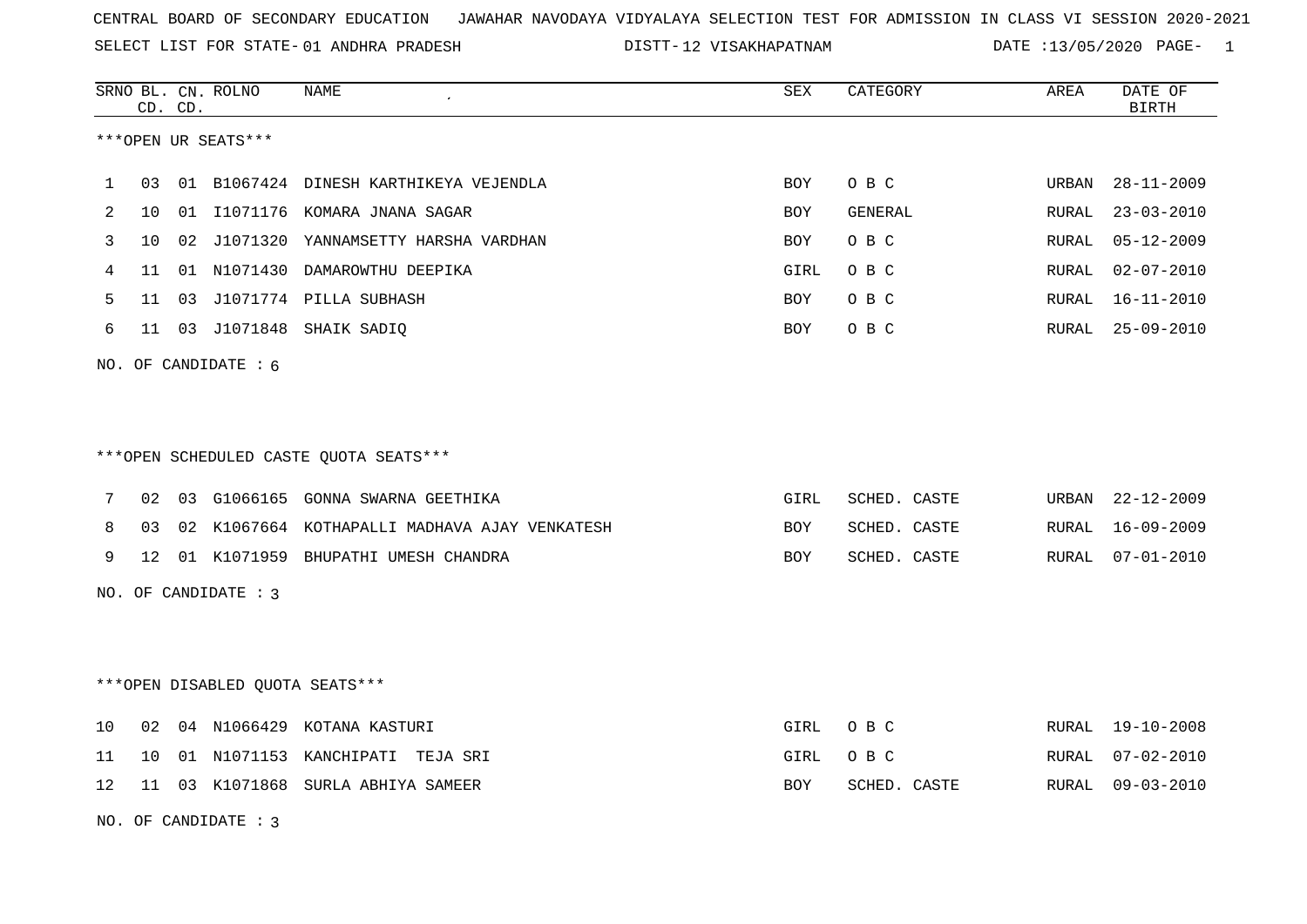SELECT LIST FOR STATE- DISTT- 01 ANDHRA PRADESH

DISTT-12 VISAKHAPATNAM DATE :13/05/2020 PAGE- 1

|    |    | CD. CD. | SRNO BL. CN. ROLNO     | NAME                                          | ${\tt SEX}$ | CATEGORY     | AREA  | DATE OF<br><b>BIRTH</b> |
|----|----|---------|------------------------|-----------------------------------------------|-------------|--------------|-------|-------------------------|
|    |    |         | ***OPEN UR SEATS***    |                                               |             |              |       |                         |
| 1  | 03 |         |                        | 01 B1067424 DINESH KARTHIKEYA VEJENDLA        | <b>BOY</b>  | O B C        | URBAN | $28 - 11 - 2009$        |
| 2  | 10 | 01      |                        | I1071176 KOMARA JNANA SAGAR                   | <b>BOY</b>  | GENERAL      | RURAL | $23 - 03 - 2010$        |
| 3  | 10 |         |                        | 02 J1071320 YANNAMSETTY HARSHA VARDHAN        | BOY         | O B C        | RURAL | $05 - 12 - 2009$        |
| 4  | 11 |         |                        | 01 N1071430 DAMAROWTHU DEEPIKA                | GIRL        | O B C        | RURAL | $02 - 07 - 2010$        |
| 5  | 11 |         |                        | 03 J1071774 PILLA SUBHASH                     | <b>BOY</b>  | O B C        | RURAL | $16 - 11 - 2010$        |
| 6  |    |         |                        | 11 03 J1071848 SHAIK SADIQ                    | BOY         | O B C        | RURAL | 25-09-2010              |
|    |    |         | NO. OF CANDIDATE : $6$ |                                               |             |              |       |                         |
|    |    |         |                        |                                               |             |              |       |                         |
|    |    |         |                        |                                               |             |              |       |                         |
|    |    |         |                        | ***OPEN SCHEDULED CASTE QUOTA SEATS***        |             |              |       |                         |
| 7  | 02 |         |                        | 03 G1066165 GONNA SWARNA GEETHIKA             | GIRL        | SCHED. CASTE | URBAN | $22 - 12 - 2009$        |
| 8  | 03 |         |                        | 02 K1067664 KOTHAPALLI MADHAVA AJAY VENKATESH | BOY         | SCHED. CASTE | RURAL | 16-09-2009              |
| 9  | 12 |         |                        | 01 K1071959 BHUPATHI UMESH CHANDRA            | BOY         | SCHED. CASTE | RURAL | $07 - 01 - 2010$        |
|    |    |         | NO. OF CANDIDATE : 3   |                                               |             |              |       |                         |
|    |    |         |                        |                                               |             |              |       |                         |
|    |    |         |                        |                                               |             |              |       |                         |
|    |    |         |                        | ***OPEN DISABLED QUOTA SEATS***               |             |              |       |                         |
| 10 | 02 |         |                        | 04 N1066429 KOTANA KASTURI                    | GIRL        | O B C        | RURAL | 19-10-2008              |
| 11 | 10 |         |                        | 01 N1071153 KANCHIPATI TEJA SRI               | GIRL        | O B C        | RURAL | $07 - 02 - 2010$        |
| 12 | 11 |         |                        | 03 K1071868 SURLA ABHIYA SAMEER               | BOY         | SCHED. CASTE | RURAL | $09 - 03 - 2010$        |
|    |    |         | NO. OF CANDIDATE: 3    |                                               |             |              |       |                         |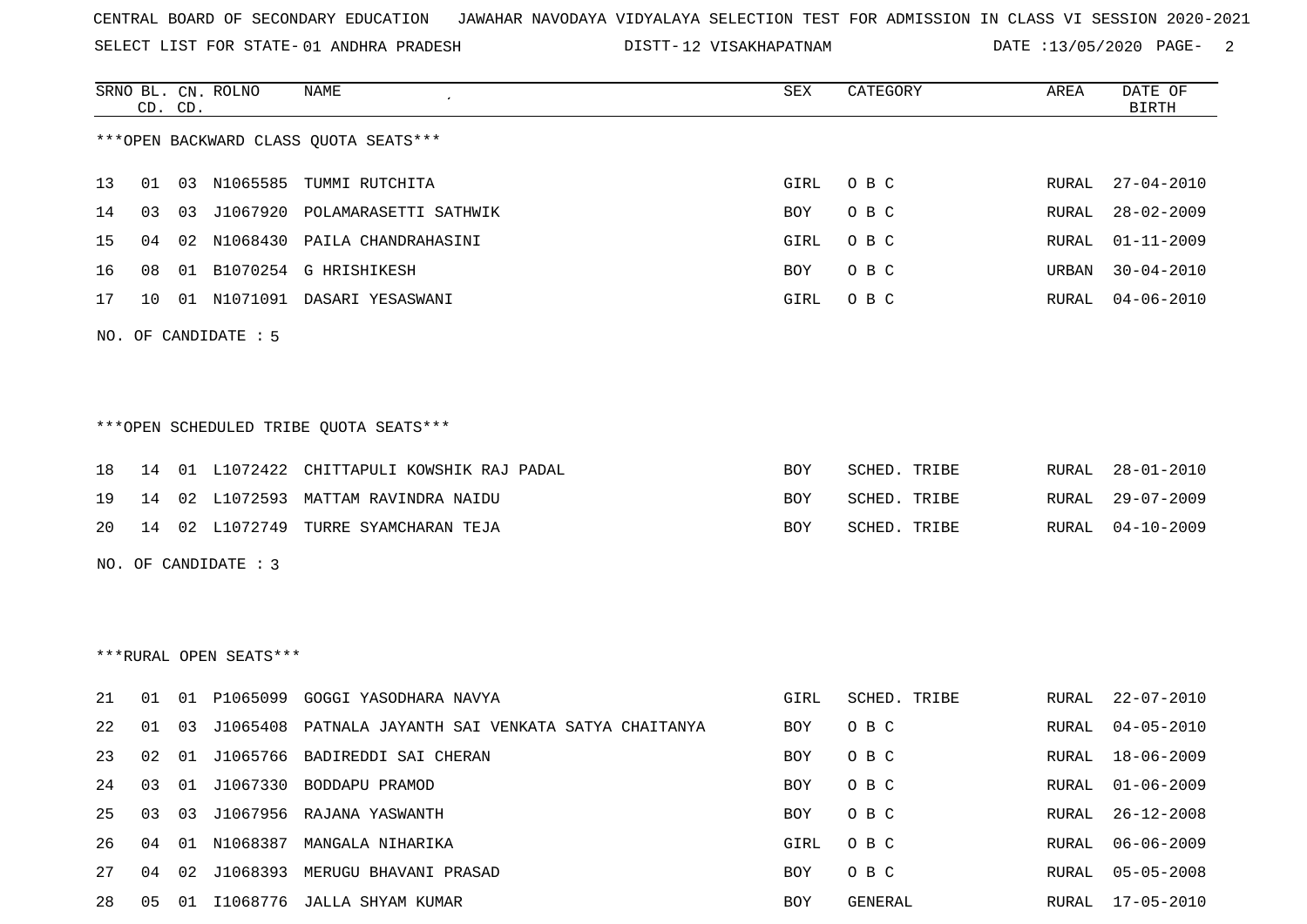SELECT LIST FOR STATE- DISTT- 01 ANDHRA PRADESH

12 VISAKHAPATNAM DATE :13/05/2020 PAGE- 2

|    |    | CD. CD. | SRNO BL. CN. ROLNO     | NAME                                        | SEX        | CATEGORY     | AREA          | DATE OF<br><b>BIRTH</b> |
|----|----|---------|------------------------|---------------------------------------------|------------|--------------|---------------|-------------------------|
|    |    |         |                        | *** OPEN BACKWARD CLASS QUOTA SEATS***      |            |              |               |                         |
| 13 |    |         |                        | 01 03 N1065585 TUMMI RUTCHITA               | GIRL       | O B C        | RURAL         | $27 - 04 - 2010$        |
| 14 | 03 |         |                        | 03 J1067920 POLAMARASETTI SATHWIK           | BOY        | O B C        | RURAL         | $28 - 02 - 2009$        |
| 15 | 04 | 02      |                        | N1068430 PAILA CHANDRAHASINI                | GIRL       | O B C        | RURAL         | $01 - 11 - 2009$        |
| 16 | 08 | 01      |                        | B1070254 G HRISHIKESH                       | BOY        | O B C        | URBAN         | $30 - 04 - 2010$        |
| 17 | 10 |         |                        | 01 N1071091 DASARI YESASWANI                | GIRL       | O B C        | RURAL         | $04 - 06 - 2010$        |
|    |    |         | NO. OF CANDIDATE : 5   |                                             |            |              |               |                         |
|    |    |         |                        |                                             |            |              |               |                         |
|    |    |         |                        | ***OPEN SCHEDULED TRIBE QUOTA SEATS***      |            |              |               |                         |
| 18 | 14 |         |                        | 01 L1072422 CHITTAPULI KOWSHIK RAJ PADAL    | <b>BOY</b> | SCHED. TRIBE | RURAL         | $28 - 01 - 2010$        |
| 19 | 14 | 02      |                        | L1072593 MATTAM RAVINDRA NAIDU              | BOY        | SCHED. TRIBE | RURAL         | $29 - 07 - 2009$        |
| 20 |    |         |                        | 14 02 L1072749 TURRE SYAMCHARAN TEJA        | BOY        | SCHED. TRIBE | RURAL         | $04 - 10 - 2009$        |
|    |    |         | NO. OF CANDIDATE : 3   |                                             |            |              |               |                         |
|    |    |         |                        |                                             |            |              |               |                         |
|    |    |         |                        |                                             |            |              |               |                         |
|    |    |         | ***RURAL OPEN SEATS*** |                                             |            |              |               |                         |
| 21 | 01 | 01      |                        | P1065099 GOGGI YASODHARA NAVYA              | GIRL       | SCHED. TRIBE | RURAL         | $22 - 07 - 2010$        |
| 22 | 01 | 03      | J1065408               | PATNALA JAYANTH SAI VENKATA SATYA CHAITANYA | BOY        | O B C        | RURAL         | $04 - 05 - 2010$        |
| 23 | 02 | 01      | J1065766               | BADIREDDI SAI CHERAN                        | BOY.       | O B C        | RURAL         | $18 - 06 - 2009$        |
|    |    |         |                        | 24 03 01 J1067330 BODDAPU PRAMOD            | BOY        | $O$ B C      |               | RURAL 01-06-2009        |
| 25 | 03 | 03      |                        | J1067956 RAJANA YASWANTH                    | BOY        | O B C        | RURAL         | $26 - 12 - 2008$        |
| 26 | 04 |         |                        | 01 N1068387 MANGALA NIHARIKA                | GIRL       | O B C        | ${\tt RURAL}$ | $06 - 06 - 2009$        |
| 27 |    |         |                        | 04 02 J1068393 MERUGU BHAVANI PRASAD        | BOY        | O B C        | RURAL         | $05 - 05 - 2008$        |
| 28 |    |         |                        | 05 01 I1068776 JALLA SHYAM KUMAR            | BOY        | GENERAL      | RURAL         | $17 - 05 - 2010$        |
|    |    |         |                        |                                             |            |              |               |                         |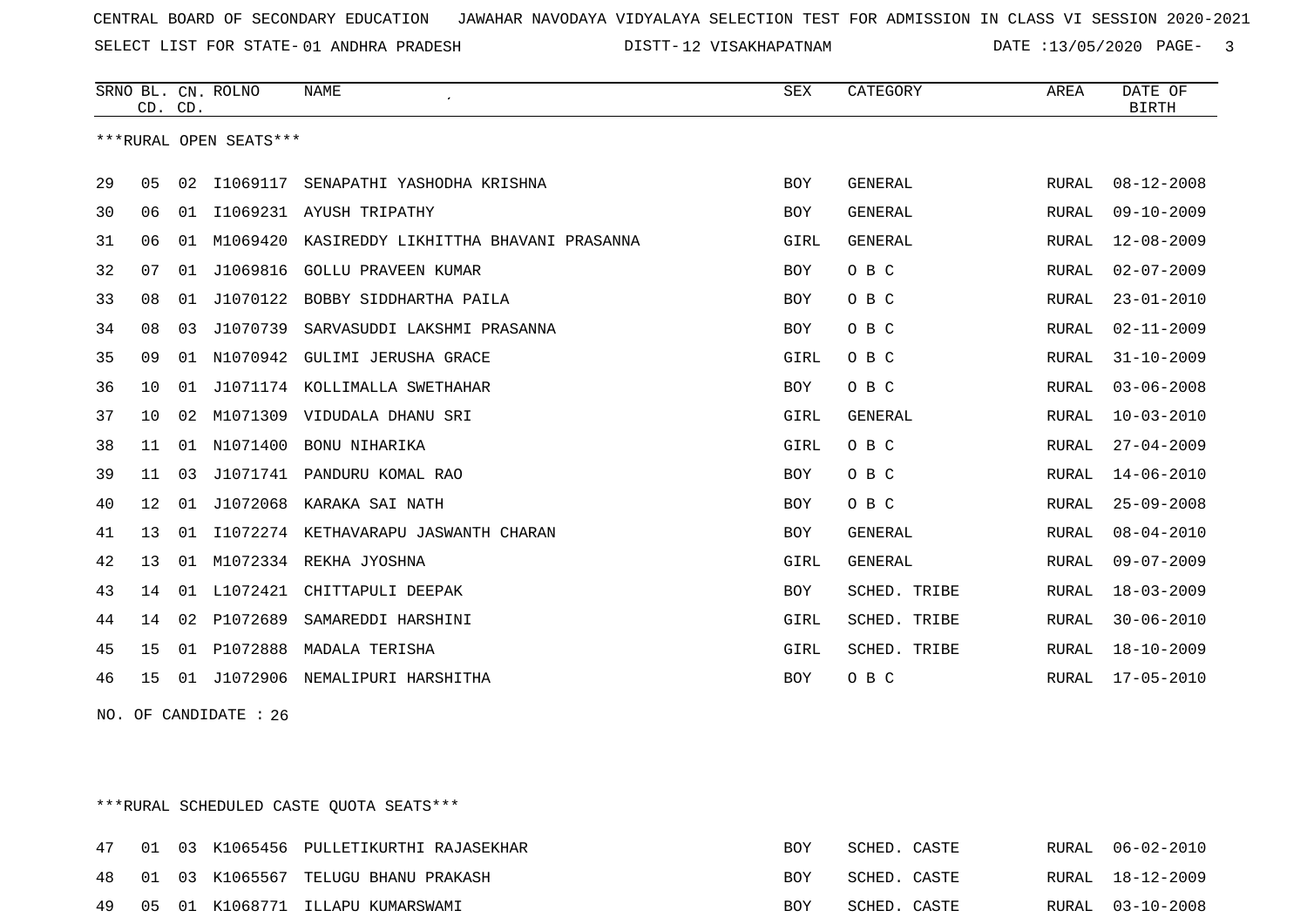SELECT LIST FOR STATE- DISTT- 01 ANDHRA PRADESH

12 VISAKHAPATNAM DATE :13/05/2020 PAGE- 3

|    | CD. CD.         |    | SRNO BL. CN. ROLNO     | NAME                                 | SEX        | CATEGORY            | AREA         | DATE OF<br><b>BIRTH</b> |
|----|-----------------|----|------------------------|--------------------------------------|------------|---------------------|--------------|-------------------------|
|    |                 |    | ***RURAL OPEN SEATS*** |                                      |            |                     |              |                         |
| 29 | 05              | 02 | I1069117               | SENAPATHI YASHODHA KRISHNA           | <b>BOY</b> | <b>GENERAL</b>      | RURAL        | $08 - 12 - 2008$        |
| 30 | 06              | 01 |                        | I1069231 AYUSH TRIPATHY              | <b>BOY</b> | <b>GENERAL</b>      | <b>RURAL</b> | $09 - 10 - 2009$        |
| 31 | 06              | 01 | M1069420               | KASIREDDY LIKHITTHA BHAVANI PRASANNA | GIRL       | GENERAL             | RURAL        | $12 - 08 - 2009$        |
| 32 | 07              | 01 | J1069816               | <b>GOLLU PRAVEEN KUMAR</b>           | BOY        | O B C               | RURAL        | $02 - 07 - 2009$        |
| 33 | 08              | 01 | J1070122               | BOBBY SIDDHARTHA PAILA               | <b>BOY</b> | O B C               | RURAL        | $23 - 01 - 2010$        |
| 34 | 08              | 03 | J1070739               | SARVASUDDI LAKSHMI PRASANNA          | <b>BOY</b> | O B C               | RURAL        | $02 - 11 - 2009$        |
| 35 | 09              |    | 01 N1070942            | GULIMI JERUSHA GRACE                 | GIRL       | O B C               | RURAL        | $31 - 10 - 2009$        |
| 36 | 10              | 01 |                        | J1071174 KOLLIMALLA SWETHAHAR        | <b>BOY</b> | O B C               | RURAL        | $03 - 06 - 2008$        |
| 37 | 10 <sup>°</sup> | 02 | M1071309               | VIDUDALA DHANU SRI                   | GIRL       | <b>GENERAL</b>      | RURAL        | $10 - 03 - 2010$        |
| 38 | 11              | 01 | N1071400               | BONU NIHARIKA                        | GIRL       | O B C               | RURAL        | $27 - 04 - 2009$        |
| 39 | 11              | 03 |                        | J1071741 PANDURU KOMAL RAO           | <b>BOY</b> | O B C               | RURAL        | $14 - 06 - 2010$        |
| 40 | 12              | 01 | J1072068               | KARAKA SAI NATH                      | <b>BOY</b> | O B C               | RURAL        | $25 - 09 - 2008$        |
| 41 | 13              | 01 |                        | I1072274 KETHAVARAPU JASWANTH CHARAN | <b>BOY</b> | <b>GENERAL</b>      | <b>RURAL</b> | $08 - 04 - 2010$        |
| 42 | 13              | 01 | M1072334               | REKHA JYOSHNA                        | GIRL       | <b>GENERAL</b>      | <b>RURAL</b> | $09 - 07 - 2009$        |
| 43 | 14              | 01 | L1072421               | CHITTAPULI DEEPAK                    | BOY        | SCHED. TRIBE        | RURAL        | $18 - 03 - 2009$        |
| 44 | 14              | 02 | P1072689               | SAMAREDDI HARSHINI                   | GIRL       | <b>SCHED. TRIBE</b> | <b>RURAL</b> | $30 - 06 - 2010$        |
| 45 | 15              | 01 | P1072888               | MADALA TERISHA                       | GIRL       | SCHED. TRIBE        | RURAL        | $18 - 10 - 2009$        |
| 46 | 15              | 01 | J1072906               | NEMALIPURI HARSHITHA                 | BOY        | O B C               | RURAL        | 17-05-2010              |

NO. OF CANDIDATE : 26

\*\*\*RURAL SCHEDULED CASTE QUOTA SEATS\*\*\*

| 47 |  | 01 03 K1065456 PULLETIKURTHI RAJASEKHAR | BOY | SCHED. CASTE |  | RURAL 06-02-2010 |
|----|--|-----------------------------------------|-----|--------------|--|------------------|
| 48 |  | 01 03 K1065567 TELUGU BHANU PRAKASH     | BOY | SCHED. CASTE |  | RURAL 18-12-2009 |
| 49 |  | 05 01 K1068771 ILLAPU KUMARSWAMI        | BOY | SCHED. CASTE |  | RURAL 03-10-2008 |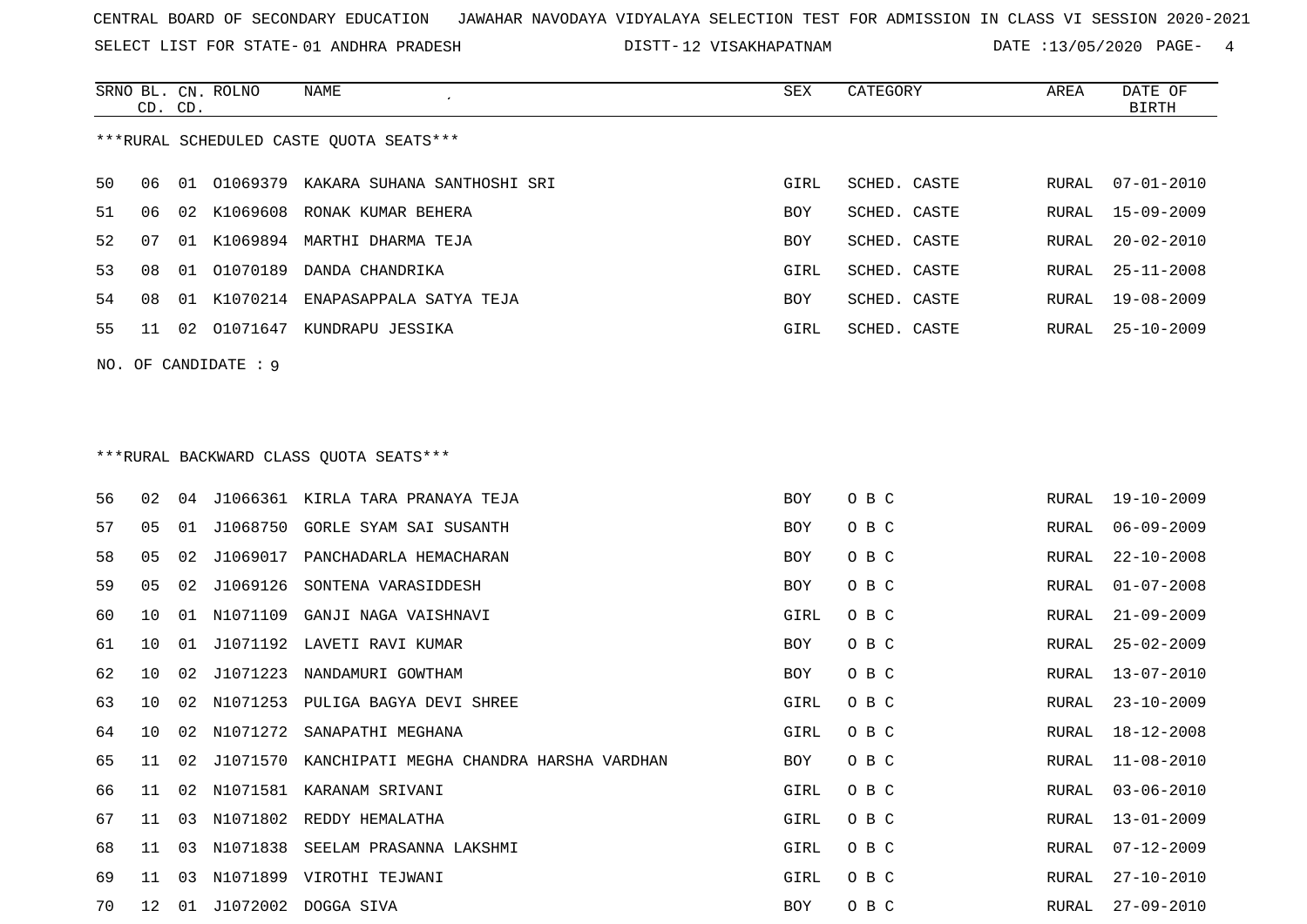SELECT LIST FOR STATE- DISTT- 01 ANDHRA PRADESH

12 VISAKHAPATNAM DATE :13/05/2020 PAGE- 4

|    | CD. CD. |    | SRNO BL. CN. ROLNO  | NAME                                             | SEX  | CATEGORY     | AREA  | DATE OF<br><b>BIRTH</b> |
|----|---------|----|---------------------|--------------------------------------------------|------|--------------|-------|-------------------------|
|    |         |    |                     | ***RURAL SCHEDULED CASTE QUOTA SEATS***          |      |              |       |                         |
| 50 | 06      |    |                     | 01 01069379 KAKARA SUHANA SANTHOSHI SRI          | GIRL | SCHED. CASTE | RURAL | $07 - 01 - 2010$        |
| 51 | 06      |    |                     | 02 K1069608 RONAK KUMAR BEHERA                   | BOY  | SCHED. CASTE | RURAL | $15 - 09 - 2009$        |
| 52 | 07      | 01 |                     | K1069894 MARTHI DHARMA TEJA                      | BOY  | SCHED. CASTE | RURAL | $20 - 02 - 2010$        |
| 53 | 08      | 01 | 01070189            | DANDA CHANDRIKA                                  | GIRL | SCHED. CASTE | RURAL | $25 - 11 - 2008$        |
| 54 | 08      | 01 | K1070214            | ENAPASAPPALA SATYA TEJA                          | BOY  | SCHED. CASTE | RURAL | $19 - 08 - 2009$        |
| 55 | 11      | 02 |                     | 01071647 KUNDRAPU JESSIKA                        | GIRL | SCHED. CASTE | RURAL | $25 - 10 - 2009$        |
|    |         |    | NO. OF CANDIDATE: 9 |                                                  |      |              |       |                         |
|    |         |    |                     |                                                  |      |              |       |                         |
|    |         |    |                     | *** RURAL BACKWARD CLASS QUOTA SEATS***          |      |              |       |                         |
| 56 | 02      | 04 |                     | J1066361 KIRLA TARA PRANAYA TEJA                 | BOY  | O B C        | RURAL | $19 - 10 - 2009$        |
| 57 | 05      | 01 | J1068750            | GORLE SYAM SAI SUSANTH                           | BOY  | O B C        | RURAL | $06 - 09 - 2009$        |
| 58 | 05      | 02 | J1069017            | PANCHADARLA HEMACHARAN                           | BOY  | O B C        | RURAL | $22 - 10 - 2008$        |
| 59 | 05      | 02 | J1069126            | SONTENA VARASIDDESH                              | BOY  | O B C        | RURAL | $01 - 07 - 2008$        |
| 60 | 10      | 01 | N1071109            | GANJI NAGA VAISHNAVI                             | GIRL | O B C        | RURAL | $21 - 09 - 2009$        |
| 61 | 10      | 01 | J1071192            | LAVETI RAVI KUMAR                                | BOY  | O B C        | RURAL | $25 - 02 - 2009$        |
| 62 | 10      | 02 | J1071223            | NANDAMURI GOWTHAM                                | BOY  | O B C        | RURAL | $13 - 07 - 2010$        |
| 63 | 10      | 02 | N1071253            | PULIGA BAGYA DEVI SHREE                          | GIRL | O B C        | RURAL | $23 - 10 - 2009$        |
| 64 | 10      | 02 |                     | N1071272 SANAPATHI MEGHANA                       | GIRL | O B C        | RURAL | $18 - 12 - 2008$        |
| 65 | 11      | 02 |                     | J1071570 KANCHIPATI MEGHA CHANDRA HARSHA VARDHAN | BOY  | O B C        | RURAL | $11 - 08 - 2010$        |
| 66 | 11      | 02 |                     | N1071581 KARANAM SRIVANI                         | GIRL | O B C        | RURAL | $03 - 06 - 2010$        |
| 67 | 11      |    |                     | 03 N1071802 REDDY HEMALATHA                      | GIRL | O B C        | RURAL | $13 - 01 - 2009$        |
| 68 | 11      | 03 | N1071838            | SEELAM PRASANNA LAKSHMI                          | GIRL | O B C        | RURAL | $07 - 12 - 2009$        |
| 69 | 11      | 03 |                     | N1071899 VIROTHI TEJWANI                         | GIRL | O B C        | RURAL | $27 - 10 - 2010$        |
| 70 |         |    |                     | 12 01 J1072002 DOGGA SIVA                        | BOY  | O B C        |       | RURAL 27-09-2010        |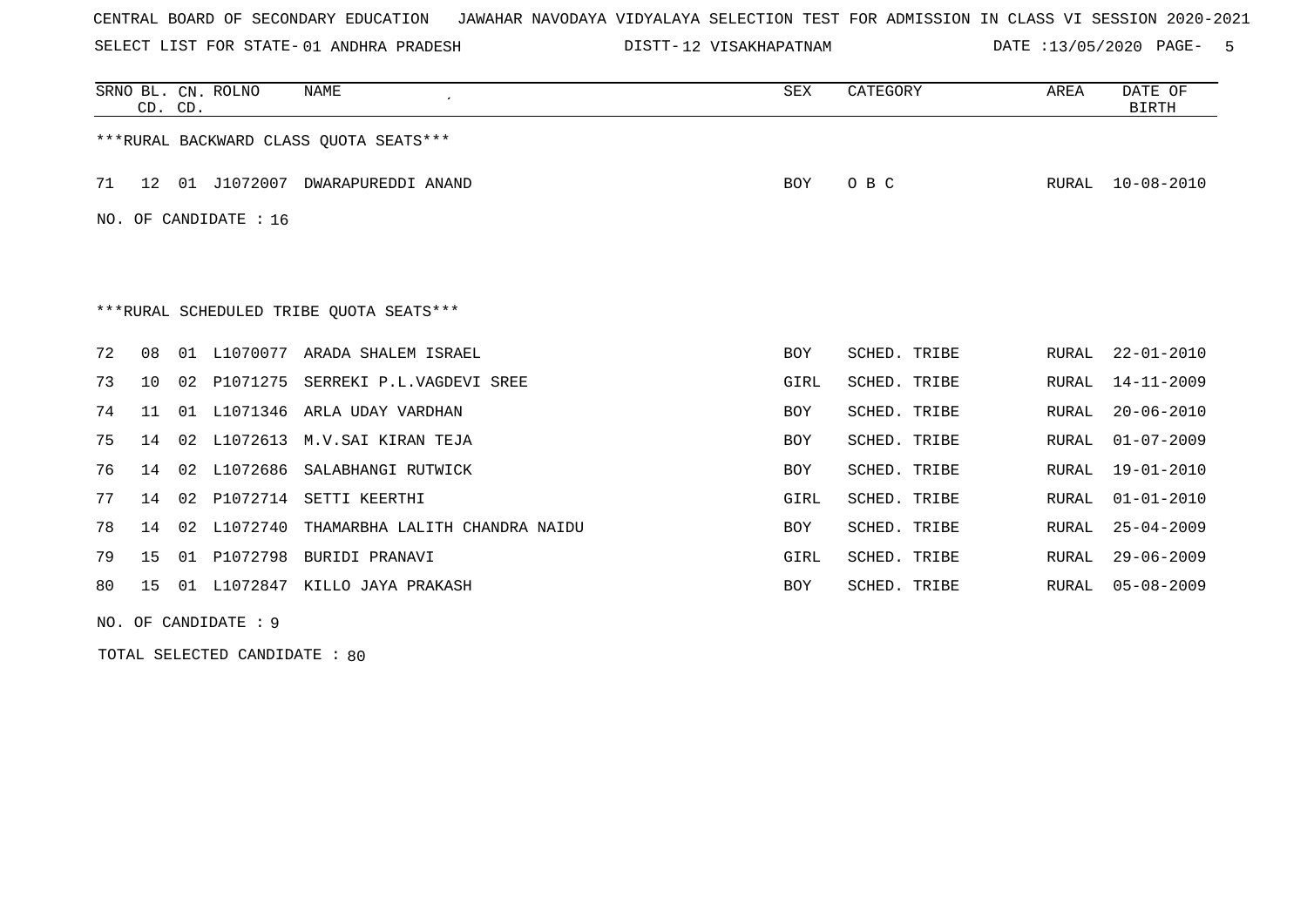SELECT LIST FOR STATE- DISTT- 01 ANDHRA PRADESH

12 VISAKHAPATNAM DATE :13/05/2020 PAGE- 5

|    | CD. CD. |    | SRNO BL. CN. ROLNO      | <b>NAME</b>                             | SEX        | CATEGORY     | <b>AREA</b> | DATE OF<br><b>BIRTH</b> |
|----|---------|----|-------------------------|-----------------------------------------|------------|--------------|-------------|-------------------------|
|    |         |    |                         | ***RURAL BACKWARD CLASS OUOTA SEATS***  |            |              |             |                         |
| 71 | 12      | 01 | J1072007                | DWARAPUREDDI ANAND                      | BOY        | O B C        | RURAL       | $10 - 08 - 2010$        |
|    |         |    | NO. OF CANDIDATE : $16$ |                                         |            |              |             |                         |
|    |         |    |                         |                                         |            |              |             |                         |
|    |         |    |                         | ***RURAL SCHEDULED TRIBE QUOTA SEATS*** |            |              |             |                         |
| 72 | 08      | 01 |                         | L1070077 ARADA SHALEM ISRAEL            | <b>BOY</b> | SCHED. TRIBE | RURAL       | $22 - 01 - 2010$        |
| 73 | 10      | 02 | P1071275                | SERREKI P.L.VAGDEVI SREE                | GIRL       | SCHED. TRIBE | RURAL       | $14 - 11 - 2009$        |
| 74 | 11      | 01 | L1071346                | ARLA UDAY VARDHAN                       | <b>BOY</b> | SCHED. TRIBE | RURAL       | $20 - 06 - 2010$        |
| 75 | 14      | 02 | L1072613                | M.V.SAI KIRAN TEJA                      | <b>BOY</b> | SCHED. TRIBE | RURAL       | $01 - 07 - 2009$        |
| 76 | 14      | 02 | L1072686                | SALABHANGI RUTWICK                      | <b>BOY</b> | SCHED. TRIBE | RURAL       | $19 - 01 - 2010$        |
| 77 | 14      | 02 | P1072714                | SETTI KEERTHI                           | GIRL       | SCHED. TRIBE | RURAL       | $01 - 01 - 2010$        |
| 78 | 14      | 02 | L1072740                | THAMARBHA LALITH CHANDRA NAIDU          | BOY        | SCHED. TRIBE | RURAL       | $25 - 04 - 2009$        |
| 79 | 15      | 01 | P1072798                | BURIDI PRANAVI                          | GIRL       | SCHED. TRIBE | RURAL       | $29 - 06 - 2009$        |
| 80 | 15      | 01 | L1072847                | KILLO JAYA PRAKASH                      | BOY        | SCHED. TRIBE | RURAL       | $05 - 08 - 2009$        |

NO. OF CANDIDATE : 9

TOTAL SELECTED CANDIDATE : 80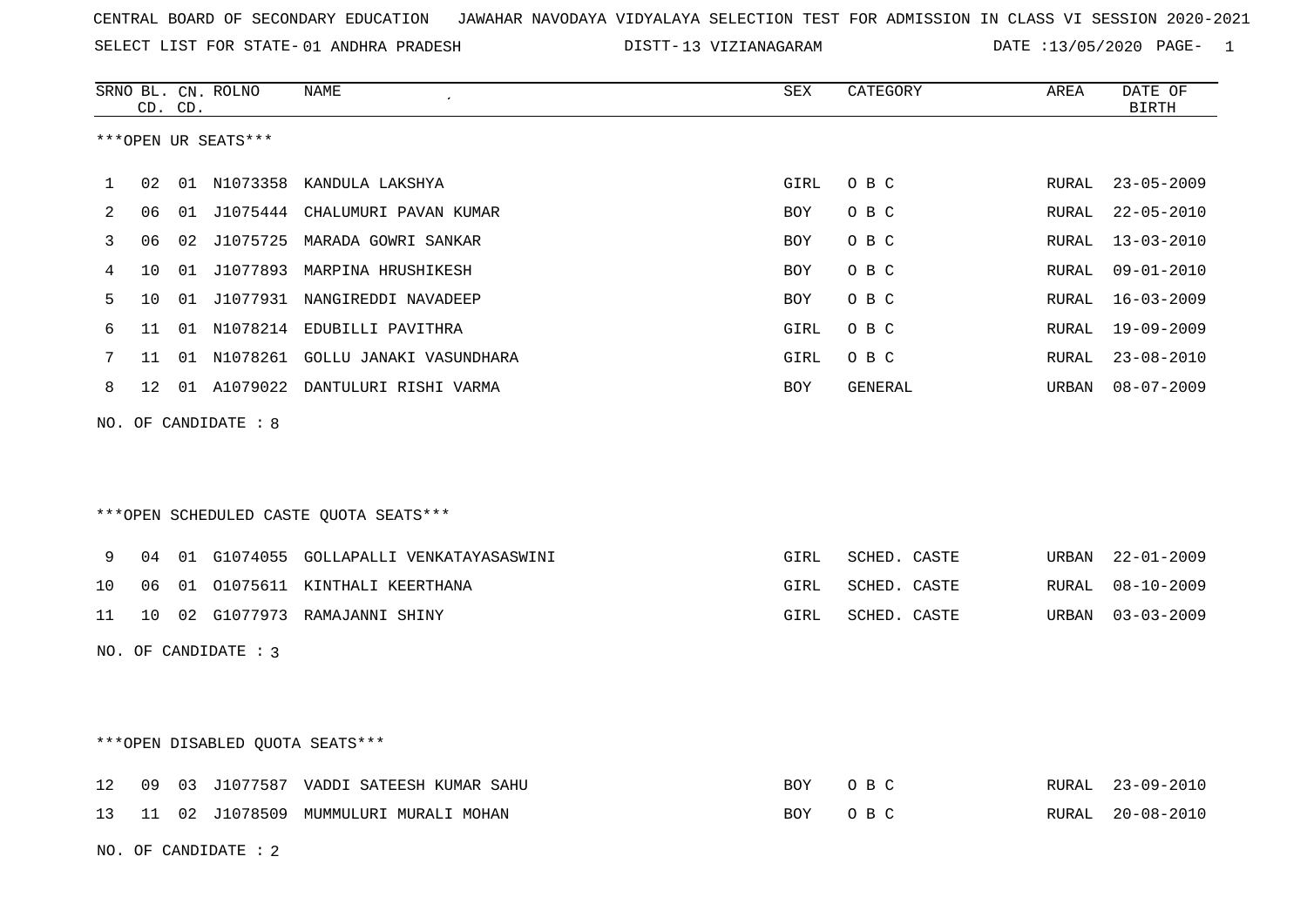SELECT LIST FOR STATE- DISTT- 01 ANDHRA PRADESH

13 VIZIANAGARAM DATE :13/05/2020 PAGE- 1

|    |    | CD. CD. | SRNO BL. CN. ROLNO     | NAME                                    | SEX        | CATEGORY     | AREA  | DATE OF<br>BIRTH |
|----|----|---------|------------------------|-----------------------------------------|------------|--------------|-------|------------------|
|    |    |         | ***OPEN UR SEATS***    |                                         |            |              |       |                  |
| 1  | 02 |         |                        | 01 N1073358 KANDULA LAKSHYA             | GIRL       | O B C        | RURAL | $23 - 05 - 2009$ |
| 2  | 06 |         |                        | 01 J1075444 CHALUMURI PAVAN KUMAR       | BOY        | O B C        | RURAL | $22 - 05 - 2010$ |
| 3  | 06 |         |                        | 02 J1075725 MARADA GOWRI SANKAR         | <b>BOY</b> | O B C        | RURAL | $13 - 03 - 2010$ |
| 4  | 10 |         |                        | 01 J1077893 MARPINA HRUSHIKESH          | <b>BOY</b> | O B C        | RURAL | $09 - 01 - 2010$ |
| 5  | 10 |         |                        | 01 J1077931 NANGIREDDI NAVADEEP         | <b>BOY</b> | O B C        | RURAL | $16 - 03 - 2009$ |
| 6  | 11 |         |                        | 01 N1078214 EDUBILLI PAVITHRA           | GIRL       | O B C        | RURAL | 19-09-2009       |
| 7  | 11 |         |                        | 01 N1078261 GOLLU JANAKI VASUNDHARA     | GIRL       | O B C        | RURAL | $23 - 08 - 2010$ |
| 8  | 12 |         |                        | 01 A1079022 DANTULURI RISHI VARMA       | BOY        | GENERAL      | URBAN | $08 - 07 - 2009$ |
|    |    |         | NO. OF CANDIDATE : 8   | ***OPEN SCHEDULED CASTE QUOTA SEATS***  |            |              |       |                  |
| 9  | 04 |         |                        | 01 G1074055 GOLLAPALLI VENKATAYASASWINI | GIRL       | SCHED. CASTE | URBAN | $22 - 01 - 2009$ |
| 10 | 06 |         |                        | 01 01075611 KINTHALI KEERTHANA          | GIRL       | SCHED. CASTE | RURAL | $08 - 10 - 2009$ |
| 11 | 10 |         |                        | 02 G1077973 RAMAJANNI SHINY             | GIRL       | SCHED. CASTE | URBAN | $03 - 03 - 2009$ |
|    |    |         | NO. OF CANDIDATE : $3$ |                                         |            |              |       |                  |
|    |    |         |                        | ***OPEN DISABLED QUOTA SEATS***         |            |              |       |                  |
| 12 | 09 |         |                        | 03 J1077587 VADDI SATEESH KUMAR SAHU    | BOY        | O B C        | RURAL | $23 - 09 - 2010$ |
| 13 |    |         |                        | 11 02 J1078509 MUMMULURI MURALI MOHAN   | <b>BOY</b> | O B C        | RURAL | $20 - 08 - 2010$ |
|    |    |         | NO. OF CANDIDATE: 2    |                                         |            |              |       |                  |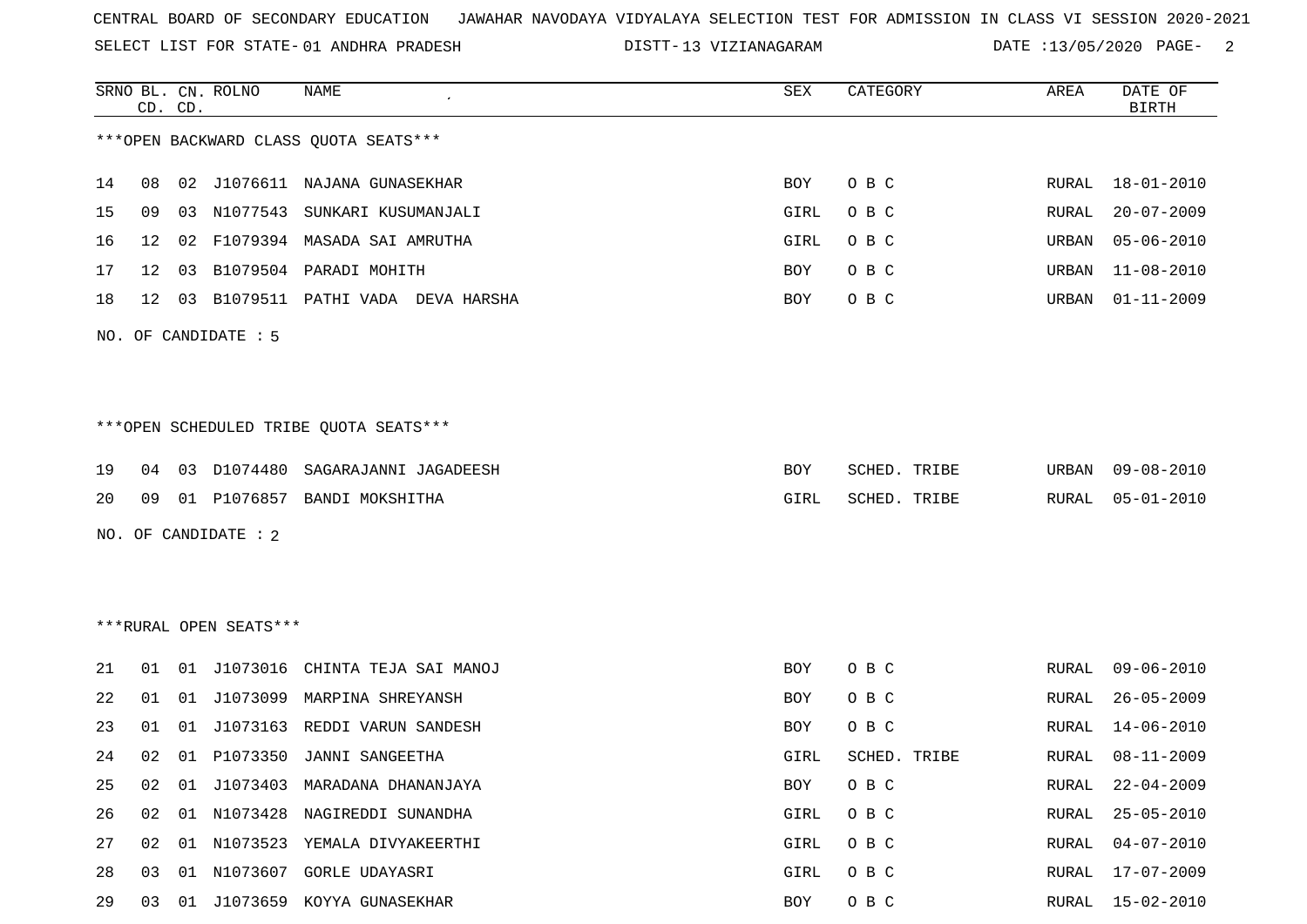SELECT LIST FOR STATE- DISTT- 01 ANDHRA PRADESH

13 VIZIANAGARAM DATE :13/05/2020 PAGE- 2

|    |    | CD. CD. | SRNO BL. CN. ROLNO     | NAME                                   | SEX        | CATEGORY     | AREA  | DATE OF<br><b>BIRTH</b> |
|----|----|---------|------------------------|----------------------------------------|------------|--------------|-------|-------------------------|
|    |    |         |                        | *** OPEN BACKWARD CLASS QUOTA SEATS*** |            |              |       |                         |
| 14 | 08 |         |                        | 02 J1076611 NAJANA GUNASEKHAR          | BOY        | O B C        | RURAL | 18-01-2010              |
| 15 | 09 | 03      | N1077543               | SUNKARI KUSUMANJALI                    | GIRL       | O B C        | RURAL | $20 - 07 - 2009$        |
| 16 | 12 | 02      |                        | F1079394 MASADA SAI AMRUTHA            | GIRL       | O B C        | URBAN | $05 - 06 - 2010$        |
| 17 | 12 | 03      |                        | B1079504 PARADI MOHITH                 | BOY        | O B C        | URBAN | $11 - 08 - 2010$        |
| 18 | 12 | 03      |                        | B1079511 PATHI VADA DEVA HARSHA        | BOY        | O B C        | URBAN | $01 - 11 - 2009$        |
|    |    |         | NO. OF CANDIDATE : 5   |                                        |            |              |       |                         |
|    |    |         |                        | ***OPEN SCHEDULED TRIBE QUOTA SEATS*** |            |              |       |                         |
| 19 | 04 | 03      | D1074480               | SAGARAJANNI JAGADEESH                  | BOY        | SCHED. TRIBE | URBAN | 09-08-2010              |
| 20 | 09 |         |                        | 01 P1076857 BANDI MOKSHITHA            | GIRL       | SCHED. TRIBE | RURAL | $05 - 01 - 2010$        |
|    |    |         | NO. OF CANDIDATE : 2   |                                        |            |              |       |                         |
|    |    |         |                        |                                        |            |              |       |                         |
|    |    |         |                        |                                        |            |              |       |                         |
|    |    |         | ***RURAL OPEN SEATS*** |                                        |            |              |       |                         |
| 21 | 01 | 01      |                        | J1073016 CHINTA TEJA SAI MANOJ         | BOY        | O B C        | RURAL | $09 - 06 - 2010$        |
| 22 | 01 | 01      | J1073099               | MARPINA SHREYANSH                      | BOY        | O B C        | RURAL | $26 - 05 - 2009$        |
| 23 | 01 | 01      | J1073163               | REDDI VARUN SANDESH                    | BOY        | O B C        | RURAL | $14 - 06 - 2010$        |
| 24 | 02 |         | 01 P1073350            | JANNI SANGEETHA                        | GIRL       | SCHED. TRIBE | RURAL | $08 - 11 - 2009$        |
| 25 | 02 | 01      |                        | J1073403 MARADANA DHANANJAYA           | <b>BOY</b> | O B C        | RURAL | $22 - 04 - 2009$        |
| 26 | 02 |         |                        | 01 N1073428 NAGIREDDI SUNANDHA         | GIRL       | O B C        | RURAL | $25 - 05 - 2010$        |
| 27 | 02 |         |                        | 01 N1073523 YEMALA DIVYAKEERTHI        | GIRL       | O B C        | RURAL | $04 - 07 - 2010$        |
| 28 | 03 | 01      | N1073607               | GORLE UDAYASRI                         | GIRL       | O B C        | RURAL | $17 - 07 - 2009$        |
| 29 | 03 |         |                        | 01 J1073659 KOYYA GUNASEKHAR           | BOY        | O B C        | RURAL | $15 - 02 - 2010$        |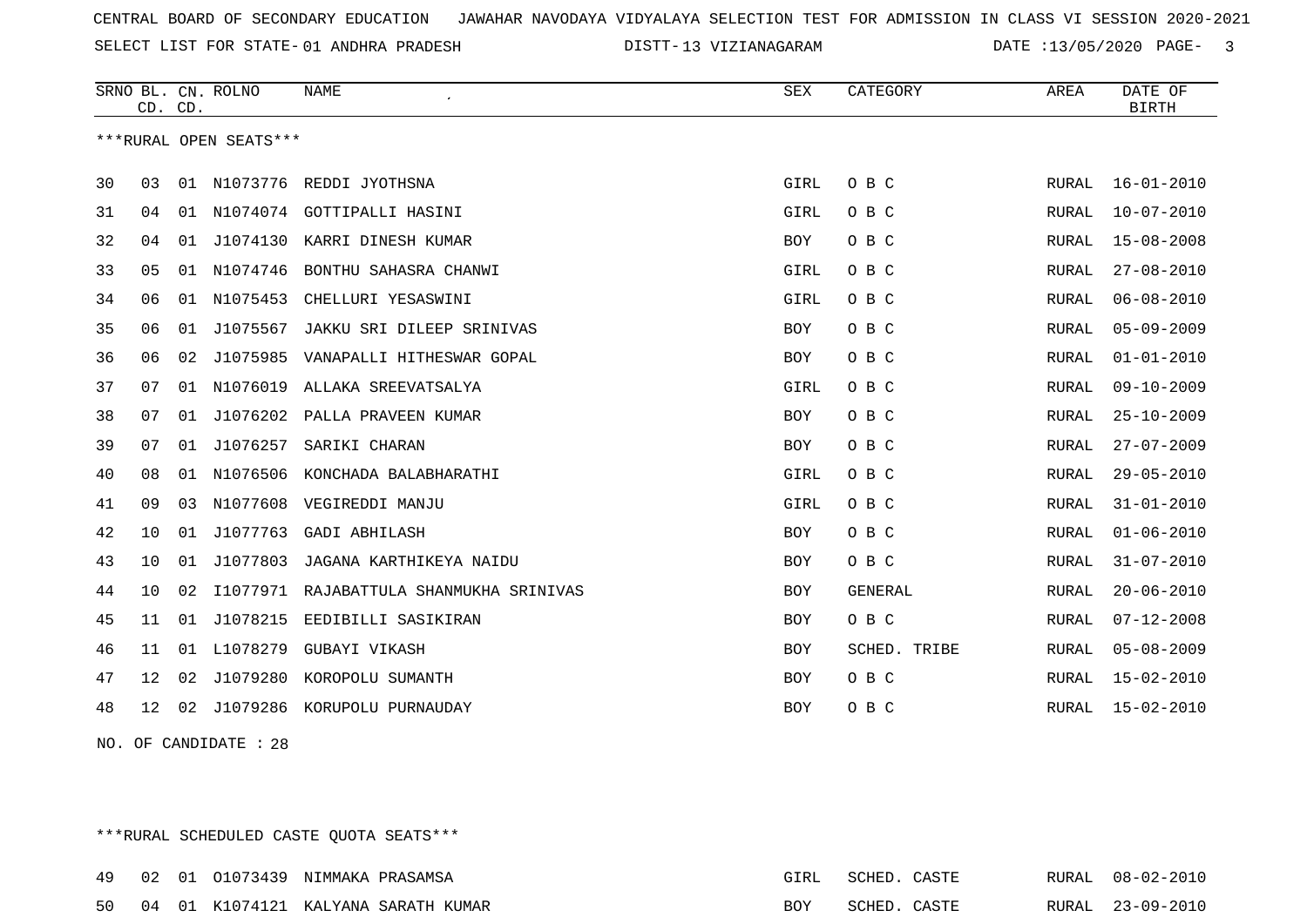SELECT LIST FOR STATE- DISTT- 01 ANDHRA PRADESH

13 VIZIANAGARAM DATE :13/05/2020 PAGE- 3

|    | CD. CD. |    | SRNO BL. CN. ROLNO     | <b>NAME</b>                    | SEX        | CATEGORY     | AREA         | DATE OF<br><b>BIRTH</b> |
|----|---------|----|------------------------|--------------------------------|------------|--------------|--------------|-------------------------|
|    |         |    | ***RURAL OPEN SEATS*** |                                |            |              |              |                         |
| 30 | 03      |    |                        | 01 N1073776 REDDI JYOTHSNA     | GIRL       | O B C        | RURAL        | $16 - 01 - 2010$        |
| 31 | 04      | 01 |                        | N1074074 GOTTIPALLI HASINI     | GIRL       | O B C        | RURAL        | $10 - 07 - 2010$        |
| 32 | 04      | 01 | J1074130               | KARRI DINESH KUMAR             | <b>BOY</b> | O B C        | <b>RURAL</b> | $15 - 08 - 2008$        |
| 33 | 05      | 01 | N1074746               | BONTHU SAHASRA CHANWI          | GIRL       | O B C        | RURAL        | $27 - 08 - 2010$        |
| 34 | 06      | 01 | N1075453               | CHELLURI YESASWINI             | GIRL       | O B C        | <b>RURAL</b> | $06 - 08 - 2010$        |
| 35 | 06      | 01 | J1075567               | JAKKU SRI DILEEP SRINIVAS      | <b>BOY</b> | O B C        | <b>RURAL</b> | $05 - 09 - 2009$        |
| 36 | 06      | 02 | J1075985               | VANAPALLI HITHESWAR GOPAL      | BOY        | O B C        | RURAL        | $01 - 01 - 2010$        |
| 37 | 07      | 01 | N1076019               | ALLAKA SREEVATSALYA            | GIRL       | O B C        | RURAL        | $09 - 10 - 2009$        |
| 38 | 07      | 01 | J1076202               | PALLA PRAVEEN KUMAR            | BOY        | O B C        | RURAL        | $25 - 10 - 2009$        |
| 39 | 07      | 01 | J1076257               | SARIKI CHARAN                  | BOY        | O B C        | RURAL        | $27 - 07 - 2009$        |
| 40 | 08      | 01 | N1076506               | KONCHADA BALABHARATHI          | GIRL       | O B C        | RURAL        | $29 - 05 - 2010$        |
| 41 | 09      | 03 | N1077608               | VEGIREDDI MANJU                | GIRL       | O B C        | RURAL        | $31 - 01 - 2010$        |
| 42 | 10      | 01 | J1077763               | <b>GADI ABHILASH</b>           | <b>BOY</b> | O B C        | RURAL        | $01 - 06 - 2010$        |
| 43 | 10      | 01 | J1077803               | JAGANA KARTHIKEYA NAIDU        | BOY        | O B C        | <b>RURAL</b> | $31 - 07 - 2010$        |
| 44 | 10      | 02 | I1077971               | RAJABATTULA SHANMUKHA SRINIVAS | BOY        | GENERAL      | <b>RURAL</b> | $20 - 06 - 2010$        |
| 45 | 11      | 01 | J1078215               | EEDIBILLI SASIKIRAN            | <b>BOY</b> | O B C        | <b>RURAL</b> | $07 - 12 - 2008$        |
| 46 | 11      | 01 | L1078279               | GUBAYI VIKASH                  | <b>BOY</b> | SCHED. TRIBE | RURAL        | $05 - 08 - 2009$        |
| 47 | 12      | 02 | J1079280               | KOROPOLU SUMANTH               | BOY        | O B C        | RURAL        | $15 - 02 - 2010$        |
| 48 | 12      | 02 | J1079286               | KORUPOLU PURNAUDAY             | <b>BOY</b> | O B C        | RURAL        | $15 - 02 - 2010$        |

NO. OF CANDIDATE : 28

\*\*\*RURAL SCHEDULED CASTE QUOTA SEATS\*\*\*

|  | 49 02 01 01073439 NIMMAKA PRASAMSA |                                        | FTRI | SCHED        | U Z C⊥L   | RURAL 08-02-2010 |
|--|------------------------------------|----------------------------------------|------|--------------|-----------|------------------|
|  |                                    | 50 04 01 K1074121 KALYANA SARATH KUMAR | BOY  | <b>COUTD</b> | C A C T F | RURAL 23-09-2010 |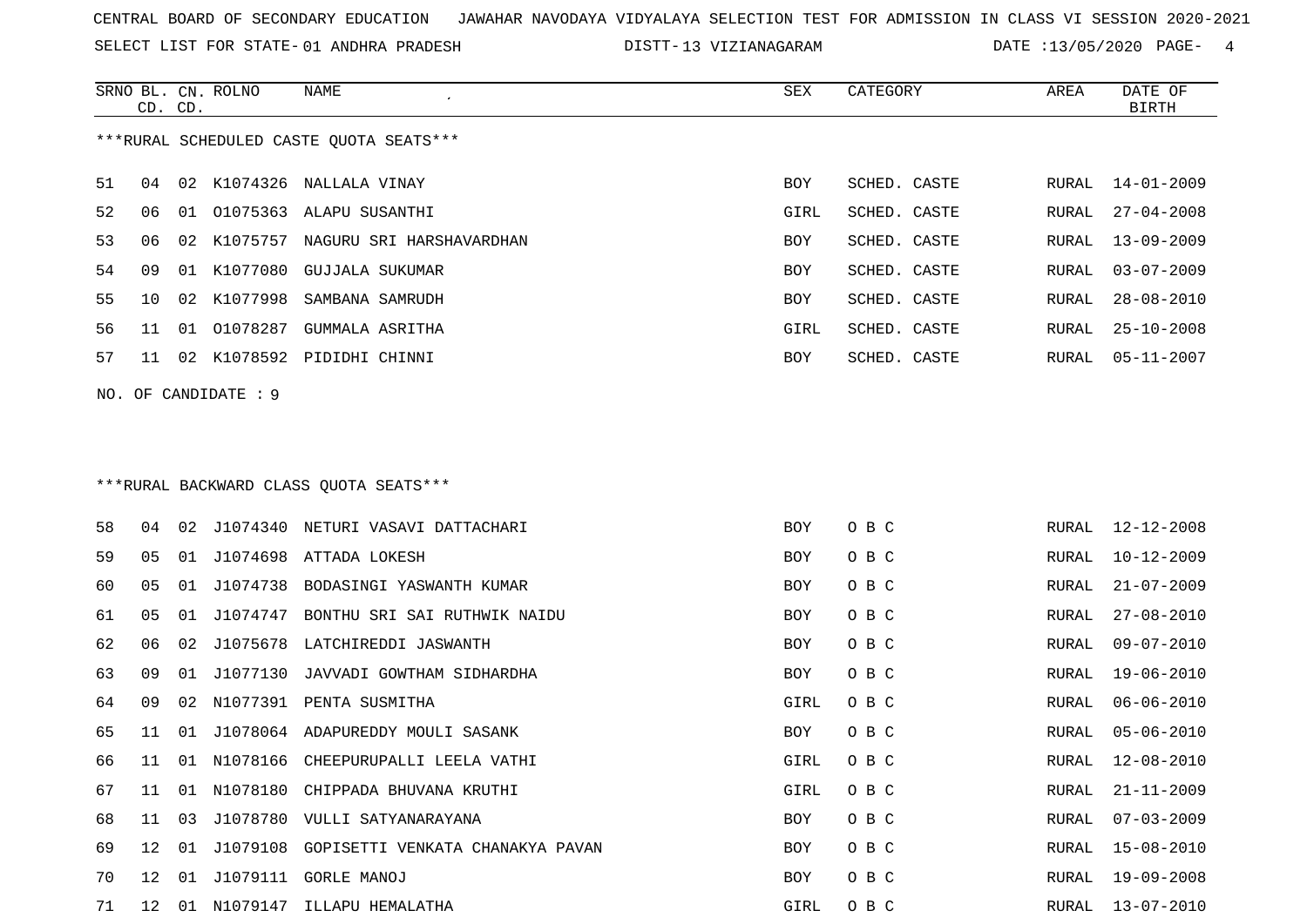SELECT LIST FOR STATE- DISTT- 01 ANDHRA PRADESH

13 VIZIANAGARAM DATE :13/05/2020 PAGE- 4

|    | CD. CD. |    | SRNO BL. CN. ROLNO   | NAME                                      | SEX        | CATEGORY     | AREA  | DATE OF<br><b>BIRTH</b> |
|----|---------|----|----------------------|-------------------------------------------|------------|--------------|-------|-------------------------|
|    |         |    |                      | ***RURAL SCHEDULED CASTE QUOTA SEATS***   |            |              |       |                         |
| 51 | 04      |    |                      | 02 K1074326 NALLALA VINAY                 | BOY        | SCHED. CASTE | RURAL | $14 - 01 - 2009$        |
| 52 | 06      |    |                      | 01 01075363 ALAPU SUSANTHI                | GIRL       | SCHED. CASTE | RURAL | $27 - 04 - 2008$        |
| 53 | 06      | 02 | K1075757             | NAGURU SRI HARSHAVARDHAN                  | BOY        | SCHED. CASTE | RURAL | $13 - 09 - 2009$        |
| 54 | 09      | 01 | K1077080             | GUJJALA SUKUMAR                           | BOY        | SCHED. CASTE | RURAL | $03 - 07 - 2009$        |
| 55 | 10      | 02 | K1077998             | SAMBANA SAMRUDH                           | BOY        | SCHED. CASTE | RURAL | $28 - 08 - 2010$        |
| 56 | 11      | 01 | 01078287             | GUMMALA ASRITHA                           | GIRL       | SCHED. CASTE | RURAL | $25 - 10 - 2008$        |
| 57 | 11      |    |                      | 02 K1078592 PIDIDHI CHINNI                | BOY        | SCHED. CASTE | RURAL | $05 - 11 - 2007$        |
|    |         |    | NO. OF CANDIDATE : 9 |                                           |            |              |       |                         |
|    |         |    |                      |                                           |            |              |       |                         |
|    |         |    |                      |                                           |            |              |       |                         |
|    |         |    |                      | ***RURAL BACKWARD CLASS QUOTA SEATS***    |            |              |       |                         |
| 58 | 04      | 02 |                      | J1074340 NETURI VASAVI DATTACHARI         | <b>BOY</b> | O B C        | RURAL | $12 - 12 - 2008$        |
| 59 | 05      | 01 | J1074698             | ATTADA LOKESH                             | BOY        | O B C        | RURAL | $10 - 12 - 2009$        |
| 60 | 05      | 01 | J1074738             | BODASINGI YASWANTH KUMAR                  | BOY        | O B C        | RURAL | $21 - 07 - 2009$        |
| 61 | 05      | 01 | J1074747             | BONTHU SRI SAI RUTHWIK NAIDU              | BOY        | O B C        | RURAL | $27 - 08 - 2010$        |
| 62 | 06      | 02 | J1075678             | LATCHIREDDI JASWANTH                      | BOY        | O B C        | RURAL | $09 - 07 - 2010$        |
| 63 | 09      | 01 | J1077130             | JAVVADI GOWTHAM SIDHARDHA                 | BOY        | O B C        | RURAL | $19 - 06 - 2010$        |
| 64 | 09      | 02 | N1077391             | PENTA SUSMITHA                            | GIRL       | O B C        | RURAL | $06 - 06 - 2010$        |
| 65 | 11      | 01 |                      | J1078064 ADAPUREDDY MOULI SASANK          | BOY        | O B C        | RURAL | $05 - 06 - 2010$        |
| 66 | 11      |    |                      | 01 N1078166 CHEEPURUPALLI LEELA VATHI     | GIRL       | O B C        | RURAL | $12 - 08 - 2010$        |
| 67 | 11      |    |                      | 01 N1078180 CHIPPADA BHUVANA KRUTHI       | GIRL       | овс          | RURAL | $21 - 11 - 2009$        |
| 68 | 11      | 03 |                      | J1078780 VULLI SATYANARAYANA              | BOY        | O B C        | RURAL | $07 - 03 - 2009$        |
| 69 | 12      | 01 |                      | J1079108 GOPISETTI VENKATA CHANAKYA PAVAN | BOY        | O B C        | RURAL | $15 - 08 - 2010$        |
| 70 | 12      |    |                      | 01 J1079111 GORLE MANOJ                   | BOY        | O B C        | RURAL | $19 - 09 - 2008$        |
| 71 |         |    |                      | 12 01 N1079147 ILLAPU HEMALATHA           | GIRL       | O B C        |       | RURAL 13-07-2010        |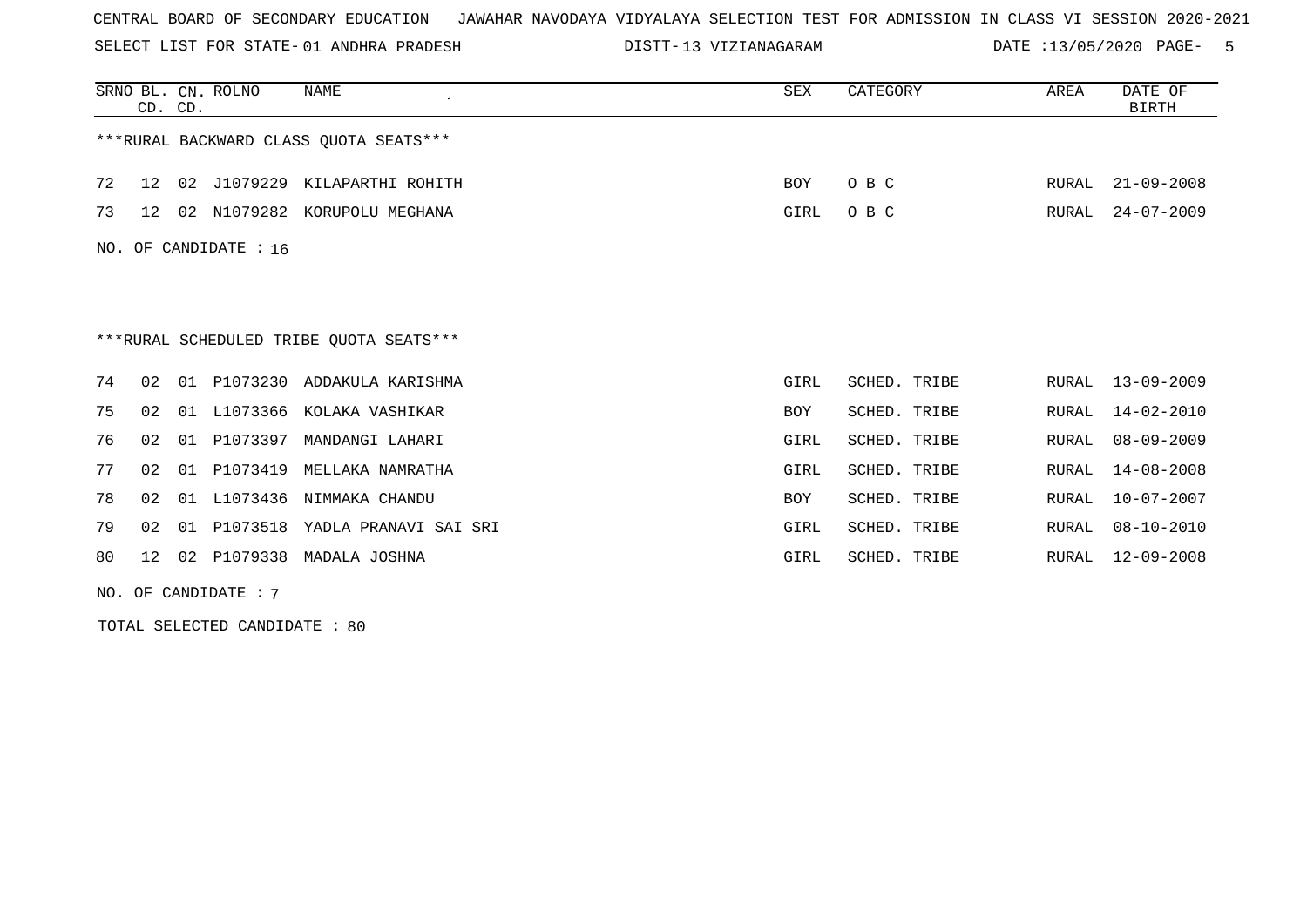SELECT LIST FOR STATE- DISTT- 01 ANDHRA PRADESH

13 VIZIANAGARAM DATE :13/05/2020 PAGE- 5

|    | CD. CD.         |    | SRNO BL. CN. ROLNO      | <b>NAME</b>                             | <b>SEX</b> | CATEGORY     | AREA  | DATE OF<br><b>BIRTH</b> |
|----|-----------------|----|-------------------------|-----------------------------------------|------------|--------------|-------|-------------------------|
|    |                 |    |                         | ***RURAL BACKWARD CLASS QUOTA SEATS***  |            |              |       |                         |
| 72 | 12 <sup>°</sup> | 02 |                         | J1079229 KILAPARTHI ROHITH              | BOY        | O B C        | RURAL | $21 - 09 - 2008$        |
| 73 | 12 <sub>1</sub> | 02 | N1079282                | KORUPOLU MEGHANA                        | GIRL       | O B C        | RURAL | $24 - 07 - 2009$        |
|    |                 |    | NO. OF CANDIDATE : $16$ |                                         |            |              |       |                         |
|    |                 |    |                         |                                         |            |              |       |                         |
|    |                 |    |                         |                                         |            |              |       |                         |
|    |                 |    |                         | ***RURAL SCHEDULED TRIBE QUOTA SEATS*** |            |              |       |                         |
| 74 | 02              | 01 | P1073230                | ADDAKULA KARISHMA                       | GIRL       | SCHED. TRIBE | RURAL | 13-09-2009              |
| 75 | 02 <sub>o</sub> | 01 | L1073366                | KOLAKA VASHIKAR                         | <b>BOY</b> | SCHED. TRIBE | RURAL | $14 - 02 - 2010$        |
| 76 | 02              | 01 | P1073397                | MANDANGI LAHARI                         | GIRL       | SCHED. TRIBE | RURAL | $08 - 09 - 2009$        |
| 77 | 02              | 01 | P1073419                | MELLAKA NAMRATHA                        | GIRL       | SCHED. TRIBE | RURAL | $14 - 08 - 2008$        |
| 78 | 02              | 01 | L1073436                | NIMMAKA CHANDU                          | <b>BOY</b> | SCHED. TRIBE | RURAL | $10 - 07 - 2007$        |
| 79 | 02              | 01 | P1073518                | YADLA PRANAVI SAI SRI                   | GIRL       | SCHED. TRIBE | RURAL | $08 - 10 - 2010$        |
| 80 | 12              | 02 |                         | P1079338 MADALA JOSHNA                  | GIRL       | SCHED. TRIBE | RURAL | 12-09-2008              |

NO. OF CANDIDATE : 7

TOTAL SELECTED CANDIDATE : 80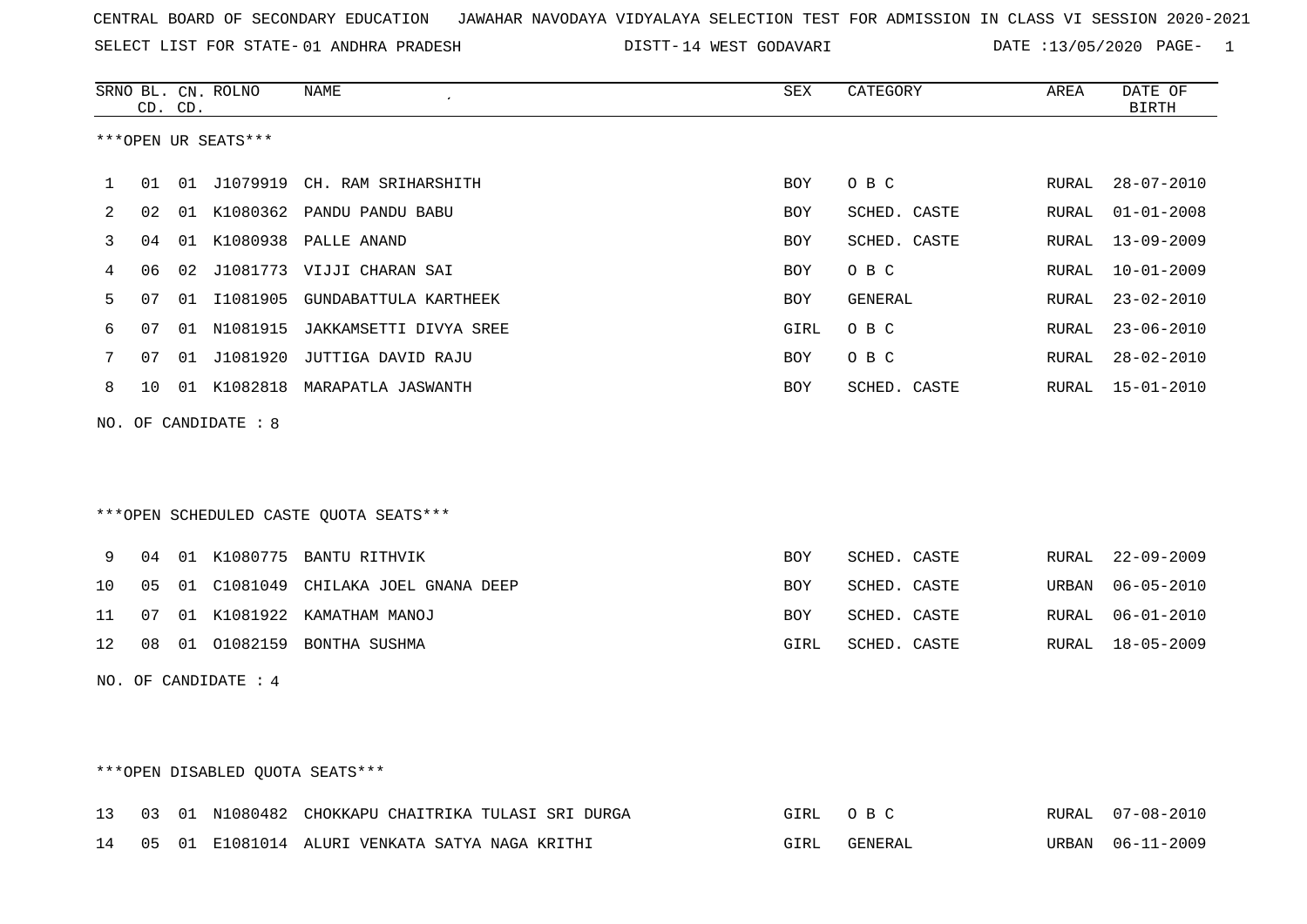SELECT LIST FOR STATE- DISTT- 01 ANDHRA PRADESH

14 WEST GODAVARI DATE :13/05/2020 PAGE- 1

|              |    | CD. CD. | SRNO BL. CN. ROLNO   | <b>NAME</b>                             | ${\tt SEX}$ | CATEGORY     | AREA  | DATE OF<br><b>BIRTH</b> |
|--------------|----|---------|----------------------|-----------------------------------------|-------------|--------------|-------|-------------------------|
|              |    |         | ***OPEN UR SEATS***  |                                         |             |              |       |                         |
| $\mathbf{1}$ | 01 |         |                      | 01 J1079919 CH. RAM SRIHARSHITH         | <b>BOY</b>  | O B C        | RURAL | $28 - 07 - 2010$        |
| 2            | 02 |         |                      | 01 K1080362 PANDU PANDU BABU            | BOY         | SCHED. CASTE | RURAL | $01 - 01 - 2008$        |
| 3            | 04 |         |                      | 01 K1080938 PALLE ANAND                 | BOY         | SCHED. CASTE | RURAL | $13 - 09 - 2009$        |
| 4            | 06 |         |                      | 02 J1081773 VIJJI CHARAN SAI            | BOY         | O B C        | RURAL | $10 - 01 - 2009$        |
| 5            | 07 |         |                      | 01 I1081905 GUNDABATTULA KARTHEEK       | BOY         | GENERAL      | RURAL | $23 - 02 - 2010$        |
| 6            | 07 |         |                      | 01 N1081915 JAKKAMSETTI DIVYA SREE      | GIRL        | O B C        | RURAL | $23 - 06 - 2010$        |
| 7            | 07 |         |                      | 01 J1081920 JUTTIGA DAVID RAJU          | <b>BOY</b>  | O B C        | RURAL | $28 - 02 - 2010$        |
| 8            | 10 |         |                      | 01 K1082818 MARAPATLA JASWANTH          | BOY         | SCHED. CASTE |       | RURAL 15-01-2010        |
|              |    |         | NO. OF CANDIDATE : 8 |                                         |             |              |       |                         |
|              |    |         |                      |                                         |             |              |       |                         |
|              |    |         |                      |                                         |             |              |       |                         |
|              |    |         |                      | *** OPEN SCHEDULED CASTE QUOTA SEATS*** |             |              |       |                         |
| 9            | 04 |         |                      | 01 K1080775 BANTU RITHVIK               | <b>BOY</b>  | SCHED. CASTE | RURAL | $22 - 09 - 2009$        |
| 10           | 05 |         |                      | 01 C1081049 CHILAKA JOEL GNANA DEEP     | BOY         | SCHED. CASTE | URBAN | $06 - 05 - 2010$        |
| 11           | 07 |         |                      | 01 K1081922 KAMATHAM MANOJ              | BOY         | SCHED. CASTE | RURAL | $06 - 01 - 2010$        |
| 12           |    |         |                      | 08 01 01082159 BONTHA SUSHMA            | GIRL        | SCHED. CASTE | RURAL | $18 - 05 - 2009$        |
|              |    |         | NO. OF CANDIDATE : 4 |                                         |             |              |       |                         |
|              |    |         |                      |                                         |             |              |       |                         |
|              |    |         |                      |                                         |             |              |       |                         |
|              |    |         |                      |                                         |             |              |       |                         |

# \*\*\*OPEN DISABLED QUOTA SEATS\*\*\*

|  |  | 13 03 01 N1080482 CHOKKAPU CHAITRIKA TULASI SRI DURGA | GIRL OBC | RURAL 07-08-2010 |
|--|--|-------------------------------------------------------|----------|------------------|
|  |  | 14 05 01 E1081014 ALURI VENKATA SATYA NAGA KRITHI     | GENERAL  | URBAN 06-11-2009 |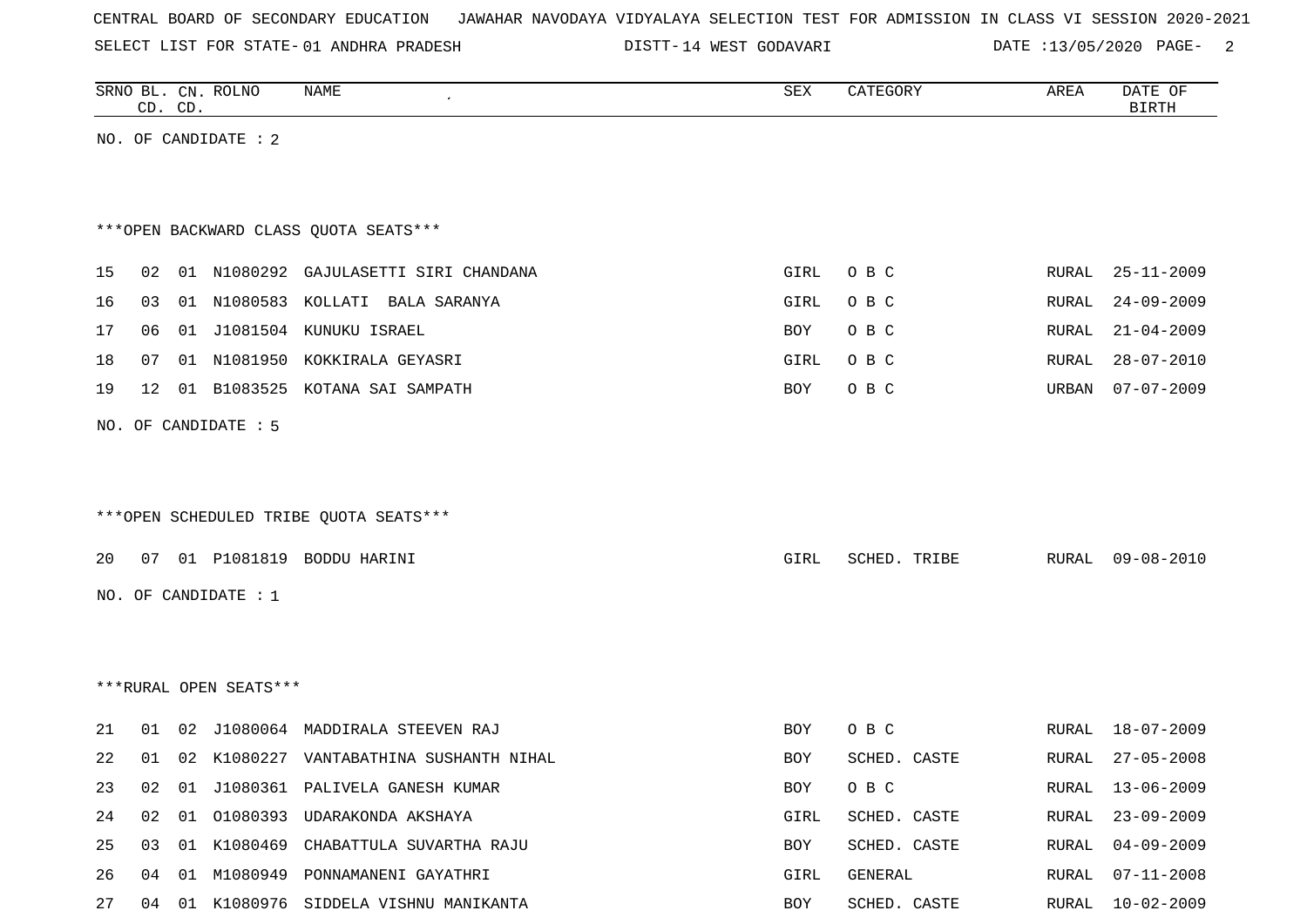SELECT LIST FOR STATE- DISTT- 01 ANDHRA PRADESH

14 WEST GODAVARI DATE :13/05/2020 PAGE- 2

|    |    | CD. CD. | SRNO BL. CN. ROLNO     | NAME                                     | SEX  | CATEGORY     | AREA  | DATE OF<br><b>BIRTH</b> |
|----|----|---------|------------------------|------------------------------------------|------|--------------|-------|-------------------------|
|    |    |         | NO. OF CANDIDATE : 2   |                                          |      |              |       |                         |
|    |    |         |                        |                                          |      |              |       |                         |
|    |    |         |                        |                                          |      |              |       |                         |
|    |    |         |                        | *** OPEN BACKWARD CLASS QUOTA SEATS***   |      |              |       |                         |
| 15 |    |         |                        | 02 01 N1080292 GAJULASETTI SIRI CHANDANA | GIRL | O B C        | RURAL | $25 - 11 - 2009$        |
| 16 | 03 |         |                        | 01 N1080583 KOLLATI BALA SARANYA         | GIRL | O B C        | RURAL | $24 - 09 - 2009$        |
| 17 | 06 |         |                        | 01 J1081504 KUNUKU ISRAEL                | BOY  | O B C        | RURAL | $21 - 04 - 2009$        |
| 18 | 07 |         |                        | 01 N1081950 KOKKIRALA GEYASRI            | GIRL | O B C        | RURAL | $28 - 07 - 2010$        |
| 19 |    |         |                        | 12 01 B1083525 KOTANA SAI SAMPATH        | BOY  | O B C        | URBAN | $07 - 07 - 2009$        |
|    |    |         | NO. OF CANDIDATE : 5   |                                          |      |              |       |                         |
|    |    |         |                        |                                          |      |              |       |                         |
|    |    |         |                        |                                          |      |              |       |                         |
|    |    |         |                        | ***OPEN SCHEDULED TRIBE QUOTA SEATS***   |      |              |       |                         |
| 20 |    |         |                        | 07 01 P1081819 BODDU HARINI              |      | SCHED. TRIBE | RURAL | $09 - 08 - 2010$        |
|    |    |         |                        |                                          | GIRL |              |       |                         |
|    |    |         | NO. OF CANDIDATE : 1   |                                          |      |              |       |                         |
|    |    |         |                        |                                          |      |              |       |                         |
|    |    |         |                        |                                          |      |              |       |                         |
|    |    |         | ***RURAL OPEN SEATS*** |                                          |      |              |       |                         |
| 21 | 01 |         |                        | 02 J1080064 MADDIRALA STEEVEN RAJ        | BOY  | O B C        | RURAL | $18 - 07 - 2009$        |
| 22 | 01 | 02      |                        | K1080227 VANTABATHINA SUSHANTH NIHAL     | BOY  | SCHED. CASTE | RURAL | $27 - 05 - 2008$        |
| 23 |    |         |                        | 02 01 J1080361 PALIVELA GANESH KUMAR     | BOY  | O B C        |       | RURAL 13-06-2009        |
| 24 |    |         |                        | 02 01 01080393 UDARAKONDA AKSHAYA        | GIRL | SCHED. CASTE | RURAL | 23-09-2009              |
| 25 |    |         |                        | 03 01 K1080469 CHABATTULA SUVARTHA RAJU  | BOY  | SCHED. CASTE | RURAL | $04 - 09 - 2009$        |
| 26 |    |         |                        | 04 01 M1080949 PONNAMANENI GAYATHRI      | GIRL | GENERAL      | RURAL | 07-11-2008              |
| 27 |    |         |                        | 04 01 K1080976 SIDDELA VISHNU MANIKANTA  | BOY  | SCHED. CASTE |       | RURAL 10-02-2009        |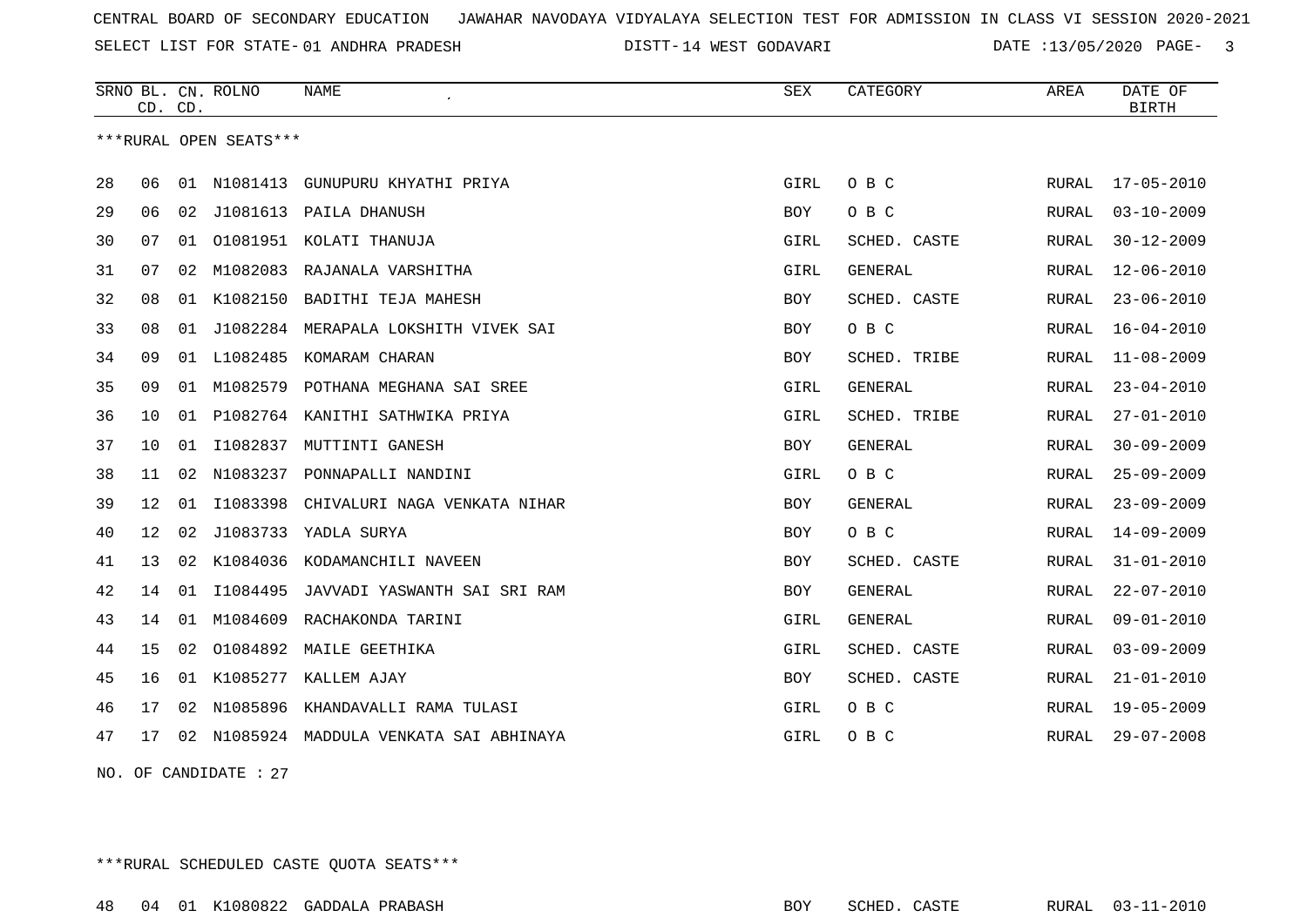SELECT LIST FOR STATE- DISTT- 01 ANDHRA PRADESH

DISTT-14 WEST GODAVARI DATE :13/05/2020 PAGE- 3

|    | CD. CD. |    | SRNO BL. CN. ROLNO     | <b>NAME</b>                             | <b>SEX</b> | CATEGORY       | AREA  | DATE OF<br><b>BIRTH</b> |
|----|---------|----|------------------------|-----------------------------------------|------------|----------------|-------|-------------------------|
|    |         |    | ***RURAL OPEN SEATS*** |                                         |            |                |       |                         |
| 28 | 06      |    |                        | 01 N1081413 GUNUPURU KHYATHI PRIYA      | GIRL       | O B C          | RURAL | $17 - 05 - 2010$        |
| 29 | 06      | 02 | J1081613               | PAILA DHANUSH                           | BOY        | O B C          | RURAL | $03 - 10 - 2009$        |
| 30 | 07      | 01 |                        | 01081951 KOLATI THANUJA                 | GIRL       | SCHED. CASTE   | RURAL | $30 - 12 - 2009$        |
| 31 | 07      | 02 |                        | M1082083 RAJANALA VARSHITHA             | GIRL       | GENERAL        | RURAL | $12 - 06 - 2010$        |
| 32 | 08      | 01 | K1082150               | BADITHI TEJA MAHESH                     | BOY        | SCHED. CASTE   | RURAL | $23 - 06 - 2010$        |
| 33 | 08      |    |                        | 01 J1082284 MERAPALA LOKSHITH VIVEK SAI | <b>BOY</b> | O B C          | RURAL | $16 - 04 - 2010$        |
| 34 | 09      |    | 01 L1082485            | KOMARAM CHARAN                          | <b>BOY</b> | SCHED. TRIBE   | RURAL | $11 - 08 - 2009$        |
| 35 | 09      | 01 |                        | M1082579 POTHANA MEGHANA SAI SREE       | GIRL       | GENERAL        | RURAL | $23 - 04 - 2010$        |
| 36 | 10      | 01 |                        | P1082764 KANITHI SATHWIKA PRIYA         | GIRL       | SCHED. TRIBE   | RURAL | $27 - 01 - 2010$        |
| 37 | 10      | 01 | I1082837               | MUTTINTI GANESH                         | BOY        | GENERAL        | RURAL | $30 - 09 - 2009$        |
| 38 | 11      | 02 | N1083237               | PONNAPALLI NANDINI                      | GIRL       | O B C          | RURAL | $25 - 09 - 2009$        |
| 39 | 12      | 01 | I1083398               | CHIVALURI NAGA VENKATA NIHAR            | BOY        | <b>GENERAL</b> | RURAL | $23 - 09 - 2009$        |
| 40 | 12      | 02 | J1083733               | YADLA SURYA                             | <b>BOY</b> | O B C          | RURAL | $14 - 09 - 2009$        |
| 41 | 13      | 02 | K1084036               | KODAMANCHILI NAVEEN                     | <b>BOY</b> | SCHED. CASTE   | RURAL | $31 - 01 - 2010$        |
| 42 | 14      | 01 | I1084495               | JAVVADI YASWANTH SAI SRI RAM            | BOY        | GENERAL        | RURAL | $22 - 07 - 2010$        |
| 43 | 14      | 01 | M1084609               | RACHAKONDA TARINI                       | GIRL       | GENERAL        | RURAL | $09 - 01 - 2010$        |
| 44 | 15      | 02 |                        | 01084892 MAILE GEETHIKA                 | GIRL       | SCHED. CASTE   | RURAL | $03 - 09 - 2009$        |
| 45 | 16      |    |                        | 01 K1085277 KALLEM AJAY                 | <b>BOY</b> | SCHED. CASTE   | RURAL | $21 - 01 - 2010$        |
| 46 | 17      | 02 | N1085896               | KHANDAVALLI RAMA TULASI                 | GIRL       | O B C          | RURAL | $19 - 05 - 2009$        |
| 47 | 17      | 02 |                        | N1085924 MADDULA VENKATA SAI ABHINAYA   | GIRL       | O B C          | RURAL | $29 - 07 - 2008$        |
|    |         |    |                        |                                         |            |                |       |                         |

NO. OF CANDIDATE : 27

\*\*\*RURAL SCHEDULED CASTE QUOTA SEATS\*\*\*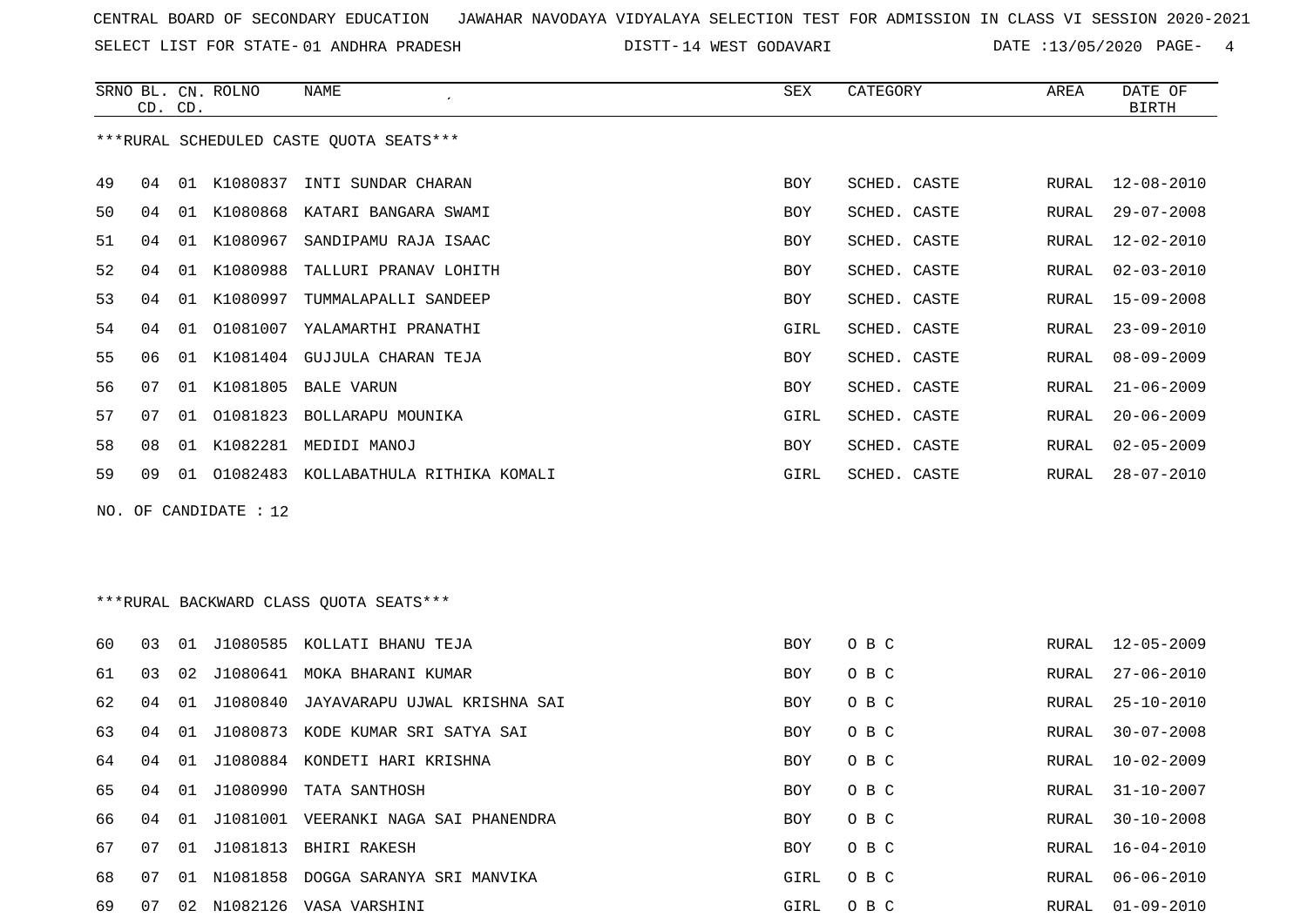SELECT LIST FOR STATE- DISTT- 01 ANDHRA PRADESH

DISTT-14 WEST GODAVARI DATE :13/05/2020 PAGE- 4

 $\overline{\phantom{a}}$ 

|    | CD. CD. |    | SRNO BL. CN. ROLNO    | NAME                                    | SEX        | CATEGORY     | AREA  | DATE OF<br><b>BIRTH</b> |
|----|---------|----|-----------------------|-----------------------------------------|------------|--------------|-------|-------------------------|
|    |         |    |                       | ***RURAL SCHEDULED CASTE QUOTA SEATS*** |            |              |       |                         |
| 49 | 04      |    |                       | 01 K1080837 INTI SUNDAR CHARAN          | BOY        | SCHED. CASTE | RURAL | $12 - 08 - 2010$        |
| 50 | 04      |    |                       | 01 K1080868 KATARI BANGARA SWAMI        | BOY        | SCHED. CASTE | RURAL | $29 - 07 - 2008$        |
| 51 | 04      | 01 | K1080967              | SANDIPAMU RAJA ISAAC                    | BOY        | SCHED. CASTE | RURAL | $12 - 02 - 2010$        |
| 52 | 04      | 01 | K1080988              | TALLURI PRANAV LOHITH                   | BOY        | SCHED. CASTE | RURAL | $02 - 03 - 2010$        |
| 53 | 04      | 01 | K1080997              | TUMMALAPALLI SANDEEP                    | BOY        | SCHED. CASTE | RURAL | $15 - 09 - 2008$        |
| 54 | 04      | 01 | 01081007              | YALAMARTHI PRANATHI                     | GIRL       | SCHED. CASTE | RURAL | $23 - 09 - 2010$        |
| 55 | 06      | 01 |                       | K1081404 GUJJULA CHARAN TEJA            | BOY        | SCHED. CASTE | RURAL | $08 - 09 - 2009$        |
| 56 | 07      | 01 | K1081805              | BALE VARUN                              | BOY        | SCHED. CASTE | RURAL | $21 - 06 - 2009$        |
| 57 | 07      | 01 | 01081823              | BOLLARAPU MOUNIKA                       | GIRL       | SCHED. CASTE | RURAL | $20 - 06 - 2009$        |
| 58 | 08      |    |                       | 01 K1082281 MEDIDI MANOJ                | BOY        | SCHED. CASTE | RURAL | $02 - 05 - 2009$        |
| 59 | 09      |    |                       | 01 01082483 KOLLABATHULA RITHIKA KOMALI | GIRL       | SCHED. CASTE | RURAL | $28 - 07 - 2010$        |
|    |         |    | NO. OF CANDIDATE : 12 |                                         |            |              |       |                         |
|    |         |    |                       |                                         |            |              |       |                         |
|    |         |    |                       | *** RURAL BACKWARD CLASS QUOTA SEATS*** |            |              |       |                         |
| 60 | 03      |    |                       | 01 J1080585 KOLLATI BHANU TEJA          | <b>BOY</b> | O B C        | RURAL | $12 - 05 - 2009$        |
| 61 | 03      | 02 |                       | J1080641 MOKA BHARANI KUMAR             | BOY        | O B C        | RURAL | $27 - 06 - 2010$        |
| 62 | 04      | 01 | J1080840              | JAYAVARAPU UJWAL KRISHNA SAI            | BOY        | O B C        | RURAL | $25 - 10 - 2010$        |
| 63 | 04      | 01 |                       | J1080873 KODE KUMAR SRI SATYA SAI       | BOY        | O B C        | RURAL | $30 - 07 - 2008$        |
| 64 | 04      |    |                       | 01 J1080884 KONDETI HARI KRISHNA        | BOY        | O B C        | RURAL | $10 - 02 - 2009$        |
| 65 | 04      |    |                       | 01 J1080990 TATA SANTHOSH               | BOY        | O B C        | RURAL | $31 - 10 - 2007$        |
| 66 | 04      |    |                       | 01 J1081001 VEERANKI NAGA SAI PHANENDRA | BOY        | O B C        | RURAL | $30 - 10 - 2008$        |
| 67 | 07      |    |                       | 01 J1081813 BHIRI RAKESH                | BOY        | O B C        | RURAL | $16 - 04 - 2010$        |
| 68 | 07      |    |                       | 01 N1081858 DOGGA SARANYA SRI MANVIKA   | GIRL       | O B C        | RURAL | $06 - 06 - 2010$        |
| 69 |         |    |                       | 07 02 N1082126 VASA VARSHINI            | GIRL       | O B C        |       | RURAL 01-09-2010        |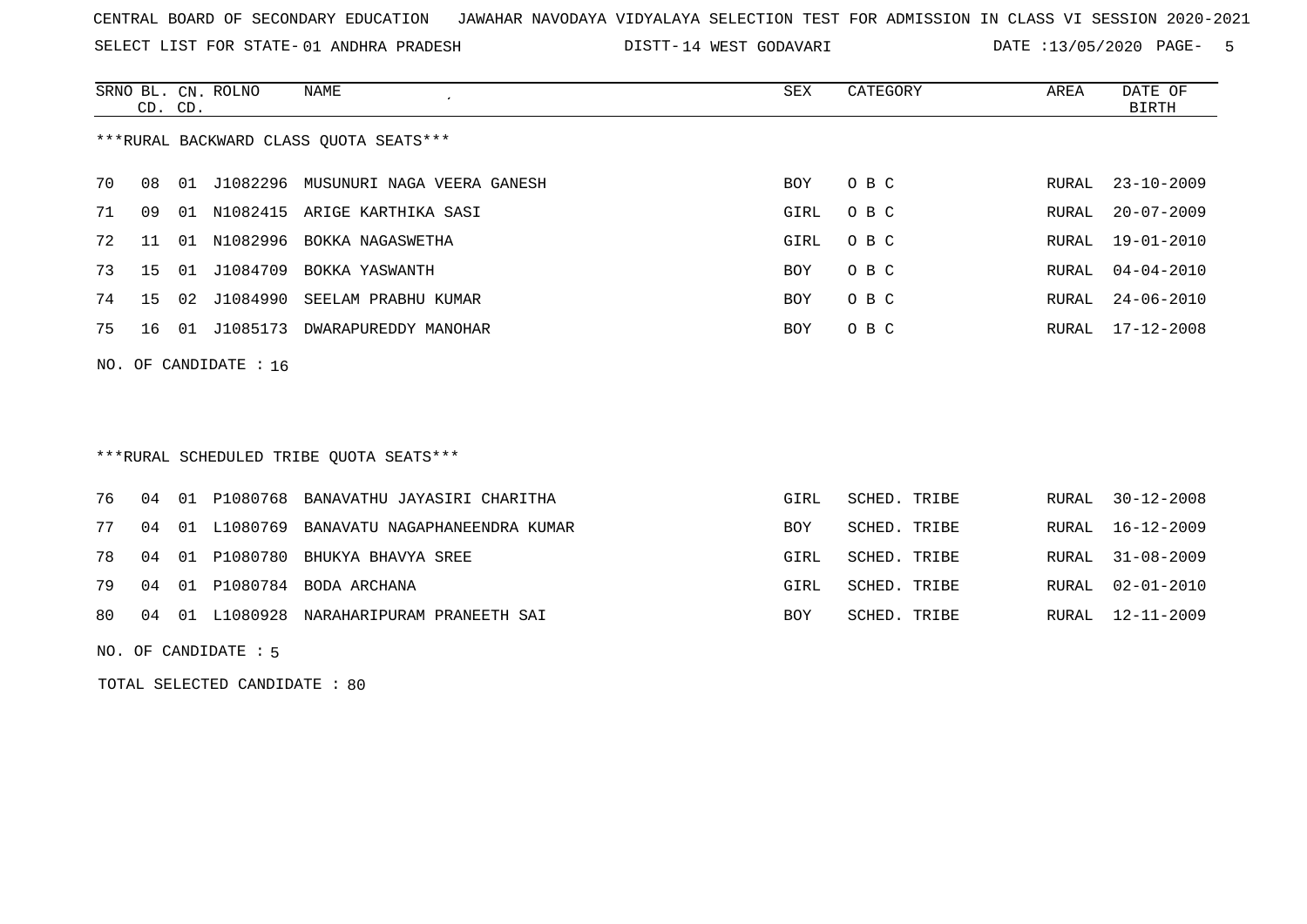SELECT LIST FOR STATE- DISTT- 01 ANDHRA PRADESH

14 WEST GODAVARI DATE :13/05/2020 PAGE- 5

|                                        | CD. CD. |       | SRNO BL. CN. ROLNO   | NAME                               | SEX        | CATEGORY | AREA  | DATE OF<br>BIRTH |
|----------------------------------------|---------|-------|----------------------|------------------------------------|------------|----------|-------|------------------|
| ***RURAL BACKWARD CLASS OUOTA SEATS*** |         |       |                      |                                    |            |          |       |                  |
| 70                                     | 08      | 01    | J1082296             | MUSUNURI NAGA VEERA GANESH         | BOY        | O B C    |       | RURAL 23-10-2009 |
| 71                                     | 09      | . N 1 |                      | N1082415 ARIGE KARTHIKA SASI       | GIRL       | O B C    | RURAL | $20 - 07 - 2009$ |
| 72                                     | 11      | O 1   | N1082996             | BOKKA NAGASWETHA                   | GIRL       | O B C    | RURAL | 19-01-2010       |
| 73                                     | 15 01   |       | J1084709             | BOKKA YASWANTH                     | <b>BOY</b> | O B C    | RURAL | $04 - 04 - 2010$ |
| 74                                     |         |       |                      | 15 02 J1084990 SEELAM PRABHU KUMAR | BOY        | O B C    | RURAL | $24 - 06 - 2010$ |
| 75                                     | 16 01   |       | J1085173             | DWARAPUREDDY MANOHAR               | <b>BOY</b> | O B C    | RURAL | 17-12-2008       |
|                                        |         |       | NO. OF CANDIDATE: 16 |                                    |            |          |       |                  |

\*\*\*RURAL SCHEDULED TRIBE QUOTA SEATS\*\*\*

|  |  | 80 04 01 L1080928 NARAHARIPURAM PRANEETH SAI    | BOY        | SCHED. TRIBE | RURAL 12-11-2009 |
|--|--|-------------------------------------------------|------------|--------------|------------------|
|  |  | 79 04 01 P1080784 BODA ARCHANA                  | GIRL       | SCHED. TRIBE | RURAL 02-01-2010 |
|  |  | 78 04 01 P1080780 BHUKYA BHAVYA SREE            | GIRL       | SCHED. TRIBE | RURAL 31-08-2009 |
|  |  | 77 04 01 L1080769 BANAVATU NAGAPHANEENDRA KUMAR | <b>BOY</b> | SCHED. TRIBE | RURAL 16-12-2009 |
|  |  | 76 04 01 P1080768 BANAVATHU JAYASIRI CHARITHA   | GIRL       | SCHED. TRIBE | RURAL 30-12-2008 |

NO. OF CANDIDATE : 5

TOTAL SELECTED CANDIDATE : 80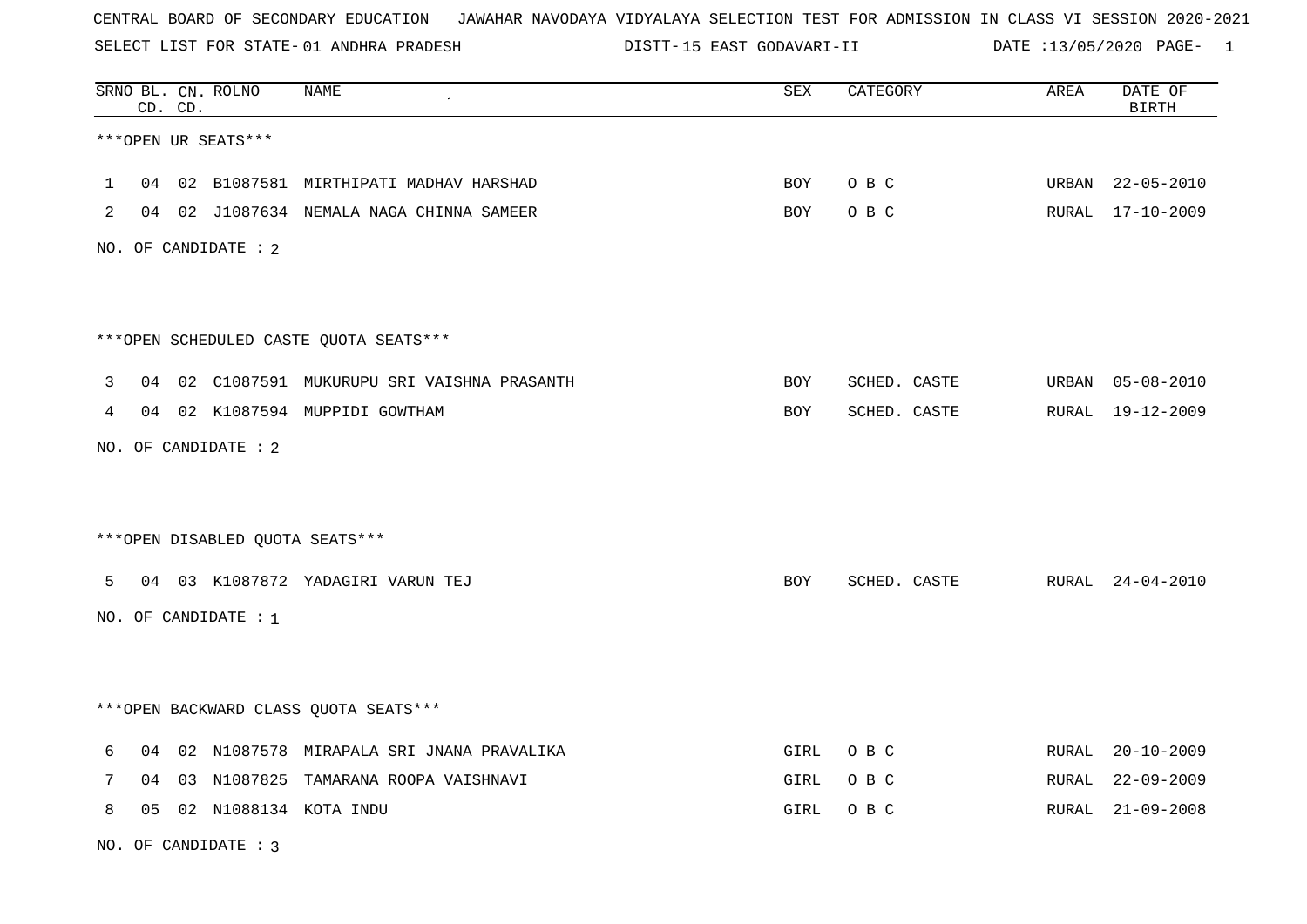SELECT LIST FOR STATE- DISTT- 01 ANDHRA PRADESH

DISTT-15 EAST GODAVARI-II DATE :13/05/2020 PAGE- 1

|   |    | CD. CD. | SRNO BL. CN. ROLNO     | NAME                                      | ${\tt SEX}$ | CATEGORY     | AREA  | DATE OF<br><b>BIRTH</b> |
|---|----|---------|------------------------|-------------------------------------------|-------------|--------------|-------|-------------------------|
|   |    |         | ***OPEN UR SEATS***    |                                           |             |              |       |                         |
| 1 |    |         |                        | 04 02 B1087581 MIRTHIPATI MADHAV HARSHAD  | <b>BOY</b>  | O B C        | URBAN | $22 - 05 - 2010$        |
| 2 |    |         |                        | 04 02 J1087634 NEMALA NAGA CHINNA SAMEER  | BOY         | O B C        |       | RURAL 17-10-2009        |
|   |    |         | NO. OF CANDIDATE : 2   |                                           |             |              |       |                         |
|   |    |         |                        |                                           |             |              |       |                         |
|   |    |         |                        | *** OPEN SCHEDULED CASTE QUOTA SEATS***   |             |              |       |                         |
| 3 | 04 |         |                        | 02 C1087591 MUKURUPU SRI VAISHNA PRASANTH | BOY         | SCHED. CASTE |       | URBAN 05-08-2010        |
| 4 |    |         |                        | 04 02 K1087594 MUPPIDI GOWTHAM            | <b>BOY</b>  | SCHED. CASTE |       | RURAL 19-12-2009        |
|   |    |         | NO. OF CANDIDATE : 2   |                                           |             |              |       |                         |
|   |    |         |                        |                                           |             |              |       |                         |
|   |    |         |                        | ***OPEN DISABLED QUOTA SEATS***           |             |              |       |                         |
| 5 |    |         |                        | 04 03 K1087872 YADAGIRI VARUN TEJ         | BOY         | SCHED. CASTE |       | RURAL 24-04-2010        |
|   |    |         | NO. OF CANDIDATE : $1$ |                                           |             |              |       |                         |
|   |    |         |                        |                                           |             |              |       |                         |
|   |    |         |                        | *** OPEN BACKWARD CLASS QUOTA SEATS***    |             |              |       |                         |
|   |    |         |                        |                                           |             |              |       |                         |
| 6 | 04 |         |                        | 02 N1087578 MIRAPALA SRI JNANA PRAVALIKA  | GIRL        | O B C        | RURAL | $20 - 10 - 2009$        |
| 7 | 04 |         |                        | 03 N1087825 TAMARANA ROOPA VAISHNAVI      | GIRL        | O B C        | RURAL | $22 - 09 - 2009$        |
| 8 | 05 |         |                        | 02 N1088134 KOTA INDU                     | GIRL        | O B C        | RURAL | $21 - 09 - 2008$        |

NO. OF CANDIDATE : 3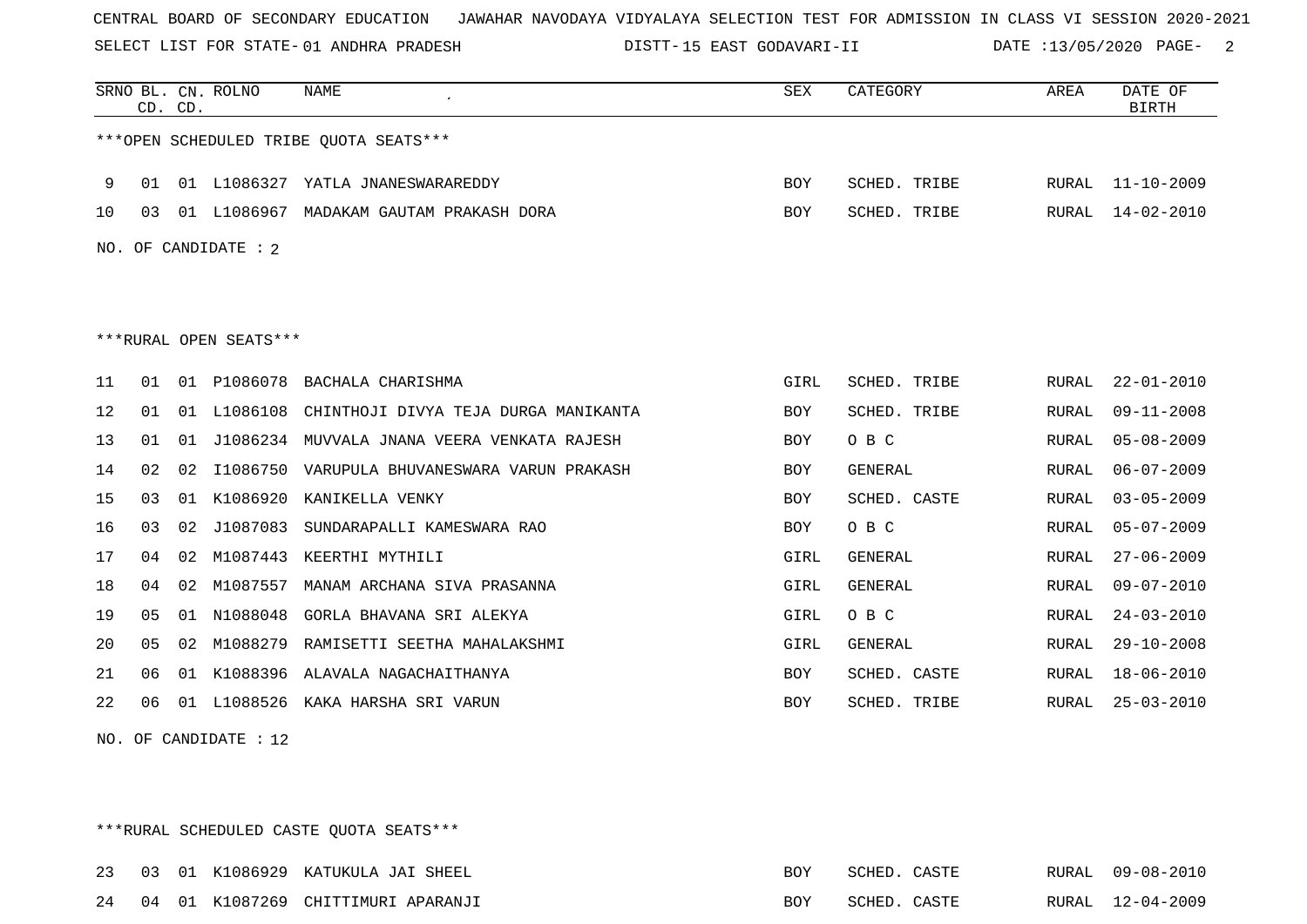SELECT LIST FOR STATE- DISTT- 01 ANDHRA PRADESH

15 EAST GODAVARI-II DATE :13/05/2020 PAGE- 2

|                                        |    | CD. CD. | SRNO BL. CN. ROLNO | <b>NAME</b>                                    | <b>SEX</b> | CATEGORY       | AREA  | DATE OF<br><b>BIRTH</b> |  |  |  |  |
|----------------------------------------|----|---------|--------------------|------------------------------------------------|------------|----------------|-------|-------------------------|--|--|--|--|
| ***OPEN SCHEDULED TRIBE OUOTA SEATS*** |    |         |                    |                                                |            |                |       |                         |  |  |  |  |
| 9                                      | 01 |         |                    | 01 L1086327 YATLA JNANESWARAREDDY              | BOY        | SCHED. TRIBE   | RURAL | $11 - 10 - 2009$        |  |  |  |  |
| 10                                     | 03 |         |                    | 01 L1086967 MADAKAM GAUTAM PRAKASH DORA        | <b>BOY</b> | SCHED. TRIBE   | RURAL | 14-02-2010              |  |  |  |  |
| NO. OF CANDIDATE : 2                   |    |         |                    |                                                |            |                |       |                         |  |  |  |  |
|                                        |    |         |                    |                                                |            |                |       |                         |  |  |  |  |
|                                        |    |         |                    |                                                |            |                |       |                         |  |  |  |  |
| ***RURAL OPEN SEATS***                 |    |         |                    |                                                |            |                |       |                         |  |  |  |  |
| 11                                     | 01 | 01      | P1086078           | BACHALA CHARISHMA                              | GIRL       | SCHED. TRIBE   | RURAL | $22 - 01 - 2010$        |  |  |  |  |
| 12                                     | 01 | 01      | L1086108           | CHINTHOJI DIVYA TEJA DURGA MANIKANTA           | <b>BOY</b> | SCHED. TRIBE   | RURAL | $09 - 11 - 2008$        |  |  |  |  |
| 13                                     | 01 |         |                    | 01 J1086234 MUVVALA JNANA VEERA VENKATA RAJESH | <b>BOY</b> | O B C          | RURAL | $05 - 08 - 2009$        |  |  |  |  |
| 14                                     | 02 | 02      | I1086750           | VARUPULA BHUVANESWARA VARUN PRAKASH            | <b>BOY</b> | <b>GENERAL</b> | RURAL | $06 - 07 - 2009$        |  |  |  |  |
| 15                                     | 03 | 01      | K1086920           | KANIKELLA VENKY                                | <b>BOY</b> | SCHED. CASTE   | RURAL | $03 - 05 - 2009$        |  |  |  |  |
| 16                                     | 03 | 02      | J1087083           | SUNDARAPALLI KAMESWARA RAO                     | <b>BOY</b> | O B C          | RURAL | $05 - 07 - 2009$        |  |  |  |  |
| 17                                     | 04 | 02      | M1087443           | KEERTHI MYTHILI                                | GIRL       | GENERAL        | RURAL | $27 - 06 - 2009$        |  |  |  |  |
| 18                                     | 04 | 02      | M1087557           | MANAM ARCHANA SIVA PRASANNA                    | GIRL       | GENERAL        | RURAL | $09 - 07 - 2010$        |  |  |  |  |
| 19                                     | 05 | 01      | N1088048           | GORLA BHAVANA SRI ALEKYA                       | GIRL       | O B C          | RURAL | $24 - 03 - 2010$        |  |  |  |  |
| 20                                     | 05 | 02      | M1088279           | RAMISETTI SEETHA MAHALAKSHMI                   | GIRL       | GENERAL        | RURAL | $29 - 10 - 2008$        |  |  |  |  |
| 21                                     | 06 | 01      | K1088396           | ALAVALA NAGACHAITHANYA                         | <b>BOY</b> | SCHED. CASTE   | RURAL | $18 - 06 - 2010$        |  |  |  |  |
| 22                                     | 06 | 01      | L1088526           | KAKA HARSHA SRI VARUN                          | <b>BOY</b> | SCHED. TRIBE   | RURAL | $25 - 03 - 2010$        |  |  |  |  |
|                                        |    |         |                    |                                                |            |                |       |                         |  |  |  |  |

NO. OF CANDIDATE : 12

\*\*\*RURAL SCHEDULED CASTE QUOTA SEATS\*\*\*

|  |  | 23 03 01 K1086929 KATUKULA JAI SHEEL  | <b>BOY</b> | SCHED. CASTE | RURAL 09-08-2010 |
|--|--|---------------------------------------|------------|--------------|------------------|
|  |  | 24 04 01 K1087269 CHITTIMURI APARANJI | BOY.       | SCHED. CASTE | RURAL 12-04-2009 |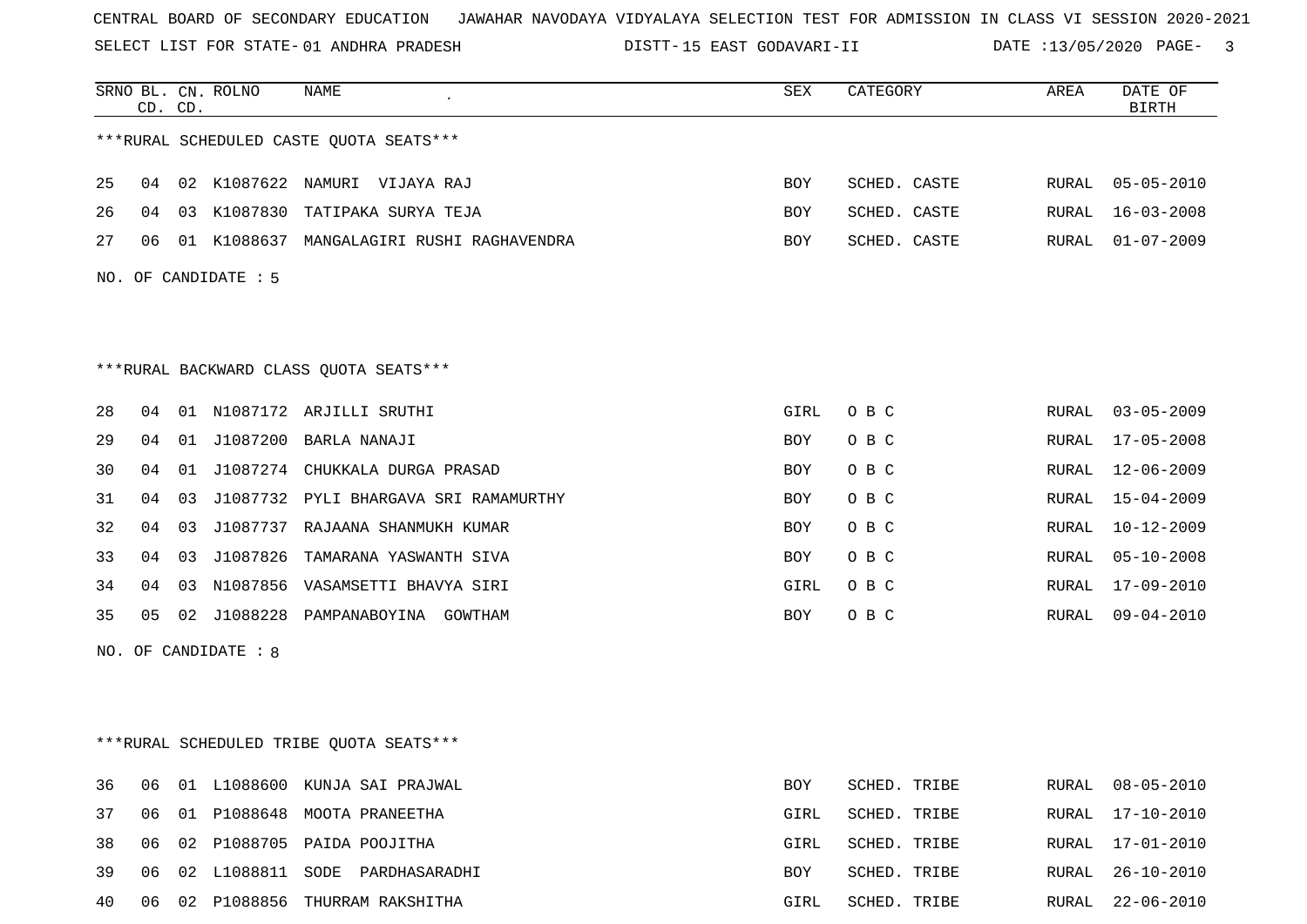SELECT LIST FOR STATE- DISTT- 01 ANDHRA PRADESH

15 EAST GODAVARI-II DATE :13/05/2020 PAGE- 3

|    | CD. CD. |    | SRNO BL. CN. ROLNO   | NAME                                      | ${\tt SEX}$ | CATEGORY     | AREA  | DATE OF<br><b>BIRTH</b> |
|----|---------|----|----------------------|-------------------------------------------|-------------|--------------|-------|-------------------------|
|    |         |    |                      | ***RURAL SCHEDULED CASTE QUOTA SEATS***   |             |              |       |                         |
| 25 |         |    |                      | 04 02 K1087622 NAMURI VIJAYA RAJ          | BOY         | SCHED. CASTE |       | RURAL 05-05-2010        |
| 26 | 04      | 03 | K1087830             | TATIPAKA SURYA TEJA                       | BOY         | SCHED. CASTE | RURAL | $16 - 03 - 2008$        |
| 27 | 06      |    |                      | 01 K1088637 MANGALAGIRI RUSHI RAGHAVENDRA | BOY         | SCHED. CASTE | RURAL | 01-07-2009              |
|    |         |    | NO. OF CANDIDATE : 5 |                                           |             |              |       |                         |
|    |         |    |                      | ***RURAL BACKWARD CLASS QUOTA SEATS***    |             |              |       |                         |
| 28 | 04      |    |                      | 01 N1087172 ARJILLI SRUTHI                | GIRL        | O B C        |       | RURAL 03-05-2009        |
| 29 | 04      | 01 |                      | J1087200 BARLA NANAJI                     | BOY         | O B C        | RURAL | 17-05-2008              |
| 30 | 04      | 01 |                      | J1087274 CHUKKALA DURGA PRASAD            | BOY         | O B C        | RURAL | $12 - 06 - 2009$        |
| 31 | 04      | 03 |                      | J1087732 PYLI BHARGAVA SRI RAMAMURTHY     | BOY         | O B C        | RURAL | 15-04-2009              |
| 32 | 04      | 03 |                      | J1087737 RAJAANA SHANMUKH KUMAR           | BOY         | O B C        | RURAL | $10 - 12 - 2009$        |
| 33 | 04      | 03 | J1087826             | TAMARANA YASWANTH SIVA                    | BOY         | O B C        | RURAL | $05 - 10 - 2008$        |
| 34 | 04      | 03 |                      | N1087856 VASAMSETTI BHAVYA SIRI           | GIRL        | O B C        | RURAL | $17 - 09 - 2010$        |
| 35 | 05      | 02 | J1088228             | PAMPANABOYINA GOWTHAM                     | BOY         | O B C        | RURAL | $09 - 04 - 2010$        |
|    |         |    | NO. OF CANDIDATE : 8 |                                           |             |              |       |                         |
|    |         |    |                      | ***RURAL SCHEDULED TRIBE QUOTA SEATS***   |             |              |       |                         |
| 36 | 06      | 01 |                      | L1088600 KUNJA SAI PRAJWAL                | BOY         | SCHED. TRIBE | RURAL | $08 - 05 - 2010$        |
| 37 | 06      | 01 |                      | P1088648 MOOTA PRANEETHA                  | GIRL        | SCHED. TRIBE | RURAL | $17 - 10 - 2010$        |
| 38 | 06      | 02 |                      | P1088705 PAIDA POOJITHA                   | GIRL        | SCHED. TRIBE | RURAL | 17-01-2010              |
| 39 | 06      | 02 | L1088811             | SODE PARDHASARADHI                        | BOY         | SCHED. TRIBE | RURAL | $26 - 10 - 2010$        |
| 40 | 06      |    |                      | 02 P1088856 THURRAM RAKSHITHA             | GIRL        | SCHED. TRIBE | RURAL | $22 - 06 - 2010$        |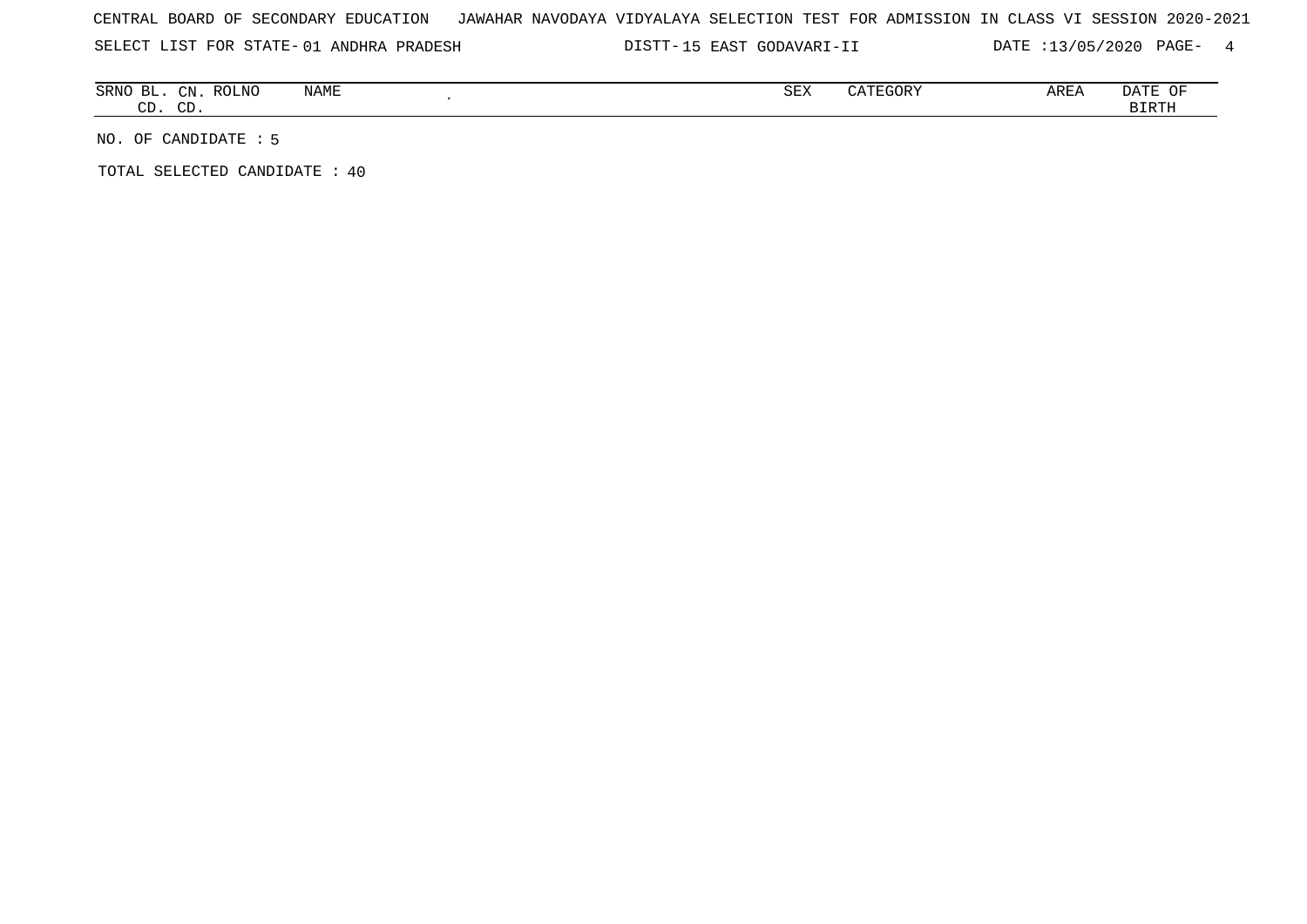SELECT LIST FOR STATE- DISTT- 01 ANDHRA PRADESH

DISTT-15 EAST GODAVARI-II DATE :13/05/2020 PAGE- 4

| ВI<br>SRNO    | $\cap$      | <b>ROLNO</b> | NAME | $\alpha$ EIV<br>∿ים כי | $C0$ $R0$ $R0$<br>$^{\prime}$<br>LUURI<br>$\overline{a}$ | AREA | OF<br>DA I E |
|---------------|-------------|--------------|------|------------------------|----------------------------------------------------------|------|--------------|
| $\cap$<br>. س | $\cap$<br>ັ |              |      |                        |                                                          |      | <b>BIRTH</b> |

NO. OF CANDIDATE : 5

TOTAL SELECTED CANDIDATE : 40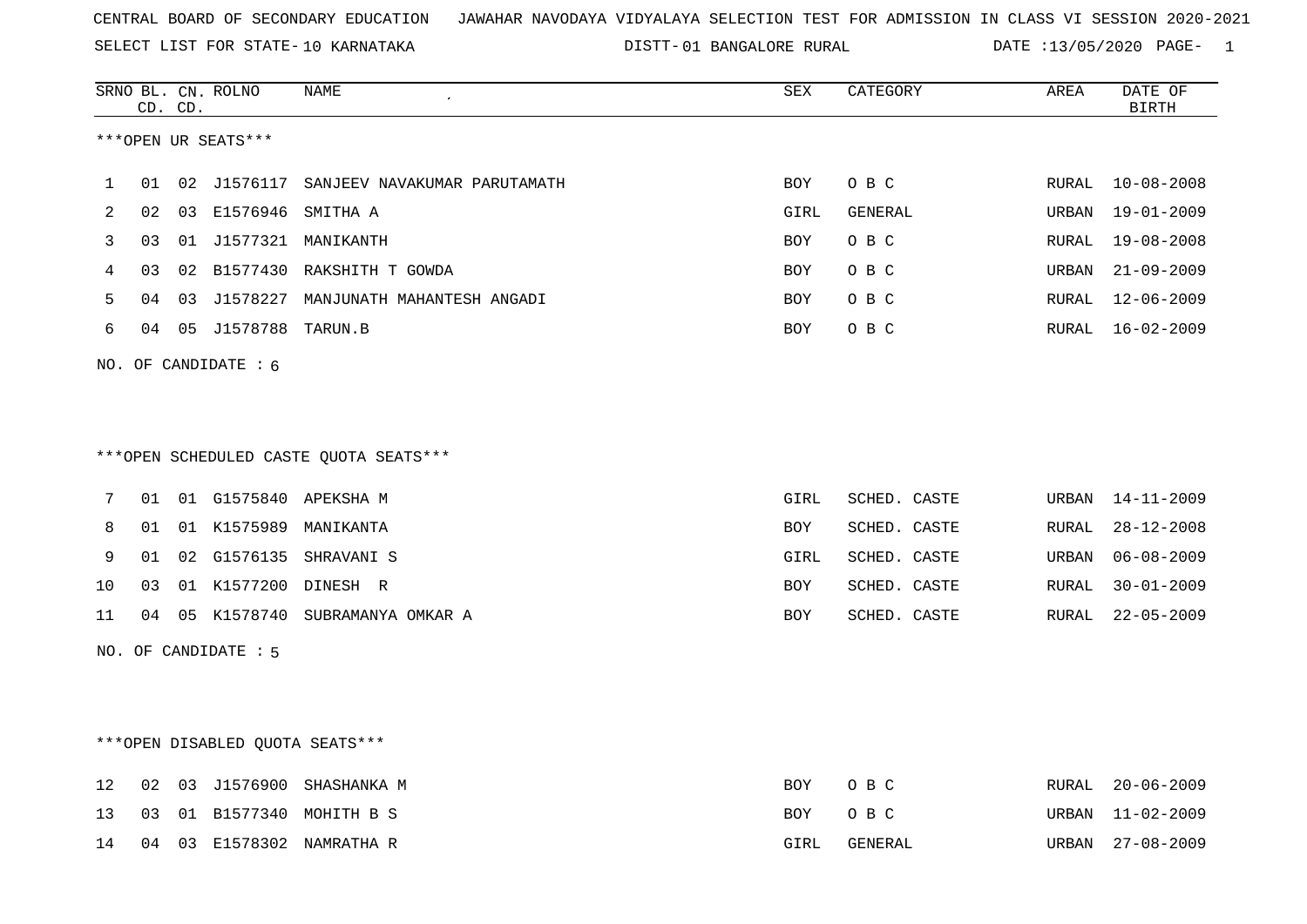SELECT LIST FOR STATE- DISTT- 10 KARNATAKA

01 BANGALORE RURAL DATE :13/05/2020 PAGE- 1

|    |    | CD. CD. | SRNO BL. CN. ROLNO              | NAME                                    | SEX        | CATEGORY     | AREA  | DATE OF<br><b>BIRTH</b> |
|----|----|---------|---------------------------------|-----------------------------------------|------------|--------------|-------|-------------------------|
|    |    |         | ***OPEN UR SEATS***             |                                         |            |              |       |                         |
| 1  | 01 |         | 02 J1576117                     | SANJEEV NAVAKUMAR PARUTAMATH            | BOY        | O B C        | RURAL | $10 - 08 - 2008$        |
| 2  | 02 |         | 03 E1576946 SMITHA A            |                                         | GIRL       | GENERAL      | URBAN | $19 - 01 - 2009$        |
| 3  | 03 |         |                                 | 01 J1577321 MANIKANTH                   | <b>BOY</b> | O B C        | RURAL | $19 - 08 - 2008$        |
| 4  | 03 |         |                                 | 02 B1577430 RAKSHITH T GOWDA            | BOY        | O B C        | URBAN | $21 - 09 - 2009$        |
| 5  | 04 | 03      | J1578227                        | MANJUNATH MAHANTESH ANGADI              | <b>BOY</b> | O B C        | RURAL | $12 - 06 - 2009$        |
| 6  | 04 |         | 05 J1578788 TARUN.B             |                                         | BOY        | O B C        | RURAL | $16 - 02 - 2009$        |
|    |    |         | NO. OF CANDIDATE : 6            |                                         |            |              |       |                         |
|    |    |         |                                 |                                         |            |              |       |                         |
|    |    |         |                                 |                                         |            |              |       |                         |
|    |    |         |                                 | *** OPEN SCHEDULED CASTE QUOTA SEATS*** |            |              |       |                         |
| 7  | 01 |         |                                 | 01 G1575840 APEKSHA M                   | GIRL       | SCHED. CASTE | URBAN | $14 - 11 - 2009$        |
| 8  | 01 |         |                                 | 01 K1575989 MANIKANTA                   | BOY        | SCHED. CASTE | RURAL | $28 - 12 - 2008$        |
| 9  | 01 |         |                                 | 02 G1576135 SHRAVANI S                  | GIRL       | SCHED. CASTE | URBAN | $06 - 08 - 2009$        |
| 10 | 03 |         |                                 | 01 K1577200 DINESH R                    | BOY        | SCHED. CASTE | RURAL | $30 - 01 - 2009$        |
| 11 | 04 |         |                                 | 05 K1578740 SUBRAMANYA OMKAR A          | <b>BOY</b> | SCHED. CASTE | RURAL | $22 - 05 - 2009$        |
|    |    |         | NO. OF CANDIDATE : 5            |                                         |            |              |       |                         |
|    |    |         |                                 |                                         |            |              |       |                         |
|    |    |         |                                 |                                         |            |              |       |                         |
|    |    |         | ***OPEN DISABLED QUOTA SEATS*** |                                         |            |              |       |                         |
| 12 | 02 |         | 03 J1576900                     | SHASHANKA M                             | BOY        | O B C        | RURAL | $20 - 06 - 2009$        |
| 13 | 03 |         |                                 | 01 B1577340 MOHITH B S                  | BOY        | O B C        | URBAN | 11-02-2009              |

14 04 03 E1578302 NAMRATHA R GIRL GENERAL URBAN 27-08-2009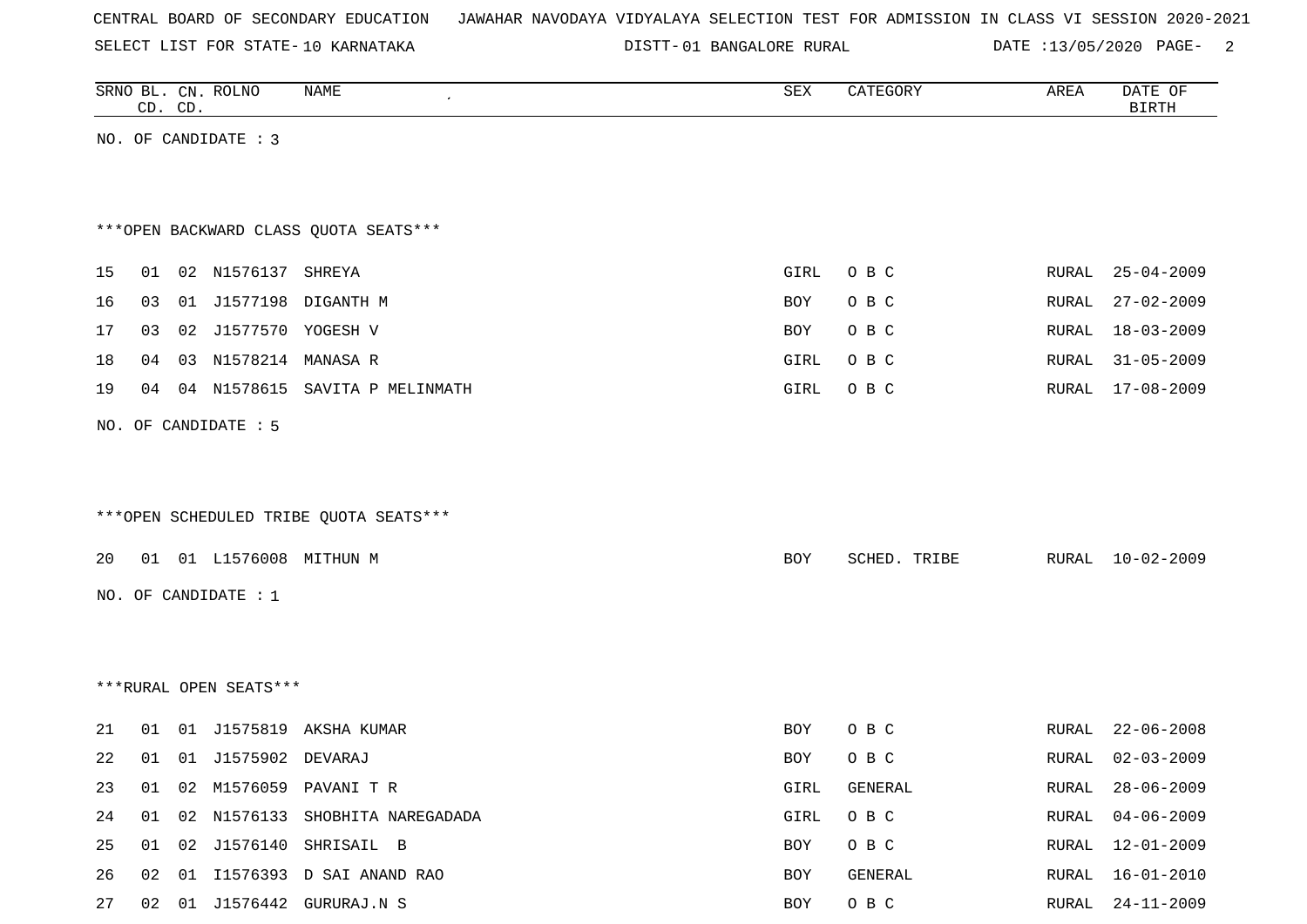SELECT LIST FOR STATE- DISTT- 10 KARNATAKA

DISTT-01 BANGALORE RURAL DATE :13/05/2020 PAGE- 2

|    |    | CD. CD. | SRNO BL. CN. ROLNO     | NAME                                   | SEX         | CATEGORY     | AREA  | DATE OF<br><b>BIRTH</b> |
|----|----|---------|------------------------|----------------------------------------|-------------|--------------|-------|-------------------------|
|    |    |         | NO. OF CANDIDATE : 3   |                                        |             |              |       |                         |
|    |    |         |                        |                                        |             |              |       |                         |
|    |    |         |                        |                                        |             |              |       |                         |
|    |    |         |                        | *** OPEN BACKWARD CLASS QUOTA SEATS*** |             |              |       |                         |
| 15 |    |         | 01 02 N1576137 SHREYA  |                                        | <b>GIRL</b> | O B C        |       | RURAL 25-04-2009        |
| 16 | 03 |         |                        | 01 J1577198 DIGANTH M                  | BOY         | O B C        | RURAL | $27 - 02 - 2009$        |
| 17 | 03 |         | 02 J1577570 YOGESH V   |                                        | <b>BOY</b>  | O B C        |       | RURAL 18-03-2009        |
| 18 | 04 |         | 03 N1578214 MANASA R   |                                        | GIRL        | O B C        | RURAL | $31 - 05 - 2009$        |
| 19 |    |         |                        | 04 04 N1578615 SAVITA P MELINMATH      | GIRL        | O B C        |       | RURAL 17-08-2009        |
|    |    |         | NO. OF CANDIDATE : 5   |                                        |             |              |       |                         |
|    |    |         |                        |                                        |             |              |       |                         |
|    |    |         |                        |                                        |             |              |       |                         |
|    |    |         |                        | ***OPEN SCHEDULED TRIBE QUOTA SEATS*** |             |              |       |                         |
| 20 |    |         |                        | 01 01 L1576008 MITHUN M                | <b>BOY</b>  | SCHED. TRIBE |       | RURAL 10-02-2009        |
|    |    |         | NO. OF CANDIDATE : $1$ |                                        |             |              |       |                         |
|    |    |         |                        |                                        |             |              |       |                         |
|    |    |         |                        |                                        |             |              |       |                         |
|    |    |         | ***RURAL OPEN SEATS*** |                                        |             |              |       |                         |
|    |    |         |                        |                                        |             |              |       |                         |
| 21 |    |         |                        | 01 01 J1575819 AKSHA KUMAR             | BOY         | O B C        | RURAL | $22 - 06 - 2008$        |
| 22 | 01 |         | 01 J1575902 DEVARAJ    |                                        | <b>BOY</b>  | O B C        | RURAL | $02 - 03 - 2009$        |
| 23 |    |         |                        | 01 02 M1576059 PAVANI T R              | GIRL        | GENERAL      |       | RURAL 28-06-2009        |
| 24 |    |         |                        | 01 02 N1576133 SHOBHITA NAREGADADA     | GIRL        | O B C        |       | RURAL 04-06-2009        |
| 25 |    |         |                        | 01 02 J1576140 SHRISAIL B              | BOY         | O B C        |       | RURAL 12-01-2009        |
| 26 |    |         |                        | 02 01 I1576393 D SAI ANAND RAO         | BOY         | GENERAL      |       | RURAL 16-01-2010        |
| 27 |    |         |                        | 02 01 J1576442 GURURAJ.N S             | BOY         | O B C        |       | RURAL 24-11-2009        |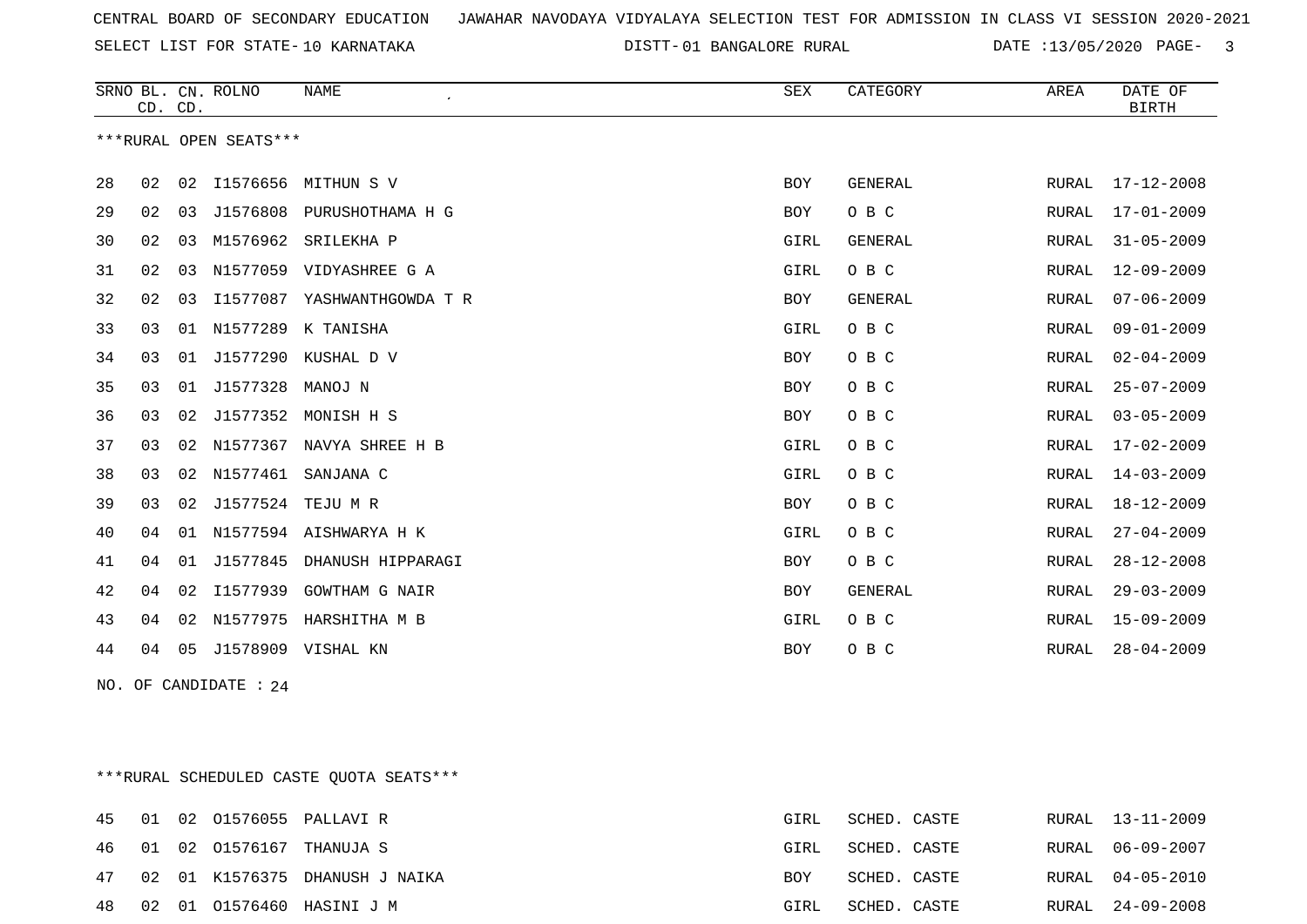SELECT LIST FOR STATE- DISTT- 10 KARNATAKA

DISTT-01 BANGALORE RURAL DATE :13/05/2020 PAGE- 3

|    | CD. CD.                |    | SRNO BL. CN. ROLNO | <b>NAME</b><br>$\epsilon$ | <b>SEX</b> | CATEGORY       | AREA         | DATE OF<br><b>BIRTH</b> |  |  |
|----|------------------------|----|--------------------|---------------------------|------------|----------------|--------------|-------------------------|--|--|
|    | ***RURAL OPEN SEATS*** |    |                    |                           |            |                |              |                         |  |  |
| 28 | 02                     | 02 |                    | I1576656 MITHUN S V       | <b>BOY</b> | <b>GENERAL</b> | RURAL        | $17 - 12 - 2008$        |  |  |
| 29 | 02                     | 03 | J1576808           | PURUSHOTHAMA H G          | <b>BOY</b> | O B C          | RURAL        | $17 - 01 - 2009$        |  |  |
| 30 | 02                     | 03 | M1576962           | SRILEKHA P                | GIRL       | <b>GENERAL</b> | <b>RURAL</b> | $31 - 05 - 2009$        |  |  |
| 31 | 02                     | 03 | N1577059           | VIDYASHREE G A            | GIRL       | O B C          | RURAL        | $12 - 09 - 2009$        |  |  |
| 32 | 02                     | 03 | I1577087           | YASHWANTHGOWDA T R        | <b>BOY</b> | GENERAL        | RURAL        | $07 - 06 - 2009$        |  |  |
| 33 | 03                     | 01 | N1577289           | K TANISHA                 | GIRL       | O B C          | <b>RURAL</b> | $09 - 01 - 2009$        |  |  |
| 34 | 03                     | 01 | J1577290           | KUSHAL D V                | <b>BOY</b> | O B C          | RURAL        | $02 - 04 - 2009$        |  |  |
| 35 | 03                     | 01 | J1577328           | MANOJ N                   | <b>BOY</b> | O B C          | RURAL        | $25 - 07 - 2009$        |  |  |
| 36 | 03                     | 02 | J1577352           | MONISH H S                | <b>BOY</b> | O B C          | <b>RURAL</b> | $03 - 05 - 2009$        |  |  |
| 37 | 03                     | 02 | N1577367           | NAVYA SHREE H B           | GIRL       | O B C          | <b>RURAL</b> | $17 - 02 - 2009$        |  |  |
| 38 | 03                     | 02 | N1577461           | SANJANA C                 | GIRL       | O B C          | RURAL        | $14 - 03 - 2009$        |  |  |
| 39 | 03                     | 02 | J1577524           | TEJU M R                  | <b>BOY</b> | O B C          | <b>RURAL</b> | $18 - 12 - 2009$        |  |  |
| 40 | 04                     | 01 |                    | N1577594 AISHWARYA H K    | GIRL       | O B C          | <b>RURAL</b> | $27 - 04 - 2009$        |  |  |
| 41 | 04                     | 01 | J1577845           | DHANUSH HIPPARAGI         | <b>BOY</b> | O B C          | RURAL        | $28 - 12 - 2008$        |  |  |
| 42 | 04                     | 02 | I1577939           | <b>GOWTHAM G NAIR</b>     | <b>BOY</b> | GENERAL        | RURAL        | $29 - 03 - 2009$        |  |  |
| 43 | 04                     | 02 | N1577975           | HARSHITHA M B             | GIRL       | O B C          | <b>RURAL</b> | $15 - 09 - 2009$        |  |  |
| 44 | 04                     | 05 | J1578909           | VISHAL KN                 | <b>BOY</b> | O B C          | RURAL        | $28 - 04 - 2009$        |  |  |

NO. OF CANDIDATE : 24

\*\*\*RURAL SCHEDULED CASTE QUOTA SEATS\*\*\*

|  |  | 45 01 02 01576055 PALLAVI R       | GIRL | SCHED. CASTE | RURAL 13-11-2009 |
|--|--|-----------------------------------|------|--------------|------------------|
|  |  | 46 01 02 01576167 THANUJA S       | GIRL | SCHED. CASTE | RURAL 06-09-2007 |
|  |  | 47 02 01 K1576375 DHANUSH J NAIKA | BOY  | SCHED. CASTE | RURAL 04-05-2010 |
|  |  | 48 02 01 01576460 HASINI J M      | GIRL | SCHED. CASTE | RURAL 24-09-2008 |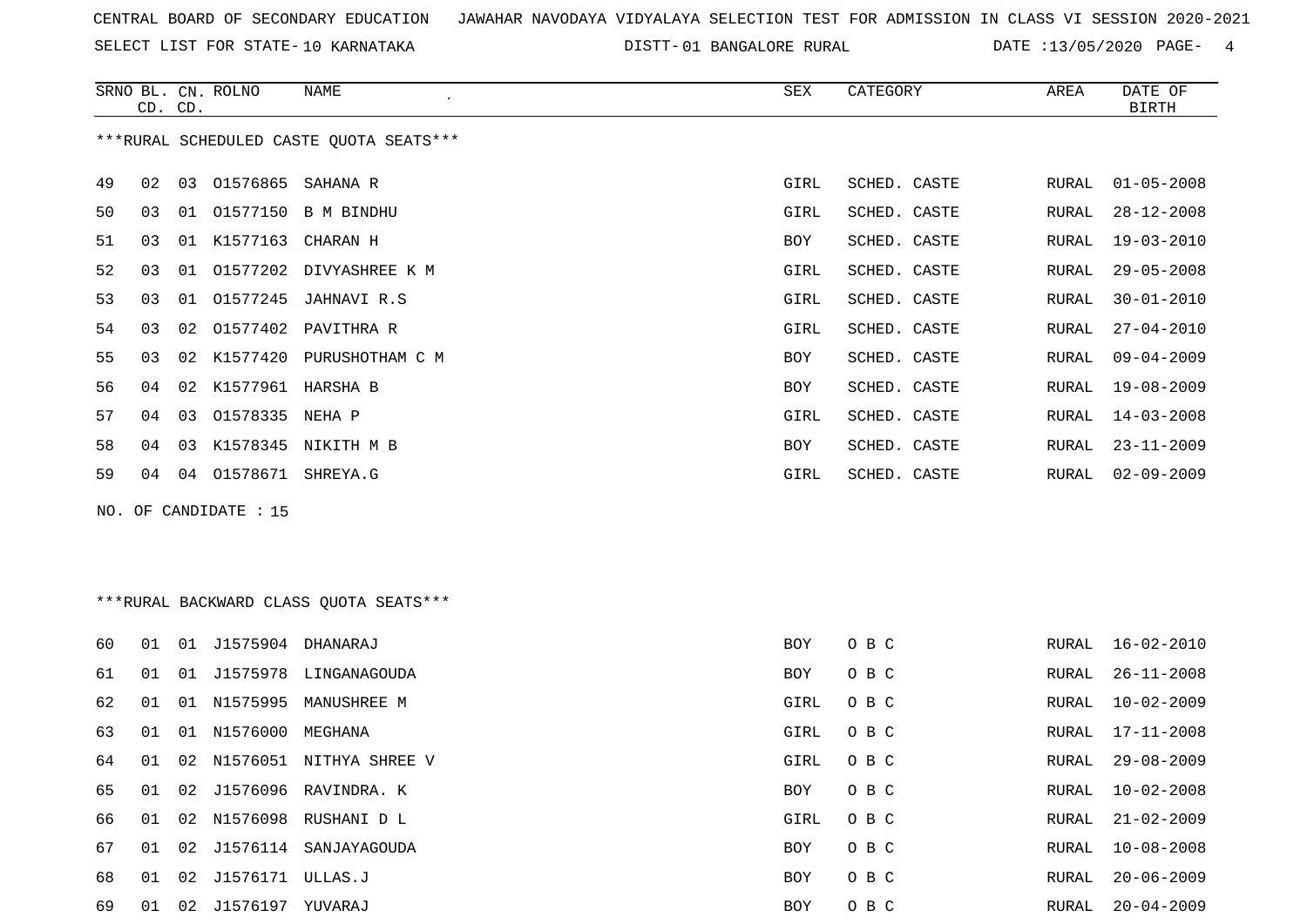SELECT LIST FOR STATE- DISTT- 10 KARNATAKA

DISTT-01 BANGALORE RURAL DATE :13/05/2020 PAGE- 4

|                                         | CD. CD. |                | SRNO BL. CN. ROLNO | NAME            | SEX  | CATEGORY     | AREA  | DATE OF<br>BIRTH |
|-----------------------------------------|---------|----------------|--------------------|-----------------|------|--------------|-------|------------------|
| ***RURAL SCHEDULED CASTE OUOTA SEATS*** |         |                |                    |                 |      |              |       |                  |
| 49                                      | 02      | 03             | 01576865           | SAHANA R        | GIRL | SCHED. CASTE | RURAL | $01 - 05 - 2008$ |
| 50                                      | 03      | 01             | 01577150           | B M BINDHU      | GIRL | SCHED. CASTE | RURAL | $28 - 12 - 2008$ |
| 51                                      | 03      | 01             | K1577163           | CHARAN H        | BOY  | SCHED. CASTE | RURAL | $19 - 03 - 2010$ |
| 52                                      | 03      | 01             | 01577202           | DIVYASHREE K M  | GIRL | SCHED. CASTE | RURAL | $29 - 05 - 2008$ |
| 53                                      | 03      | 01             | 01577245           | JAHNAVI R.S     | GIRL | SCHED. CASTE | RURAL | $30 - 01 - 2010$ |
| 54                                      | 03      | 02             | 01577402           | PAVITHRA R      | GIRL | SCHED. CASTE | RURAL | $27 - 04 - 2010$ |
| 55                                      | 03      | 02             | K1577420           | PURUSHOTHAM C M | BOY  | SCHED. CASTE | RURAL | $09 - 04 - 2009$ |
| 56                                      | 04      | 02             | K1577961           | HARSHA B        | BOY  | SCHED. CASTE | RURAL | $19 - 08 - 2009$ |
| 57                                      | 04      | 03             | 01578335 NEHA P    |                 | GIRL | SCHED. CASTE | RURAL | $14 - 03 - 2008$ |
| 58                                      | 04      | 0 <sub>3</sub> | K1578345           | NIKITH M B      | BOY  | SCHED. CASTE | RURAL | $23 - 11 - 2009$ |
| 59                                      | 04      | 04             | 01578671           | SHREYA.G        | GIRL | SCHED. CASTE | RURAL | $02 - 09 - 2009$ |

NO. OF CANDIDATE : 15

# \*\*\*RURAL BACKWARD CLASS QUOTA SEATS\*\*\*

| 60 | 01 | 01 | J1575904         | DHANARAJ                | BOY  | O B C | RURAL | 16-02-2010       |
|----|----|----|------------------|-------------------------|------|-------|-------|------------------|
| 61 | 01 | 01 | J1575978         | LINGANAGOUDA            | BOY  | O B C | RURAL | $26 - 11 - 2008$ |
| 62 | 01 | 01 | N1575995         | MANUSHREE M             | GIRL | O B C | RURAL | $10 - 02 - 2009$ |
| 63 | 01 | 01 | N1576000 MEGHANA |                         | GIRL | O B C | RURAL | 17-11-2008       |
| 64 | 01 | 02 |                  | N1576051 NITHYA SHREE V | GIRL | O B C | RURAL | $29 - 08 - 2009$ |
| 65 | 01 |    | 02 J1576096      | RAVINDRA. K             | BOY  | O B C | RURAL | $10 - 02 - 2008$ |
| 66 | 01 |    | 02 N1576098      | RUSHANI D L             | GIRL | O B C | RURAL | $21 - 02 - 2009$ |
| 67 | 01 |    | 02 J1576114      | SANJAYAGOUDA            | BOY  | O B C | RURAL | $10 - 08 - 2008$ |
| 68 | 01 | 02 | J1576171 ULLAS.J |                         | BOY  | O B C | RURAL | $20 - 06 - 2009$ |
| 69 | 01 | 02 | J1576197         | YUVARAJ                 | BOY  | O B C | RURAL | $20 - 04 - 2009$ |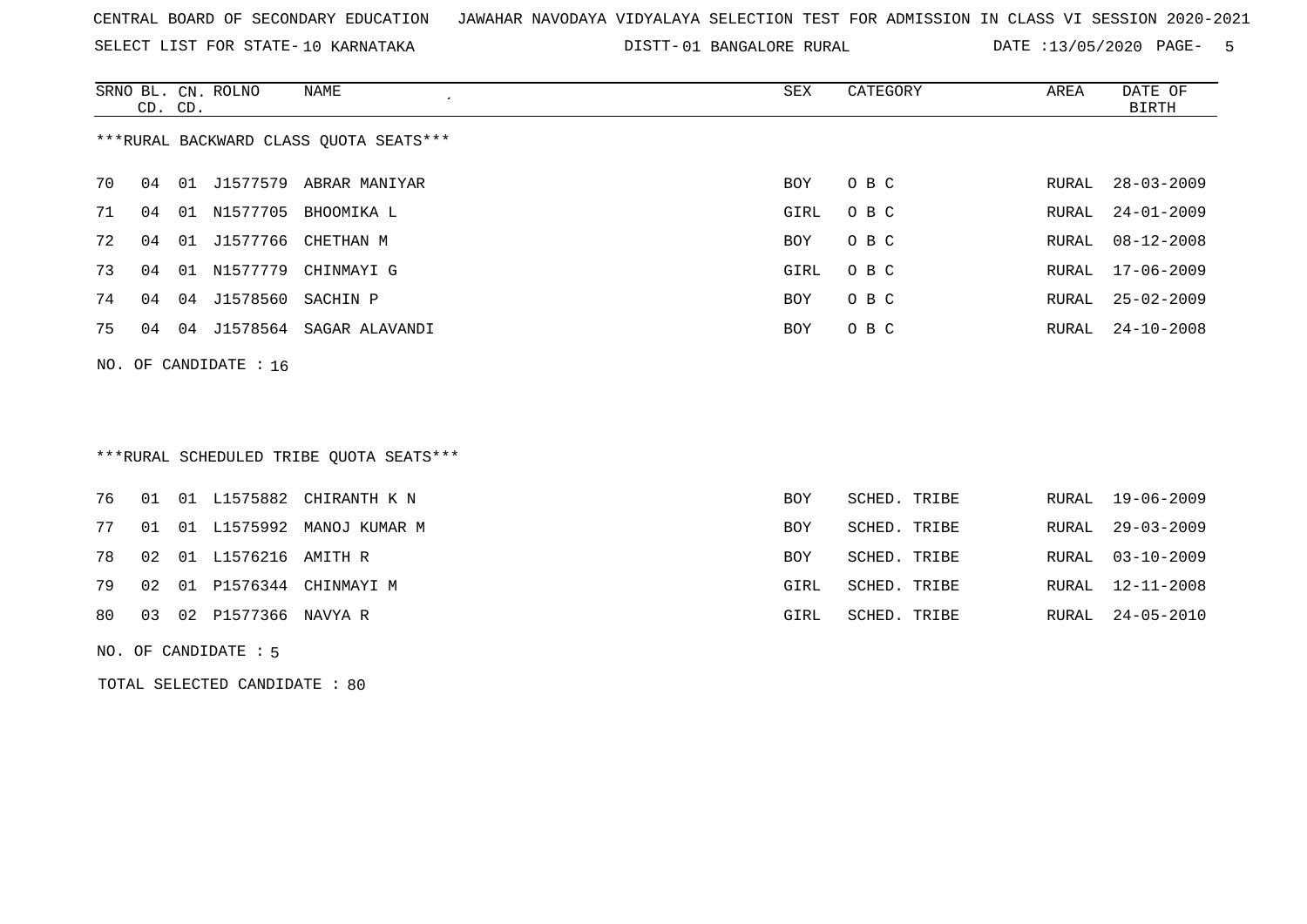SELECT LIST FOR STATE- DISTT- 10 KARNATAKA

DISTT-01 BANGALORE RURAL DATE :13/05/2020 PAGE- 5

|                                        |                         |    | SRNO BL. CN. ROLNO | NAME                    | SEX  | CATEGORY | AREA  | DATE OF          |  |
|----------------------------------------|-------------------------|----|--------------------|-------------------------|------|----------|-------|------------------|--|
|                                        | CD. CD.                 |    |                    |                         |      |          |       | BIRTH            |  |
| ***RURAL BACKWARD CLASS QUOTA SEATS*** |                         |    |                    |                         |      |          |       |                  |  |
| 70                                     | 04                      | 01 | J1577579           | ABRAR MANIYAR           | BOY  | O B C    | RURAL | $28 - 03 - 2009$ |  |
| 71                                     | 04                      | 01 | N1577705           | BHOOMIKA L              | GIRL | O B C    | RURAL | 24-01-2009       |  |
| 72                                     | 04                      | 01 |                    | J1577766 CHETHAN M      | BOY  | O B C    | RURAL | $08 - 12 - 2008$ |  |
| 73                                     | 04                      | 01 | N1577779           | CHINMAYI G              | GIRL | O B C    |       | RURAL 17-06-2009 |  |
| 74                                     | 04                      | 04 | J1578560 SACHIN P  |                         | BOY  | O B C    | RURAL | $25 - 02 - 2009$ |  |
| 75                                     | 04                      | 04 |                    | J1578564 SAGAR ALAVANDI | BOY  | O B C    |       | RURAL 24-10-2008 |  |
|                                        | NO. OF CANDIDATE : $16$ |    |                    |                         |      |          |       |                  |  |

# \*\*\*RURAL SCHEDULED TRIBE QUOTA SEATS\*\*\*

|  |                           | 76 01 01 L1575882 CHIRANTH K N  | BOY        | SCHED. TRIBE |  | RURAL 19-06-2009 |
|--|---------------------------|---------------------------------|------------|--------------|--|------------------|
|  |                           | 77 01 01 L1575992 MANOJ KUMAR M | BOY        | SCHED. TRIBE |  | RURAL 29-03-2009 |
|  | 78 02 01 L1576216 AMITH R |                                 | <b>BOY</b> | SCHED. TRIBE |  | RURAL 03-10-2009 |
|  |                           | 79 02 01 P1576344 CHINMAYI M    | GIRL       | SCHED. TRIBE |  | RURAL 12-11-2008 |
|  | 80 03 02 P1577366 NAVYA R |                                 | GIRL       | SCHED. TRIBE |  | RURAL 24-05-2010 |
|  |                           |                                 |            |              |  |                  |

#### NO. OF CANDIDATE : 5

TOTAL SELECTED CANDIDATE : 80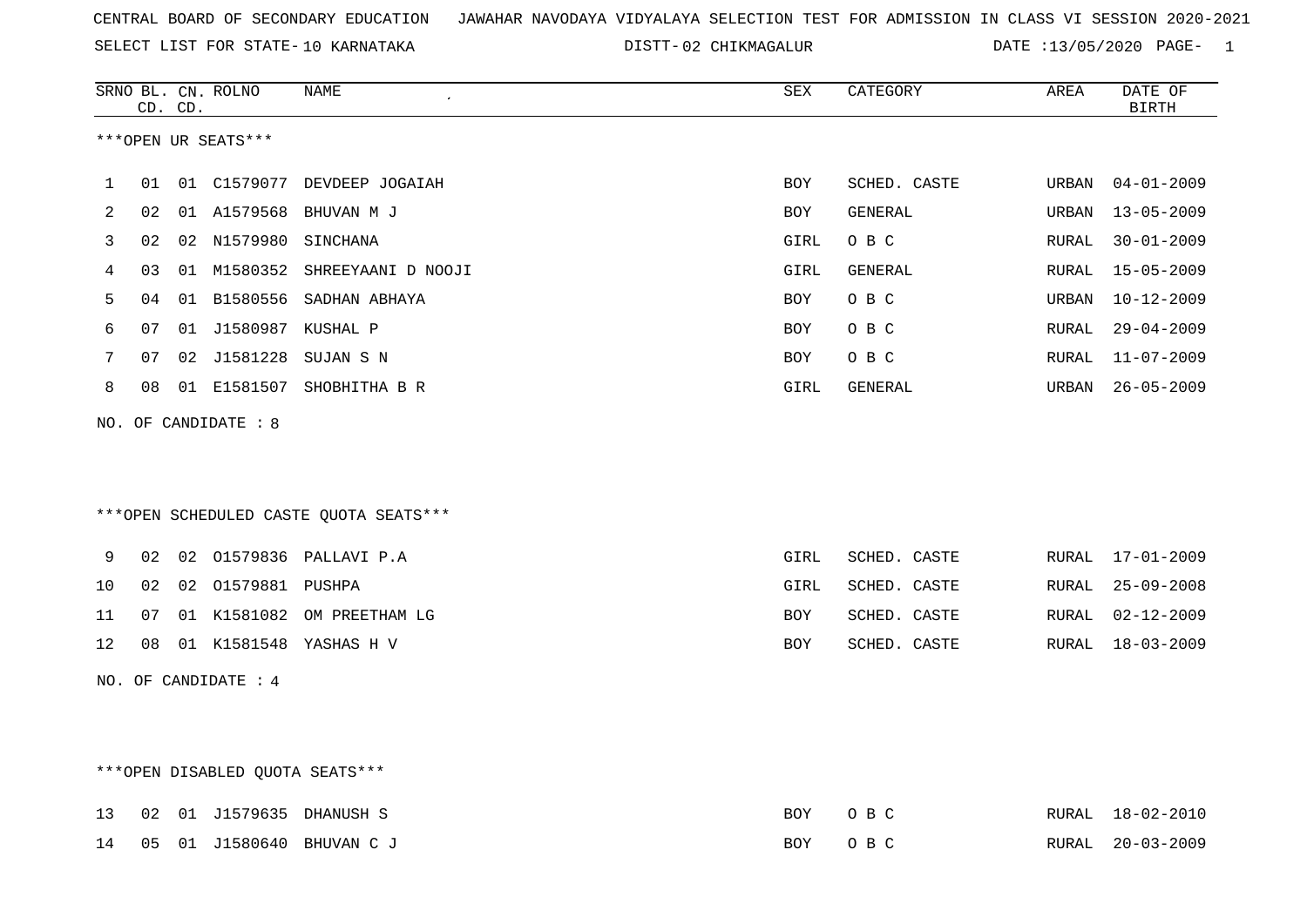SELECT LIST FOR STATE- DISTT- 10 KARNATAKA

02 CHIKMAGALUR DATE :13/05/2020 PAGE- 1

|    |                                 | CD. CD. | SRNO BL. CN. ROLNO   | NAME<br>$\cdot$                         | ${\tt SEX}$ | CATEGORY     | AREA  | DATE OF<br><b>BIRTH</b> |  |  |
|----|---------------------------------|---------|----------------------|-----------------------------------------|-------------|--------------|-------|-------------------------|--|--|
|    |                                 |         | ***OPEN UR SEATS***  |                                         |             |              |       |                         |  |  |
| 1  | 01                              |         |                      | 01 C1579077 DEVDEEP JOGAIAH             | <b>BOY</b>  | SCHED. CASTE | URBAN | $04 - 01 - 2009$        |  |  |
| 2  | 02                              |         |                      | 01 A1579568 BHUVAN M J                  | BOY         | GENERAL      | URBAN | $13 - 05 - 2009$        |  |  |
| 3  | 02                              |         | 02 N1579980 SINCHANA |                                         | GIRL        | O B C        | RURAL | $30 - 01 - 2009$        |  |  |
| 4  | 03                              |         |                      | 01 M1580352 SHREEYAANI D NOOJI          | GIRL        | GENERAL      | RURAL | $15 - 05 - 2009$        |  |  |
| 5  | 04                              |         |                      | 01 B1580556 SADHAN ABHAYA               | <b>BOY</b>  | O B C        | URBAN | $10 - 12 - 2009$        |  |  |
| 6  | 07                              | 01      | J1580987 KUSHAL P    |                                         | BOY         | O B C        | RURAL | $29 - 04 - 2009$        |  |  |
| 7  | 07                              |         |                      | 02 J1581228 SUJAN S N                   | BOY         | O B C        | RURAL | $11 - 07 - 2009$        |  |  |
| 8  | 08                              |         | 01 E1581507          | SHOBHITHA B R                           | GIRL        | GENERAL      | URBAN | $26 - 05 - 2009$        |  |  |
|    |                                 |         | NO. OF CANDIDATE : 8 |                                         |             |              |       |                         |  |  |
|    |                                 |         |                      |                                         |             |              |       |                         |  |  |
|    |                                 |         |                      |                                         |             |              |       |                         |  |  |
|    |                                 |         |                      | *** OPEN SCHEDULED CASTE QUOTA SEATS*** |             |              |       |                         |  |  |
| 9  | 02                              |         |                      | 02 01579836 PALLAVI P.A                 | GIRL        | SCHED. CASTE | RURAL | $17 - 01 - 2009$        |  |  |
| 10 | 02                              | 02      | 01579881 PUSHPA      |                                         | GIRL        | SCHED. CASTE | RURAL | $25 - 09 - 2008$        |  |  |
| 11 | 07                              |         |                      | 01 K1581082 OM PREETHAM LG              | BOY         | SCHED. CASTE | RURAL | $02 - 12 - 2009$        |  |  |
| 12 | 08                              |         |                      | 01 K1581548 YASHAS H V                  | BOY         | SCHED. CASTE | RURAL | $18 - 03 - 2009$        |  |  |
|    |                                 |         | NO. OF CANDIDATE : 4 |                                         |             |              |       |                         |  |  |
|    |                                 |         |                      |                                         |             |              |       |                         |  |  |
|    |                                 |         |                      |                                         |             |              |       |                         |  |  |
|    | ***OPEN DISABLED QUOTA SEATS*** |         |                      |                                         |             |              |       |                         |  |  |
|    |                                 |         |                      |                                         |             |              |       |                         |  |  |

|  |  | 13 02 01 J1579635 DHANUSH S       | BOY OBC |  | RURAL 18-02-2010 |
|--|--|-----------------------------------|---------|--|------------------|
|  |  | 14  05  01  01580640  BHUVAN C  J | BOY OBC |  | RURAL 20-03-2009 |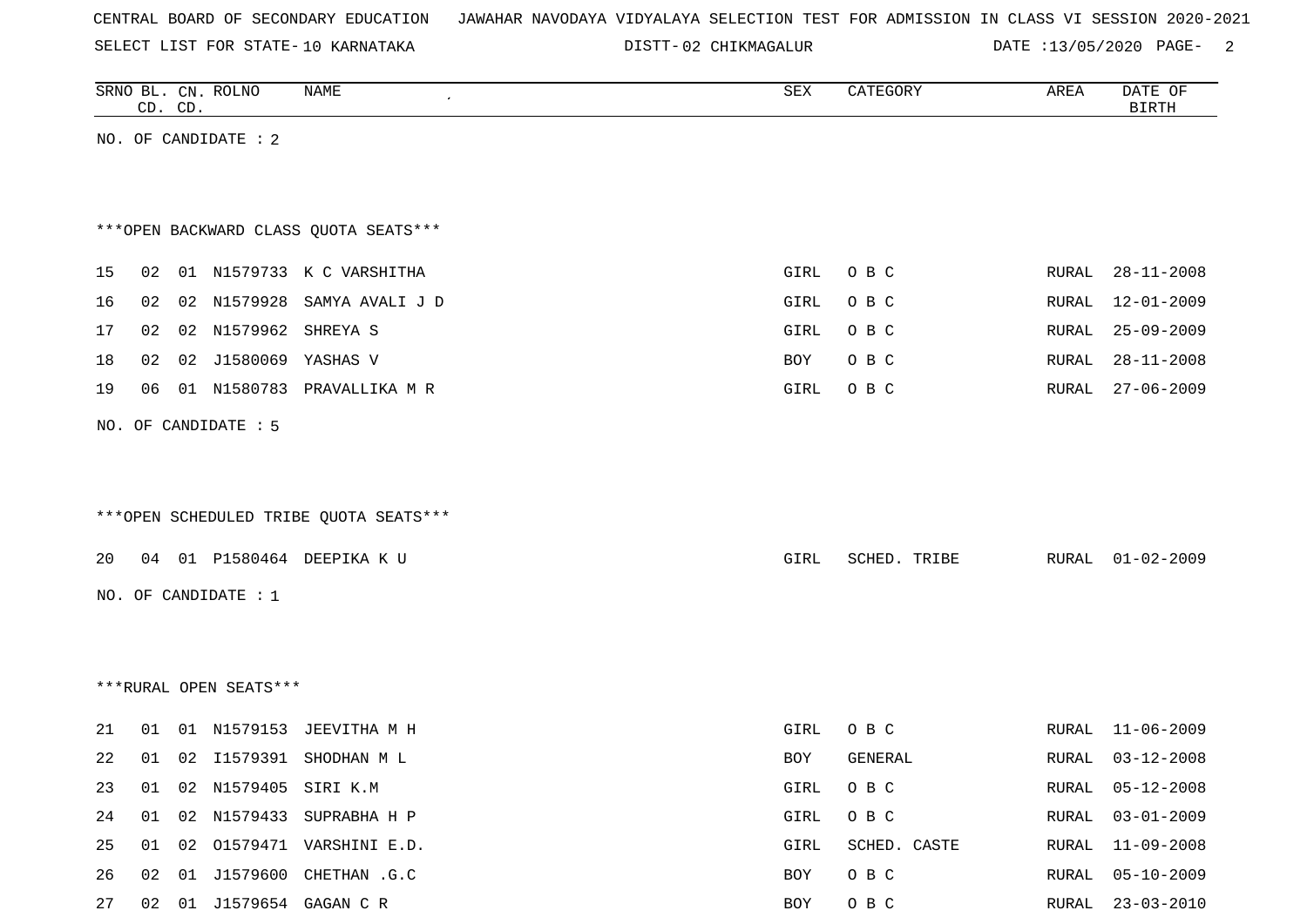SELECT LIST FOR STATE- DISTT- 10 KARNATAKA

02 CHIKMAGALUR DATE :13/05/2020 PAGE- 2

|    |    | CD. CD. | SRNO BL. CN. ROLNO     | NAME                                   | ${\tt SEX}$ | CATEGORY     | AREA  | DATE OF<br><b>BIRTH</b> |
|----|----|---------|------------------------|----------------------------------------|-------------|--------------|-------|-------------------------|
|    |    |         | NO. OF CANDIDATE : 2   |                                        |             |              |       |                         |
|    |    |         |                        |                                        |             |              |       |                         |
|    |    |         |                        |                                        |             |              |       |                         |
|    |    |         |                        | *** OPEN BACKWARD CLASS QUOTA SEATS*** |             |              |       |                         |
| 15 | 02 |         |                        | 01 N1579733 K C VARSHITHA              | GIRL        | O B C        | RURAL | $28 - 11 - 2008$        |
| 16 | 02 |         | 02 N1579928            | SAMYA AVALI J D                        | GIRL        | O B C        | RURAL | $12 - 01 - 2009$        |
| 17 | 02 |         | 02 N1579962 SHREYA S   |                                        | GIRL        | O B C        | RURAL | 25-09-2009              |
| 18 | 02 | 02      | J1580069               | YASHAS V                               | BOY         | O B C        | RURAL | $28 - 11 - 2008$        |
| 19 | 06 |         |                        | 01 N1580783 PRAVALLIKA M R             | GIRL        | O B C        | RURAL | $27 - 06 - 2009$        |
|    |    |         |                        |                                        |             |              |       |                         |
|    |    |         | NO. OF CANDIDATE : 5   |                                        |             |              |       |                         |
|    |    |         |                        |                                        |             |              |       |                         |
|    |    |         |                        |                                        |             |              |       |                         |
|    |    |         |                        | ***OPEN SCHEDULED TRIBE QUOTA SEATS*** |             |              |       |                         |
| 20 |    |         |                        | 04 01 P1580464 DEEPIKA K U             | GIRL        | SCHED. TRIBE | RURAL | $01 - 02 - 2009$        |
|    |    |         | NO. OF CANDIDATE : $1$ |                                        |             |              |       |                         |
|    |    |         |                        |                                        |             |              |       |                         |
|    |    |         |                        |                                        |             |              |       |                         |
|    |    |         |                        |                                        |             |              |       |                         |
|    |    |         | ***RURAL OPEN SEATS*** |                                        |             |              |       |                         |
| 21 | 01 |         |                        | 01 N1579153 JEEVITHA M H               | GIRL        | O B C        | RURAL | $11 - 06 - 2009$        |
| 22 |    |         |                        | 01 02 I1579391 SHODHAN M L             | BOY         | GENERAL      |       | RURAL 03-12-2008        |
| 23 | 01 |         | 02 N1579405 SIRI K.M   |                                        | GIRL        | O B C        | RURAL | $05 - 12 - 2008$        |
| 24 | 01 | 02      |                        | N1579433 SUPRABHA H P                  | GIRL        | O B C        | RURAL | $03 - 01 - 2009$        |
| 25 | 01 | 02      |                        | O1579471 VARSHINI E.D.                 | GIRL        | SCHED. CASTE | RURAL | $11 - 09 - 2008$        |
| 26 | 02 | 01      |                        | J1579600 CHETHAN .G.C                  | BOY         | O B C        | RURAL | $05 - 10 - 2009$        |
| 27 | 02 |         |                        | 01 J1579654 GAGAN C R                  | BOY         | O B C        | RURAL | $23 - 03 - 2010$        |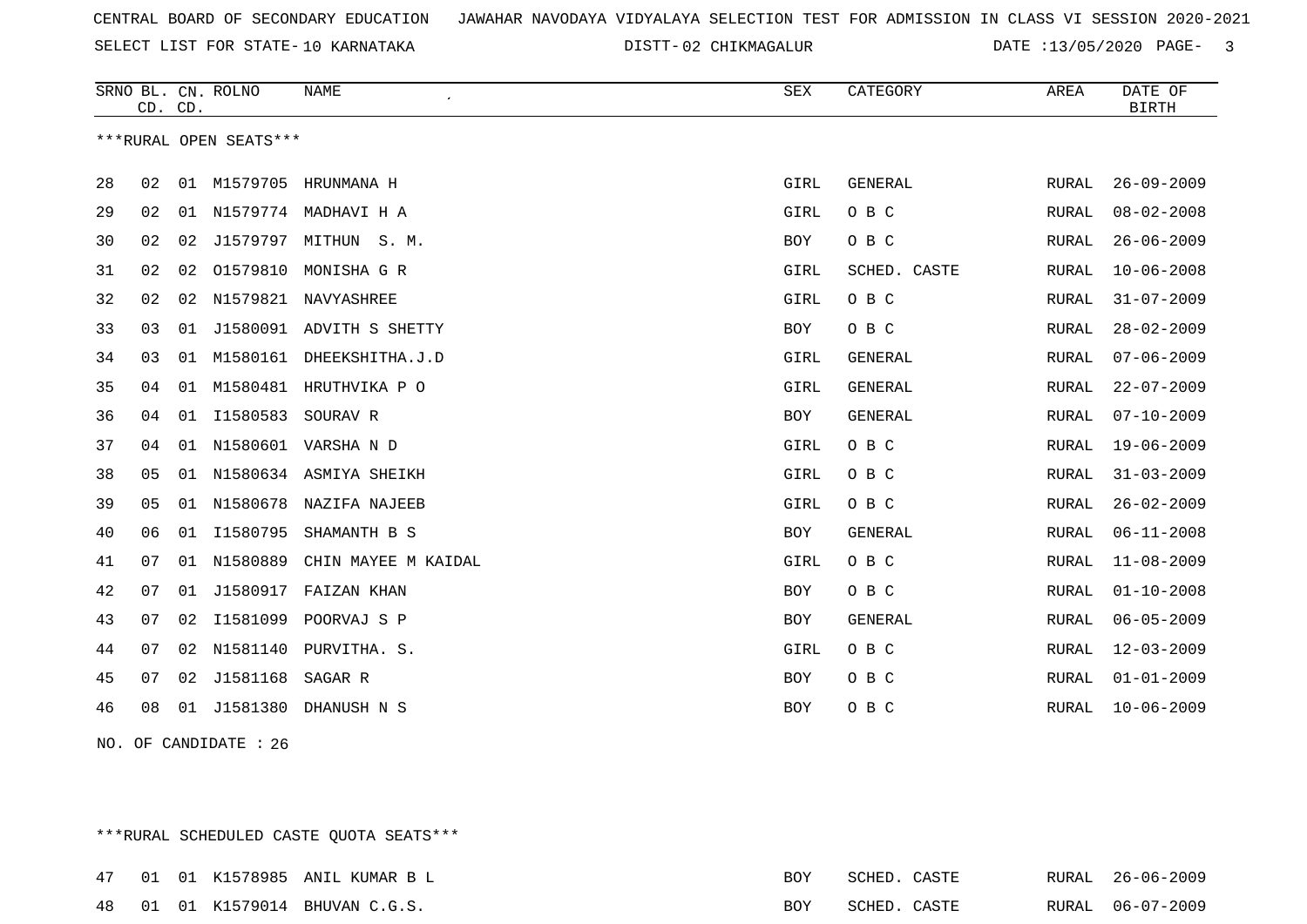SELECT LIST FOR STATE- DISTT- 10 KARNATAKA

DISTT-02 CHIKMAGALUR DATE :13/05/2020 PAGE- 3

|    | CD. CD. |    | SRNO BL. CN. ROLNO     | <b>NAME</b>              | ${\tt SEX}$ | CATEGORY       | AREA         | DATE OF<br><b>BIRTH</b> |
|----|---------|----|------------------------|--------------------------|-------------|----------------|--------------|-------------------------|
|    |         |    | ***RURAL OPEN SEATS*** |                          |             |                |              |                         |
| 28 | 02      |    |                        | 01 M1579705 HRUNMANA H   | GIRL        | <b>GENERAL</b> | RURAL        | $26 - 09 - 2009$        |
| 29 | 02      |    |                        | 01 N1579774 MADHAVI H A  | GIRL        | O B C          | RURAL        | $08 - 02 - 2008$        |
| 30 | 02      | 02 | J1579797               | MITHUN<br>S. M.          | BOY         | O B C          | RURAL        | $26 - 06 - 2009$        |
| 31 | 02      | 02 | 01579810               | MONISHA G R              | GIRL        | SCHED. CASTE   | <b>RURAL</b> | $10 - 06 - 2008$        |
| 32 | 02      | 02 |                        | N1579821 NAVYASHREE      | GIRL        | O B C          | RURAL        | $31 - 07 - 2009$        |
| 33 | 03      | 01 |                        | J1580091 ADVITH S SHETTY | <b>BOY</b>  | O B C          | RURAL        | $28 - 02 - 2009$        |
| 34 | 03      | 01 |                        | M1580161 DHEEKSHITHA.J.D | GIRL        | GENERAL        | RURAL        | $07 - 06 - 2009$        |
| 35 | 04      | 01 |                        | M1580481 HRUTHVIKA P O   | GIRL        | GENERAL        | RURAL        | $22 - 07 - 2009$        |
| 36 | 04      | 01 | I1580583               | SOURAV R                 | BOY         | <b>GENERAL</b> | RURAL        | $07 - 10 - 2009$        |
| 37 | 04      | 01 |                        | N1580601 VARSHA N D      | GIRL        | O B C          | RURAL        | $19 - 06 - 2009$        |
| 38 | 05      | 01 |                        | N1580634 ASMIYA SHEIKH   | GIRL        | O B C          | <b>RURAL</b> | $31 - 03 - 2009$        |
| 39 | 05      | 01 |                        | N1580678 NAZIFA NAJEEB   | GIRL        | O B C          | RURAL        | $26 - 02 - 2009$        |
| 40 | 06      | 01 | I1580795               | SHAMANTH B S             | <b>BOY</b>  | <b>GENERAL</b> | RURAL        | $06 - 11 - 2008$        |
| 41 | 07      | 01 | N1580889               | CHIN MAYEE M KAIDAL      | GIRL        | O B C          | <b>RURAL</b> | $11 - 08 - 2009$        |
| 42 | 07      | 01 | J1580917               | FAIZAN KHAN              | <b>BOY</b>  | O B C          | RURAL        | $01 - 10 - 2008$        |
| 43 | 07      | 02 | I1581099               | POORVAJ S P              | BOY         | GENERAL        | RURAL        | $06 - 05 - 2009$        |
| 44 | 07      | 02 | N1581140               | PURVITHA. S.             | GIRL        | O B C          | RURAL        | $12 - 03 - 2009$        |
| 45 | 07      | 02 | J1581168               | SAGAR R                  | BOY         | O B C          | RURAL        | $01 - 01 - 2009$        |
| 46 | 08      |    |                        | 01 J1581380 DHANUSH N S  | <b>BOY</b>  | O B C          | RURAL        | $10 - 06 - 2009$        |

NO. OF CANDIDATE : 26

\*\*\*RURAL SCHEDULED CASTE QUOTA SEATS\*\*\*

|  |  | 47 01 01 K1578985 ANIL KUMAR B L | BOY | SCHED. CASTE |  | RURAL 26-06-2009 |
|--|--|----------------------------------|-----|--------------|--|------------------|
|  |  | 48 01 01 K1579014 BHUVAN C.G.S.  | BOY | SCHED. CASTE |  | RURAL 06-07-2009 |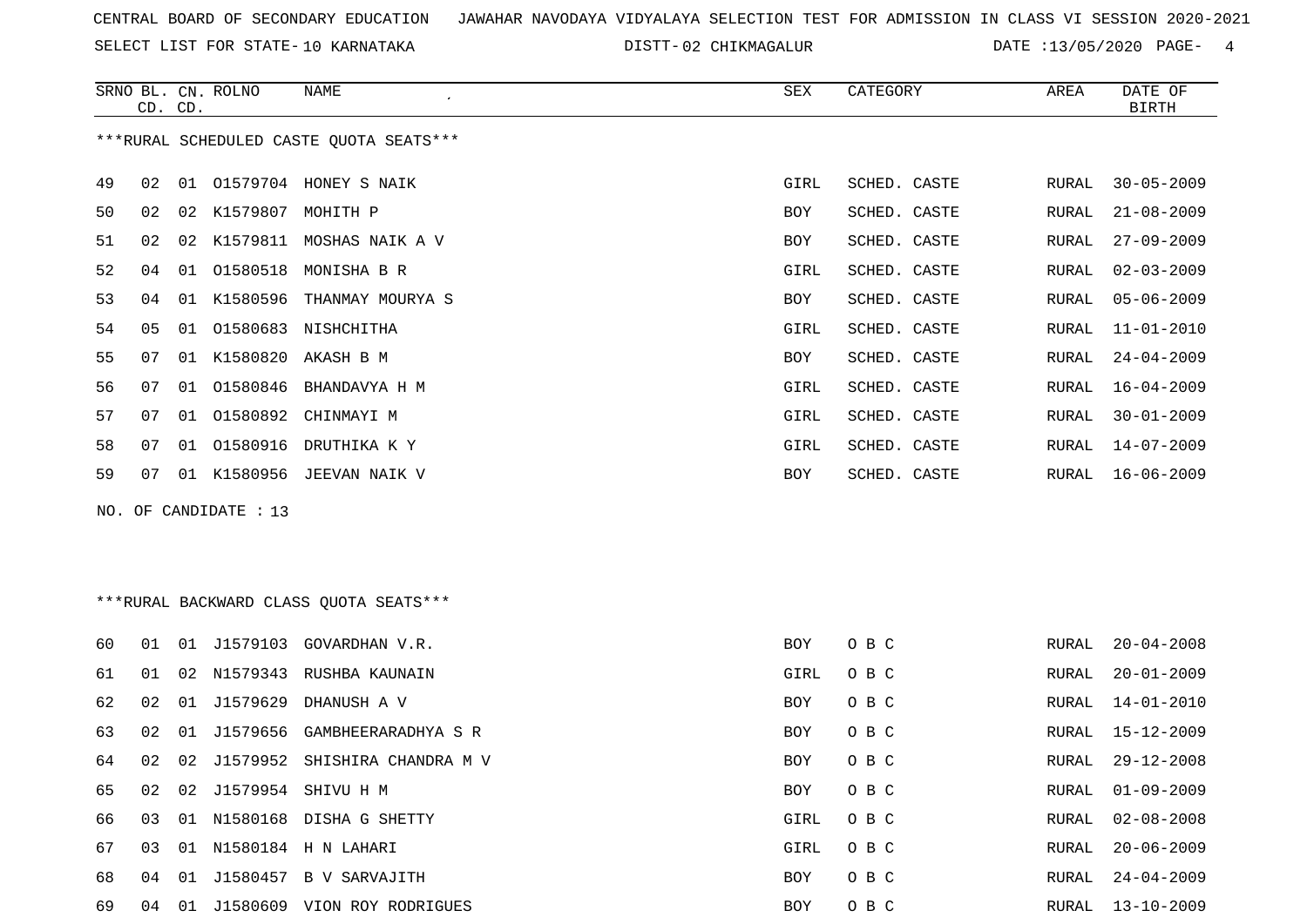SELECT LIST FOR STATE- DISTT- 10 KARNATAKA

02 CHIKMAGALUR DATE :13/05/2020 PAGE- 4

|     | CD. CD. |    | SRNO BL. CN. ROLNO   | <b>NAME</b>                              | SEX        | CATEGORY     | AREA         | DATE OF<br><b>BIRTH</b> |
|-----|---------|----|----------------------|------------------------------------------|------------|--------------|--------------|-------------------------|
|     |         |    |                      | *** RURAL SCHEDULED CASTE QUOTA SEATS*** |            |              |              |                         |
| 49  | 02      |    |                      | 01 01579704 HONEY S NAIK                 | GIRL       | SCHED. CASTE | RURAL        | $30 - 05 - 2009$        |
| 50  | 02      |    | 02 K1579807 MOHITH P |                                          | BOY        | SCHED. CASTE | <b>RURAL</b> | $21 - 08 - 2009$        |
| 51  | 02      |    |                      | 02 K1579811 MOSHAS NAIK A V              | BOY        | SCHED. CASTE | <b>RURAL</b> | $27 - 09 - 2009$        |
| 52  | 04      | 01 | 01580518             | MONISHA B R                              | GIRL       | SCHED. CASTE | RURAL        | $02 - 03 - 2009$        |
| 53  | 04      |    | 01 K1580596          | THANMAY MOURYA S                         | BOY        | SCHED. CASTE | RURAL        | $05 - 06 - 2009$        |
| 54  | 05      | 01 |                      | 01580683 NISHCHITHA                      | GIRL       | SCHED. CASTE | RURAL        | $11 - 01 - 2010$        |
| 55  | 07      |    |                      | 01 K1580820 AKASH B M                    | BOY        | SCHED. CASTE | RURAL        | $24 - 04 - 2009$        |
| 56  | 07      | 01 | 01580846             | BHANDAVYA H M                            | GIRL       | SCHED. CASTE | RURAL        | $16 - 04 - 2009$        |
| 57  | 07      |    |                      | 01 01580892 CHINMAYI M                   | GIRL       | SCHED. CASTE | RURAL        | $30 - 01 - 2009$        |
| 58  | 07      |    | 01 01580916          | DRUTHIKA K Y                             | GIRL       | SCHED. CASTE | RURAL        | $14 - 07 - 2009$        |
| 59  | 07      |    |                      | 01 K1580956 JEEVAN NAIK V                | BOY        | SCHED. CASTE | RURAL        | $16 - 06 - 2009$        |
| NO. |         |    | OF CANDIDATE : 13    |                                          |            |              |              |                         |
|     |         |    |                      |                                          |            |              |              |                         |
|     |         |    |                      |                                          |            |              |              |                         |
|     |         |    |                      | ***RURAL BACKWARD CLASS QUOTA SEATS***   |            |              |              |                         |
| 60  | 01      |    |                      | 01 J1579103 GOVARDHAN V.R.               | <b>BOY</b> | O B C        | RURAL        | $20 - 04 - 2008$        |
| 61  | 01      | 02 |                      | N1579343 RUSHBA KAUNAIN                  | GIRL       | O B C        | RURAL        | $20 - 01 - 2009$        |
| 62  | 02      | 01 | J1579629             | DHANUSH A V                              | <b>BOY</b> | O B C        | RURAL        | $14 - 01 - 2010$        |
| 63  | 02      | 01 | J1579656             | GAMBHEERARADHYA S R                      | BOY        | O B C        | RURAL        | $15 - 12 - 2009$        |
| 64  | 02      | 02 | J1579952             | SHISHIRA CHANDRA M V                     | BOY        | O B C        | RURAL        | $29 - 12 - 2008$        |
| 65  | 02      |    |                      | 02 J1579954 SHIVU H M                    | BOY        | O B C        | RURAL        | $01 - 09 - 2009$        |
|     |         |    |                      |                                          |            |              |              |                         |

67 03 01 N1580184 H N LAHARI GIRL O B C

68 04 01 J1580457 B V SARVAJITH BOY O B C RURAL 24-04-2009

69 04 01 J1580609 VION ROY RODRIGUES BOY O B C RURAL 13-10-2009

66 03 01 N1580168 DISHA G SHETTY GIRL O B C RURAL 02-08-2008 RURAL 20-06-2009 RURAL 24-04-2009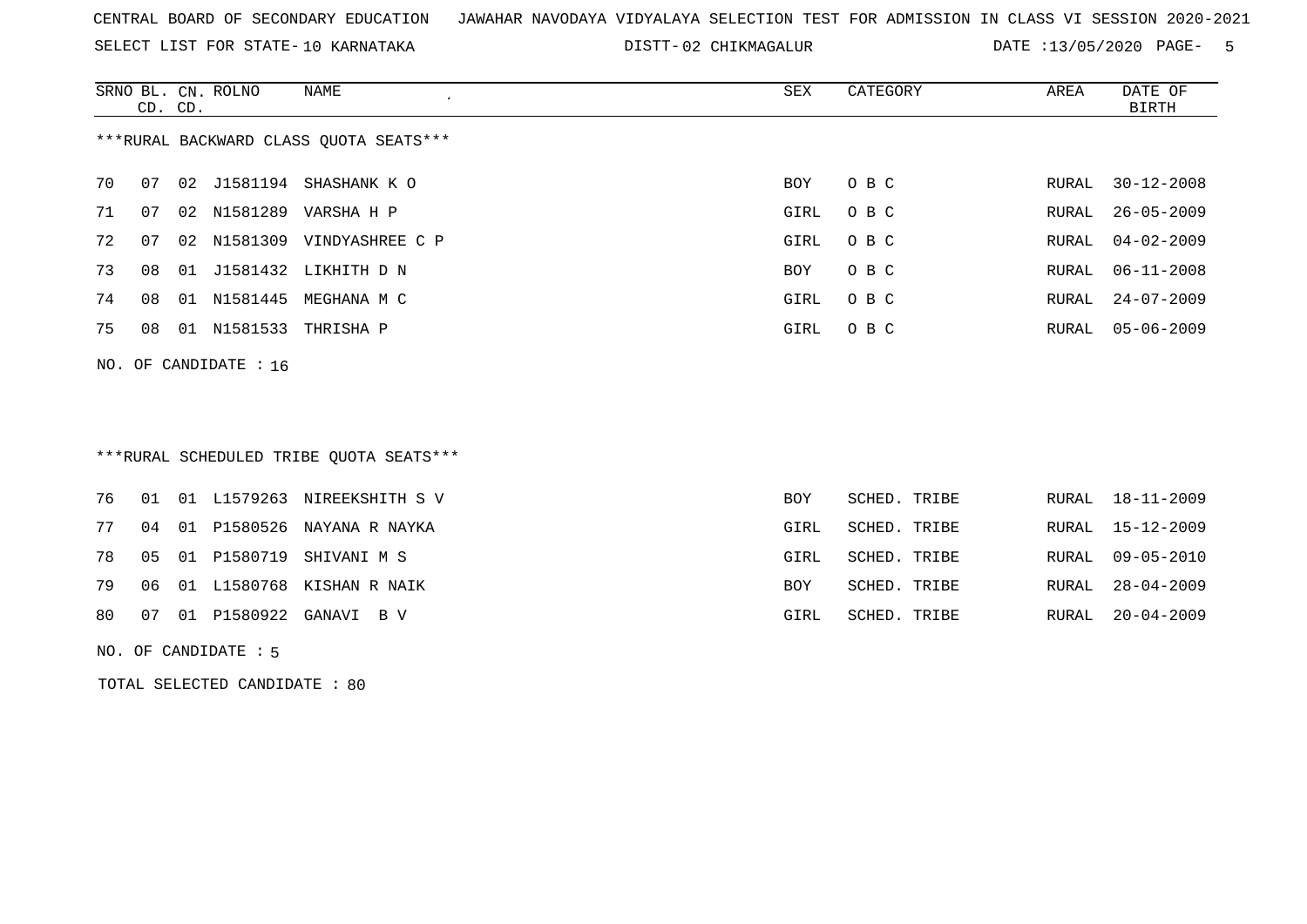SELECT LIST FOR STATE- DISTT- 10 KARNATAKA

DISTT-02 CHIKMAGALUR DATE :13/05/2020 PAGE- 5

|    | CD. CD. |    | SRNO BL. CN. ROLNO      | NAME                                   | SEX  | CATEGORY | AREA  | DATE OF<br>BIRTH |
|----|---------|----|-------------------------|----------------------------------------|------|----------|-------|------------------|
|    |         |    |                         | ***RURAL BACKWARD CLASS OUOTA SEATS*** |      |          |       |                  |
| 70 | 07      |    |                         | 02 J1581194 SHASHANK KO                | BOY  | O B C    | RURAL | 30-12-2008       |
| 71 | 07      |    | 02 N1581289             | VARSHA H P                             | GIRL | O B C    | RURAL | $26 - 05 - 2009$ |
| 72 | 07      |    |                         | 02 N1581309 VINDYASHREE C P            | GIRL | O B C    | RURAL | 04-02-2009       |
| 73 | 08      |    |                         | 01 J1581432 LIKHITH D N                | BOY  | O B C    | RURAL | $06 - 11 - 2008$ |
| 74 | 08      |    |                         | 01 N1581445 MEGHANA M C                | GIRL | O B C    |       | RURAL 24-07-2009 |
| 75 | 08      | 01 |                         | N1581533 THRISHA P                     | GIRL | O B C    | RURAL | $05 - 06 - 2009$ |
|    |         |    | NO. OF CANDIDATE : $16$ |                                        |      |          |       |                  |

# \*\*\*RURAL SCHEDULED TRIBE QUOTA SEATS\*\*\*

|  |  | 76 01 01 L1579263 NIREEKSHITH S V   | <b>BOY</b> | SCHED. TRIBE | RURAL 18-11-2009 |
|--|--|-------------------------------------|------------|--------------|------------------|
|  |  | 77 04 01 P1580526 NAYANA R NAYKA    | GIRL       | SCHED. TRIBE | RURAL 15-12-2009 |
|  |  | 78  05  01  P1580719  SHIVANI  M  S | GIRL       | SCHED. TRIBE | RURAL 09-05-2010 |
|  |  | 79 06 01 L1580768 KISHAN R NAIK     | <b>BOY</b> | SCHED. TRIBE | RURAL 28-04-2009 |
|  |  | 80  07  01  P1580922  GANAVI  B  V  | GIRL       | SCHED. TRIBE | RURAL 20-04-2009 |
|  |  |                                     |            |              |                  |

NO. OF CANDIDATE : 5

TOTAL SELECTED CANDIDATE : 80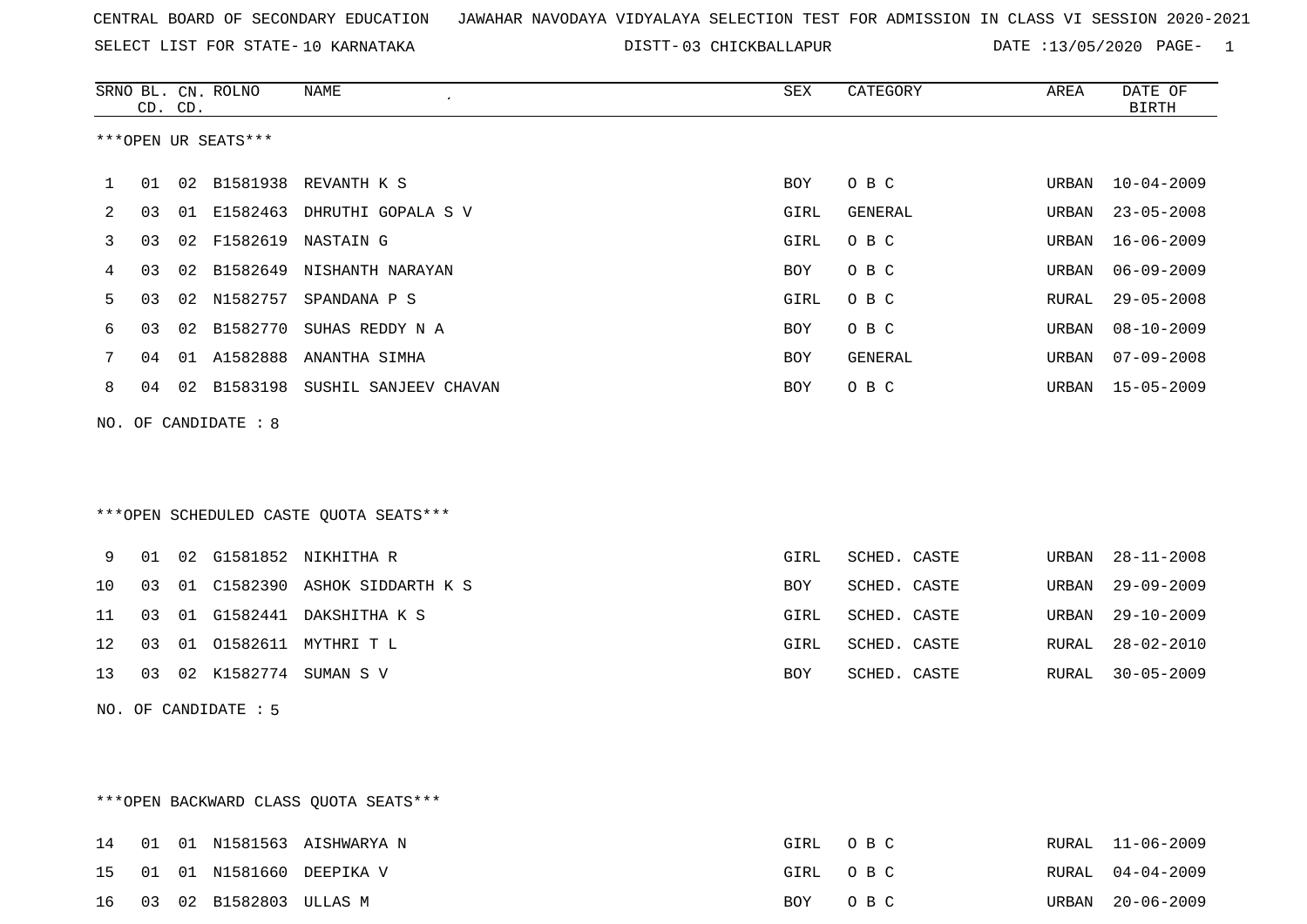SELECT LIST FOR STATE- DISTT- 10 KARNATAKA

03 CHICKBALLAPUR DATE :13/05/2020 PAGE- 1

|    |    | CD. CD. | SRNO BL. CN. ROLNO   | <b>NAME</b>                            | SEX        | CATEGORY     | AREA         | DATE OF<br><b>BIRTH</b> |
|----|----|---------|----------------------|----------------------------------------|------------|--------------|--------------|-------------------------|
|    |    |         | ***OPEN UR SEATS***  |                                        |            |              |              |                         |
| 1  | 01 | 02      | B1581938             | REVANTH K S                            | <b>BOY</b> | O B C        | URBAN        | $10 - 04 - 2009$        |
| 2  | 03 | 01      | E1582463             | DHRUTHI GOPALA S V                     | GIRL       | GENERAL      | URBAN        | $23 - 05 - 2008$        |
| 3  | 03 | 02      | F1582619             | NASTAIN G                              | GIRL       | O B C        | URBAN        | $16 - 06 - 2009$        |
| 4  | 03 | 02      | B1582649             | NISHANTH NARAYAN                       | BOY        | O B C        | URBAN        | $06 - 09 - 2009$        |
| 5  | 03 | 02      | N1582757             | SPANDANA P S                           | GIRL       | O B C        | RURAL        | $29 - 05 - 2008$        |
| 6  | 03 | 02      | B1582770             | SUHAS REDDY N A                        | <b>BOY</b> | O B C        | URBAN        | $08 - 10 - 2009$        |
| 7  | 04 |         | 01 A1582888          | ANANTHA SIMHA                          | <b>BOY</b> | GENERAL      | URBAN        | $07 - 09 - 2008$        |
| 8  | 04 | 02      | B1583198             | SUSHIL SANJEEV CHAVAN                  | <b>BOY</b> | O B C        | URBAN        | $15 - 05 - 2009$        |
|    |    |         | NO. OF CANDIDATE : 8 |                                        |            |              |              |                         |
|    |    |         |                      |                                        |            |              |              |                         |
|    |    |         |                      |                                        |            |              |              |                         |
|    |    |         |                      | ***OPEN SCHEDULED CASTE QUOTA SEATS*** |            |              |              |                         |
| 9  | 01 | 02      | G1581852             | NIKHITHA R                             | GIRL       | SCHED. CASTE | URBAN        | $28 - 11 - 2008$        |
| 10 | 03 | 01      |                      | C1582390 ASHOK SIDDARTH K S            | <b>BOY</b> | SCHED. CASTE | URBAN        | $29 - 09 - 2009$        |
| 11 | 03 | 01      | G1582441             | DAKSHITHA K S                          | GIRL       | SCHED. CASTE | URBAN        | $29 - 10 - 2009$        |
| 12 | 03 | 01      | 01582611             | MYTHRI T L                             | GIRL       | SCHED. CASTE | <b>RURAL</b> | $28 - 02 - 2010$        |
| 13 | 03 |         | 02 K1582774          | SUMAN S V                              | <b>BOY</b> | SCHED. CASTE | RURAL        | $30 - 05 - 2009$        |
|    |    |         | NO. OF CANDIDATE : 5 |                                        |            |              |              |                         |

\*\*\*OPEN BACKWARD CLASS QUOTA SEATS\*\*\*

|  |                           | 14 01 01 N1581563 AISHWARYA N | GIRL OBC | RURAL 11-06-2009 |
|--|---------------------------|-------------------------------|----------|------------------|
|  |                           | 15 01 01 N1581660 DEEPIKA V   | GIRL OBC | RURAL 04-04-2009 |
|  | 16 03 02 B1582803 ULLAS M |                               | BOY OBC  | URBAN 20-06-2009 |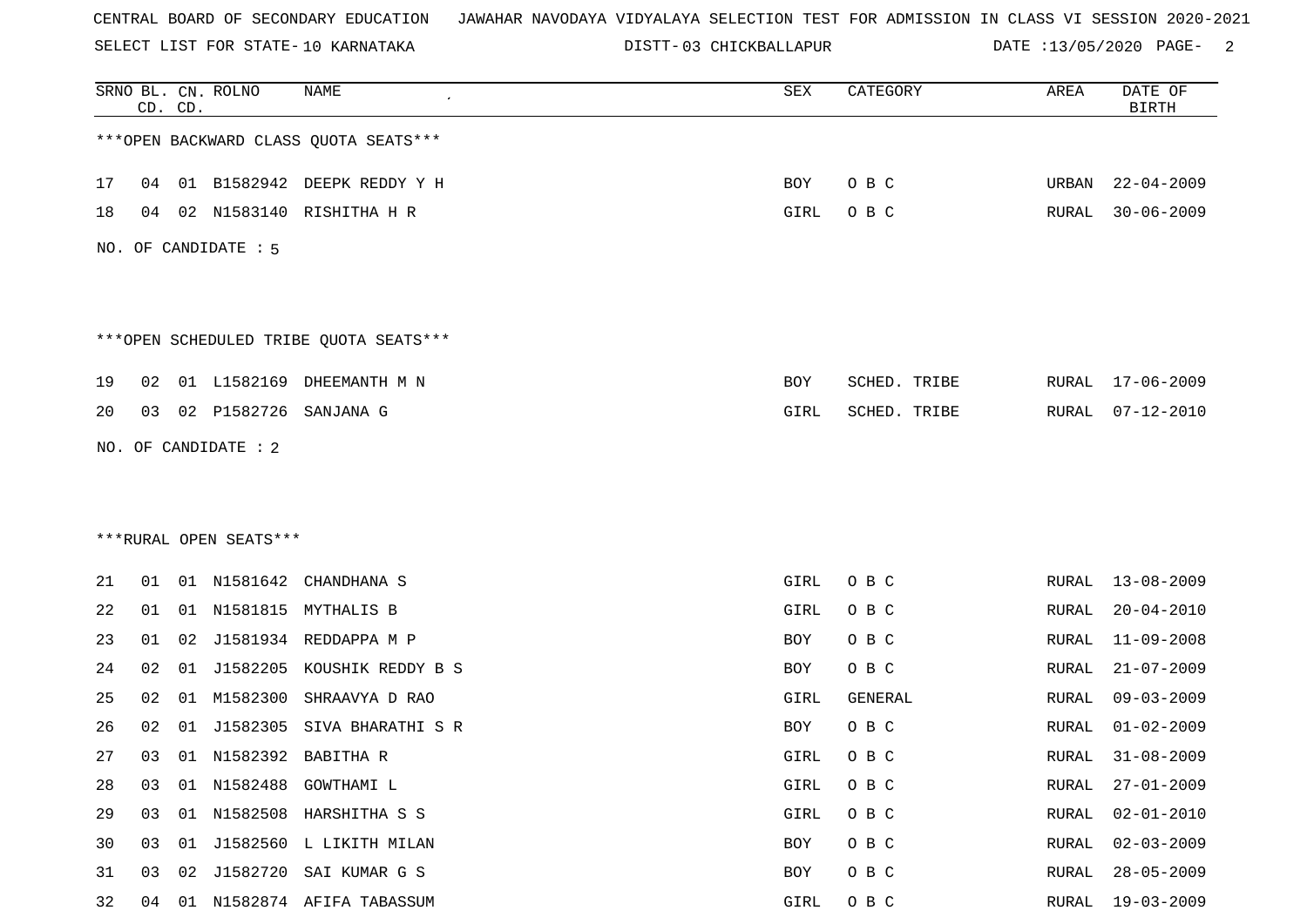SELECT LIST FOR STATE- DISTT- 10 KARNATAKA

03 CHICKBALLAPUR DATE :13/05/2020 PAGE- 2

|    | CD. CD. |    | SRNO BL. CN. ROLNO     | <b>NAME</b>                            | SEX  | CATEGORY     | AREA  | DATE OF<br><b>BIRTH</b> |
|----|---------|----|------------------------|----------------------------------------|------|--------------|-------|-------------------------|
|    |         |    |                        | *** OPEN BACKWARD CLASS QUOTA SEATS*** |      |              |       |                         |
| 17 | 04      |    |                        | 01 B1582942 DEEPK REDDY Y H            | BOY  | O B C        | URBAN | $22 - 04 - 2009$        |
| 18 | 04      |    |                        | 02 N1583140 RISHITHA H R               | GIRL | O B C        | RURAL | $30 - 06 - 2009$        |
|    |         |    | NO. OF CANDIDATE : 5   |                                        |      |              |       |                         |
|    |         |    |                        | ***OPEN SCHEDULED TRIBE QUOTA SEATS*** |      |              |       |                         |
| 19 | 02      |    |                        | 01 L1582169 DHEEMANTH M N              | BOY  | SCHED. TRIBE | RURAL | 17-06-2009              |
| 20 |         |    | 03 02 P1582726         | SANJANA G                              | GIRL | SCHED. TRIBE | RURAL | $07 - 12 - 2010$        |
|    |         |    | NO. OF CANDIDATE : 2   |                                        |      |              |       |                         |
|    |         |    |                        |                                        |      |              |       |                         |
|    |         |    |                        |                                        |      |              |       |                         |
|    |         |    | ***RURAL OPEN SEATS*** |                                        |      |              |       |                         |
| 21 |         |    |                        | 01 01 N1581642 CHANDHANA S             | GIRL | O B C        |       | RURAL 13-08-2009        |
| 22 | 01      |    |                        | 01 N1581815 MYTHALIS B                 | GIRL | O B C        | RURAL | $20 - 04 - 2010$        |
| 23 | 01      | 02 |                        | J1581934 REDDAPPA M P                  | BOY  | O B C        | RURAL | $11 - 09 - 2008$        |
| 24 | 02      | 01 | J1582205               | KOUSHIK REDDY B S                      | BOY  | O B C        | RURAL | $21 - 07 - 2009$        |
| 25 | 02      |    |                        | 01 M1582300 SHRAAVYA D RAO             | GIRL | GENERAL      | RURAL | $09 - 03 - 2009$        |
| 26 | 02      | 01 | J1582305               | SIVA BHARATHI S R                      | BOY  | O B C        | RURAL | $01 - 02 - 2009$        |
| 27 |         |    |                        | 03 01 N1582392 BABITHA R               | GIRL | O B C        | RURAL | $31 - 08 - 2009$        |
| 28 | 03      |    |                        | 01 N1582488 GOWTHAMI L                 | GIRL | O B C        | RURAL | $27 - 01 - 2009$        |
| 29 | 03      |    |                        | 01 N1582508 HARSHITHA S S              | GIRL | O B C        | RURAL | $02 - 01 - 2010$        |
| 30 | 03      |    |                        | 01 J1582560 L LIKITH MILAN             | BOY  | O B C        | RURAL | $02 - 03 - 2009$        |
| 31 | 03      | 02 |                        | J1582720 SAI KUMAR G S                 | BOY  | O B C        | RURAL | $28 - 05 - 2009$        |
| 32 |         |    |                        | 04 01 N1582874 AFIFA TABASSUM          | GIRL | O B C        |       | RURAL 19-03-2009        |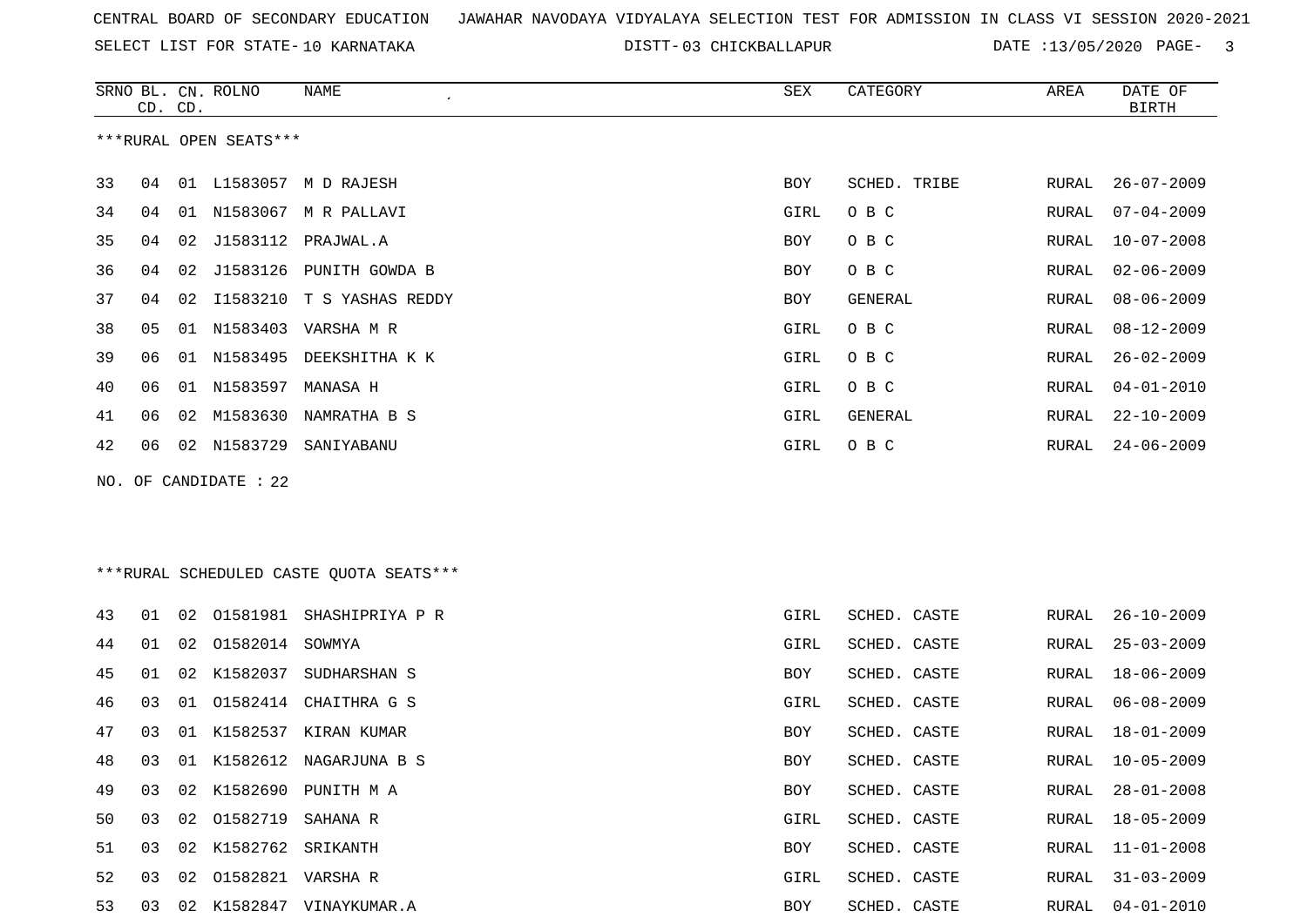SELECT LIST FOR STATE- DISTT- 10 KARNATAKA

03 CHICKBALLAPUR DATE :13/05/2020 PAGE- 3

|    | CD. CD. |    | SRNO BL. CN. ROLNO     | NAME                                    | SEX        | CATEGORY     | AREA  | DATE OF<br><b>BIRTH</b> |
|----|---------|----|------------------------|-----------------------------------------|------------|--------------|-------|-------------------------|
|    |         |    | ***RURAL OPEN SEATS*** |                                         |            |              |       |                         |
| 33 | 04      |    |                        | 01 L1583057 M D RAJESH                  | BOY        | SCHED. TRIBE | RURAL | $26 - 07 - 2009$        |
| 34 | 04      |    |                        | 01 N1583067 M R PALLAVI                 | GIRL       | O B C        | RURAL | $07 - 04 - 2009$        |
| 35 | 04      | 02 |                        | J1583112 PRAJWAL.A                      | BOY        | O B C        | RURAL | $10 - 07 - 2008$        |
| 36 | 04      | 02 | J1583126               | PUNITH GOWDA B                          | BOY        | O B C        | RURAL | $02 - 06 - 2009$        |
| 37 | 04      | 02 | I1583210               | T S YASHAS REDDY                        | BOY        | GENERAL      | RURAL | $08 - 06 - 2009$        |
| 38 | 05      |    | 01 N1583403            | VARSHA M R                              | GIRL       | O B C        | RURAL | $08 - 12 - 2009$        |
| 39 | 06      | 01 | N1583495               | DEEKSHITHA K K                          | GIRL       | O B C        | RURAL | $26 - 02 - 2009$        |
| 40 | 06      |    | 01 N1583597 MANASA H   |                                         | GIRL       | O B C        | RURAL | $04 - 01 - 2010$        |
| 41 | 06      | 02 | M1583630               | NAMRATHA B S                            | GIRL       | GENERAL      | RURAL | $22 - 10 - 2009$        |
| 42 | 06      |    |                        | 02 N1583729 SANIYABANU                  | GIRL       | O B C        | RURAL | $24 - 06 - 2009$        |
|    |         |    | NO. OF CANDIDATE : 22  |                                         |            |              |       |                         |
|    |         |    |                        |                                         |            |              |       |                         |
|    |         |    |                        |                                         |            |              |       |                         |
|    |         |    |                        | ***RURAL SCHEDULED CASTE QUOTA SEATS*** |            |              |       |                         |
| 43 | 01      | 02 | 01581981               | SHASHIPRIYA P R                         | GIRL       | SCHED. CASTE | RURAL | $26 - 10 - 2009$        |
| 44 | 01      | 02 | 01582014               | SOWMYA                                  | GIRL       | SCHED. CASTE | RURAL | $25 - 03 - 2009$        |
| 45 | 01      | 02 | K1582037               | SUDHARSHAN S                            | BOY        | SCHED. CASTE | RURAL | 18-06-2009              |
| 46 | 03      | 01 | 01582414               | CHAITHRA G S                            | GIRL       | SCHED. CASTE | RURAL | $06 - 08 - 2009$        |
| 47 | 03      | 01 |                        | K1582537 KIRAN KUMAR                    | BOY        | SCHED. CASTE | RURAL | 18-01-2009              |
| 48 | 03      |    |                        | 01 K1582612 NAGARJUNA B S               | <b>BOY</b> | SCHED. CASTE | RURAL | $10 - 05 - 2009$        |
| 49 | 03      |    |                        | 02 K1582690 PUNITH M A                  | BOY        | SCHED. CASTE | RURAL | $28 - 01 - 2008$        |
| 50 | 03      | 02 | 01582719               | SAHANA R                                | GIRL       | SCHED. CASTE | RURAL | $18 - 05 - 2009$        |
| 51 | 03      | 02 | K1582762 SRIKANTH      |                                         | BOY        | SCHED. CASTE | RURAL | $11 - 01 - 2008$        |
| 52 | 03      | 02 | 01582821 VARSHA R      |                                         | GIRL       | SCHED. CASTE | RURAL | $31 - 03 - 2009$        |
| 53 | 03      |    |                        | 02 K1582847 VINAYKUMAR.A                | BOY        | SCHED. CASTE | RURAL | $04 - 01 - 2010$        |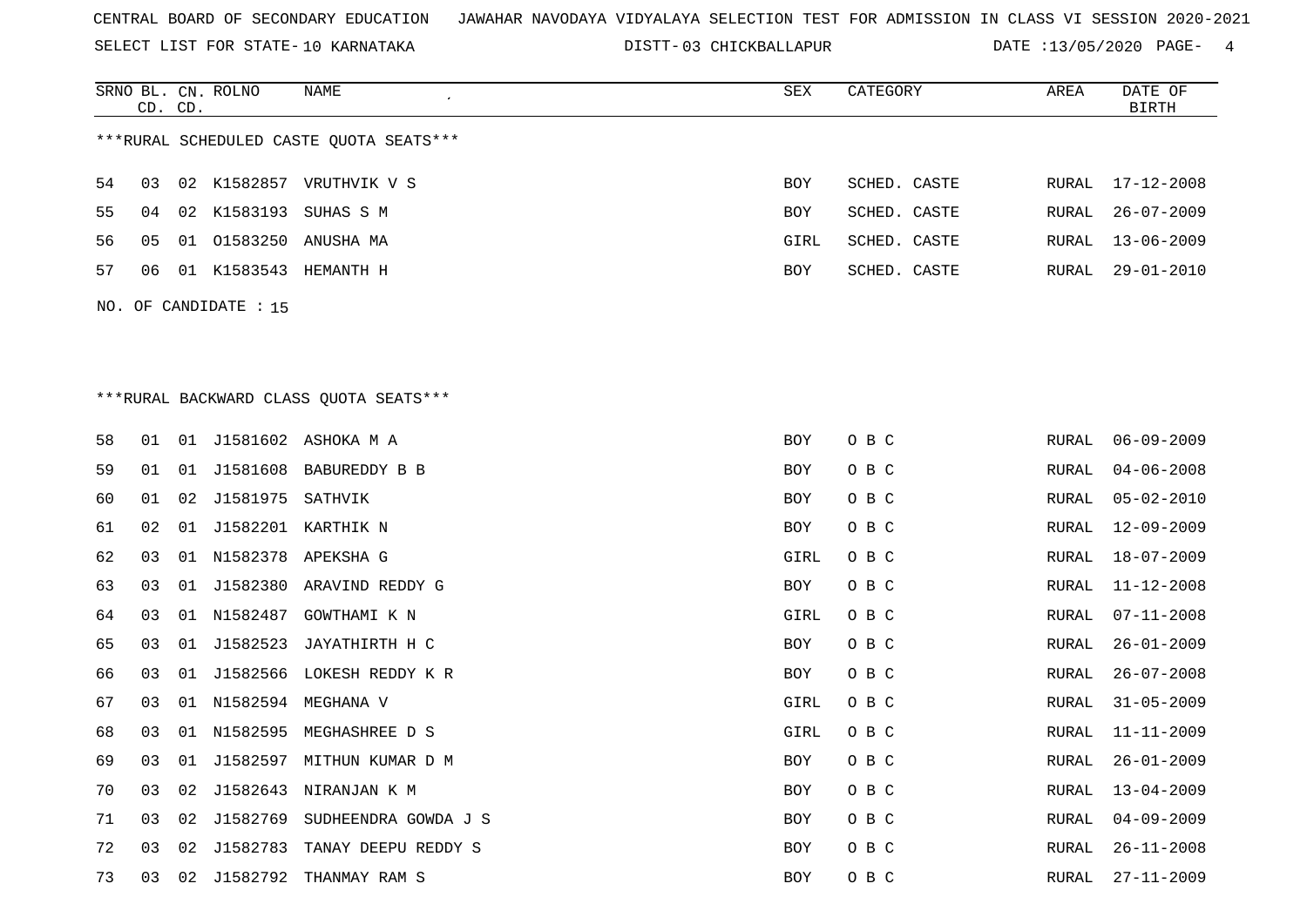SELECT LIST FOR STATE- DISTT- 10 KARNATAKA

03 CHICKBALLAPUR DATE :13/05/2020 PAGE- 4

|    | CD. CD. |    | SRNO BL. CN. ROLNO    | NAME                                    | SEX        | CATEGORY     | AREA          | DATE OF<br><b>BIRTH</b> |
|----|---------|----|-----------------------|-----------------------------------------|------------|--------------|---------------|-------------------------|
|    |         |    |                       | ***RURAL SCHEDULED CASTE QUOTA SEATS*** |            |              |               |                         |
| 54 | 03      |    |                       | 02 K1582857 VRUTHVIK V S                | <b>BOY</b> | SCHED. CASTE | RURAL         | $17 - 12 - 2008$        |
| 55 | 04      |    |                       | 02 K1583193 SUHAS S M                   | <b>BOY</b> | SCHED. CASTE | ${\tt RURAL}$ | $26 - 07 - 2009$        |
| 56 | 05      |    |                       | 01 01583250 ANUSHA MA                   | GIRL       | SCHED. CASTE | RURAL         | $13 - 06 - 2009$        |
| 57 | 06      |    |                       | 01 K1583543 HEMANTH H                   | BOY        | SCHED. CASTE | RURAL         | $29 - 01 - 2010$        |
|    |         |    | NO. OF CANDIDATE : 15 |                                         |            |              |               |                         |
|    |         |    |                       |                                         |            |              |               |                         |
|    |         |    |                       |                                         |            |              |               |                         |
|    |         |    |                       | *** RURAL BACKWARD CLASS QUOTA SEATS*** |            |              |               |                         |
|    |         |    |                       |                                         |            |              |               |                         |
| 58 | 01      |    |                       | 01 J1581602 ASHOKA M A                  | <b>BOY</b> | O B C        | RURAL         | $06 - 09 - 2009$        |
| 59 | 01      |    |                       | 01 J1581608 BABUREDDY B B               | <b>BOY</b> | O B C        | RURAL         | $04 - 06 - 2008$        |
| 60 | 01      | 02 | J1581975 SATHVIK      |                                         | <b>BOY</b> | O B C        | RURAL         | $05 - 02 - 2010$        |
| 61 | 02      | 01 |                       | J1582201 KARTHIK N                      | BOY        | O B C        | RURAL         | $12 - 09 - 2009$        |
| 62 | 03      |    |                       | 01 N1582378 APEKSHA G                   | GIRL       | O B C        | RURAL         | $18 - 07 - 2009$        |
| 63 | 03      |    |                       | 01 J1582380 ARAVIND REDDY G             | BOY        | O B C        | RURAL         | $11 - 12 - 2008$        |
| 64 | 03      |    |                       | 01 N1582487 GOWTHAMI K N                | GIRL       | O B C        | RURAL         | $07 - 11 - 2008$        |
| 65 | 03      | 01 |                       | J1582523 JAYATHIRTH H C                 | BOY        | O B C        | RURAL         | $26 - 01 - 2009$        |
| 66 | 03      |    |                       | 01 J1582566 LOKESH REDDY K R            | <b>BOY</b> | O B C        | RURAL         | $26 - 07 - 2008$        |
| 67 | 03      |    |                       | 01 N1582594 MEGHANA V                   | GIRL       | O B C        | RURAL         | $31 - 05 - 2009$        |
| 68 | 03      |    |                       | 01 N1582595 MEGHASHREE D S              | GIRL       | O B C        | RURAL         | $11 - 11 - 2009$        |
| 69 | 03      |    |                       | 01 J1582597 MITHUN KUMAR D M            | <b>BOY</b> | O B C        | RURAL         | $26 - 01 - 2009$        |
| 70 | 03      | 02 |                       | J1582643 NIRANJAN K M                   | BOY        | O B C        | RURAL         | $13 - 04 - 2009$        |
| 71 | 03      | 02 |                       | J1582769 SUDHEENDRA GOWDA J S           | BOY        | O B C        | RURAL         | $04 - 09 - 2009$        |
| 72 | 03      | 02 | J1582783              | TANAY DEEPU REDDY S                     | <b>BOY</b> | O B C        | <b>RURAL</b>  | $26 - 11 - 2008$        |
| 73 | 03      |    |                       | 02 J1582792 THANMAY RAM S               | <b>BOY</b> | O B C        | RURAL         | $27 - 11 - 2009$        |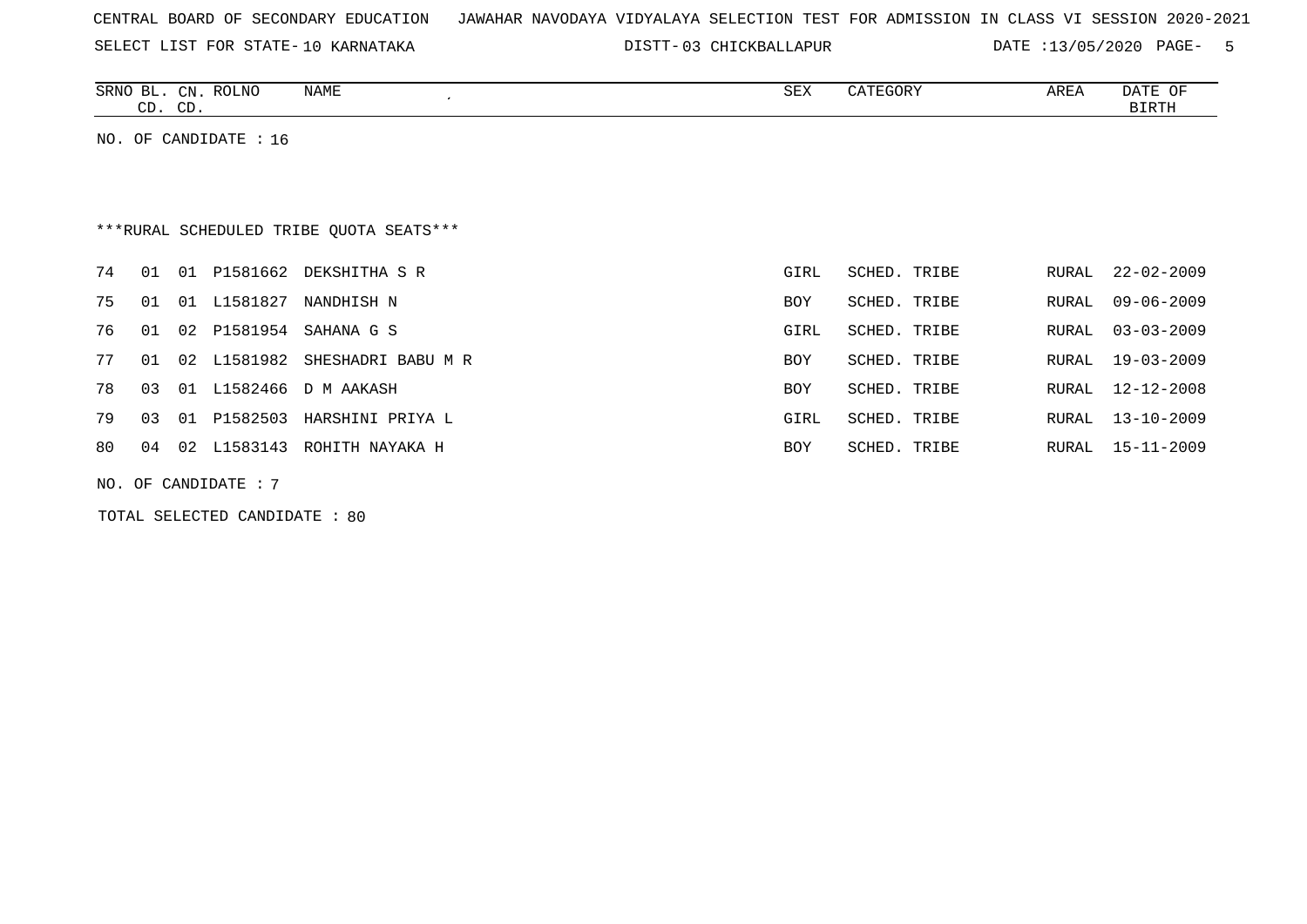|  |  |  | CENTRAL BOARD OF SECONDARY EDUCATION – JAWAHAR NAVODAYA VIDYALAYA SELECTION TEST FOR ADMISSION IN CLASS VI SESSION 2020-2021 |  |  |  |  |  |  |  |  |  |  |  |  |  |  |
|--|--|--|------------------------------------------------------------------------------------------------------------------------------|--|--|--|--|--|--|--|--|--|--|--|--|--|--|
|--|--|--|------------------------------------------------------------------------------------------------------------------------------|--|--|--|--|--|--|--|--|--|--|--|--|--|--|

03 CHICKBALLAPUR DATE :13/05/2020 PAGE- 5

| SRNO<br>൧     | CΝ<br>$\sim$ $\sim$ | <b>ROLNO</b> | <b>NAME</b> | SEX | $\sqrt{2}$<br>エレュリド | <b>AREA</b> | B <sub>m</sub><br>$\sim$ $\sim$<br>DAIL<br>UF. |
|---------------|---------------------|--------------|-------------|-----|---------------------|-------------|------------------------------------------------|
| $\cap$<br>، ب | $\cap$<br>ىت        |              |             |     |                     |             | . והחרד רי                                     |

NO. OF CANDIDATE : 16

# \*\*\*RURAL SCHEDULED TRIBE QUOTA SEATS\*\*\*

| 74 |     |    |                  | 01 01 P1581662 DEKSHITHA S R   | GIRL       | SCHED. TRIBE |       | RURAL 22-02-2009 |
|----|-----|----|------------------|--------------------------------|------------|--------------|-------|------------------|
| 75 | 01  | 01 | L1581827         | NANDHISH N                     | <b>BOY</b> | SCHED. TRIBE | RURAL | 09-06-2009       |
| 76 |     |    | 01  02  P1581954 | SAHANA G S                     | GIRL       | SCHED. TRIBE | RURAL | 03-03-2009       |
| 77 | O 1 |    |                  | 02 L1581982 SHESHADRI BABU M R | <b>BOY</b> | SCHED. TRIBE |       | RURAL 19-03-2009 |
| 78 | 03  |    |                  | 01 L1582466 D M AAKASH         | <b>BOY</b> | SCHED. TRIBE | RURAL | 12-12-2008       |
| 79 | 03  |    | 01 P1582503      | HARSHINI PRIYA L               | GIRL       | SCHED. TRIBE | RURAL | 13-10-2009       |
| 80 | 04  |    | 02 L1583143      | ROHITH NAYAKA H                | BOY        | SCHED. TRIBE |       | RURAL 15-11-2009 |
|    |     |    |                  |                                |            |              |       |                  |

NO. OF CANDIDATE : 7

TOTAL SELECTED CANDIDATE : 80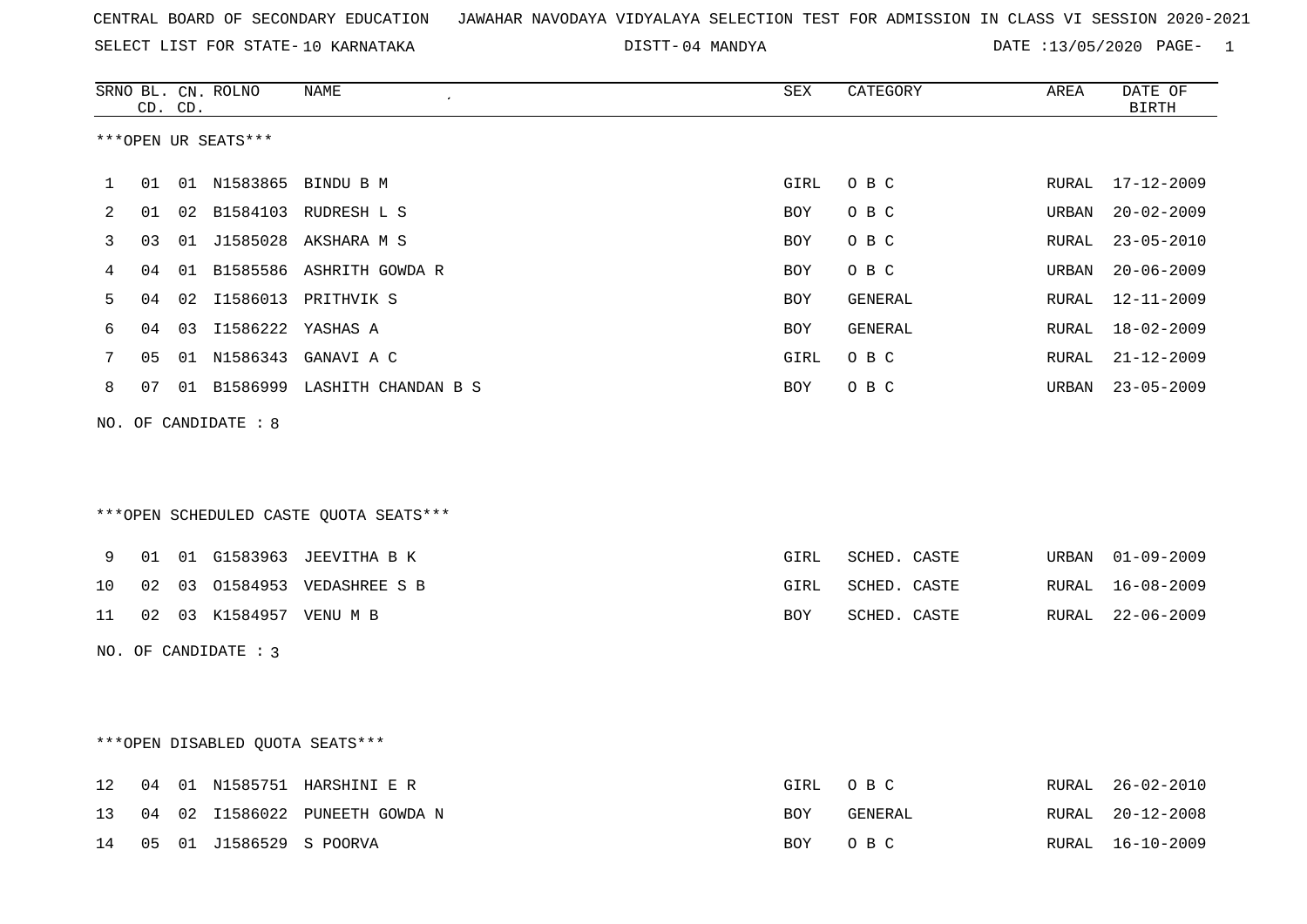04 MANDYA DATE :13/05/2020 PAGE- 1

|                   |    | CD. CD. | SRNO BL. CN. ROLNO   | NAME                                   | SEX         | CATEGORY     | AREA  | DATE OF<br><b>BIRTH</b> |
|-------------------|----|---------|----------------------|----------------------------------------|-------------|--------------|-------|-------------------------|
|                   |    |         | ***OPEN UR SEATS***  |                                        |             |              |       |                         |
| 1                 | 01 |         |                      | 01 N1583865 BINDU B M                  | GIRL        | O B C        | RURAL | $17 - 12 - 2009$        |
| 2                 | 01 |         |                      | 02 B1584103 RUDRESH L S                | BOY         | O B C        | URBAN | $20 - 02 - 2009$        |
| 3                 | 03 |         |                      | 01 J1585028 AKSHARA M S                | BOY         | O B C        | RURAL | $23 - 05 - 2010$        |
| 4                 | 04 |         |                      | 01 B1585586 ASHRITH GOWDA R            | BOY         | O B C        | URBAN | $20 - 06 - 2009$        |
| 5                 | 04 | 02      |                      | I1586013 PRITHVIK S                    | BOY         | GENERAL      | RURAL | 12-11-2009              |
| 6                 | 04 |         | 03 I1586222 YASHAS A |                                        | BOY         | GENERAL      | RURAL | $18 - 02 - 2009$        |
| 7                 | 05 |         |                      | 01 N1586343 GANAVI A C                 | GIRL        | O B C        | RURAL | $21 - 12 - 2009$        |
| 8                 | 07 |         |                      | 01 B1586999 LASHITH CHANDAN B S        | BOY         | O B C        | URBAN | $23 - 05 - 2009$        |
|                   |    |         | NO. OF CANDIDATE : 8 |                                        |             |              |       |                         |
|                   |    |         |                      | ***OPEN SCHEDULED CASTE QUOTA SEATS*** |             |              |       |                         |
| 9                 | 01 |         |                      | 01 G1583963 JEEVITHA B K               | GIRL        | SCHED. CASTE | URBAN | $01 - 09 - 2009$        |
| 10                | 02 |         |                      | 03 01584953 VEDASHREE S B              | GIRL        | SCHED. CASTE | RURAL | $16 - 08 - 2009$        |
| 11                | 02 |         | 03 K1584957 VENU M B |                                        | BOY         | SCHED. CASTE | RURAL | $22 - 06 - 2009$        |
|                   |    |         | NO. OF CANDIDATE : 3 |                                        |             |              |       |                         |
|                   |    |         |                      | ***OPEN DISABLED QUOTA SEATS***        |             |              |       |                         |
| $12 \overline{ }$ | 04 |         |                      | 01 N1585751 HARSHINI E R               | <b>GIRL</b> | O B C        | RURAL | $26 - 02 - 2010$        |
| 13                | 04 |         |                      | 02 I1586022 PUNEETH GOWDA N            | BOY         | GENERAL      | RURAL | $20 - 12 - 2008$        |
| 14                | 05 |         | 01 J1586529 S POORVA |                                        | BOY         | O B C        | RURAL | $16 - 10 - 2009$        |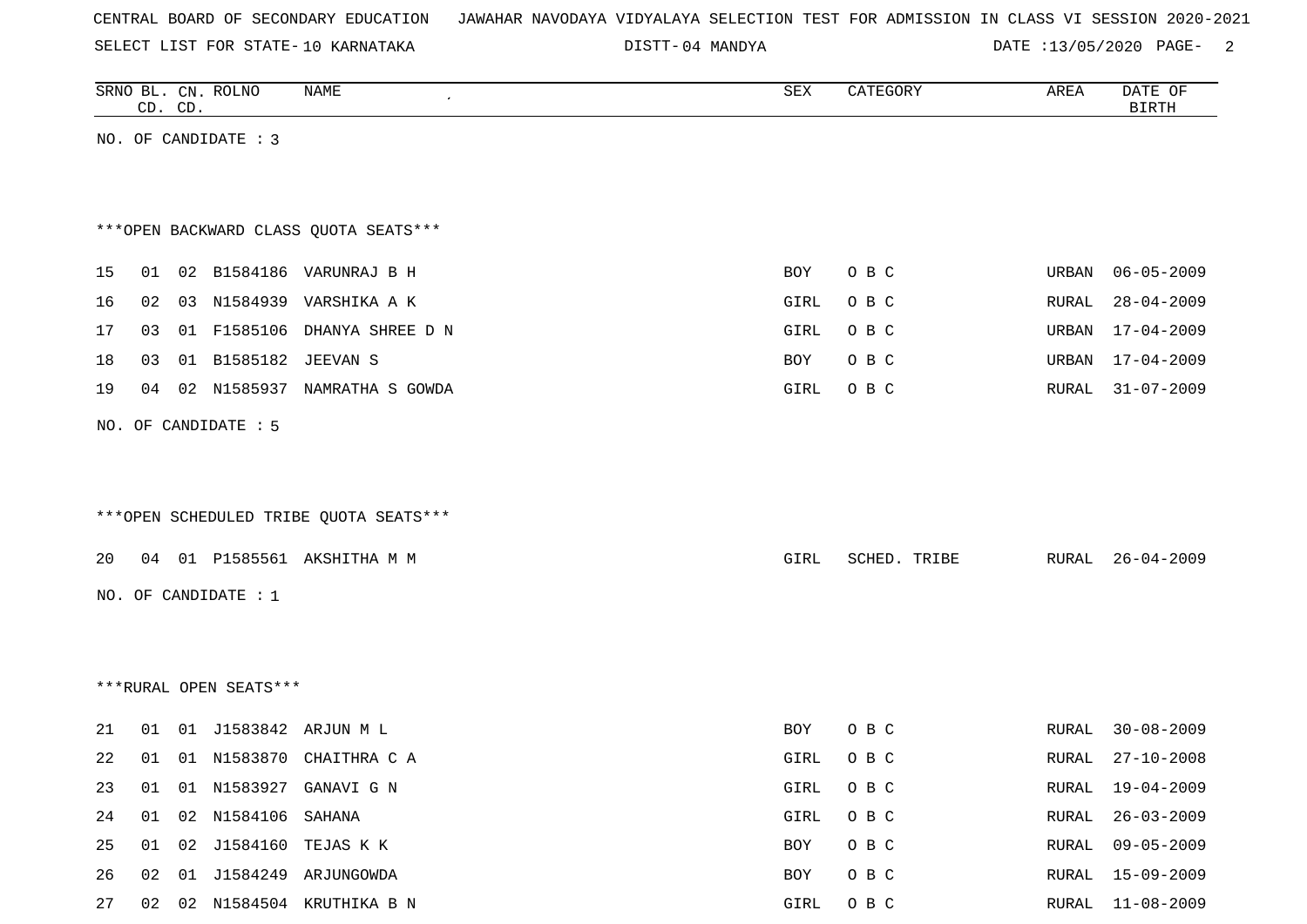|  |  |  |  | CENTRAL BOARD OF SECONDARY EDUCATION – JAWAHAR NAVODAYA VIDYALAYA SELECTION TEST FOR ADMISSION IN CLASS VI SESSION 2020-2021 |  |  |  |  |  |  |  |  |  |  |  |  |  |
|--|--|--|--|------------------------------------------------------------------------------------------------------------------------------|--|--|--|--|--|--|--|--|--|--|--|--|--|
|--|--|--|--|------------------------------------------------------------------------------------------------------------------------------|--|--|--|--|--|--|--|--|--|--|--|--|--|

DISTT-04 MANDYA 2001 2012 DATE :13/05/2020 PAGE-

|    |    | CD. CD. | SRNO BL. CN. ROLNO     | <b>NAME</b>                            | SEX  | CATEGORY     | AREA  | DATE OF<br><b>BIRTH</b> |
|----|----|---------|------------------------|----------------------------------------|------|--------------|-------|-------------------------|
|    |    |         | NO. OF CANDIDATE : 3   |                                        |      |              |       |                         |
|    |    |         |                        |                                        |      |              |       |                         |
|    |    |         |                        |                                        |      |              |       |                         |
|    |    |         |                        | *** OPEN BACKWARD CLASS QUOTA SEATS*** |      |              |       |                         |
| 15 | 01 |         |                        | 02 B1584186 VARUNRAJ B H               | BOY  | O B C        | URBAN | $06 - 05 - 2009$        |
| 16 | 02 |         |                        | 03 N1584939 VARSHIKA A K               | GIRL | O B C        | RURAL | $28 - 04 - 2009$        |
| 17 | 03 |         |                        | 01 F1585106 DHANYA SHREE D N           | GIRL | O B C        | URBAN | $17 - 04 - 2009$        |
| 18 | 03 |         | 01 B1585182            | JEEVAN S                               | BOY  | O B C        | URBAN | $17 - 04 - 2009$        |
| 19 | 04 |         |                        | 02 N1585937 NAMRATHA S GOWDA           | GIRL | O B C        | RURAL | $31 - 07 - 2009$        |
|    |    |         |                        |                                        |      |              |       |                         |
|    |    |         | NO. OF CANDIDATE : 5   |                                        |      |              |       |                         |
|    |    |         |                        |                                        |      |              |       |                         |
|    |    |         |                        |                                        |      |              |       |                         |
|    |    |         |                        | ***OPEN SCHEDULED TRIBE QUOTA SEATS*** |      |              |       |                         |
| 20 |    |         |                        | 04 01 P1585561 AKSHITHA M M            | GIRL | SCHED. TRIBE | RURAL | $26 - 04 - 2009$        |
|    |    |         | NO. OF CANDIDATE : 1   |                                        |      |              |       |                         |
|    |    |         |                        |                                        |      |              |       |                         |
|    |    |         |                        |                                        |      |              |       |                         |
|    |    |         | ***RURAL OPEN SEATS*** |                                        |      |              |       |                         |
|    |    |         |                        |                                        |      |              |       |                         |
| 21 | 01 |         |                        | 01 J1583842 ARJUN M L                  | BOY  | O B C        | RURAL | $30 - 08 - 2009$        |
| 22 | 01 |         |                        | 01 N1583870 CHAITHRA C A               | GIRL | O B C        | RURAL | $27 - 10 - 2008$        |
| 23 |    |         |                        | 01 01 N1583927 GANAVI G N              | GIRL | O B C        | RURAL | $19 - 04 - 2009$        |
| 24 | 01 |         | 02 N1584106 SAHANA     |                                        | GIRL | O B C        | RURAL | $26 - 03 - 2009$        |
| 25 |    |         |                        | 01 02 J1584160 TEJAS K K               | BOY  | O B C        | RURAL | $09 - 05 - 2009$        |
| 26 |    |         |                        | 02 01 J1584249 ARJUNGOWDA              | BOY  | O B C        | RURAL | $15 - 09 - 2009$        |
| 27 |    |         |                        | 02 02 N1584504 KRUTHIKA B N            | GIRL | O B C        |       | RURAL 11-08-2009        |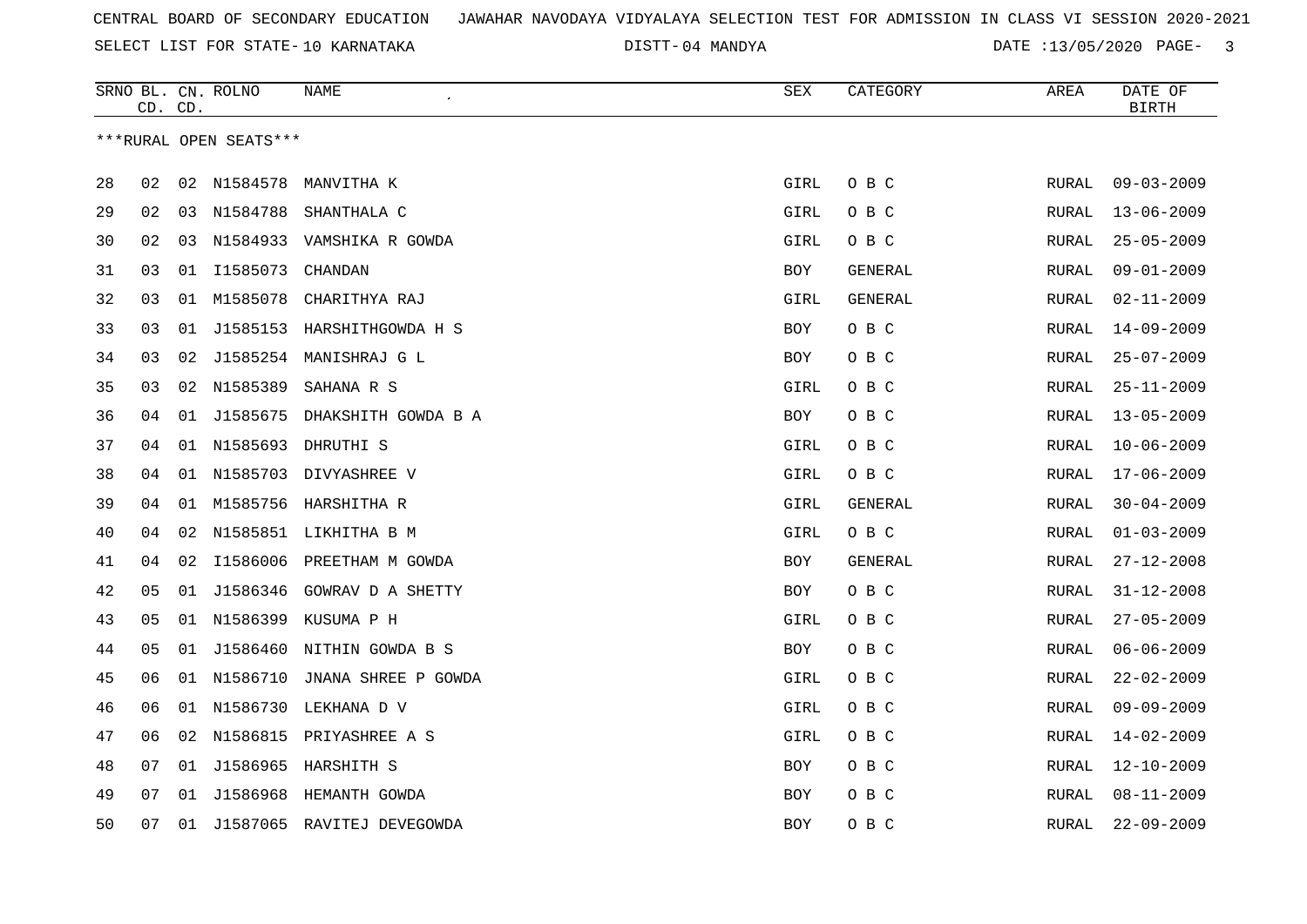04 MANDYA DATE :13/05/2020 PAGE- 3

|    | CD. CD. |    | SRNO BL. CN. ROLNO     | NAME                            | SEX        | CATEGORY       | AREA          | DATE OF<br><b>BIRTH</b> |
|----|---------|----|------------------------|---------------------------------|------------|----------------|---------------|-------------------------|
|    |         |    | ***RURAL OPEN SEATS*** |                                 |            |                |               |                         |
|    |         |    |                        |                                 |            |                |               |                         |
| 28 | 02      |    | 02 N1584578            | MANVITHA K                      | GIRL       | O B C          | RURAL         | $09 - 03 - 2009$        |
| 29 | 02      |    | 03 N1584788            | SHANTHALA C                     | GIRL       | O B C          | RURAL         | $13 - 06 - 2009$        |
| 30 | 02      | 03 |                        | N1584933 VAMSHIKA R GOWDA       | GIRL       | O B C          | <b>RURAL</b>  | $25 - 05 - 2009$        |
| 31 | 03      |    | 01 11585073            | CHANDAN                         | BOY        | <b>GENERAL</b> | RURAL         | $09 - 01 - 2009$        |
| 32 | 03      | 01 | M1585078               | CHARITHYA RAJ                   | GIRL       | GENERAL        | RURAL         | $02 - 11 - 2009$        |
| 33 | 03      | 01 |                        | J1585153 HARSHITHGOWDA H S      | <b>BOY</b> | O B C          | RURAL         | $14 - 09 - 2009$        |
| 34 | 03      | 02 |                        | J1585254 MANISHRAJ G L          | BOY        | O B C          | RURAL         | $25 - 07 - 2009$        |
| 35 | 03      | 02 | N1585389               | SAHANA R S                      | GIRL       | O B C          | RURAL         | $25 - 11 - 2009$        |
| 36 | 04      |    |                        | 01 J1585675 DHAKSHITH GOWDA B A | BOY        | O B C          | RURAL         | $13 - 05 - 2009$        |
| 37 | 04      | 01 |                        | N1585693 DHRUTHI S              | GIRL       | O B C          | RURAL         | $10 - 06 - 2009$        |
| 38 | 04      |    |                        | 01 N1585703 DIVYASHREE V        | GIRL       | O B C          | RURAL         | $17 - 06 - 2009$        |
| 39 | 04      | 01 |                        | M1585756 HARSHITHA R            | GIRL       | GENERAL        | RURAL         | $30 - 04 - 2009$        |
| 40 | 04      | 02 |                        | N1585851 LIKHITHA B M           | GIRL       | O B C          | RURAL         | $01 - 03 - 2009$        |
| 41 | 04      | 02 | I1586006               | PREETHAM M GOWDA                | BOY        | GENERAL        | ${\tt RURAL}$ | $27 - 12 - 2008$        |
| 42 | 05      | 01 | J1586346               | GOWRAV D A SHETTY               | <b>BOY</b> | O B C          | <b>RURAL</b>  | $31 - 12 - 2008$        |
| 43 | 05      |    |                        | 01 N1586399 KUSUMA P H          | GIRL       | O B C          | RURAL         | $27 - 05 - 2009$        |
| 44 | 05      |    |                        | 01 J1586460 NITHIN GOWDA B S    | BOY        | O B C          | RURAL         | $06 - 06 - 2009$        |
| 45 | 06      |    | 01 N1586710            | JNANA SHREE P GOWDA             | GIRL       | O B C          | RURAL         | $22 - 02 - 2009$        |
| 46 | 06      | 01 | N1586730               | LEKHANA D V                     | GIRL       | O B C          | RURAL         | $09 - 09 - 2009$        |
| 47 | 06      | 02 |                        | N1586815 PRIYASHREE A S         | GIRL       | O B C          | RURAL         | $14 - 02 - 2009$        |
| 48 | 07      | 01 |                        | J1586965 HARSHITH S             | BOY        | O B C          | RURAL         | $12 - 10 - 2009$        |
| 49 | 07      | 01 |                        | J1586968 HEMANTH GOWDA          | <b>BOY</b> | O B C          | RURAL         | $08 - 11 - 2009$        |
| 50 | 07      | 01 |                        | J1587065 RAVITEJ DEVEGOWDA      | <b>BOY</b> | O B C          | <b>RURAL</b>  | $22 - 09 - 2009$        |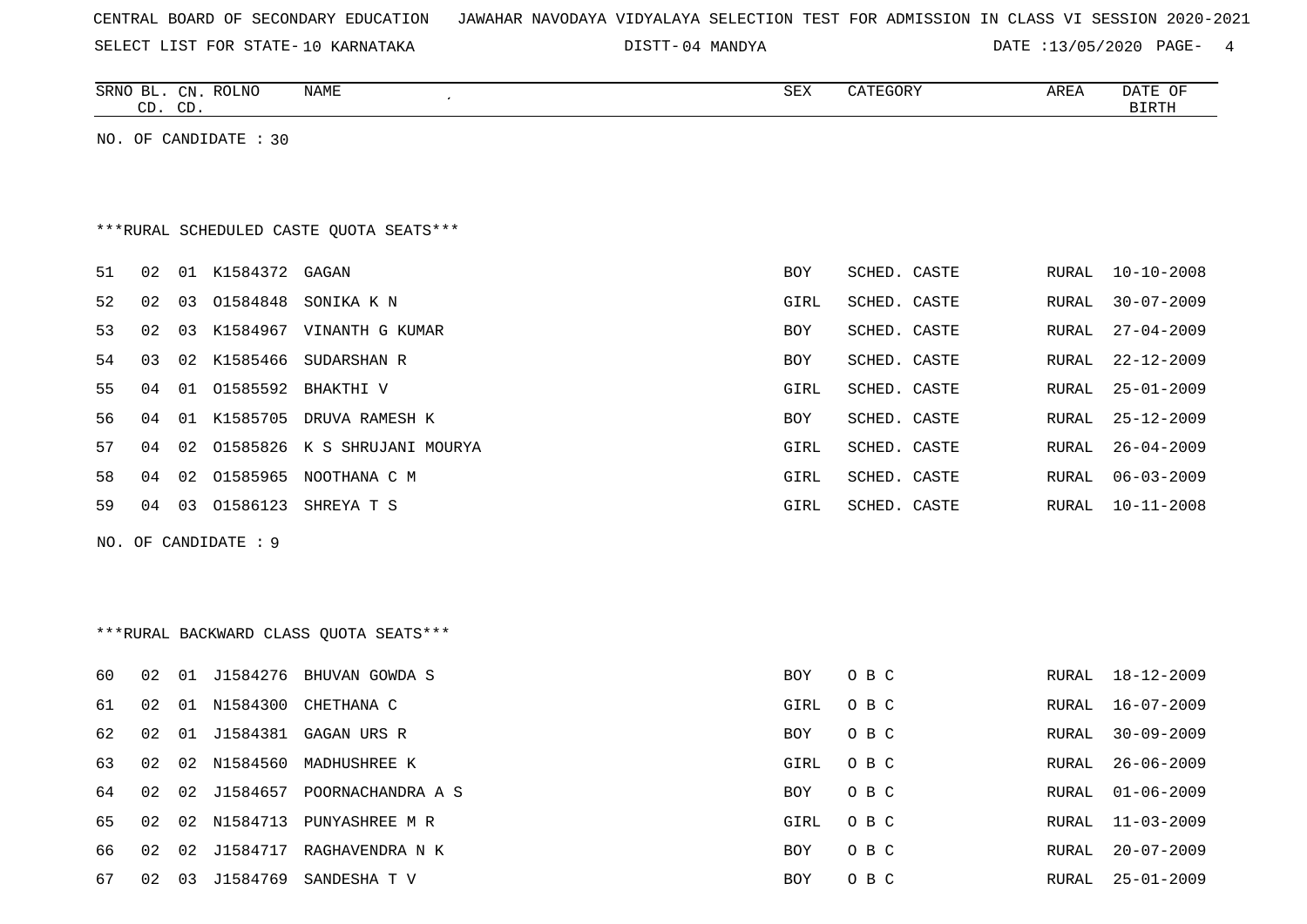|  |  | CENTRAL BOARD OF SECONDARY EDUCATION – JAWAHAR NAVODAYA VIDYALAYA SELECTION TEST FOR ADMISSION IN CLASS VI SESSION 2020-2021 |  |  |  |  |  |  |  |
|--|--|------------------------------------------------------------------------------------------------------------------------------|--|--|--|--|--|--|--|
|  |  |                                                                                                                              |  |  |  |  |  |  |  |

SELECT LIST FOR STATE- DISTT- 10 KARNATAKA 04 MANDYA DATE :13/05/2020 PAGE- 4

|     |    | CD. CD. | SRNO BL. CN. ROLNO    | NAME                                     | SEX        | CATEGORY     | AREA         | DATE OF<br>$\operatorname{BIRTH}$ |
|-----|----|---------|-----------------------|------------------------------------------|------------|--------------|--------------|-----------------------------------|
|     |    |         | NO. OF CANDIDATE : 30 |                                          |            |              |              |                                   |
|     |    |         |                       |                                          |            |              |              |                                   |
|     |    |         |                       | *** RURAL SCHEDULED CASTE QUOTA SEATS*** |            |              |              |                                   |
| 51  | 02 |         | 01 K1584372           | GAGAN                                    | <b>BOY</b> | SCHED. CASTE | RURAL        | $10 - 10 - 2008$                  |
| 52  | 02 | 03      | 01584848              | SONIKA K N                               | GIRL       | SCHED. CASTE | RURAL        | $30 - 07 - 2009$                  |
| 53  | 02 |         |                       | 03 K1584967 VINANTH G KUMAR              | BOY        | SCHED. CASTE | <b>RURAL</b> | $27 - 04 - 2009$                  |
| 54  | 03 |         | 02 K1585466           | SUDARSHAN R                              | <b>BOY</b> | SCHED. CASTE | <b>RURAL</b> | $22 - 12 - 2009$                  |
| 55  | 04 |         |                       | 01 01585592 BHAKTHI V                    | GIRL       | SCHED. CASTE | RURAL        | $25 - 01 - 2009$                  |
| 56  | 04 |         |                       | 01 K1585705 DRUVA RAMESH K               | <b>BOY</b> | SCHED. CASTE | <b>RURAL</b> | $25 - 12 - 2009$                  |
| 57  | 04 | 02      |                       | 01585826 K S SHRUJANI MOURYA             | GIRL       | SCHED. CASTE | <b>RURAL</b> | $26 - 04 - 2009$                  |
| 58  | 04 | 02      |                       | O1585965 NOOTHANA C M                    | GIRL       | SCHED. CASTE | <b>RURAL</b> | $06 - 03 - 2009$                  |
| 59  | 04 | 03      |                       | 01586123 SHREYA T S                      | GIRL       | SCHED. CASTE | RURAL        | $10 - 11 - 2008$                  |
| NO. |    |         | OF CANDIDATE : 9      |                                          |            |              |              |                                   |
|     |    |         |                       |                                          |            |              |              |                                   |
|     |    |         |                       |                                          |            |              |              |                                   |
|     |    |         |                       | *** RURAL BACKWARD CLASS QUOTA SEATS***  |            |              |              |                                   |
| 60  | 02 |         |                       | 01 J1584276 BHUVAN GOWDA S               | BOY        | O B C        | RURAL        | 18-12-2009                        |
| 61  | 02 |         | 01 N1584300           | CHETHANA C                               | GIRL       | O B C        | RURAL        | $16 - 07 - 2009$                  |
| 62  | 02 |         |                       | 01 J1584381 GAGAN URS R                  | BOY        | O B C        | RURAL        | $30 - 09 - 2009$                  |
|     |    |         |                       |                                          |            |              |              |                                   |

| 61 | 02 | 01    |             | N1584300 CHETHANA C | GIRL       | O B C | RURAL | 16-07-2009       |
|----|----|-------|-------------|---------------------|------------|-------|-------|------------------|
| 62 | 02 | . N 1 | J1584381    | GAGAN URS R         | BOY        | O B C | RURAL | $30 - 09 - 2009$ |
| 63 | 02 | 02.   | N1584560    | MADHUSHREE K        | GIRL       | O B C | RURAL | 26-06-2009       |
| 64 | 02 |       | 02 J1584657 | POORNACHANDRA A S   | BOY        | O B C | RURAL | 01-06-2009       |
| 65 | 02 | 02    | N1584713    | PUNYASHREE M R      | GIRL       | O B C | RURAL | 11-03-2009       |
| 66 | 02 | 02    | J1584717    | RAGHAVENDRA N K     | <b>BOY</b> | O B C | RURAL | $20 - 07 - 2009$ |
| 67 | 02 | 03    | J1584769    | SANDESHA T V        | <b>BOY</b> | O B C | RURAL | 25-01-2009       |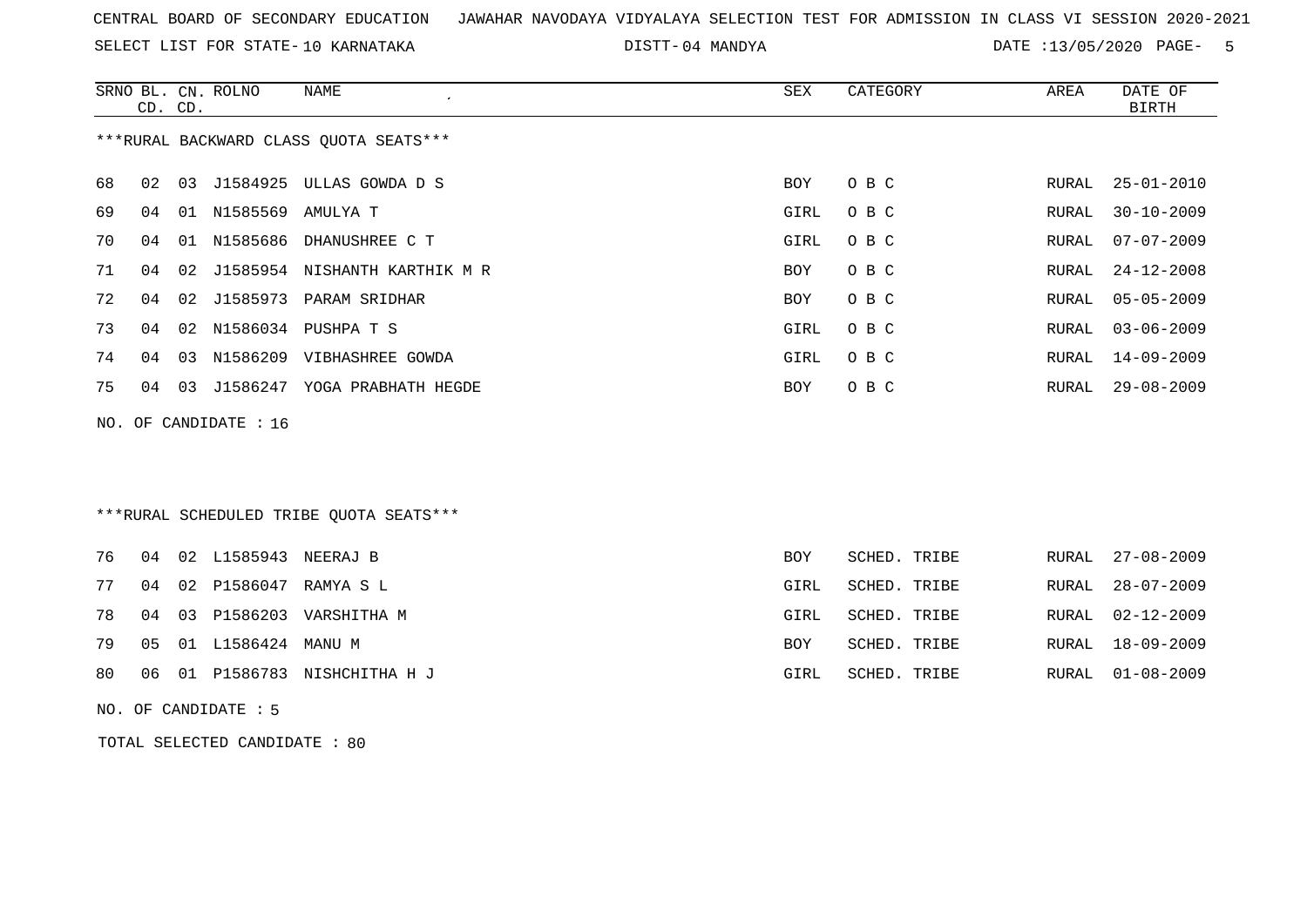SELECT LIST FOR STATE- DISTT- 10 KARNATAKA

04 MANDYA DATE :13/05/2020 PAGE- 5

|    |    | CD. CD. | SRNO BL. CN. ROLNO    | NAME<br>$\epsilon$                     | SEX  | CATEGORY | AREA  | DATE OF<br>BIRTH |
|----|----|---------|-----------------------|----------------------------------------|------|----------|-------|------------------|
|    |    |         |                       | ***RURAL BACKWARD CLASS QUOTA SEATS*** |      |          |       |                  |
| 68 | 02 |         |                       | 03 J1584925 ULLAS GOWDA D S            | BOY  | O B C    | RURAL | $25 - 01 - 2010$ |
| 69 | 04 |         | 01 N1585569 AMULYA T  |                                        | GIRL | O B C    | RURAL | $30 - 10 - 2009$ |
| 70 | 04 |         |                       | 01 N1585686 DHANUSHREE C T             | GIRL | O B C    | RURAL | $07 - 07 - 2009$ |
| 71 | 04 | 02      |                       | J1585954 NISHANTH KARTHIK M R          | BOY  | O B C    | RURAL | $24 - 12 - 2008$ |
| 72 | 04 | 02      |                       | J1585973 PARAM SRIDHAR                 | BOY  | O B C    | RURAL | $05 - 05 - 2009$ |
| 73 | 04 | 02      |                       | N1586034 PUSHPA T S                    | GIRL | O B C    | RURAL | $03 - 06 - 2009$ |
| 74 | 04 |         |                       | 03 N1586209 VIBHASHREE GOWDA           | GIRL | O B C    | RURAL | $14 - 09 - 2009$ |
| 75 | 04 | 03      |                       | J1586247 YOGA PRABHATH HEGDE           | BOY  | O B C    | RURAL | $29 - 08 - 2009$ |
|    |    |         | NO. OF CANDIDATE : 16 |                                        |      |          |       |                  |
|    |    |         |                       |                                        |      |          |       |                  |
|    |    |         |                       |                                        |      |          |       |                  |
|    |    |         |                       |                                        |      |          |       |                  |

# \*\*\*RURAL SCHEDULED TRIBE QUOTA SEATS\*\*\*

|  | 76 04 02 L1585943 NEERAJ B |                                  | BOY        | SCHED. TRIBE |  | RURAL 27-08-2009 |
|--|----------------------------|----------------------------------|------------|--------------|--|------------------|
|  |                            | 77 04 02 P1586047 RAMYA S L      | GIRL       | SCHED. TRIBE |  | RURAL 28-07-2009 |
|  |                            | 78 04 03 P1586203 VARSHITHA M    | GIRL       | SCHED. TRIBE |  | RURAL 02-12-2009 |
|  | 79 05 01 L1586424 MANU M   |                                  | <b>BOY</b> | SCHED. TRIBE |  | RURAL 18-09-2009 |
|  |                            | 80 06 01 P1586783 NISHCHITHA H J | GIRL       | SCHED. TRIBE |  | RURAL 01-08-2009 |

NO. OF CANDIDATE : 5

TOTAL SELECTED CANDIDATE : 80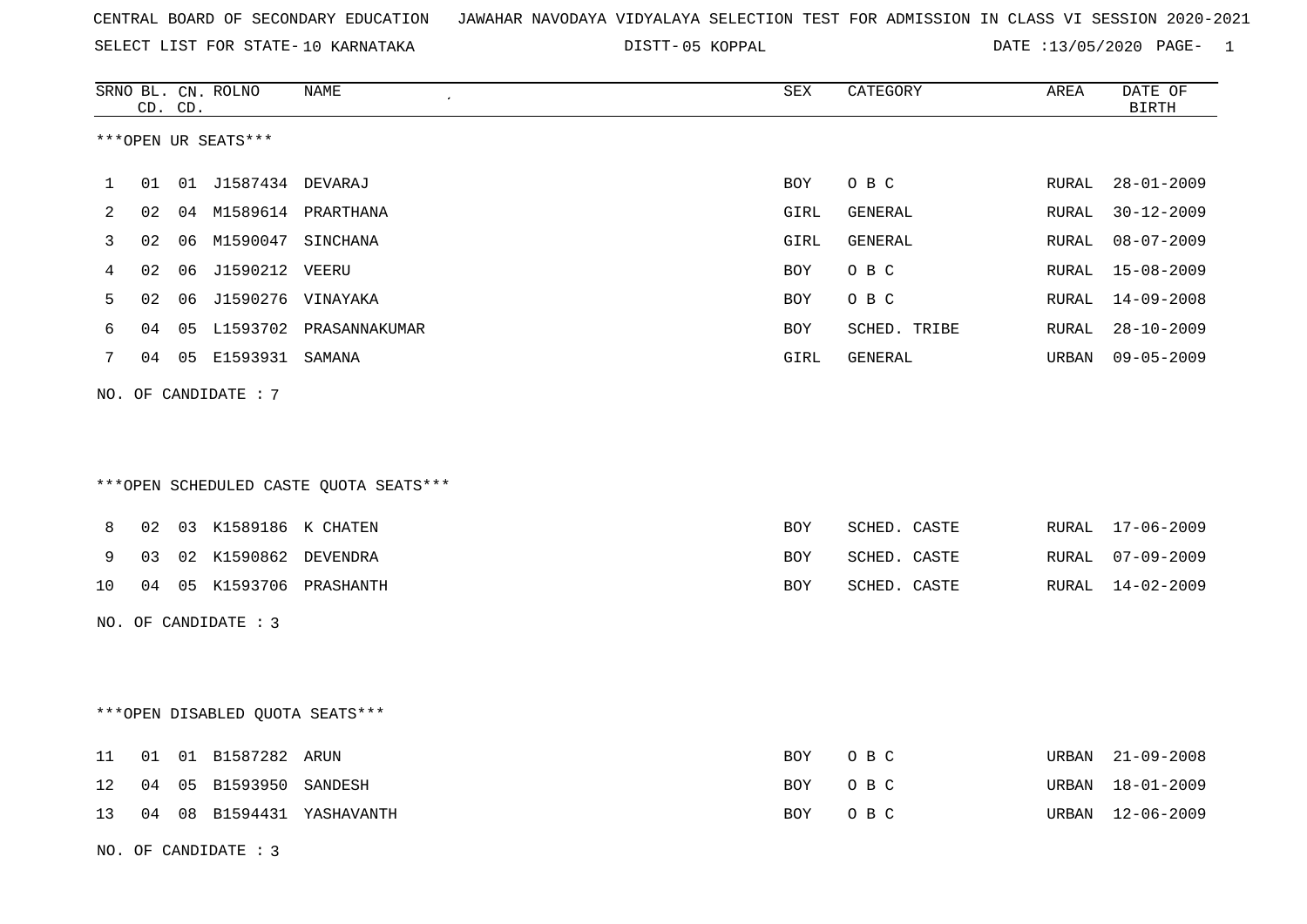| CENTRAL BOARD OF SECONDARY EDUCATION GUNAHAR NAVODAYA VIDYALAYA SELECTION TEST FOR ADMISSION IN CLASS VI SESSION 2020-2021 |  |  |  |
|----------------------------------------------------------------------------------------------------------------------------|--|--|--|
|----------------------------------------------------------------------------------------------------------------------------|--|--|--|

DISTT-05 KOPPAL 2008 2012 2020 DATE :13/05/2020 PAGE-

|    |    | CD. CD. | SRNO BL. CN. ROLNO     | NAME                                   | SEX         | CATEGORY     | AREA  | DATE OF<br><b>BIRTH</b> |
|----|----|---------|------------------------|----------------------------------------|-------------|--------------|-------|-------------------------|
|    |    |         | ***OPEN UR SEATS***    |                                        |             |              |       |                         |
| 1  | 01 |         | 01 J1587434 DEVARAJ    |                                        | <b>BOY</b>  | O B C        | RURAL | $28 - 01 - 2009$        |
| 2  | 02 |         |                        | 04 M1589614 PRARTHANA                  | GIRL        | GENERAL      | RURAL | $30 - 12 - 2009$        |
| 3  | 02 | 06      | M1590047 SINCHANA      |                                        | GIRL        | GENERAL      | RURAL | $08 - 07 - 2009$        |
| 4  | 02 | 06      | J1590212 VEERU         |                                        | BOY         | O B C        | RURAL | $15 - 08 - 2009$        |
| 5  | 02 | 06      | J1590276 VINAYAKA      |                                        | BOY         | O B C        | RURAL | 14-09-2008              |
| 6  | 04 | 05      |                        | L1593702 PRASANNAKUMAR                 | <b>BOY</b>  | SCHED. TRIBE | RURAL | $28 - 10 - 2009$        |
| 7  | 04 |         | 05 E1593931 SAMANA     |                                        | <b>GIRL</b> | GENERAL      | URBAN | $09 - 05 - 2009$        |
|    |    |         | NO. OF CANDIDATE : $7$ |                                        |             |              |       |                         |
|    |    |         |                        | ***OPEN SCHEDULED CASTE QUOTA SEATS*** |             |              |       |                         |
| 8  | 02 |         | 03 K1589186 K CHATEN   |                                        | BOY         | SCHED. CASTE |       | RURAL 17-06-2009        |
| 9  | 03 |         | 02 K1590862 DEVENDRA   |                                        | <b>BOY</b>  | SCHED. CASTE | RURAL | $07 - 09 - 2009$        |
| 10 | 04 |         |                        | 05 K1593706 PRASHANTH                  | <b>BOY</b>  | SCHED. CASTE |       | RURAL 14-02-2009        |
|    |    |         | NO. OF CANDIDATE : 3   |                                        |             |              |       |                         |
|    |    |         |                        | *** OPEN DISABLED QUOTA SEATS***       |             |              |       |                         |
| 11 | 01 |         | 01 B1587282 ARUN       |                                        | <b>BOY</b>  | O B C        | URBAN | $21 - 09 - 2008$        |
| 12 | 04 | 05      | B1593950               | SANDESH                                | BOY         | O B C        | URBAN | $18 - 01 - 2009$        |
| 13 |    |         |                        | 04 08 B1594431 YASHAVANTH              | BOY         | O B C        | URBAN | $12 - 06 - 2009$        |
|    |    |         | NO. OF CANDIDATE: 3    |                                        |             |              |       |                         |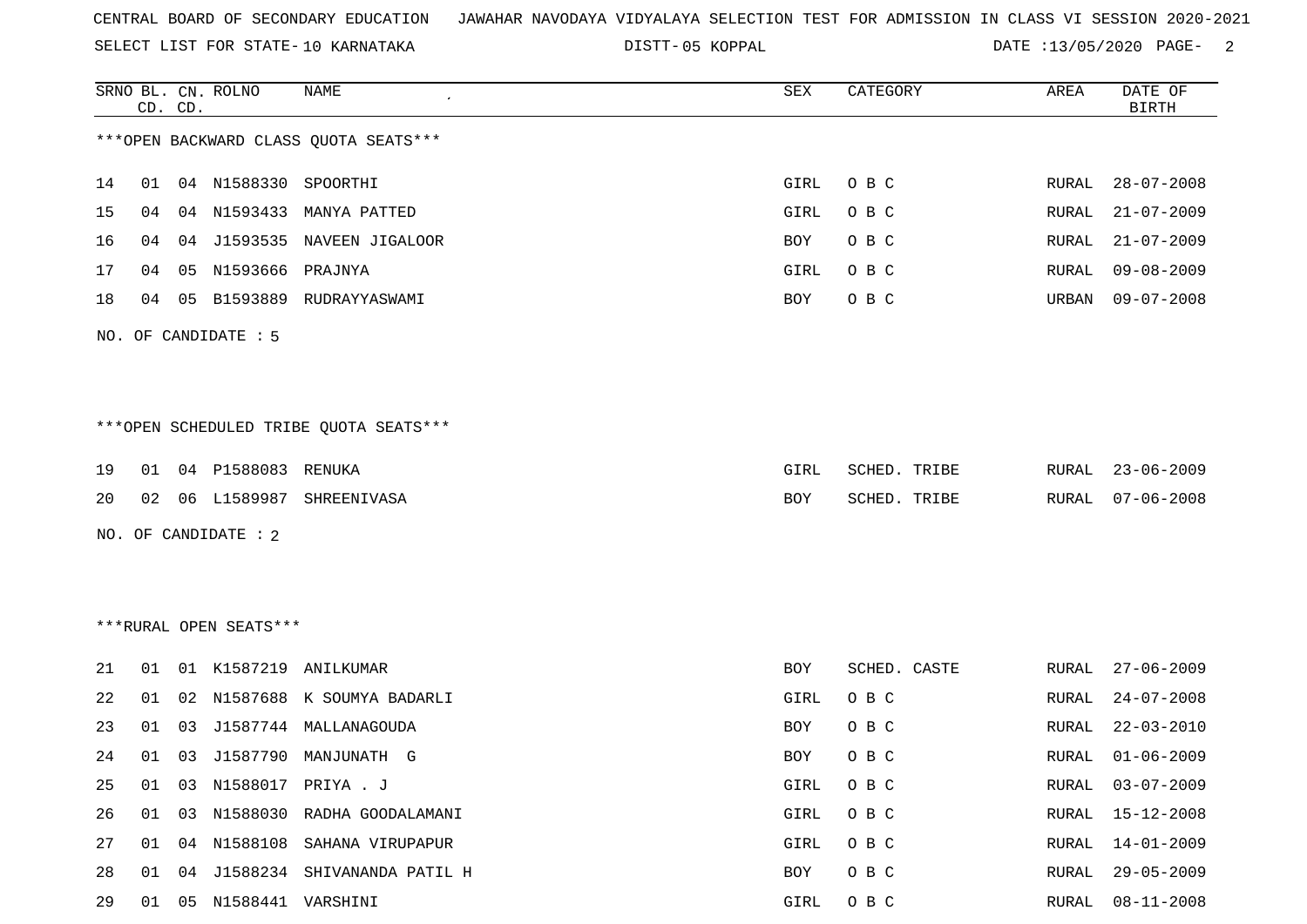SELECT LIST FOR STATE- DISTT- 10 KARNATAKA

05 KOPPAL DATE :13/05/2020 PAGE- 2

|    |    | CD. CD. | SRNO BL. CN. ROLNO         | NAME                                   | SEX  | CATEGORY     | AREA  | DATE OF<br><b>BIRTH</b> |
|----|----|---------|----------------------------|----------------------------------------|------|--------------|-------|-------------------------|
|    |    |         |                            | *** OPEN BACKWARD CLASS QUOTA SEATS*** |      |              |       |                         |
| 14 |    |         | 01 04 N1588330 SPOORTHI    |                                        | GIRL | O B C        | RURAL | $28 - 07 - 2008$        |
| 15 | 04 |         |                            | 04 N1593433 MANYA PATTED               | GIRL | O B C        | RURAL | $21 - 07 - 2009$        |
| 16 | 04 |         |                            | 04 J1593535 NAVEEN JIGALOOR            | BOY  | O B C        | RURAL | $21 - 07 - 2009$        |
| 17 | 04 | 05      | N1593666                   | PRAJNYA                                | GIRL | O B C        | RURAL | $09 - 08 - 2009$        |
| 18 | 04 |         | 05 B1593889                | RUDRAYYASWAMI                          | BOY  | O B C        | URBAN | $09 - 07 - 2008$        |
|    |    |         | NO. OF CANDIDATE : 5       |                                        |      |              |       |                         |
|    |    |         |                            |                                        |      |              |       |                         |
|    |    |         |                            |                                        |      |              |       |                         |
|    |    |         |                            | ***OPEN SCHEDULED TRIBE QUOTA SEATS*** |      |              |       |                         |
| 19 | 01 |         | 04 P1588083 RENUKA         |                                        | GIRL | SCHED. TRIBE | RURAL | 23-06-2009              |
| 20 |    |         |                            | 02 06 L1589987 SHREENIVASA             | BOY  | SCHED. TRIBE | RURAL | $07 - 06 - 2008$        |
|    |    |         | NO. OF CANDIDATE : 2       |                                        |      |              |       |                         |
|    |    |         |                            |                                        |      |              |       |                         |
|    |    |         |                            |                                        |      |              |       |                         |
|    |    |         | ***RURAL OPEN SEATS***     |                                        |      |              |       |                         |
| 21 |    |         |                            | 01 01 K1587219 ANILKUMAR               | BOY  | SCHED. CASTE | RURAL | $27 - 06 - 2009$        |
| 22 | 01 | 02      |                            | N1587688 K SOUMYA BADARLI              | GIRL | O B C        | RURAL | $24 - 07 - 2008$        |
| 23 | 01 | 03      |                            | J1587744 MALLANAGOUDA                  | BOY  | O B C        | RURAL | $22 - 03 - 2010$        |
| 24 | 01 | 03      |                            | J1587790 MANJUNATH G                   | BOY  | O B C        | RURAL | $01 - 06 - 2009$        |
|    |    |         |                            | 25 01 03 N1588017 PRIYA.J              |      | GIRL OBC     |       | RURAL 03-07-2009        |
| 26 |    |         |                            | 01 03 N1588030 RADHA GOODALAMANI       | GIRL | O B C        | RURAL | $15 - 12 - 2008$        |
| 27 |    |         |                            | 01 04 N1588108 SAHANA VIRUPAPUR        | GIRL | O B C        | RURAL | $14 - 01 - 2009$        |
| 28 |    |         |                            | 01 04 J1588234 SHIVANANDA PATIL H      | BOY  | O B C        | RURAL | $29 - 05 - 2009$        |
| 29 |    |         | 01  05  N1588441  VARSHINI |                                        | GIRL | O B C        | RURAL | $08 - 11 - 2008$        |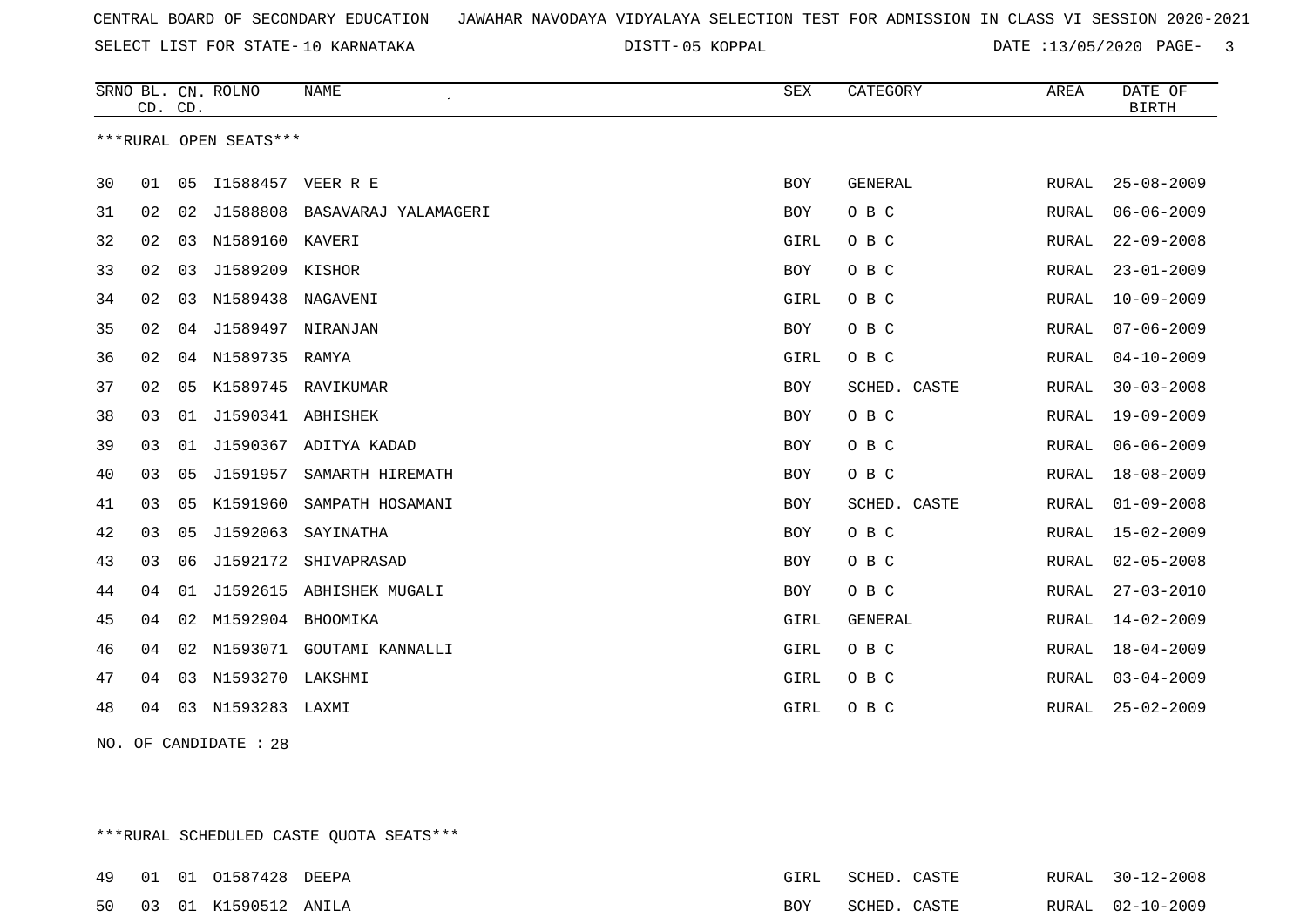SELECT LIST FOR STATE- DISTT- 10 KARNATAKA

05 KOPPAL DATE :13/05/2020 PAGE- 3

|                |                         |                               |            |                |              | DATE OF<br><b>BIRTH</b> |
|----------------|-------------------------|-------------------------------|------------|----------------|--------------|-------------------------|
|                | ***RURAL OPEN SEATS***  |                               |            |                |              |                         |
| 30<br>01       | 05<br>I1588457 VEER R E |                               | BOY        | <b>GENERAL</b> | RURAL        | $25 - 08 - 2009$        |
| 31<br>02       | 02                      | J1588808 BASAVARAJ YALAMAGERI | <b>BOY</b> | O B C          | <b>RURAL</b> | $06 - 06 - 2009$        |
| 32<br>02       | N1589160 KAVERI<br>03   |                               | GIRL       | O B C          | RURAL        | $22 - 09 - 2008$        |
| 02<br>33       | 03<br>J1589209          | KISHOR                        | <b>BOY</b> | O B C          | RURAL        | $23 - 01 - 2009$        |
| 34<br>02       | N1589438<br>03          | NAGAVENI                      | GIRL       | O B C          | <b>RURAL</b> | $10 - 09 - 2009$        |
| 35<br>02       | J1589497<br>04          | NIRANJAN                      | BOY        | O B C          | RURAL        | $07 - 06 - 2009$        |
| 02<br>36       | N1589735<br>04          | RAMYA                         | GIRL       | O B C          | RURAL        | $04 - 10 - 2009$        |
| 37<br>02<br>05 | K1589745                | RAVIKUMAR                     | <b>BOY</b> | SCHED. CASTE   | RURAL        | $30 - 03 - 2008$        |
| 38<br>03       | J1590341 ABHISHEK<br>01 |                               | <b>BOY</b> | O B C          | RURAL        | $19 - 09 - 2009$        |
| 39<br>03       | J1590367<br>01          | ADITYA KADAD                  | BOY        | O B C          | RURAL        | $06 - 06 - 2009$        |
| 40<br>03       | 05<br>J1591957          | SAMARTH HIREMATH              | <b>BOY</b> | O B C          | RURAL        | $18 - 08 - 2009$        |
| 41<br>03<br>05 | K1591960                | SAMPATH HOSAMANI              | BOY        | SCHED. CASTE   | RURAL        | $01 - 09 - 2008$        |
| 42<br>03       | J1592063<br>05          | SAYINATHA                     | <b>BOY</b> | O B C          | RURAL        | $15 - 02 - 2009$        |
| 03<br>43       | 06<br>J1592172          | SHIVAPRASAD                   | <b>BOY</b> | O B C          | RURAL        | $02 - 05 - 2008$        |
| 44<br>04       | J1592615<br>01          | ABHISHEK MUGALI               | BOY        | O B C          | RURAL        | $27 - 03 - 2010$        |
| 45<br>04       | M1592904<br>02          | BHOOMIKA                      | GIRL       | <b>GENERAL</b> | RURAL        | $14 - 02 - 2009$        |
| 04<br>46       | 02<br>N1593071          | GOUTAMI KANNALLI              | GIRL       | O B C          | <b>RURAL</b> | $18 - 04 - 2009$        |
| 47<br>04       | N1593270 LAKSHMI<br>03  |                               | GIRL       | O B C          | RURAL        | $03 - 04 - 2009$        |
| 48<br>04       | N1593283 LAXMI<br>03    |                               | GIRL       | O B C          | RURAL        | $25 - 02 - 2009$        |

NO. OF CANDIDATE : 28

\*\*\*RURAL SCHEDULED CASTE QUOTA SEATS\*\*\*

|  | 49 01 01 01587428 DEEPA | FTRT. | SCHED. | CASTE  | RURAL 30-12-2008 |
|--|-------------------------|-------|--------|--------|------------------|
|  | 50 03 01 K1590512 ANILA | BOY   | SCHED. | CASTE. | RURAL 02-10-2009 |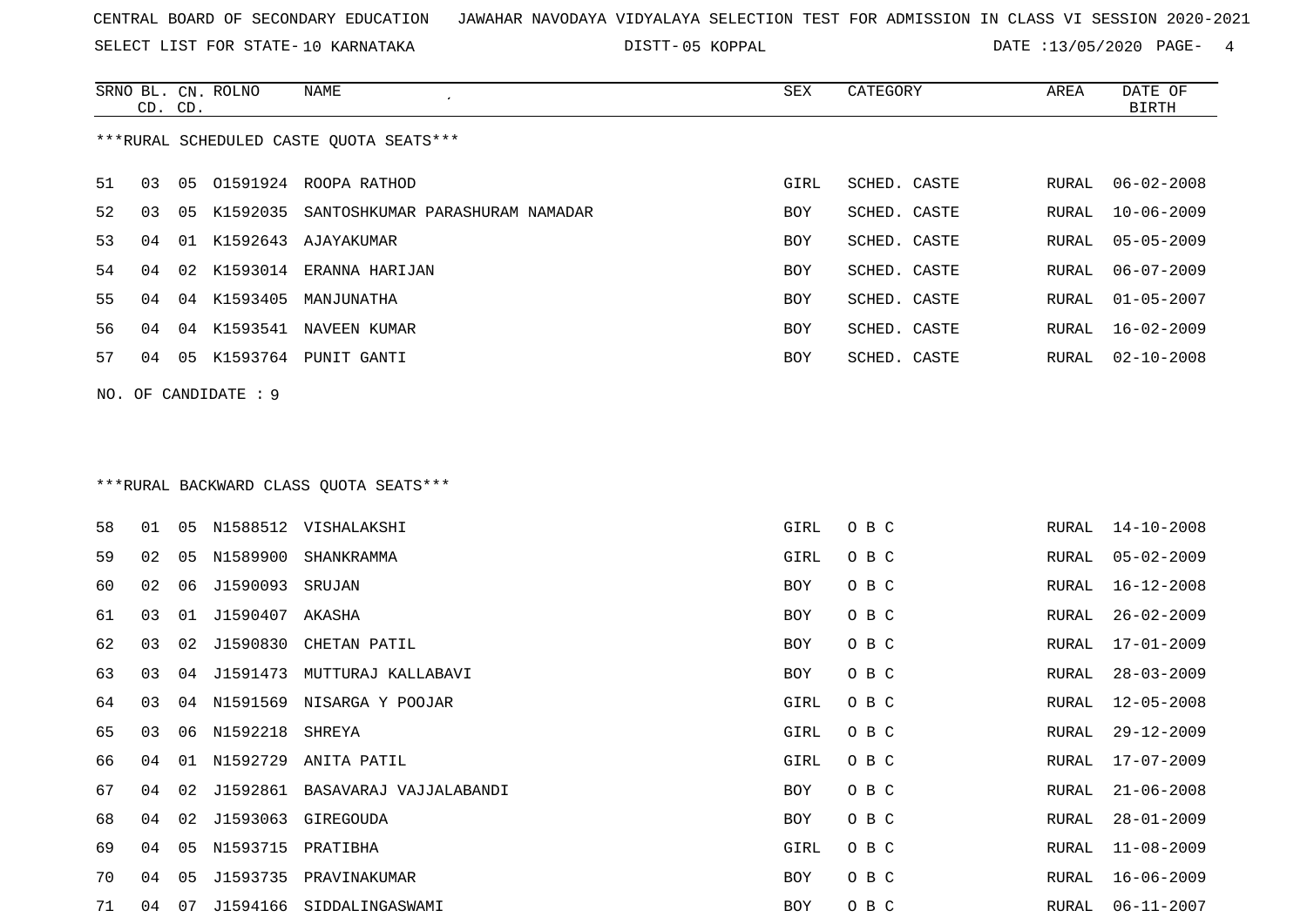SELECT LIST FOR STATE- DISTT- 10 KARNATAKA

SRNO BL. CN.

ROLNO NAME SEX CATEGORY AREA DATE OF

05 KOPPAL DATE :13/05/2020 PAGE- 4

|                                        | CD. CD. |    |                      |                                          |      |              |       | <b>BIRTH</b>     |
|----------------------------------------|---------|----|----------------------|------------------------------------------|------|--------------|-------|------------------|
|                                        |         |    |                      | *** RURAL SCHEDULED CASTE QUOTA SEATS*** |      |              |       |                  |
| 51                                     | 03      | 05 |                      | 01591924 ROOPA RATHOD                    | GIRL | SCHED. CASTE | RURAL | $06 - 02 - 2008$ |
| 52                                     | 03      | 05 | K1592035             | SANTOSHKUMAR PARASHURAM NAMADAR          | BOY  | SCHED. CASTE | RURAL | $10 - 06 - 2009$ |
| 53                                     | 04      |    |                      | 01 K1592643 AJAYAKUMAR                   | BOY  | SCHED. CASTE | RURAL | $05 - 05 - 2009$ |
| 54                                     | 04      |    |                      | 02 K1593014 ERANNA HARIJAN               | BOY  | SCHED. CASTE | RURAL | $06 - 07 - 2009$ |
| 55                                     | 04      |    |                      | 04 K1593405 MANJUNATHA                   | BOY  | SCHED. CASTE | RURAL | $01 - 05 - 2007$ |
| 56                                     | 04      |    | 04 K1593541          | NAVEEN KUMAR                             | BOY  | SCHED. CASTE | RURAL | $16 - 02 - 2009$ |
| 57                                     | 04      |    |                      | 05 K1593764 PUNIT GANTI                  | BOY  | SCHED. CASTE | RURAL | $02 - 10 - 2008$ |
|                                        |         |    | NO. OF CANDIDATE : 9 |                                          |      |              |       |                  |
|                                        |         |    |                      |                                          |      |              |       |                  |
| ***RURAL BACKWARD CLASS OUOTA SEATS*** |         |    |                      |                                          |      |              |       |                  |
| 58                                     | 01      |    |                      | 05 N1588512 VISHALAKSHI                  | GIRL | O B C        | RURAL | $14 - 10 - 2008$ |
| 59                                     | 02      | 05 | N1589900             | SHANKRAMMA                               | GIRL | O B C        | RURAL | $05 - 02 - 2009$ |
| 60                                     | 02      | 06 | J1590093 SRUJAN      |                                          | BOY  | O B C        | RURAL | $16 - 12 - 2008$ |
| 61                                     | 03      | 01 | J1590407 AKASHA      |                                          | BOY  | O B C        | RURAL | $26 - 02 - 2009$ |
| 62                                     | 03      | 02 | J1590830             | CHETAN PATIL                             | BOY  | O B C        | RURAL | $17 - 01 - 2009$ |
| 63                                     | 03      | 04 | J1591473             | MUTTURAJ KALLABAVI                       | BOY  | O B C        | RURAL | $28 - 03 - 2009$ |
| 64                                     | 03      |    |                      | 04 N1591569 NISARGA Y POOJAR             | GIRL | O B C        | RURAL | $12 - 05 - 2008$ |
| 65                                     | 03      | 06 | N1592218             | SHREYA                                   | GIRL | O B C        | RURAL | $29 - 12 - 2009$ |
| 66                                     | 04      |    |                      | 01 N1592729 ANITA PATIL                  | GIRL | O B C        | RURAL | $17 - 07 - 2009$ |
| 67                                     | 04      |    |                      | 02 J1592861 BASAVARAJ VAJJALABANDI       | BOY  | O B C        | RURAL | $21 - 06 - 2008$ |
| 68                                     | 04      |    |                      | 02 J1593063 GIREGOUDA                    | BOY  | O B C        | RURAL | $28 - 01 - 2009$ |
| 69                                     | 04      |    | 05 N1593715 PRATIBHA |                                          | GIRL | O B C        | RURAL | $11 - 08 - 2009$ |
| 70                                     | 04      | 05 |                      | J1593735 PRAVINAKUMAR                    | BOY  | O B C        | RURAL | $16 - 06 - 2009$ |
| 71                                     | 04      |    |                      | 07 J1594166 SIDDALINGASWAMI              | BOY  | O B C        | RURAL | $06 - 11 - 2007$ |
|                                        |         |    |                      |                                          |      |              |       |                  |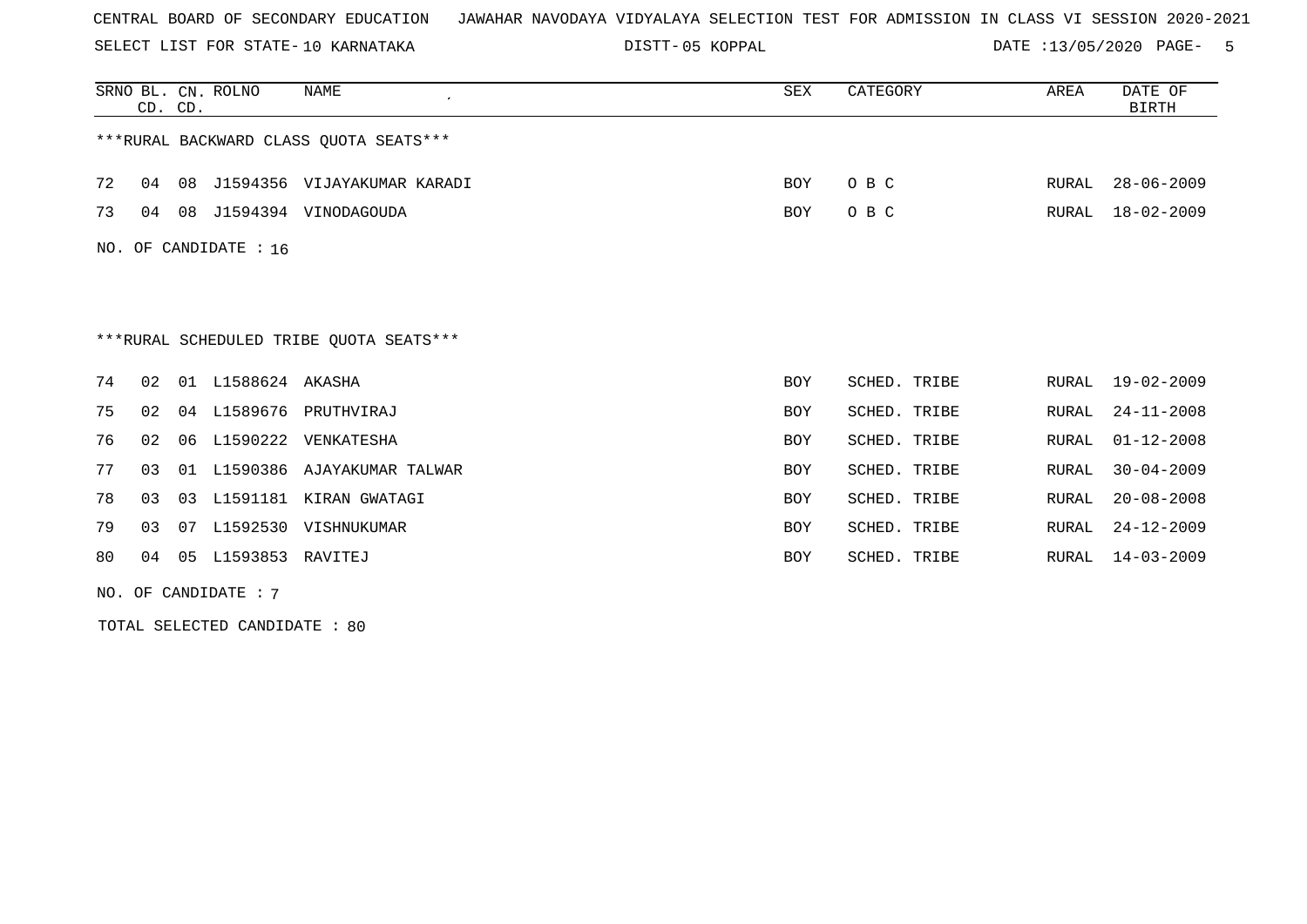SELECT LIST FOR STATE- DISTT- 10 KARNATAKA

05 KOPPAL DATE :13/05/2020 PAGE- 5

|    |                         | CD. CD. | SRNO BL. CN. ROLNO        | NAME                                    | SEX        | CATEGORY     | AREA  | DATE OF<br><b>BIRTH</b> |  |  |  |  |
|----|-------------------------|---------|---------------------------|-----------------------------------------|------------|--------------|-------|-------------------------|--|--|--|--|
|    |                         |         |                           | ***RURAL BACKWARD CLASS OUOTA SEATS***  |            |              |       |                         |  |  |  |  |
| 72 | 04                      | 08      |                           | J1594356 VIJAYAKUMAR KARADI             | <b>BOY</b> | O B C        | RURAL | $28 - 06 - 2009$        |  |  |  |  |
| 73 | 04                      | 08      |                           | J1594394 VINODAGOUDA                    | <b>BOY</b> | O B C        | RURAL | $18 - 02 - 2009$        |  |  |  |  |
|    | NO. OF CANDIDATE : $16$ |         |                           |                                         |            |              |       |                         |  |  |  |  |
|    |                         |         |                           |                                         |            |              |       |                         |  |  |  |  |
|    |                         |         |                           |                                         |            |              |       |                         |  |  |  |  |
|    |                         |         |                           | ***RURAL SCHEDULED TRIBE OUOTA SEATS*** |            |              |       |                         |  |  |  |  |
| 74 | 02                      |         | 01 L1588624 AKASHA        |                                         | BOY        | SCHED. TRIBE | RURAL | $19 - 02 - 2009$        |  |  |  |  |
| 75 | 02                      |         |                           | 04 L1589676 PRUTHVIRAJ                  | BOY        | SCHED. TRIBE | RURAL | $24 - 11 - 2008$        |  |  |  |  |
| 76 | 02                      |         |                           | 06 L1590222 VENKATESHA                  | <b>BOY</b> | SCHED. TRIBE | RURAL | $01 - 12 - 2008$        |  |  |  |  |
| 77 | 03                      |         |                           | 01 L1590386 AJAYAKUMAR TALWAR           | <b>BOY</b> | SCHED. TRIBE | RURAL | $30 - 04 - 2009$        |  |  |  |  |
| 78 | 03                      | 03      |                           | L1591181 KIRAN GWATAGI                  | <b>BOY</b> | SCHED. TRIBE | RURAL | $20 - 08 - 2008$        |  |  |  |  |
| 79 | 03                      | 07      |                           | L1592530 VISHNUKUMAR                    | <b>BOY</b> | SCHED. TRIBE | RURAL | $24 - 12 - 2009$        |  |  |  |  |
| 80 |                         |         | 04  05  L1593853  RAVITEJ |                                         | <b>BOY</b> | SCHED. TRIBE | RURAL | $14 - 03 - 2009$        |  |  |  |  |

NO. OF CANDIDATE : 7

TOTAL SELECTED CANDIDATE : 80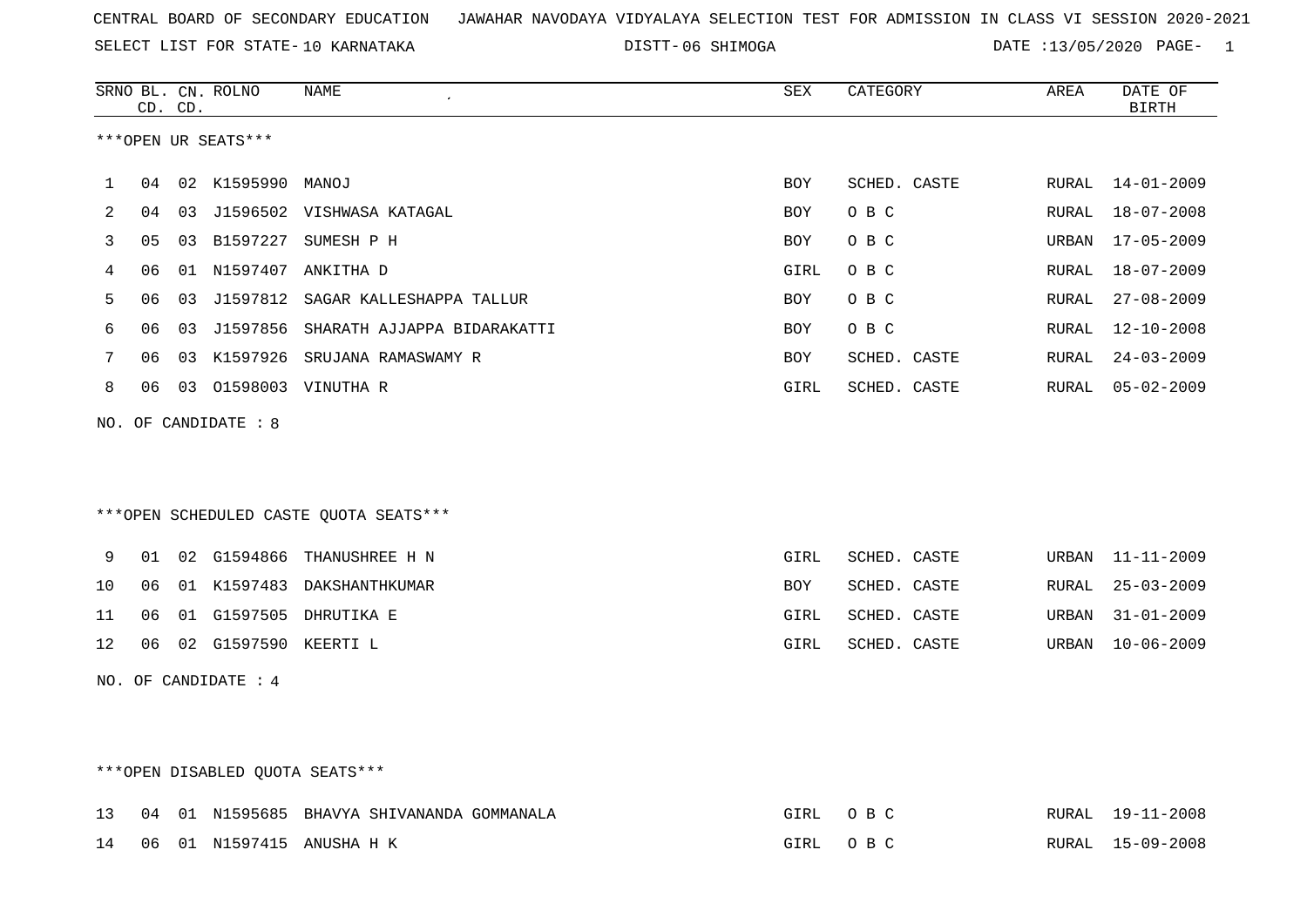DISTT-06 SHIMOGA **DATE** :13/05/2020 PAGE- 1

|    | CD. CD. |    | SRNO BL. CN. ROLNO   | NAME<br>$\epsilon$                     | SEX         | CATEGORY     | AREA         | DATE OF<br><b>BIRTH</b> |
|----|---------|----|----------------------|----------------------------------------|-------------|--------------|--------------|-------------------------|
|    |         |    | ***OPEN UR SEATS***  |                                        |             |              |              |                         |
| 1  | 04      |    | 02 K1595990 MANOJ    |                                        | BOY         | SCHED. CASTE | RURAL        | $14 - 01 - 2009$        |
| 2  | 04      |    |                      | 03 J1596502 VISHWASA KATAGAL           | BOY         | O B C        | RURAL        | $18 - 07 - 2008$        |
| 3  | 05      |    | 03 B1597227          | SUMESH P H                             | BOY         | O B C        | URBAN        | $17 - 05 - 2009$        |
| 4  | 06      |    | 01 N1597407          | ANKITHA D                              | <b>GIRL</b> | O B C        | RURAL        | $18 - 07 - 2009$        |
| 5  | 06      |    |                      | 03 J1597812 SAGAR KALLESHAPPA TALLUR   | BOY         | O B C        | RURAL        | $27 - 08 - 2009$        |
| 6  | 06      |    | 03 J1597856          | SHARATH AJJAPPA BIDARAKATTI            | <b>BOY</b>  | O B C        | <b>RURAL</b> | $12 - 10 - 2008$        |
| 7  | 06      |    |                      | 03 K1597926 SRUJANA RAMASWAMY R        | BOY         | SCHED. CASTE | RURAL        | $24 - 03 - 2009$        |
| 8  | 06      |    |                      | 03 01598003 VINUTHA R                  | <b>GIRL</b> | SCHED. CASTE | RURAL        | $05 - 02 - 2009$        |
|    |         |    | NO. OF CANDIDATE : 8 |                                        |             |              |              |                         |
|    |         |    |                      |                                        |             |              |              |                         |
|    |         |    |                      | ***OPEN SCHEDULED CASTE QUOTA SEATS*** |             |              |              |                         |
| 9  | 01      |    |                      | 02 G1594866 THANUSHREE H N             | GIRL        | SCHED. CASTE | URBAN        | $11 - 11 - 2009$        |
| 10 | 06      |    |                      | 01 K1597483 DAKSHANTHKUMAR             | BOY         | SCHED. CASTE | RURAL        | $25 - 03 - 2009$        |
| 11 | 06      | 01 |                      | G1597505 DHRUTIKA E                    | <b>GIRL</b> | SCHED. CASTE | URBAN        | $31 - 01 - 2009$        |
| 12 | 06      |    | 02 G1597590 KEERTI L |                                        | <b>GIRL</b> | SCHED. CASTE | URBAN        | $10 - 06 - 2009$        |
|    |         |    | NO. OF CANDIDATE : 4 |                                        |             |              |              |                         |
|    |         |    |                      |                                        |             |              |              |                         |
|    |         |    |                      |                                        |             |              |              |                         |

# \*\*\*OPEN DISABLED QUOTA SEATS\*\*\*

|  |  | 13 04 01 N1595685 BHAVYA SHIVANANDA GOMMANALA | GIRL | O R C | RURAL 19-11-2008 |
|--|--|-----------------------------------------------|------|-------|------------------|
|  |  | 14 06 01 N1597415 ANUSHA H K                  | GIRL | O R C | RURAL 15-09-2008 |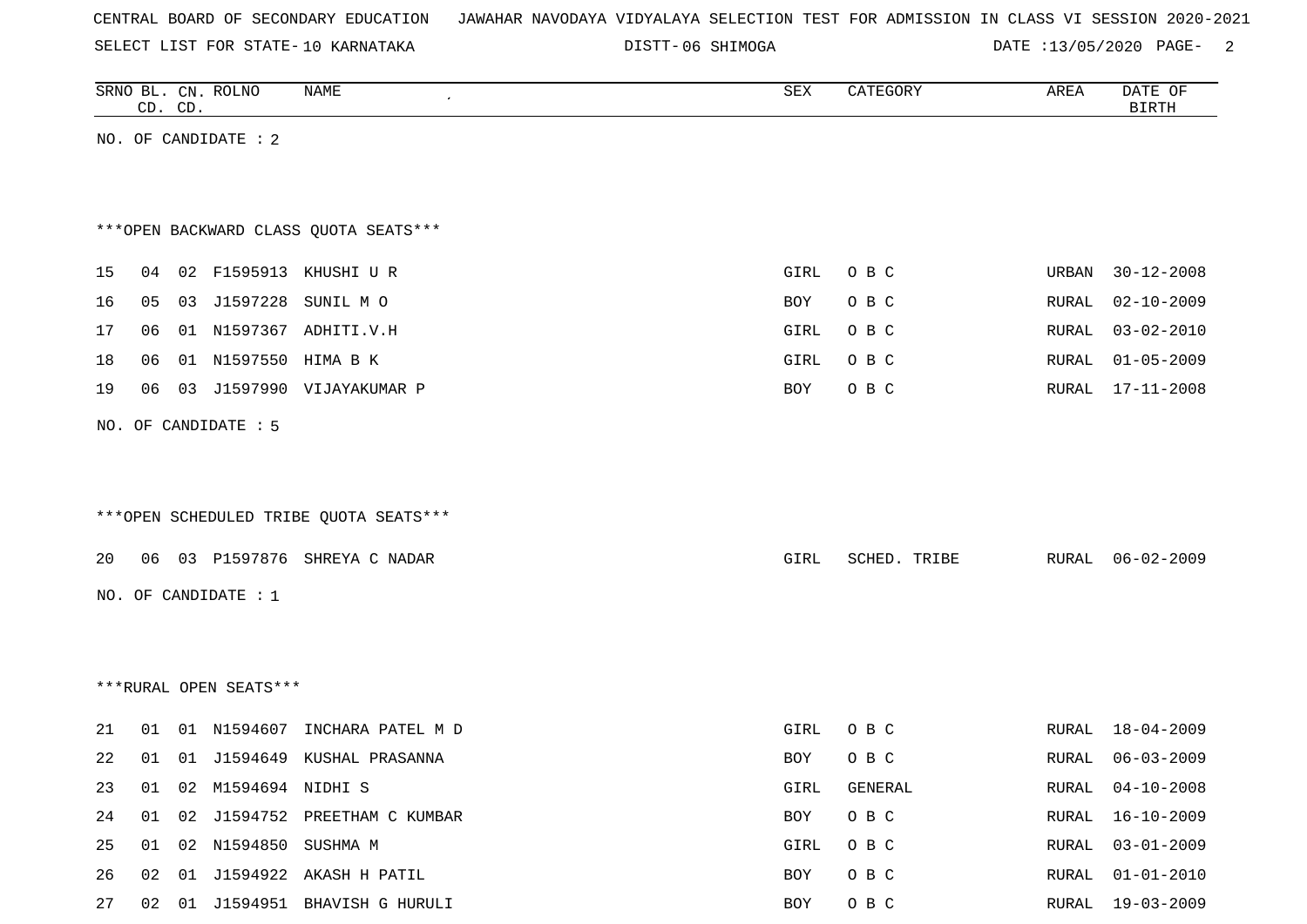| CENTRAL BOARD OF SECONDARY EDUCATION – JAWAHAR NAVODAYA VIDYALAYA SELECTION TEST FOR ADMISSION IN CLASS VI SESSION 2020-2021 |  |  |  |  |  |
|------------------------------------------------------------------------------------------------------------------------------|--|--|--|--|--|
|------------------------------------------------------------------------------------------------------------------------------|--|--|--|--|--|

DISTT-06 SHIMOGA DATE :13/05/2020 PAGE- 2

|    |    | CD. CD. | SRNO BL. CN. ROLNO     | NAME                                   | ${\tt SEX}$ | CATEGORY     | AREA         | DATE OF<br><b>BIRTH</b> |
|----|----|---------|------------------------|----------------------------------------|-------------|--------------|--------------|-------------------------|
|    |    |         | NO. OF CANDIDATE : 2   |                                        |             |              |              |                         |
|    |    |         |                        |                                        |             |              |              |                         |
|    |    |         |                        |                                        |             |              |              |                         |
|    |    |         |                        | *** OPEN BACKWARD CLASS QUOTA SEATS*** |             |              |              |                         |
| 15 | 04 |         |                        | 02 F1595913 KHUSHI U R                 | GIRL        | O B C        | URBAN        | $30 - 12 - 2008$        |
| 16 | 05 | 03      | J1597228               | SUNIL MO                               | BOY         | O B C        | <b>RURAL</b> | $02 - 10 - 2009$        |
| 17 | 06 |         |                        | 01 N1597367 ADHITI.V.H                 | GIRL        | O B C        | RURAL        | $03 - 02 - 2010$        |
| 18 | 06 |         | 01 N1597550 HIMA B K   |                                        | GIRL        | O B C        | RURAL        | $01 - 05 - 2009$        |
| 19 | 06 |         |                        | 03 J1597990 VIJAYAKUMAR P              | BOY         | O B C        | RURAL        | 17-11-2008              |
|    |    |         |                        |                                        |             |              |              |                         |
|    |    |         | NO. OF CANDIDATE : 5   |                                        |             |              |              |                         |
|    |    |         |                        |                                        |             |              |              |                         |
|    |    |         |                        |                                        |             |              |              |                         |
|    |    |         |                        | ***OPEN SCHEDULED TRIBE QUOTA SEATS*** |             |              |              |                         |
| 20 | 06 |         |                        | 03 P1597876 SHREYA C NADAR             | GIRL        | SCHED. TRIBE | RURAL        | 06-02-2009              |
|    |    |         | NO. OF CANDIDATE : $1$ |                                        |             |              |              |                         |
|    |    |         |                        |                                        |             |              |              |                         |
|    |    |         |                        |                                        |             |              |              |                         |
|    |    |         | ***RURAL OPEN SEATS*** |                                        |             |              |              |                         |
|    |    |         |                        |                                        |             |              |              |                         |
| 21 | 01 |         | 01 N1594607            | INCHARA PATEL M D                      | GIRL        | O B C        | RURAL        | 18-04-2009              |
| 22 | 01 |         |                        | 01 J1594649 KUSHAL PRASANNA            | BOY         | O B C        | RURAL        | 06-03-2009              |
| 23 | 01 |         | 02 M1594694 NIDHI S    |                                        | GIRL        | GENERAL      | RURAL        | $04 - 10 - 2008$        |
| 24 | 01 | 02      |                        | J1594752 PREETHAM C KUMBAR             | BOY         | O B C        | RURAL        | $16 - 10 - 2009$        |
| 25 | 01 |         | 02 N1594850 SUSHMA M   |                                        | GIRL        | O B C        | RURAL        | $03 - 01 - 2009$        |
| 26 | 02 |         |                        | 01 J1594922 AKASH H PATIL              | BOY         | O B C        | RURAL        | $01 - 01 - 2010$        |
| 27 |    |         |                        | 02 01 J1594951 BHAVISH G HURULI        | BOY         | $O$ B $C$    | RURAL        | $19 - 03 - 2009$        |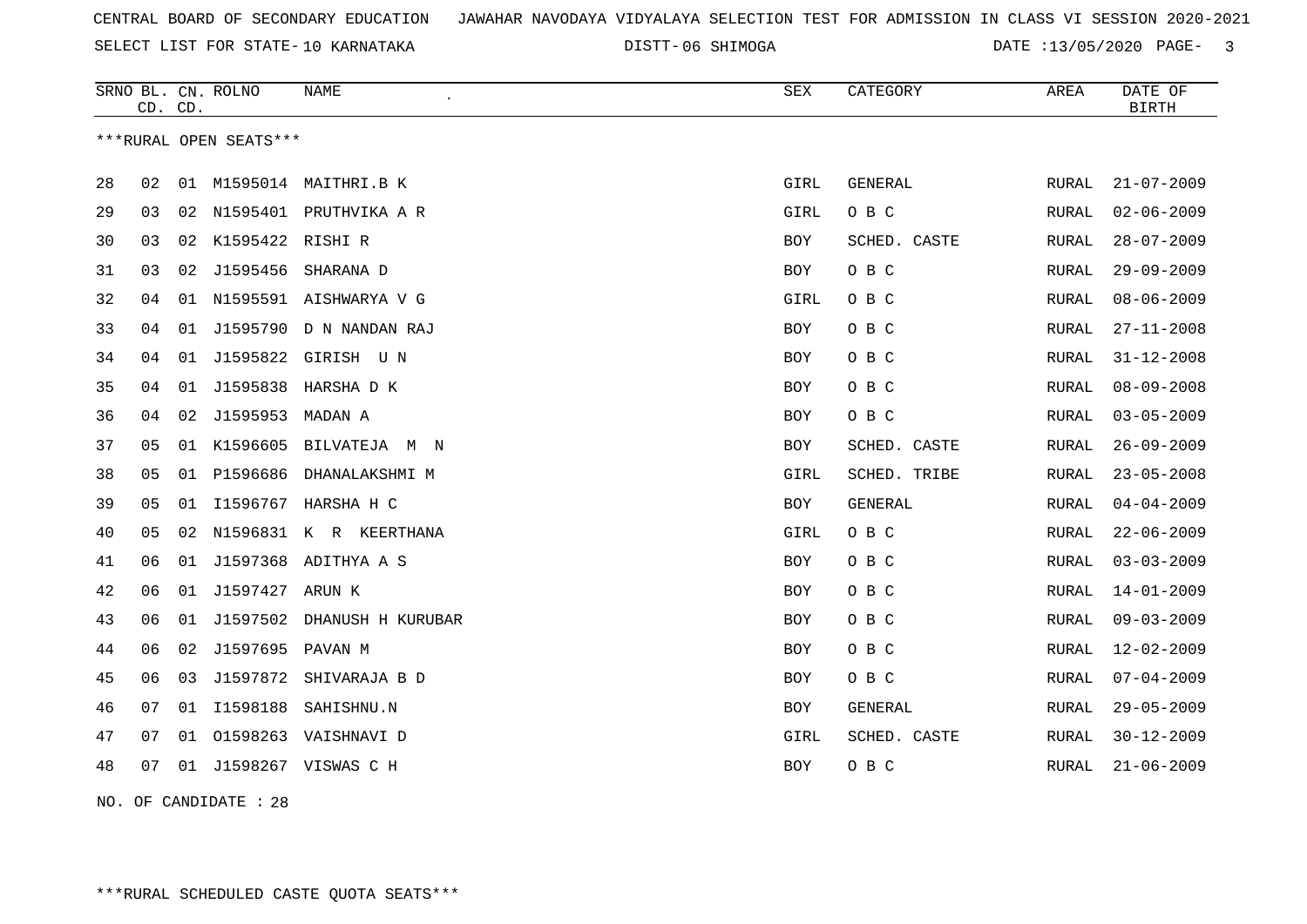SELECT LIST FOR STATE- DISTT- 10 KARNATAKA

DISTT-06 SHIMOGA **DATE** :13/05/2020 PAGE- 3

|    | CD. CD. |    | SRNO BL. CN. ROLNO     | <b>NAME</b>                | SEX        | CATEGORY       | AREA          | DATE OF<br><b>BIRTH</b> |
|----|---------|----|------------------------|----------------------------|------------|----------------|---------------|-------------------------|
|    |         |    | ***RURAL OPEN SEATS*** |                            |            |                |               |                         |
| 28 | 02      | 01 | M1595014               | MAITHRI.B K                | GIRL       | GENERAL        | RURAL         | $21 - 07 - 2009$        |
| 29 | 03      | 02 |                        | N1595401 PRUTHVIKA A R     | GIRL       | O B C          | RURAL         | $02 - 06 - 2009$        |
| 30 | 03      |    | 02 K1595422 RISHI R    |                            | BOY        | SCHED. CASTE   | RURAL         | $28 - 07 - 2009$        |
| 31 | 03      | 02 | J1595456               | SHARANA D                  | BOY        | O B C          | RURAL         | $29 - 09 - 2009$        |
| 32 | 04      |    |                        | 01 N1595591 AISHWARYA V G  | GIRL       | O B C          | RURAL         | $08 - 06 - 2009$        |
| 33 | 04      | 01 |                        | J1595790 D N NANDAN RAJ    | <b>BOY</b> | O B C          | <b>RURAL</b>  | $27 - 11 - 2008$        |
| 34 | 04      | 01 |                        | J1595822 GIRISH UN         | BOY        | O B C          | RURAL         | $31 - 12 - 2008$        |
| 35 | 04      | 01 |                        | J1595838 HARSHA D K        | <b>BOY</b> | O B C          | RURAL         | $08 - 09 - 2008$        |
| 36 | 04      | 02 | J1595953               | MADAN A                    | BOY        | O B C          | RURAL         | $03 - 05 - 2009$        |
| 37 | 05      | 01 | K1596605               | BILVATEJA M N              | BOY        | SCHED. CASTE   | RURAL         | $26 - 09 - 2009$        |
| 38 | 05      | 01 |                        | P1596686 DHANALAKSHMI M    | GIRL       | SCHED. TRIBE   | RURAL         | $23 - 05 - 2008$        |
| 39 | 05      | 01 |                        | I1596767 HARSHA H C        | BOY        | <b>GENERAL</b> | RURAL         | $04 - 04 - 2009$        |
| 40 | 05      | 02 |                        | N1596831 K R KEERTHANA     | GIRL       | O B C          | <b>RURAL</b>  | $22 - 06 - 2009$        |
| 41 | 06      | 01 |                        | J1597368 ADITHYA A S       | BOY        | O B C          | ${\tt RURAL}$ | $03 - 03 - 2009$        |
| 42 | 06      | 01 | J1597427 ARUN K        |                            | BOY        | O B C          | RURAL         | $14 - 01 - 2009$        |
| 43 | 06      | 01 |                        | J1597502 DHANUSH H KURUBAR | BOY        | O B C          | RURAL         | $09 - 03 - 2009$        |
| 44 | 06      | 02 | J1597695               | PAVAN M                    | BOY        | O B C          | RURAL         | $12 - 02 - 2009$        |
| 45 | 06      | 03 | J1597872               | SHIVARAJA B D              | BOY        | O B C          | RURAL         | $07 - 04 - 2009$        |
| 46 | 07      | 01 | I1598188               | SAHISHNU.N                 | BOY        | <b>GENERAL</b> | RURAL         | $29 - 05 - 2009$        |
| 47 | 07      | 01 |                        | 01598263 VAISHNAVI D       | GIRL       | SCHED. CASTE   | RURAL         | $30 - 12 - 2009$        |
| 48 | 07      |    |                        | 01 J1598267 VISWAS C H     | <b>BOY</b> | O B C          | RURAL         | $21 - 06 - 2009$        |
|    |         |    |                        |                            |            |                |               |                         |

NO. OF CANDIDATE : 28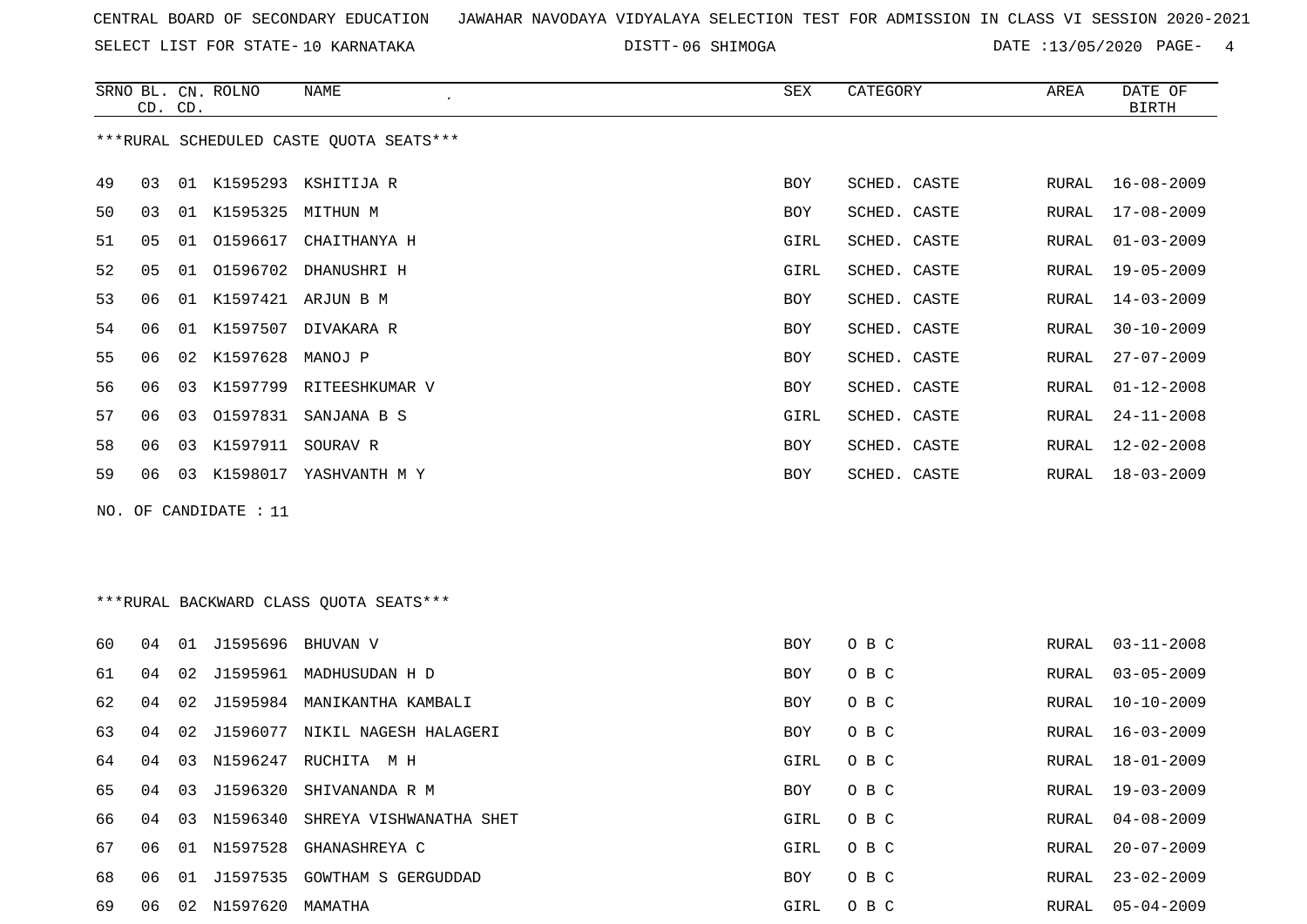SELECT LIST FOR STATE- DISTT- 10 KARNATAKA

06 SHIMOGA DATE :13/05/2020 PAGE- 4

|    | CD. | CD. | SRNO BL. CN. ROLNO      | NAME                                    | SEX        | CATEGORY     | AREA  | DATE OF<br>BIRTH |
|----|-----|-----|-------------------------|-----------------------------------------|------------|--------------|-------|------------------|
|    |     |     |                         | ***RURAL SCHEDULED CASTE OUOTA SEATS*** |            |              |       |                  |
| 49 | 03  |     |                         | 01 K1595293 KSHITIJA R                  | <b>BOY</b> | SCHED. CASTE | RURAL | $16 - 08 - 2009$ |
| 50 | 03  |     | 01 K1595325 MITHUN M    |                                         | BOY        | SCHED. CASTE | RURAL | $17 - 08 - 2009$ |
| 51 | 05  |     |                         | 01 01596617 CHAITHANYA H                | GIRL       | SCHED. CASTE | RURAL | $01 - 03 - 2009$ |
| 52 | 05  |     |                         | 01 01596702 DHANUSHRI H                 | GIRL       | SCHED. CASTE | RURAL | $19 - 05 - 2009$ |
| 53 | 06  |     |                         | 01 K1597421 ARJUN B M                   | <b>BOY</b> | SCHED. CASTE | RURAL | $14 - 03 - 2009$ |
| 54 | 06  | 01  |                         | K1597507 DIVAKARA R                     | <b>BOY</b> | SCHED. CASTE | RURAL | $30 - 10 - 2009$ |
| 55 | 06  |     | 02 K1597628             | MANOJ P                                 | BOY        | SCHED. CASTE | RURAL | $27 - 07 - 2009$ |
| 56 | 06  | 03  |                         | K1597799 RITEESHKUMAR V                 | BOY        | SCHED. CASTE | RURAL | $01 - 12 - 2008$ |
| 57 | 06  | 03  |                         | 01597831 SANJANA B S                    | GIRL       | SCHED. CASTE | RURAL | $24 - 11 - 2008$ |
| 58 | 06  | 03  | K1597911 SOURAV R       |                                         | BOY        | SCHED. CASTE | RURAL | $12 - 02 - 2008$ |
| 59 | 06  |     |                         | 03 K1598017 YASHVANTH M Y               | BOY        | SCHED. CASTE | RURAL | $18 - 03 - 2009$ |
|    |     |     | NO. OF CANDIDATE : $11$ |                                         |            |              |       |                  |
|    |     |     |                         |                                         |            |              |       |                  |
|    |     |     |                         |                                         |            |              |       |                  |
|    |     |     |                         | ***RURAL BACKWARD CLASS QUOTA SEATS***  |            |              |       |                  |
| 60 | 04  |     | 01 J1595696 BHUVAN V    |                                         | <b>BOY</b> | O B C        | RURAL | $03 - 11 - 2008$ |
| 61 | 04  | 02  |                         | J1595961 MADHUSUDAN H D                 | BOY        | O B C        | RURAL | $03 - 05 - 2009$ |
| 62 | 04  | 02  |                         | J1595984 MANIKANTHA KAMBALI             | BOY        | O B C        | RURAL | $10 - 10 - 2009$ |
| 63 | 04  | 02  |                         | J1596077 NIKIL NAGESH HALAGERI          | <b>BOY</b> | O B C        | RURAL | $16 - 03 - 2009$ |
| 64 | 04  |     |                         | 03 N1596247 RUCHITA M H                 | GIRL       | O B C        | RURAL | 18-01-2009       |
| 65 | 04  | 03  | J1596320                | SHIVANANDA R M                          | BOY        | O B C        | RURAL | $19 - 03 - 2009$ |
| 66 | 04  |     | 03 N1596340             | SHREYA VISHWANATHA SHET                 | GIRL       | O B C        | RURAL | $04 - 08 - 2009$ |
| 67 | 06  |     |                         | 01 N1597528 GHANASHREYA C               | GIRL       | O B C        | RURAL | $20 - 07 - 2009$ |

 06 01 J1597535 GOWTHAM S GERGUDDAD BOY O B C RURAL 23-02-2009 06 02 N1597620 MAMATHA GIRL O B C RURAL 05-04-2009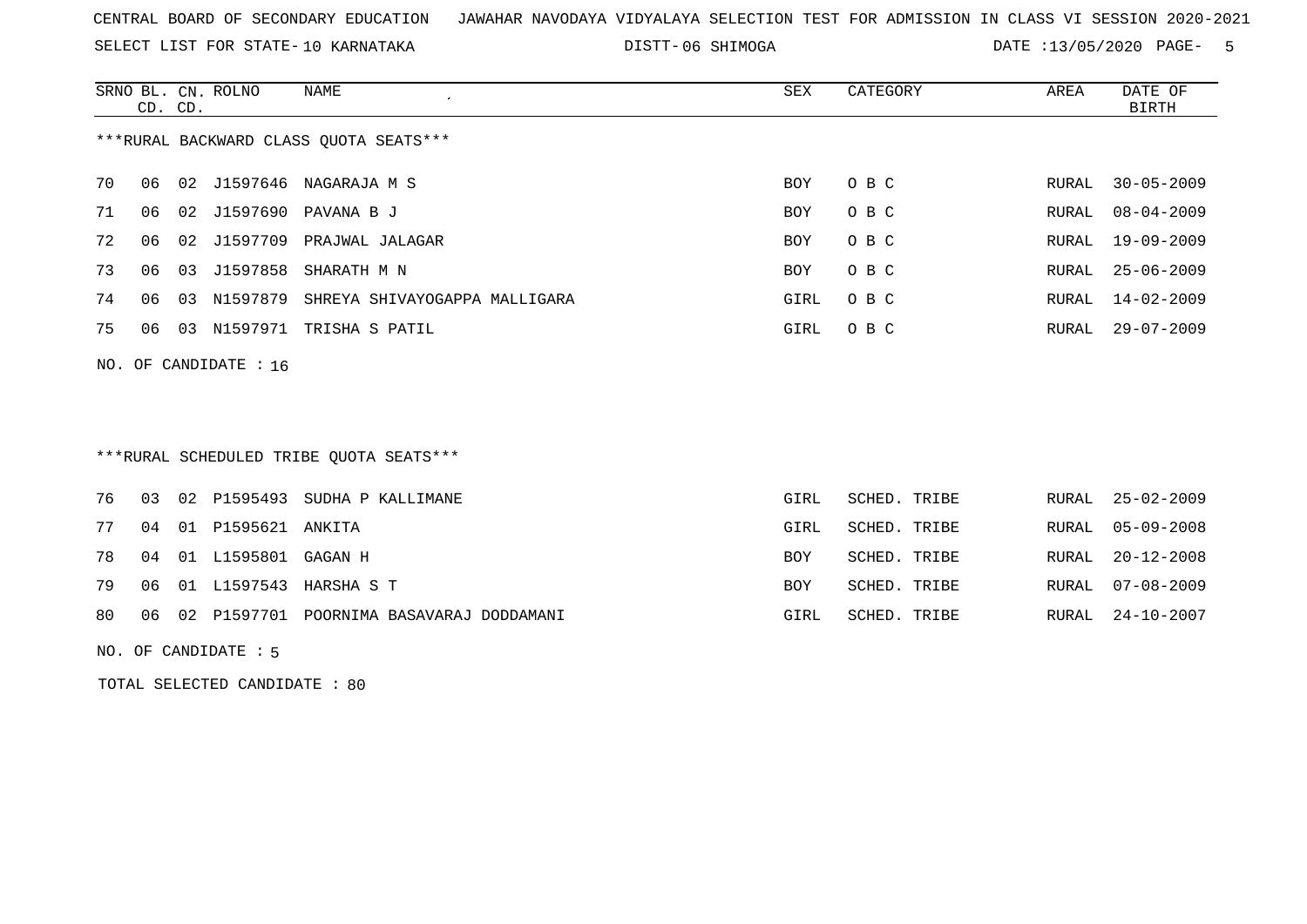SELECT LIST FOR STATE- DISTT- 10 KARNATAKA

DISTT-06 SHIMOGA DATE :13/05/2020 PAGE- 5

|    | CD. CD. |    | SRNO BL. CN. ROLNO      | NAME                                   | SEX  | CATEGORY | AREA  | DATE OF<br>BIRTH |
|----|---------|----|-------------------------|----------------------------------------|------|----------|-------|------------------|
|    |         |    |                         | ***RURAL BACKWARD CLASS OUOTA SEATS*** |      |          |       |                  |
| 70 | 06      |    | 02 J1597646             | NAGARAJA M S                           | BOY  | O B C    | RURAL | $30 - 05 - 2009$ |
| 71 | 06      |    |                         | 02 J1597690 PAVANA B J                 | BOY  | O B C    | RURAL | $08 - 04 - 2009$ |
| 72 | 06      |    | 02 J1597709             | PRAJWAL JALAGAR                        | BOY  | O B C    | RURAL | 19-09-2009       |
| 73 | 06      |    |                         | 03 J1597858 SHARATH M N                | BOY  | O B C    | RURAL | $25 - 06 - 2009$ |
| 74 | 06      | 03 | N1597879                | SHREYA SHIVAYOGAPPA MALLIGARA          | GIRL | O B C    | RURAL | 14-02-2009       |
| 75 | 06      | 03 | N1597971                | TRISHA S PATIL                         | GIRL | O B C    | RURAL | 29-07-2009       |
|    |         |    | NO. OF CANDIDATE : $16$ |                                        |      |          |       |                  |

\*\*\*RURAL SCHEDULED TRIBE QUOTA SEATS\*\*\*

|  |                                | 76 03 02 P1595493 SUDHA P KALLIMANE            | GIRL       | SCHED. TRIBE |  | RURAL 25-02-2009 |
|--|--------------------------------|------------------------------------------------|------------|--------------|--|------------------|
|  | 77 04 01 P1595621 ANKITA       |                                                | GIRL       | SCHED. TRIBE |  | RURAL 05-09-2008 |
|  | 78  04  01  L1595801  GAGAN  H |                                                | <b>BOY</b> | SCHED. TRIBE |  | RURAL 20-12-2008 |
|  |                                | 79 06 01 L1597543 HARSHA S T                   | <b>BOY</b> | SCHED. TRIBE |  | RURAL 07-08-2009 |
|  |                                | 80 06 02 P1597701 POORNIMA BASAVARAJ DODDAMANI | GIRL       | SCHED. TRIBE |  | RURAL 24-10-2007 |

NO. OF CANDIDATE : 5

TOTAL SELECTED CANDIDATE : 80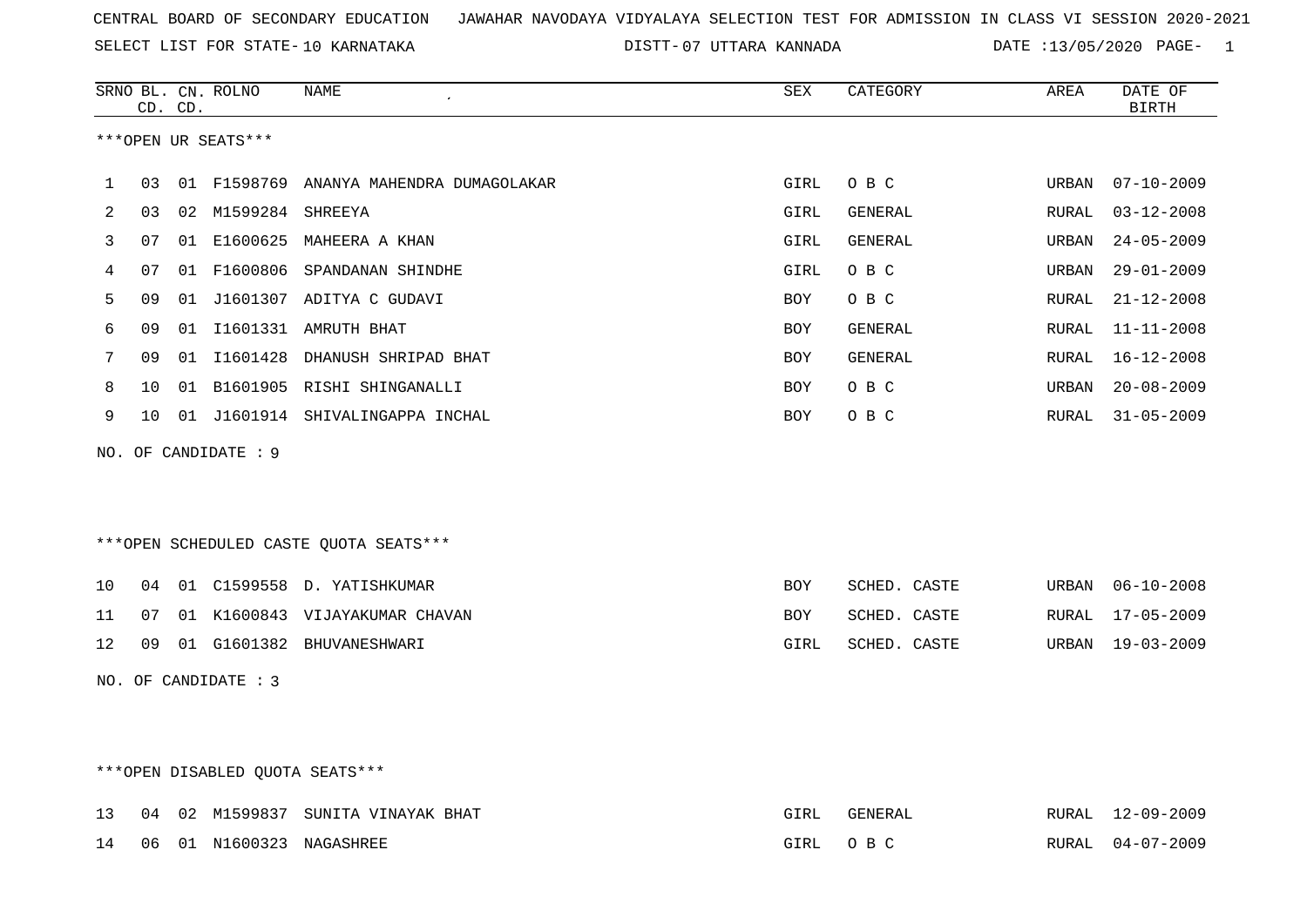07 UTTARA KANNADA DATE :13/05/2020 PAGE- 1

|    |    | CD. CD. | SRNO BL. CN. ROLNO   | <b>NAME</b>                             | SEX        | CATEGORY     | AREA  | DATE OF<br><b>BIRTH</b> |
|----|----|---------|----------------------|-----------------------------------------|------------|--------------|-------|-------------------------|
|    |    |         | ***OPEN UR SEATS***  |                                         |            |              |       |                         |
| 1  | 03 |         |                      | 01 F1598769 ANANYA MAHENDRA DUMAGOLAKAR | GIRL       | O B C        | URBAN | $07 - 10 - 2009$        |
| 2  | 03 |         | 02 M1599284 SHREEYA  |                                         | GIRL       | GENERAL      | RURAL | $03 - 12 - 2008$        |
| 3  | 07 |         |                      | 01 E1600625 MAHEERA A KHAN              | GIRL       | GENERAL      | URBAN | $24 - 05 - 2009$        |
| 4  | 07 |         |                      | 01 F1600806 SPANDANAN SHINDHE           | GIRL       | O B C        | URBAN | $29 - 01 - 2009$        |
| 5  | 09 | 01      |                      | J1601307 ADITYA C GUDAVI                | <b>BOY</b> | O B C        | RURAL | $21 - 12 - 2008$        |
| 6  | 09 |         |                      | 01 I1601331 AMRUTH BHAT                 | BOY        | GENERAL      | RURAL | $11 - 11 - 2008$        |
| 7  | 09 |         |                      | 01 I1601428 DHANUSH SHRIPAD BHAT        | BOY        | GENERAL      | RURAL | 16-12-2008              |
| 8  | 10 | 01      |                      | B1601905 RISHI SHINGANALLI              | BOY        | O B C        | URBAN | $20 - 08 - 2009$        |
| 9  | 10 |         |                      | 01 J1601914 SHIVALINGAPPA INCHAL        | <b>BOY</b> | O B C        | RURAL | $31 - 05 - 2009$        |
|    |    |         | NO. OF CANDIDATE : 9 |                                         |            |              |       |                         |
|    |    |         |                      |                                         |            |              |       |                         |
|    |    |         |                      |                                         |            |              |       |                         |
|    |    |         |                      | ***OPEN SCHEDULED CASTE QUOTA SEATS***  |            |              |       |                         |
| 10 | 04 |         |                      | 01 C1599558 D. YATISHKUMAR              | <b>BOY</b> | SCHED. CASTE | URBAN | $06 - 10 - 2008$        |
| 11 | 07 |         |                      | 01 K1600843 VIJAYAKUMAR CHAVAN          | <b>BOY</b> | SCHED. CASTE | RURAL | $17 - 05 - 2009$        |
| 12 | 09 |         |                      | 01 G1601382 BHUVANESHWARI               | GIRL       | SCHED. CASTE | URBAN | $19 - 03 - 2009$        |
|    |    |         | NO. OF CANDIDATE : 3 |                                         |            |              |       |                         |
|    |    |         |                      |                                         |            |              |       |                         |
|    |    |         |                      |                                         |            |              |       |                         |

\*\*\*OPEN DISABLED QUOTA SEATS\*\*\*

|  |  | 13 04 02 M1599837 SUNITA VINAYAK BHAT | GIRL     | GENERAL | RURAL 12-09-2009 |
|--|--|---------------------------------------|----------|---------|------------------|
|  |  | 14 06 01 N1600323 NAGASHREE           | GIRL OBC |         | RURAL 04-07-2009 |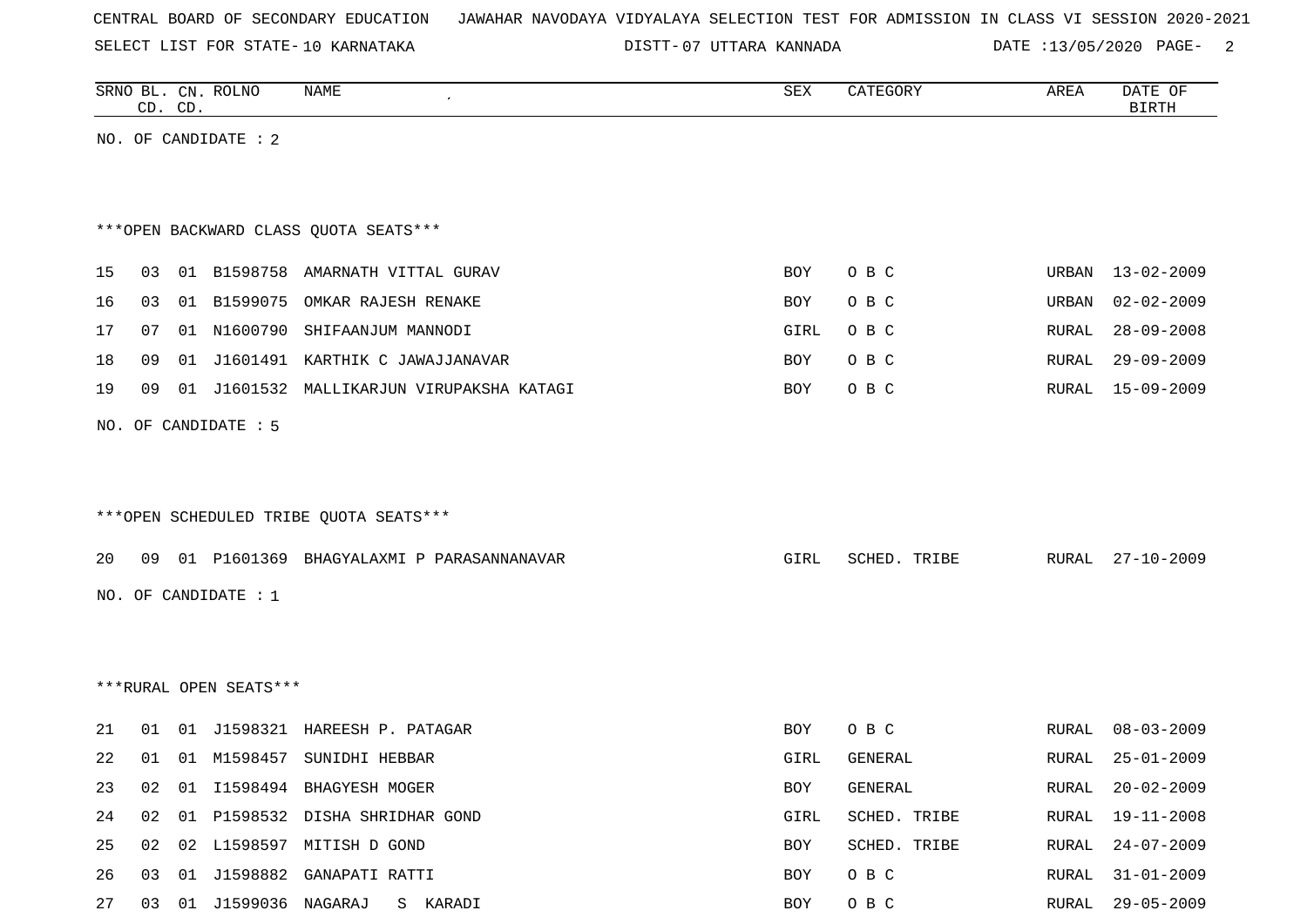|  |  | CENTRAL BOARD OF SECONDARY EDUCATION – JAWAHAR NAVODAYA VIDYALAYA SELECTION TEST FOR ADMISSION IN CLASS VI SESSION 2020-2021 |  |  |  |  |  |  |  |
|--|--|------------------------------------------------------------------------------------------------------------------------------|--|--|--|--|--|--|--|

SELECT LIST FOR STATE-10 KARNATAKA

10 KARNATAKA 07 UTTARA KANNADA DATE :13/05/2020 PAGE- 2

|    | CD. CD. |    | SRNO BL. CN. ROLNO     | <b>NAME</b>                               | <b>SEX</b> | CATEGORY     | AREA         | DATE OF<br><b>BIRTH</b> |
|----|---------|----|------------------------|-------------------------------------------|------------|--------------|--------------|-------------------------|
|    |         |    | NO. OF CANDIDATE : 2   |                                           |            |              |              |                         |
|    |         |    |                        |                                           |            |              |              |                         |
|    |         |    |                        |                                           |            |              |              |                         |
|    |         |    |                        | *** OPEN BACKWARD CLASS QUOTA SEATS***    |            |              |              |                         |
| 15 | 03      |    |                        | 01 B1598758 AMARNATH VITTAL GURAV         | BOY        | O B C        | URBAN        | $13 - 02 - 2009$        |
| 16 | 03      |    | 01 B1599075            | OMKAR RAJESH RENAKE                       | BOY        | O B C        | URBAN        | $02 - 02 - 2009$        |
| 17 | 07      |    |                        | 01 N1600790 SHIFAANJUM MANNODI            | GIRL       | O B C        | RURAL        | $28 - 09 - 2008$        |
| 18 | 09      |    |                        | 01 J1601491 KARTHIK C JAWAJJANAVAR        | BOY        | O B C        | RURAL        | $29 - 09 - 2009$        |
| 19 | 09      |    |                        | 01 J1601532 MALLIKARJUN VIRUPAKSHA KATAGI | BOY        | O B C        | RURAL        | $15 - 09 - 2009$        |
|    |         |    | NO. OF CANDIDATE : 5   |                                           |            |              |              |                         |
|    |         |    |                        |                                           |            |              |              |                         |
|    |         |    |                        |                                           |            |              |              |                         |
|    |         |    |                        | *** OPEN SCHEDULED TRIBE QUOTA SEATS***   |            |              |              |                         |
| 20 | 09      |    |                        | 01 P1601369 BHAGYALAXMI P PARASANNANAVAR  | GIRL       | SCHED. TRIBE | RURAL        | $27 - 10 - 2009$        |
|    |         |    | NO. OF CANDIDATE : 1   |                                           |            |              |              |                         |
|    |         |    |                        |                                           |            |              |              |                         |
|    |         |    |                        |                                           |            |              |              |                         |
|    |         |    | ***RURAL OPEN SEATS*** |                                           |            |              |              |                         |
|    |         |    |                        |                                           |            |              |              |                         |
| 21 | 01      |    |                        | 01 J1598321 HAREESH P. PATAGAR            | BOY        | O B C        | RURAL        | $08 - 03 - 2009$        |
| 22 | 01      |    |                        | 01 M1598457 SUNIDHI HEBBAR                | GIRL       | GENERAL      | RURAL        | $25 - 01 - 2009$        |
| 23 | 02      |    |                        | 01 I1598494 BHAGYESH MOGER                | BOY        | GENERAL      | RURAL        | $20 - 02 - 2009$        |
| 24 | 02      | 01 |                        | P1598532 DISHA SHRIDHAR GOND              | GIRL       | SCHED. TRIBE | RURAL        | $19 - 11 - 2008$        |
| 25 | 02      |    |                        | 02 L1598597 MITISH D GOND                 | BOY        | SCHED. TRIBE | RURAL        | $24 - 07 - 2009$        |
| 26 | 03      |    |                        | 01 J1598882 GANAPATI RATTI                | BOY        | O B C        | RURAL        | $31 - 01 - 2009$        |
| 27 | 03      |    | 01 J1599036 NAGARAJ    | S KARADI                                  | BOY        | O B C        | <b>RURAL</b> | $29 - 05 - 2009$        |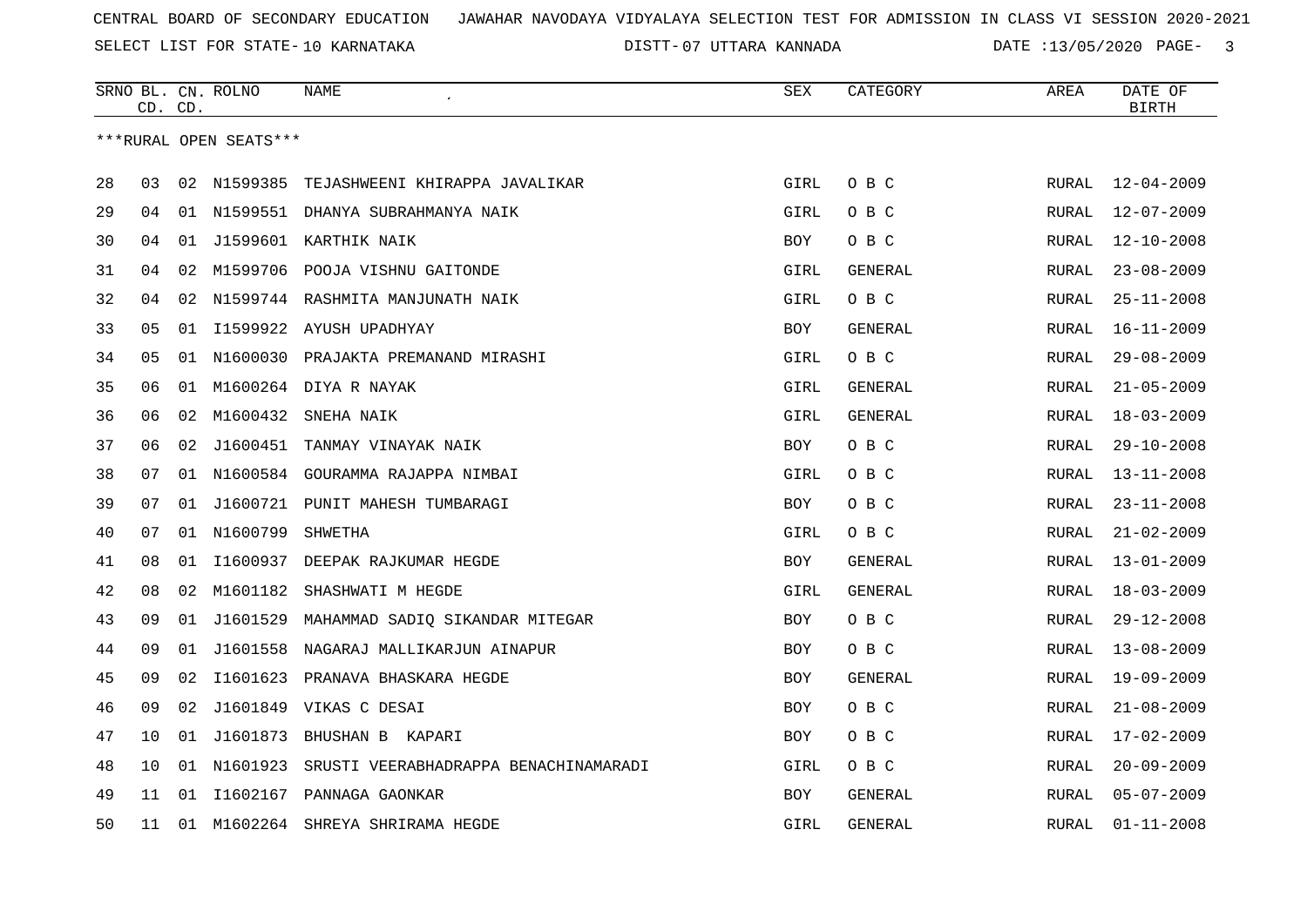07 UTTARA KANNADA DATE :13/05/2020 PAGE- 3

|    | CD. CD. |    | SRNO BL. CN. ROLNO     | <b>NAME</b>                            | SEX        | CATEGORY       | AREA         | DATE OF<br><b>BIRTH</b> |
|----|---------|----|------------------------|----------------------------------------|------------|----------------|--------------|-------------------------|
|    |         |    | ***RURAL OPEN SEATS*** |                                        |            |                |              |                         |
| 28 | 03      |    | 02 N1599385            | TEJASHWEENI KHIRAPPA JAVALIKAR         | GIRL       | O B C          | RURAL        | $12 - 04 - 2009$        |
| 29 | 04      |    |                        | 01 N1599551 DHANYA SUBRAHMANYA NAIK    | GIRL       | O B C          | RURAL        | 12-07-2009              |
| 30 | 04      |    |                        | 01 J1599601 KARTHIK NAIK               | BOY        | O B C          | <b>RURAL</b> | $12 - 10 - 2008$        |
| 31 | 04      |    |                        | 02 M1599706 POOJA VISHNU GAITONDE      | GIRL       | GENERAL        | <b>RURAL</b> | $23 - 08 - 2009$        |
| 32 | 04      | 02 |                        | N1599744 RASHMITA MANJUNATH NAIK       | GIRL       | O B C          | <b>RURAL</b> | $25 - 11 - 2008$        |
| 33 | 05      |    |                        | 01 I1599922 AYUSH UPADHYAY             | BOY        | GENERAL        | <b>RURAL</b> | $16 - 11 - 2009$        |
| 34 | 05      |    |                        | 01 N1600030 PRAJAKTA PREMANAND MIRASHI | GIRL       | O B C          | <b>RURAL</b> | $29 - 08 - 2009$        |
| 35 | 06      |    |                        | 01 M1600264 DIYA R NAYAK               | GIRL       | GENERAL        | RURAL        | $21 - 05 - 2009$        |
| 36 | 06      | 02 |                        | M1600432 SNEHA NAIK                    | GIRL       | <b>GENERAL</b> | <b>RURAL</b> | $18 - 03 - 2009$        |
| 37 | 06      | 02 | J1600451               | TANMAY VINAYAK NAIK                    | <b>BOY</b> | O B C          | RURAL        | $29 - 10 - 2008$        |
| 38 | 07      |    |                        | 01 N1600584 GOURAMMA RAJAPPA NIMBAI    | GIRL       | O B C          | <b>RURAL</b> | $13 - 11 - 2008$        |
| 39 | 07      |    |                        | 01 J1600721 PUNIT MAHESH TUMBARAGI     | <b>BOY</b> | O B C          | <b>RURAL</b> | $23 - 11 - 2008$        |
| 40 | 07      |    | 01 N1600799            | SHWETHA                                | GIRL       | O B C          | <b>RURAL</b> | $21 - 02 - 2009$        |
| 41 | 08      | 01 |                        | 11600937 DEEPAK RAJKUMAR HEGDE         | <b>BOY</b> | GENERAL        | RURAL        | $13 - 01 - 2009$        |
| 42 | 08      | 02 | M1601182               | SHASHWATI M HEGDE                      | GIRL       | <b>GENERAL</b> | RURAL        | $18 - 03 - 2009$        |
| 43 | 09      | 01 | J1601529               | MAHAMMAD SADIQ SIKANDAR MITEGAR        | BOY        | O B C          | RURAL        | $29 - 12 - 2008$        |
| 44 | 09      | 01 | J1601558               | NAGARAJ MALLIKARJUN AINAPUR            | <b>BOY</b> | O B C          | RURAL        | $13 - 08 - 2009$        |
| 45 | 09      | 02 | I1601623               | PRANAVA BHASKARA HEGDE                 | <b>BOY</b> | <b>GENERAL</b> | RURAL        | $19 - 09 - 2009$        |
| 46 | 09      | 02 |                        | J1601849 VIKAS C DESAI                 | BOY        | O B C          | RURAL        | $21 - 08 - 2009$        |
| 47 | 10      | 01 |                        | J1601873 BHUSHAN B KAPARI              | <b>BOY</b> | O B C          | RURAL        | $17 - 02 - 2009$        |
| 48 | 10      |    | 01 N1601923            | SRUSTI VEERABHADRAPPA BENACHINAMARADI  | GIRL       | O B C          | RURAL        | $20 - 09 - 2009$        |
| 49 | 11      | 01 |                        | I1602167 PANNAGA GAONKAR               | <b>BOY</b> | GENERAL        | RURAL        | $05 - 07 - 2009$        |
| 50 | 11      |    | 01 M1602264            | SHREYA SHRIRAMA HEGDE                  | GIRL       | GENERAL        | RURAL        | $01 - 11 - 2008$        |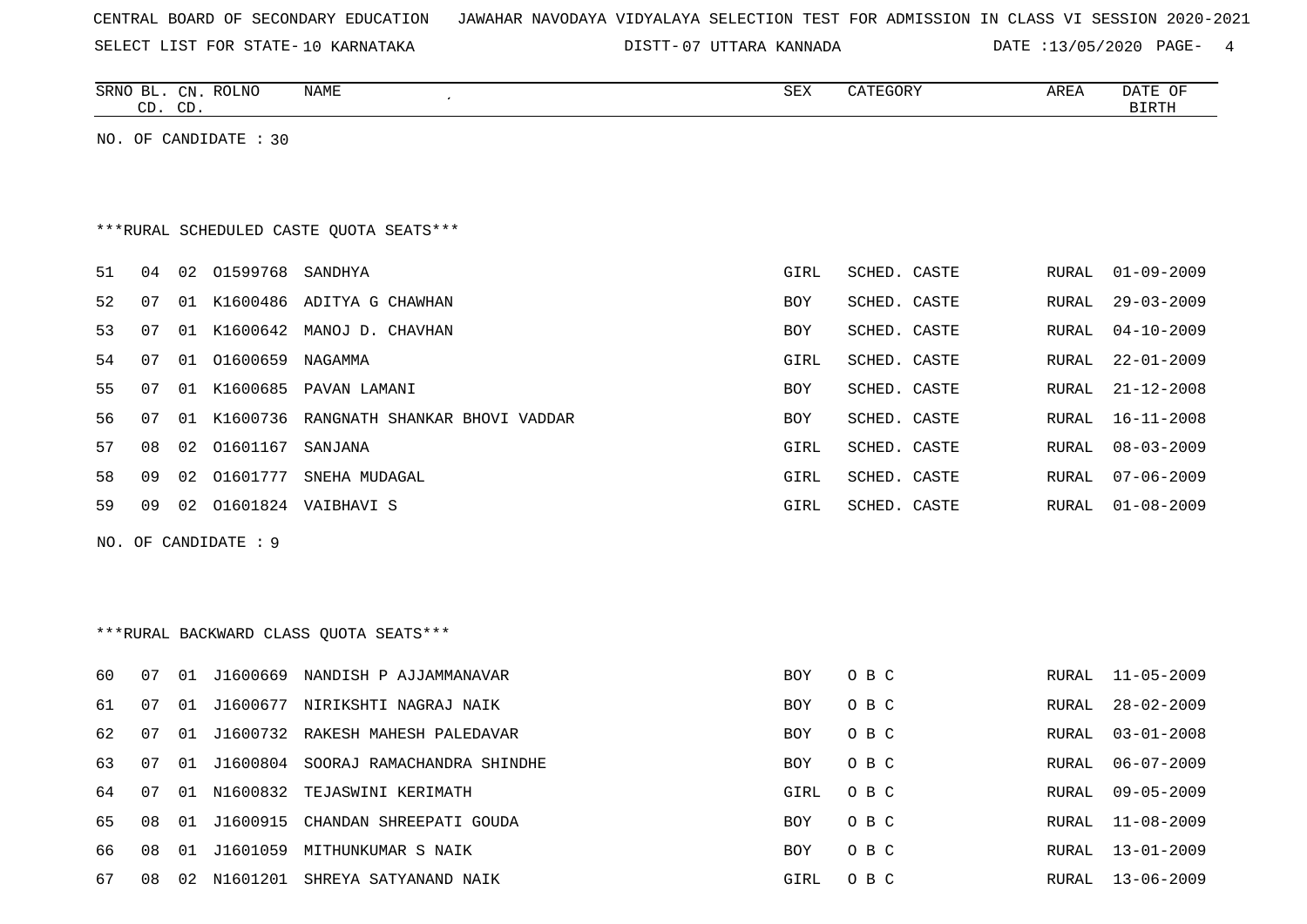|  |  |  | CENTRAL BOARD OF SECONDARY EDUCATION – JAWAHAR NAVODAYA VIDYALAYA SELECTION TEST FOR ADMISSION IN CLASS VI SESSION 2020-2021 |  |  |  |  |  |  |  |  |  |  |  |  |  |  |
|--|--|--|------------------------------------------------------------------------------------------------------------------------------|--|--|--|--|--|--|--|--|--|--|--|--|--|--|
|--|--|--|------------------------------------------------------------------------------------------------------------------------------|--|--|--|--|--|--|--|--|--|--|--|--|--|--|

07 UTTARA KANNADA DATE :13/05/2020 PAGE- 4

|    |    | CD. CD. | SRNO BL. CN. ROLNO    | NAME                                      | ${\tt SEX}$ | CATEGORY     | AREA         | DATE OF<br><b>BIRTH</b> |
|----|----|---------|-----------------------|-------------------------------------------|-------------|--------------|--------------|-------------------------|
|    |    |         | NO. OF CANDIDATE : 30 |                                           |             |              |              |                         |
|    |    |         |                       |                                           |             |              |              |                         |
|    |    |         |                       |                                           |             |              |              |                         |
|    |    |         |                       | *** RURAL SCHEDULED CASTE QUOTA SEATS***  |             |              |              |                         |
| 51 | 04 |         | 02 01599768 SANDHYA   |                                           | GIRL        | SCHED. CASTE | RURAL        | $01 - 09 - 2009$        |
| 52 | 07 |         |                       | 01 K1600486 ADITYA G CHAWHAN              | <b>BOY</b>  | SCHED. CASTE | RURAL        | $29 - 03 - 2009$        |
| 53 | 07 |         |                       | 01 K1600642 MANOJ D. CHAVHAN              | BOY         | SCHED. CASTE | RURAL        | $04 - 10 - 2009$        |
| 54 | 07 |         | 01 01600659           | NAGAMMA                                   | GIRL        | SCHED. CASTE | RURAL        | $22 - 01 - 2009$        |
| 55 | 07 |         |                       | 01 K1600685 PAVAN LAMANI                  | BOY         | SCHED. CASTE | RURAL        | $21 - 12 - 2008$        |
| 56 | 07 |         |                       | 01 K1600736 RANGNATH SHANKAR BHOVI VADDAR | <b>BOY</b>  | SCHED. CASTE | <b>RURAL</b> | $16 - 11 - 2008$        |
| 57 | 08 |         | 02  01601167  SANJANA |                                           | GIRL        | SCHED. CASTE | RURAL        | $08 - 03 - 2009$        |
| 58 | 09 |         |                       | 02 01601777 SNEHA MUDAGAL                 | GIRL        | SCHED. CASTE | RURAL        | $07 - 06 - 2009$        |
| 59 | 09 |         |                       | 02 01601824 VAIBHAVI S                    | GIRL        | SCHED. CASTE | RURAL        | $01 - 08 - 2009$        |
|    |    |         | NO. OF CANDIDATE : 9  |                                           |             |              |              |                         |
|    |    |         |                       |                                           |             |              |              |                         |
|    |    |         |                       |                                           |             |              |              |                         |
|    |    |         |                       | *** RURAL BACKWARD CLASS QUOTA SEATS***   |             |              |              |                         |
| 60 | 07 |         |                       | 01 J1600669 NANDISH P AJJAMMANAVAR        | BOY         | O B C        | RURAL        | $11 - 05 - 2009$        |
| 61 | 07 |         |                       | 01 J1600677 NIRIKSHTI NAGRAJ NAIK         | BOY         | O B C        | RURAL        | $28 - 02 - 2009$        |
| 62 | 07 |         |                       | 01 J1600732 RAKESH MAHESH PALEDAVAR       | BOY         | O B C        | RURAL        | $03 - 01 - 2008$        |
| 63 | 07 |         |                       | 01 J1600804 SOORAJ RAMACHANDRA SHINDHE    | BOY         | O B C        | RURAL        | $06 - 07 - 2009$        |
| 64 | 07 | 01      | N1600832              | TEJASWINI KERIMATH                        | GIRL        | O B C        | RURAL        | $09 - 05 - 2009$        |
| 65 | 08 |         | 01 J1600915           | CHANDAN SHREEPATI GOUDA                   | <b>BOY</b>  | O B C        | RURAL        | $11 - 08 - 2009$        |
| 66 | 08 |         |                       | 01 J1601059 MITHUNKUMAR S NAIK            | <b>BOY</b>  | O B C        | RURAL        | $13 - 01 - 2009$        |
| 67 | 08 |         |                       | 02 N1601201 SHREYA SATYANAND NAIK         | GIRL        | O B C        | RURAL        | $13 - 06 - 2009$        |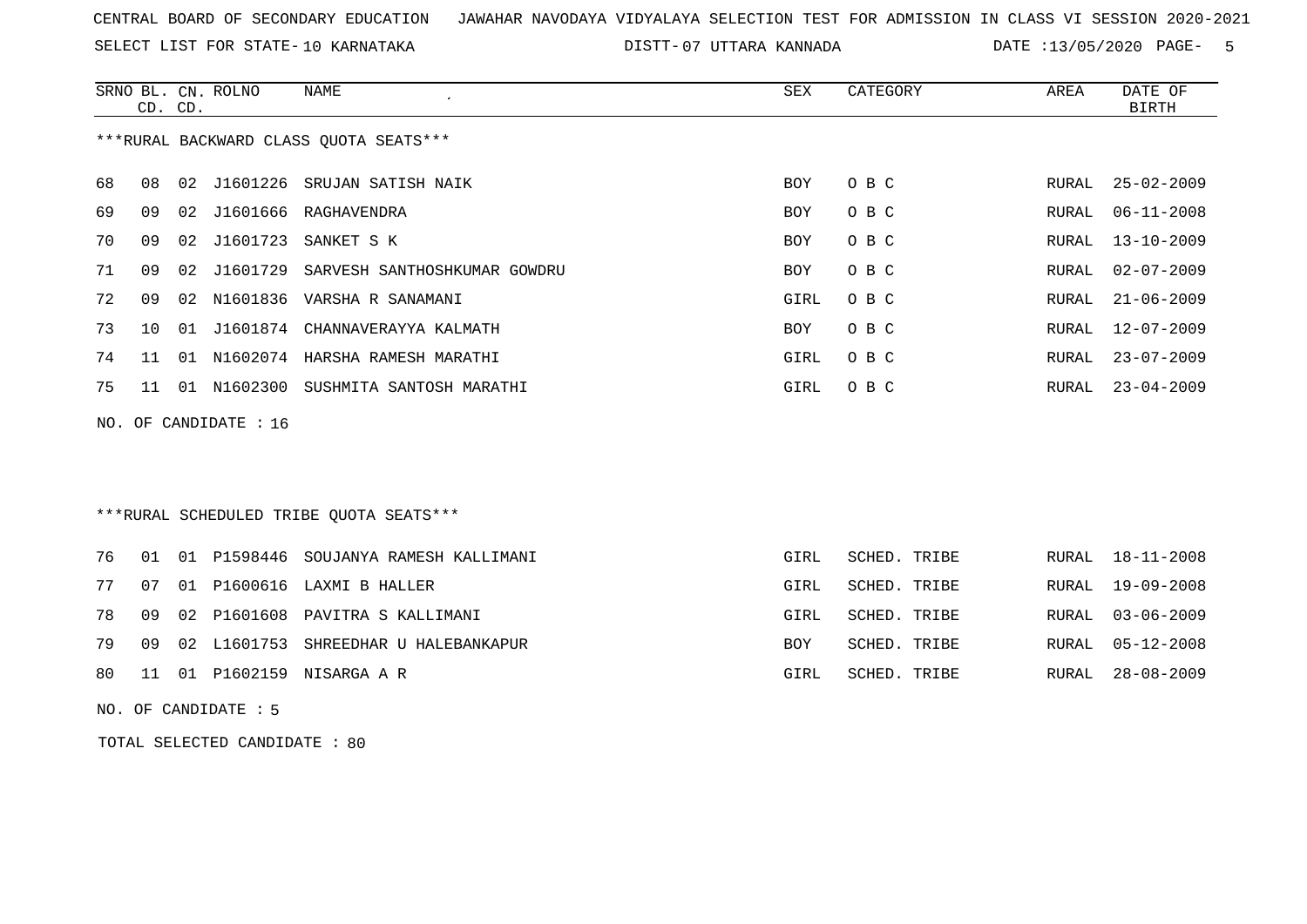SELECT LIST FOR STATE- DISTT- 10 KARNATAKA

07 UTTARA KANNADA DATE :13/05/2020 PAGE- 5

|                                        | CD. CD.  |       | SRNO BL. CN. ROLNO | NAME<br>$\cdot$              | SEX        | CATEGORY | AREA  | DATE OF<br>BIRTH |  |
|----------------------------------------|----------|-------|--------------------|------------------------------|------------|----------|-------|------------------|--|
| ***RURAL BACKWARD CLASS OUOTA SEATS*** |          |       |                    |                              |            |          |       |                  |  |
| 68                                     | 08       | 02    | J1601226           | SRUJAN SATISH NAIK           | <b>BOY</b> | O B C    | RURAL | $25 - 02 - 2009$ |  |
| 69                                     | 09       | 02    | J1601666           | RAGHAVENDRA                  | <b>BOY</b> | O B C    | RURAL | $06 - 11 - 2008$ |  |
| 70                                     | 09       | 02    | J1601723           | SANKET S K                   | <b>BOY</b> | O B C    | RURAL | $13 - 10 - 2009$ |  |
| 71                                     | 09       | 02    | J1601729           | SARVESH SANTHOSHKUMAR GOWDRU | <b>BOY</b> | O B C    | RURAL | $02 - 07 - 2009$ |  |
| 72                                     | 09       | 02    | N1601836           | VARSHA R SANAMANI            | GIRL       | O B C    | RURAL | $21 - 06 - 2009$ |  |
| 73                                     | $10^{-}$ | 01    | J1601874           | CHANNAVERAYYA KALMATH        | <b>BOY</b> | O B C    | RURAL | $12 - 07 - 2009$ |  |
| 74                                     | 11       | . O 1 | N1602074           | HARSHA RAMESH MARATHI        | GIRL       | O B C    | RURAL | $23 - 07 - 2009$ |  |
| 75                                     | 11       | 01    | N1602300           | SUSHMITA SANTOSH MARATHI     | GIRL       | O B C    | RURAL | $23 - 04 - 2009$ |  |
|                                        |          |       |                    |                              |            |          |       |                  |  |

NO. OF CANDIDATE : 16

### \*\*\*RURAL SCHEDULED TRIBE QUOTA SEATS\*\*\*

|  |  | 76 01 01 P1598446 SOUJANYA RAMESH KALLIMANI | GIRL | SCHED. TRIBE |  | RURAL 18-11-2008 |
|--|--|---------------------------------------------|------|--------------|--|------------------|
|  |  | 77 07 01 P1600616 LAXMI B HALLER            | GIRL | SCHED. TRIBE |  | RURAL 19-09-2008 |
|  |  | 78 09 02 P1601608 PAVITRA S KALLIMANI       | GIRL | SCHED. TRIBE |  | RURAL 03-06-2009 |
|  |  | 79 09 02 L1601753 SHREEDHAR U HALEBANKAPUR  | BOY  | SCHED. TRIBE |  | RURAL 05-12-2008 |
|  |  | 80 11 01 P1602159 NISARGA A R               | GIRL | SCHED. TRIBE |  | RURAL 28-08-2009 |

NO. OF CANDIDATE : 5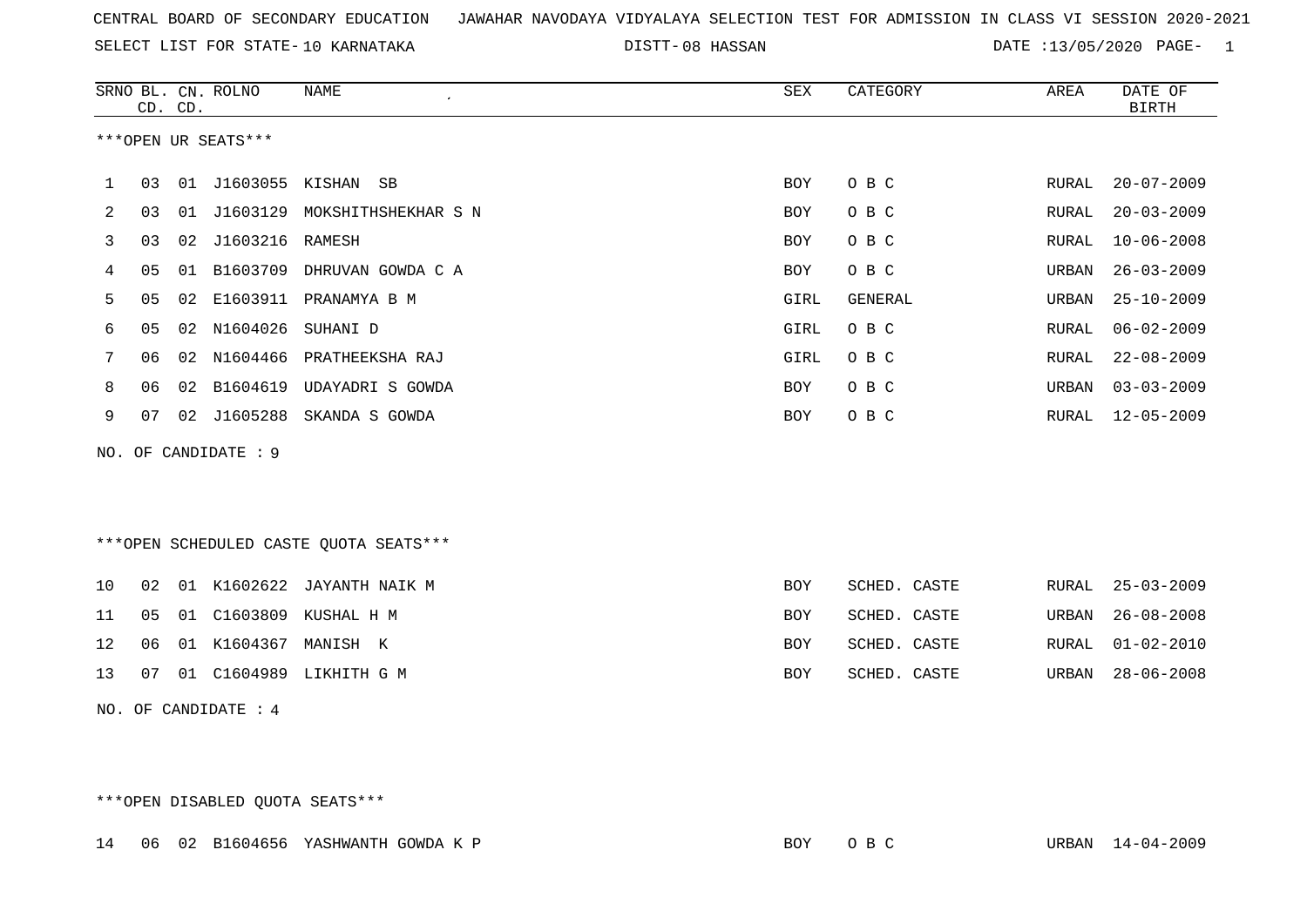SELECT LIST FOR STATE- DISTT- 10 KARNATAKA

08 HASSAN DATE :13/05/2020 PAGE- 1

|     |    | CD. CD.         | SRNO BL. CN. ROLNO   | NAME                                   | <b>SEX</b> | CATEGORY     | AREA  | DATE OF<br><b>BIRTH</b> |
|-----|----|-----------------|----------------------|----------------------------------------|------------|--------------|-------|-------------------------|
|     |    |                 | ***OPEN UR SEATS***  |                                        |            |              |       |                         |
| ı   | 03 |                 | 01 J1603055 KISHAN   | SB                                     | BOY        | O B C        | RURAL | $20 - 07 - 2009$        |
| 2   | 03 |                 |                      | 01 J1603129 MOKSHITHSHEKHAR S N        | <b>BOY</b> | O B C        | RURAL | $20 - 03 - 2009$        |
| 3   | 03 | 02              | J1603216             | RAMESH                                 | <b>BOY</b> | O B C        | RURAL | $10 - 06 - 2008$        |
| 4   | 05 | 01              | B1603709             | DHRUVAN GOWDA C A                      | <b>BOY</b> | O B C        | URBAN | $26 - 03 - 2009$        |
| 5   | 05 | 02              |                      | E1603911 PRANAMYA B M                  | GIRL       | GENERAL      | URBAN | $25 - 10 - 2009$        |
| 6   | 05 | 02              | N1604026             | SUHANI D                               | GIRL       | O B C        | RURAL | $06 - 02 - 2009$        |
| 7   | 06 | 02 <sub>o</sub> | N1604466             | PRATHEEKSHA RAJ                        | GIRL       | O B C        | RURAL | $22 - 08 - 2009$        |
| 8   | 06 | 02              | B1604619             | UDAYADRI S GOWDA                       | BOY        | O B C        | URBAN | $03 - 03 - 2009$        |
| 9   | 07 |                 | 02 J1605288          | SKANDA S GOWDA                         | BOY        | O B C        | RURAL | $12 - 05 - 2009$        |
| NO. |    |                 | OF CANDIDATE : 9     |                                        |            |              |       |                         |
|     |    |                 |                      |                                        |            |              |       |                         |
|     |    |                 |                      |                                        |            |              |       |                         |
|     |    |                 |                      | ***OPEN SCHEDULED CASTE QUOTA SEATS*** |            |              |       |                         |
| 10  | 02 |                 |                      | 01 K1602622 JAYANTH NAIK M             | <b>BOY</b> | SCHED. CASTE | RURAL | $25 - 03 - 2009$        |
| 11  | 05 | 01              | C1603809             | KUSHAL H M                             | <b>BOY</b> | SCHED. CASTE | URBAN | $26 - 08 - 2008$        |
| 12  | 06 |                 |                      | 01 K1604367 MANISH K                   | <b>BOY</b> | SCHED. CASTE | RURAL | $01 - 02 - 2010$        |
| 13  | 07 |                 | 01 C1604989          | LIKHITH G M                            | <b>BOY</b> | SCHED. CASTE | URBAN | $28 - 06 - 2008$        |
|     |    |                 | NO. OF CANDIDATE : 4 |                                        |            |              |       |                         |

\*\*\*OPEN DISABLED QUOTA SEATS\*\*\*

14 06 02 B1604656 YASHWANTH GOWDA K P SAND SON SON BOY O B C STUDEN 14-04-2009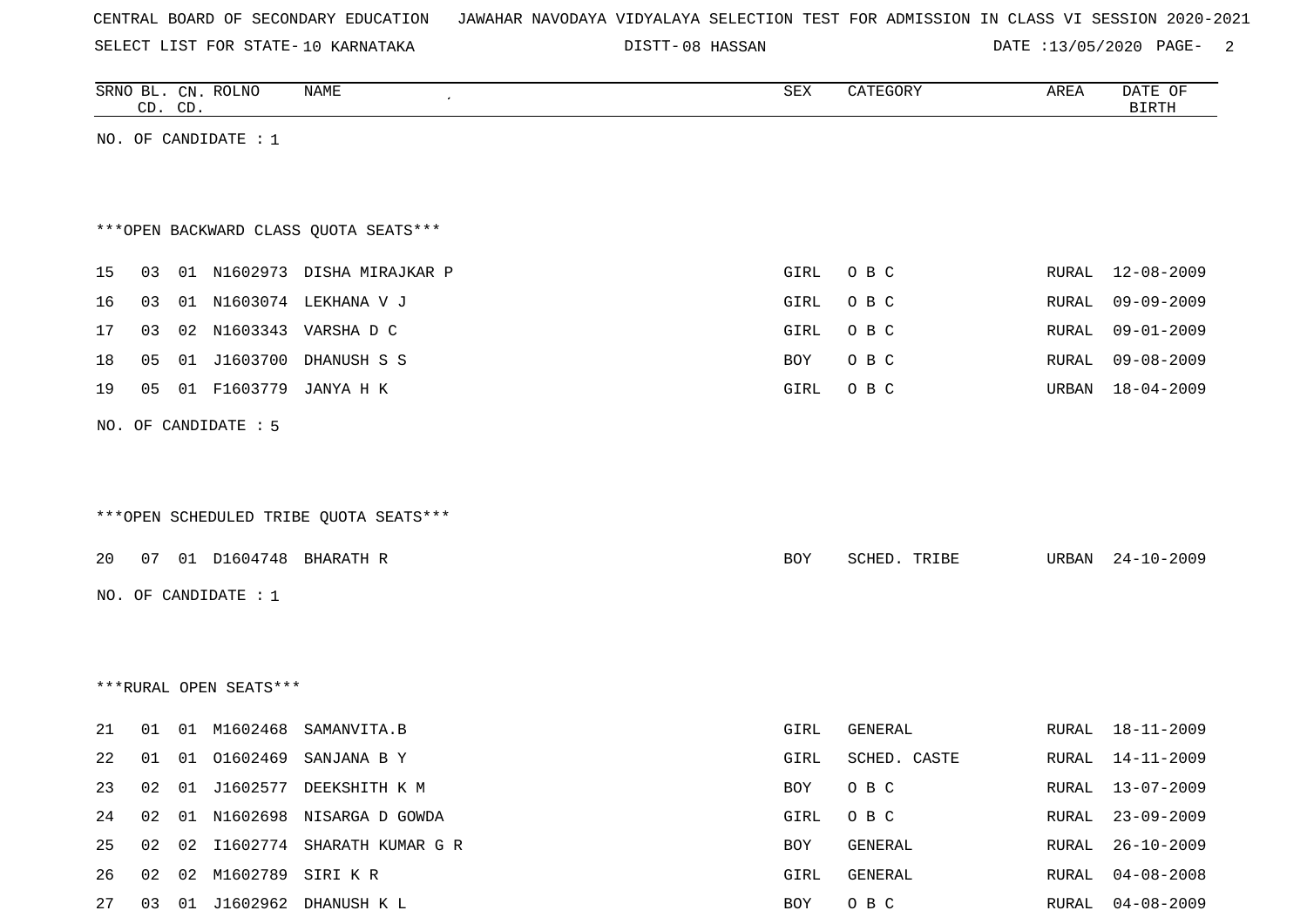| CENTRAL BOARD OF SECONDARY EDUCATION – JAWAHAR NAVODAYA VIDYALAYA SELECTION TEST FOR ADMISSION IN CLASS VI SESSION 2020-2021 |  |  |  |  |
|------------------------------------------------------------------------------------------------------------------------------|--|--|--|--|
|------------------------------------------------------------------------------------------------------------------------------|--|--|--|--|

DISTT-08 HASSAN DATE :13/05/2020 PAGE- 2

|    | CD. CD. |    | SRNO BL. CN. ROLNO      | NAME                                   | SEX  | CATEGORY     | AREA  | DATE OF<br><b>BIRTH</b> |
|----|---------|----|-------------------------|----------------------------------------|------|--------------|-------|-------------------------|
|    |         |    | NO. OF CANDIDATE : $1$  |                                        |      |              |       |                         |
|    |         |    |                         |                                        |      |              |       |                         |
|    |         |    |                         |                                        |      |              |       |                         |
|    |         |    |                         | *** OPEN BACKWARD CLASS QUOTA SEATS*** |      |              |       |                         |
| 15 | 03      |    |                         | 01 N1602973 DISHA MIRAJKAR P           | GIRL | O B C        | RURAL | 12-08-2009              |
| 16 | 03      |    |                         | 01 N1603074 LEKHANA V J                | GIRL | O B C        | RURAL | $09 - 09 - 2009$        |
| 17 | 03      |    |                         | 02 N1603343 VARSHA D C                 | GIRL | O B C        | RURAL | $09 - 01 - 2009$        |
| 18 | 05      | 01 | J1603700                | DHANUSH S S                            | BOY  | O B C        | RURAL | $09 - 08 - 2009$        |
| 19 | 05      |    | 01 F1603779             | JANYA H K                              | GIRL | O B C        | URBAN | $18 - 04 - 2009$        |
|    |         |    | NO. OF CANDIDATE : 5    |                                        |      |              |       |                         |
|    |         |    |                         |                                        |      |              |       |                         |
|    |         |    |                         |                                        |      |              |       |                         |
|    |         |    |                         | ***OPEN SCHEDULED TRIBE QUOTA SEATS*** |      |              |       |                         |
| 20 |         |    | 07  01  D1604748        | BHARATH R                              | BOY  | SCHED. TRIBE | URBAN | $24 - 10 - 2009$        |
|    |         |    |                         |                                        |      |              |       |                         |
|    |         |    | NO. OF CANDIDATE : $1$  |                                        |      |              |       |                         |
|    |         |    |                         |                                        |      |              |       |                         |
|    |         |    |                         |                                        |      |              |       |                         |
|    |         |    | ***RURAL OPEN SEATS***  |                                        |      |              |       |                         |
| 21 | 01      |    | 01 M1602468             | SAMANVITA.B                            | GIRL | GENERAL      | RURAL | $18 - 11 - 2009$        |
| 22 | 01      |    | 01 01602469             | SANJANA B Y                            | GIRL | SCHED. CASTE | RURAL | 14-11-2009              |
| 23 |         |    |                         | 02 01 J1602577 DEEKSHITH K M           | BOY  | O B C        |       | RURAL 13-07-2009        |
| 24 | 02      |    |                         | 01 N1602698 NISARGA D GOWDA            | GIRL | O B C        | RURAL | $23 - 09 - 2009$        |
| 25 |         |    |                         | 02 02 I1602774 SHARATH KUMAR G R       | BOY  | GENERAL      | RURAL | $26 - 10 - 2009$        |
| 26 |         |    | 02 02 M1602789 SIRI K R |                                        | GIRL | GENERAL      | RURAL | $04 - 08 - 2008$        |
| 27 |         |    |                         | 03 01 J1602962 DHANUSH K L             | BOY  | O B C        | RURAL | $04 - 08 - 2009$        |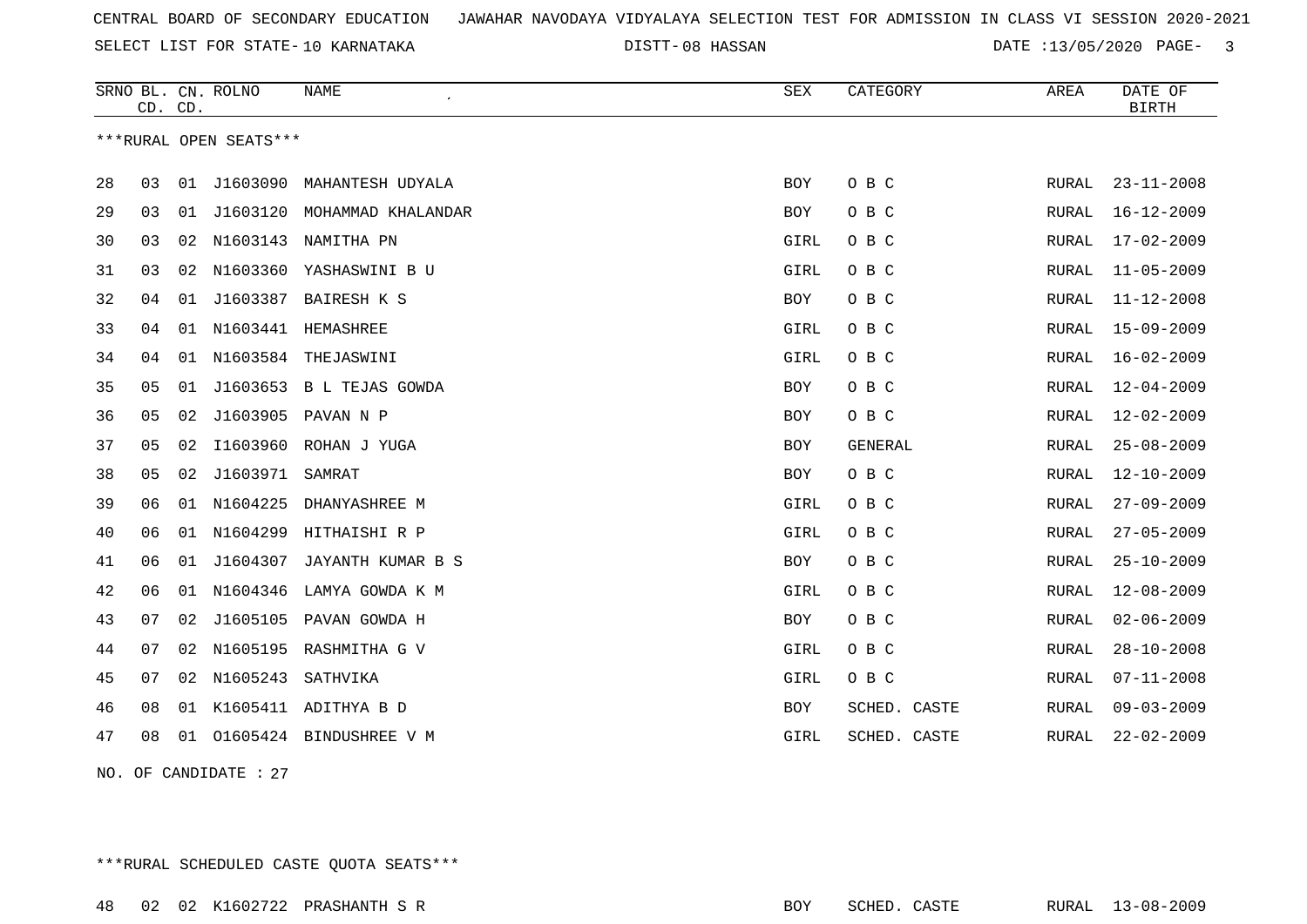SELECT LIST FOR STATE- DISTT- 10 KARNATAKA

08 HASSAN DATE :13/05/2020 PAGE- 3

|    |    | CD. CD. | SRNO BL. CN. ROLNO     | <b>NAME</b>              | SEX        | CATEGORY     | AREA         | DATE OF<br><b>BIRTH</b> |
|----|----|---------|------------------------|--------------------------|------------|--------------|--------------|-------------------------|
|    |    |         | ***RURAL OPEN SEATS*** |                          |            |              |              |                         |
| 28 | 03 |         | 01 J1603090            | MAHANTESH UDYALA         | <b>BOY</b> | O B C        | RURAL        | $23 - 11 - 2008$        |
| 29 | 03 | 01      | J1603120               | MOHAMMAD KHALANDAR       | BOY        | O B C        | RURAL        | $16 - 12 - 2009$        |
| 30 | 03 | 02      |                        | N1603143 NAMITHA PN      | GIRL       | O B C        | RURAL        | $17 - 02 - 2009$        |
| 31 | 03 | 02      |                        | N1603360 YASHASWINI B U  | GIRL       | O B C        | RURAL        | $11 - 05 - 2009$        |
| 32 | 04 | 01      | J1603387               | BAIRESH K S              | BOY        | O B C        | RURAL        | $11 - 12 - 2008$        |
| 33 | 04 |         |                        | 01 N1603441 HEMASHREE    | GIRL       | O B C        | RURAL        | $15 - 09 - 2009$        |
| 34 | 04 | 01      | N1603584               | THEJASWINI               | GIRL       | O B C        | RURAL        | $16 - 02 - 2009$        |
| 35 | 05 | 01      |                        | J1603653 B L TEJAS GOWDA | BOY        | O B C        | RURAL        | $12 - 04 - 2009$        |
| 36 | 05 | 02      |                        | J1603905 PAVAN N P       | <b>BOY</b> | O B C        | RURAL        | $12 - 02 - 2009$        |
| 37 | 05 | 02      |                        | I1603960 ROHAN J YUGA    | <b>BOY</b> | GENERAL      | RURAL        | $25 - 08 - 2009$        |
| 38 | 05 | 02      | J1603971 SAMRAT        |                          | BOY        | O B C        | RURAL        | $12 - 10 - 2009$        |
| 39 | 06 | 01      | N1604225               | DHANYASHREE M            | GIRL       | O B C        | RURAL        | $27 - 09 - 2009$        |
| 40 | 06 | 01      | N1604299               | HITHAISHI R P            | GIRL       | O B C        | RURAL        | $27 - 05 - 2009$        |
| 41 | 06 | 01      | J1604307               | JAYANTH KUMAR B S        | BOY        | O B C        | RURAL        | $25 - 10 - 2009$        |
| 42 | 06 | 01      | N1604346               | LAMYA GOWDA K M          | GIRL       | O B C        | RURAL        | $12 - 08 - 2009$        |
| 43 | 07 | 02      |                        | J1605105 PAVAN GOWDA H   | BOY        | O B C        | RURAL        | $02 - 06 - 2009$        |
| 44 | 07 | 02      |                        | N1605195 RASHMITHA G V   | GIRL       | O B C        | RURAL        | $28 - 10 - 2008$        |
| 45 | 07 | 02      | N1605243               | SATHVIKA                 | GIRL       | O B C        | <b>RURAL</b> | $07 - 11 - 2008$        |
| 46 | 08 | 01      |                        | K1605411 ADITHYA B D     | <b>BOY</b> | SCHED. CASTE | RURAL        | $09 - 03 - 2009$        |
| 47 | 08 | 01      |                        | O1605424 BINDUSHREE V M  | GIRL       | SCHED. CASTE | <b>RURAL</b> | $22 - 02 - 2009$        |

NO. OF CANDIDATE : 27

\*\*\*RURAL SCHEDULED CASTE QUOTA SEATS\*\*\*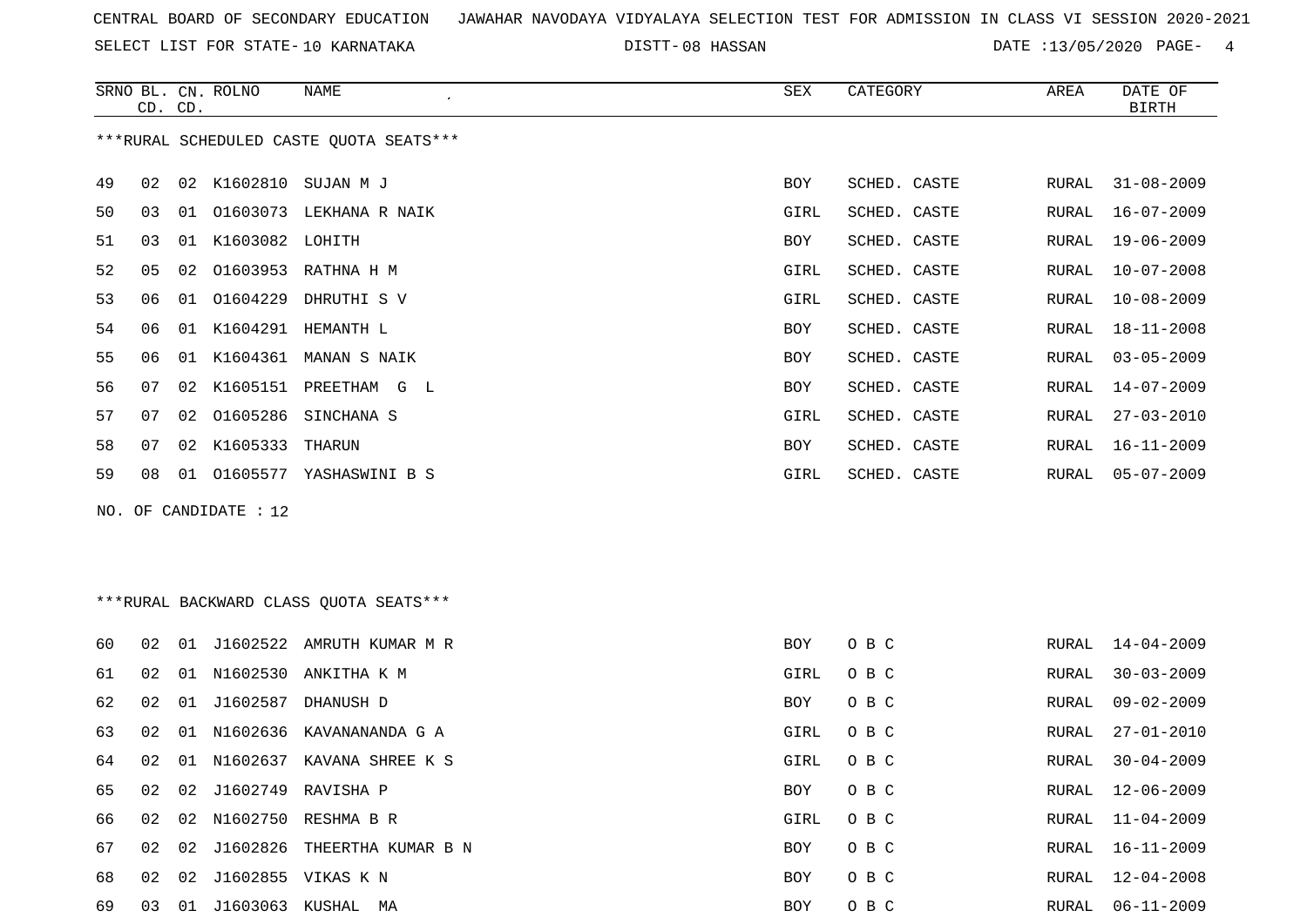SELECT LIST FOR STATE- DISTT- 10 KARNATAKA

08 HASSAN DATE :13/05/2020 PAGE- 4

|          |          | CD. CD. | SRNO BL. CN. ROLNO | NAME                                            | SEX         | CATEGORY       | AREA           | DATE OF<br><b>BIRTH</b>              |
|----------|----------|---------|--------------------|-------------------------------------------------|-------------|----------------|----------------|--------------------------------------|
|          |          |         |                    | ***RURAL SCHEDULED CASTE OUOTA SEATS***         |             |                |                |                                      |
| 49       | 02       |         | 02 K1602810        | SUJAN M J                                       | BOY         | SCHED. CASTE   | RURAL          | $31 - 08 - 2009$                     |
| 50       | 03       | 01      |                    | 01603073 LEKHANA R NAIK                         | GIRL        | SCHED. CASTE   | RURAL          | $16 - 07 - 2009$                     |
| 51       | 03       |         | 01 K1603082 LOHITH |                                                 | BOY         | SCHED. CASTE   | RURAL          | $19 - 06 - 2009$                     |
| 52       | 05       | 02      |                    | 01603953 RATHNA H M                             | GIRL        | SCHED. CASTE   | RURAL          | $10 - 07 - 2008$                     |
| 53       | 06       | 01      | 01604229           | DHRUTHI S V                                     | GIRL        | SCHED. CASTE   | RURAL          | $10 - 08 - 2009$                     |
| 54       | 06       |         |                    | 01 K1604291 HEMANTH L                           | <b>BOY</b>  | SCHED. CASTE   | RURAL          | $18 - 11 - 2008$                     |
| 55       | 06       |         |                    | 01 K1604361 MANAN S NAIK                        | <b>BOY</b>  | SCHED. CASTE   | RURAL          | $03 - 05 - 2009$                     |
| 56       | 07       |         |                    | 02 K1605151 PREETHAM G L                        | <b>BOY</b>  | SCHED. CASTE   | <b>RURAL</b>   | $14 - 07 - 2009$                     |
| 57       | 07       | 02      | 01605286           | SINCHANA S                                      | GIRL        | SCHED. CASTE   | RURAL          | $27 - 03 - 2010$                     |
| 58       | 07       |         | 02 K1605333        | THARUN                                          | BOY         | SCHED. CASTE   | RURAL          | $16 - 11 - 2009$                     |
| 59       | 08       | 01      |                    | O1605577 YASHASWINI B S                         | GIRL        | SCHED. CASTE   | RURAL          | $05 - 07 - 2009$                     |
| NO.      |          |         | OF CANDIDATE : 12  |                                                 |             |                |                |                                      |
|          |          |         |                    |                                                 |             |                |                |                                      |
|          |          |         |                    |                                                 |             |                |                |                                      |
|          |          |         |                    | *** RURAL BACKWARD CLASS QUOTA SEATS***         |             |                |                |                                      |
| 60       | 02       |         |                    | 01 J1602522 AMRUTH KUMAR M R                    | BOY         | O B C          | RURAL          | $14 - 04 - 2009$                     |
| 61       | 02       | 01      | N1602530           | ANKITHA K M                                     | GIRL        | O B C          | RURAL          | $30 - 03 - 2009$                     |
| 62       | 02       |         |                    | 01 J1602587 DHANUSH D                           | <b>BOY</b>  |                |                |                                      |
|          |          |         |                    |                                                 |             | O B C          | RURAL          | $09 - 02 - 2009$                     |
| 63       | 02       | 01      |                    | N1602636 KAVANANANDA G A                        | GIRL        | O B C          | RURAL          | $27 - 01 - 2010$                     |
| 64       | 02       |         |                    | 01 N1602637 KAVANA SHREE K S                    | GIRL        | O B C          | RURAL          | $30 - 04 - 2009$                     |
|          |          |         |                    |                                                 |             |                |                |                                      |
| 65<br>66 | 02<br>02 |         |                    | 02 J1602749 RAVISHA P<br>02 N1602750 RESHMA B R | BOY<br>GIRL | O B C<br>O B C | RURAL<br>RURAL | $12 - 06 - 2009$<br>$11 - 04 - 2009$ |

 02 02 J1602826 THEERTHA KUMAR B N BOY O B C RURAL 16-11-2009 02 02 J1602855 VIKAS K N BOY O B C RURAL 12-04-2008 03 01 J1603063 KUSHAL MA BOY O B C RURAL 06-11-2009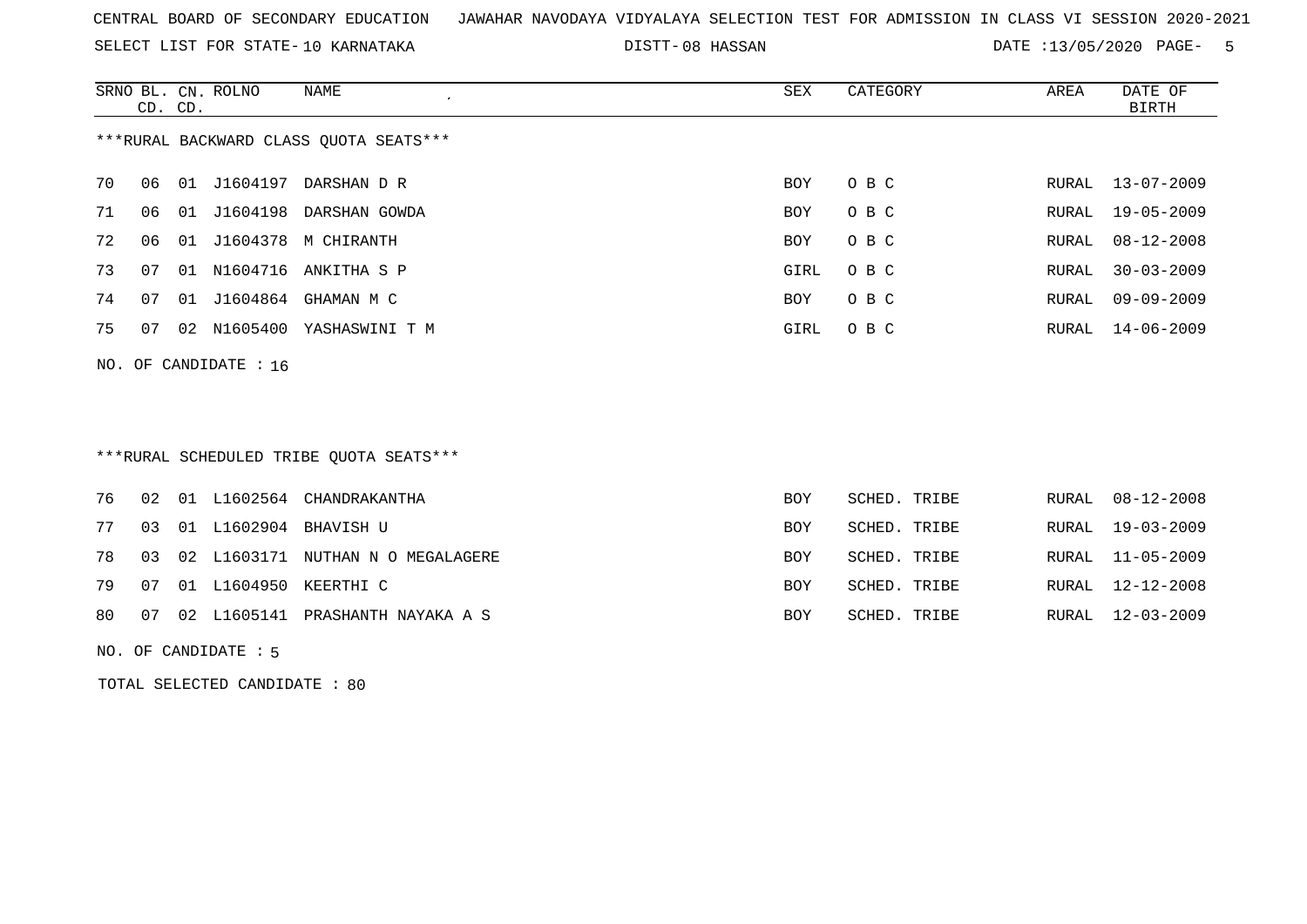SELECT LIST FOR STATE- DISTT- 10 KARNATAKA

08 HASSAN DATE :13/05/2020 PAGE- 5

|                                        | CD. CD. |    | SRNO BL. CN. ROLNO | NAME                       | SEX  | CATEGORY | AREA  | DATE OF<br>BIRTH |  |
|----------------------------------------|---------|----|--------------------|----------------------------|------|----------|-------|------------------|--|
| ***RURAL BACKWARD CLASS OUOTA SEATS*** |         |    |                    |                            |      |          |       |                  |  |
| 70                                     | 06      |    |                    | 01 J1604197 DARSHAN D R    | BOY  | O B C    |       | RURAL 13-07-2009 |  |
| 71                                     | 06      | 01 |                    | J1604198 DARSHAN GOWDA     | BOY  | O B C    | RURAL | 19-05-2009       |  |
| 72                                     | 06      |    |                    | 01 J1604378 M CHIRANTH     | BOY  | O B C    | RURAL | $08 - 12 - 2008$ |  |
| 73                                     | 07      | 01 | N1604716           | ANKITHA S P                | GIRL | O B C    | RURAL | $30 - 03 - 2009$ |  |
| 74                                     | 07      |    |                    | 01 J1604864 GHAMAN M C     | BOY  | O B C    | RURAL | $09 - 09 - 2009$ |  |
| 75                                     | 07      |    |                    | 02 N1605400 YASHASWINI T M | GIRL | O B C    |       | RURAL 14-06-2009 |  |
| NO. OF CANDIDATE : $16$                |         |    |                    |                            |      |          |       |                  |  |

## \*\*\*RURAL SCHEDULED TRIBE QUOTA SEATS\*\*\*

|  |  | 76 02 01 L1602564 CHANDRAKANTHA         | BOY        | SCHED. TRIBE | RURAL 08-12-2008 |
|--|--|-----------------------------------------|------------|--------------|------------------|
|  |  | 77 03 01 L1602904 BHAVISH U             | BOY        | SCHED. TRIBE | RURAL 19-03-2009 |
|  |  | 78 03 02 L1603171 NUTHAN N O MEGALAGERE | BOY        | SCHED. TRIBE | RURAL 11-05-2009 |
|  |  | 79 07 01 L1604950 KEERTHI C             | <b>BOY</b> | SCHED. TRIBE | RURAL 12-12-2008 |
|  |  | 80 07 02 L1605141 PRASHANTH NAYAKA A S  | BOY        | SCHED. TRIBE | RURAL 12-03-2009 |

NO. OF CANDIDATE : 5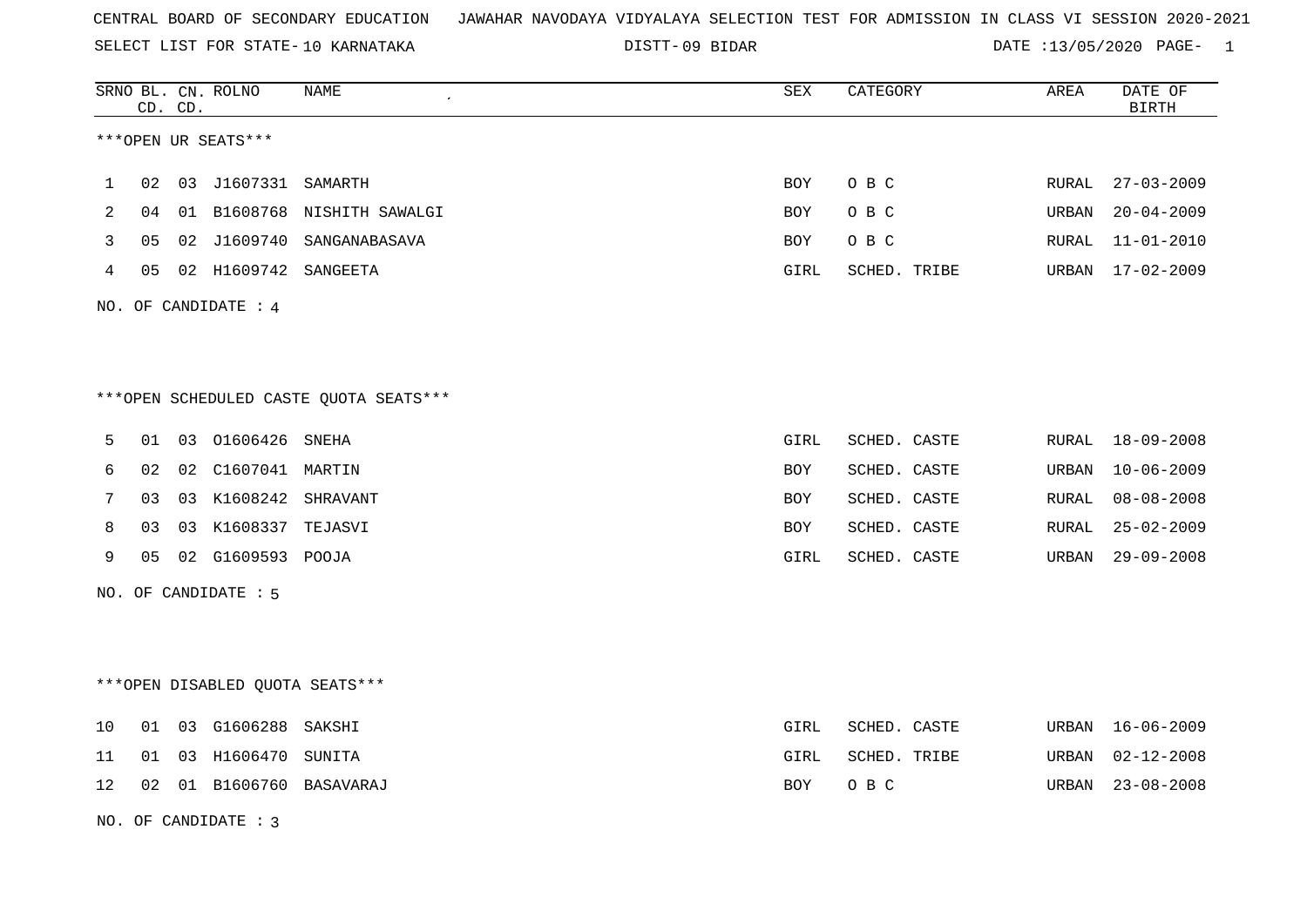SELECT LIST FOR STATE- DISTT- 10 KARNATAKA

09 BIDAR DATE :13/05/2020 PAGE- 1

|    |    | CD. CD. | SRNO BL. CN. ROLNO   | NAME<br>$\epsilon$                     | SEX  | CATEGORY     | AREA  | DATE OF<br><b>BIRTH</b> |
|----|----|---------|----------------------|----------------------------------------|------|--------------|-------|-------------------------|
|    |    |         | ***OPEN UR SEATS***  |                                        |      |              |       |                         |
| 1  | 02 |         | 03 J1607331 SAMARTH  |                                        | BOY  | O B C        | RURAL | $27 - 03 - 2009$        |
| 2  | 04 |         |                      | 01 B1608768 NISHITH SAWALGI            | BOY  | O B C        | URBAN | $20 - 04 - 2009$        |
| 3  | 05 |         |                      | 02 J1609740 SANGANABASAVA              | BOY  | O B C        | RURAL | $11 - 01 - 2010$        |
| 4  | 05 |         | 02 H1609742 SANGEETA |                                        | GIRL | SCHED. TRIBE | URBAN | $17 - 02 - 2009$        |
|    |    |         | NO. OF CANDIDATE : 4 |                                        |      |              |       |                         |
|    |    |         |                      | ***OPEN SCHEDULED CASTE QUOTA SEATS*** |      |              |       |                         |
| 5  | 01 |         | 03 01606426          | SNEHA                                  | GIRL | SCHED. CASTE | RURAL | 18-09-2008              |
| 6  | 02 |         | 02 C1607041 MARTIN   |                                        | BOY  | SCHED. CASTE | URBAN | $10 - 06 - 2009$        |
| 7  | 03 |         | 03 K1608242 SHRAVANT |                                        | BOY  | SCHED. CASTE | RURAL | $08 - 08 - 2008$        |
| 8  | 03 |         | 03 K1608337 TEJASVI  |                                        | BOY  | SCHED. CASTE | RURAL | $25 - 02 - 2009$        |
| 9  | 05 |         | 02 G1609593 POOJA    |                                        | GIRL | SCHED. CASTE | URBAN | $29 - 09 - 2008$        |
|    |    |         | NO. OF CANDIDATE : 5 |                                        |      |              |       |                         |
|    |    |         |                      |                                        |      |              |       |                         |
|    |    |         |                      | ***OPEN DISABLED QUOTA SEATS***        |      |              |       |                         |
| 10 | 01 |         | 03 G1606288 SAKSHI   |                                        | GIRL | SCHED. CASTE | URBAN | $16 - 06 - 2009$        |
| 11 | 01 |         | 03 H1606470 SUNITA   |                                        | GIRL | SCHED. TRIBE | URBAN | $02 - 12 - 2008$        |
| 12 | 02 |         |                      | 01 B1606760 BASAVARAJ                  | BOY  | O B C        | URBAN | $23 - 08 - 2008$        |
|    |    |         | NO. OF CANDIDATE: 3  |                                        |      |              |       |                         |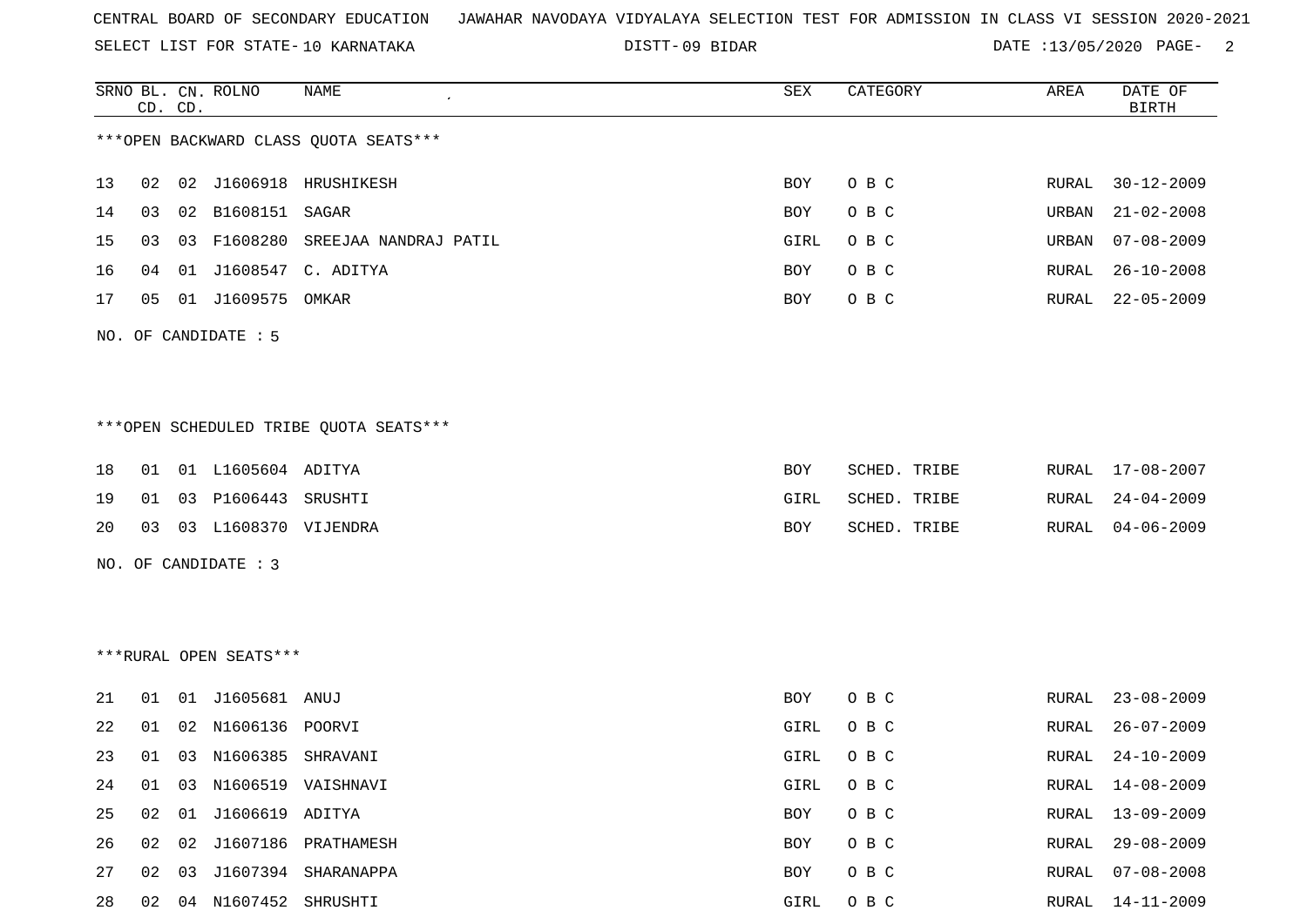SELECT LIST FOR STATE- DISTT- 10 KARNATAKA

09 BIDAR DATE :13/05/2020 PAGE- 2

|    |    | CD. CD. | SRNO BL. CN. ROLNO     | NAME                                   | SEX        | CATEGORY     | AREA  | DATE OF<br><b>BIRTH</b> |
|----|----|---------|------------------------|----------------------------------------|------------|--------------|-------|-------------------------|
|    |    |         |                        | *** OPEN BACKWARD CLASS QUOTA SEATS*** |            |              |       |                         |
| 13 | 02 |         |                        | 02 J1606918 HRUSHIKESH                 | <b>BOY</b> | O B C        | RURAL | $30 - 12 - 2009$        |
| 14 | 03 |         | 02 B1608151 SAGAR      |                                        | <b>BOY</b> | O B C        | URBAN | $21 - 02 - 2008$        |
| 15 | 03 | 03      |                        | F1608280 SREEJAA NANDRAJ PATIL         | GIRL       | O B C        | URBAN | $07 - 08 - 2009$        |
| 16 | 04 |         |                        | 01 J1608547 C. ADITYA                  | BOY        | O B C        | RURAL | $26 - 10 - 2008$        |
| 17 | 05 |         | 01 J1609575 OMKAR      |                                        | BOY        | O B C        | RURAL | $22 - 05 - 2009$        |
|    |    |         | NO. OF CANDIDATE : 5   |                                        |            |              |       |                         |
|    |    |         |                        |                                        |            |              |       |                         |
|    |    |         |                        |                                        |            |              |       |                         |
|    |    |         |                        | ***OPEN SCHEDULED TRIBE QUOTA SEATS*** |            |              |       |                         |
| 18 | 01 |         | 01 L1605604 ADITYA     |                                        | BOY        | SCHED. TRIBE | RURAL | 17-08-2007              |
| 19 | 01 |         | 03 P1606443 SRUSHTI    |                                        | GIRL       | SCHED. TRIBE | RURAL | $24 - 04 - 2009$        |
| 20 | 03 |         | 03 L1608370 VIJENDRA   |                                        | <b>BOY</b> | SCHED. TRIBE | RURAL | $04 - 06 - 2009$        |
|    |    |         | NO. OF CANDIDATE : 3   |                                        |            |              |       |                         |
|    |    |         |                        |                                        |            |              |       |                         |
|    |    |         |                        |                                        |            |              |       |                         |
|    |    |         | ***RURAL OPEN SEATS*** |                                        |            |              |       |                         |
| 21 | 01 |         | 01 J1605681 ANUJ       |                                        | BOY        | O B C        | RURAL | $23 - 08 - 2009$        |
| 22 | 01 | 02      | N1606136 POORVI        |                                        | GIRL       | O B C        | RURAL | $26 - 07 - 2009$        |
| 23 | 01 |         | 03 N1606385 SHRAVANI   |                                        | GIRL       | O B C        | RURAL | $24 - 10 - 2009$        |
| 24 | 01 |         |                        | 03 N1606519 VAISHNAVI                  | GIRL       | O B C        | RURAL | $14 - 08 - 2009$        |
| 25 | 02 |         | 01 J1606619 ADITYA     |                                        | <b>BOY</b> | O B C        | RURAL | $13 - 09 - 2009$        |
| 26 | 02 |         |                        | 02 J1607186 PRATHAMESH                 | <b>BOY</b> | O B C        | RURAL | $29 - 08 - 2009$        |

27 02 03 J1607394 SHARANAPPA BOY O B C RURAL 07-08-2008 28 02 04 N1607452 SHRUSHTI GIRL O B C RURAL 14-11-2009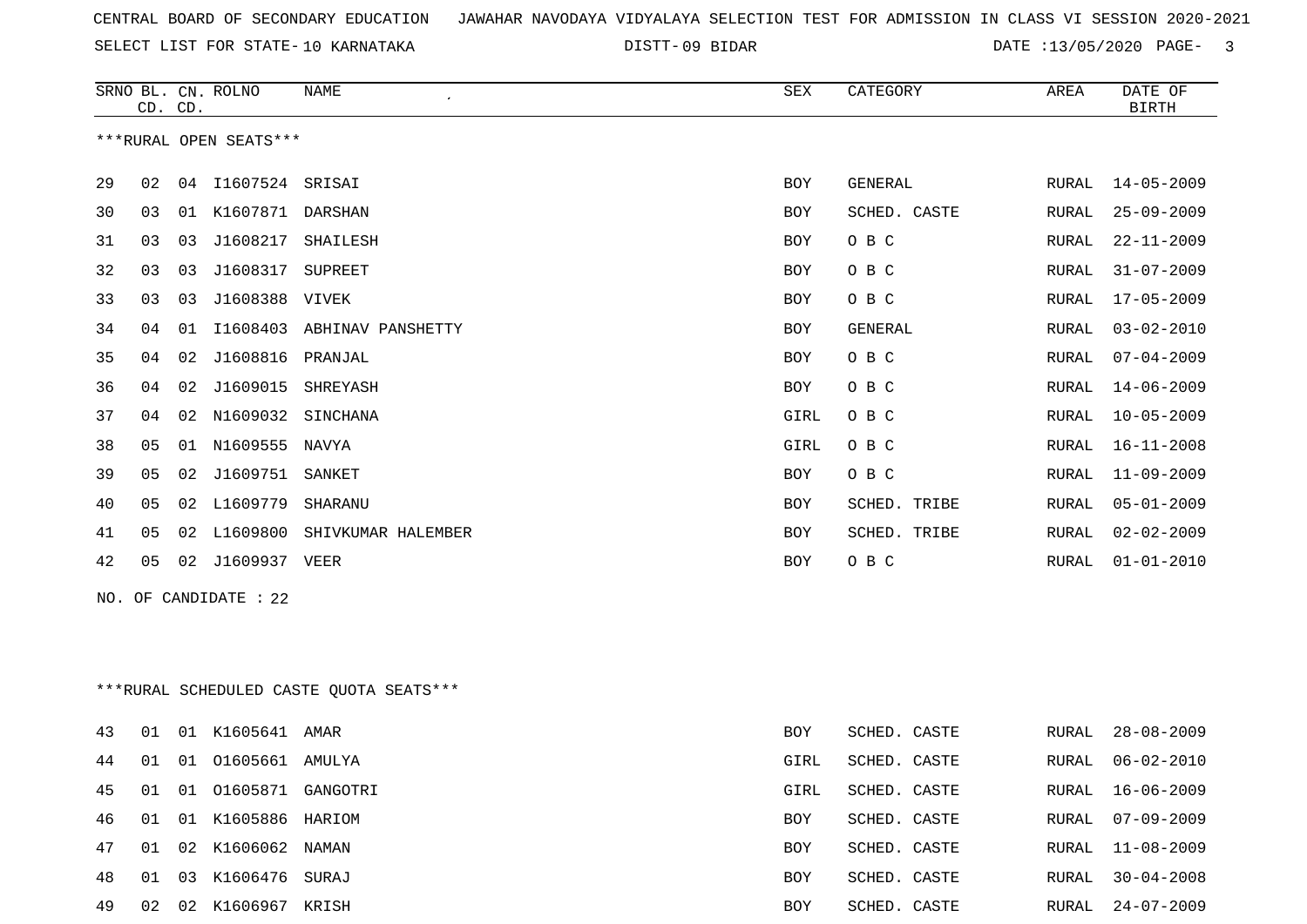09 BIDAR DATE :13/05/2020 PAGE- 3

|    | CD. CD. |    | SRNO BL. CN. ROLNO     | <b>NAME</b>        | <b>SEX</b> | CATEGORY       | AREA  | DATE OF<br><b>BIRTH</b> |
|----|---------|----|------------------------|--------------------|------------|----------------|-------|-------------------------|
|    |         |    | ***RURAL OPEN SEATS*** |                    |            |                |       |                         |
| 29 | 02      | 04 | I1607524               | SRISAI             | <b>BOY</b> | GENERAL        | RURAL | $14 - 05 - 2009$        |
| 30 | 03      | 01 | K1607871               | DARSHAN            | <b>BOY</b> | SCHED. CASTE   | RURAL | $25 - 09 - 2009$        |
| 31 | 03      | 03 | J1608217               | SHAILESH           | <b>BOY</b> | O B C          | RURAL | $22 - 11 - 2009$        |
| 32 | 03      | 03 | J1608317               | SUPREET            | <b>BOY</b> | O B C          | RURAL | $31 - 07 - 2009$        |
| 33 | 03      | 03 | J1608388               | VIVEK              | <b>BOY</b> | O B C          | RURAL | $17 - 05 - 2009$        |
| 34 | 04      | 01 | I1608403               | ABHINAV PANSHETTY  | <b>BOY</b> | <b>GENERAL</b> | RURAL | $03 - 02 - 2010$        |
| 35 | 04      | 02 | J1608816               | PRANJAL            | <b>BOY</b> | O B C          | RURAL | $07 - 04 - 2009$        |
| 36 | 04      | 02 | J1609015               | SHREYASH           | <b>BOY</b> | O B C          | RURAL | $14 - 06 - 2009$        |
| 37 | 04      | 02 | N1609032               | SINCHANA           | GIRL       | O B C          | RURAL | $10 - 05 - 2009$        |
| 38 | 05      | 01 | N1609555               | NAVYA              | GIRL       | O B C          | RURAL | $16 - 11 - 2008$        |
| 39 | 05      | 02 | J1609751               | SANKET             | <b>BOY</b> | O B C          | RURAL | $11 - 09 - 2009$        |
| 40 | 05      | 02 | L1609779               | SHARANU            | <b>BOY</b> | SCHED. TRIBE   | RURAL | $05 - 01 - 2009$        |
| 41 | 05      | 02 | L1609800               | SHIVKUMAR HALEMBER | <b>BOY</b> | SCHED. TRIBE   | RURAL | $02 - 02 - 2009$        |
| 42 | 05      | 02 | J1609937               | VEER               | <b>BOY</b> | O B C          | RURAL | $01 - 01 - 2010$        |
|    |         |    |                        |                    |            |                |       |                         |

NO. OF CANDIDATE : 22

\*\*\*RURAL SCHEDULED CASTE QUOTA SEATS\*\*\*

| 01 01605661 AMULYA<br>44<br>01<br>SCHED. CASTE<br>GIRL<br>RURAL<br>01 01605871 GANGOTRI<br>45<br>SCHED. CASTE<br>01<br>GIRL<br>RURAL<br>01 K1605886 HARIOM<br>46<br>01<br>SCHED. CASTE<br>RURAL<br>BOY<br>02 K1606062 NAMAN<br>RURAL 11-08-2009<br>47<br>01<br>SCHED. CASTE<br><b>BOY</b><br>03 K1606476 SURAJ<br>RURAL 30-04-2008<br>48<br>01<br>SCHED. CASTE<br><b>BOY</b><br>49<br>02 K1606967 KRISH<br>02<br><b>BOY</b><br>SCHED. CASTE<br>RURAL | 43 | 01 | 01 K1605641 AMAR | <b>BOY</b> | SCHED. CASTE | RURAL 28-08-2009 |
|------------------------------------------------------------------------------------------------------------------------------------------------------------------------------------------------------------------------------------------------------------------------------------------------------------------------------------------------------------------------------------------------------------------------------------------------------|----|----|------------------|------------|--------------|------------------|
|                                                                                                                                                                                                                                                                                                                                                                                                                                                      |    |    |                  |            |              | 06-02-2010       |
|                                                                                                                                                                                                                                                                                                                                                                                                                                                      |    |    |                  |            |              | 16-06-2009       |
|                                                                                                                                                                                                                                                                                                                                                                                                                                                      |    |    |                  |            |              | 07-09-2009       |
|                                                                                                                                                                                                                                                                                                                                                                                                                                                      |    |    |                  |            |              |                  |
|                                                                                                                                                                                                                                                                                                                                                                                                                                                      |    |    |                  |            |              |                  |
|                                                                                                                                                                                                                                                                                                                                                                                                                                                      |    |    |                  |            |              | 24-07-2009       |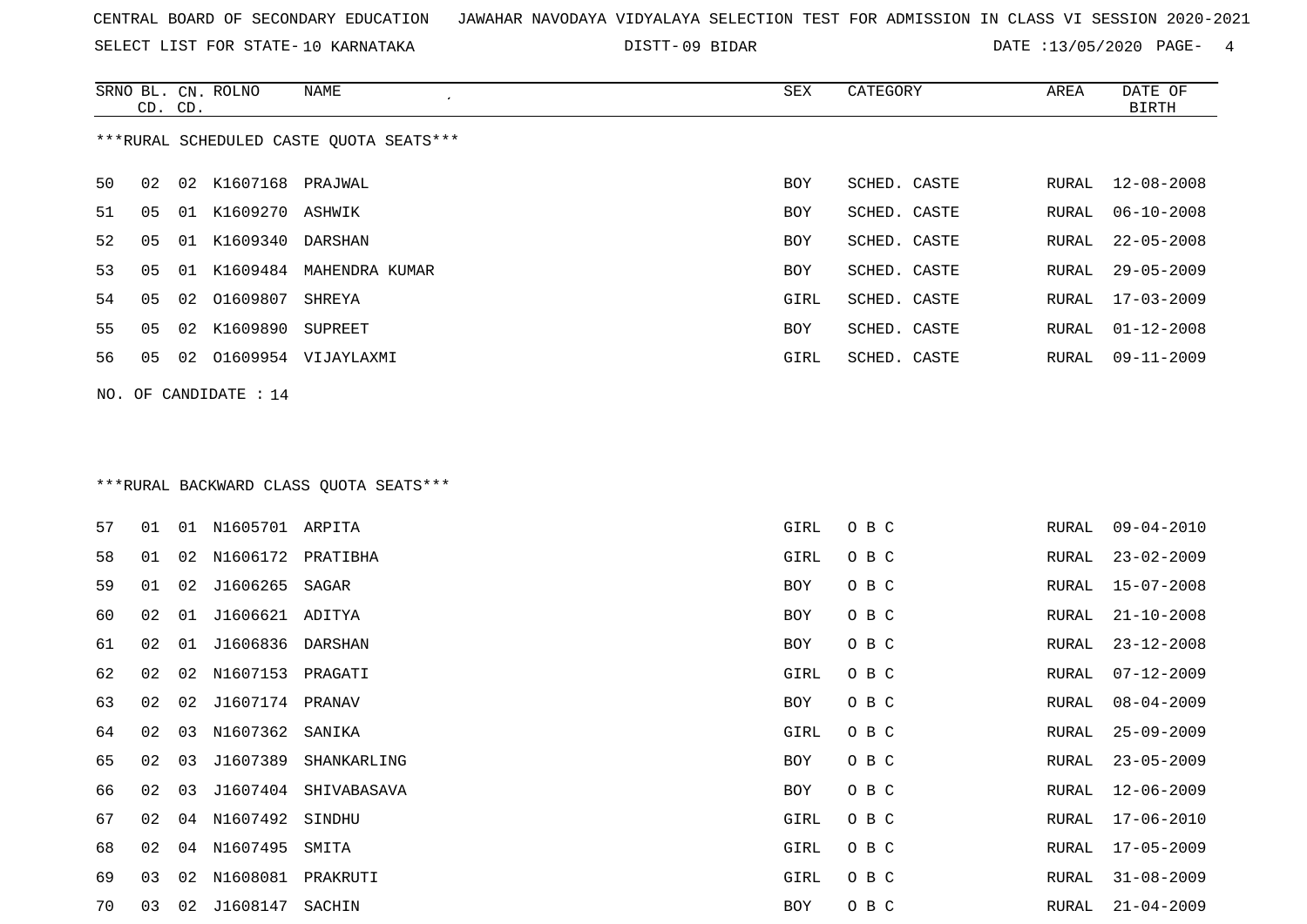SELECT LIST FOR STATE- DISTT- 10 KARNATAKA

09 BIDAR DATE :13/05/2020 PAGE- 4

|    | CD. CD. |    | SRNO BL. CN. ROLNO      | NAME                                    | SEX        | CATEGORY     | AREA  | DATE OF<br>BIRTH |
|----|---------|----|-------------------------|-----------------------------------------|------------|--------------|-------|------------------|
|    |         |    |                         | ***RURAL SCHEDULED CASTE OUOTA SEATS*** |            |              |       |                  |
| 50 | 02      |    | 02 K1607168 PRAJWAL     |                                         | BOY        | SCHED. CASTE | RURAL | 12-08-2008       |
| 51 | 05      |    | 01 K1609270 ASHWIK      |                                         | <b>BOY</b> | SCHED. CASTE | RURAL | $06 - 10 - 2008$ |
| 52 | 05      |    | 01 K1609340 DARSHAN     |                                         | BOY        | SCHED. CASTE | RURAL | 22-05-2008       |
| 53 | 05      | 01 | K1609484                | MAHENDRA KUMAR                          | BOY        | SCHED. CASTE | RURAL | $29 - 05 - 2009$ |
| 54 | 05      |    | 02 01609807             | SHREYA                                  | GIRL       | SCHED. CASTE | RURAL | $17 - 03 - 2009$ |
| 55 | 05      | 02 | K1609890                | SUPREET                                 | BOY        | SCHED. CASTE | RURAL | $01 - 12 - 2008$ |
| 56 | 05      | 02 |                         | O1609954 VIJAYLAXMI                     | GIRL       | SCHED. CASTE | RURAL | 09-11-2009       |
|    |         |    | NO. OF CANDIDATE : $14$ |                                         |            |              |       |                  |

# \*\*\*RURAL BACKWARD CLASS QUOTA SEATS\*\*\*

| 57 | 01 | 01 | N1605701 ARPITA   |             | GIRL | O B C | RURAL | $09 - 04 - 2010$ |
|----|----|----|-------------------|-------------|------|-------|-------|------------------|
| 58 | 01 | 02 | N1606172 PRATIBHA |             | GIRL | O B C | RURAL | $23 - 02 - 2009$ |
| 59 | 01 | 02 | J1606265          | SAGAR       | BOY  | O B C | RURAL | $15 - 07 - 2008$ |
| 60 | 02 | 01 | J1606621 ADITYA   |             | BOY  | O B C | RURAL | $21 - 10 - 2008$ |
| 61 | 02 | 01 | J1606836          | DARSHAN     | BOY  | O B C | RURAL | $23 - 12 - 2008$ |
| 62 | 02 | 02 | N1607153 PRAGATI  |             | GIRL | O B C | RURAL | $07 - 12 - 2009$ |
| 63 | 02 | 02 | J1607174 PRANAV   |             | BOY  | O B C | RURAL | $08 - 04 - 2009$ |
| 64 | 02 | 03 | N1607362 SANIKA   |             | GIRL | O B C | RURAL | $25 - 09 - 2009$ |
| 65 | 02 | 03 | J1607389          | SHANKARLING | BOY  | O B C | RURAL | $23 - 05 - 2009$ |
| 66 | 02 | 03 | J1607404          | SHIVABASAVA | BOY  | O B C | RURAL | $12 - 06 - 2009$ |
| 67 | 02 | 04 | N1607492          | SINDHU      | GIRL | O B C | RURAL | 17-06-2010       |
| 68 | 02 | 04 | N1607495          | SMITA       | GIRL | O B C | RURAL | 17-05-2009       |
| 69 | 03 | 02 | N1608081          | PRAKRUTI    | GIRL | O B C | RURAL | $31 - 08 - 2009$ |
| 70 | 03 | 02 | J1608147 SACHIN   |             | BOY  | O B C | RURAL | $21 - 04 - 2009$ |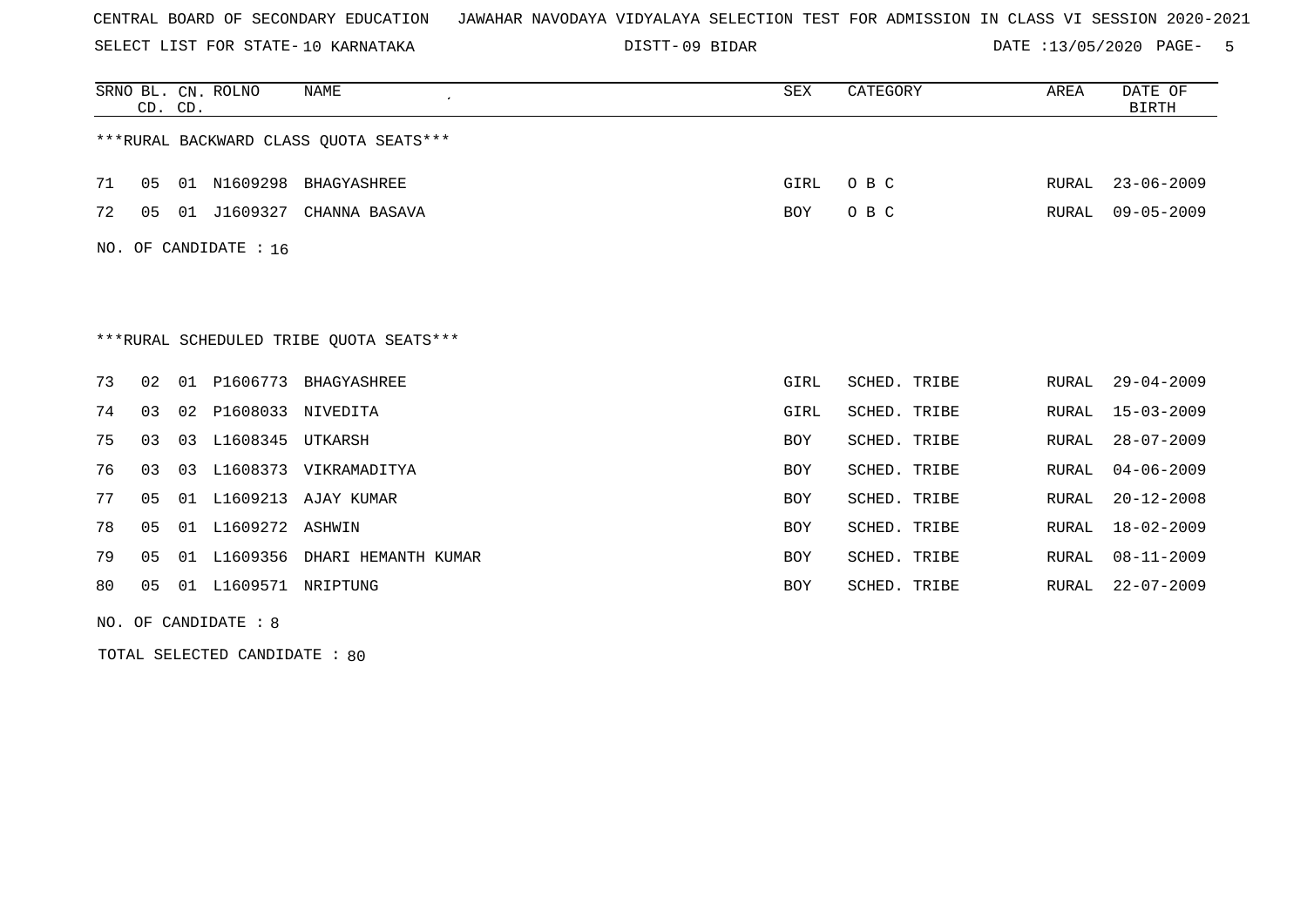SELECT LIST FOR STATE- DISTT- 10 KARNATAKA

09 BIDAR DATE :13/05/2020 PAGE- 5

|    | CD. CD.                                 |    | SRNO BL. CN. ROLNO    | <b>NAME</b>                             | <b>SEX</b> | CATEGORY     | AREA  | DATE OF<br><b>BIRTH</b> |  |  |
|----|-----------------------------------------|----|-----------------------|-----------------------------------------|------------|--------------|-------|-------------------------|--|--|
|    | *** RURAL BACKWARD CLASS QUOTA SEATS*** |    |                       |                                         |            |              |       |                         |  |  |
| 71 | 05                                      |    |                       | 01 N1609298 BHAGYASHREE                 | GIRL       | O B C        | RURAL | $23 - 06 - 2009$        |  |  |
| 72 | 05                                      |    |                       | 01 J1609327 CHANNA BASAVA               | <b>BOY</b> | O B C        | RURAL | $09 - 05 - 2009$        |  |  |
|    |                                         |    | NO. OF CANDIDATE : 16 |                                         |            |              |       |                         |  |  |
|    |                                         |    |                       |                                         |            |              |       |                         |  |  |
|    |                                         |    |                       | ***RURAL SCHEDULED TRIBE OUOTA SEATS*** |            |              |       |                         |  |  |
| 73 | 02                                      |    |                       | 01 P1606773 BHAGYASHREE                 | GIRL       | SCHED. TRIBE | RURAL | $29 - 04 - 2009$        |  |  |
| 74 | 03                                      |    | 02 P1608033 NIVEDITA  |                                         | GIRL       | SCHED. TRIBE | RURAL | $15 - 03 - 2009$        |  |  |
| 75 | 03                                      |    | 03 L1608345           | UTKARSH                                 | <b>BOY</b> | SCHED. TRIBE | RURAL | $28 - 07 - 2009$        |  |  |
| 76 | 03                                      | 03 |                       | L1608373 VIKRAMADITYA                   | BOY        | SCHED. TRIBE | RURAL | $04 - 06 - 2009$        |  |  |
| 77 | 05                                      |    | 01 L1609213           | AJAY KUMAR                              | <b>BOY</b> | SCHED. TRIBE | RURAL | $20 - 12 - 2008$        |  |  |
| 78 | 05                                      |    | 01 L1609272 ASHWIN    |                                         | BOY        | SCHED. TRIBE | RURAL | $18 - 02 - 2009$        |  |  |
| 79 | 05                                      | 01 | L1609356              | DHARI HEMANTH KUMAR                     | BOY        | SCHED. TRIBE | RURAL | $08 - 11 - 2009$        |  |  |
| 80 | 05                                      | 01 | L1609571 NRIPTUNG     |                                         | <b>BOY</b> | SCHED. TRIBE | RURAL | $22 - 07 - 2009$        |  |  |

NO. OF CANDIDATE : 8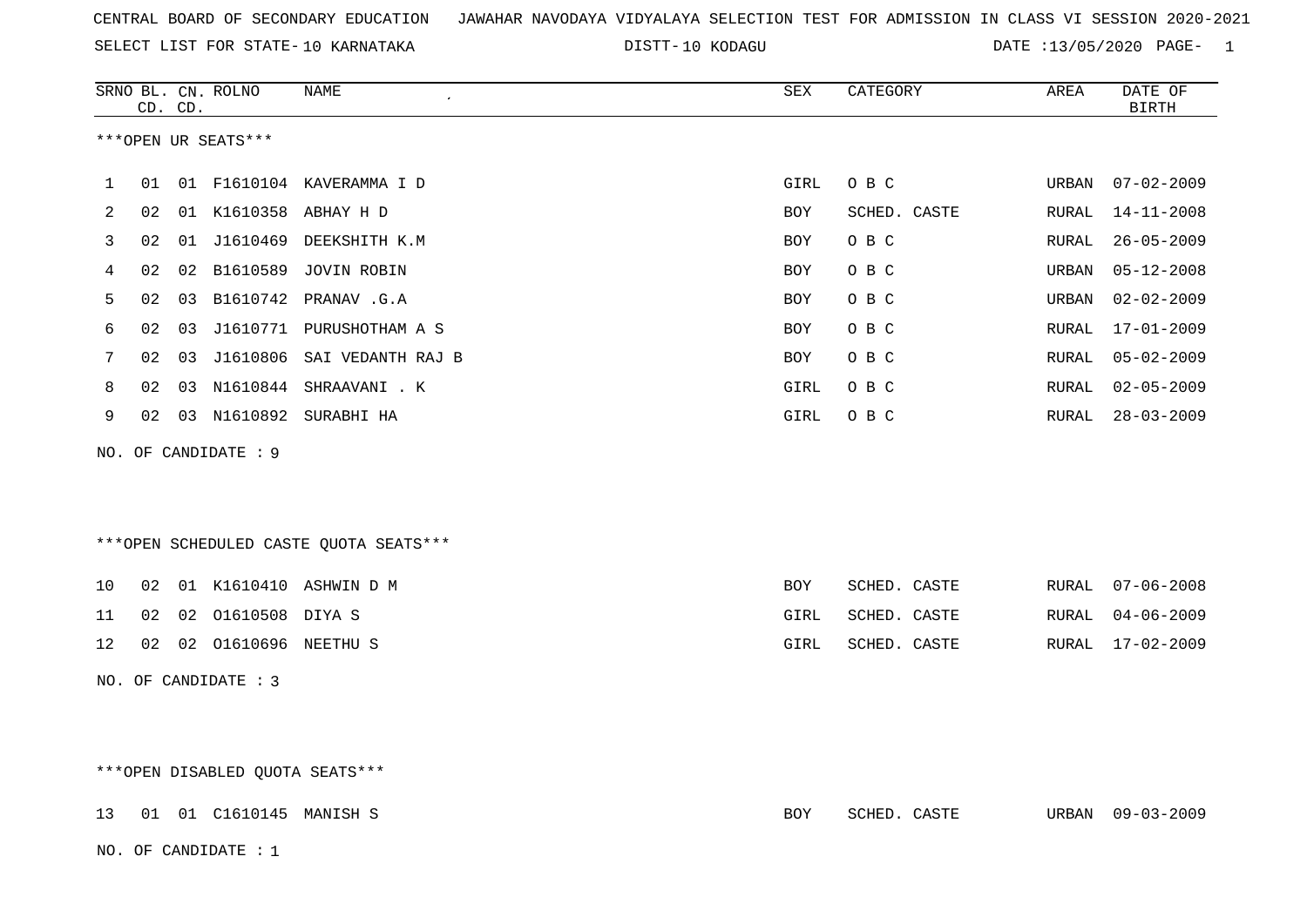| CENTRAL BOARD OF SECONDARY EDUCATION – JAWAHAR NAVODAYA VIDYALAYA SELECTION TEST FOR ADMISSION IN CLASS VI SESSION 2020-2021 |  |  |  |  |  |
|------------------------------------------------------------------------------------------------------------------------------|--|--|--|--|--|
|------------------------------------------------------------------------------------------------------------------------------|--|--|--|--|--|

DISTT-10 KODAGU DATE :13/05/2020 PAGE- 1

|    |    | CD. CD. | SRNO BL. CN. ROLNO      | NAME                                   | SEX        | CATEGORY     | AREA             | DATE OF<br><b>BIRTH</b> |
|----|----|---------|-------------------------|----------------------------------------|------------|--------------|------------------|-------------------------|
|    |    |         | ***OPEN UR SEATS***     |                                        |            |              |                  |                         |
| 1  | 01 |         |                         | 01 F1610104 KAVERAMMA I D              | GIRL       | O B C        | URBAN            | $07 - 02 - 2009$        |
| 2  | 02 |         |                         | 01 K1610358 ABHAY H D                  | BOY        | SCHED. CASTE | RURAL            | $14 - 11 - 2008$        |
| 3  | 02 |         |                         | 01 J1610469 DEEKSHITH K.M              | <b>BOY</b> | O B C        | RURAL            | $26 - 05 - 2009$        |
| 4  | 02 |         |                         | 02 B1610589 JOVIN ROBIN                | BOY        | O B C        | URBAN            | $05 - 12 - 2008$        |
| 5  | 02 |         |                         | 03 B1610742 PRANAV.G.A                 | BOY        | O B C        | $\mathtt{URBAN}$ | $02 - 02 - 2009$        |
| 6  | 02 | 03      |                         | J1610771 PURUSHOTHAM A S               | <b>BOY</b> | O B C        | RURAL            | $17 - 01 - 2009$        |
| 7  | 02 |         |                         | 03 J1610806 SAI VEDANTH RAJ B          | BOY        | O B C        | RURAL            | $05 - 02 - 2009$        |
| 8  | 02 |         |                         | 03 N1610844 SHRAAVANI . K              | GIRL       | O B C        | ${\tt RURAL}$    | $02 - 05 - 2009$        |
| 9  | 02 |         |                         | 03 N1610892 SURABHI HA                 | GIRL       | O B C        | RURAL            | $28 - 03 - 2009$        |
|    |    |         | NO. OF CANDIDATE : 9    |                                        |            |              |                  |                         |
|    |    |         |                         |                                        |            |              |                  |                         |
|    |    |         |                         |                                        |            |              |                  |                         |
|    |    |         |                         | ***OPEN SCHEDULED CASTE QUOTA SEATS*** |            |              |                  |                         |
| 10 | 02 |         |                         | 01 K1610410 ASHWIN D M                 | BOY        | SCHED. CASTE | RURAL            | $07 - 06 - 2008$        |
| 11 | 02 |         | 02 01610508 DIYA S      |                                        | GIRL       | SCHED. CASTE | RURAL            | $04 - 06 - 2009$        |
| 12 |    |         | 02 02 01610696 NEETHU S |                                        | GIRL       | SCHED. CASTE | RURAL            | $17 - 02 - 2009$        |
|    |    |         | NO. OF CANDIDATE : 3    |                                        |            |              |                  |                         |
|    |    |         |                         |                                        |            |              |                  |                         |
|    |    |         |                         |                                        |            |              |                  |                         |

\*\*\*OPEN DISABLED QUOTA SEATS\*\*\*

|  | 13 01 01 C1610145 MANISH S |  | BOY | SCHED. CASTE | URBAN 09-03-2009 |
|--|----------------------------|--|-----|--------------|------------------|
|  | NO. OF CANDIDATE : 1       |  |     |              |                  |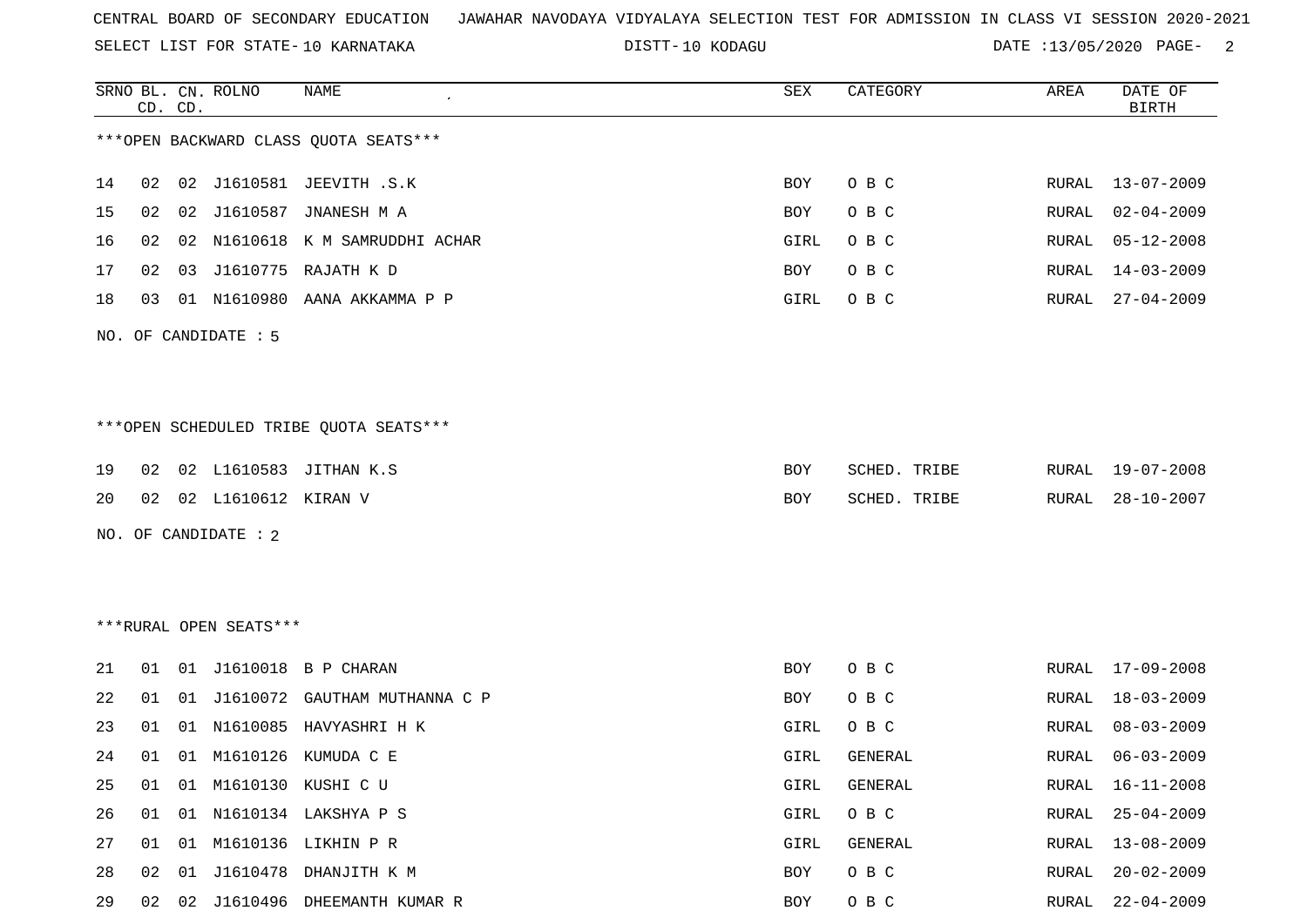SELECT LIST FOR STATE- DISTT- 10 KARNATAKA

DISTT-10 KODAGU **DATE** :13/05/2020 PAGE- 2

|    |    | CD. CD. | SRNO BL. CN. ROLNO     | NAME                                   | SEX  | CATEGORY     | AREA         | DATE OF<br><b>BIRTH</b> |
|----|----|---------|------------------------|----------------------------------------|------|--------------|--------------|-------------------------|
|    |    |         |                        | *** OPEN BACKWARD CLASS QUOTA SEATS*** |      |              |              |                         |
| 14 | 02 |         |                        | 02 J1610581 JEEVITH .S.K               | BOY  | O B C        | RURAL        | 13-07-2009              |
| 15 | 02 | 02      | J1610587               | JNANESH M A                            | BOY  | O B C        | RURAL        | $02 - 04 - 2009$        |
| 16 | 02 | 02      |                        | N1610618 K M SAMRUDDHI ACHAR           | GIRL | O B C        | RURAL        | $05 - 12 - 2008$        |
| 17 | 02 | 03      |                        | J1610775 RAJATH K D                    | BOY  | O B C        | RURAL        | $14 - 03 - 2009$        |
| 18 | 03 |         | 01 N1610980            | AANA AKKAMMA P P                       | GIRL | O B C        | RURAL        | $27 - 04 - 2009$        |
|    |    |         | NO. OF CANDIDATE : 5   |                                        |      |              |              |                         |
|    |    |         |                        | ***OPEN SCHEDULED TRIBE QUOTA SEATS*** |      |              |              |                         |
| 19 | 02 |         |                        | 02 L1610583 JITHAN K.S                 | BOY  | SCHED. TRIBE | RURAL        | 19-07-2008              |
| 20 | 02 |         | 02 L1610612 KIRAN V    |                                        | BOY  | SCHED. TRIBE | RURAL        | $28 - 10 - 2007$        |
|    |    |         | NO. OF CANDIDATE : 2   |                                        |      |              |              |                         |
|    |    |         | ***RURAL OPEN SEATS*** |                                        |      |              |              |                         |
| 21 | 01 | 01      |                        | J1610018 B P CHARAN                    | BOY  | O B C        | RURAL        | 17-09-2008              |
| 22 | 01 | 01      | J1610072               | GAUTHAM MUTHANNA C P                   | BOY  | O B C        | RURAL        | $18 - 03 - 2009$        |
| 23 | 01 | 01      | N1610085               | HAVYASHRI H K                          | GIRL | O B C        | RURAL        | $08 - 03 - 2009$        |
| 24 | 01 |         |                        | 01 M1610126 KUMUDA C E                 | GIRL | GENERAL      | RURAL        | $06 - 03 - 2009$        |
| 25 | 01 | 01      |                        | M1610130 KUSHI C U                     | GIRL | GENERAL      | <b>RURAL</b> | $16 - 11 - 2008$        |
| 26 | 01 |         |                        | 01 N1610134 LAKSHYA P S                | GIRL | O B C        | <b>RURAL</b> | $25 - 04 - 2009$        |
| 27 | 01 |         |                        | 01 M1610136 LIKHIN P R                 | GIRL | GENERAL      | RURAL        | $13 - 08 - 2009$        |
| 28 | 02 | 01      |                        | J1610478 DHANJITH K M                  | BOY  | O B C        | <b>RURAL</b> | $20 - 02 - 2009$        |
| 29 |    |         |                        | 02 02 J1610496 DHEEMANTH KUMAR R       | BOY  | O B C        | <b>RURAL</b> | $22 - 04 - 2009$        |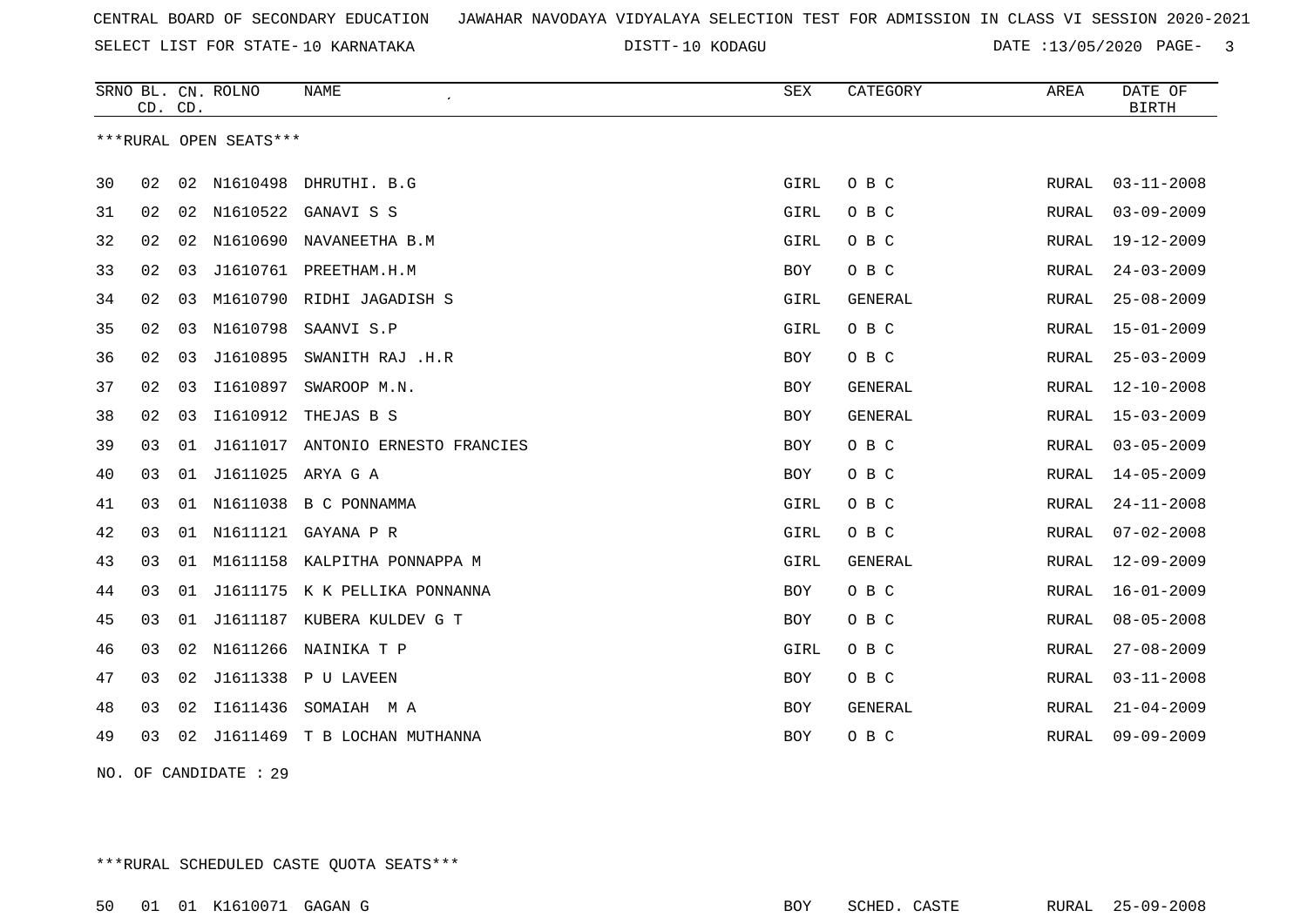SELECT LIST FOR STATE- DISTT- 10 KARNATAKA

10 KODAGU DATE :13/05/2020 PAGE- 3

|    | CD. CD. |    | SRNO BL. CN. ROLNO     | <b>NAME</b>                       | ${\tt SEX}$ | CATEGORY       | AREA         | DATE OF<br><b>BIRTH</b> |
|----|---------|----|------------------------|-----------------------------------|-------------|----------------|--------------|-------------------------|
|    |         |    | ***RURAL OPEN SEATS*** |                                   |             |                |              |                         |
| 30 | 02      |    | 02 N1610498            | DHRUTHI. B.G                      | GIRL        | O B C          | RURAL        | $03 - 11 - 2008$        |
| 31 | 02      | 02 | N1610522               | GANAVI S S                        | GIRL        | O B C          | RURAL        | $03 - 09 - 2009$        |
| 32 | 02      | 02 | N1610690               | NAVANEETHA B.M                    | GIRL        | O B C          | <b>RURAL</b> | $19 - 12 - 2009$        |
| 33 | 02      | 03 |                        | J1610761 PREETHAM.H.M             | BOY         | O B C          | RURAL        | $24 - 03 - 2009$        |
| 34 | 02      | 03 | M1610790               | RIDHI JAGADISH S                  | GIRL        | <b>GENERAL</b> | RURAL        | $25 - 08 - 2009$        |
| 35 | 02      | 03 | N1610798               | SAANVI S.P                        | GIRL        | O B C          | RURAL        | $15 - 01 - 2009$        |
| 36 | 02      | 03 | J1610895               | SWANITH RAJ .H.R                  | BOY         | O B C          | RURAL        | $25 - 03 - 2009$        |
| 37 | 02      | 03 | I1610897               | SWAROOP M.N.                      | <b>BOY</b>  | GENERAL        | RURAL        | $12 - 10 - 2008$        |
| 38 | 02      | 03 | I1610912               | THEJAS B S                        | BOY         | GENERAL        | RURAL        | $15 - 03 - 2009$        |
| 39 | 03      | 01 |                        | J1611017 ANTONIO ERNESTO FRANCIES | BOY         | O B C          | RURAL        | $03 - 05 - 2009$        |
| 40 | 03      |    | 01 J1611025 ARYA G A   |                                   | BOY         | O B C          | RURAL        | $14 - 05 - 2009$        |
| 41 | 03      | 01 | N1611038               | B C PONNAMMA                      | GIRL        | O B C          | RURAL        | $24 - 11 - 2008$        |
| 42 | 03      | 01 | N1611121               | GAYANA P R                        | GIRL        | O B C          | <b>RURAL</b> | $07 - 02 - 2008$        |
| 43 | 03      | 01 |                        | M1611158 KALPITHA PONNAPPA M      | GIRL        | GENERAL        | RURAL        | $12 - 09 - 2009$        |
| 44 | 03      | 01 |                        | J1611175 K K PELLIKA PONNANNA     | BOY         | O B C          | RURAL        | $16 - 01 - 2009$        |
| 45 | 03      | 01 |                        | J1611187 KUBERA KULDEV G T        | BOY         | O B C          | RURAL        | $08 - 05 - 2008$        |
| 46 | 03      | 02 | N1611266               | NAINIKA T P                       | GIRL        | O B C          | RURAL        | $27 - 08 - 2009$        |
| 47 | 03      | 02 | J1611338               | P U LAVEEN                        | BOY         | O B C          | <b>RURAL</b> | $03 - 11 - 2008$        |
| 48 | 03      | 02 | I1611436               | SOMAIAH MA                        | BOY         | GENERAL        | RURAL        | $21 - 04 - 2009$        |
| 49 | 03      | 02 |                        | J1611469 T B LOCHAN MUTHANNA      | <b>BOY</b>  | O B C          | RURAL        | $09 - 09 - 2009$        |

NO. OF CANDIDATE : 29

\*\*\*RURAL SCHEDULED CASTE QUOTA SEATS\*\*\*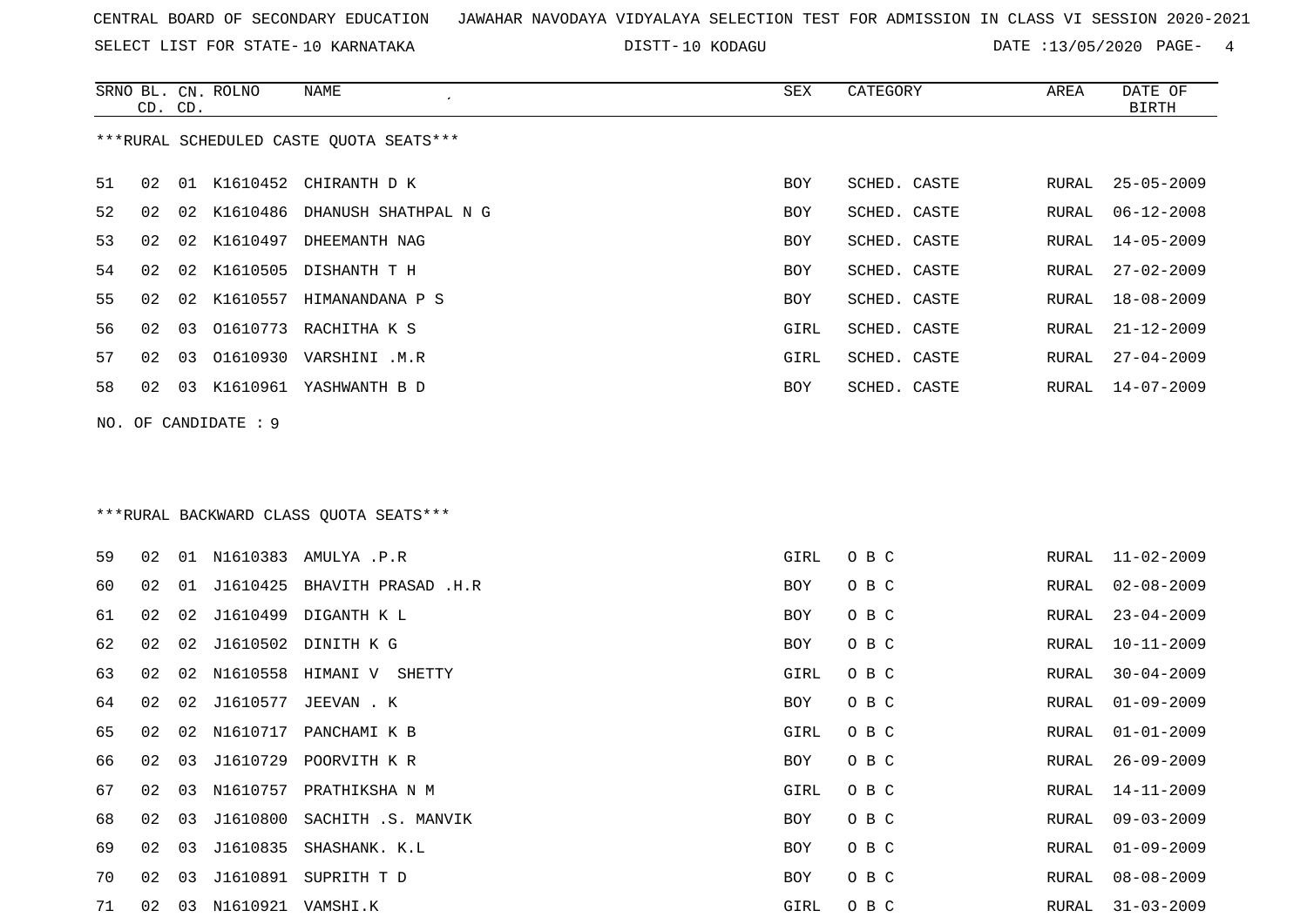SELECT LIST FOR STATE- DISTT- 10 KARNATAKA

SRNO BL. CN.

ROLNO NAME SEX CATEGORY AREA DATE OF

10 KODAGU DATE :13/05/2020 PAGE- 4

|    | CD. CD. |    |                         |                                         |      |              |               | <b>BIRTH</b>     |
|----|---------|----|-------------------------|-----------------------------------------|------|--------------|---------------|------------------|
|    |         |    |                         | ***RURAL SCHEDULED CASTE QUOTA SEATS*** |      |              |               |                  |
| 51 | 02      | 01 | K1610452                | CHIRANTH D K                            | BOY  | SCHED. CASTE | RURAL         | $25 - 05 - 2009$ |
| 52 | 02      | 02 | K1610486                | DHANUSH SHATHPAL N G                    | BOY  | SCHED. CASTE | RURAL         | 06-12-2008       |
| 53 | 02      | 02 |                         | K1610497 DHEEMANTH NAG                  | BOY  | SCHED. CASTE | RURAL         | 14-05-2009       |
| 54 | 02      | 02 |                         | K1610505 DISHANTH T H                   | BOY  | SCHED. CASTE | RURAL         | $27 - 02 - 2009$ |
| 55 | 02      | 02 |                         | K1610557 HIMANANDANA P S                | BOY  | SCHED. CASTE | RURAL         | 18-08-2009       |
| 56 | 02      | 03 |                         | O1610773 RACHITHA K S                   | GIRL | SCHED. CASTE | RURAL         | $21 - 12 - 2009$ |
| 57 | 02      | 03 |                         | 01610930 VARSHINI .M.R                  | GIRL | SCHED. CASTE | RURAL         | $27 - 04 - 2009$ |
| 58 | 02      | 03 |                         | K1610961 YASHWANTH B D                  | BOY  | SCHED. CASTE | RURAL         | $14 - 07 - 2009$ |
|    |         |    | NO. OF CANDIDATE : $9$  |                                         |      |              |               |                  |
|    |         |    |                         | ***RURAL BACKWARD CLASS QUOTA SEATS***  |      |              |               |                  |
| 59 | 02      |    |                         | 01 N1610383 AMULYA .P.R                 | GIRL | O B C        | RURAL         | $11 - 02 - 2009$ |
| 60 | 02      | 01 | J1610425                | BHAVITH PRASAD .H.R                     | BOY  | O B C        | RURAL         | $02 - 08 - 2009$ |
| 61 | 02      | 02 |                         | J1610499 DIGANTH K L                    | BOY  | O B C        | RURAL         | $23 - 04 - 2009$ |
| 62 | 02      | 02 | J1610502                | DINITH K G                              | BOY  | O B C        | ${\tt RURAL}$ | $10 - 11 - 2009$ |
| 63 | 02      | 02 |                         | N1610558 HIMANI V SHETTY                | GIRL | O B C        | RURAL         | $30 - 04 - 2009$ |
| 64 | 02      | 02 | J1610577                | JEEVAN . K                              | BOY  | O B C        | RURAL         | $01 - 09 - 2009$ |
| 65 | 02      | 02 | N1610717                | PANCHAMI K B                            | GIRL | O B C        | RURAL         | $01 - 01 - 2009$ |
| 66 | 02      | 03 | J1610729                | POORVITH K R                            | BOY  | O B C        | RURAL         | $26 - 09 - 2009$ |
| 67 | 02      | 03 |                         | N1610757 PRATHIKSHA N M                 | GIRL | O B C        | RURAL         | 14-11-2009       |
| 68 |         |    |                         | 02 03 J1610800 SACHITH .S. MANVIK       | BOY  | O B C        |               | RURAL 09-03-2009 |
| 69 |         |    |                         | 02 03 J1610835 SHASHANK. K.L            | BOY  | O B C        | RURAL         | $01 - 09 - 2009$ |
| 70 | 02      |    |                         | 03 J1610891 SUPRITH T D                 | BOY  | O B C        | RURAL         | $08 - 08 - 2009$ |
| 71 |         |    | 02 03 N1610921 VAMSHI.K |                                         | GIRL | O B C        | RURAL         | $31 - 03 - 2009$ |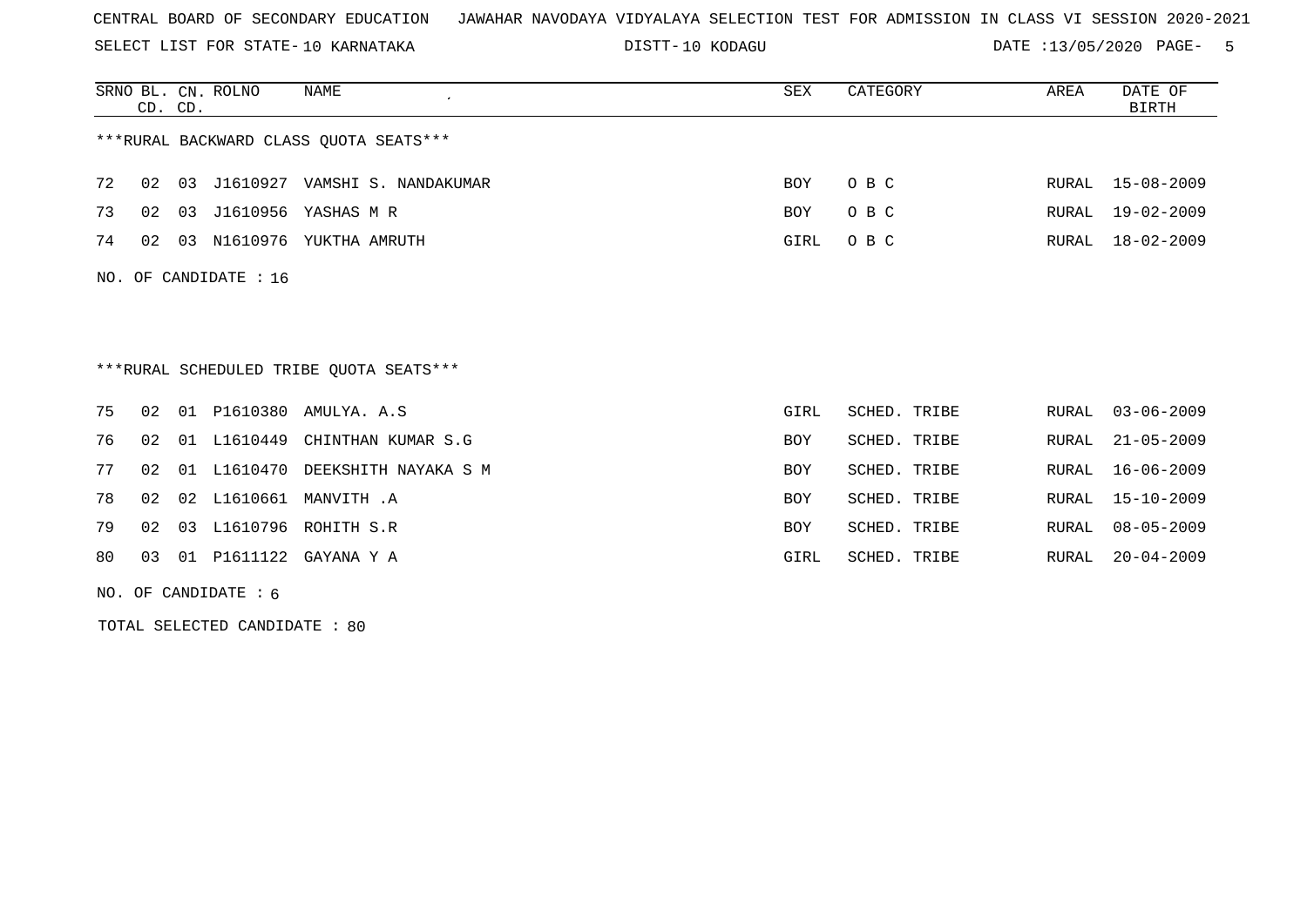SELECT LIST FOR STATE- DISTT- 10 KARNATAKA

10 KODAGU DATE :13/05/2020 PAGE- 5

|    | CD. CD.                                 |    | SRNO BL. CN. ROLNO      | <b>NAME</b>                             | SEX        | CATEGORY     | AREA  | DATE OF<br><b>BIRTH</b> |  |  |
|----|-----------------------------------------|----|-------------------------|-----------------------------------------|------------|--------------|-------|-------------------------|--|--|
|    | *** RURAL BACKWARD CLASS QUOTA SEATS*** |    |                         |                                         |            |              |       |                         |  |  |
| 72 | 02                                      | 03 |                         | J1610927 VAMSHI S. NANDAKUMAR           | BOY        | O B C        |       | RURAL 15-08-2009        |  |  |
| 73 | 02                                      |    |                         | 03 J1610956 YASHAS M R                  | BOY        | O B C        | RURAL | 19-02-2009              |  |  |
| 74 | 02                                      |    |                         | 03 N1610976 YUKTHA AMRUTH               | GIRL       | O B C        | RURAL | $18 - 02 - 2009$        |  |  |
|    |                                         |    | NO. OF CANDIDATE : $16$ |                                         |            |              |       |                         |  |  |
|    |                                         |    |                         |                                         |            |              |       |                         |  |  |
|    |                                         |    |                         |                                         |            |              |       |                         |  |  |
|    |                                         |    |                         |                                         |            |              |       |                         |  |  |
|    |                                         |    |                         | ***RURAL SCHEDULED TRIBE QUOTA SEATS*** |            |              |       |                         |  |  |
| 75 | 02                                      |    |                         | 01 P1610380 AMULYA. A.S                 | GIRL       | SCHED. TRIBE | RURAL | $03 - 06 - 2009$        |  |  |
| 76 | 02                                      |    | 01 L1610449             | CHINTHAN KUMAR S.G                      | BOY        | SCHED. TRIBE | RURAL | $21 - 05 - 2009$        |  |  |
| 77 | 02                                      |    | 01 L1610470             | DEEKSHITH NAYAKA S M                    | <b>BOY</b> | SCHED. TRIBE | RURAL | $16 - 06 - 2009$        |  |  |
| 78 | 02                                      |    |                         | 02 L1610661 MANVITH .A                  | <b>BOY</b> | SCHED. TRIBE | RURAL | $15 - 10 - 2009$        |  |  |
| 79 | 02                                      |    |                         | 03 L1610796 ROHITH S.R                  | BOY        | SCHED. TRIBE | RURAL | $08 - 05 - 2009$        |  |  |

NO. OF CANDIDATE : 6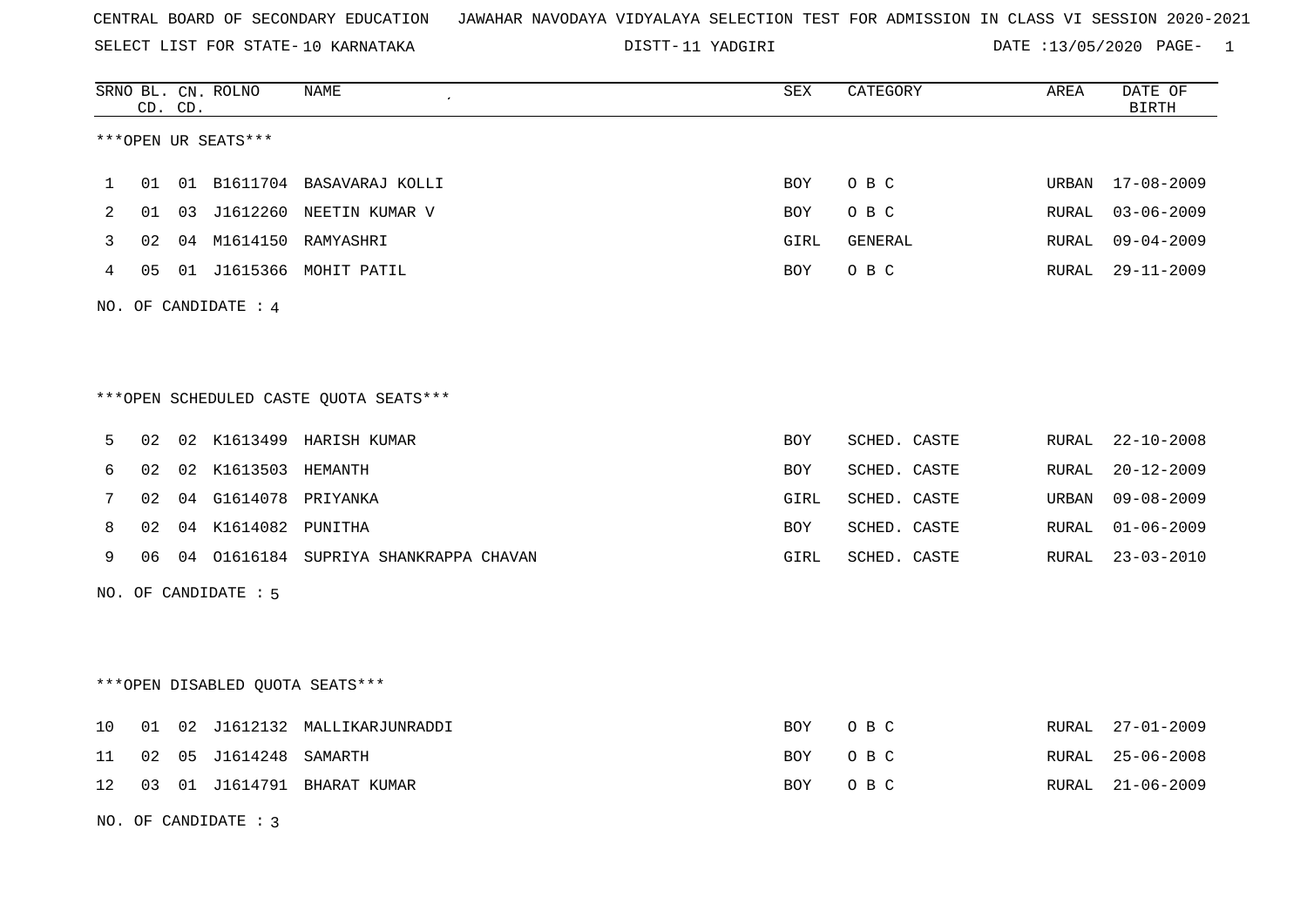SELECT LIST FOR STATE- DISTT- 10 KARNATAKA

DISTT-11 YADGIRI 11 12/05/2020 PAGE- 1

|                |    | CD. CD. | SRNO BL. CN. ROLNO              | <b>NAME</b>                            | ${\tt SEX}$ | CATEGORY     | AREA          | DATE OF<br><b>BIRTH</b> |
|----------------|----|---------|---------------------------------|----------------------------------------|-------------|--------------|---------------|-------------------------|
|                |    |         | ***OPEN UR SEATS***             |                                        |             |              |               |                         |
| 1              | 01 |         |                                 | 01 B1611704 BASAVARAJ KOLLI            | <b>BOY</b>  | O B C        | URBAN         | 17-08-2009              |
| $\overline{2}$ | 01 | 03      |                                 | J1612260 NEETIN KUMAR V                | <b>BOY</b>  | O B C        | RURAL         | $03 - 06 - 2009$        |
| 3              | 02 |         |                                 | 04 M1614150 RAMYASHRI                  | GIRL        | GENERAL      | ${\tt RURAL}$ | $09 - 04 - 2009$        |
| 4              | 05 |         |                                 | 01 J1615366 MOHIT PATIL                | BOY         | O B C        | RURAL         | $29 - 11 - 2009$        |
|                |    |         | NO. OF CANDIDATE : 4            |                                        |             |              |               |                         |
|                |    |         |                                 |                                        |             |              |               |                         |
|                |    |         |                                 | ***OPEN SCHEDULED CASTE QUOTA SEATS*** |             |              |               |                         |
| 5              | 02 |         |                                 | 02 K1613499 HARISH KUMAR               | BOY         | SCHED. CASTE | RURAL         | $22 - 10 - 2008$        |
| 6              | 02 |         | 02 K1613503 HEMANTH             |                                        | BOY         | SCHED. CASTE | RURAL         | $20 - 12 - 2009$        |
| 7              | 02 |         | 04 G1614078                     | PRIYANKA                               | GIRL        | SCHED. CASTE | URBAN         | $09 - 08 - 2009$        |
| 8              | 02 |         | 04 K1614082 PUNITHA             |                                        | BOY         | SCHED. CASTE | RURAL         | $01 - 06 - 2009$        |
| 9              | 06 |         |                                 | 04 01616184 SUPRIYA SHANKRAPPA CHAVAN  | GIRL        | SCHED. CASTE | RURAL         | $23 - 03 - 2010$        |
|                |    |         | NO. OF CANDIDATE : 5            |                                        |             |              |               |                         |
|                |    |         |                                 |                                        |             |              |               |                         |
|                |    |         | ***OPEN DISABLED QUOTA SEATS*** |                                        |             |              |               |                         |
| 10             | 01 | 02      |                                 | J1612132 MALLIKARJUNRADDI              | BOY         | O B C        | RURAL         | $27 - 01 - 2009$        |
| 11             | 02 | 05      | J1614248                        | SAMARTH                                | BOY         | O B C        | RURAL         | $25 - 06 - 2008$        |
| 12             | 03 |         |                                 | 01 J1614791 BHARAT KUMAR               | BOY         | O B C        | RURAL         | $21 - 06 - 2009$        |
|                |    |         | NO. OF CANDIDATE: 3             |                                        |             |              |               |                         |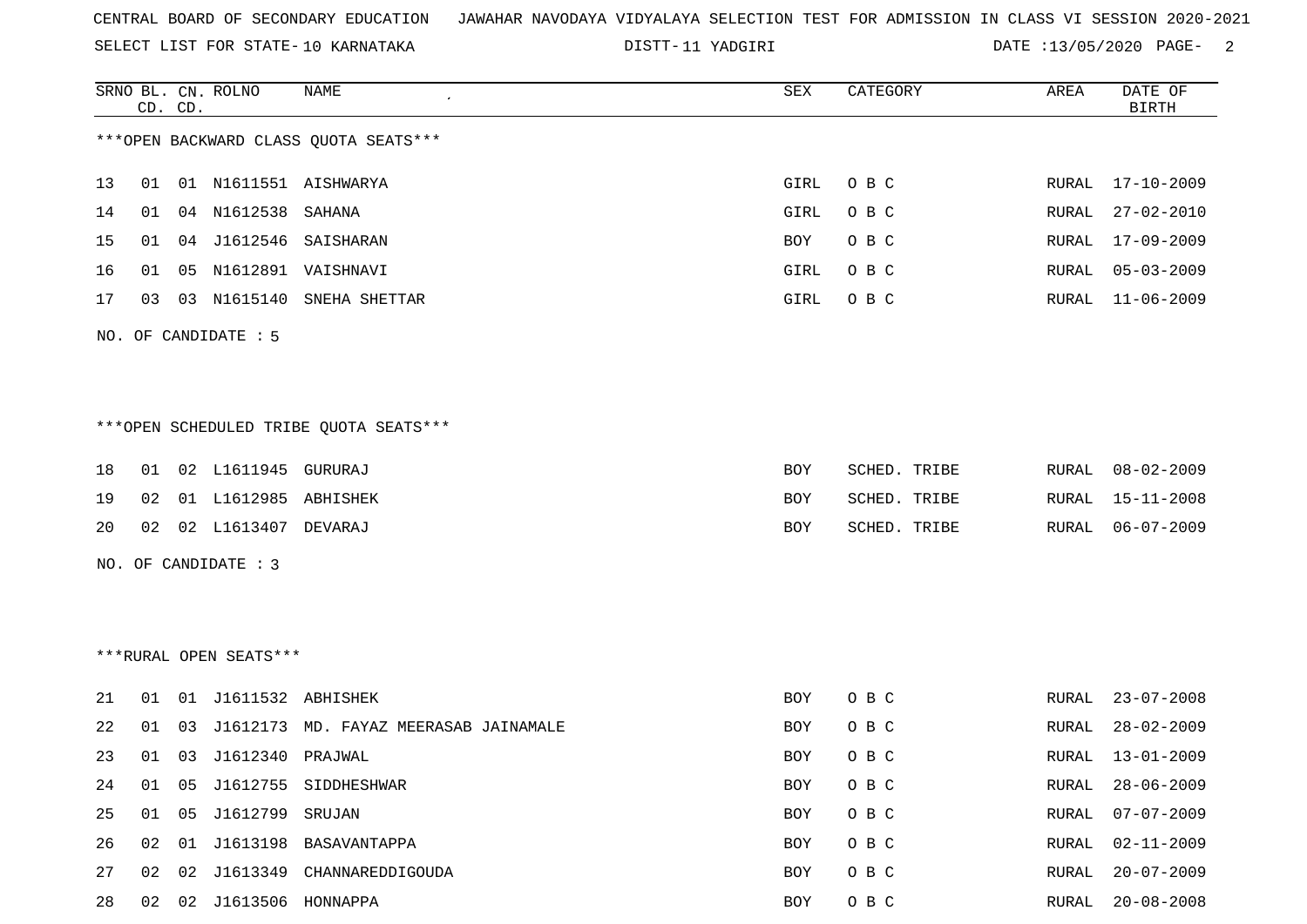SELECT LIST FOR STATE- DISTT- 10 KARNATAKA

DISTT-11 YADGIRI 13/05/2020 PAGE- 2

|    |    | CD. CD. | SRNO BL. CN. ROLNO      | <b>NAME</b>                            | SEX        | CATEGORY     | AREA         | DATE OF<br><b>BIRTH</b> |
|----|----|---------|-------------------------|----------------------------------------|------------|--------------|--------------|-------------------------|
|    |    |         |                         | *** OPEN BACKWARD CLASS QUOTA SEATS*** |            |              |              |                         |
| 13 | 01 |         |                         | 01 N1611551 AISHWARYA                  | GIRL       | O B C        | RURAL        | 17-10-2009              |
| 14 | 01 |         | 04 N1612538             | SAHANA                                 | GIRL       | O B C        | RURAL        | $27 - 02 - 2010$        |
| 15 | 01 |         |                         | 04 J1612546 SAISHARAN                  | BOY        | O B C        | RURAL        | $17 - 09 - 2009$        |
| 16 | 01 |         |                         | 05 N1612891 VAISHNAVI                  | GIRL       | O B C        | RURAL        | $05 - 03 - 2009$        |
| 17 | 03 |         | 03 N1615140             | SNEHA SHETTAR                          | GIRL       | O B C        | RURAL        | $11 - 06 - 2009$        |
|    |    |         | NO. OF CANDIDATE : 5    |                                        |            |              |              |                         |
|    |    |         |                         | ***OPEN SCHEDULED TRIBE QUOTA SEATS*** |            |              |              |                         |
| 18 | 01 |         | 02 L1611945             | GURURAJ                                | BOY        | SCHED. TRIBE | RURAL        | $08 - 02 - 2009$        |
| 19 | 02 |         | 01 L1612985 ABHISHEK    |                                        | BOY        | SCHED. TRIBE | RURAL        | $15 - 11 - 2008$        |
| 20 | 02 |         | 02 L1613407             | DEVARAJ                                | BOY        | SCHED. TRIBE | RURAL        | $06 - 07 - 2009$        |
|    |    |         | NO. OF CANDIDATE : 3    |                                        |            |              |              |                         |
|    |    |         |                         |                                        |            |              |              |                         |
|    |    |         | ***RURAL OPEN SEATS***  |                                        |            |              |              |                         |
| 21 | 01 |         | 01 J1611532 ABHISHEK    |                                        | BOY        | O B C        | RURAL        | $23 - 07 - 2008$        |
| 22 | 01 | 03      |                         | J1612173 MD. FAYAZ MEERASAB JAINAMALE  | BOY        | O B C        | RURAL        | $28 - 02 - 2009$        |
| 23 | 01 |         | 03 J1612340 PRAJWAL     |                                        | <b>BOY</b> | O B C        | RURAL        | $13 - 01 - 2009$        |
| 24 | 01 | 05      |                         | J1612755 SIDDHESHWAR                   | BOY        | O B C        | RURAL        | $28 - 06 - 2009$        |
| 25 | 01 | 05      | J1612799                | SRUJAN                                 | BOY        | O B C        | RURAL        | $07 - 07 - 2009$        |
| 26 | 02 |         |                         | 01 J1613198 BASAVANTAPPA               | BOY        | O B C        | <b>RURAL</b> | $02 - 11 - 2009$        |
| 27 | 02 | 02      | J1613349                | CHANNAREDDIGOUDA                       | BOY        | O B C        | RURAL        | $20 - 07 - 2009$        |
| 28 |    |         | 02 02 J1613506 HONNAPPA |                                        | BOY        | $O$ B $C$    | RURAL        | $20 - 08 - 2008$        |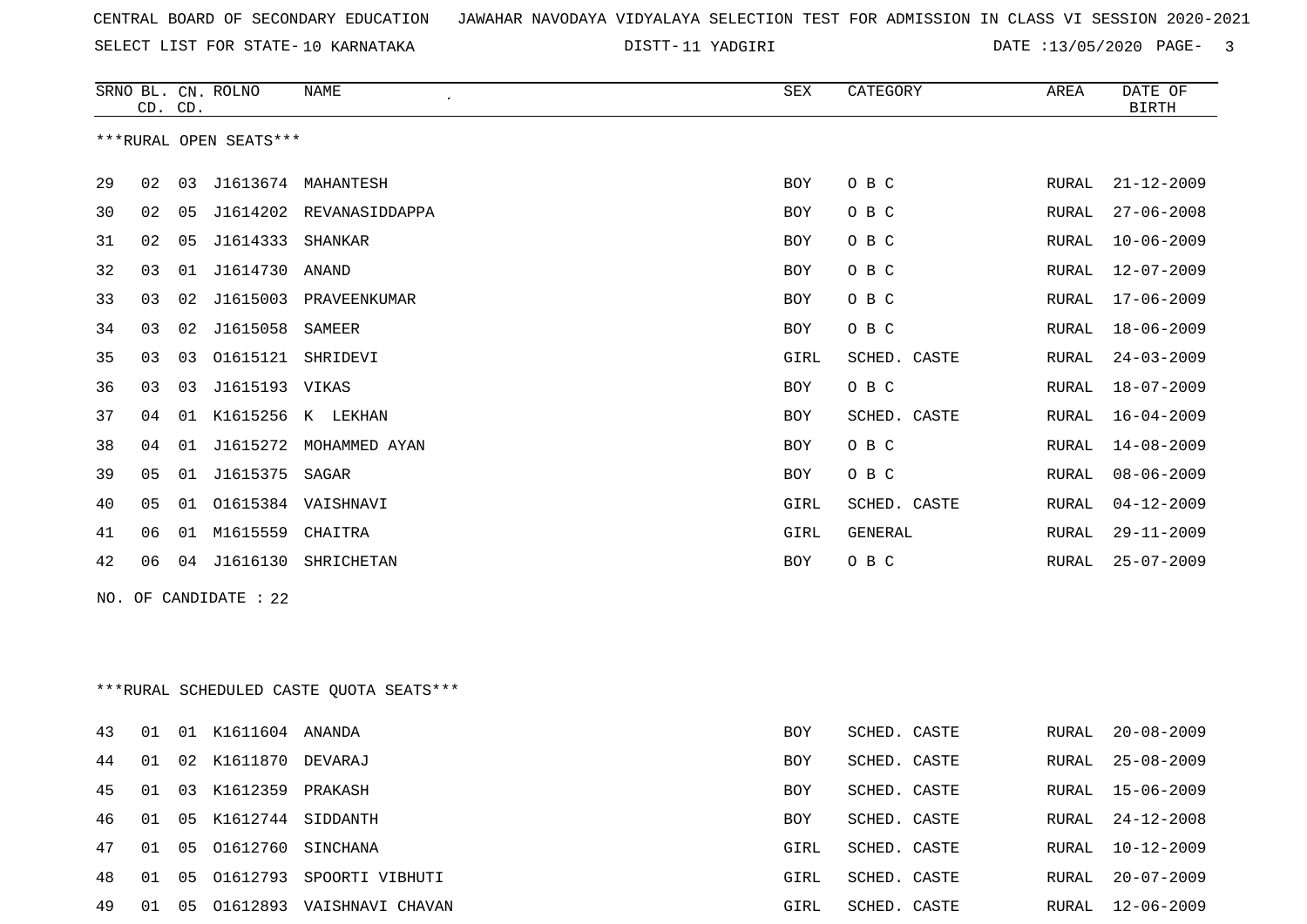11 YADGIRI DATE :13/05/2020 PAGE- 3

|    | CD. CD. |    | SRNO BL. CN. ROLNO      | <b>NAME</b>                             | <b>SEX</b>  | CATEGORY       | AREA          | DATE OF<br><b>BIRTH</b> |
|----|---------|----|-------------------------|-----------------------------------------|-------------|----------------|---------------|-------------------------|
|    |         |    | ***RURAL OPEN SEATS***  |                                         |             |                |               |                         |
| 29 | 02      |    |                         | 03 J1613674 MAHANTESH                   | BOY         | O B C          | ${\tt RURAL}$ | $21 - 12 - 2009$        |
| 30 | 02      |    |                         | 05 J1614202 REVANASIDDAPPA              | <b>BOY</b>  | O B C          | RURAL         | $27 - 06 - 2008$        |
| 31 | 02      | 05 | J1614333 SHANKAR        |                                         | <b>BOY</b>  | O B C          | RURAL         | $10 - 06 - 2009$        |
| 32 | 03      |    | 01 J1614730 ANAND       |                                         | <b>BOY</b>  | O B C          | RURAL         | $12 - 07 - 2009$        |
| 33 | 03      |    |                         | 02 J1615003 PRAVEENKUMAR                | BOY         | O B C          | RURAL         | $17 - 06 - 2009$        |
| 34 | 03      | 02 | J1615058                | SAMEER                                  | BOY         | овс            | RURAL         | 18-06-2009              |
| 35 | 03      | 03 | 01615121 SHRIDEVI       |                                         | GIRL        | SCHED. CASTE   | RURAL         | $24 - 03 - 2009$        |
| 36 | 03      | 03 | J1615193 VIKAS          |                                         | <b>BOY</b>  | O B C          | RURAL         | $18 - 07 - 2009$        |
| 37 | 04      |    |                         | 01 K1615256 K LEKHAN                    | BOY         | SCHED. CASTE   | RURAL         | $16 - 04 - 2009$        |
| 38 | 04      |    |                         | 01 J1615272 MOHAMMED AYAN               | BOY         | O B C          | RURAL         | 14-08-2009              |
| 39 | 05      |    | 01 J1615375 SAGAR       |                                         | <b>BOY</b>  | O B C          | RURAL         | $08 - 06 - 2009$        |
| 40 | 05      |    |                         | 01  01615384  VAISHNAVI                 | GIRL        | SCHED. CASTE   | RURAL         | $04 - 12 - 2009$        |
| 41 | 06      |    | 01 M1615559 CHAITRA     |                                         | <b>GIRL</b> | <b>GENERAL</b> | <b>RURAL</b>  | $29 - 11 - 2009$        |
| 42 | 06      |    |                         | 04 J1616130 SHRICHETAN                  | BOY         | O B C          | RURAL         | $25 - 07 - 2009$        |
|    |         |    | NO. OF CANDIDATE : $22$ |                                         |             |                |               |                         |
|    |         |    |                         |                                         |             |                |               |                         |
|    |         |    |                         | ***RURAL SCHEDULED CASTE QUOTA SEATS*** |             |                |               |                         |
| 43 | 01      |    | 01 K1611604 ANANDA      |                                         | <b>BOY</b>  | SCHED. CASTE   | RURAL         | $20 - 08 - 2009$        |
| 44 | 01      |    | 02 K1611870 DEVARAJ     |                                         | <b>BOY</b>  | SCHED. CASTE   | RURAL         | $25 - 08 - 2009$        |
| 45 | 01      |    | 03 K1612359 PRAKASH     |                                         | BOY         | SCHED. CASTE   | RURAL         | $15 - 06 - 2009$        |
| 46 | 01      |    | 05 K1612744 SIDDANTH    |                                         | BOY         | SCHED. CASTE   | RURAL         | $24 - 12 - 2008$        |
| 47 | 01      | 05 | 01612760 SINCHANA       |                                         | GIRL        | SCHED. CASTE   | RURAL         | $10 - 12 - 2009$        |

 01 05 O1612793 SPOORTI VIBHUTI GIRL SCHED. CASTE RURAL 20-07-2009 01 05 O1612893 VAISHNAVI CHAVAN GIRL SCHED. CASTE RURAL 12-06-2009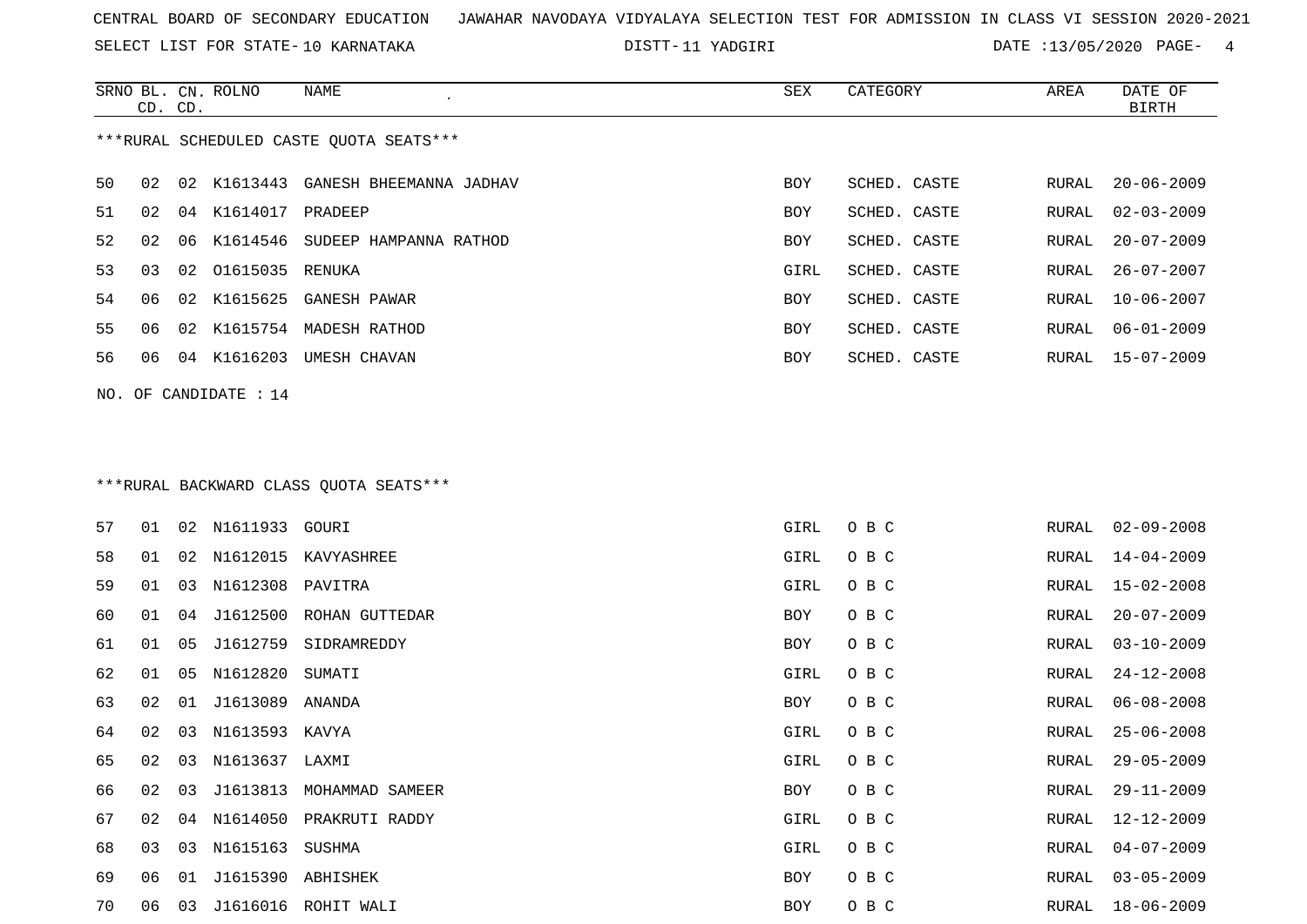SELECT LIST FOR STATE- DISTT- 10 KARNATAKA

11 YADGIRI DATE :13/05/2020 PAGE- 4

|    |    | CD. CD. | SRNO BL. CN. ROLNO    | NAME                                    | SEX  | CATEGORY     | AREA  | DATE OF<br><b>BIRTH</b> |
|----|----|---------|-----------------------|-----------------------------------------|------|--------------|-------|-------------------------|
|    |    |         |                       | ***RURAL SCHEDULED CASTE QUOTA SEATS*** |      |              |       |                         |
| 50 | 02 |         |                       | 02 K1613443 GANESH BHEEMANNA JADHAV     | BOY  | SCHED. CASTE | RURAL | $20 - 06 - 2009$        |
| 51 | 02 | 04      | K1614017 PRADEEP      |                                         | BOY  | SCHED. CASTE | RURAL | $02 - 03 - 2009$        |
| 52 | 02 | 06      |                       | K1614546 SUDEEP HAMPANNA RATHOD         | BOY  | SCHED. CASTE | RURAL | $20 - 07 - 2009$        |
| 53 | 03 | 02      | 01615035              | RENUKA                                  | GIRL | SCHED. CASTE | RURAL | $26 - 07 - 2007$        |
| 54 | 06 | 02      | K1615625              | GANESH PAWAR                            | BOY  | SCHED. CASTE | RURAL | $10 - 06 - 2007$        |
| 55 | 06 | 02      |                       | K1615754 MADESH RATHOD                  | BOY  | SCHED. CASTE | RURAL | $06 - 01 - 2009$        |
| 56 | 06 |         |                       | 04 K1616203 UMESH CHAVAN                | BOY  | SCHED. CASTE | RURAL | 15-07-2009              |
|    |    |         | NO. OF CANDIDATE : 14 |                                         |      |              |       |                         |
|    |    |         |                       |                                         |      |              |       |                         |
|    |    |         |                       | *** RURAL BACKWARD CLASS QUOTA SEATS*** |      |              |       |                         |
| 57 | 01 | 02      | N1611933 GOURI        |                                         | GIRL | O B C        | RURAL | $02 - 09 - 2008$        |
| 58 | 01 | 02      |                       | N1612015 KAVYASHREE                     | GIRL | O B C        | RURAL | 14-04-2009              |
| 59 | 01 | 03      | N1612308              | PAVITRA                                 | GIRL | O B C        | RURAL | $15 - 02 - 2008$        |
| 60 | 01 | 04      | J1612500              | ROHAN GUTTEDAR                          | BOY  | O B C        | RURAL | $20 - 07 - 2009$        |
| 61 | 01 | 05      | J1612759              | SIDRAMREDDY                             | BOY  | O B C        | RURAL | $03 - 10 - 2009$        |
| 62 | 01 | 05      | N1612820              | SUMATI                                  | GIRL | O B C        | RURAL | $24 - 12 - 2008$        |
| 63 | 02 | 01      | J1613089              | ANANDA                                  | BOY  | O B C        | RURAL | $06 - 08 - 2008$        |
| 64 | 02 | 03      | N1613593 KAVYA        |                                         | GIRL | O B C        | RURAL | $25 - 06 - 2008$        |
| 65 | 02 | 03      | N1613637 LAXMI        |                                         | GIRL | O B C        | RURAL | $29 - 05 - 2009$        |
| 66 | 02 | 03      |                       | J1613813 MOHAMMAD SAMEER                | BOY  | O B C        | RURAL | $29 - 11 - 2009$        |
| 67 | 02 | 04      |                       | N1614050 PRAKRUTI RADDY                 | GIRL | O B C        | RURAL | $12 - 12 - 2009$        |
| 68 | 03 | 03      | N1615163              | SUSHMA                                  | GIRL | O B C        | RURAL | $04 - 07 - 2009$        |
| 69 | 06 | 01      | J1615390 ABHISHEK     |                                         | BOY  | O B C        | RURAL | $03 - 05 - 2009$        |
| 70 |    |         |                       | 06 03 J1616016 ROHIT WALI               | BOY  | O B C        |       | RURAL 18-06-2009        |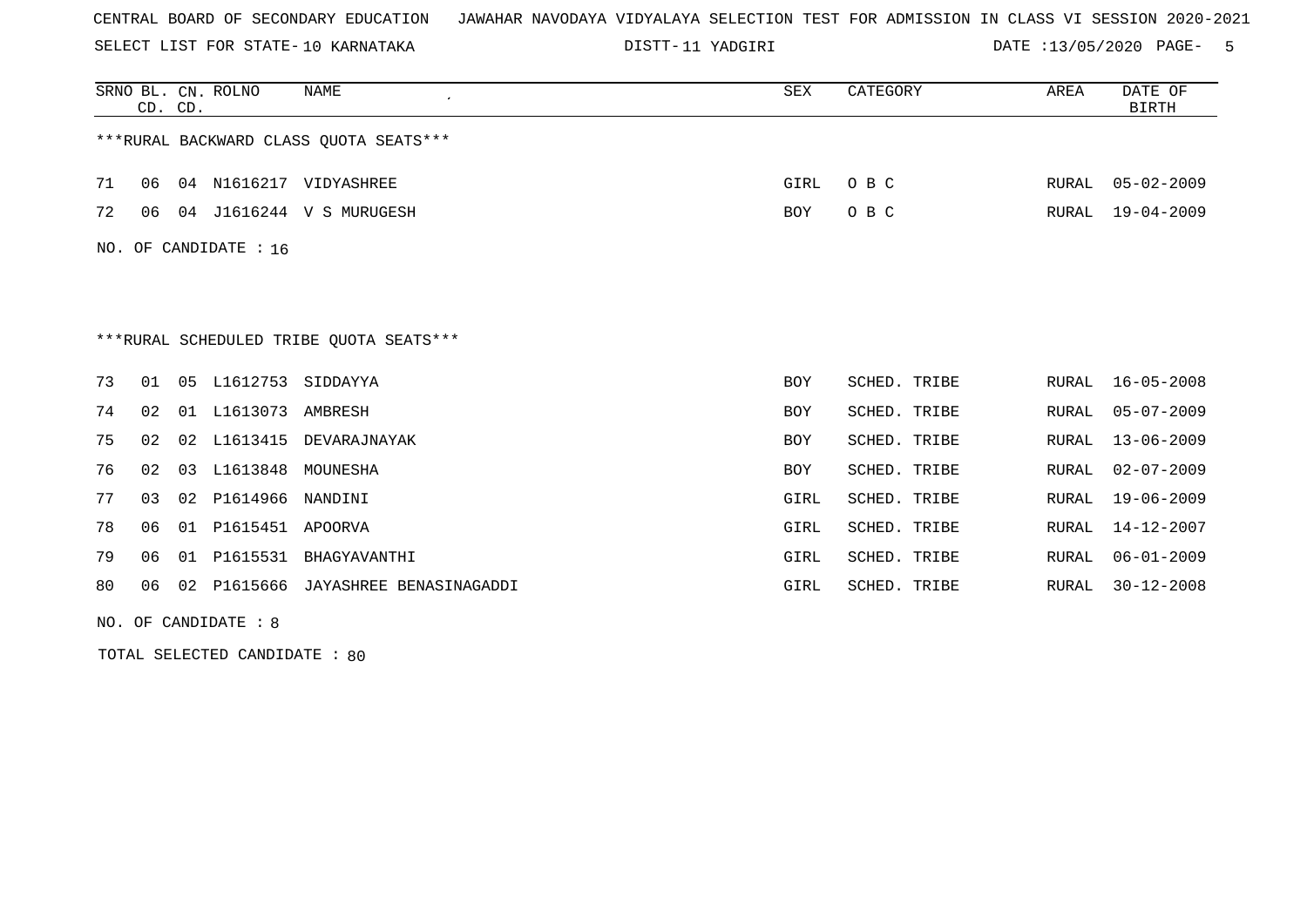SELECT LIST FOR STATE- DISTT- 10 KARNATAKA

11 YADGIRI DATE :13/05/2020 PAGE- 5

|     | CD. CD.                                 |                | SRNO BL. CN. ROLNO | <b>NAME</b><br>$\cdot$                  | <b>SEX</b> | CATEGORY     | AREA  | DATE OF<br><b>BIRTH</b> |  |
|-----|-----------------------------------------|----------------|--------------------|-----------------------------------------|------------|--------------|-------|-------------------------|--|
|     |                                         |                |                    | *** RURAL BACKWARD CLASS QUOTA SEATS*** |            |              |       |                         |  |
| 71  | 06                                      | 04             | N1616217           | VIDYASHREE                              | GIRL       | O B C        | RURAL | $05 - 02 - 2009$        |  |
| 72  | 06                                      | 04             |                    | J1616244 V S MURUGESH                   | BOY        | O B C        | RURAL | $19 - 04 - 2009$        |  |
| NO. |                                         |                | OF CANDIDATE : 16  |                                         |            |              |       |                         |  |
|     |                                         |                |                    |                                         |            |              |       |                         |  |
|     | ***RURAL SCHEDULED TRIBE OUOTA SEATS*** |                |                    |                                         |            |              |       |                         |  |
| 73  | 01                                      | 0 <sub>5</sub> | L1612753           | SIDDAYYA                                | <b>BOY</b> | SCHED. TRIBE | RURAL | $16 - 05 - 2008$        |  |
| 74  | 02                                      | 01             | L1613073           | AMBRESH                                 | <b>BOY</b> | SCHED. TRIBE | RURAL | $05 - 07 - 2009$        |  |
| 75  | 02                                      | 02             | L1613415           | DEVARAJNAYAK                            | <b>BOY</b> | SCHED. TRIBE | RURAL | $13 - 06 - 2009$        |  |
| 76  | 02                                      | 03             | L1613848           | MOUNESHA                                | <b>BOY</b> | SCHED. TRIBE | RURAL | $02 - 07 - 2009$        |  |
| 77  | 03                                      | 02             | P1614966           | NANDINI                                 | GIRL       | SCHED. TRIBE | RURAL | $19 - 06 - 2009$        |  |
| 78  | 06                                      | 01             | P1615451           | APOORVA                                 | GIRL       | SCHED. TRIBE | RURAL | $14 - 12 - 2007$        |  |
| 79  | 06                                      | 01             | P1615531           | BHAGYAVANTHI                            | GIRL       | SCHED. TRIBE | RURAL | $06 - 01 - 2009$        |  |
| 80  | 06                                      | 02             | P1615666           | JAYASHREE BENASINAGADDI                 | GIRL       | SCHED. TRIBE | RURAL | $30 - 12 - 2008$        |  |

NO. OF CANDIDATE : 8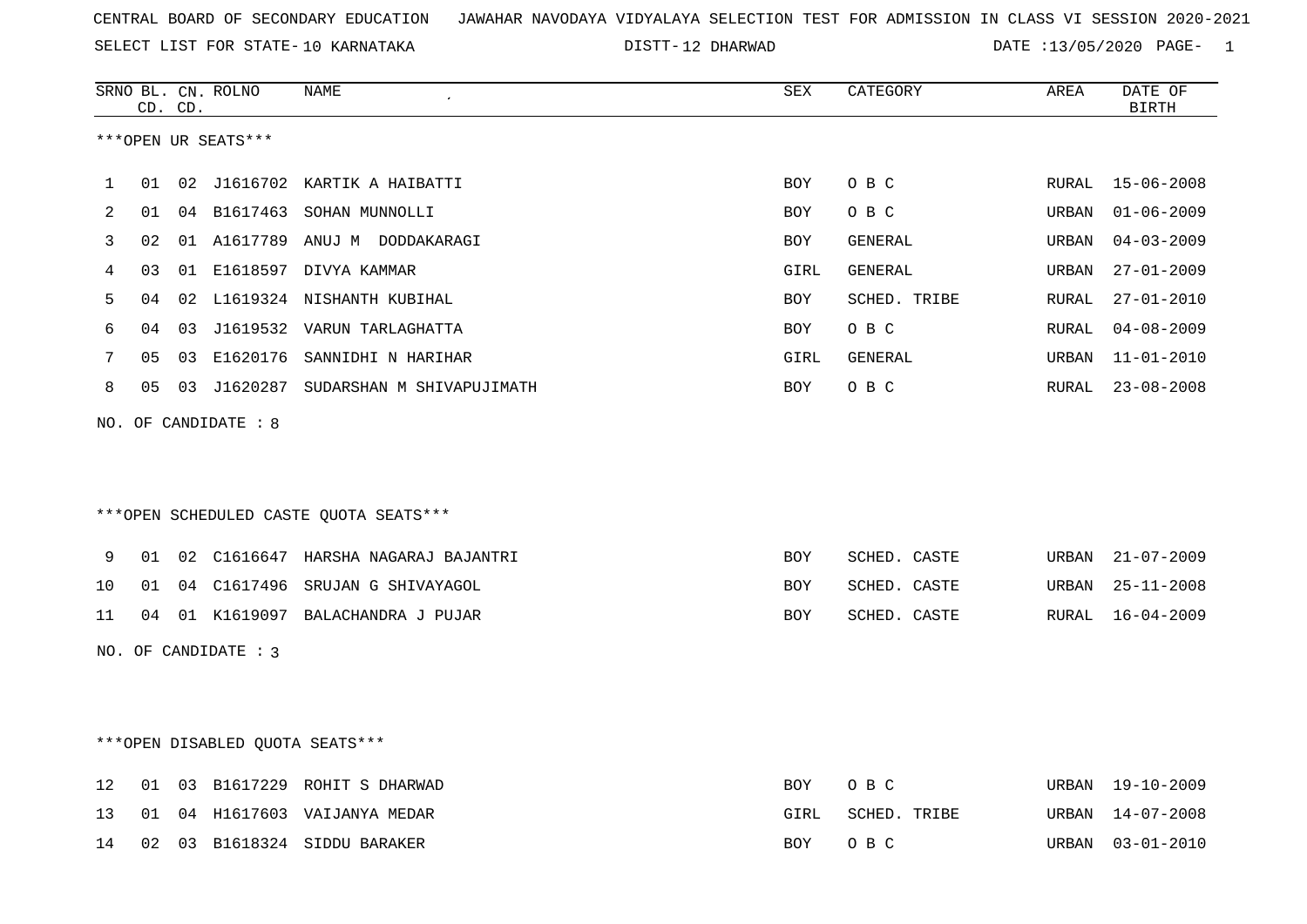SELECT LIST FOR STATE- DISTT- 10 KARNATAKA

12 DHARWAD DATE :13/05/2020 PAGE- 1

|    |    | CD. CD. | SRNO BL. CN. ROLNO   | $\ensuremath{\mathsf{NAME}}$            | ${\tt SEX}$ | CATEGORY     | AREA  | DATE OF<br><b>BIRTH</b> |
|----|----|---------|----------------------|-----------------------------------------|-------------|--------------|-------|-------------------------|
|    |    |         | ***OPEN UR SEATS***  |                                         |             |              |       |                         |
| 1  | 01 |         |                      | 02 J1616702 KARTIK A HAIBATTI           | <b>BOY</b>  | O B C        | RURAL | $15 - 06 - 2008$        |
| 2  | 01 |         |                      | 04 B1617463 SOHAN MUNNOLLI              | <b>BOY</b>  | O B C        | URBAN | $01 - 06 - 2009$        |
| 3  | 02 |         |                      | 01 A1617789 ANUJ M DODDAKARAGI          | <b>BOY</b>  | GENERAL      | URBAN | $04 - 03 - 2009$        |
| 4  | 03 |         |                      | 01 E1618597 DIVYA KAMMAR                | GIRL        | GENERAL      | URBAN | $27 - 01 - 2009$        |
| 5  | 04 | 02      |                      | L1619324 NISHANTH KUBIHAL               | <b>BOY</b>  | SCHED. TRIBE | RURAL | $27 - 01 - 2010$        |
| 6  | 04 | 03      |                      | J1619532 VARUN TARLAGHATTA              | BOY         | O B C        | RURAL | $04 - 08 - 2009$        |
| 7  | 05 | 03      |                      | E1620176 SANNIDHI N HARIHAR             | GIRL        | GENERAL      | URBAN | $11 - 01 - 2010$        |
| 8  | 05 |         |                      | 03 J1620287 SUDARSHAN M SHIVAPUJIMATH   | BOY         | O B C        | RURAL | $23 - 08 - 2008$        |
|    |    |         | NO. OF CANDIDATE : 8 |                                         |             |              |       |                         |
|    |    |         |                      |                                         |             |              |       |                         |
|    |    |         |                      | *** OPEN SCHEDULED CASTE QUOTA SEATS*** |             |              |       |                         |
| 9  | 01 |         |                      | 02 C1616647 HARSHA NAGARAJ BAJANTRI     | <b>BOY</b>  | SCHED. CASTE | URBAN | $21 - 07 - 2009$        |
| 10 | 01 |         |                      | 04 C1617496 SRUJAN G SHIVAYAGOL         | <b>BOY</b>  | SCHED. CASTE | URBAN | $25 - 11 - 2008$        |
| 11 | 04 |         |                      | 01 K1619097 BALACHANDRA J PUJAR         | BOY         | SCHED. CASTE | RURAL | $16 - 04 - 2009$        |
|    |    |         | NO. OF CANDIDATE : 3 |                                         |             |              |       |                         |
|    |    |         |                      |                                         |             |              |       |                         |
|    |    |         |                      |                                         |             |              |       |                         |
|    |    |         |                      | ***OPEN DISABLED QUOTA SEATS***         |             |              |       |                         |
| 12 | 01 |         |                      | 03 B1617229 ROHIT S DHARWAD             | BOY         | O B C        |       | URBAN 19-10-2009        |
| 13 | 01 |         |                      | 04 H1617603 VAIJANYA MEDAR              | GIRL        | SCHED. TRIBE |       | URBAN 14-07-2008        |

14 02 03 B1618324 SIDDU BARAKER BOY O B C URBAN 03-01-2010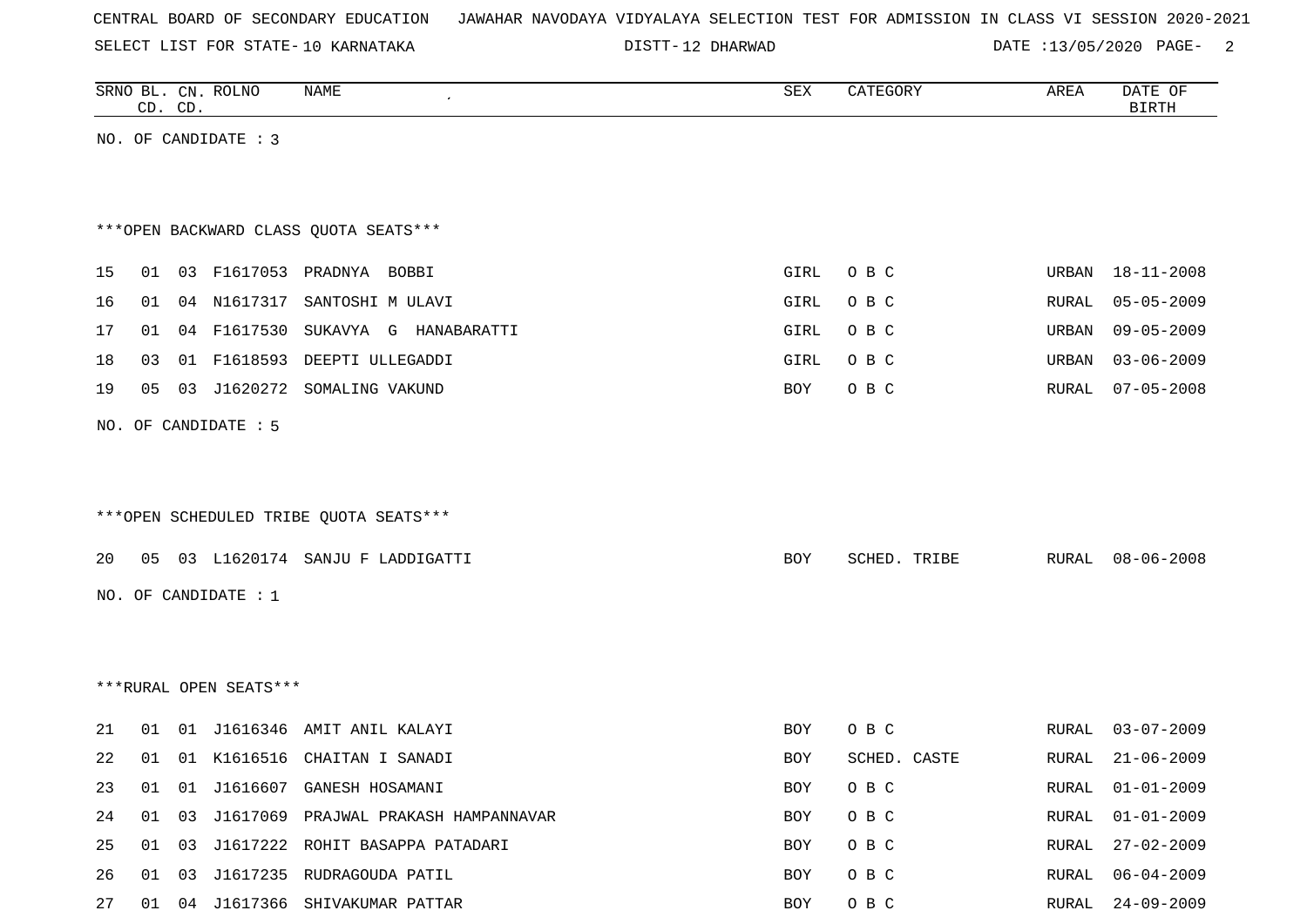| CENTRAL BOARD OF SECONDARY EDUCATION – JAWAHAR NAVODAYA VIDYALAYA SELECTION TEST FOR ADMISSION IN CLASS VI SESSION 2020-2021 |  |  |  |  |  |  |  |  |  |  |  |  |  |  |  |  |  |  |  |
|------------------------------------------------------------------------------------------------------------------------------|--|--|--|--|--|--|--|--|--|--|--|--|--|--|--|--|--|--|--|
|------------------------------------------------------------------------------------------------------------------------------|--|--|--|--|--|--|--|--|--|--|--|--|--|--|--|--|--|--|--|

DISTT-12 DHARWAD DATE :13/05/2020 PAGE- 2

|    | CD. CD. |    | SRNO BL. CN. ROLNO     | <b>NAME</b>                            | ${\tt SEX}$ | CATEGORY     | AREA  | DATE OF<br><b>BIRTH</b> |
|----|---------|----|------------------------|----------------------------------------|-------------|--------------|-------|-------------------------|
|    |         |    | NO. OF CANDIDATE : 3   |                                        |             |              |       |                         |
|    |         |    |                        |                                        |             |              |       |                         |
|    |         |    |                        |                                        |             |              |       |                         |
|    |         |    |                        | *** OPEN BACKWARD CLASS QUOTA SEATS*** |             |              |       |                         |
| 15 | 01      |    |                        | 03 F1617053 PRADNYA BOBBI              | GIRL        | O B C        | URBAN | $18 - 11 - 2008$        |
| 16 | 01      |    | 04 N1617317            | SANTOSHI M ULAVI                       | GIRL        | O B C        | RURAL | $05 - 05 - 2009$        |
| 17 | 01      |    | 04 F1617530            | SUKAVYA G HANABARATTI                  | GIRL        | O B C        | URBAN | $09 - 05 - 2009$        |
| 18 | 03      | 01 | F1618593               | DEEPTI ULLEGADDI                       | GIRL        | O B C        | URBAN | $03 - 06 - 2009$        |
| 19 | 05      | 03 | J1620272               | SOMALING VAKUND                        | BOY         | O B C        | RURAL | $07 - 05 - 2008$        |
|    |         |    | NO. OF CANDIDATE : 5   |                                        |             |              |       |                         |
|    |         |    |                        |                                        |             |              |       |                         |
|    |         |    |                        |                                        |             |              |       |                         |
|    |         |    |                        | ***OPEN SCHEDULED TRIBE QUOTA SEATS*** |             |              |       |                         |
|    |         |    |                        |                                        |             |              |       |                         |
| 20 | 05      |    |                        | 03 L1620174 SANJU F LADDIGATTI         | BOY         | SCHED. TRIBE | RURAL | $08 - 06 - 2008$        |
|    |         |    | NO. OF CANDIDATE : $1$ |                                        |             |              |       |                         |
|    |         |    |                        |                                        |             |              |       |                         |
|    |         |    |                        |                                        |             |              |       |                         |
|    |         |    | ***RURAL OPEN SEATS*** |                                        |             |              |       |                         |
| 21 | 01      |    |                        | 01 J1616346 AMIT ANIL KALAYI           | BOY         | O B C        | RURAL | $03 - 07 - 2009$        |
| 22 | 01      |    |                        | 01 K1616516 CHAITAN I SANADI           | <b>BOY</b>  | SCHED. CASTE | RURAL | $21 - 06 - 2009$        |
| 23 | 01      |    |                        | 01 J1616607 GANESH HOSAMANI            | BOY         | O B C        | RURAL | $01 - 01 - 2009$        |
| 24 | 01      | 03 |                        | J1617069 PRAJWAL PRAKASH HAMPANNAVAR   | BOY         | O B C        | RURAL | $01 - 01 - 2009$        |
| 25 | 01      | 03 |                        | J1617222 ROHIT BASAPPA PATADARI        | BOY         | O B C        | RURAL | $27 - 02 - 2009$        |
| 26 | 01 03   |    |                        | J1617235 RUDRAGOUDA PATIL              | BOY         | O B C        | RURAL | $06 - 04 - 2009$        |
| 27 |         |    |                        | 01 04 J1617366 SHIVAKUMAR PATTAR       | BOY         | O B C        |       | RURAL 24-09-2009        |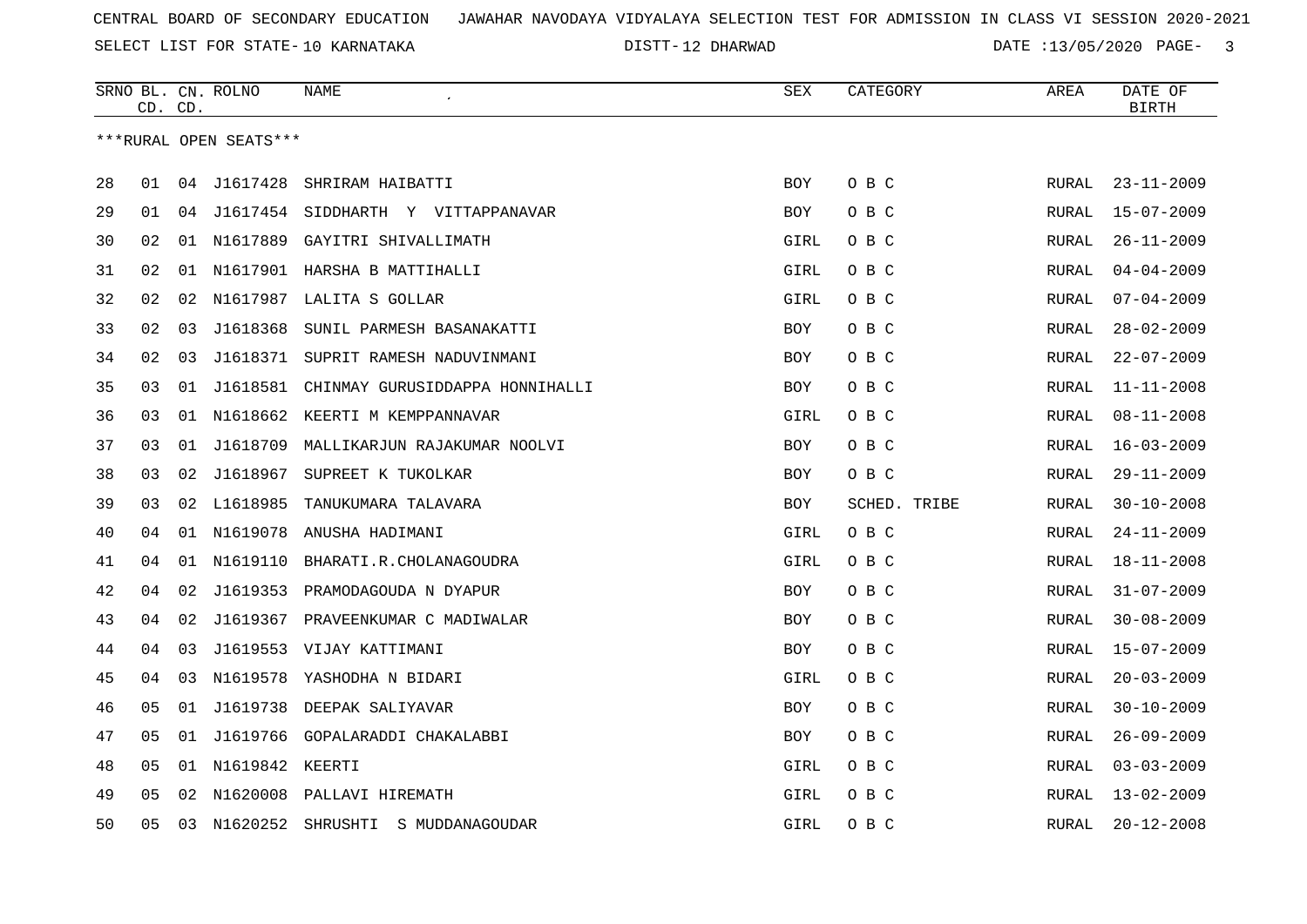12 DHARWAD DATE :13/05/2020 PAGE- 3

|    | CD. CD. |    | SRNO BL. CN. ROLNO     | NAME                                  | SEX        | CATEGORY     | AREA         | DATE OF<br><b>BIRTH</b> |
|----|---------|----|------------------------|---------------------------------------|------------|--------------|--------------|-------------------------|
|    |         |    | ***RURAL OPEN SEATS*** |                                       |            |              |              |                         |
|    |         |    |                        |                                       |            |              |              |                         |
| 28 | 01      |    | 04 J1617428            | SHRIRAM HAIBATTI                      | <b>BOY</b> | O B C        | RURAL        | $23 - 11 - 2009$        |
| 29 | 01      |    |                        | 04 J1617454 SIDDHARTH Y VITTAPPANAVAR | <b>BOY</b> | O B C        | RURAL        | $15 - 07 - 2009$        |
| 30 | 02      | 01 | N1617889               | GAYITRI SHIVALLIMATH                  | GIRL       | O B C        | RURAL        | $26 - 11 - 2009$        |
| 31 | 02      | 01 |                        | N1617901 HARSHA B MATTIHALLI          | GIRL       | O B C        | RURAL        | $04 - 04 - 2009$        |
| 32 | 02      | 02 |                        | N1617987 LALITA S GOLLAR              | GIRL       | O B C        | RURAL        | $07 - 04 - 2009$        |
| 33 | 02      | 03 | J1618368               | SUNIL PARMESH BASANAKATTI             | <b>BOY</b> | O B C        | RURAL        | $28 - 02 - 2009$        |
| 34 | 02      | 03 | J1618371               | SUPRIT RAMESH NADUVINMANI             | <b>BOY</b> | O B C        | RURAL        | $22 - 07 - 2009$        |
| 35 | 03      | 01 | J1618581               | CHINMAY GURUSIDDAPPA HONNIHALLI       | <b>BOY</b> | O B C        | RURAL        | $11 - 11 - 2008$        |
| 36 | 03      |    |                        | 01 N1618662 KEERTI M KEMPPANNAVAR     | GIRL       | O B C        | RURAL        | $08 - 11 - 2008$        |
| 37 | 03      | 01 | J1618709               | MALLIKARJUN RAJAKUMAR NOOLVI          | <b>BOY</b> | O B C        | RURAL        | $16 - 03 - 2009$        |
| 38 | 03      | 02 | J1618967               | SUPREET K TUKOLKAR                    | <b>BOY</b> | O B C        | RURAL        | $29 - 11 - 2009$        |
| 39 | 03      | 02 | L1618985               | TANUKUMARA TALAVARA                   | <b>BOY</b> | SCHED. TRIBE | <b>RURAL</b> | $30 - 10 - 2008$        |
| 40 | 04      |    |                        | 01 N1619078 ANUSHA HADIMANI           | GIRL       | O B C        | RURAL        | $24 - 11 - 2009$        |
| 41 | 04      | 01 | N1619110               | BHARATI.R.CHOLANAGOUDRA               | GIRL       | O B C        | <b>RURAL</b> | $18 - 11 - 2008$        |
| 42 | 04      | 02 | J1619353               | PRAMODAGOUDA N DYAPUR                 | <b>BOY</b> | O B C        | RURAL        | $31 - 07 - 2009$        |
| 43 | 04      | 02 | J1619367               | PRAVEENKUMAR C MADIWALAR              | <b>BOY</b> | O B C        | RURAL        | $30 - 08 - 2009$        |
| 44 | 04      | 03 |                        | J1619553 VIJAY KATTIMANI              | <b>BOY</b> | O B C        | <b>RURAL</b> | $15 - 07 - 2009$        |
| 45 | 04      | 03 |                        | N1619578 YASHODHA N BIDARI            | GIRL       | O B C        | RURAL        | $20 - 03 - 2009$        |
| 46 | 05      |    |                        | 01 J1619738 DEEPAK SALIYAVAR          | <b>BOY</b> | O B C        | RURAL        | $30 - 10 - 2009$        |
| 47 | 05      | 01 |                        | J1619766 GOPALARADDI CHAKALABBI       | BOY        | O B C        | RURAL        | $26 - 09 - 2009$        |
| 48 | 05      | 01 | N1619842 KEERTI        |                                       | GIRL       | O B C        | <b>RURAL</b> | $03 - 03 - 2009$        |
| 49 | 05      | 02 |                        | N1620008 PALLAVI HIREMATH             | GIRL       | O B C        | RURAL        | $13 - 02 - 2009$        |
| 50 | 05      | 03 | N1620252               | SHRUSHTI<br>S MUDDANAGOUDAR           | GIRL       | O B C        | RURAL        | $20 - 12 - 2008$        |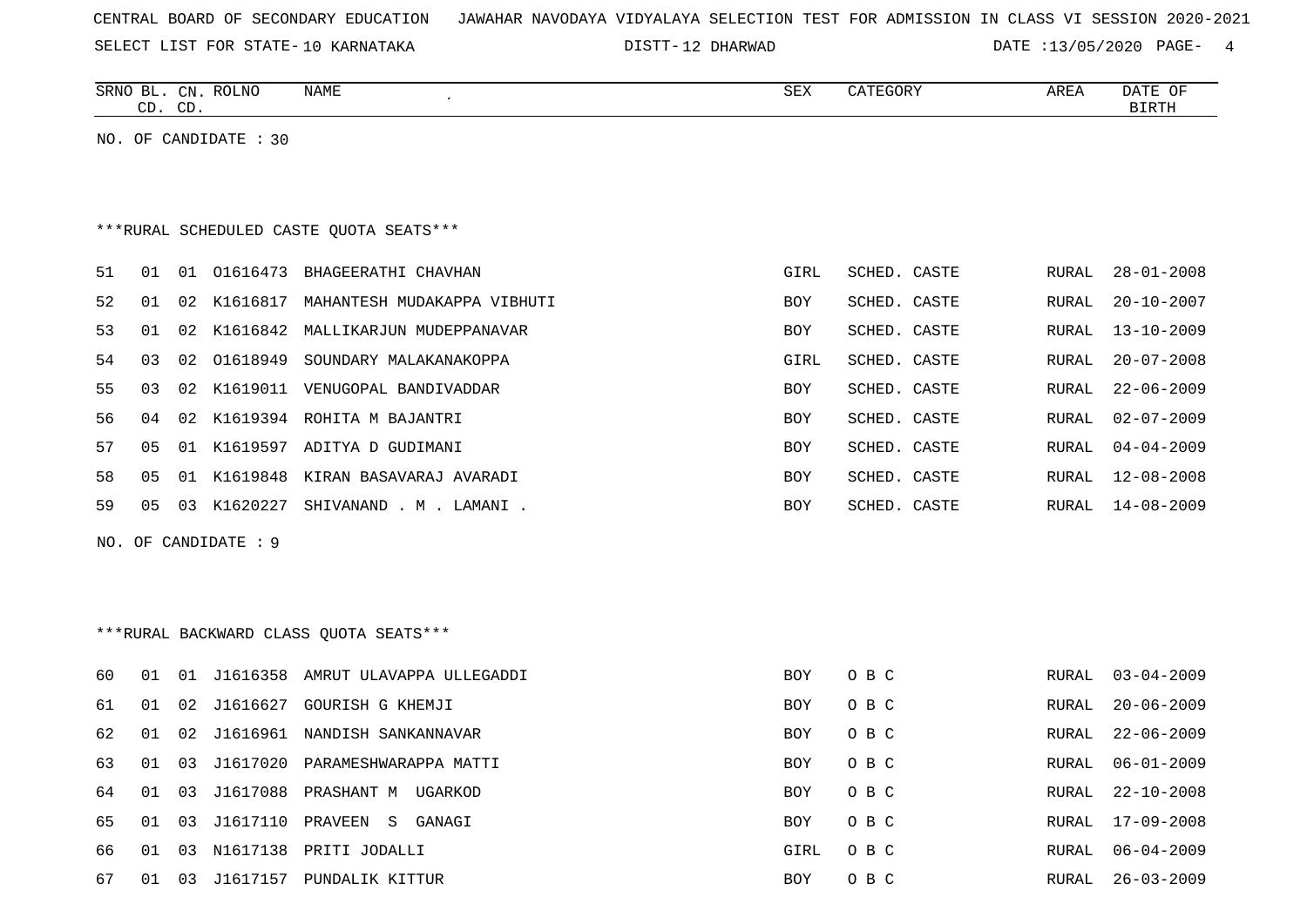| CENTRAL BOARD OF SECONDARY EDUCATION – JAWAHAR NAVODAYA VIDYALAYA SELECTION TEST FOR ADMISSION IN CLASS VI SESSION 2020-2021 |  |
|------------------------------------------------------------------------------------------------------------------------------|--|
|------------------------------------------------------------------------------------------------------------------------------|--|

DISTT-12 DHARWAD DATE :13/05/2020 PAGE- 4

|     |    | CD. CD. | SRNO BL. CN. ROLNO    | <b>NAME</b><br>$\pmb{\cdot}$             | SEX        | CATEGORY     | AREA         | DATE OF<br><b>BIRTH</b> |
|-----|----|---------|-----------------------|------------------------------------------|------------|--------------|--------------|-------------------------|
|     |    |         | NO. OF CANDIDATE : 30 |                                          |            |              |              |                         |
|     |    |         |                       |                                          |            |              |              |                         |
|     |    |         |                       |                                          |            |              |              |                         |
|     |    |         |                       | *** RURAL SCHEDULED CASTE QUOTA SEATS*** |            |              |              |                         |
|     |    |         |                       |                                          |            |              |              |                         |
| 51  | 01 |         |                       | 01 01616473 BHAGEERATHI CHAVHAN          | GIRL       | SCHED. CASTE | RURAL        | $28 - 01 - 2008$        |
| 52  | 01 |         |                       | 02 K1616817 MAHANTESH MUDAKAPPA VIBHUTI  | <b>BOY</b> | SCHED. CASTE | RURAL        | $20 - 10 - 2007$        |
| 53  | 01 | 02      |                       | K1616842 MALLIKARJUN MUDEPPANAVAR        | BOY        | SCHED. CASTE | RURAL        | $13 - 10 - 2009$        |
| 54  | 03 | 02      | 01618949              | SOUNDARY MALAKANAKOPPA                   | GIRL       | SCHED. CASTE | RURAL        | $20 - 07 - 2008$        |
| 55  | 03 |         |                       | 02 K1619011 VENUGOPAL BANDIVADDAR        | BOY        | SCHED. CASTE | RURAL        | $22 - 06 - 2009$        |
| 56  | 04 |         |                       | 02 K1619394 ROHITA M BAJANTRI            | <b>BOY</b> | SCHED. CASTE | RURAL        | $02 - 07 - 2009$        |
| 57  | 05 |         |                       | 01 K1619597 ADITYA D GUDIMANI            | BOY        | SCHED. CASTE | RURAL        | $04 - 04 - 2009$        |
| 58  | 05 |         |                       | 01 K1619848 KIRAN BASAVARAJ AVARADI      | BOY        | SCHED. CASTE | RURAL        | $12 - 08 - 2008$        |
| 59  | 05 |         |                       | 03 K1620227 SHIVANAND . M . LAMANI .     | <b>BOY</b> | SCHED. CASTE | RURAL        | 14-08-2009              |
| NO. |    |         | OF CANDIDATE : 9      |                                          |            |              |              |                         |
|     |    |         |                       |                                          |            |              |              |                         |
|     |    |         |                       |                                          |            |              |              |                         |
|     |    |         |                       |                                          |            |              |              |                         |
|     |    |         |                       | *** RURAL BACKWARD CLASS QUOTA SEATS***  |            |              |              |                         |
| 60  | 01 |         |                       | 01 J1616358 AMRUT ULAVAPPA ULLEGADDI     | <b>BOY</b> | O B C        | RURAL        | $03 - 04 - 2009$        |
| 61  | 01 |         |                       | 02 J1616627 GOURISH G KHEMJI             | <b>BOY</b> | O B C        | RURAL        | $20 - 06 - 2009$        |
| 62  | 01 | 02      |                       | J1616961 NANDISH SANKANNAVAR             | <b>BOY</b> | O B C        | RURAL        | $22 - 06 - 2009$        |
| 63  | 01 | 03      |                       | J1617020 PARAMESHWARAPPA MATTI           | <b>BOY</b> | O B C        | RURAL        | $06 - 01 - 2009$        |
| 64  | 01 | 03      |                       | J1617088 PRASHANT M UGARKOD              | <b>BOY</b> | O B C        | <b>RURAL</b> | $22 - 10 - 2008$        |
| 65  | 01 |         |                       | 03 J1617110 PRAVEEN S<br>GANAGI          | <b>BOY</b> | O B C        | RURAL        | $17 - 09 - 2008$        |

66 01 03 N1617138 PRITI JODALLI GIRL O B C RURAL 06-04-2009 67 01 03 J1617157 PUNDALIK KITTUR 67 BOY O B C RURAL 26-03-2009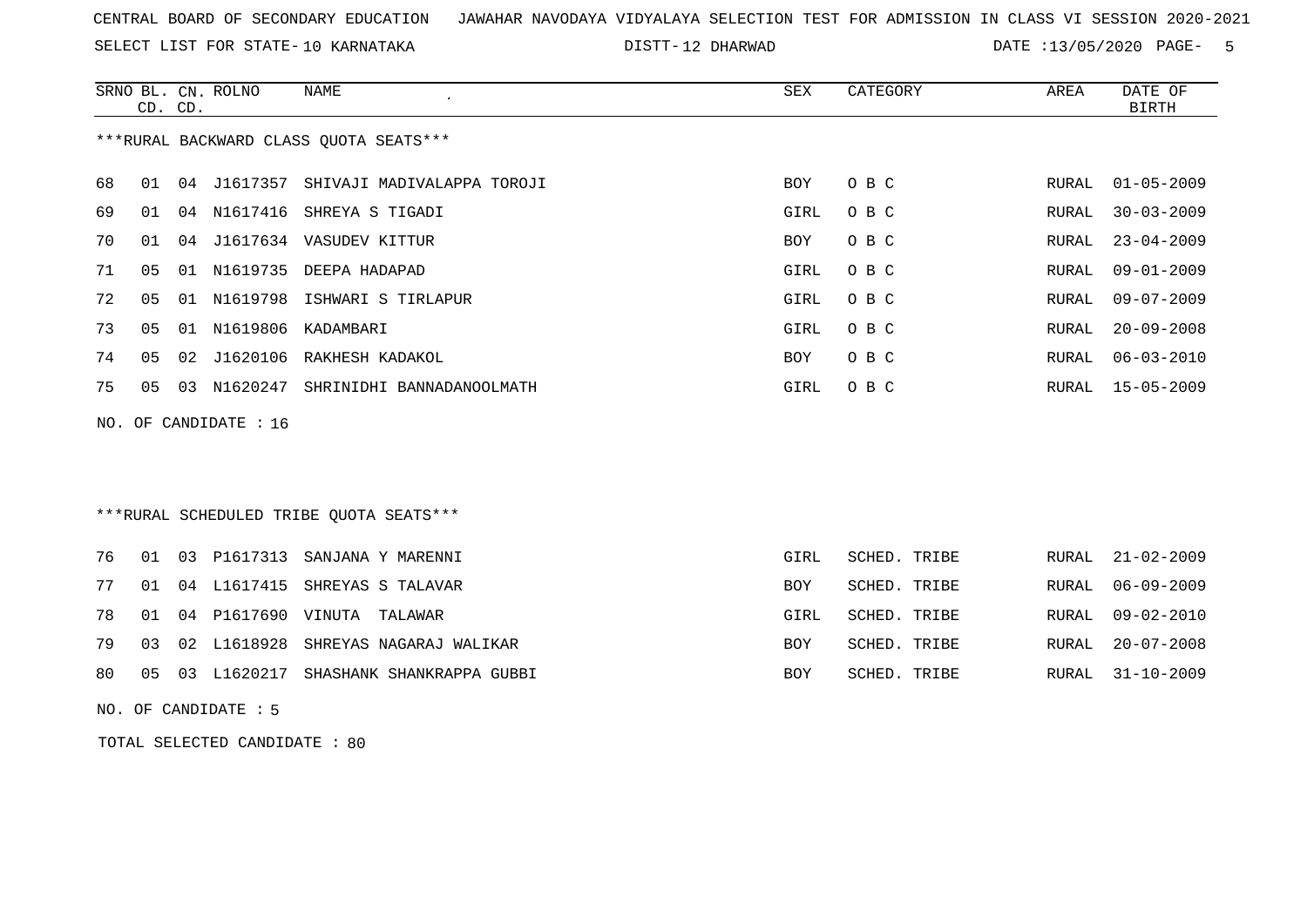SELECT LIST FOR STATE- DISTT- 10 KARNATAKA

12 DHARWAD DATE :13/05/2020 PAGE- 5

|    |                | CD. CD. | SRNO BL. CN. ROLNO      | NAME                                    | SEX  | CATEGORY | AREA  | DATE OF<br><b>BIRTH</b> |
|----|----------------|---------|-------------------------|-----------------------------------------|------|----------|-------|-------------------------|
|    |                |         |                         | *** RURAL BACKWARD CLASS QUOTA SEATS*** |      |          |       |                         |
| 68 | 01             |         |                         | 04 J1617357 SHIVAJI MADIVALAPPA TOROJI  | BOY  | O B C    | RURAL | $01 - 05 - 2009$        |
| 69 | 01             |         |                         | 04 N1617416 SHREYA S TIGADI             | GIRL | O B C    | RURAL | $30 - 03 - 2009$        |
| 70 | 01             |         |                         | 04 J1617634 VASUDEV KITTUR              | BOY  | O B C    | RURAL | $23 - 04 - 2009$        |
| 71 | 0 <sub>5</sub> | 01      |                         | N1619735 DEEPA HADAPAD                  | GIRL | O B C    | RURAL | $09 - 01 - 2009$        |
| 72 | 05             |         |                         | 01 N1619798 ISHWARI S TIRLAPUR          | GIRL | O B C    | RURAL | $09 - 07 - 2009$        |
| 73 | 0 <sub>5</sub> |         |                         | 01 N1619806 KADAMBARI                   | GIRL | O B C    | RURAL | $20 - 09 - 2008$        |
| 74 | 05             |         |                         | 02 J1620106 RAKHESH KADAKOL             | BOY  | O B C    | RURAL | $06 - 03 - 2010$        |
| 75 | 05             | 03      |                         | N1620247 SHRINIDHI BANNADANOOLMATH      | GIRL | O B C    | RURAL | 15-05-2009              |
|    |                |         | NO. OF CANDIDATE : $16$ |                                         |      |          |       |                         |
|    |                |         |                         |                                         |      |          |       |                         |

### \*\*\*RURAL SCHEDULED TRIBE QUOTA SEATS\*\*\*

|  |  | 76 01 03 P1617313 SANJANA Y MARENNI         | GIRL       | SCHED. TRIBE | RURAL 21-02-2009 |
|--|--|---------------------------------------------|------------|--------------|------------------|
|  |  | 77 01 04 L1617415 SHREYAS S TALAVAR         | <b>BOY</b> | SCHED. TRIBE | RURAL 06-09-2009 |
|  |  | 78 01 04 P1617690 VINUTA TALAWAR            | GIRL       | SCHED. TRIBE | RURAL 09-02-2010 |
|  |  | 79 03 02 L1618928 SHREYAS NAGARAJ WALIKAR   | <b>BOY</b> | SCHED. TRIBE | RURAL 20-07-2008 |
|  |  | 80 05 03 L1620217 SHASHANK SHANKRAPPA GUBBI | BOY        | SCHED. TRIBE | RURAL 31-10-2009 |

NO. OF CANDIDATE : 5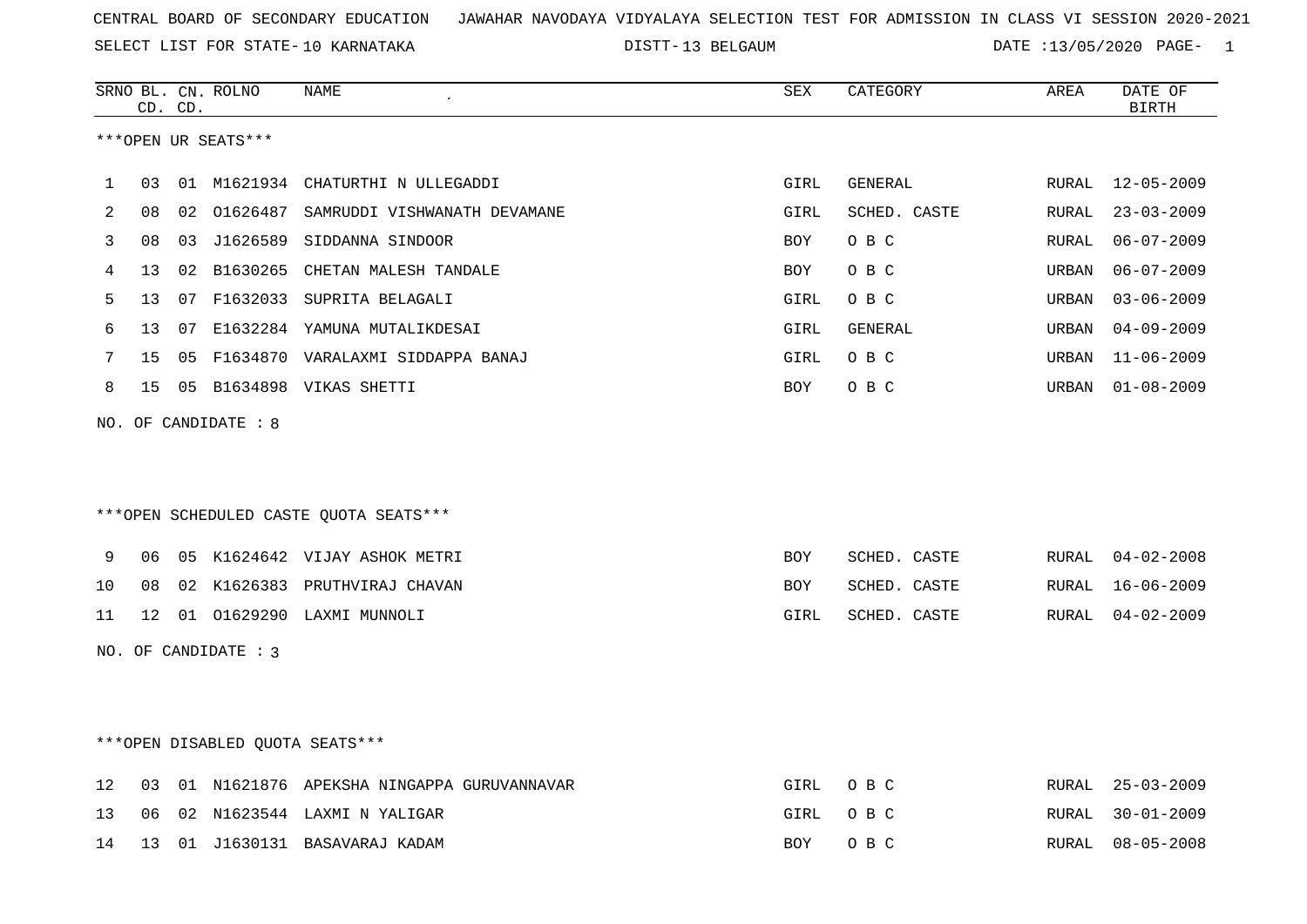SELECT LIST FOR STATE- DISTT- 10 KARNATAKA

DISTT-13 BELGAUM **DATE** :13/05/2020 PAGE- 1

|    | CD. CD. |    | SRNO BL. CN. ROLNO   | NAME                                      | SEX        | CATEGORY     | AREA         | DATE OF<br><b>BIRTH</b> |
|----|---------|----|----------------------|-------------------------------------------|------------|--------------|--------------|-------------------------|
|    |         |    | ***OPEN UR SEATS***  |                                           |            |              |              |                         |
| 1  | 03      |    |                      | 01 M1621934 CHATURTHI N ULLEGADDI         | GIRL       | GENERAL      | RURAL        | $12 - 05 - 2009$        |
| 2  | 08      |    | 02 01626487          | SAMRUDDI VISHWANATH DEVAMANE              | GIRL       | SCHED. CASTE | RURAL        | $23 - 03 - 2009$        |
| 3  | 08      | 03 |                      | J1626589 SIDDANNA SINDOOR                 | <b>BOY</b> | O B C        | <b>RURAL</b> | $06 - 07 - 2009$        |
| 4  | 13      |    | 02 B1630265          | CHETAN MALESH TANDALE                     | <b>BOY</b> | O B C        | URBAN        | $06 - 07 - 2009$        |
| 5  | 13      |    |                      | 07 F1632033 SUPRITA BELAGALI              | GIRL       | O B C        | URBAN        | $03 - 06 - 2009$        |
| 6  | 13      | 07 |                      | E1632284 YAMUNA MUTALIKDESAI              | GIRL       | GENERAL      | URBAN        | $04 - 09 - 2009$        |
| 7  | 15      | 05 |                      | F1634870 VARALAXMI SIDDAPPA BANAJ         | GIRL       | O B C        | URBAN        | $11 - 06 - 2009$        |
| 8  | 15      |    |                      | 05 B1634898 VIKAS SHETTI                  | BOY        | O B C        | URBAN        | $01 - 08 - 2009$        |
|    |         |    | NO. OF CANDIDATE : 8 |                                           |            |              |              |                         |
|    |         |    |                      |                                           |            |              |              |                         |
|    |         |    |                      |                                           |            |              |              |                         |
|    |         |    |                      | ***OPEN SCHEDULED CASTE OUOTA SEATS***    |            |              |              |                         |
|    |         |    |                      |                                           |            |              |              |                         |
| 9  | 06      |    |                      | 05 K1624642 VIJAY ASHOK METRI             | BOY        | SCHED. CASTE | RURAL        | $04 - 02 - 2008$        |
| 10 | 08      |    |                      | 02 K1626383 PRUTHVIRAJ CHAVAN             | <b>BOY</b> | SCHED. CASTE | RURAL        | $16 - 06 - 2009$        |
| 11 | 12      |    |                      | 01 01629290 LAXMI MUNNOLI                 | GIRL       | SCHED. CASTE | RURAL        | $04 - 02 - 2009$        |
|    |         |    | NO. OF CANDIDATE : 3 |                                           |            |              |              |                         |
|    |         |    |                      |                                           |            |              |              |                         |
|    |         |    |                      |                                           |            |              |              |                         |
|    |         |    |                      | ***OPEN DISABLED QUOTA SEATS***           |            |              |              |                         |
| 12 | 03      |    |                      | 01 N1621876 APEKSHA NINGAPPA GURUVANNAVAR | GIRL       | O B C        | RURAL        | $25 - 03 - 2009$        |
| 13 | 06      | 02 |                      | N1623544 LAXMI N YALIGAR                  | GIRL       | O B C        | <b>RURAL</b> | $30 - 01 - 2009$        |
| 14 | 13      |    |                      | 01 J1630131 BASAVARAJ KADAM               | <b>BOY</b> | O B C        | RURAL        | $08 - 05 - 2008$        |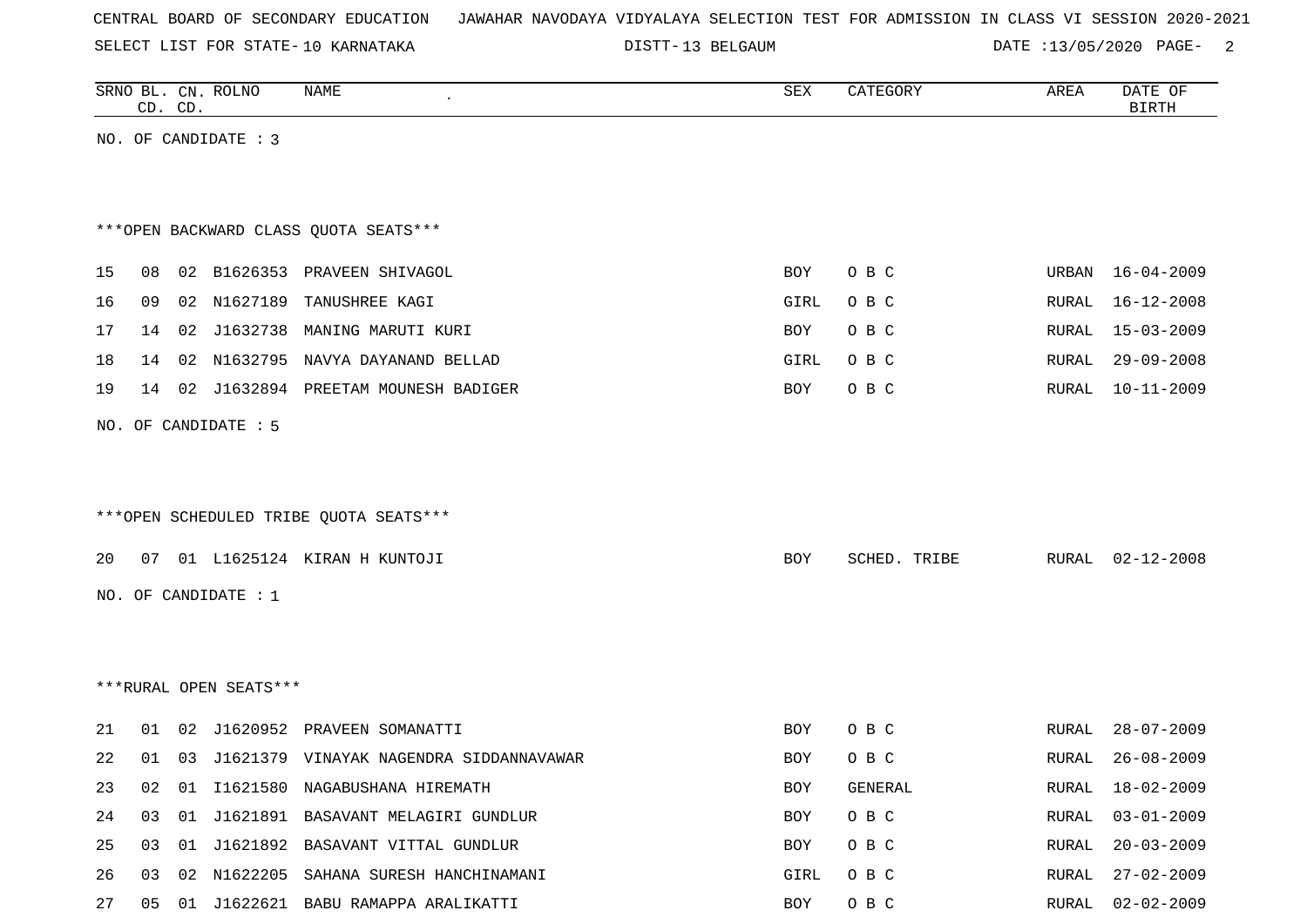|  | CENTRAL BOARD OF SECONDARY EDUCATION – JAWAHAR NAVODAYA VIDYALAYA SELECTION TEST FOR ADMISSION IN CLASS VI SESSION 2020-2021 |  |  |  |  |  |  |
|--|------------------------------------------------------------------------------------------------------------------------------|--|--|--|--|--|--|
|--|------------------------------------------------------------------------------------------------------------------------------|--|--|--|--|--|--|

13 BELGAUM DATE :13/05/2020 PAGE- 2

|    | CD. CD. | SRNO BL. CN. ROLNO     | <b>NAME</b>                                | SEX  | CATEGORY     | AREA  | DATE OF<br><b>BIRTH</b> |
|----|---------|------------------------|--------------------------------------------|------|--------------|-------|-------------------------|
|    |         | NO. OF CANDIDATE : 3   |                                            |      |              |       |                         |
|    |         |                        |                                            |      |              |       |                         |
|    |         |                        | *** OPEN BACKWARD CLASS QUOTA SEATS***     |      |              |       |                         |
| 15 |         |                        | 08 02 B1626353 PRAVEEN SHIVAGOL            | BOY  | O B C        | URBAN | 16-04-2009              |
| 16 | 09      |                        | 02 N1627189 TANUSHREE KAGI                 | GIRL | O B C        | RURAL | $16 - 12 - 2008$        |
| 17 | 14      |                        | 02 J1632738 MANING MARUTI KURI             | BOY  | O B C        | RURAL | $15 - 03 - 2009$        |
| 18 | 14      |                        | 02 N1632795 NAVYA DAYANAND BELLAD          | GIRL | O B C        | RURAL | $29 - 09 - 2008$        |
| 19 |         |                        | 14 02 J1632894 PREETAM MOUNESH BADIGER     | BOY  | O B C        | RURAL | $10 - 11 - 2009$        |
|    |         | NO. OF CANDIDATE : 5   |                                            |      |              |       |                         |
|    |         |                        |                                            |      |              |       |                         |
|    |         |                        |                                            |      |              |       |                         |
|    |         |                        | *** OPEN SCHEDULED TRIBE QUOTA SEATS***    |      |              |       |                         |
| 20 |         |                        | 07 01 L1625124 KIRAN H KUNTOJI             | BOY  | SCHED. TRIBE | RURAL | $02 - 12 - 2008$        |
|    |         | NO. OF CANDIDATE : 1   |                                            |      |              |       |                         |
|    |         |                        |                                            |      |              |       |                         |
|    |         |                        |                                            |      |              |       |                         |
|    |         | ***RURAL OPEN SEATS*** |                                            |      |              |       |                         |
|    |         |                        |                                            |      |              |       |                         |
| 21 |         |                        | 01 02 J1620952 PRAVEEN SOMANATTI           | BOY  | O B C        | RURAL | $28 - 07 - 2009$        |
| 22 | 01      |                        | 03 J1621379 VINAYAK NAGENDRA SIDDANNAVAWAR | BOY  | O B C        | RURAL | $26 - 08 - 2009$        |
| 23 | 02      |                        | 01 I1621580 NAGABUSHANA HIREMATH           | BOY  | GENERAL      | RURAL | 18-02-2009              |
| 24 | 03      |                        | 01 J1621891 BASAVANT MELAGIRI GUNDLUR      | BOY  | O B C        | RURAL | $03 - 01 - 2009$        |
| 25 | 03      |                        | 01 J1621892 BASAVANT VITTAL GUNDLUR        | BOY  | O B C        | RURAL | $20 - 03 - 2009$        |
| 26 |         |                        | 03 02 N1622205 SAHANA SURESH HANCHINAMANI  | GIRL | O B C        | RURAL | 27-02-2009              |

27 05 01 J1622621 BABU RAMAPPA ARALIKATTI BOY O B C RURAL 02-02-2009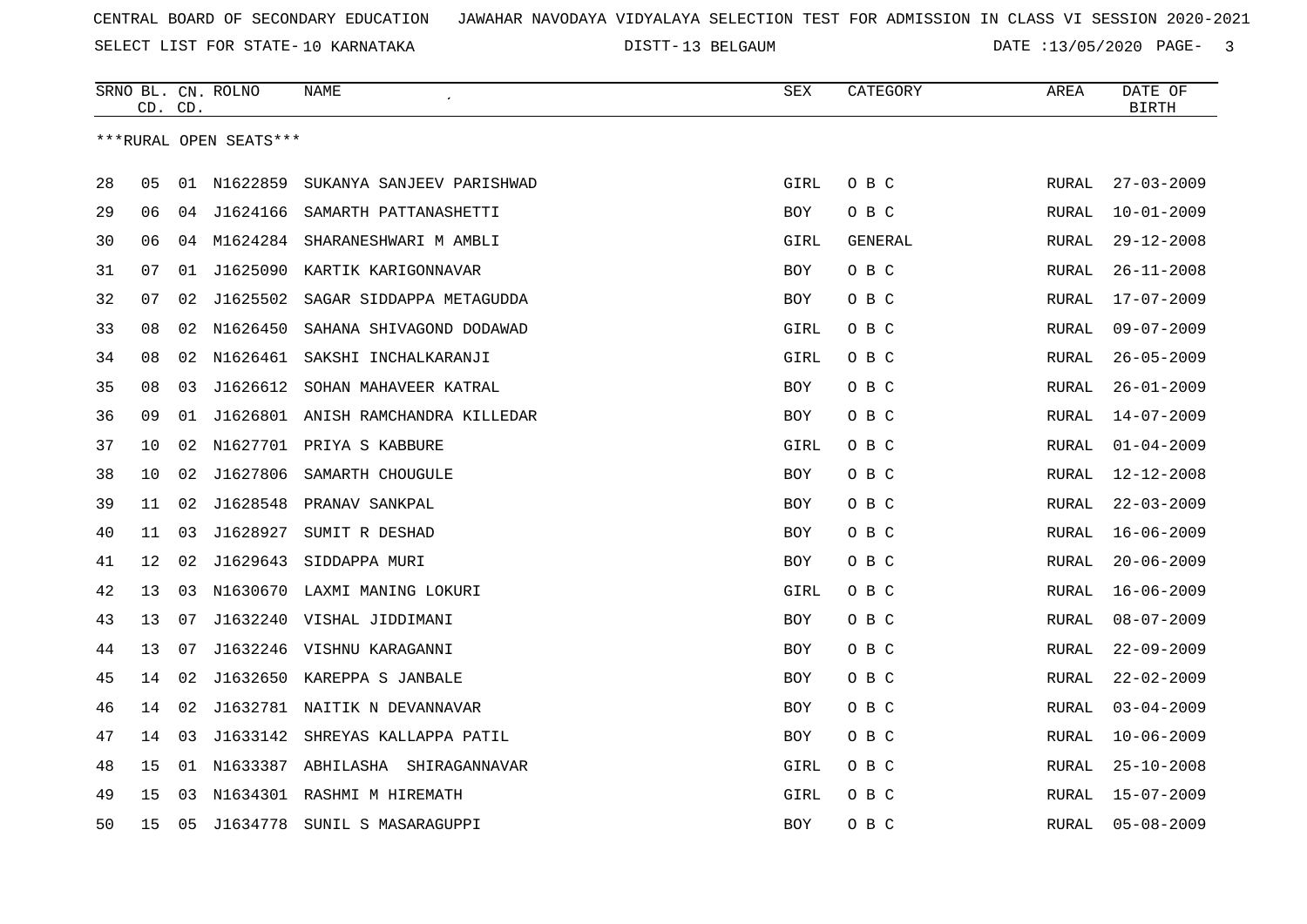DISTT-13 BELGAUM **DATE** :13/05/2020 PAGE- 3

|    |    | CD. CD. | SRNO BL. CN. ROLNO     | NAME                               | SEX        | CATEGORY | AREA         | DATE OF<br><b>BIRTH</b> |
|----|----|---------|------------------------|------------------------------------|------------|----------|--------------|-------------------------|
|    |    |         | ***RURAL OPEN SEATS*** |                                    |            |          |              |                         |
|    |    |         |                        |                                    |            |          |              |                         |
| 28 | 05 | 01      | N1622859               | SUKANYA SANJEEV PARISHWAD          | GIRL       | O B C    | RURAL        | $27 - 03 - 2009$        |
| 29 | 06 | 04      | 11624166               | SAMARTH PATTANASHETTI              | <b>BOY</b> | O B C    | <b>RURAL</b> | $10 - 01 - 2009$        |
| 30 | 06 | 04      | M1624284               | SHARANESHWARI M AMBLI              | GIRL       | GENERAL  | RURAL        | $29 - 12 - 2008$        |
| 31 | 07 | 01      | J1625090               | KARTIK KARIGONNAVAR                | BOY        | O B C    | RURAL        | $26 - 11 - 2008$        |
| 32 | 07 | 02      | J1625502               | SAGAR SIDDAPPA METAGUDDA           | <b>BOY</b> | O B C    | RURAL        | $17 - 07 - 2009$        |
| 33 | 08 | 02      | N1626450               | SAHANA SHIVAGOND DODAWAD           | GIRL       | O B C    | <b>RURAL</b> | $09 - 07 - 2009$        |
| 34 | 08 | 02      | N1626461               | SAKSHI INCHALKARANJI               | GIRL       | O B C    | RURAL        | $26 - 05 - 2009$        |
| 35 | 08 | 03      | J1626612               | SOHAN MAHAVEER KATRAL              | BOY        | O B C    | RURAL        | $26 - 01 - 2009$        |
| 36 | 09 | 01      |                        | J1626801 ANISH RAMCHANDRA KILLEDAR | BOY        | O B C    | RURAL        | $14 - 07 - 2009$        |
| 37 | 10 | 02      | N1627701               | PRIYA S KABBURE                    | GIRL       | O B C    | <b>RURAL</b> | $01 - 04 - 2009$        |
| 38 | 10 | 02      | J1627806               | SAMARTH CHOUGULE                   | <b>BOY</b> | O B C    | <b>RURAL</b> | $12 - 12 - 2008$        |
| 39 | 11 | 02      | J1628548               | PRANAV SANKPAL                     | BOY        | O B C    | RURAL        | $22 - 03 - 2009$        |
| 40 | 11 | 03      | J1628927               | SUMIT R DESHAD                     | BOY        | O B C    | RURAL        | $16 - 06 - 2009$        |
| 41 | 12 | 02      | J1629643               | SIDDAPPA MURI                      | <b>BOY</b> | O B C    | RURAL        | $20 - 06 - 2009$        |
| 42 | 13 | 03      | N1630670               | LAXMI MANING LOKURI                | GIRL       | O B C    | <b>RURAL</b> | $16 - 06 - 2009$        |
| 43 | 13 | 07      |                        | J1632240 VISHAL JIDDIMANI          | <b>BOY</b> | O B C    | <b>RURAL</b> | $08 - 07 - 2009$        |
| 44 | 13 | 07      |                        | J1632246 VISHNU KARAGANNI          | BOY        | O B C    | RURAL        | $22 - 09 - 2009$        |
| 45 | 14 | 02      |                        | J1632650 KAREPPA S JANBALE         | BOY        | O B C    | RURAL        | $22 - 02 - 2009$        |
| 46 | 14 | 02      |                        | J1632781 NAITIK N DEVANNAVAR       | <b>BOY</b> | O B C    | <b>RURAL</b> | $03 - 04 - 2009$        |
| 47 | 14 | 03      | J1633142               | SHREYAS KALLAPPA PATIL             | <b>BOY</b> | O B C    | <b>RURAL</b> | $10 - 06 - 2009$        |
| 48 | 15 | 01      | N1633387               | ABHILASHA SHIRAGANNAVAR            | GIRL       | O B C    | <b>RURAL</b> | $25 - 10 - 2008$        |
| 49 | 15 | 03      |                        | N1634301 RASHMI M HIREMATH         | GIRL       | O B C    | RURAL        | $15 - 07 - 2009$        |
| 50 | 15 | 05      | J1634778               | SUNIL S MASARAGUPPI                | <b>BOY</b> | O B C    | <b>RURAL</b> | $05 - 08 - 2009$        |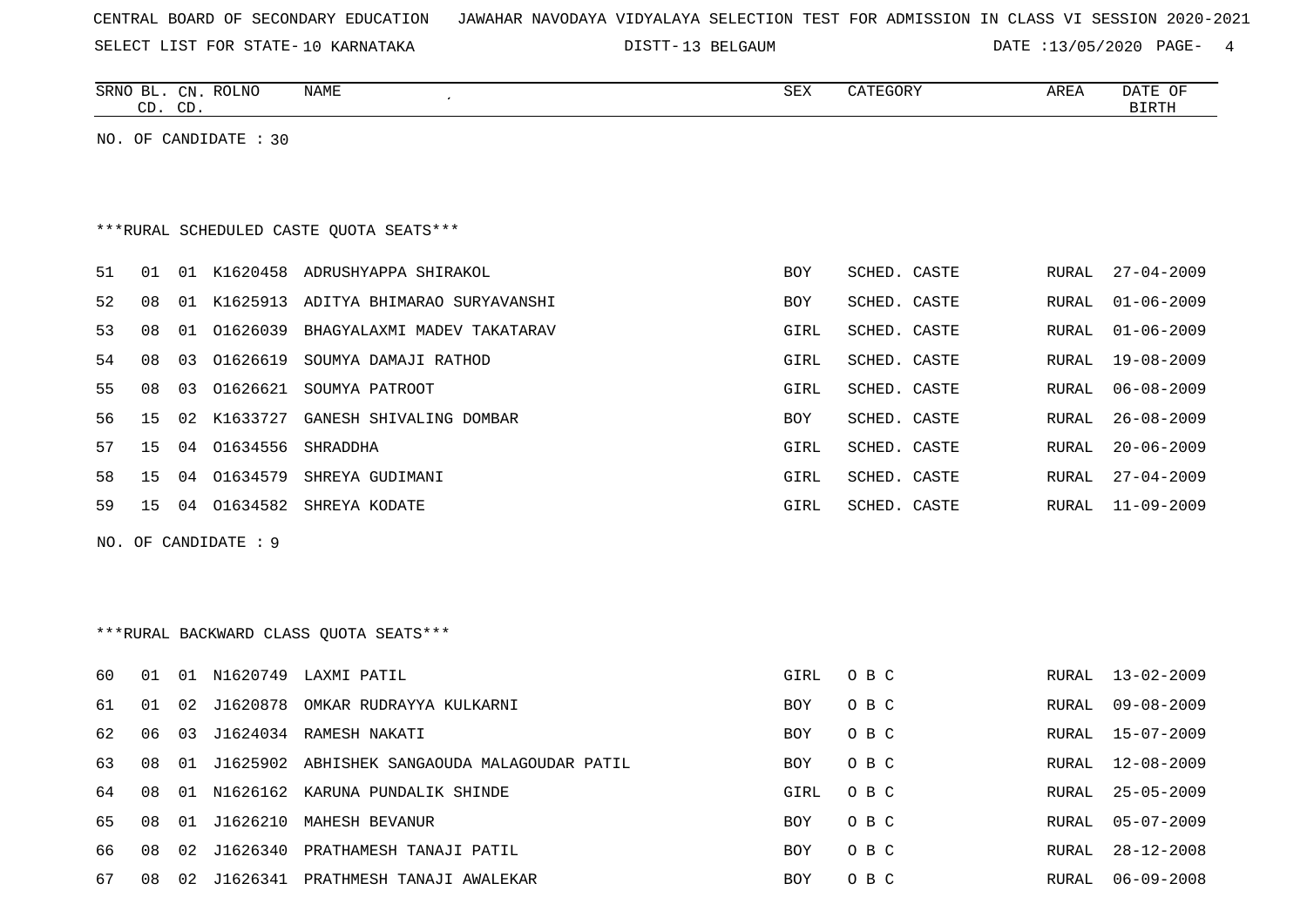| CENTRAL BOARD OF SECONDARY EDUCATION – JAWAHAR NAVODAYA VIDYALAYA SELECTION TEST FOR ADMISSION IN CLASS VI SESSION 2020-2021 |  |
|------------------------------------------------------------------------------------------------------------------------------|--|
|------------------------------------------------------------------------------------------------------------------------------|--|

DISTT-13 BELGAUM **DATE** :13/05/2020 PAGE- 4

|                                         |    | CD. CD. | SRNO BL. CN. ROLNO    | NAME                                            | SEX        | CATEGORY     | AREA         | DATE OF<br><b>BIRTH</b> |
|-----------------------------------------|----|---------|-----------------------|-------------------------------------------------|------------|--------------|--------------|-------------------------|
|                                         |    |         | NO. OF CANDIDATE : 30 |                                                 |            |              |              |                         |
|                                         |    |         |                       |                                                 |            |              |              |                         |
|                                         |    |         |                       |                                                 |            |              |              |                         |
| ***RURAL SCHEDULED CASTE OUOTA SEATS*** |    |         |                       |                                                 |            |              |              |                         |
| 51                                      | 01 |         |                       | 01 K1620458 ADRUSHYAPPA SHIRAKOL                | <b>BOY</b> | SCHED. CASTE | RURAL        | $27 - 04 - 2009$        |
| 52                                      | 08 |         |                       | 01 K1625913 ADITYA BHIMARAO SURYAVANSHI         | <b>BOY</b> | SCHED. CASTE | RURAL        | $01 - 06 - 2009$        |
| 53                                      | 08 |         |                       | 01 01626039 BHAGYALAXMI MADEV TAKATARAV         | GIRL       | SCHED. CASTE | <b>RURAL</b> | $01 - 06 - 2009$        |
| 54                                      | 08 | 03      | 01626619              | SOUMYA DAMAJI RATHOD                            | GIRL       | SCHED. CASTE | <b>RURAL</b> | $19 - 08 - 2009$        |
| 55                                      | 08 | 03      |                       | 01626621 SOUMYA PATROOT                         | GIRL       | SCHED. CASTE | RURAL        | $06 - 08 - 2009$        |
| 56                                      | 15 |         |                       | 02 K1633727 GANESH SHIVALING DOMBAR             | <b>BOY</b> | SCHED. CASTE | RURAL        | $26 - 08 - 2009$        |
| 57                                      | 15 | 04      | 01634556 SHRADDHA     |                                                 | GIRL       | SCHED. CASTE | RURAL        | $20 - 06 - 2009$        |
| 58                                      | 15 |         |                       | 04 01634579 SHREYA GUDIMANI                     | GIRL       | SCHED. CASTE | RURAL        | $27 - 04 - 2009$        |
| 59                                      | 15 |         |                       | 04 01634582 SHREYA KODATE                       | GIRL       | SCHED. CASTE | RURAL        | $11 - 09 - 2009$        |
|                                         |    |         | NO. OF CANDIDATE: 9   |                                                 |            |              |              |                         |
|                                         |    |         |                       |                                                 |            |              |              |                         |
|                                         |    |         |                       |                                                 |            |              |              |                         |
|                                         |    |         |                       | ***RURAL BACKWARD CLASS OUOTA SEATS***          |            |              |              |                         |
| 60                                      | 01 |         |                       | 01 N1620749 LAXMI PATIL                         | GIRL       | O B C        | RURAL        | $13 - 02 - 2009$        |
| 61                                      | 01 |         |                       | 02 J1620878 OMKAR RUDRAYYA KULKARNI             | <b>BOY</b> | O B C        | RURAL        | $09 - 08 - 2009$        |
| 62                                      | 06 | 03      |                       | J1624034 RAMESH NAKATI                          | <b>BOY</b> | O B C        | RURAL        | $15 - 07 - 2009$        |
| 63                                      | 08 |         |                       | 01 J1625902 ABHISHEK SANGAOUDA MALAGOUDAR PATIL | <b>BOY</b> | O B C        | RURAL        | $12 - 08 - 2009$        |
| 64                                      | 08 |         |                       | 01 N1626162 KARUNA PUNDALIK SHINDE              | GIRL       | O B C        | RURAL        | $25 - 05 - 2009$        |
| 65                                      | 08 |         |                       | 01 J1626210 MAHESH BEVANUR                      | <b>BOY</b> | O B C        | RURAL        | $05 - 07 - 2009$        |
| 66                                      | 08 |         |                       | 02 J1626340 PRATHAMESH TANAJI PATIL             | <b>BOY</b> | O B C        | RURAL        | $28 - 12 - 2008$        |

67 08 02 J1626341 PRATHMESH TANAJI AWALEKAR BOY O B C BOY O B C RURAL 06-09-2008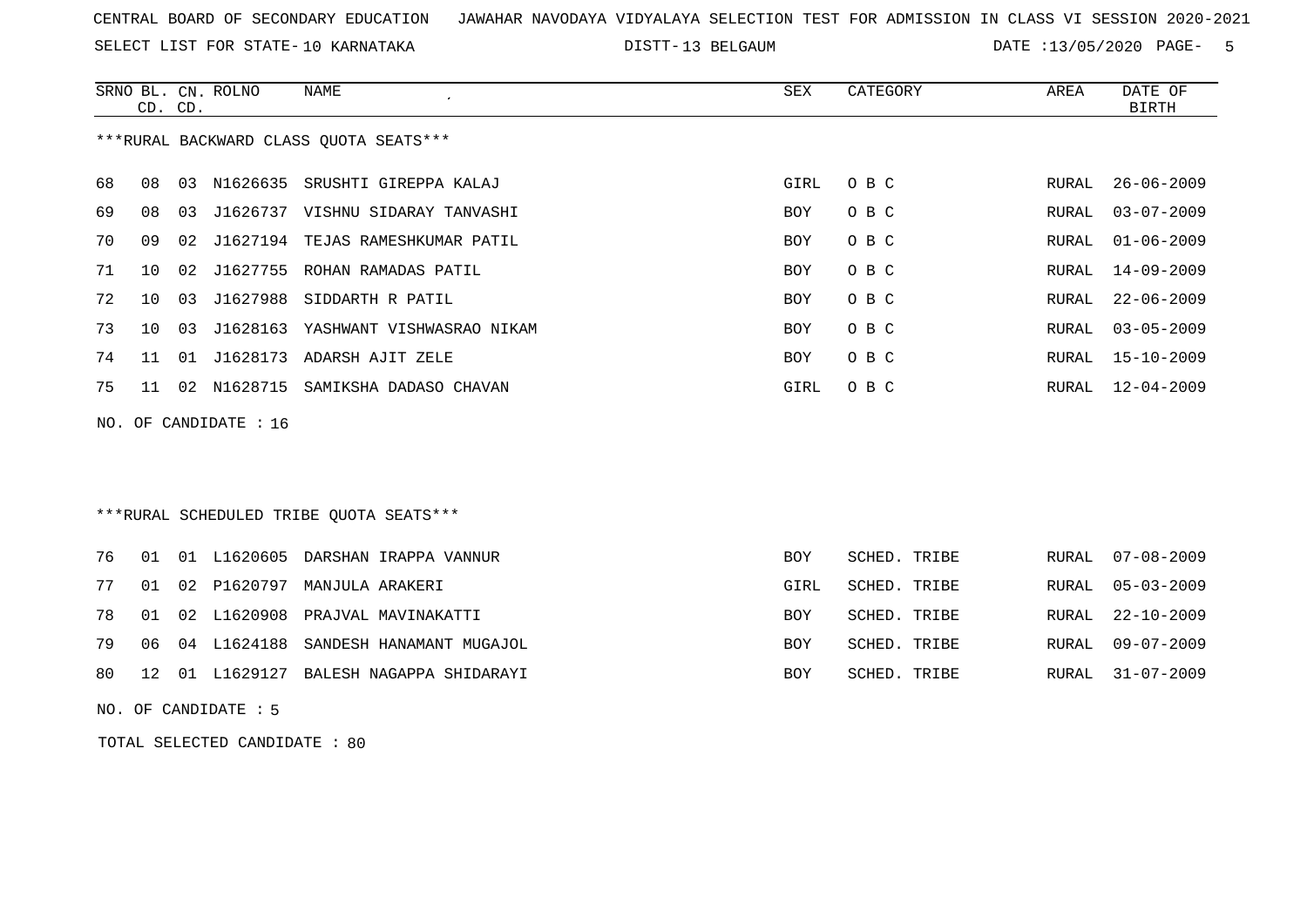SELECT LIST FOR STATE- DISTT- 10 KARNATAKA

13 BELGAUM DATE :13/05/2020 PAGE- 5

|    | CD. CD. |    | SRNO BL. CN. ROLNO    | NAME<br>$\cdot$                        | SEX  | CATEGORY | AREA  | DATE OF<br>BIRTH |
|----|---------|----|-----------------------|----------------------------------------|------|----------|-------|------------------|
|    |         |    |                       | ***RURAL BACKWARD CLASS QUOTA SEATS*** |      |          |       |                  |
| 68 | 08      | 03 |                       | N1626635 SRUSHTI GIREPPA KALAJ         | GIRL | O B C    | RURAL | 26-06-2009       |
| 69 | 08      | 03 |                       | J1626737 VISHNU SIDARAY TANVASHI       | BOY  | O B C    | RURAL | $03 - 07 - 2009$ |
| 70 | 09      |    |                       | 02 J1627194 TEJAS RAMESHKUMAR PATIL    | BOY  | O B C    | RURAL | $01 - 06 - 2009$ |
| 71 | 10      |    |                       | 02 J1627755 ROHAN RAMADAS PATIL        | BOY  | O B C    | RURAL | 14-09-2009       |
| 72 | 10      | 03 |                       | J1627988 SIDDARTH R PATIL              | BOY  | O B C    | RURAL | $22 - 06 - 2009$ |
| 73 | 10      |    |                       | 03 J1628163 YASHWANT VISHWASRAO NIKAM  | BOY  | O B C    | RURAL | $03 - 05 - 2009$ |
| 74 | 11      |    |                       | 01 J1628173 ADARSH AJIT ZELE           | BOY  | O B C    | RURAL | $15 - 10 - 2009$ |
| 75 | 11      |    | 02 N1628715           | SAMIKSHA DADASO CHAVAN                 | GIRL | O B C    | RURAL | 12-04-2009       |
|    |         |    | NO. OF CANDIDATE : 16 |                                        |      |          |       |                  |
|    |         |    |                       |                                        |      |          |       |                  |
|    |         |    |                       |                                        |      |          |       |                  |
|    |         |    |                       |                                        |      |          |       |                  |

### \*\*\*RURAL SCHEDULED TRIBE QUOTA SEATS\*\*\*

|  |  | 76 01 01 L1620605 DARSHAN IRAPPA VANNUR    | <b>BOY</b> | SCHED. TRIBE | RURAL 07-08-2009 |
|--|--|--------------------------------------------|------------|--------------|------------------|
|  |  | 77 01 02 P1620797 MANJULA ARAKERI          | GIRL       | SCHED. TRIBE | RURAL 05-03-2009 |
|  |  | 78 01 02 L1620908 PRAJVAL MAVINAKATTI      | <b>BOY</b> | SCHED. TRIBE | RURAL 22-10-2009 |
|  |  | 79 06 04 L1624188 SANDESH HANAMANT MUGAJOL | <b>BOY</b> | SCHED. TRIBE | RURAL 09-07-2009 |
|  |  | 80 12 01 L1629127 BALESH NAGAPPA SHIDARAYI | <b>BOY</b> | SCHED. TRIBE | RURAL 31-07-2009 |

NO. OF CANDIDATE : 5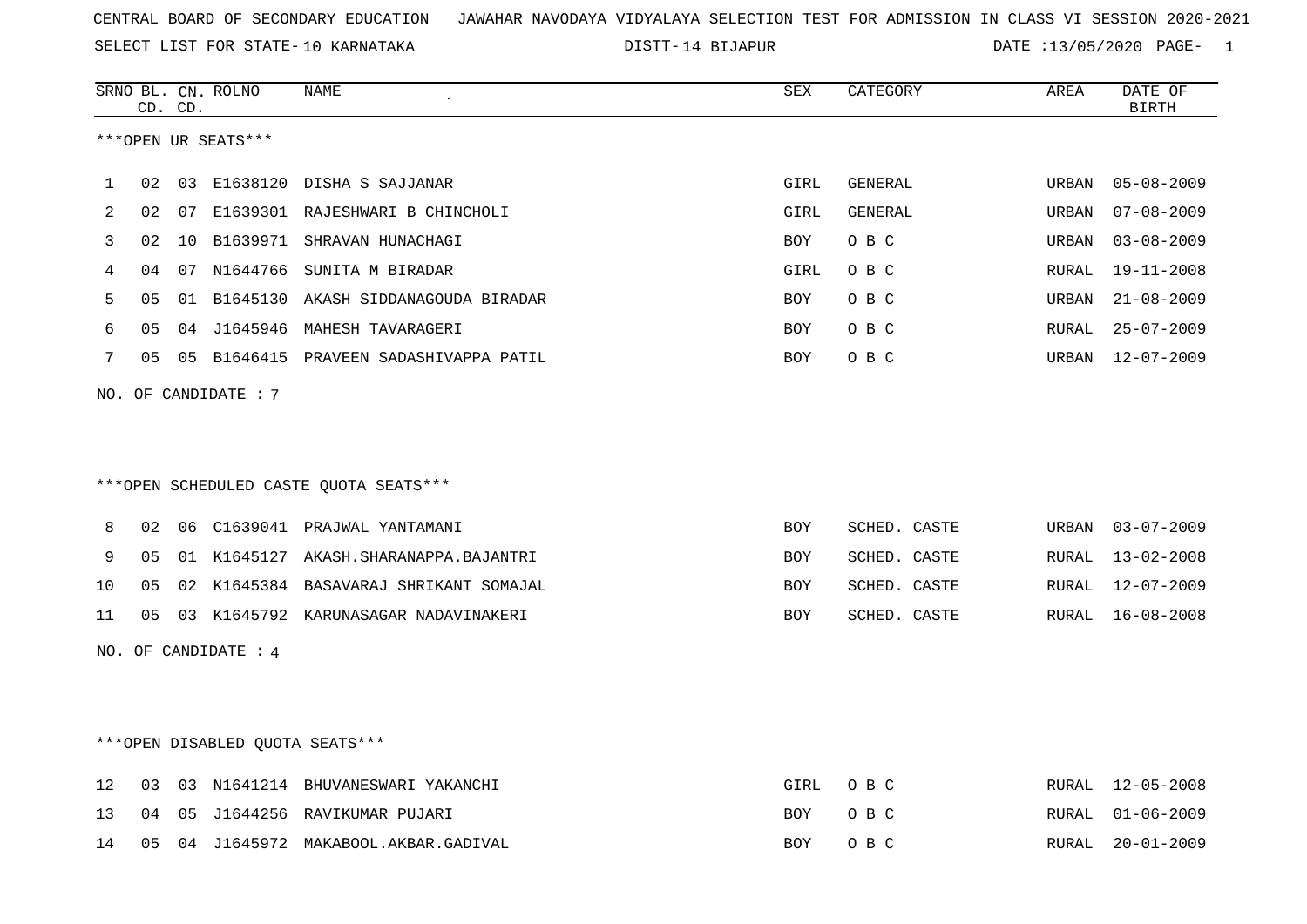DISTT-14 BIJAPUR **DATE** :13/05/2020 PAGE- 1

|    |    | CD. CD. | SRNO BL. CN. ROLNO   | NAME                                   | SEX        | CATEGORY       | AREA  | DATE OF<br><b>BIRTH</b> |
|----|----|---------|----------------------|----------------------------------------|------------|----------------|-------|-------------------------|
|    |    |         | ***OPEN UR SEATS***  |                                        |            |                |       |                         |
| 1  | 02 |         |                      | 03 E1638120 DISHA S SAJJANAR           | GIRL       | GENERAL        | URBAN | $05 - 08 - 2009$        |
| 2  | 02 |         |                      | 07 E1639301 RAJESHWARI B CHINCHOLI     | GIRL       | <b>GENERAL</b> | URBAN | $07 - 08 - 2009$        |
| 3  | 02 | 10      |                      | B1639971 SHRAVAN HUNACHAGI             | BOY        | O B C          | URBAN | $03 - 08 - 2009$        |
| 4  | 04 | 07      | N1644766             | SUNITA M BIRADAR                       | GIRL       | O B C          | RURAL | $19 - 11 - 2008$        |
| 5  | 05 |         |                      | 01 B1645130 AKASH SIDDANAGOUDA BIRADAR | BOY        | O B C          | URBAN | $21 - 08 - 2009$        |
| 6  | 05 |         |                      | 04 J1645946 MAHESH TAVARAGERI          | <b>BOY</b> | O B C          | RURAL | $25 - 07 - 2009$        |
| 7  | 05 |         |                      | 05 B1646415 PRAVEEN SADASHIVAPPA PATIL | BOY        | O B C          | URBAN | $12 - 07 - 2009$        |
|    |    |         | NO. OF CANDIDATE: 7  |                                        |            |                |       |                         |
|    |    |         |                      |                                        |            |                |       |                         |
|    |    |         |                      |                                        |            |                |       |                         |
|    |    |         |                      | ***OPEN SCHEDULED CASTE QUOTA SEATS*** |            |                |       |                         |
| 8  | 02 |         |                      | 06 C1639041 PRAJWAL YANTAMANI          | <b>BOY</b> | SCHED. CASTE   | URBAN | $03 - 07 - 2009$        |
| 9  | 05 |         |                      | 01 K1645127 AKASH.SHARANAPPA.BAJANTRI  | <b>BOY</b> | SCHED. CASTE   | RURAL | $13 - 02 - 2008$        |
| 10 | 05 | 02      |                      | K1645384 BASAVARAJ SHRIKANT SOMAJAL    | BOY        | SCHED. CASTE   | RURAL | $12 - 07 - 2009$        |
| 11 | 05 |         |                      | 03 K1645792 KARUNASAGAR NADAVINAKERI   | <b>BOY</b> | SCHED. CASTE   | RURAL | $16 - 08 - 2008$        |
|    |    |         | NO. OF CANDIDATE : 4 |                                        |            |                |       |                         |
|    |    |         |                      |                                        |            |                |       |                         |
|    |    |         |                      |                                        |            |                |       |                         |
|    |    |         |                      | ***OPEN DISABLED OUOTA SEATS***        |            |                |       |                         |
| 12 | 03 | 03      |                      | N1641214 BHUVANESWARI YAKANCHI         | GIRL       | O B C          | RURAL | $12 - 05 - 2008$        |
| 13 | 04 | 05      |                      | J1644256 RAVIKUMAR PUJARI              | BOY        | O B C          | RURAL | $01 - 06 - 2009$        |
| 14 |    |         |                      | 05 04 J1645972 MAKABOOL.AKBAR.GADIVAL  | <b>BOY</b> | O B C          | RURAL | $20 - 01 - 2009$        |
|    |    |         |                      |                                        |            |                |       |                         |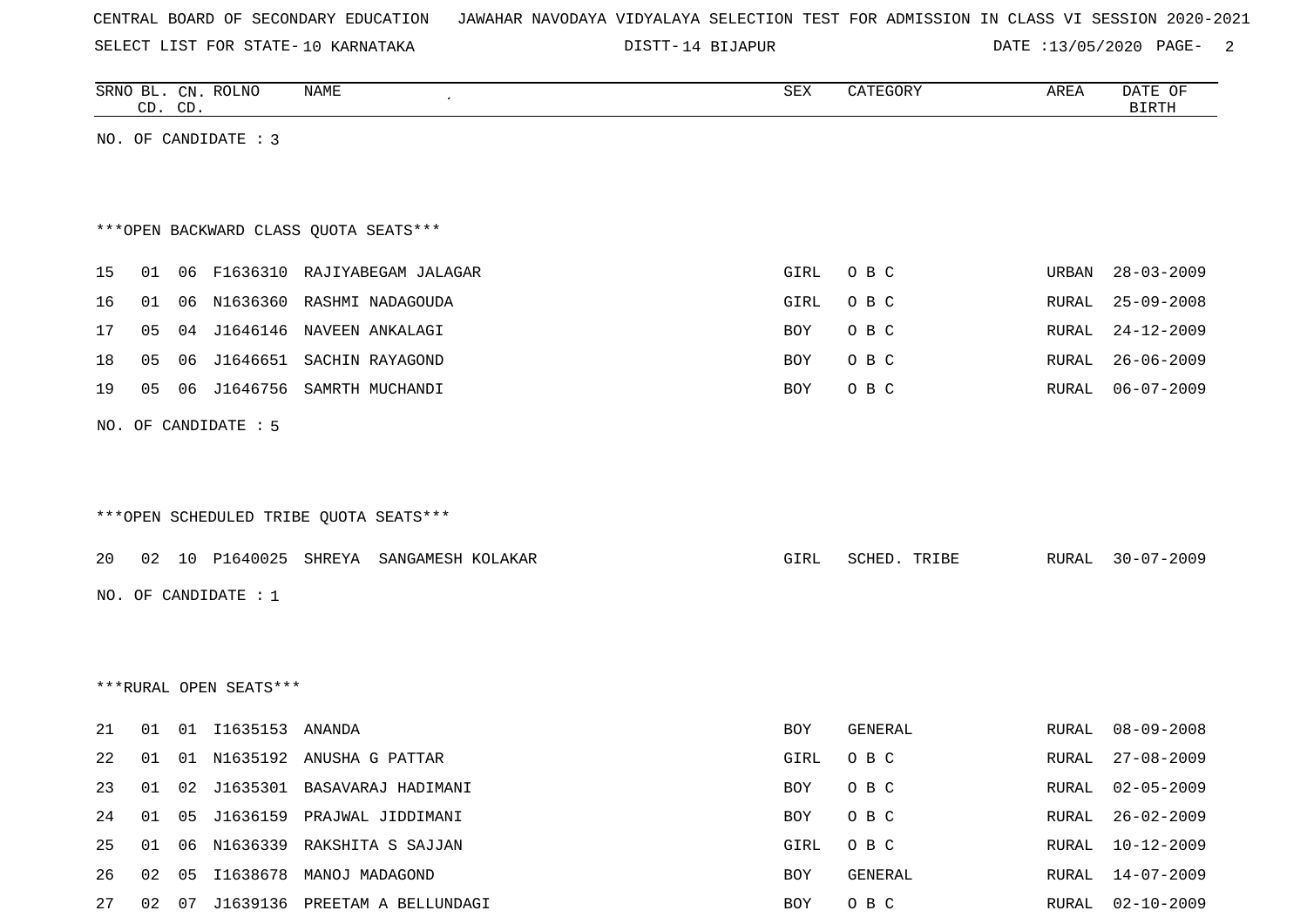|  |  | CENTRAL BOARD OF SECONDARY EDUCATION – JAWAHAR NAVODAYA VIDYALAYA SELECTION TEST FOR ADMISSION IN CLASS VI SESSION 2020-2021 |  |  |  |  |  |  |  |
|--|--|------------------------------------------------------------------------------------------------------------------------------|--|--|--|--|--|--|--|
|  |  |                                                                                                                              |  |  |  |  |  |  |  |

DISTT-14 BIJAPUR DATE :13/05/2020 PAGE- 2

|    |       | CD. CD. | SRNO BL. CN. ROLNO     | <b>NAME</b>                             | ${\tt SEX}$ | CATEGORY     | AREA         | DATE OF<br><b>BIRTH</b> |
|----|-------|---------|------------------------|-----------------------------------------|-------------|--------------|--------------|-------------------------|
|    |       |         | NO. OF CANDIDATE : 3   |                                         |             |              |              |                         |
|    |       |         |                        |                                         |             |              |              |                         |
|    |       |         |                        |                                         |             |              |              |                         |
|    |       |         |                        | *** OPEN BACKWARD CLASS QUOTA SEATS***  |             |              |              |                         |
| 15 | 01    |         |                        | 06 F1636310 RAJIYABEGAM JALAGAR         | GIRL        | O B C        | URBAN        | $28 - 03 - 2009$        |
| 16 | 01    |         |                        | 06 N1636360 RASHMI NADAGOUDA            | GIRL        | O B C        | RURAL        | $25 - 09 - 2008$        |
| 17 | 05    |         |                        | 04 J1646146 NAVEEN ANKALAGI             | BOY         | O B C        | RURAL        | $24 - 12 - 2009$        |
| 18 | 05    | 06      | J1646651               | SACHIN RAYAGOND                         | BOY         | O B C        | <b>RURAL</b> | $26 - 06 - 2009$        |
| 19 | 05    |         |                        | 06 J1646756 SAMRTH MUCHANDI             | BOY         | O B C        | RURAL        | $06 - 07 - 2009$        |
|    |       |         | NO. OF CANDIDATE : 5   |                                         |             |              |              |                         |
|    |       |         |                        |                                         |             |              |              |                         |
|    |       |         |                        |                                         |             |              |              |                         |
|    |       |         |                        | *** OPEN SCHEDULED TRIBE QUOTA SEATS*** |             |              |              |                         |
| 20 |       |         |                        | 02 10 P1640025 SHREYA SANGAMESH KOLAKAR | GIRL        | SCHED. TRIBE | RURAL        | $30 - 07 - 2009$        |
|    |       |         |                        |                                         |             |              |              |                         |
|    |       |         | NO. OF CANDIDATE : 1   |                                         |             |              |              |                         |
|    |       |         |                        |                                         |             |              |              |                         |
|    |       |         |                        |                                         |             |              |              |                         |
|    |       |         | ***RURAL OPEN SEATS*** |                                         |             |              |              |                         |
| 21 | 01    |         | 01 I1635153 ANANDA     |                                         | BOY         | GENERAL      | RURAL        | $08 - 09 - 2008$        |
| 22 | 01    |         |                        | 01 N1635192 ANUSHA G PATTAR             | GIRL        | O B C        | RURAL        | $27 - 08 - 2009$        |
| 23 | 01    |         |                        | 02 J1635301 BASAVARAJ HADIMANI          | BOY         | O B C        | RURAL        | $02 - 05 - 2009$        |
| 24 | 01    | 05      |                        | J1636159 PRAJWAL JIDDIMANI              | BOY         | O B C        | RURAL        | $26 - 02 - 2009$        |
| 25 | 01    | 06      |                        | N1636339 RAKSHITA S SAJJAN              | GIRL        | O B C        | RURAL        | $10 - 12 - 2009$        |
| 26 | 02 05 |         |                        | I1638678 MANOJ MADAGOND                 | BOY         | GENERAL      | RURAL        | 14-07-2009              |
| 27 |       |         |                        | 02 07 J1639136 PREETAM A BELLUNDAGI     | BOY         | O B C        | RURAL        | $02 - 10 - 2009$        |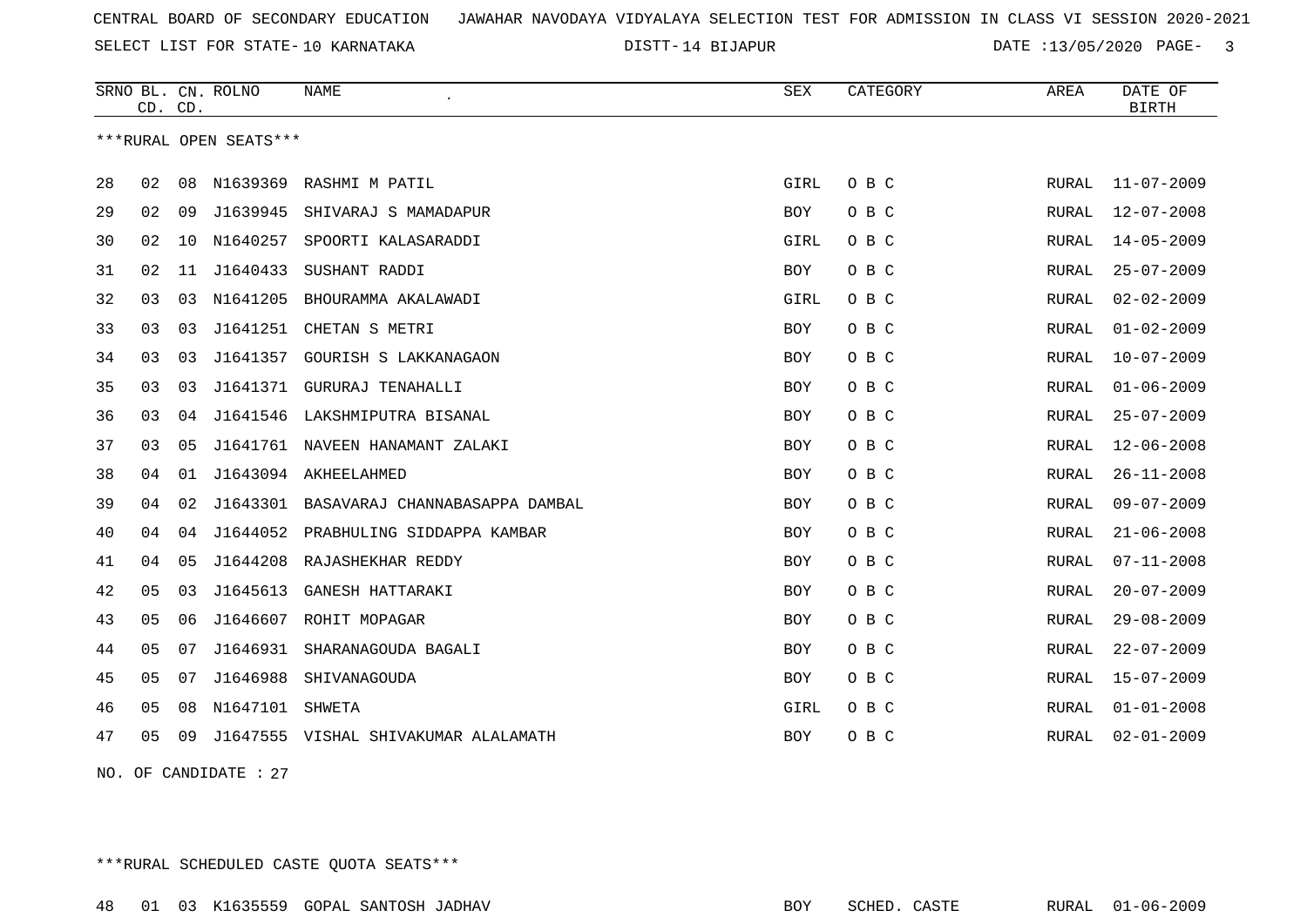DISTT-14 BIJAPUR **DATE** :13/05/2020 PAGE- 3

|    | CD. CD. |    | SRNO BL. CN. ROLNO     | <b>NAME</b>                          | <b>SEX</b> | CATEGORY | AREA         | DATE OF<br><b>BIRTH</b> |
|----|---------|----|------------------------|--------------------------------------|------------|----------|--------------|-------------------------|
|    |         |    | ***RURAL OPEN SEATS*** |                                      |            |          |              |                         |
| 28 | 02      | 08 | N1639369               | RASHMI M PATIL                       | GIRL       | O B C    | RURAL        | $11 - 07 - 2009$        |
| 29 | 02      | 09 | J1639945               | SHIVARAJ S MAMADAPUR                 | <b>BOY</b> | O B C    | <b>RURAL</b> | $12 - 07 - 2008$        |
| 30 | 02      | 10 | N1640257               | SPOORTI KALASARADDI                  | GIRL       | O B C    | RURAL        | $14 - 05 - 2009$        |
| 31 | 02      | 11 | J1640433               | SUSHANT RADDI                        | BOY        | O B C    | RURAL        | $25 - 07 - 2009$        |
| 32 | 03      | 03 | N1641205               | BHOURAMMA AKALAWADI                  | GIRL       | O B C    | RURAL        | $02 - 02 - 2009$        |
| 33 | 03      | 03 | J1641251               | CHETAN S METRI                       | <b>BOY</b> | O B C    | RURAL        | $01 - 02 - 2009$        |
| 34 | 03      | 03 | J1641357               | GOURISH S LAKKANAGAON                | BOY        | O B C    | RURAL        | $10 - 07 - 2009$        |
| 35 | 03      | 03 | J1641371               | GURURAJ TENAHALLI                    | <b>BOY</b> | O B C    | RURAL        | $01 - 06 - 2009$        |
| 36 | 03      | 04 | J1641546               | LAKSHMIPUTRA BISANAL                 | <b>BOY</b> | O B C    | RURAL        | $25 - 07 - 2009$        |
| 37 | 03      | 05 | J1641761               | NAVEEN HANAMANT ZALAKI               | BOY        | O B C    | <b>RURAL</b> | $12 - 06 - 2008$        |
| 38 | 04      | 01 |                        | J1643094 AKHEELAHMED                 | <b>BOY</b> | O B C    | <b>RURAL</b> | $26 - 11 - 2008$        |
| 39 | 04      | 02 | J1643301               | BASAVARAJ CHANNABASAPPA DAMBAL       | <b>BOY</b> | O B C    | <b>RURAL</b> | $09 - 07 - 2009$        |
| 40 | 04      | 04 | J1644052               | PRABHULING SIDDAPPA KAMBAR           | BOY        | O B C    | RURAL        | $21 - 06 - 2008$        |
| 41 | 04      | 05 | J1644208               | RAJASHEKHAR REDDY                    | BOY        | O B C    | RURAL        | $07 - 11 - 2008$        |
| 42 | 05      | 03 | J1645613               | GANESH HATTARAKI                     | <b>BOY</b> | O B C    | RURAL        | $20 - 07 - 2009$        |
| 43 | 05      | 06 | J1646607               | ROHIT MOPAGAR                        | <b>BOY</b> | O B C    | <b>RURAL</b> | $29 - 08 - 2009$        |
| 44 | 05      | 07 | J1646931               | SHARANAGOUDA BAGALI                  | <b>BOY</b> | O B C    | <b>RURAL</b> | $22 - 07 - 2009$        |
| 45 | 05      | 07 | J1646988               | SHIVANAGOUDA                         | BOY        | O B C    | RURAL        | $15 - 07 - 2009$        |
| 46 | 05      | 08 | N1647101               | SHWETA                               | GIRL       | O B C    | RURAL        | $01 - 01 - 2008$        |
| 47 | 05      | 09 |                        | J1647555 VISHAL SHIVAKUMAR ALALAMATH | <b>BOY</b> | O B C    | RURAL        | $02 - 01 - 2009$        |

NO. OF CANDIDATE : 27

\*\*\*RURAL SCHEDULED CASTE QUOTA SEATS\*\*\*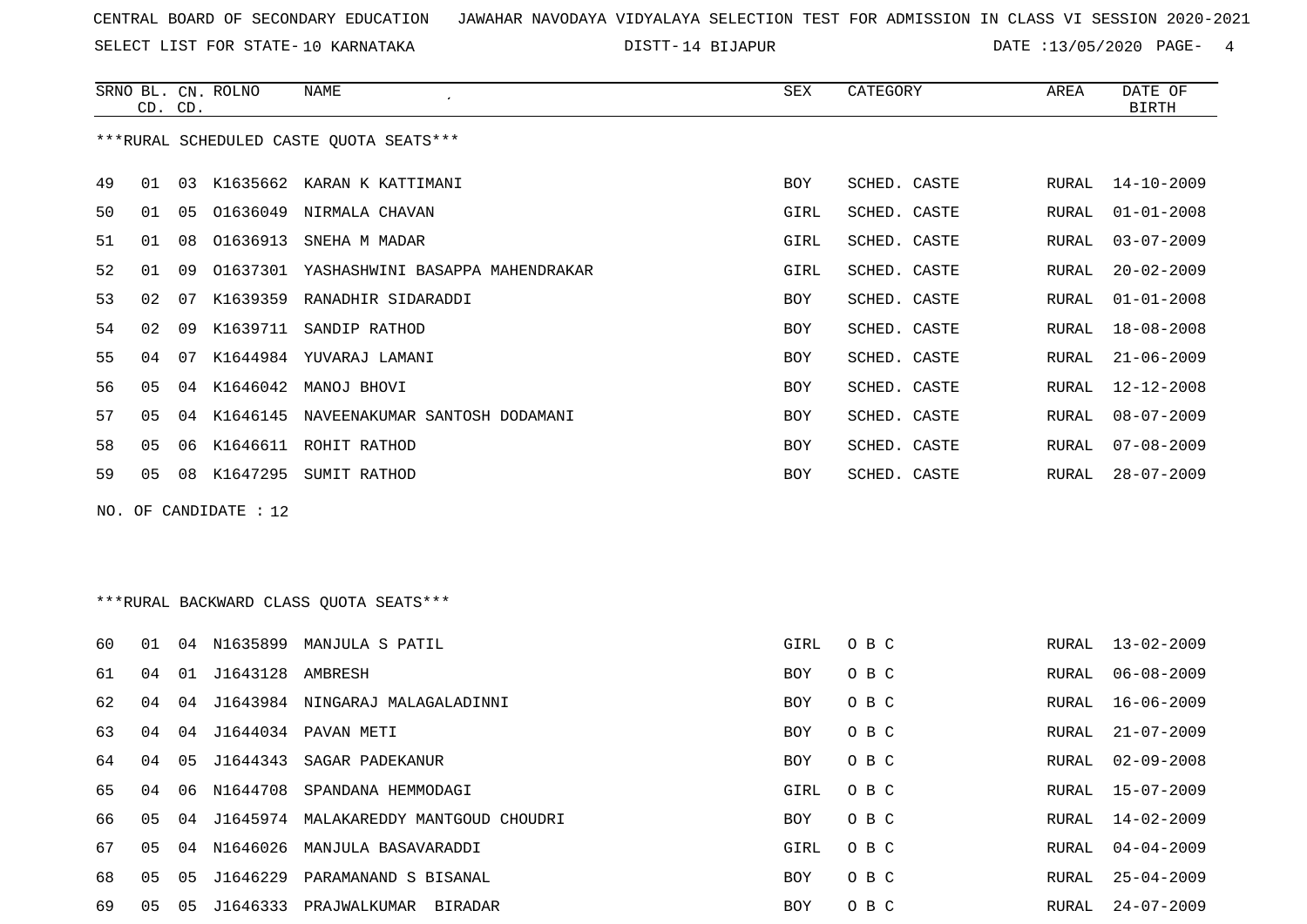SELECT LIST FOR STATE- DISTT- 10 KARNATAKA

DISTT-14 BIJAPUR 14 BOATE 213/05/2020 PAGE- 4

|                                          | CD. CD. |    | SRNO BL. CN. ROLNO  | NAME                                      | <b>SEX</b> | CATEGORY     | AREA  | DATE OF<br><b>BIRTH</b> |  |
|------------------------------------------|---------|----|---------------------|-------------------------------------------|------------|--------------|-------|-------------------------|--|
| *** RURAL SCHEDULED CASTE QUOTA SEATS*** |         |    |                     |                                           |            |              |       |                         |  |
|                                          |         |    |                     |                                           |            |              |       |                         |  |
| 49                                       | 01      |    |                     | 03 K1635662 KARAN K KATTIMANI             | BOY        | SCHED. CASTE | RURAL | $14 - 10 - 2009$        |  |
| 50                                       | 01      | 05 |                     | 01636049 NIRMALA CHAVAN                   | GIRL       | SCHED. CASTE | RURAL | $01 - 01 - 2008$        |  |
| 51                                       | 01      | 08 |                     | 01636913 SNEHA M MADAR                    | GIRL       | SCHED. CASTE | RURAL | $03 - 07 - 2009$        |  |
| 52                                       | 01      | 09 |                     | 01637301 YASHASHWINI BASAPPA MAHENDRAKAR  | GIRL       | SCHED. CASTE | RURAL | $20 - 02 - 2009$        |  |
| 53                                       | 02      | 07 |                     | K1639359 RANADHIR SIDARADDI               | BOY        | SCHED. CASTE | RURAL | $01 - 01 - 2008$        |  |
| 54                                       | 02      | 09 |                     | K1639711 SANDIP RATHOD                    | BOY        | SCHED. CASTE | RURAL | $18 - 08 - 2008$        |  |
| 55                                       | 04      | 07 |                     | K1644984 YUVARAJ LAMANI                   | BOY        | SCHED. CASTE | RURAL | $21 - 06 - 2009$        |  |
| 56                                       | 05      |    |                     | 04 K1646042 MANOJ BHOVI                   | BOY        | SCHED. CASTE | RURAL | $12 - 12 - 2008$        |  |
| 57                                       | 05      |    |                     | 04 K1646145 NAVEENAKUMAR SANTOSH DODAMANI | <b>BOY</b> | SCHED. CASTE | RURAL | $08 - 07 - 2009$        |  |
| 58                                       | 05      | 06 |                     | K1646611 ROHIT RATHOD                     | BOY        | SCHED. CASTE | RURAL | $07 - 08 - 2009$        |  |
| 59                                       | 05      |    |                     | 08 K1647295 SUMIT RATHOD                  | BOY        | SCHED. CASTE | RURAL | $28 - 07 - 2009$        |  |
| NO. OF CANDIDATE : $12$                  |         |    |                     |                                           |            |              |       |                         |  |
|                                          |         |    |                     |                                           |            |              |       |                         |  |
|                                          |         |    |                     |                                           |            |              |       |                         |  |
| ***RURAL BACKWARD CLASS QUOTA SEATS***   |         |    |                     |                                           |            |              |       |                         |  |
|                                          |         |    |                     |                                           |            |              |       |                         |  |
| 60                                       | 01      |    |                     | 04 N1635899 MANJULA S PATIL               | GIRL       | O B C        | RURAL | $13 - 02 - 2009$        |  |
| 61                                       | 04      |    | 01 J1643128 AMBRESH |                                           | BOY        | O B C        | RURAL | $06 - 08 - 2009$        |  |
| 62                                       | 04      | 04 |                     | J1643984 NINGARAJ MALAGALADINNI           | BOY        | O B C        | RURAL | $16 - 06 - 2009$        |  |
| 63                                       | 04      |    |                     | 04 J1644034 PAVAN METI                    | <b>BOY</b> | O B C        | RURAL | $21 - 07 - 2009$        |  |
| 64                                       | 04      | 05 |                     | J1644343 SAGAR PADEKANUR                  | BOY        | O B C        | RURAL | $02 - 09 - 2008$        |  |
| 65                                       | 04      | 06 | N1644708            | SPANDANA HEMMODAGI                        | GIRL       | O B C        | RURAL | $15 - 07 - 2009$        |  |
| 66                                       | 05      |    |                     | 04 J1645974 MALAKAREDDY MANTGOUD CHOUDRI  | BOY        | O B C        | RURAL | $14 - 02 - 2009$        |  |
| 67                                       | 05      |    |                     | 04 N1646026 MANJULA BASAVARADDI           | GIRL       | O B C        | RURAL | $04 - 04 - 2009$        |  |

 05 05 J1646229 PARAMANAND S BISANAL BOY O B C RURAL 25-04-2009 05 05 J1646333 PRAJWALKUMAR BIRADAR BOY O B C RURAL 24-07-2009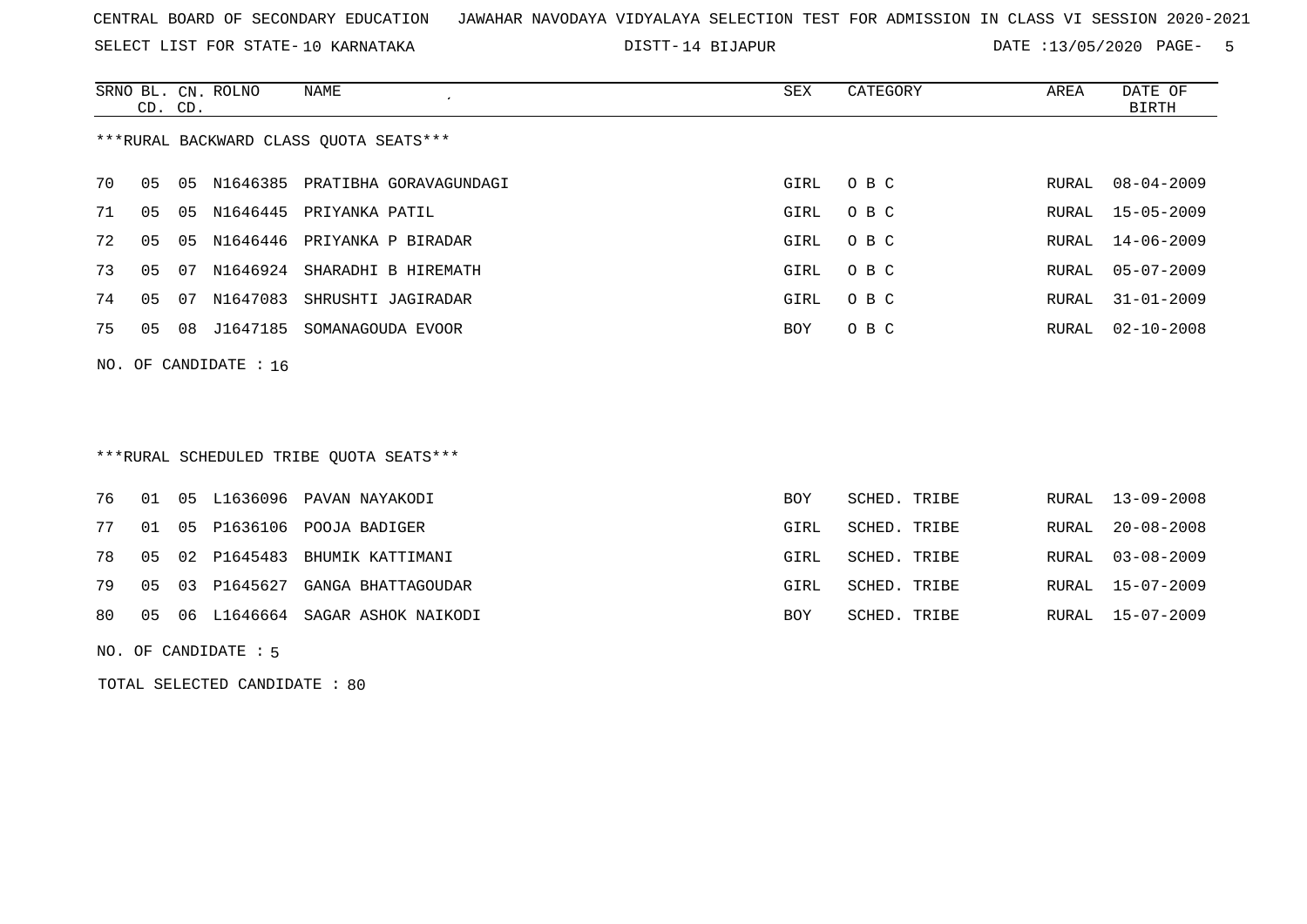SELECT LIST FOR STATE- DISTT- 10 KARNATAKA

14 BIJAPUR DATE :13/05/2020 PAGE- 5

|                                        | CD. CD. |    | SRNO BL. CN. ROLNO | NAME                               | SEX  | CATEGORY | AREA  | DATE OF<br>BIRTH   |  |
|----------------------------------------|---------|----|--------------------|------------------------------------|------|----------|-------|--------------------|--|
| ***RURAL BACKWARD CLASS OUOTA SEATS*** |         |    |                    |                                    |      |          |       |                    |  |
| 70                                     | 05      |    |                    | 05 N1646385 PRATIBHA GORAVAGUNDAGI | GIRL | O B C    |       | RURAL 08-04-2009   |  |
| 71                                     | 05      |    |                    | 05 N1646445 PRIYANKA PATIL         | GIRL | O B C    |       | RURAL 15-05-2009   |  |
| 72                                     | 05      | 05 |                    | N1646446 PRIYANKA P BIRADAR        | GIRL | O B C    |       | RURAL 14-06-2009   |  |
| 73                                     | 05      | 07 |                    | N1646924 SHARADHI B HIREMATH       | GIRL | O B C    | RURAL | $05 - 07 - 2009$   |  |
| 74                                     | 05      | 07 | N1647083           | SHRUSHTI JAGIRADAR                 | GIRL | O B C    | RURAL | $31 - 01 - 2009$   |  |
| 75                                     | 05      |    | 08 J1647185        | SOMANAGOUDA EVOOR                  | BOY  | O B C    |       | RURAL $02-10-2008$ |  |
| NO. OF CANDIDATE : $16$                |         |    |                    |                                    |      |          |       |                    |  |

## \*\*\*RURAL SCHEDULED TRIBE QUOTA SEATS\*\*\*

|  |  | 76 01 05 L1636096 PAVAN NAYAKODI      | BOY        | SCHED. TRIBE | RURAL 13-09-2008 |
|--|--|---------------------------------------|------------|--------------|------------------|
|  |  | 77 01 05 P1636106 POOJA BADIGER       | GIRL       | SCHED. TRIBE | RURAL 20-08-2008 |
|  |  | 78 05 02 P1645483 BHUMIK KATTIMANI    | GIRL       | SCHED. TRIBE | RURAL 03-08-2009 |
|  |  | 79 05 03 P1645627 GANGA BHATTAGOUDAR  | GIRL       | SCHED. TRIBE | RURAL 15-07-2009 |
|  |  | 80 05 06 L1646664 SAGAR ASHOK NAIKODI | <b>BOY</b> | SCHED. TRIBE | RURAL 15-07-2009 |
|  |  |                                       |            |              |                  |

NO. OF CANDIDATE : 5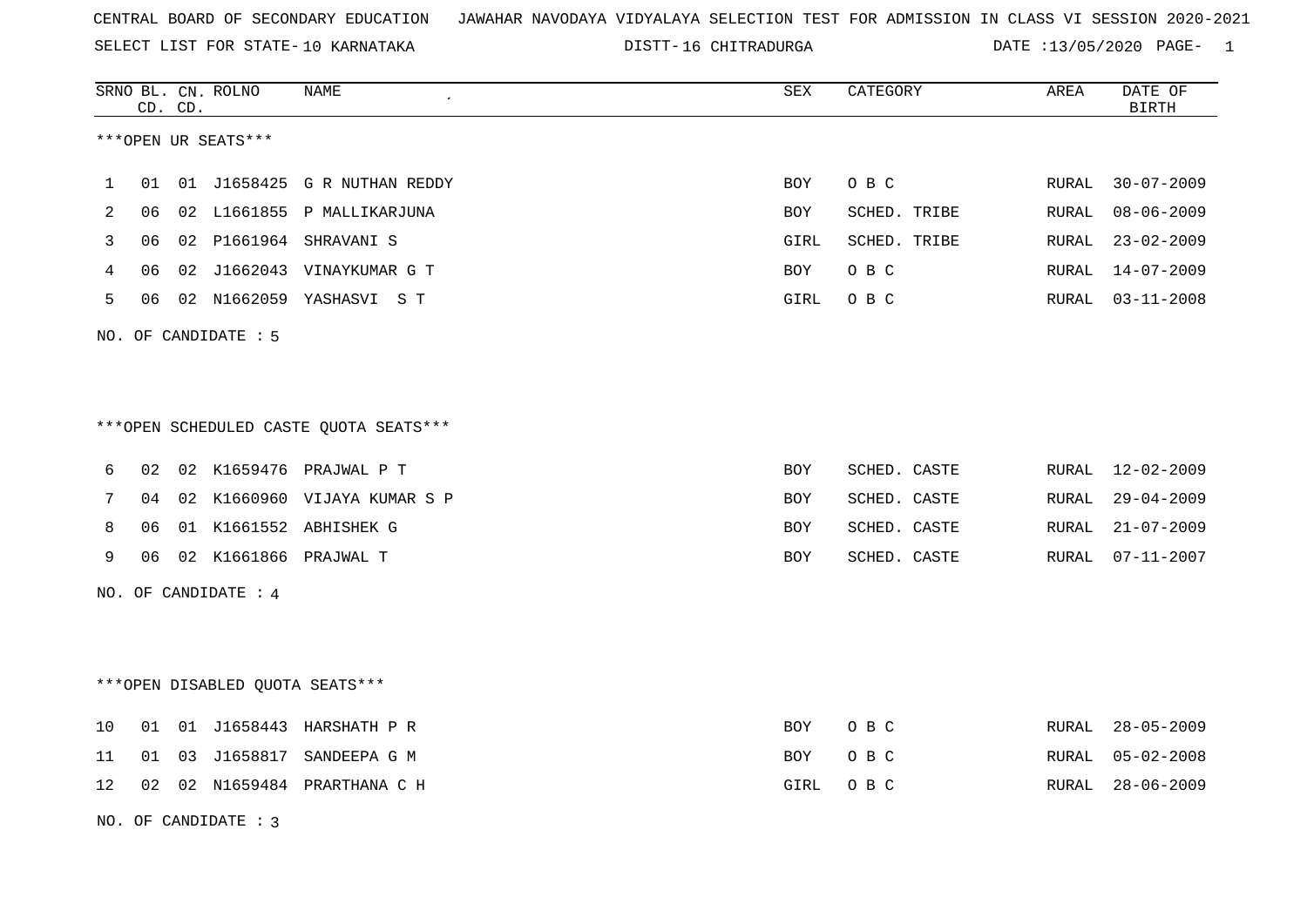SELECT LIST FOR STATE- DISTT- 10 KARNATAKA

DISTT-16 CHITRADURGA DATE :13/05/2020 PAGE- 1

|              |    | CD. CD. | SRNO BL. CN. ROLNO     | <b>NAME</b>                             | SEX        | CATEGORY     | AREA         | DATE OF<br><b>BIRTH</b> |
|--------------|----|---------|------------------------|-----------------------------------------|------------|--------------|--------------|-------------------------|
|              |    |         | ***OPEN UR SEATS***    |                                         |            |              |              |                         |
| $\mathbf{1}$ | 01 |         |                        | 01 J1658425 G R NUTHAN REDDY            | BOY        | O B C        | RURAL        | $30 - 07 - 2009$        |
| 2            | 06 |         |                        | 02 L1661855 P MALLIKARJUNA              | BOY        | SCHED. TRIBE | RURAL        | $08 - 06 - 2009$        |
| 3            |    |         |                        | 06  02  P1661964  SHRAVANI  S           | GIRL       | SCHED. TRIBE | RURAL        | $23 - 02 - 2009$        |
| 4            | 06 |         |                        | 02 J1662043 VINAYKUMAR G T              | BOY        | O B C        | <b>RURAL</b> | $14 - 07 - 2009$        |
| 5            |    |         |                        | 06  02  N1662059  YASHASVI  S  T        | GIRL       | O B C        | RURAL        | $03 - 11 - 2008$        |
|              |    |         | NO. OF CANDIDATE : 5   |                                         |            |              |              |                         |
|              |    |         |                        |                                         |            |              |              |                         |
|              |    |         |                        | *** OPEN SCHEDULED CASTE QUOTA SEATS*** |            |              |              |                         |
| 6            |    |         |                        | 02 02 K1659476 PRAJWAL P T              | <b>BOY</b> | SCHED. CASTE |              | RURAL 12-02-2009        |
| 7            | 04 |         |                        | 02 K1660960 VIJAYA KUMAR S P            | BOY        | SCHED. CASTE | RURAL        | $29 - 04 - 2009$        |
| 8            | 06 |         |                        | 01 K1661552 ABHISHEK G                  | <b>BOY</b> | SCHED. CASTE | RURAL        | $21 - 07 - 2009$        |
| 9            |    |         |                        | 06 02 K1661866 PRAJWAL T                | <b>BOY</b> | SCHED. CASTE | RURAL        | $07 - 11 - 2007$        |
|              |    |         | NO. OF CANDIDATE : $4$ |                                         |            |              |              |                         |
|              |    |         |                        |                                         |            |              |              |                         |
|              |    |         |                        | ***OPEN DISABLED QUOTA SEATS***         |            |              |              |                         |
| 10           | 01 |         |                        | 01 J1658443 HARSHATH P R                | BOY        | O B C        | RURAL        | $28 - 05 - 2009$        |
| 11           | 01 |         |                        | 03 J1658817 SANDEEPA G M                | BOY        | O B C        | RURAL        | $05 - 02 - 2008$        |
| 12           |    |         |                        | 02 02 N1659484 PRARTHANA C H            | GIRL       | O B C        | RURAL        | $28 - 06 - 2009$        |
|              |    |         | NO. OF CANDIDATE: 3    |                                         |            |              |              |                         |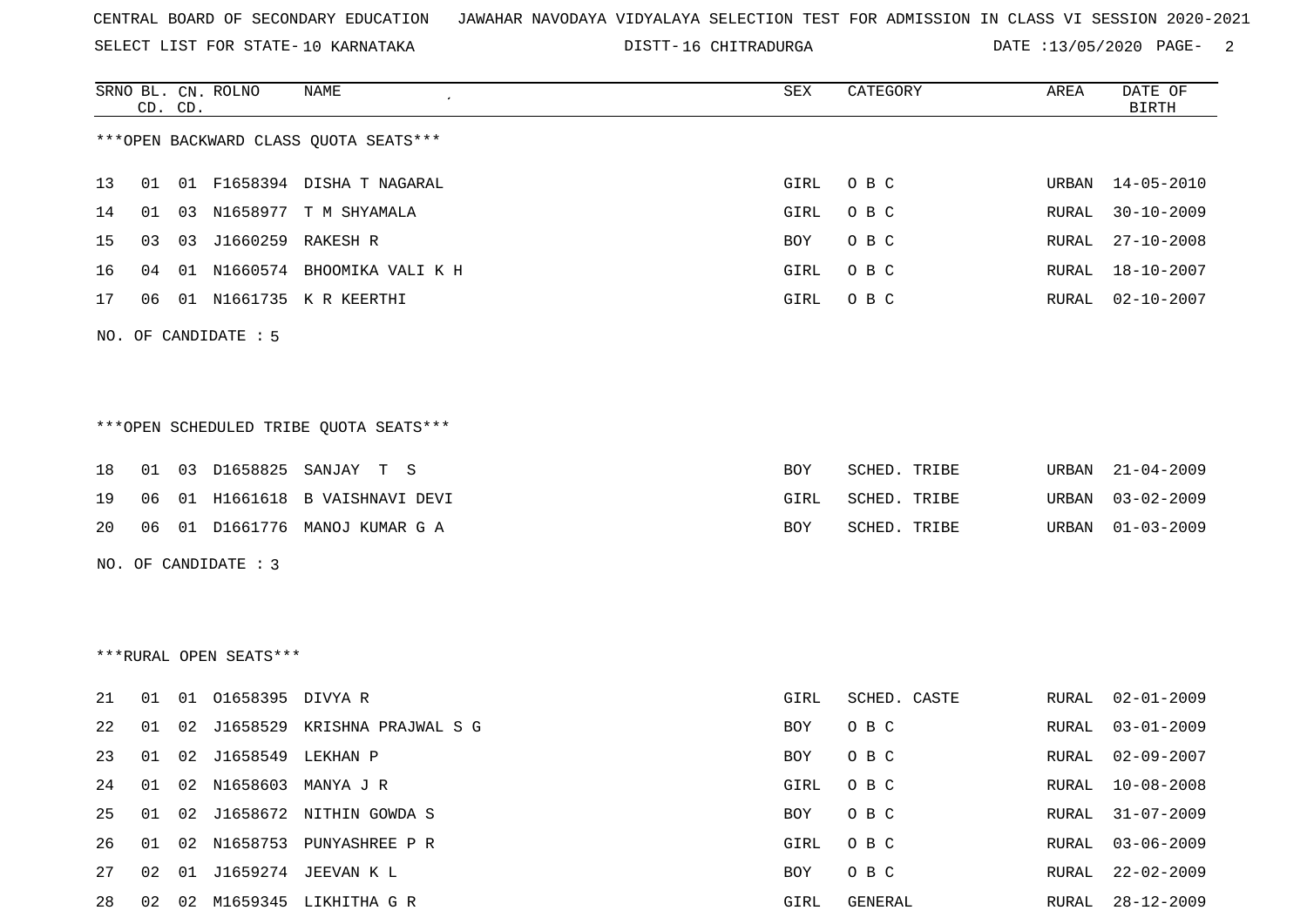SELECT LIST FOR STATE- DISTT- 10 KARNATAKA

16 CHITRADURGA DATE :13/05/2020 PAGE- 2

|    |    | CD. CD. | SRNO BL. CN. ROLNO     | <b>NAME</b>                            | SEX  | CATEGORY     | AREA  | DATE OF<br><b>BIRTH</b> |
|----|----|---------|------------------------|----------------------------------------|------|--------------|-------|-------------------------|
|    |    |         |                        | *** OPEN BACKWARD CLASS QUOTA SEATS*** |      |              |       |                         |
| 13 | 01 |         |                        | 01 F1658394 DISHA T NAGARAL            | GIRL | O B C        | URBAN | 14-05-2010              |
| 14 | 01 |         |                        | 03 N1658977 T M SHYAMALA               | GIRL | O B C        | RURAL | $30 - 10 - 2009$        |
| 15 | 03 |         | 03 J1660259 RAKESH R   |                                        | BOY  | O B C        | RURAL | $27 - 10 - 2008$        |
| 16 | 04 |         |                        | 01 N1660574 BHOOMIKA VALI K H          | GIRL | O B C        | RURAL | 18-10-2007              |
| 17 | 06 |         |                        | 01 N1661735 K R KEERTHI                | GIRL | O B C        | RURAL | $02 - 10 - 2007$        |
|    |    |         | NO. OF CANDIDATE : 5   |                                        |      |              |       |                         |
|    |    |         |                        |                                        |      |              |       |                         |
|    |    |         |                        |                                        |      |              |       |                         |
|    |    |         |                        | ***OPEN SCHEDULED TRIBE QUOTA SEATS*** |      |              |       |                         |
| 18 | 01 |         |                        | 03 D1658825 SANJAY T S                 | BOY  | SCHED. TRIBE | URBAN | $21 - 04 - 2009$        |
| 19 | 06 |         |                        | 01 H1661618 B VAISHNAVI DEVI           | GIRL | SCHED. TRIBE | URBAN | $03 - 02 - 2009$        |
| 20 | 06 |         |                        | 01 D1661776 MANOJ KUMAR G A            | BOY  | SCHED. TRIBE | URBAN | $01 - 03 - 2009$        |
|    |    |         | NO. OF CANDIDATE : 3   |                                        |      |              |       |                         |
|    |    |         |                        |                                        |      |              |       |                         |
|    |    |         |                        |                                        |      |              |       |                         |
|    |    |         | ***RURAL OPEN SEATS*** |                                        |      |              |       |                         |
| 21 | 01 |         | 01 01658395 DIVYA R    |                                        | GIRL | SCHED. CASTE | RURAL | $02 - 01 - 2009$        |
| 22 | 01 | 02      |                        | J1658529 KRISHNA PRAJWAL S G           | BOY  | O B C        | RURAL | $03 - 01 - 2009$        |
| 23 | 01 |         | 02 J1658549 LEKHAN P   |                                        | BOY  | O B C        | RURAL | $02 - 09 - 2007$        |
| 24 | 01 |         |                        | 02 N1658603 MANYA J R                  | GIRL | O B C        | RURAL | $10 - 08 - 2008$        |
| 25 | 01 |         |                        | 02 J1658672 NITHIN GOWDA S             | BOY  | O B C        | RURAL | $31 - 07 - 2009$        |
| 26 | 01 |         |                        | 02 N1658753 PUNYASHREE P R             | GIRL | O B C        | RURAL | $03 - 06 - 2009$        |
| 27 | 02 |         |                        | 01 J1659274 JEEVAN K L                 | BOY  | O B C        | RURAL | $22 - 02 - 2009$        |

28 02 02 M1659345 LIKHITHA G R GIRL GENERAL RURAL 28-12-2009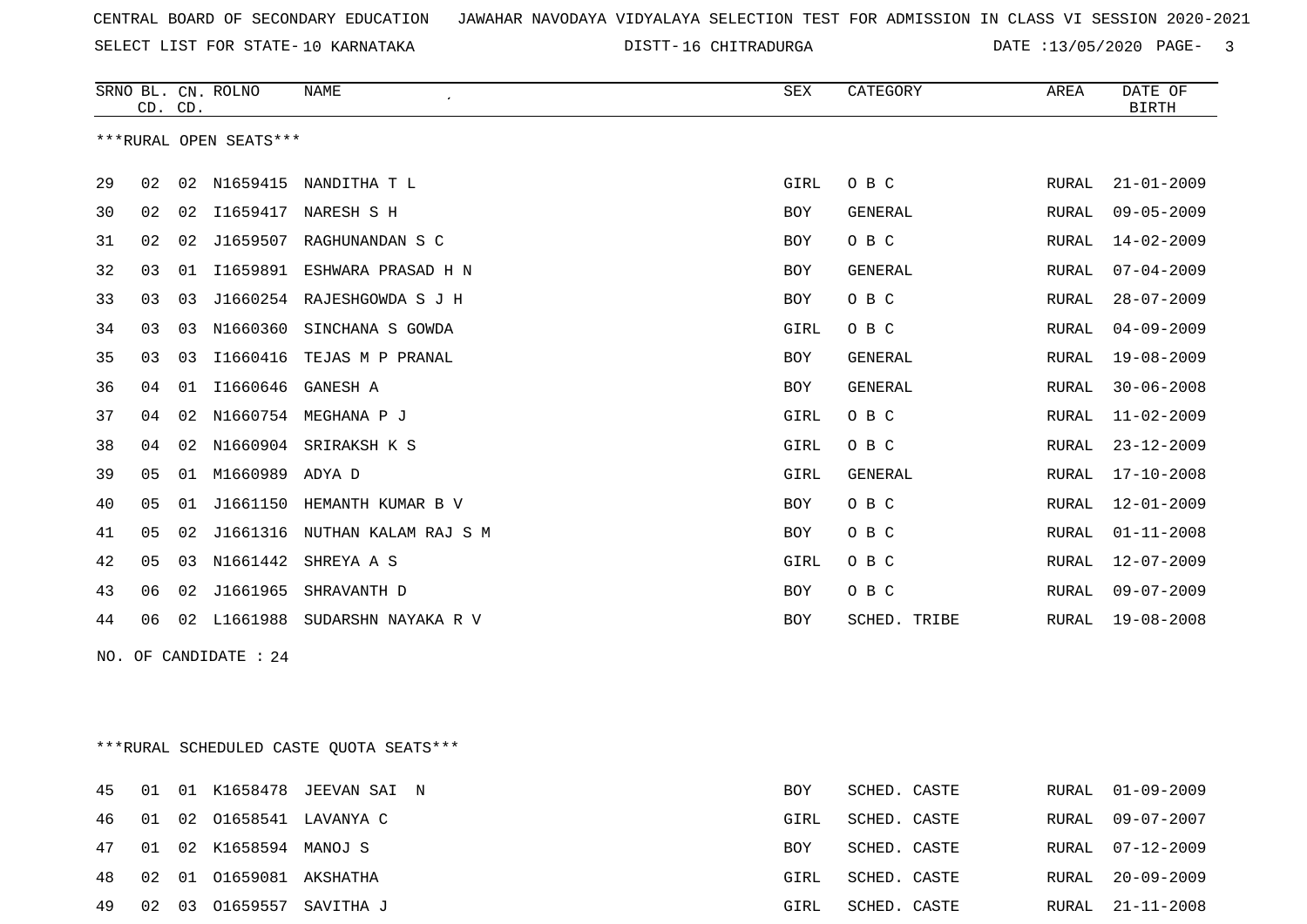SELECT LIST FOR STATE- DISTT- 10 KARNATAKA

DISTT-16 CHITRADURGA DATE :13/05/2020 PAGE- 3

|                        | CD. CD.        |    | SRNO BL. CN. ROLNO | <b>NAME</b><br>$\epsilon$ | <b>SEX</b> | CATEGORY       | AREA         | DATE OF<br><b>BIRTH</b> |
|------------------------|----------------|----|--------------------|---------------------------|------------|----------------|--------------|-------------------------|
| ***RURAL OPEN SEATS*** |                |    |                    |                           |            |                |              |                         |
| -29                    | 02             | 02 | N1659415           | NANDITHA T L              | GIRL       | O B C          | RURAL        | $21 - 01 - 2009$        |
| 30                     | 02             | 02 | I1659417           | NARESH S H                | BOY        | <b>GENERAL</b> | RURAL        | $09 - 05 - 2009$        |
| 31                     | 02             | 02 | J1659507           | RAGHUNANDAN S C           | BOY        | O B C          | RURAL        | $14 - 02 - 2009$        |
| 32                     | 03             | 01 | I1659891           | ESHWARA PRASAD H N        | <b>BOY</b> | <b>GENERAL</b> | RURAL        | $07 - 04 - 2009$        |
| 33                     | 03             | 03 | J1660254           | RAJESHGOWDA S J H         | <b>BOY</b> | O B C          | RURAL        | $28 - 07 - 2009$        |
| 34                     | 03             | 03 | N1660360           | SINCHANA S GOWDA          | GIRL       | O B C          | <b>RURAL</b> | $04 - 09 - 2009$        |
| 35                     | 03             | 03 | I1660416           | TEJAS M P PRANAL          | <b>BOY</b> | <b>GENERAL</b> | RURAL        | $19 - 08 - 2009$        |
| 36                     | 04             | 01 | I1660646           | GANESH A                  | BOY        | <b>GENERAL</b> | RURAL        | $30 - 06 - 2008$        |
| 37                     | 04             | 02 | N1660754           | MEGHANA P J               | GIRL       | O B C          | RURAL        | $11 - 02 - 2009$        |
| 38                     | 04             | 02 | N1660904           | SRIRAKSH K S              | GIRL       | O B C          | RURAL        | $23 - 12 - 2009$        |
| 39                     | 05             | 01 | M1660989           | ADYA D                    | GIRL       | <b>GENERAL</b> | RURAL        | $17 - 10 - 2008$        |
| 40                     | 05             | 01 | J1661150           | HEMANTH KUMAR B V         | BOY        | O B C          | RURAL        | $12 - 01 - 2009$        |
| 41                     | 05             | 02 | J1661316           | NUTHAN KALAM RAJ S M      | BOY        | O B C          | RURAL        | $01 - 11 - 2008$        |
| 42                     | 0 <sub>5</sub> | 03 | N1661442           | SHREYA A S                | GIRL       | O B C          | <b>RURAL</b> | $12 - 07 - 2009$        |
| 43                     | 06             | 02 | J1661965           | SHRAVANTH D               | <b>BOY</b> | O B C          | RURAL        | $09 - 07 - 2009$        |
| 44                     | 06             | 02 | L1661988           | SUDARSHN NAYAKA R V       | <b>BOY</b> | SCHED. TRIBE   | RURAL        | $19 - 08 - 2008$        |

NO. OF CANDIDATE : 24

\*\*\*RURAL SCHEDULED CASTE QUOTA SEATS\*\*\*

|       |    |                            | 45 01 01 K1658478 JEEVAN SAI N | BOY        | SCHED. CASTE | RURAL 01-09-2009 |
|-------|----|----------------------------|--------------------------------|------------|--------------|------------------|
| 46 01 |    |                            | 02 01658541 LAVANYA C          | GIRL       | SCHED. CASTE | RURAL 09-07-2007 |
|       |    | 47 01 02 K1658594 MANOJ S  |                                | <b>BOY</b> | SCHED. CASTE | RURAL 07-12-2009 |
|       |    | 48 02 01 01659081 AKSHATHA |                                | GIRL       | SCHED. CASTE | RURAL 20-09-2009 |
| 49    | 02 |                            | 03 01659557 SAVITHA J          | GIRL       | SCHED. CASTE | RURAL 21-11-2008 |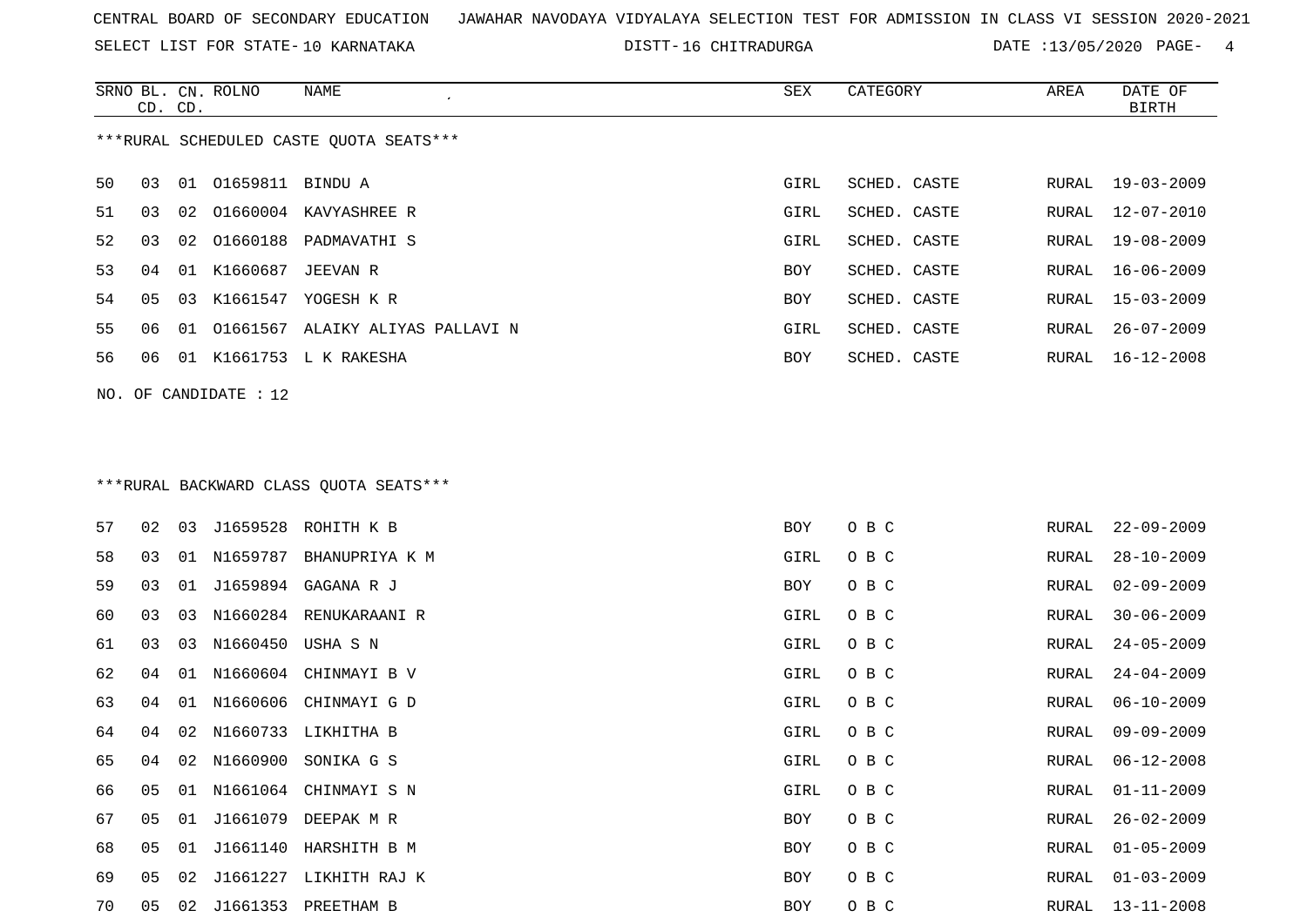SELECT LIST FOR STATE- DISTT- 10 KARNATAKA

16 CHITRADURGA DATE :13/05/2020 PAGE- 4

|                                         | CD. CD. |    | SRNO BL. CN. ROLNO    | <b>NAME</b><br>$\epsilon$              | SEX        | CATEGORY     | AREA  | DATE OF<br><b>BIRTH</b> |
|-----------------------------------------|---------|----|-----------------------|----------------------------------------|------------|--------------|-------|-------------------------|
| ***RURAL SCHEDULED CASTE QUOTA SEATS*** |         |    |                       |                                        |            |              |       |                         |
| 50                                      | 03      | 01 | 01659811 BINDU A      |                                        | GIRL       | SCHED. CASTE | RURAL | $19 - 03 - 2009$        |
| 51                                      | 03      | 02 |                       | 01660004 KAVYASHREE R                  | GIRL       | SCHED. CASTE | RURAL | $12 - 07 - 2010$        |
| 52                                      | 03      | 02 | 01660188              | PADMAVATHI S                           | GIRL       | SCHED. CASTE | RURAL | $19 - 08 - 2009$        |
| 53                                      | 04      | 01 | K1660687              | JEEVAN R                               | <b>BOY</b> | SCHED. CASTE | RURAL | $16 - 06 - 2009$        |
| 54                                      | 05      | 03 |                       | K1661547 YOGESH K R                    | <b>BOY</b> | SCHED. CASTE | RURAL | $15 - 03 - 2009$        |
| 55                                      | 06      | 01 |                       | 01661567 ALAIKY ALIYAS PALLAVI N       | GIRL       | SCHED. CASTE | RURAL | $26 - 07 - 2009$        |
| 56                                      | 06      | 01 |                       | K1661753 L K RAKESHA                   | <b>BOY</b> | SCHED. CASTE | RURAL | $16 - 12 - 2008$        |
|                                         |         |    | NO. OF CANDIDATE : 12 |                                        |            |              |       |                         |
|                                         |         |    |                       |                                        |            |              |       |                         |
|                                         |         |    |                       | ***RURAL BACKWARD CLASS OUOTA SEATS*** |            |              |       |                         |
| 57                                      | 02      | 03 | J1659528              | ROHITH K B                             | <b>BOY</b> | O B C        | RURAL | $22 - 09 - 2009$        |
| 58                                      | 03      | 01 | N1659787              | BHANUPRIYA K M                         | GIRL       | O B C        | RURAL | $28 - 10 - 2009$        |
| 59                                      | 03      | 01 |                       | J1659894 GAGANA R J                    | <b>BOY</b> | O B C        | RURAL | $02 - 09 - 2009$        |

60 03 03 N1660284 RENUKARAANI R GIRL O B C

63 04 01 N1660606 CHINMAYI G D GIRL O B C

65 04 02 N1660900 SONIKA G S GIRL O B C

69 05 02 J1661227 LIKHITH RAJ K BOY O B C

70 05 02 J1661353 PREETHAM B BOY O B C RURAL 13-11-2008

RURAL 30-06-2009 61 03 03 N1660450 USHA S N GIRL O B C RURAL 24-05-2009 62 04 01 N1660604 CHINMAYI B V GIRL O B C RURAL 24-04-2009RURAL 06-10-2009 64 04 02 N1660733 LIKHITHA B GIRL O B C RURAL 09-09-2009 RURAL 06-12-2008 66 05 01 N1661064 CHINMAYI S N GIRL O B C RURAL 01-11-2009 67 05 01 J1661079 DEEPAK M R BOY O B C RURAL 26-02-2009 68 05 01 J1661140 HARSHITH B M BOY O B C RURAL 01-05-2009 RURAL 01-03-2009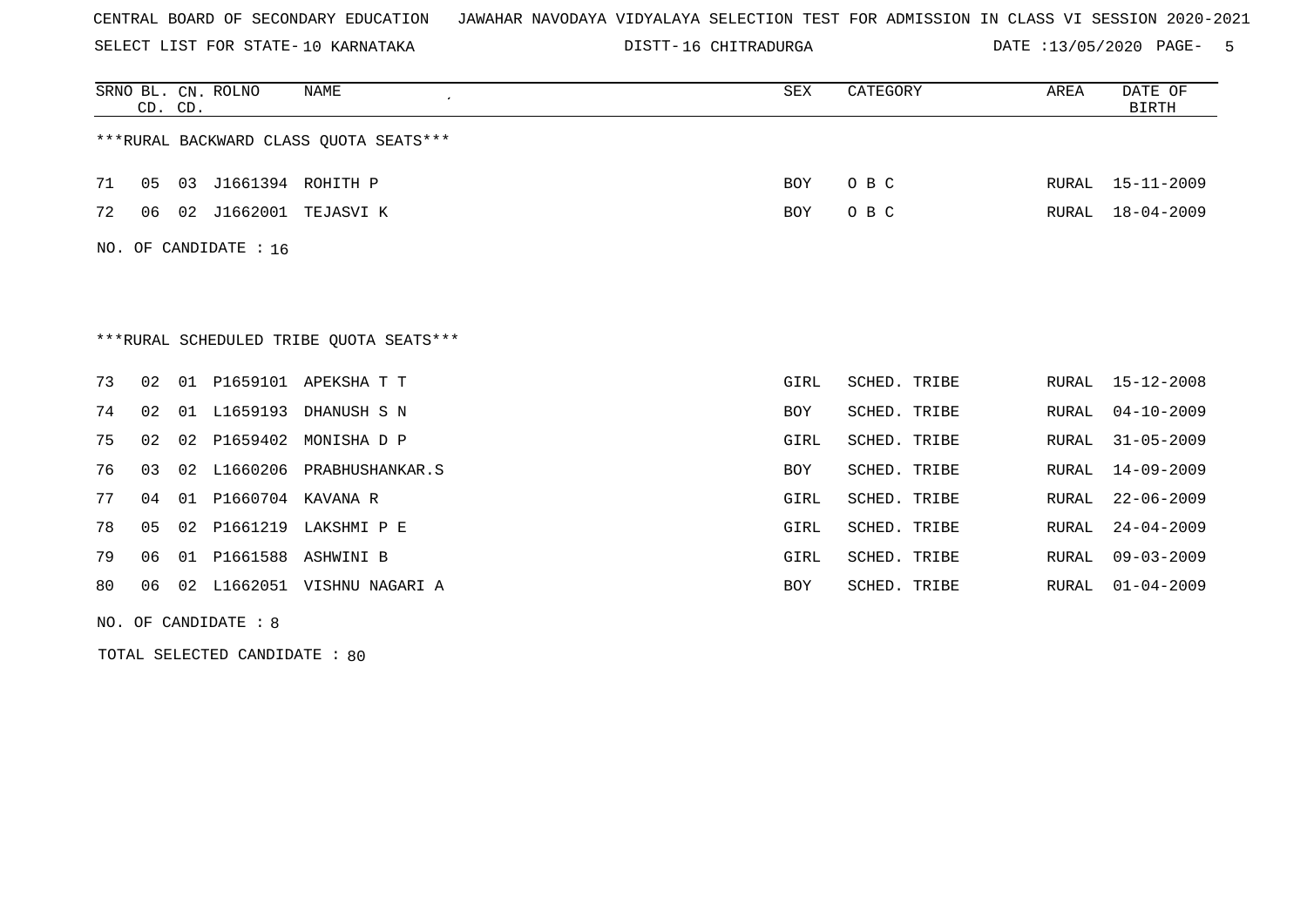SELECT LIST FOR STATE- DISTT- 10 KARNATAKA

DISTT-16 CHITRADURGA DATE :13/05/2020 PAGE- 5

|     | CD. CD. |    | SRNO BL. CN. ROLNO   | <b>NAME</b>                              | SEX        | CATEGORY        | AREA         | DATE OF<br><b>BIRTH</b> |
|-----|---------|----|----------------------|------------------------------------------|------------|-----------------|--------------|-------------------------|
|     |         |    |                      | ***RURAL BACKWARD CLASS OUOTA SEATS***   |            |                 |              |                         |
| 71  | 05      | 03 | J1661394 ROHITH P    |                                          | <b>BOY</b> | O B C           | RURAL        | $15 - 11 - 2009$        |
| 72  | 06      |    |                      | 02 J1662001 TEJASVI K                    | BOY        | O B C           | RURAL        | $18 - 04 - 2009$        |
| NO. |         |    | OF CANDIDATE : 16    |                                          |            |                 |              |                         |
|     |         |    |                      |                                          |            |                 |              |                         |
|     |         |    |                      | *** RURAL SCHEDULED TRIBE QUOTA SEATS*** |            |                 |              |                         |
| 73  | 02      |    |                      | 01 P1659101 APEKSHA T T                  | GIRL       | SCHED. TRIBE    | RURAL        | $15 - 12 - 2008$        |
| 74  | 02      |    | 01 L1659193          | DHANUSH S N                              | BOY        | SCHED. TRIBE    | RURAL        | $04 - 10 - 2009$        |
| 75  | 02      |    | 02 P1659402          | MONISHA D P                              | GIRL       | SCHED. TRIBE    | RURAL        | $31 - 05 - 2009$        |
| 76  | 03      |    |                      | 02 L1660206 PRABHUSHANKAR.S              | BOY        | SCHED. TRIBE    | <b>RURAL</b> | $14 - 09 - 2009$        |
| 77  | 04      |    | 01 P1660704 KAVANA R |                                          | GIRL       | SCHED. TRIBE    | RURAL        | $22 - 06 - 2009$        |
| 78  | 05      |    |                      | 02 P1661219 LAKSHMI P E                  | GIRL       | SCHED. TRIBE    | RURAL        | $24 - 04 - 2009$        |
| 79  | 06      |    | 01 P1661588          | ASHWINI B                                | GIRL       | SCHED. TRIBE    | RURAL        | $09 - 03 - 2009$        |
| 80  | 06      | 02 | L1662051             | VISHNU NAGARI A                          | <b>BOY</b> | SCHED.<br>TRIBE | RURAL        | $01 - 04 - 2009$        |

NO. OF CANDIDATE : 8

TOTAL SELECTED CANDIDATE : 80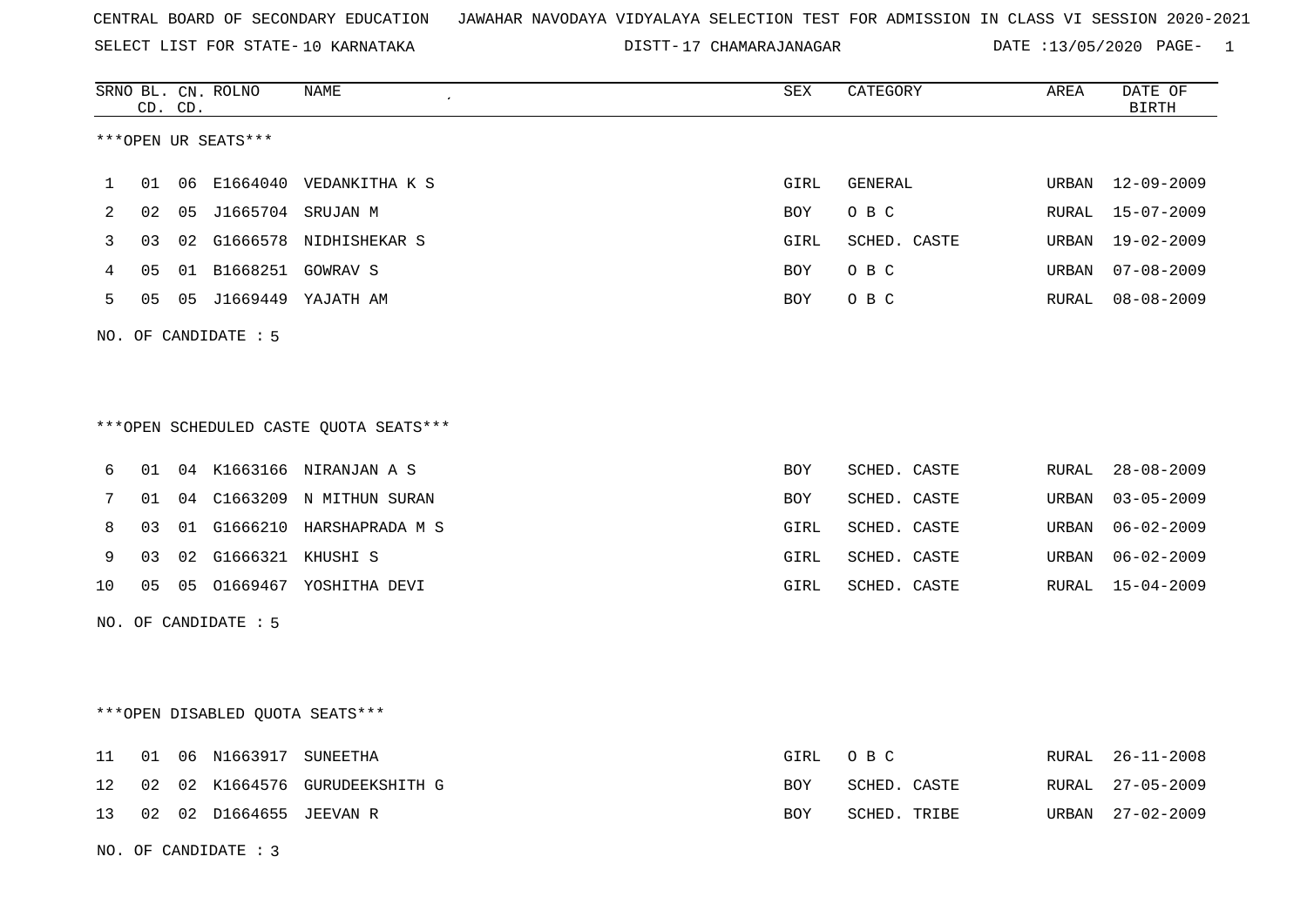SELECT LIST FOR STATE- DISTT- 10 KARNATAKA

DISTT-17 CHAMARAJANAGAR DATE :13/05/2020 PAGE- 1

|    |                | CD. CD. | SRNO BL. CN. ROLNO              | NAME<br>$\pmb{\cdot}$                  | SEX  | CATEGORY     | AREA  | DATE OF<br><b>BIRTH</b> |
|----|----------------|---------|---------------------------------|----------------------------------------|------|--------------|-------|-------------------------|
|    |                |         | ***OPEN UR SEATS***             |                                        |      |              |       |                         |
| 1  | 01             |         |                                 | 06 E1664040 VEDANKITHA K S             | GIRL | GENERAL      | URBAN | $12 - 09 - 2009$        |
| 2  | 02             |         | 05 J1665704 SRUJAN M            |                                        | BOY  | O B C        | RURAL | $15 - 07 - 2009$        |
| 3  | 03             |         |                                 | 02 G1666578 NIDHISHEKAR S              | GIRL | SCHED. CASTE | URBAN | $19 - 02 - 2009$        |
| 4  | 0 <sub>5</sub> |         | 01 B1668251 GOWRAV S            |                                        | BOY  | O B C        | URBAN | $07 - 08 - 2009$        |
| 5  | 05             |         |                                 | 05 J1669449 YAJATH AM                  | BOY  | O B C        | RURAL | $08 - 08 - 2009$        |
|    |                |         | NO. OF CANDIDATE : 5            |                                        |      |              |       |                         |
|    |                |         |                                 |                                        |      |              |       |                         |
|    |                |         |                                 |                                        |      |              |       |                         |
|    |                |         |                                 | ***OPEN SCHEDULED CASTE QUOTA SEATS*** |      |              |       |                         |
| 6  | 01             |         |                                 | 04 K1663166 NIRANJAN A S               | BOY  | SCHED. CASTE | RURAL | $28 - 08 - 2009$        |
| 7  | 01             |         |                                 | 04 C1663209 N MITHUN SURAN             | BOY  | SCHED. CASTE | URBAN | $03 - 05 - 2009$        |
| 8  | 03             |         |                                 | 01 G1666210 HARSHAPRADA M S            | GIRL | SCHED. CASTE | URBAN | $06 - 02 - 2009$        |
| 9  | 03             |         | 02 G1666321 KHUSHI S            |                                        | GIRL | SCHED. CASTE | URBAN | $06 - 02 - 2009$        |
| 10 | 0 <sub>5</sub> |         |                                 | 05 01669467 YOSHITHA DEVI              | GIRL | SCHED. CASTE | RURAL | $15 - 04 - 2009$        |
|    |                |         | NO. OF CANDIDATE : 5            |                                        |      |              |       |                         |
|    |                |         |                                 |                                        |      |              |       |                         |
|    |                |         |                                 |                                        |      |              |       |                         |
|    |                |         | ***OPEN DISABLED QUOTA SEATS*** |                                        |      |              |       |                         |
| 11 | 01             |         | 06 N1663917 SUNEETHA            |                                        | GIRL | O B C        | RURAL | $26 - 11 - 2008$        |
| 12 | 02             |         |                                 | 02 K1664576 GURUDEEKSHITH G            | BOY  | SCHED. CASTE | RURAL | $27 - 05 - 2009$        |
| 13 |                |         | 02 02 D1664655 JEEVAN R         |                                        | BOY  | SCHED. TRIBE | URBAN | $27 - 02 - 2009$        |
|    |                |         | NO. OF CANDIDATE : 3            |                                        |      |              |       |                         |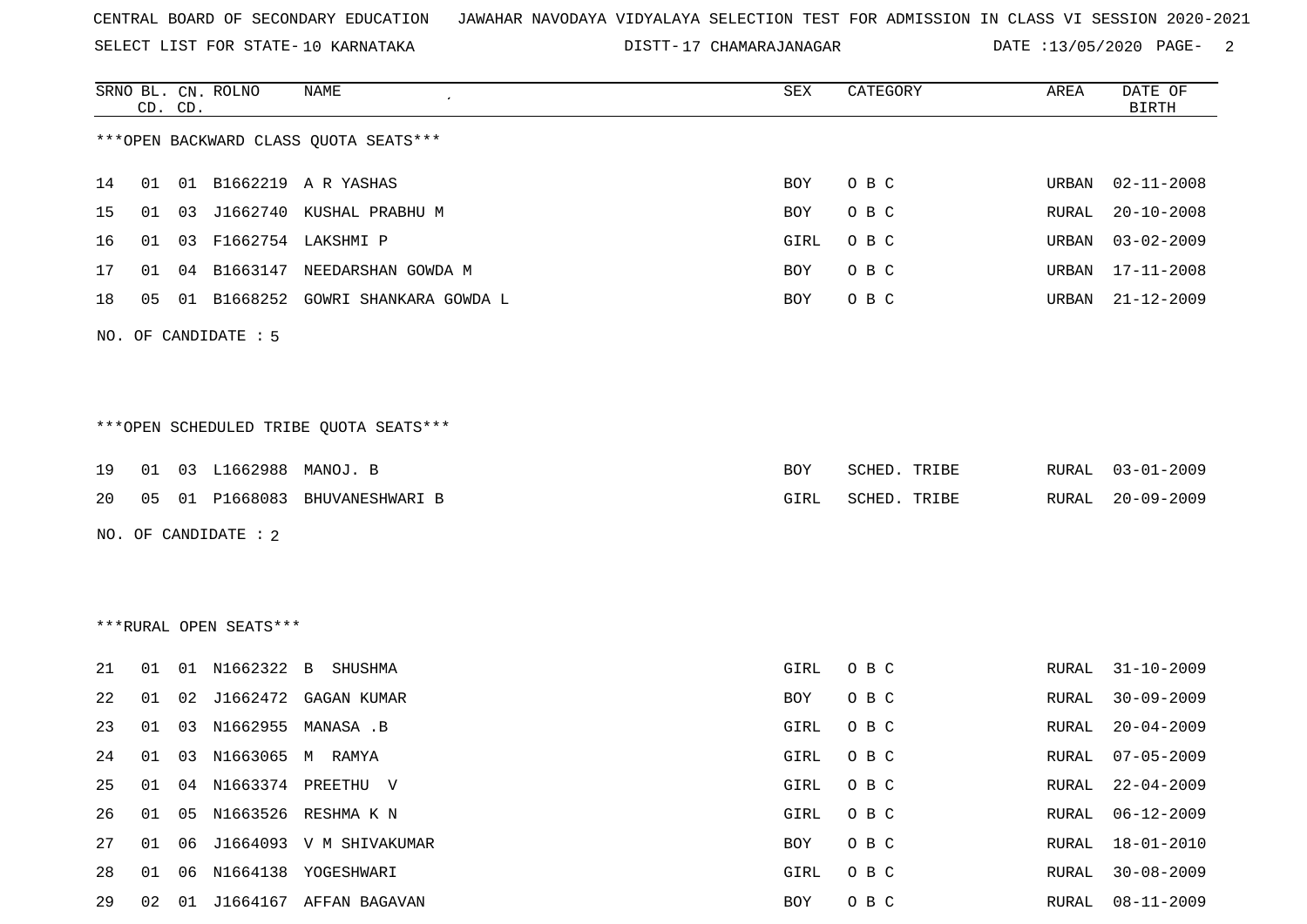SELECT LIST FOR STATE- DISTT- 10 KARNATAKA

17 CHAMARAJANAGAR DATE :13/05/2020 PAGE- 2

|    |    | CD. CD. | SRNO BL. CN. ROLNO     | NAME                                   | SEX  | CATEGORY     | AREA  | DATE OF<br><b>BIRTH</b> |
|----|----|---------|------------------------|----------------------------------------|------|--------------|-------|-------------------------|
|    |    |         |                        | *** OPEN BACKWARD CLASS QUOTA SEATS*** |      |              |       |                         |
| 14 | 01 |         |                        | 01 B1662219 A R YASHAS                 | BOY  | O B C        | URBAN | $02 - 11 - 2008$        |
| 15 | 01 | 03      |                        | J1662740 KUSHAL PRABHU M               | BOY  | O B C        | RURAL | $20 - 10 - 2008$        |
| 16 | 01 | 03      |                        | F1662754 LAKSHMI P                     | GIRL | O B C        | URBAN | $03 - 02 - 2009$        |
| 17 | 01 | 04      |                        | B1663147 NEEDARSHAN GOWDA M            | BOY  | O B C        | URBAN | $17 - 11 - 2008$        |
| 18 | 05 |         |                        | 01 B1668252 GOWRI SHANKARA GOWDA L     | BOY  | O B C        | URBAN | $21 - 12 - 2009$        |
|    |    |         | NO. OF CANDIDATE : 5   |                                        |      |              |       |                         |
|    |    |         |                        |                                        |      |              |       |                         |
|    |    |         |                        | ***OPEN SCHEDULED TRIBE QUOTA SEATS*** |      |              |       |                         |
| 19 |    |         | 01 03 L1662988         | MANOJ. B                               | BOY  | SCHED. TRIBE | RURAL | $03 - 01 - 2009$        |
| 20 | 05 |         |                        | 01 P1668083 BHUVANESHWARI B            | GIRL | SCHED. TRIBE | RURAL | $20 - 09 - 2009$        |
|    |    |         | NO. OF CANDIDATE : 2   |                                        |      |              |       |                         |
|    |    |         |                        |                                        |      |              |       |                         |
|    |    |         |                        |                                        |      |              |       |                         |
|    |    |         | ***RURAL OPEN SEATS*** |                                        |      |              |       |                         |
| 21 | 01 |         | 01 N1662322            | $\mathbf{B}$<br>SHUSHMA                | GIRL | O B C        | RURAL | $31 - 10 - 2009$        |
| 22 | 01 | 02      | J1662472               | GAGAN KUMAR                            | BOY  | O B C        | RURAL | $30 - 09 - 2009$        |
| 23 | 01 | 03      | N1662955               | MANASA .B                              | GIRL | O B C        | RURAL | $20 - 04 - 2009$        |
| 24 | 01 |         | 03 N1663065 M RAMYA    |                                        | GIRL | O B C        | RURAL | $07 - 05 - 2009$        |
| 25 | 01 |         |                        | 04 N1663374 PREETHU V                  | GIRL | O B C        | RURAL | $22 - 04 - 2009$        |
| 26 | 01 |         |                        | 05 N1663526 RESHMA K N                 | GIRL | O B C        | RURAL | $06 - 12 - 2009$        |
| 27 |    |         |                        | 01  06  J1664093  V  M  SHIVAKUMAR     | BOY  | O B C        | RURAL | $18 - 01 - 2010$        |
| 28 | 01 | 06      |                        | N1664138 YOGESHWARI                    | GIRL | O B C        | RURAL | $30 - 08 - 2009$        |
| 29 |    |         |                        | 02 01 J1664167 AFFAN BAGAVAN           | BOY  | O B C        | RURAL | $08 - 11 - 2009$        |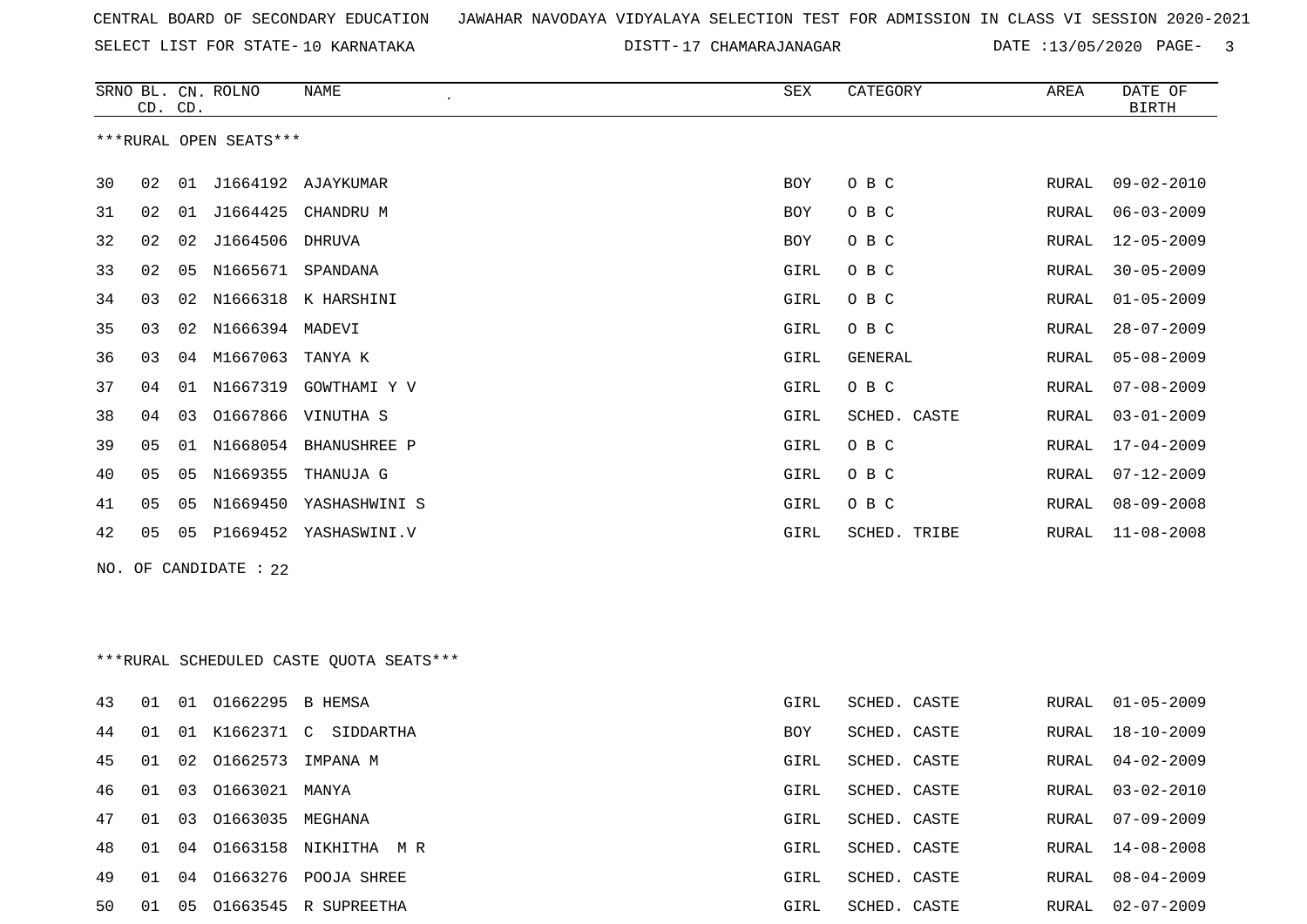DISTT-17 CHAMARAJANAGAR DATE :13/05/2020 PAGE- 3

|    |    | CD. CD. | SRNO BL. CN. ROLNO     | <b>NAME</b>                             | SEX  | CATEGORY     | AREA         | DATE OF<br><b>BIRTH</b> |
|----|----|---------|------------------------|-----------------------------------------|------|--------------|--------------|-------------------------|
|    |    |         | ***RURAL OPEN SEATS*** |                                         |      |              |              |                         |
| 30 | 02 |         |                        | 01 J1664192 AJAYKUMAR                   | BOY  | O B C        | RURAL        | $09 - 02 - 2010$        |
| 31 | 02 | 01      | J1664425               | CHANDRU M                               | BOY  | O B C        | RURAL        | $06 - 03 - 2009$        |
| 32 | 02 | 02      | J1664506               | DHRUVA                                  | BOY  | O B C        | RURAL        | $12 - 05 - 2009$        |
| 33 | 02 | 05      |                        | N1665671 SPANDANA                       | GIRL | O B C        | RURAL        | $30 - 05 - 2009$        |
| 34 | 03 | 02      | N1666318               | K HARSHINI                              | GIRL | O B C        | RURAL        | $01 - 05 - 2009$        |
| 35 | 03 | 02      | N1666394 MADEVI        |                                         | GIRL | O B C        | RURAL        | $28 - 07 - 2009$        |
| 36 | 03 | 04      | M1667063               | TANYA K                                 | GIRL | GENERAL      | <b>RURAL</b> | $05 - 08 - 2009$        |
| 37 | 04 | 01      | N1667319               | GOWTHAMI Y V                            | GIRL | O B C        | RURAL        | $07 - 08 - 2009$        |
| 38 | 04 | 03      | 01667866               | VINUTHA S                               | GIRL | SCHED. CASTE | RURAL        | $03 - 01 - 2009$        |
| 39 | 05 | 01      | N1668054               | <b>BHANUSHREE P</b>                     | GIRL | O B C        | RURAL        | $17 - 04 - 2009$        |
| 40 | 05 | 05      | N1669355               | THANUJA G                               | GIRL | O B C        | RURAL        | $07 - 12 - 2009$        |
| 41 | 05 | 05      | N1669450               | YASHASHWINI S                           | GIRL | O B C        | RURAL        | $08 - 09 - 2008$        |
| 42 | 05 | 05      |                        | P1669452 YASHASWINI.V                   | GIRL | SCHED. TRIBE | RURAL        | $11 - 08 - 2008$        |
|    |    |         | NO. OF CANDIDATE : 22  |                                         |      |              |              |                         |
|    |    |         |                        |                                         |      |              |              |                         |
|    |    |         |                        | ***RURAL SCHEDULED CASTE QUOTA SEATS*** |      |              |              |                         |
| 43 | 01 |         | 01 01662295 B HEMSA    |                                         | GIRL | SCHED. CASTE | RURAL        | $01 - 05 - 2009$        |
| 44 | 01 | 01      | K1662371 C             | SIDDARTHA                               | BOY  | SCHED. CASTE | RURAL        | $18 - 10 - 2009$        |
| 45 | 01 | 02      | 01662573               | IMPANA M                                | GIRL | SCHED. CASTE | RURAL        | $04 - 02 - 2009$        |
| 46 | 01 |         | 03 01663021 MANYA      |                                         | GIRL | SCHED. CASTE | RURAL        | 03-02-2010              |
| 47 | 01 | 03      | 01663035 MEGHANA       |                                         | GIRL | SCHED. CASTE | RURAL        | $07 - 09 - 2009$        |
| 48 | 01 |         |                        | 04 01663158 NIKHITHA M R                | GIRL | SCHED. CASTE | RURAL        | $14 - 08 - 2008$        |
| 49 | 01 |         |                        | 04 01663276 POOJA SHREE                 | GIRL | SCHED. CASTE | RURAL        | $08 - 04 - 2009$        |
| 50 | 01 |         |                        | 05 01663545 R SUPREETHA                 | GIRL | SCHED. CASTE | RURAL        | $02 - 07 - 2009$        |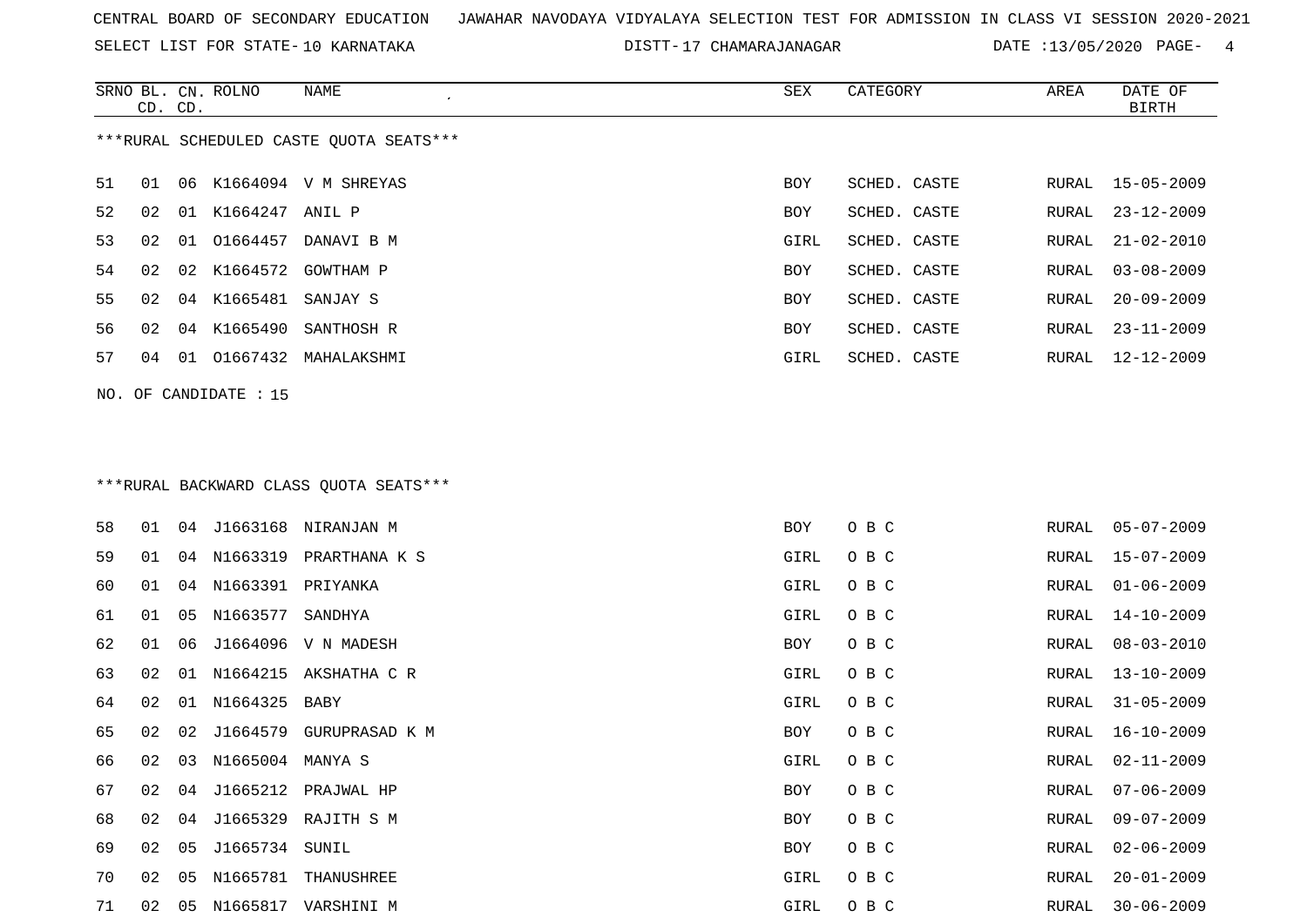SELECT LIST FOR STATE- DISTT- 10 KARNATAKA

17 CHAMARAJANAGAR DATE :13/05/2020 PAGE- 4

|    | CD. CD. |    | SRNO BL. CN. ROLNO    | NAME<br>$\epsilon$                      | SEX        | CATEGORY     | AREA         | DATE OF<br><b>BIRTH</b> |
|----|---------|----|-----------------------|-----------------------------------------|------------|--------------|--------------|-------------------------|
|    |         |    |                       | ***RURAL SCHEDULED CASTE QUOTA SEATS*** |            |              |              |                         |
| 51 | 01      | 06 |                       | K1664094 V M SHREYAS                    | BOY        | SCHED. CASTE | RURAL        | $15 - 05 - 2009$        |
| 52 | 02      | 01 | K1664247 ANIL P       |                                         | BOY        | SCHED. CASTE | RURAL        | $23 - 12 - 2009$        |
| 53 | 02      | 01 |                       | 01664457 DANAVI B M                     | GIRL       | SCHED. CASTE | RURAL        | $21 - 02 - 2010$        |
| 54 | 02      | 02 | K1664572              | GOWTHAM P                               | <b>BOY</b> | SCHED. CASTE | <b>RURAL</b> | $03 - 08 - 2009$        |
| 55 | 02      |    | 04 K1665481 SANJAY S  |                                         | BOY        | SCHED. CASTE | RURAL        | $20 - 09 - 2009$        |
| 56 | 02      |    | 04 K1665490           | SANTHOSH R                              | BOY        | SCHED. CASTE | RURAL        | $23 - 11 - 2009$        |
| 57 | 04      |    |                       | 01 01667432 MAHALAKSHMI                 | GIRL       | SCHED. CASTE | RURAL        | $12 - 12 - 2009$        |
|    |         |    | NO. OF CANDIDATE : 15 |                                         |            |              |              |                         |
|    |         |    |                       |                                         |            |              |              |                         |
|    |         |    |                       |                                         |            |              |              |                         |
|    |         |    |                       | *** RURAL BACKWARD CLASS QUOTA SEATS*** |            |              |              |                         |
| 58 | 01      | 04 |                       | J1663168 NIRANJAN M                     | BOY        | O B C        | RURAL        | $05 - 07 - 2009$        |
| 59 | 01      | 04 |                       | N1663319 PRARTHANA K S                  | GIRL       | O B C        | RURAL        | $15 - 07 - 2009$        |
| 60 | 01      | 04 | N1663391 PRIYANKA     |                                         | GIRL       | O B C        | RURAL        | $01 - 06 - 2009$        |
| 61 | 01      | 05 | N1663577 SANDHYA      |                                         | GIRL       | O B C        | RURAL        | 14-10-2009              |
| 62 | 01      | 06 |                       | J1664096 V N MADESH                     | BOY        | O B C        | RURAL        | $08 - 03 - 2010$        |
| 63 | 02      | 01 |                       | N1664215 AKSHATHA C R                   | GIRL       | O B C        | RURAL        | $13 - 10 - 2009$        |
| 64 | 02      | 01 | N1664325              | BABY                                    | GIRL       | O B C        | RURAL        | $31 - 05 - 2009$        |
| 65 | 02      | 02 | J1664579              | GURUPRASAD K M                          | BOY        | O B C        | RURAL        | $16 - 10 - 2009$        |
| 66 | 02      | 03 | N1665004 MANYA S      |                                         | GIRL       | O B C        | RURAL        | $02 - 11 - 2009$        |
| 67 | 02      | 04 |                       | J1665212 PRAJWAL HP                     | BOY        | O B C        | RURAL        | $07 - 06 - 2009$        |
| 68 | 02      | 04 |                       | J1665329 RAJITH S M                     | <b>BOY</b> | O B C        | RURAL        | $09 - 07 - 2009$        |
| 69 | 02      | 05 | J1665734 SUNIL        |                                         | BOY        | O B C        | RURAL        | $02 - 06 - 2009$        |
| 70 | 02      | 05 |                       | N1665781 THANUSHREE                     | GIRL       | O B C        | RURAL        | $20 - 01 - 2009$        |
| 71 | 02      |    |                       | 05 N1665817 VARSHINI M                  | GIRL       | O B C        | RURAL        | $30 - 06 - 2009$        |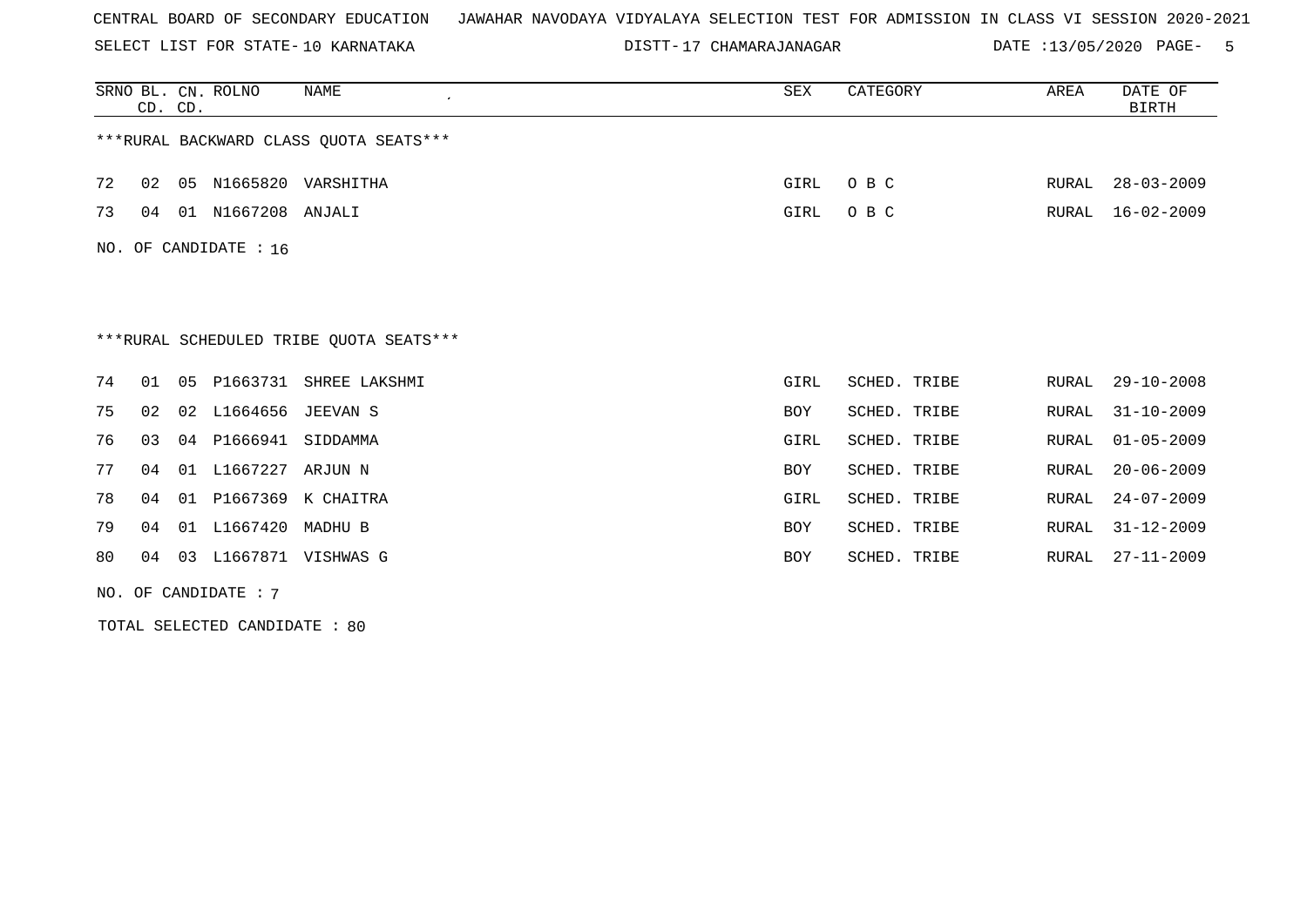SELECT LIST FOR STATE- DISTT- 10 KARNATAKA

17 CHAMARAJANAGAR DATE :13/05/2020 PAGE- 5

|    | CD. CD. |    | SRNO BL. CN. ROLNO    | NAME                                    | SEX        | CATEGORY     | AREA  | DATE OF<br><b>BIRTH</b> |
|----|---------|----|-----------------------|-----------------------------------------|------------|--------------|-------|-------------------------|
|    |         |    |                       | *** RURAL BACKWARD CLASS QUOTA SEATS*** |            |              |       |                         |
| 72 | 02      |    |                       | 05 N1665820 VARSHITHA                   | GIRL       | O B C        | RURAL | $28 - 03 - 2009$        |
| 73 | 04      |    | 01 N1667208 ANJALI    |                                         | GIRL       | O B C        | RURAL | $16 - 02 - 2009$        |
|    |         |    | NO. OF CANDIDATE : 16 |                                         |            |              |       |                         |
|    |         |    |                       |                                         |            |              |       |                         |
|    |         |    |                       |                                         |            |              |       |                         |
|    |         |    |                       | ***RURAL SCHEDULED TRIBE OUOTA SEATS*** |            |              |       |                         |
| 74 | 01      | 05 | P1663731              | SHREE LAKSHMI                           | GIRL       | SCHED. TRIBE | RURAL | $29 - 10 - 2008$        |
| 75 | 02      | 02 | L1664656              | JEEVAN S                                | BOY        | SCHED. TRIBE | RURAL | $31 - 10 - 2009$        |
| 76 | 03      |    | 04 P1666941           | SIDDAMMA                                | GIRL       | SCHED. TRIBE | RURAL | $01 - 05 - 2009$        |
| 77 | 04      |    | 01 L1667227           | ARJUN N                                 | <b>BOY</b> | SCHED. TRIBE | RURAL | $20 - 06 - 2009$        |
| 78 | 04      | 01 | P1667369              | K CHAITRA                               | GIRL       | SCHED. TRIBE | RURAL | $24 - 07 - 2009$        |
| 79 | 04      | 01 | L1667420              | MADHU B                                 | <b>BOY</b> | SCHED. TRIBE | RURAL | $31 - 12 - 2009$        |
| 80 | 04      |    |                       | 03 L1667871 VISHWAS G                   | <b>BOY</b> | SCHED. TRIBE | RURAL | 27-11-2009              |
|    |         |    | NO. OF CANDIDATE: 7   |                                         |            |              |       |                         |

TOTAL SELECTED CANDIDATE : 80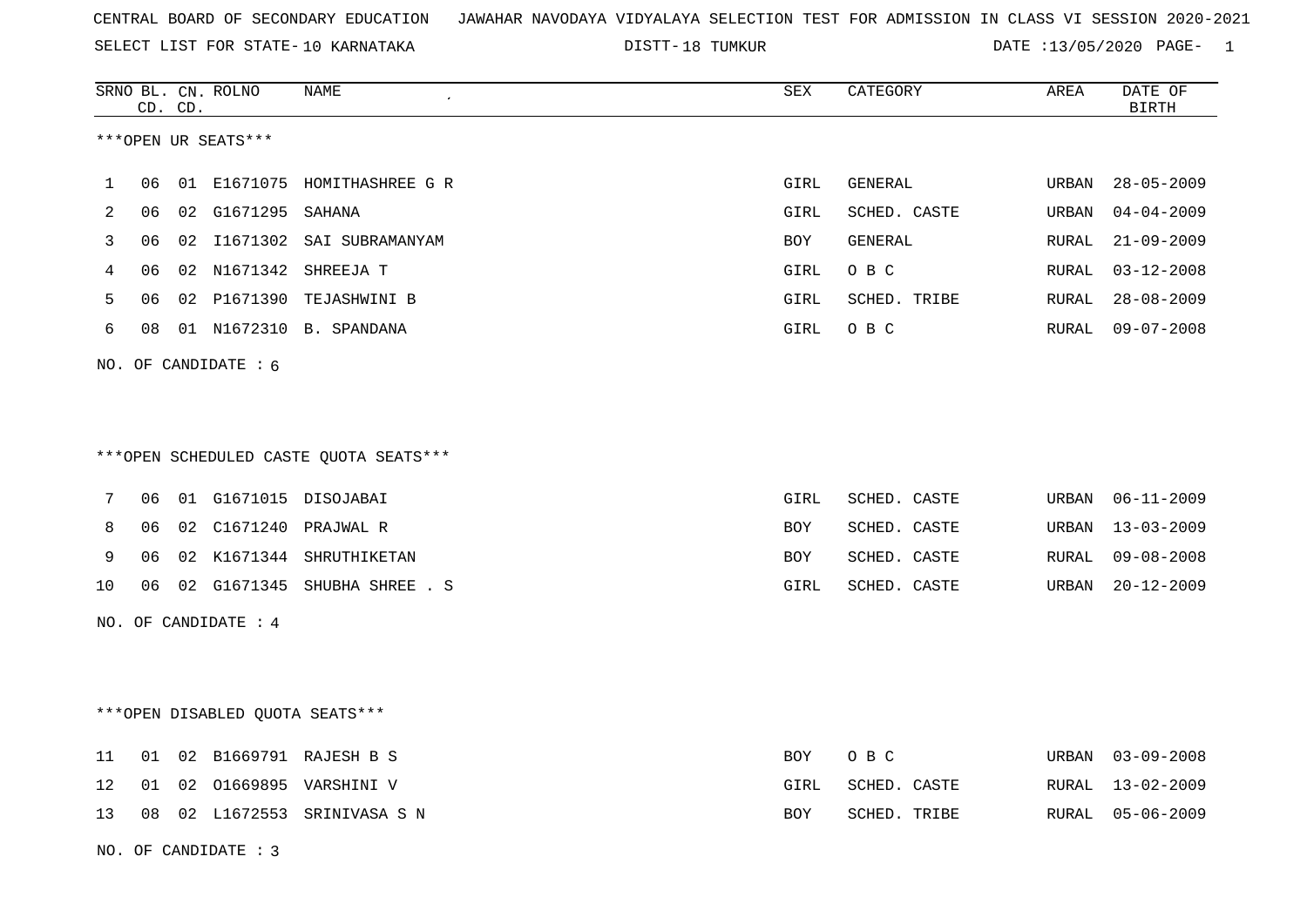SELECT LIST FOR STATE- DISTT- 10 KARNATAKA

DISTT-18 TUMKUR 18 13/05/2020 PAGE- 1

|    |    | CD. CD. | SRNO BL. CN. ROLNO     | NAME                                   | <b>SEX</b> | CATEGORY     | AREA  | DATE OF<br><b>BIRTH</b> |
|----|----|---------|------------------------|----------------------------------------|------------|--------------|-------|-------------------------|
|    |    |         | ***OPEN UR SEATS***    |                                        |            |              |       |                         |
| 1  | 06 |         |                        | 01 E1671075 HOMITHASHREE G R           | GIRL       | GENERAL      | URBAN | $28 - 05 - 2009$        |
| 2  | 06 |         | 02 G1671295 SAHANA     |                                        | GIRL       | SCHED. CASTE | URBAN | $04 - 04 - 2009$        |
| 3  | 06 |         |                        | 02 I1671302 SAI SUBRAMANYAM            | BOY        | GENERAL      | RURAL | $21 - 09 - 2009$        |
| 4  | 06 |         |                        | 02 N1671342 SHREEJA T                  | GIRL       | O B C        | RURAL | $03 - 12 - 2008$        |
| 5  | 06 |         |                        | 02 P1671390 TEJASHWINI B               | GIRL       | SCHED. TRIBE | RURAL | $28 - 08 - 2009$        |
| 6  | 08 |         |                        | 01 N1672310 B. SPANDANA                | GIRL       | O B C        | RURAL | $09 - 07 - 2008$        |
|    |    |         | NO. OF CANDIDATE $: 6$ |                                        |            |              |       |                         |
|    |    |         |                        |                                        |            |              |       |                         |
|    |    |         |                        |                                        |            |              |       |                         |
|    |    |         |                        | ***OPEN SCHEDULED CASTE QUOTA SEATS*** |            |              |       |                         |
| 7  | 06 |         |                        | 01 G1671015 DISOJABAI                  | GIRL       | SCHED. CASTE | URBAN | $06 - 11 - 2009$        |
| 8  | 06 |         |                        | 02 C1671240 PRAJWAL R                  | BOY        | SCHED. CASTE | URBAN | $13 - 03 - 2009$        |
| 9  | 06 |         |                        | 02 K1671344 SHRUTHIKETAN               | BOY        | SCHED. CASTE | RURAL | $09 - 08 - 2008$        |
| 10 | 06 |         |                        | 02 G1671345 SHUBHA SHREE . S           | GIRL       | SCHED. CASTE | URBAN | $20 - 12 - 2009$        |
|    |    |         | NO. OF CANDIDATE : $4$ |                                        |            |              |       |                         |
|    |    |         |                        |                                        |            |              |       |                         |
|    |    |         |                        |                                        |            |              |       |                         |
|    |    |         |                        | ***OPEN DISABLED QUOTA SEATS***        |            |              |       |                         |
| 11 | 01 |         |                        | 02 B1669791 RAJESH B S                 | <b>BOY</b> | O B C        | URBAN | $03 - 09 - 2008$        |
| 12 | 01 |         |                        | 02 01669895 VARSHINI V                 | GIRL       | SCHED. CASTE | RURAL | $13 - 02 - 2009$        |
| 13 |    |         |                        | 08 02 L1672553 SRINIVASA S N           | BOY        | SCHED. TRIBE | RURAL | $05 - 06 - 2009$        |
|    |    |         | NO. OF CANDIDATE : 3   |                                        |            |              |       |                         |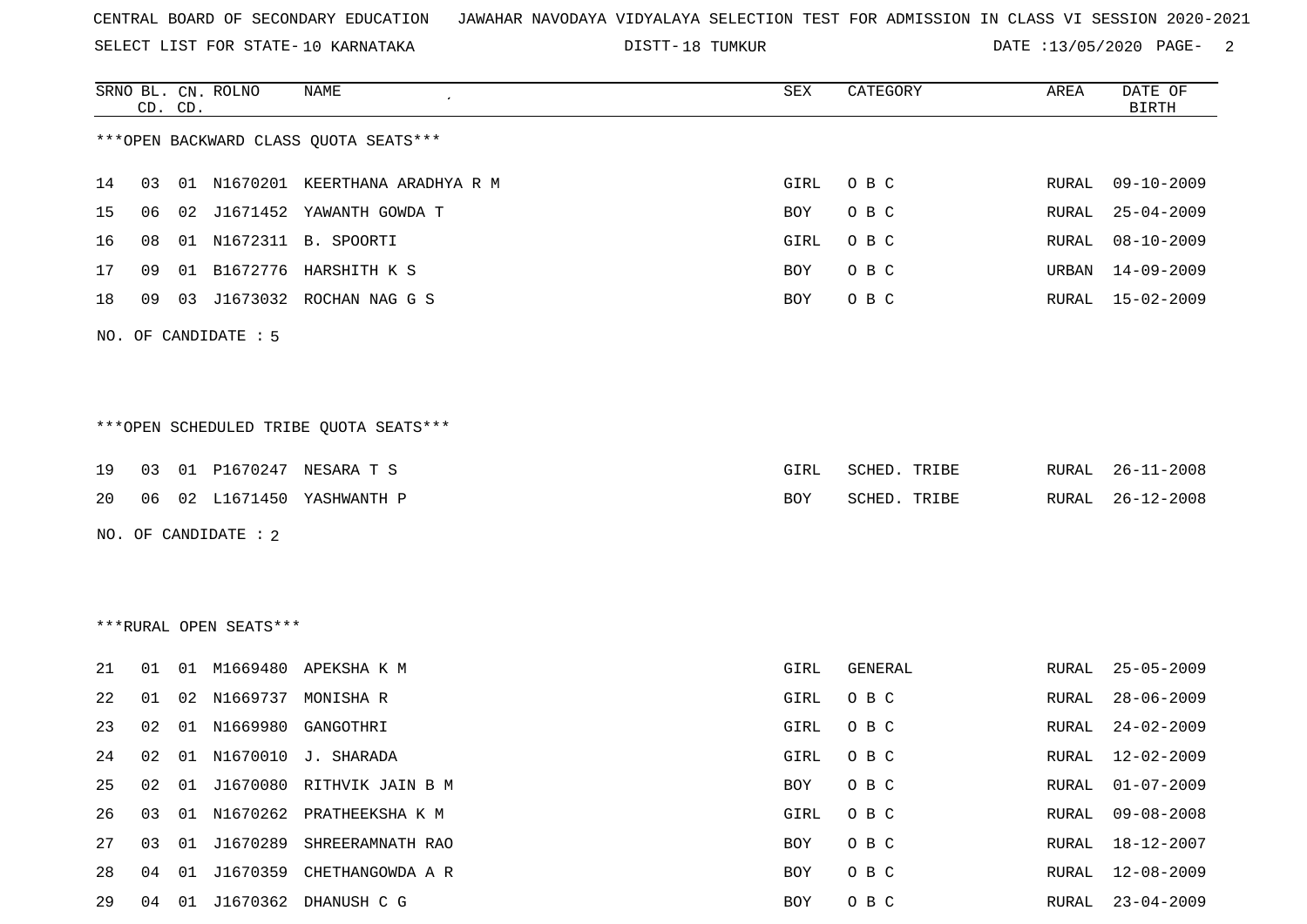SELECT LIST FOR STATE- DISTT- 10 KARNATAKA

DISTT-18 TUMKUR 18 18 18 18 18 18 18 18 18 18 18 19 19 11 12 13 14 15 16 17 18 18 19 19 10 11 12 13 14 15 16 1

|    |    | CD. CD. | SRNO BL. CN. ROLNO     | NAME                                   | SEX  | CATEGORY     | AREA  | DATE OF<br><b>BIRTH</b> |
|----|----|---------|------------------------|----------------------------------------|------|--------------|-------|-------------------------|
|    |    |         |                        | *** OPEN BACKWARD CLASS QUOTA SEATS*** |      |              |       |                         |
| 14 | 03 |         |                        | 01 N1670201 KEERTHANA ARADHYA R M      | GIRL | O B C        | RURAL | $09 - 10 - 2009$        |
| 15 | 06 | 02      |                        | J1671452 YAWANTH GOWDA T               | BOY  | O B C        | RURAL | $25 - 04 - 2009$        |
| 16 | 08 | 01      |                        | N1672311 B. SPOORTI                    | GIRL | O B C        | RURAL | $08 - 10 - 2009$        |
| 17 | 09 | 01      | B1672776               | HARSHITH K S                           | BOY  | O B C        | URBAN | $14 - 09 - 2009$        |
| 18 | 09 | 03      |                        | J1673032 ROCHAN NAG G S                | BOY  | O B C        | RURAL | $15 - 02 - 2009$        |
|    |    |         | NO. OF CANDIDATE : 5   |                                        |      |              |       |                         |
|    |    |         |                        |                                        |      |              |       |                         |
|    |    |         |                        | ***OPEN SCHEDULED TRIBE QUOTA SEATS*** |      |              |       |                         |
| 19 | 03 |         |                        | 01 P1670247 NESARA T S                 | GIRL | SCHED. TRIBE | RURAL | $26 - 11 - 2008$        |
| 20 | 06 |         |                        | 02 L1671450 YASHWANTH P                | BOY  | SCHED. TRIBE | RURAL | $26 - 12 - 2008$        |
|    |    |         | NO. OF CANDIDATE : 2   |                                        |      |              |       |                         |
|    |    |         |                        |                                        |      |              |       |                         |
|    |    |         |                        |                                        |      |              |       |                         |
|    |    |         | ***RURAL OPEN SEATS*** |                                        |      |              |       |                         |
| 21 | 01 | 01      |                        | M1669480 APEKSHA K M                   | GIRL | GENERAL      | RURAL | $25 - 05 - 2009$        |
| 22 | 01 | 02      |                        | N1669737 MONISHA R                     | GIRL | O B C        | RURAL | $28 - 06 - 2009$        |
| 23 | 02 | 01      | N1669980               | GANGOTHRI                              | GIRL | O B C        | RURAL | $24 - 02 - 2009$        |
| 24 | 02 |         |                        | 01 N1670010 J. SHARADA                 | GIRL | O B C        | RURAL | 12-02-2009              |
| 25 | 02 | 01      |                        | J1670080 RITHVIK JAIN B M              | BOY  | $O$ B $C$    | RURAL | $01 - 07 - 2009$        |
| 26 | 03 | 01      |                        | N1670262 PRATHEEKSHA K M               | GIRL | O B C        | RURAL | $09 - 08 - 2008$        |
| 27 | 03 |         |                        | 01 J1670289 SHREERAMNATH RAO           | BOY  | O B C        | RURAL | 18-12-2007              |
| 28 | 04 |         |                        | 01 J1670359 CHETHANGOWDA A R           | BOY  | O B C        | RURAL | $12 - 08 - 2009$        |
| 29 | 04 |         |                        | 01 J1670362 DHANUSH C G                | BOY  | O B C        | RURAL | $23 - 04 - 2009$        |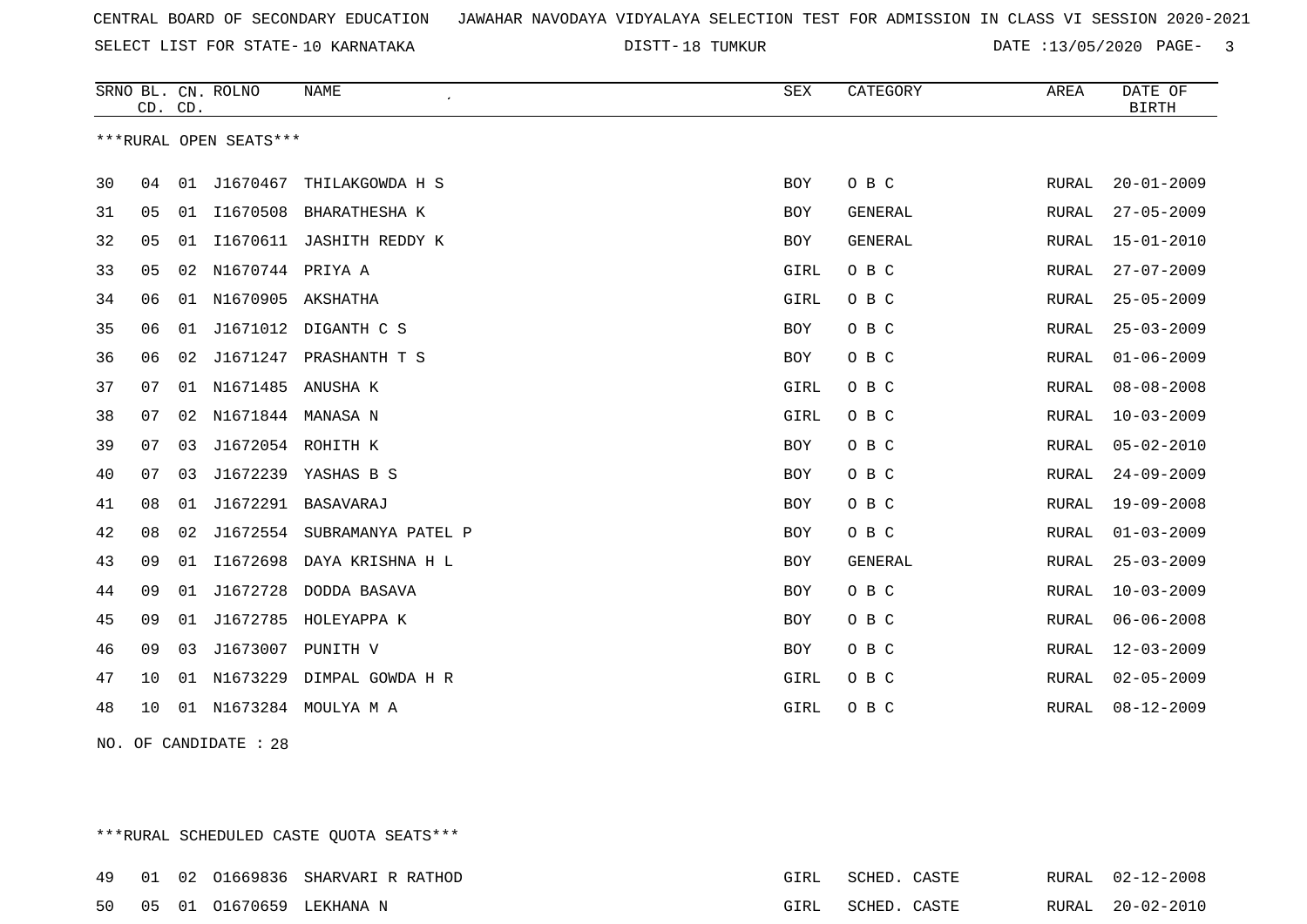18 TUMKUR DATE :13/05/2020 PAGE- 3

|    | CD. CD. |    | SRNO BL. CN. ROLNO     | NAME                      | SEX        | CATEGORY       | AREA  | DATE OF<br><b>BIRTH</b> |
|----|---------|----|------------------------|---------------------------|------------|----------------|-------|-------------------------|
|    |         |    | ***RURAL OPEN SEATS*** |                           |            |                |       |                         |
| 30 | 04      | 01 | J1670467               | THILAKGOWDA H S           | <b>BOY</b> | O B C          | RURAL | $20 - 01 - 2009$        |
| 31 | 05      | 01 |                        | I1670508 BHARATHESHA K    | BOY        | GENERAL        | RURAL | $27 - 05 - 2009$        |
| 32 | 05      | 01 | I1670611               | JASHITH REDDY K           | <b>BOY</b> | <b>GENERAL</b> | RURAL | $15 - 01 - 2010$        |
| 33 | 05      | 02 | N1670744 PRIYA A       |                           | GIRL       | O B C          | RURAL | $27 - 07 - 2009$        |
| 34 | 06      |    | 01 N1670905 AKSHATHA   |                           | GIRL       | O B C          | RURAL | $25 - 05 - 2009$        |
| 35 | 06      | 01 |                        | J1671012 DIGANTH C S      | <b>BOY</b> | O B C          | RURAL | $25 - 03 - 2009$        |
| 36 | 06      | 02 | J1671247               | PRASHANTH T S             | <b>BOY</b> | O B C          | RURAL | $01 - 06 - 2009$        |
| 37 | 07      | 01 | N1671485 ANUSHA K      |                           | GIRL       | O B C          | RURAL | $08 - 08 - 2008$        |
| 38 | 07      | 02 | N1671844 MANASA N      |                           | GIRL       | O B C          | RURAL | $10 - 03 - 2009$        |
| 39 | 07      | 03 | J1672054 ROHITH K      |                           | <b>BOY</b> | O B C          | RURAL | $05 - 02 - 2010$        |
| 40 | 07      | 03 | J1672239               | YASHAS B S                | <b>BOY</b> | O B C          | RURAL | $24 - 09 - 2009$        |
| 41 | 08      | 01 | J1672291               | BASAVARAJ                 | <b>BOY</b> | O B C          | RURAL | $19 - 09 - 2008$        |
| 42 | 08      | 02 | J1672554               | SUBRAMANYA PATEL P        | <b>BOY</b> | O B C          | RURAL | $01 - 03 - 2009$        |
| 43 | 09      | 01 | I1672698               | DAYA KRISHNA H L          | <b>BOY</b> | <b>GENERAL</b> | RURAL | $25 - 03 - 2009$        |
| 44 | 09      | 01 | J1672728               | DODDA BASAVA              | BOY        | O B C          | RURAL | $10 - 03 - 2009$        |
| 45 | 09      | 01 | J1672785               | HOLEYAPPA K               | <b>BOY</b> | O B C          | RURAL | $06 - 06 - 2008$        |
| 46 | 09      | 03 | J1673007               | PUNITH V                  | <b>BOY</b> | O B C          | RURAL | $12 - 03 - 2009$        |
| 47 | 10      | 01 |                        | N1673229 DIMPAL GOWDA H R | GIRL       | O B C          | RURAL | $02 - 05 - 2009$        |
| 48 | 10      |    |                        | 01 N1673284 MOULYA M A    | GIRL       | O B C          | RURAL | $08 - 12 - 2009$        |

NO. OF CANDIDATE : 28

\*\*\*RURAL SCHEDULED CASTE QUOTA SEATS\*\*\* 01 02 O1669836 SHARVARI R RATHOD GIRL SCHED. CASTE RURAL 02-12-2008 05 01 O1670659 LEKHANA N GIRL SCHED. CASTE RURAL 20-02-2010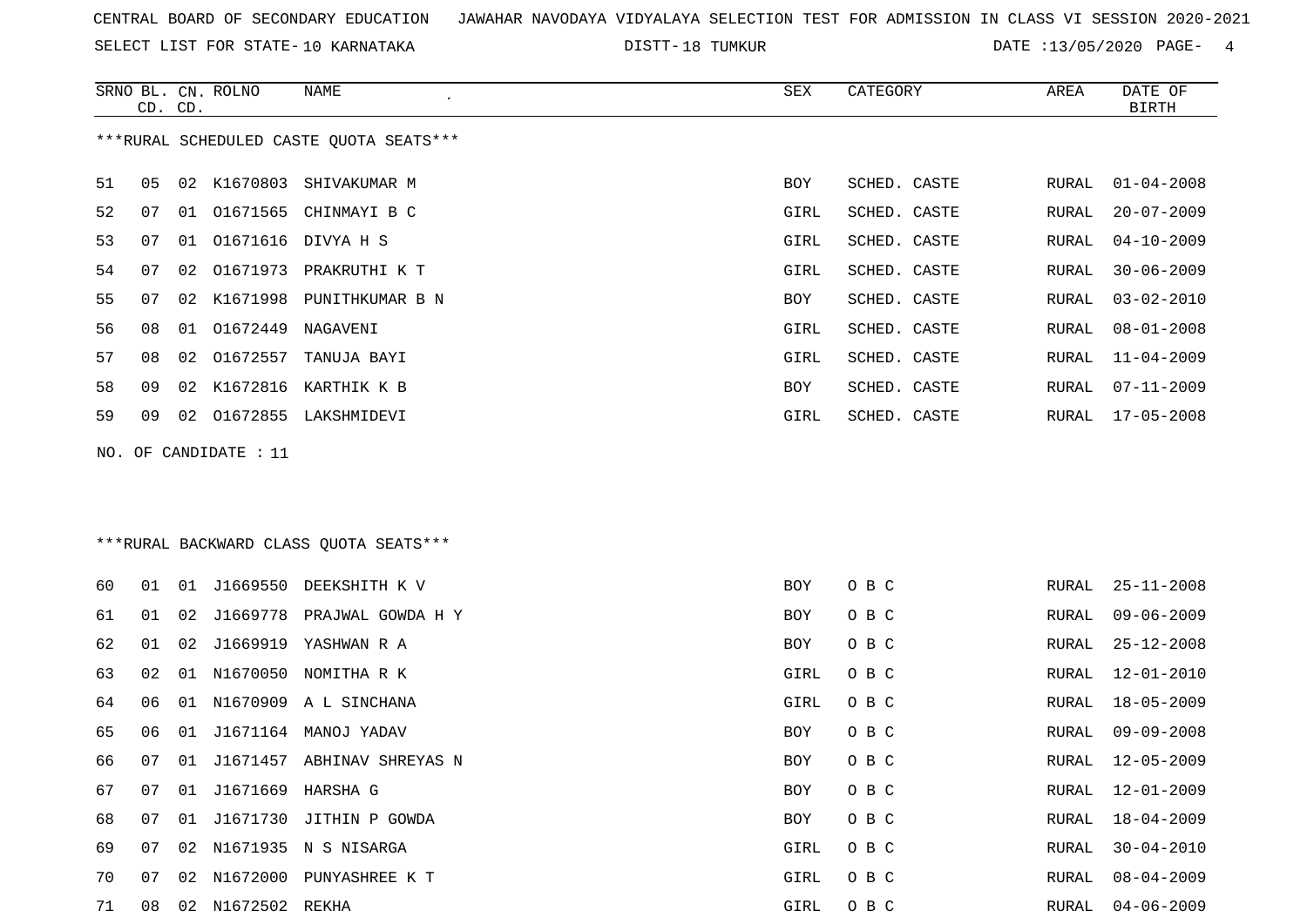SELECT LIST FOR STATE- DISTT- 10 KARNATAKA

DISTT-18 TUMKUR 18 13/05/2020 PAGE- 4

|    | CD. CD. |    | SRNO BL. CN. ROLNO | NAME                                    | SEX  | CATEGORY     | AREA  | DATE OF<br><b>BIRTH</b> |
|----|---------|----|--------------------|-----------------------------------------|------|--------------|-------|-------------------------|
|    |         |    |                    | ***RURAL SCHEDULED CASTE QUOTA SEATS*** |      |              |       |                         |
| 51 | 05      |    |                    | 02 K1670803 SHIVAKUMAR M                | BOY  | SCHED. CASTE | RURAL | $01 - 04 - 2008$        |
| 52 | 07      | 01 |                    | O1671565 CHINMAYI B C                   | GIRL | SCHED. CASTE | RURAL | $20 - 07 - 2009$        |
| 53 | 07      | 01 | 01671616           | DIVYA H S                               | GIRL | SCHED. CASTE | RURAL | $04 - 10 - 2009$        |
| 54 | 07      | 02 |                    | O1671973 PRAKRUTHI K T                  | GIRL | SCHED. CASTE | RURAL | $30 - 06 - 2009$        |
| 55 | 07      | 02 | K1671998           | PUNITHKUMAR B N                         | BOY  | SCHED. CASTE | RURAL | $03 - 02 - 2010$        |
| 56 | 08      | 01 | 01672449           | NAGAVENI                                | GIRL | SCHED. CASTE | RURAL | $08 - 01 - 2008$        |
| 57 | 08      | 02 | 01672557           | TANUJA BAYI                             | GIRL | SCHED. CASTE | RURAL | $11 - 04 - 2009$        |
| 58 | 09      | 02 | K1672816           | KARTHIK K B                             | BOY  | SCHED. CASTE | RURAL | $07 - 11 - 2009$        |
| 59 | 09      | 02 |                    | O1672855 LAKSHMIDEVI                    | GIRL | SCHED. CASTE | RURAL | $17 - 05 - 2008$        |
|    |         |    |                    | *** RURAL BACKWARD CLASS QUOTA SEATS*** |      |              |       |                         |
| 60 | 01      | 01 | J1669550           | DEEKSHITH K V                           | BOY  | O B C        | RURAL | $25 - 11 - 2008$        |
| 61 | 01      | 02 | J1669778           | PRAJWAL GOWDA H Y                       | BOY  | O B C        | RURAL | $09 - 06 - 2009$        |
| 62 | 01      | 02 | J1669919           | YASHWAN R A                             | BOY  | O B C        | RURAL | $25 - 12 - 2008$        |
| 63 | 02      | 01 |                    | N1670050 NOMITHA R K                    | GIRL | O B C        | RURAL | $12 - 01 - 2010$        |
| 64 | 06      | 01 |                    | N1670909 A L SINCHANA                   | GIRL | O B C        | RURAL | $18 - 05 - 2009$        |
| 65 | 06      | 01 |                    | J1671164 MANOJ YADAV                    | BOY  | O B C        | RURAL | $09 - 09 - 2008$        |
| 66 | 07      | 01 |                    | J1671457 ABHINAV SHREYAS N              | BOY  | O B C        | RURAL | $12 - 05 - 2009$        |
| 67 | 07      | 01 | J1671669 HARSHA G  |                                         | BOY  | O B C        | RURAL | $12 - 01 - 2009$        |
| 68 | 07      |    |                    | 01 J1671730 JITHIN P GOWDA              | BOY  | O B C        | RURAL | $18 - 04 - 2009$        |
| 69 | 07      |    |                    | 02 N1671935 N S NISARGA                 | GIRL | O B C        | RURAL | $30 - 04 - 2010$        |
| 70 | 07      |    |                    | 02 N1672000 PUNYASHREE K T              | GIRL | O B C        | RURAL | $08 - 04 - 2009$        |
| 71 | 08      |    | 02 N1672502 REKHA  |                                         | GIRL | O B C        | RURAL | $04 - 06 - 2009$        |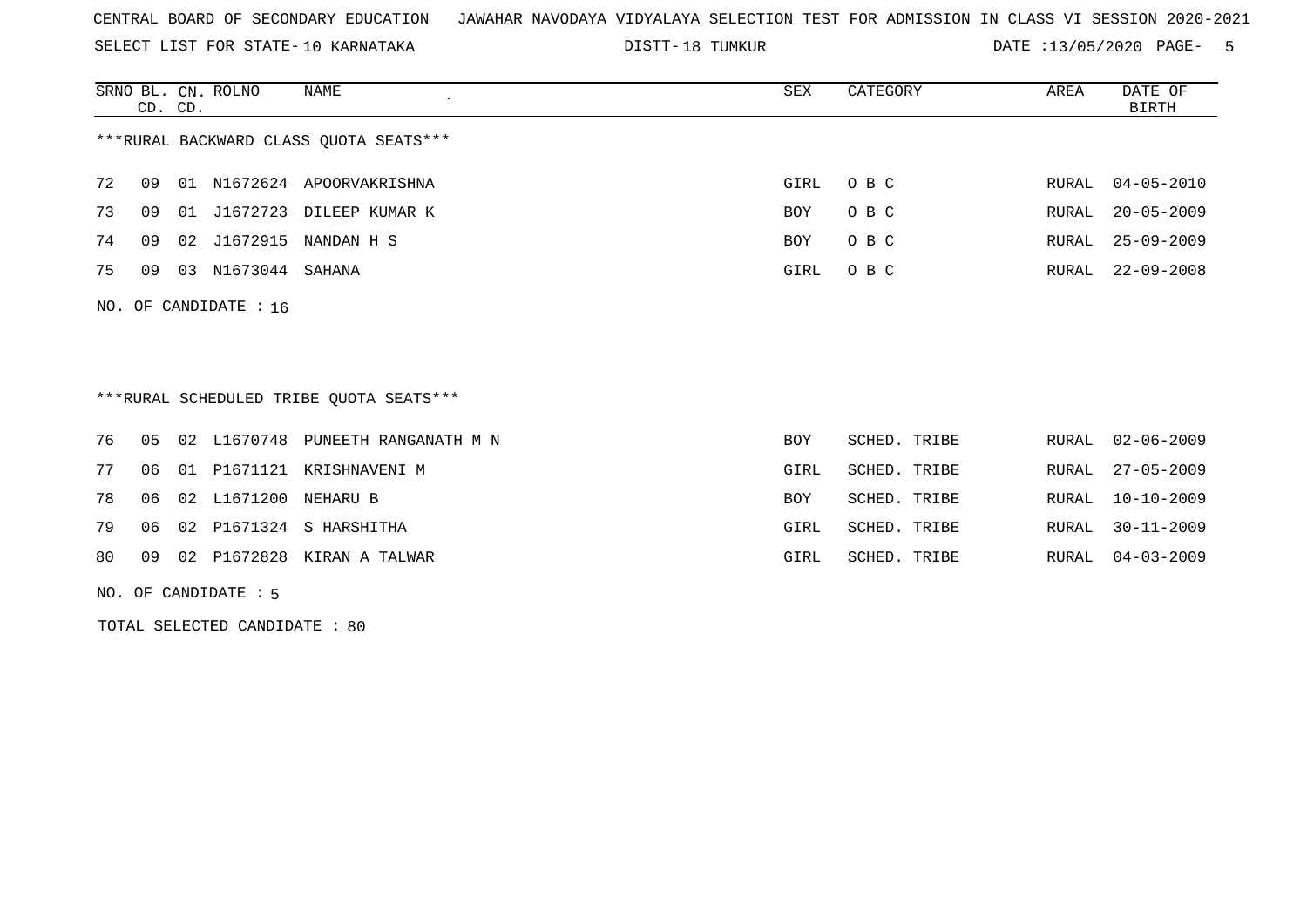SELECT LIST FOR STATE- DISTT- 10 KARNATAKA

18 TUMKUR DATE :13/05/2020 PAGE- 5

|                                        | CD. CD. |       | SRNO BL. CN. ROLNO      | NAME           | SEX  | CATEGORY | AREA  | DATE OF<br>BIRTH |  |
|----------------------------------------|---------|-------|-------------------------|----------------|------|----------|-------|------------------|--|
| ***RURAL BACKWARD CLASS QUOTA SEATS*** |         |       |                         |                |      |          |       |                  |  |
| 72                                     | 09      | . O 1 | N1672624                | APOORVAKRISHNA | GIRL | O B C    |       | RURAL 04-05-2010 |  |
| 73                                     | 09      | 01    | J1672723                | DILEEP KUMAR K | BOY  | O B C    | RURAL | $20 - 05 - 2009$ |  |
| 74                                     | 09      | 02    | J1672915                | NANDAN H S     | BOY  | O B C    | RURAL | $25 - 09 - 2009$ |  |
| 75                                     | 09      | 03    | N1673044                | SAHANA         | GIRL | O B C    | RURAL | $22 - 09 - 2008$ |  |
|                                        |         |       | NO. OF CANDIDATE : $16$ |                |      |          |       |                  |  |

\*\*\*RURAL SCHEDULED TRIBE QUOTA SEATS\*\*\*

|  |  | 76 05 02 L1670748 PUNEETH RANGANATH M N | BOY        | SCHED. TRIBE | RURAL 02-06-2009 |
|--|--|-----------------------------------------|------------|--------------|------------------|
|  |  | 77 06 01 P1671121 KRISHNAVENI M         | GIRL       | SCHED. TRIBE | RURAL 27-05-2009 |
|  |  | 78   06   02   L1671200   NEHARU   B    | <b>BOY</b> | SCHED. TRIBE | RURAL 10-10-2009 |
|  |  | 79 06 02 P1671324 S HARSHITHA           | GIRL       | SCHED. TRIBE | RURAL 30-11-2009 |
|  |  | 80 09 02 P1672828 KIRAN A TALWAR        | GIRL       | SCHED. TRIBE | RURAL 04-03-2009 |

NO. OF CANDIDATE : 5

TOTAL SELECTED CANDIDATE : 80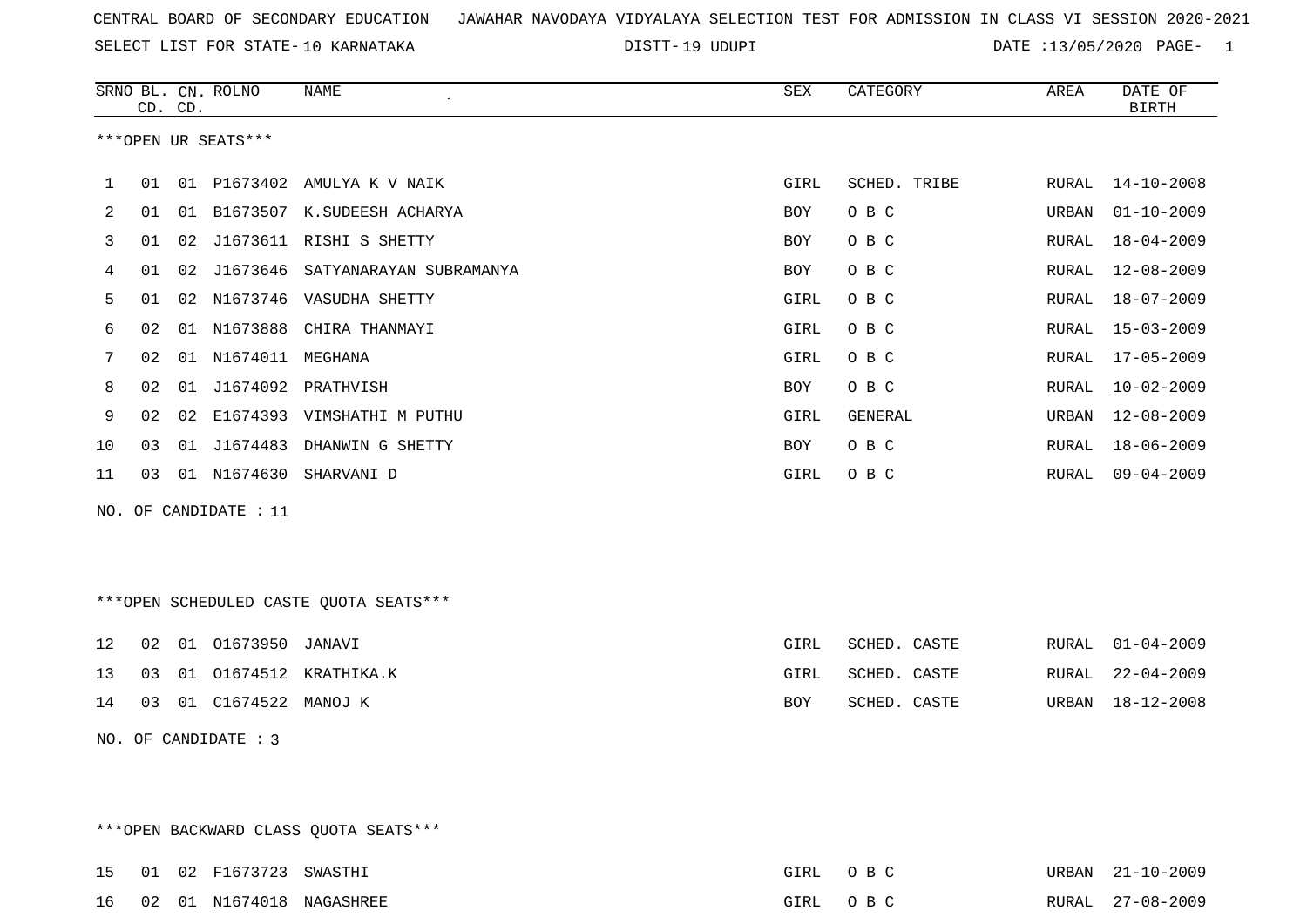SELECT LIST FOR STATE- DISTT- 10 KARNATAKA

DISTT-19 UDUPI DATE :13/05/2020 PAGE- 1

|     |    | CD. CD. | SRNO BL. CN. ROLNO   | <b>NAME</b>                            | ${\tt SEX}$ | CATEGORY     | AREA  | DATE OF<br><b>BIRTH</b> |
|-----|----|---------|----------------------|----------------------------------------|-------------|--------------|-------|-------------------------|
|     |    |         | ***OPEN UR SEATS***  |                                        |             |              |       |                         |
| 1   | 01 |         |                      | 01 P1673402 AMULYA K V NAIK            | GIRL        | SCHED. TRIBE | RURAL | $14 - 10 - 2008$        |
| 2   | 01 | 01      |                      | B1673507 K.SUDEESH ACHARYA             | BOY         | O B C        | URBAN | $01 - 10 - 2009$        |
| 3   | 01 |         |                      | 02 J1673611 RISHI S SHETTY             | BOY         | O B C        | RURAL | $18 - 04 - 2009$        |
| 4   | 01 | 02      |                      | J1673646 SATYANARAYAN SUBRAMANYA       | BOY         | O B C        | RURAL | $12 - 08 - 2009$        |
| 5   | 01 |         |                      | 02 N1673746 VASUDHA SHETTY             | GIRL        | O B C        | RURAL | $18 - 07 - 2009$        |
| 6   | 02 |         |                      | 01 N1673888 CHIRA THANMAYI             | GIRL        | O B C        | RURAL | $15 - 03 - 2009$        |
| 7   | 02 |         | 01 N1674011 MEGHANA  |                                        | GIRL        | O B C        | RURAL | $17 - 05 - 2009$        |
| 8   | 02 |         |                      | 01 J1674092 PRATHVISH                  | BOY         | O B C        | RURAL | $10 - 02 - 2009$        |
| 9   | 02 |         |                      | 02 E1674393 VIMSHATHI M PUTHU          | GIRL        | GENERAL      | URBAN | $12 - 08 - 2009$        |
| 10  | 03 |         |                      | 01 J1674483 DHANWIN G SHETTY           | BOY         | O B C        | RURAL | $18 - 06 - 2009$        |
| 11  | 03 |         |                      | 01 N1674630 SHARVANI D                 | GIRL        | O B C        | RURAL | $09 - 04 - 2009$        |
| NO. |    |         | OF CANDIDATE : 11    |                                        |             |              |       |                         |
|     |    |         |                      |                                        |             |              |       |                         |
|     |    |         |                      |                                        |             |              |       |                         |
|     |    |         |                      | ***OPEN SCHEDULED CASTE QUOTA SEATS*** |             |              |       |                         |
|     |    |         |                      |                                        |             |              |       |                         |
| 12  | 02 |         | 01 01673950 JANAVI   |                                        | GIRL        | SCHED. CASTE | RURAL | $01 - 04 - 2009$        |
| 13  | 03 |         |                      | 01 01674512 KRATHIKA.K                 | GIRL        | SCHED. CASTE | RURAL | $22 - 04 - 2009$        |
| 14  | 03 |         | 01 C1674522 MANOJ K  |                                        | BOY         | SCHED. CASTE | URBAN | $18 - 12 - 2008$        |
|     |    |         | NO. OF CANDIDATE : 3 |                                        |             |              |       |                         |
|     |    |         |                      |                                        |             |              |       |                         |
|     |    |         |                      |                                        |             |              |       |                         |

\*\*\*OPEN BACKWARD CLASS QUOTA SEATS\*\*\*

|  | 15 01 02 F1673723 SWASTHI |                             | GIRL OBC | URBAN 21-10-2009 |
|--|---------------------------|-----------------------------|----------|------------------|
|  |                           | 16 02 01 N1674018 NAGASHREE | GIRL OBC | RURAL 27-08-2009 |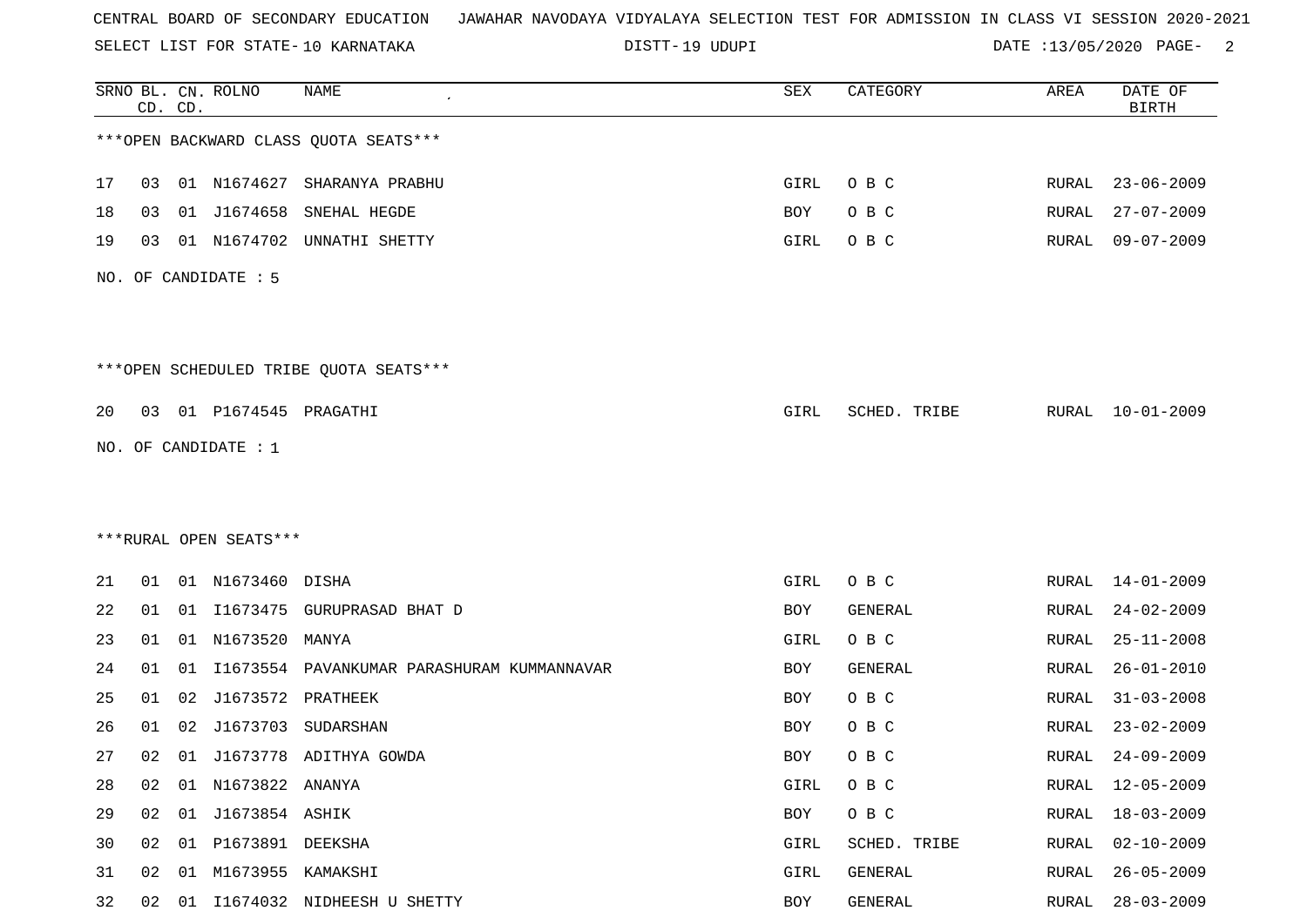SELECT LIST FOR STATE- DISTT- 10 KARNATAKA

19 UDUPI DATE :13/05/2020 PAGE- 2

|    |    | CD. CD. | SRNO BL. CN. ROLNO     | <b>NAME</b>                            | SEX        | CATEGORY     | AREA         | DATE OF<br><b>BIRTH</b> |
|----|----|---------|------------------------|----------------------------------------|------------|--------------|--------------|-------------------------|
|    |    |         |                        | *** OPEN BACKWARD CLASS QUOTA SEATS*** |            |              |              |                         |
| 17 | 03 |         |                        | 01 N1674627 SHARANYA PRABHU            | GIRL       | O B C        | RURAL        | $23 - 06 - 2009$        |
| 18 | 03 | 01      | J1674658               | SNEHAL HEGDE                           | <b>BOY</b> | O B C        | RURAL        | $27 - 07 - 2009$        |
| 19 | 03 |         | 01 N1674702            | UNNATHI SHETTY                         | GIRL       | O B C        | RURAL        | $09 - 07 - 2009$        |
|    |    |         | NO. OF CANDIDATE : 5   |                                        |            |              |              |                         |
|    |    |         |                        | ***OPEN SCHEDULED TRIBE QUOTA SEATS*** |            |              |              |                         |
| 20 | 03 |         | 01 P1674545 PRAGATHI   |                                        | GIRL       | SCHED. TRIBE | RURAL        | $10 - 01 - 2009$        |
|    |    |         | NO. OF CANDIDATE : 1   |                                        |            |              |              |                         |
|    |    |         |                        |                                        |            |              |              |                         |
|    |    |         |                        |                                        |            |              |              |                         |
|    |    |         | ***RURAL OPEN SEATS*** |                                        |            |              |              |                         |
| 21 | 01 |         | 01 N1673460 DISHA      |                                        | GIRL       | O B C        | RURAL        | $14 - 01 - 2009$        |
| 22 | 01 |         |                        | 01 I1673475 GURUPRASAD BHAT D          | BOY        | GENERAL      | RURAL        | $24 - 02 - 2009$        |
| 23 | 01 |         | 01 N1673520            | MANYA                                  | GIRL       | O B C        | RURAL        | $25 - 11 - 2008$        |
| 24 | 01 | 01      | I1673554               | PAVANKUMAR PARASHURAM KUMMANNAVAR      | <b>BOY</b> | GENERAL      | RURAL        | $26 - 01 - 2010$        |
| 25 | 01 | 02      | J1673572               | PRATHEEK                               | BOY        | O B C        | RURAL        | $31 - 03 - 2008$        |
| 26 | 01 | 02      | J1673703               | SUDARSHAN                              | BOY        | O B C        | RURAL        | $23 - 02 - 2009$        |
| 27 | 02 |         |                        | 01 J1673778 ADITHYA GOWDA              | <b>BOY</b> | O B C        | RURAL        | $24 - 09 - 2009$        |
| 28 | 02 |         | 01 N1673822 ANANYA     |                                        | GIRL       | O B C        | RURAL        | $12 - 05 - 2009$        |
| 29 | 02 |         | 01 J1673854 ASHIK      |                                        | BOY        | O B C        | <b>RURAL</b> | $18 - 03 - 2009$        |
| 30 | 02 |         | 01 P1673891 DEEKSHA    |                                        | GIRL       | SCHED. TRIBE | RURAL        | $02 - 10 - 2009$        |
| 31 | 02 | 01      | M1673955 KAMAKSHI      |                                        | GIRL       | GENERAL      | <b>RURAL</b> | $26 - 05 - 2009$        |
| 32 | 02 | 01      |                        | I1674032 NIDHEESH U SHETTY             | BOY        | GENERAL      | RURAL        | $28 - 03 - 2009$        |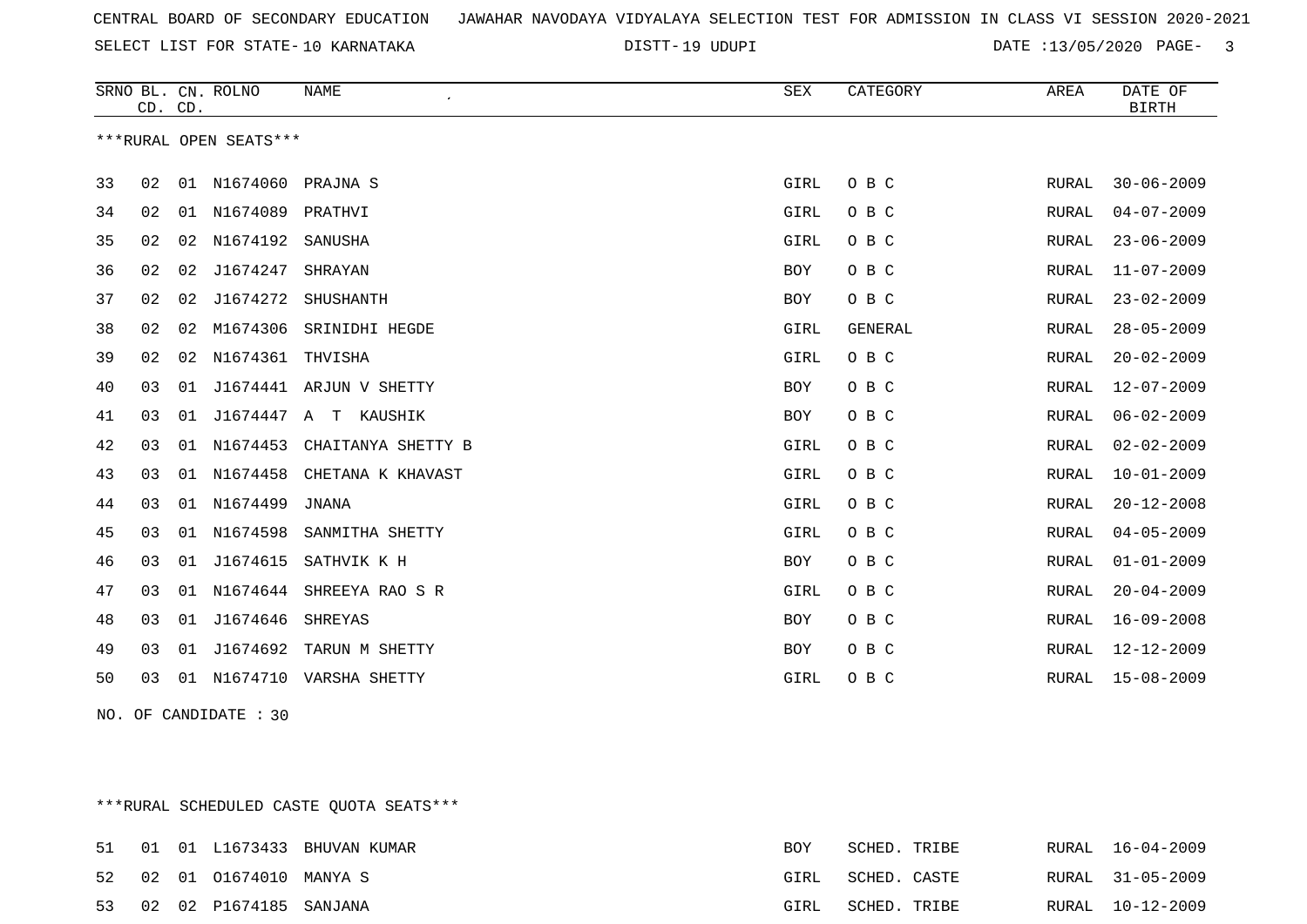19 UDUPI DATE :13/05/2020 PAGE- 3

|    | CD. CD. |    | SRNO BL. CN. ROLNO     | <b>NAME</b>              | <b>SEX</b> | CATEGORY | AREA  | DATE OF<br><b>BIRTH</b> |
|----|---------|----|------------------------|--------------------------|------------|----------|-------|-------------------------|
|    |         |    | ***RURAL OPEN SEATS*** |                          |            |          |       |                         |
| 33 | 02      |    | 01 N1674060 PRAJNA S   |                          | GIRL       | O B C    | RURAL | $30 - 06 - 2009$        |
| 34 | 02      | 01 | N1674089 PRATHVI       |                          | GIRL       | O B C    | RURAL | $04 - 07 - 2009$        |
| 35 | 02      |    | 02 N1674192 SANUSHA    |                          | GIRL       | O B C    | RURAL | $23 - 06 - 2009$        |
| 36 | 02      | 02 | J1674247               | SHRAYAN                  | BOY        | O B C    | RURAL | $11 - 07 - 2009$        |
| 37 | 02      | 02 | J1674272               | SHUSHANTH                | BOY        | O B C    | RURAL | $23 - 02 - 2009$        |
| 38 | 02      | 02 | M1674306               | SRINIDHI HEGDE           | GIRL       | GENERAL  | RURAL | $28 - 05 - 2009$        |
| 39 | 02      | 02 | N1674361               | THVISHA                  | GIRL       | O B C    | RURAL | $20 - 02 - 2009$        |
| 40 | 03      | 01 |                        | J1674441 ARJUN V SHETTY  | BOY        | O B C    | RURAL | $12 - 07 - 2009$        |
| 41 | 03      | 01 | J1674447               | T KAUSHIK<br>$\mathbb A$ | BOY        | O B C    | RURAL | $06 - 02 - 2009$        |
| 42 | 03      | 01 | N1674453               | CHAITANYA SHETTY B       | GIRL       | O B C    | RURAL | $02 - 02 - 2009$        |
| 43 | 03      | 01 | N1674458               | CHETANA K KHAVAST        | GIRL       | O B C    | RURAL | $10 - 01 - 2009$        |
| 44 | 03      | 01 | N1674499               | JNANA                    | GIRL       | O B C    | RURAL | $20 - 12 - 2008$        |
| 45 | 03      | 01 | N1674598               | SANMITHA SHETTY          | GIRL       | O B C    | RURAL | $04 - 05 - 2009$        |
| 46 | 03      | 01 | J1674615               | SATHVIK K H              | BOY        | O B C    | RURAL | $01 - 01 - 2009$        |
| 47 | 03      | 01 | N1674644               | SHREEYA RAO S R          | GIRL       | O B C    | RURAL | $20 - 04 - 2009$        |
| 48 | 03      | 01 | J1674646               | SHREYAS                  | BOY        | O B C    | RURAL | $16 - 09 - 2008$        |
| 49 | 03      | 01 | J1674692               | TARUN M SHETTY           | BOY        | O B C    | RURAL | $12 - 12 - 2009$        |
| 50 | 03      | 01 | N1674710               | VARSHA SHETTY            | GIRL       | O B C    | RURAL | $15 - 08 - 2009$        |
|    |         |    |                        |                          |            |          |       |                         |

NO. OF CANDIDATE : 30

\*\*\*RURAL SCHEDULED CASTE QUOTA SEATS\*\*\*

|  |                           | 51 01 01 L1673433 BHUVAN KUMAR | <b>BOY</b> | SCHED. TRIBE |  | RURAL 16-04-2009 |
|--|---------------------------|--------------------------------|------------|--------------|--|------------------|
|  | 52 02 01 01674010 MANYA S |                                | GIRL       | SCHED. CASTE |  | RURAL 31-05-2009 |
|  | 53 02 02 P1674185 SANJANA |                                | GIRL       | SCHED. TRIBE |  | RURAL 10-12-2009 |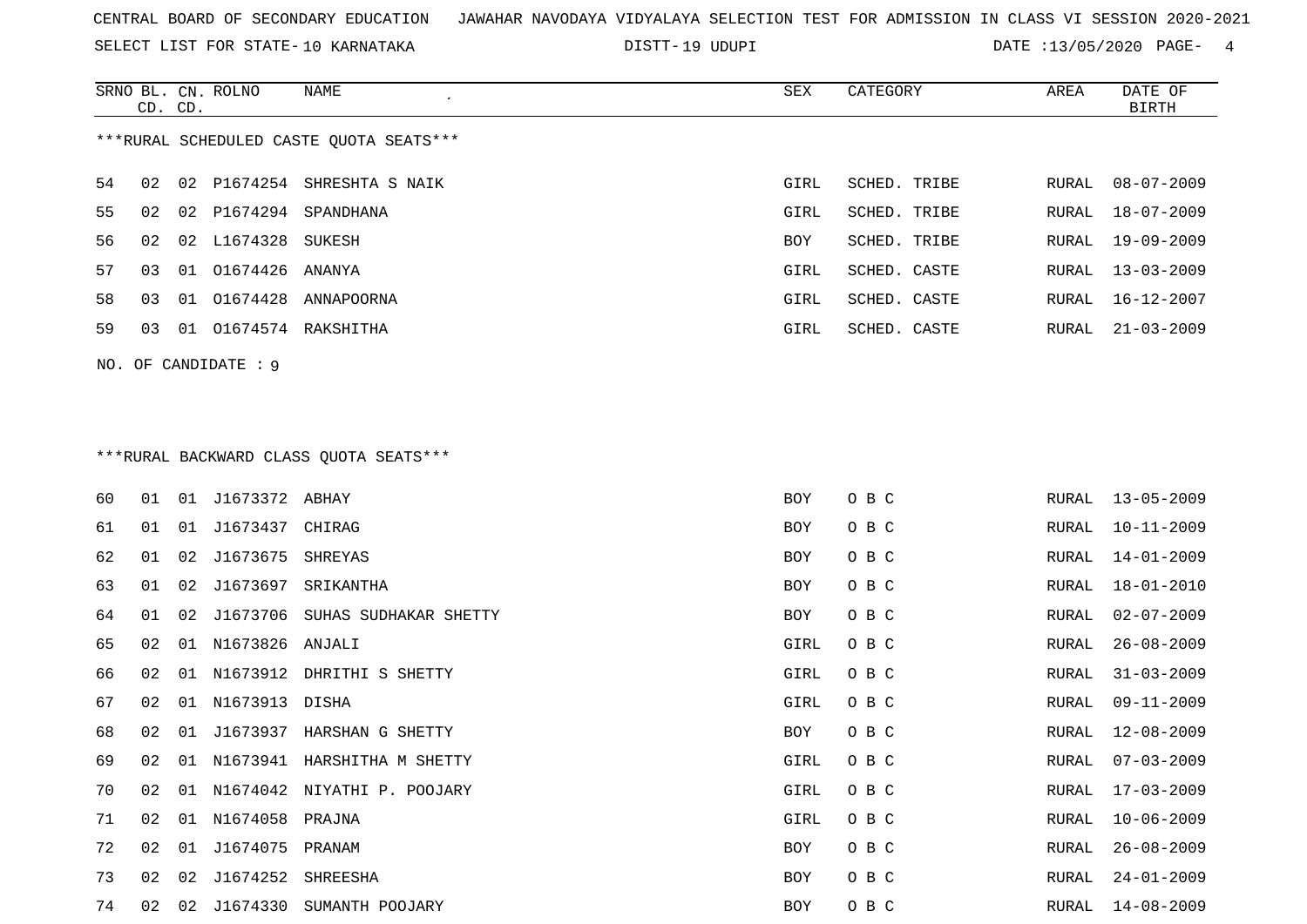SELECT LIST FOR STATE- DISTT- 10 KARNATAKA

19 UDUPI DATE :13/05/2020 PAGE- 4

|                                         | CD. CD.              |    | SRNO BL. CN. ROLNO | NAME                  | SEX        | CATEGORY     | AREA  | DATE OF<br>BIRTH |  |
|-----------------------------------------|----------------------|----|--------------------|-----------------------|------------|--------------|-------|------------------|--|
| ***RURAL SCHEDULED CASTE QUOTA SEATS*** |                      |    |                    |                       |            |              |       |                  |  |
| 54                                      | 02                   |    | 02 P1674254        | SHRESHTA S NAIK       | GIRL       | SCHED. TRIBE | RURAL | 08-07-2009       |  |
| 55                                      | 02                   |    |                    | 02 P1674294 SPANDHANA | GIRL       | SCHED. TRIBE | RURAL | 18-07-2009       |  |
| 56.                                     | 02                   |    | 02 L1674328 SUKESH |                       | <b>BOY</b> | SCHED. TRIBE | RURAL | 19-09-2009       |  |
| 57                                      | 03                   |    | 01 01674426 ANANYA |                       | GIRL       | SCHED. CASTE | RURAL | $13 - 03 - 2009$ |  |
| 58                                      | 03                   |    | 01 01674428        | ANNAPOORNA            | GIRL       | SCHED. CASTE | RURAL | 16-12-2007       |  |
| 59                                      | 03                   | 01 |                    | 01674574 RAKSHITHA    | GIRL       | SCHED. CASTE | RURAL | $21 - 03 - 2009$ |  |
|                                         | NO. OF CANDIDATE : 9 |    |                    |                       |            |              |       |                  |  |

# \*\*\*RURAL BACKWARD CLASS QUOTA SEATS\*\*\*

| 60 | 01 | 01 | J1673372 ABHAY     |                                | BOY  | O B C |       | RURAL 13-05-2009 |
|----|----|----|--------------------|--------------------------------|------|-------|-------|------------------|
| 61 | 01 | 01 | J1673437 CHIRAG    |                                | BOY  | O B C | RURAL | $10 - 11 - 2009$ |
| 62 | 01 | 02 | J1673675 SHREYAS   |                                | BOY  | O B C | RURAL | $14 - 01 - 2009$ |
| 63 | 01 | 02 |                    | J1673697 SRIKANTHA             | BOY  | O B C | RURAL | $18 - 01 - 2010$ |
| 64 | 01 | 02 |                    | J1673706 SUHAS SUDHAKAR SHETTY | BOY  | O B C | RURAL | $02 - 07 - 2009$ |
| 65 | 02 |    | 01 N1673826 ANJALI |                                | GIRL | O B C | RURAL | $26 - 08 - 2009$ |
| 66 | 02 | 01 |                    | N1673912 DHRITHI S SHETTY      | GIRL | O B C | RURAL | $31 - 03 - 2009$ |
| 67 | 02 |    | 01 N1673913 DISHA  |                                | GIRL | O B C | RURAL | $09 - 11 - 2009$ |
| 68 | 02 | 01 |                    | J1673937 HARSHAN G SHETTY      | BOY  | O B C | RURAL | $12 - 08 - 2009$ |
| 69 | 02 | 01 |                    | N1673941 HARSHITHA M SHETTY    | GIRL | O B C | RURAL | $07 - 03 - 2009$ |
| 70 | 02 | 01 |                    | N1674042 NIYATHI P. POOJARY    | GIRL | O B C | RURAL | $17 - 03 - 2009$ |
| 71 | 02 | 01 | N1674058 PRAJNA    |                                | GIRL | O B C | RURAL | $10 - 06 - 2009$ |
| 72 | 02 | 01 | J1674075 PRANAM    |                                | BOY  | O B C | RURAL | $26 - 08 - 2009$ |
| 73 | 02 | 02 | J1674252           | SHREESHA                       | BOY  | O B C | RURAL | $24 - 01 - 2009$ |
| 74 | 02 | 02 |                    | J1674330 SUMANTH POOJARY       | BOY  | O B C | RURAL | 14-08-2009       |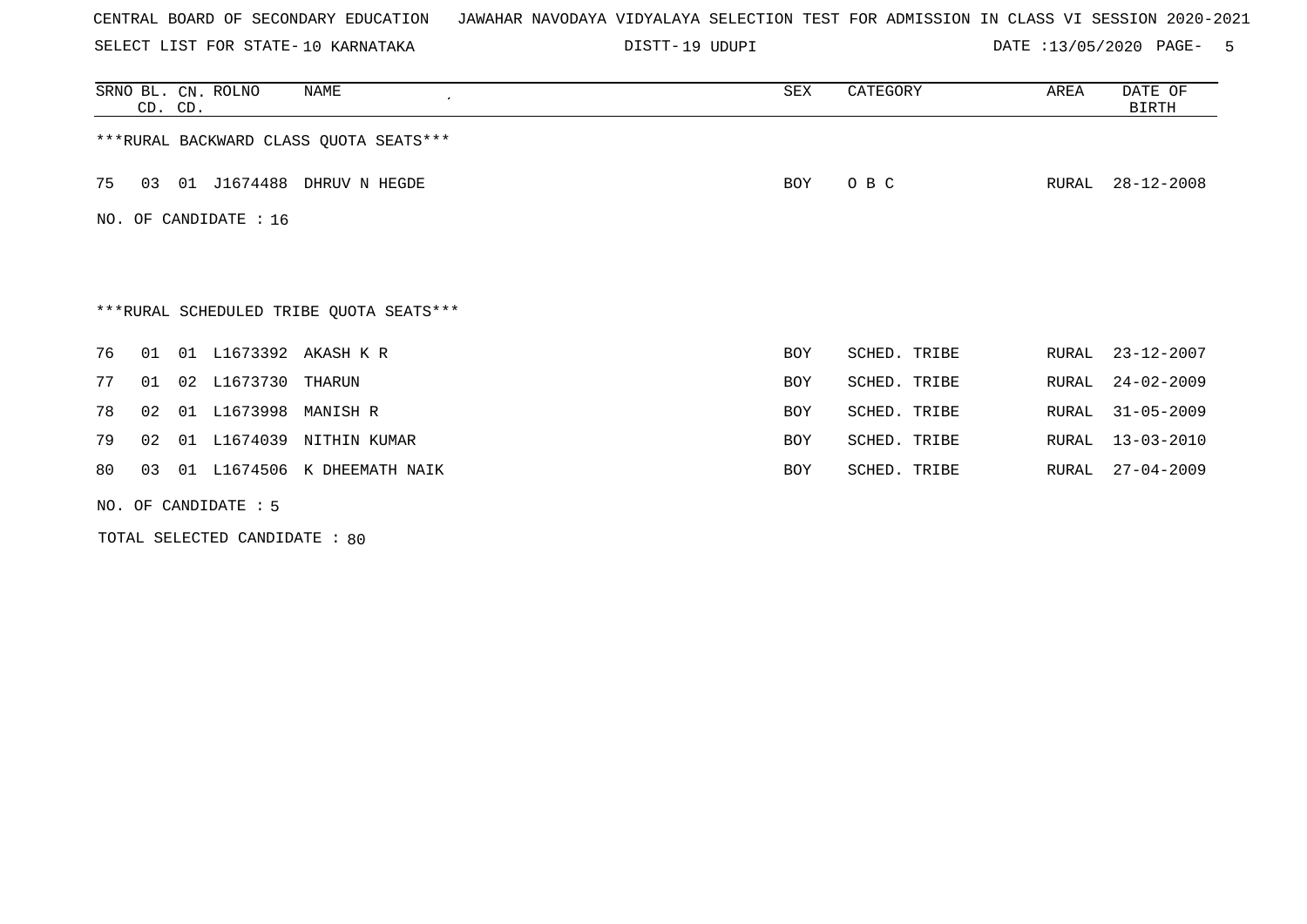SELECT LIST FOR STATE- DISTT- 10 KARNATAKA

19 UDUPI DATE :13/05/2020 PAGE- 5

| SRNO BL. CN. ROLNO<br>NAME<br>CD. CD.   | SEX        | CATEGORY     | AREA  | DATE OF<br>BIRTH |
|-----------------------------------------|------------|--------------|-------|------------------|
| *** RURAL BACKWARD CLASS QUOTA SEATS*** |            |              |       |                  |
| 01 J1674488 DHRUV N HEGDE<br>75<br>03   | BOY        | O B C        | RURAL | $28 - 12 - 2008$ |
| NO. OF CANDIDATE : 16                   |            |              |       |                  |
|                                         |            |              |       |                  |
| ***RURAL SCHEDULED TRIBE QUOTA SEATS*** |            |              |       |                  |
| 01 L1673392 AKASH K R<br>76<br>01       | <b>BOY</b> | SCHED. TRIBE | RURAL | $23 - 12 - 2007$ |
| 02 L1673730 THARUN<br>77<br>01          | <b>BOY</b> | SCHED. TRIBE | RURAL | $24 - 02 - 2009$ |
| 01 L1673998 MANISH R<br>78<br>02        | BOY        | SCHED. TRIBE | RURAL | $31 - 05 - 2009$ |
| 01 L1674039 NITHIN KUMAR<br>79<br>02    | <b>BOY</b> | SCHED. TRIBE | RURAL | $13 - 03 - 2010$ |
| 01 L1674506 K DHEEMATH NAIK<br>80<br>03 | <b>BOY</b> | SCHED. TRIBE | RURAL | $27 - 04 - 2009$ |
| NO. OF CANDIDATE $: 5$                  |            |              |       |                  |

TOTAL SELECTED CANDIDATE : 80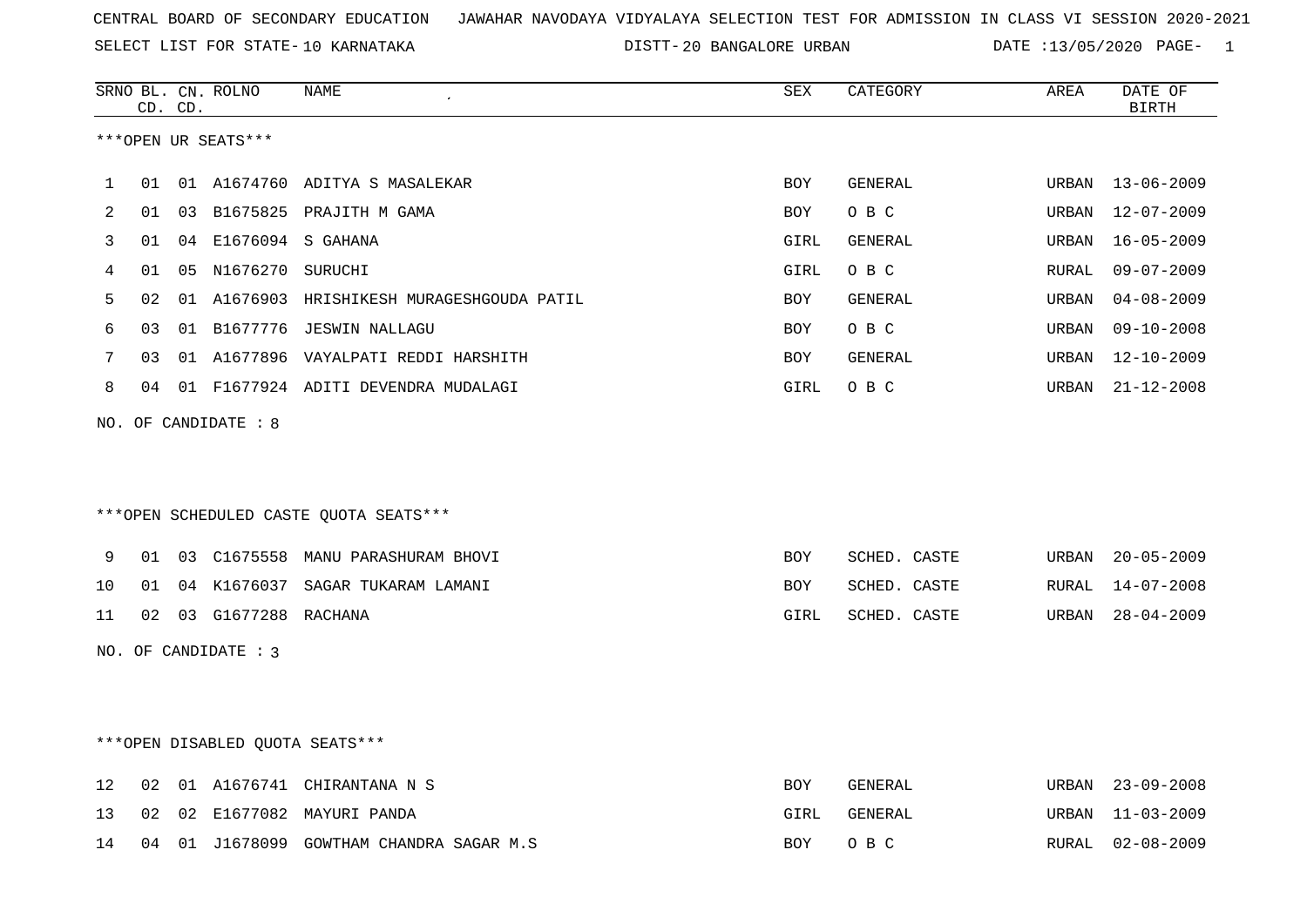|    |    | CD. CD. | SRNO BL. CN. ROLNO     | NAME                                       | <b>SEX</b> | CATEGORY       | AREA  | DATE OF<br><b>BIRTH</b> |
|----|----|---------|------------------------|--------------------------------------------|------------|----------------|-------|-------------------------|
|    |    |         | ***OPEN UR SEATS***    |                                            |            |                |       |                         |
| 1  | 01 |         |                        | 01 A1674760 ADITYA S MASALEKAR             | <b>BOY</b> | <b>GENERAL</b> | URBAN | 13-06-2009              |
| 2  |    |         |                        | 01 03 B1675825 PRAJITH M GAMA              | BOY        | O B C          | URBAN | 12-07-2009              |
| 3  | 01 |         | 04 E1676094 S GAHANA   |                                            | GIRL       | GENERAL        | URBAN | $16 - 05 - 2009$        |
| 4  | 01 |         | 05 N1676270 SURUCHI    |                                            | GIRL       | O B C          | RURAL | $09 - 07 - 2009$        |
| 5  | 02 |         |                        | 01 A1676903 HRISHIKESH MURAGESHGOUDA PATIL | <b>BOY</b> | <b>GENERAL</b> | URBAN | $04 - 08 - 2009$        |
| 6  | 03 |         |                        | 01 B1677776 JESWIN NALLAGU                 | BOY        | O B C          | URBAN | $09 - 10 - 2008$        |
| 7  | 03 |         |                        | 01 A1677896 VAYALPATI REDDI HARSHITH       | BOY        | GENERAL        | URBAN | 12-10-2009              |
| 8  |    |         |                        | 04 01 F1677924 ADITI DEVENDRA MUDALAGI     | GIRL       | O B C          | URBAN | 21-12-2008              |
|    |    |         |                        | ***OPEN SCHEDULED CASTE QUOTA SEATS***     |            |                |       |                         |
| 9  | 01 |         |                        | 03 C1675558 MANU PARASHURAM BHOVI          | <b>BOY</b> | SCHED. CASTE   | URBAN | $20 - 05 - 2009$        |
| 10 | 01 |         |                        | 04 K1676037 SAGAR TUKARAM LAMANI           | BOY        | SCHED. CASTE   | RURAL | $14 - 07 - 2008$        |
| 11 |    |         | 02 03 G1677288 RACHANA |                                            | GIRL       | SCHED. CASTE   | URBAN | $28 - 04 - 2009$        |
|    |    |         | NO. OF CANDIDATE : 3   |                                            |            |                |       |                         |
|    |    |         |                        | ***OPEN DISABLED QUOTA SEATS***            |            |                |       |                         |
| 12 | 02 |         |                        | 01 A1676741 CHIRANTANA N S                 | BOY        | GENERAL        | URBAN | $23 - 09 - 2008$        |
| 13 | 02 |         |                        | 02 E1677082 MAYURI PANDA                   | GIRL       | GENERAL        | URBAN | $11 - 03 - 2009$        |
| 14 | 04 |         |                        | 01 J1678099 GOWTHAM CHANDRA SAGAR M.S      | <b>BOY</b> | O B C          | RURAL | $02 - 08 - 2009$        |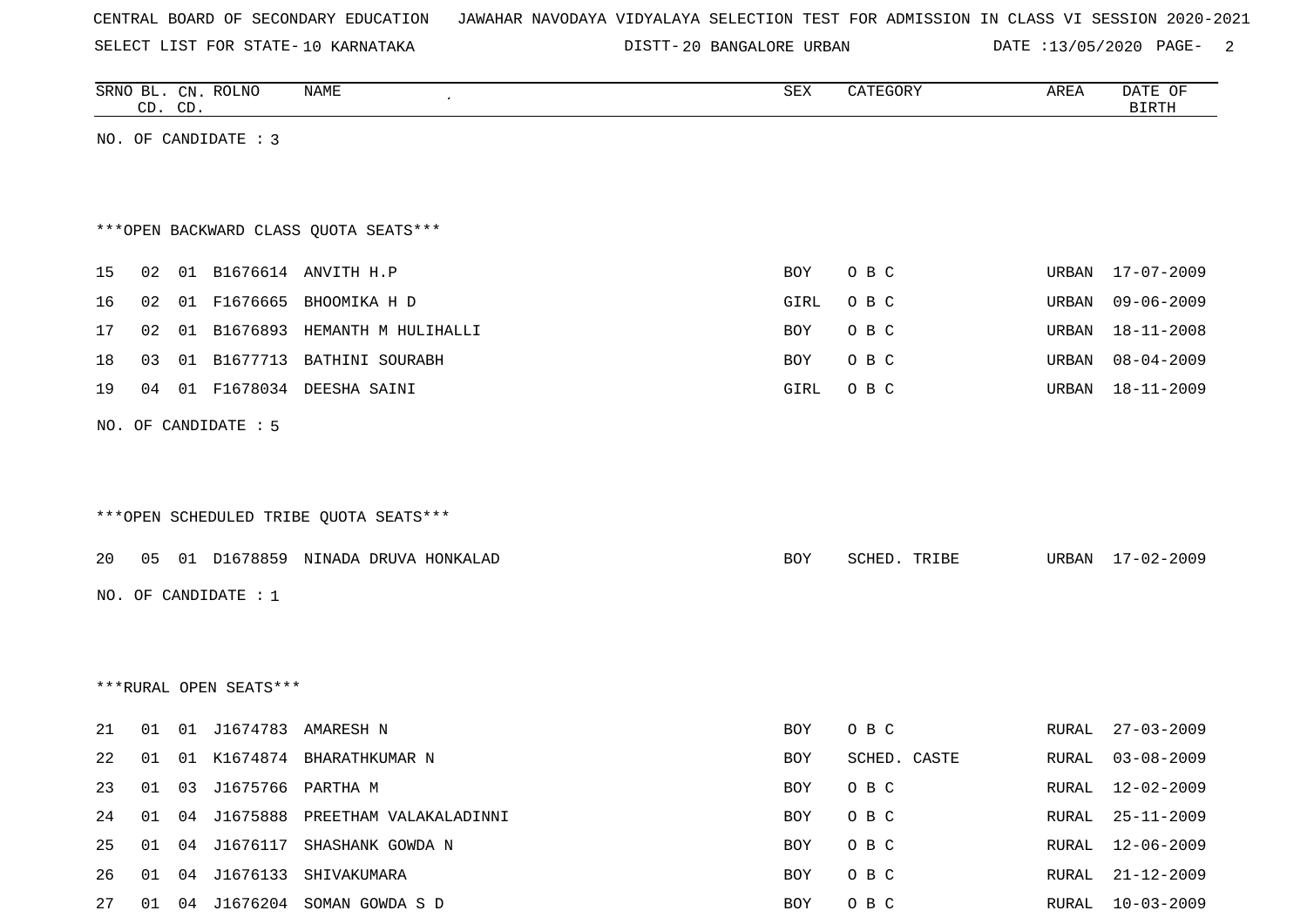SELECT LIST FOR STATE- DISTT- 10 KARNATAKA

|    |    | CD. CD. | SRNO BL. CN. ROLNO     | <b>NAME</b>                            | SEX        | CATEGORY     | AREA  | DATE OF<br><b>BIRTH</b> |
|----|----|---------|------------------------|----------------------------------------|------------|--------------|-------|-------------------------|
|    |    |         | NO. OF CANDIDATE : 3   |                                        |            |              |       |                         |
|    |    |         |                        |                                        |            |              |       |                         |
|    |    |         |                        |                                        |            |              |       |                         |
|    |    |         |                        | *** OPEN BACKWARD CLASS QUOTA SEATS*** |            |              |       |                         |
| 15 | 02 |         |                        | 01 B1676614 ANVITH H.P                 | BOY        | O B C        |       | URBAN 17-07-2009        |
| 16 | 02 |         |                        | 01 F1676665 BHOOMIKA H D               | GIRL       | O B C        | URBAN | $09 - 06 - 2009$        |
| 17 | 02 |         |                        | 01 B1676893 HEMANTH M HULIHALLI        | <b>BOY</b> | O B C        | URBAN | 18-11-2008              |
| 18 | 03 |         |                        | 01 B1677713 BATHINI SOURABH            | BOY        | O B C        | URBAN | $08 - 04 - 2009$        |
| 19 | 04 |         |                        | 01 F1678034 DEESHA SAINI               | GIRL       | O B C        | URBAN | $18 - 11 - 2009$        |
|    |    |         | NO. OF CANDIDATE : 5   |                                        |            |              |       |                         |
|    |    |         |                        |                                        |            |              |       |                         |
|    |    |         |                        |                                        |            |              |       |                         |
|    |    |         |                        | ***OPEN SCHEDULED TRIBE QUOTA SEATS*** |            |              |       |                         |
| 20 |    |         |                        | 05 01 D1678859 NINADA DRUVA HONKALAD   | BOY        | SCHED. TRIBE |       | URBAN 17-02-2009        |
|    |    |         | NO. OF CANDIDATE : 1   |                                        |            |              |       |                         |
|    |    |         |                        |                                        |            |              |       |                         |
|    |    |         |                        |                                        |            |              |       |                         |
|    |    |         | ***RURAL OPEN SEATS*** |                                        |            |              |       |                         |
|    |    |         |                        |                                        |            |              |       |                         |
| 21 | 01 |         |                        | 01 J1674783 AMARESH N                  | BOY        | O B C        | RURAL | $27 - 03 - 2009$        |
| 22 | 01 |         |                        | 01 K1674874 BHARATHKUMAR N             | BOY        | SCHED. CASTE | RURAL | $03 - 08 - 2009$        |
| 23 |    |         |                        | 01 03 J1675766 PARTHA M                | BOY        | O B C        |       | RURAL 12-02-2009        |
| 24 |    |         |                        | 01 04 J1675888 PREETHAM VALAKALADINNI  | BOY        | O B C        | RURAL | 25-11-2009              |
| 25 |    |         |                        | 01 04 J1676117 SHASHANK GOWDA N        | BOY        | O B C        | RURAL | 12-06-2009              |
| 26 |    |         |                        | 01 04 J1676133 SHIVAKUMARA             | BOY        | O B C        | RURAL | $21 - 12 - 2009$        |
| 27 |    |         |                        | 01 04 J1676204 SOMAN GOWDA S D         | BOY        | O B C        |       | RURAL 10-03-2009        |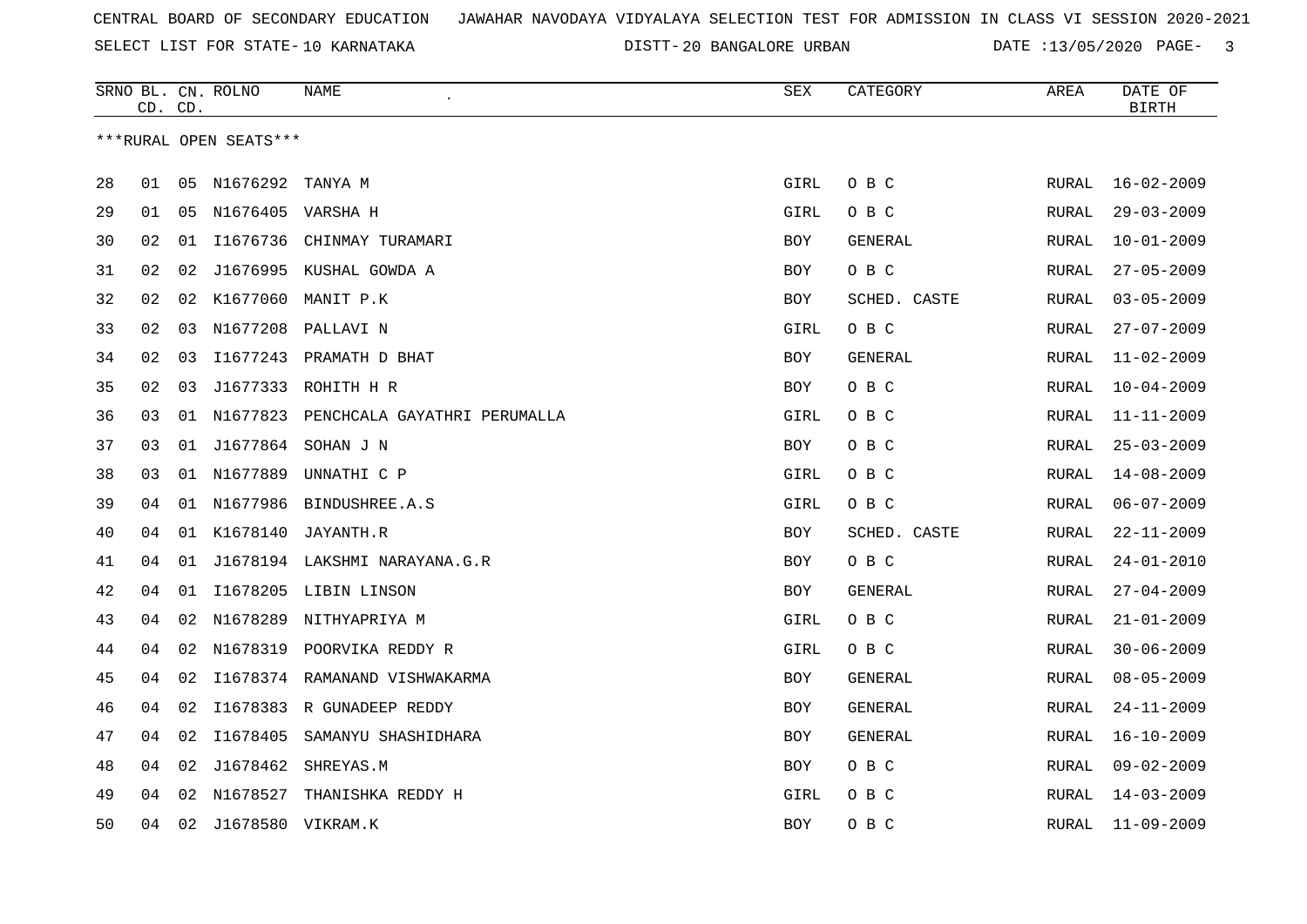SELECT LIST FOR STATE- DISTT- 10 KARNATAKA

|    | CD. CD. |    | SRNO BL. CN. ROLNO     | NAME                                     | SEX        | CATEGORY       | AREA         | DATE OF<br><b>BIRTH</b> |
|----|---------|----|------------------------|------------------------------------------|------------|----------------|--------------|-------------------------|
|    |         |    | ***RURAL OPEN SEATS*** |                                          |            |                |              |                         |
|    |         |    |                        |                                          |            |                |              |                         |
| 28 | 01      |    | 05 N1676292            | TANYA M                                  | GIRL       | O B C          | RURAL        | $16 - 02 - 2009$        |
| 29 | 01      |    | 05 N1676405 VARSHA H   |                                          | GIRL       | O B C          | RURAL        | $29 - 03 - 2009$        |
| 30 | 02      | 01 | I1676736               | CHINMAY TURAMARI                         | <b>BOY</b> | GENERAL        | <b>RURAL</b> | $10 - 01 - 2009$        |
| 31 | 02      | 02 |                        | J1676995 KUSHAL GOWDA A                  | <b>BOY</b> | O B C          | RURAL        | $27 - 05 - 2009$        |
| 32 | 02      |    |                        | 02 K1677060 MANIT P.K                    | <b>BOY</b> | SCHED. CASTE   | RURAL        | $03 - 05 - 2009$        |
| 33 | 02      |    |                        | 03 N1677208 PALLAVI N                    | GIRL       | O B C          | RURAL        | $27 - 07 - 2009$        |
| 34 | 02      | 03 |                        | I1677243 PRAMATH D BHAT                  | BOY        | <b>GENERAL</b> | RURAL        | $11 - 02 - 2009$        |
| 35 | 02      | 03 |                        | J1677333 ROHITH H R                      | <b>BOY</b> | O B C          | RURAL        | $10 - 04 - 2009$        |
| 36 | 03      |    |                        | 01 N1677823 PENCHCALA GAYATHRI PERUMALLA | GIRL       | O B C          | RURAL        | $11 - 11 - 2009$        |
| 37 | 03      |    |                        | 01 J1677864 SOHAN J N                    | <b>BOY</b> | O B C          | RURAL        | $25 - 03 - 2009$        |
| 38 | 03      |    | 01 N1677889            | UNNATHI C P                              | GIRL       | O B C          | RURAL        | $14 - 08 - 2009$        |
| 39 | 04      |    | 01 N1677986            | BINDUSHREE.A.S                           | GIRL       | O B C          | RURAL        | $06 - 07 - 2009$        |
| 40 | 04      |    |                        | 01 K1678140 JAYANTH.R                    | <b>BOY</b> | SCHED. CASTE   | RURAL        | $22 - 11 - 2009$        |
| 41 | 04      | 01 |                        | J1678194 LAKSHMI NARAYANA.G.R            | <b>BOY</b> | O B C          | RURAL        | $24 - 01 - 2010$        |
| 42 | 04      |    |                        | 01 I1678205 LIBIN LINSON                 | <b>BOY</b> | GENERAL        | RURAL        | $27 - 04 - 2009$        |
| 43 | 04      | 02 | N1678289               | NITHYAPRIYA M                            | GIRL       | O B C          | RURAL        | $21 - 01 - 2009$        |
| 44 | 04      |    |                        | 02 N1678319 POORVIKA REDDY R             | GIRL       | O B C          | RURAL        | $30 - 06 - 2009$        |
| 45 | 04      |    |                        | 02 I1678374 RAMANAND VISHWAKARMA         | BOY        | GENERAL        | RURAL        | $08 - 05 - 2009$        |
| 46 | 04      |    |                        | 02 I1678383 R GUNADEEP REDDY             | <b>BOY</b> | GENERAL        | RURAL        | $24 - 11 - 2009$        |
| 47 | 04      | 02 |                        | I1678405 SAMANYU SHASHIDHARA             | <b>BOY</b> | GENERAL        | RURAL        | $16 - 10 - 2009$        |
| 48 | 04      | 02 | J1678462               | SHREYAS.M                                | BOY        | O B C          | RURAL        | $09 - 02 - 2009$        |
| 49 | 04      |    | 02 N1678527            | THANISHKA REDDY H                        | GIRL       | O B C          | RURAL        | $14 - 03 - 2009$        |
| 50 | 04      |    | 02 J1678580 VIKRAM.K   |                                          | <b>BOY</b> | O B C          | RURAL        | $11 - 09 - 2009$        |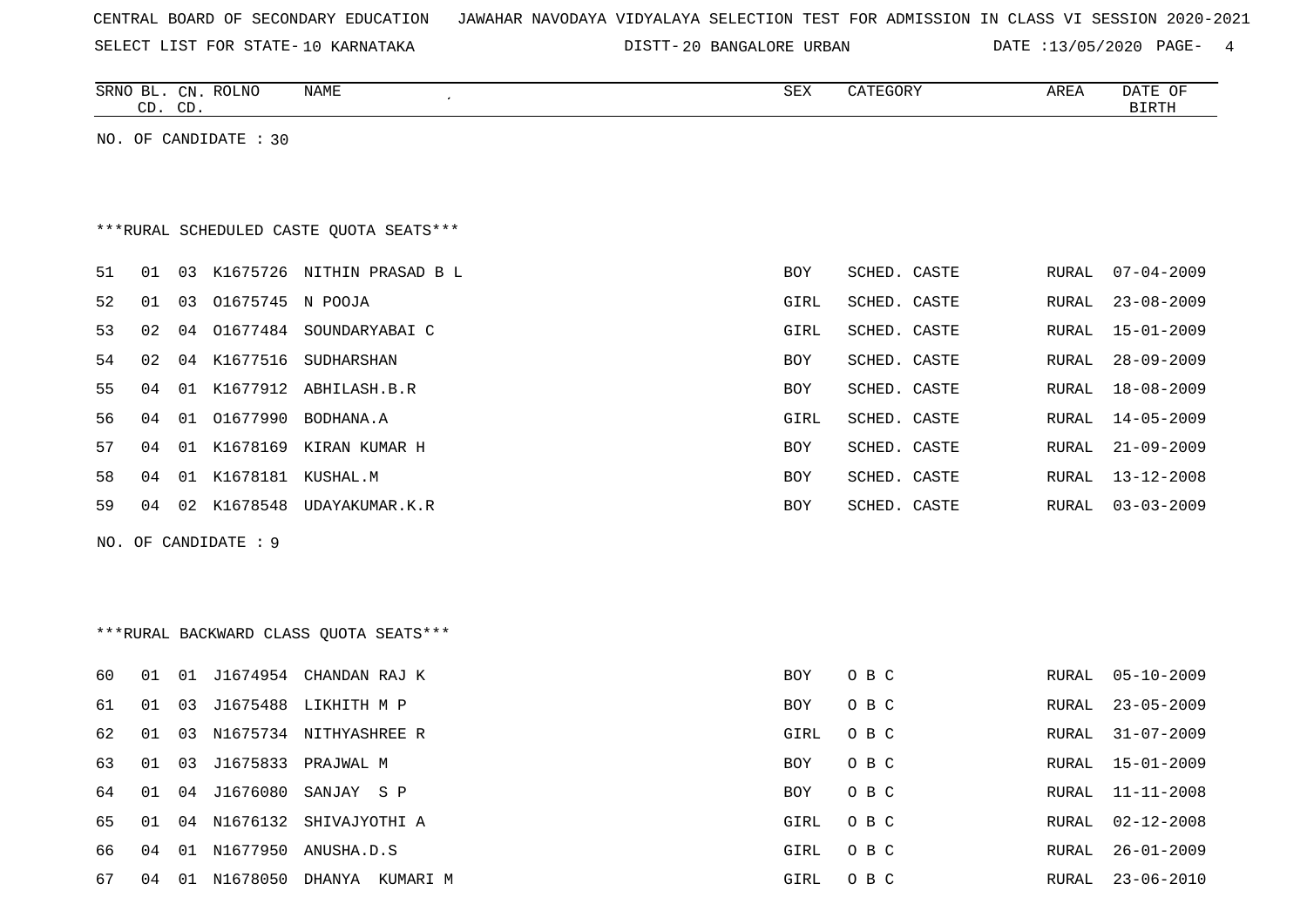| CENTRAL BOARD OF SECONDARY EDUCATION – JAWAHAR NAVODAYA VIDYALAYA SELECTION TEST FOR ADMISSION IN CLASS VI SESSION 2020-2021 |  |  |  |  |  |  |  |
|------------------------------------------------------------------------------------------------------------------------------|--|--|--|--|--|--|--|
|------------------------------------------------------------------------------------------------------------------------------|--|--|--|--|--|--|--|

|    |    | CD. CD. | SRNO BL. CN. ROLNO    | <b>NAME</b>                             | ${\tt SEX}$ | CATEGORY     | AREA         | DATE OF<br><b>BIRTH</b> |
|----|----|---------|-----------------------|-----------------------------------------|-------------|--------------|--------------|-------------------------|
|    |    |         | NO. OF CANDIDATE : 30 |                                         |             |              |              |                         |
|    |    |         |                       |                                         |             |              |              |                         |
|    |    |         |                       |                                         |             |              |              |                         |
|    |    |         |                       | ***RURAL SCHEDULED CASTE QUOTA SEATS*** |             |              |              |                         |
| 51 | 01 | 03      |                       | K1675726 NITHIN PRASAD B L              | BOY         | SCHED. CASTE | RURAL        | $07 - 04 - 2009$        |
| 52 | 01 | 03      | 01675745 N POOJA      |                                         | GIRL        | SCHED. CASTE | <b>RURAL</b> | $23 - 08 - 2009$        |
| 53 | 02 | 04      |                       | 01677484 SOUNDARYABAI C                 | GIRL        | SCHED. CASTE | RURAL        | $15 - 01 - 2009$        |
| 54 | 02 | 04      | K1677516              | SUDHARSHAN                              | BOY         | SCHED. CASTE | RURAL        | $28 - 09 - 2009$        |
| 55 | 04 | 01      | K1677912              | ABHILASH.B.R                            | BOY         | SCHED. CASTE | RURAL        | $18 - 08 - 2009$        |
| 56 | 04 | 01      | 01677990              | BODHANA.A                               | GIRL        | SCHED. CASTE | <b>RURAL</b> | $14 - 05 - 2009$        |
| 57 | 04 |         |                       | 01 K1678169 KIRAN KUMAR H               | BOY         | SCHED. CASTE | RURAL        | $21 - 09 - 2009$        |
| 58 | 04 |         | 01 K1678181 KUSHAL.M  |                                         | BOY         | SCHED. CASTE | RURAL        | $13 - 12 - 2008$        |
| 59 | 04 | 02      | K1678548              | UDAYAKUMAR.K.R                          | BOY         | SCHED. CASTE | RURAL        | $03 - 03 - 2009$        |
|    |    |         | NO. OF CANDIDATE : 9  |                                         |             |              |              |                         |
|    |    |         |                       |                                         |             |              |              |                         |
|    |    |         |                       |                                         |             |              |              |                         |
|    |    |         |                       | *** RURAL BACKWARD CLASS QUOTA SEATS*** |             |              |              |                         |
| 60 | 01 |         |                       | 01 J1674954 CHANDAN RAJ K               | <b>BOY</b>  | O B C        | <b>RURAL</b> | $05 - 10 - 2009$        |
| 61 | 01 | 03      |                       | J1675488 LIKHITH M P                    | <b>BOY</b>  | O B C        | <b>RURAL</b> | $23 - 05 - 2009$        |
| 62 | 01 | 03      |                       | N1675734 NITHYASHREE R                  | GIRL        | O B C        | <b>RURAL</b> | $31 - 07 - 2009$        |
| 63 | 01 | 03      |                       | J1675833 PRAJWAL M                      | BOY         | O B C        | <b>RURAL</b> | $15 - 01 - 2009$        |
| 64 | 01 | 04      | J1676080              | SANJAY S P                              | BOY         | O B C        | <b>RURAL</b> | $11 - 11 - 2008$        |
| 65 | 01 | 04      | N1676132              | SHIVAJYOTHI A                           | GIRL        | O B C        | <b>RURAL</b> | $02 - 12 - 2008$        |
| 66 | 04 |         |                       | 01 N1677950 ANUSHA.D.S                  | GIRL        | O B C        | <b>RURAL</b> | $26 - 01 - 2009$        |
| 67 | 04 |         |                       | 01 N1678050 DHANYA KUMARI M             | GIRL        | O B C        | RURAL        | $23 - 06 - 2010$        |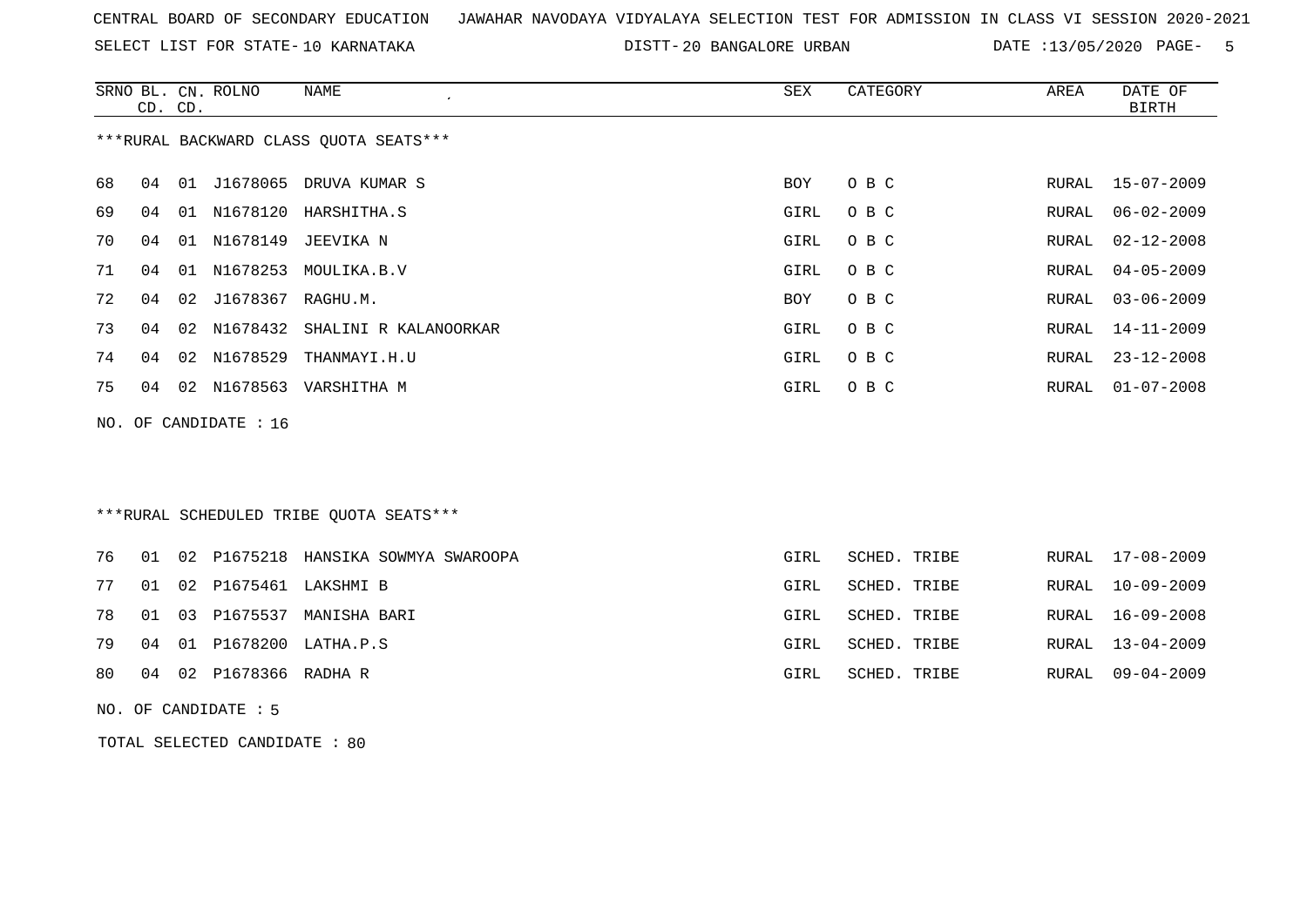SELECT LIST FOR STATE- DISTT- 10 KARNATAKA

DISTT-20 BANGALORE URBAN DATE :13/05/2020 PAGE- 5

|    | CD. CD. | SRNO BL. CN. ROLNO      | NAME<br>$\epsilon$                     | SEX  | CATEGORY | AREA  | DATE OF<br>BIRTH |
|----|---------|-------------------------|----------------------------------------|------|----------|-------|------------------|
|    |         |                         | ***RURAL BACKWARD CLASS QUOTA SEATS*** |      |          |       |                  |
| 68 | 04      |                         | 01 J1678065 DRUVA KUMAR S              | BOY  | O B C    |       | RURAL 15-07-2009 |
| 69 | 04      |                         | 01 N1678120 HARSHITHA.S                | GIRL | O B C    | RURAL | 06-02-2009       |
| 70 | 04      |                         | 01 N1678149 JEEVIKA N                  | GIRL | O B C    | RURAL | $02 - 12 - 2008$ |
| 71 | 04      |                         | 01 N1678253 MOULIKA.B.V                | GIRL | O B C    | RURAL | $04 - 05 - 2009$ |
| 72 | 04      | 02 J1678367 RAGHU.M.    |                                        | BOY  | O B C    | RURAL | $03 - 06 - 2009$ |
| 73 | 04      |                         | 02 N1678432 SHALINI R KALANOORKAR      | GIRL | O B C    | RURAL | 14-11-2009       |
| 74 | 04      | 02 N1678529             | THANMAYI.H.U                           | GIRL | O B C    | RURAL | $23 - 12 - 2008$ |
| 75 | 04      |                         | 02 N1678563 VARSHITHA M                | GIRL | O B C    | RURAL | $01 - 07 - 2008$ |
|    |         | NO. OF CANDIDATE : $16$ |                                        |      |          |       |                  |
|    |         |                         |                                        |      |          |       |                  |
|    |         |                         |                                        |      |          |       |                  |

## \*\*\*RURAL SCHEDULED TRIBE QUOTA SEATS\*\*\*

|  |                           | 76 01 02 P1675218 HANSIKA SOWMYA SWAROOPA | GIRL | SCHED. TRIBE | RURAL 17-08-2009 |
|--|---------------------------|-------------------------------------------|------|--------------|------------------|
|  |                           | 77 01 02 P1675461 LAKSHMI B               | GIRL | SCHED. TRIBE | RURAL 10-09-2009 |
|  |                           | 78 01 03 P1675537 MANISHA BARI            | GIRL | SCHED. TRIBE | RURAL 16-09-2008 |
|  |                           | 79 04 01 P1678200 LATHA.P.S               | GIRL | SCHED. TRIBE | RURAL 13-04-2009 |
|  | 80 04 02 P1678366 RADHA R |                                           | GIRL | SCHED. TRIBE | RURAL 09-04-2009 |
|  |                           |                                           |      |              |                  |

NO. OF CANDIDATE : 5

TOTAL SELECTED CANDIDATE : 80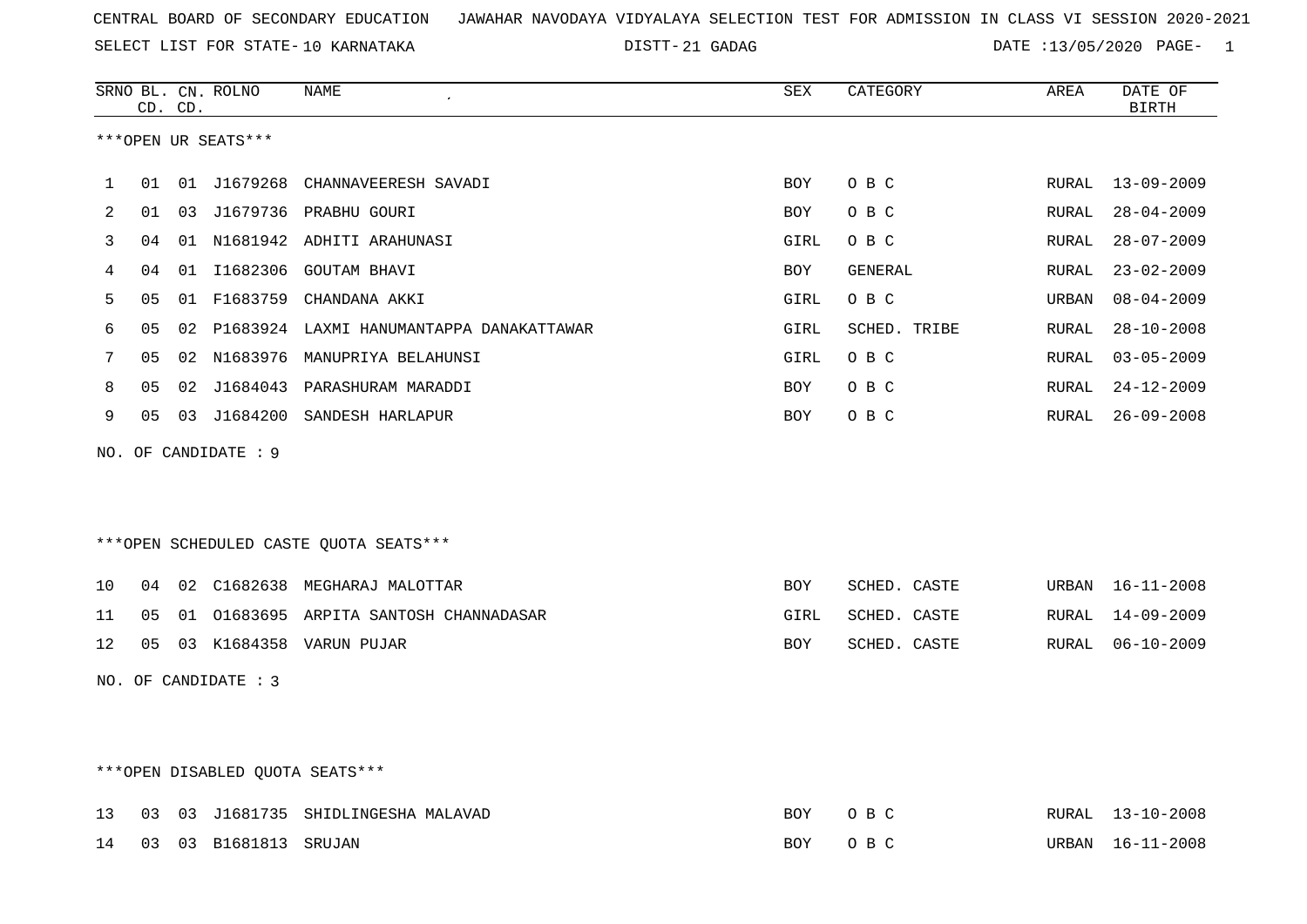21 GADAG DATE :13/05/2020 PAGE- 1

|     |    | CD. CD. | SRNO BL. CN. ROLNO              | <b>NAME</b>                                 | ${\tt SEX}$ | CATEGORY       | AREA  | DATE OF<br><b>BIRTH</b> |
|-----|----|---------|---------------------------------|---------------------------------------------|-------------|----------------|-------|-------------------------|
|     |    |         | ***OPEN UR SEATS***             |                                             |             |                |       |                         |
| 1   | 01 |         |                                 | 01 J1679268 CHANNAVEERESH SAVADI            | BOY         | O B C          | RURAL | $13 - 09 - 2009$        |
| 2   | 01 |         |                                 | 03 J1679736 PRABHU GOURI                    | <b>BOY</b>  | O B C          | RURAL | $28 - 04 - 2009$        |
| 3   | 04 |         |                                 | 01 N1681942 ADHITI ARAHUNASI                | GIRL        | O B C          | RURAL | $28 - 07 - 2009$        |
| 4   | 04 |         |                                 | 01 I1682306 GOUTAM BHAVI                    | BOY         | <b>GENERAL</b> | RURAL | $23 - 02 - 2009$        |
| 5   | 05 |         |                                 | 01 F1683759 CHANDANA AKKI                   | GIRL        | O B C          | URBAN | $08 - 04 - 2009$        |
| 6   | 05 |         |                                 | 02 P1683924 LAXMI HANUMANTAPPA DANAKATTAWAR | GIRL        | SCHED. TRIBE   | RURAL | $28 - 10 - 2008$        |
| 7   | 05 |         | 02 N1683976                     | MANUPRIYA BELAHUNSI                         | GIRL        | O B C          | RURAL | $03 - 05 - 2009$        |
| 8   | 05 |         | 02 J1684043                     | PARASHURAM MARADDI                          | BOY         | O B C          | RURAL | $24 - 12 - 2009$        |
| 9   | 05 |         |                                 | 03 J1684200 SANDESH HARLAPUR                | BOY         | O B C          | RURAL | $26 - 09 - 2008$        |
| NO. |    |         | OF CANDIDATE : 9                |                                             |             |                |       |                         |
|     |    |         |                                 |                                             |             |                |       |                         |
|     |    |         |                                 |                                             |             |                |       |                         |
|     |    |         |                                 | ***OPEN SCHEDULED CASTE QUOTA SEATS***      |             |                |       |                         |
| 10  | 04 |         |                                 | 02 C1682638 MEGHARAJ MALOTTAR               | <b>BOY</b>  | SCHED. CASTE   | URBAN | 16-11-2008              |
| 11  | 05 |         |                                 | 01 01683695 ARPITA SANTOSH CHANNADASAR      | GIRL        | SCHED. CASTE   | RURAL | $14 - 09 - 2009$        |
| 12  | 05 |         |                                 | 03 K1684358 VARUN PUJAR                     | BOY         | SCHED. CASTE   | RURAL | $06 - 10 - 2009$        |
|     |    |         | NO. OF CANDIDATE : 3            |                                             |             |                |       |                         |
|     |    |         |                                 |                                             |             |                |       |                         |
|     |    |         |                                 |                                             |             |                |       |                         |
|     |    |         | ***OPEN DISABLED OUOTA SEATS*** |                                             |             |                |       |                         |

|  |                          | 13 03 03 J1681735 SHIDLINGESHA MALAVAD | BOY OBC |  | RURAL 13-10-2008 |
|--|--------------------------|----------------------------------------|---------|--|------------------|
|  | 14 03 03 B1681813 SRUJAN |                                        | BOY OBC |  | URBAN 16-11-2008 |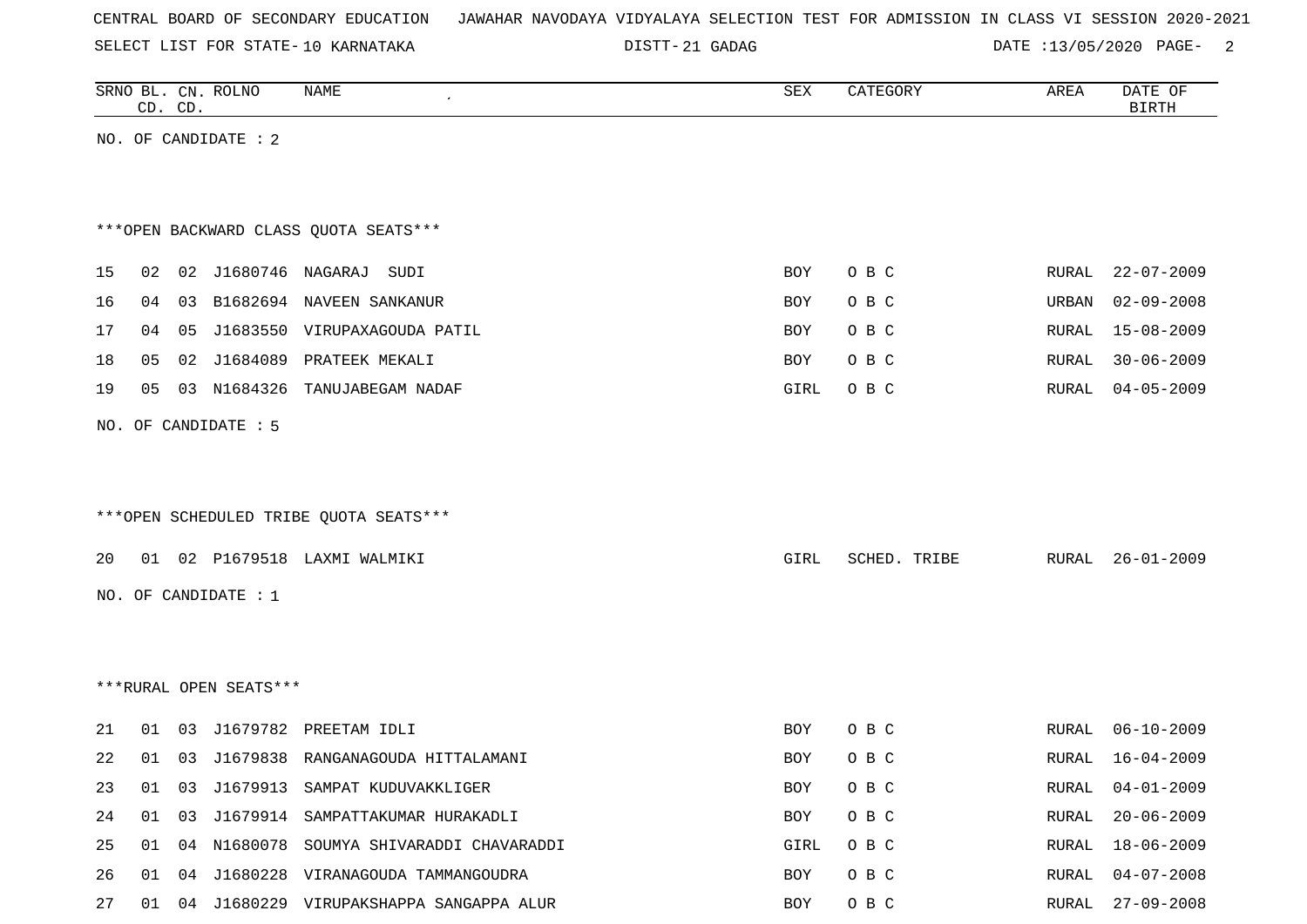|  |  | CENTRAL BOARD OF SECONDARY EDUCATION – JAWAHAR NAVODAYA VIDYALAYA SELECTION TEST FOR ADMISSION IN CLASS VI SESSION 2020-2021 |  |  |  |  |  |  |  |
|--|--|------------------------------------------------------------------------------------------------------------------------------|--|--|--|--|--|--|--|
|  |  |                                                                                                                              |  |  |  |  |  |  |  |

DISTT-21 GADAG 20020 DATE :13/05/2020 PAGE-

|    |    | CD. CD. | SRNO BL. CN. ROLNO     | NAME                                       | SEX        | CATEGORY     | AREA  | DATE OF<br><b>BIRTH</b> |
|----|----|---------|------------------------|--------------------------------------------|------------|--------------|-------|-------------------------|
|    |    |         | NO. OF CANDIDATE : $2$ |                                            |            |              |       |                         |
|    |    |         |                        |                                            |            |              |       |                         |
|    |    |         |                        |                                            |            |              |       |                         |
|    |    |         |                        | *** OPEN BACKWARD CLASS QUOTA SEATS***     |            |              |       |                         |
| 15 |    |         |                        | 02  02  J1680746  NAGARAJ SUDI             | <b>BOY</b> | O B C        | RURAL | $22 - 07 - 2009$        |
| 16 | 04 |         |                        | 03 B1682694 NAVEEN SANKANUR                | BOY        | O B C        | URBAN | $02 - 09 - 2008$        |
| 17 | 04 | 05      |                        | J1683550 VIRUPAXAGOUDA PATIL               | BOY        | O B C        | RURAL | $15 - 08 - 2009$        |
| 18 | 05 |         | 02 J1684089            | PRATEEK MEKALI                             | BOY        | O B C        | RURAL | $30 - 06 - 2009$        |
| 19 | 05 |         |                        | 03 N1684326 TANUJABEGAM NADAF              | GIRL       | O B C        | RURAL | $04 - 05 - 2009$        |
|    |    |         | NO. OF CANDIDATE : 5   |                                            |            |              |       |                         |
|    |    |         |                        |                                            |            |              |       |                         |
|    |    |         |                        |                                            |            |              |       |                         |
|    |    |         |                        | *** OPEN SCHEDULED TRIBE QUOTA SEATS***    |            |              |       |                         |
| 20 |    |         |                        | 01 02 P1679518 LAXMI WALMIKI               | GIRL       | SCHED. TRIBE | RURAL | $26 - 01 - 2009$        |
|    |    |         |                        |                                            |            |              |       |                         |
|    |    |         | NO. OF CANDIDATE : 1   |                                            |            |              |       |                         |
|    |    |         |                        |                                            |            |              |       |                         |
|    |    |         |                        |                                            |            |              |       |                         |
|    |    |         | ***RURAL OPEN SEATS*** |                                            |            |              |       |                         |
| 21 | 01 |         |                        | 03 J1679782 PREETAM IDLI                   | BOY        | O B C        | RURAL | $06 - 10 - 2009$        |
| 22 | 01 | 03      |                        | J1679838 RANGANAGOUDA HITTALAMANI          | BOY        | O B C        | RURAL | 16-04-2009              |
| 23 | 01 | 03      |                        | J1679913 SAMPAT KUDUVAKKLIGER              | BOY        | O B C        | RURAL | $04 - 01 - 2009$        |
| 24 | 01 | 03      |                        | J1679914 SAMPATTAKUMAR HURAKADLI           | BOY        | O B C        | RURAL | $20 - 06 - 2009$        |
| 25 | 01 |         |                        | 04 N1680078 SOUMYA SHIVARADDI CHAVARADDI   | GIRL       | O B C        | RURAL | 18-06-2009              |
| 26 |    |         |                        | 01 04 J1680228 VIRANAGOUDA TAMMANGOUDRA    | BOY        | O B C        | RURAL | $04 - 07 - 2008$        |
| 27 |    |         |                        | 01 04 J1680229 VIRUPAKSHAPPA SANGAPPA ALUR | BOY        | O B C        |       | RURAL 27-09-2008        |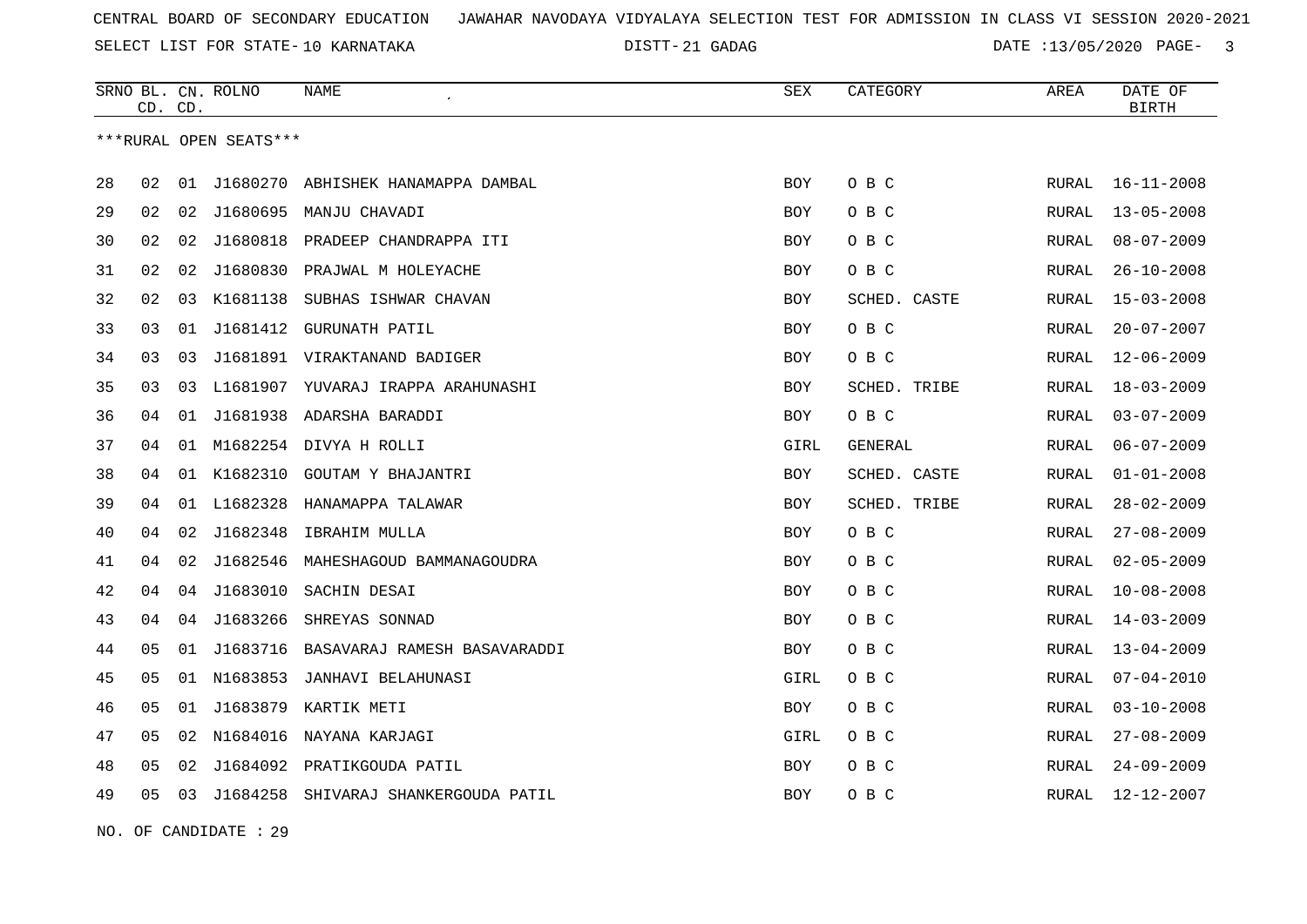DISTT-21 GADAG 2020 DATE :13/05/2020 PAGE- 3

|    | CD. CD. |    | SRNO BL. CN. ROLNO     | NAME                                  | <b>SEX</b> | CATEGORY     | AREA  | DATE OF<br><b>BIRTH</b> |
|----|---------|----|------------------------|---------------------------------------|------------|--------------|-------|-------------------------|
|    |         |    | ***RURAL OPEN SEATS*** |                                       |            |              |       |                         |
| 28 | 02      | 01 | J1680270               | ABHISHEK HANAMAPPA DAMBAL             | <b>BOY</b> | O B C        | RURAL | $16 - 11 - 2008$        |
| 29 | 02      | 02 | J1680695               | MANJU CHAVADI                         | <b>BOY</b> | O B C        | RURAL | $13 - 05 - 2008$        |
| 30 | 02      | 02 | J1680818               | PRADEEP CHANDRAPPA ITI                | <b>BOY</b> | O B C        | RURAL | $08 - 07 - 2009$        |
| 31 | 02      | 02 | J1680830               | PRAJWAL M HOLEYACHE                   | BOY        | O B C        | RURAL | $26 - 10 - 2008$        |
| 32 | 02      | 03 | K1681138               | SUBHAS ISHWAR CHAVAN                  | BOY        | SCHED. CASTE | RURAL | 15-03-2008              |
| 33 | 03      | 01 | J1681412               | GURUNATH PATIL                        | <b>BOY</b> | O B C        | RURAL | $20 - 07 - 2007$        |
| 34 | 03      | 03 |                        | J1681891 VIRAKTANAND BADIGER          | <b>BOY</b> | O B C        | RURAL | 12-06-2009              |
| 35 | 03      | 03 |                        | L1681907 YUVARAJ IRAPPA ARAHUNASHI    | <b>BOY</b> | SCHED. TRIBE | RURAL | $18 - 03 - 2009$        |
| 36 | 04      | 01 |                        | J1681938 ADARSHA BARADDI              | BOY        | O B C        | RURAL | $03 - 07 - 2009$        |
| 37 | 04      |    |                        | 01 M1682254 DIVYA H ROLLI             | GIRL       | GENERAL      | RURAL | $06 - 07 - 2009$        |
| 38 | 04      |    | 01 K1682310            | GOUTAM Y BHAJANTRI                    | BOY        | SCHED. CASTE | RURAL | $01 - 01 - 2008$        |
| 39 | 04      |    |                        | 01 L1682328 HANAMAPPA TALAWAR         | <b>BOY</b> | SCHED. TRIBE | RURAL | $28 - 02 - 2009$        |
| 40 | 04      | 02 | J1682348               | IBRAHIM MULLA                         | BOY        | O B C        | RURAL | $27 - 08 - 2009$        |
| 41 | 04      | 02 | J1682546               | MAHESHAGOUD BAMMANAGOUDRA             | <b>BOY</b> | O B C        | RURAL | $02 - 05 - 2009$        |
| 42 | 04      | 04 | J1683010               | SACHIN DESAI                          | BOY        | O B C        | RURAL | $10 - 08 - 2008$        |
| 43 | 04      | 04 | J1683266               | SHREYAS SONNAD                        | <b>BOY</b> | O B C        | RURAL | $14 - 03 - 2009$        |
| 44 | 05      | 01 |                        | J1683716 BASAVARAJ RAMESH BASAVARADDI | BOY        | O B C        | RURAL | $13 - 04 - 2009$        |
| 45 | 05      |    |                        | 01 N1683853 JANHAVI BELAHUNASI        | GIRL       | O B C        | RURAL | $07 - 04 - 2010$        |
| 46 | 05      | 01 |                        | J1683879 KARTIK METI                  | BOY        | O B C        | RURAL | $03 - 10 - 2008$        |
| 47 | 05      | 02 |                        | N1684016 NAYANA KARJAGI               | GIRL       | O B C        | RURAL | $27 - 08 - 2009$        |
| 48 | 05      | 02 | J1684092               | PRATIKGOUDA PATIL                     | <b>BOY</b> | O B C        | RURAL | $24 - 09 - 2009$        |
| 49 | 05      | 03 | J1684258               | SHIVARAJ SHANKERGOUDA PATIL           | BOY        | O B C        | RURAL | 12-12-2007              |

NO. OF CANDIDATE : 29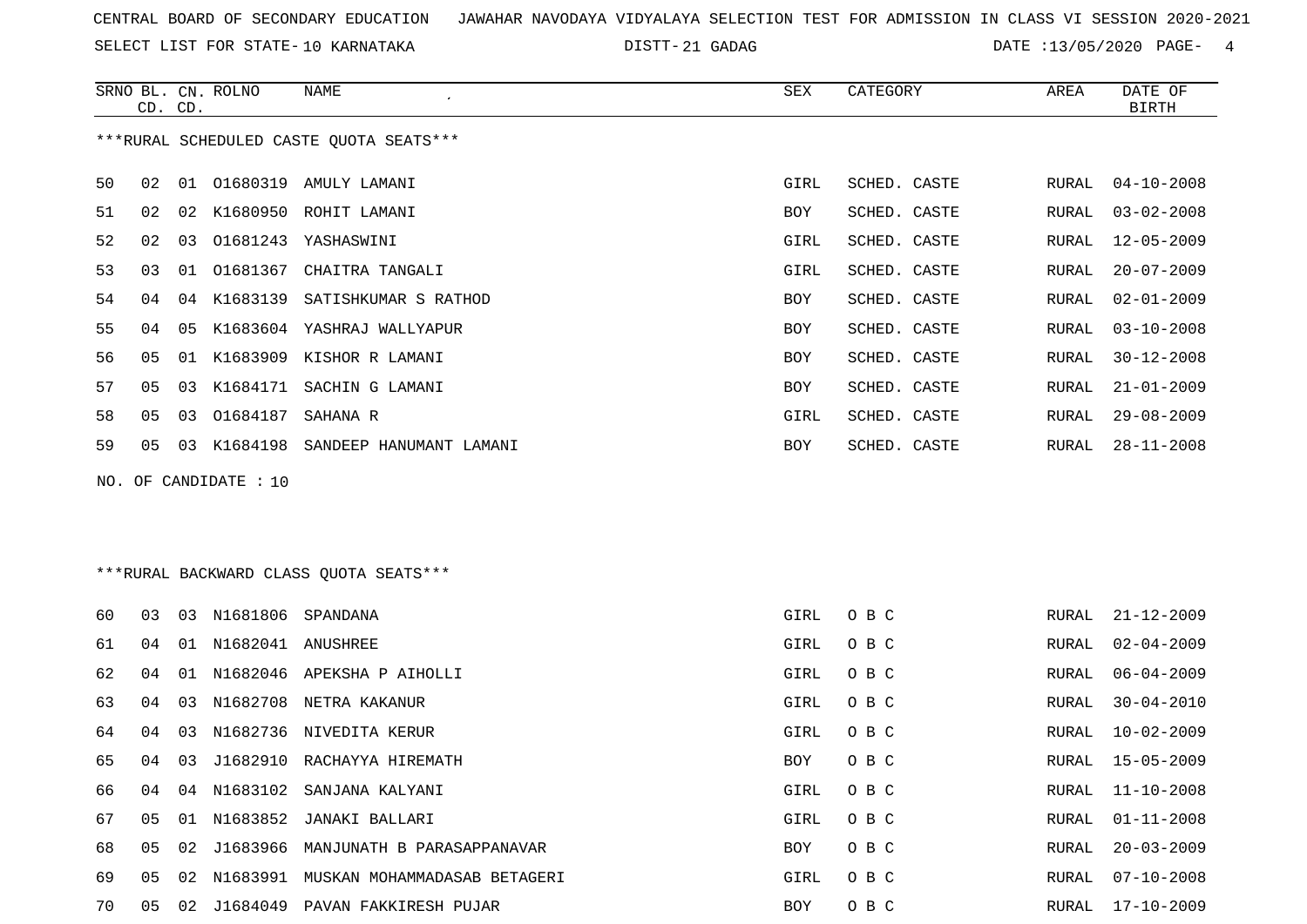SELECT LIST FOR STATE- DISTT- 10 KARNATAKA

DISTT-21 GADAG 2020 DATE :13/05/2020 PAGE- 4

|                                         | CD. CD. |    | SRNO BL. CN. ROLNO | NAME                        | SEX        | CATEGORY     | AREA  | DATE OF<br>BIRTH |
|-----------------------------------------|---------|----|--------------------|-----------------------------|------------|--------------|-------|------------------|
| ***RURAL SCHEDULED CASTE QUOTA SEATS*** |         |    |                    |                             |            |              |       |                  |
| 50                                      | 02      | 01 | 01680319           | AMULY LAMANI                | GIRL       | SCHED. CASTE | RURAL | $04 - 10 - 2008$ |
| 51                                      | 02      | 02 | K1680950           | ROHIT LAMANI                | BOY        | SCHED. CASTE | RURAL | $03 - 02 - 2008$ |
| 52                                      | 02      | 03 | 01681243           | YASHASWINI                  | GIRL       | SCHED. CASTE | RURAL | $12 - 05 - 2009$ |
| 53                                      | 03      |    |                    | 01 01681367 CHAITRA TANGALI | GIRL       | SCHED. CASTE | RURAL | $20 - 07 - 2009$ |
| 54                                      | 04      | 04 | K1683139           | SATISHKUMAR S RATHOD        | <b>BOY</b> | SCHED. CASTE | RURAL | $02 - 01 - 2009$ |
| 55                                      | 04      | 05 | K1683604           | YASHRAJ WALLYAPUR           | BOY        | SCHED. CASTE | RURAL | $03 - 10 - 2008$ |
| 56                                      | 05      | 01 | K1683909           | KISHOR R LAMANI             | <b>BOY</b> | SCHED. CASTE | RURAL | $30 - 12 - 2008$ |
| 57                                      | 05      | 03 | K1684171           | SACHIN G LAMANI             | <b>BOY</b> | SCHED. CASTE | RURAL | $21 - 01 - 2009$ |
| 58                                      | 05      | 03 | 01684187           | SAHANA R                    | GIRL       | SCHED. CASTE | RURAL | $29 - 08 - 2009$ |
| 59                                      | 05      | 03 | K1684198           | SANDEEP HANUMANT LAMANI     | BOY        | SCHED. CASTE | RURAL | $28 - 11 - 2008$ |

NO. OF CANDIDATE : 10

\*\*\*RURAL BACKWARD CLASS QUOTA SEATS\*\*\*

| 60 | 03 | 03 | N1681806 SPANDANA |                                     | GIRL | O B C | RURAL | $21 - 12 - 2009$ |
|----|----|----|-------------------|-------------------------------------|------|-------|-------|------------------|
| 61 | 04 | 01 | N1682041 ANUSHREE |                                     | GIRL | O B C | RURAL | $02 - 04 - 2009$ |
| 62 | 04 | 01 |                   | N1682046 APEKSHA P AIHOLLI          | GIRL | O B C | RURAL | 06-04-2009       |
| 63 | 04 | 03 | N1682708          | NETRA KAKANUR                       | GIRL | O B C | RURAL | $30 - 04 - 2010$ |
| 64 | 04 | 03 |                   | N1682736 NIVEDITA KERUR             | GIRL | O B C | RURAL | $10 - 02 - 2009$ |
| 65 | 04 | 03 | J1682910          | RACHAYYA HIREMATH                   | BOY  | O B C | RURAL | $15 - 05 - 2009$ |
| 66 | 04 | 04 |                   | N1683102 SANJANA KALYANI            | GIRL | O B C | RURAL | 11-10-2008       |
| 67 | 05 | 01 |                   | N1683852 JANAKI BALLARI             | GIRL | O B C | RURAL | $01 - 11 - 2008$ |
| 68 | 05 | 02 |                   | J1683966 MANJUNATH B PARASAPPANAVAR | BOY  | O B C | RURAL | $20 - 03 - 2009$ |
| 69 | 05 | 02 | N1683991          | MUSKAN MOHAMMADASAB BETAGERI        | GIRL | O B C | RURAL | $07 - 10 - 2008$ |
| 70 | 05 | 02 | J1684049          | PAVAN FAKKIRESH PUJAR               | BOY  | O B C | RURAL | $17 - 10 - 2009$ |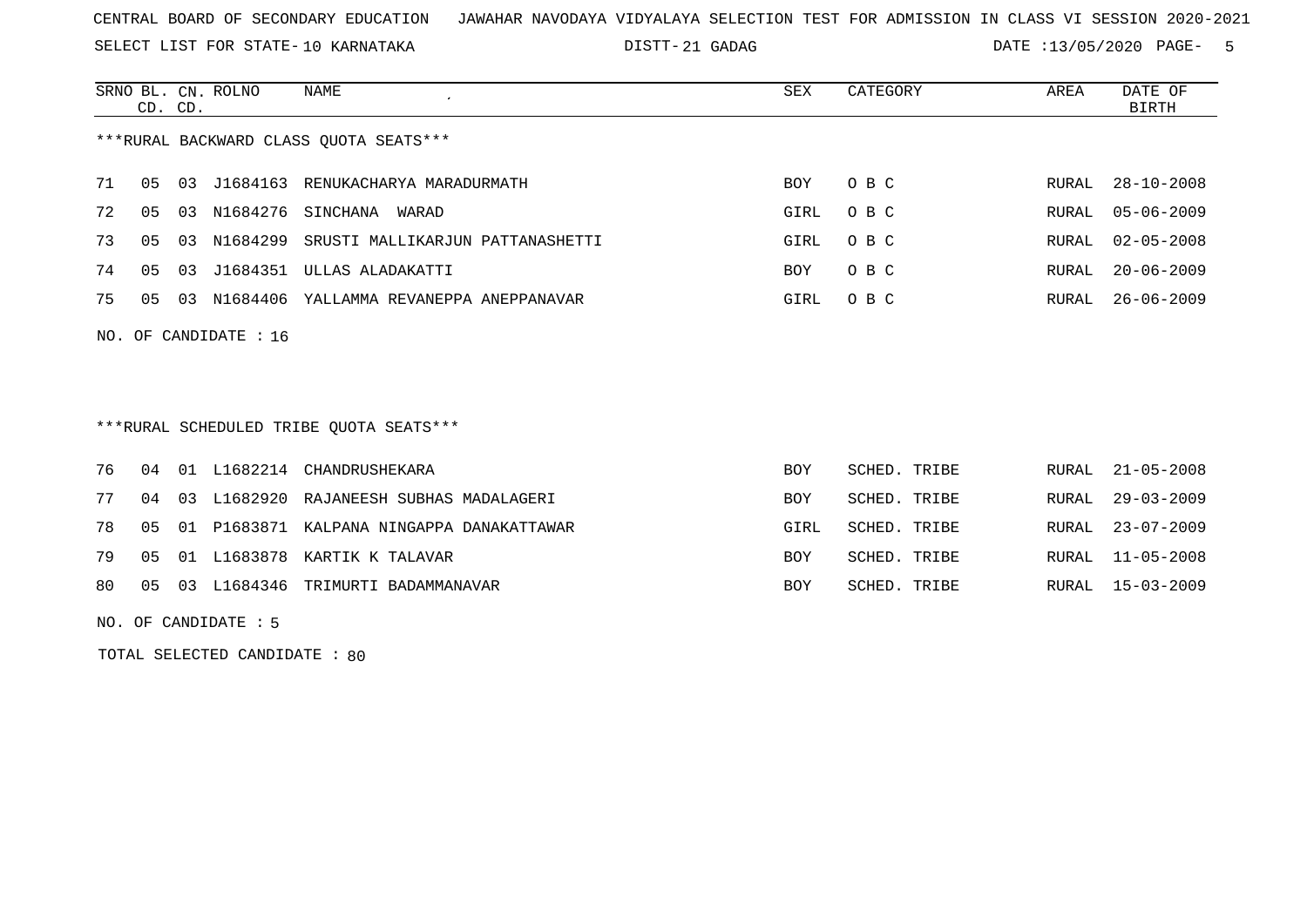SELECT LIST FOR STATE- DISTT- 10 KARNATAKA

21 GADAG DATE :13/05/2020 PAGE- 5

|                      | CD. CD. |    | SRNO BL. CN. ROLNO | NAME                                   | SEX        | CATEGORY | AREA  | DATE OF<br>BIRTH |
|----------------------|---------|----|--------------------|----------------------------------------|------------|----------|-------|------------------|
|                      |         |    |                    | ***RURAL BACKWARD CLASS OUOTA SEATS*** |            |          |       |                  |
| 71                   | 05      | 03 | J1684163           | RENUKACHARYA MARADURMATH               | <b>BOY</b> | O B C    | RURAL | $28 - 10 - 2008$ |
| 72                   | 05      | 03 | N1684276           | SINCHANA<br>WARAD                      | GIRL       | O B C    | RURAL | 05-06-2009       |
| 73                   | 05      | 03 | N1684299           | SRUSTI MALLIKARJUN PATTANASHETTI       | GIRL       | O B C    | RURAL | $02 - 05 - 2008$ |
| 74                   | 05      | 03 | J1684351           | ULLAS ALADAKATTI                       | <b>BOY</b> | O B C    | RURAL | $20 - 06 - 2009$ |
| 75                   | 05      | 03 | N1684406           | YALLAMMA REVANEPPA ANEPPANAVAR         | GIRL       | O B C    | RURAL | $26 - 06 - 2009$ |
| NO. OF CANDIDATE: 16 |         |    |                    |                                        |            |          |       |                  |

## \*\*\*RURAL SCHEDULED TRIBE QUOTA SEATS\*\*\*

|  |  | 76 04 01 L1682214 CHANDRUSHEKARA                | BOY  | SCHED. TRIBE | RURAL 21-05-2008 |
|--|--|-------------------------------------------------|------|--------------|------------------|
|  |  | 77 04 03 L1682920 RAJANEESH SUBHAS MADALAGERI   | BOY  | SCHED. TRIBE | RURAL 29-03-2009 |
|  |  | 78 05 01 P1683871 KALPANA NINGAPPA DANAKATTAWAR | GIRL | SCHED. TRIBE | RURAL 23-07-2009 |
|  |  | 79 05 01 L1683878 KARTIK K TALAVAR              | BOY  | SCHED. TRIBE | RURAL 11-05-2008 |
|  |  | 80 05 03 L1684346 TRIMURTI BADAMMANAVAR         | BOY  | SCHED. TRIBE | RURAL 15-03-2009 |

NO. OF CANDIDATE : 5

TOTAL SELECTED CANDIDATE : 80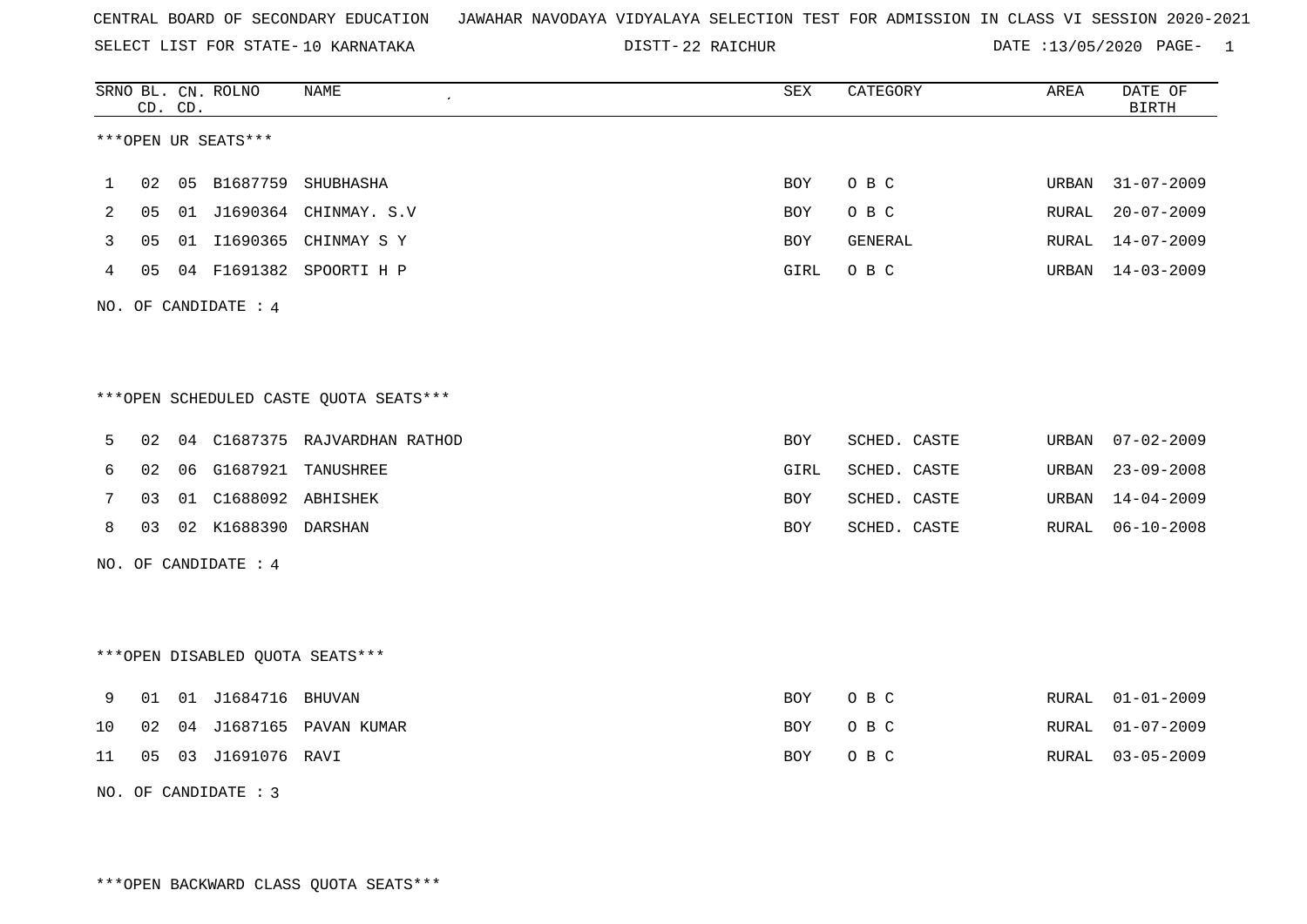SELECT LIST FOR STATE- DISTT- 10 KARNATAKA

22 RAICHUR DATE :13/05/2020 PAGE- 1

|    |    | CD. CD. | SRNO BL. CN. ROLNO   | NAME                                   | SEX        | CATEGORY     | AREA  | DATE OF<br><b>BIRTH</b> |
|----|----|---------|----------------------|----------------------------------------|------------|--------------|-------|-------------------------|
|    |    |         | ***OPEN UR SEATS***  |                                        |            |              |       |                         |
| 1  | 02 | 05      |                      | B1687759 SHUBHASHA                     | <b>BOY</b> | O B C        | URBAN | $31 - 07 - 2009$        |
| 2  | 05 |         |                      | 01 J1690364 CHINMAY. S.V               | <b>BOY</b> | O B C        | RURAL | $20 - 07 - 2009$        |
| 3  | 05 |         |                      | 01 I1690365 CHINMAY S Y                | <b>BOY</b> | GENERAL      | RURAL | $14 - 07 - 2009$        |
| 4  | 05 |         |                      | 04 F1691382 SPOORTI H P                | GIRL       | O B C        | URBAN | 14-03-2009              |
|    |    |         | NO. OF CANDIDATE : 4 |                                        |            |              |       |                         |
|    |    |         |                      |                                        |            |              |       |                         |
|    |    |         |                      | ***OPEN SCHEDULED CASTE QUOTA SEATS*** |            |              |       |                         |
| 5  | 02 | 04      |                      | C1687375 RAJVARDHAN RATHOD             | <b>BOY</b> | SCHED. CASTE | URBAN | $07 - 02 - 2009$        |
| 6  | 02 | 06      |                      | G1687921 TANUSHREE                     | GIRL       | SCHED. CASTE | URBAN | $23 - 09 - 2008$        |
| 7  | 03 |         | 01 C1688092 ABHISHEK |                                        | BOY        | SCHED. CASTE | URBAN | $14 - 04 - 2009$        |
| 8  | 03 |         | 02 K1688390 DARSHAN  |                                        | <b>BOY</b> | SCHED. CASTE | RURAL | $06 - 10 - 2008$        |
|    |    |         | NO. OF CANDIDATE : 4 |                                        |            |              |       |                         |
|    |    |         |                      |                                        |            |              |       |                         |
|    |    |         |                      | ***OPEN DISABLED QUOTA SEATS***        |            |              |       |                         |
| 9  | 01 |         | 01 J1684716 BHUVAN   |                                        | <b>BOY</b> | O B C        | RURAL | $01 - 01 - 2009$        |
| 10 | 02 | 04      |                      | J1687165 PAVAN KUMAR                   | BOY        | O B C        | RURAL | $01 - 07 - 2009$        |
| 11 | 05 |         | 03 J1691076 RAVI     |                                        | <b>BOY</b> | O B C        | RURAL | $03 - 05 - 2009$        |

NO. OF CANDIDATE : 3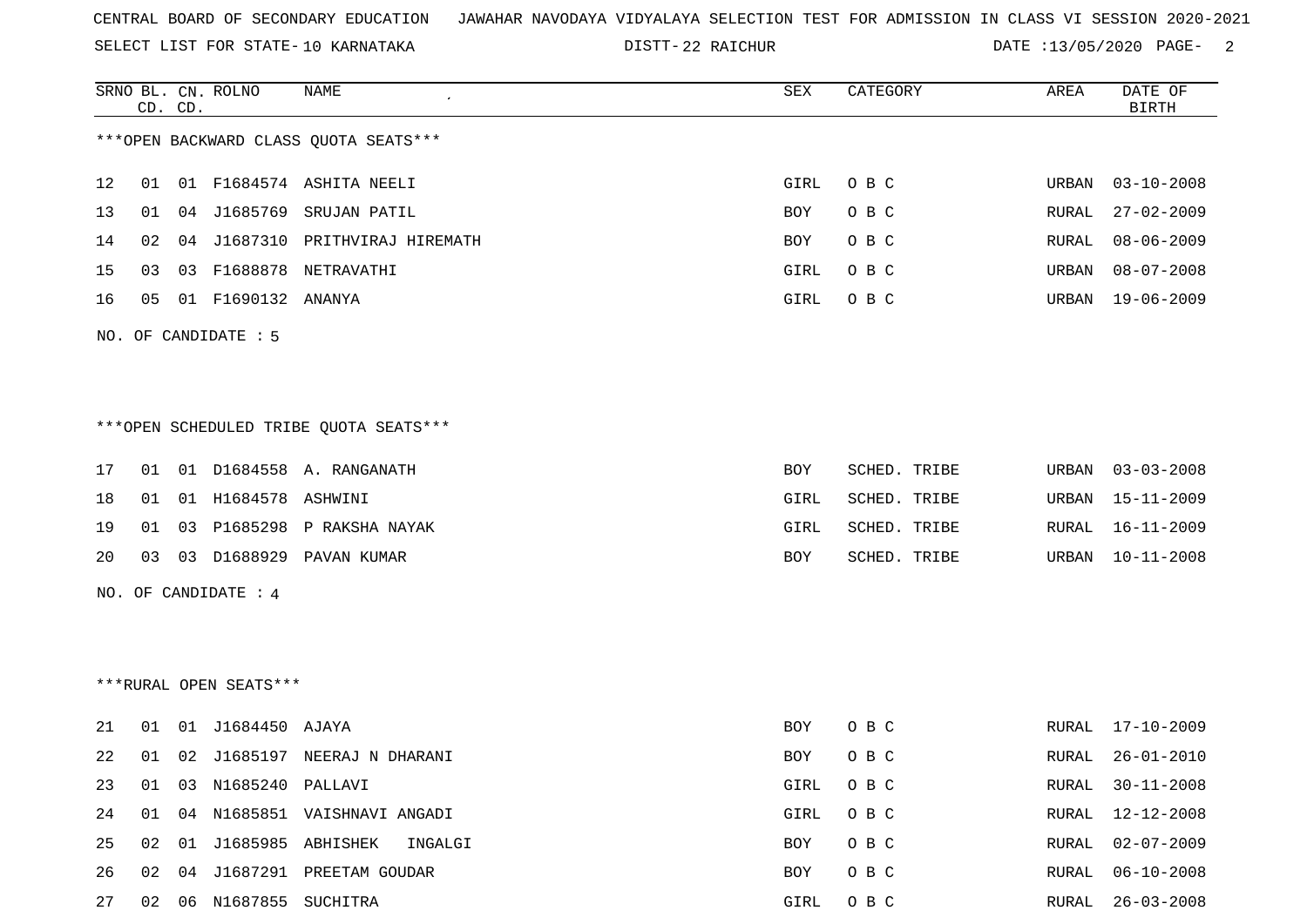SELECT LIST FOR STATE- DISTT- 10 KARNATAKA

22 RAICHUR DATE :13/05/2020 PAGE- 2

RURAL 06-10-2008

|    |    | SRNO BL. CN. ROLNO<br>CD. CD. |                        | NAME                                   | SEX        | CATEGORY     | AREA          | DATE OF<br>$\operatorname{BIRTH}$ |
|----|----|-------------------------------|------------------------|----------------------------------------|------------|--------------|---------------|-----------------------------------|
|    |    |                               |                        | *** OPEN BACKWARD CLASS QUOTA SEATS*** |            |              |               |                                   |
| 12 | 01 |                               |                        | 01 F1684574 ASHITA NEELI               | GIRL       | O B C        | URBAN         | $03 - 10 - 2008$                  |
| 13 | 01 |                               |                        | 04 J1685769 SRUJAN PATIL               | <b>BOY</b> | O B C        | ${\tt RURAL}$ | $27 - 02 - 2009$                  |
| 14 | 02 |                               |                        | 04 J1687310 PRITHVIRAJ HIREMATH        | BOY        | O B C        | RURAL         | $08 - 06 - 2009$                  |
| 15 | 03 |                               |                        | 03 F1688878 NETRAVATHI                 | GIRL       | O B C        | URBAN         | $08 - 07 - 2008$                  |
| 16 | 05 |                               | 01 F1690132 ANANYA     |                                        | GIRL       | O B C        |               | URBAN 19-06-2009                  |
|    |    |                               | NO. OF CANDIDATE : 5   |                                        |            |              |               |                                   |
|    |    |                               |                        |                                        |            |              |               |                                   |
|    |    |                               |                        | ***OPEN SCHEDULED TRIBE QUOTA SEATS*** |            |              |               |                                   |
| 17 |    |                               |                        | 01 01 D1684558 A. RANGANATH            | <b>BOY</b> | SCHED. TRIBE | URBAN         | $03 - 03 - 2008$                  |
| 18 | 01 |                               | 01 H1684578 ASHWINI    |                                        | GIRL       | SCHED. TRIBE | URBAN         | 15-11-2009                        |
| 19 | 01 |                               |                        | 03 P1685298 P RAKSHA NAYAK             | GIRL       | SCHED. TRIBE | RURAL         | 16-11-2009                        |
| 20 |    |                               |                        | 03 03 D1688929 PAVAN KUMAR             | BOY        | SCHED. TRIBE |               | URBAN 10-11-2008                  |
|    |    |                               | NO. OF CANDIDATE : 4   |                                        |            |              |               |                                   |
|    |    |                               |                        |                                        |            |              |               |                                   |
|    |    |                               | ***RURAL OPEN SEATS*** |                                        |            |              |               |                                   |
| 21 | 01 |                               | 01 J1684450 AJAYA      |                                        | <b>BOY</b> | O B C        |               | RURAL 17-10-2009                  |
| 22 | 01 |                               |                        | 02 J1685197 NEERAJ N DHARANI           | <b>BOY</b> | O B C        | RURAL         | $26 - 01 - 2010$                  |
| 23 | 01 |                               | 03 N1685240 PALLAVI    |                                        | GIRL       | O B C        | RURAL         | $30 - 11 - 2008$                  |
| 24 | 01 |                               |                        | 04 N1685851 VAISHNAVI ANGADI           | GIRL       | O B C        | RURAL         | 12-12-2008                        |
| 25 | 02 |                               |                        | 01 J1685985 ABHISHEK<br>INGALGI        | BOY        | O B C        | RURAL         | $02 - 07 - 2009$                  |

27 02 06 N1687855 SUCHITRA GIRL O B C RURAL 26-03-2008

26 02 04 J1687291 PREETAM GOUDAR BOY O B C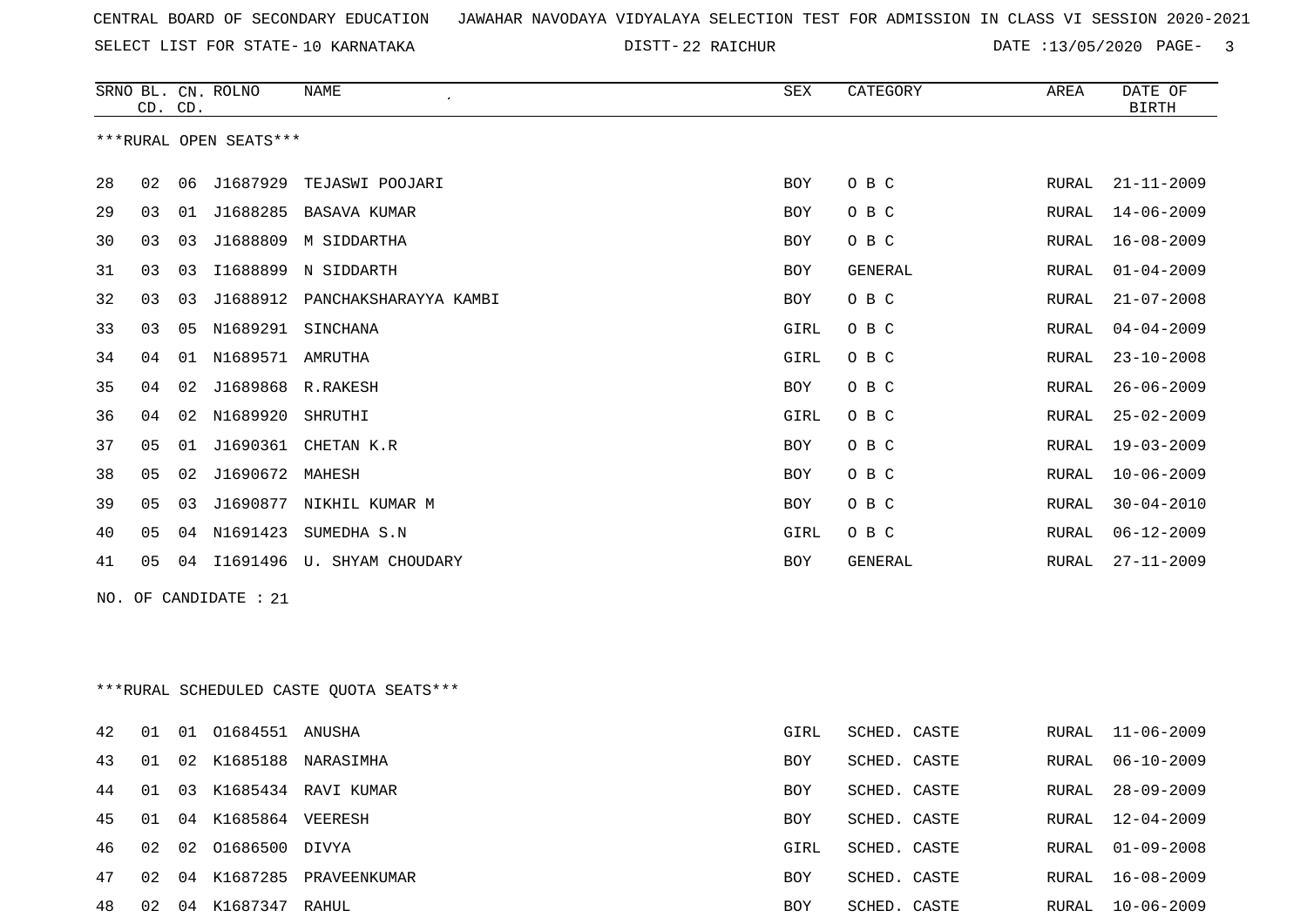SELECT LIST FOR STATE- DISTT- 10 KARNATAKA

22 RAICHUR DATE :13/05/2020 PAGE- 3

|    | CD. CD. |    | SRNO BL. CN. ROLNO     | <b>NAME</b>                              | <b>SEX</b> | CATEGORY       | AREA  | DATE OF<br><b>BIRTH</b> |
|----|---------|----|------------------------|------------------------------------------|------------|----------------|-------|-------------------------|
|    |         |    | ***RURAL OPEN SEATS*** |                                          |            |                |       |                         |
| 28 | 02      | 06 |                        | J1687929 TEJASWI POOJARI                 | BOY        | O B C          | RURAL | $21 - 11 - 2009$        |
| 29 | 03      | 01 |                        | J1688285 BASAVA KUMAR                    | BOY        | O B C          | RURAL | $14 - 06 - 2009$        |
| 30 | 03      | 03 | J1688809               | M SIDDARTHA                              | BOY        | O B C          | RURAL | $16 - 08 - 2009$        |
| 31 | 03      | 03 |                        | I1688899 N SIDDARTH                      | <b>BOY</b> | <b>GENERAL</b> | RURAL | $01 - 04 - 2009$        |
| 32 | 03      | 03 | J1688912               | PANCHAKSHARAYYA KAMBI                    | <b>BOY</b> | O B C          | RURAL | $21 - 07 - 2008$        |
| 33 | 03      | 05 | N1689291               | SINCHANA                                 | GIRL       | O B C          | RURAL | $04 - 04 - 2009$        |
| 34 | 04      |    | 01 N1689571 AMRUTHA    |                                          | GIRL       | O B C          | RURAL | $23 - 10 - 2008$        |
| 35 | 04      | 02 | J1689868 R.RAKESH      |                                          | BOY        | O B C          | RURAL | $26 - 06 - 2009$        |
| 36 | 04      | 02 | N1689920               | SHRUTHI                                  | GIRL       | O B C          | RURAL | $25 - 02 - 2009$        |
| 37 | 05      |    |                        | 01 J1690361 CHETAN K.R                   | BOY        | O B C          | RURAL | $19 - 03 - 2009$        |
| 38 | 05      | 02 | J1690672 MAHESH        |                                          | BOY        | O B C          | RURAL | $10 - 06 - 2009$        |
| 39 | 05      | 03 |                        | J1690877 NIKHIL KUMAR M                  | <b>BOY</b> | O B C          | RURAL | $30 - 04 - 2010$        |
| 40 | 05      | 04 | N1691423               | SUMEDHA S.N                              | GIRL       | O B C          | RURAL | $06 - 12 - 2009$        |
| 41 | 05      |    |                        | 04 I1691496 U. SHYAM CHOUDARY            | BOY        | GENERAL        | RURAL | $27 - 11 - 2009$        |
|    |         |    | NO. OF CANDIDATE : 21  |                                          |            |                |       |                         |
|    |         |    |                        |                                          |            |                |       |                         |
|    |         |    |                        | *** RURAL SCHEDULED CASTE QUOTA SEATS*** |            |                |       |                         |
|    |         |    |                        |                                          |            |                |       |                         |
| 42 | 01      |    | 01 01684551 ANUSHA     |                                          | GIRL       | SCHED. CASTE   | RURAL | $11 - 06 - 2009$        |

| 43 |    |    |                         | 01 02 K1685188 NARASIMHA | <b>BOY</b> | SCHED. CASTE |       | RURAL 06-10-2009 |
|----|----|----|-------------------------|--------------------------|------------|--------------|-------|------------------|
| 44 |    |    | 01 03 K1685434          | RAVI KUMAR               | <b>BOY</b> | SCHED. CASTE | RURAL | 28-09-2009       |
| 45 |    |    | 01 04 K1685864          | VEERESH                  | <b>BOY</b> | SCHED. CASTE |       | RURAL 12-04-2009 |
|    |    |    | 46 02 02 01686500 DIVYA |                          | GIRL       | SCHED. CASTE |       | RURAL 01-09-2008 |
| 47 |    |    | 02 04 K1687285          | PRAVEENKUMAR             | <b>BOY</b> | SCHED. CASTE |       | RURAL 16-08-2009 |
| 48 | 02 | 04 | K1687347                | RAHUL                    | <b>BOY</b> | SCHED. CASTE | RURAL | 10-06-2009       |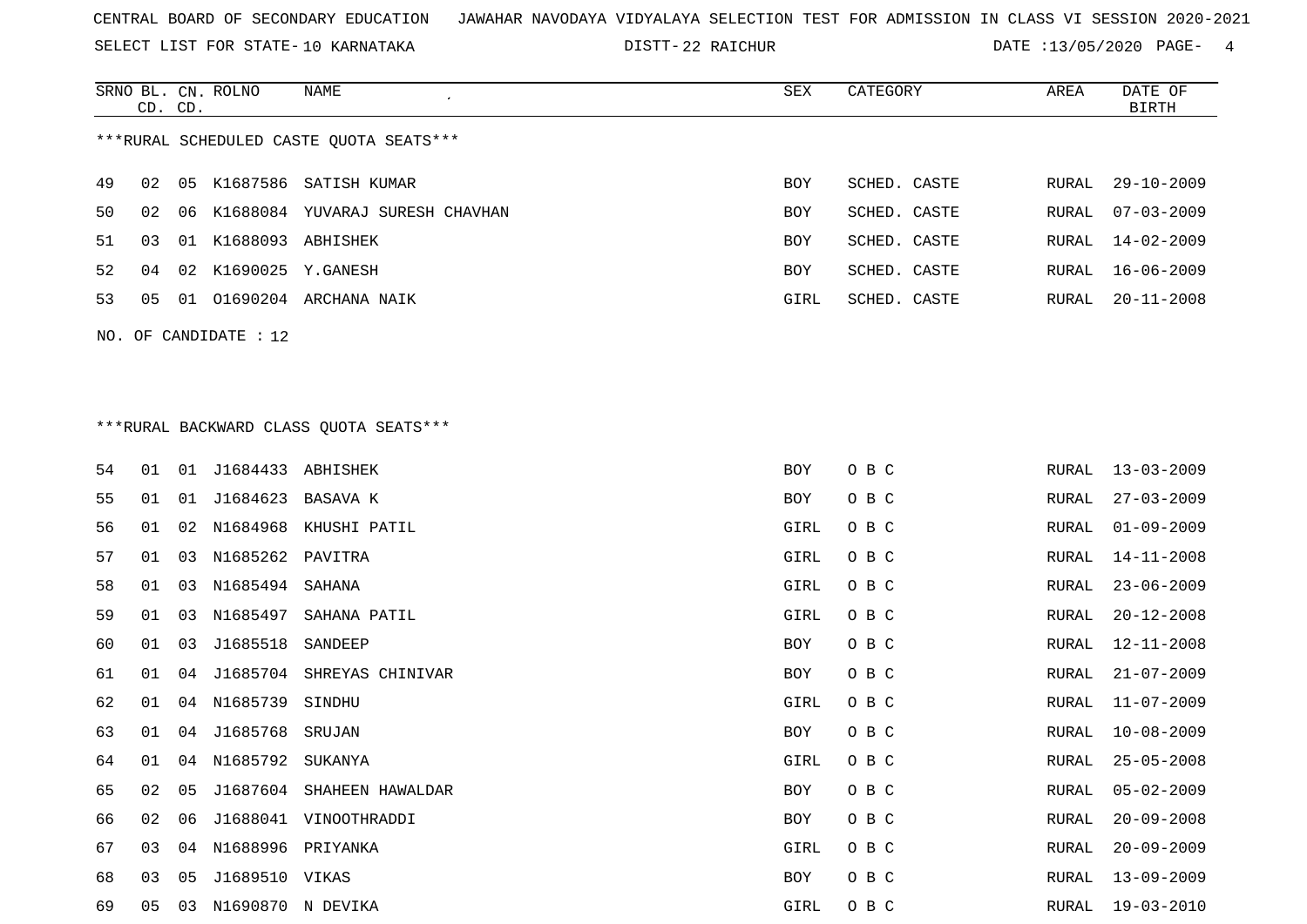SELECT LIST FOR STATE- DISTT- 10 KARNATAKA

DISTT-22 RAICHUR **DATE** :13/05/2020 PAGE- 4

|     |    | CD. CD. | SRNO BL. CN. ROLNO      | NAME                                    | SEX  | CATEGORY     | AREA  | DATE OF<br><b>BIRTH</b> |
|-----|----|---------|-------------------------|-----------------------------------------|------|--------------|-------|-------------------------|
|     |    |         |                         | ***RURAL SCHEDULED CASTE QUOTA SEATS*** |      |              |       |                         |
| 49  | 02 |         |                         | 05 K1687586 SATISH KUMAR                | BOY  | SCHED. CASTE | RURAL | $29 - 10 - 2009$        |
| 50  | 02 | 06      |                         | K1688084 YUVARAJ SURESH CHAVHAN         | BOY  | SCHED. CASTE | RURAL | $07 - 03 - 2009$        |
| 51  | 03 |         | 01 K1688093 ABHISHEK    |                                         | BOY  | SCHED. CASTE | RURAL | $14 - 02 - 2009$        |
| 52  | 04 | 02      |                         | K1690025 Y.GANESH                       | BOY  | SCHED. CASTE | RURAL | $16 - 06 - 2009$        |
| 53  | 05 |         |                         | 01 01690204 ARCHANA NAIK                | GIRL | SCHED. CASTE | RURAL | $20 - 11 - 2008$        |
| NO. |    |         | OF CANDIDATE : 12       |                                         |      |              |       |                         |
|     |    |         |                         |                                         |      |              |       |                         |
|     |    |         |                         |                                         |      |              |       |                         |
|     |    |         |                         | *** RURAL BACKWARD CLASS QUOTA SEATS*** |      |              |       |                         |
| 54  | 01 | 01      | J1684433 ABHISHEK       |                                         | BOY  | O B C        | RURAL | $13 - 03 - 2009$        |
| 55  | 01 | 01      | J1684623                | BASAVA K                                | BOY  | O B C        | RURAL | $27 - 03 - 2009$        |
| 56  | 01 | 02      |                         | N1684968 KHUSHI PATIL                   | GIRL | O B C        | RURAL | $01 - 09 - 2009$        |
| 57  | 01 | 03      | N1685262 PAVITRA        |                                         | GIRL | O B C        | RURAL | $14 - 11 - 2008$        |
| 58  | 01 | 03      | N1685494                | SAHANA                                  | GIRL | O B C        | RURAL | $23 - 06 - 2009$        |
| 59  | 01 | 03      | N1685497                | SAHANA PATIL                            | GIRL | O B C        | RURAL | $20 - 12 - 2008$        |
| 60  | 01 | 03      | J1685518                | SANDEEP                                 | BOY  | O B C        | RURAL | $12 - 11 - 2008$        |
| 61  | 01 | 04      |                         | J1685704 SHREYAS CHINIVAR               | BOY  | O B C        | RURAL | $21 - 07 - 2009$        |
| 62  | 01 | 04      | N1685739                | SINDHU                                  | GIRL | O B C        | RURAL | $11 - 07 - 2009$        |
| 63  | 01 | 04      | J1685768 SRUJAN         |                                         | BOY  | O B C        | RURAL | $10 - 08 - 2009$        |
| 64  | 01 |         | 04 N1685792 SUKANYA     |                                         | GIRL | O B C        | RURAL | $25 - 05 - 2008$        |
| 65  | 02 | 05      |                         | J1687604 SHAHEEN HAWALDAR               | BOY  | O B C        | RURAL | $05 - 02 - 2009$        |
| 66  | 02 | 06      |                         | J1688041 VINOOTHRADDI                   | BOY  | O B C        | RURAL | $20 - 09 - 2008$        |
| 67  | 03 | 04      | N1688996 PRIYANKA       |                                         | GIRL | O B C        | RURAL | $20 - 09 - 2009$        |
| 68  | 03 | 05      | J1689510 VIKAS          |                                         | BOY  | O B C        | RURAL | $13 - 09 - 2009$        |
| 69  |    |         | 05 03 N1690870 N DEVIKA |                                         | GIRL | O B C        |       | RURAL 19-03-2010        |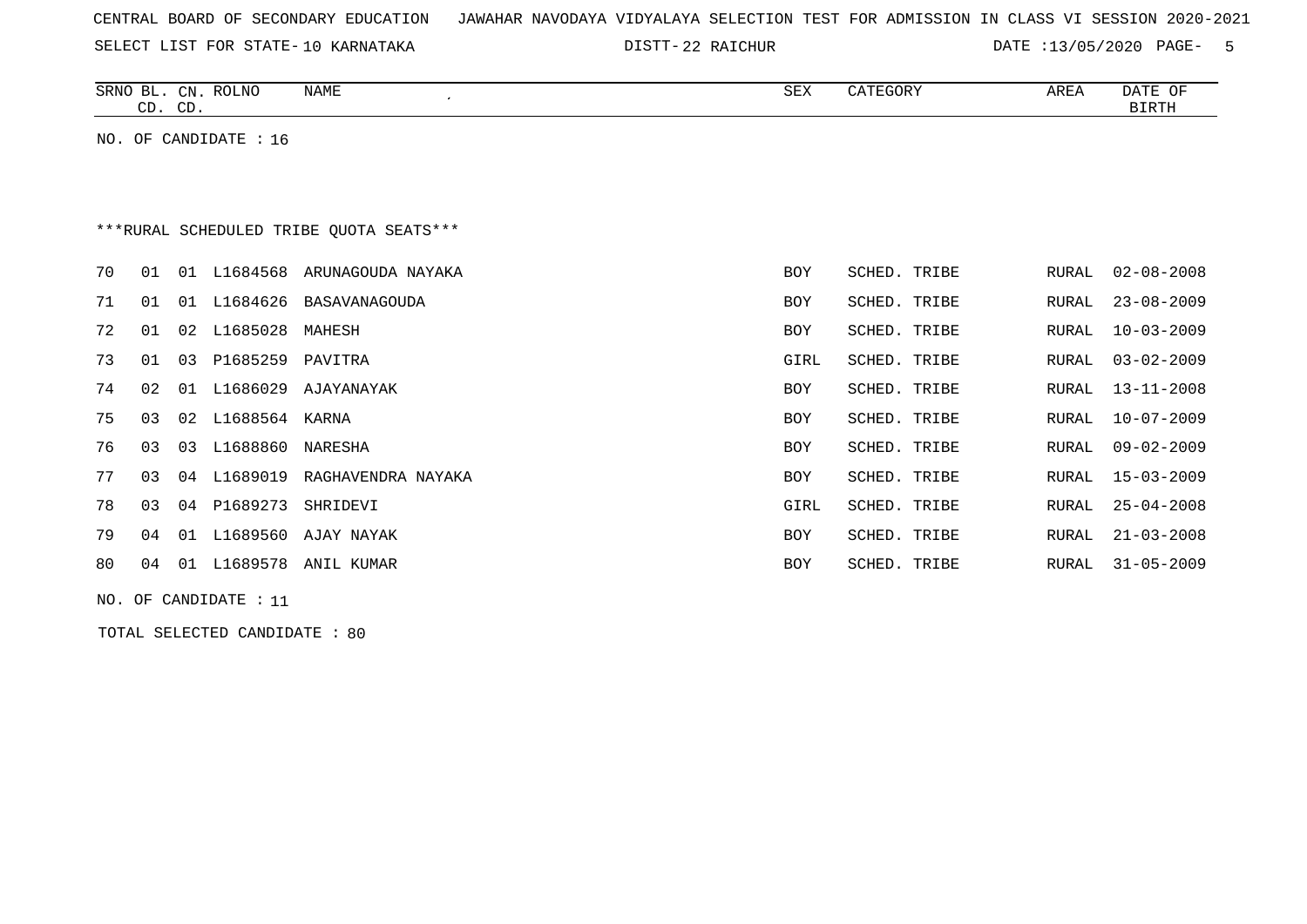| CENTRAL BOARD OF SECONDARY EDUCATION – JAWAHAR NAVODAYA VIDYALAYA SELECTION TEST FOR ADMISSION IN CLASS VI SESSION 2020-2021 |  |  |  |
|------------------------------------------------------------------------------------------------------------------------------|--|--|--|
|------------------------------------------------------------------------------------------------------------------------------|--|--|--|

DISTT-22 RAICHUR 2020 DATE :13/05/2020 PAGE- 5

|    |                       | CD. CD. | SRNO BL. CN. ROLNO    | NAME                                    | SEX        | CATEGORY     | AREA  | DATE OF<br><b>BIRTH</b> |  |  |
|----|-----------------------|---------|-----------------------|-----------------------------------------|------------|--------------|-------|-------------------------|--|--|
|    |                       |         | NO. OF CANDIDATE : 16 |                                         |            |              |       |                         |  |  |
|    |                       |         |                       |                                         |            |              |       |                         |  |  |
|    |                       |         |                       |                                         |            |              |       |                         |  |  |
|    |                       |         |                       | ***RURAL SCHEDULED TRIBE OUOTA SEATS*** |            |              |       |                         |  |  |
| 70 | 01                    |         |                       | 01 L1684568 ARUNAGOUDA NAYAKA           | <b>BOY</b> | SCHED. TRIBE | RURAL | $02 - 08 - 2008$        |  |  |
| 71 | 01                    |         |                       | 01 L1684626 BASAVANAGOUDA               | BOY        | SCHED. TRIBE | RURAL | $23 - 08 - 2009$        |  |  |
| 72 | 01                    |         | 02 L1685028           | MAHESH                                  | <b>BOY</b> | SCHED. TRIBE | RURAL | $10 - 03 - 2009$        |  |  |
| 73 | 01                    |         | 03 P1685259           | PAVITRA                                 | GIRL       | SCHED. TRIBE | RURAL | $03 - 02 - 2009$        |  |  |
| 74 | 02                    |         | 01 L1686029           | AJAYANAYAK                              | <b>BOY</b> | SCHED. TRIBE | RURAL | $13 - 11 - 2008$        |  |  |
| 75 | 03                    |         | 02 L1688564 KARNA     |                                         | <b>BOY</b> | SCHED. TRIBE | RURAL | $10 - 07 - 2009$        |  |  |
| 76 | 03                    | 03      | L1688860              | NARESHA                                 | <b>BOY</b> | SCHED. TRIBE | RURAL | $09 - 02 - 2009$        |  |  |
| 77 | 03                    |         | 04 L1689019           | RAGHAVENDRA NAYAKA                      | <b>BOY</b> | SCHED. TRIBE | RURAL | $15 - 03 - 2009$        |  |  |
| 78 | 03                    |         | 04 P1689273           | SHRIDEVI                                | GIRL       | SCHED. TRIBE | RURAL | $25 - 04 - 2008$        |  |  |
| 79 | 04                    |         | 01 L1689560           | AJAY NAYAK                              | <b>BOY</b> | SCHED. TRIBE | RURAL | $21 - 03 - 2008$        |  |  |
| 80 | 04                    |         | 01 L1689578           | ANIL KUMAR                              | <b>BOY</b> | SCHED. TRIBE | RURAL | $31 - 05 - 2009$        |  |  |
|    | NO. OF CANDIDATE : 11 |         |                       |                                         |            |              |       |                         |  |  |

TOTAL SELECTED CANDIDATE : 80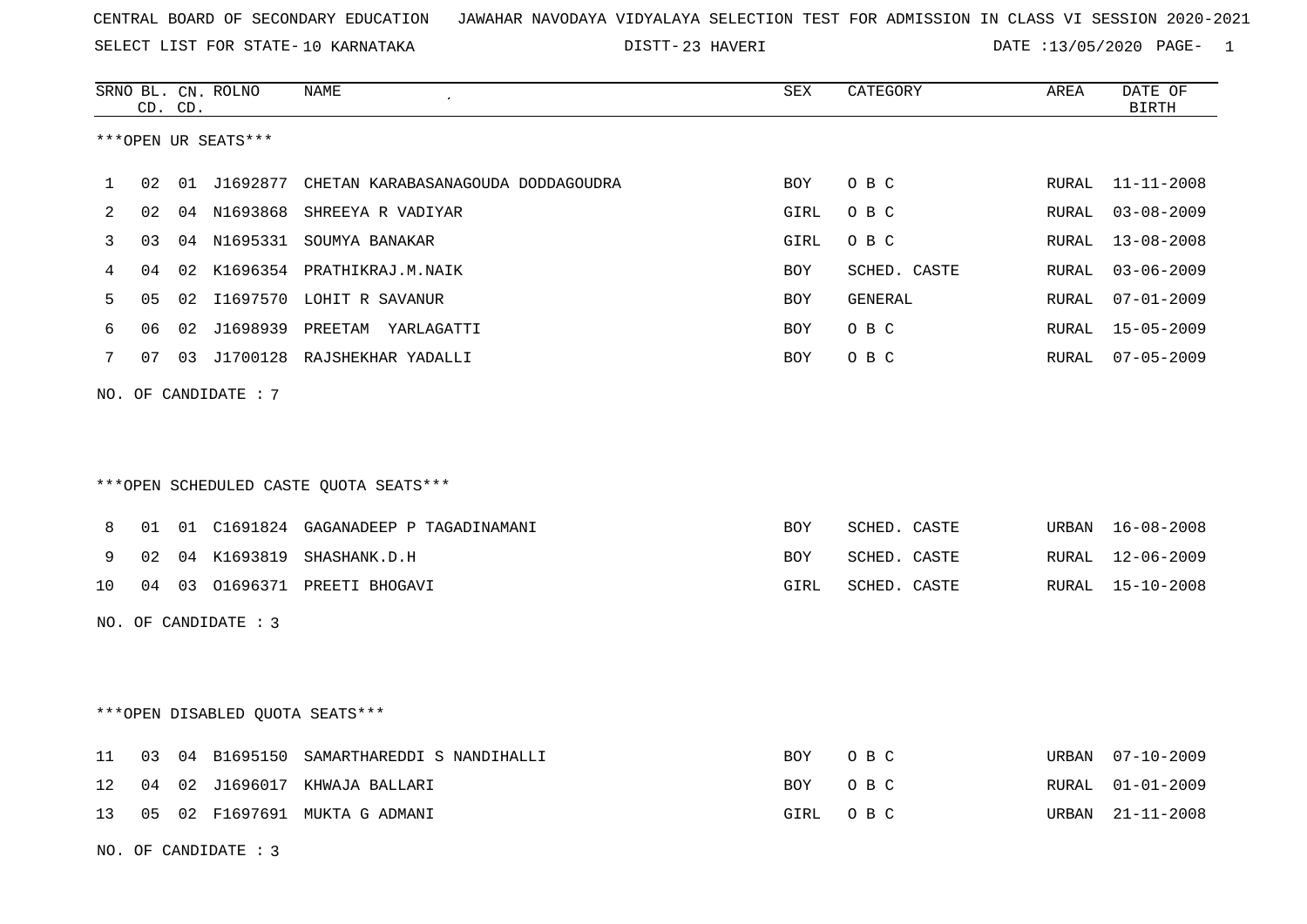23 HAVERI DATE :13/05/2020 PAGE- 1

|                                        |    | CD. CD. | SRNO BL. CN. ROLNO | <b>NAME</b>                                    | <b>SEX</b> | CATEGORY     | AREA  | DATE OF<br><b>BIRTH</b> |
|----------------------------------------|----|---------|--------------------|------------------------------------------------|------------|--------------|-------|-------------------------|
| ***OPEN UR SEATS***                    |    |         |                    |                                                |            |              |       |                         |
| $\mathbf{1}$                           | 02 |         |                    | 01 J1692877 CHETAN KARABASANAGOUDA DODDAGOUDRA | <b>BOY</b> | O B C        | RURAL | $11 - 11 - 2008$        |
| 2                                      | 02 |         |                    | 04 N1693868 SHREEYA R VADIYAR                  | GIRL       | O B C        | RURAL | $03 - 08 - 2009$        |
| 3                                      | 03 |         |                    | 04 N1695331 SOUMYA BANAKAR                     | GIRL       | O B C        | RURAL | $13 - 08 - 2008$        |
| 4                                      | 04 |         |                    | 02 K1696354 PRATHIKRAJ.M.NAIK                  | <b>BOY</b> | SCHED. CASTE | RURAL | $03 - 06 - 2009$        |
| 5                                      | 05 |         |                    | 02 I1697570 LOHIT R SAVANUR                    | BOY        | GENERAL      | RURAL | $07 - 01 - 2009$        |
| 6                                      | 06 | 02      |                    | J1698939 PREETAM YARLAGATTI                    | BOY        | O B C        | RURAL | $15 - 05 - 2009$        |
| 7                                      | 07 |         |                    | 03 J1700128 RAJSHEKHAR YADALLI                 | BOY        | O B C        | RURAL | 07-05-2009              |
| NO. OF CANDIDATE : 7                   |    |         |                    |                                                |            |              |       |                         |
|                                        |    |         |                    |                                                |            |              |       |                         |
|                                        |    |         |                    |                                                |            |              |       |                         |
| ***OPEN SCHEDULED CASTE QUOTA SEATS*** |    |         |                    |                                                |            |              |       |                         |
| 8                                      | 01 |         |                    | 01 C1691824 GAGANADEEP P TAGADINAMANI          | BOY        | SCHED. CASTE | URBAN | $16 - 08 - 2008$        |
| 9                                      | 02 |         |                    | 04 K1693819 SHASHANK.D.H                       | BOY        | SCHED. CASTE | RURAL | $12 - 06 - 2009$        |
| 10                                     | 04 |         |                    | 03 01696371 PREETI BHOGAVI                     | GIRL       | SCHED. CASTE | RURAL | 15-10-2008              |
| NO. OF CANDIDATE : 3                   |    |         |                    |                                                |            |              |       |                         |
|                                        |    |         |                    |                                                |            |              |       |                         |
|                                        |    |         |                    |                                                |            |              |       |                         |
| ***OPEN DISABLED QUOTA SEATS***        |    |         |                    |                                                |            |              |       |                         |
| 11                                     | 03 |         |                    | 04 B1695150 SAMARTHAREDDI S NANDIHALLI         | BOY        | O B C        | URBAN | $07 - 10 - 2009$        |
| 12                                     | 04 | 02      |                    | J1696017 KHWAJA BALLARI                        | BOY        | O B C        | RURAL | $01 - 01 - 2009$        |
| 13                                     | 05 |         |                    | 02 F1697691 MUKTA G ADMANI                     | GIRL       | O B C        | URBAN | $21 - 11 - 2008$        |
| NO. OF CANDIDATE : 3                   |    |         |                    |                                                |            |              |       |                         |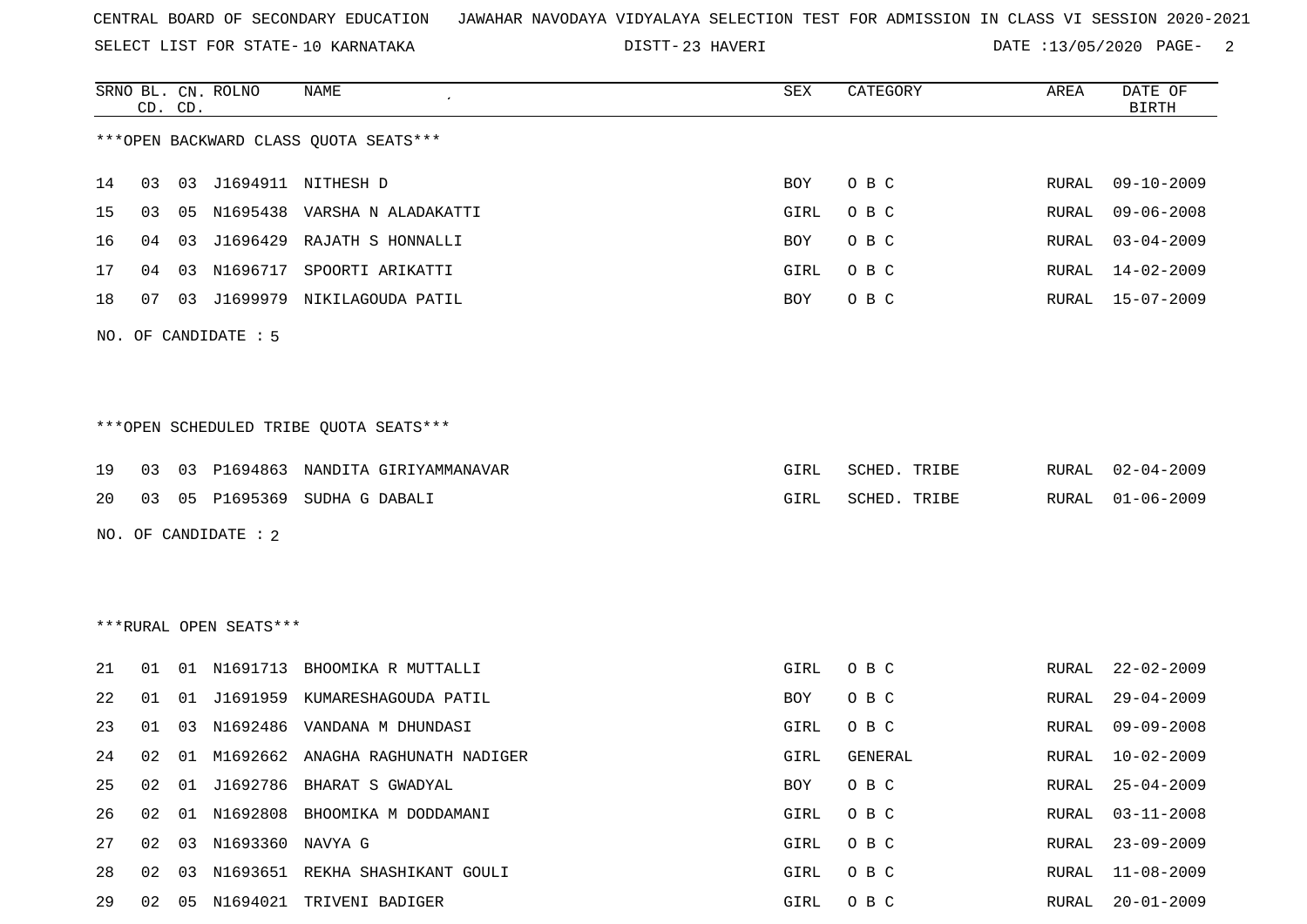SELECT LIST FOR STATE- DISTT- 10 KARNATAKA

DISTT-23 HAVERI 20020 DATE :13/05/2020 PAGE- 2

|    | CD. CD. |    | SRNO BL. CN. ROLNO     | NAME                                    | SEX  | CATEGORY     | AREA  | DATE OF<br><b>BIRTH</b> |
|----|---------|----|------------------------|-----------------------------------------|------|--------------|-------|-------------------------|
|    |         |    |                        | *** OPEN BACKWARD CLASS OUOTA SEATS***  |      |              |       |                         |
| 14 | 03      |    |                        | 03 J1694911 NITHESH D                   | BOY  | O B C        | RURAL | $09 - 10 - 2009$        |
| 15 | 03      |    |                        | 05 N1695438 VARSHA N ALADAKATTI         | GIRL | O B C        | RURAL | $09 - 06 - 2008$        |
| 16 | 04      | 03 |                        | J1696429 RAJATH S HONNALLI              | BOY  | O B C        | RURAL | $03 - 04 - 2009$        |
| 17 | 04      | 03 | N1696717               | SPOORTI ARIKATTI                        | GIRL | O B C        | RURAL | $14 - 02 - 2009$        |
| 18 | 07      |    |                        | 03 J1699979 NIKILAGOUDA PATIL           | BOY  | O B C        | RURAL | 15-07-2009              |
|    |         |    | NO. OF CANDIDATE : 5   |                                         |      |              |       |                         |
|    |         |    |                        |                                         |      |              |       |                         |
|    |         |    |                        | *** OPEN SCHEDULED TRIBE QUOTA SEATS*** |      |              |       |                         |
| 19 | 03      |    |                        | 03 P1694863 NANDITA GIRIYAMMANAVAR      | GIRL | SCHED. TRIBE | RURAL | $02 - 04 - 2009$        |
| 20 | 03      |    |                        | 05 P1695369 SUDHA G DABALI              | GIRL | SCHED. TRIBE | RURAL | $01 - 06 - 2009$        |
|    |         |    | NO. OF CANDIDATE : 2   |                                         |      |              |       |                         |
|    |         |    |                        |                                         |      |              |       |                         |
|    |         |    |                        |                                         |      |              |       |                         |
|    |         |    | ***RURAL OPEN SEATS*** |                                         |      |              |       |                         |
| 21 |         |    |                        | 01 01 N1691713 BHOOMIKA R MUTTALLI      | GIRL | O B C        | RURAL | $22 - 02 - 2009$        |
| 22 | 01      | 01 |                        | J1691959 KUMARESHAGOUDA PATIL           | BOY  | O B C        | RURAL | $29 - 04 - 2009$        |
| 23 | 01      | 03 |                        | N1692486 VANDANA M DHUNDASI             | GIRL | O B C        | RURAL | $09 - 09 - 2008$        |
| 24 | 02      |    |                        | 01 M1692662 ANAGHA RAGHUNATH NADIGER    | GIRL | GENERAL      | RURAL | $10 - 02 - 2009$        |
|    |         |    |                        | 25 02 01 J1692786 BHARAT S GWADYAL      |      | BOY OBC      |       | RURAL 25-04-2009        |
| 26 | 02      |    |                        | 01 N1692808 BHOOMIKA M DODDAMANI        | GIRL | O B C        | RURAL | $03 - 11 - 2008$        |
| 27 | 02      |    | 03 N1693360 NAVYA G    |                                         | GIRL | O B C        | RURAL | $23 - 09 - 2009$        |
| 28 | 02      |    |                        | 03 N1693651 REKHA SHASHIKANT GOULI      | GIRL | O B C        | RURAL | 11-08-2009              |
| 29 |         |    |                        | 02 05 N1694021 TRIVENI BADIGER          | GIRL | O B C        | RURAL | $20 - 01 - 2009$        |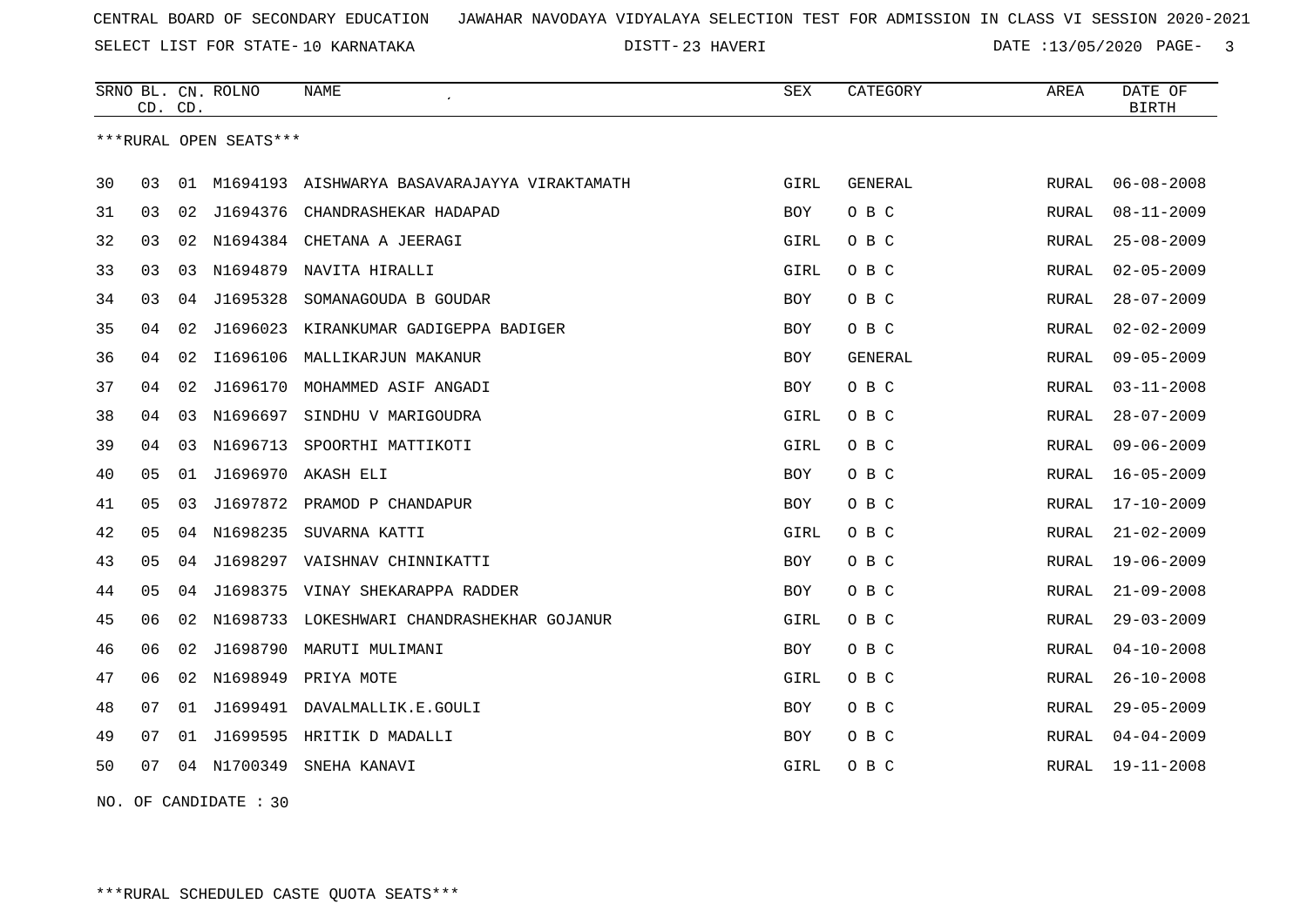23 HAVERI DATE :13/05/2020 PAGE- 3

|    | CD. CD. |    | SRNO BL. CN. ROLNO     | NAME                                | <b>SEX</b> | CATEGORY       | AREA         | DATE OF<br><b>BIRTH</b> |
|----|---------|----|------------------------|-------------------------------------|------------|----------------|--------------|-------------------------|
|    |         |    | ***RURAL OPEN SEATS*** |                                     |            |                |              |                         |
| 30 | 03      | 01 | M1694193               | AISHWARYA BASAVARAJAYYA VIRAKTAMATH | GIRL       | <b>GENERAL</b> | <b>RURAL</b> | $06 - 08 - 2008$        |
| 31 | 03      | 02 | J1694376               | CHANDRASHEKAR HADAPAD               | BOY        | O B C          | RURAL        | $08 - 11 - 2009$        |
| 32 | 03      | 02 |                        | N1694384 CHETANA A JEERAGI          | GIRL       | O B C          | RURAL        | $25 - 08 - 2009$        |
| 33 | 03      | 03 | N1694879               | NAVITA HIRALLI                      | GIRL       | O B C          | <b>RURAL</b> | $02 - 05 - 2009$        |
| 34 | 03      | 04 | J1695328               | SOMANAGOUDA B GOUDAR                | <b>BOY</b> | O B C          | RURAL        | $28 - 07 - 2009$        |
| 35 | 04      | 02 | J1696023               | KIRANKUMAR GADIGEPPA BADIGER        | <b>BOY</b> | O B C          | <b>RURAL</b> | $02 - 02 - 2009$        |
| 36 | 04      | 02 | I1696106               | MALLIKARJUN MAKANUR                 | <b>BOY</b> | GENERAL        | RURAL        | $09 - 05 - 2009$        |
| 37 | 04      | 02 | J1696170               | MOHAMMED ASIF ANGADI                | BOY        | O B C          | <b>RURAL</b> | $03 - 11 - 2008$        |
| 38 | 04      | 03 | N1696697               | SINDHU V MARIGOUDRA                 | GIRL       | O B C          | RURAL        | $28 - 07 - 2009$        |
| 39 | 04      | 03 | N1696713               | SPOORTHI MATTIKOTI                  | GIRL       | O B C          | RURAL        | $09 - 06 - 2009$        |
| 40 | 05      | 01 | J1696970               | AKASH ELI                           | BOY        | O B C          | RURAL        | $16 - 05 - 2009$        |
| 41 | 05      | 03 |                        | J1697872 PRAMOD P CHANDAPUR         | <b>BOY</b> | O B C          | RURAL        | $17 - 10 - 2009$        |
| 42 | 05      | 04 | N1698235               | SUVARNA KATTI                       | GIRL       | O B C          | RURAL        | $21 - 02 - 2009$        |
| 43 | 05      | 04 |                        | J1698297 VAISHNAV CHINNIKATTI       | BOY        | O B C          | RURAL        | $19 - 06 - 2009$        |
| 44 | 05      | 04 | J1698375               | VINAY SHEKARAPPA RADDER             | BOY        | O B C          | <b>RURAL</b> | $21 - 09 - 2008$        |
| 45 | 06      | 02 | N1698733               | LOKESHWARI CHANDRASHEKHAR GOJANUR   | GIRL       | O B C          | RURAL        | $29 - 03 - 2009$        |
| 46 | 06      | 02 | J1698790               | MARUTI MULIMANI                     | BOY        | O B C          | RURAL        | $04 - 10 - 2008$        |
| 47 | 06      | 02 | N1698949               | PRIYA MOTE                          | GIRL       | O B C          | RURAL        | $26 - 10 - 2008$        |
| 48 | 07      | 01 | J1699491               | DAVALMALLIK.E.GOULI                 | BOY        | O B C          | RURAL        | $29 - 05 - 2009$        |
| 49 | 07      | 01 | J1699595               | HRITIK D MADALLI                    | <b>BOY</b> | O B C          | RURAL        | $04 - 04 - 2009$        |
| 50 | 07      | 04 | N1700349               | SNEHA KANAVI                        | GIRL       | O B C          | RURAL        | $19 - 11 - 2008$        |
|    |         |    |                        |                                     |            |                |              |                         |

NO. OF CANDIDATE : 30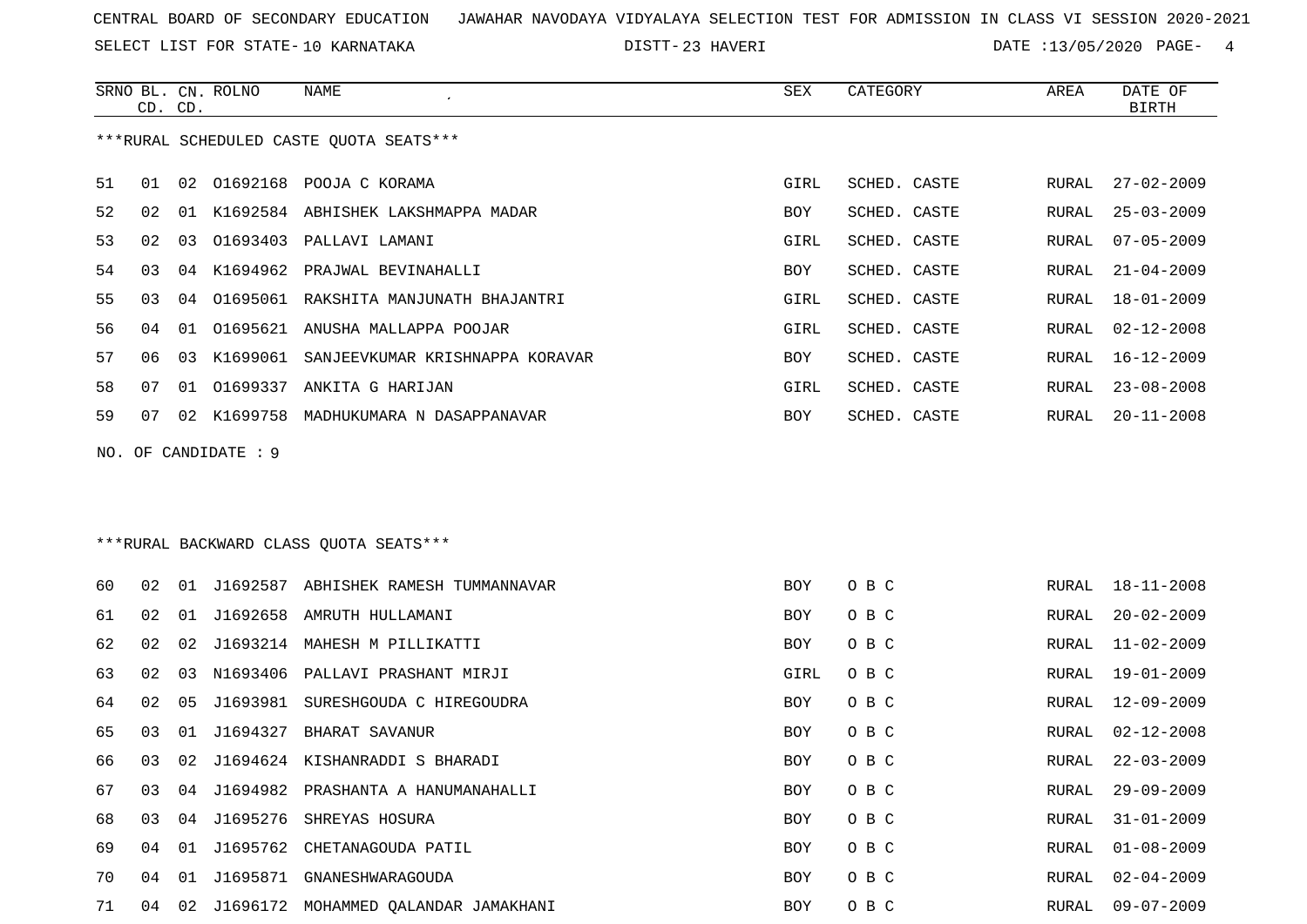SELECT LIST FOR STATE- DISTT- 10 KARNATAKA

SRNO BL. CN.

ROLNO NAME SEX CATEGORY AREA DATE OF

23 HAVERI DATE :13/05/2020 PAGE- 4

|                                         |    |    |                 |                                         |             |              |       | <b>BIRTH</b>     |
|-----------------------------------------|----|----|-----------------|-----------------------------------------|-------------|--------------|-------|------------------|
| ***RURAL SCHEDULED CASTE QUOTA SEATS*** |    |    |                 |                                         |             |              |       |                  |
| 51                                      | 01 | 02 |                 | O1692168 POOJA C KORAMA                 | <b>GIRL</b> | SCHED. CASTE | RURAL | $27 - 02 - 2009$ |
| 52                                      | 02 | 01 |                 | K1692584 ABHISHEK LAKSHMAPPA MADAR      | <b>BOY</b>  | SCHED. CASTE | RURAL | $25 - 03 - 2009$ |
| 53                                      | 02 | 03 |                 | 01693403 PALLAVI LAMANI                 | GIRL        | SCHED. CASTE | RURAL | $07 - 05 - 2009$ |
| 54                                      | 03 | 04 | K1694962        | PRAJWAL BEVINAHALLI                     | BOY         | SCHED. CASTE | RURAL | $21 - 04 - 2009$ |
| 55                                      | 03 | 04 |                 | 01695061 RAKSHITA MANJUNATH BHAJANTRI   | GIRL        | SCHED. CASTE | RURAL | 18-01-2009       |
| 56                                      | 04 | 01 | 01695621        | ANUSHA MALLAPPA POOJAR                  | GIRL        | SCHED. CASTE | RURAL | $02 - 12 - 2008$ |
| 57                                      | 06 | 03 | K1699061        | SANJEEVKUMAR KRISHNAPPA KORAVAR         | BOY         | SCHED. CASTE | RURAL | 16-12-2009       |
| 58                                      | 07 | 01 | 01699337        | ANKITA G HARIJAN                        | GIRL        | SCHED. CASTE | RURAL | $23 - 08 - 2008$ |
| 59                                      | 07 | 02 | K1699758        | MADHUKUMARA N DASAPPANAVAR              | BOY         | SCHED. CASTE | RURAL | $20 - 11 - 2008$ |
| NO.                                     |    |    | OF CANDIDATE: 9 |                                         |             |              |       |                  |
|                                         |    |    |                 |                                         |             |              |       |                  |
|                                         |    |    |                 | *** RURAL BACKWARD CLASS QUOTA SEATS*** |             |              |       |                  |
|                                         |    |    |                 |                                         |             |              |       |                  |
| 60                                      | 02 | 01 |                 | J1692587 ABHISHEK RAMESH TUMMANNAVAR    | <b>BOY</b>  | O B C        | RURAL | $18 - 11 - 2008$ |
| 61                                      | 02 | 01 |                 | J1692658 AMRUTH HULLAMANI               | <b>BOY</b>  | O B C        | RURAL | $20 - 02 - 2009$ |
| 62                                      | 02 | 02 |                 | J1693214 MAHESH M PILLIKATTI            | BOY         | O B C        | RURAL | $11 - 02 - 2009$ |
| 63                                      | 02 | 03 | N1693406        | PALLAVI PRASHANT MIRJI                  | GIRL        | O B C        | RURAL | 19-01-2009       |
| 64                                      | 02 | 05 | J1693981        | SURESHGOUDA C HIREGOUDRA                | BOY         | O B C        | RURAL | 12-09-2009       |
| 65                                      | 03 | 01 | J1694327        | BHARAT SAVANUR                          | <b>BOY</b>  | O B C        | RURAL | $02 - 12 - 2008$ |
| 66                                      | 03 | 02 |                 | J1694624 KISHANRADDI S BHARADI          | BOY         | O B C        | RURAL | $22 - 03 - 2009$ |
| 67                                      | 03 | 04 | J1694982        | PRASHANTA A HANUMANAHALLI               | BOY         | O B C        | RURAL | $29 - 09 - 2009$ |
| 68                                      |    |    |                 | 03 04 J1695276 SHREYAS HOSURA           | BOY         | O B C        | RURAL | $31 - 01 - 2009$ |
| 69                                      |    |    |                 | 04 01 J1695762 CHETANAGOUDA PATIL       | <b>BOY</b>  | O B C        | RURAL | $01 - 08 - 2009$ |
| 70                                      | 04 |    |                 | 01 J1695871 GNANESHWARAGOUDA            | BOY         | O B C        | RURAL | $02 - 04 - 2009$ |
| 71                                      | 04 |    |                 | 02 J1696172 MOHAMMED QALANDAR JAMAKHANI | BOY         | O B C        | RURAL | $09 - 07 - 2009$ |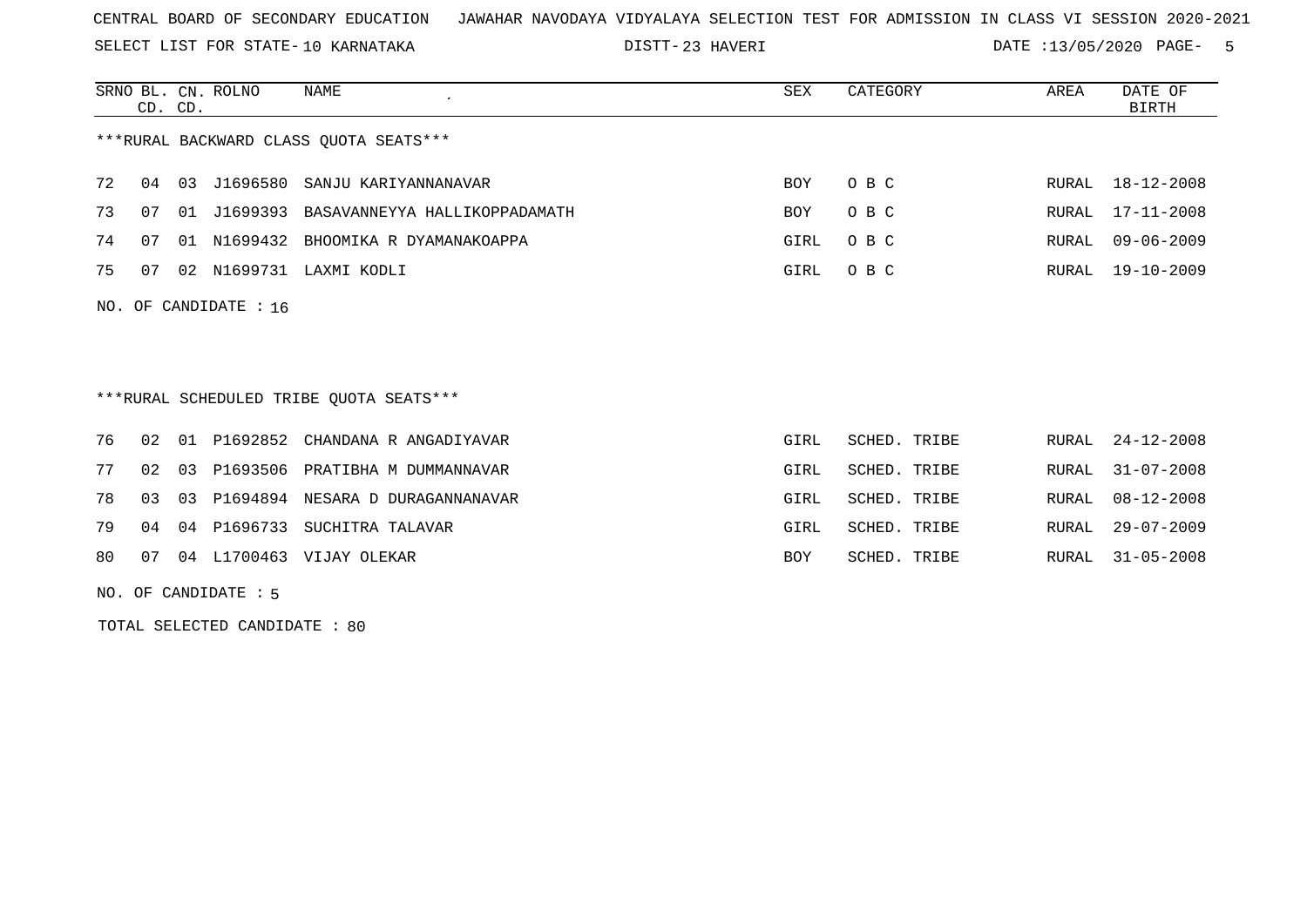SELECT LIST FOR STATE- DISTT- 10 KARNATAKA

23 HAVERI DATE :13/05/2020 PAGE- 5

|    |    | CD. CD. | SRNO BL. CN. ROLNO      | NAME                                    | SEX  | CATEGORY     | AREA  | DATE OF<br>BIRTH |
|----|----|---------|-------------------------|-----------------------------------------|------|--------------|-------|------------------|
|    |    |         |                         | *** RURAL BACKWARD CLASS QUOTA SEATS*** |      |              |       |                  |
| 72 | 04 | 03      | J1696580                | SANJU KARIYANNANAVAR                    | BOY  | O B C        | RURAL | 18-12-2008       |
| 73 | 07 |         | 01 J1699393             | BASAVANNEYYA HALLIKOPPADAMATH           | BOY  | O B C        | RURAL | 17-11-2008       |
| 74 | 07 |         |                         | 01 N1699432 BHOOMIKA R DYAMANAKOAPPA    | GIRL | O B C        | RURAL | $09 - 06 - 2009$ |
| 75 | 07 |         |                         | 02 N1699731 LAXMI KODLI                 | GIRL | O B C        | RURAL | 19-10-2009       |
|    |    |         | NO. OF CANDIDATE : $16$ |                                         |      |              |       |                  |
|    |    |         |                         |                                         |      |              |       |                  |
|    |    |         |                         | ***RURAL SCHEDULED TRIBE OUOTA SEATS*** |      |              |       |                  |
| 76 | 02 | 01      | P1692852                | CHANDANA R ANGADIYAVAR                  | GIRL | SCHED. TRIBE | RURAL | 24-12-2008       |

|  |  | 77 02 03 P1693506 PRATIBHA M DUMMANNAVAR  | GIRL | SCHED. TRIBE |  | RURAL 31-07-2008 |
|--|--|-------------------------------------------|------|--------------|--|------------------|
|  |  | 78 03 03 P1694894 NESARA D DURAGANNANAVAR | GIRL | SCHED. TRIBE |  | RURAL 08-12-2008 |
|  |  | 79 04 04 P1696733 SUCHITRA TALAVAR        | GIRL | SCHED. TRIBE |  | RURAL 29-07-2009 |
|  |  | 80 07 04 L1700463 VIJAY OLEKAR            | BOY  | SCHED. TRIBE |  | RURAL 31-05-2008 |

NO. OF CANDIDATE : 5

TOTAL SELECTED CANDIDATE : 80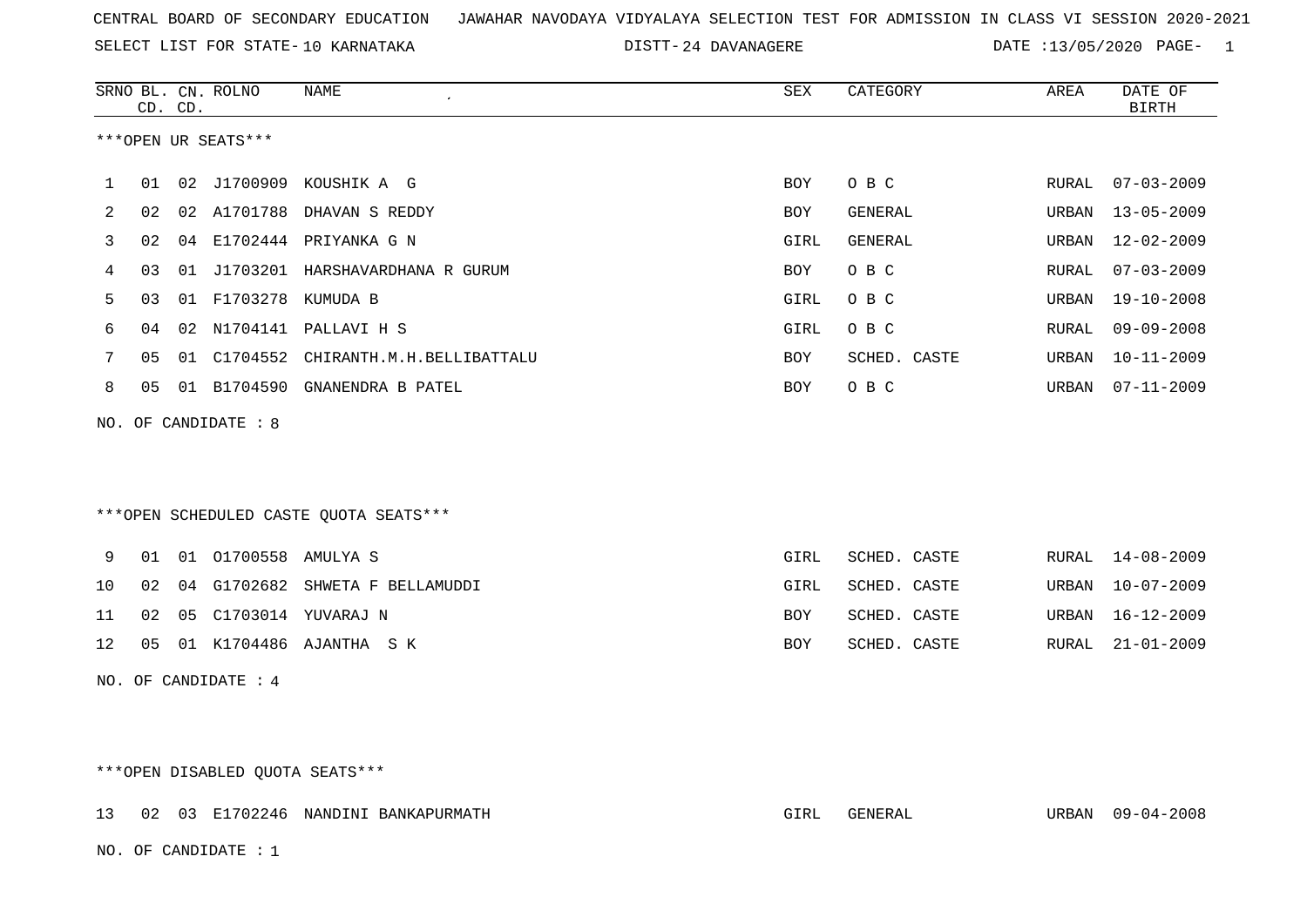SELECT LIST FOR STATE- DISTT- 10 KARNATAKA

DISTT-24 DAVANAGERE DATE :13/05/2020 PAGE- 1

|   |    | CD. CD. | SRNO BL. CN. ROLNO   | NAME<br>$\cdot$                        | SEX        | CATEGORY     | AREA  | DATE OF<br><b>BIRTH</b>   |
|---|----|---------|----------------------|----------------------------------------|------------|--------------|-------|---------------------------|
|   |    |         | ***OPEN UR SEATS***  |                                        |            |              |       |                           |
| 1 | 01 |         |                      | 02 J1700909 KOUSHIK A G                | <b>BOY</b> | O B C        | RURAL | $07 - 03 - 2009$          |
| 2 | 02 |         |                      | 02 A1701788 DHAVAN S REDDY             | <b>BOY</b> | GENERAL      | URBAN | $13 - 05 - 2009$          |
| 3 | 02 | 04      |                      | E1702444 PRIYANKA G N                  | GIRL       | GENERAL      | URBAN | $12 - 02 - 2009$          |
| 4 | 03 |         |                      | 01 J1703201 HARSHAVARDHANA R GURUM     | <b>BOY</b> | O B C        | RURAL | $07 - 03 - 2009$          |
| 5 | 03 |         | 01 F1703278 KUMUDA B |                                        | GIRL       | O B C        | URBAN | $19 - 10 - 2008$          |
| 6 | 04 | 02      |                      | N1704141 PALLAVI H S                   | GIRL       | O B C        | RURAL | $09 - 09 - 2008$          |
|   | 05 |         |                      | 01 C1704552 CHIRANTH.M.H.BELLIBATTALU  | BOY        | SCHED. CASTE | URBAN | $10 - 11 - 2009$          |
| 8 | 05 | 01      | B1704590             | GNANENDRA B PATEL                      | <b>BOY</b> | O B C        | URBAN | $07 - 11 - 2009$          |
|   |    |         | NO. OF CANDIDATE : 8 |                                        |            |              |       |                           |
|   |    |         |                      |                                        |            |              |       |                           |
|   |    |         |                      |                                        |            |              |       |                           |
|   |    |         |                      | ***OPEN SCHEDULED CASTE QUOTA SEATS*** |            |              |       |                           |
|   |    |         |                      |                                        | $C$ TDT    | COURD ORCER  |       | <u>חחחר סח 1.4</u> דגמזזמ |

|  | A NI NI NINDOSO HMULIA S |                                       |            | GIKT PCHED CAPIE |  | KUKAL 14-08-ZUUY |
|--|--------------------------|---------------------------------------|------------|------------------|--|------------------|
|  |                          | 10 02 04 G1702682 SHWETA F BELLAMUDDI | GIRL       | SCHED. CASTE     |  | URBAN 10-07-2009 |
|  |                          | 11 02 05 C1703014 YUVARAJ N           | BOY        | SCHED. CASTE     |  | URBAN 16-12-2009 |
|  |                          | 12  05  01  K1704486  AJANTHA  S  K   | <b>BOY</b> | SCHED. CASTE     |  | RURAL 21-01-2009 |
|  |                          |                                       |            |                  |  |                  |

NO. OF CANDIDATE : 4

# \*\*\*OPEN DISABLED QUOTA SEATS\*\*\*

|  |                        | 13 02 03 E1702246 NANDINI BANKAPURMATH | GIRL | GENERAL | URBAN 09-04-2008 |
|--|------------------------|----------------------------------------|------|---------|------------------|
|  | NO. OF CANDIDATE : $1$ |                                        |      |         |                  |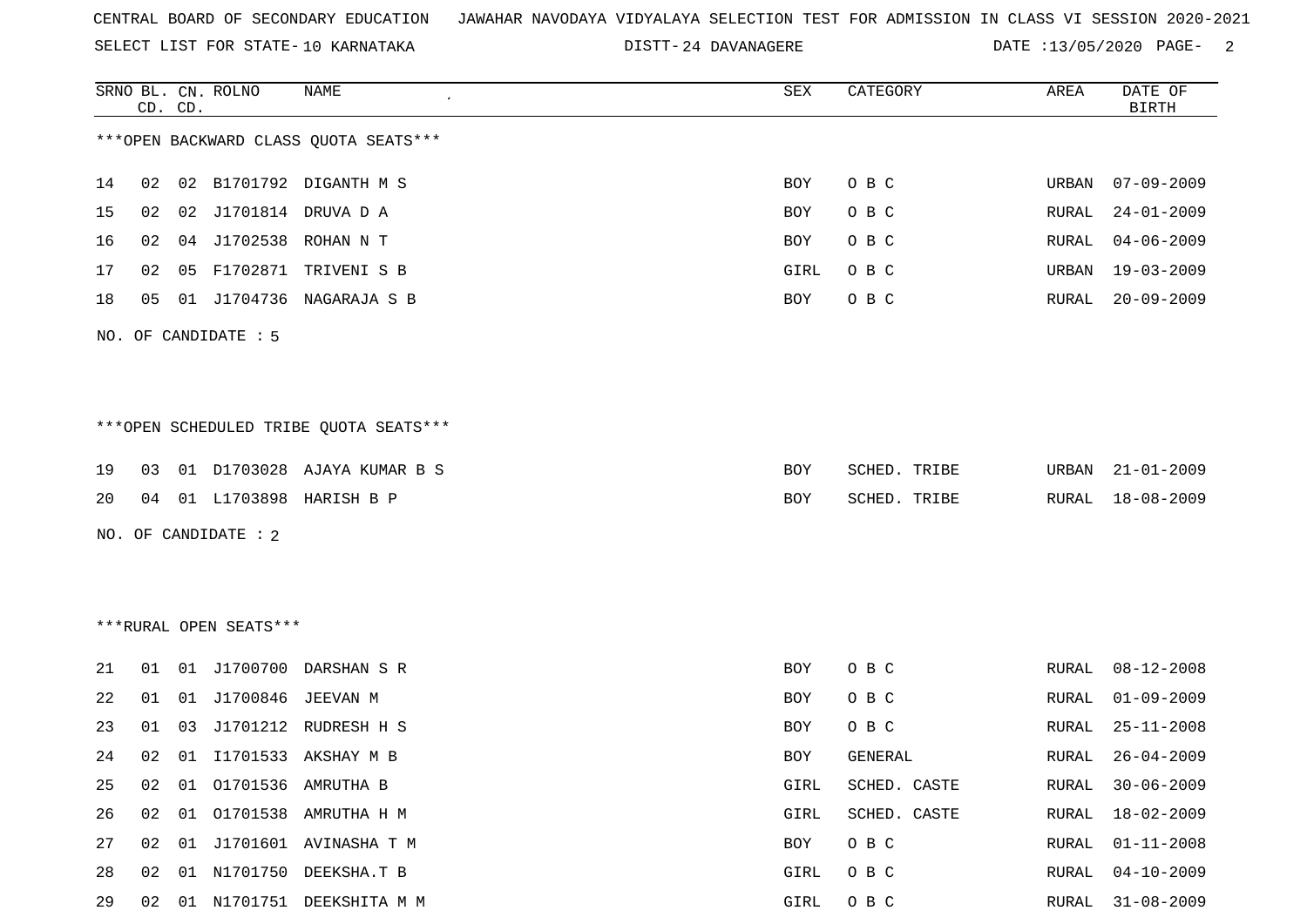|  |  |  |  | CENTRAL BOARD OF SECONDARY EDUCATION – JAWAHAR NAVODAYA VIDYALAYA SELECTION TEST FOR ADMISSION IN CLASS VI SESSION 2020-2021 |  |  |  |  |  |  |  |  |  |  |  |  |  |  |
|--|--|--|--|------------------------------------------------------------------------------------------------------------------------------|--|--|--|--|--|--|--|--|--|--|--|--|--|--|
|--|--|--|--|------------------------------------------------------------------------------------------------------------------------------|--|--|--|--|--|--|--|--|--|--|--|--|--|--|

DISTT-24 DAVANAGERE DATE :13/05/2020 PAGE- 2

|    |    | CD. CD. | SRNO BL. CN. ROLNO     | <b>NAME</b>                            | SEX        | CATEGORY     | AREA         | DATE OF<br><b>BIRTH</b> |
|----|----|---------|------------------------|----------------------------------------|------------|--------------|--------------|-------------------------|
|    |    |         |                        | *** OPEN BACKWARD CLASS QUOTA SEATS*** |            |              |              |                         |
| 14 | 02 |         |                        | 02 B1701792 DIGANTH M S                | BOY        | O B C        | URBAN        | $07 - 09 - 2009$        |
| 15 | 02 | 02      |                        | J1701814 DRUVA D A                     | BOY        | O B C        | RURAL        | $24 - 01 - 2009$        |
| 16 | 02 | 04      |                        | J1702538 ROHAN N T                     | BOY        | O B C        | RURAL        | $04 - 06 - 2009$        |
| 17 | 02 | 05      |                        | F1702871 TRIVENI S B                   | GIRL       | O B C        | URBAN        | 19-03-2009              |
| 18 | 05 |         |                        | 01 J1704736 NAGARAJA S B               | BOY        | O B C        | RURAL        | $20 - 09 - 2009$        |
|    |    |         | NO. OF CANDIDATE : 5   |                                        |            |              |              |                         |
|    |    |         |                        | ***OPEN SCHEDULED TRIBE QUOTA SEATS*** |            |              |              |                         |
| 19 | 03 |         |                        | 01 D1703028 AJAYA KUMAR B S            | <b>BOY</b> | SCHED. TRIBE | URBAN        | $21 - 01 - 2009$        |
| 20 | 04 |         |                        | 01 L1703898 HARISH B P                 | BOY        | SCHED. TRIBE | RURAL        | $18 - 08 - 2009$        |
|    |    |         | NO. OF CANDIDATE : 2   |                                        |            |              |              |                         |
|    |    |         |                        |                                        |            |              |              |                         |
|    |    |         | ***RURAL OPEN SEATS*** |                                        |            |              |              |                         |
| 21 | 01 | 01      |                        | J1700700 DARSHAN S R                   | <b>BOY</b> | O B C        | RURAL        | $08 - 12 - 2008$        |
| 22 | 01 | 01      | J1700846 JEEVAN M      |                                        | BOY        | O B C        | RURAL        | $01 - 09 - 2009$        |
| 23 | 01 | 03      |                        | J1701212 RUDRESH H S                   | BOY        | O B C        | RURAL        | $25 - 11 - 2008$        |
| 24 | 02 |         |                        | 01 I1701533 AKSHAY M B                 | <b>BOY</b> | GENERAL      | RURAL        | $26 - 04 - 2009$        |
| 25 | 02 | 01      |                        | 01701536 AMRUTHA B                     | GIRL       | SCHED. CASTE | RURAL        | $30 - 06 - 2009$        |
| 26 | 02 | 01      |                        | O1701538 AMRUTHA H M                   | GIRL       | SCHED. CASTE | <b>RURAL</b> | $18 - 02 - 2009$        |
| 27 | 02 |         |                        | 01 J1701601 AVINASHA T M               | BOY        | O B C        | RURAL        | $01 - 11 - 2008$        |
| 28 | 02 | 01      |                        | N1701750 DEEKSHA.T B                   | GIRL       | O B C        | <b>RURAL</b> | $04 - 10 - 2009$        |
| 29 | 02 |         |                        | 01 N1701751 DEEKSHITA M M              | GIRL       | O B C        | RURAL        | $31 - 08 - 2009$        |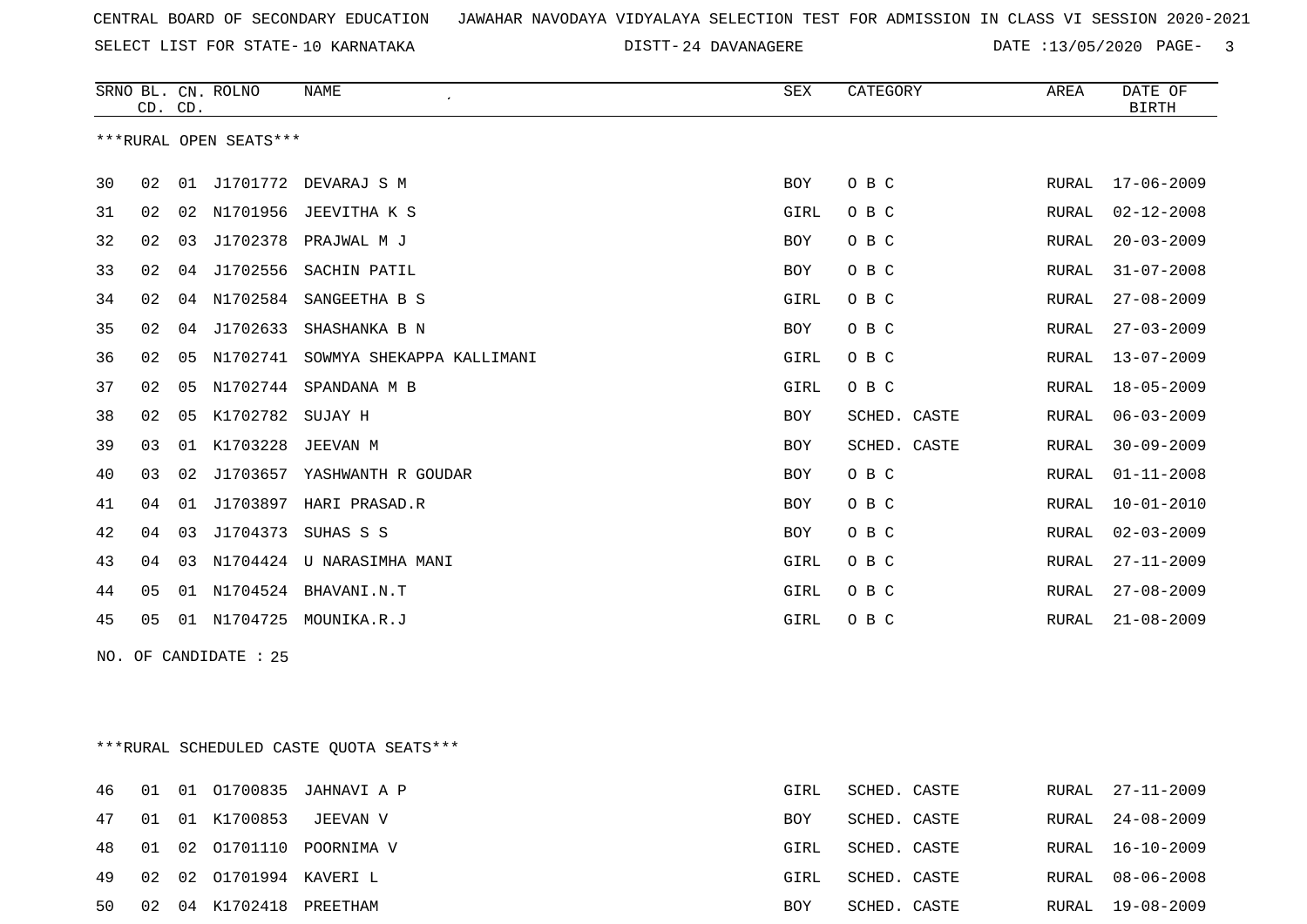SELECT LIST FOR STATE- DISTT- 10 KARNATAKA

DISTT-24 DAVANAGERE DATE :13/05/2020 PAGE- 3

|    | CD. CD. |                | SRNO BL. CN. ROLNO     | <b>NAME</b><br>$\mathcal{L}_{\mathcal{A}}$ | <b>SEX</b> | CATEGORY     | AREA         | DATE OF<br><b>BIRTH</b> |
|----|---------|----------------|------------------------|--------------------------------------------|------------|--------------|--------------|-------------------------|
|    |         |                | ***RURAL OPEN SEATS*** |                                            |            |              |              |                         |
| 30 | 02      | 01             | J1701772               | DEVARAJ S M                                | <b>BOY</b> | O B C        | RURAL        | $17 - 06 - 2009$        |
| 31 | 02      | 02             | N1701956               | JEEVITHA K S                               | GIRL       | O B C        | <b>RURAL</b> | $02 - 12 - 2008$        |
| 32 | 02      | 03             | J1702378               | PRAJWAL M J                                | <b>BOY</b> | O B C        | RURAL        | $20 - 03 - 2009$        |
| 33 | 02      | 04             | J1702556               | SACHIN PATIL                               | <b>BOY</b> | O B C        | RURAL        | $31 - 07 - 2008$        |
| 34 | 02      | 04             | N1702584               | SANGEETHA B S                              | GIRL       | O B C        | RURAL        | $27 - 08 - 2009$        |
| 35 | 02      | 04             | J1702633               | SHASHANKA B N                              | <b>BOY</b> | O B C        | RURAL        | $27 - 03 - 2009$        |
| 36 | 02      | 05             | N1702741               | SOWMYA SHEKAPPA KALLIMANI                  | GIRL       | O B C        | RURAL        | $13 - 07 - 2009$        |
| 37 | 02      | 05             | N1702744               | SPANDANA M B                               | GIRL       | O B C        | RURAL        | $18 - 05 - 2009$        |
| 38 | 02      | 0 <sub>5</sub> | K1702782               | SUJAY H                                    | <b>BOY</b> | SCHED. CASTE | RURAL        | $06 - 03 - 2009$        |
| 39 | 03      | 01             | K1703228               | JEEVAN M                                   | <b>BOY</b> | SCHED. CASTE | <b>RURAL</b> | $30 - 09 - 2009$        |
| 40 | 03      | 02             | J1703657               | YASHWANTH R GOUDAR                         | <b>BOY</b> | O B C        | RURAL        | $01 - 11 - 2008$        |
| 41 | 04      | 01             | J1703897               | HARI PRASAD.R                              | <b>BOY</b> | O B C        | <b>RURAL</b> | $10 - 01 - 2010$        |
| 42 | 04      | 03             | J1704373               | SUHAS S S                                  | <b>BOY</b> | O B C        | <b>RURAL</b> | $02 - 03 - 2009$        |
| 43 | 04      | 03             | N1704424               | U NARASIMHA MANI                           | GIRL       | O B C        | <b>RURAL</b> | $27 - 11 - 2009$        |
| 44 | 05      | 01             | N1704524               | BHAVANI.N.T                                | GIRL       | O B C        | <b>RURAL</b> | $27 - 08 - 2009$        |
| 45 | 05      | 01             | N1704725               | MOUNIKA.R.J                                | GIRL       | O B C        | RURAL        | $21 - 08 - 2009$        |

NO. OF CANDIDATE : 25

\*\*\*RURAL SCHEDULED CASTE QUOTA SEATS\*\*\*

|    |    |                            | 46 01 01 01700835 JAHNAVIA P | GIRL       | SCHED. CASTE |  | RURAL 27-11-2009 |
|----|----|----------------------------|------------------------------|------------|--------------|--|------------------|
|    |    | 47 01 01 K1700853          | JEEVAN V                     | <b>BOY</b> | SCHED. CASTE |  | RURAL 24-08-2009 |
|    |    |                            | 48 01 02 01701110 POORNIMA V | GIRL       | SCHED. CASTE |  | RURAL 16-10-2009 |
|    |    | 49 02 02 01701994 KAVERI L |                              | GIRL       | SCHED. CASTE |  | RURAL 08-06-2008 |
| 50 | 02 | 04 K1702418 PREETHAM       |                              | BOY        | SCHED. CASTE |  | RURAL 19-08-2009 |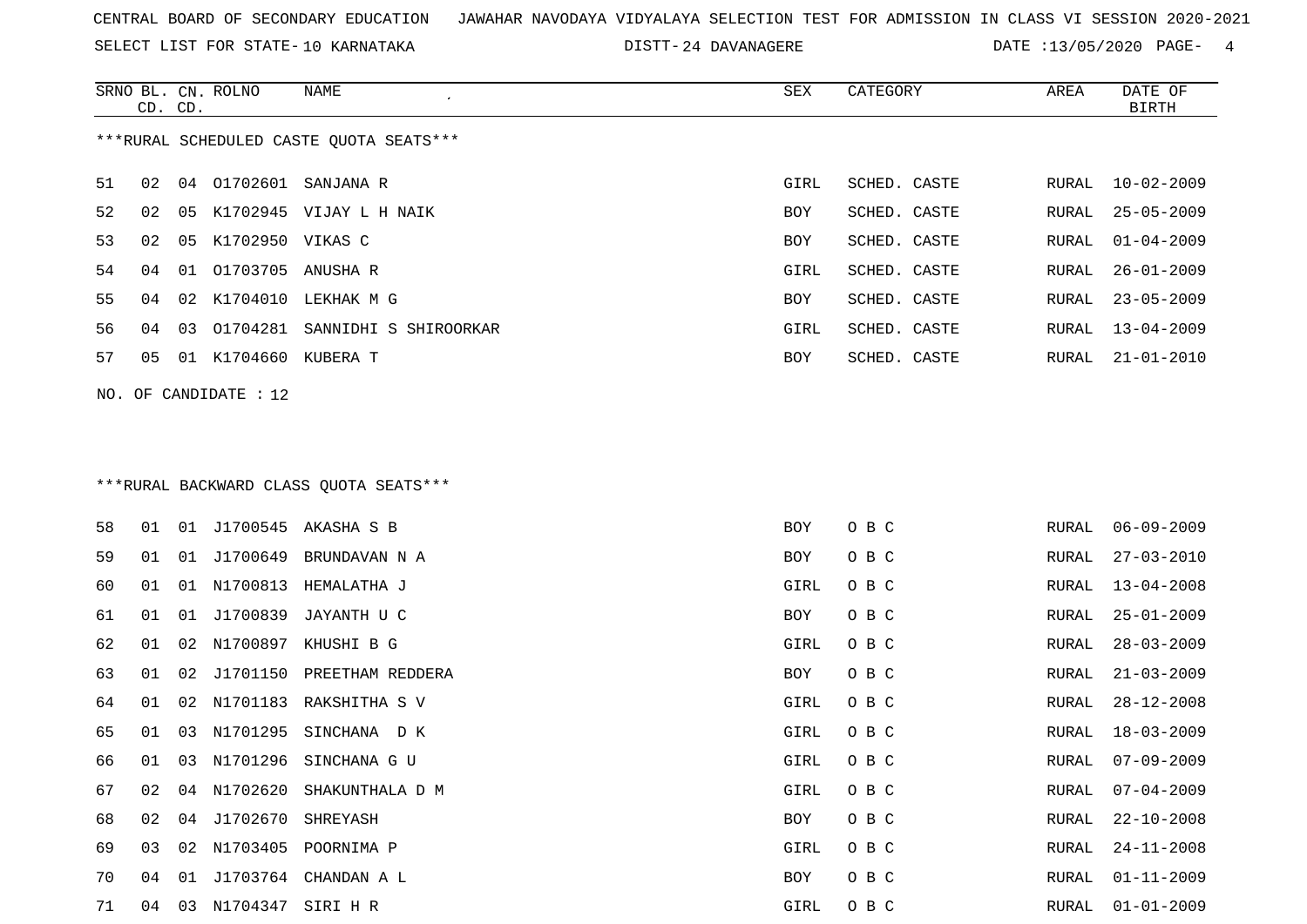SELECT LIST FOR STATE- DISTT- 10 KARNATAKA

DISTT-24 DAVANAGERE DATE :13/05/2020 PAGE- 4

|    | CD. CD. |    | SRNO BL. CN. ROLNO      | NAME                                    | SEX        | CATEGORY     | AREA  | DATE OF<br><b>BIRTH</b> |
|----|---------|----|-------------------------|-----------------------------------------|------------|--------------|-------|-------------------------|
|    |         |    |                         | ***RURAL SCHEDULED CASTE QUOTA SEATS*** |            |              |       |                         |
| 51 | 02      |    |                         | 04 01702601 SANJANA R                   | GIRL       | SCHED. CASTE | RURAL | $10 - 02 - 2009$        |
| 52 | 02      |    |                         | 05 K1702945 VIJAY L H NAIK              | <b>BOY</b> | SCHED. CASTE | RURAL | $25 - 05 - 2009$        |
| 53 | 02      | 05 | K1702950 VIKAS C        |                                         | BOY        | SCHED. CASTE | RURAL | $01 - 04 - 2009$        |
| 54 | 04      | 01 | 01703705 ANUSHA R       |                                         | GIRL       | SCHED. CASTE | RURAL | $26 - 01 - 2009$        |
| 55 | 04      |    |                         | 02 K1704010 LEKHAK M G                  | BOY        | SCHED. CASTE | RURAL | $23 - 05 - 2009$        |
| 56 | 04      | 03 |                         | 01704281 SANNIDHI S SHIROORKAR          | GIRL       | SCHED. CASTE | RURAL | $13 - 04 - 2009$        |
| 57 | 05      |    | 01 K1704660 KUBERA T    |                                         | BOY        | SCHED. CASTE | RURAL | $21 - 01 - 2010$        |
|    |         |    | NO. OF CANDIDATE : $12$ |                                         |            |              |       |                         |
|    |         |    |                         | ***RURAL BACKWARD CLASS QUOTA SEATS***  |            |              |       |                         |
| 58 | 01      |    |                         | 01 J1700545 AKASHA S B                  | BOY        | O B C        | RURAL | $06 - 09 - 2009$        |
| 59 | 01      | 01 |                         | J1700649 BRUNDAVAN N A                  | <b>BOY</b> | O B C        | RURAL | $27 - 03 - 2010$        |
| 60 | 01      |    |                         | 01 N1700813 HEMALATHA J                 | GIRL       | O B C        | RURAL | $13 - 04 - 2008$        |
| 61 | 01      | 01 |                         | J1700839 JAYANTH U C                    | BOY        | O B C        | RURAL | $25 - 01 - 2009$        |
| 62 | 01      |    |                         | 02 N1700897 KHUSHI B G                  | GIRL       | O B C        | RURAL | $28 - 03 - 2009$        |
| 63 | 01      | 02 |                         | J1701150 PREETHAM REDDERA               | BOY        | O B C        | RURAL | $21 - 03 - 2009$        |
| 64 | 01      | 02 |                         | N1701183 RAKSHITHA S V                  | GIRL       | O B C        | RURAL | $28 - 12 - 2008$        |
| 65 | 01      | 03 |                         | N1701295 SINCHANA DK                    | GIRL       | O B C        | RURAL | $18 - 03 - 2009$        |
| 66 | 01      | 03 |                         | N1701296 SINCHANA G U                   | GIRL       | O B C        | RURAL | $07 - 09 - 2009$        |
| 67 | 02      |    |                         | 04 N1702620 SHAKUNTHALA D M             | GIRL       | O B C        | RURAL | $07 - 04 - 2009$        |
| 68 | 02      | 04 | J1702670 SHREYASH       |                                         | BOY        | O B C        | RURAL | $22 - 10 - 2008$        |
| 69 | 03      |    |                         | 02 N1703405 POORNIMA P                  | GIRL       | O B C        | RURAL | $24 - 11 - 2008$        |

 04 01 J1703764 CHANDAN A L BOY O B C RURAL 01-11-2009 04 03 N1704347 SIRI H R GIRL O B C RURAL 01-01-2009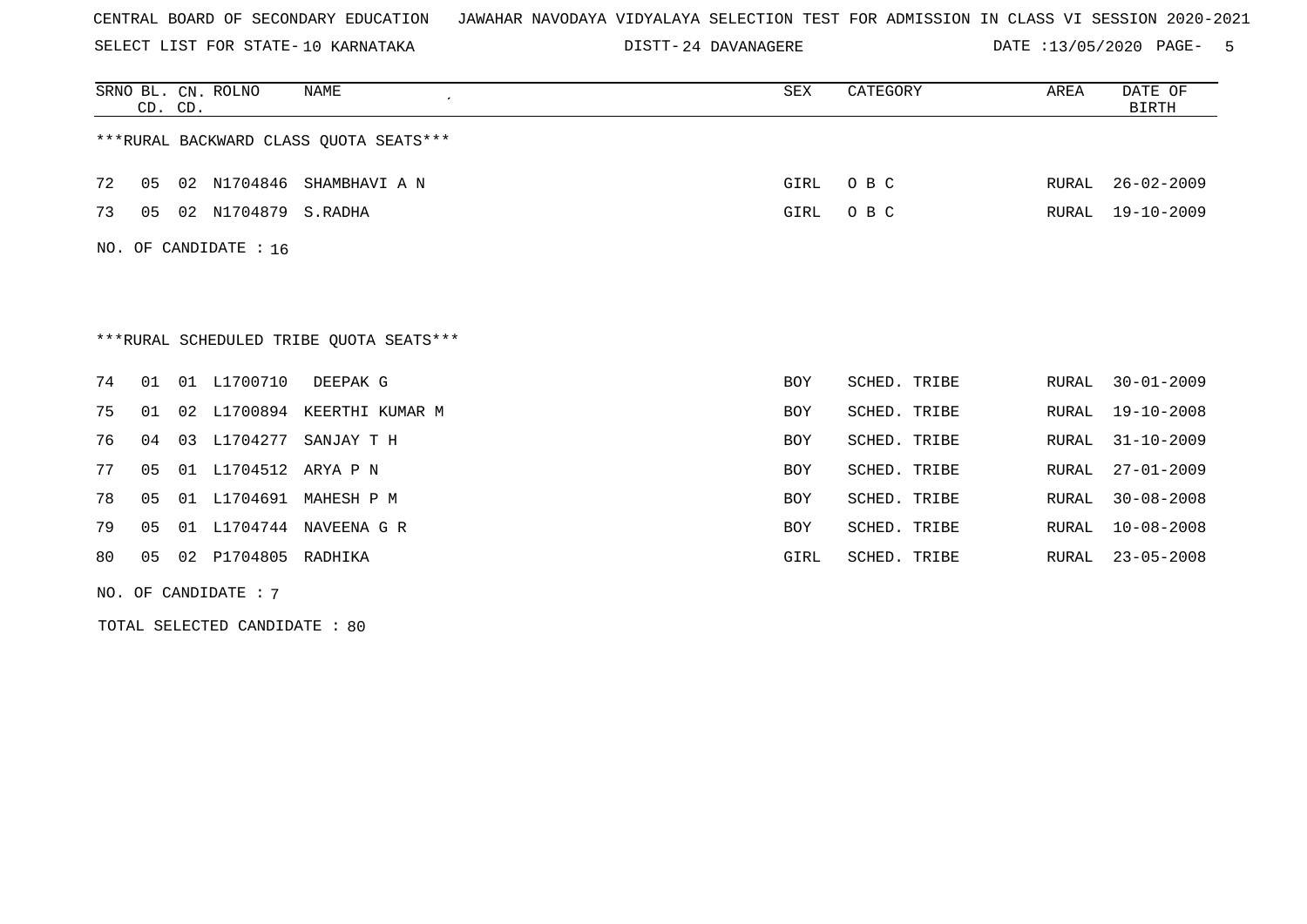SELECT LIST FOR STATE- DISTT- 10 KARNATAKA

24 DAVANAGERE DATE :13/05/2020 PAGE- 5

|     | CD. CD.                                 |    | SRNO BL. CN. ROLNO   | <b>NAME</b>                             | SEX        | CATEGORY     | AREA  | DATE OF<br><b>BIRTH</b> |  |  |  |
|-----|-----------------------------------------|----|----------------------|-----------------------------------------|------------|--------------|-------|-------------------------|--|--|--|
|     | *** RURAL BACKWARD CLASS QUOTA SEATS*** |    |                      |                                         |            |              |       |                         |  |  |  |
| 72  | 05                                      |    | 02 N1704846          | SHAMBHAVI A N                           | GIRL       | O B C        | RURAL | $26 - 02 - 2009$        |  |  |  |
| 73  | 05                                      |    | 02 N1704879 S.RADHA  |                                         | GIRL       | O B C        | RURAL | $19 - 10 - 2009$        |  |  |  |
| NO. | OF CANDIDATE : 16                       |    |                      |                                         |            |              |       |                         |  |  |  |
|     |                                         |    |                      |                                         |            |              |       |                         |  |  |  |
|     |                                         |    |                      |                                         |            |              |       |                         |  |  |  |
|     |                                         |    |                      | ***RURAL SCHEDULED TRIBE QUOTA SEATS*** |            |              |       |                         |  |  |  |
| 74  | 01                                      | 01 | L1700710             | DEEPAK G                                | <b>BOY</b> | SCHED. TRIBE | RURAL | $30 - 01 - 2009$        |  |  |  |
| 75  | 01                                      | 02 |                      | L1700894 KEERTHI KUMAR M                | <b>BOY</b> | SCHED. TRIBE | RURAL | $19 - 10 - 2008$        |  |  |  |
| 76  | 04                                      |    | 03 L1704277          | SANJAY T H                              | <b>BOY</b> | SCHED. TRIBE | RURAL | $31 - 10 - 2009$        |  |  |  |
| 77  | 05                                      |    | 01 L1704512 ARYA P N |                                         | <b>BOY</b> | SCHED. TRIBE | RURAL | $27 - 01 - 2009$        |  |  |  |
| 78  | 05                                      | 01 | L1704691             | MAHESH P M                              | <b>BOY</b> | SCHED. TRIBE | RURAL | $30 - 08 - 2008$        |  |  |  |
| 79  | 05                                      | 01 |                      | L1704744 NAVEENA G R                    | <b>BOY</b> | SCHED. TRIBE | RURAL | $10 - 08 - 2008$        |  |  |  |
| 80  | 05                                      | 02 | P1704805 RADHIKA     |                                         | GIRL       | SCHED. TRIBE | RURAL | $23 - 05 - 2008$        |  |  |  |

NO. OF CANDIDATE : 7

TOTAL SELECTED CANDIDATE : 80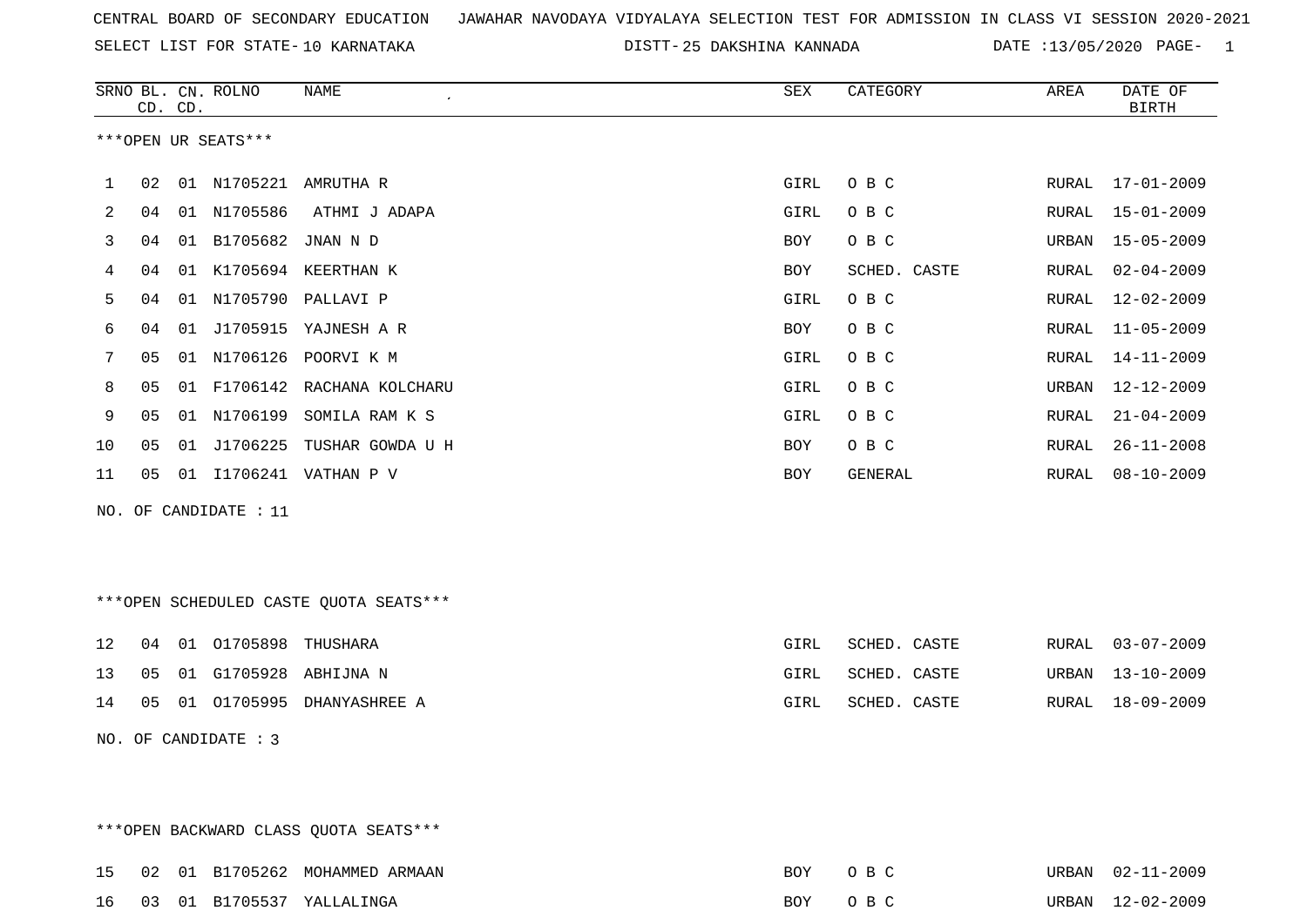SELECT LIST FOR STATE- DISTT- 10 KARNATAKA

\*\*\*OPEN BACKWARD CLASS QUOTA SEATS\*\*\*

25 DAKSHINA KANNADA DATE :13/05/2020 PAGE- 1

|    |    | CD. CD. | SRNO BL. CN. ROLNO      | NAME                                   | SEX  | CATEGORY     | AREA  | DATE OF<br><b>BIRTH</b> |
|----|----|---------|-------------------------|----------------------------------------|------|--------------|-------|-------------------------|
|    |    |         | ***OPEN UR SEATS***     |                                        |      |              |       |                         |
| 1  | 02 |         |                         | 01 N1705221 AMRUTHA R                  | GIRL | O B C        | RURAL | 17-01-2009              |
| 2  | 04 |         | 01 N1705586             | ATHMI J ADAPA                          | GIRL | O B C        | RURAL | $15 - 01 - 2009$        |
| 3  | 04 |         | 01 B1705682 JNAN N D    |                                        | BOY  | O B C        | URBAN | $15 - 05 - 2009$        |
| 4  | 04 |         |                         | 01 K1705694 KEERTHAN K                 | BOY  | SCHED. CASTE | RURAL | $02 - 04 - 2009$        |
| 5  | 04 |         |                         | 01 N1705790 PALLAVI P                  | GIRL | O B C        | RURAL | $12 - 02 - 2009$        |
| 6  | 04 |         |                         | 01 J1705915 YAJNESH A R                | BOY  | O B C        | RURAL | $11 - 05 - 2009$        |
| 7  | 05 |         |                         | 01 N1706126 POORVI K M                 | GIRL | O B C        | RURAL | $14 - 11 - 2009$        |
| 8  | 05 |         |                         | 01 F1706142 RACHANA KOLCHARU           | GIRL | O B C        | URBAN | 12-12-2009              |
| 9  | 05 |         |                         | 01 N1706199 SOMILA RAM K S             | GIRL | O B C        | RURAL | $21 - 04 - 2009$        |
| 10 | 05 |         |                         | 01 J1706225 TUSHAR GOWDA U H           | BOY  | O B C        | RURAL | $26 - 11 - 2008$        |
| 11 |    |         |                         | 05 01 I1706241 VATHAN P V              | BOY  | GENERAL      | RURAL | $08 - 10 - 2009$        |
|    |    |         | NO. OF CANDIDATE : $11$ |                                        |      |              |       |                         |
|    |    |         |                         |                                        |      |              |       |                         |
|    |    |         |                         | ***OPEN SCHEDULED CASTE QUOTA SEATS*** |      |              |       |                         |
|    |    |         |                         |                                        |      |              |       |                         |
| 12 | 04 |         | 01 01705898 THUSHARA    |                                        | GIRL | SCHED. CASTE | RURAL | $03 - 07 - 2009$        |
| 13 | 05 |         |                         | 01 G1705928 ABHIJNA N                  | GIRL | SCHED. CASTE | URBAN | $13 - 10 - 2009$        |
| 14 |    |         |                         | 05 01 01705995 DHANYASHREE A           | GIRL | SCHED. CASTE | RURAL | 18-09-2009              |
|    |    |         | NO. OF CANDIDATE : 3    |                                        |      |              |       |                         |
|    |    |         |                         |                                        |      |              |       |                         |
|    |    |         |                         |                                        |      |              |       |                         |

|  |  | 15 02 01 B1705262 MOHAMMED ARMAAN | BOY OBC |  | URBAN 02-11-2009 |
|--|--|-----------------------------------|---------|--|------------------|
|  |  | 16 03 01 B1705537 YALLALINGA      | BOY OBC |  | URBAN 12-02-2009 |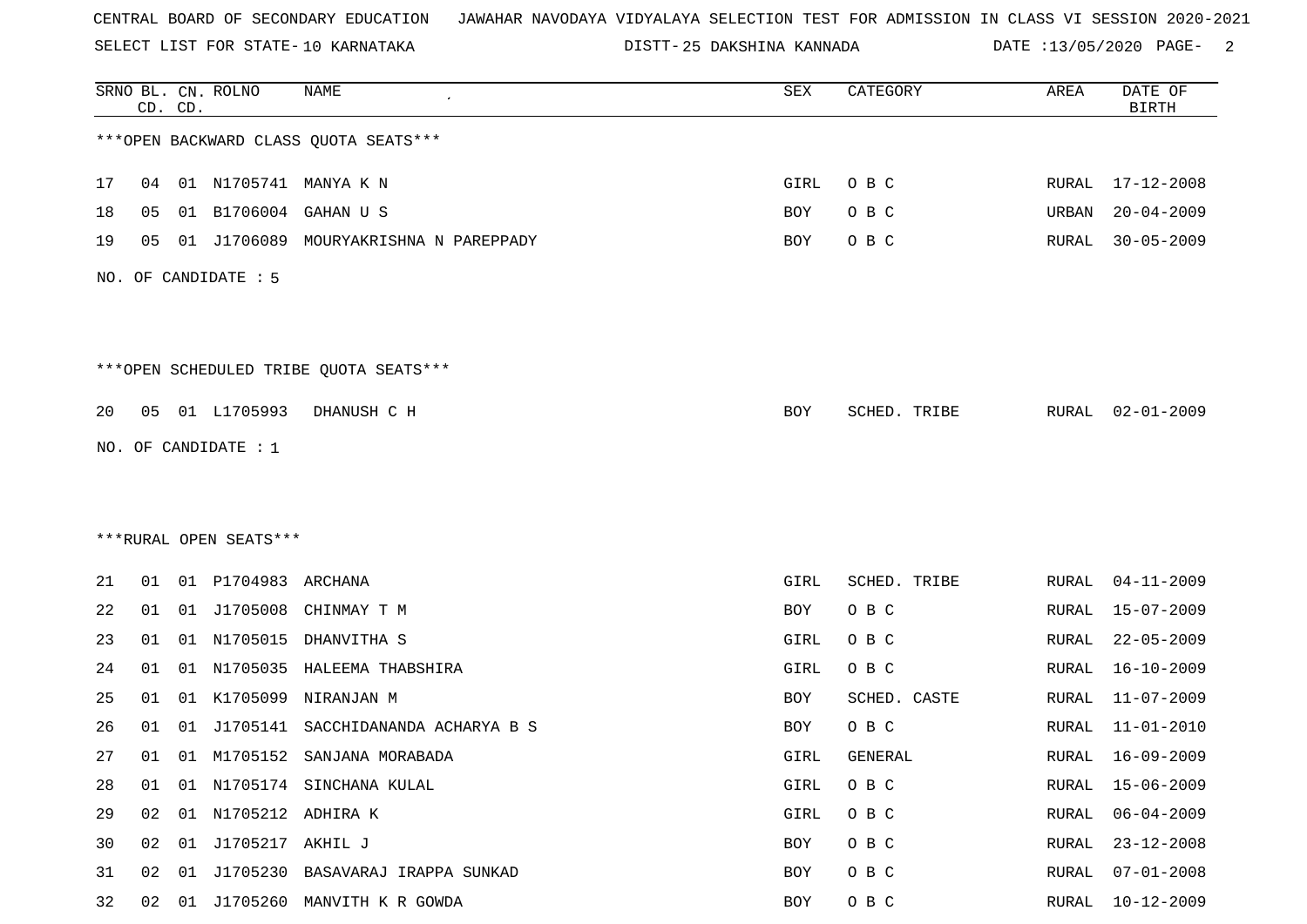SELECT LIST FOR STATE- DISTT- 10 KARNATAKA

25 DAKSHINA KANNADA DATE :13/05/2020 PAGE- 2

|    |    | CD. CD. | SRNO BL. CN. ROLNO     | NAME                                   | ${\tt SEX}$ | CATEGORY     | AREA  | DATE OF<br><b>BIRTH</b> |
|----|----|---------|------------------------|----------------------------------------|-------------|--------------|-------|-------------------------|
|    |    |         |                        | *** OPEN BACKWARD CLASS QUOTA SEATS*** |             |              |       |                         |
| 17 | 04 |         |                        | 01 N1705741 MANYA K N                  | GIRL        | O B C        |       | RURAL 17-12-2008        |
| 18 | 05 | 01      | B1706004               | GAHAN U S                              | BOY         | O B C        | URBAN | $20 - 04 - 2009$        |
| 19 | 05 | 01      | J1706089               | MOURYAKRISHNA N PAREPPADY              | BOY         | O B C        | RURAL | $30 - 05 - 2009$        |
|    |    |         | NO. OF CANDIDATE : 5   |                                        |             |              |       |                         |
|    |    |         |                        | ***OPEN SCHEDULED TRIBE QUOTA SEATS*** |             |              |       |                         |
| 20 | 05 |         | 01 L1705993            | DHANUSH C H                            | BOY         | SCHED. TRIBE | RURAL | $02 - 01 - 2009$        |
|    |    |         | NO. OF CANDIDATE : $1$ |                                        |             |              |       |                         |
|    |    |         |                        |                                        |             |              |       |                         |
|    |    |         |                        |                                        |             |              |       |                         |
|    |    |         | ***RURAL OPEN SEATS*** |                                        |             |              |       |                         |
| 21 | 01 |         | 01 P1704983            | ARCHANA                                | GIRL        | SCHED. TRIBE | RURAL | $04 - 11 - 2009$        |
| 22 | 01 |         | 01 J1705008            | CHINMAY T M                            | BOY         | O B C        | RURAL | 15-07-2009              |
| 23 | 01 |         | 01 N1705015            | DHANVITHA S                            | GIRL        | O B C        | RURAL | $22 - 05 - 2009$        |
| 24 | 01 | 01      | N1705035               | HALEEMA THABSHIRA                      | GIRL        | O B C        | RURAL | $16 - 10 - 2009$        |
| 25 | 01 | 01      | K1705099               | NIRANJAN M                             | BOY         | SCHED. CASTE | RURAL | $11 - 07 - 2009$        |
| 26 | 01 | 01      | J1705141               | SACCHIDANANDA ACHARYA B S              | BOY         | O B C        | RURAL | $11 - 01 - 2010$        |
| 27 | 01 |         |                        | 01 M1705152 SANJANA MORABADA           | GIRL        | GENERAL      | RURAL | 16-09-2009              |
| 28 | 01 |         |                        | 01 N1705174 SINCHANA KULAL             | GIRL        | O B C        | RURAL | $15 - 06 - 2009$        |
| 29 | 02 |         | 01 N1705212 ADHIRA K   |                                        | GIRL        | O B C        | RURAL | $06 - 04 - 2009$        |
| 30 | 02 |         | 01 J1705217 AKHIL J    |                                        | BOY         | O B C        | RURAL | $23 - 12 - 2008$        |
| 31 | 02 | 01      |                        | J1705230 BASAVARAJ IRAPPA SUNKAD       | BOY         | O B C        | RURAL | $07 - 01 - 2008$        |
| 32 | 02 | 01      |                        | J1705260 MANVITH K R GOWDA             | BOY         | O B C        | RURAL | $10 - 12 - 2009$        |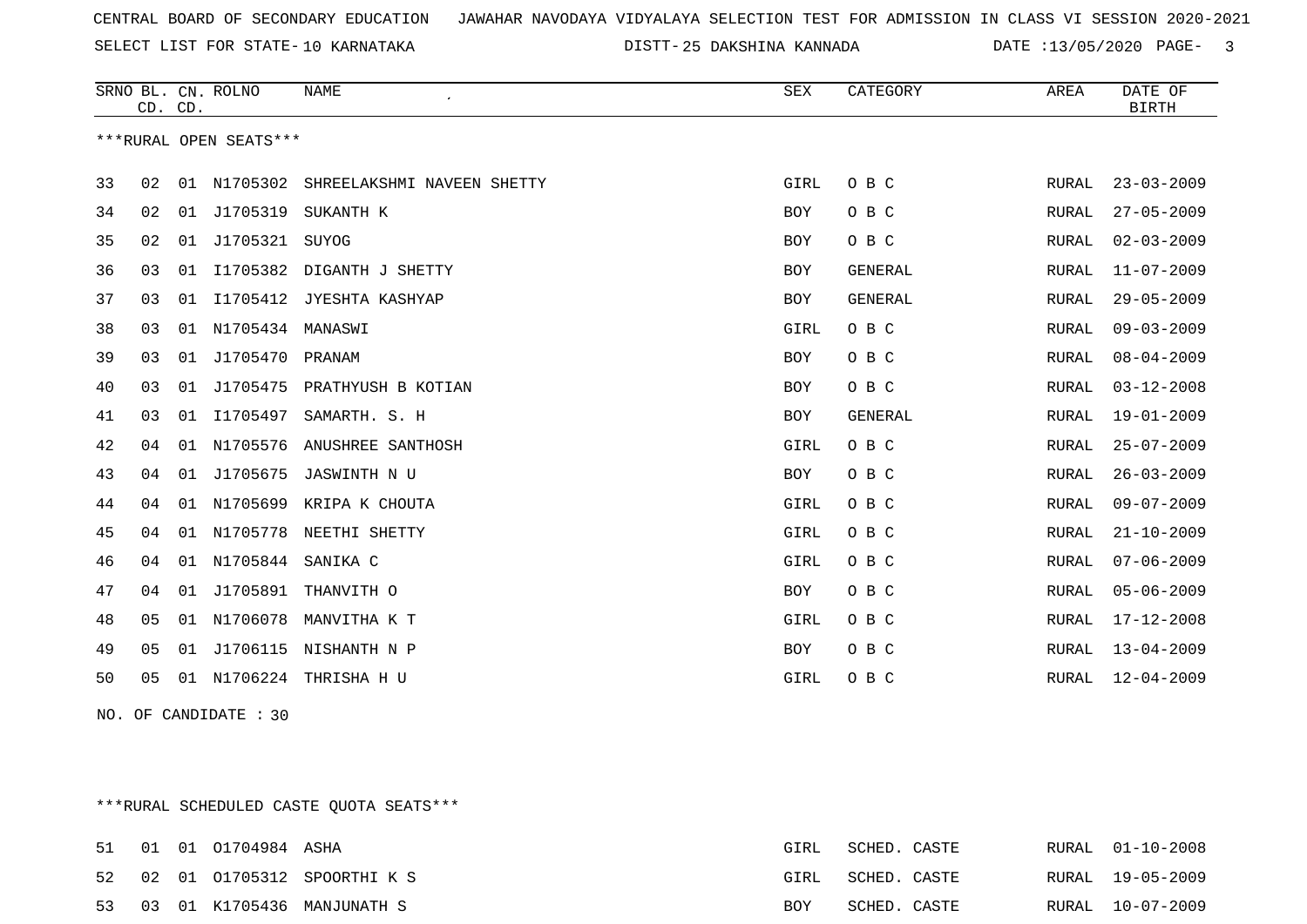SELECT LIST FOR STATE- DISTT- 10 KARNATAKA

25 DAKSHINA KANNADA DATE :13/05/2020 PAGE- 3

|                        | CD. CD. |    | SRNO BL. CN. ROLNO | <b>NAME</b>                | ${\tt SEX}$ | CATEGORY       | AREA  | DATE OF<br><b>BIRTH</b> |
|------------------------|---------|----|--------------------|----------------------------|-------------|----------------|-------|-------------------------|
| ***RURAL OPEN SEATS*** |         |    |                    |                            |             |                |       |                         |
| 33                     | 02      | 01 | N1705302           | SHREELAKSHMI NAVEEN SHETTY | GIRL        | O B C          | RURAL | $23 - 03 - 2009$        |
| 34                     | 02      | 01 | J1705319           | SUKANTH K                  | BOY         | O B C          | RURAL | $27 - 05 - 2009$        |
| 35                     | 02      | 01 | J1705321 SUYOG     |                            | <b>BOY</b>  | O B C          | RURAL | $02 - 03 - 2009$        |
| 36                     | 03      | 01 | I1705382           | DIGANTH J SHETTY           | BOY         | GENERAL        | RURAL | $11 - 07 - 2009$        |
| 37                     | 03      | 01 | I1705412           | JYESHTA KASHYAP            | <b>BOY</b>  | <b>GENERAL</b> | RURAL | $29 - 05 - 2009$        |
| 38                     | 03      | 01 | N1705434 MANASWI   |                            | GIRL        | O B C          | RURAL | $09 - 03 - 2009$        |
| 39                     | 03      |    | 01 J1705470 PRANAM |                            | <b>BOY</b>  | O B C          | RURAL | $08 - 04 - 2009$        |
| 40                     | 03      | 01 | J1705475           | PRATHYUSH B KOTIAN         | BOY         | O B C          | RURAL | $03 - 12 - 2008$        |
| 41                     | 03      | 01 | I1705497           | SAMARTH. S. H              | <b>BOY</b>  | <b>GENERAL</b> | RURAL | $19 - 01 - 2009$        |
| 42                     | 04      | 01 | N1705576           | ANUSHREE SANTHOSH          | GIRL        | O B C          | RURAL | $25 - 07 - 2009$        |
| 43                     | 04      | 01 | J1705675           | JASWINTH N U               | <b>BOY</b>  | O B C          | RURAL | $26 - 03 - 2009$        |
| 44                     | 04      | 01 | N1705699           | KRIPA K CHOUTA             | GIRL        | O B C          | RURAL | $09 - 07 - 2009$        |
| 45                     | 04      | 01 |                    | N1705778 NEETHI SHETTY     | GIRL        | O B C          | RURAL | $21 - 10 - 2009$        |
| 46                     | 04      | 01 | N1705844           | SANIKA C                   | GIRL        | O B C          | RURAL | $07 - 06 - 2009$        |
| 47                     | 04      |    |                    | 01 J1705891 THANVITH O     | BOY         | O B C          | RURAL | $05 - 06 - 2009$        |
| 48                     | 05      |    | 01 N1706078        | MANVITHA K T               | GIRL        | O B C          | RURAL | $17 - 12 - 2008$        |
| 49                     | 05      |    | 01 J1706115        | NISHANTH N P               | <b>BOY</b>  | O B C          | RURAL | $13 - 04 - 2009$        |
| 50                     | 05      |    | 01 N1706224        | THRISHA H U                | GIRL        | O B C          | RURAL | $12 - 04 - 2009$        |

NO. OF CANDIDATE : 30

\*\*\*RURAL SCHEDULED CASTE QUOTA SEATS\*\*\*

|  | 51 01 01 01704984 ASHA |                               | GIRL       | SCHED. CASTE |  | RURAL 01-10-2008 |
|--|------------------------|-------------------------------|------------|--------------|--|------------------|
|  |                        | 52 02 01 01705312 SPOORTHIKS  | GIRL       | SCHED. CASTE |  | RURAL 19-05-2009 |
|  |                        | 53 03 01 K1705436 MANJUNATH S | <b>BOY</b> | SCHED. CASTE |  | RURAL 10-07-2009 |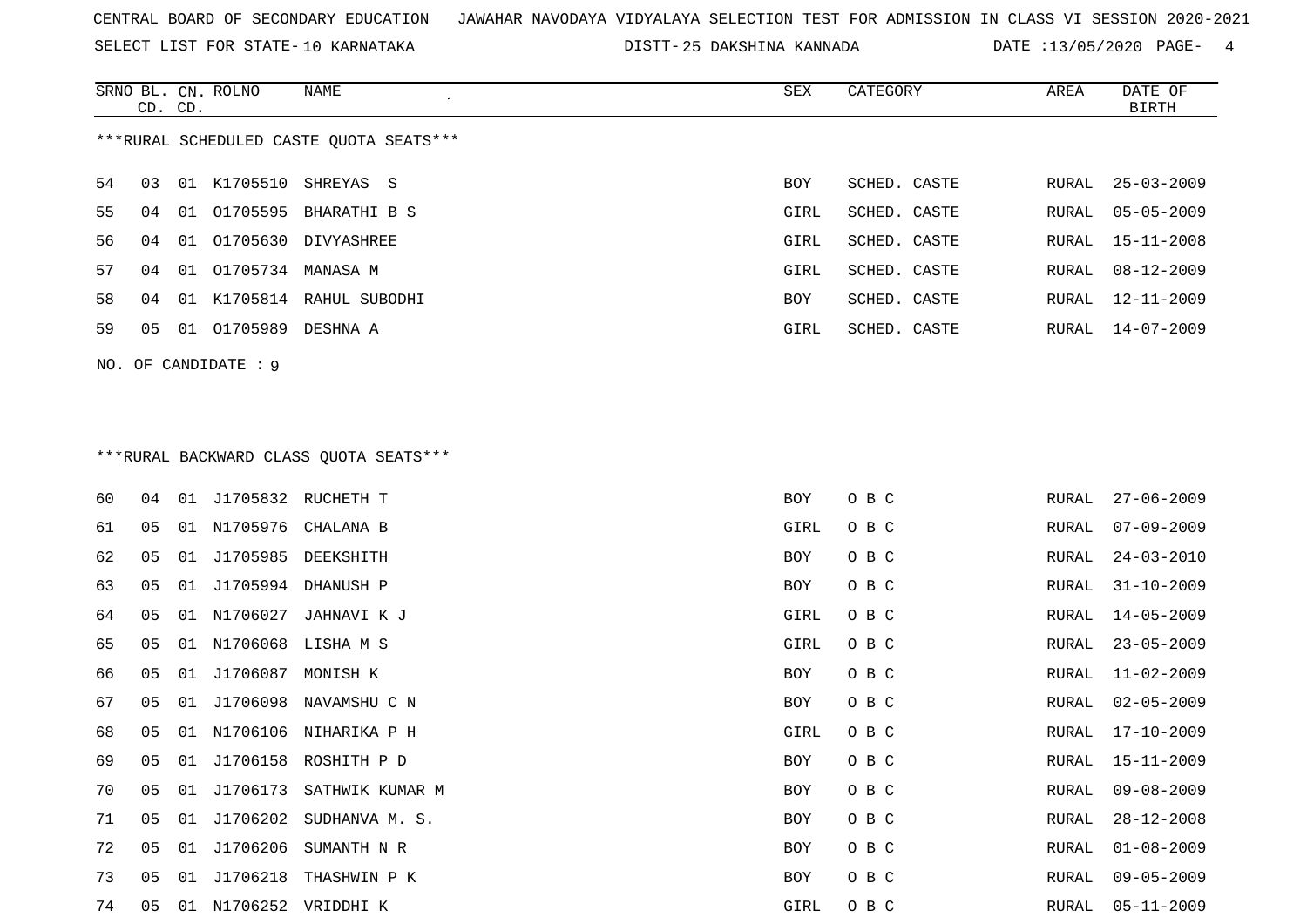SELECT LIST FOR STATE- DISTT- 10 KARNATAKA

25 DAKSHINA KANNADA DATE :13/05/2020 PAGE- 4

|    | CD. CD.              |    | SRNO BL. CN. ROLNO | NAME                                    | SEX  | CATEGORY     | AREA | DATE OF<br>BIRTH |  |
|----|----------------------|----|--------------------|-----------------------------------------|------|--------------|------|------------------|--|
|    |                      |    |                    | ***RURAL SCHEDULED CASTE OUOTA SEATS*** |      |              |      |                  |  |
| 54 | 03                   |    |                    | 01 K1705510 SHREYAS S                   | BOY  | SCHED. CASTE |      | RURAL 25-03-2009 |  |
| 55 | 04                   | 01 |                    | O1705595 BHARATHI B S                   | GIRL | SCHED. CASTE |      | RURAL 05-05-2009 |  |
| 56 | 04                   | 01 | 01705630           | DIVYASHREE                              | GIRL | SCHED. CASTE |      | RURAL 15-11-2008 |  |
| 57 | 04                   | 01 | 01705734 MANASA M  |                                         | GIRL | SCHED. CASTE |      | RURAL 08-12-2009 |  |
| 58 | 04                   | 01 |                    | K1705814 RAHUL SUBODHI                  | BOY  | SCHED. CASTE |      | RURAL 12-11-2009 |  |
| 59 | 05                   | 01 | 01705989           | DESHNA A                                | GIRL | SCHED. CASTE |      | RURAL 14-07-2009 |  |
|    | NO. OF CANDIDATE : 9 |    |                    |                                         |      |              |      |                  |  |

# \*\*\*RURAL BACKWARD CLASS QUOTA SEATS\*\*\*

| 60 | 04             | 01 |          | J1705832 RUCHETH T    | BOY  | O B C | RURAL | $27 - 06 - 2009$ |
|----|----------------|----|----------|-----------------------|------|-------|-------|------------------|
| 61 | 05             | 01 |          | N1705976 CHALANA B    | GIRL | O B C | RURAL | $07 - 09 - 2009$ |
| 62 | 05             | 01 | J1705985 | DEEKSHITH             | BOY  | O B C | RURAL | $24 - 03 - 2010$ |
| 63 | 05             | 01 | J1705994 | DHANUSH P             | BOY  | O B C | RURAL | $31 - 10 - 2009$ |
| 64 | 05             | 01 | N1706027 | JAHNAVI K J           | GIRL | O B C | RURAL | $14 - 05 - 2009$ |
| 65 | 05             | 01 |          | N1706068 LISHA M S    | GIRL | O B C | RURAL | $23 - 05 - 2009$ |
| 66 | 05             | 01 | J1706087 | MONISH K              | BOY  | O B C | RURAL | $11 - 02 - 2009$ |
| 67 | 05             | 01 |          | J1706098 NAVAMSHU C N | BOY  | O B C | RURAL | $02 - 05 - 2009$ |
| 68 | 05             | 01 | N1706106 | NIHARIKA P H          | GIRL | O B C | RURAL | $17 - 10 - 2009$ |
| 69 | 05             | 01 |          | J1706158 ROSHITH P D  | BOY  | O B C | RURAL | $15 - 11 - 2009$ |
| 70 | 0 <sub>5</sub> | 01 | J1706173 | SATHWIK KUMAR M       | BOY  | O B C | RURAL | $09 - 08 - 2009$ |
| 71 | 05             | 01 | J1706202 | SUDHANVA M. S.        | BOY  | O B C | RURAL | $28 - 12 - 2008$ |
| 72 | 05             | 01 | J1706206 | SUMANTH N R           | BOY  | O B C | RURAL | $01 - 08 - 2009$ |
| 73 | 05             | 01 | J1706218 | THASHWIN P K          | BOY  | O B C | RURAL | $09 - 05 - 2009$ |
| 74 | 05             | 01 |          | N1706252 VRIDDHI K    | GIRL | O B C | RURAL | $05 - 11 - 2009$ |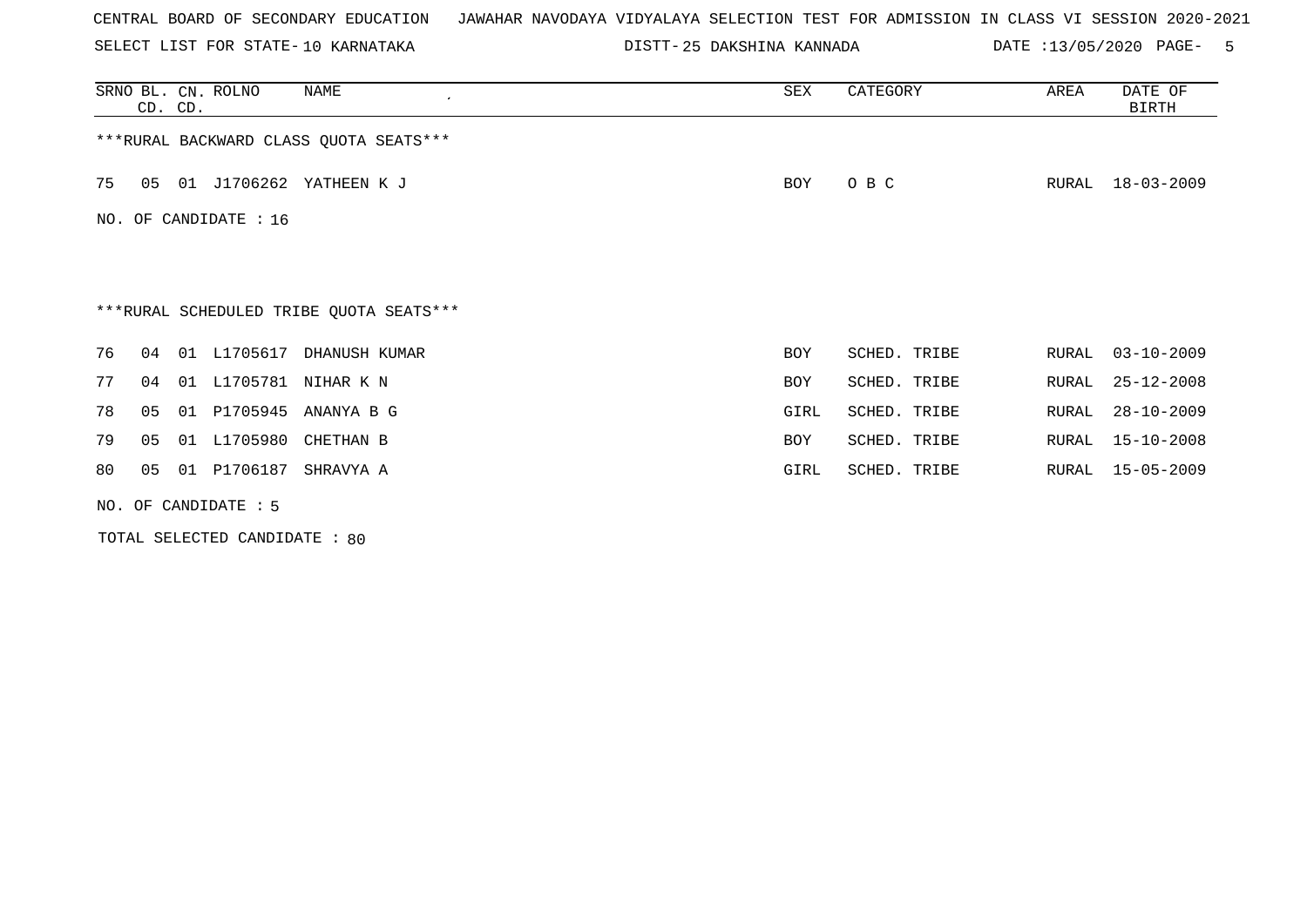SELECT LIST FOR STATE- DISTT- 10 KARNATAKA

25 DAKSHINA KANNADA DATE :13/05/2020 PAGE- 5

|                       | CD. CD.                                 |    | SRNO BL. CN. ROLNO | NAME                                    | SEX        | CATEGORY     | AREA  | DATE OF<br><b>BIRTH</b> |  |  |  |
|-----------------------|-----------------------------------------|----|--------------------|-----------------------------------------|------------|--------------|-------|-------------------------|--|--|--|
|                       | *** RURAL BACKWARD CLASS QUOTA SEATS*** |    |                    |                                         |            |              |       |                         |  |  |  |
| 75                    | 05                                      |    |                    | 01 J1706262 YATHEEN K J                 | BOY        | O B C        | RURAL | 18-03-2009              |  |  |  |
| NO. OF CANDIDATE : 16 |                                         |    |                    |                                         |            |              |       |                         |  |  |  |
|                       |                                         |    |                    |                                         |            |              |       |                         |  |  |  |
|                       |                                         |    |                    | ***RURAL SCHEDULED TRIBE QUOTA SEATS*** |            |              |       |                         |  |  |  |
| 76                    | 04                                      | 01 | L1705617           | DHANUSH KUMAR                           | <b>BOY</b> | SCHED. TRIBE | RURAL | $03 - 10 - 2009$        |  |  |  |
| 77                    | 04                                      |    |                    | 01 L1705781 NIHAR K N                   | <b>BOY</b> | SCHED. TRIBE | RURAL | $25 - 12 - 2008$        |  |  |  |
| 78                    | 05                                      | 01 | P1705945           | ANANYA B G                              | GIRL       | SCHED. TRIBE | RURAL | $28 - 10 - 2009$        |  |  |  |
| 79                    | 05                                      |    |                    | 01 L1705980 CHETHAN B                   | BOY        | SCHED. TRIBE | RURAL | $15 - 10 - 2008$        |  |  |  |
| 80                    | 05                                      | 01 | P1706187           | SHRAVYA A                               | GIRL       | SCHED. TRIBE | RURAL | $15 - 05 - 2009$        |  |  |  |
|                       | NO. OF CANDIDATE : 5                    |    |                    |                                         |            |              |       |                         |  |  |  |

TOTAL SELECTED CANDIDATE : 80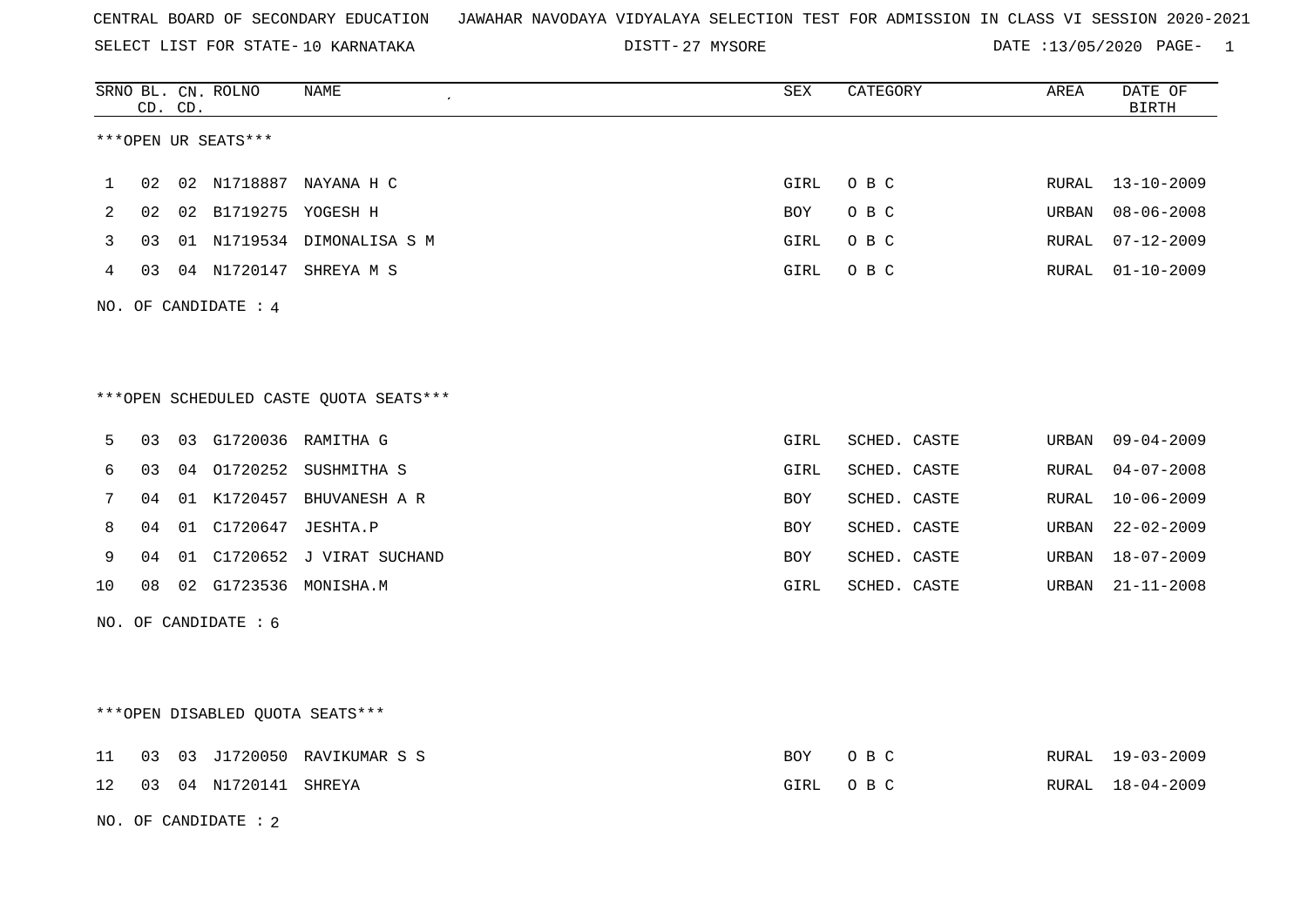SELECT LIST FOR STATE- DISTT- 10 KARNATAKA

27 MYSORE DATE :13/05/2020 PAGE- 1

|    |    | CD. CD. | SRNO BL. CN. ROLNO     | NAME                                   | ${\tt SEX}$ | CATEGORY     | AREA  | DATE OF<br><b>BIRTH</b> |
|----|----|---------|------------------------|----------------------------------------|-------------|--------------|-------|-------------------------|
|    |    |         | ***OPEN UR SEATS***    |                                        |             |              |       |                         |
| 1  | 02 |         |                        | 02 N1718887 NAYANA H C                 | GIRL        | O B C        | RURAL | $13 - 10 - 2009$        |
| 2  | 02 |         | 02 B1719275 YOGESH H   |                                        | BOY         | O B C        | URBAN | $08 - 06 - 2008$        |
| 3  | 03 |         |                        | 01 N1719534 DIMONALISA S M             | GIRL        | O B C        | RURAL | $07 - 12 - 2009$        |
| 4  | 03 |         |                        | 04 N1720147 SHREYA M S                 | GIRL        | O B C        | RURAL | $01 - 10 - 2009$        |
|    |    |         | NO. OF CANDIDATE : $4$ |                                        |             |              |       |                         |
|    |    |         |                        |                                        |             |              |       |                         |
|    |    |         |                        | ***OPEN SCHEDULED CASTE QUOTA SEATS*** |             |              |       |                         |
| 5  | 03 |         |                        | 03 G1720036 RAMITHA G                  | GIRL        | SCHED. CASTE | URBAN | $09 - 04 - 2009$        |
| 6  | 03 | 04      | 01720252               | SUSHMITHA S                            | GIRL        | SCHED. CASTE | RURAL | $04 - 07 - 2008$        |
| 7  | 04 |         |                        | 01 K1720457 BHUVANESH A R              | BOY         | SCHED. CASTE | RURAL | $10 - 06 - 2009$        |
| 8  | 04 |         | 01 C1720647 JESHTA.P   |                                        | BOY         | SCHED. CASTE | URBAN | $22 - 02 - 2009$        |
| 9  | 04 |         |                        | 01 C1720652 J VIRAT SUCHAND            | BOY         | SCHED. CASTE | URBAN | $18 - 07 - 2009$        |
| 10 | 08 |         |                        | 02 G1723536 MONISHA.M                  | GIRL        | SCHED. CASTE | URBAN | $21 - 11 - 2008$        |
|    |    |         | NO. OF CANDIDATE $: 6$ |                                        |             |              |       |                         |
|    |    |         |                        |                                        |             |              |       |                         |
|    |    |         |                        | ***OPEN DISABLED QUOTA SEATS***        |             |              |       |                         |
| 11 | 03 |         |                        | 03 J1720050 RAVIKUMAR S S              | BOY         | O B C        |       | RURAL 19-03-2009        |
| 12 | 03 |         | 04 N1720141 SHREYA     |                                        | GIRL        | O B C        | RURAL | $18 - 04 - 2009$        |
|    |    |         | NO. OF CANDIDATE : 2   |                                        |             |              |       |                         |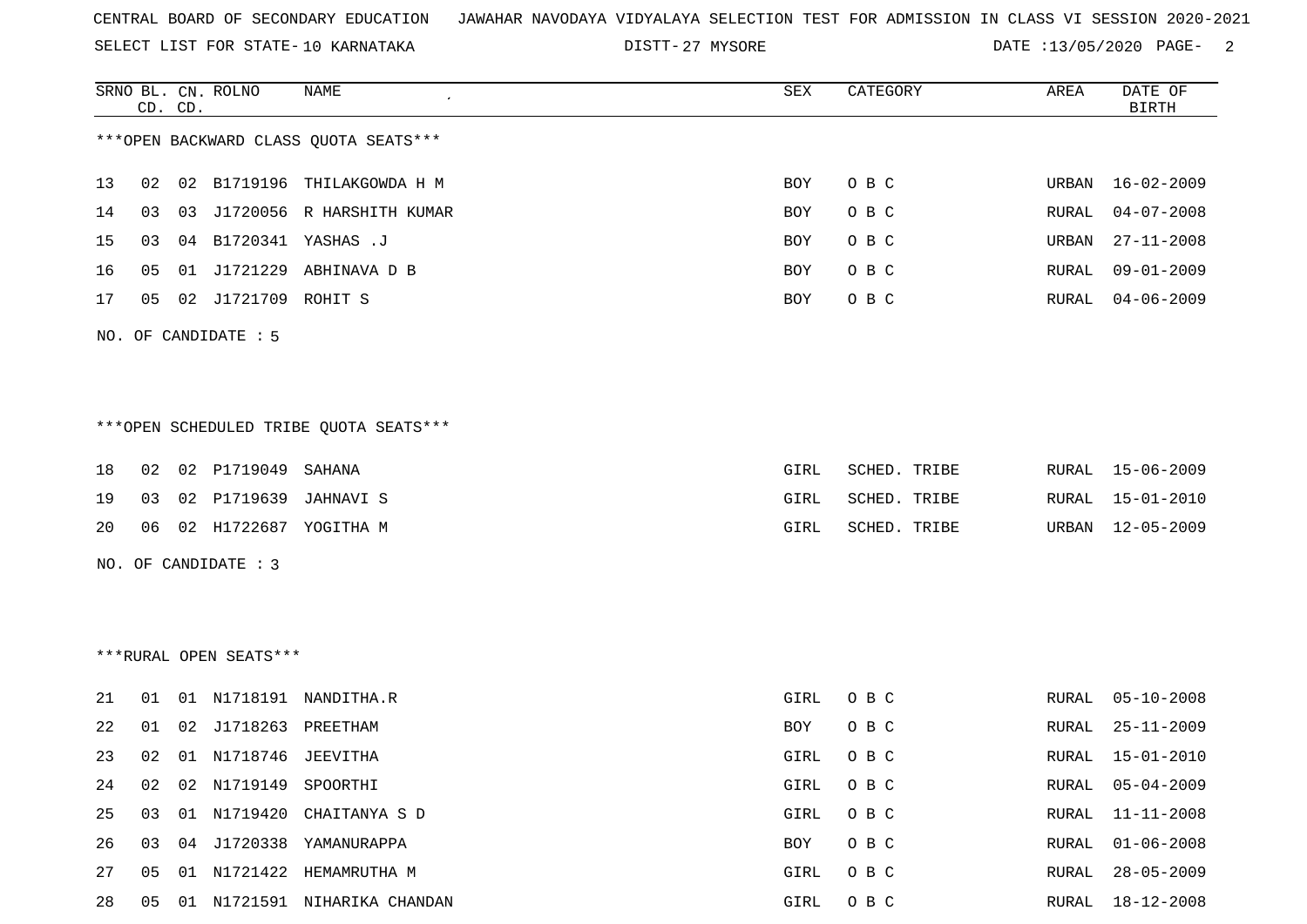SELECT LIST FOR STATE- DISTT- 10 KARNATAKA

27 MYSORE DATE :13/05/2020 PAGE- 2

|    |    | CD. CD. | SRNO BL. CN. ROLNO     | NAME                                   | SEX        | CATEGORY     | AREA         | DATE OF<br>BIRTH |
|----|----|---------|------------------------|----------------------------------------|------------|--------------|--------------|------------------|
|    |    |         |                        | *** OPEN BACKWARD CLASS QUOTA SEATS*** |            |              |              |                  |
| 13 | 02 |         |                        | 02 B1719196 THILAKGOWDA H M            | <b>BOY</b> | O B C        | URBAN        | $16 - 02 - 2009$ |
| 14 | 03 | 03      |                        | J1720056 R HARSHITH KUMAR              | <b>BOY</b> | O B C        | RURAL        | $04 - 07 - 2008$ |
| 15 | 03 |         |                        | 04 B1720341 YASHAS .J                  | <b>BOY</b> | O B C        | URBAN        | $27 - 11 - 2008$ |
| 16 | 05 |         | 01 J1721229            | ABHINAVA D B                           | <b>BOY</b> | O B C        | RURAL        | $09 - 01 - 2009$ |
| 17 | 05 |         | 02 J1721709 ROHIT S    |                                        | <b>BOY</b> | O B C        | RURAL        | $04 - 06 - 2009$ |
|    |    |         | NO. OF CANDIDATE : 5   |                                        |            |              |              |                  |
|    |    |         |                        | ***OPEN SCHEDULED TRIBE OUOTA SEATS*** |            |              |              |                  |
| 18 | 02 |         | 02 P1719049            | SAHANA                                 | GIRL       | SCHED. TRIBE | RURAL        | $15 - 06 - 2009$ |
| 19 | 03 |         |                        | 02 P1719639 JAHNAVI S                  | GIRL       | SCHED. TRIBE | RURAL        | $15 - 01 - 2010$ |
| 20 | 06 |         |                        | 02 H1722687 YOGITHA M                  | GIRL       | SCHED. TRIBE | URBAN        | $12 - 05 - 2009$ |
|    |    |         | NO. OF CANDIDATE : 3   |                                        |            |              |              |                  |
|    |    |         | ***RURAL OPEN SEATS*** |                                        |            |              |              |                  |
|    |    |         |                        |                                        |            |              |              |                  |
| 21 | 01 |         |                        | 01 N1718191 NANDITHA.R                 | GIRL       | O B C        | RURAL        | $05 - 10 - 2008$ |
| 22 | 01 |         | 02 J1718263 PREETHAM   |                                        | BOY        | O B C        | RURAL        | $25 - 11 - 2009$ |
| 23 | 02 |         | 01 N1718746 JEEVITHA   |                                        | GIRL       | O B C        | RURAL        | $15 - 01 - 2010$ |
| 24 | 02 |         | 02 N1719149            | SPOORTHI                               | GIRL       | O B C        | <b>RURAL</b> | $05 - 04 - 2009$ |
| 25 | 03 |         | 01 N1719420            | CHAITANYA S D                          | GIRL       | O B C        | RURAL        | $11 - 11 - 2008$ |
| 26 | 03 |         |                        | 04 J1720338 YAMANURAPPA                | BOY        | O B C        | RURAL        | $01 - 06 - 2008$ |
| 27 | 05 |         |                        | 01 N1721422 HEMAMRUTHA M               | GIRL       | O B C        | RURAL        | $28 - 05 - 2009$ |

28 05 01 N1721591 NIHARIKA CHANDAN GIRL O B C RURAL 18-12-2008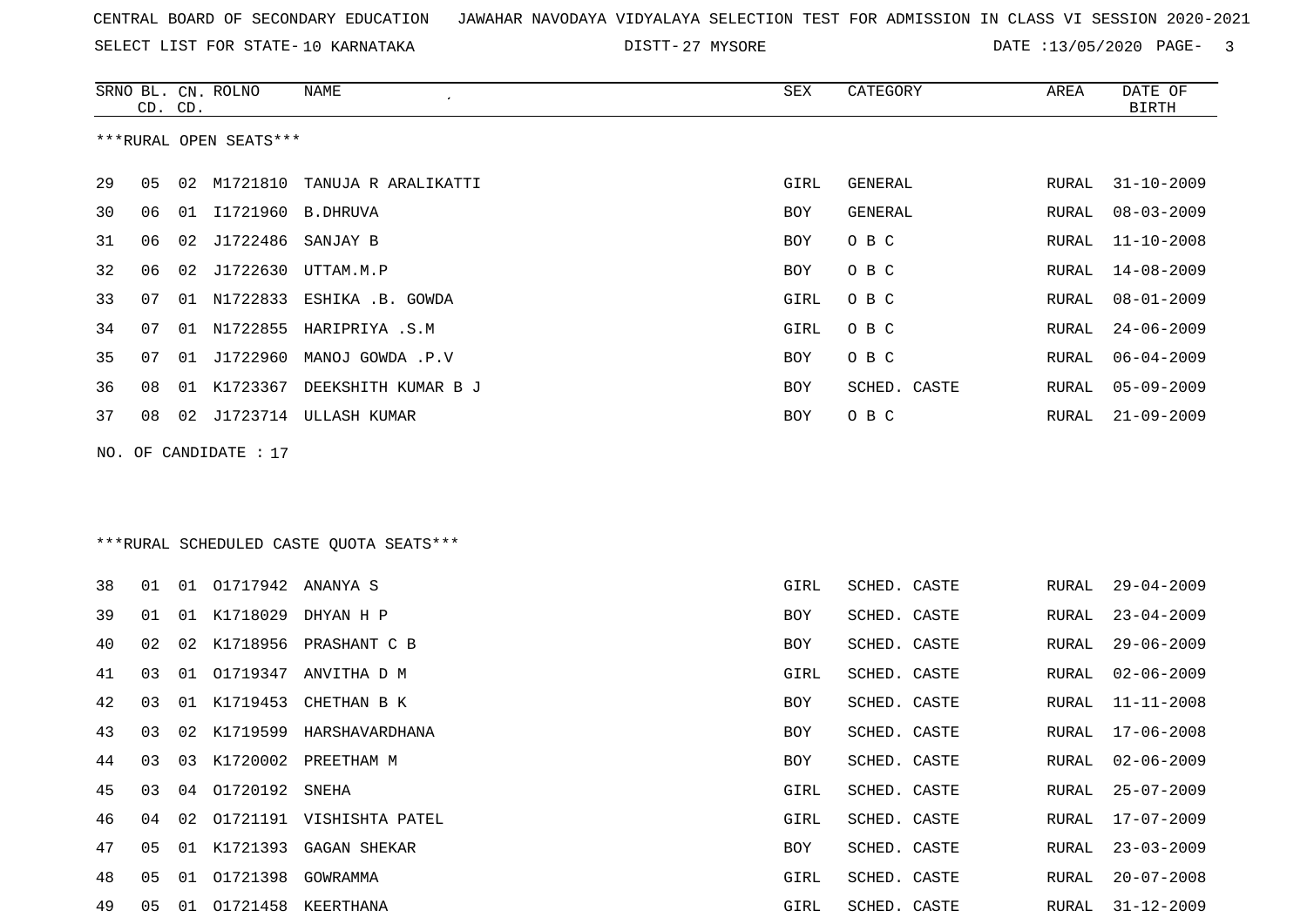SELECT LIST FOR STATE- DISTT- 10 KARNATAKA

27 MYSORE DATE :13/05/2020 PAGE- 3

|    | CD. CD. |    | SRNO BL. CN. ROLNO     | NAME                                    | SEX  | CATEGORY       | AREA  | DATE OF<br><b>BIRTH</b> |
|----|---------|----|------------------------|-----------------------------------------|------|----------------|-------|-------------------------|
|    |         |    | ***RURAL OPEN SEATS*** |                                         |      |                |       |                         |
| 29 | 05      | 02 | M1721810               | TANUJA R ARALIKATTI                     | GIRL | GENERAL        | RURAL | $31 - 10 - 2009$        |
| 30 | 06      |    | 01 I1721960 B.DHRUVA   |                                         | BOY  | <b>GENERAL</b> | RURAL | $08 - 03 - 2009$        |
| 31 | 06      | 02 | J1722486               | SANJAY B                                | BOY  | O B C          | RURAL | $11 - 10 - 2008$        |
| 32 | 06      | 02 | J1722630               | UTTAM.M.P                               | BOY  | O B C          | RURAL | $14 - 08 - 2009$        |
| 33 | 07      | 01 | N1722833               | ESHIKA .B. GOWDA                        | GIRL | O B C          | RURAL | $08 - 01 - 2009$        |
| 34 | 07      | 01 | N1722855               | HARIPRIYA .S.M                          | GIRL | O B C          | RURAL | $24 - 06 - 2009$        |
| 35 | 07      | 01 |                        | J1722960 MANOJ GOWDA .P.V               | BOY  | O B C          | RURAL | $06 - 04 - 2009$        |
| 36 | 08      | 01 | K1723367               | DEEKSHITH KUMAR B J                     | BOY  | SCHED. CASTE   | RURAL | $05 - 09 - 2009$        |
| 37 | 08      |    |                        | 02 J1723714 ULLASH KUMAR                | BOY  | O B C          | RURAL | $21 - 09 - 2009$        |
|    |         |    | NO. OF CANDIDATE : 17  |                                         |      |                |       |                         |
|    |         |    |                        |                                         |      |                |       |                         |
|    |         |    |                        | ***RURAL SCHEDULED CASTE QUOTA SEATS*** |      |                |       |                         |
| 38 | 01      | 01 | 01717942 ANANYA S      |                                         | GIRL | SCHED. CASTE   | RURAL | $29 - 04 - 2009$        |
| 39 | 01      | 01 | K1718029               | DHYAN H P                               | BOY  | SCHED. CASTE   | RURAL | $23 - 04 - 2009$        |
| 40 | 02      | 02 | K1718956               | PRASHANT C B                            | BOY  | SCHED. CASTE   | RURAL | $29 - 06 - 2009$        |
| 41 | 03      | 01 |                        | O1719347 ANVITHA D M                    | GIRL | SCHED. CASTE   | RURAL | $02 - 06 - 2009$        |
| 42 | 03      | 01 | K1719453               | CHETHAN B K                             | BOY  | SCHED. CASTE   | RURAL | $11 - 11 - 2008$        |
| 43 | 03      | 02 |                        | K1719599 HARSHAVARDHANA                 | BOY  | SCHED. CASTE   | RURAL | $17 - 06 - 2008$        |
| 44 | 03      | 03 |                        | K1720002 PREETHAM M                     | BOY  | SCHED. CASTE   | RURAL | $02 - 06 - 2009$        |
| 45 | 03      | 04 | 01720192 SNEHA         |                                         | GIRL | SCHED. CASTE   | RURAL | $25 - 07 - 2009$        |
| 46 | 04      | 02 |                        | 01721191 VISHISHTA PATEL                | GIRL | SCHED. CASTE   | RURAL | 17-07-2009              |
| 47 | 05      |    |                        | 01 K1721393 GAGAN SHEKAR                | BOY  | SCHED. CASTE   | RURAL | $23 - 03 - 2009$        |
| 48 | 05      |    | 01 01721398 GOWRAMMA   |                                         | GIRL | SCHED. CASTE   | RURAL | $20 - 07 - 2008$        |
| 49 | 05      |    |                        | 01 01721458 KEERTHANA                   | GIRL | SCHED. CASTE   | RURAL | $31 - 12 - 2009$        |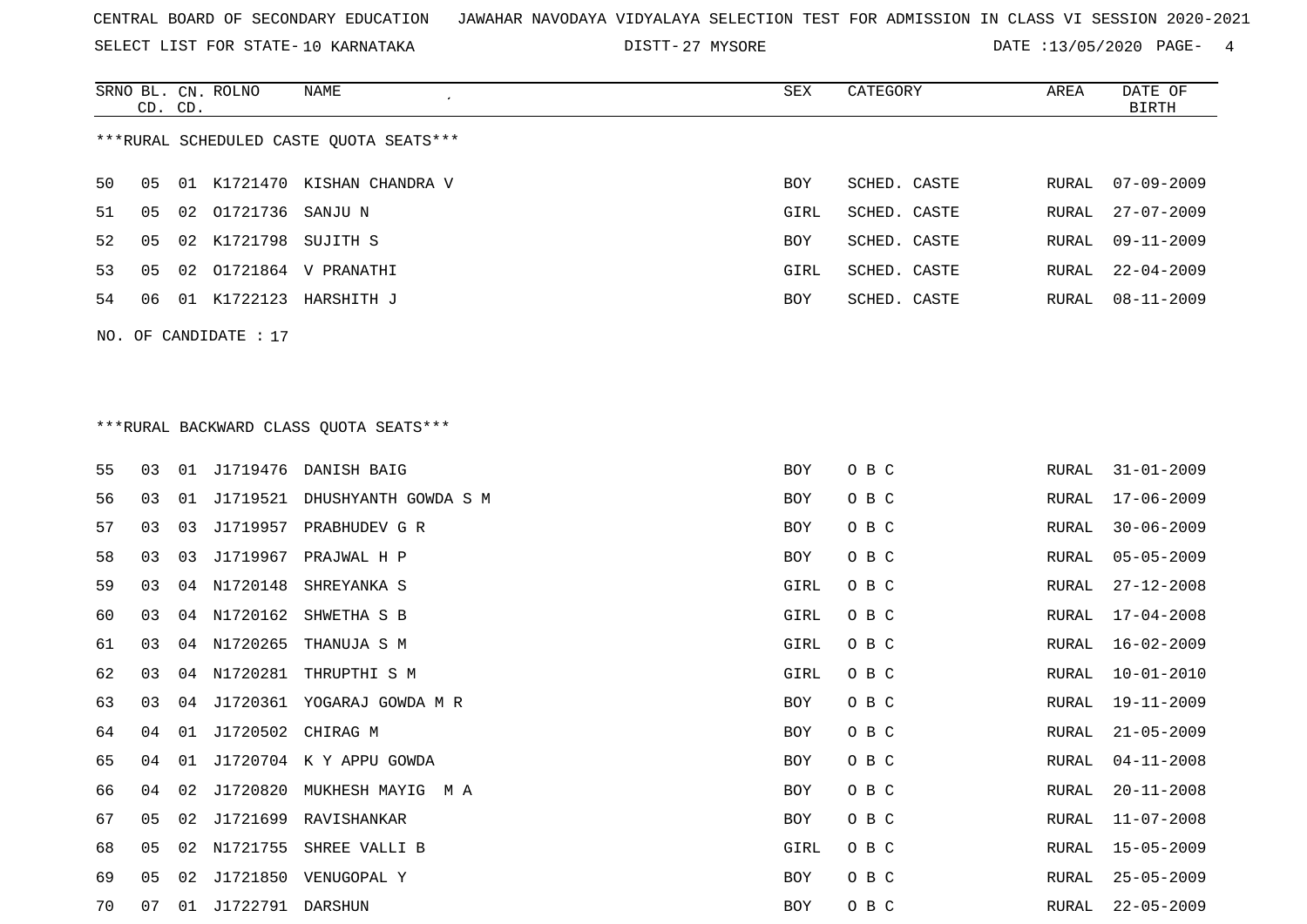SELECT LIST FOR STATE- DISTT- 10 KARNATAKA

SRNO BL. CN.

CD. CD.

ROLNO NAME SEX CATEGORY AREA DATE OF

BIRTH

DISTT-27 MYSORE 2020 DATE :13/05/2020 PAGE- 4

| ***RURAL SCHEDULED CASTE QUOTA SEATS*** |    |    |                       |                                        |      |              |       |                  |  |  |  |  |
|-----------------------------------------|----|----|-----------------------|----------------------------------------|------|--------------|-------|------------------|--|--|--|--|
| 50                                      | 05 |    |                       | 01 K1721470 KISHAN CHANDRA V           | BOY  | SCHED. CASTE | RURAL | $07 - 09 - 2009$ |  |  |  |  |
| 51                                      | 05 | 02 | 01721736              | SANJU N                                | GIRL | SCHED. CASTE | RURAL | $27 - 07 - 2009$ |  |  |  |  |
| 52                                      | 05 |    | 02 K1721798 SUJITH S  |                                        | BOY  | SCHED. CASTE | RURAL | $09 - 11 - 2009$ |  |  |  |  |
| 53                                      | 05 | 02 |                       | 01721864 V PRANATHI                    | GIRL | SCHED. CASTE | RURAL | $22 - 04 - 2009$ |  |  |  |  |
| 54                                      | 06 |    |                       | 01 K1722123 HARSHITH J                 | BOY  | SCHED. CASTE | RURAL | $08 - 11 - 2009$ |  |  |  |  |
|                                         |    |    | NO. OF CANDIDATE : 17 |                                        |      |              |       |                  |  |  |  |  |
|                                         |    |    |                       |                                        |      |              |       |                  |  |  |  |  |
|                                         |    |    |                       | ***RURAL BACKWARD CLASS QUOTA SEATS*** |      |              |       |                  |  |  |  |  |
| 55                                      | 03 |    |                       | 01 J1719476 DANISH BAIG                | BOY  | O B C        | RURAL | $31 - 01 - 2009$ |  |  |  |  |
| 56                                      | 03 | 01 |                       | J1719521 DHUSHYANTH GOWDA S M          | BOY  | O B C        | RURAL | $17 - 06 - 2009$ |  |  |  |  |
| 57                                      | 03 | 03 |                       | J1719957 PRABHUDEV G R                 | BOY  | O B C        | RURAL | $30 - 06 - 2009$ |  |  |  |  |
| 58                                      | 03 | 03 | J1719967              | PRAJWAL H P                            | BOY  | O B C        | RURAL | $05 - 05 - 2009$ |  |  |  |  |
| 59                                      | 03 | 04 | N1720148              | SHREYANKA S                            | GIRL | O B C        | RURAL | $27 - 12 - 2008$ |  |  |  |  |
| 60                                      | 03 | 04 | N1720162              | SHWETHA S B                            | GIRL | O B C        | RURAL | $17 - 04 - 2008$ |  |  |  |  |
| 61                                      | 03 | 04 | N1720265              | THANUJA S M                            | GIRL | O B C        | RURAL | $16 - 02 - 2009$ |  |  |  |  |
| 62                                      | 03 | 04 | N1720281              | THRUPTHI S M                           | GIRL | O B C        | RURAL | $10 - 01 - 2010$ |  |  |  |  |
| 63                                      | 03 | 04 |                       | J1720361 YOGARAJ GOWDA M R             | BOY  | O B C        | RURAL | 19-11-2009       |  |  |  |  |
| 64                                      | 04 | 01 | J1720502 CHIRAG M     |                                        | BOY  | O B C        | RURAL | $21 - 05 - 2009$ |  |  |  |  |
| 65                                      | 04 | 01 |                       | J1720704 K Y APPU GOWDA                | BOY  | O B C        | RURAL | $04 - 11 - 2008$ |  |  |  |  |
| 66                                      | 04 | 02 |                       | J1720820 MUKHESH MAYIG M A             | BOY  | O B C        | RURAL | $20 - 11 - 2008$ |  |  |  |  |
| 67                                      | 05 |    |                       | 02 J1721699 RAVISHANKAR                | BOY  | O B C        | RURAL | $11 - 07 - 2008$ |  |  |  |  |
| 68                                      | 05 |    |                       | 02 N1721755 SHREE VALLI B              | GIRL | O B C        | RURAL | $15 - 05 - 2009$ |  |  |  |  |
| 69                                      | 05 |    |                       | 02 J1721850 VENUGOPAL Y                | BOY  | O B C        | RURAL | $25 - 05 - 2009$ |  |  |  |  |
| 70                                      | 07 |    | 01 J1722791 DARSHUN   |                                        | BOY  | O B C        | RURAL | $22 - 05 - 2009$ |  |  |  |  |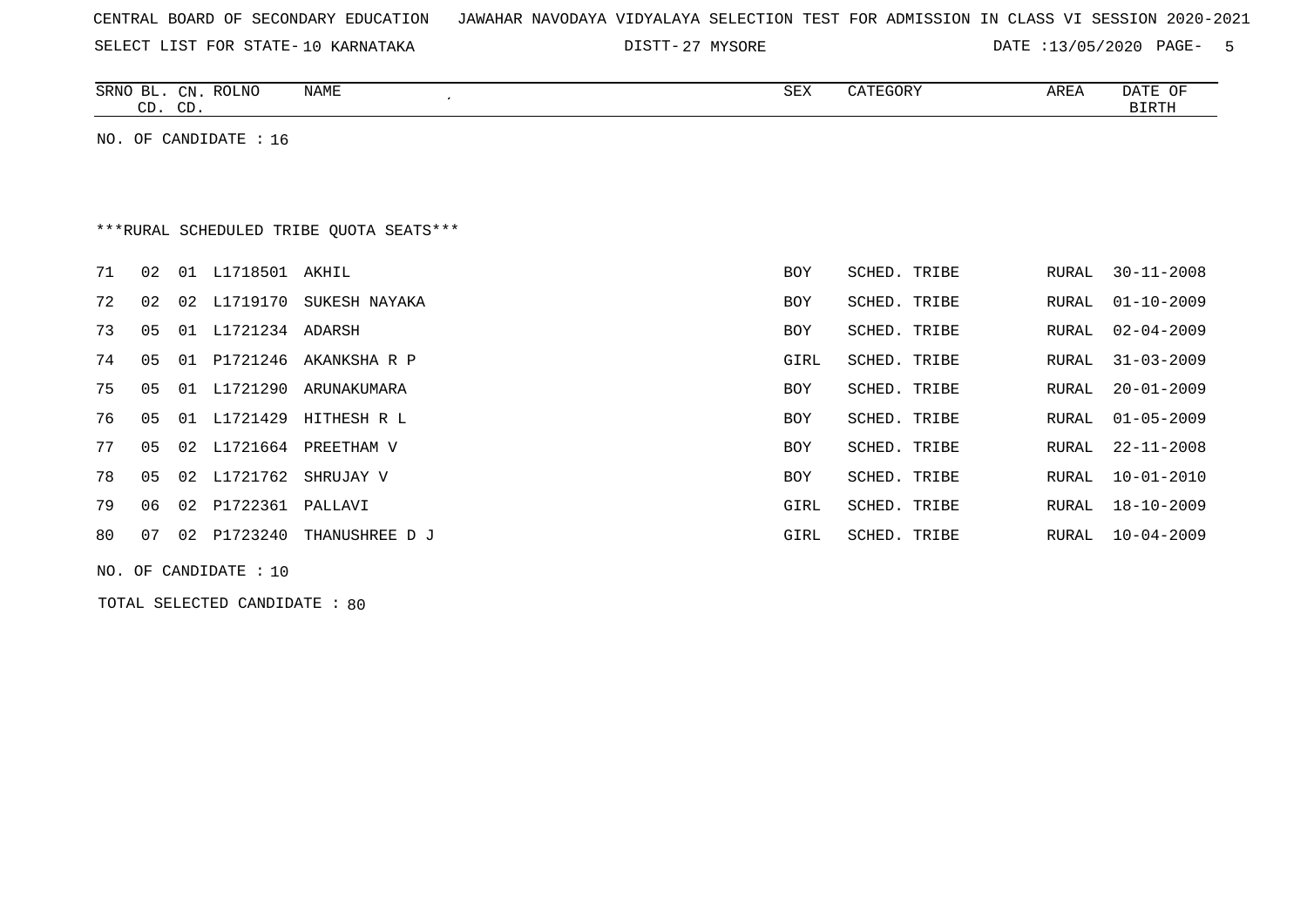|  |  |  |  | CENTRAL BOARD OF SECONDARY EDUCATION – JAWAHAR NAVODAYA VIDYALAYA SELECTION TEST FOR ADMISSION IN CLASS VI SESSION 2020-2021 |  |  |  |  |  |  |  |  |  |  |  |  |  |  |
|--|--|--|--|------------------------------------------------------------------------------------------------------------------------------|--|--|--|--|--|--|--|--|--|--|--|--|--|--|
|--|--|--|--|------------------------------------------------------------------------------------------------------------------------------|--|--|--|--|--|--|--|--|--|--|--|--|--|--|

27 MYSORE DATE :13/05/2020 PAGE- 5

| SRNO<br>$\mathcal{C}N$<br>ப<br>$\cap$<br>הה | ROLNO | NAME | <b>SEX</b> | $\alpha$ <sup>n</sup> $\beta$<br>. <del>.</del> UK | AREA | <b>DATE</b><br>OF<br>BIRTH |
|---------------------------------------------|-------|------|------------|----------------------------------------------------|------|----------------------------|
| ر∟ب<br>ىب                                   |       |      |            |                                                    |      |                            |

NO. OF CANDIDATE : 16

# \*\*\*RURAL SCHEDULED TRIBE QUOTA SEATS\*\*\*

| 71 | 02 | 01 | L1718501 AKHIL  |                          | BOY        | <b>SCHED. TRIBE</b> | RURAL | $30 - 11 - 2008$ |
|----|----|----|-----------------|--------------------------|------------|---------------------|-------|------------------|
| 72 | 02 |    | 02 L1719170     | SUKESH NAYAKA            | <b>BOY</b> | SCHED. TRIBE        | RURAL | $01 - 10 - 2009$ |
| 73 | 05 | 01 | L1721234 ADARSH |                          | BOY        | SCHED. TRIBE        |       | RURAL 02-04-2009 |
| 74 | 05 |    |                 | 01 P1721246 AKANKSHA R P | GIRL       | SCHED. TRIBE        | RURAL | 31-03-2009       |
| 75 | 05 | 01 | L1721290        | ARUNAKUMARA              | BOY        | SCHED. TRIBE        | RURAL | 20-01-2009       |
| 76 | 05 |    | 01 L1721429     | HITHESH R L              | <b>BOY</b> | SCHED. TRIBE        | RURAL | 01-05-2009       |
| 77 | 05 |    | 02 L1721664     | PREETHAM V               | BOY        | SCHED. TRIBE        | RURAL | 22-11-2008       |
| 78 | 05 |    |                 | 02 L1721762 SHRUJAY V    | <b>BOY</b> | SCHED. TRIBE        | RURAL | 10-01-2010       |
| 79 | 06 |    | 02 P1722361     | PALLAVI                  | GIRL       | SCHED. TRIBE        | RURAL | $18 - 10 - 2009$ |
| 80 | 07 | 02 | P1723240        | THANUSHREE D J           | GIRL       | SCHED. TRIBE        | RURAL | 10-04-2009       |
|    |    |    |                 |                          |            |                     |       |                  |

NO. OF CANDIDATE : 10

TOTAL SELECTED CANDIDATE : 80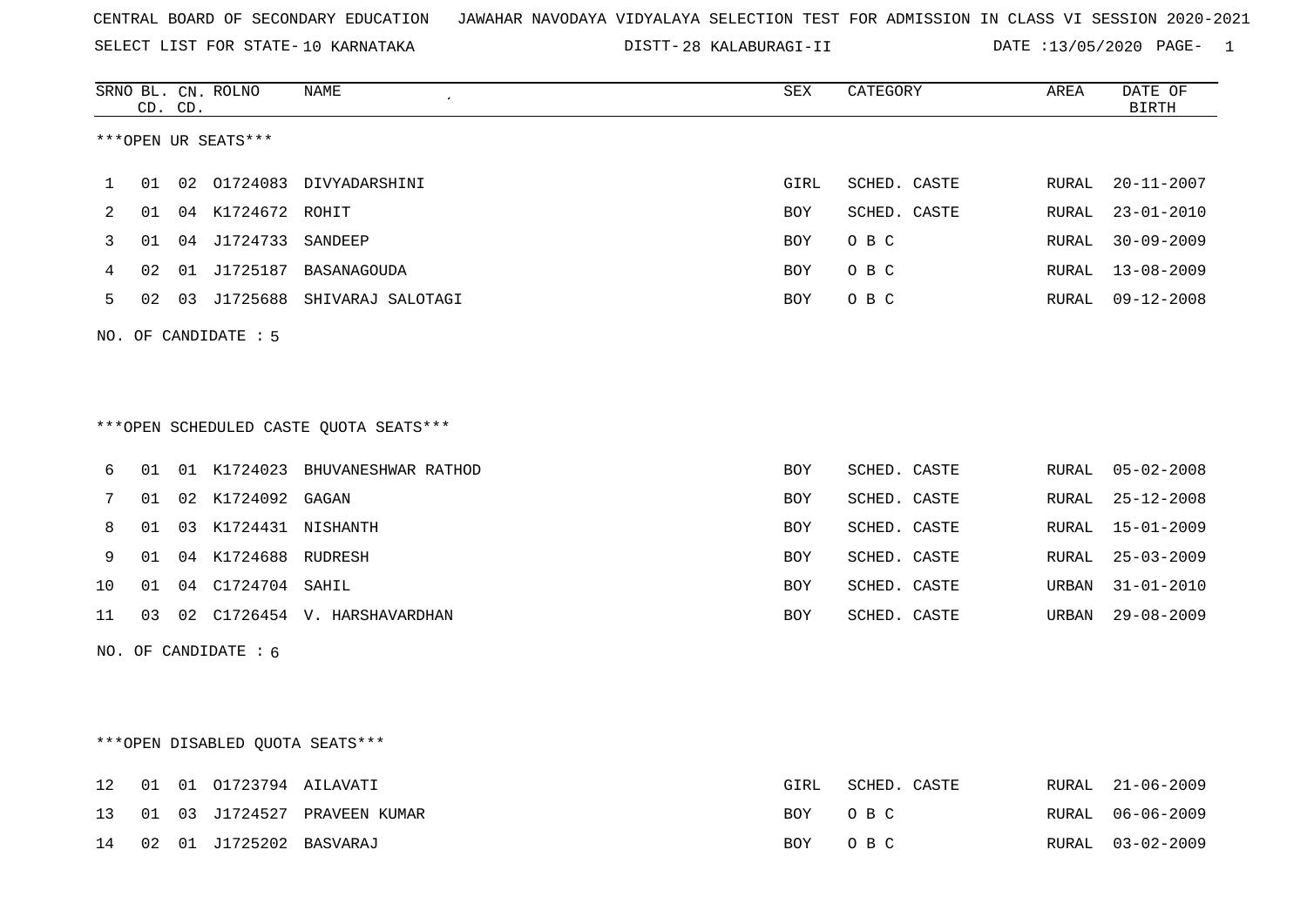SELECT LIST FOR STATE- DISTT- 10 KARNATAKA

28 KALABURAGI-II DATE :13/05/2020 PAGE- 1

|              | CD. CD. |    | SRNO BL. CN. ROLNO     | <b>NAME</b>                            | <b>SEX</b> | CATEGORY     | AREA  | DATE OF<br><b>BIRTH</b> |
|--------------|---------|----|------------------------|----------------------------------------|------------|--------------|-------|-------------------------|
|              |         |    | ***OPEN UR SEATS***    |                                        |            |              |       |                         |
| $\mathbf{1}$ | 01      | 02 |                        | 01724083 DIVYADARSHINI                 | GIRL       | SCHED. CASTE | RURAL | $20 - 11 - 2007$        |
| 2            | 01      |    | 04 K1724672 ROHIT      |                                        | BOY        | SCHED. CASTE | RURAL | $23 - 01 - 2010$        |
| 3            | 01      |    | 04 J1724733 SANDEEP    |                                        | <b>BOY</b> | O B C        | RURAL | $30 - 09 - 2009$        |
| 4            | 02      |    |                        | 01 J1725187 BASANAGOUDA                | BOY        | O B C        | RURAL | $13 - 08 - 2009$        |
| 5            | 02      | 03 |                        | J1725688 SHIVARAJ SALOTAGI             | BOY        | O B C        | RURAL | $09 - 12 - 2008$        |
|              |         |    | NO. OF CANDIDATE : 5   | ***OPEN SCHEDULED CASTE QUOTA SEATS*** |            |              |       |                         |
| 6            | 01      |    |                        | 01 K1724023 BHUVANESHWAR RATHOD        | <b>BOY</b> | SCHED. CASTE | RURAL | $05 - 02 - 2008$        |
| 7            | 01      |    | 02 K1724092 GAGAN      |                                        | <b>BOY</b> | SCHED. CASTE | RURAL | $25 - 12 - 2008$        |
| 8            | 01      | 03 | K1724431 NISHANTH      |                                        | <b>BOY</b> | SCHED. CASTE | RURAL | $15 - 01 - 2009$        |
| 9            | 01      |    | 04 K1724688 RUDRESH    |                                        | <b>BOY</b> | SCHED. CASTE | RURAL | $25 - 03 - 2009$        |
| 10           | 01      | 04 | C1724704 SAHIL         |                                        | <b>BOY</b> | SCHED. CASTE | URBAN | $31 - 01 - 2010$        |
| 11           | 03      |    |                        | 02 C1726454 V. HARSHAVARDHAN           | <b>BOY</b> | SCHED. CASTE | URBAN | $29 - 08 - 2009$        |
|              |         |    | NO. OF CANDIDATE $: 6$ |                                        |            |              |       |                         |

\*\*\*OPEN DISABLED QUOTA SEATS\*\*\*

|  |                            | 12 01 01 01723794 AILAVATI      | GIRL    | SCHED. CASTE | RURAL 21-06-2009 |
|--|----------------------------|---------------------------------|---------|--------------|------------------|
|  |                            | 13 01 03 J1724527 PRAVEEN KUMAR | BOY OBC |              | RURAL 06-06-2009 |
|  | 14 02 01 J1725202 BASVARAJ |                                 | BOY OBC |              | RURAL 03-02-2009 |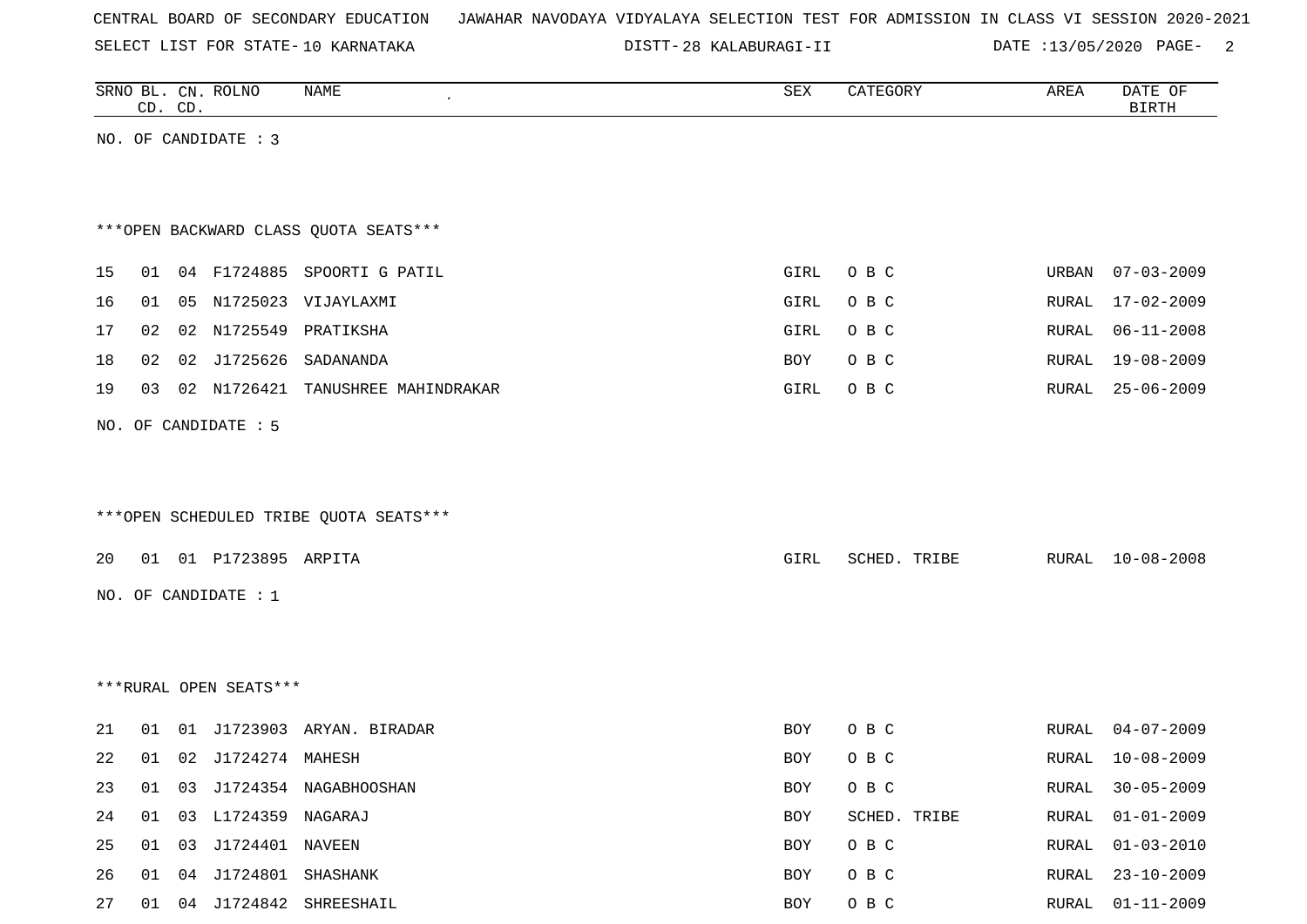SELECT LIST FOR STATE- DISTT- 10 KARNATAKA

28 KALABURAGI-II DATE :13/05/2020 PAGE- 2

|    |    | CD. CD. | SRNO BL. CN. ROLNO      | NAME                                   | SEX  | CATEGORY     | AREA  | DATE OF<br><b>BIRTH</b> |
|----|----|---------|-------------------------|----------------------------------------|------|--------------|-------|-------------------------|
|    |    |         | NO. OF CANDIDATE : 3    |                                        |      |              |       |                         |
|    |    |         |                         |                                        |      |              |       |                         |
|    |    |         |                         |                                        |      |              |       |                         |
|    |    |         |                         | *** OPEN BACKWARD CLASS QUOTA SEATS*** |      |              |       |                         |
| 15 | 01 |         |                         | 04 F1724885 SPOORTI G PATIL            | GIRL | O B C        | URBAN | $07 - 03 - 2009$        |
| 16 | 01 |         |                         | 05 N1725023 VIJAYLAXMI                 | GIRL | O B C        | RURAL | 17-02-2009              |
| 17 | 02 |         |                         | 02 N1725549 PRATIKSHA                  | GIRL | O B C        | RURAL | $06 - 11 - 2008$        |
| 18 | 02 |         |                         | 02 J1725626 SADANANDA                  | BOY  | O B C        | RURAL | 19-08-2009              |
| 19 |    |         |                         | 03 02 N1726421 TANUSHREE MAHINDRAKAR   | GIRL | O B C        | RURAL | $25 - 06 - 2009$        |
|    |    |         | NO. OF CANDIDATE : 5    |                                        |      |              |       |                         |
|    |    |         |                         |                                        |      |              |       |                         |
|    |    |         |                         |                                        |      |              |       |                         |
|    |    |         |                         | ***OPEN SCHEDULED TRIBE QUOTA SEATS*** |      |              |       |                         |
|    |    |         |                         |                                        |      |              |       |                         |
| 20 |    |         | 01 01 P1723895 ARPITA   |                                        | GIRL | SCHED. TRIBE |       | RURAL 10-08-2008        |
|    |    |         | NO. OF CANDIDATE : 1    |                                        |      |              |       |                         |
|    |    |         |                         |                                        |      |              |       |                         |
|    |    |         |                         |                                        |      |              |       |                         |
|    |    |         | ***RURAL OPEN SEATS***  |                                        |      |              |       |                         |
| 21 | 01 |         |                         | 01 J1723903 ARYAN. BIRADAR             | BOY  | O B C        | RURAL | $04 - 07 - 2009$        |
| 22 | 01 |         | 02 J1724274 MAHESH      |                                        | BOY  | O B C        | RURAL | $10 - 08 - 2009$        |
| 23 |    |         |                         | 01 03 J1724354 NAGABHOOSHAN            | BOY  | O B C        |       | RURAL 30-05-2009        |
| 24 |    |         | 01 03 L1724359 NAGARAJ  |                                        | BOY  | SCHED. TRIBE | RURAL | $01 - 01 - 2009$        |
| 25 |    |         | 01 03 J1724401 NAVEEN   |                                        | BOY  | O B C        | RURAL | $01 - 03 - 2010$        |
| 26 |    |         | 01 04 J1724801 SHASHANK |                                        | BOY  | O B C        | RURAL | $23 - 10 - 2009$        |
| 27 |    |         |                         | 01 04 J1724842 SHREESHAIL              | BOY  | O B C        |       | RURAL 01-11-2009        |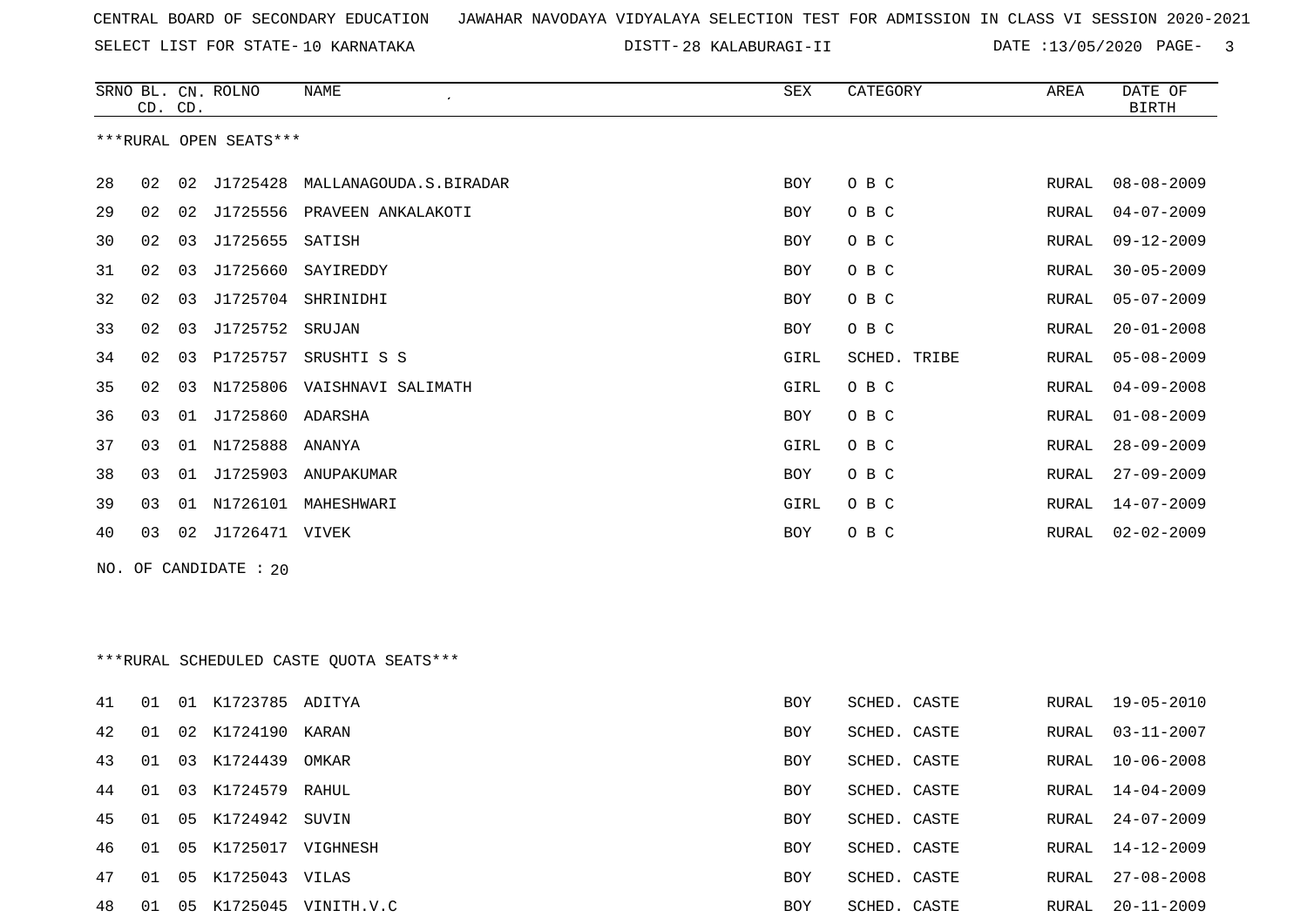28 KALABURAGI-II DATE :13/05/2020 PAGE- 3

|     | CD. CD. |    | SRNO BL. CN. ROLNO     | NAME                                     | SEX        | CATEGORY     | AREA  | DATE OF<br><b>BIRTH</b> |
|-----|---------|----|------------------------|------------------------------------------|------------|--------------|-------|-------------------------|
|     |         |    | ***RURAL OPEN SEATS*** |                                          |            |              |       |                         |
| 28  | 02      |    | 02 J1725428            | MALLANAGOUDA.S.BIRADAR                   | BOY        | O B C        | RURAL | $08 - 08 - 2009$        |
| 29  | 02      | 02 |                        | J1725556 PRAVEEN ANKALAKOTI              | <b>BOY</b> | O B C        | RURAL | $04 - 07 - 2009$        |
| 30  | 02      | 03 | J1725655               | SATISH                                   | <b>BOY</b> | O B C        | RURAL | $09 - 12 - 2009$        |
| 31  | 02      | 03 | J1725660               | SAYIREDDY                                | <b>BOY</b> | O B C        | RURAL | $30 - 05 - 2009$        |
| 32  | 02      | 03 | J1725704               | SHRINIDHI                                | <b>BOY</b> | O B C        | RURAL | $05 - 07 - 2009$        |
| 33  | 02      | 03 | J1725752               | SRUJAN                                   | BOY        | O B C        | RURAL | $20 - 01 - 2008$        |
| 34  | 02      | 03 | P1725757               | SRUSHTI S S                              | GIRL       | SCHED. TRIBE | RURAL | $05 - 08 - 2009$        |
| 35  | 02      | 03 |                        | N1725806 VAISHNAVI SALIMATH              | GIRL       | O B C        | RURAL | $04 - 09 - 2008$        |
| 36  | 03      |    | 01 J1725860 ADARSHA    |                                          | BOY        | O B C        | RURAL | $01 - 08 - 2009$        |
| 37  | 03      |    | 01 N1725888 ANANYA     |                                          | GIRL       | O B C        | RURAL | $28 - 09 - 2009$        |
| 38  | 03      | 01 | J1725903               | ANUPAKUMAR                               | BOY        | O B C        | RURAL | $27 - 09 - 2009$        |
| 39  | 03      | 01 |                        | N1726101 MAHESHWARI                      | GIRL       | O B C        | RURAL | $14 - 07 - 2009$        |
| 40  | 03      |    | 02 J1726471 VIVEK      |                                          | BOY        | O B C        | RURAL | $02 - 02 - 2009$        |
| NO. |         |    | OF CANDIDATE : 20      |                                          |            |              |       |                         |
|     |         |    |                        |                                          |            |              |       |                         |
|     |         |    |                        |                                          |            |              |       |                         |
|     |         |    |                        | *** RURAL SCHEDULED CASTE QUOTA SEATS*** |            |              |       |                         |
| 41  | 01      |    | 01 K1723785 ADITYA     |                                          | <b>BOY</b> | SCHED. CASTE | RURAL | 19-05-2010              |
| 42  | 01      |    | 02 K1724190 KARAN      |                                          | BOY        | SCHED. CASTE | RURAL | $03 - 11 - 2007$        |
| 43  | 01      |    | 03 K1724439            | OMKAR                                    | BOY        | SCHED. CASTE | RURAL | $10 - 06 - 2008$        |
| 44  | 01      |    | 03 K1724579 RAHUL      |                                          | BOY        | SCHED. CASTE | RURAL | 14-04-2009              |
| 45  | 01      |    | 05 K1724942 SUVIN      |                                          | BOY        | SCHED. CASTE | RURAL | $24 - 07 - 2009$        |
| 46  | 01      |    | 05 K1725017 VIGHNESH   |                                          | BOY        | SCHED. CASTE | RURAL | 14-12-2009              |
| 47  |         |    | 01 05 K1725043 VILAS   |                                          | BOY        | SCHED. CASTE | RURAL | $27 - 08 - 2008$        |
| 48  |         |    |                        | 01  05  K1725045  VINITH.V.C             | BOY        | SCHED. CASTE |       | RURAL 20-11-2009        |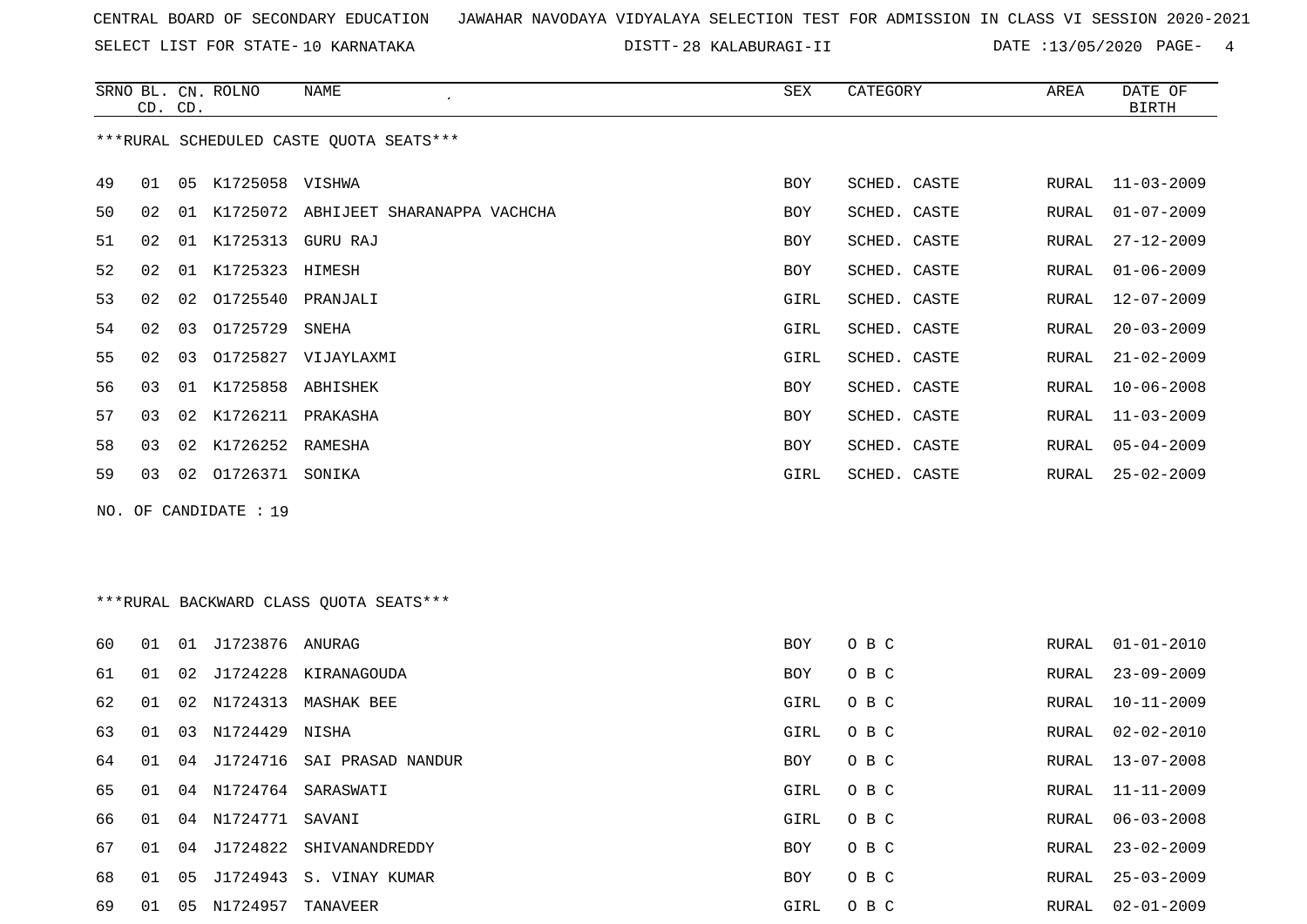SELECT LIST FOR STATE- DISTT- 10 KARNATAKA

28 KALABURAGI-II DATE :13/05/2020 PAGE- 4

|    | CD. CD. |    | SRNO BL. CN. ROLNO    | NAME                                    | SEX        | CATEGORY     | AREA  | DATE OF<br>BIRTH |
|----|---------|----|-----------------------|-----------------------------------------|------------|--------------|-------|------------------|
|    |         |    |                       | ***RURAL SCHEDULED CASTE QUOTA SEATS*** |            |              |       |                  |
| 49 | 01      | 05 | K1725058 VISHWA       |                                         | <b>BOY</b> | SCHED. CASTE | RURAL | $11 - 03 - 2009$ |
| 50 | 02      | 01 |                       | K1725072 ABHIJEET SHARANAPPA VACHCHA    | <b>BOY</b> | SCHED. CASTE | RURAL | $01 - 07 - 2009$ |
| 51 | 02      |    | 01 K1725313 GURU RAJ  |                                         | <b>BOY</b> | SCHED. CASTE | RURAL | $27 - 12 - 2009$ |
| 52 | 02      | 01 | K1725323 HIMESH       |                                         | <b>BOY</b> | SCHED. CASTE | RURAL | $01 - 06 - 2009$ |
| 53 | 02      | 02 | 01725540              | PRANJALI                                | GIRL       | SCHED. CASTE | RURAL | $12 - 07 - 2009$ |
| 54 | 02      | 03 | 01725729              | SNEHA                                   | GIRL       | SCHED. CASTE | RURAL | $20 - 03 - 2009$ |
| 55 | 02      | 03 | 01725827              | VIJAYLAXMI                              | GIRL       | SCHED. CASTE | RURAL | $21 - 02 - 2009$ |
| 56 | 03      | 01 | K1725858              | ABHISHEK                                | <b>BOY</b> | SCHED. CASTE | RURAL | $10 - 06 - 2008$ |
| 57 | 03      | 02 | K1726211              | PRAKASHA                                | <b>BOY</b> | SCHED. CASTE | RURAL | $11 - 03 - 2009$ |
| 58 | 03      | 02 | K1726252 RAMESHA      |                                         | <b>BOY</b> | SCHED. CASTE | RURAL | $05 - 04 - 2009$ |
| 59 | 03      |    | 02 01726371 SONIKA    |                                         | GIRL       | SCHED. CASTE | RURAL | $25 - 02 - 2009$ |
|    |         |    | NO. OF CANDIDATE : 19 |                                         |            |              |       |                  |

# \*\*\*RURAL BACKWARD CLASS QUOTA SEATS\*\*\*

| 60 | O 1 | 01 | J1723876 ANURAG    |                            | <b>BOY</b> | O B C | RURAL | $01 - 01 - 2010$ |
|----|-----|----|--------------------|----------------------------|------------|-------|-------|------------------|
| 61 | 01  | 02 | J1724228           | KIRANAGOUDA                | BOY        | O B C | RURAL | $23 - 09 - 2009$ |
| 62 | 01  |    | 02 N1724313        | MASHAK BEE                 | GIRL       | O B C | RURAL | 10-11-2009       |
| 63 | O 1 | 03 | N1724429 NISHA     |                            | GIRL       | O B C | RURAL | 02-02-2010       |
| 64 | 01  | 04 |                    | J1724716 SAI PRASAD NANDUR | BOY        | O B C | RURAL | 13-07-2008       |
| 65 | 01  |    |                    | 04 N1724764 SARASWATI      | GIRL       | O B C |       | RURAL 11-11-2009 |
| 66 | 01  |    | 04 N1724771 SAVANI |                            | GIRL       | O B C | RURAL | 06-03-2008       |
| 67 | 01  | 04 |                    | J1724822 SHIVANANDREDDY    | BOY        | O B C | RURAL | $23 - 02 - 2009$ |
| 68 | O 1 | 05 |                    | J1724943 S. VINAY KUMAR    | BOY        | O B C | RURAL | $25 - 03 - 2009$ |
| 69 | 01  | 05 | N1724957           | TANAVEER                   | GIRL       | O B C | RURAL | 02-01-2009       |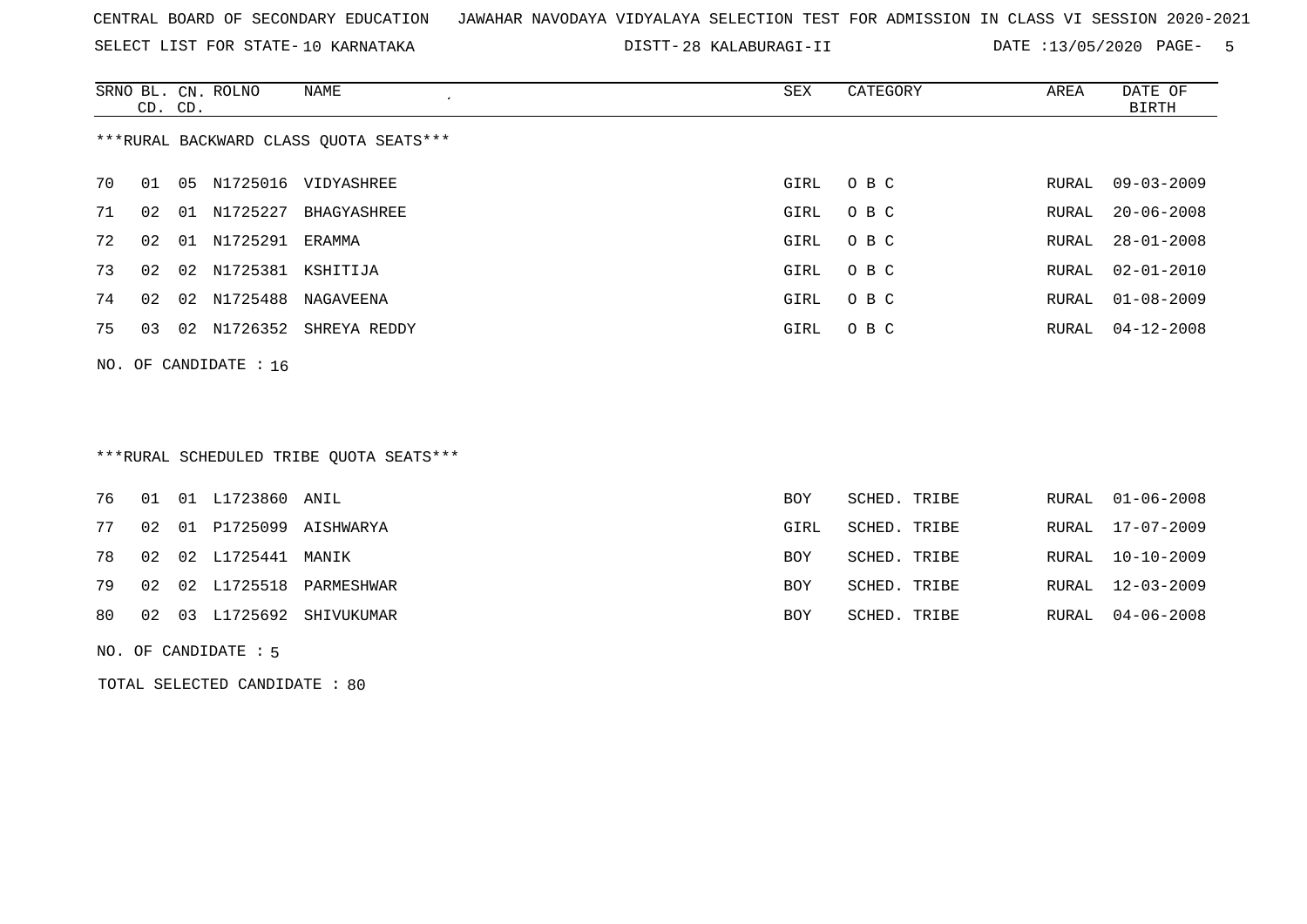SELECT LIST FOR STATE- DISTT- 10 KARNATAKA

28 KALABURAGI-II DATE :13/05/2020 PAGE- 5

|                                        | CD. CD. |    | SRNO BL. CN. ROLNO | NAME<br>$\cdot$ | SEX  | CATEGORY | AREA  | DATE OF<br>BIRTH |  |  |  |
|----------------------------------------|---------|----|--------------------|-----------------|------|----------|-------|------------------|--|--|--|
| ***RURAL BACKWARD CLASS OUOTA SEATS*** |         |    |                    |                 |      |          |       |                  |  |  |  |
| 70                                     | 01      | 05 | N1725016           | VIDYASHREE      | GIRL | O B C    | RURAL | $09 - 03 - 2009$ |  |  |  |
| 71                                     | 02      | 01 | N1725227           | BHAGYASHREE     | GIRL | O B C    | RURAL | $20 - 06 - 2008$ |  |  |  |
| 72                                     | 02      | 01 | N1725291           | ERAMMA          | GIRL | O B C    | RURAL | $28 - 01 - 2008$ |  |  |  |
| 73                                     | 02      | 02 | N1725381           | KSHITIJA        | GIRL | O B C    | RURAL | $02 - 01 - 2010$ |  |  |  |
| 74                                     | 02      | 02 | N1725488           | NAGAVEENA       | GIRL | O B C    | RURAL | 01-08-2009       |  |  |  |
| 75                                     | 03      | 02 | N1726352           | SHREYA REDDY    | GIRL | O B C    | RURAL | $04 - 12 - 2008$ |  |  |  |
|                                        |         |    |                    |                 |      |          |       |                  |  |  |  |

\*\*\*RURAL SCHEDULED TRIBE QUOTA SEATS\*\*\*

|    |  | 76 01 01 L1723860 ANIL  |                              | BOY        | SCHED. TRIBE | RURAL 01-06-2008 |
|----|--|-------------------------|------------------------------|------------|--------------|------------------|
| 77 |  |                         | 02 01 P1725099 AISHWARYA     | GIRL       | SCHED. TRIBE | RURAL 17-07-2009 |
|    |  | 78 02 02 L1725441 MANIK |                              | <b>BOY</b> | SCHED. TRIBE | RURAL 10-10-2009 |
|    |  |                         | 79 02 02 L1725518 PARMESHWAR | <b>BOY</b> | SCHED. TRIBE | RURAL 12-03-2009 |
| 80 |  |                         | 02 03 L1725692 SHIVUKUMAR    | BOY        | SCHED. TRIBE | RURAL 04-06-2008 |
|    |  |                         |                              |            |              |                  |

NO. OF CANDIDATE : 5

NO. OF CANDIDATE : 16

TOTAL SELECTED CANDIDATE : 80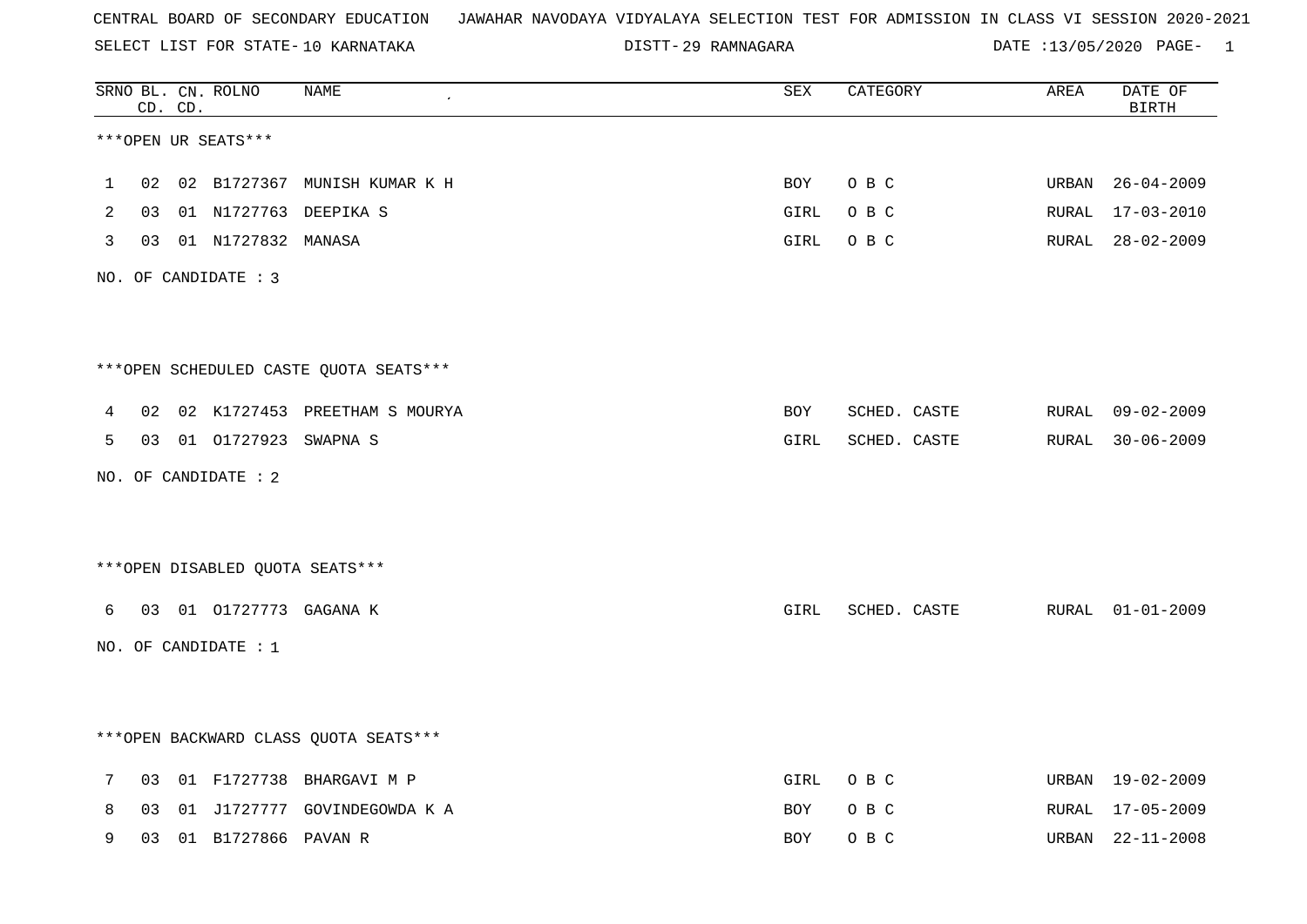SELECT LIST FOR STATE- DISTT- 10 KARNATAKA

29 RAMNAGARA DATE :13/05/2020 PAGE- 1

|   |    | CD. CD. | SRNO BL. CN. ROLNO               | NAME                                   | ${\tt SEX}$ | CATEGORY     | AREA  | DATE OF<br><b>BIRTH</b> |
|---|----|---------|----------------------------------|----------------------------------------|-------------|--------------|-------|-------------------------|
|   |    |         | ***OPEN UR SEATS***              |                                        |             |              |       |                         |
| 1 | 02 |         |                                  | 02 B1727367 MUNISH KUMAR K H           | BOY         | O B C        | URBAN | $26 - 04 - 2009$        |
| 2 |    |         |                                  | 03 01 N1727763 DEEPIKA S               | GIRL        | O B C        | RURAL | $17 - 03 - 2010$        |
| 3 |    |         | 03 01 N1727832 MANASA            |                                        | GIRL        | O B C        |       | RURAL 28-02-2009        |
|   |    |         | NO. OF CANDIDATE : 3             |                                        |             |              |       |                         |
|   |    |         |                                  |                                        |             |              |       |                         |
|   |    |         |                                  | ***OPEN SCHEDULED CASTE QUOTA SEATS*** |             |              |       |                         |
| 4 | 02 |         |                                  | 02 K1727453 PREETHAM S MOURYA          | BOY         | SCHED. CASTE | RURAL | $09 - 02 - 2009$        |
| 5 |    |         | 03 01 01727923 SWAPNA S          |                                        | GIRL        | SCHED. CASTE |       | RURAL 30-06-2009        |
|   |    |         | NO. OF CANDIDATE : 2             |                                        |             |              |       |                         |
|   |    |         |                                  |                                        |             |              |       |                         |
|   |    |         | *** OPEN DISABLED QUOTA SEATS*** |                                        |             |              |       |                         |
| 6 |    |         | 03 01 01727773 GAGANA K          |                                        | GIRL        | SCHED. CASTE |       | RURAL 01-01-2009        |
|   |    |         | NO. OF CANDIDATE : 1             |                                        |             |              |       |                         |
|   |    |         |                                  |                                        |             |              |       |                         |
|   |    |         |                                  | *** OPEN BACKWARD CLASS QUOTA SEATS*** |             |              |       |                         |
| 7 | 03 |         |                                  | 01 F1727738 BHARGAVI M P               | GIRL        | O B C        | URBAN | 19-02-2009              |
| 8 | 03 |         |                                  | 01 J1727777 GOVINDEGOWDA K A           | BOY         | O B C        | RURAL | 17-05-2009              |
| 9 | 03 |         | 01 B1727866 PAVAN R              |                                        | BOY         | O B C        | URBAN | $22 - 11 - 2008$        |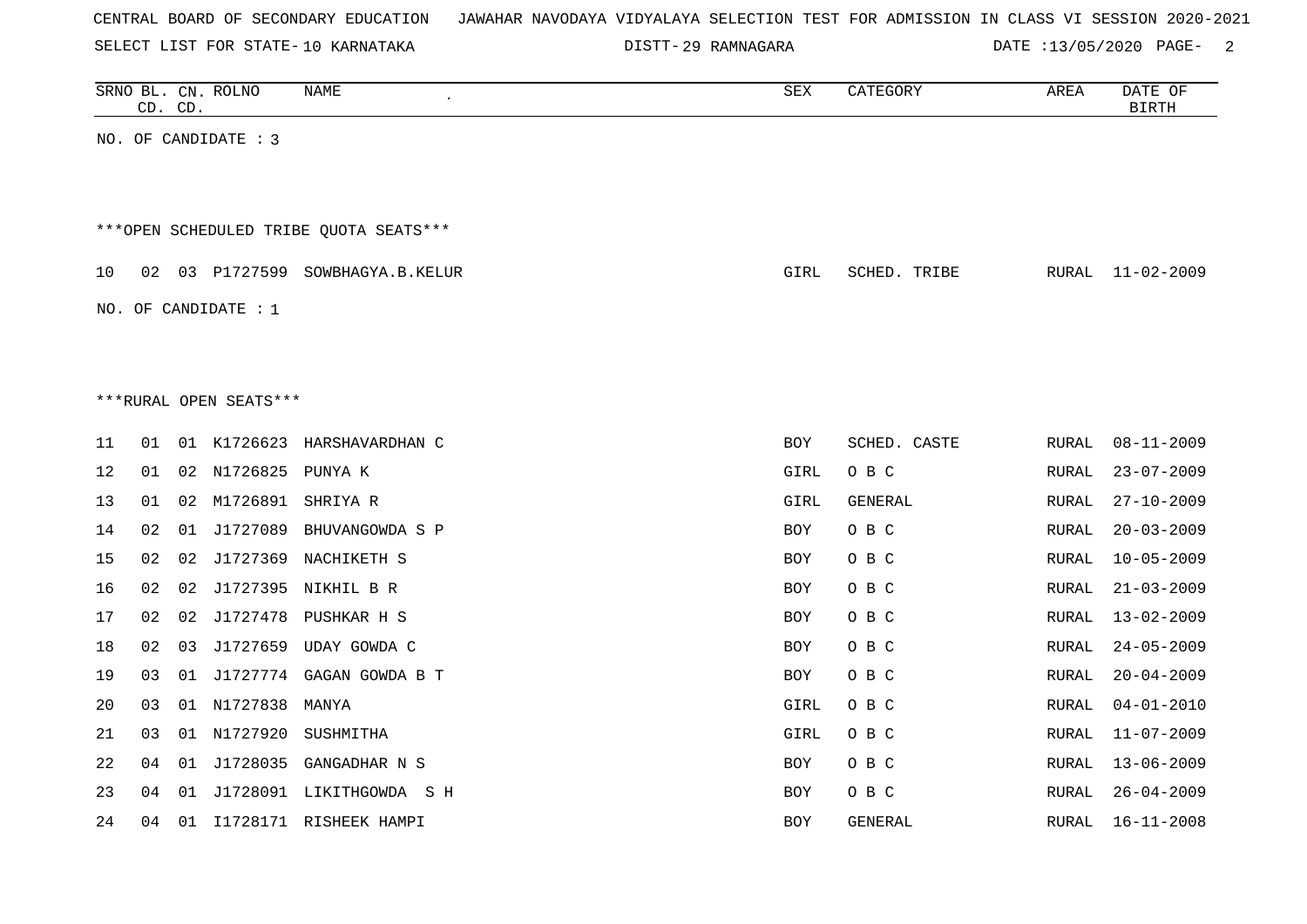| CENTRAL BOARD OF SECONDARY EDUCATION – JAWAHAR NAVODAYA VIDYALAYA SELECTION TEST FOR ADMISSION IN CLASS VI SESSION 2020-2021 |  |
|------------------------------------------------------------------------------------------------------------------------------|--|
|------------------------------------------------------------------------------------------------------------------------------|--|

DISTT-29 RAMNAGARA 2000 DATE :13/05/2020 PAGE- 2

|    | CD. CD. |    | SRNO BL. CN. ROLNO     | NAME                                    | SEX        | CATEGORY       | AREA          | DATE OF<br><b>BIRTH</b> |
|----|---------|----|------------------------|-----------------------------------------|------------|----------------|---------------|-------------------------|
|    |         |    | NO. OF CANDIDATE : 3   |                                         |            |                |               |                         |
|    |         |    |                        |                                         |            |                |               |                         |
|    |         |    |                        | *** OPEN SCHEDULED TRIBE QUOTA SEATS*** |            |                |               |                         |
| 10 | 02      |    |                        | 03 P1727599 SOWBHAGYA.B.KELUR           | GIRL       | SCHED. TRIBE   | RURAL         | $11 - 02 - 2009$        |
|    |         |    | NO. OF CANDIDATE : $1$ |                                         |            |                |               |                         |
|    |         |    |                        |                                         |            |                |               |                         |
|    |         |    |                        |                                         |            |                |               |                         |
|    |         |    | ***RURAL OPEN SEATS*** |                                         |            |                |               |                         |
| 11 | 01      |    |                        | 01 K1726623 HARSHAVARDHAN C             | <b>BOY</b> | SCHED. CASTE   | RURAL         | $08 - 11 - 2009$        |
| 12 | 01      | 02 | N1726825               | PUNYA K                                 | GIRL       | O B C          | RURAL         | $23 - 07 - 2009$        |
| 13 | 01      | 02 | M1726891               | SHRIYA R                                | GIRL       | GENERAL        | RURAL         | $27 - 10 - 2009$        |
| 14 | 02      | 01 | J1727089               | BHUVANGOWDA S P                         | BOY        | O B C          | RURAL         | $20 - 03 - 2009$        |
| 15 | 02      | 02 |                        | J1727369 NACHIKETH S                    | BOY        | O B C          | <b>RURAL</b>  | $10 - 05 - 2009$        |
| 16 | 02      | 02 |                        | J1727395 NIKHIL B R                     | <b>BOY</b> | O B C          | RURAL         | $21 - 03 - 2009$        |
| 17 | 02      | 02 |                        | J1727478 PUSHKAR H S                    | <b>BOY</b> | O B C          | RURAL         | $13 - 02 - 2009$        |
| 18 | 02      |    |                        | 03 J1727659 UDAY GOWDA C                | <b>BOY</b> | O B C          | RURAL         | $24 - 05 - 2009$        |
| 19 | 03      |    |                        | 01 J1727774 GAGAN GOWDA B T             | <b>BOY</b> | O B C          | ${\tt RURAL}$ | $20 - 04 - 2009$        |
| 20 | 03      |    | 01 N1727838            | MANYA                                   | GIRL       | O B C          | ${\tt RURAL}$ | $04 - 01 - 2010$        |
| 21 | 03      |    | 01 N1727920            | SUSHMITHA                               | GIRL       | O B C          | RURAL         | $11 - 07 - 2009$        |
| 22 | 04      | 01 | J1728035               | GANGADHAR N S                           | <b>BOY</b> | O B C          | RURAL         | $13 - 06 - 2009$        |
| 23 | 04      | 01 |                        | J1728091 LIKITHGOWDA S H                | <b>BOY</b> | O B C          | RURAL         | $26 - 04 - 2009$        |
| 24 | 04      |    |                        | 01 I1728171 RISHEEK HAMPI               | <b>BOY</b> | <b>GENERAL</b> | RURAL         | $16 - 11 - 2008$        |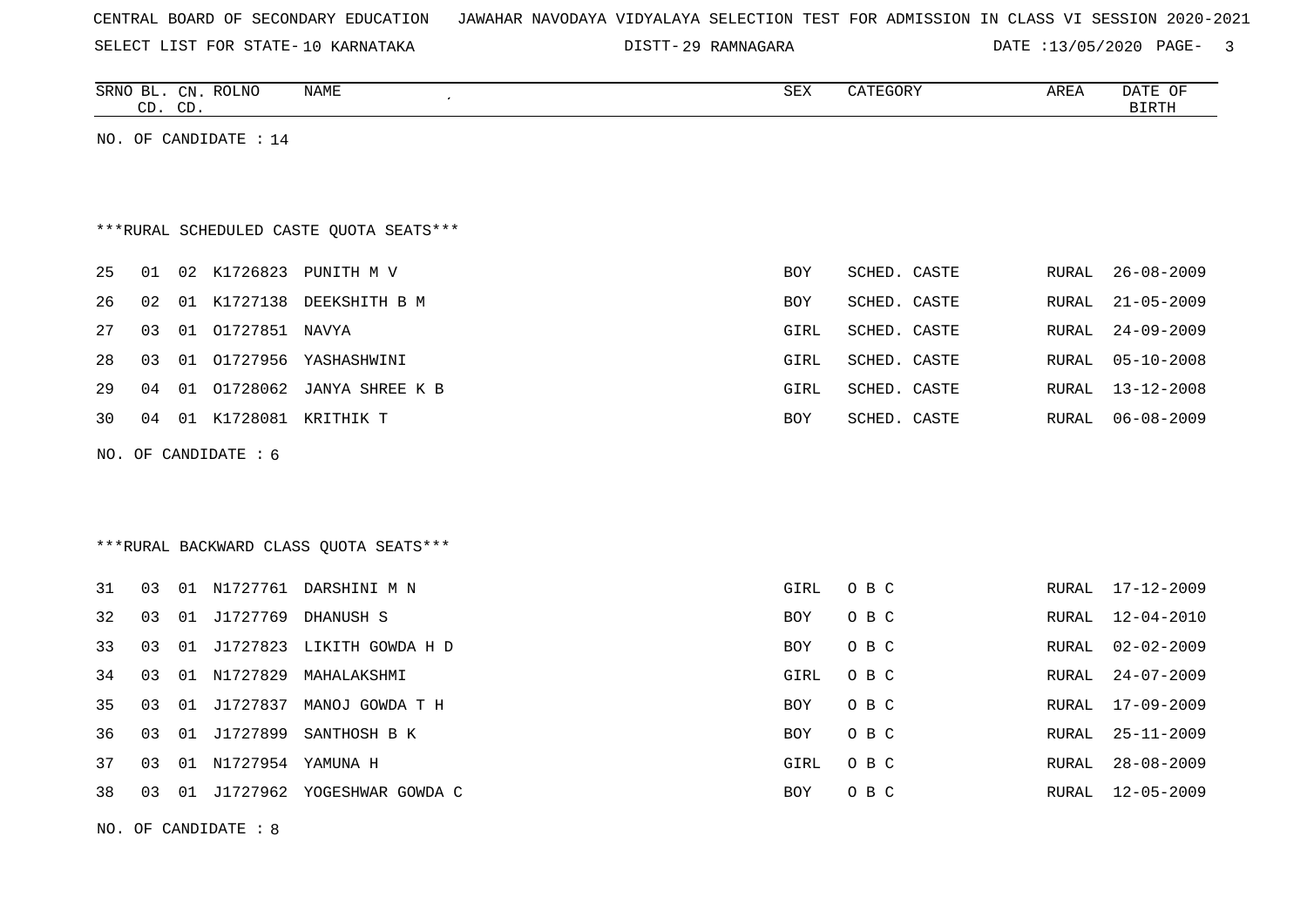|  |  |  | CENTRAL BOARD OF SECONDARY EDUCATION – JAWAHAR NAVODAYA VIDYALAYA SELECTION TEST FOR ADMISSION IN CLASS VI SESSION 2020-2021 |  |  |  |  |  |  |  |  |  |  |  |  |  |  |
|--|--|--|------------------------------------------------------------------------------------------------------------------------------|--|--|--|--|--|--|--|--|--|--|--|--|--|--|
|--|--|--|------------------------------------------------------------------------------------------------------------------------------|--|--|--|--|--|--|--|--|--|--|--|--|--|--|

DISTT-29 RAMNAGARA 2000 DATE :13/05/2020 PAGE- 3

|    | CD. CD. |    | SRNO BL. CN. ROLNO     | NAME                                     | SEX        | CATEGORY     | AREA         | DATE OF<br><b>BIRTH</b> |
|----|---------|----|------------------------|------------------------------------------|------------|--------------|--------------|-------------------------|
|    |         |    | NO. OF CANDIDATE : 14  |                                          |            |              |              |                         |
|    |         |    |                        |                                          |            |              |              |                         |
|    |         |    |                        |                                          |            |              |              |                         |
|    |         |    |                        | *** RURAL SCHEDULED CASTE QUOTA SEATS*** |            |              |              |                         |
| 25 | 01      |    |                        | 02 K1726823 PUNITH M V                   | <b>BOY</b> | SCHED. CASTE | RURAL        | $26 - 08 - 2009$        |
| 26 | 02      |    |                        | 01 K1727138 DEEKSHITH B M                | <b>BOY</b> | SCHED. CASTE | RURAL        | $21 - 05 - 2009$        |
| 27 | 03      |    | 01 01727851 NAVYA      |                                          | GIRL       | SCHED. CASTE | RURAL        | $24 - 09 - 2009$        |
| 28 | 03      |    |                        | 01 01727956 YASHASHWINI                  | GIRL       | SCHED. CASTE | <b>RURAL</b> | $05 - 10 - 2008$        |
| 29 | 04      |    |                        | 01 01728062 JANYA SHREE K B              | GIRL       | SCHED. CASTE | RURAL        | $13 - 12 - 2008$        |
| 30 | 04      |    |                        | 01 K1728081 KRITHIK T                    | <b>BOY</b> | SCHED. CASTE | RURAL        | $06 - 08 - 2009$        |
|    |         |    | NO. OF CANDIDATE $: 6$ |                                          |            |              |              |                         |
|    |         |    |                        |                                          |            |              |              |                         |
|    |         |    |                        |                                          |            |              |              |                         |
|    |         |    |                        | ***RURAL BACKWARD CLASS OUOTA SEATS***   |            |              |              |                         |
| 31 | 03      |    |                        | 01 N1727761 DARSHINI M N                 | GIRL       | O B C        | RURAL        | 17-12-2009              |
| 32 | 03      |    |                        | 01 J1727769 DHANUSH S                    | <b>BOY</b> | O B C        | RURAL        | $12 - 04 - 2010$        |
| 33 | 03      |    |                        | 01 J1727823 LIKITH GOWDA H D             | <b>BOY</b> | O B C        | RURAL        | $02 - 02 - 2009$        |
| 34 | 03      |    |                        | 01 N1727829 MAHALAKSHMI                  | GIRL       | O B C        | RURAL        | $24 - 07 - 2009$        |
| 35 | 03      | 01 | J1727837               | MANOJ GOWDA T H                          | <b>BOY</b> | O B C        | RURAL        | $17 - 09 - 2009$        |
| 36 | 03      |    |                        | 01 J1727899 SANTHOSH B K                 | <b>BOY</b> | O B C        | RURAL        | $25 - 11 - 2009$        |
| 37 | 03      |    | 01 N1727954 YAMUNA H   |                                          | GIRL       | O B C        | RURAL        | $28 - 08 - 2009$        |
| 38 | 03      |    |                        | 01 J1727962 YOGESHWAR GOWDA C            | <b>BOY</b> | O B C        | RURAL        | $12 - 05 - 2009$        |

NO. OF CANDIDATE : 8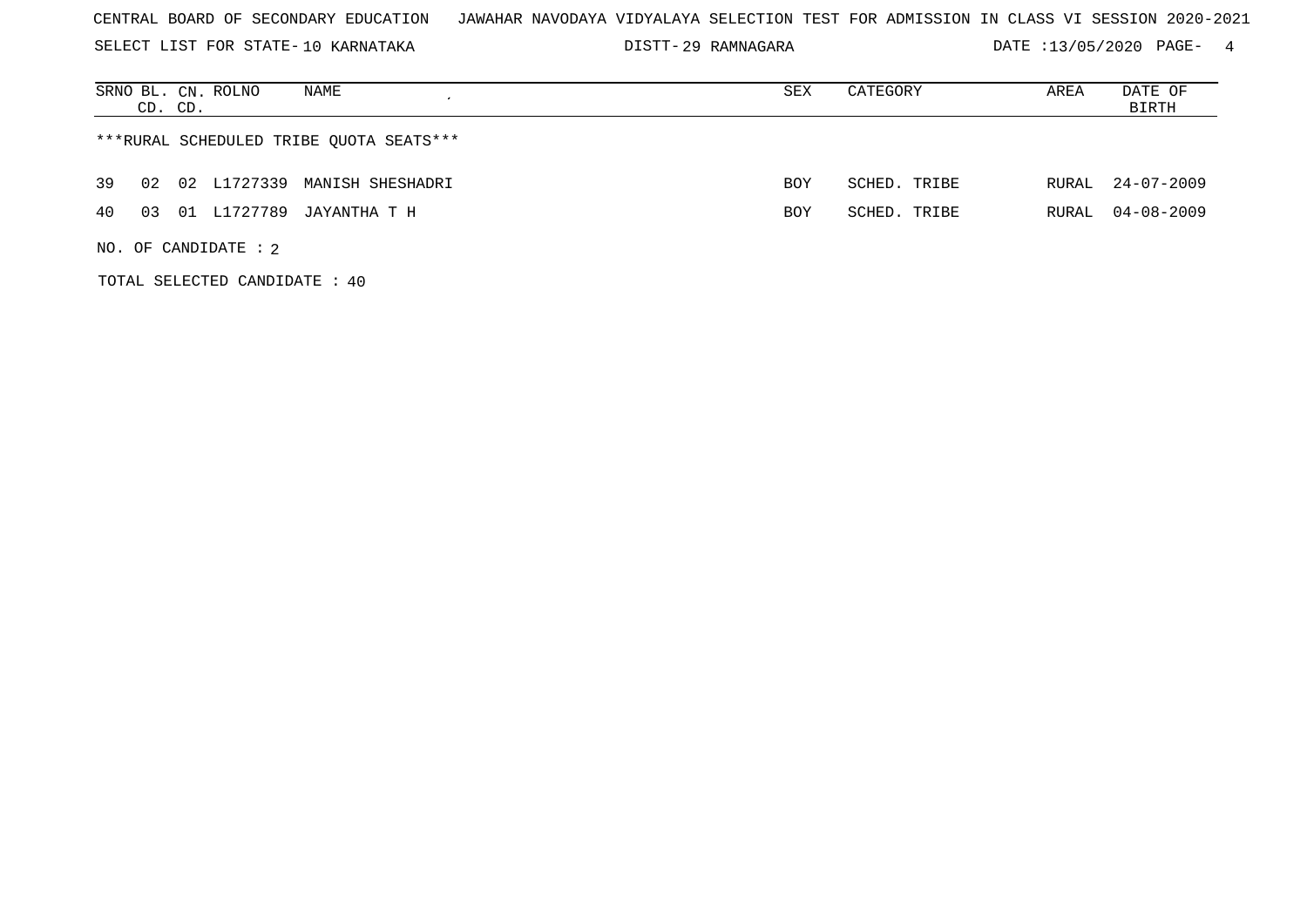SELECT LIST FOR STATE- DISTT- 10 KARNATAKA

TOTAL SELECTED CANDIDATE : 40

29 RAMNAGARA DATE :13/05/2020 PAGE- 4

|          | NAME<br>SRNO BL. CN. ROLNO<br>CD. CD.   | SEX | CATEGORY     | AREA  | DATE OF<br>BIRTH |
|----------|-----------------------------------------|-----|--------------|-------|------------------|
|          | ***RURAL SCHEDULED TRIBE QUOTA SEATS*** |     |              |       |                  |
| 39<br>02 | 02 L1727339 MANISH SHESHADRI            | BOY | SCHED. TRIBE | RURAL | 24-07-2009       |
| 40<br>03 | 01 L1727789<br>JAYANTHA T H             | BOY | SCHED. TRIBE | RURAL | 04-08-2009       |
|          | NO. OF CANDIDATE : $2$                  |     |              |       |                  |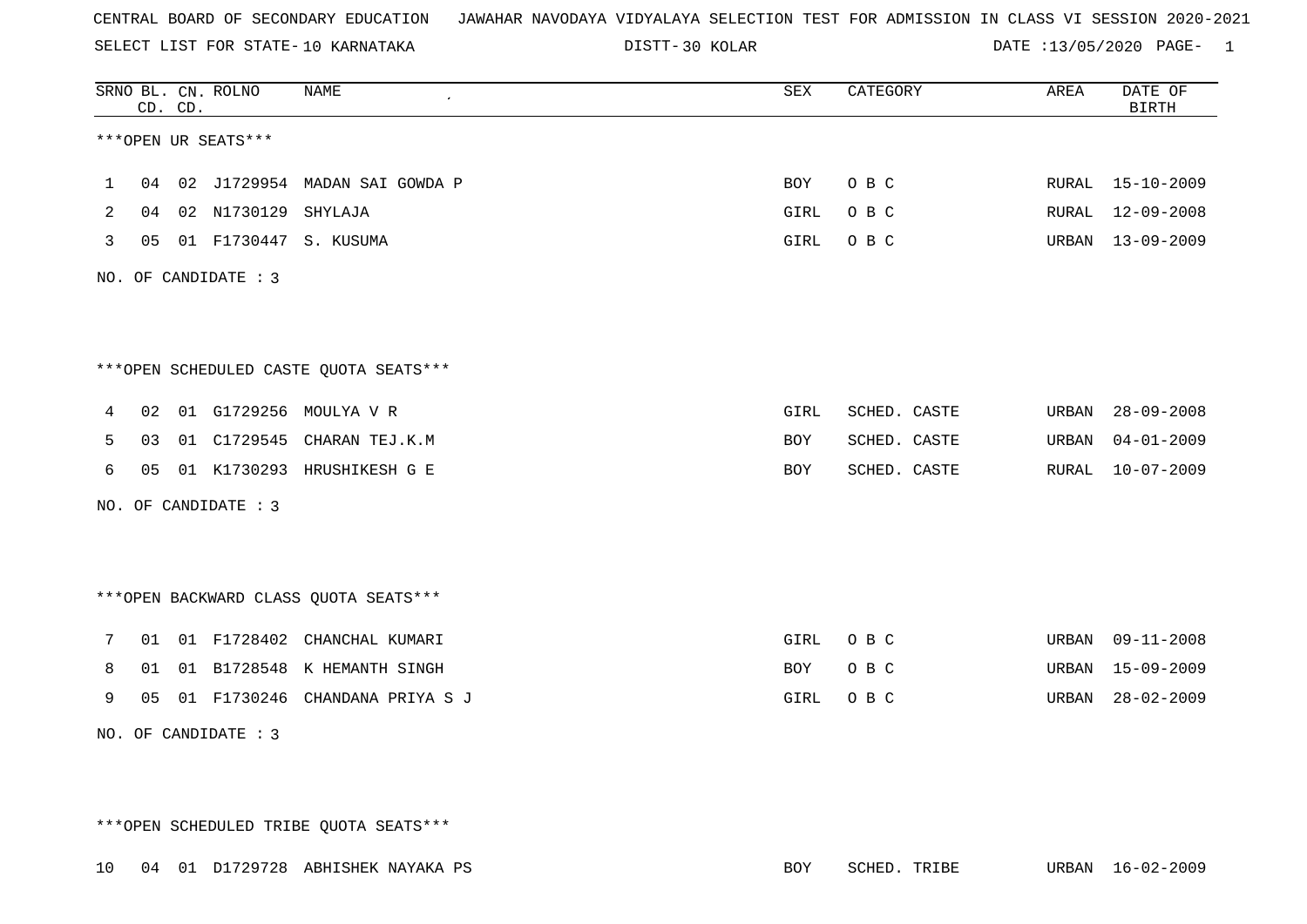SELECT LIST FOR STATE- DISTT- 10 KARNATAKA

30 KOLAR DATE :13/05/2020 PAGE- 1

|   |    | CD. CD. | SRNO BL. CN. ROLNO   | <b>NAME</b>                            | <b>SEX</b> | CATEGORY     | AREA  | DATE OF<br>BIRTH |
|---|----|---------|----------------------|----------------------------------------|------------|--------------|-------|------------------|
|   |    |         | ***OPEN UR SEATS***  |                                        |            |              |       |                  |
| 1 |    |         |                      | 04 02 J1729954 MADAN SAI GOWDA P       | BOY        | O B C        |       | RURAL 15-10-2009 |
| 2 | 04 |         | 02 N1730129 SHYLAJA  |                                        | GIRL       | O B C        | RURAL | $12 - 09 - 2008$ |
| 3 |    |         |                      | 05 01 F1730447 S. KUSUMA               | GIRL       | O B C        | URBAN | $13 - 09 - 2009$ |
|   |    |         | NO. OF CANDIDATE : 3 |                                        |            |              |       |                  |
|   |    |         |                      |                                        |            |              |       |                  |
|   |    |         |                      | ***OPEN SCHEDULED CASTE QUOTA SEATS*** |            |              |       |                  |
| 4 | 02 |         |                      | 01 G1729256 MOULYA V R                 | GIRL       | SCHED. CASTE | URBAN | $28 - 09 - 2008$ |
| 5 | 03 |         |                      | 01 C1729545 CHARAN TEJ.K.M             | BOY        | SCHED. CASTE | URBAN | $04 - 01 - 2009$ |
| 6 | 05 |         |                      | 01 K1730293 HRUSHIKESH G E             | <b>BOY</b> | SCHED. CASTE | RURAL | $10 - 07 - 2009$ |
|   |    |         | NO. OF CANDIDATE : 3 |                                        |            |              |       |                  |
|   |    |         |                      |                                        |            |              |       |                  |
|   |    |         |                      | *** OPEN BACKWARD CLASS QUOTA SEATS*** |            |              |       |                  |
| 7 |    |         |                      | 01 01 F1728402 CHANCHAL KUMARI         | GIRL       | O B C        | URBAN | $09 - 11 - 2008$ |
| 8 | 01 |         |                      | 01 B1728548 K HEMANTH SINGH            | BOY        | O B C        | URBAN | $15 - 09 - 2009$ |
| 9 | 05 |         |                      | 01 F1730246 CHANDANA PRIYA S J         | GIRL       | O B C        | URBAN | $28 - 02 - 2009$ |
|   |    |         | NO. OF CANDIDATE : 3 |                                        |            |              |       |                  |

\*\*\*OPEN SCHEDULED TRIBE QUOTA SEATS\*\*\*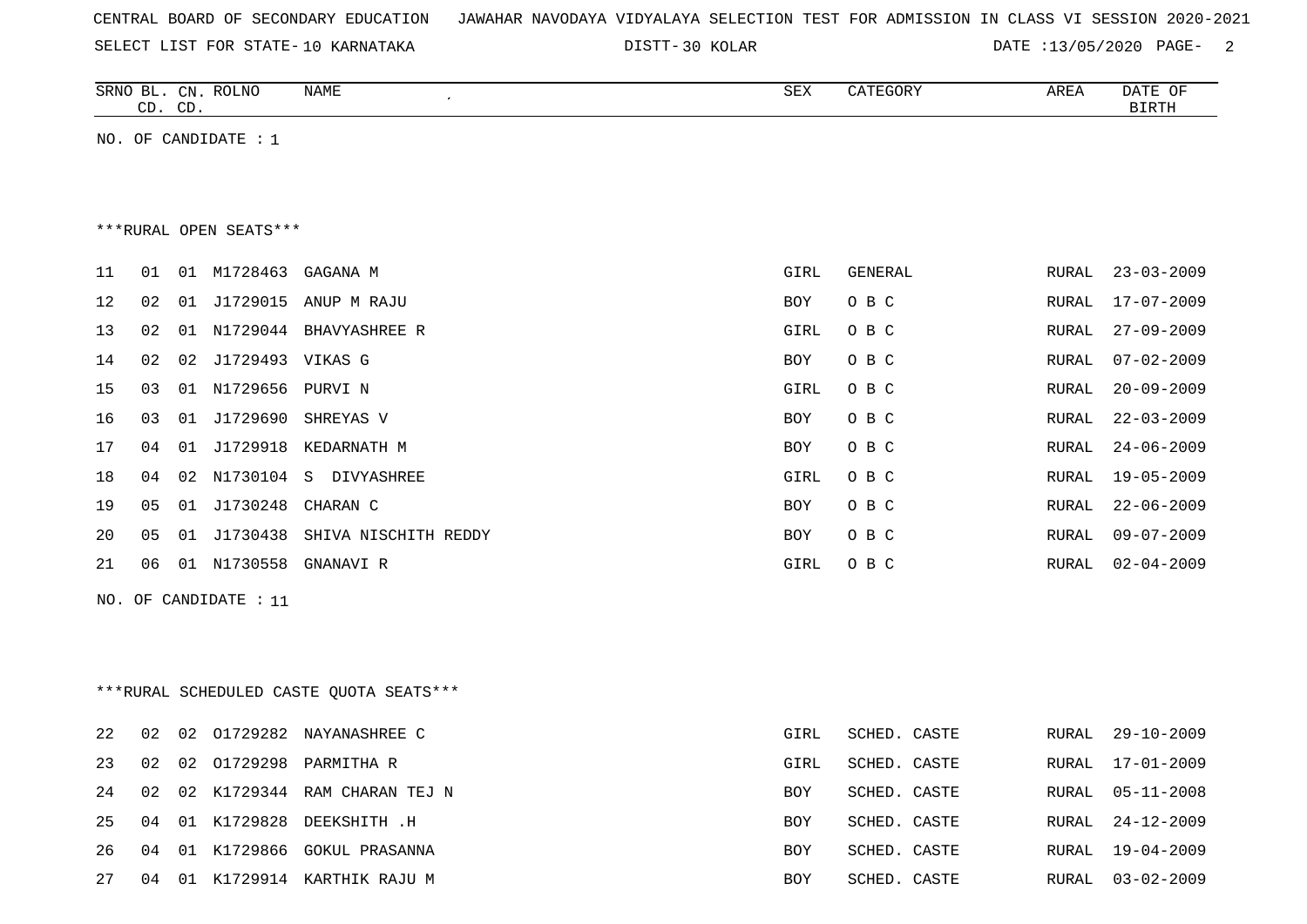| CENTRAL BOARD OF SECONDARY EDUCATION – JAWAHAR NAVODAYA VIDYALAYA SELECTION TEST FOR ADMISSION IN CLASS VI SESSION 2020-2021 |  |
|------------------------------------------------------------------------------------------------------------------------------|--|
|------------------------------------------------------------------------------------------------------------------------------|--|

30 KOLAR DATE :13/05/2020 PAGE- 2

| SRNO<br>вг.         | $CN$ .      | <b>ROLNO</b> | <b>NAME</b> | <b>OEV</b><br>コロマ | 17 meganiz<br>GOK) | AREA | DATE<br>ΟF |
|---------------------|-------------|--------------|-------------|-------------------|--------------------|------|------------|
| $\sim$ $\sim$<br>ىت | $\cap$<br>ັ |              |             |                   |                    |      | $\Gamma$   |

NO. OF CANDIDATE : 1

\*\*\*RURAL OPEN SEATS\*\*\*

| 11 | 01 | 01 | M1728463         | GAGANA M             | GIRL       | GENERAL | RURAL | $23 - 03 - 2009$ |
|----|----|----|------------------|----------------------|------------|---------|-------|------------------|
| 12 | 02 | 01 | J1729015         | ANUP M RAJU          | BOY        | O B C   | RURAL | 17-07-2009       |
| 13 | 02 | 01 | N1729044         | BHAVYASHREE R        | GIRL       | O B C   | RURAL | $27 - 09 - 2009$ |
| 14 | 02 | 02 | J1729493 VIKAS G |                      | <b>BOY</b> | O B C   | RURAL | 07-02-2009       |
| 15 | 03 | 01 | N1729656         | PURVI N              | GIRL       | O B C   | RURAL | $20 - 09 - 2009$ |
| 16 | 03 | 01 | J1729690         | SHREYAS V            | BOY        | O B C   | RURAL | $22 - 03 - 2009$ |
| 17 | 04 | 01 | J1729918         | KEDARNATH M          | BOY        | O B C   | RURAL | $24 - 06 - 2009$ |
| 18 | 04 | 02 | N1730104         | S<br>DIVYASHREE      | GIRL       | O B C   | RURAL | $19 - 05 - 2009$ |
| 19 | 05 | 01 | J1730248         | CHARAN C             | BOY        | O B C   | RURAL | 22-06-2009       |
| 20 | 05 | 01 | J1730438         | SHIVA NISCHITH REDDY | <b>BOY</b> | O B C   | RURAL | $09 - 07 - 2009$ |
| 21 | 06 | 01 | N1730558         | GNANAVI R            | GIRL       | O B C   | RURAL | 02-04-2009       |
|    |    |    |                  |                      |            |         |       |                  |

NO. OF CANDIDATE : 11

|        |    |    |             | ***RURAL SCHEDULED CASTE OUOTA SEATS*** |            |              |       |                  |
|--------|----|----|-------------|-----------------------------------------|------------|--------------|-------|------------------|
| 2.2    | 02 | 02 | 01729282    | NAYANASHREE C                           | GIRL       | SCHED. CASTE | RURAL | 29-10-2009       |
| 23     | 02 | 02 | 01729298    | PARMITHA R                              | GIRL       | SCHED. CASTE | RURAL | 17-01-2009       |
| 24     | 02 |    | 02 K1729344 | RAM CHARAN TEJ N                        | BOY        | SCHED. CASTE |       | RURAL 05-11-2008 |
| 25     | 04 | 01 | K1729828    | DEEKSHITH .H                            | <b>BOY</b> | SCHED. CASTE |       | RURAL 24-12-2009 |
| $26 -$ | 04 | 01 | K1729866    | GOKUL PRASANNA                          | BOY        | SCHED. CASTE | RURAL | 19-04-2009       |
| 27     | 04 | 01 | K1729914    | KARTHIK RAJU M                          | <b>BOY</b> | SCHED. CASTE | RURAL | $03 - 02 - 2009$ |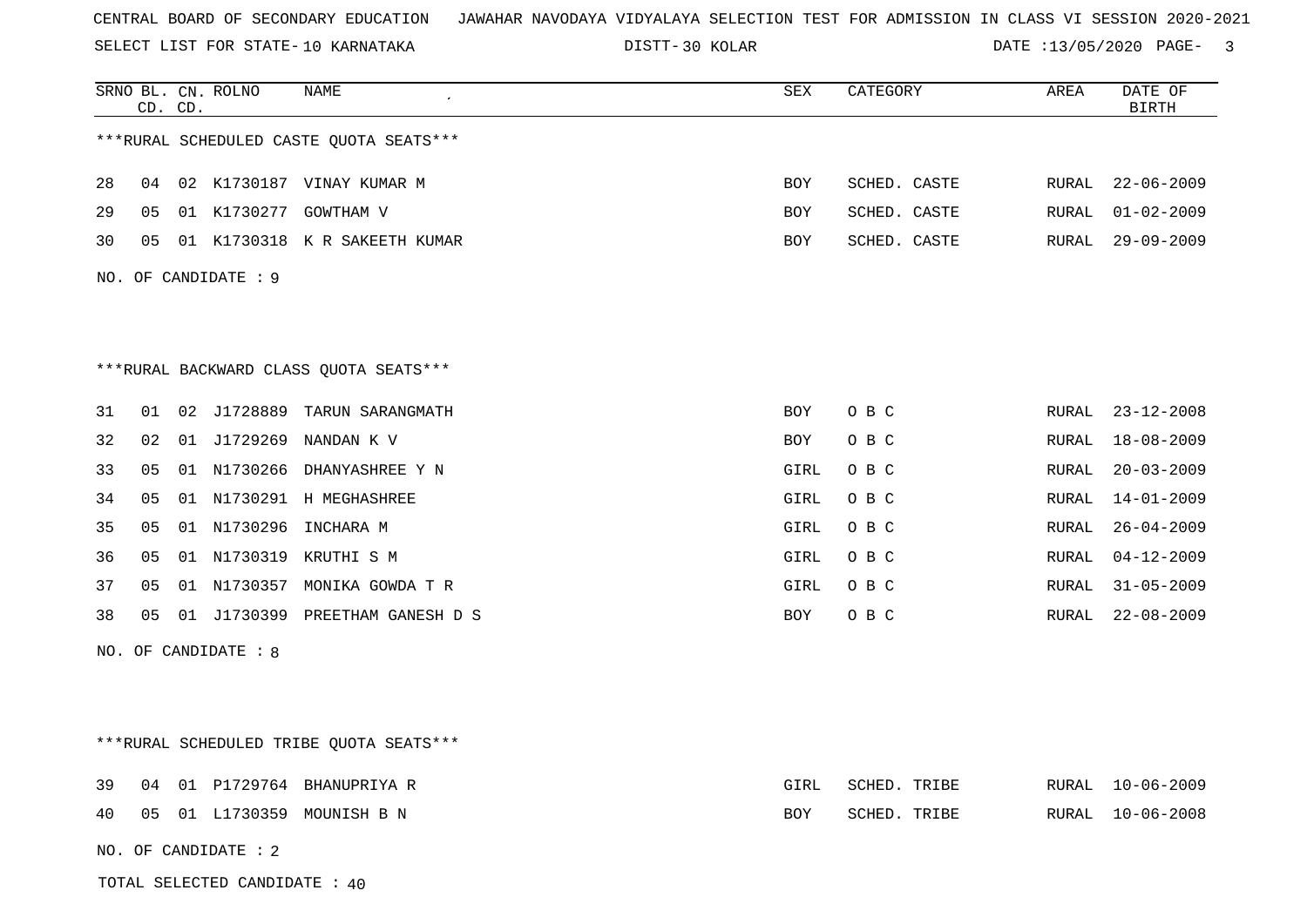SELECT LIST FOR STATE- DISTT- 10 KARNATAKA

TOTAL SELECTED CANDIDATE : 40

30 KOLAR DATE :13/05/2020 PAGE- 3

|    |    | CD. CD. | SRNO BL. CN. ROLNO   | NAME                                    | SEX        | CATEGORY     | AREA  | DATE OF<br><b>BIRTH</b> |
|----|----|---------|----------------------|-----------------------------------------|------------|--------------|-------|-------------------------|
|    |    |         |                      | ***RURAL SCHEDULED CASTE QUOTA SEATS*** |            |              |       |                         |
| 28 | 04 |         |                      | 02 K1730187 VINAY KUMAR M               | BOY        | SCHED. CASTE | RURAL | $22 - 06 - 2009$        |
| 29 | 05 |         |                      | 01 K1730277 GOWTHAM V                   | <b>BOY</b> | SCHED. CASTE | RURAL | $01 - 02 - 2009$        |
| 30 | 05 |         |                      | 01 K1730318 K R SAKEETH KUMAR           | BOY        | SCHED. CASTE | RURAL | $29 - 09 - 2009$        |
|    |    |         | NO. OF CANDIDATE : 9 |                                         |            |              |       |                         |
|    |    |         |                      |                                         |            |              |       |                         |
|    |    |         |                      |                                         |            |              |       |                         |
|    |    |         |                      | *** RURAL BACKWARD CLASS QUOTA SEATS*** |            |              |       |                         |
| 31 | 01 |         |                      | 02 J1728889 TARUN SARANGMATH            | BOY        | O B C        | RURAL | $23 - 12 - 2008$        |
| 32 | 02 |         |                      | 01 J1729269 NANDAN K V                  | BOY        | O B C        | RURAL | $18 - 08 - 2009$        |
| 33 | 05 |         |                      | 01 N1730266 DHANYASHREE Y N             | GIRL       | O B C        | RURAL | $20 - 03 - 2009$        |
| 34 | 05 |         |                      | 01 N1730291 H MEGHASHREE                | GIRL       | O B C        | RURAL | $14 - 01 - 2009$        |
| 35 | 05 |         |                      | 01 N1730296 INCHARA M                   | GIRL       | O B C        | RURAL | $26 - 04 - 2009$        |
| 36 | 05 |         |                      | 01 N1730319 KRUTHI S M                  | GIRL       | O B C        | RURAL | $04 - 12 - 2009$        |
| 37 | 05 |         |                      | 01 N1730357 MONIKA GOWDA T R            | GIRL       | O B C        | RURAL | $31 - 05 - 2009$        |
| 38 | 05 |         |                      | 01 J1730399 PREETHAM GANESH D S         | BOY        | O B C        | RURAL | $22 - 08 - 2009$        |
|    |    |         | NO. OF CANDIDATE : 8 |                                         |            |              |       |                         |
|    |    |         |                      |                                         |            |              |       |                         |
|    |    |         |                      |                                         |            |              |       |                         |
|    |    |         |                      | ***RURAL SCHEDULED TRIBE QUOTA SEATS*** |            |              |       |                         |
| 39 | 04 |         |                      | 01 P1729764 BHANUPRIYA R                | GIRL       | SCHED. TRIBE | RURAL | 10-06-2009              |
| 40 | 05 |         |                      | 01 L1730359 MOUNISH B N                 | BOY        | SCHED. TRIBE | RURAL | 10-06-2008              |
|    |    |         | NO. OF CANDIDATE : 2 |                                         |            |              |       |                         |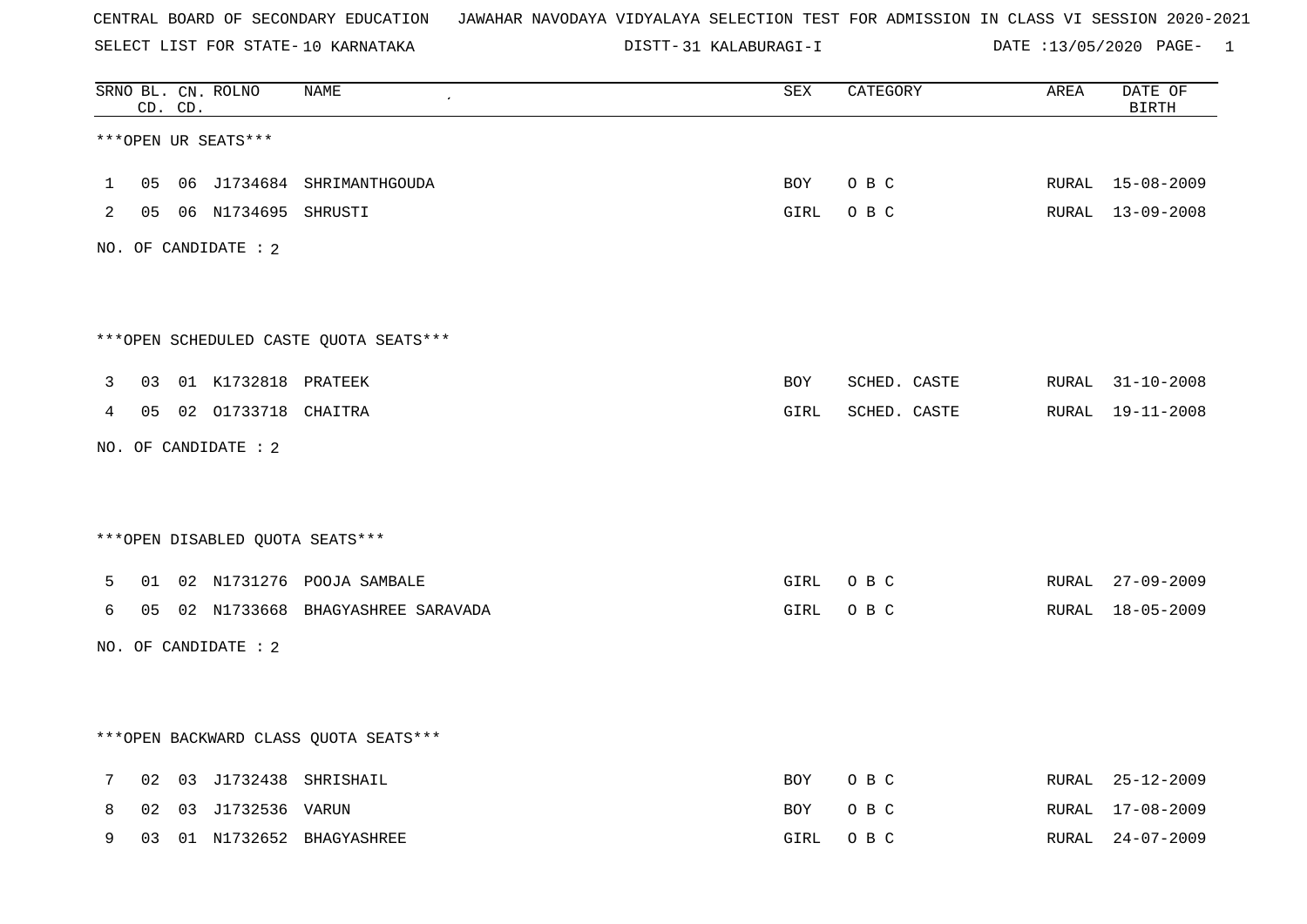SELECT LIST FOR STATE- DISTT- 10 KARNATAKA

31 KALABURAGI-I DATE :13/05/2020 PAGE- 1

|              |    | CD. CD. | SRNO BL. CN. ROLNO        | NAME                                   | ${\tt SEX}$ | CATEGORY     | AREA  | DATE OF<br><b>BIRTH</b> |
|--------------|----|---------|---------------------------|----------------------------------------|-------------|--------------|-------|-------------------------|
|              |    |         | ***OPEN UR SEATS***       |                                        |             |              |       |                         |
| $\mathbf{1}$ | 05 |         |                           | 06 J1734684 SHRIMANTHGOUDA             | BOY         | O B C        |       | RURAL 15-08-2009        |
| 2            |    |         | 05  06  N1734695  SHRUSTI |                                        | GIRL        | O B C        |       | RURAL 13-09-2008        |
|              |    |         | NO. OF CANDIDATE : 2      |                                        |             |              |       |                         |
|              |    |         |                           |                                        |             |              |       |                         |
|              |    |         |                           | ***OPEN SCHEDULED CASTE QUOTA SEATS*** |             |              |       |                         |
| 3            | 03 |         | 01 K1732818 PRATEEK       |                                        | BOY         | SCHED. CASTE |       | RURAL 31-10-2008        |
| 4            |    |         | 05 02 01733718 CHAITRA    |                                        | GIRL        | SCHED. CASTE | RURAL | 19-11-2008              |
|              |    |         | NO. OF CANDIDATE : 2      |                                        |             |              |       |                         |
|              |    |         |                           |                                        |             |              |       |                         |
|              |    |         |                           | *** OPEN DISABLED QUOTA SEATS***       |             |              |       |                         |
| 5            | 01 |         |                           | 02 N1731276 POOJA SAMBALE              | GIRL        | O B C        | RURAL | $27 - 09 - 2009$        |
| 6            |    |         |                           | 05 02 N1733668 BHAGYASHREE SARAVADA    | GIRL        | O B C        | RURAL | $18 - 05 - 2009$        |
|              |    |         | NO. OF CANDIDATE : 2      |                                        |             |              |       |                         |
|              |    |         |                           |                                        |             |              |       |                         |
|              |    |         |                           | *** OPEN BACKWARD CLASS QUOTA SEATS*** |             |              |       |                         |
| 7            | 02 |         |                           | 03 J1732438 SHRISHAIL                  | BOY         | O B C        |       | RURAL 25-12-2009        |
| 8            | 02 |         | 03 J1732536 VARUN         |                                        | BOY         | O B C        | RURAL | $17 - 08 - 2009$        |
| 9            |    |         |                           | 03 01 N1732652 RHAGYASHREE             |             | GTRI ORC     |       | RURAL 24-07-2009        |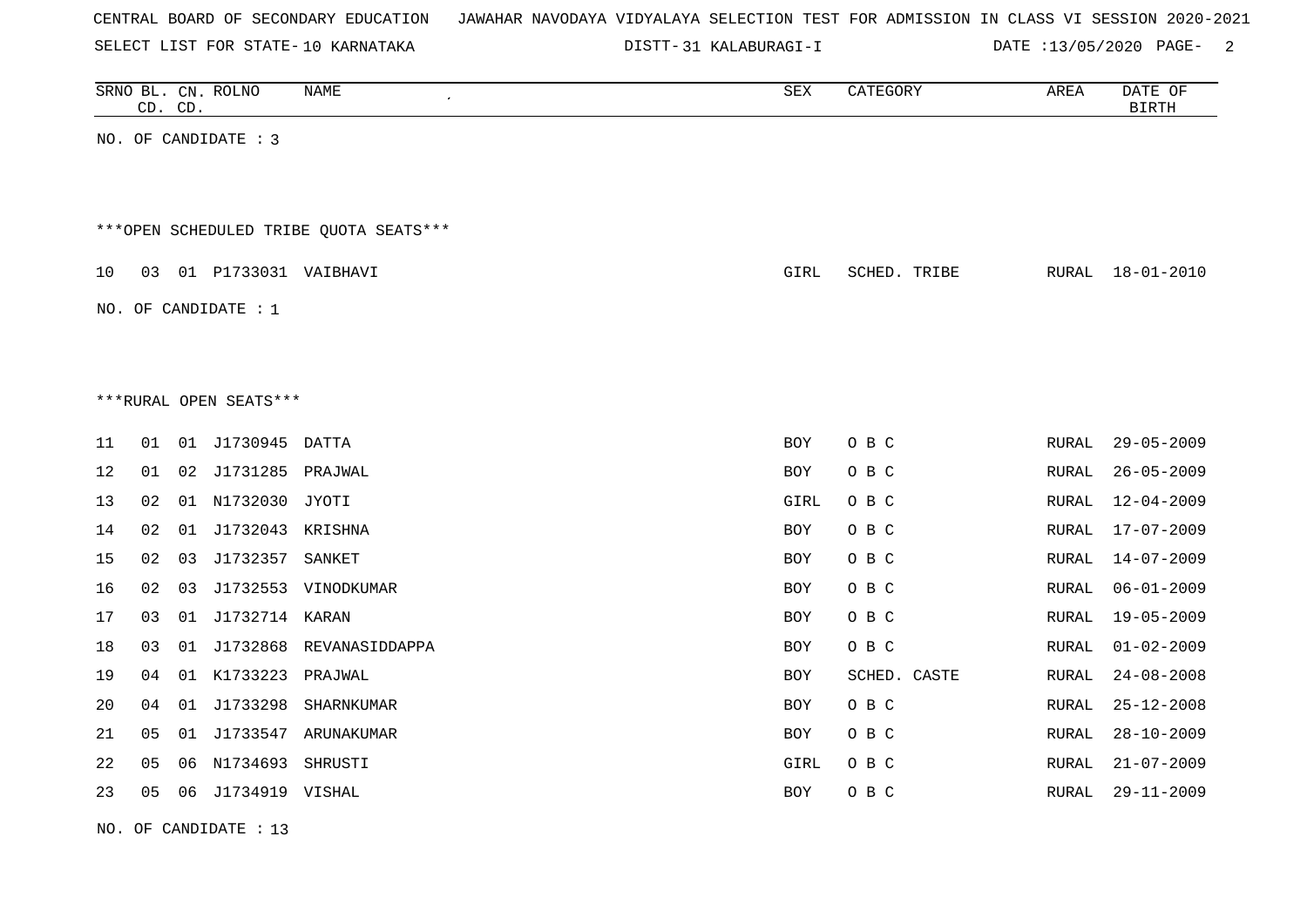| CENTRAL BOARD OF SECONDARY EDUCATION – JAWAHAR NAVODAYA VIDYALAYA SELECTION TEST FOR ADMISSION IN CLASS VI SESSION 2020-2021 |  |
|------------------------------------------------------------------------------------------------------------------------------|--|
|------------------------------------------------------------------------------------------------------------------------------|--|

31 KALABURAGI-I DATE :13/05/2020 PAGE- 2

|    |    | CD. CD. | SRNO BL. CN. ROLNO         | <b>NAME</b><br>$\pmb{\cdot}$           | ${\tt SEX}$ | CATEGORY     | ${\tt AREA}$ | DATE OF<br><b>BIRTH</b> |
|----|----|---------|----------------------------|----------------------------------------|-------------|--------------|--------------|-------------------------|
|    |    |         | NO. OF CANDIDATE : 3       |                                        |             |              |              |                         |
|    |    |         |                            |                                        |             |              |              |                         |
|    |    |         |                            | ***OPEN SCHEDULED TRIBE QUOTA SEATS*** |             |              |              |                         |
| 10 |    |         | 03  01  P1733031  VAIBHAVI |                                        | GIRL        | SCHED. TRIBE | RURAL        | 18-01-2010              |
|    |    |         | NO. OF CANDIDATE : $1$     |                                        |             |              |              |                         |
|    |    |         |                            |                                        |             |              |              |                         |
|    |    |         |                            |                                        |             |              |              |                         |
|    |    |         | ***RURAL OPEN SEATS***     |                                        |             |              |              |                         |
| 11 | 01 |         | 01 J1730945 DATTA          |                                        | BOY         | O B C        | RURAL        | $29 - 05 - 2009$        |
| 12 | 01 | 02      | J1731285 PRAJWAL           |                                        | BOY         | O B C        | RURAL        | $26 - 05 - 2009$        |
| 13 | 02 |         | 01 N1732030 JYOTI          |                                        | GIRL        | O B C        | RURAL        | $12 - 04 - 2009$        |
| 14 | 02 | 01      | J1732043 KRISHNA           |                                        | BOY         | O B C        | <b>RURAL</b> | $17 - 07 - 2009$        |
| 15 | 02 | 03      | J1732357 SANKET            |                                        | BOY         | O B C        | RURAL        | $14 - 07 - 2009$        |
| 16 | 02 | 03      |                            | J1732553 VINODKUMAR                    | BOY         | O B C        | <b>RURAL</b> | $06 - 01 - 2009$        |
| 17 | 03 | 01      | J1732714 KARAN             |                                        | BOY         | O B C        | <b>RURAL</b> | $19 - 05 - 2009$        |
| 18 | 03 | 01      | J1732868                   | REVANASIDDAPPA                         | BOY         | O B C        | <b>RURAL</b> | $01 - 02 - 2009$        |
| 19 | 04 |         | 01 K1733223                | PRAJWAL                                | BOY         | SCHED. CASTE | RURAL        | $24 - 08 - 2008$        |
| 20 | 04 | 01      | J1733298                   | SHARNKUMAR                             | BOY         | O B C        | <b>RURAL</b> | $25 - 12 - 2008$        |
| 21 | 05 |         |                            | 01 J1733547 ARUNAKUMAR                 | BOY         | O B C        | RURAL        | $28 - 10 - 2009$        |
| 22 | 05 | 06      | N1734693                   | SHRUSTI                                | GIRL        | O B C        | RURAL        | $21 - 07 - 2009$        |
| 23 | 05 |         | 06 J1734919 VISHAL         |                                        | BOY         | O B C        | RURAL        | $29 - 11 - 2009$        |
|    |    |         |                            |                                        |             |              |              |                         |

NO. OF CANDIDATE : 13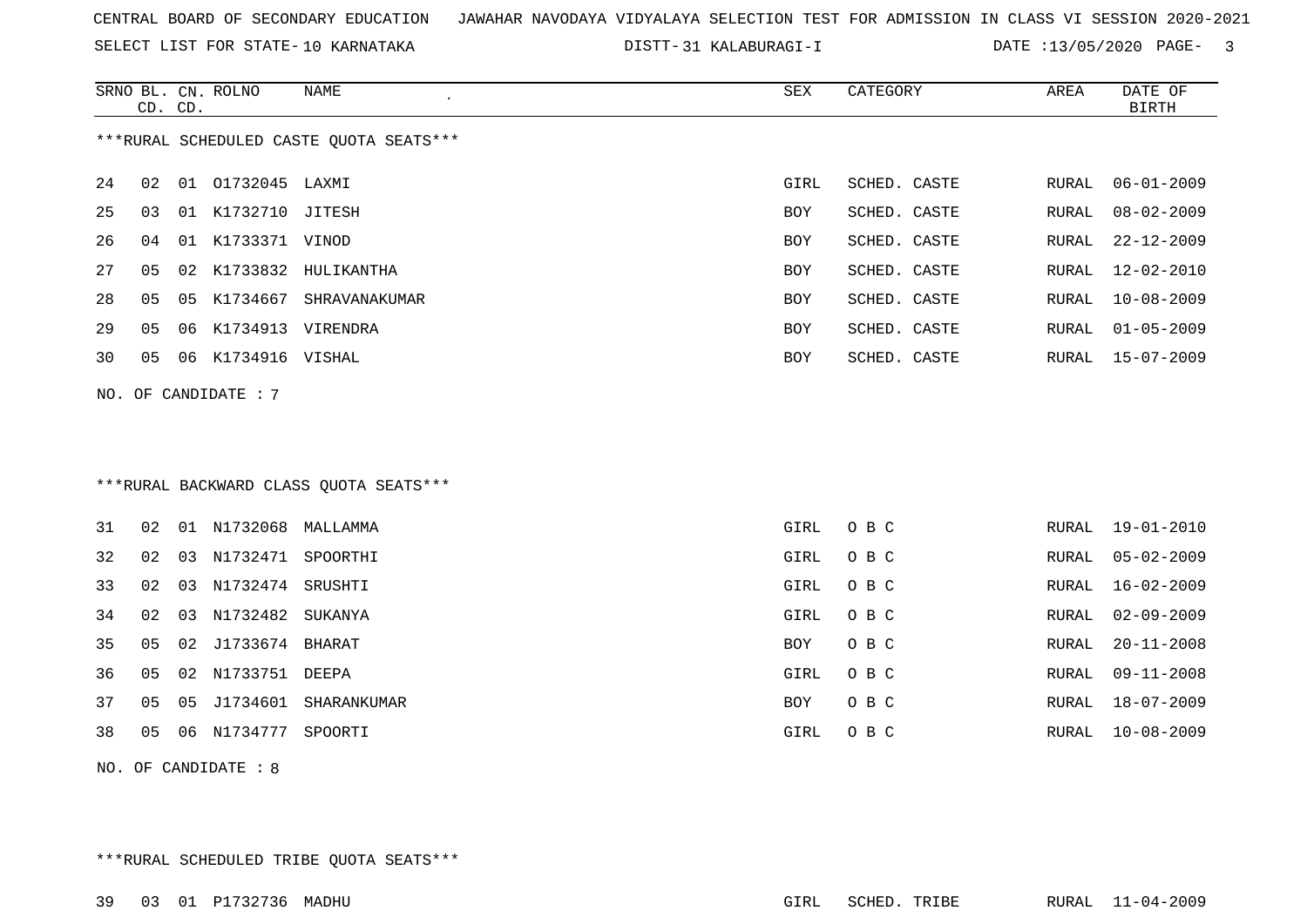SELECT LIST FOR STATE- DISTT- 10 KARNATAKA

31 KALABURAGI-I DATE :13/05/2020 PAGE- 3

|     | CD. CD.                                  |    | SRNO BL. CN. ROLNO | <b>NAME</b><br>$\epsilon$               | <b>SEX</b> | CATEGORY     | AREA         | DATE OF<br><b>BIRTH</b> |  |  |  |  |
|-----|------------------------------------------|----|--------------------|-----------------------------------------|------------|--------------|--------------|-------------------------|--|--|--|--|
|     | *** RURAL SCHEDULED CASTE QUOTA SEATS*** |    |                    |                                         |            |              |              |                         |  |  |  |  |
| 24  | 02                                       |    | 01 01732045 LAXMI  |                                         | GIRL       | SCHED. CASTE | RURAL        | $06 - 01 - 2009$        |  |  |  |  |
| 25  | 03                                       |    | 01 K1732710 JITESH |                                         | BOY        | SCHED. CASTE | RURAL        | $08 - 02 - 2009$        |  |  |  |  |
| 26  | 04                                       |    | 01 K1733371 VINOD  |                                         | BOY        | SCHED. CASTE | RURAL        | $22 - 12 - 2009$        |  |  |  |  |
| 27  | 05                                       |    |                    | 02 K1733832 HULIKANTHA                  | BOY        | SCHED. CASTE | <b>RURAL</b> | $12 - 02 - 2010$        |  |  |  |  |
| 28  | 05                                       |    | 05 K1734667        | SHRAVANAKUMAR                           | BOY        | SCHED. CASTE | RURAL        | $10 - 08 - 2009$        |  |  |  |  |
| 29  | 05                                       | 06 | K1734913 VIRENDRA  |                                         | BOY        | SCHED. CASTE | RURAL        | $01 - 05 - 2009$        |  |  |  |  |
| 30  | 05                                       |    | 06 K1734916 VISHAL |                                         | BOY        | SCHED. CASTE | RURAL        | $15 - 07 - 2009$        |  |  |  |  |
| NO. |                                          |    | OF CANDIDATE : 7   |                                         |            |              |              |                         |  |  |  |  |
|     |                                          |    |                    |                                         |            |              |              |                         |  |  |  |  |
|     |                                          |    |                    |                                         |            |              |              |                         |  |  |  |  |
|     |                                          |    |                    | *** RURAL BACKWARD CLASS QUOTA SEATS*** |            |              |              |                         |  |  |  |  |
| 31  | 02                                       |    | 01 N1732068        | MALLAMMA                                | GIRL       | O B C        | RURAL        | $19 - 01 - 2010$        |  |  |  |  |
| 32  | 02                                       | 03 | N1732471           | SPOORTHI                                | GIRL       | O B C        | RURAL        | $05 - 02 - 2009$        |  |  |  |  |
| 33  | 02                                       | 03 | N1732474           | SRUSHTI                                 | GIRL       | O B C        | RURAL        | $16 - 02 - 2009$        |  |  |  |  |
| 34  | 02                                       |    | 03 N1732482        | SUKANYA                                 | GIRL       | O B C        | RURAL        | $02 - 09 - 2009$        |  |  |  |  |

35 05 02 J1733674 BHARAT BOY O B C RURAL 20-11-2008

36 05 02 N1733751 DEEPA GIRL O B C RURAL 09-11-2008

37 05 05 J1734601 SHARANKUMAR BOY O B C

38 05 06 N1734777 SPOORTI GIRL O B C RURAL 10-08-2009

NO. OF CANDIDATE : 8

\*\*\*RURAL SCHEDULED TRIBE QUOTA SEATS\*\*\*

RURAL 18-07-2009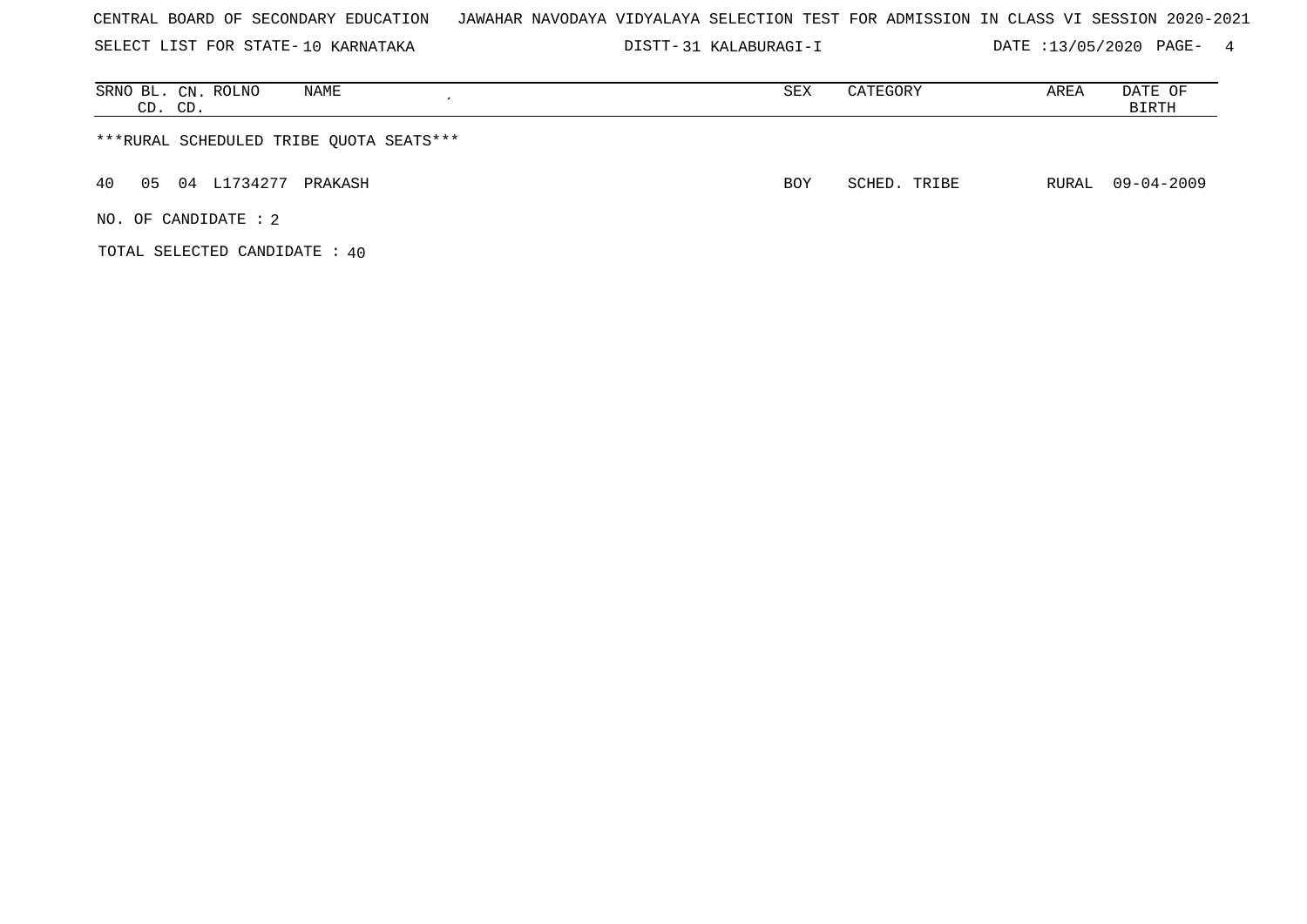|  |  |  |  | CENTRAL BOARD OF SECONDARY EDUCATION – JAWAHAR NAVODAYA VIDYALAYA SELECTION TEST FOR ADMISSION IN CLASS VI SESSION 2020-2021 |  |  |  |  |  |  |  |  |  |  |  |  |  |  |  |
|--|--|--|--|------------------------------------------------------------------------------------------------------------------------------|--|--|--|--|--|--|--|--|--|--|--|--|--|--|--|
|--|--|--|--|------------------------------------------------------------------------------------------------------------------------------|--|--|--|--|--|--|--|--|--|--|--|--|--|--|--|

SELECT LIST FOR STATE- DISTT- 10 KARNATAKA 31 KALABURAGI-I DATE :13/05/2020 PAGE- 4

| SRNO BL. CN. ROLNO<br>NAME<br>CD. CD.   | SEX        | CATEGORY     | AREA | DATE OF<br>BIRTH |
|-----------------------------------------|------------|--------------|------|------------------|
| ***RURAL SCHEDULED TRIBE QUOTA SEATS*** |            |              |      |                  |
| 05 04 L1734277 PRAKASH<br>40            | <b>BOY</b> | SCHED. TRIBE |      | RURAL 09-04-2009 |
| NO. OF CANDIDATE : 2                    |            |              |      |                  |

TOTAL SELECTED CANDIDATE : 40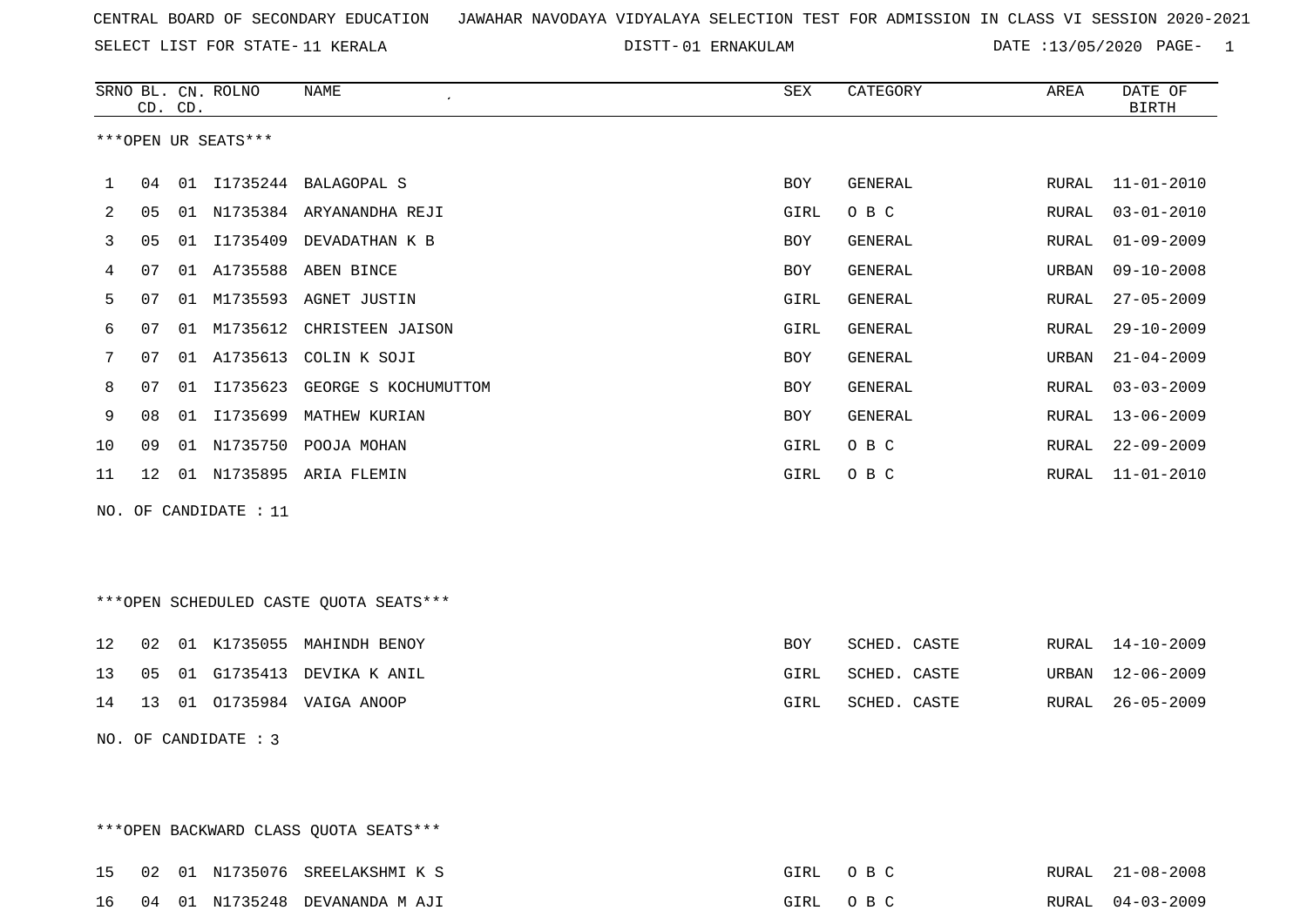SELECT LIST FOR STATE- DISTT- 11 KERALA

01 ERNAKULAM DATE :13/05/2020 PAGE- 1

|     |    | CD. CD. | SRNO BL. CN. ROLNO     | <b>NAME</b><br>$\pmb{\cdot}$           | <b>SEX</b> | CATEGORY       | AREA         | DATE OF<br><b>BIRTH</b> |
|-----|----|---------|------------------------|----------------------------------------|------------|----------------|--------------|-------------------------|
|     |    |         | ***OPEN UR SEATS***    |                                        |            |                |              |                         |
| 1   | 04 |         |                        | 01 I1735244 BALAGOPAL S                | BOY        | GENERAL        | RURAL        | $11 - 01 - 2010$        |
| 2   | 05 | 01      |                        | N1735384 ARYANANDHA REJI               | GIRL       | O B C          | <b>RURAL</b> | $03 - 01 - 2010$        |
| 3   | 05 | 01      | I1735409               | DEVADATHAN K B                         | <b>BOY</b> | <b>GENERAL</b> | RURAL        | $01 - 09 - 2009$        |
| 4   | 07 |         | 01 A1735588            | ABEN BINCE                             | BOY        | GENERAL        | URBAN        | $09 - 10 - 2008$        |
| 5   | 07 | 01      |                        | M1735593 AGNET JUSTIN                  | GIRL       | <b>GENERAL</b> | RURAL        | $27 - 05 - 2009$        |
| 6   | 07 |         | 01 M1735612            | CHRISTEEN JAISON                       | GIRL       | <b>GENERAL</b> | RURAL        | $29 - 10 - 2009$        |
| 7   | 07 | 01      | A1735613               | COLIN K SOJI                           | BOY        | GENERAL        | URBAN        | $21 - 04 - 2009$        |
| 8   | 07 | 01      |                        | I1735623 GEORGE S KOCHUMUTTOM          | <b>BOY</b> | <b>GENERAL</b> | RURAL        | $03 - 03 - 2009$        |
| 9   | 08 |         | 01 I1735699            | MATHEW KURIAN                          | <b>BOY</b> | GENERAL        | RURAL        | $13 - 06 - 2009$        |
| 10  | 09 |         |                        | 01 N1735750 POOJA MOHAN                | GIRL       | O B C          | RURAL        | $22 - 09 - 2009$        |
| 11  | 12 |         |                        | 01 N1735895 ARIA FLEMIN                | GIRL       | O B C          | RURAL        | $11 - 01 - 2010$        |
| NO. |    |         | OF CANDIDATE : 11      |                                        |            |                |              |                         |
|     |    |         |                        |                                        |            |                |              |                         |
|     |    |         |                        |                                        |            |                |              |                         |
|     |    |         |                        | ***OPEN SCHEDULED CASTE QUOTA SEATS*** |            |                |              |                         |
| 12  | 02 |         | 01 K1735055            | MAHINDH BENOY                          | <b>BOY</b> | SCHED. CASTE   | RURAL        | $14 - 10 - 2009$        |
| 13  | 05 | 01      | G1735413               | DEVIKA K ANIL                          | GIRL       | SCHED. CASTE   | URBAN        | $12 - 06 - 2009$        |
| 14  | 13 |         |                        | 01 01735984 VAIGA ANOOP                | GIRL       | SCHED. CASTE   | RURAL        | $26 - 05 - 2009$        |
|     |    |         | NO. OF CANDIDATE : $3$ |                                        |            |                |              |                         |
|     |    |         |                        |                                        |            |                |              |                         |

|  |  | ***OPEN BACKWARD CLASS OUOTA SEATS*** |          |  |                  |
|--|--|---------------------------------------|----------|--|------------------|
|  |  | 15 02 01 N1735076 SREELAKSHMI K S     | GIRL OBC |  | RURAL 21-08-2008 |
|  |  | 16 04 01 N1735248 DEVANANDA M AJI     | GIRL OBC |  | RURAL 04-03-2009 |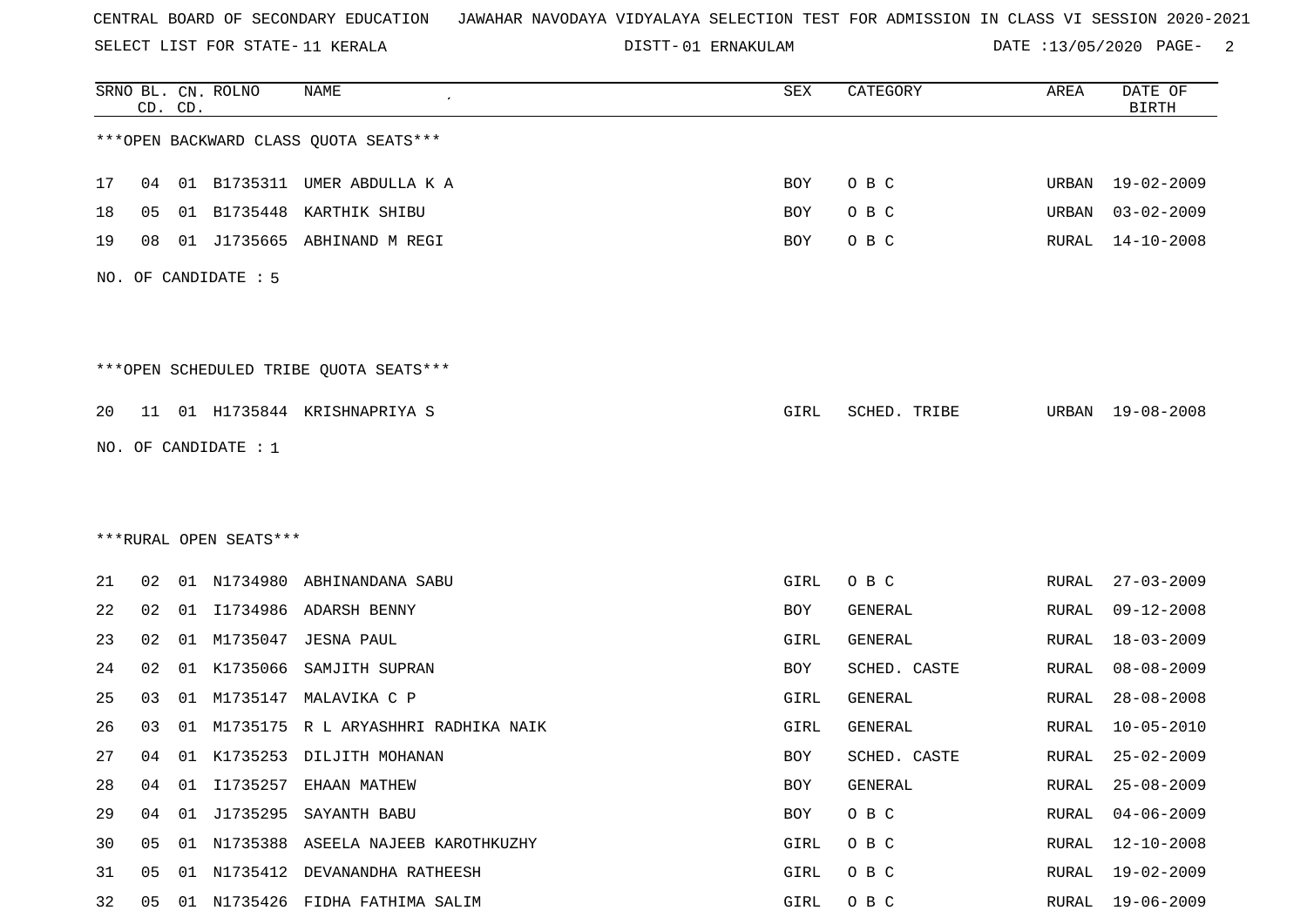SELECT LIST FOR STATE- DISTT- 11 KERALA

01 ERNAKULAM DATE :13/05/2020 PAGE- 2

|    |    | CD. CD. | SRNO BL. CN. ROLNO     | <b>NAME</b>                            | SEX        | CATEGORY     | AREA         | DATE OF<br><b>BIRTH</b> |
|----|----|---------|------------------------|----------------------------------------|------------|--------------|--------------|-------------------------|
|    |    |         |                        | *** OPEN BACKWARD CLASS QUOTA SEATS*** |            |              |              |                         |
| 17 | 04 |         |                        | 01 B1735311 UMER ABDULLA K A           | BOY        | O B C        | URBAN        | 19-02-2009              |
| 18 | 05 | 01      | B1735448               | KARTHIK SHIBU                          | BOY        | O B C        | URBAN        | $03 - 02 - 2009$        |
| 19 | 08 | 01      | J1735665               | ABHINAND M REGI                        | BOY        | O B C        | RURAL        | $14 - 10 - 2008$        |
|    |    |         | NO. OF CANDIDATE : 5   |                                        |            |              |              |                         |
|    |    |         |                        | ***OPEN SCHEDULED TRIBE QUOTA SEATS*** |            |              |              |                         |
| 20 | 11 |         |                        | 01 H1735844 KRISHNAPRIYA S             | GIRL       | SCHED. TRIBE | URBAN        | 19-08-2008              |
|    |    |         | NO. OF CANDIDATE : 1   |                                        |            |              |              |                         |
|    |    |         |                        |                                        |            |              |              |                         |
|    |    |         |                        |                                        |            |              |              |                         |
|    |    |         | ***RURAL OPEN SEATS*** |                                        |            |              |              |                         |
| 21 | 02 |         | 01 N1734980            | ABHINANDANA SABU                       | GIRL       | O B C        | RURAL        | $27 - 03 - 2009$        |
| 22 | 02 |         |                        | 01 I1734986 ADARSH BENNY               | BOY        | GENERAL      | RURAL        | $09 - 12 - 2008$        |
| 23 | 02 | 01      | M1735047               | JESNA PAUL                             | GIRL       | GENERAL      | <b>RURAL</b> | $18 - 03 - 2009$        |
| 24 | 02 | 01      | K1735066               | SAMJITH SUPRAN                         | BOY        | SCHED. CASTE | RURAL        | $08 - 08 - 2009$        |
| 25 | 03 | 01      | M1735147               | MALAVIKA C P                           | GIRL       | GENERAL      | RURAL        | $28 - 08 - 2008$        |
| 26 | 03 | 01      | M1735175               | R L ARYASHHRI RADHIKA NAIK             | GIRL       | GENERAL      | RURAL        | $10 - 05 - 2010$        |
| 27 | 04 |         |                        | 01 K1735253 DILJITH MOHANAN            | <b>BOY</b> | SCHED. CASTE | RURAL        | $25 - 02 - 2009$        |
| 28 | 04 | 01      |                        | I1735257 EHAAN MATHEW                  | BOY        | GENERAL      | RURAL        | $25 - 08 - 2009$        |
| 29 | 04 | 01      | J1735295               | SAYANTH BABU                           | BOY        | O B C        | RURAL        | $04 - 06 - 2009$        |
| 30 | 05 |         |                        | 01 N1735388 ASEELA NAJEEB KAROTHKUZHY  | GIRL       | O B C        | RURAL        | 12-10-2008              |
| 31 | 05 | 01      |                        | N1735412 DEVANANDHA RATHEESH           | GIRL       | O B C        | RURAL        | $19 - 02 - 2009$        |
| 32 | 05 |         |                        | 01 N1735426 FIDHA FATHIMA SALIM        | GIRL       | O B C        | RURAL        | $19 - 06 - 2009$        |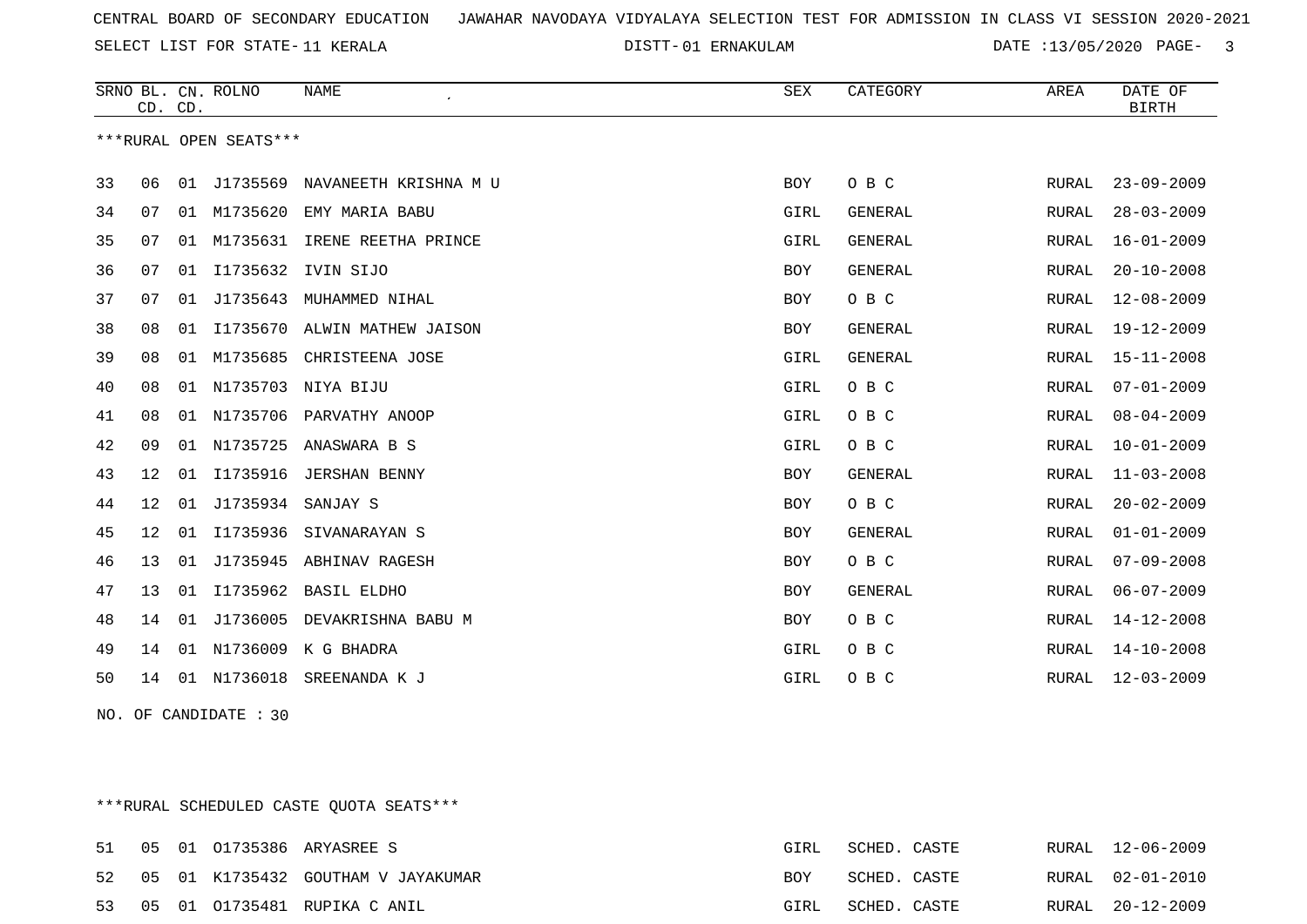SELECT LIST FOR STATE- DISTT- 11 KERALA

01 ERNAKULAM DATE :13/05/2020 PAGE- 3

|    | CD. CD. |    | SRNO BL. CN. ROLNO     | <b>NAME</b>           | <b>SEX</b> | CATEGORY       | AREA         | DATE OF<br><b>BIRTH</b> |
|----|---------|----|------------------------|-----------------------|------------|----------------|--------------|-------------------------|
|    |         |    | ***RURAL OPEN SEATS*** |                       |            |                |              |                         |
| 33 | 06      | 01 | J1735569               | NAVANEETH KRISHNA M U | BOY        | O B C          | RURAL        | $23 - 09 - 2009$        |
| 34 | 07      | 01 | M1735620               | EMY MARIA BABU        | GIRL       | <b>GENERAL</b> | RURAL        | $28 - 03 - 2009$        |
| 35 | 07      | 01 | M1735631               | IRENE REETHA PRINCE   | GIRL       | GENERAL        | RURAL        | $16 - 01 - 2009$        |
| 36 | 07      | 01 | I1735632               | IVIN SIJO             | BOY        | GENERAL        | RURAL        | $20 - 10 - 2008$        |
| 37 | 07      | 01 | J1735643               | MUHAMMED NIHAL        | BOY        | O B C          | RURAL        | $12 - 08 - 2009$        |
| 38 | 08      | 01 | I1735670               | ALWIN MATHEW JAISON   | BOY        | <b>GENERAL</b> | RURAL        | 19-12-2009              |
| 39 | 08      |    | 01 M1735685            | CHRISTEENA JOSE       | GIRL       | GENERAL        | RURAL        | 15-11-2008              |
| 40 | 08      | 01 | N1735703               | NIYA BIJU             | GIRL       | O B C          | RURAL        | $07 - 01 - 2009$        |
| 41 | 08      | 01 | N1735706               | PARVATHY ANOOP        | GIRL       | O B C          | RURAL        | $08 - 04 - 2009$        |
| 42 | 09      | 01 | N1735725               | ANASWARA B S          | GIRL       | O B C          | RURAL        | $10 - 01 - 2009$        |
| 43 | 12      | 01 | I1735916               | <b>JERSHAN BENNY</b>  | BOY        | GENERAL        | RURAL        | $11 - 03 - 2008$        |
| 44 | 12      | 01 | J1735934               | SANJAY S              | BOY        | O B C          | RURAL        | $20 - 02 - 2009$        |
| 45 | 12      | 01 | I1735936               | SIVANARAYAN S         | BOY        | GENERAL        | RURAL        | $01 - 01 - 2009$        |
| 46 | 13      | 01 | J1735945               | ABHINAV RAGESH        | <b>BOY</b> | O B C          | <b>RURAL</b> | $07 - 09 - 2008$        |
| 47 | 13      | 01 | I1735962               | <b>BASIL ELDHO</b>    | <b>BOY</b> | GENERAL        | RURAL        | $06 - 07 - 2009$        |
| 48 | 14      | 01 | J1736005               | DEVAKRISHNA BABU M    | BOY        | O B C          | <b>RURAL</b> | $14 - 12 - 2008$        |
| 49 | 14      | 01 | N1736009               | K G BHADRA            | GIRL       | O B C          | RURAL        | $14 - 10 - 2008$        |
| 50 | 14      | 01 | N1736018               | SREENANDA K J         | GIRL       | O B C          | RURAL        | $12 - 03 - 2009$        |

NO. OF CANDIDATE : 30

\*\*\*RURAL SCHEDULED CASTE QUOTA SEATS\*\*\*

| 51 |  | 05 01 01735386 ARYASREE S          | GIRL | SCHED. CASTE |  | RURAL 12-06-2009 |
|----|--|------------------------------------|------|--------------|--|------------------|
| 52 |  | 05 01 K1735432 GOUTHAM V JAYAKUMAR | BOY  | SCHED. CASTE |  | RURAL 02-01-2010 |
| 53 |  | 05 01 01735481 RUPIKA C ANIL       | GIRL | SCHED. CASTE |  | RURAL 20-12-2009 |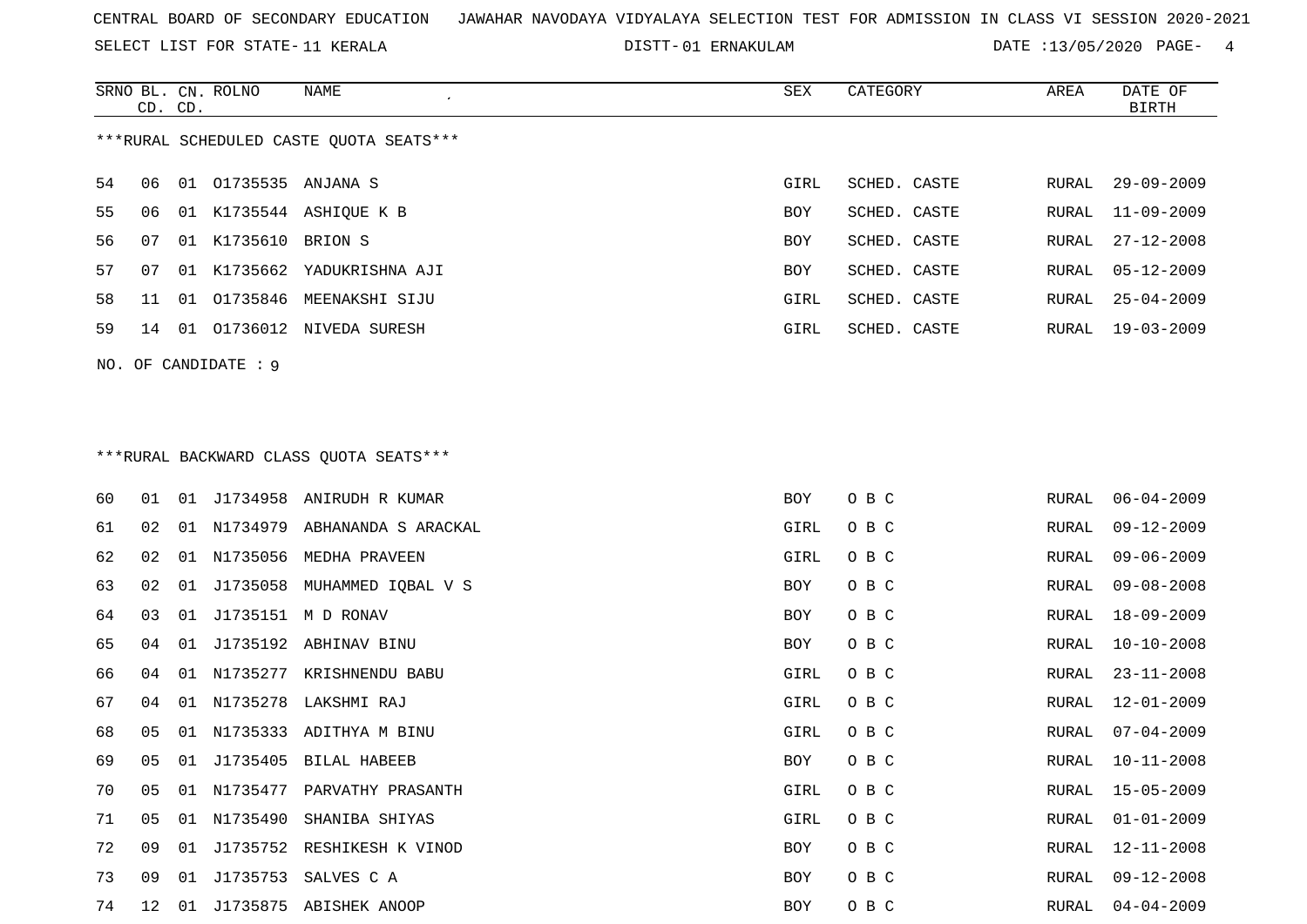SELECT LIST FOR STATE- DISTT- 11 KERALA

01 ERNAKULAM DATE :13/05/2020 PAGE- 4

|     |    | CD. CD. | SRNO BL. CN. ROLNO | NAME                                    | SEX        | CATEGORY     | AREA  | DATE OF<br><b>BIRTH</b> |
|-----|----|---------|--------------------|-----------------------------------------|------------|--------------|-------|-------------------------|
|     |    |         |                    | ***RURAL SCHEDULED CASTE QUOTA SEATS*** |            |              |       |                         |
| 54  | 06 | 01      |                    | 01735535 ANJANA S                       | GIRL       | SCHED. CASTE | RURAL | $29 - 09 - 2009$        |
| 55  | 06 |         |                    | 01 K1735544 ASHIQUE K B                 | BOY        | SCHED. CASTE | RURAL | $11 - 09 - 2009$        |
| 56  | 07 | 01      | K1735610           | BRION S                                 | <b>BOY</b> | SCHED. CASTE | RURAL | $27 - 12 - 2008$        |
| 57  | 07 | 01      |                    | K1735662 YADUKRISHNA AJI                | <b>BOY</b> | SCHED. CASTE | RURAL | $05 - 12 - 2009$        |
| 58  | 11 | 01      |                    | 01735846 MEENAKSHI SIJU                 | GIRL       | SCHED. CASTE | RURAL | $25 - 04 - 2009$        |
| 59  | 14 | 01      |                    | 01736012 NIVEDA SURESH                  | GIRL       | SCHED. CASTE | RURAL | $19 - 03 - 2009$        |
| NO. |    |         | OF CANDIDATE : 9   |                                         |            |              |       |                         |
|     |    |         |                    |                                         |            |              |       |                         |
|     |    |         |                    | *** RURAL BACKWARD CLASS QUOTA SEATS*** |            |              |       |                         |
| 60  | 01 | 01      |                    | J1734958 ANIRUDH R KUMAR                | BOY        | O B C        | RURAL | $06 - 04 - 2009$        |
| 61  | 02 | 01      |                    | N1734979 ABHANANDA S ARACKAL            | GIRL       | O B C        | RURAL | $09 - 12 - 2009$        |

| 60 | 01             | 01 |             | J1734958 ANIRUDH R KUMAR     | BOY  | O B C | RURAL | $06 - 04 - 2009$ |
|----|----------------|----|-------------|------------------------------|------|-------|-------|------------------|
| 61 | 02             | 01 |             | N1734979 ABHANANDA S ARACKAL | GIRL | O B C | RURAL | $09 - 12 - 2009$ |
| 62 | 02             | 01 |             | N1735056 MEDHA PRAVEEN       | GIRL | O B C | RURAL | $09 - 06 - 2009$ |
| 63 | 02             | 01 |             | J1735058 MUHAMMED IQBAL V S  | BOY  | O B C | RURAL | $09 - 08 - 2008$ |
| 64 | 03             | 01 |             | J1735151 M D RONAV           | BOY  | O B C | RURAL | $18 - 09 - 2009$ |
| 65 | 04             | 01 |             | J1735192 ABHINAV BINU        | BOY  | O B C | RURAL | $10 - 10 - 2008$ |
| 66 | 04             | 01 |             | N1735277 KRISHNENDU BABU     | GIRL | O B C | RURAL | $23 - 11 - 2008$ |
| 67 | 04             | 01 |             | N1735278 LAKSHMI RAJ         | GIRL | O B C | RURAL | $12 - 01 - 2009$ |
| 68 | 05             | 01 |             | N1735333 ADITHYA M BINU      | GIRL | O B C | RURAL | $07 - 04 - 2009$ |
| 69 | 05             | 01 |             | J1735405 BILAL HABEEB        | BOY  | O B C | RURAL | $10 - 11 - 2008$ |
| 70 | 0 <sub>5</sub> | 01 | N1735477    | PARVATHY PRASANTH            | GIRL | O B C | RURAL | $15 - 05 - 2009$ |
| 71 | 05             |    | 01 N1735490 | SHANIBA SHIYAS               | GIRL | O B C | RURAL | $01 - 01 - 2009$ |
| 72 | 09             | 01 |             | J1735752 RESHIKESH K VINOD   | BOY  | O B C | RURAL | $12 - 11 - 2008$ |
| 73 | 09             | 01 | J1735753    | SALVES C A                   | BOY  | O B C | RURAL | $09 - 12 - 2008$ |
| 74 | 12             | 01 |             | J1735875 ABISHEK ANOOP       | BOY  | O B C | RURAL | $04 - 04 - 2009$ |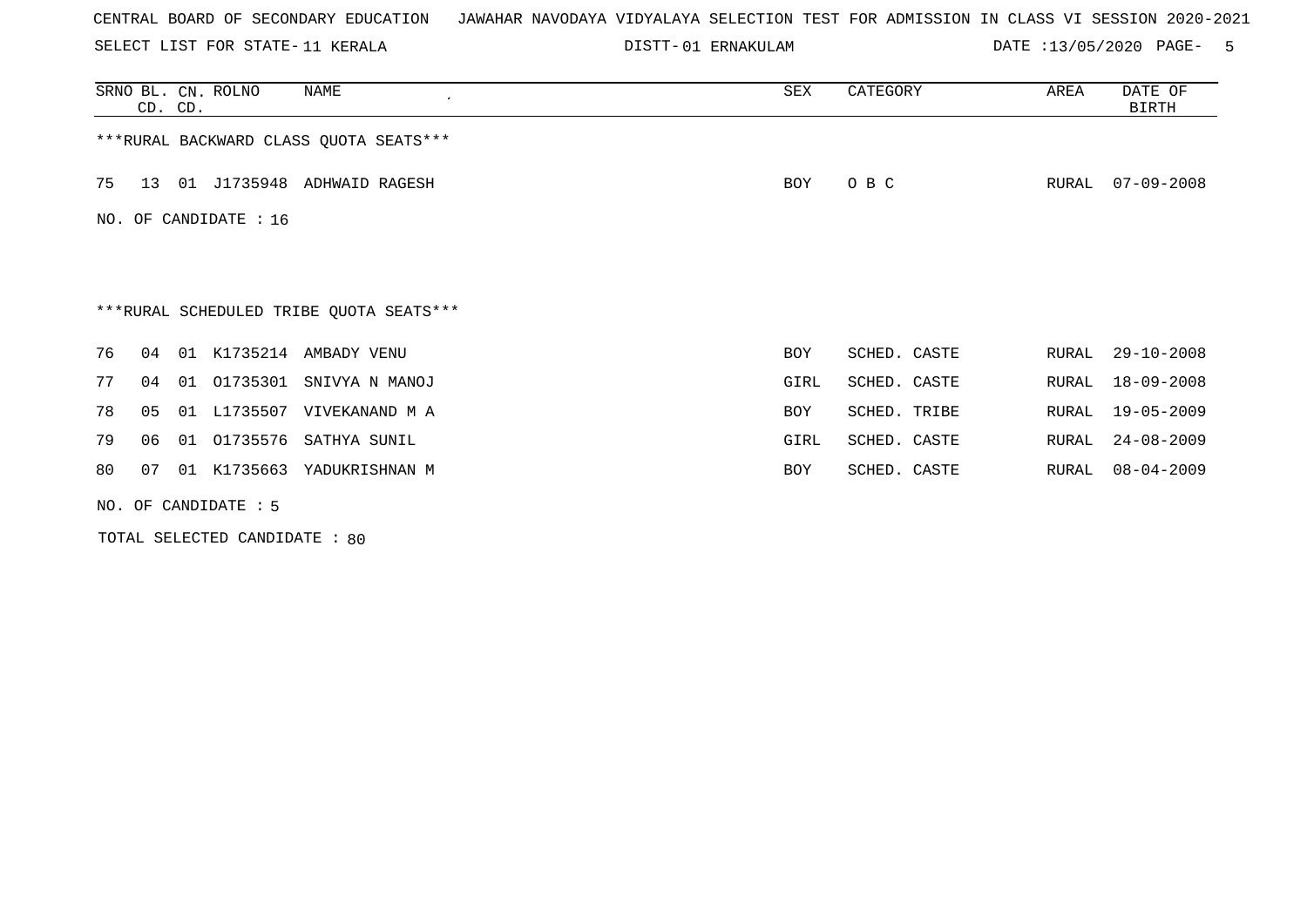SELECT LIST FOR STATE- DISTT- 11 KERALA

01 ERNAKULAM DATE :13/05/2020 PAGE- 5

|    | CD. CD. |    | SRNO BL. CN. ROLNO      | NAME                                    | SEX        | CATEGORY     | AREA  | DATE OF<br><b>BIRTH</b> |
|----|---------|----|-------------------------|-----------------------------------------|------------|--------------|-------|-------------------------|
|    |         |    |                         | ***RURAL BACKWARD CLASS QUOTA SEATS***  |            |              |       |                         |
| 75 |         |    |                         | 13 01 J1735948 ADHWAID RAGESH           | BOY        | O B C        | RURAL | $07 - 09 - 2008$        |
|    |         |    | NO. OF CANDIDATE : $16$ |                                         |            |              |       |                         |
|    |         |    |                         |                                         |            |              |       |                         |
|    |         |    |                         | ***RURAL SCHEDULED TRIBE QUOTA SEATS*** |            |              |       |                         |
| 76 | 04      | 01 |                         | K1735214 AMBADY VENU                    | BOY        | SCHED. CASTE | RURAL | $29 - 10 - 2008$        |
| 77 | 04      | 01 | 01735301                | SNIVYA N MANOJ                          | GIRL       | SCHED. CASTE | RURAL | 18-09-2008              |
| 78 | 05      | 01 | L1735507                | VIVEKANAND M A                          | <b>BOY</b> | SCHED. TRIBE | RURAL | $19 - 05 - 2009$        |
| 79 | 06      | 01 | 01735576                | SATHYA SUNIL                            | GIRL       | SCHED. CASTE | RURAL | $24 - 08 - 2009$        |
| 80 | 07      | 01 |                         | K1735663 YADUKRISHNAN M                 | BOY        | SCHED. CASTE | RURAL | $08 - 04 - 2009$        |
|    |         |    | NO. OF CANDIDATE : 5    |                                         |            |              |       |                         |

TOTAL SELECTED CANDIDATE : 80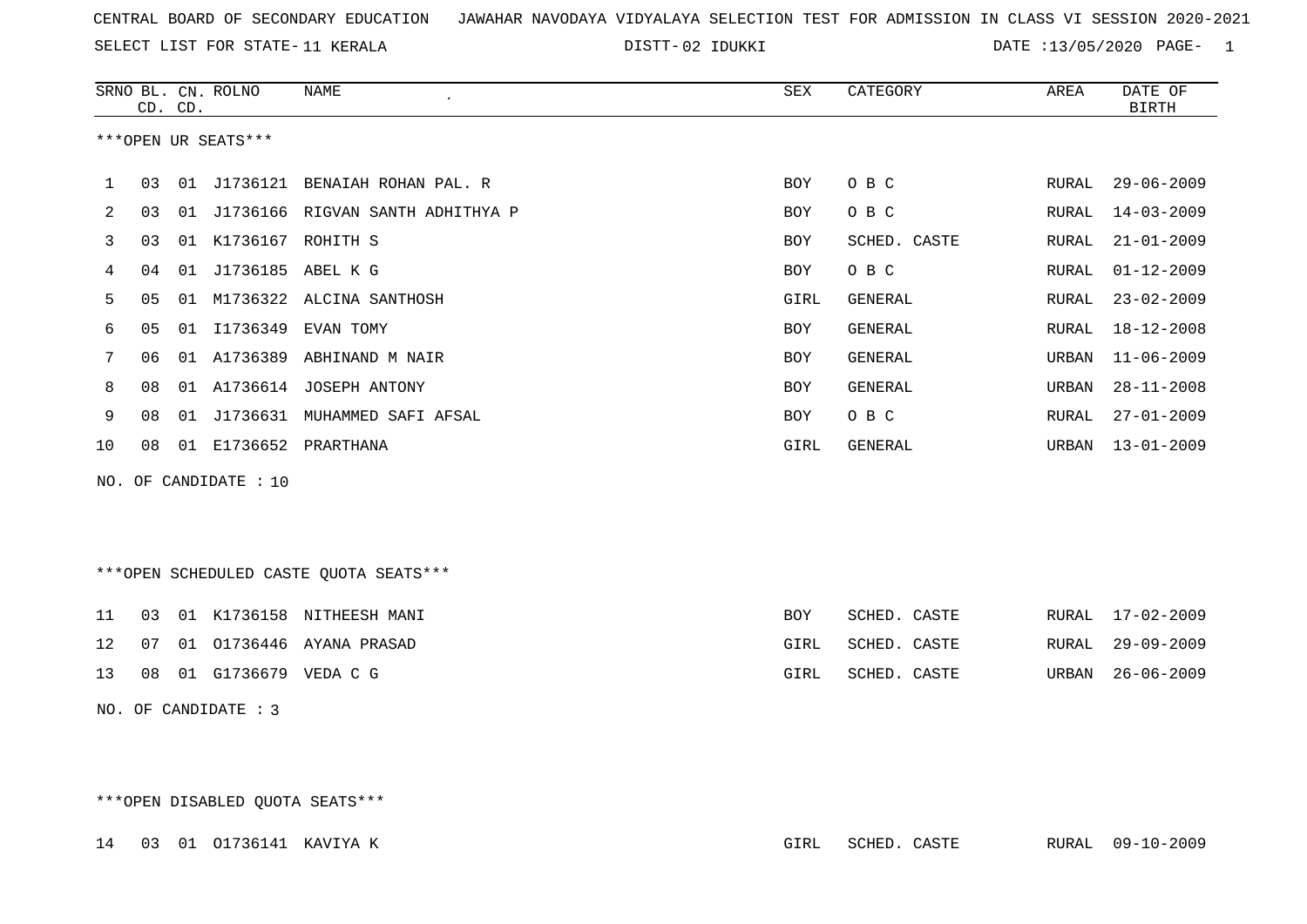SELECT LIST FOR STATE- DISTT- 11 KERALA

02 IDUKKI DATE :13/05/2020 PAGE- 1

|    |    |         | SRNO BL. CN. ROLNO    | NAME<br>$\cdot$                     | SEX        | CATEGORY     | AREA  | DATE OF          |
|----|----|---------|-----------------------|-------------------------------------|------------|--------------|-------|------------------|
|    |    | CD. CD. |                       |                                     |            |              |       | <b>BIRTH</b>     |
|    |    |         | ***OPEN UR SEATS***   |                                     |            |              |       |                  |
|    |    |         |                       |                                     |            |              |       |                  |
| 1  | 03 | 01      |                       | J1736121 BENAIAH ROHAN PAL. R       | <b>BOY</b> | O B C        | RURAL | $29 - 06 - 2009$ |
| 2  | 03 |         |                       | 01 J1736166 RIGVAN SANTH ADHITHYA P | BOY        | O B C        | RURAL | 14-03-2009       |
| 3  | 03 |         | 01 K1736167 ROHITH S  |                                     | BOY        | SCHED. CASTE | RURAL | $21 - 01 - 2009$ |
| 4  | 04 | 01      | J1736185 ABEL K G     |                                     | BOY        | O B C        | RURAL | $01 - 12 - 2009$ |
| 5  | 05 | 01      |                       | M1736322 ALCINA SANTHOSH            | GIRL       | GENERAL      | RURAL | $23 - 02 - 2009$ |
| 6  | 05 |         |                       | 01 I1736349 EVAN TOMY               | BOY        | GENERAL      | RURAL | 18-12-2008       |
| 7  | 06 | 01      |                       | A1736389 ABHINAND M NAIR            | <b>BOY</b> | GENERAL      | URBAN | $11 - 06 - 2009$ |
| 8  | 08 | 01      |                       | A1736614 JOSEPH ANTONY              | BOY        | GENERAL      | URBAN | $28 - 11 - 2008$ |
| 9  | 08 |         |                       | 01 J1736631 MUHAMMED SAFI AFSAL     | BOY        | O B C        | RURAL | $27 - 01 - 2009$ |
| 10 | 08 | 01      |                       | E1736652 PRARTHANA                  | GIRL       | GENERAL      | URBAN | $13 - 01 - 2009$ |
|    |    |         | NO. OF CANDIDATE : 10 |                                     |            |              |       |                  |

\*\*\*OPEN SCHEDULED CASTE QUOTA SEATS\*\*\*

|  |  | 11 03 01 K1736158 NITHEESH MANI          | BOY  | SCHED. CASTE |  | RURAL 17-02-2009 |
|--|--|------------------------------------------|------|--------------|--|------------------|
|  |  | 12   07   01   01736446   AYANA   PRASAD | GIRL | SCHED. CASTE |  | RURAL 29-09-2009 |
|  |  | 13 08 01 G1736679 VEDACG                 | GIRL | SCHED. CASTE |  | URBAN 26-06-2009 |

NO. OF CANDIDATE : 3

\*\*\*OPEN DISABLED QUOTA SEATS\*\*\*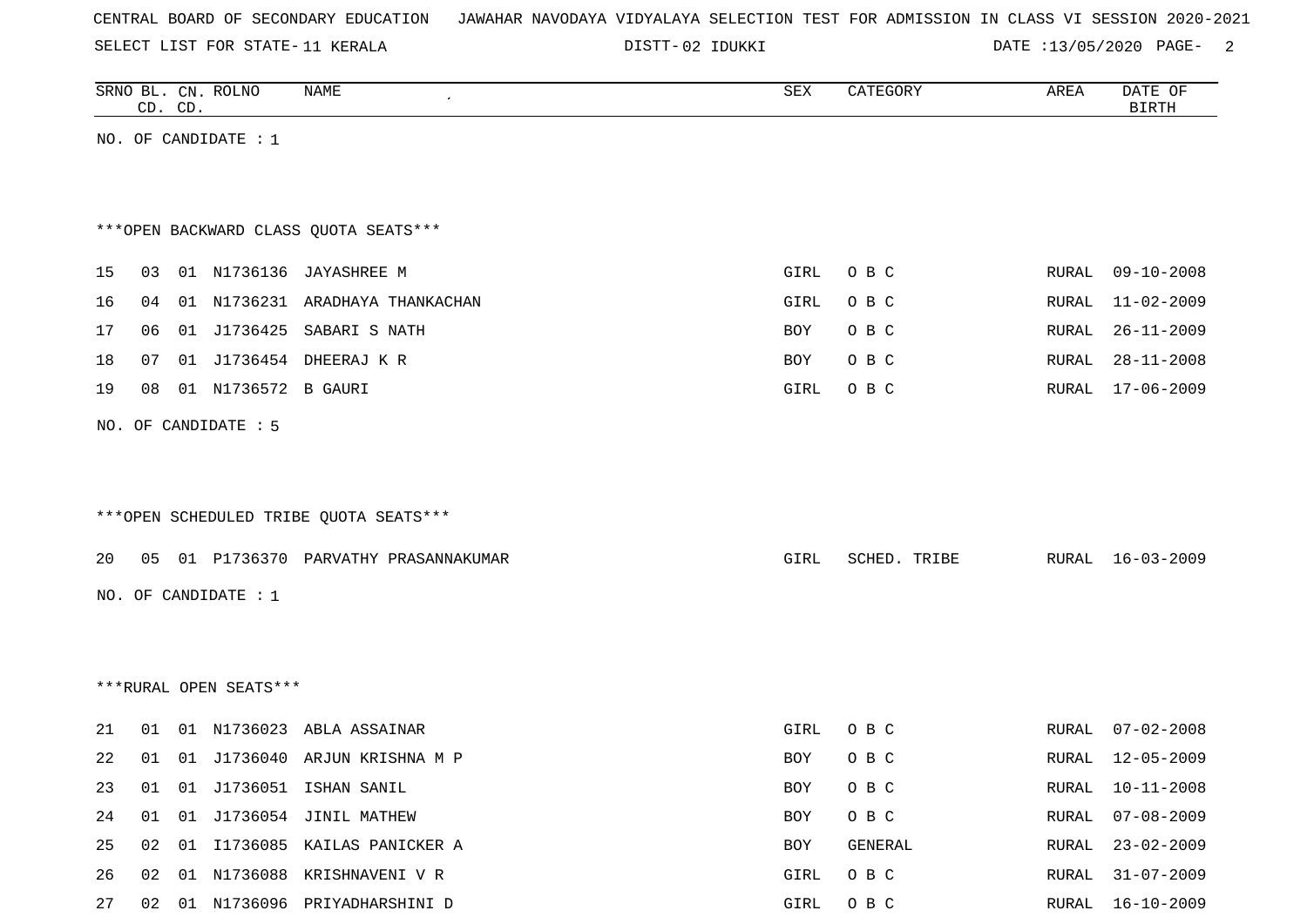SELECT LIST FOR STATE- DISTT- 11 KERALA

02 IDUKKI DATE :13/05/2020 PAGE- 2

|    |                 | CD. CD. | SRNO BL. CN. ROLNO     | NAME                                   | <b>SEX</b> | CATEGORY       | AREA  | DATE OF<br>$\operatorname{BIRTH}$ |
|----|-----------------|---------|------------------------|----------------------------------------|------------|----------------|-------|-----------------------------------|
|    |                 |         | NO. OF CANDIDATE : $1$ |                                        |            |                |       |                                   |
|    |                 |         |                        |                                        |            |                |       |                                   |
|    |                 |         |                        |                                        |            |                |       |                                   |
|    |                 |         |                        | *** OPEN BACKWARD CLASS QUOTA SEATS*** |            |                |       |                                   |
| 15 | 03              |         |                        | 01 N1736136 JAYASHREE M                | GIRL       | O B C          | RURAL | $09 - 10 - 2008$                  |
| 16 | 04              |         |                        | 01 N1736231 ARADHAYA THANKACHAN        | GIRL       | O B C          | RURAL | $11 - 02 - 2009$                  |
| 17 | 06              |         |                        | 01 J1736425 SABARI S NATH              | BOY        | O B C          | RURAL | $26 - 11 - 2009$                  |
| 18 | 07              |         |                        | 01 J1736454 DHEERAJ K R                | <b>BOY</b> | O B C          | RURAL | $28 - 11 - 2008$                  |
| 19 | 08              |         | 01 N1736572 B GAURI    |                                        | GIRL       | O B C          | RURAL | $17 - 06 - 2009$                  |
|    |                 |         | NO. OF CANDIDATE : 5   |                                        |            |                |       |                                   |
|    |                 |         |                        |                                        |            |                |       |                                   |
|    |                 |         |                        |                                        |            |                |       |                                   |
|    |                 |         |                        | ***OPEN SCHEDULED TRIBE QUOTA SEATS*** |            |                |       |                                   |
| 20 |                 |         |                        | 05 01 P1736370 PARVATHY PRASANNAKUMAR  | GIRL       | SCHED. TRIBE   |       | RURAL 16-03-2009                  |
|    |                 |         | NO. OF CANDIDATE : $1$ |                                        |            |                |       |                                   |
|    |                 |         |                        |                                        |            |                |       |                                   |
|    |                 |         |                        |                                        |            |                |       |                                   |
|    |                 |         | ***RURAL OPEN SEATS*** |                                        |            |                |       |                                   |
|    |                 |         |                        |                                        |            |                |       |                                   |
| 21 | 01              |         |                        | 01 N1736023 ABLA ASSAINAR              | GIRL       | O B C          | RURAL | $07 - 02 - 2008$                  |
| 22 | 01              |         |                        | 01 J1736040 ARJUN KRISHNA M P          | BOY        | O B C          | RURAL | 12-05-2009                        |
| 23 | 01              |         |                        | 01 J1736051 ISHAN SANIL                | <b>BOY</b> | O B C          | RURAL | $10 - 11 - 2008$                  |
| 24 | 01              |         |                        | 01 J1736054 JINIL MATHEW               | <b>BOY</b> | O B C          | RURAL | $07 - 08 - 2009$                  |
| 25 | 02 <sub>o</sub> |         |                        | 01 I1736085 KAILAS PANICKER A          | <b>BOY</b> | <b>GENERAL</b> | RURAL | $23 - 02 - 2009$                  |

26 02 01 N1736088 KRISHNAVENI V R GIRL O B C RURAL 31-07-2009 27 02 01 N1736096 PRIYADHARSHINI D GIRL O B C RURAL 16-10-2009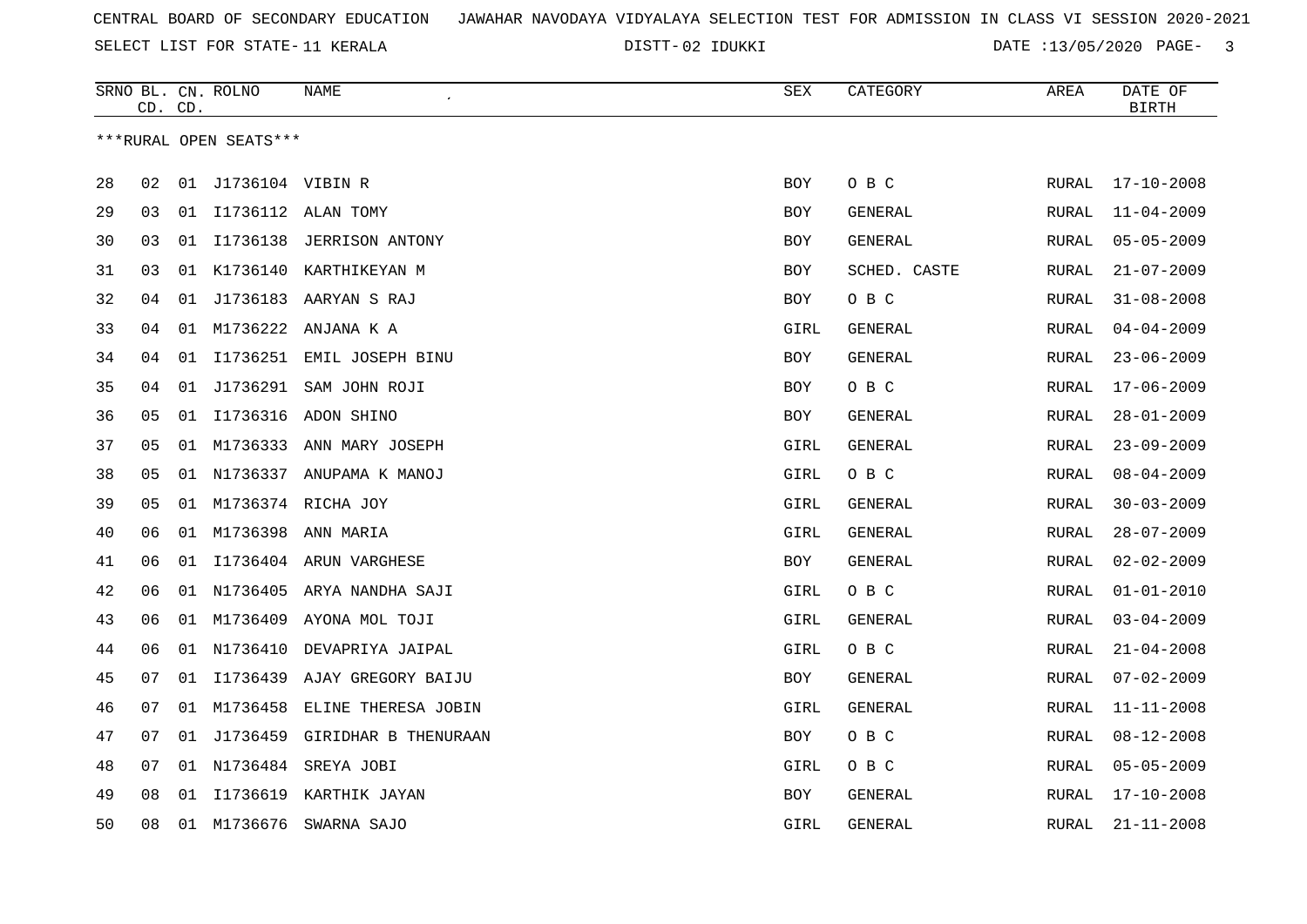SELECT LIST FOR STATE- DISTT- 11 KERALA

02 IDUKKI DATE :13/05/2020 PAGE- 3

|    |    | CD. CD. | SRNO BL. CN. ROLNO     | NAME                            | <b>SEX</b> | CATEGORY     | AREA         | DATE OF<br><b>BIRTH</b> |
|----|----|---------|------------------------|---------------------------------|------------|--------------|--------------|-------------------------|
|    |    |         | ***RURAL OPEN SEATS*** |                                 |            |              |              |                         |
|    |    |         |                        |                                 |            |              |              |                         |
| 28 | 02 |         | 01 J1736104 VIBIN R    |                                 | <b>BOY</b> | O B C        | RURAL        | $17 - 10 - 2008$        |
| 29 | 03 |         |                        | 01 I1736112 ALAN TOMY           | BOY        | GENERAL      | RURAL        | $11 - 04 - 2009$        |
| 30 | 03 |         | 01 I1736138            | JERRISON ANTONY                 | BOY        | GENERAL      | RURAL        | $05 - 05 - 2009$        |
| 31 | 03 |         | 01 K1736140            | KARTHIKEYAN M                   | BOY        | SCHED. CASTE | RURAL        | $21 - 07 - 2009$        |
| 32 | 04 | 01      |                        | J1736183 AARYAN S RAJ           | <b>BOY</b> | O B C        | RURAL        | $31 - 08 - 2008$        |
| 33 | 04 |         | 01 M1736222            | ANJANA K A                      | GIRL       | GENERAL      | RURAL        | $04 - 04 - 2009$        |
| 34 | 04 |         |                        | 01 I1736251 EMIL JOSEPH BINU    | BOY        | GENERAL      | RURAL        | $23 - 06 - 2009$        |
| 35 | 04 | 01      |                        | J1736291 SAM JOHN ROJI          | <b>BOY</b> | O B C        | RURAL        | $17 - 06 - 2009$        |
| 36 | 05 |         |                        | 01 I1736316 ADON SHINO          | <b>BOY</b> | GENERAL      | <b>RURAL</b> | $28 - 01 - 2009$        |
| 37 | 05 |         |                        | 01 M1736333 ANN MARY JOSEPH     | GIRL       | GENERAL      | RURAL        | $23 - 09 - 2009$        |
| 38 | 05 |         |                        | 01 N1736337 ANUPAMA K MANOJ     | GIRL       | O B C        | RURAL        | $08 - 04 - 2009$        |
| 39 | 05 | 01      |                        | M1736374 RICHA JOY              | GIRL       | GENERAL      | <b>RURAL</b> | $30 - 03 - 2009$        |
| 40 | 06 |         | 01 M1736398            | ANN MARIA                       | GIRL       | GENERAL      | RURAL        | $28 - 07 - 2009$        |
| 41 | 06 | 01      |                        | I1736404 ARUN VARGHESE          | BOY        | GENERAL      | RURAL        | $02 - 02 - 2009$        |
| 42 | 06 |         |                        | 01 N1736405 ARYA NANDHA SAJI    | GIRL       | O B C        | RURAL        | $01 - 01 - 2010$        |
| 43 | 06 |         | 01 M1736409            | AYONA MOL TOJI                  | GIRL       | GENERAL      | RURAL        | $03 - 04 - 2009$        |
| 44 | 06 |         | 01 N1736410            | DEVAPRIYA JAIPAL                | GIRL       | O B C        | <b>RURAL</b> | $21 - 04 - 2008$        |
| 45 | 07 |         |                        | 01 I1736439 AJAY GREGORY BAIJU  | BOY        | GENERAL      | RURAL        | $07 - 02 - 2009$        |
| 46 | 07 |         |                        | 01 M1736458 ELINE THERESA JOBIN | GIRL       | GENERAL      | RURAL        | $11 - 11 - 2008$        |
| 47 | 07 | 01      |                        | J1736459 GIRIDHAR B THENURAAN   | BOY        | O B C        | RURAL        | $08 - 12 - 2008$        |
| 48 | 07 | 01      | N1736484               | SREYA JOBI                      | GIRL       | O B C        | <b>RURAL</b> | $05 - 05 - 2009$        |
| 49 | 08 | 01      | I1736619               | KARTHIK JAYAN                   | BOY        | GENERAL      | RURAL        | $17 - 10 - 2008$        |
| 50 | 08 |         | 01 M1736676            | SWARNA SAJO                     | GIRL       | GENERAL      | RURAL        | $21 - 11 - 2008$        |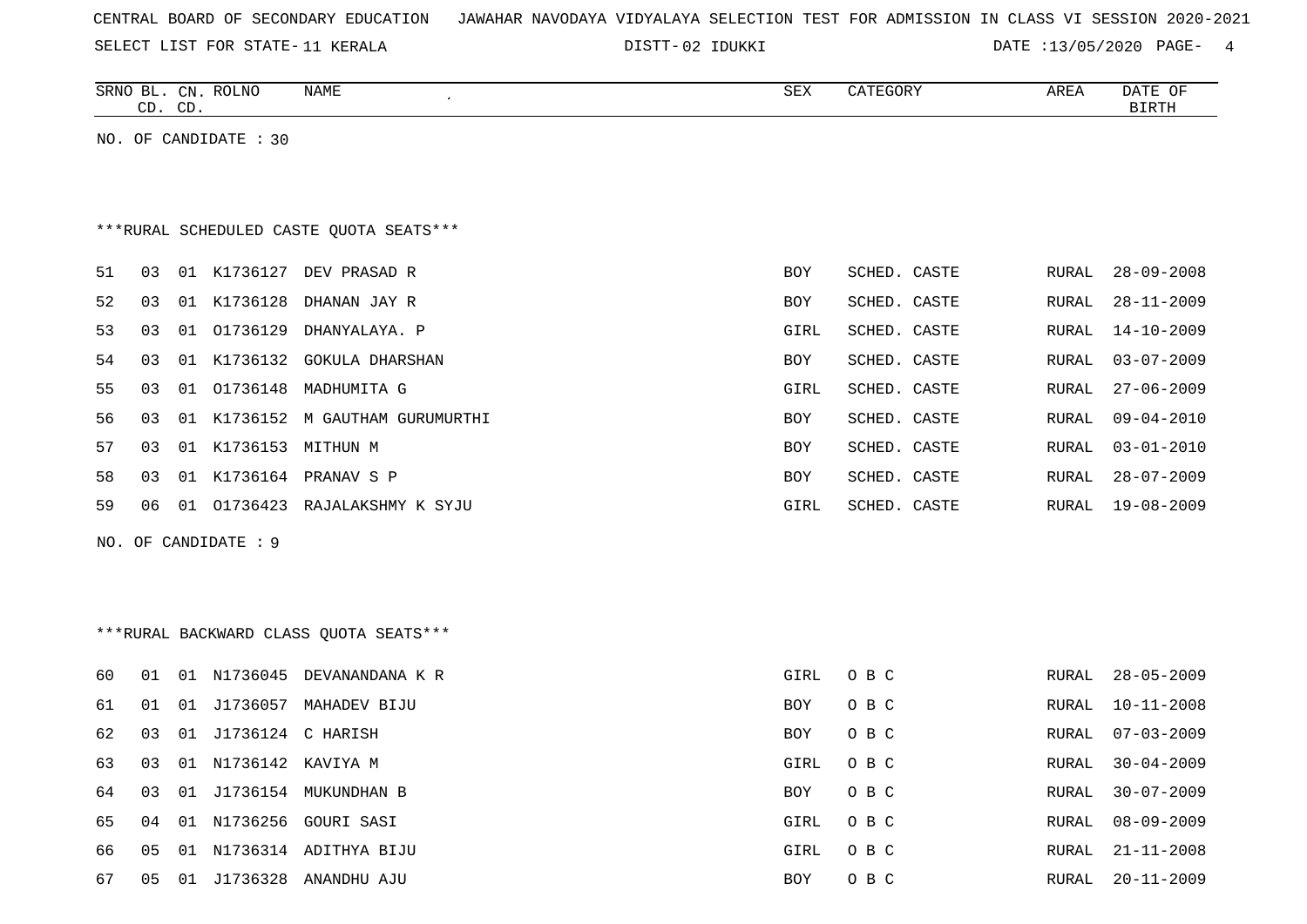|  |  |  | CENTRAL BOARD OF SECONDARY EDUCATION – JAWAHAR NAVODAYA VIDYALAYA SELECTION TEST FOR ADMISSION IN CLASS VI SESSION 2020-2021 |  |  |  |  |  |  |  |  |  |  |  |  |  |  |
|--|--|--|------------------------------------------------------------------------------------------------------------------------------|--|--|--|--|--|--|--|--|--|--|--|--|--|--|
|--|--|--|------------------------------------------------------------------------------------------------------------------------------|--|--|--|--|--|--|--|--|--|--|--|--|--|--|

SELECT LIST FOR STATE-11 KERALA DISTT-02 IDUKKI DATE :13/05/2020 PAGE- 4

|    | CD. CD. |    | SRNO BL. CN. ROLNO    | NAME<br>$\cdot$                         | <b>SEX</b> | CATEGORY     | AREA  | DATE OF<br>BIRTH |
|----|---------|----|-----------------------|-----------------------------------------|------------|--------------|-------|------------------|
|    |         |    | NO. OF CANDIDATE : 30 |                                         |            |              |       |                  |
|    |         |    |                       |                                         |            |              |       |                  |
|    |         |    |                       |                                         |            |              |       |                  |
|    |         |    |                       | ***RURAL SCHEDULED CASTE QUOTA SEATS*** |            |              |       |                  |
| 51 | 03      |    |                       | 01 K1736127 DEV PRASAD R                | BOY        | SCHED. CASTE | RURAL | $28 - 09 - 2008$ |
| 52 | 03      | 01 | K1736128              | DHANAN JAY R                            | BOY        | SCHED. CASTE | RURAL | $28 - 11 - 2009$ |
| 53 | 03      | 01 | 01736129              | DHANYALAYA. P                           | GIRL       | SCHED. CASTE | RURAL | $14 - 10 - 2009$ |
| 54 | 03      |    | 01 K1736132           | <b>GOKULA DHARSHAN</b>                  | BOY        | SCHED. CASTE | RURAL | $03 - 07 - 2009$ |
| 55 | 03      | 01 | 01736148              | MADHUMITA G                             | GIRL       | SCHED. CASTE | RURAL | $27 - 06 - 2009$ |
| 56 | 03      | 01 |                       | K1736152 M GAUTHAM GURUMURTHI           | BOY        | SCHED. CASTE | RURAL | $09 - 04 - 2010$ |
| 57 | 03      |    | 01 K1736153 MITHUN M  |                                         | BOY        | SCHED. CASTE | RURAL | $03 - 01 - 2010$ |
| 58 | 03      |    |                       | 01 K1736164 PRANAV S P                  | BOY        | SCHED. CASTE | RURAL | $28 - 07 - 2009$ |
| 59 | 06      | 01 |                       | 01736423 RAJALAKSHMY K SYJU             | GIRL       | SCHED. CASTE | RURAL | $19 - 08 - 2009$ |
|    |         |    | NO. OF CANDIDATE : 9  |                                         |            |              |       |                  |
|    |         |    |                       |                                         |            |              |       |                  |
|    |         |    |                       |                                         |            |              |       |                  |
|    |         |    |                       | *** RURAL BACKWARD CLASS QUOTA SEATS*** |            |              |       |                  |
| 60 | 01      |    |                       | 01 N1736045 DEVANANDANA K R             | GIRL       | O B C        | RURAL | $28 - 05 - 2009$ |
| 61 | 01      | 01 |                       | J1736057 MAHADEV BIJU                   | BOY        | O B C        | RURAL | $10 - 11 - 2008$ |
| 62 | 03      |    | 01 J1736124 C HARISH  |                                         | BOY        | O B C        | RURAL | $07 - 03 - 2009$ |
| 63 | 03      | 01 |                       | N1736142 KAVIYA M                       | GIRL       | O B C        | RURAL | $30 - 04 - 2009$ |
| 64 | 03      |    |                       | 01 J1736154 MUKUNDHAN B                 | BOY        | O B C        | RURAL | $30 - 07 - 2009$ |
| 65 | 04      |    |                       | 01 N1736256 GOURI SASI                  | GIRL       | O B C        | RURAL | $08 - 09 - 2009$ |
| 66 | 05      | 01 |                       | N1736314 ADITHYA BIJU                   | GIRL       | O B C        | RURAL | $21 - 11 - 2008$ |
| 67 | 05      |    |                       | 01 J1736328 ANANDHU AJU                 | BOY        | O B C        | RURAL | $20 - 11 - 2009$ |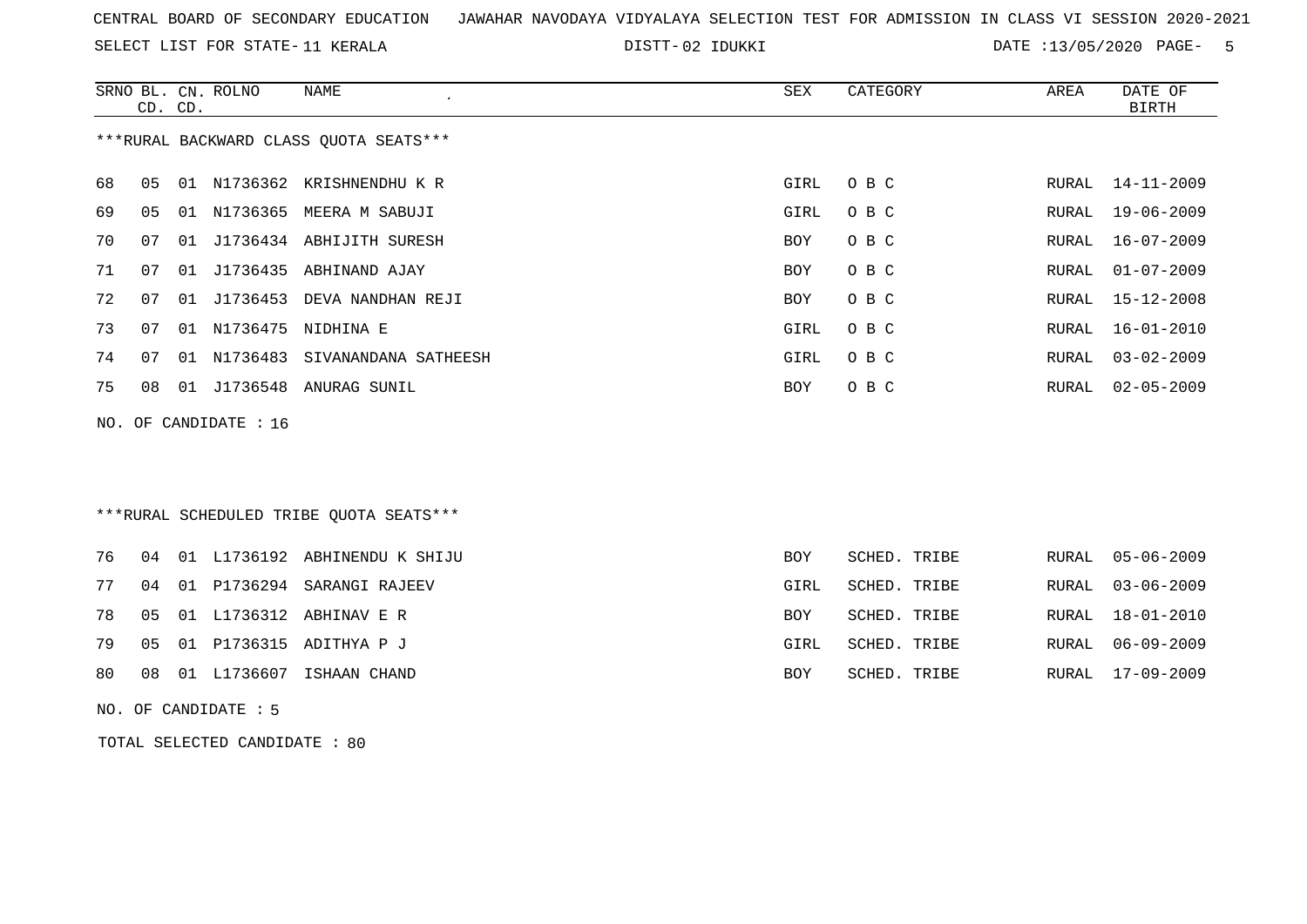SELECT LIST FOR STATE- DISTT- 11 KERALA

02 IDUKKI DATE :13/05/2020 PAGE- 5

|    | CD. CD. | SRNO BL. CN. ROLNO      | NAME<br>$\mathcal{L}_{\mathcal{L}}$     | SEX  | CATEGORY | AREA  | DATE OF<br><b>BIRTH</b> |
|----|---------|-------------------------|-----------------------------------------|------|----------|-------|-------------------------|
|    |         |                         | *** RURAL BACKWARD CLASS QUOTA SEATS*** |      |          |       |                         |
| 68 | 05      |                         | 01 N1736362 KRISHNENDHU K R             | GIRL | O B C    | RURAL | 14-11-2009              |
| 69 | 05      |                         | 01 N1736365 MEERA M SABUJI              | GIRL | O B C    | RURAL | 19-06-2009              |
| 70 | 07      |                         | 01 J1736434 ABHIJITH SURESH             | BOY  | O B C    | RURAL | 16-07-2009              |
| 71 | 07      |                         | 01 J1736435 ABHINAND AJAY               | BOY  | O B C    | RURAL | $01 - 07 - 2009$        |
| 72 | 07      | 01 J1736453             | DEVA NANDHAN REJI                       | BOY  | O B C    | RURAL | 15-12-2008              |
| 73 | 07      |                         | 01 N1736475 NIDHINA E                   | GIRL | O B C    | RURAL | 16-01-2010              |
| 74 | 07      |                         | 01 N1736483 SIVANANDANA SATHEESH        | GIRL | O B C    | RURAL | $03 - 02 - 2009$        |
| 75 | 08      |                         | 01 J1736548 ANURAG SUNIL                | BOY  | O B C    | RURAL | $02 - 05 - 2009$        |
|    |         | NO. OF CANDIDATE : $16$ |                                         |      |          |       |                         |
|    |         |                         |                                         |      |          |       |                         |

## \*\*\*RURAL SCHEDULED TRIBE QUOTA SEATS\*\*\*

|  |  | 76 04 01 L1736192 ABHINENDU K SHIJU | BOY        | SCHED. TRIBE | RURAL 05-06-2009 |
|--|--|-------------------------------------|------------|--------------|------------------|
|  |  | 77 04 01 P1736294 SARANGI RAJEEV    | GIRL       | SCHED. TRIBE | RURAL 03-06-2009 |
|  |  | 78  05  01  L1736312  ABHINAV  E  R | <b>BOY</b> | SCHED. TRIBE | RURAL 18-01-2010 |
|  |  | 79 05 01 P1736315 ADITHYA P J       | GIRL       | SCHED. TRIBE | RURAL 06-09-2009 |
|  |  | 80 08 01 L1736607 ISHAAN CHAND      | BOY        | SCHED. TRIBE | RURAL 17-09-2009 |

NO. OF CANDIDATE : 5

TOTAL SELECTED CANDIDATE : 80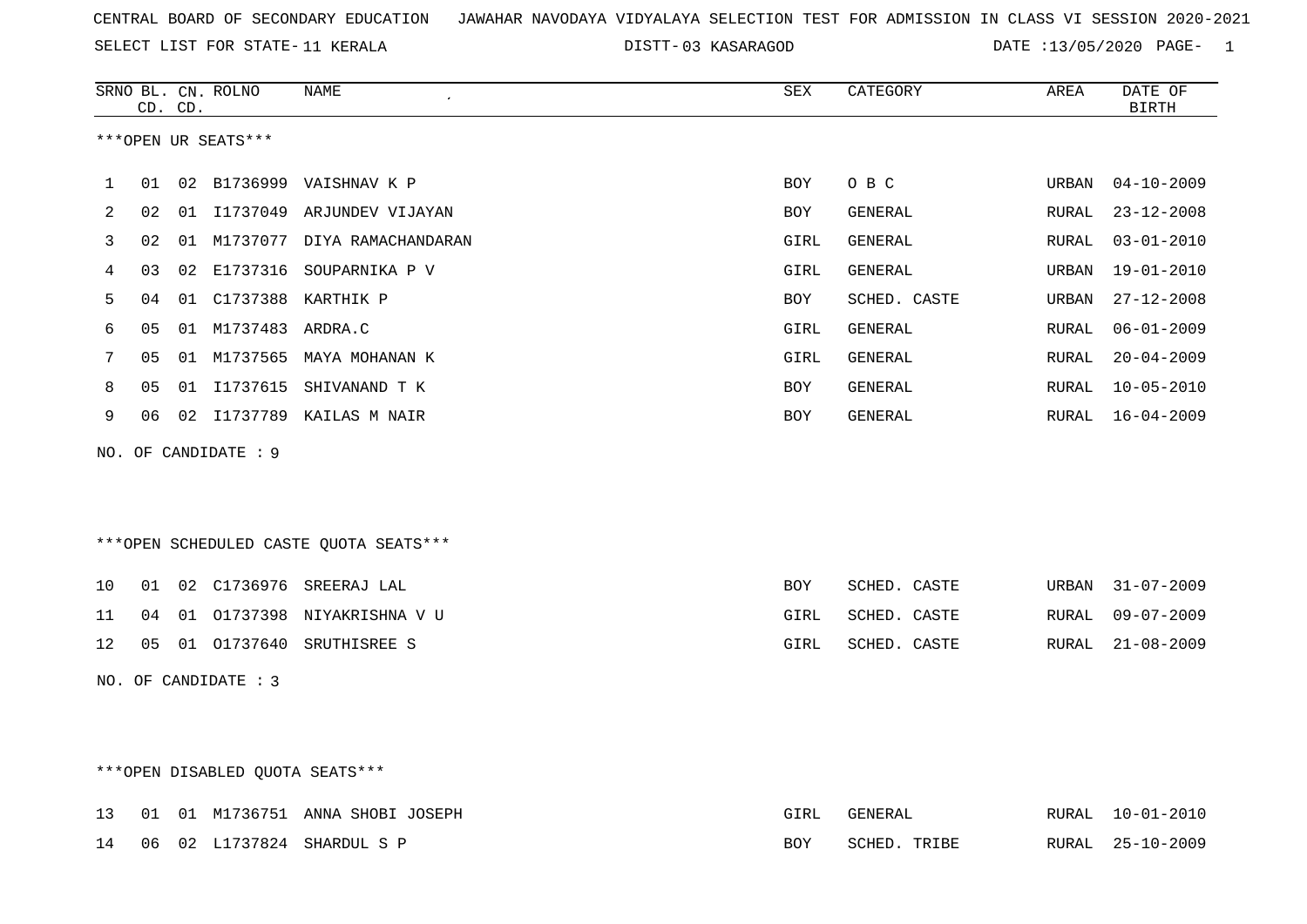SELECT LIST FOR STATE- DISTT- 11 KERALA

03 KASARAGOD DATE :13/05/2020 PAGE- 1

|    |    | CD. CD. | SRNO BL. CN. ROLNO   | <b>NAME</b><br>$\epsilon$              | ${\tt SEX}$ | CATEGORY     | AREA  | DATE OF<br><b>BIRTH</b> |
|----|----|---------|----------------------|----------------------------------------|-------------|--------------|-------|-------------------------|
|    |    |         | ***OPEN UR SEATS***  |                                        |             |              |       |                         |
| 1  | 01 |         |                      | 02 B1736999 VAISHNAV K P               | BOY         | O B C        | URBAN | $04 - 10 - 2009$        |
| 2  | 02 | 01      |                      | I1737049 ARJUNDEV VIJAYAN              | BOY         | GENERAL      | RURAL | $23 - 12 - 2008$        |
| 3  | 02 | 01      |                      | M1737077 DIYA RAMACHANDARAN            | <b>GIRL</b> | GENERAL      | RURAL | $03 - 01 - 2010$        |
| 4  | 03 | 02      | E1737316             | SOUPARNIKA P V                         | GIRL        | GENERAL      | URBAN | $19 - 01 - 2010$        |
| 5  | 04 | 01      |                      | C1737388 KARTHIK P                     | <b>BOY</b>  | SCHED. CASTE | URBAN | $27 - 12 - 2008$        |
| 6  | 05 |         | 01 M1737483 ARDRA.C  |                                        | <b>GIRL</b> | GENERAL      | RURAL | $06 - 01 - 2009$        |
| 7  | 05 | 01      |                      | M1737565 MAYA MOHANAN K                | <b>GIRL</b> | GENERAL      | RURAL | $20 - 04 - 2009$        |
| 8  | 05 | 01      | I1737615             | SHIVANAND T K                          | BOY         | GENERAL      | RURAL | $10 - 05 - 2010$        |
| 9  | 06 |         |                      | 02 I1737789 KAILAS M NAIR              | BOY         | GENERAL      | RURAL | $16 - 04 - 2009$        |
|    |    |         | NO. OF CANDIDATE : 9 |                                        |             |              |       |                         |
|    |    |         |                      |                                        |             |              |       |                         |
|    |    |         |                      |                                        |             |              |       |                         |
|    |    |         |                      | ***OPEN SCHEDULED CASTE QUOTA SEATS*** |             |              |       |                         |
| 10 | 01 |         | 02 C1736976          | SREERAJ LAL                            | <b>BOY</b>  | SCHED. CASTE | URBAN | $31 - 07 - 2009$        |
| 11 | 04 | 01      |                      | 01737398 NIYAKRISHNA V U               | GIRL        | SCHED. CASTE | RURAL | $09 - 07 - 2009$        |
| 12 | 05 |         | 01 01737640          | SRUTHISREE S                           | GIRL        | SCHED. CASTE | RURAL | $21 - 08 - 2009$        |
|    |    |         | NO. OF CANDIDATE : 3 |                                        |             |              |       |                         |
|    |    |         |                      |                                        |             |              |       |                         |
|    |    |         |                      |                                        |             |              |       |                         |

## \*\*\*OPEN DISABLED QUOTA SEATS\*\*\*

|  |  | 13 01 01 M1736751 ANNA SHOBI JOSEPH | GIRL | GENERAL      | RURAL 10-01-2010 |
|--|--|-------------------------------------|------|--------------|------------------|
|  |  | 14 06 02 L1737824 SHARDUL S P       | BOY  | SCHED. TRIBE | RURAL 25-10-2009 |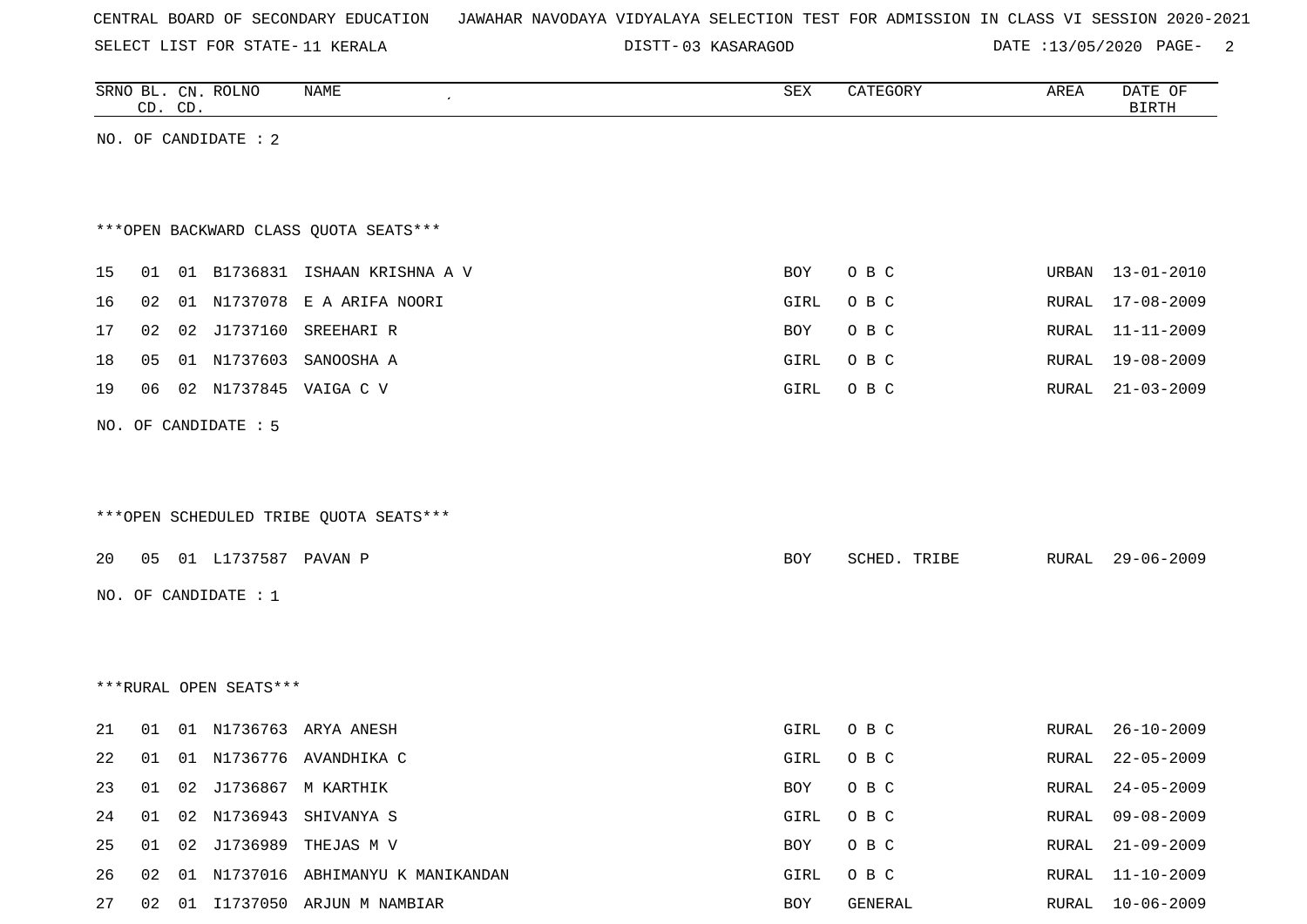SELECT LIST FOR STATE- DISTT- 11 KERALA

03 KASARAGOD DATE :13/05/2020 PAGE- 2

|    | CD. CD. |    | SRNO BL. CN. ROLNO     | NAME                                   | SEX        | CATEGORY     | AREA  | DATE OF<br><b>BIRTH</b> |
|----|---------|----|------------------------|----------------------------------------|------------|--------------|-------|-------------------------|
|    |         |    | NO. OF CANDIDATE : 2   |                                        |            |              |       |                         |
|    |         |    |                        |                                        |            |              |       |                         |
|    |         |    |                        | *** OPEN BACKWARD CLASS QUOTA SEATS*** |            |              |       |                         |
| 15 |         |    |                        | 01 01 B1736831 ISHAAN KRISHNA A V      | <b>BOY</b> | O B C        | URBAN | $13 - 01 - 2010$        |
| 16 | 02      | 01 |                        | N1737078 E A ARIFA NOORI               | GIRL       | O B C        | RURAL | $17 - 08 - 2009$        |
| 17 | 02      | 02 |                        | J1737160 SREEHARI R                    | <b>BOY</b> | O B C        | RURAL | $11 - 11 - 2009$        |
| 18 | 05      |    |                        | 01 N1737603 SANOOSHA A                 | GIRL       | O B C        | RURAL | $19 - 08 - 2009$        |
| 19 | 06      |    |                        | 02 N1737845 VAIGA C V                  | GIRL       | O B C        | RURAL | $21 - 03 - 2009$        |
|    |         |    | NO. OF CANDIDATE : 5   |                                        |            |              |       |                         |
|    |         |    |                        |                                        |            |              |       |                         |
|    |         |    |                        |                                        |            |              |       |                         |
|    |         |    |                        | ***OPEN SCHEDULED TRIBE QUOTA SEATS*** |            |              |       |                         |
| 20 |         |    | 05 01 L1737587 PAVAN P |                                        | BOY        | SCHED. TRIBE | RURAL | $29 - 06 - 2009$        |
|    |         |    | NO. OF CANDIDATE : 1   |                                        |            |              |       |                         |
|    |         |    |                        |                                        |            |              |       |                         |
|    |         |    |                        |                                        |            |              |       |                         |
|    |         |    | ***RURAL OPEN SEATS*** |                                        |            |              |       |                         |
| 21 | 01      |    |                        | 01 N1736763 ARYA ANESH                 | GIRL       | O B C        | RURAL | $26 - 10 - 2009$        |
| 22 | 01      |    |                        | 01 N1736776 AVANDHIKA C                | GIRL       | O B C        | RURAL | $22 - 05 - 2009$        |
| 23 |         |    |                        | 01 02 J1736867 M KARTHIK               | BOY        | O B C        |       | RURAL 24-05-2009        |
| 24 |         |    |                        | 01 02 N1736943 SHIVANYA S              | GIRL       | O B C        | RURAL | $09 - 08 - 2009$        |
| 25 |         |    |                        | 01 02 J1736989 THEJAS M V              | BOY        | O B C        | RURAL | $21 - 09 - 2009$        |
| 26 |         |    |                        | 02 01 N1737016 ABHIMANYU K MANIKANDAN  | GIRL       | O B C        |       | RURAL 11-10-2009        |
|    |         |    |                        |                                        |            |              |       |                         |

27 02 01 I1737050 ARJUN M NAMBIAR BOY GENERAL RURAL 10-06-2009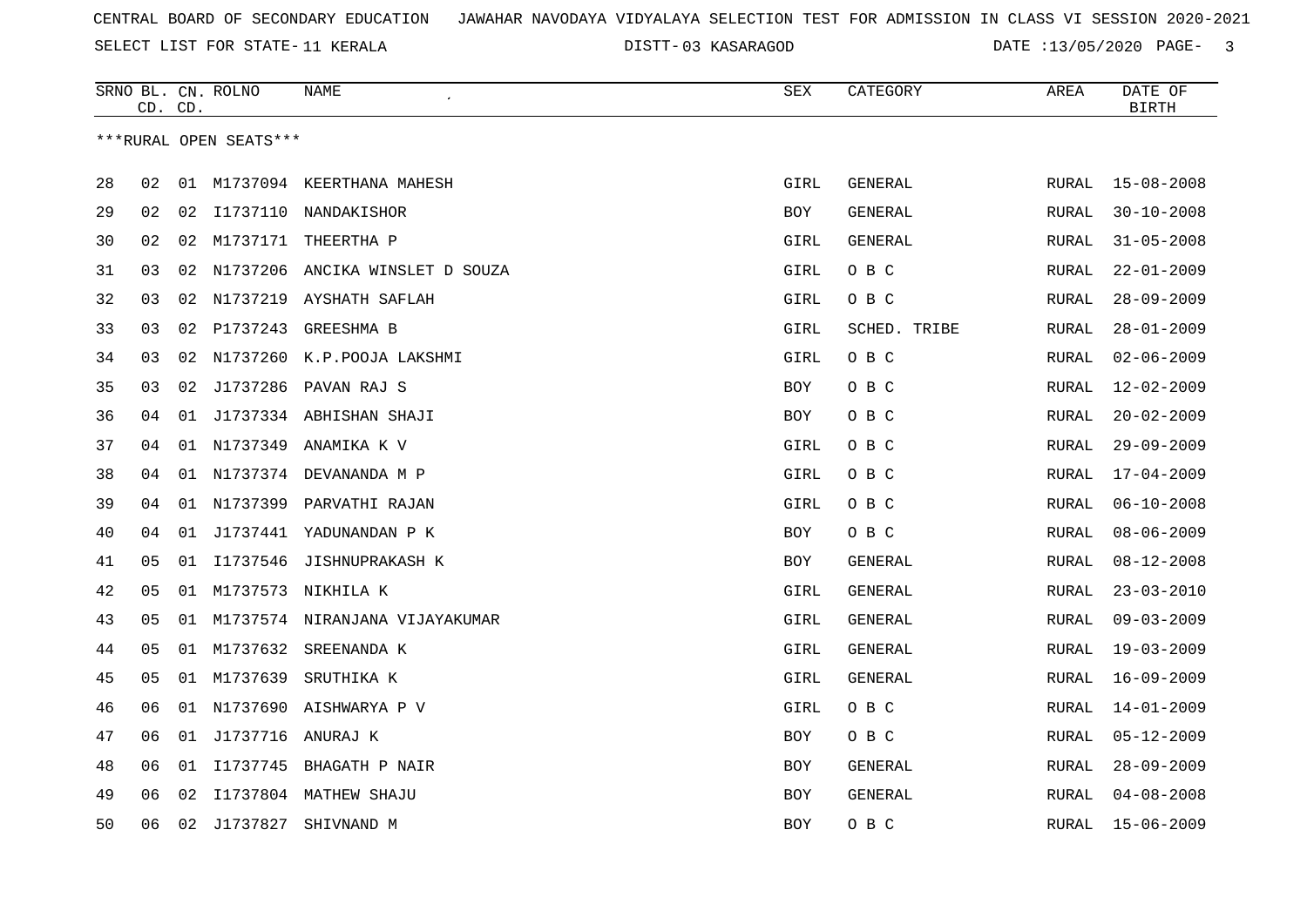SELECT LIST FOR STATE- DISTT- 11 KERALA

03 KASARAGOD DATE :13/05/2020 PAGE- 3

|    | CD. CD. |    | SRNO BL. CN. ROLNO     | NAME                               | <b>SEX</b> | CATEGORY       | AREA         | DATE OF<br><b>BIRTH</b> |
|----|---------|----|------------------------|------------------------------------|------------|----------------|--------------|-------------------------|
|    |         |    | ***RURAL OPEN SEATS*** |                                    |            |                |              |                         |
|    |         |    |                        |                                    |            |                |              |                         |
| 28 | 02      | 01 |                        | M1737094 KEERTHANA MAHESH          | GIRL       | <b>GENERAL</b> | RURAL        | $15 - 08 - 2008$        |
| 29 | 02      | 02 |                        | I1737110 NANDAKISHOR               | BOY        | GENERAL        | RURAL        | $30 - 10 - 2008$        |
| 30 | 02      | 02 |                        | M1737171 THEERTHA P                | GIRL       | <b>GENERAL</b> | RURAL        | $31 - 05 - 2008$        |
| 31 | 03      |    |                        | 02 N1737206 ANCIKA WINSLET D SOUZA | GIRL       | O B C          | RURAL        | $22 - 01 - 2009$        |
| 32 | 03      | 02 | N1737219               | AYSHATH SAFLAH                     | GIRL       | O B C          | RURAL        | $28 - 09 - 2009$        |
| 33 | 03      | 02 | P1737243               | GREESHMA B                         | GIRL       | SCHED. TRIBE   | RURAL        | $28 - 01 - 2009$        |
| 34 | 03      | 02 |                        | N1737260 K.P.POOJA LAKSHMI         | GIRL       | O B C          | RURAL        | $02 - 06 - 2009$        |
| 35 | 03      | 02 | J1737286               | PAVAN RAJ S                        | <b>BOY</b> | O B C          | RURAL        | $12 - 02 - 2009$        |
| 36 | 04      |    |                        | 01 J1737334 ABHISHAN SHAJI         | BOY        | O B C          | RURAL        | $20 - 02 - 2009$        |
| 37 | 04      | 01 | N1737349               | ANAMIKA K V                        | GIRL       | O B C          | RURAL        | $29 - 09 - 2009$        |
| 38 | 04      | 01 |                        | N1737374 DEVANANDA M P             | GIRL       | O B C          | RURAL        | $17 - 04 - 2009$        |
| 39 | 04      | 01 | N1737399               | PARVATHI RAJAN                     | GIRL       | O B C          | RURAL        | $06 - 10 - 2008$        |
| 40 | 04      |    |                        | 01 J1737441 YADUNANDAN P K         | BOY        | O B C          | RURAL        | $08 - 06 - 2009$        |
| 41 | 05      | 01 | I1737546               | JISHNUPRAKASH K                    | BOY        | GENERAL        | RURAL        | $08 - 12 - 2008$        |
| 42 | 05      |    |                        | 01 M1737573 NIKHILA K              | GIRL       | GENERAL        | RURAL        | $23 - 03 - 2010$        |
| 43 | 05      | 01 |                        | M1737574 NIRANJANA VIJAYAKUMAR     | GIRL       | GENERAL        | RURAL        | $09 - 03 - 2009$        |
| 44 | 05      | 01 | M1737632               | SREENANDA K                        | GIRL       | GENERAL        | RURAL        | $19 - 03 - 2009$        |
| 45 | 05      |    | 01 M1737639            | SRUTHIKA K                         | GIRL       | GENERAL        | RURAL        | $16 - 09 - 2009$        |
| 46 | 06      | 01 |                        | N1737690 AISHWARYA P V             | GIRL       | O B C          | RURAL        | $14 - 01 - 2009$        |
| 47 | 06      |    | 01 J1737716 ANURAJ K   |                                    | BOY        | овс            | RURAL        | $05 - 12 - 2009$        |
| 48 | 06      | 01 | I1737745               | BHAGATH P NAIR                     | <b>BOY</b> | GENERAL        | <b>RURAL</b> | $28 - 09 - 2009$        |
| 49 | 06      | 02 |                        | I1737804 MATHEW SHAJU              | <b>BOY</b> | GENERAL        | RURAL        | $04 - 08 - 2008$        |
| 50 | 06      |    | 02 J1737827            | SHIVNAND M                         | <b>BOY</b> | овс            | RURAL        | $15 - 06 - 2009$        |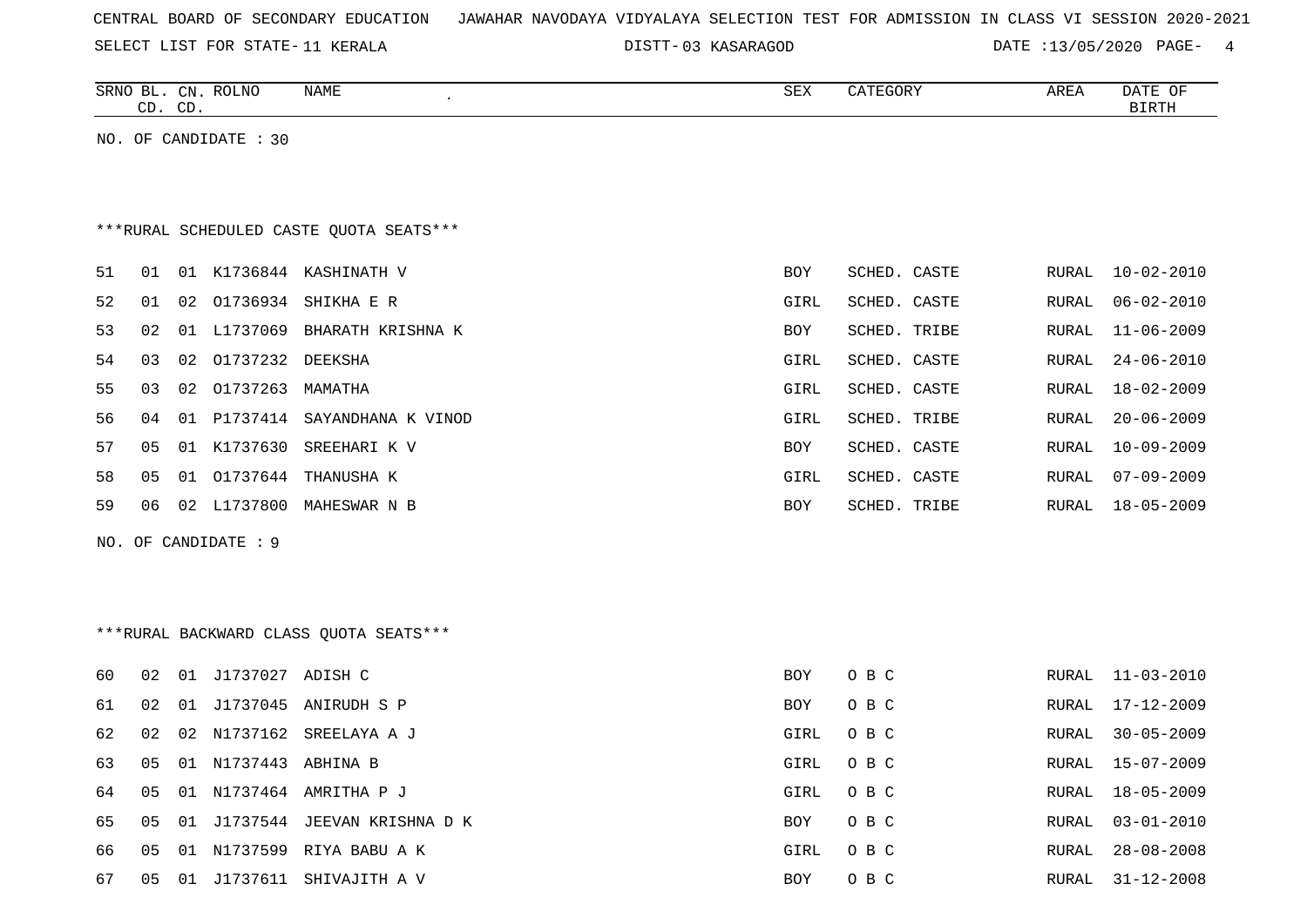|  |  |  |  | CENTRAL BOARD OF SECONDARY EDUCATION – JAWAHAR NAVODAYA VIDYALAYA SELECTION TEST FOR ADMISSION IN CLASS VI SESSION 2020-2021 |  |  |  |  |  |  |  |  |  |  |  |  |  |  |
|--|--|--|--|------------------------------------------------------------------------------------------------------------------------------|--|--|--|--|--|--|--|--|--|--|--|--|--|--|
|--|--|--|--|------------------------------------------------------------------------------------------------------------------------------|--|--|--|--|--|--|--|--|--|--|--|--|--|--|

SELECT LIST FOR STATE- DISTT- 11 KERALA

03 KASARAGOD DATE :13/05/2020 PAGE- 4

|    |    | CD. CD. | SRNO BL. CN. ROLNO    | NAME                                     | SEX  | CATEGORY     | AREA          | DATE OF<br><b>BIRTH</b> |
|----|----|---------|-----------------------|------------------------------------------|------|--------------|---------------|-------------------------|
|    |    |         | NO. OF CANDIDATE : 30 |                                          |      |              |               |                         |
|    |    |         |                       |                                          |      |              |               |                         |
|    |    |         |                       |                                          |      |              |               |                         |
|    |    |         |                       | *** RURAL SCHEDULED CASTE QUOTA SEATS*** |      |              |               |                         |
| 51 | 01 |         |                       | 01 K1736844 KASHINATH V                  | BOY  | SCHED. CASTE | ${\tt RURAL}$ | $10 - 02 - 2010$        |
| 52 | 01 |         | 02 01736934           | SHIKHA E R                               | GIRL | SCHED. CASTE | RURAL         | $06 - 02 - 2010$        |
| 53 | 02 |         | 01 L1737069           | BHARATH KRISHNA K                        | BOY  | SCHED. TRIBE | RURAL         | $11 - 06 - 2009$        |
| 54 | 03 | 02      | 01737232 DEEKSHA      |                                          | GIRL | SCHED. CASTE | RURAL         | $24 - 06 - 2010$        |
| 55 | 03 |         | 02 01737263           | MAMATHA                                  | GIRL | SCHED. CASTE | RURAL         | $18 - 02 - 2009$        |
| 56 | 04 |         |                       | 01 P1737414 SAYANDHANA K VINOD           | GIRL | SCHED. TRIBE | RURAL         | $20 - 06 - 2009$        |
| 57 | 05 |         | 01 K1737630           | SREEHARI K V                             | BOY  | SCHED. CASTE | RURAL         | $10 - 09 - 2009$        |
| 58 | 05 |         | 01 01737644           | THANUSHA K                               | GIRL | SCHED. CASTE | RURAL         | $07 - 09 - 2009$        |
| 59 | 06 |         |                       | 02 L1737800 MAHESWAR N B                 | BOY  | SCHED. TRIBE | RURAL         | $18 - 05 - 2009$        |
|    |    |         | NO. OF CANDIDATE : 9  |                                          |      |              |               |                         |
|    |    |         |                       |                                          |      |              |               |                         |
|    |    |         |                       |                                          |      |              |               |                         |
|    |    |         |                       | ***RURAL BACKWARD CLASS QUOTA SEATS***   |      |              |               |                         |
|    |    |         |                       |                                          |      |              |               |                         |
| 60 | 02 |         | 01 J1737027 ADISH C   |                                          | BOY  | O B C        | RURAL         | $11 - 03 - 2010$        |
| 61 | 02 |         |                       | 01 J1737045 ANIRUDH S P                  | BOY  | O B C        | RURAL         | 17-12-2009              |
| 62 | 02 |         |                       | 02 N1737162 SREELAYA A J                 | GIRL | O B C        | RURAL         | $30 - 05 - 2009$        |
| 63 | 05 |         | 01 N1737443 ABHINA B  |                                          | GIRL | O B C        | RURAL         | $15 - 07 - 2009$        |
| 64 | 05 |         |                       | 01 N1737464 AMRITHA P J                  | GIRL | O B C        | RURAL         | $18 - 05 - 2009$        |
| 65 | 05 |         |                       | 01 J1737544 JEEVAN KRISHNA D K           | BOY  | O B C        | RURAL         | $03 - 01 - 2010$        |
| 66 | 05 |         |                       | 01 N1737599 RIYA BABU A K                | GIRL | O B C        | RURAL         | $28 - 08 - 2008$        |

67 05 01 J1737611 SHIVAJITH A V 67 2008 2008 2009 2010 2020 2031-02-2008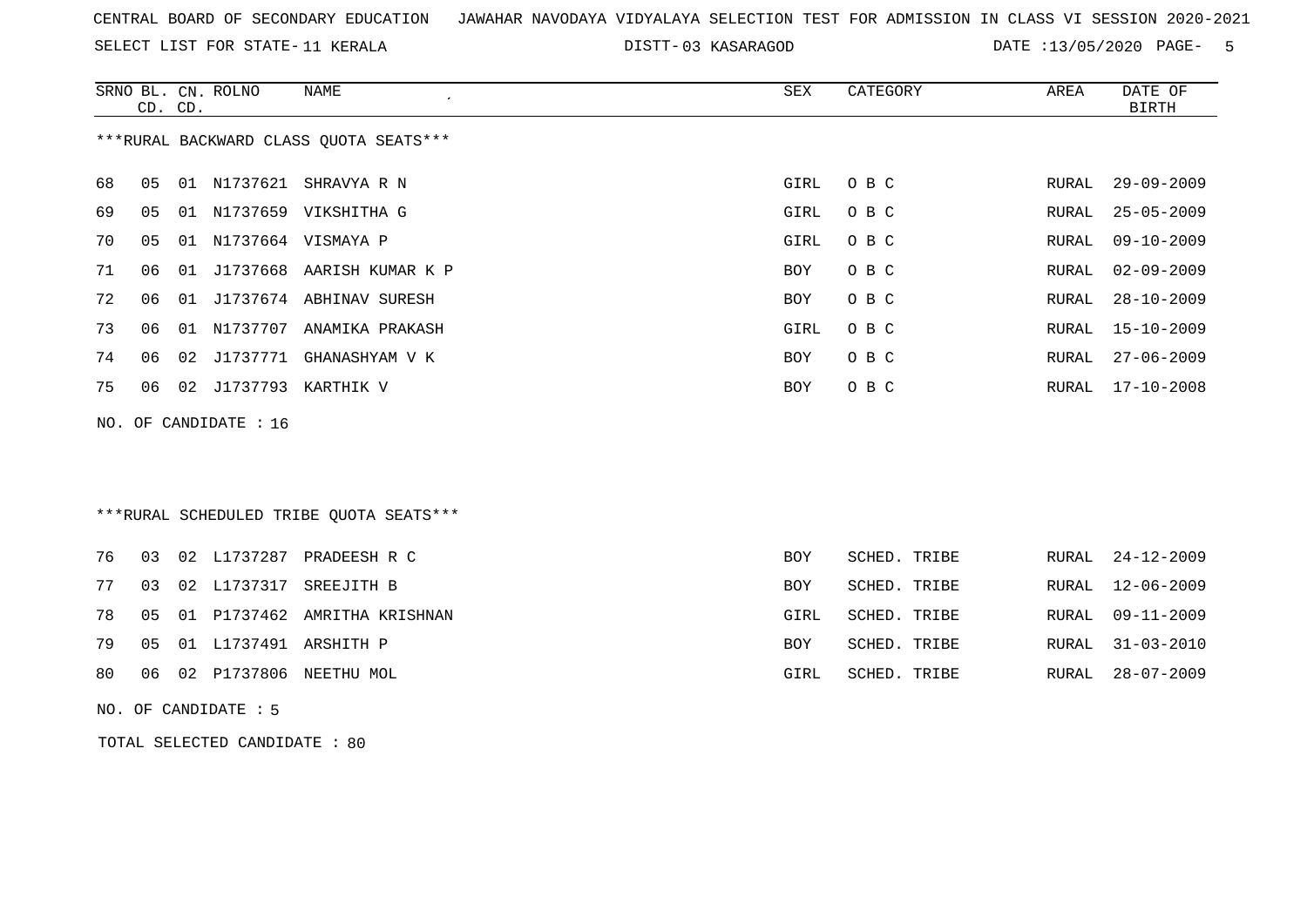SELECT LIST FOR STATE- DISTT- 11 KERALA

03 KASARAGOD DATE :13/05/2020 PAGE- 5

|    |    | CD. CD. | SRNO BL. CN. ROLNO    | <b>NAME</b>                              | ${\tt SEX}$ | CATEGORY     | AREA  | DATE OF<br><b>BIRTH</b> |
|----|----|---------|-----------------------|------------------------------------------|-------------|--------------|-------|-------------------------|
|    |    |         |                       | *** RURAL BACKWARD CLASS QUOTA SEATS***  |             |              |       |                         |
| 68 | 05 |         |                       | 01 N1737621 SHRAVYA R N                  | GIRL        | O B C        | RURAL | $29 - 09 - 2009$        |
| 69 | 05 |         |                       | 01 N1737659 VIKSHITHA G                  | GIRL        | O B C        | RURAL | $25 - 05 - 2009$        |
| 70 | 05 |         |                       | 01 N1737664 VISMAYA P                    | GIRL        | O B C        | RURAL | $09 - 10 - 2009$        |
| 71 | 06 |         |                       | 01 J1737668 AARISH KUMAR K P             | BOY         | O B C        | RURAL | $02 - 09 - 2009$        |
| 72 | 06 |         |                       | 01 J1737674 ABHINAV SURESH               | <b>BOY</b>  | O B C        | RURAL | $28 - 10 - 2009$        |
| 73 | 06 | 01      |                       | N1737707 ANAMIKA PRAKASH                 | GIRL        | O B C        | RURAL | $15 - 10 - 2009$        |
| 74 | 06 | 02      |                       | J1737771 GHANASHYAM V K                  | <b>BOY</b>  | O B C        | RURAL | $27 - 06 - 2009$        |
| 75 | 06 |         |                       | 02 J1737793 KARTHIK V                    | BOY         | O B C        | RURAL | $17 - 10 - 2008$        |
|    |    |         | NO. OF CANDIDATE : 16 |                                          |             |              |       |                         |
|    |    |         |                       |                                          |             |              |       |                         |
|    |    |         |                       |                                          |             |              |       |                         |
|    |    |         |                       | *** RURAL SCHEDULED TRIBE QUOTA SEATS*** |             |              |       |                         |
| 76 | 03 |         |                       | 02 L1737287 PRADEESH R C                 | <b>BOY</b>  | SCHED. TRIBE | RURAL | $24 - 12 - 2009$        |
| 77 | 03 |         | 02 L1737317           | SREEJITH B                               | BOY         | SCHED. TRIBE | RURAL | $12 - 06 - 2009$        |
|    |    |         |                       | 01 P1737462 AMRITHA KRISHNAN             |             |              |       |                         |
| 78 | 05 |         |                       |                                          | GIRL        | SCHED. TRIBE | RURAL | $09 - 11 - 2009$        |
| 79 | 05 |         |                       | 01 L1737491 ARSHITH P                    | BOY         | SCHED. TRIBE | RURAL | $31 - 03 - 2010$        |
| 80 | 06 |         |                       | 02 P1737806 NEETHU MOL                   | GIRL        | SCHED. TRIBE | RURAL | $28 - 07 - 2009$        |

NO. OF CANDIDATE : 5

TOTAL SELECTED CANDIDATE : 80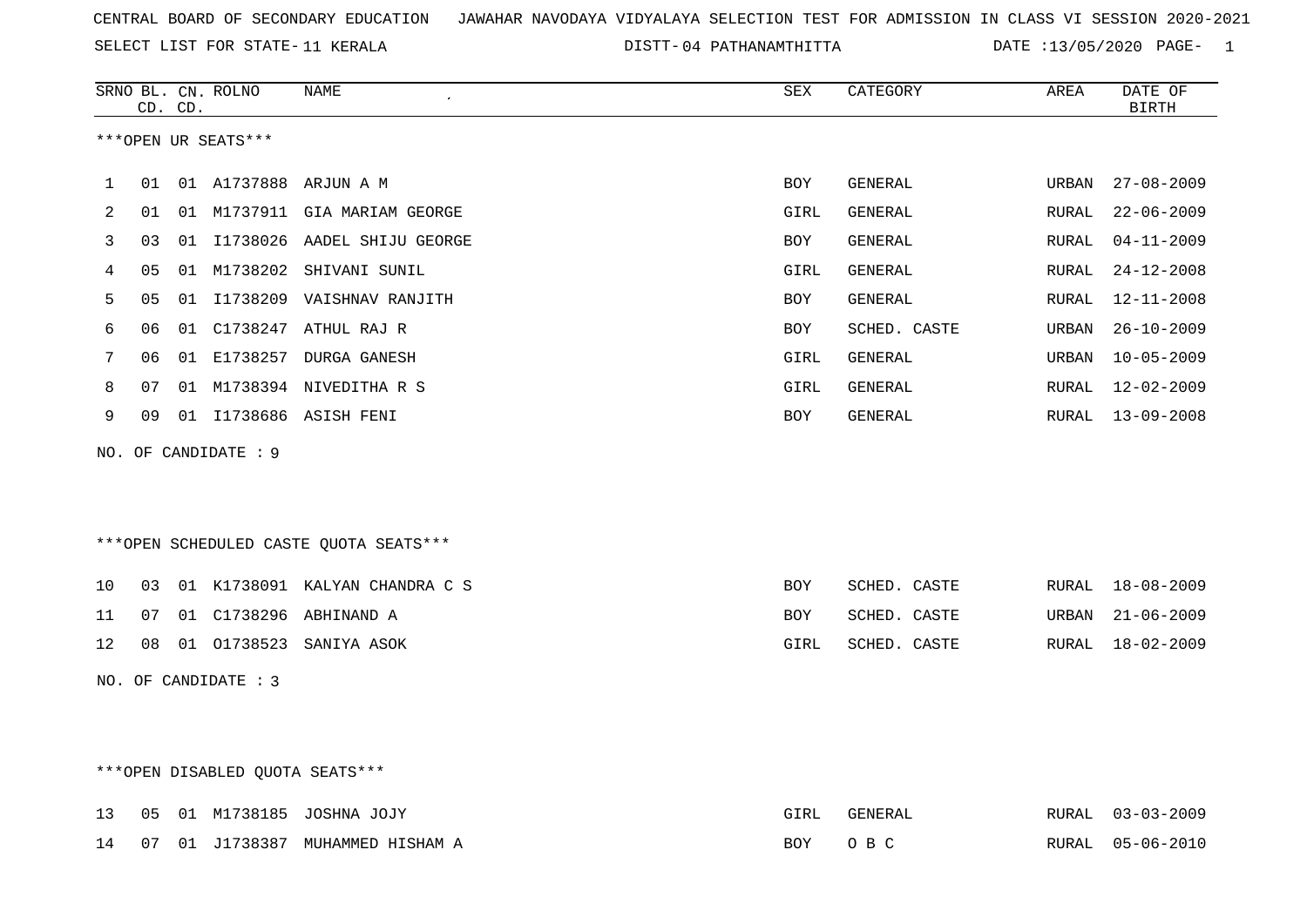SELECT LIST FOR STATE- DISTT- 11 KERALA

04 PATHANAMTHITTA DATE :13/05/2020 PAGE- 1

|    | CD. CD. |    | SRNO BL. CN. ROLNO   | <b>NAME</b>                             | ${\tt SEX}$ | CATEGORY     | AREA  | DATE OF<br><b>BIRTH</b> |
|----|---------|----|----------------------|-----------------------------------------|-------------|--------------|-------|-------------------------|
|    |         |    | ***OPEN UR SEATS***  |                                         |             |              |       |                         |
| 1  | 01      |    |                      | 01 A1737888 ARJUN A M                   | <b>BOY</b>  | GENERAL      | URBAN | $27 - 08 - 2009$        |
| 2  | 01      |    |                      | 01 M1737911 GIA MARIAM GEORGE           | GIRL        | GENERAL      | RURAL | $22 - 06 - 2009$        |
| 3  | 03      |    |                      | 01 I1738026 AADEL SHIJU GEORGE          | BOY         | GENERAL      | RURAL | $04 - 11 - 2009$        |
| 4  | 05      | 01 |                      | M1738202 SHIVANI SUNIL                  | GIRL        | GENERAL      | RURAL | $24 - 12 - 2008$        |
| 5  | 05      |    |                      | 01 I1738209 VAISHNAV RANJITH            | BOY         | GENERAL      | RURAL | $12 - 11 - 2008$        |
| 6  | 06      |    |                      | 01 C1738247 ATHUL RAJ R                 | BOY         | SCHED. CASTE | URBAN | $26 - 10 - 2009$        |
| 7  | 06      |    |                      | 01 E1738257 DURGA GANESH                | GIRL        | GENERAL      | URBAN | $10 - 05 - 2009$        |
| 8  | 07      | 01 |                      | M1738394 NIVEDITHA R S                  | GIRL        | GENERAL      | RURAL | $12 - 02 - 2009$        |
| 9  | 09      |    |                      | 01 I1738686 ASISH FENI                  | BOY         | GENERAL      | RURAL | $13 - 09 - 2008$        |
|    |         |    | NO. OF CANDIDATE : 9 |                                         |             |              |       |                         |
|    |         |    |                      |                                         |             |              |       |                         |
|    |         |    |                      |                                         |             |              |       |                         |
|    |         |    |                      | *** OPEN SCHEDULED CASTE QUOTA SEATS*** |             |              |       |                         |
| 10 | 03      |    |                      | 01 K1738091 KALYAN CHANDRA C S          | <b>BOY</b>  | SCHED. CASTE | RURAL | $18 - 08 - 2009$        |
| 11 | 07      | 01 |                      | C1738296 ABHINAND A                     | BOY         | SCHED. CASTE | URBAN | $21 - 06 - 2009$        |
| 12 | 08      |    |                      | 01 01738523 SANIYA ASOK                 | GIRL        | SCHED. CASTE | RURAL | $18 - 02 - 2009$        |
|    |         |    | NO. OF CANDIDATE : 3 |                                         |             |              |       |                         |
|    |         |    |                      |                                         |             |              |       |                         |
|    |         |    |                      |                                         |             |              |       |                         |

# \*\*\*OPEN DISABLED QUOTA SEATS\*\*\*

|  |  | 13  05  01  M1738185  JOSHNA  JOJY  | GIRL    | GENERAL | RURAL 03-03-2009 |
|--|--|-------------------------------------|---------|---------|------------------|
|  |  | 14 07 01 J1738387 MUHAMMED HISHAM A | BOY OBC |         | RURAL 05-06-2010 |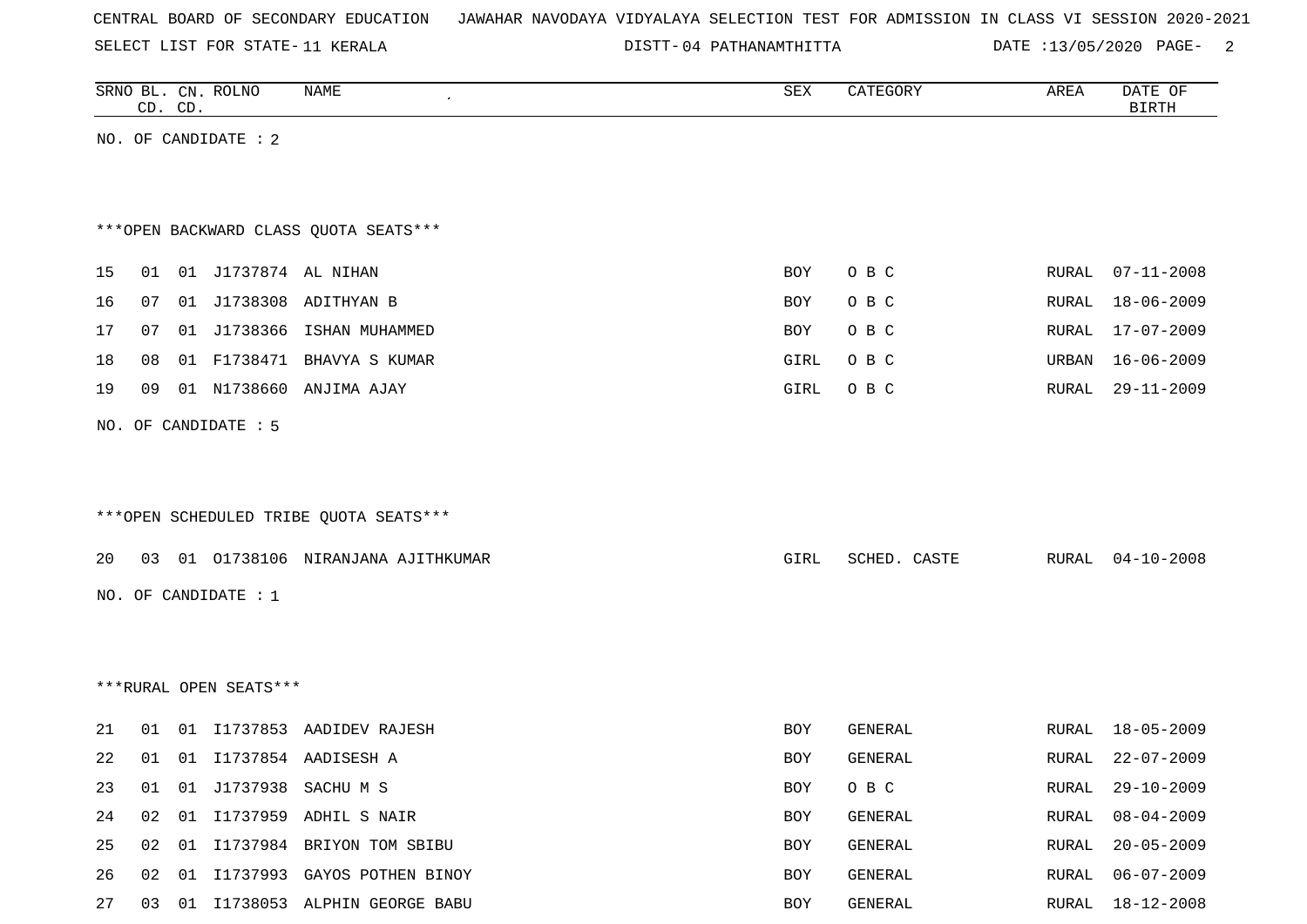SELECT LIST FOR STATE- DISTT- 11 KERALA

04 PATHANAMTHITTA DATE :13/05/2020 PAGE- 2

|    |    | CD. CD. | SRNO BL. CN. ROLNO     | NAME                                   | ${\tt SEX}$ | CATEGORY     | AREA  | DATE OF<br><b>BIRTH</b> |
|----|----|---------|------------------------|----------------------------------------|-------------|--------------|-------|-------------------------|
|    |    |         | NO. OF CANDIDATE : 2   |                                        |             |              |       |                         |
|    |    |         |                        |                                        |             |              |       |                         |
|    |    |         |                        |                                        |             |              |       |                         |
|    |    |         |                        | *** OPEN BACKWARD CLASS QUOTA SEATS*** |             |              |       |                         |
| 15 | 01 |         | 01 J1737874 AL NIHAN   |                                        | BOY         | O B C        | RURAL | $07 - 11 - 2008$        |
| 16 | 07 |         |                        | 01 J1738308 ADITHYAN B                 | BOY         | O B C        | RURAL | $18 - 06 - 2009$        |
| 17 | 07 |         |                        | 01 J1738366 ISHAN MUHAMMED             | BOY         | O B C        | RURAL | 17-07-2009              |
| 18 | 08 |         |                        | 01 F1738471 BHAVYA S KUMAR             | GIRL        | O B C        | URBAN | $16 - 06 - 2009$        |
| 19 | 09 |         |                        | 01 N1738660 ANJIMA AJAY                | GIRL        | O B C        | RURAL | $29 - 11 - 2009$        |
|    |    |         | NO. OF CANDIDATE : 5   |                                        |             |              |       |                         |
|    |    |         |                        |                                        |             |              |       |                         |
|    |    |         |                        |                                        |             |              |       |                         |
|    |    |         |                        | ***OPEN SCHEDULED TRIBE QUOTA SEATS*** |             |              |       |                         |
| 20 | 03 |         |                        | 01 01738106 NIRANJANA AJITHKUMAR       | GIRL        | SCHED. CASTE | RURAL | $04 - 10 - 2008$        |
|    |    |         |                        |                                        |             |              |       |                         |
|    |    |         | NO. OF CANDIDATE : $1$ |                                        |             |              |       |                         |
|    |    |         |                        |                                        |             |              |       |                         |
|    |    |         |                        |                                        |             |              |       |                         |
|    |    |         | ***RURAL OPEN SEATS*** |                                        |             |              |       |                         |
| 21 | 01 |         |                        | 01 I1737853 AADIDEV RAJESH             | BOY         | GENERAL      | RURAL | $18 - 05 - 2009$        |
| 22 | 01 |         |                        | 01 I1737854 AADISESH A                 | BOY         | GENERAL      | RURAL | $22 - 07 - 2009$        |
| 23 | 01 |         |                        | 01 J1737938 SACHU M S                  | BOY         | O B C        | RURAL | $29 - 10 - 2009$        |
| 24 | 02 |         |                        | 01 I1737959 ADHIL S NAIR               | BOY         | GENERAL      | RURAL | $08 - 04 - 2009$        |
| 25 | 02 | 01      |                        | I1737984 BRIYON TOM SBIBU              | BOY         | GENERAL      | RURAL | $20 - 05 - 2009$        |
| 26 | 02 | 01      |                        | I1737993 GAYOS POTHEN BINOY            | BOY         | GENERAL      | RURAL | $06 - 07 - 2009$        |
| 27 | 03 |         |                        | 01 I1738053 ALPHIN GEORGE BABU         | BOY         | GENERAL      | RURAL | 18-12-2008              |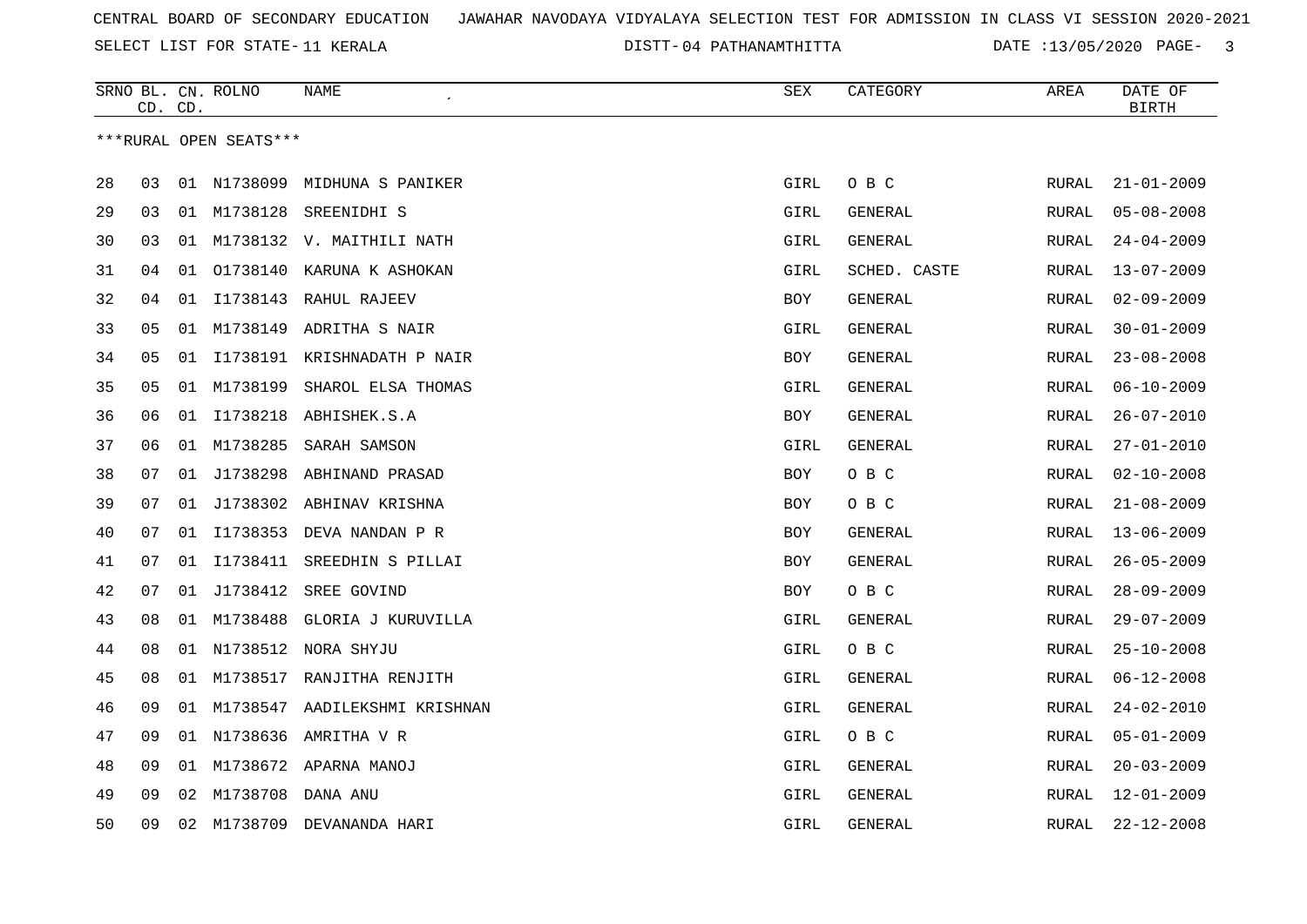SELECT LIST FOR STATE- DISTT- 11 KERALA

04 PATHANAMTHITTA DATE :13/05/2020 PAGE- 3

|    | CD. | CD. | SRNO BL. CN. ROLNO     | NAME                          | SEX        | CATEGORY       | AREA         | DATE OF<br><b>BIRTH</b> |
|----|-----|-----|------------------------|-------------------------------|------------|----------------|--------------|-------------------------|
|    |     |     | ***RURAL OPEN SEATS*** |                               |            |                |              |                         |
| 28 | 03  | 01  | N1738099               | MIDHUNA S PANIKER             | GIRL       | O B C          | <b>RURAL</b> | $21 - 01 - 2009$        |
| 29 | 03  |     | 01 M1738128            | SREENIDHI S                   | GIRL       | GENERAL        | <b>RURAL</b> | $05 - 08 - 2008$        |
| 30 | 03  | 01  |                        | M1738132 V. MAITHILI NATH     | GIRL       | <b>GENERAL</b> | <b>RURAL</b> | $24 - 04 - 2009$        |
| 31 | 04  | 01  |                        | 01738140 KARUNA K ASHOKAN     | GIRL       | SCHED. CASTE   | RURAL        | $13 - 07 - 2009$        |
| 32 | 04  | 01  |                        | I1738143 RAHUL RAJEEV         | BOY        | GENERAL        | RURAL        | $02 - 09 - 2009$        |
| 33 | 05  |     |                        | 01 M1738149 ADRITHA S NAIR    | GIRL       | GENERAL        | RURAL        | $30 - 01 - 2009$        |
| 34 | 05  | 01  |                        | I1738191 KRISHNADATH P NAIR   | BOY        | <b>GENERAL</b> | RURAL        | $23 - 08 - 2008$        |
| 35 | 05  | 01  | M1738199               | SHAROL ELSA THOMAS            | GIRL       | GENERAL        | RURAL        | $06 - 10 - 2009$        |
| 36 | 06  | 01  | I1738218               | ABHISHEK.S.A                  | BOY        | GENERAL        | RURAL        | $26 - 07 - 2010$        |
| 37 | 06  | 01  | M1738285               | SARAH SAMSON                  | GIRL       | GENERAL        | RURAL        | $27 - 01 - 2010$        |
| 38 | 07  |     |                        | 01 J1738298 ABHINAND PRASAD   | BOY        | O B C          | RURAL        | $02 - 10 - 2008$        |
| 39 | 07  | 01  |                        | J1738302 ABHINAV KRISHNA      | <b>BOY</b> | O B C          | <b>RURAL</b> | $21 - 08 - 2009$        |
| 40 | 07  | 01  |                        | I1738353 DEVA NANDAN P R      | <b>BOY</b> | GENERAL        | RURAL        | $13 - 06 - 2009$        |
| 41 | 07  | 01  | I1738411               | SREEDHIN S PILLAI             | BOY        | GENERAL        | RURAL        | $26 - 05 - 2009$        |
| 42 | 07  | 01  | J1738412               | SREE GOVIND                   | BOY        | O B C          | RURAL        | $28 - 09 - 2009$        |
| 43 | 08  | 01  | M1738488               | GLORIA J KURUVILLA            | GIRL       | GENERAL        | RURAL        | $29 - 07 - 2009$        |
| 44 | 08  |     |                        | 01 N1738512 NORA SHYJU        | GIRL       | O B C          | RURAL        | $25 - 10 - 2008$        |
| 45 | 08  | 01  | M1738517               | RANJITHA RENJITH              | GIRL       | GENERAL        | RURAL        | $06 - 12 - 2008$        |
| 46 | 09  | 01  |                        | M1738547 AADILEKSHMI KRISHNAN | GIRL       | GENERAL        | <b>RURAL</b> | $24 - 02 - 2010$        |
| 47 | 09  |     |                        | 01 N1738636 AMRITHA V R       | GIRL       | O B C          | RURAL        | $05 - 01 - 2009$        |
| 48 | 09  | 01  |                        | M1738672 APARNA MANOJ         | GIRL       | GENERAL        | <b>RURAL</b> | $20 - 03 - 2009$        |
| 49 | 09  | 02  |                        | M1738708 DANA ANU             | GIRL       | GENERAL        | RURAL        | $12 - 01 - 2009$        |
| 50 | 09  | 02  | M1738709               | DEVANANDA HARI                | GIRL       | GENERAL        | RURAL        | $22 - 12 - 2008$        |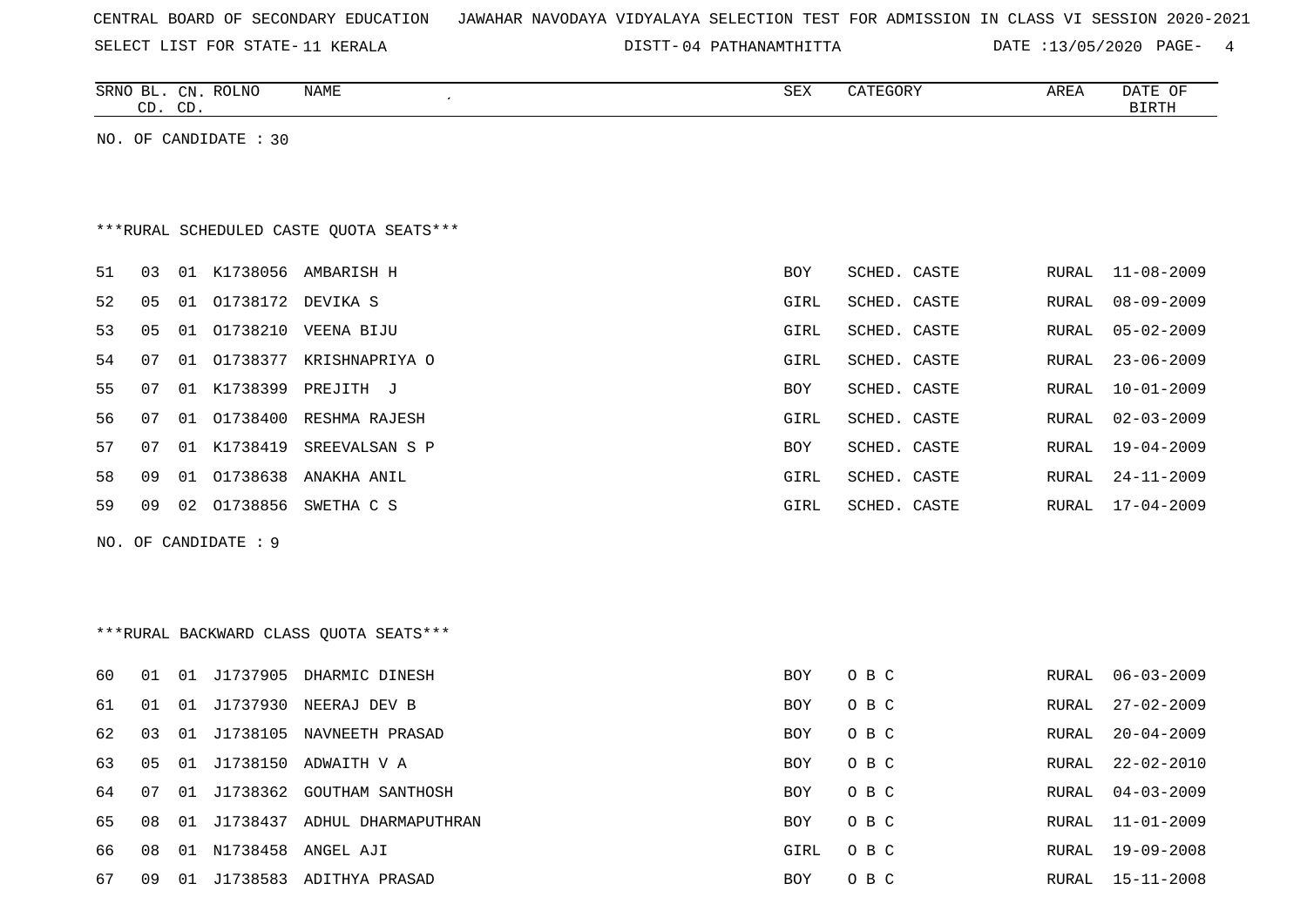|  |  |  | CENTRAL BOARD OF SECONDARY EDUCATION – JAWAHAR NAVODAYA VIDYALAYA SELECTION TEST FOR ADMISSION IN CLASS VI SESSION 2020-2021 |  |  |  |  |  |  |  |  |  |  |  |  |  |  |
|--|--|--|------------------------------------------------------------------------------------------------------------------------------|--|--|--|--|--|--|--|--|--|--|--|--|--|--|
|--|--|--|------------------------------------------------------------------------------------------------------------------------------|--|--|--|--|--|--|--|--|--|--|--|--|--|--|

SELECT LIST FOR STATE- DISTT- 11 KERALA

DISTT-04 PATHANAMTHITTA DATE :13/05/2020 PAGE- 4

|    |    | CD. CD. | SRNO BL. CN. ROLNO    | NAME                                     | SEX         | CATEGORY     | AREA         | DATE OF<br><b>BIRTH</b> |
|----|----|---------|-----------------------|------------------------------------------|-------------|--------------|--------------|-------------------------|
|    |    |         | NO. OF CANDIDATE : 30 |                                          |             |              |              |                         |
|    |    |         |                       |                                          |             |              |              |                         |
|    |    |         |                       |                                          |             |              |              |                         |
|    |    |         |                       | *** RURAL SCHEDULED CASTE QUOTA SEATS*** |             |              |              |                         |
| 51 | 03 |         |                       | 01 K1738056 AMBARISH H                   | BOY         | SCHED. CASTE | RURAL        | $11 - 08 - 2009$        |
| 52 | 05 | 01      | 01738172 DEVIKA S     |                                          | GIRL        | SCHED. CASTE | <b>RURAL</b> | $08 - 09 - 2009$        |
| 53 | 05 | 01      |                       | 01738210 VEENA BIJU                      | GIRL        | SCHED. CASTE | RURAL        | $05 - 02 - 2009$        |
| 54 | 07 | 01      | 01738377              | KRISHNAPRIYA O                           | GIRL        | SCHED. CASTE | <b>RURAL</b> | $23 - 06 - 2009$        |
| 55 | 07 | 01      | K1738399              | PREJITH J                                | BOY         | SCHED. CASTE | RURAL        | $10 - 01 - 2009$        |
| 56 | 07 | 01      |                       | 01738400 RESHMA RAJESH                   | <b>GIRL</b> | SCHED. CASTE | <b>RURAL</b> | $02 - 03 - 2009$        |
| 57 | 07 |         | 01 K1738419           | SREEVALSAN S P                           | BOY         | SCHED. CASTE | RURAL        | 19-04-2009              |
| 58 | 09 |         | 01 01738638           | ANAKHA ANIL                              | GIRL        | SCHED. CASTE | RURAL        | $24 - 11 - 2009$        |
| 59 | 09 | 02      | 01738856              | SWETHA C S                               | GIRL        | SCHED. CASTE | RURAL        | $17 - 04 - 2009$        |
|    |    |         | NO. OF CANDIDATE : 9  |                                          |             |              |              |                         |
|    |    |         |                       |                                          |             |              |              |                         |
|    |    |         |                       |                                          |             |              |              |                         |
|    |    |         |                       | *** RURAL BACKWARD CLASS QUOTA SEATS***  |             |              |              |                         |
| 60 | 01 |         |                       | 01 J1737905 DHARMIC DINESH               | <b>BOY</b>  | O B C        | <b>RURAL</b> | $06 - 03 - 2009$        |
| 61 | 01 | 01      | J1737930              | NEERAJ DEV B                             | BOY         | O B C        | <b>RURAL</b> | $27 - 02 - 2009$        |
| 62 | 03 | 01      | J1738105              | NAVNEETH PRASAD                          | BOY         | O B C        | <b>RURAL</b> | $20 - 04 - 2009$        |
| 63 | 05 | 01      |                       | J1738150 ADWAITH V A                     | BOY         | O B C        | <b>RURAL</b> | $22 - 02 - 2010$        |
| 64 | 07 | 01      | J1738362              | GOUTHAM SANTHOSH                         | BOY         | O B C        | <b>RURAL</b> | $04 - 03 - 2009$        |
| 65 | 08 | 01      |                       | J1738437 ADHUL DHARMAPUTHRAN             | BOY         | O B C        | <b>RURAL</b> | $11 - 01 - 2009$        |
| 66 | 08 |         |                       | 01 N1738458 ANGEL AJI                    | <b>GIRL</b> | O B C        | <b>RURAL</b> | $19 - 09 - 2008$        |
| 67 | 09 |         |                       | 01 J1738583 ADITHYA PRASAD               | BOY         | O B C        | RURAL        | $15 - 11 - 2008$        |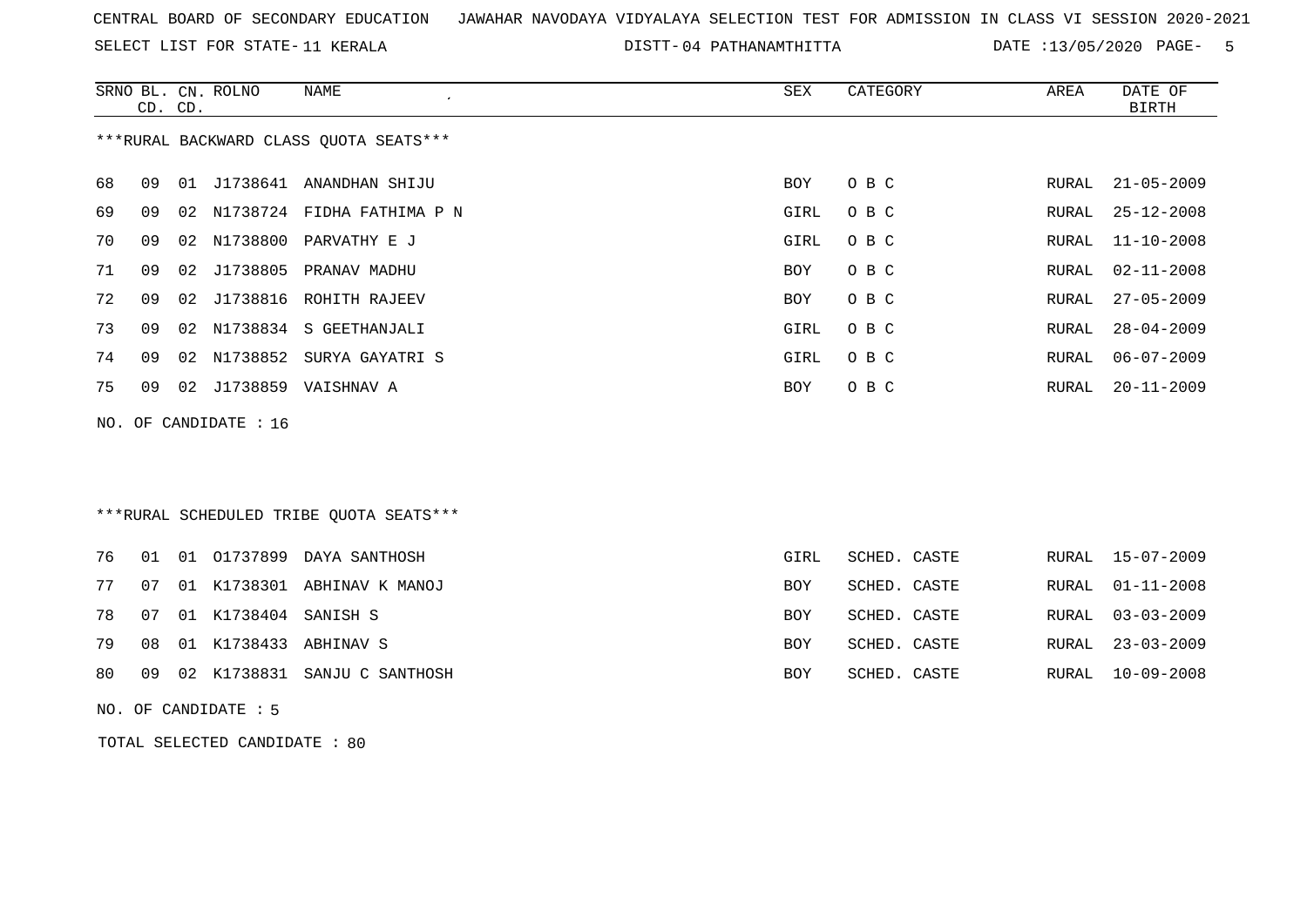SELECT LIST FOR STATE- DISTT- 11 KERALA

04 PATHANAMTHITTA DATE :13/05/2020 PAGE- 5

|    | CD. CD. |    | SRNO BL. CN. ROLNO    | <b>NAME</b>                              | ${\tt SEX}$ | CATEGORY     | AREA         | DATE OF<br><b>BIRTH</b> |
|----|---------|----|-----------------------|------------------------------------------|-------------|--------------|--------------|-------------------------|
|    |         |    |                       | *** RURAL BACKWARD CLASS QUOTA SEATS***  |             |              |              |                         |
| 68 | 09      |    |                       | 01 J1738641 ANANDHAN SHIJU               | BOY         | O B C        | RURAL        | $21 - 05 - 2009$        |
| 69 | 09      | 02 |                       | N1738724 FIDHA FATHIMA P N               | GIRL        | O B C        | RURAL        | $25 - 12 - 2008$        |
| 70 | 09      | 02 | N1738800              | PARVATHY E J                             | GIRL        | O B C        | RURAL        | $11 - 10 - 2008$        |
| 71 | 09      | 02 | J1738805              | PRANAV MADHU                             | <b>BOY</b>  | O B C        | RURAL        | $02 - 11 - 2008$        |
| 72 | 09      | 02 | J1738816              | ROHITH RAJEEV                            | BOY         | O B C        | RURAL        | $27 - 05 - 2009$        |
| 73 | 09      | 02 | N1738834              | S GEETHANJALI                            | <b>GIRL</b> | O B C        | RURAL        | $28 - 04 - 2009$        |
| 74 | 09      | 02 | N1738852              | SURYA GAYATRI S                          | <b>GIRL</b> | O B C        | RURAL        | $06 - 07 - 2009$        |
| 75 | 09      | 02 |                       | J1738859 VAISHNAV A                      | <b>BOY</b>  | O B C        | RURAL        | $20 - 11 - 2009$        |
|    |         |    | NO. OF CANDIDATE : 16 |                                          |             |              |              |                         |
|    |         |    |                       | *** RURAL SCHEDULED TRIBE QUOTA SEATS*** |             |              |              |                         |
| 76 | 01      |    |                       | 01 01737899 DAYA SANTHOSH                | GIRL        | SCHED. CASTE | RURAL        | 15-07-2009              |
| 77 | 07      | 01 |                       | K1738301 ABHINAV K MANOJ                 | <b>BOY</b>  | SCHED. CASTE | <b>RURAL</b> | $01 - 11 - 2008$        |
| 78 | 07      |    | 01 K1738404 SANISH S  |                                          | <b>BOY</b>  | SCHED. CASTE | <b>RURAL</b> | $03 - 03 - 2009$        |
| 79 | 08      | 01 | K1738433              | ABHINAV S                                | <b>BOY</b>  | SCHED. CASTE | <b>RURAL</b> | $23 - 03 - 2009$        |
| 80 | 09      |    |                       | 02 K1738831 SANJU C SANTHOSH             | BOY         | SCHED. CASTE | RURAL        | $10 - 09 - 2008$        |
|    |         |    | NO. OF CANDIDATE : 5  |                                          |             |              |              |                         |

TOTAL SELECTED CANDIDATE : 80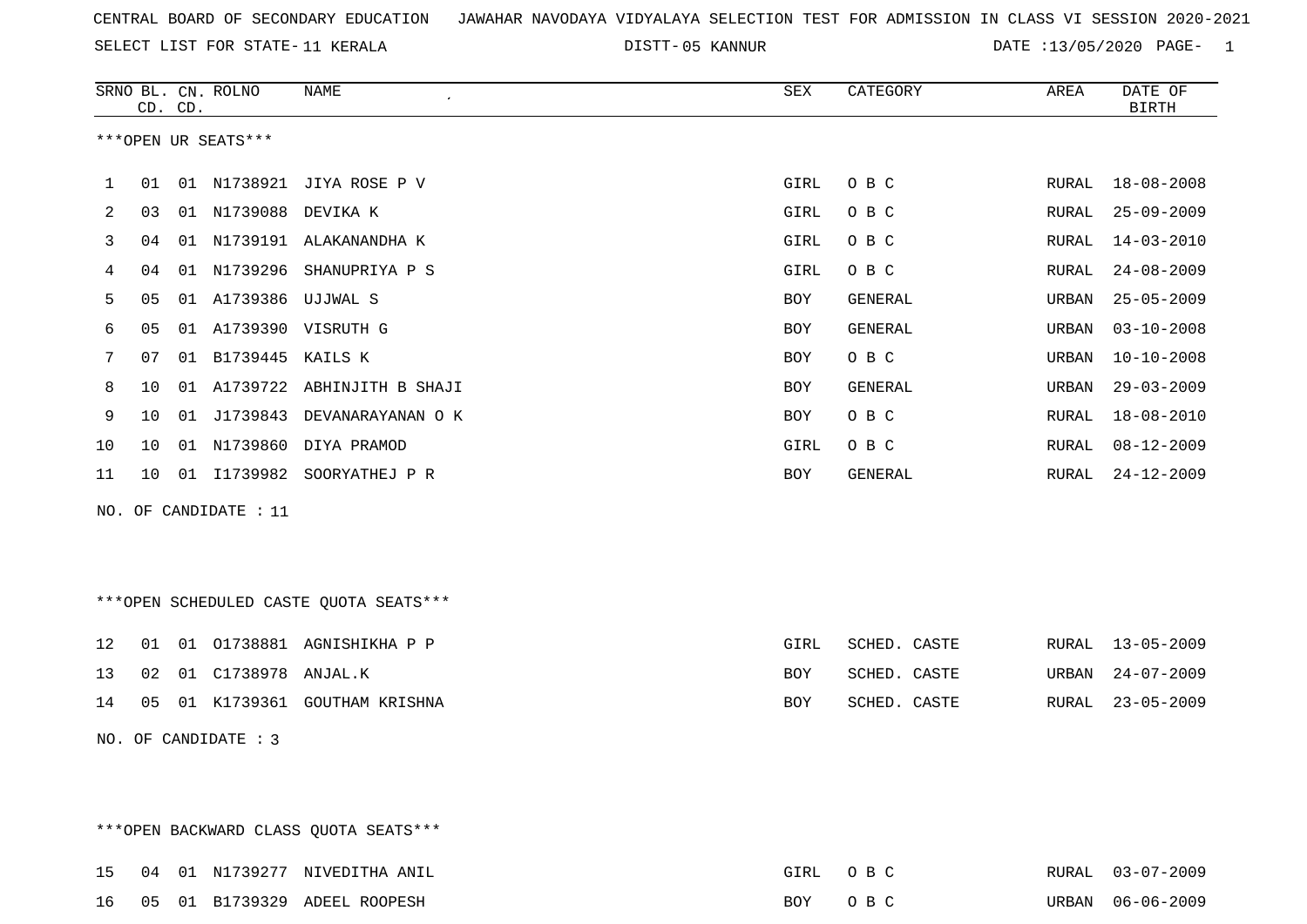SELECT LIST FOR STATE- DISTT- 11 KERALA

05 KANNUR DATE :13/05/2020 PAGE- 1

|    |    | CD. CD. | SRNO BL. CN. ROLNO      | <b>NAME</b><br>$\pmb{\cdot}$           | ${\tt SEX}$ | CATEGORY     | AREA  | DATE OF<br><b>BIRTH</b> |
|----|----|---------|-------------------------|----------------------------------------|-------------|--------------|-------|-------------------------|
|    |    |         | ***OPEN UR SEATS***     |                                        |             |              |       |                         |
| 1  | 01 |         |                         | 01 N1738921 JIYA ROSE P V              | GIRL        | O B C        | RURAL | $18 - 08 - 2008$        |
| 2  | 03 |         | 01 N1739088 DEVIKA K    |                                        | <b>GIRL</b> | O B C        | RURAL | $25 - 09 - 2009$        |
| 3  | 04 |         |                         | 01 N1739191 ALAKANANDHA K              | GIRL        | O B C        | RURAL | $14 - 03 - 2010$        |
| 4  | 04 |         |                         | 01 N1739296 SHANUPRIYA P S             | GIRL        | O B C        | RURAL | $24 - 08 - 2009$        |
| 5  | 05 |         | 01 A1739386 UJJWAL S    |                                        | BOY         | GENERAL      | URBAN | $25 - 05 - 2009$        |
| 6  | 05 |         |                         | 01 A1739390 VISRUTH G                  | BOY         | GENERAL      | URBAN | $03 - 10 - 2008$        |
| 7  | 07 |         | 01 B1739445 KAILS K     |                                        | BOY         | O B C        | URBAN | $10 - 10 - 2008$        |
| 8  | 10 |         |                         | 01 A1739722 ABHINJITH B SHAJI          | BOY         | GENERAL      | URBAN | $29 - 03 - 2009$        |
| 9  | 10 |         |                         | 01 J1739843 DEVANARAYANAN O K          | BOY         | O B C        | RURAL | $18 - 08 - 2010$        |
| 10 | 10 |         |                         | 01 N1739860 DIYA PRAMOD                | GIRL        | O B C        | RURAL | $08 - 12 - 2009$        |
| 11 | 10 |         |                         | 01 I1739982 SOORYATHEJ P R             | BOY         | GENERAL      | RURAL | 24-12-2009              |
|    |    |         | NO. OF CANDIDATE : $11$ |                                        |             |              |       |                         |
|    |    |         |                         |                                        |             |              |       |                         |
|    |    |         |                         |                                        |             |              |       |                         |
|    |    |         |                         | ***OPEN SCHEDULED CASTE QUOTA SEATS*** |             |              |       |                         |
| 12 | 01 |         |                         | 01 01738881 AGNISHIKHA P P             | GIRL        | SCHED. CASTE | RURAL | $13 - 05 - 2009$        |
|    |    |         |                         |                                        |             |              |       |                         |
| 13 | 02 |         | 01 C1738978 ANJAL.K     |                                        | BOY         | SCHED. CASTE | URBAN | $24 - 07 - 2009$        |
| 14 | 05 |         |                         | 01 K1739361 GOUTHAM KRISHNA            | BOY         | SCHED. CASTE | RURAL | $23 - 05 - 2009$        |
|    |    |         | NO. OF CANDIDATE : 3    |                                        |             |              |       |                         |
|    |    |         |                         |                                        |             |              |       |                         |
|    |    |         |                         |                                        |             |              |       |                         |

\*\*\*OPEN BACKWARD CLASS QUOTA SEATS\*\*\*

|  | 15 04 01 N1739277 NIVEDITHA ANIL | GIRL OBC | RURAL 03-07-2009 |
|--|----------------------------------|----------|------------------|
|  | 16 05 01 B1739329 ADEEL ROOPESH  | BOY OBC  | URBAN 06-06-2009 |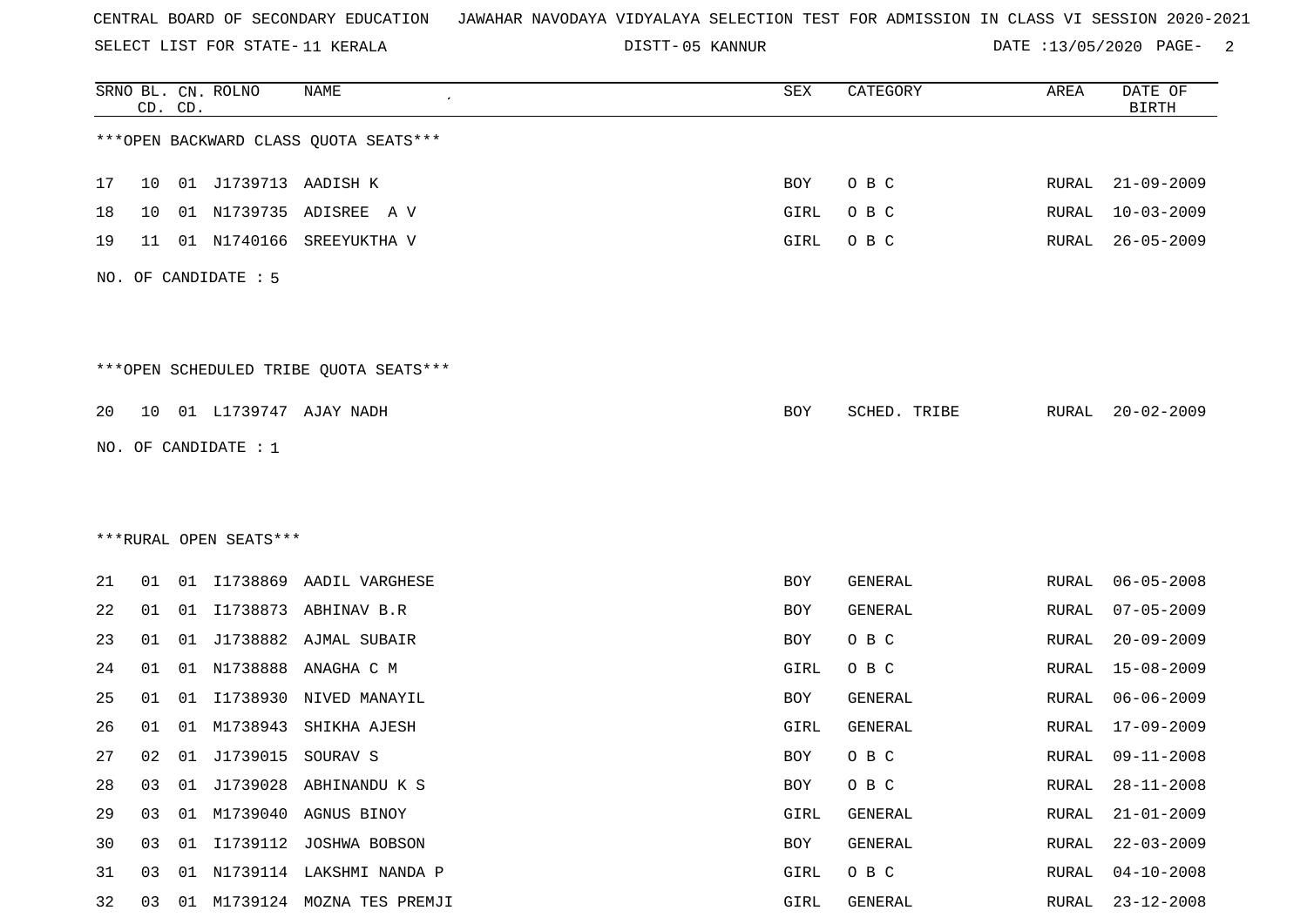SELECT LIST FOR STATE- DISTT- 11 KERALA

05 KANNUR DATE :13/05/2020 PAGE- 2

|    |    | CD. CD. | SRNO BL. CN. ROLNO     | <b>NAME</b>                            | SEX        | CATEGORY     | AREA         | DATE OF<br><b>BIRTH</b> |
|----|----|---------|------------------------|----------------------------------------|------------|--------------|--------------|-------------------------|
|    |    |         |                        | *** OPEN BACKWARD CLASS QUOTA SEATS*** |            |              |              |                         |
| 17 | 10 |         | 01 J1739713 AADISH K   |                                        | BOY        | O B C        | RURAL        | $21 - 09 - 2009$        |
| 18 | 10 |         |                        | 01 N1739735 ADISREE A V                | GIRL       | O B C        | <b>RURAL</b> | $10 - 03 - 2009$        |
| 19 | 11 |         | 01 N1740166            | SREEYUKTHA V                           | GIRL       | O B C        | RURAL        | $26 - 05 - 2009$        |
|    |    |         | NO. OF CANDIDATE : 5   |                                        |            |              |              |                         |
|    |    |         |                        | ***OPEN SCHEDULED TRIBE QUOTA SEATS*** |            |              |              |                         |
| 20 | 10 |         |                        | 01 L1739747 AJAY NADH                  | BOY        | SCHED. TRIBE | RURAL        | $20 - 02 - 2009$        |
|    |    |         | NO. OF CANDIDATE : 1   |                                        |            |              |              |                         |
|    |    |         |                        |                                        |            |              |              |                         |
|    |    |         |                        |                                        |            |              |              |                         |
|    |    |         | ***RURAL OPEN SEATS*** |                                        |            |              |              |                         |
| 21 | 01 |         |                        | 01 I1738869 AADIL VARGHESE             | BOY        | GENERAL      | RURAL        | $06 - 05 - 2008$        |
| 22 | 01 |         |                        | 01 I1738873 ABHINAV B.R                | <b>BOY</b> | GENERAL      | RURAL        | $07 - 05 - 2009$        |
| 23 | 01 | 01      |                        | J1738882 AJMAL SUBAIR                  | BOY        | O B C        | <b>RURAL</b> | $20 - 09 - 2009$        |
| 24 | 01 | 01      | N1738888               | ANAGHA C M                             | GIRL       | O B C        | <b>RURAL</b> | $15 - 08 - 2009$        |
| 25 | 01 | 01      | I1738930               | NIVED MANAYIL                          | BOY        | GENERAL      | RURAL        | $06 - 06 - 2009$        |
| 26 | 01 | 01      | M1738943               | SHIKHA AJESH                           | GIRL       | GENERAL      | RURAL        | $17 - 09 - 2009$        |
| 27 | 02 |         | 01 J1739015 SOURAV S   |                                        | <b>BOY</b> | O B C        | RURAL        | $09 - 11 - 2008$        |
| 28 | 03 | 01      |                        | J1739028 ABHINANDU K S                 | <b>BOY</b> | O B C        | RURAL        | $28 - 11 - 2008$        |
| 29 | 03 |         |                        | 01 M1739040 AGNUS BINOY                | GIRL       | GENERAL      | RURAL        | $21 - 01 - 2009$        |
| 30 | 03 |         |                        | 01 I1739112 JOSHWA BOBSON              | BOY        | GENERAL      | RURAL        | $22 - 03 - 2009$        |
| 31 | 03 | 01      |                        | N1739114 LAKSHMI NANDA P               | GIRL       | O B C        | <b>RURAL</b> | $04 - 10 - 2008$        |
| 32 | 03 |         |                        | 01 M1739124 MOZNA TES PREMJI           | GIRL       | GENERAL      | RURAL        | $23 - 12 - 2008$        |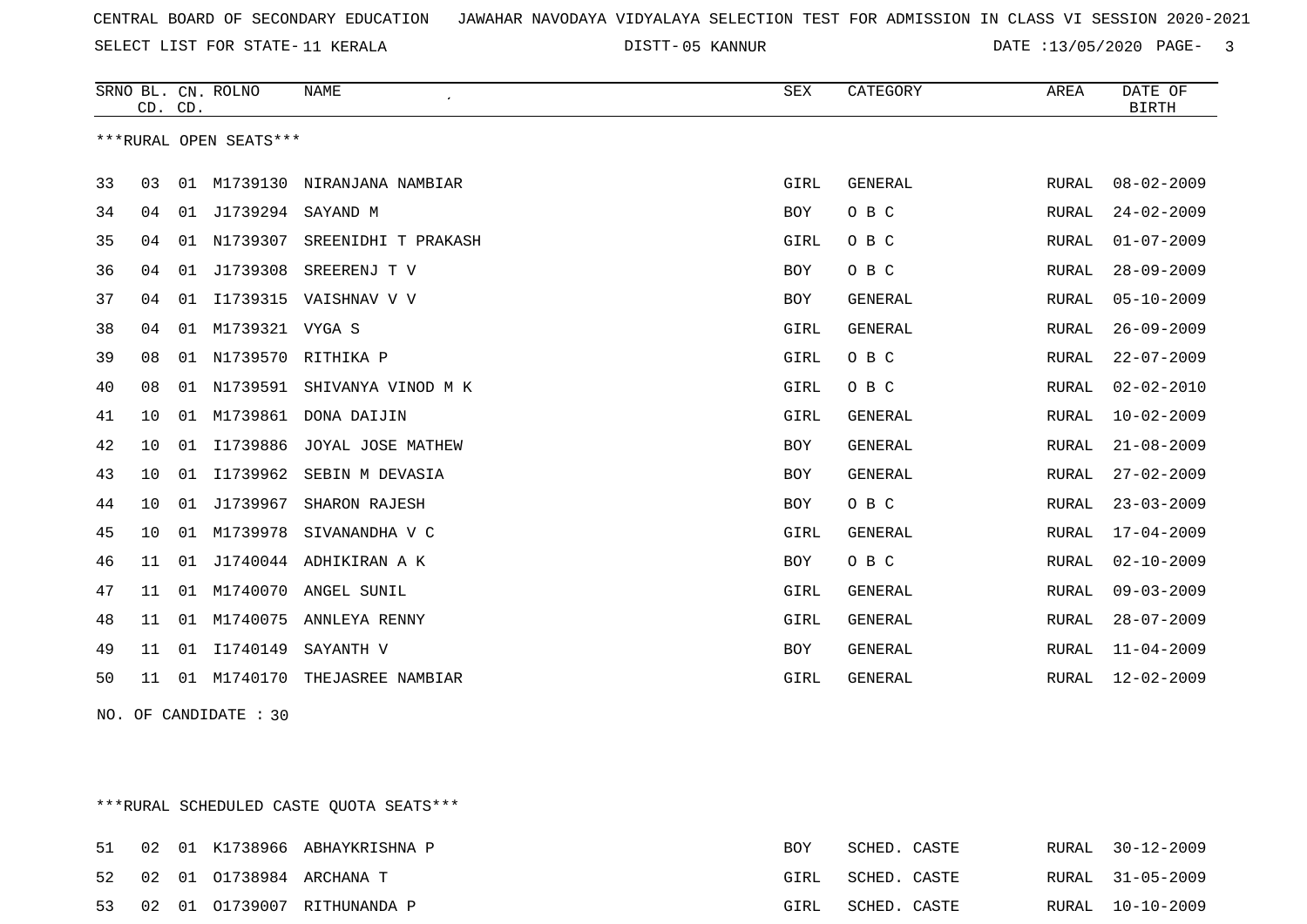SELECT LIST FOR STATE- DISTT- 11 KERALA

05 KANNUR DATE :13/05/2020 PAGE- 3

|    | CD. CD. |    | SRNO BL. CN. ROLNO     | <b>NAME</b>         | SEX         | CATEGORY       | AREA         | DATE OF<br><b>BIRTH</b> |
|----|---------|----|------------------------|---------------------|-------------|----------------|--------------|-------------------------|
|    |         |    | ***RURAL OPEN SEATS*** |                     |             |                |              |                         |
| 33 | 03      |    | 01 M1739130            | NIRANJANA NAMBIAR   | GIRL        | <b>GENERAL</b> | RURAL        | $08 - 02 - 2009$        |
| 34 | 04      | 01 | J1739294               | SAYAND M            | <b>BOY</b>  | O B C          | RURAL        | $24 - 02 - 2009$        |
| 35 | 04      |    | 01 N1739307            | SREENIDHI T PRAKASH | GIRL        | O B C          | RURAL        | $01 - 07 - 2009$        |
| 36 | 04      | 01 | J1739308               | SREERENJ T V        | <b>BOY</b>  | O B C          | RURAL        | $28 - 09 - 2009$        |
| 37 | 04      | 01 | I1739315               | VAISHNAV V V        | <b>BOY</b>  | <b>GENERAL</b> | <b>RURAL</b> | $05 - 10 - 2009$        |
| 38 | 04      | 01 | M1739321 VYGA S        |                     | GIRL        | GENERAL        | RURAL        | $26 - 09 - 2009$        |
| 39 | 08      | 01 |                        | N1739570 RITHIKA P  | GIRL        | O B C          | RURAL        | $22 - 07 - 2009$        |
| 40 | 08      | 01 | N1739591               | SHIVANYA VINOD M K  | GIRL        | O B C          | RURAL        | $02 - 02 - 2010$        |
| 41 | 10      | 01 | M1739861               | DONA DAIJIN         | <b>GIRL</b> | <b>GENERAL</b> | <b>RURAL</b> | $10 - 02 - 2009$        |
| 42 | 10      | 01 | I1739886               | JOYAL JOSE MATHEW   | <b>BOY</b>  | <b>GENERAL</b> | RURAL        | $21 - 08 - 2009$        |
| 43 | 10      | 01 | I1739962               | SEBIN M DEVASIA     | <b>BOY</b>  | <b>GENERAL</b> | RURAL        | $27 - 02 - 2009$        |
| 44 | 10      | 01 | J1739967               | SHARON RAJESH       | <b>BOY</b>  | O B C          | RURAL        | $23 - 03 - 2009$        |
| 45 | 10      | 01 | M1739978               | SIVANANDHA V C      | GIRL        | <b>GENERAL</b> | RURAL        | $17 - 04 - 2009$        |
| 46 | 11      | 01 | J1740044               | ADHIKIRAN A K       | BOY         | O B C          | RURAL        | $02 - 10 - 2009$        |
| 47 | 11      | 01 | M1740070               | ANGEL SUNIL         | GIRL        | <b>GENERAL</b> | RURAL        | $09 - 03 - 2009$        |
| 48 | 11      |    | 01 M1740075            | ANNLEYA RENNY       | GIRL        | <b>GENERAL</b> | RURAL        | $28 - 07 - 2009$        |
| 49 | 11      | 01 | I1740149               | SAYANTH V           | <b>BOY</b>  | <b>GENERAL</b> | RURAL        | $11 - 04 - 2009$        |
| 50 | 11      | 01 | M1740170               | THEJASREE NAMBIAR   | <b>GIRL</b> | <b>GENERAL</b> | RURAL        | $12 - 02 - 2009$        |

NO. OF CANDIDATE : 30

\*\*\*RURAL SCHEDULED CASTE QUOTA SEATS\*\*\*

|  |  | 51 02 01 K1738966 ABHAYKRISHNA P | BOY  | SCHED. CASTE |  | RURAL 30-12-2009 |
|--|--|----------------------------------|------|--------------|--|------------------|
|  |  | 52 02 01 01738984 ARCHANA T      | GIRL | SCHED. CASTE |  | RURAL 31-05-2009 |
|  |  | 53 02 01 01739007 RITHUNANDA P   | GIRL | SCHED. CASTE |  | RURAL 10-10-2009 |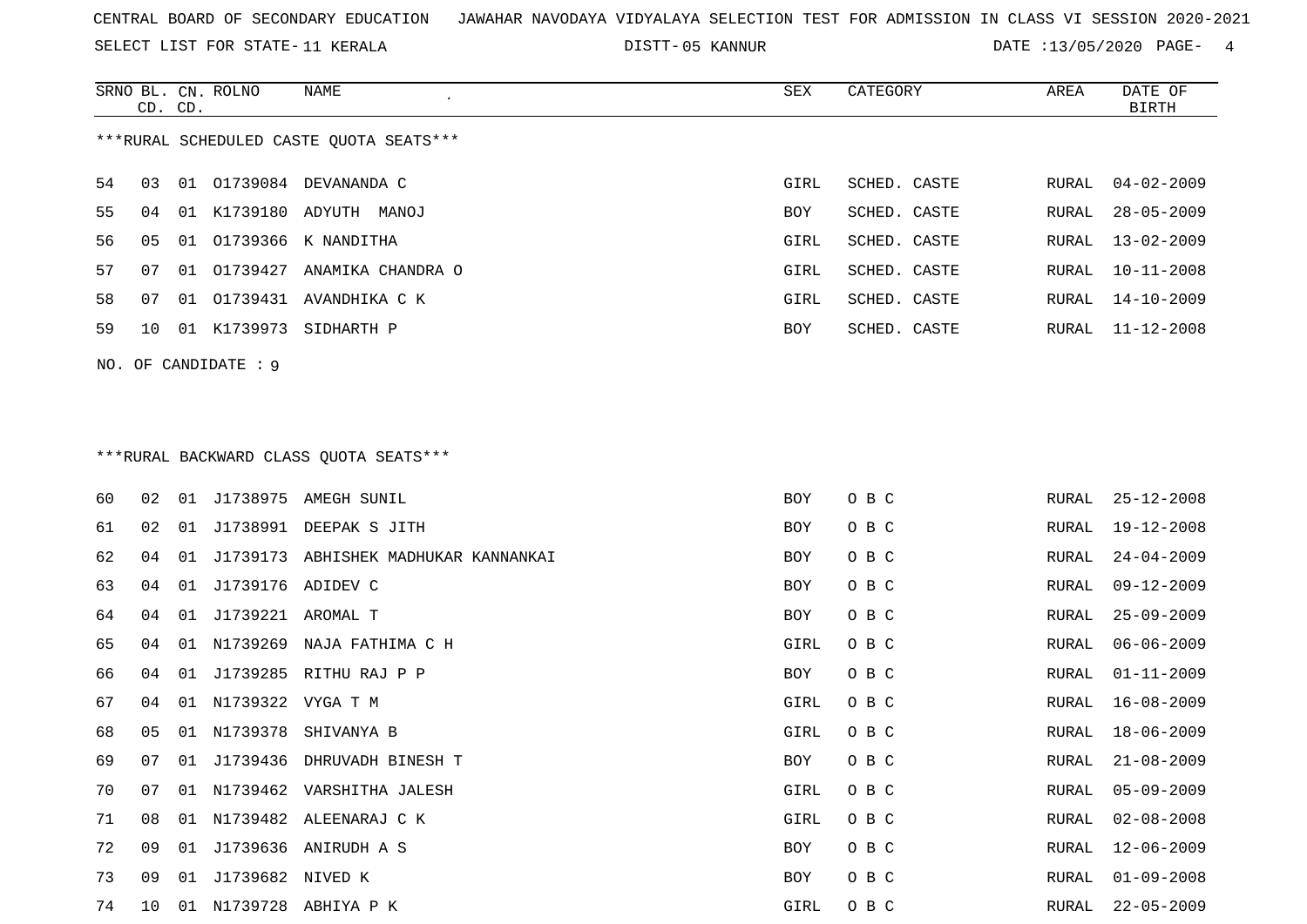SELECT LIST FOR STATE- DISTT- 11 KERALA

SRNO BL. CN.

ROLNO NAME SEX CATEGORY AREA DATE OF

05 KANNUR DATE :13/05/2020 PAGE- 4

| ***RURAL SCHEDULED CASTE QUOTA SEATS***<br>54<br>01 01739084 DEVANANDA C<br>$04 - 02 - 2009$<br>03<br>GIRL<br>SCHED. CASTE<br>RURAL<br>55<br>01 K1739180 ADYUTH MANOJ<br>SCHED. CASTE<br>$28 - 05 - 2009$<br>04<br>BOY<br>RURAL<br>56<br>01 01739366 K NANDITHA<br>05<br>GIRL<br>SCHED. CASTE<br>${\tt RURAL}$<br>$13 - 02 - 2009$<br>57<br>01 01739427 ANAMIKA CHANDRA O<br>SCHED. CASTE<br>$10 - 11 - 2008$<br>GIRL<br>RURAL<br>07<br>58<br>01 01739431 AVANDHIKA C K<br>07<br>GIRL<br>SCHED. CASTE<br>RURAL<br>14-10-2009<br>59<br>01 K1739973 SIDHARTH P<br>SCHED. CASTE<br>$11 - 12 - 2008$<br>10<br>BOY<br>RURAL<br>NO. OF CANDIDATE : 9<br>*** RURAL BACKWARD CLASS QUOTA SEATS***<br>60<br>01 J1738975 AMEGH SUNIL<br>O B C<br>$25 - 12 - 2008$<br>02<br>BOY<br>RURAL<br>61<br>J1738991 DEEPAK S JITH<br>O B C<br>02<br>01<br>BOY<br>$19 - 12 - 2008$<br>RURAL<br>62<br>J1739173 ABHISHEK MADHUKAR KANNANKAI<br>O B C<br>$24 - 04 - 2009$<br>04<br>01<br>BOY<br>RURAL<br>63<br>01 J1739176 ADIDEV C<br>O B C<br>$09 - 12 - 2009$<br>04<br>BOY<br>RURAL<br>64<br>01 J1739221 AROMAL T<br>O B C<br>$25 - 09 - 2009$<br>04<br>BOY<br>RURAL<br>65<br>N1739269<br>NAJA FATHIMA C H<br>O B C<br>$06 - 06 - 2009$<br>04<br>01<br>GIRL<br>RURAL<br>66<br>J1739285 RITHU RAJ P P<br>O B C<br>$01 - 11 - 2009$<br>04<br>01<br>BOY<br>RURAL<br>67<br>N1739322 VYGA T M<br>O B C<br>GIRL<br>$16 - 08 - 2009$<br>04<br>01<br>RURAL<br>68<br>N1739378<br>O B C<br>$18 - 06 - 2009$<br>05<br>01<br>SHIVANYA B<br>GIRL<br>RURAL<br>69<br>O B C<br>07<br>J1739436 DHRUVADH BINESH T<br>BOY<br>$21 - 08 - 2009$<br>01<br>RURAL<br>70<br>$05 - 09 - 2009$<br>07<br>01 N1739462 VARSHITHA JALESH<br>GIRL<br>O B C<br>RURAL<br>71<br>01 N1739482 ALEENARAJ C K<br>GIRL<br>O B C<br>$02 - 08 - 2008$<br>08<br>RURAL<br>72<br>01 J1739636 ANIRUDH A S<br>09<br>BOY<br>O B C<br>RURAL<br>$12 - 06 - 2009$<br>73<br>J1739682 NIVED K<br>O B C<br>$01 - 09 - 2008$<br>09<br>01<br>BOY<br>RURAL<br>74<br>01 N1739728 ABHIYA P K<br>O B C<br>$22 - 05 - 2009$<br>10<br>GIRL<br>RURAL | CD. CD. |  |  |  |  |  |  | <b>BIRTH</b> |  |  |  |  |
|------------------------------------------------------------------------------------------------------------------------------------------------------------------------------------------------------------------------------------------------------------------------------------------------------------------------------------------------------------------------------------------------------------------------------------------------------------------------------------------------------------------------------------------------------------------------------------------------------------------------------------------------------------------------------------------------------------------------------------------------------------------------------------------------------------------------------------------------------------------------------------------------------------------------------------------------------------------------------------------------------------------------------------------------------------------------------------------------------------------------------------------------------------------------------------------------------------------------------------------------------------------------------------------------------------------------------------------------------------------------------------------------------------------------------------------------------------------------------------------------------------------------------------------------------------------------------------------------------------------------------------------------------------------------------------------------------------------------------------------------------------------------------------------------------------------------------------------------------------------------------------------------------------------------------------------------------------------------------------------------------------------------------------------------------------------|---------|--|--|--|--|--|--|--------------|--|--|--|--|
|                                                                                                                                                                                                                                                                                                                                                                                                                                                                                                                                                                                                                                                                                                                                                                                                                                                                                                                                                                                                                                                                                                                                                                                                                                                                                                                                                                                                                                                                                                                                                                                                                                                                                                                                                                                                                                                                                                                                                                                                                                                                  |         |  |  |  |  |  |  |              |  |  |  |  |
|                                                                                                                                                                                                                                                                                                                                                                                                                                                                                                                                                                                                                                                                                                                                                                                                                                                                                                                                                                                                                                                                                                                                                                                                                                                                                                                                                                                                                                                                                                                                                                                                                                                                                                                                                                                                                                                                                                                                                                                                                                                                  |         |  |  |  |  |  |  |              |  |  |  |  |
|                                                                                                                                                                                                                                                                                                                                                                                                                                                                                                                                                                                                                                                                                                                                                                                                                                                                                                                                                                                                                                                                                                                                                                                                                                                                                                                                                                                                                                                                                                                                                                                                                                                                                                                                                                                                                                                                                                                                                                                                                                                                  |         |  |  |  |  |  |  |              |  |  |  |  |
|                                                                                                                                                                                                                                                                                                                                                                                                                                                                                                                                                                                                                                                                                                                                                                                                                                                                                                                                                                                                                                                                                                                                                                                                                                                                                                                                                                                                                                                                                                                                                                                                                                                                                                                                                                                                                                                                                                                                                                                                                                                                  |         |  |  |  |  |  |  |              |  |  |  |  |
|                                                                                                                                                                                                                                                                                                                                                                                                                                                                                                                                                                                                                                                                                                                                                                                                                                                                                                                                                                                                                                                                                                                                                                                                                                                                                                                                                                                                                                                                                                                                                                                                                                                                                                                                                                                                                                                                                                                                                                                                                                                                  |         |  |  |  |  |  |  |              |  |  |  |  |
|                                                                                                                                                                                                                                                                                                                                                                                                                                                                                                                                                                                                                                                                                                                                                                                                                                                                                                                                                                                                                                                                                                                                                                                                                                                                                                                                                                                                                                                                                                                                                                                                                                                                                                                                                                                                                                                                                                                                                                                                                                                                  |         |  |  |  |  |  |  |              |  |  |  |  |
|                                                                                                                                                                                                                                                                                                                                                                                                                                                                                                                                                                                                                                                                                                                                                                                                                                                                                                                                                                                                                                                                                                                                                                                                                                                                                                                                                                                                                                                                                                                                                                                                                                                                                                                                                                                                                                                                                                                                                                                                                                                                  |         |  |  |  |  |  |  |              |  |  |  |  |
|                                                                                                                                                                                                                                                                                                                                                                                                                                                                                                                                                                                                                                                                                                                                                                                                                                                                                                                                                                                                                                                                                                                                                                                                                                                                                                                                                                                                                                                                                                                                                                                                                                                                                                                                                                                                                                                                                                                                                                                                                                                                  |         |  |  |  |  |  |  |              |  |  |  |  |
|                                                                                                                                                                                                                                                                                                                                                                                                                                                                                                                                                                                                                                                                                                                                                                                                                                                                                                                                                                                                                                                                                                                                                                                                                                                                                                                                                                                                                                                                                                                                                                                                                                                                                                                                                                                                                                                                                                                                                                                                                                                                  |         |  |  |  |  |  |  |              |  |  |  |  |
|                                                                                                                                                                                                                                                                                                                                                                                                                                                                                                                                                                                                                                                                                                                                                                                                                                                                                                                                                                                                                                                                                                                                                                                                                                                                                                                                                                                                                                                                                                                                                                                                                                                                                                                                                                                                                                                                                                                                                                                                                                                                  |         |  |  |  |  |  |  |              |  |  |  |  |
|                                                                                                                                                                                                                                                                                                                                                                                                                                                                                                                                                                                                                                                                                                                                                                                                                                                                                                                                                                                                                                                                                                                                                                                                                                                                                                                                                                                                                                                                                                                                                                                                                                                                                                                                                                                                                                                                                                                                                                                                                                                                  |         |  |  |  |  |  |  |              |  |  |  |  |
|                                                                                                                                                                                                                                                                                                                                                                                                                                                                                                                                                                                                                                                                                                                                                                                                                                                                                                                                                                                                                                                                                                                                                                                                                                                                                                                                                                                                                                                                                                                                                                                                                                                                                                                                                                                                                                                                                                                                                                                                                                                                  |         |  |  |  |  |  |  |              |  |  |  |  |
|                                                                                                                                                                                                                                                                                                                                                                                                                                                                                                                                                                                                                                                                                                                                                                                                                                                                                                                                                                                                                                                                                                                                                                                                                                                                                                                                                                                                                                                                                                                                                                                                                                                                                                                                                                                                                                                                                                                                                                                                                                                                  |         |  |  |  |  |  |  |              |  |  |  |  |
|                                                                                                                                                                                                                                                                                                                                                                                                                                                                                                                                                                                                                                                                                                                                                                                                                                                                                                                                                                                                                                                                                                                                                                                                                                                                                                                                                                                                                                                                                                                                                                                                                                                                                                                                                                                                                                                                                                                                                                                                                                                                  |         |  |  |  |  |  |  |              |  |  |  |  |
|                                                                                                                                                                                                                                                                                                                                                                                                                                                                                                                                                                                                                                                                                                                                                                                                                                                                                                                                                                                                                                                                                                                                                                                                                                                                                                                                                                                                                                                                                                                                                                                                                                                                                                                                                                                                                                                                                                                                                                                                                                                                  |         |  |  |  |  |  |  |              |  |  |  |  |
|                                                                                                                                                                                                                                                                                                                                                                                                                                                                                                                                                                                                                                                                                                                                                                                                                                                                                                                                                                                                                                                                                                                                                                                                                                                                                                                                                                                                                                                                                                                                                                                                                                                                                                                                                                                                                                                                                                                                                                                                                                                                  |         |  |  |  |  |  |  |              |  |  |  |  |
|                                                                                                                                                                                                                                                                                                                                                                                                                                                                                                                                                                                                                                                                                                                                                                                                                                                                                                                                                                                                                                                                                                                                                                                                                                                                                                                                                                                                                                                                                                                                                                                                                                                                                                                                                                                                                                                                                                                                                                                                                                                                  |         |  |  |  |  |  |  |              |  |  |  |  |
|                                                                                                                                                                                                                                                                                                                                                                                                                                                                                                                                                                                                                                                                                                                                                                                                                                                                                                                                                                                                                                                                                                                                                                                                                                                                                                                                                                                                                                                                                                                                                                                                                                                                                                                                                                                                                                                                                                                                                                                                                                                                  |         |  |  |  |  |  |  |              |  |  |  |  |
|                                                                                                                                                                                                                                                                                                                                                                                                                                                                                                                                                                                                                                                                                                                                                                                                                                                                                                                                                                                                                                                                                                                                                                                                                                                                                                                                                                                                                                                                                                                                                                                                                                                                                                                                                                                                                                                                                                                                                                                                                                                                  |         |  |  |  |  |  |  |              |  |  |  |  |
|                                                                                                                                                                                                                                                                                                                                                                                                                                                                                                                                                                                                                                                                                                                                                                                                                                                                                                                                                                                                                                                                                                                                                                                                                                                                                                                                                                                                                                                                                                                                                                                                                                                                                                                                                                                                                                                                                                                                                                                                                                                                  |         |  |  |  |  |  |  |              |  |  |  |  |
|                                                                                                                                                                                                                                                                                                                                                                                                                                                                                                                                                                                                                                                                                                                                                                                                                                                                                                                                                                                                                                                                                                                                                                                                                                                                                                                                                                                                                                                                                                                                                                                                                                                                                                                                                                                                                                                                                                                                                                                                                                                                  |         |  |  |  |  |  |  |              |  |  |  |  |
|                                                                                                                                                                                                                                                                                                                                                                                                                                                                                                                                                                                                                                                                                                                                                                                                                                                                                                                                                                                                                                                                                                                                                                                                                                                                                                                                                                                                                                                                                                                                                                                                                                                                                                                                                                                                                                                                                                                                                                                                                                                                  |         |  |  |  |  |  |  |              |  |  |  |  |
|                                                                                                                                                                                                                                                                                                                                                                                                                                                                                                                                                                                                                                                                                                                                                                                                                                                                                                                                                                                                                                                                                                                                                                                                                                                                                                                                                                                                                                                                                                                                                                                                                                                                                                                                                                                                                                                                                                                                                                                                                                                                  |         |  |  |  |  |  |  |              |  |  |  |  |
|                                                                                                                                                                                                                                                                                                                                                                                                                                                                                                                                                                                                                                                                                                                                                                                                                                                                                                                                                                                                                                                                                                                                                                                                                                                                                                                                                                                                                                                                                                                                                                                                                                                                                                                                                                                                                                                                                                                                                                                                                                                                  |         |  |  |  |  |  |  |              |  |  |  |  |
|                                                                                                                                                                                                                                                                                                                                                                                                                                                                                                                                                                                                                                                                                                                                                                                                                                                                                                                                                                                                                                                                                                                                                                                                                                                                                                                                                                                                                                                                                                                                                                                                                                                                                                                                                                                                                                                                                                                                                                                                                                                                  |         |  |  |  |  |  |  |              |  |  |  |  |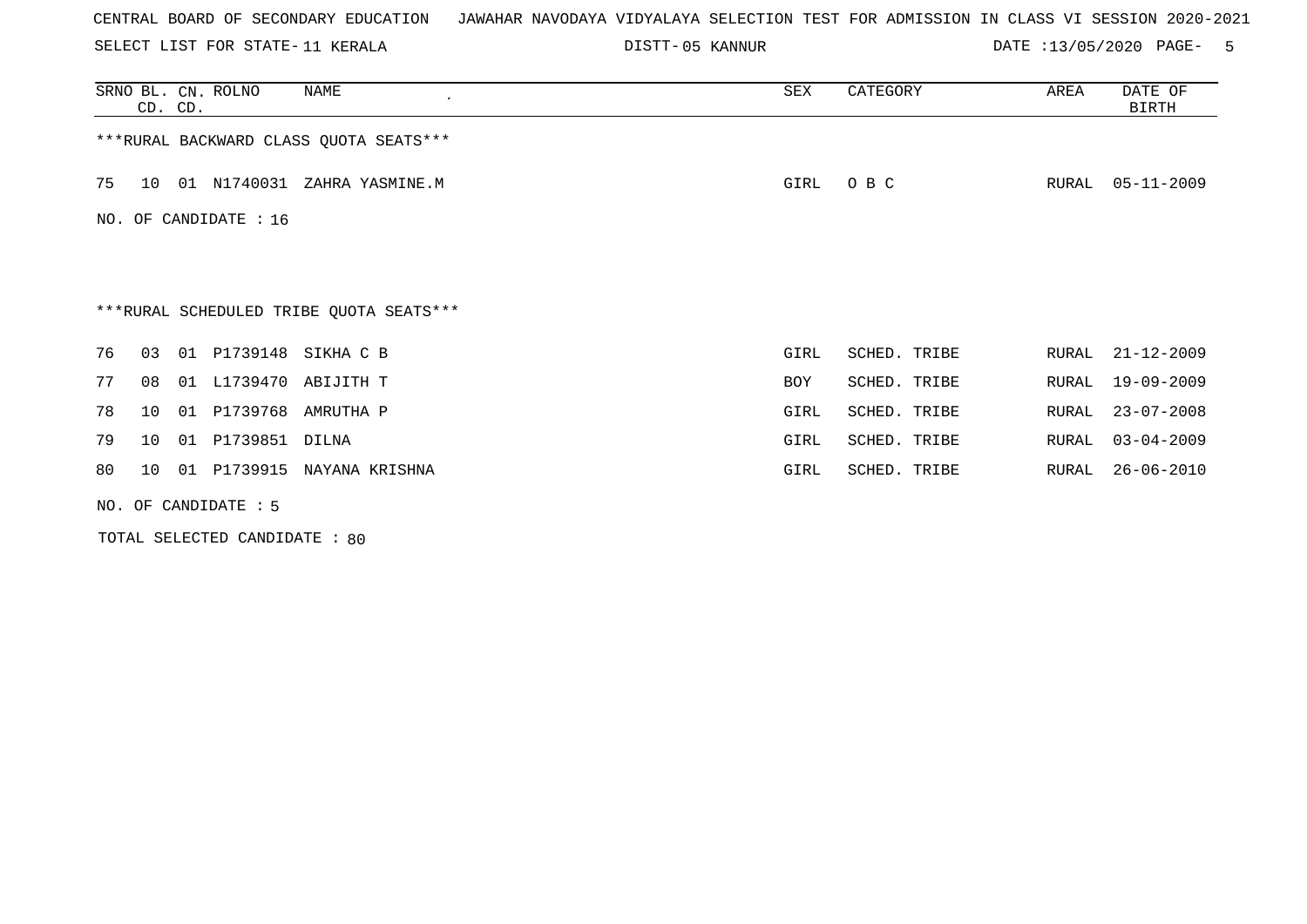SELECT LIST FOR STATE- DISTT- 11 KERALA

05 KANNUR DATE :13/05/2020 PAGE- 5

|    | CD. CD. | SRNO BL. CN. ROLNO     | NAME<br>$\epsilon$                      | SEX        | CATEGORY     | AREA  | DATE OF<br><b>BIRTH</b> |
|----|---------|------------------------|-----------------------------------------|------------|--------------|-------|-------------------------|
|    |         |                        | *** RURAL BACKWARD CLASS QUOTA SEATS*** |            |              |       |                         |
| 75 | 10      | 01 N1740031            | ZAHRA YASMINE.M                         | GIRL       | O B C        | RURAL | 05-11-2009              |
|    |         | NO. OF CANDIDATE : 16  |                                         |            |              |       |                         |
|    |         |                        |                                         |            |              |       |                         |
|    |         |                        |                                         |            |              |       |                         |
|    |         |                        | ***RURAL SCHEDULED TRIBE QUOTA SEATS*** |            |              |       |                         |
| 76 | 03      |                        | 01 P1739148 SIKHA C B                   | GIRL       | SCHED. TRIBE | RURAL | $21 - 12 - 2009$        |
| 77 | 08      |                        | 01 L1739470 ABIJITH T                   | <b>BOY</b> | SCHED. TRIBE | RURAL | $19 - 09 - 2009$        |
| 78 | 10      |                        | 01 P1739768 AMRUTHA P                   | GIRL       | SCHED. TRIBE | RURAL | $23 - 07 - 2008$        |
| 79 | 10      | 01 P1739851 DILNA      |                                         | GIRL       | SCHED. TRIBE | RURAL | $03 - 04 - 2009$        |
| 80 | 10      |                        | 01 P1739915 NAYANA KRISHNA              | GIRL       | SCHED. TRIBE | RURAL | 26-06-2010              |
|    |         | NO. OF CANDIDATE $: 5$ |                                         |            |              |       |                         |

TOTAL SELECTED CANDIDATE : 80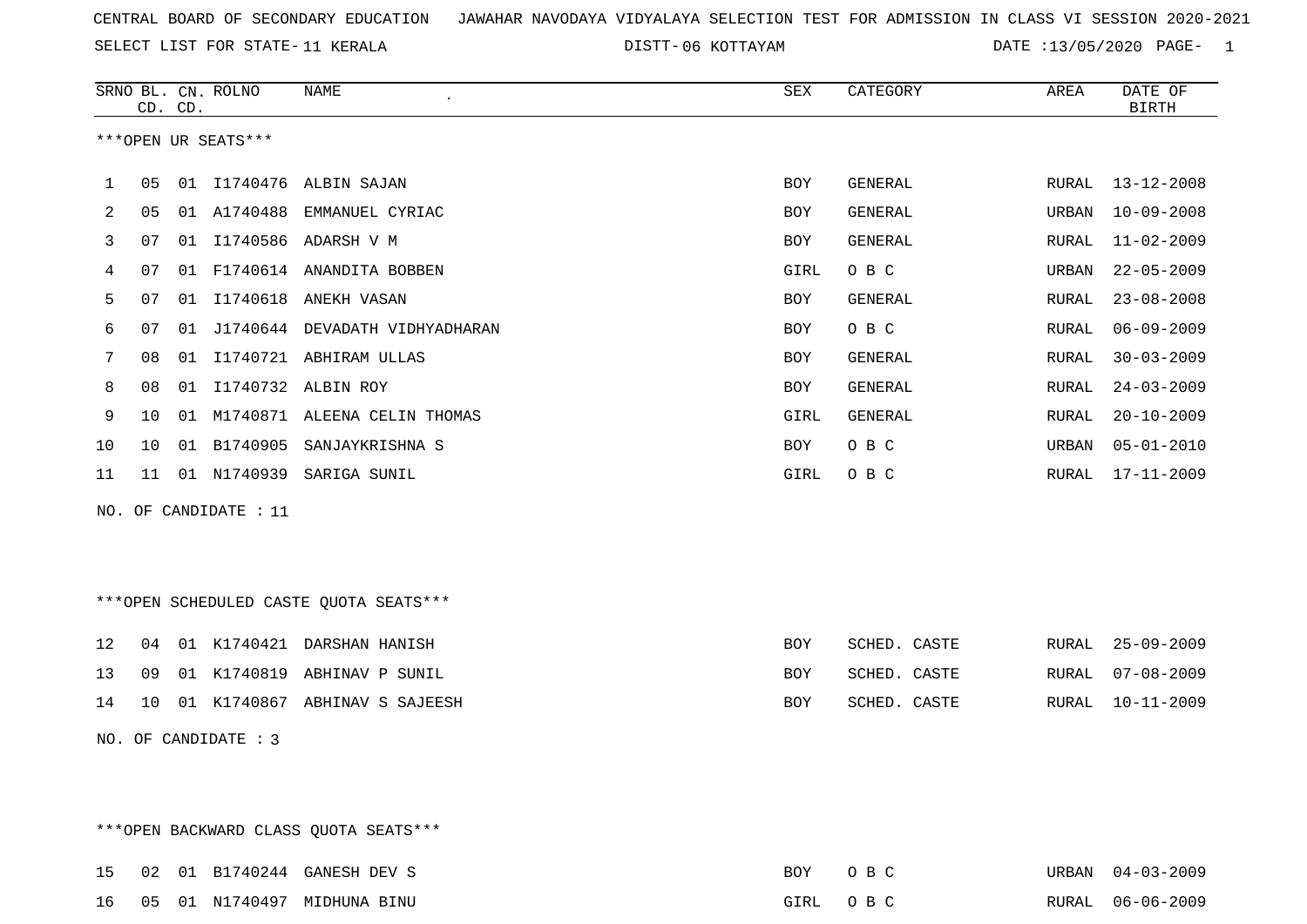SELECT LIST FOR STATE- DISTT- 11 KERALA

06 KOTTAYAM DATE :13/05/2020 PAGE- 1

|    |    | CD. CD. | SRNO BL. CN. ROLNO    | NAME                                   | SEX        | CATEGORY     | AREA  | DATE OF<br><b>BIRTH</b> |
|----|----|---------|-----------------------|----------------------------------------|------------|--------------|-------|-------------------------|
|    |    |         | ***OPEN UR SEATS***   |                                        |            |              |       |                         |
| 1  | 05 |         |                       | 01 I1740476 ALBIN SAJAN                | BOY        | GENERAL      | RURAL | $13 - 12 - 2008$        |
| 2  | 05 |         | 01 A1740488           | EMMANUEL CYRIAC                        | BOY        | GENERAL      | URBAN | $10 - 09 - 2008$        |
| 3  | 07 |         |                       | 01 I1740586 ADARSH V M                 | BOY        | GENERAL      | RURAL | $11 - 02 - 2009$        |
| 4  | 07 |         |                       | 01 F1740614 ANANDITA BOBBEN            | GIRL       | O B C        | URBAN | $22 - 05 - 2009$        |
| 5  | 07 | 01      |                       | I1740618 ANEKH VASAN                   | BOY        | GENERAL      | RURAL | $23 - 08 - 2008$        |
| 6  | 07 | 01      |                       | J1740644 DEVADATH VIDHYADHARAN         | BOY        | O B C        | RURAL | $06 - 09 - 2009$        |
| 7  | 08 | 01      |                       | I1740721 ABHIRAM ULLAS                 | BOY        | GENERAL      | RURAL | $30 - 03 - 2009$        |
| 8  | 08 | 01      |                       | I1740732 ALBIN ROY                     | BOY        | GENERAL      | RURAL | $24 - 03 - 2009$        |
| 9  | 10 | 01      |                       | M1740871 ALEENA CELIN THOMAS           | GIRL       | GENERAL      | RURAL | $20 - 10 - 2009$        |
| 10 | 10 |         |                       | 01 B1740905 SANJAYKRISHNA S            | BOY        | O B C        | URBAN | $05 - 01 - 2010$        |
| 11 | 11 |         |                       | 01 N1740939 SARIGA SUNIL               | GIRL       | O B C        | RURAL | $17 - 11 - 2009$        |
|    |    |         | NO. OF CANDIDATE : 11 |                                        |            |              |       |                         |
|    |    |         |                       |                                        |            |              |       |                         |
|    |    |         |                       |                                        |            |              |       |                         |
|    |    |         |                       | ***OPEN SCHEDULED CASTE QUOTA SEATS*** |            |              |       |                         |
|    |    |         |                       |                                        |            |              |       |                         |
| 12 | 04 |         |                       | 01 K1740421 DARSHAN HANISH             | BOY        | SCHED. CASTE | RURAL | $25 - 09 - 2009$        |
| 13 | 09 |         |                       | 01 K1740819 ABHINAV P SUNIL            | <b>BOY</b> | SCHED. CASTE | RURAL | $07 - 08 - 2009$        |
| 14 | 10 |         |                       | 01 K1740867 ABHINAV S SAJEESH          | <b>BOY</b> | SCHED. CASTE | RURAL | $10 - 11 - 2009$        |
|    |    |         | NO. OF CANDIDATE : 3  |                                        |            |              |       |                         |
|    |    |         |                       |                                        |            |              |       |                         |
|    |    |         |                       |                                        |            |              |       |                         |

\*\*\*OPEN BACKWARD CLASS QUOTA SEATS\*\*\*

|  |  | 15 02 01 B1740244 GANESH DEV S | BOY | $\bigcap$ $R$ $C$ | URBAN 04-03-2009 |
|--|--|--------------------------------|-----|-------------------|------------------|
|  |  | 16 05 01 N1740497 MIDHUNA BINU |     | GIRL OBC          | RURAL 06-06-2009 |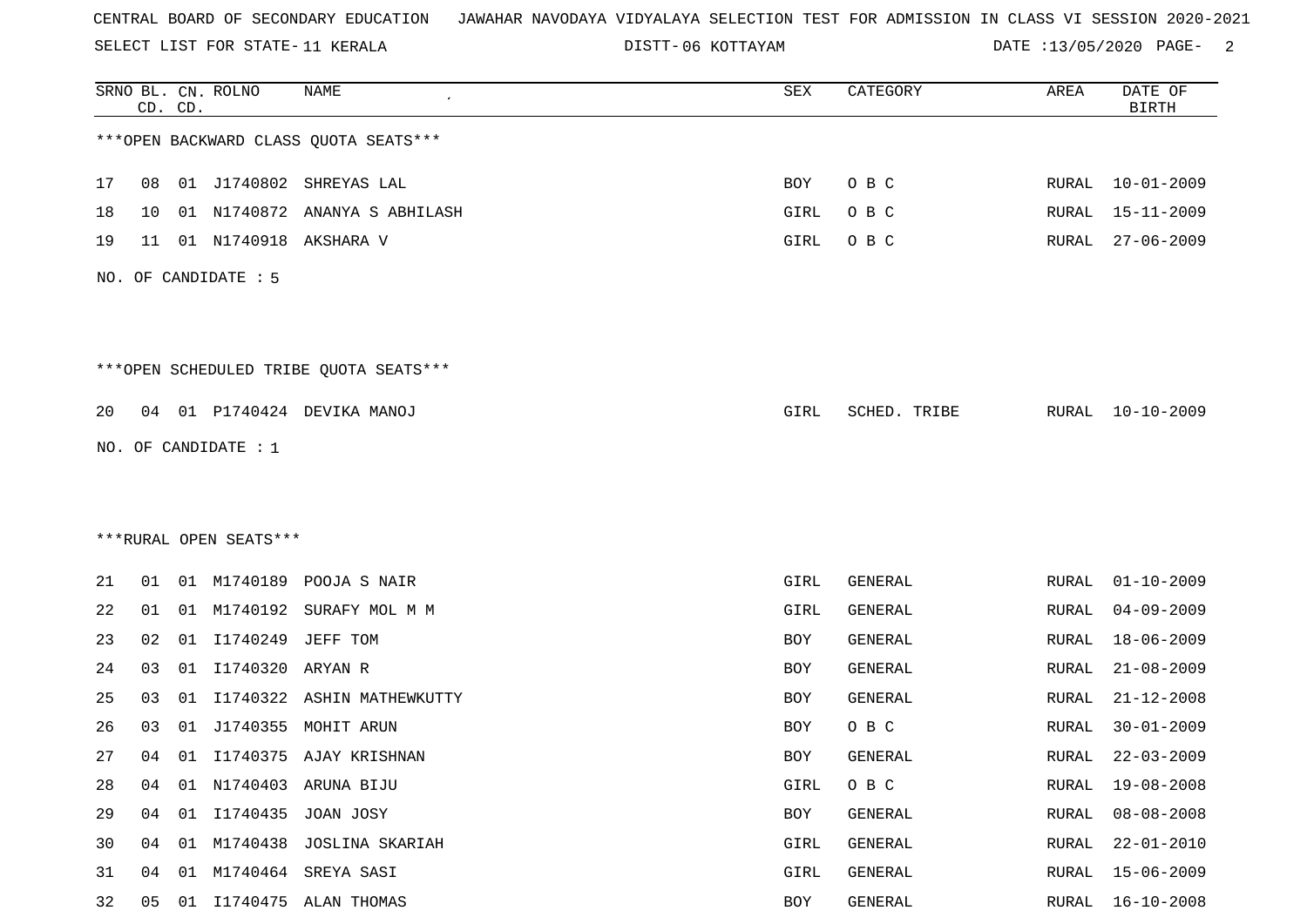SELECT LIST FOR STATE- DISTT- 11 KERALA

06 KOTTAYAM DATE :13/05/2020 PAGE- 2

|    |    | CD. CD. | SRNO BL. CN. ROLNO     | NAME                                   | SEX  | CATEGORY     | AREA  | DATE OF<br><b>BIRTH</b> |
|----|----|---------|------------------------|----------------------------------------|------|--------------|-------|-------------------------|
|    |    |         |                        | *** OPEN BACKWARD CLASS QUOTA SEATS*** |      |              |       |                         |
| 17 | 08 |         |                        | 01 J1740802 SHREYAS LAL                | BOY  | O B C        |       | RURAL 10-01-2009        |
| 18 | 10 |         |                        | 01 N1740872 ANANYA S ABHILASH          | GIRL | O B C        | RURAL | $15 - 11 - 2009$        |
| 19 | 11 |         | 01 N1740918            | AKSHARA V                              | GIRL | O B C        | RURAL | $27 - 06 - 2009$        |
|    |    |         | NO. OF CANDIDATE : 5   |                                        |      |              |       |                         |
|    |    |         |                        | ***OPEN SCHEDULED TRIBE QUOTA SEATS*** |      |              |       |                         |
| 20 |    |         |                        | 04 01 P1740424 DEVIKA MANOJ            | GIRL | SCHED. TRIBE | RURAL | 10-10-2009              |
|    |    |         | NO. OF CANDIDATE : 1   |                                        |      |              |       |                         |
|    |    |         |                        |                                        |      |              |       |                         |
|    |    |         |                        |                                        |      |              |       |                         |
|    |    |         | ***RURAL OPEN SEATS*** |                                        |      |              |       |                         |
| 21 | 01 |         |                        | 01 M1740189 POOJA S NAIR               | GIRL | GENERAL      | RURAL | $01 - 10 - 2009$        |
| 22 | 01 |         |                        | 01 M1740192 SURAFY MOL M M             | GIRL | GENERAL      | RURAL | $04 - 09 - 2009$        |
| 23 | 02 | 01      | I1740249               | JEFF TOM                               | BOY  | GENERAL      | RURAL | $18 - 06 - 2009$        |
| 24 | 03 | 01      | I1740320               | ARYAN R                                | BOY  | GENERAL      | RURAL | $21 - 08 - 2009$        |
| 25 | 03 | 01      | I1740322               | ASHIN MATHEWKUTTY                      | BOY  | GENERAL      | RURAL | $21 - 12 - 2008$        |
| 26 | 03 | 01      | J1740355               | MOHIT ARUN                             | BOY  | O B C        | RURAL | $30 - 01 - 2009$        |
| 27 | 04 |         |                        | 01 I1740375 AJAY KRISHNAN              | BOY  | GENERAL      | RURAL | $22 - 03 - 2009$        |
| 28 | 04 |         |                        | 01 N1740403 ARUNA BIJU                 | GIRL | O B C        | RURAL | $19 - 08 - 2008$        |
| 29 | 04 |         |                        | 01 I1740435 JOAN JOSY                  | BOY  | GENERAL      | RURAL | $08 - 08 - 2008$        |
| 30 | 04 |         |                        | 01 M1740438 JOSLINA SKARIAH            | GIRL | GENERAL      | RURAL | $22 - 01 - 2010$        |
| 31 | 04 | 01      |                        | M1740464 SREYA SASI                    | GIRL | GENERAL      | RURAL | $15 - 06 - 2009$        |
| 32 | 05 |         |                        | 01 I1740475 ALAN THOMAS                | BOY  | GENERAL      | RURAL | $16 - 10 - 2008$        |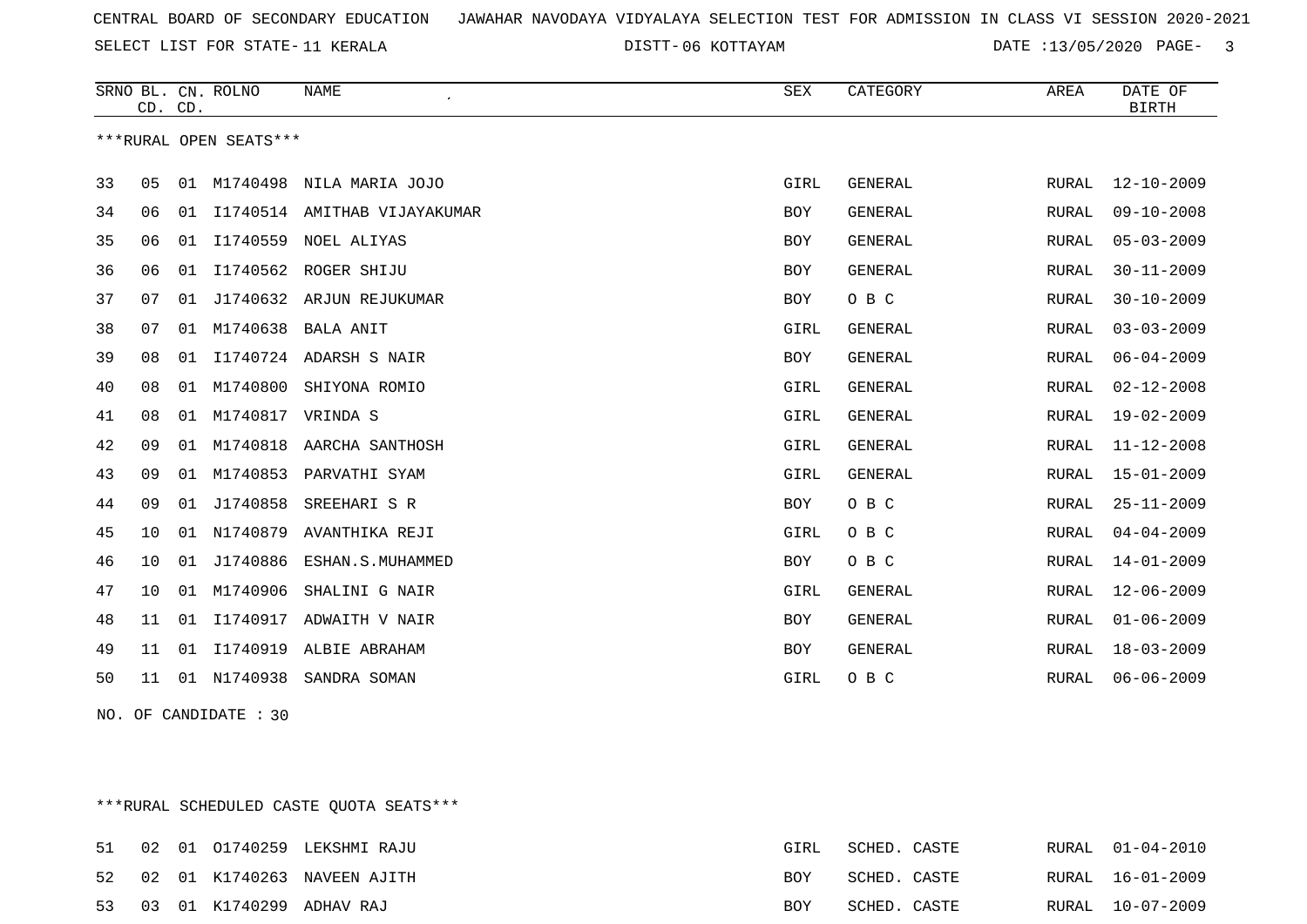SELECT LIST FOR STATE- DISTT- 11 KERALA

06 KOTTAYAM DATE :13/05/2020 PAGE- 3

|    |    | CD. CD. | SRNO BL. CN. ROLNO     | <b>NAME</b>                  | SEX        | CATEGORY       | AREA         | DATE OF<br><b>BIRTH</b> |
|----|----|---------|------------------------|------------------------------|------------|----------------|--------------|-------------------------|
|    |    |         | ***RURAL OPEN SEATS*** |                              |            |                |              |                         |
| 33 | 05 | 01      | M1740498               | NILA MARIA JOJO              | GIRL       | <b>GENERAL</b> | RURAL        | $12 - 10 - 2009$        |
| 34 | 06 | 01      |                        | I1740514 AMITHAB VIJAYAKUMAR | BOY        | <b>GENERAL</b> | RURAL        | $09 - 10 - 2008$        |
| 35 | 06 | 01      | I1740559               | NOEL ALIYAS                  | BOY        | <b>GENERAL</b> | RURAL        | $05 - 03 - 2009$        |
| 36 | 06 | 01      |                        | I1740562 ROGER SHIJU         | <b>BOY</b> | <b>GENERAL</b> | RURAL        | $30 - 11 - 2009$        |
| 37 | 07 | 01      | J1740632               | ARJUN REJUKUMAR              | <b>BOY</b> | O B C          | <b>RURAL</b> | $30 - 10 - 2009$        |
| 38 | 07 | 01      | M1740638               | <b>BALA ANIT</b>             | GIRL       | <b>GENERAL</b> | RURAL        | $03 - 03 - 2009$        |
| 39 | 08 | 01      |                        | I1740724 ADARSH S NAIR       | <b>BOY</b> | GENERAL        | RURAL        | $06 - 04 - 2009$        |
| 40 | 08 | 01      | M1740800               | SHIYONA ROMIO                | GIRL       | <b>GENERAL</b> | RURAL        | $02 - 12 - 2008$        |
| 41 | 08 | 01      | M1740817               | VRINDA S                     | GIRL       | <b>GENERAL</b> | RURAL        | $19 - 02 - 2009$        |
| 42 | 09 | 01      | M1740818               | AARCHA SANTHOSH              | GIRL       | <b>GENERAL</b> | <b>RURAL</b> | $11 - 12 - 2008$        |
| 43 | 09 | 01      | M1740853               | PARVATHI SYAM                | GIRL       | GENERAL        | RURAL        | $15 - 01 - 2009$        |
| 44 | 09 | 01      | J1740858               | SREEHARI S R                 | <b>BOY</b> | O B C          | RURAL        | $25 - 11 - 2009$        |
| 45 | 10 | 01      | N1740879               | AVANTHIKA REJI               | GIRL       | O B C          | RURAL        | $04 - 04 - 2009$        |
| 46 | 10 | 01      | J1740886               | ESHAN.S.MUHAMMED             | <b>BOY</b> | O B C          | <b>RURAL</b> | $14 - 01 - 2009$        |
| 47 | 10 | 01      | M1740906               | SHALINI G NAIR               | GIRL       | <b>GENERAL</b> | RURAL        | $12 - 06 - 2009$        |
| 48 | 11 | 01      | I1740917               | ADWAITH V NAIR               | <b>BOY</b> | GENERAL        | RURAL        | $01 - 06 - 2009$        |
| 49 | 11 | 01      | I1740919               | ALBIE ABRAHAM                | <b>BOY</b> | <b>GENERAL</b> | RURAL        | $18 - 03 - 2009$        |
| 50 | 11 | 01      | N1740938               | SANDRA SOMAN                 | GIRL       | O B C          | <b>RURAL</b> | $06 - 06 - 2009$        |

NO. OF CANDIDATE : 30

\*\*\*RURAL SCHEDULED CASTE QUOTA SEATS\*\*\*

|  |  | 51 02 01 01740259 LEKSHMI RAJU | GIRL       | SCHED. CASTE |  | RURAL 01-04-2010 |
|--|--|--------------------------------|------------|--------------|--|------------------|
|  |  | 52 02 01 K1740263 NAVEEN AJITH | <b>BOY</b> | SCHED. CASTE |  | RURAL 16-01-2009 |
|  |  | 53 03 01 K1740299 ADHAV RAJ    | <b>BOY</b> | SCHED. CASTE |  | RURAL 10-07-2009 |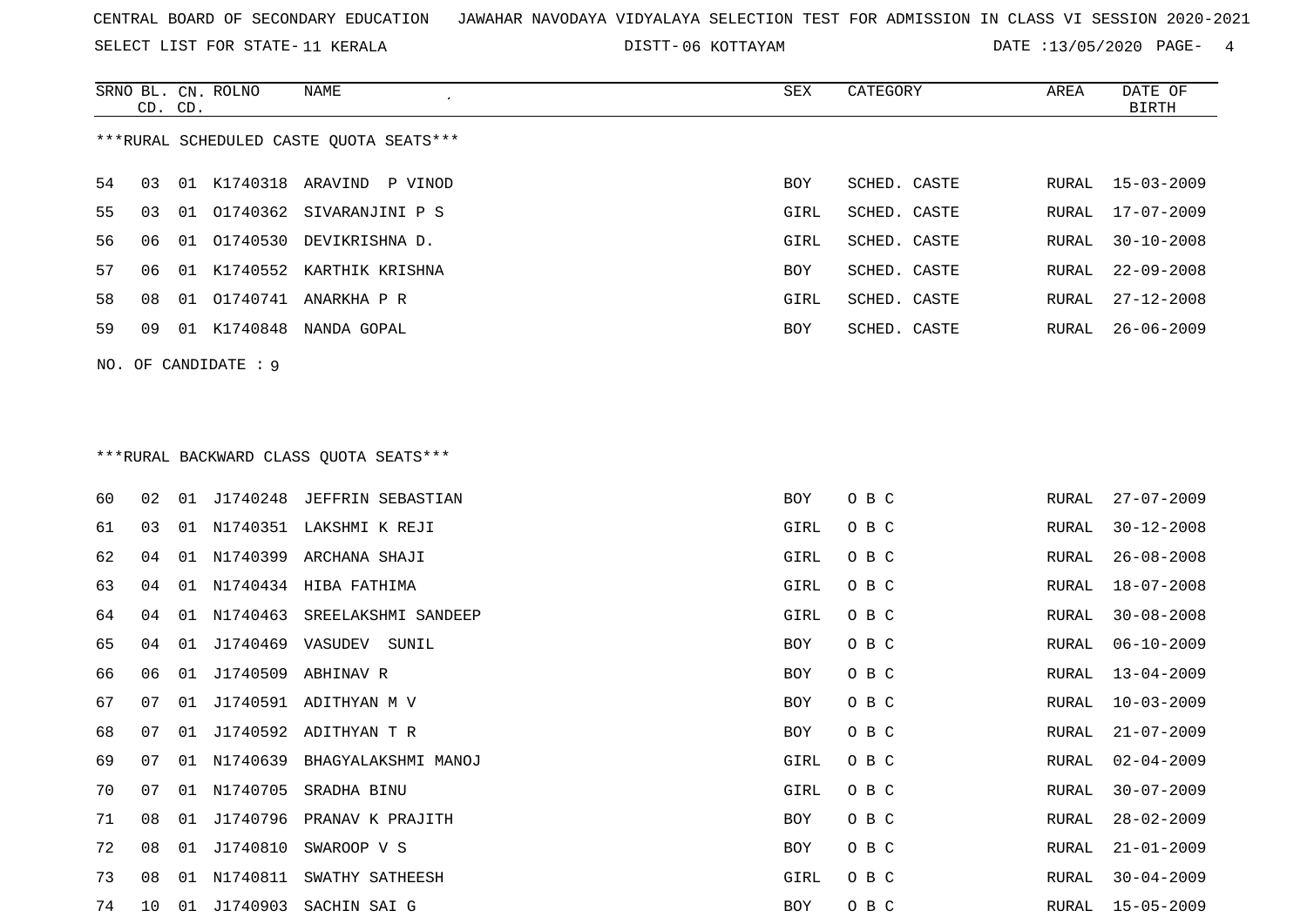SELECT LIST FOR STATE- DISTT- 11 KERALA

06 KOTTAYAM DATE :13/05/2020 PAGE- 4

RURAL 21-01-2009

RURAL 30-04-2009

|    | CD. CD. |    | SRNO BL. CN. ROLNO  | NAME<br>$\cdot$                          | ${\tt SEX}$ | CATEGORY     | AREA         | DATE OF<br><b>BIRTH</b> |
|----|---------|----|---------------------|------------------------------------------|-------------|--------------|--------------|-------------------------|
|    |         |    |                     | *** RURAL SCHEDULED CASTE QUOTA SEATS*** |             |              |              |                         |
| 54 | 03      |    |                     | 01 K1740318 ARAVIND P VINOD              | <b>BOY</b>  | SCHED. CASTE | RURAL        | $15 - 03 - 2009$        |
| 55 | 03      | 01 | 01740362            | SIVARANJINI P S                          | GIRL        | SCHED. CASTE | <b>RURAL</b> | $17 - 07 - 2009$        |
| 56 | 06      | 01 |                     | 01740530 DEVIKRISHNA D.                  | GIRL        | SCHED. CASTE | RURAL        | $30 - 10 - 2008$        |
| 57 | 06      |    |                     | 01 K1740552 KARTHIK KRISHNA              | <b>BOY</b>  | SCHED. CASTE | RURAL        | $22 - 09 - 2008$        |
| 58 | 08      |    |                     | 01 01740741 ANARKHA P R                  | GIRL        | SCHED. CASTE | RURAL        | $27 - 12 - 2008$        |
| 59 | 09      |    |                     | 01 K1740848 NANDA GOPAL                  | BOY         | SCHED. CASTE | RURAL        | $26 - 06 - 2009$        |
|    |         |    | NO. OF CANDIDATE: 9 |                                          |             |              |              |                         |
|    |         |    |                     |                                          |             |              |              |                         |
|    |         |    |                     |                                          |             |              |              |                         |
|    |         |    |                     | *** RURAL BACKWARD CLASS QUOTA SEATS***  |             |              |              |                         |
| 60 | 02      |    |                     | 01 J1740248 JEFFRIN SEBASTIAN            | <b>BOY</b>  | O B C        | RURAL        | $27 - 07 - 2009$        |
| 61 | 03      |    |                     | 01 N1740351 LAKSHMI K REJI               | GIRL        | O B C        | RURAL        | $30 - 12 - 2008$        |
| 62 | 04      | 01 |                     | N1740399 ARCHANA SHAJI                   | GIRL        | O B C        | RURAL        | $26 - 08 - 2008$        |
| 63 | 04      | 01 |                     | N1740434 HIBA FATHIMA                    | GIRL        | O B C        | RURAL        | $18 - 07 - 2008$        |
| 64 | 04      |    | 01 N1740463         | SREELAKSHMI SANDEEP                      | GIRL        | O B C        | RURAL        | $30 - 08 - 2008$        |
| 65 | 04      | 01 | J1740469 VASUDEV    | SUNIL                                    | <b>BOY</b>  | O B C        | RURAL        | $06 - 10 - 2009$        |
| 66 | 06      |    |                     | 01 J1740509 ABHINAV R                    | <b>BOY</b>  | O B C        | RURAL        | $13 - 04 - 2009$        |
| 67 | 07      | 01 |                     | J1740591 ADITHYAN M V                    | BOY         | O B C        | RURAL        | $10 - 03 - 2009$        |
| 68 | 07      |    |                     | 01 J1740592 ADITHYAN T R                 | BOY         | O B C        | RURAL        | $21 - 07 - 2009$        |
| 69 | 07      | 01 | N1740639            | BHAGYALAKSHMI MANOJ                      | GIRL        | O B C        | RURAL        | $02 - 04 - 2009$        |
| 70 | 07      |    | 01 N1740705         | SRADHA BINU                              | <b>GIRL</b> | O B C        | RURAL        | $30 - 07 - 2009$        |
|    |         |    |                     |                                          |             |              |              |                         |

71 08 01 J1740796 PRANAV K PRAJITH BOY O B C RURAL 28-02-2009

74 10 01 J1740903 SACHIN SAI G BOY O B C RURAL 15-05-2009

72 08 01 J1740810 SWAROOP V S BOY O B C

73 08 01 N1740811 SWATHY SATHEESH GIRL O B C RURAL 30-04-2009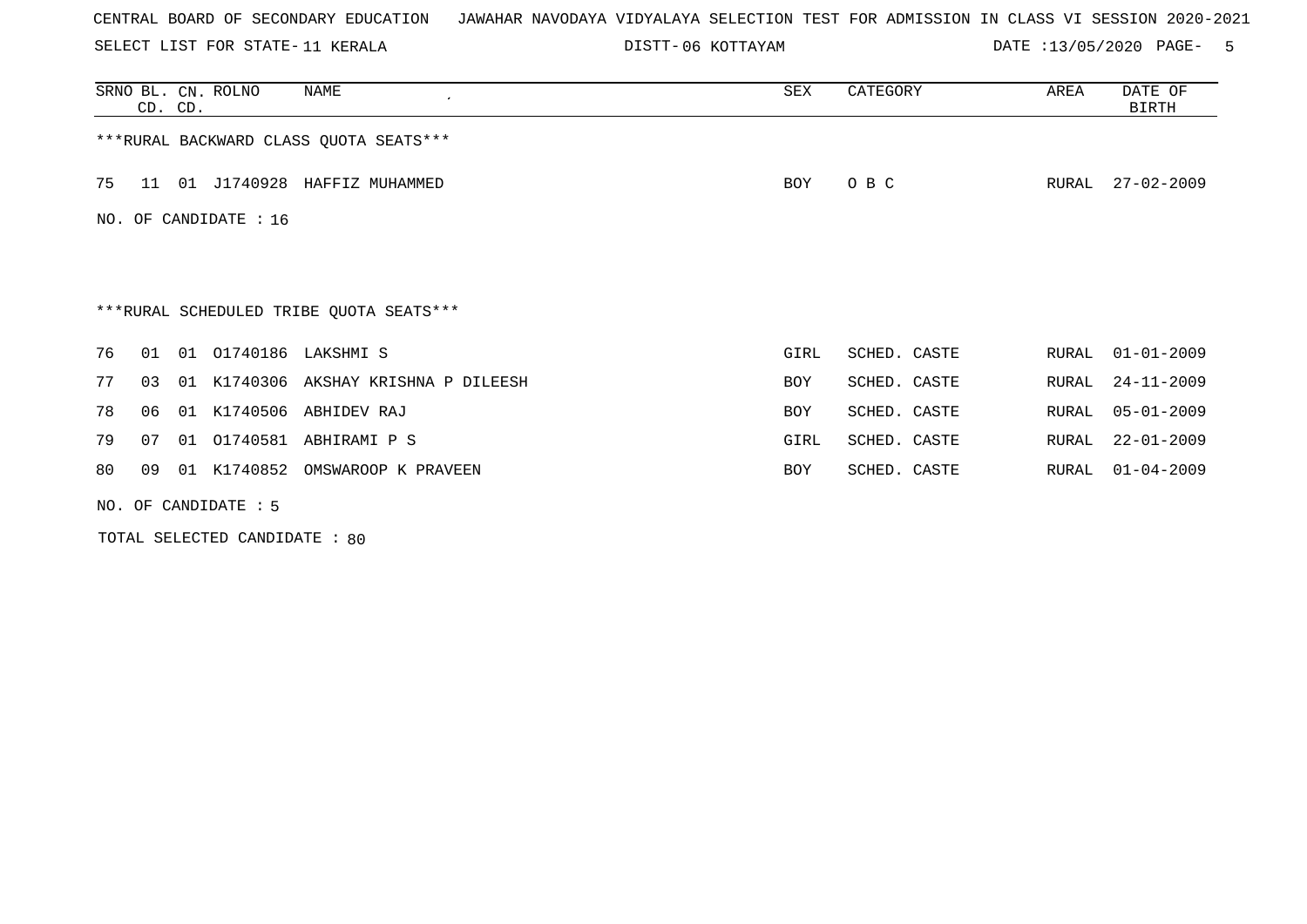SELECT LIST FOR STATE- DISTT- 11 KERALA

06 KOTTAYAM DATE :13/05/2020 PAGE- 5

| SRNO BL. CN. ROLNO<br>NAME<br>$\cdot$<br>CD. CD. | SEX        | CATEGORY     | AREA  | DATE OF<br>BIRTH |  |  |  |  |  |
|--------------------------------------------------|------------|--------------|-------|------------------|--|--|--|--|--|
| *** RURAL BACKWARD CLASS QUOTA SEATS***          |            |              |       |                  |  |  |  |  |  |
| 01 J1740928 HAFFIZ MUHAMMED<br>75<br>11          | BOY        | O B C        | RURAL | $27 - 02 - 2009$ |  |  |  |  |  |
| NO. OF CANDIDATE : $16$                          |            |              |       |                  |  |  |  |  |  |
|                                                  |            |              |       |                  |  |  |  |  |  |
| ***RURAL SCHEDULED TRIBE QUOTA SEATS***          |            |              |       |                  |  |  |  |  |  |
| 01 01740186 LAKSHMI S<br>76<br>01                | GIRL       | SCHED. CASTE | RURAL | $01 - 01 - 2009$ |  |  |  |  |  |
| 01 K1740306 AKSHAY KRISHNA P DILEESH<br>77<br>03 | <b>BOY</b> | SCHED. CASTE | RURAL | $24 - 11 - 2009$ |  |  |  |  |  |
| 01 K1740506 ABHIDEV RAJ<br>78<br>06              | <b>BOY</b> | SCHED. CASTE | RURAL | $05 - 01 - 2009$ |  |  |  |  |  |
| 01 01740581 ABHIRAMI P S<br>79<br>07             | GIRL       | SCHED. CASTE | RURAL | $22 - 01 - 2009$ |  |  |  |  |  |
| 01 K1740852 OMSWAROOP K PRAVEEN<br>80<br>09      | <b>BOY</b> | SCHED. CASTE | RURAL | $01 - 04 - 2009$ |  |  |  |  |  |
| NO. OF CANDIDATE $: 5$                           |            |              |       |                  |  |  |  |  |  |

TOTAL SELECTED CANDIDATE : 80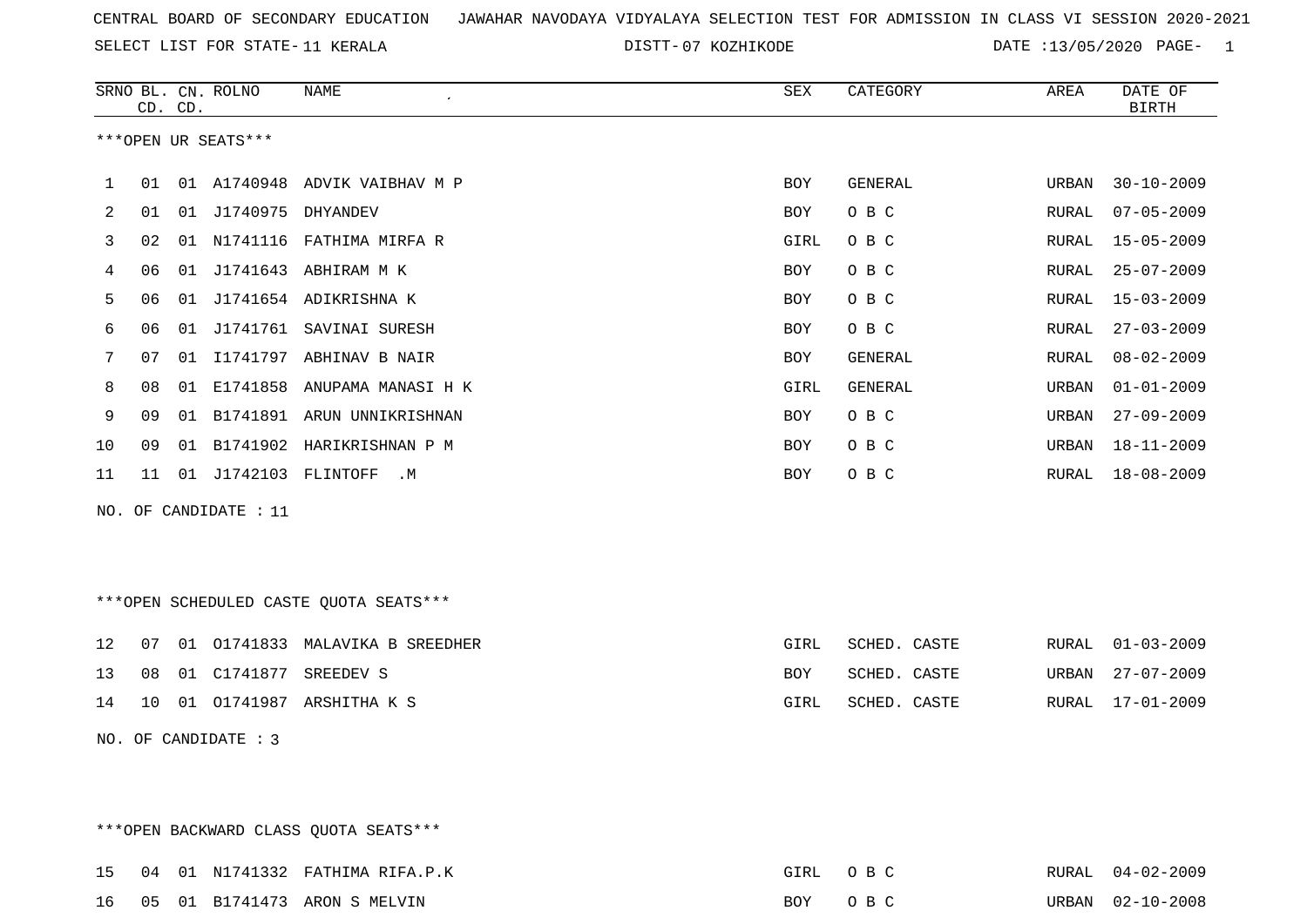SELECT LIST FOR STATE- DISTT- 11 KERALA

\*\*\*OPEN BACKWARD CLASS QUOTA SEATS\*\*\*

DISTT-07 KOZHIKODE DATE :13/05/2020 PAGE- 1

|    |    | CD. CD. | SRNO BL. CN. ROLNO    | <b>NAME</b><br>$\bullet$               | <b>SEX</b> | CATEGORY       | AREA  | DATE OF<br><b>BIRTH</b> |
|----|----|---------|-----------------------|----------------------------------------|------------|----------------|-------|-------------------------|
|    |    |         | ***OPEN UR SEATS***   |                                        |            |                |       |                         |
| 1  | 01 |         |                       | 01 A1740948 ADVIK VAIBHAV M P          | <b>BOY</b> | GENERAL        | URBAN | $30 - 10 - 2009$        |
| 2  | 01 |         | 01 J1740975 DHYANDEV  |                                        | BOY        | O B C          | RURAL | $07 - 05 - 2009$        |
| 3  | 02 |         |                       | 01 N1741116 FATHIMA MIRFA R            | GIRL       | O B C          | RURAL | $15 - 05 - 2009$        |
| 4  | 06 |         |                       | 01 J1741643 ABHIRAM M K                | <b>BOY</b> | O B C          | RURAL | $25 - 07 - 2009$        |
| 5  | 06 | 01      |                       | J1741654 ADIKRISHNA K                  | <b>BOY</b> | O B C          | RURAL | $15 - 03 - 2009$        |
| 6  | 06 | 01      |                       | J1741761 SAVINAI SURESH                | BOY        | O B C          | RURAL | $27 - 03 - 2009$        |
| 7  | 07 |         |                       | 01 I1741797 ABHINAV B NAIR             | <b>BOY</b> | <b>GENERAL</b> | RURAL | $08 - 02 - 2009$        |
| 8  | 08 | 01      |                       | E1741858 ANUPAMA MANASI H K            | GIRL       | GENERAL        | URBAN | $01 - 01 - 2009$        |
| 9  | 09 |         |                       | 01 B1741891 ARUN UNNIKRISHNAN          | BOY        | O B C          | URBAN | $27 - 09 - 2009$        |
| 10 | 09 |         |                       | 01 B1741902 HARIKRISHNAN P M           | BOY        | O B C          | URBAN | 18-11-2009              |
| 11 | 11 |         | 01 J1742103 FLINTOFF  | . М                                    | BOY        | O B C          | RURAL | $18 - 08 - 2009$        |
|    |    |         | NO. OF CANDIDATE : 11 |                                        |            |                |       |                         |
|    |    |         |                       |                                        |            |                |       |                         |
|    |    |         |                       |                                        |            |                |       |                         |
|    |    |         |                       | ***OPEN SCHEDULED CASTE QUOTA SEATS*** |            |                |       |                         |
|    |    |         |                       |                                        |            |                |       |                         |
| 12 | 07 |         |                       | 01 01741833 MALAVIKA B SREEDHER        | GIRL       | SCHED. CASTE   | RURAL | $01 - 03 - 2009$        |
| 13 | 08 |         | 01 C1741877           | SREEDEV S                              | BOY        | SCHED. CASTE   | URBAN | $27 - 07 - 2009$        |
| 14 | 10 |         |                       | 01 01741987 ARSHITHA K S               | GIRL       | SCHED. CASTE   | RURAL | $17 - 01 - 2009$        |
|    |    |         | NO. OF CANDIDATE : 3  |                                        |            |                |       |                         |
|    |    |         |                       |                                        |            |                |       |                         |
|    |    |         |                       |                                        |            |                |       |                         |

15 04 01 N1741332 FATHIMA RIFA.P.K GIRL O B C RURAL 04-02-2009 16 05 01 B1741473 ARON S MELVIN BOY O B C URBAN 02-10-2008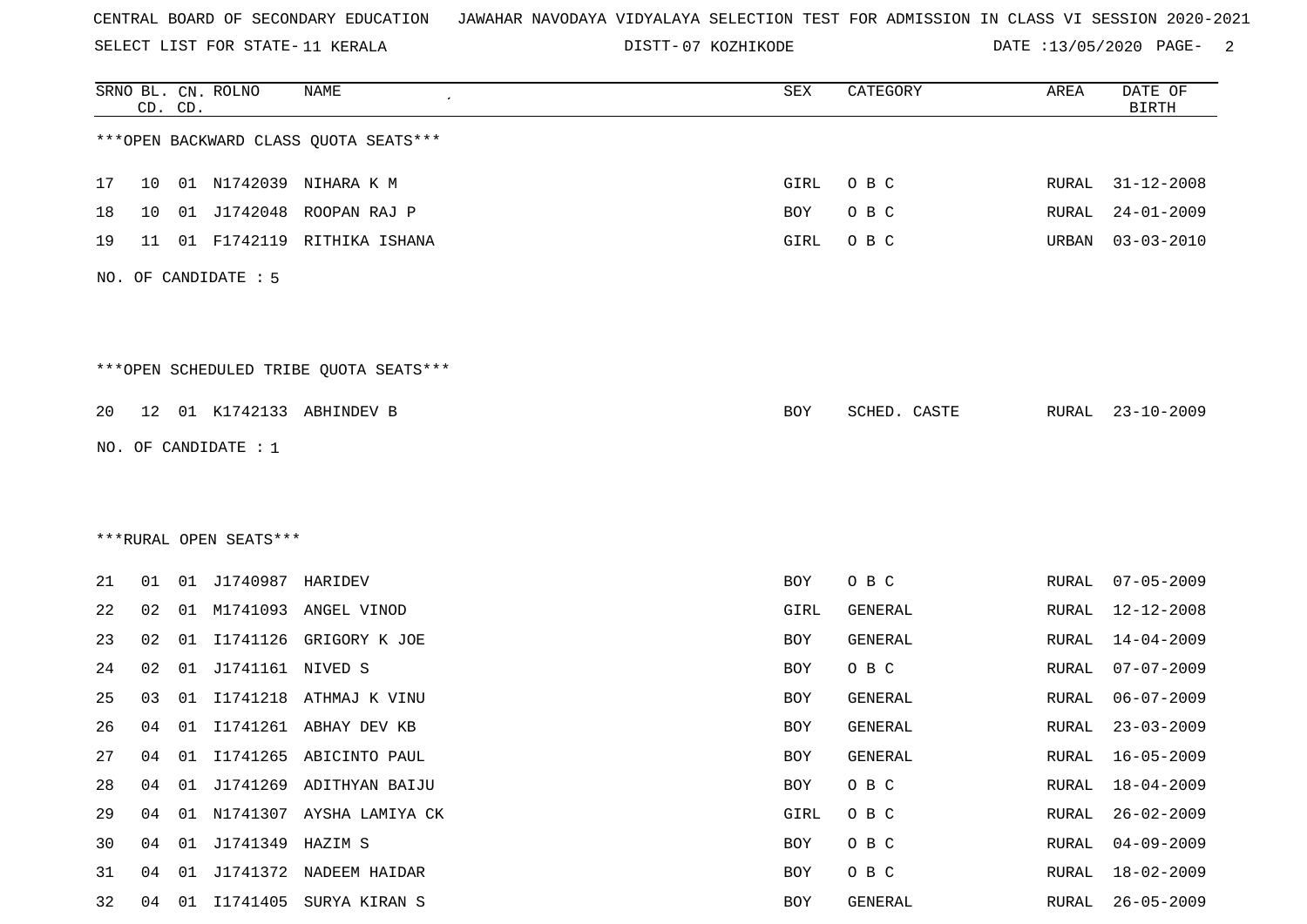SELECT LIST FOR STATE- DISTT- 11 KERALA

DISTT-07 KOZHIKODE **DATE** :13/05/2020 PAGE- 2

|    |                 | CD. CD. | SRNO BL. CN. ROLNO     | <b>NAME</b>                            | SEX        | CATEGORY       | AREA         | DATE OF<br><b>BIRTH</b> |
|----|-----------------|---------|------------------------|----------------------------------------|------------|----------------|--------------|-------------------------|
|    |                 |         |                        | *** OPEN BACKWARD CLASS QUOTA SEATS*** |            |                |              |                         |
| 17 | 10              |         |                        | 01 N1742039 NIHARA K M                 | GIRL       | O B C          | <b>RURAL</b> | $31 - 12 - 2008$        |
| 18 | 10              | 01      | J1742048               | ROOPAN RAJ P                           | BOY        | O B C          | RURAL        | $24 - 01 - 2009$        |
| 19 | 11              |         | 01 F1742119            | RITHIKA ISHANA                         | GIRL       | O B C          | URBAN        | $03 - 03 - 2010$        |
|    |                 |         | NO. OF CANDIDATE : 5   |                                        |            |                |              |                         |
|    |                 |         |                        | ***OPEN SCHEDULED TRIBE QUOTA SEATS*** |            |                |              |                         |
| 20 | 12 <sup>°</sup> |         |                        | 01 K1742133 ABHINDEV B                 | BOY        | SCHED. CASTE   | RURAL        | $23 - 10 - 2009$        |
|    |                 |         | NO. OF CANDIDATE : 1   |                                        |            |                |              |                         |
|    |                 |         |                        |                                        |            |                |              |                         |
|    |                 |         |                        |                                        |            |                |              |                         |
|    |                 |         | ***RURAL OPEN SEATS*** |                                        |            |                |              |                         |
| 21 | 01              |         | 01 J1740987 HARIDEV    |                                        | <b>BOY</b> | O B C          | RURAL        | $07 - 05 - 2009$        |
| 22 | 02              |         |                        | 01 M1741093 ANGEL VINOD                | GIRL       | <b>GENERAL</b> | RURAL        | 12-12-2008              |
| 23 | 02              | 01      | I1741126               | GRIGORY K JOE                          | BOY        | GENERAL        | RURAL        | $14 - 04 - 2009$        |
| 24 | 02              | 01      | J1741161 NIVED S       |                                        | BOY        | O B C          | <b>RURAL</b> | $07 - 07 - 2009$        |
| 25 | 03              | 01      |                        | I1741218 ATHMAJ K VINU                 | BOY        | GENERAL        | RURAL        | $06 - 07 - 2009$        |
| 26 | 04              | 01      |                        | I1741261 ABHAY DEV KB                  | BOY        | GENERAL        | RURAL        | $23 - 03 - 2009$        |
| 27 | 04              | 01      |                        | I1741265 ABICINTO PAUL                 | BOY        | GENERAL        | RURAL        | $16 - 05 - 2009$        |
| 28 | 04              |         |                        | 01 J1741269 ADITHYAN BAIJU             | BOY        | O B C          | <b>RURAL</b> | $18 - 04 - 2009$        |
| 29 | 04              |         |                        | 01 N1741307 AYSHA LAMIYA CK            | GIRL       | O B C          | RURAL        | $26 - 02 - 2009$        |
| 30 | 04              |         | 01 J1741349 HAZIM S    |                                        | BOY        | O B C          | <b>RURAL</b> | $04 - 09 - 2009$        |
| 31 | 04              |         |                        | 01 J1741372 NADEEM HAIDAR              | BOY        | O B C          | <b>RURAL</b> | $18 - 02 - 2009$        |
| 32 | 04              |         |                        | 01 I1741405 SURYA KIRAN S              | BOY        | GENERAL        | RURAL        | $26 - 05 - 2009$        |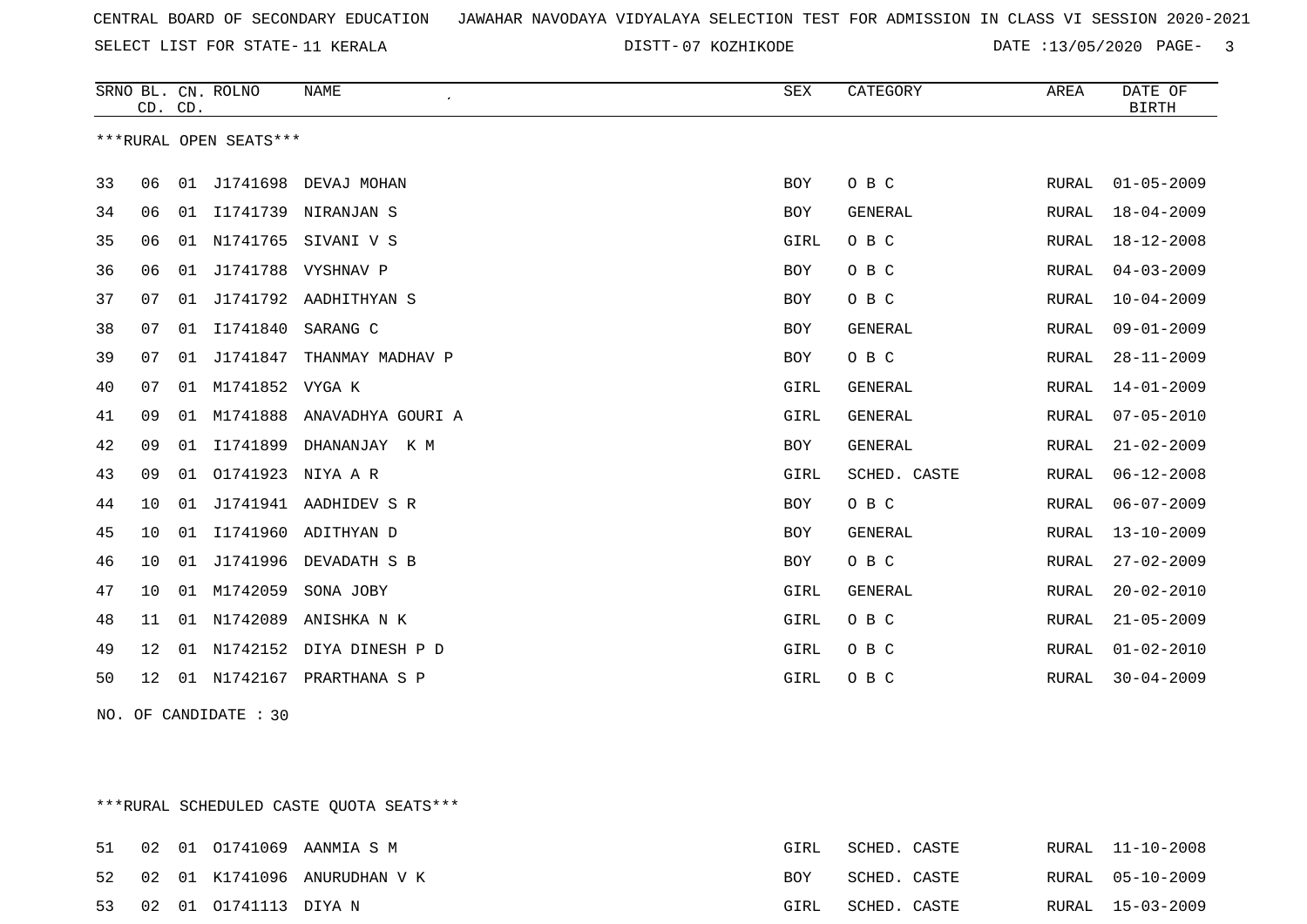SELECT LIST FOR STATE- DISTT- 11 KERALA

DISTT-07 KOZHIKODE DATE :13/05/2020 PAGE- 3

|    | CD. CD. |    | SRNO BL. CN. ROLNO     | <b>NAME</b>              | <b>SEX</b> | CATEGORY       | AREA  | DATE OF<br>BIRTH |
|----|---------|----|------------------------|--------------------------|------------|----------------|-------|------------------|
|    |         |    | ***RURAL OPEN SEATS*** |                          |            |                |       |                  |
| 33 | 06      |    | 01 J1741698            | DEVAJ MOHAN              | BOY        | O B C          | RURAL | $01 - 05 - 2009$ |
| 34 | 06      | 01 | I1741739               | NIRANJAN S               | BOY        | GENERAL        | RURAL | $18 - 04 - 2009$ |
| 35 | 06      |    |                        | 01 N1741765 SIVANI V S   | GIRL       | O B C          | RURAL | $18 - 12 - 2008$ |
| 36 | 06      | 01 |                        | J1741788 VYSHNAV P       | BOY        | O B C          | RURAL | $04 - 03 - 2009$ |
| 37 | 07      | 01 |                        | J1741792 AADHITHYAN S    | <b>BOY</b> | O B C          | RURAL | $10 - 04 - 2009$ |
| 38 | 07      | 01 | I1741840               | SARANG C                 | BOY        | GENERAL        | RURAL | $09 - 01 - 2009$ |
| 39 | 07      |    | 01 J1741847            | THANMAY MADHAV P         | BOY        | O B C          | RURAL | $28 - 11 - 2009$ |
| 40 | 07      | 01 | M1741852 VYGA K        |                          | GIRL       | <b>GENERAL</b> | RURAL | $14 - 01 - 2009$ |
| 41 | 09      | 01 | M1741888               | ANAVADHYA GOURI A        | GIRL       | GENERAL        | RURAL | $07 - 05 - 2010$ |
| 42 | 09      | 01 | I1741899               | DHANANJAY K M            | <b>BOY</b> | GENERAL        | RURAL | $21 - 02 - 2009$ |
| 43 | 09      |    | 01 01741923 NIYA A R   |                          | GIRL       | SCHED. CASTE   | RURAL | $06 - 12 - 2008$ |
| 44 | 10      | 01 |                        | J1741941 AADHIDEV S R    | BOY        | O B C          | RURAL | $06 - 07 - 2009$ |
| 45 | 10      | 01 |                        | I1741960 ADITHYAN D      | BOY        | <b>GENERAL</b> | RURAL | $13 - 10 - 2009$ |
| 46 | 10      | 01 | J1741996               | DEVADATH S B             | <b>BOY</b> | O B C          | RURAL | $27 - 02 - 2009$ |
| 47 | 10      |    | 01 M1742059            | SONA JOBY                | GIRL       | GENERAL        | RURAL | $20 - 02 - 2010$ |
| 48 | 11      | 01 | N1742089               | ANISHKA N K              | GIRL       | O B C          | RURAL | $21 - 05 - 2009$ |
| 49 | $12 \,$ | 01 |                        | N1742152 DIYA DINESH P D | GIRL       | O B C          | RURAL | $01 - 02 - 2010$ |
| 50 | 12      | 01 | N1742167               | PRARTHANA S P            | GIRL       | O B C          | RURAL | $30 - 04 - 2009$ |

NO. OF CANDIDATE : 30

\*\*\*RURAL SCHEDULED CASTE QUOTA SEATS\*\*\*

|  |                         | 51 02 01 01741069 AANMIA S M    | GIRL       | SCHED. CASTE |  | RURAL 11-10-2008 |
|--|-------------------------|---------------------------------|------------|--------------|--|------------------|
|  |                         | 52 02 01 K1741096 ANURUDHAN V K | <b>BOY</b> | SCHED. CASTE |  | RURAL 05-10-2009 |
|  | 53 02 01 01741113 DIYAN |                                 | GIRL       | SCHED. CASTE |  | RURAL 15-03-2009 |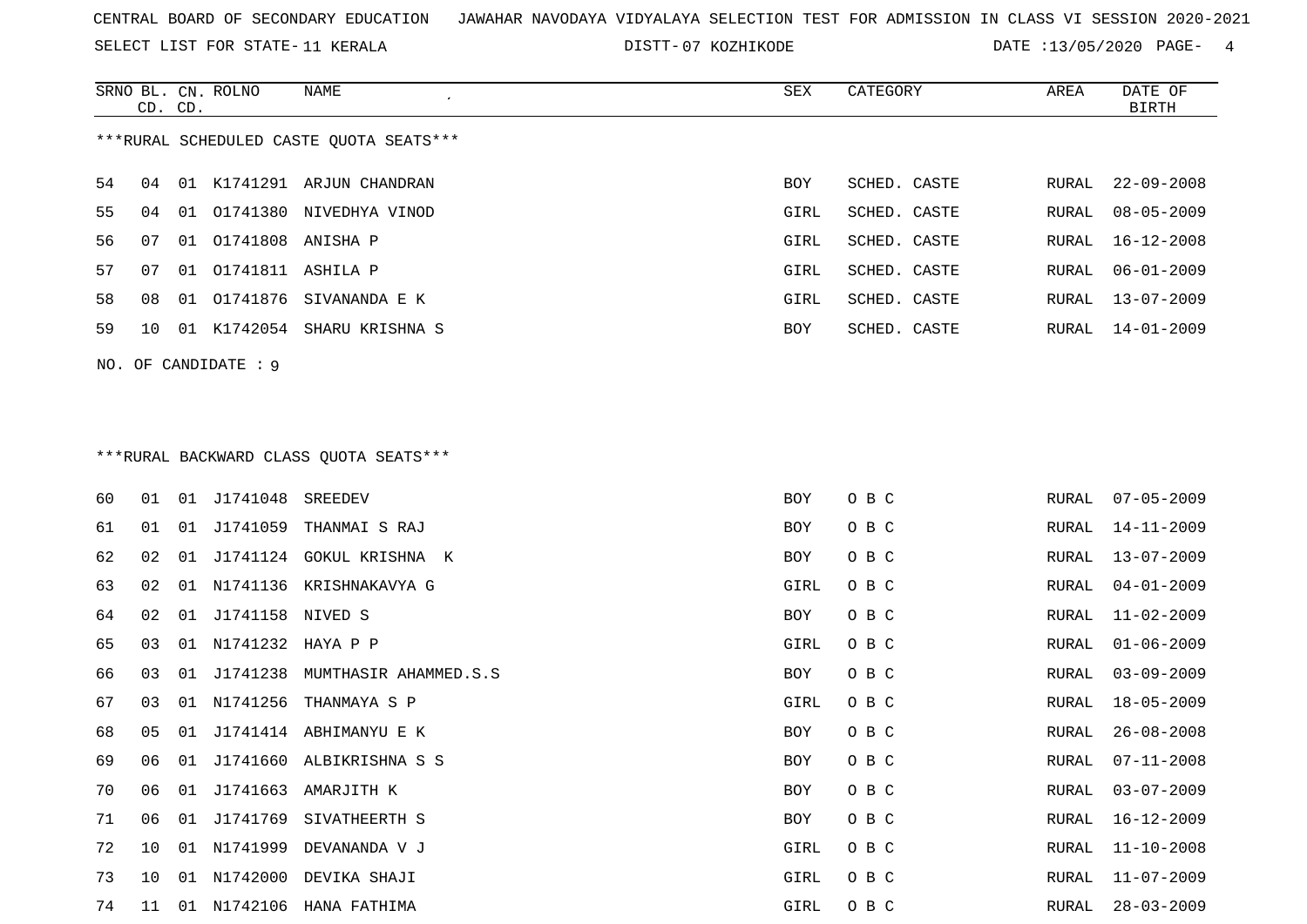SELECT LIST FOR STATE- DISTT- 11 KERALA

DISTT-07 KOZHIKODE DATE :13/05/2020 PAGE- 4

|    |    |         | NAME                                                                                                | SEX                                                                                                                                                                                                                                                                                                                                                                                                                                                                                                                                                                                     | CATEGORY     | AREA          | DATE OF<br><b>BIRTH</b> |
|----|----|---------|-----------------------------------------------------------------------------------------------------|-----------------------------------------------------------------------------------------------------------------------------------------------------------------------------------------------------------------------------------------------------------------------------------------------------------------------------------------------------------------------------------------------------------------------------------------------------------------------------------------------------------------------------------------------------------------------------------------|--------------|---------------|-------------------------|
|    |    |         |                                                                                                     |                                                                                                                                                                                                                                                                                                                                                                                                                                                                                                                                                                                         |              |               |                         |
| 04 |    |         |                                                                                                     | <b>BOY</b>                                                                                                                                                                                                                                                                                                                                                                                                                                                                                                                                                                              | SCHED. CASTE | RURAL         | $22 - 09 - 2008$        |
| 04 | 01 |         |                                                                                                     | GIRL                                                                                                                                                                                                                                                                                                                                                                                                                                                                                                                                                                                    | SCHED. CASTE | RURAL         | $08 - 05 - 2009$        |
| 07 | 01 |         |                                                                                                     | GIRL                                                                                                                                                                                                                                                                                                                                                                                                                                                                                                                                                                                    | SCHED. CASTE | RURAL         | $16 - 12 - 2008$        |
| 07 |    |         |                                                                                                     | GIRL                                                                                                                                                                                                                                                                                                                                                                                                                                                                                                                                                                                    | SCHED. CASTE | RURAL         | $06 - 01 - 2009$        |
| 08 |    |         |                                                                                                     | GIRL                                                                                                                                                                                                                                                                                                                                                                                                                                                                                                                                                                                    | SCHED. CASTE | RURAL         | $13 - 07 - 2009$        |
| 10 |    |         |                                                                                                     | BOY                                                                                                                                                                                                                                                                                                                                                                                                                                                                                                                                                                                     | SCHED. CASTE | RURAL         | 14-01-2009              |
|    |    |         |                                                                                                     |                                                                                                                                                                                                                                                                                                                                                                                                                                                                                                                                                                                         |              |               |                         |
|    |    |         |                                                                                                     |                                                                                                                                                                                                                                                                                                                                                                                                                                                                                                                                                                                         |              |               |                         |
|    |    |         |                                                                                                     |                                                                                                                                                                                                                                                                                                                                                                                                                                                                                                                                                                                         |              |               |                         |
|    |    |         |                                                                                                     |                                                                                                                                                                                                                                                                                                                                                                                                                                                                                                                                                                                         |              |               |                         |
| 01 |    |         | SREEDEV                                                                                             | <b>BOY</b>                                                                                                                                                                                                                                                                                                                                                                                                                                                                                                                                                                              | O B C        | RURAL         | $07 - 05 - 2009$        |
| 01 |    |         |                                                                                                     | BOY                                                                                                                                                                                                                                                                                                                                                                                                                                                                                                                                                                                     | O B C        | RURAL         | $14 - 11 - 2009$        |
| 02 | 01 |         |                                                                                                     | <b>BOY</b>                                                                                                                                                                                                                                                                                                                                                                                                                                                                                                                                                                              | O B C        | RURAL         | $13 - 07 - 2009$        |
| 02 |    |         |                                                                                                     | GIRL                                                                                                                                                                                                                                                                                                                                                                                                                                                                                                                                                                                    | O B C        | ${\tt RURAL}$ | $04 - 01 - 2009$        |
| 02 |    |         |                                                                                                     | <b>BOY</b>                                                                                                                                                                                                                                                                                                                                                                                                                                                                                                                                                                              | O B C        | RURAL         | $11 - 02 - 2009$        |
| 03 | 01 |         |                                                                                                     | GIRL                                                                                                                                                                                                                                                                                                                                                                                                                                                                                                                                                                                    | O B C        | RURAL         | $01 - 06 - 2009$        |
| 03 |    |         |                                                                                                     | BOY                                                                                                                                                                                                                                                                                                                                                                                                                                                                                                                                                                                     | O B C        | RURAL         | $03 - 09 - 2009$        |
| 03 | 01 |         |                                                                                                     | GIRL                                                                                                                                                                                                                                                                                                                                                                                                                                                                                                                                                                                    | O B C        | RURAL         | $18 - 05 - 2009$        |
| 05 | 01 |         |                                                                                                     | BOY                                                                                                                                                                                                                                                                                                                                                                                                                                                                                                                                                                                     | O B C        | RURAL         | $26 - 08 - 2008$        |
| 06 |    |         |                                                                                                     | <b>BOY</b>                                                                                                                                                                                                                                                                                                                                                                                                                                                                                                                                                                              | O B C        | RURAL         | $07 - 11 - 2008$        |
| 06 | 01 |         |                                                                                                     | <b>BOY</b>                                                                                                                                                                                                                                                                                                                                                                                                                                                                                                                                                                              | O B C        | RURAL         | $03 - 07 - 2009$        |
| 06 | 01 |         |                                                                                                     | BOY                                                                                                                                                                                                                                                                                                                                                                                                                                                                                                                                                                                     | O B C        | RURAL         | $16 - 12 - 2009$        |
| 10 |    |         |                                                                                                     | GIRL                                                                                                                                                                                                                                                                                                                                                                                                                                                                                                                                                                                    | O B C        | RURAL         | $11 - 10 - 2008$        |
| 10 |    |         |                                                                                                     | GIRL                                                                                                                                                                                                                                                                                                                                                                                                                                                                                                                                                                                    | O B C        | RURAL         | 11-07-2009              |
|    |    | CD. CD. | SRNO BL. CN. ROLNO<br>01 01741876<br>NO. OF CANDIDATE : 9<br>01 J1741048<br>01 J1741238<br>N1741256 | ***RURAL SCHEDULED CASTE QUOTA SEATS***<br>01 K1741291 ARJUN CHANDRAN<br>01741380 NIVEDHYA VINOD<br>01741808 ANISHA P<br>01 01741811 ASHILA P<br>SIVANANDA E K<br>01 K1742054 SHARU KRISHNA S<br>*** RURAL BACKWARD CLASS QUOTA SEATS***<br>01 J1741059 THANMAI S RAJ<br>J1741124 GOKUL KRISHNA K<br>01 N1741136 KRISHNAKAVYA G<br>01 J1741158 NIVED S<br>N1741232 HAYA P P<br>MUMTHASIR AHAMMED.S.S<br>THANMAYA S P<br>J1741414 ABHIMANYU E K<br>01 J1741660 ALBIKRISHNA S S<br>J1741663 AMARJITH K<br>J1741769 SIVATHEERTH S<br>01 N1741999 DEVANANDA V J<br>01 N1742000 DEVIKA SHAJI |              |               |                         |

11 01 N1742106 HANA FATHIMA GIRL O B C RURAL 28-03-2009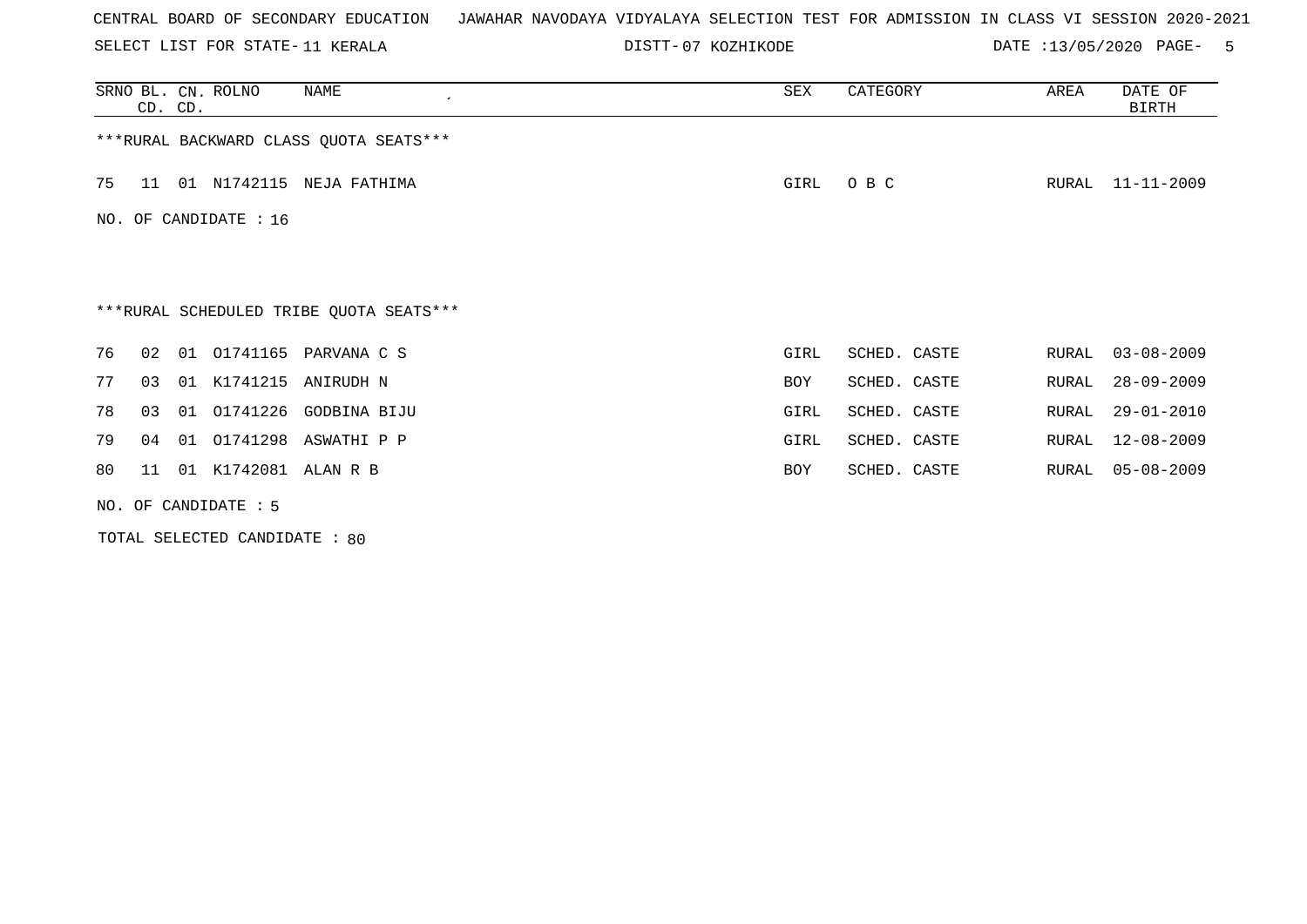SELECT LIST FOR STATE- DISTT- 11 KERALA

DISTT-07 KOZHIKODE **DATE** :13/05/2020 PAGE- 5

|     | CD. CD.              |    | SRNO BL. CN. ROLNO | NAME<br>$\epsilon$                      | SEX        | CATEGORY     | AREA  | DATE OF<br>BIRTH |  |  |
|-----|----------------------|----|--------------------|-----------------------------------------|------------|--------------|-------|------------------|--|--|
|     |                      |    |                    | ***RURAL BACKWARD CLASS QUOTA SEATS***  |            |              |       |                  |  |  |
| 75  | 11                   |    | 01 N1742115        | NEJA FATHIMA                            | GIRL       | O B C        | RURAL | 11-11-2009       |  |  |
| NO. | OF CANDIDATE : 16    |    |                    |                                         |            |              |       |                  |  |  |
|     |                      |    |                    |                                         |            |              |       |                  |  |  |
|     |                      |    |                    | ***RURAL SCHEDULED TRIBE QUOTA SEATS*** |            |              |       |                  |  |  |
| 76  | 02                   | 01 |                    | 01741165 PARVANA C S                    | GIRL       | SCHED. CASTE | RURAL | $03 - 08 - 2009$ |  |  |
| 77  | 03                   | 01 |                    | K1741215 ANIRUDH N                      | BOY        | SCHED. CASTE | RURAL | $28 - 09 - 2009$ |  |  |
| 78  | 03                   | 01 | 01741226           | <b>GODBINA BIJU</b>                     | GIRL       | SCHED. CASTE | RURAL | $29 - 01 - 2010$ |  |  |
| 79  | 04                   | 01 |                    | O1741298 ASWATHI P P                    | GIRL       | SCHED. CASTE | RURAL | $12 - 08 - 2009$ |  |  |
| 80  | 11                   | 01 | K1742081 ALAN R B  |                                         | <b>BOY</b> | SCHED. CASTE | RURAL | $05 - 08 - 2009$ |  |  |
|     | NO. OF CANDIDATE : 5 |    |                    |                                         |            |              |       |                  |  |  |

TOTAL SELECTED CANDIDATE : 80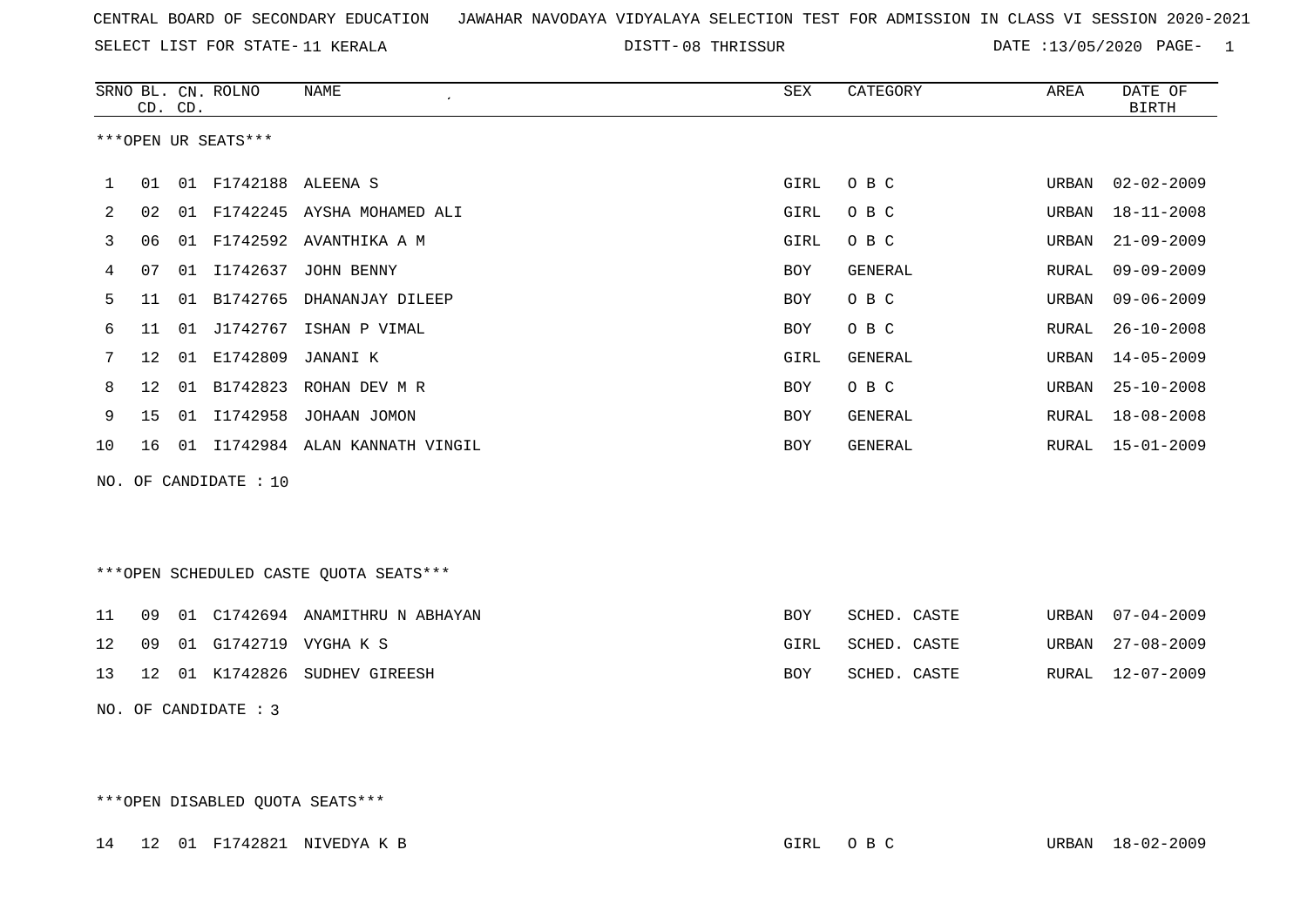SELECT LIST FOR STATE- DISTT- 11 KERALA

DISTT-08 THRISSUR **DATE** :13/05/2020 PAGE- 1

|                | CD. CD.           |    | SRNO BL. CN. ROLNO    | <b>NAME</b>                                  | <b>SEX</b> | CATEGORY        | AREA  | DATE OF<br><b>BIRTH</b> |
|----------------|-------------------|----|-----------------------|----------------------------------------------|------------|-----------------|-------|-------------------------|
|                |                   |    | ***OPEN UR SEATS***   |                                              |            |                 |       |                         |
| 1              | 01                |    | 01 F1742188 ALEENA S  |                                              | GIRL       | O B C           | URBAN | $02 - 02 - 2009$        |
| 2              | 02                |    |                       | 01 F1742245 AYSHA MOHAMED ALI                | GIRL       | O B C           | URBAN | $18 - 11 - 2008$        |
| 3              | 06                |    |                       | 01 F1742592 AVANTHIKA A M                    | GIRL       | O B C           | URBAN | $21 - 09 - 2009$        |
| 4              | 07                | 01 | I1742637              | JOHN BENNY                                   | <b>BOY</b> | GENERAL         | RURAL | $09 - 09 - 2009$        |
| 5              | 11                | 01 | B1742765              | DHANANJAY DILEEP                             | BOY        | O B C           | URBAN | $09 - 06 - 2009$        |
| 6              | 11                | 01 | J1742767              | ISHAN P VIMAL                                | BOY        | O B C           | RURAL | $26 - 10 - 2008$        |
| 7              | $12 \overline{ }$ | 01 | E1742809              | JANANI K                                     | GIRL       | GENERAL         | URBAN | $14 - 05 - 2009$        |
| 8              | 12                | 01 | B1742823              | ROHAN DEV M R                                | BOY        | O B C           | URBAN | $25 - 10 - 2008$        |
| 9              | 15                | 01 | I1742958              | JOHAAN JOMON                                 | <b>BOY</b> | GENERAL         | RURAL | $18 - 08 - 2008$        |
| 10             | 16                | 01 |                       | I1742984 ALAN KANNATH VINGIL                 | <b>BOY</b> | GENERAL         | RURAL | $15 - 01 - 2009$        |
|                |                   |    | NO. OF CANDIDATE : 10 |                                              |            |                 |       |                         |
|                |                   |    |                       |                                              |            |                 |       |                         |
|                |                   |    |                       |                                              |            |                 |       |                         |
|                |                   |    |                       | ***OPEN SCHEDULED CASTE QUOTA SEATS***       |            |                 |       |                         |
| 11             | 09                | 01 |                       | C1742694 ANAMITHRU N ABHAYAN                 | <b>BOY</b> | SCHED. CASTE    | URBAN | $07 - 04 - 2009$        |
| $\overline{1}$ |                   |    |                       | $0.0$ $0.1$ $0.1742710$ $1.070112$ $1.01742$ | ATDT       | $CCTID$ $CCTID$ |       | COLORATE OF COLORATION  |

|  |  | TA UYULI GITARIYIN VIGHAR S      | GIKL | SCHLD. CASIL |  | URBAN 47-08-4009 |
|--|--|----------------------------------|------|--------------|--|------------------|
|  |  | 13 12 01 K1742826 SUDHEV GIREESH | BOY  | SCHED. CASTE |  | RURAL 12-07-2009 |

NO. OF CANDIDATE : 3

\*\*\*OPEN DISABLED QUOTA SEATS\*\*\*

14 12 01 F1742821 NIVEDYA K B GIRL O B C URBAN 18-02-2009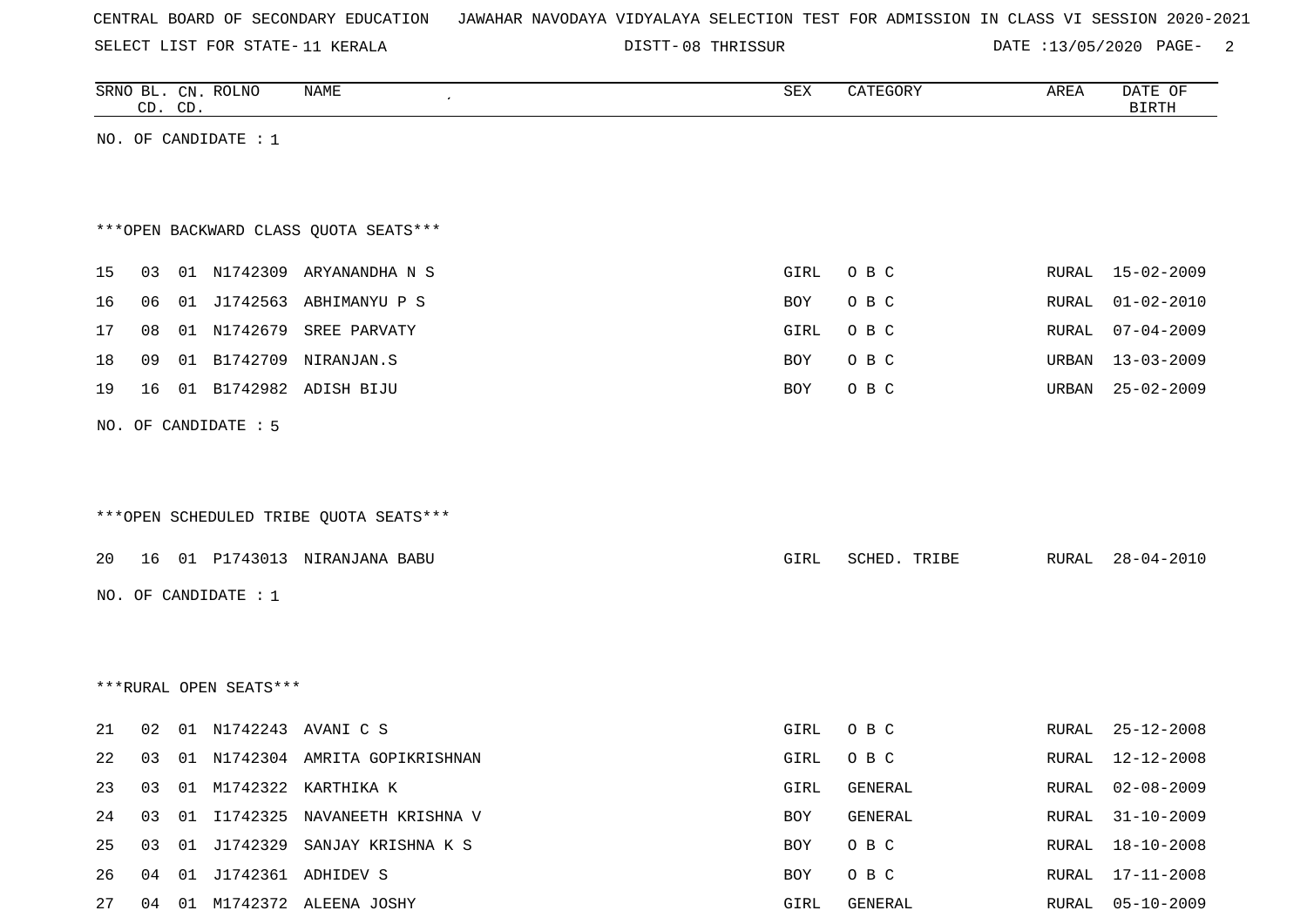|  | CENTRAL BOARD OF SECONDARY EDUCATION – JAWAHAR NAVODAYA VIDYALAYA SELECTION TEST FOR ADMISSION IN CLASS VI SESSION 2020-2021 |  |  |  |  |  |  |  |  |  |  |
|--|------------------------------------------------------------------------------------------------------------------------------|--|--|--|--|--|--|--|--|--|--|
|--|------------------------------------------------------------------------------------------------------------------------------|--|--|--|--|--|--|--|--|--|--|

SELECT LIST FOR STATE- DISTT- 11 KERALA

08 THRISSUR DATE :13/05/2020 PAGE- 2

|    | CD. CD. |    | SRNO BL. CN. ROLNO     | NAME                                   | ${\tt SEX}$ | CATEGORY     | AREA  | DATE OF<br><b>BIRTH</b> |
|----|---------|----|------------------------|----------------------------------------|-------------|--------------|-------|-------------------------|
|    |         |    | NO. OF CANDIDATE : $1$ |                                        |             |              |       |                         |
|    |         |    |                        |                                        |             |              |       |                         |
|    |         |    |                        |                                        |             |              |       |                         |
|    |         |    |                        | *** OPEN BACKWARD CLASS QUOTA SEATS*** |             |              |       |                         |
| 15 | 03      |    |                        | 01 N1742309 ARYANANDHA N S             | GIRL        | O B C        | RURAL | 15-02-2009              |
| 16 | 06      |    |                        | 01 J1742563 ABHIMANYU P S              | BOY         | O B C        | RURAL | $01 - 02 - 2010$        |
| 17 | 08      |    |                        | 01 N1742679 SREE PARVATY               | GIRL        | O B C        | RURAL | $07 - 04 - 2009$        |
| 18 | 09      | 01 | B1742709               | NIRANJAN.S                             | BOY         | O B C        | URBAN | $13 - 03 - 2009$        |
| 19 | 16      |    |                        | 01 B1742982 ADISH BIJU                 | BOY         | O B C        | URBAN | $25 - 02 - 2009$        |
|    |         |    | NO. OF CANDIDATE : 5   |                                        |             |              |       |                         |
|    |         |    |                        |                                        |             |              |       |                         |
|    |         |    |                        |                                        |             |              |       |                         |
|    |         |    |                        | ***OPEN SCHEDULED TRIBE QUOTA SEATS*** |             |              |       |                         |
|    |         |    |                        |                                        |             |              |       |                         |
| 20 | 16      |    |                        | 01 P1743013 NIRANJANA BABU             | GIRL        | SCHED. TRIBE | RURAL | $28 - 04 - 2010$        |
|    |         |    | NO. OF CANDIDATE : 1   |                                        |             |              |       |                         |
|    |         |    |                        |                                        |             |              |       |                         |
|    |         |    |                        |                                        |             |              |       |                         |
|    |         |    | ***RURAL OPEN SEATS*** |                                        |             |              |       |                         |
| 21 | 02      |    |                        | 01 N1742243 AVANI C S                  | GIRL        | O B C        | RURAL | $25 - 12 - 2008$        |
| 22 | 03      |    |                        | 01 N1742304 AMRITA GOPIKRISHNAN        | GIRL        | O B C        | RURAL | 12-12-2008              |
| 23 | 03      |    |                        | 01 M1742322 KARTHIKA K                 | GIRL        | GENERAL      | RURAL | 02-08-2009              |
| 24 | 03      | 01 |                        | I1742325 NAVANEETH KRISHNA V           | BOY         | GENERAL      | RURAL | $31 - 10 - 2009$        |
| 25 | 03      |    |                        | 01 J1742329 SANJAY KRISHNA K S         | BOY         | O B C        | RURAL | 18-10-2008              |
| 26 | 04      |    |                        | 01 J1742361 ADHIDEV S                  | BOY         | $O$ B $C$    | RURAL | $17 - 11 - 2008$        |
| 27 |         |    |                        | 04 01 M1742372 ALEENA JOSHY            | GIRL        | GENERAL      |       | RURAL 05-10-2009        |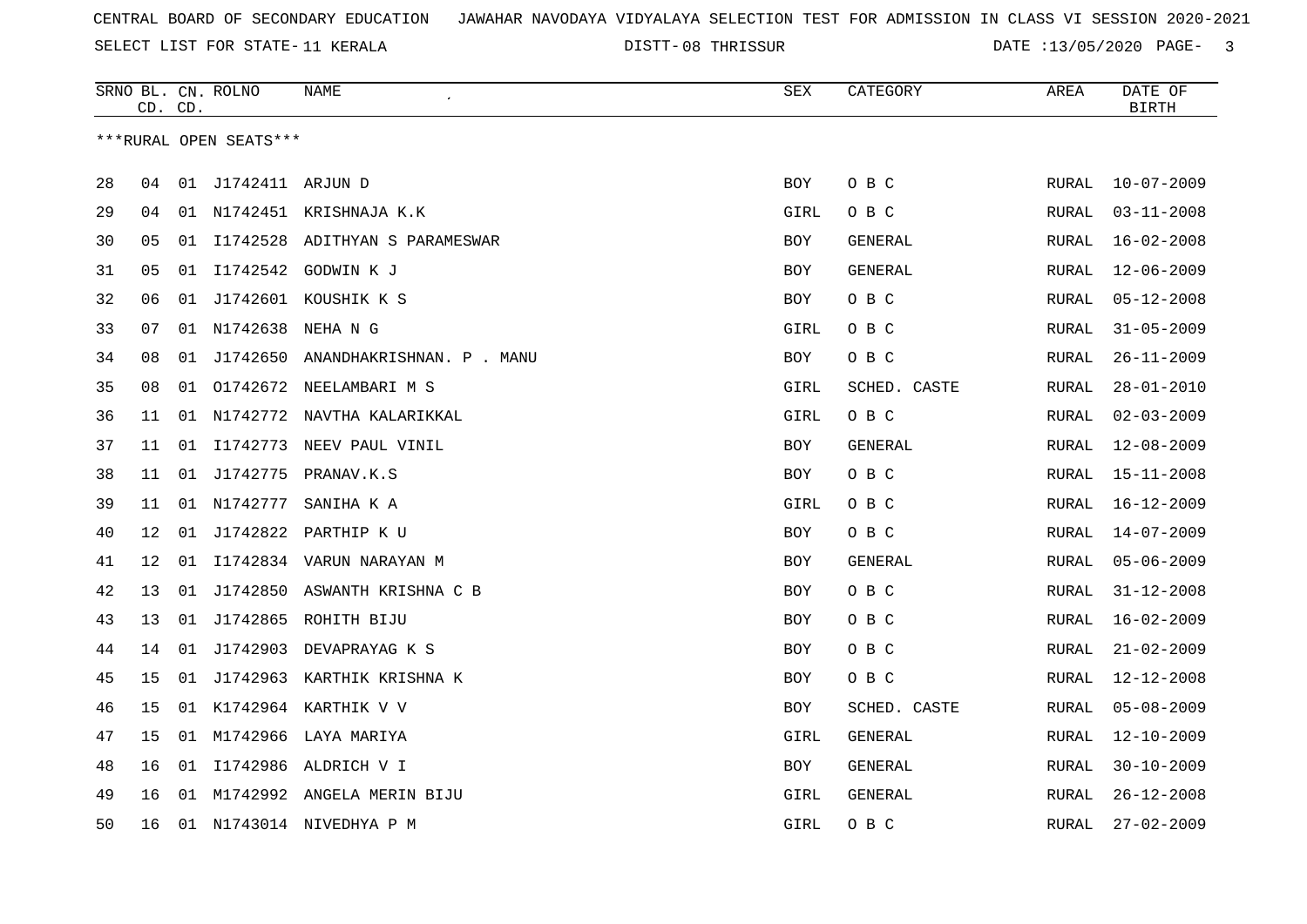08 THRISSUR DATE :13/05/2020 PAGE- 3

|    |    | CD. CD. | SRNO BL. CN. ROLNO     | NAME                               | <b>SEX</b> | CATEGORY       | AREA         | DATE OF<br><b>BIRTH</b> |
|----|----|---------|------------------------|------------------------------------|------------|----------------|--------------|-------------------------|
|    |    |         | ***RURAL OPEN SEATS*** |                                    |            |                |              |                         |
|    |    |         |                        |                                    |            |                |              |                         |
| 28 | 04 |         | 01 J1742411 ARJUN D    |                                    | BOY        | O B C          | RURAL        | $10 - 07 - 2009$        |
| 29 | 04 |         |                        | 01 N1742451 KRISHNAJA K.K          | GIRL       | O B C          | RURAL        | $03 - 11 - 2008$        |
| 30 | 05 |         |                        | 01 I1742528 ADITHYAN S PARAMESWAR  | BOY        | GENERAL        | RURAL        | $16 - 02 - 2008$        |
| 31 | 05 |         | 01 11742542            | GODWIN K J                         | <b>BOY</b> | <b>GENERAL</b> | <b>RURAL</b> | $12 - 06 - 2009$        |
| 32 | 06 | 01      |                        | J1742601 KOUSHIK K S               | <b>BOY</b> | O B C          | <b>RURAL</b> | $05 - 12 - 2008$        |
| 33 | 07 |         | 01 N1742638            | NEHA N G                           | GIRL       | O B C          | RURAL        | $31 - 05 - 2009$        |
| 34 | 08 | 01      |                        | J1742650 ANANDHAKRISHNAN. P . MANU | BOY        | O B C          | RURAL        | $26 - 11 - 2009$        |
| 35 | 08 | 01      |                        | 01742672 NEELAMBARI M S            | GIRL       | SCHED. CASTE   | RURAL        | $28 - 01 - 2010$        |
| 36 | 11 |         |                        | 01 N1742772 NAVTHA KALARIKKAL      | GIRL       | O B C          | RURAL        | $02 - 03 - 2009$        |
| 37 | 11 | 01      |                        | I1742773 NEEV PAUL VINIL           | BOY        | GENERAL        | RURAL        | $12 - 08 - 2009$        |
| 38 | 11 | 01      |                        | J1742775 PRANAV.K.S                | BOY        | O B C          | RURAL        | $15 - 11 - 2008$        |
| 39 | 11 |         | 01 N1742777            | SANIHA K A                         | GIRL       | O B C          | RURAL        | $16 - 12 - 2009$        |
| 40 | 12 | 01      |                        | J1742822 PARTHIP K U               | <b>BOY</b> | O B C          | <b>RURAL</b> | $14 - 07 - 2009$        |
| 41 | 12 | 01      |                        | I1742834 VARUN NARAYAN M           | <b>BOY</b> | GENERAL        | <b>RURAL</b> | $05 - 06 - 2009$        |
| 42 | 13 | 01      |                        | J1742850 ASWANTH KRISHNA C B       | BOY        | O B C          | RURAL        | $31 - 12 - 2008$        |
| 43 | 13 | 01      |                        | J1742865 ROHITH BIJU               | <b>BOY</b> | O B C          | RURAL        | $16 - 02 - 2009$        |
| 44 | 14 | 01      |                        | J1742903 DEVAPRAYAG K S            | <b>BOY</b> | O B C          | RURAL        | $21 - 02 - 2009$        |
| 45 | 15 | 01      |                        | J1742963 KARTHIK KRISHNA K         | BOY        | O B C          | RURAL        | $12 - 12 - 2008$        |
| 46 | 15 | 01      |                        | K1742964 KARTHIK V V               | BOY        | SCHED. CASTE   | RURAL        | $05 - 08 - 2009$        |
| 47 | 15 |         |                        | 01 M1742966 LAYA MARIYA            | GIRL       | GENERAL        | RURAL        | $12 - 10 - 2009$        |
| 48 | 16 | 01      | I1742986               | ALDRICH V I                        | BOY        | GENERAL        | RURAL        | $30 - 10 - 2009$        |
| 49 | 16 |         |                        | 01 M1742992 ANGELA MERIN BIJU      | GIRL       | <b>GENERAL</b> | <b>RURAL</b> | $26 - 12 - 2008$        |
| 50 | 16 |         |                        | 01 N1743014 NIVEDHYA P M           | GIRL       | O B C          | RURAL        | $27 - 02 - 2009$        |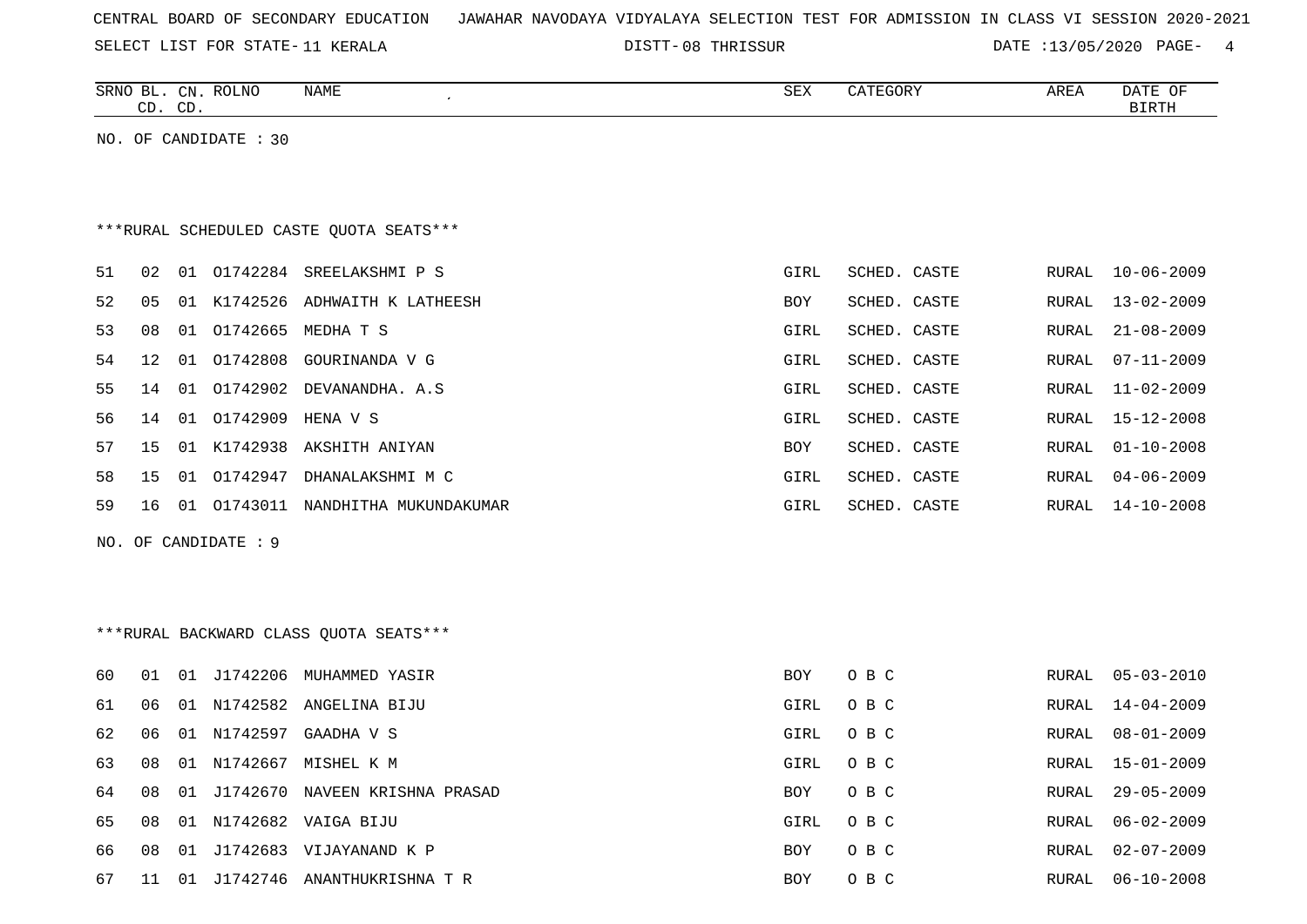|  |  |  |  | CENTRAL BOARD OF SECONDARY EDUCATION – JAWAHAR NAVODAYA VIDYALAYA SELECTION TEST FOR ADMISSION IN CLASS VI SESSION 2020-2021 |  |  |  |  |  |  |  |  |  |  |  |  |  |  |
|--|--|--|--|------------------------------------------------------------------------------------------------------------------------------|--|--|--|--|--|--|--|--|--|--|--|--|--|--|
|--|--|--|--|------------------------------------------------------------------------------------------------------------------------------|--|--|--|--|--|--|--|--|--|--|--|--|--|--|

08 THRISSUR DATE :13/05/2020 PAGE- 4

|          | SRNO BL. CN. ROLNO<br>CD. CD. |                       | <b>NAME</b><br>$\pmb{\cdot}$                         | <b>SEX</b>         | CATEGORY       | AREA                  | DATE OF<br><b>BIRTH</b>              |
|----------|-------------------------------|-----------------------|------------------------------------------------------|--------------------|----------------|-----------------------|--------------------------------------|
|          |                               | NO. OF CANDIDATE : 30 |                                                      |                    |                |                       |                                      |
|          |                               |                       |                                                      |                    |                |                       |                                      |
|          |                               |                       |                                                      |                    |                |                       |                                      |
|          |                               |                       | ***RURAL SCHEDULED CASTE QUOTA SEATS***              |                    |                |                       |                                      |
| 51<br>02 |                               | 01 01742284           | SREELAKSHMI P S                                      | GIRL               | SCHED. CASTE   | <b>RURAL</b>          | $10 - 06 - 2009$                     |
| 52<br>05 | 01                            | K1742526              | ADHWAITH K LATHEESH                                  | BOY                | SCHED. CASTE   | <b>RURAL</b>          | $13 - 02 - 2009$                     |
| 53<br>08 | 01                            |                       | 01742665 MEDHA T S                                   | GIRL               | SCHED. CASTE   | RURAL                 | $21 - 08 - 2009$                     |
| 54<br>12 | 01                            | 01742808              | GOURINANDA V G                                       | GIRL               | SCHED. CASTE   | RURAL                 | $07 - 11 - 2009$                     |
| 55<br>14 | 01                            | 01742902              | DEVANANDHA. A.S                                      | GIRL               | SCHED. CASTE   | RURAL                 | $11 - 02 - 2009$                     |
| 56<br>14 | 01                            | 01742909              | HENA V S                                             | GIRL               | SCHED. CASTE   | <b>RURAL</b>          | $15 - 12 - 2008$                     |
| 57<br>15 |                               | 01 K1742938           | AKSHITH ANIYAN                                       | BOY                | SCHED. CASTE   | <b>RURAL</b>          | $01 - 10 - 2008$                     |
| 58<br>15 | 01                            | 01742947              | DHANALAKSHMI M C                                     | GIRL               | SCHED. CASTE   | RURAL                 | $04 - 06 - 2009$                     |
| 59<br>16 |                               |                       | 01 01743011 NANDHITHA MUKUNDAKUMAR                   | GIRL               | SCHED. CASTE   | <b>RURAL</b>          | $14 - 10 - 2008$                     |
|          |                               | NO. OF CANDIDATE : 9  |                                                      |                    |                |                       |                                      |
|          |                               |                       |                                                      |                    |                |                       |                                      |
|          |                               |                       |                                                      |                    |                |                       |                                      |
|          |                               |                       | ***RURAL BACKWARD CLASS OUOTA SEATS***               |                    |                |                       |                                      |
|          |                               |                       |                                                      |                    |                |                       |                                      |
| 60<br>01 |                               |                       | 01 J1742206 MUHAMMED YASIR                           | BOY                | O B C          | RURAL                 | $05 - 03 - 2010$                     |
| 61<br>06 |                               |                       | 01 N1742582 ANGELINA BIJU                            | GIRL               | O B C          | <b>RURAL</b>          | $14 - 04 - 2009$                     |
| 62<br>06 |                               | 01 N1742597           | GAADHA V S                                           | GIRL               | O B C          | <b>RURAL</b>          | $08 - 01 - 2009$                     |
| 63<br>08 |                               | 01 N1742667           | MISHEL K M                                           | GIRL               | O B C          | <b>RURAL</b>          | $15 - 01 - 2009$                     |
| 64<br>08 | 01                            | J1742670              | NAVEEN KRISHNA PRASAD                                | BOY                | O B C          | RURAL                 | $29 - 05 - 2009$                     |
| 65<br>08 | 08                            |                       | 01 N1742682 VAIGA BIJU<br>01 J1742683 VIJAYANAND K P | GIRL<br><b>BOY</b> | O B C<br>O B C | RURAL<br><b>RURAL</b> | $06 - 02 - 2009$<br>$02 - 07 - 2009$ |

67 11 01 J1742746 ANANTHUKRISHNA T R BOY O B C RURAL 06-10-2008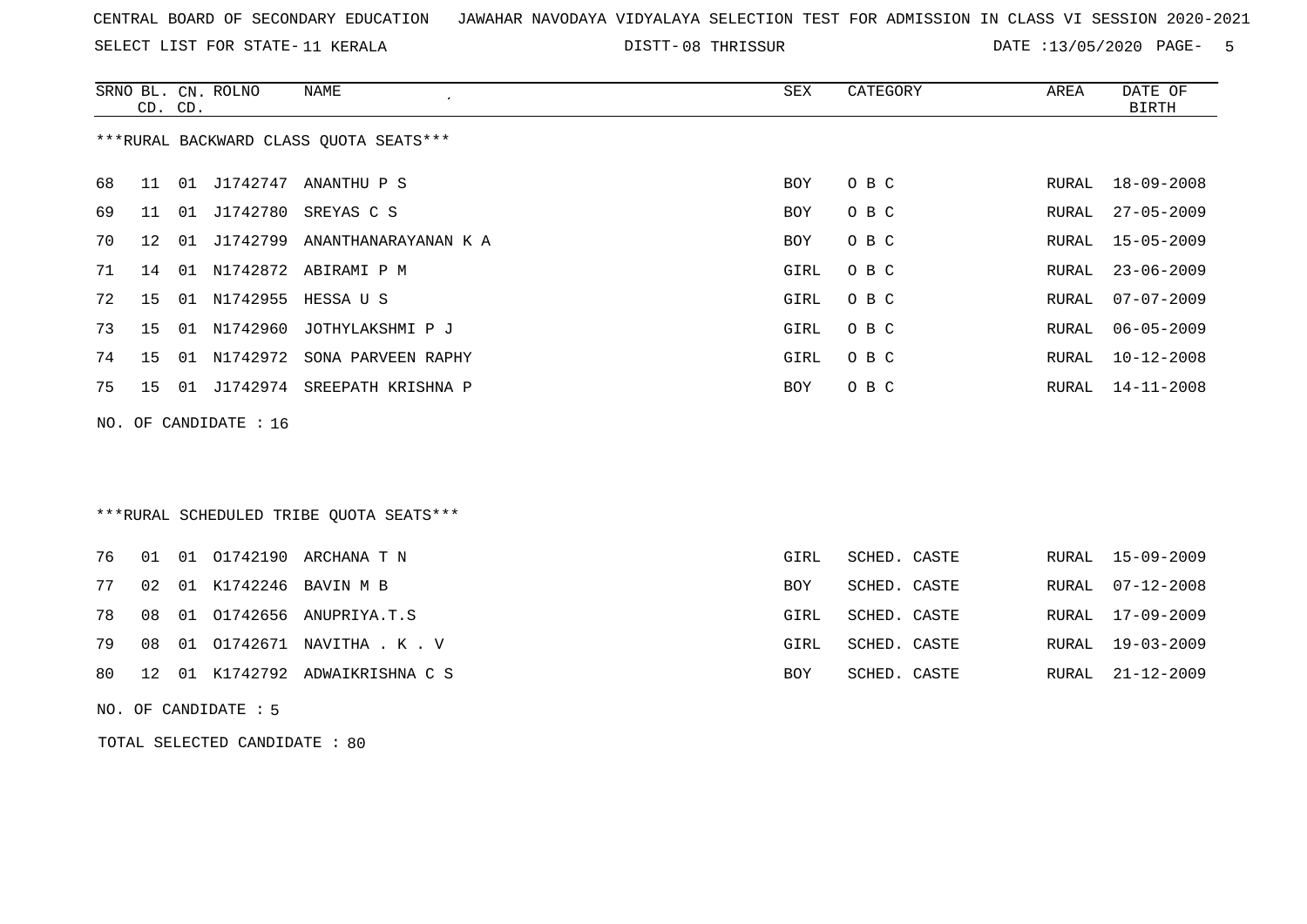SELECT LIST FOR STATE- DISTT- 11 KERALA

08 THRISSUR DATE :13/05/2020 PAGE- 5

|     | CD. CD. |    | SRNO BL. CN. ROLNO | NAME<br>$\cdot$                         | SEX  | CATEGORY | AREA  | DATE OF<br>BIRTH |
|-----|---------|----|--------------------|-----------------------------------------|------|----------|-------|------------------|
|     |         |    |                    | ***RURAL BACKWARD CLASS QUOTA SEATS***  |      |          |       |                  |
| 68  | 11      |    |                    | 01 J1742747 ANANTHU P S                 | BOY  | O B C    | RURAL | 18-09-2008       |
| 69  | 11      |    |                    | 01 J1742780 SREYAS C S                  | BOY  | O B C    | RURAL | $27 - 05 - 2009$ |
| 70  | 12      | 01 |                    | J1742799 ANANTHANARAYANAN K A           | BOY  | O B C    | RURAL | $15 - 05 - 2009$ |
| 71  | 14      |    |                    | 01 N1742872 ABIRAMI P M                 | GIRL | O B C    | RURAL | $23 - 06 - 2009$ |
| 72  | 15      |    |                    | 01 N1742955 HESSA U S                   | GIRL | O B C    | RURAL | $07 - 07 - 2009$ |
| 73  | 15      |    |                    | 01 N1742960 JOTHYLAKSHMI P J            | GIRL | O B C    | RURAL | $06 - 05 - 2009$ |
| 74  | 15      |    | 01 N1742972        | SONA PARVEEN RAPHY                      | GIRL | O B C    | RURAL | $10 - 12 - 2008$ |
| 75  | 15      | 01 | J1742974           | SREEPATH KRISHNA P                      | BOY  | O B C    | RURAL | $14 - 11 - 2008$ |
| NO. |         |    | OF CANDIDATE : 16  |                                         |      |          |       |                  |
|     |         |    |                    |                                         |      |          |       |                  |
|     |         |    |                    |                                         |      |          |       |                  |
|     |         |    |                    | ***RURAL SCHEDULED TRIBE QUOTA SEATS*** |      |          |       |                  |

|  |  | 76 01 01 01742190 ARCHANA T N      | GIRL       | SCHED. CASTE |  | RURAL 15-09-2009 |
|--|--|------------------------------------|------------|--------------|--|------------------|
|  |  | 77 02 01 K1742246 BAVIN M B        | <b>BOY</b> | SCHED. CASTE |  | RURAL 07-12-2008 |
|  |  | 78 08 01 01742656 ANUPRIYA.T.S     | GIRL       | SCHED. CASTE |  | RURAL 17-09-2009 |
|  |  | 79 08 01 01742671 NAVITHA . K . V  | GIRL       | SCHED. CASTE |  | RURAL 19-03-2009 |
|  |  | 80 12 01 K1742792 ADWAIKRISHNA C S | BOY        | SCHED. CASTE |  | RURAL 21-12-2009 |

NO. OF CANDIDATE : 5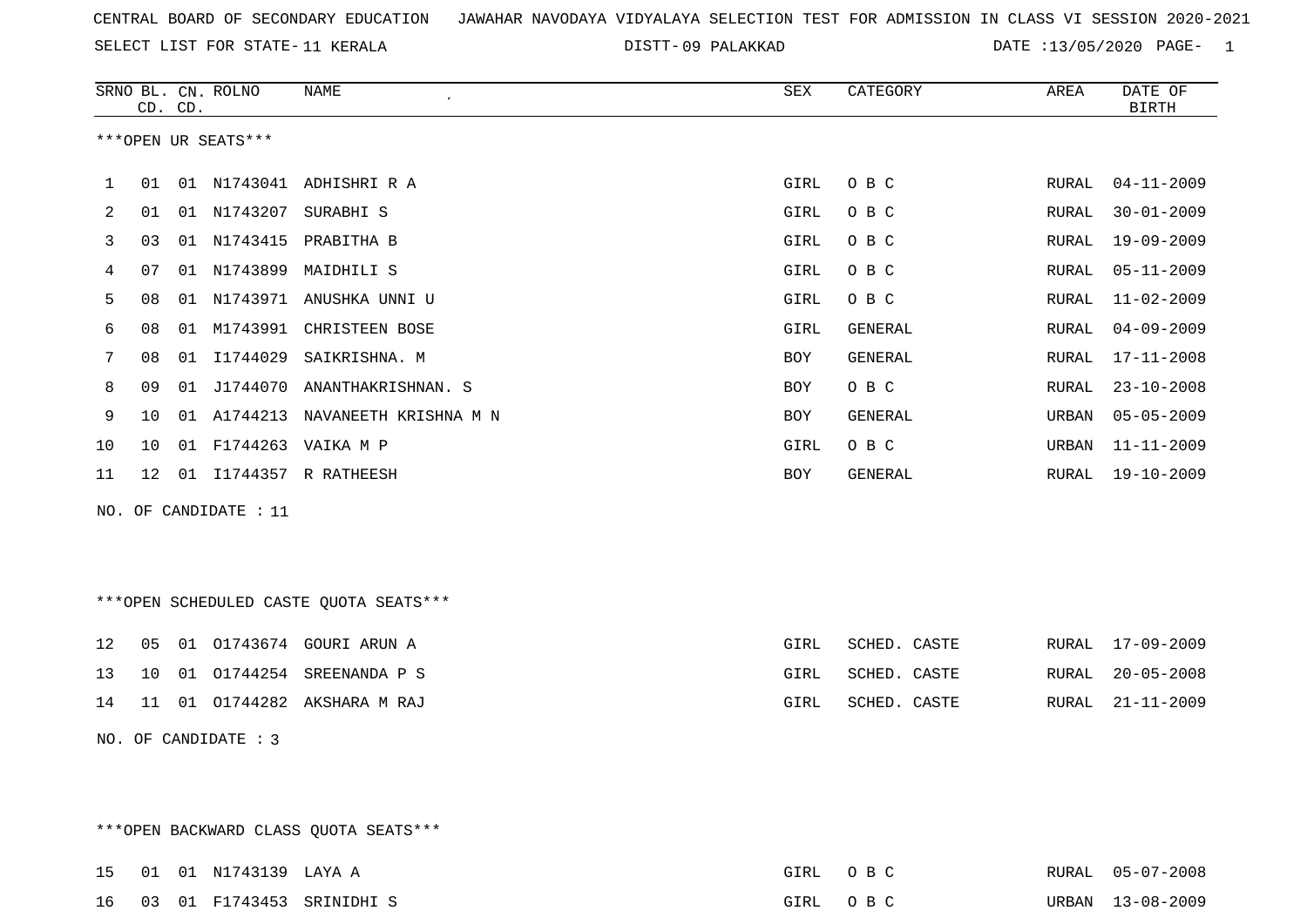09 PALAKKAD DATE :13/05/2020 PAGE- 1

|     |    | CD. CD. | SRNO BL. CN. ROLNO   | <b>NAME</b><br>$\lambda$               | <b>SEX</b>  | CATEGORY     | AREA         | DATE OF<br><b>BIRTH</b> |
|-----|----|---------|----------------------|----------------------------------------|-------------|--------------|--------------|-------------------------|
|     |    |         | ***OPEN UR SEATS***  |                                        |             |              |              |                         |
| 1   | 01 |         |                      | 01 N1743041 ADHISHRI R A               | GIRL        | O B C        | RURAL        | $04 - 11 - 2009$        |
| 2   | 01 |         |                      | 01 N1743207 SURABHI S                  | GIRL        | O B C        | RURAL        | $30 - 01 - 2009$        |
| 3   | 03 |         | 01 N1743415          | PRABITHA B                             | <b>GIRL</b> | O B C        | RURAL        | $19 - 09 - 2009$        |
| 4   | 07 |         |                      | 01 N1743899 MAIDHILI S                 | GIRL        | O B C        | <b>RURAL</b> | $05 - 11 - 2009$        |
| 5   | 08 | 01      |                      | N1743971 ANUSHKA UNNI U                | GIRL        | O B C        | RURAL        | $11 - 02 - 2009$        |
| 6   | 08 | 01      | M1743991             | CHRISTEEN BOSE                         | GIRL        | GENERAL      | RURAL        | $04 - 09 - 2009$        |
| 7   | 08 |         | 01 11744029          | SAIKRISHNA. M                          | <b>BOY</b>  | GENERAL      | RURAL        | $17 - 11 - 2008$        |
| 8   | 09 | 01      | J1744070             | ANANTHAKRISHNAN. S                     | BOY         | O B C        | RURAL        | $23 - 10 - 2008$        |
| 9   | 10 |         | 01 A1744213          | NAVANEETH KRISHNA M N                  | <b>BOY</b>  | GENERAL      | URBAN        | $05 - 05 - 2009$        |
| 10  | 10 | 01      |                      | F1744263 VAIKA M P                     | GIRL        | O B C        | URBAN        | $11 - 11 - 2009$        |
| 11  | 12 |         |                      | 01 I1744357 R RATHEESH                 | <b>BOY</b>  | GENERAL      | RURAL        | $19 - 10 - 2009$        |
| NO. |    |         | OF CANDIDATE : 11    |                                        |             |              |              |                         |
|     |    |         |                      | ***OPEN SCHEDULED CASTE QUOTA SEATS*** |             |              |              |                         |
| 12  | 05 |         |                      | 01 01743674 GOURI ARUN A               | GIRL        | SCHED. CASTE | RURAL        | $17 - 09 - 2009$        |
| 13  | 10 | 01      |                      | O1744254 SREENANDA P S                 | GIRL        | SCHED. CASTE | RURAL        | $20 - 05 - 2008$        |
| 14  | 11 |         |                      | 01 01744282 AKSHARA M RAJ              | GIRL        | SCHED. CASTE | RURAL        | $21 - 11 - 2009$        |
|     |    |         | NO. OF CANDIDATE : 3 |                                        |             |              |              |                         |

\*\*\*OPEN BACKWARD CLASS QUOTA SEATS\*\*\*

|  | 15 01 01 N1743139 LAYA A |                              | GIRL OBC |  | RURAL 05-07-2008 |
|--|--------------------------|------------------------------|----------|--|------------------|
|  |                          | 16 03 01 F1743453 SRINIDHI S | GIRL OBC |  | URBAN 13-08-2009 |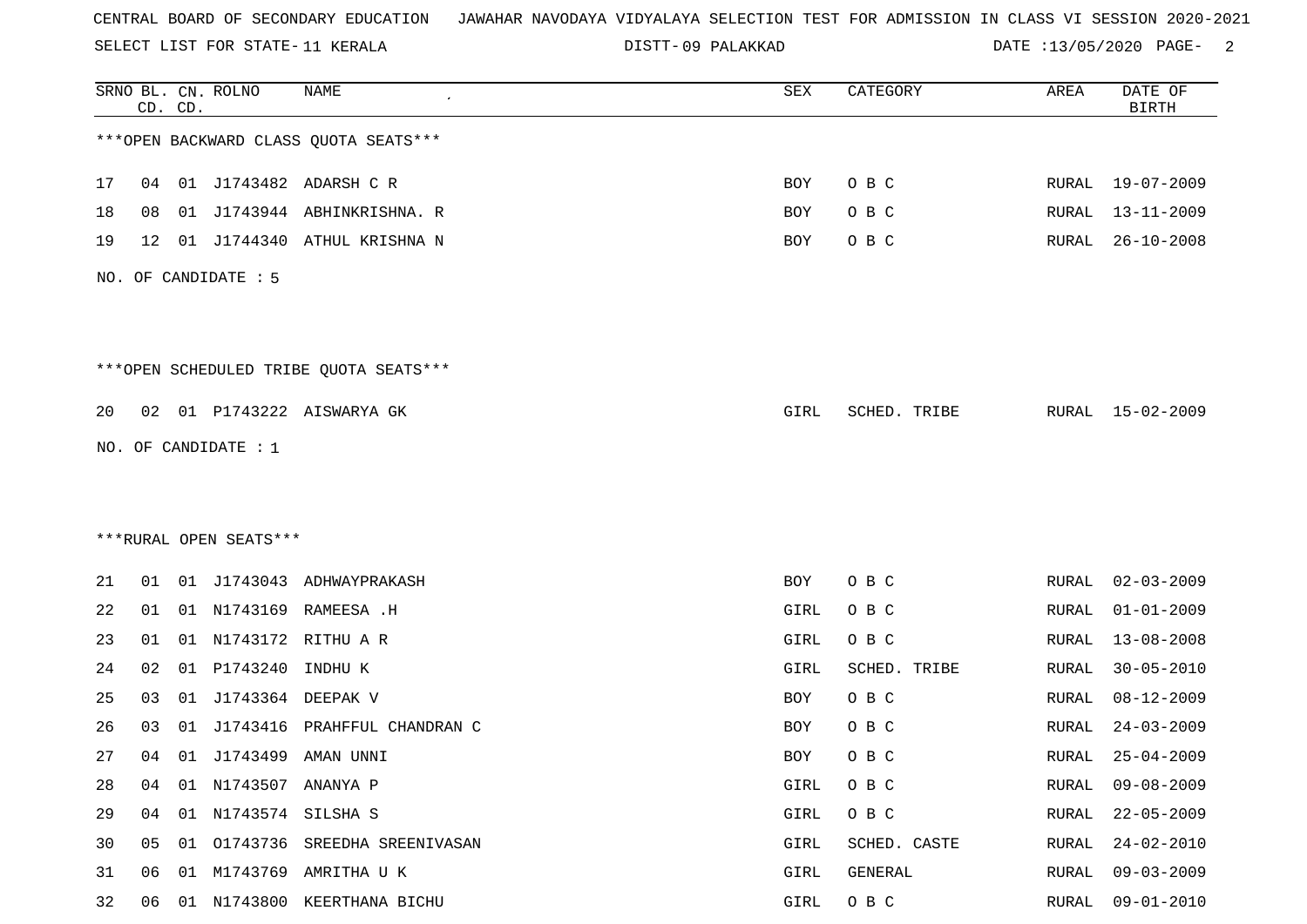SELECT LIST FOR STATE- DISTT- 11 KERALA

09 PALAKKAD DATE :13/05/2020 PAGE- 2

|    |    | CD. CD. | SRNO BL. CN. ROLNO     | <b>NAME</b>                             | SEX  | CATEGORY     | AREA         | DATE OF<br><b>BIRTH</b> |
|----|----|---------|------------------------|-----------------------------------------|------|--------------|--------------|-------------------------|
|    |    |         |                        | *** OPEN BACKWARD CLASS QUOTA SEATS***  |      |              |              |                         |
| 17 | 04 |         |                        | 01 J1743482 ADARSH C R                  | BOY  | O B C        | RURAL        | 19-07-2009              |
| 18 | 08 |         |                        | 01 J1743944 ABHINKRISHNA. R             | BOY  | O B C        | RURAL        | 13-11-2009              |
| 19 | 12 |         |                        | 01 J1744340 ATHUL KRISHNA N             | BOY  | O B C        | RURAL        | $26 - 10 - 2008$        |
|    |    |         | NO. OF CANDIDATE : 5   |                                         |      |              |              |                         |
|    |    |         |                        | *** OPEN SCHEDULED TRIBE QUOTA SEATS*** |      |              |              |                         |
| 20 |    |         |                        | 02 01 P1743222 AISWARYA GK              | GIRL | SCHED. TRIBE |              | RURAL 15-02-2009        |
|    |    |         | NO. OF CANDIDATE : 1   |                                         |      |              |              |                         |
|    |    |         |                        |                                         |      |              |              |                         |
|    |    |         |                        |                                         |      |              |              |                         |
|    |    |         | ***RURAL OPEN SEATS*** |                                         |      |              |              |                         |
| 21 | 01 |         |                        | 01 J1743043 ADHWAYPRAKASH               | BOY  | O B C        | RURAL        | $02 - 03 - 2009$        |
| 22 | 01 |         | 01 N1743169            | RAMEESA .H                              | GIRL | O B C        | RURAL        | $01 - 01 - 2009$        |
| 23 | 01 |         |                        | 01 N1743172 RITHU A R                   | GIRL | O B C        | RURAL        | $13 - 08 - 2008$        |
| 24 | 02 |         | 01 P1743240            | INDHU K                                 | GIRL | SCHED. TRIBE | RURAL        | $30 - 05 - 2010$        |
| 25 | 03 |         | 01 J1743364 DEEPAK V   |                                         | BOY  | O B C        | RURAL        | $08 - 12 - 2009$        |
| 26 | 03 |         |                        | 01 J1743416 PRAHFFUL CHANDRAN C         | BOY  | O B C        | RURAL        | $24 - 03 - 2009$        |
| 27 | 04 |         |                        | 01 J1743499 AMAN UNNI                   | BOY  | O B C        | RURAL        | $25 - 04 - 2009$        |
| 28 | 04 |         | 01 N1743507 ANANYA P   |                                         | GIRL | O B C        | RURAL        | $09 - 08 - 2009$        |
| 29 | 04 |         | 01 N1743574 SILSHA S   |                                         | GIRL | O B C        | RURAL        | $22 - 05 - 2009$        |
| 30 | 05 |         |                        | 01 01743736 SREEDHA SREENIVASAN         | GIRL | SCHED. CASTE | <b>RURAL</b> | $24 - 02 - 2010$        |
| 31 | 06 |         |                        | 01 M1743769 AMRITHA U K                 | GIRL | GENERAL      | RURAL        | $09 - 03 - 2009$        |
| 32 | 06 |         |                        | 01 N1743800 KEERTHANA BICHU             | GIRL | O B C        | RURAL        | $09 - 01 - 2010$        |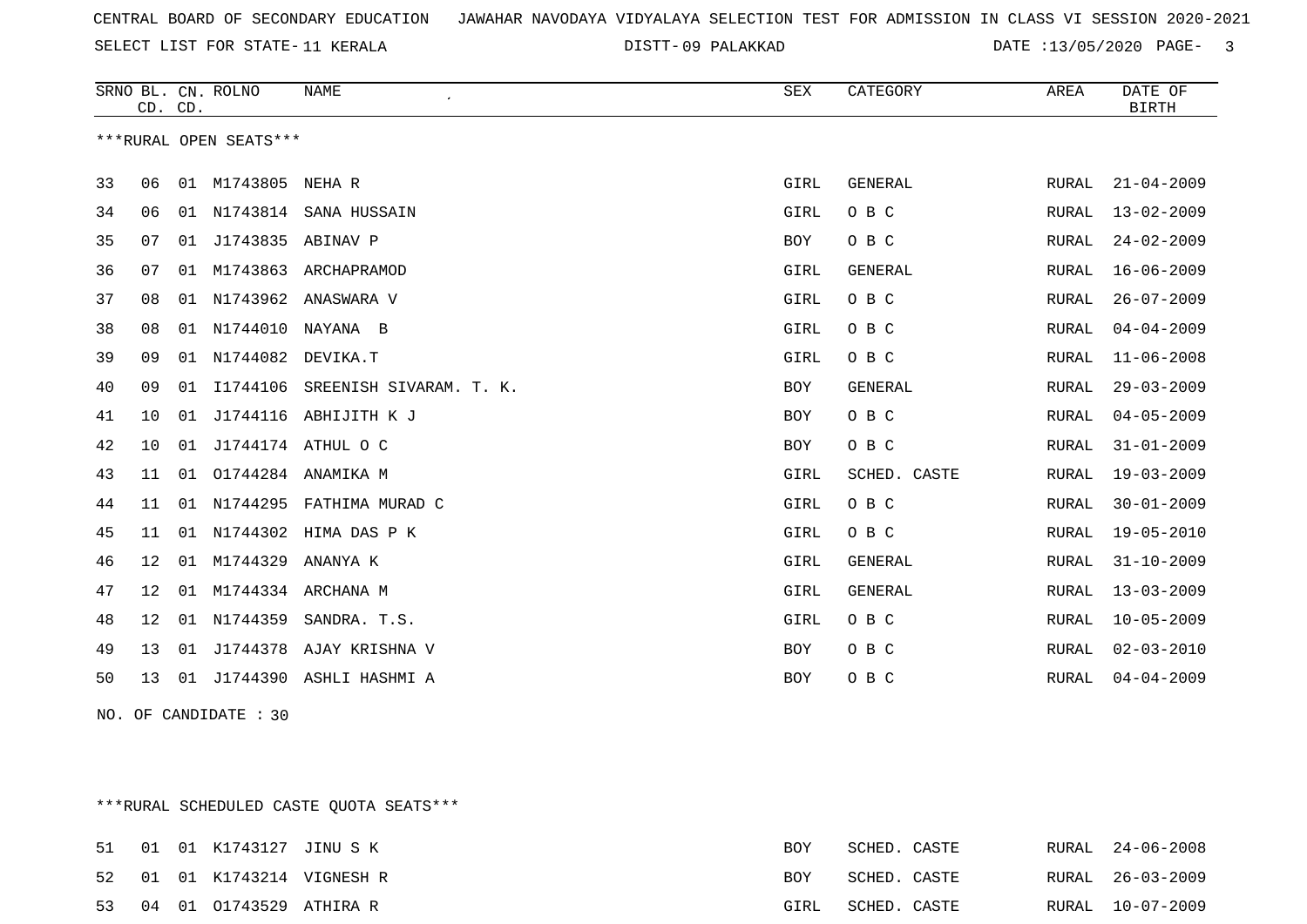09 PALAKKAD DATE :13/05/2020 PAGE- 3

|    | CD. CD. |    | SRNO BL. CN. ROLNO     | <b>NAME</b>                 | ${\tt SEX}$ | CATEGORY     | AREA  | DATE OF<br><b>BIRTH</b> |
|----|---------|----|------------------------|-----------------------------|-------------|--------------|-------|-------------------------|
|    |         |    | ***RURAL OPEN SEATS*** |                             |             |              |       |                         |
| 33 | 06      |    | 01 M1743805 NEHA R     |                             | GIRL        | GENERAL      | RURAL | $21 - 04 - 2009$        |
| 34 | 06      |    |                        | 01 N1743814 SANA HUSSAIN    | GIRL        | O B C        | RURAL | $13 - 02 - 2009$        |
| 35 | 07      | 01 | J1743835 ABINAV P      |                             | BOY         | O B C        | RURAL | $24 - 02 - 2009$        |
| 36 | 07      | 01 | M1743863               | ARCHAPRAMOD                 | GIRL        | GENERAL      | RURAL | $16 - 06 - 2009$        |
| 37 | 08      |    |                        | 01 N1743962 ANASWARA V      | GIRL        | O B C        | RURAL | $26 - 07 - 2009$        |
| 38 | 08      |    |                        | 01 N1744010 NAYANA B        | GIRL        | O B C        | RURAL | $04 - 04 - 2009$        |
| 39 | 09      |    | 01 N1744082 DEVIKA.T   |                             | GIRL        | O B C        | RURAL | $11 - 06 - 2008$        |
| 40 | 09      | 01 | I1744106               | SREENISH SIVARAM. T. K.     | BOY         | GENERAL      | RURAL | $29 - 03 - 2009$        |
| 41 | 10      | 01 |                        | J1744116 ABHIJITH K J       | BOY         | O B C        | RURAL | $04 - 05 - 2009$        |
| 42 | 10      | 01 |                        | J1744174 ATHUL O C          | BOY         | O B C        | RURAL | $31 - 01 - 2009$        |
| 43 | 11      | 01 | 01744284               | ANAMIKA M                   | GIRL        | SCHED. CASTE | RURAL | $19 - 03 - 2009$        |
| 44 | 11      |    |                        | 01 N1744295 FATHIMA MURAD C | GIRL        | O B C        | RURAL | $30 - 01 - 2009$        |
| 45 | 11      | 01 |                        | N1744302 HIMA DAS P K       | GIRL        | O B C        | RURAL | $19 - 05 - 2010$        |
| 46 | 12      | 01 | M1744329               | ANANYA K                    | GIRL        | GENERAL      | RURAL | $31 - 10 - 2009$        |
| 47 | 12      | 01 |                        | M1744334 ARCHANA M          | GIRL        | GENERAL      | RURAL | $13 - 03 - 2009$        |
| 48 | 12      | 01 | N1744359               | SANDRA. T.S.                | GIRL        | O B C        | RURAL | $10 - 05 - 2009$        |
| 49 | 13      | 01 |                        | J1744378 AJAY KRISHNA V     | BOY         | O B C        | RURAL | $02 - 03 - 2010$        |
| 50 | 13      | 01 |                        | J1744390 ASHLI HASHMI A     | BOY         | O B C        | RURAL | $04 - 04 - 2009$        |
|    |         |    | NO. OF CANDIDATE : 30  |                             |             |              |       |                         |

\*\*\*RURAL SCHEDULED CASTE QUOTA SEATS\*\*\*

|  |  | 51 01 01 K1743127 JINUSK   | <b>BOY</b> | SCHED. CASTE |  | RURAL 24-06-2008 |
|--|--|----------------------------|------------|--------------|--|------------------|
|  |  | 52 01 01 K1743214 VIGNESHR | <b>BOY</b> | SCHED. CASTE |  | RURAL 26-03-2009 |
|  |  | 53 04 01 01743529 ATHIRA R | GIRL       | SCHED. CASTE |  | RURAL 10-07-2009 |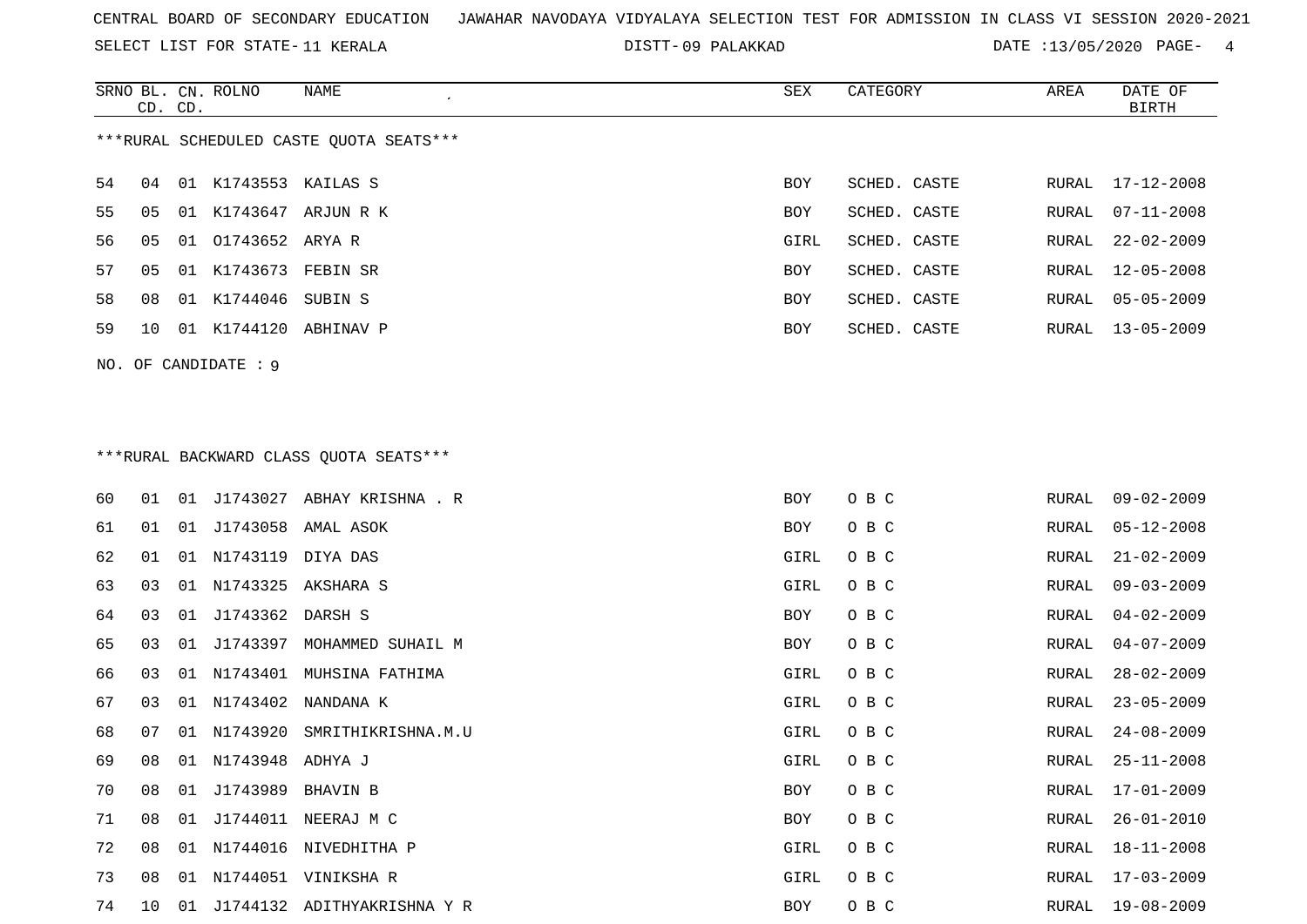SELECT LIST FOR STATE- DISTT- 11 KERALA

09 PALAKKAD DATE :13/05/2020 PAGE- 4

| SRNO BL. CN. ROLNO | CD. CD. |                      | NAME<br>$\epsilon$                       | SEX        | CATEGORY     | AREA  | DATE OF<br><b>BIRTH</b> |
|--------------------|---------|----------------------|------------------------------------------|------------|--------------|-------|-------------------------|
|                    |         |                      | *** RURAL SCHEDULED CASTE QUOTA SEATS*** |            |              |       |                         |
| 54<br>04           |         | 01 K1743553 KAILAS S |                                          | BOY        | SCHED. CASTE | RURAL | 17-12-2008              |
| 55<br>05           |         |                      | 01 K1743647 ARJUN R K                    | BOY        | SCHED. CASTE | RURAL | $07 - 11 - 2008$        |
| 56<br>05           |         | 01 01743652 ARYA R   |                                          | GIRL       | SCHED. CASTE | RURAL | $22 - 02 - 2009$        |
| 57<br>05           |         | 01 K1743673 FEBIN SR |                                          | BOY        | SCHED. CASTE | RURAL | $12 - 05 - 2008$        |
| 58<br>08           |         | 01 K1744046 SUBIN S  |                                          | <b>BOY</b> | SCHED. CASTE | RURAL | $05 - 05 - 2009$        |
| 59<br>10           |         |                      | 01 K1744120 ABHINAV P                    | BOY        | SCHED. CASTE | RURAL | $13 - 05 - 2009$        |
|                    |         | NO. OF CANDIDATE : 9 |                                          |            |              |       |                         |
|                    |         |                      |                                          |            |              |       |                         |
|                    |         |                      | ***RURAL BACKWARD CLASS QUOTA SEATS***   |            |              |       |                         |
|                    |         |                      |                                          |            |              |       |                         |

| 60 | 01             | 01 |                  | J1743027 ABHAY KRISHNA . R  | BOY  | O B C | RURAL | $09 - 02 - 2009$ |
|----|----------------|----|------------------|-----------------------------|------|-------|-------|------------------|
| 61 | 01             |    |                  | 01 J1743058 AMAL ASOK       | BOY  | O B C | RURAL | $05 - 12 - 2008$ |
| 62 | 01             | 01 | N1743119         | DIYA DAS                    | GIRL | O B C | RURAL | $21 - 02 - 2009$ |
| 63 | 03             | 01 |                  | N1743325 AKSHARA S          | GIRL | O B C | RURAL | $09 - 03 - 2009$ |
| 64 | 03             | 01 | J1743362 DARSH S |                             | BOY  | O B C | RURAL | $04 - 02 - 2009$ |
| 65 | 03             | 01 | J1743397         | MOHAMMED SUHAIL M           | BOY  | O B C | RURAL | $04 - 07 - 2009$ |
| 66 | 03             |    |                  | 01 N1743401 MUHSINA FATHIMA | GIRL | O B C | RURAL | $28 - 02 - 2009$ |
| 67 | 0 <sub>3</sub> | 01 | N1743402         | NANDANA K                   | GIRL | O B C | RURAL | $23 - 05 - 2009$ |
| 68 | 07             |    | 01 N1743920      | SMRITHIKRISHNA.M.U          | GIRL | O B C | RURAL | $24 - 08 - 2009$ |
| 69 | 08             | 01 | N1743948 ADHYA J |                             | GIRL | O B C | RURAL | $25 - 11 - 2008$ |
| 70 | 08             |    | 01 J1743989      | BHAVIN B                    | BOY  | O B C | RURAL | $17 - 01 - 2009$ |
| 71 | 08             | 01 |                  | J1744011 NEERAJ M C         | BOY  | O B C | RURAL | $26 - 01 - 2010$ |
| 72 | 08             | 01 | N1744016         | NIVEDHITHA P                | GIRL | O B C | RURAL | $18 - 11 - 2008$ |
| 73 | 08             | 01 |                  | N1744051 VINIKSHA R         | GIRL | O B C | RURAL | $17 - 03 - 2009$ |
| 74 | 10             | 01 |                  | J1744132 ADITHYAKRISHNA Y R | BOY  | O B C | RURAL | $19 - 08 - 2009$ |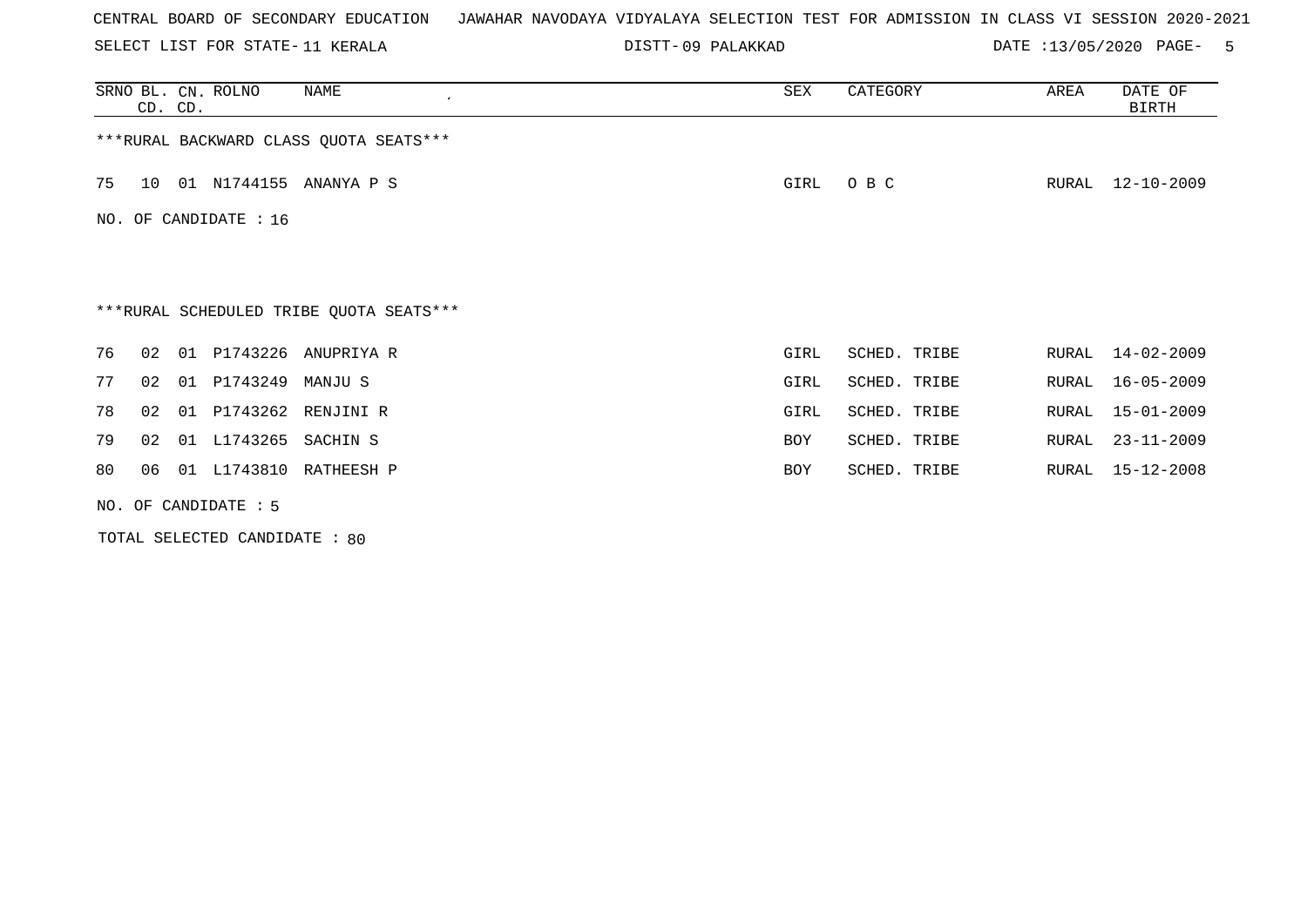SELECT LIST FOR STATE- DISTT- 11 KERALA

09 PALAKKAD DATE :13/05/2020 PAGE- 5

| SRNO BL. CN. ROLNO<br>NAME<br>$\cdot$<br>CD. CD. | SEX        | CATEGORY     | AREA  | DATE OF<br>BIRTH |
|--------------------------------------------------|------------|--------------|-------|------------------|
| *** RURAL BACKWARD CLASS QUOTA SEATS***          |            |              |       |                  |
| 01 N1744155 ANANYA P S<br>75<br>10               | GIRL       | O B C        | RURAL | $12 - 10 - 2009$ |
| NO. OF CANDIDATE : $16$                          |            |              |       |                  |
|                                                  |            |              |       |                  |
| ***RURAL SCHEDULED TRIBE QUOTA SEATS***          |            |              |       |                  |
| 76<br>01 P1743226 ANUPRIYA R<br>02               | GIRL       | SCHED. TRIBE | RURAL | 14-02-2009       |
| 77<br>01 P1743249<br>02<br>MANJU S               | GIRL       | SCHED. TRIBE | RURAL | $16 - 05 - 2009$ |
| 01 P1743262 RENJINI R<br>78<br>02                | GIRL       | SCHED. TRIBE | RURAL | $15 - 01 - 2009$ |
| 01 L1743265 SACHIN S<br>79<br>02                 | <b>BOY</b> | SCHED. TRIBE | RURAL | $23 - 11 - 2009$ |
| 01 L1743810 RATHEESH P<br>80<br>06               | <b>BOY</b> | SCHED. TRIBE | RURAL | 15-12-2008       |
| NO. OF CANDIDATE $: 5$                           |            |              |       |                  |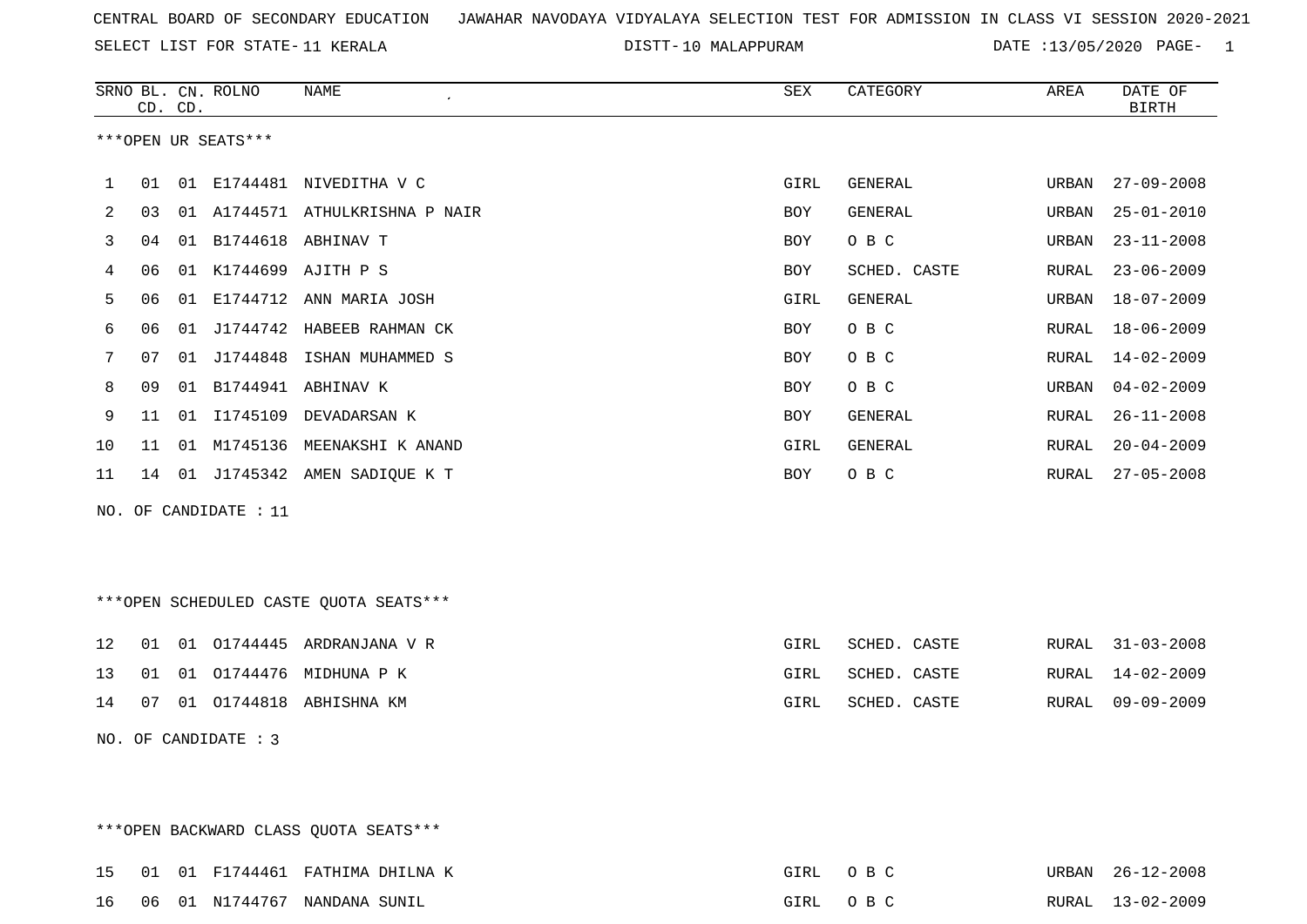SELECT LIST FOR STATE- DISTT- 11 KERALA

DISTT-10 MALAPPURAM DATE :13/05/2020 PAGE- 1

|    |    | CD. CD. | SRNO BL. CN. ROLNO    | <b>NAME</b><br>$\pmb{\cdot}$           | <b>SEX</b> | CATEGORY     | AREA  | DATE OF<br><b>BIRTH</b> |
|----|----|---------|-----------------------|----------------------------------------|------------|--------------|-------|-------------------------|
|    |    |         | ***OPEN UR SEATS***   |                                        |            |              |       |                         |
| 1  | 01 |         |                       | 01 E1744481 NIVEDITHA V C              | GIRL       | GENERAL      | URBAN | $27 - 09 - 2008$        |
| 2  | 03 |         |                       | 01 A1744571 ATHULKRISHNA P NAIR        | BOY        | GENERAL      | URBAN | $25 - 01 - 2010$        |
| 3  | 04 |         |                       | 01 B1744618 ABHINAV T                  | <b>BOY</b> | O B C        | URBAN | $23 - 11 - 2008$        |
| 4  | 06 |         |                       | 01 K1744699 AJITH P S                  | BOY        | SCHED. CASTE | RURAL | $23 - 06 - 2009$        |
| 5  | 06 |         |                       | 01 E1744712 ANN MARIA JOSH             | GIRL       | GENERAL      | URBAN | $18 - 07 - 2009$        |
| 6  | 06 |         |                       | 01 J1744742 HABEEB RAHMAN CK           | BOY        | O B C        | RURAL | $18 - 06 - 2009$        |
| 7  | 07 |         |                       | 01 J1744848 ISHAN MUHAMMED S           | BOY        | O B C        | RURAL | $14 - 02 - 2009$        |
| 8  | 09 |         |                       | 01 B1744941 ABHINAV K                  | BOY        | O B C        | URBAN | $04 - 02 - 2009$        |
| 9  | 11 |         |                       | 01 I1745109 DEVADARSAN K               | BOY        | GENERAL      | RURAL | $26 - 11 - 2008$        |
| 10 | 11 |         |                       | 01 M1745136 MEENAKSHI K ANAND          | GIRL       | GENERAL      | RURAL | $20 - 04 - 2009$        |
| 11 |    |         |                       | 14 01 J1745342 AMEN SADIQUE K T        | BOY        | O B C        | RURAL | $27 - 05 - 2008$        |
|    |    |         | NO. OF CANDIDATE : 11 |                                        |            |              |       |                         |
|    |    |         |                       |                                        |            |              |       |                         |
|    |    |         |                       |                                        |            |              |       |                         |
|    |    |         |                       | ***OPEN SCHEDULED CASTE QUOTA SEATS*** |            |              |       |                         |
| 12 |    |         |                       | 01 01 01744445 ARDRANJANA V R          | GIRL       | SCHED. CASTE | RURAL | $31 - 03 - 2008$        |
| 13 | 01 |         |                       | 01 01744476 MIDHUNA P K                | GIRL       | SCHED. CASTE | RURAL | $14 - 02 - 2009$        |
| 14 |    |         |                       | 07 01 01744818 ABHISHNA KM             | GIRL       | SCHED. CASTE | RURAL | $09 - 09 - 2009$        |
|    |    |         | NO. OF CANDIDATE : 3  |                                        |            |              |       |                         |
|    |    |         |                       |                                        |            |              |       |                         |
|    |    |         |                       |                                        |            |              |       |                         |

\*\*\*OPEN BACKWARD CLASS QUOTA SEATS\*\*\*

|  |  | 15 01 01 F1744461 FATHIMA DHILNA K | GIRL OBC | URBAN 26-12-2008 |
|--|--|------------------------------------|----------|------------------|
|  |  | 16 06 01 N1744767 NANDANA SUNIL    | GIRL OBC | RURAL 13-02-2009 |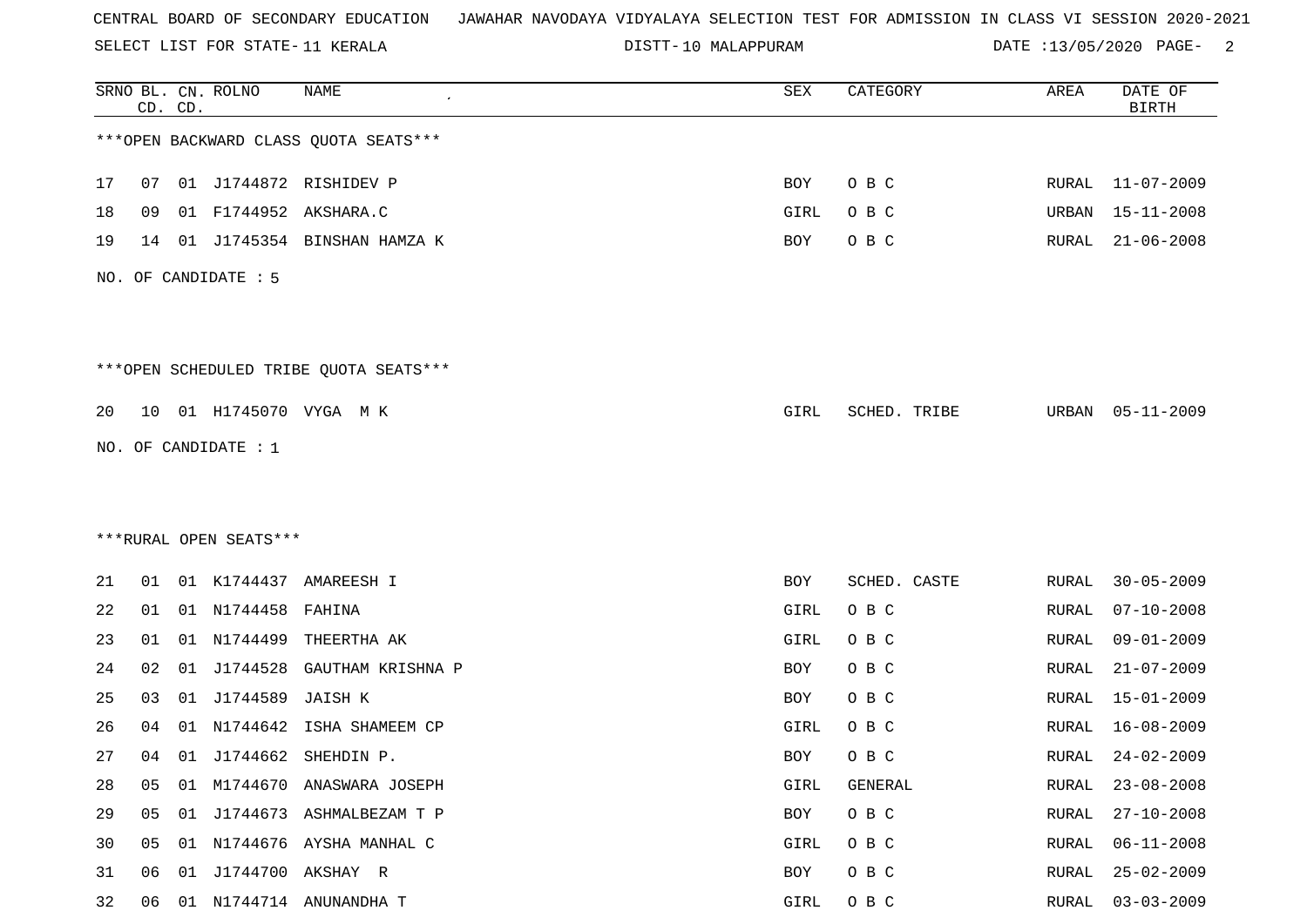SELECT LIST FOR STATE- DISTT- 11 KERALA

DISTT-10 MALAPPURAM DATE :13/05/2020 PAGE- 2

|    |    | CD. CD. | SRNO BL. CN. ROLNO     | NAME                                    | SEX  | CATEGORY     | AREA         | DATE OF<br><b>BIRTH</b> |
|----|----|---------|------------------------|-----------------------------------------|------|--------------|--------------|-------------------------|
|    |    |         |                        | *** OPEN BACKWARD CLASS QUOTA SEATS***  |      |              |              |                         |
| 17 | 07 |         |                        | 01 J1744872 RISHIDEV P                  | BOY  | O B C        |              | RURAL 11-07-2009        |
| 18 | 09 |         |                        | 01 F1744952 AKSHARA.C                   | GIRL | O B C        | URBAN        | $15 - 11 - 2008$        |
| 19 | 14 |         |                        | 01 J1745354 BINSHAN HAMZA K             | BOY  | O B C        | RURAL        | $21 - 06 - 2008$        |
|    |    |         | NO. OF CANDIDATE : 5   |                                         |      |              |              |                         |
|    |    |         |                        | *** OPEN SCHEDULED TRIBE QUOTA SEATS*** |      |              |              |                         |
| 20 |    |         |                        | 10 01 H1745070 VYGA M K                 | GIRL | SCHED. TRIBE | URBAN        | $05 - 11 - 2009$        |
|    |    |         | NO. OF CANDIDATE : 1   |                                         |      |              |              |                         |
|    |    |         |                        |                                         |      |              |              |                         |
|    |    |         |                        |                                         |      |              |              |                         |
|    |    |         | ***RURAL OPEN SEATS*** |                                         |      |              |              |                         |
| 21 | 01 |         |                        | 01 K1744437 AMAREESH I                  | BOY  | SCHED. CASTE | RURAL        | $30 - 05 - 2009$        |
| 22 | 01 |         | 01 N1744458 FAHINA     |                                         | GIRL | O B C        | RURAL        | $07 - 10 - 2008$        |
| 23 | 01 | 01      | N1744499               | THEERTHA AK                             | GIRL | O B C        | RURAL        | $09 - 01 - 2009$        |
| 24 | 02 | 01      | J1744528               | GAUTHAM KRISHNA P                       | BOY  | O B C        | RURAL        | $21 - 07 - 2009$        |
| 25 | 03 | 01      | J1744589               | JAISH K                                 | BOY  | O B C        | RURAL        | $15 - 01 - 2009$        |
| 26 | 04 | 01      | N1744642               | ISHA SHAMEEM CP                         | GIRL | O B C        | RURAL        | $16 - 08 - 2009$        |
| 27 |    |         |                        | 04 01 J1744662 SHEHDIN P.               | BOY  | O B C        | RURAL        | 24-02-2009              |
| 28 | 05 | 01      |                        | M1744670 ANASWARA JOSEPH                | GIRL | GENERAL      | <b>RURAL</b> | $23 - 08 - 2008$        |
| 29 | 05 |         |                        | 01 J1744673 ASHMALBEZAM T P             | BOY  | O B C        | <b>RURAL</b> | $27 - 10 - 2008$        |
| 30 | 05 |         |                        | 01 N1744676 AYSHA MANHAL C              | GIRL | O B C        | RURAL        | $06 - 11 - 2008$        |
| 31 | 06 | 01      |                        | J1744700 AKSHAY R                       | BOY  | O B C        | RURAL        | $25 - 02 - 2009$        |
| 32 | 06 |         |                        | 01 N1744714 ANUNANDHA T                 | GIRL | O B C        | <b>RURAL</b> | $03 - 03 - 2009$        |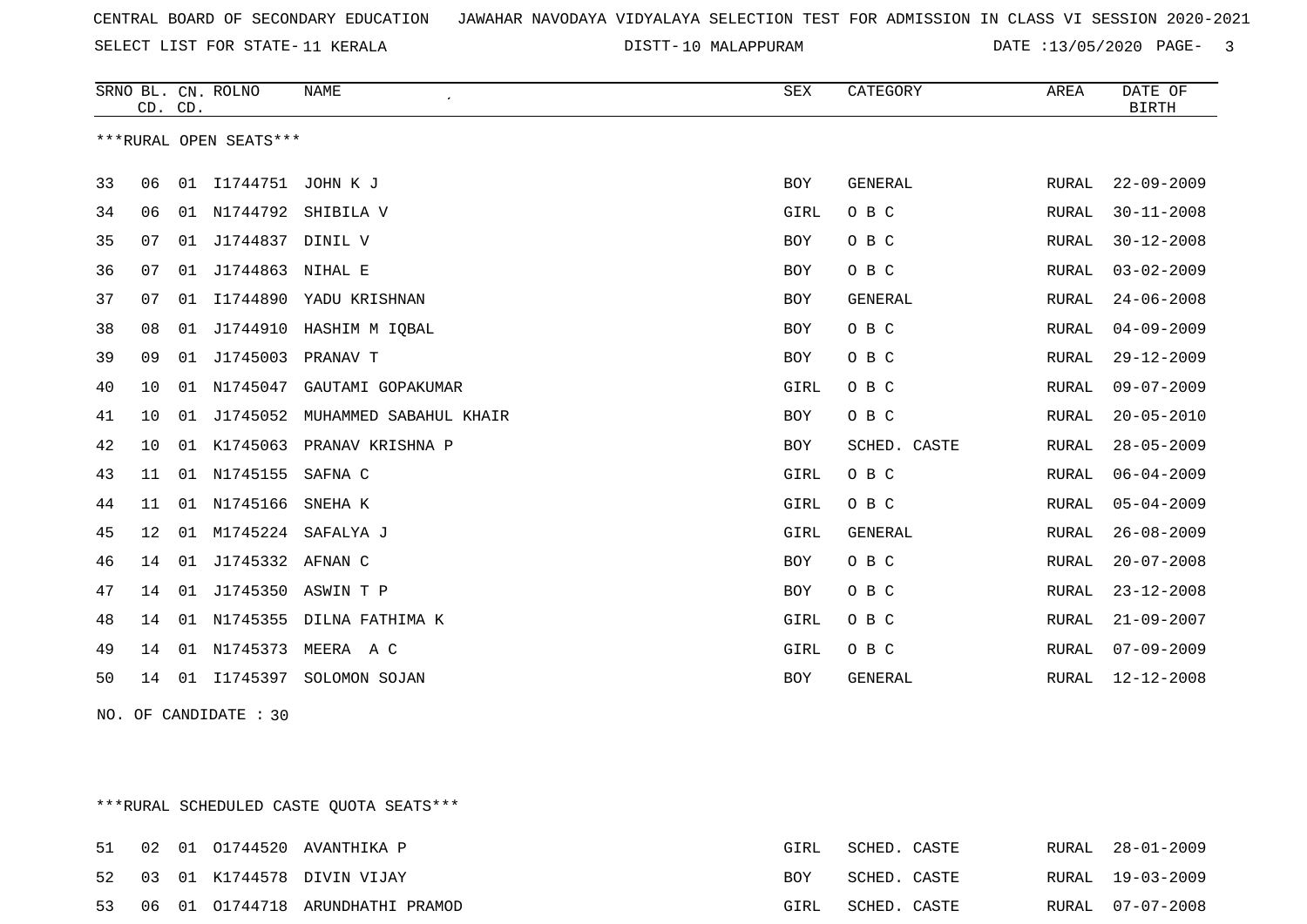10 MALAPPURAM DATE :13/05/2020 PAGE- 3

|    | CD. CD. |    | SRNO BL. CN. ROLNO     | <b>NAME</b>             | <b>SEX</b> | CATEGORY       | AREA         | DATE OF<br><b>BIRTH</b> |
|----|---------|----|------------------------|-------------------------|------------|----------------|--------------|-------------------------|
|    |         |    | ***RURAL OPEN SEATS*** |                         |            |                |              |                         |
| 33 | 06      | 01 | I1744751 JOHN K J      |                         | <b>BOY</b> | <b>GENERAL</b> | RURAL        | $22 - 09 - 2009$        |
| 34 | 06      | 01 | N1744792               | SHIBILA V               | GIRL       | O B C          | RURAL        | $30 - 11 - 2008$        |
| 35 | 07      | 01 | J1744837 DINIL V       |                         | BOY        | O B C          | RURAL        | $30 - 12 - 2008$        |
| 36 | 07      | 01 | J1744863               | NIHAL E                 | BOY        | O B C          | RURAL        | $03 - 02 - 2009$        |
| 37 | 07      | 01 | I1744890               | YADU KRISHNAN           | BOY        | <b>GENERAL</b> | <b>RURAL</b> | $24 - 06 - 2008$        |
| 38 | 08      | 01 |                        | J1744910 HASHIM M IQBAL | BOY        | O B C          | RURAL        | $04 - 09 - 2009$        |
| 39 | 09      |    | 01 J1745003            | PRANAV T                | BOY        | O B C          | RURAL        | $29 - 12 - 2009$        |
| 40 | 10      | 01 | N1745047               | GAUTAMI GOPAKUMAR       | GIRL       | O B C          | RURAL        | $09 - 07 - 2009$        |
| 41 | 10      | 01 | J1745052               | MUHAMMED SABAHUL KHAIR  | BOY        | O B C          | RURAL        | $20 - 05 - 2010$        |
| 42 | 10      | 01 | K1745063               | PRANAV KRISHNA P        | BOY        | SCHED. CASTE   | RURAL        | $28 - 05 - 2009$        |
| 43 | 11      |    | 01 N1745155            | SAFNA C                 | GIRL       | O B C          | RURAL        | $06 - 04 - 2009$        |
| 44 | 11      | 01 | N1745166               | SNEHA K                 | GIRL       | O B C          | RURAL        | $05 - 04 - 2009$        |
| 45 | 12      | 01 | M1745224               | SAFALYA J               | GIRL       | <b>GENERAL</b> | RURAL        | $26 - 08 - 2009$        |
| 46 | 14      | 01 | J1745332 AFNAN C       |                         | BOY        | O B C          | RURAL        | $20 - 07 - 2008$        |
| 47 | 14      | 01 |                        | J1745350 ASWIN T P      | BOY        | O B C          | RURAL        | $23 - 12 - 2008$        |
| 48 | 14      | 01 | N1745355               | DILNA FATHIMA K         | GIRL       | O B C          | RURAL        | $21 - 09 - 2007$        |
| 49 | 14      | 01 | N1745373               | MEERA A C               | GIRL       | O B C          | RURAL        | $07 - 09 - 2009$        |
| 50 | 14      | 01 | I1745397               | SOLOMON SOJAN           | BOY        | GENERAL        | RURAL        | $12 - 12 - 2008$        |

NO. OF CANDIDATE : 30

\*\*\*RURAL SCHEDULED CASTE QUOTA SEATS\*\*\*

|  |  | 51 02 01 01744520 AVANTHIKA P       | GIRL       | SCHED. CASTE |  | RURAL 28-01-2009 |
|--|--|-------------------------------------|------------|--------------|--|------------------|
|  |  | 52 03 01 K1744578 DIVIN VIJAY       | <b>BOY</b> | SCHED. CASTE |  | RURAL 19-03-2009 |
|  |  | 53 06 01 01744718 ARUNDHATHI PRAMOD | GIRL       | SCHED. CASTE |  | RURAL 07-07-2008 |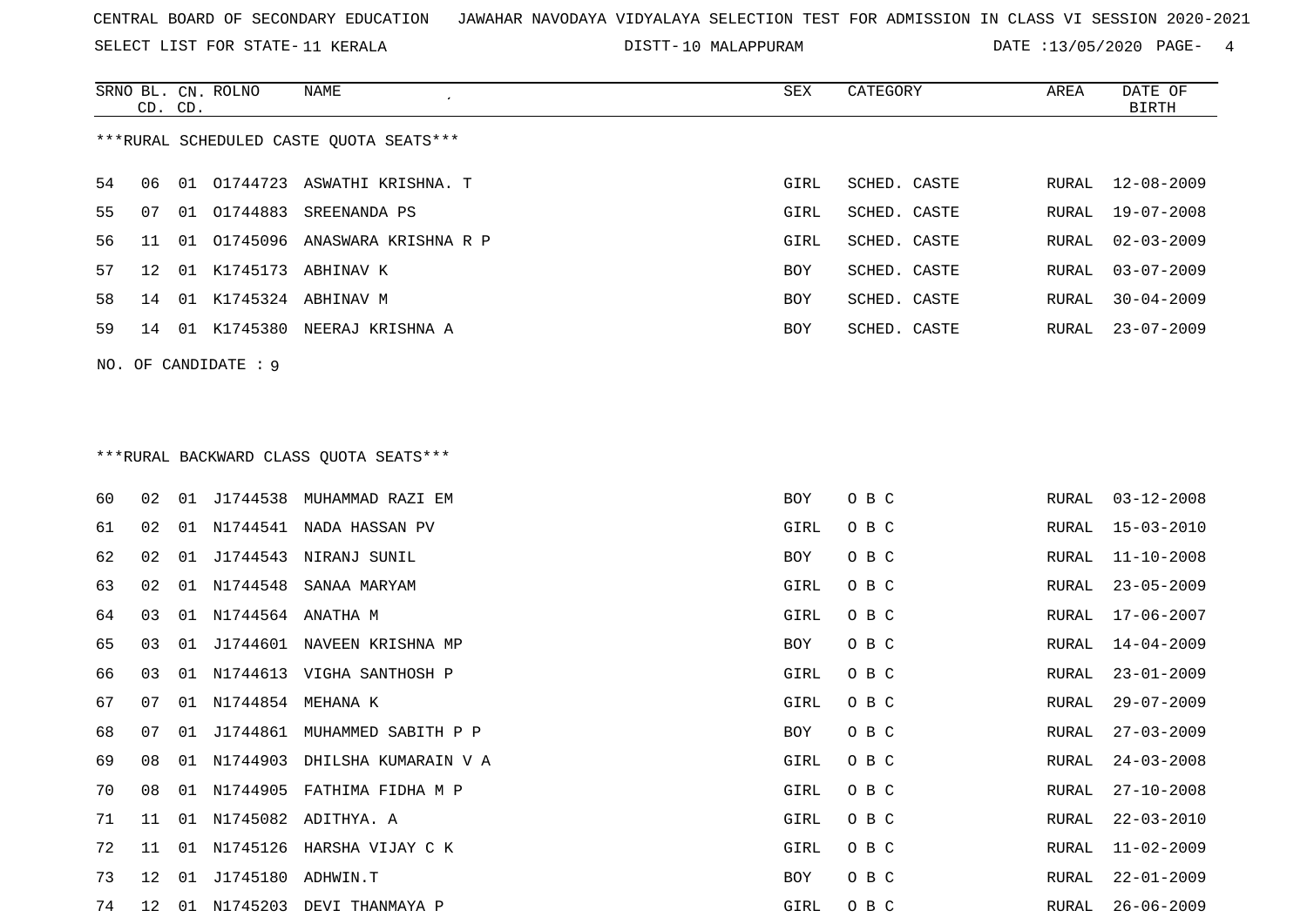SELECT LIST FOR STATE- DISTT- 11 KERALA

DISTT-10 MALAPPURAM DATE :13/05/2020 PAGE- 4

|    | CD. CD. |    | SRNO BL. CN. ROLNO   | NAME<br>$\epsilon$                      | SEX  | CATEGORY     | AREA  | DATE OF<br><b>BIRTH</b> |
|----|---------|----|----------------------|-----------------------------------------|------|--------------|-------|-------------------------|
|    |         |    |                      | ***RURAL SCHEDULED CASTE QUOTA SEATS*** |      |              |       |                         |
| 54 | 06      |    | 01 01744723          | ASWATHI KRISHNA. T                      | GIRL | SCHED. CASTE | RURAL | $12 - 08 - 2009$        |
| 55 | 07      |    | 01 01744883          | SREENANDA PS                            | GIRL | SCHED. CASTE | RURAL | $19 - 07 - 2008$        |
| 56 | 11      | 01 |                      | 01745096 ANASWARA KRISHNA R P           | GIRL | SCHED. CASTE | RURAL | $02 - 03 - 2009$        |
| 57 | 12      | 01 |                      | K1745173 ABHINAV K                      | BOY  | SCHED. CASTE | RURAL | $03 - 07 - 2009$        |
| 58 | 14      |    |                      | 01 K1745324 ABHINAV M                   | BOY  | SCHED. CASTE | RURAL | $30 - 04 - 2009$        |
| 59 | 14      |    |                      | 01 K1745380 NEERAJ KRISHNA A            | BOY  | SCHED. CASTE | RURAL | $23 - 07 - 2009$        |
|    |         |    | NO. OF CANDIDATE : 9 |                                         |      |              |       |                         |
|    |         |    |                      |                                         |      |              |       |                         |
|    |         |    |                      |                                         |      |              |       |                         |
|    |         |    |                      | *** RURAL BACKWARD CLASS QUOTA SEATS*** |      |              |       |                         |
| 60 | 02      | 01 | J1744538             | MUHAMMAD RAZI EM                        | BOY  | O B C        | RURAL | $03 - 12 - 2008$        |
| 61 | 02      | 01 | N1744541             | NADA HASSAN PV                          | GIRL | O B C        | RURAL | $15 - 03 - 2010$        |
| 62 | 02      | 01 |                      | J1744543 NIRANJ SUNIL                   | BOY  | O B C        | RURAL | $11 - 10 - 2008$        |
| 63 | 02      | 01 | N1744548             | SANAA MARYAM                            | GIRL | O B C        | RURAL | $23 - 05 - 2009$        |
| 64 | 03      | 01 | N1744564 ANATHA M    |                                         | GIRL | O B C        | RURAL | 17-06-2007              |
| 65 | 03      |    |                      | 01 J1744601 NAVEEN KRISHNA MP           | BOY  | O B C        | RURAL | $14 - 04 - 2009$        |
| 66 | 03      |    |                      | 01 N1744613 VIGHA SANTHOSH P            | GIRL | O B C        | RURAL | $23 - 01 - 2009$        |
| 67 | 07      | 01 | N1744854             | MEHANA K                                | GIRL | O B C        | RURAL | $29 - 07 - 2009$        |
| 68 | 07      | 01 | J1744861             | MUHAMMED SABITH P P                     | BOY  | O B C        | RURAL | $27 - 03 - 2009$        |
| 69 | 08      |    |                      | 01 N1744903 DHILSHA KUMARAIN V A        | GIRL | O B C        | RURAL | $24 - 03 - 2008$        |
| 70 | 08      |    |                      | 01 N1744905 FATHIMA FIDHA M P           | GIRL | O B C        | RURAL | $27 - 10 - 2008$        |
| 71 | 11      |    |                      | 01 N1745082 ADITHYA. A                  | GIRL | O B C        | RURAL | $22 - 03 - 2010$        |
| 72 | 11      |    |                      | 01 N1745126 HARSHA VIJAY C K            | GIRL | O B C        | RURAL | $11 - 02 - 2009$        |
| 73 | 12      |    | 01 J1745180 ADHWIN.T |                                         | BOY  | O B C        | RURAL | $22 - 01 - 2009$        |
| 74 | 12      |    |                      | 01 N1745203 DEVI THANMAYA P             | GIRL | O B C        | RURAL | $26 - 06 - 2009$        |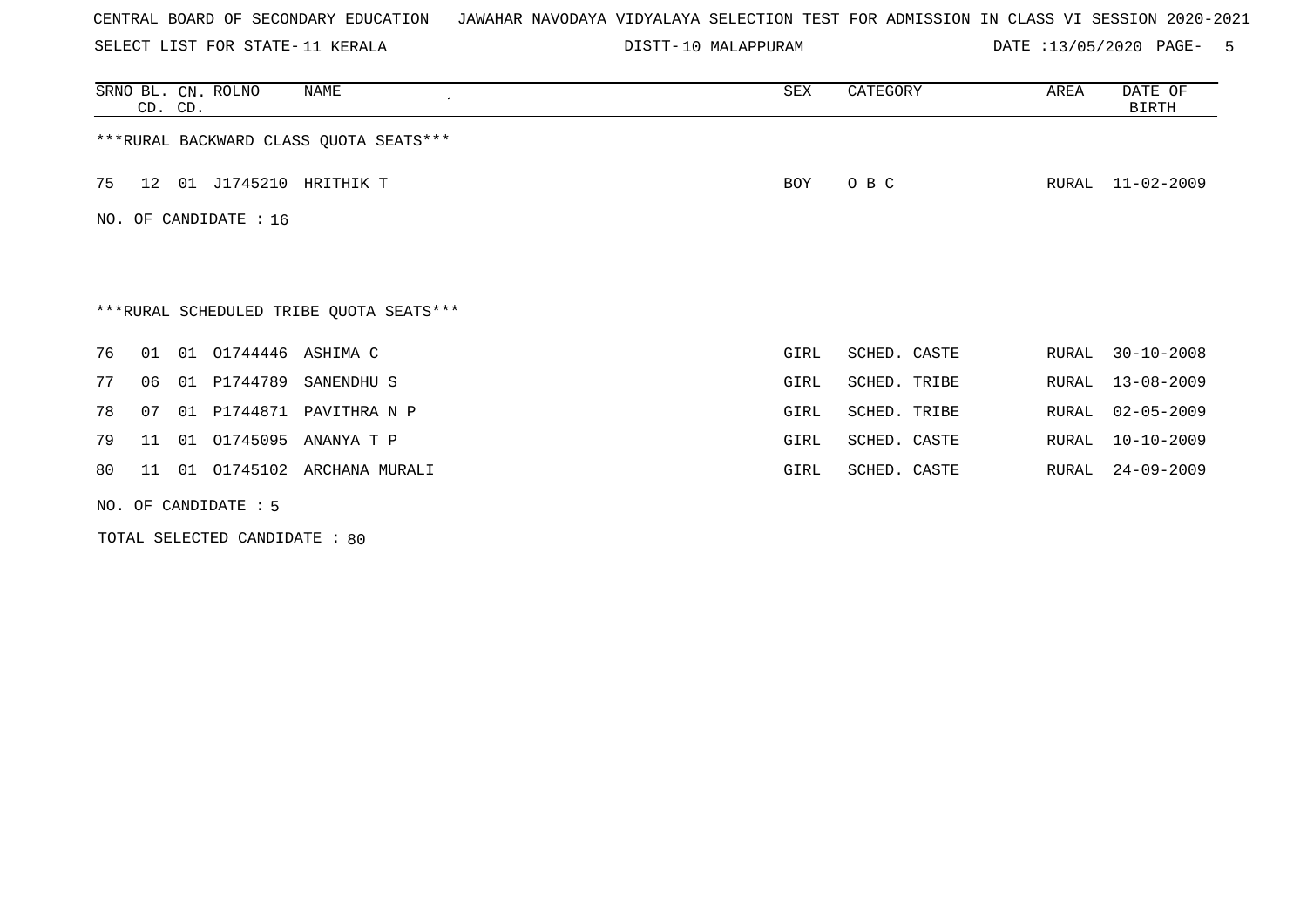SELECT LIST FOR STATE- DISTT- 11 KERALA

DISTT-10 MALAPPURAM DATE :13/05/2020 PAGE- 5

|                         | CD. CD. |    | SRNO BL. CN. ROLNO   | NAME                                    | SEX  | CATEGORY     | AREA  | DATE OF<br>BIRTH |  |
|-------------------------|---------|----|----------------------|-----------------------------------------|------|--------------|-------|------------------|--|
|                         |         |    |                      | *** RURAL BACKWARD CLASS QUOTA SEATS*** |      |              |       |                  |  |
| 75                      |         |    |                      | 12 01 J1745210 HRITHIK T                | BOY  | O B C        | RURAL | 11-02-2009       |  |
| NO. OF CANDIDATE : $16$ |         |    |                      |                                         |      |              |       |                  |  |
|                         |         |    |                      |                                         |      |              |       |                  |  |
|                         |         |    |                      | ***RURAL SCHEDULED TRIBE QUOTA SEATS*** |      |              |       |                  |  |
| 76                      | 01      |    | 01 01744446 ASHIMA C |                                         | GIRL | SCHED. CASTE | RURAL | $30 - 10 - 2008$ |  |
| 77                      | 06      | 01 | P1744789             | SANENDHU S                              | GIRL | SCHED. TRIBE | RURAL | $13 - 08 - 2009$ |  |
| 78                      | 07      | 01 |                      | P1744871 PAVITHRA N P                   | GIRL | SCHED. TRIBE | RURAL | $02 - 05 - 2009$ |  |
| 79                      | 11      | 01 | 01745095             | ANANYA T P                              | GIRL | SCHED. CASTE | RURAL | $10 - 10 - 2009$ |  |
| 80                      | 11      |    |                      | 01 01745102 ARCHANA MURALI              | GIRL | SCHED. CASTE | RURAL | $24 - 09 - 2009$ |  |
|                         |         |    | NO. OF CANDIDATE : 5 |                                         |      |              |       |                  |  |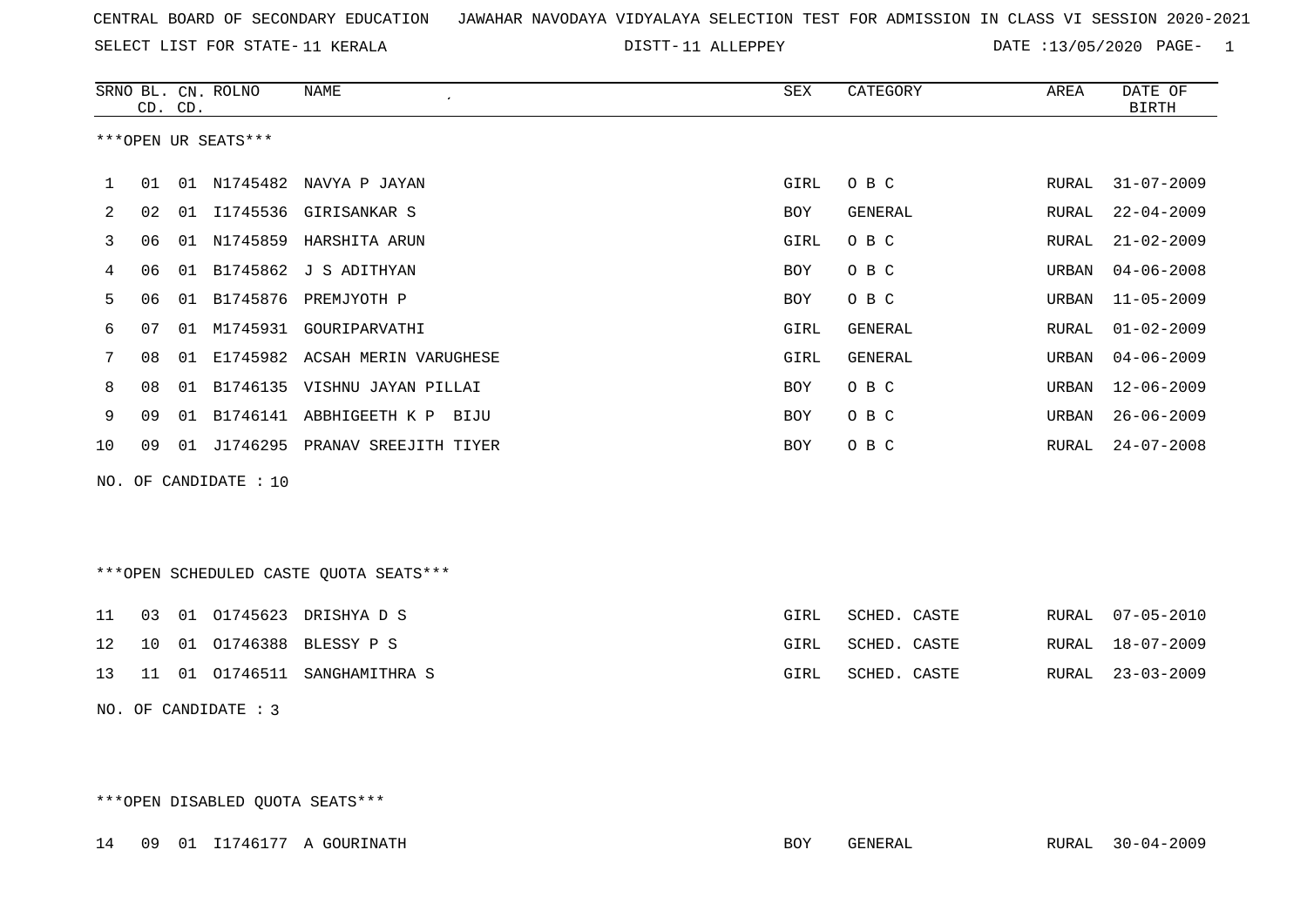SELECT LIST FOR STATE- DISTT- 11 KERALA

DISTT-11 ALLEPPEY DATE :13/05/2020 PAGE- 1

|     |    | CD. CD. | SRNO BL. CN. ROLNO  | <b>NAME</b>                            | SEX        | CATEGORY       | AREA         | DATE OF<br><b>BIRTH</b> |
|-----|----|---------|---------------------|----------------------------------------|------------|----------------|--------------|-------------------------|
|     |    |         | ***OPEN UR SEATS*** |                                        |            |                |              |                         |
| 1   | 01 |         |                     | 01 N1745482 NAVYA P JAYAN              | GIRL       | O B C          | RURAL        | $31 - 07 - 2009$        |
| 2   | 02 | 01      | I1745536            | GIRISANKAR S                           | <b>BOY</b> | GENERAL        | RURAL        | $22 - 04 - 2009$        |
| 3   | 06 |         | 01 N1745859         | HARSHITA ARUN                          | GIRL       | O B C          | <b>RURAL</b> | $21 - 02 - 2009$        |
| 4   | 06 | 01      | B1745862            | J S ADITHYAN                           | <b>BOY</b> | O B C          | URBAN        | $04 - 06 - 2008$        |
| 5   | 06 | 01      |                     | B1745876 PREMJYOTH P                   | BOY        | O B C          | URBAN        | $11 - 05 - 2009$        |
| 6   | 07 | 01      | M1745931            | GOURIPARVATHI                          | GIRL       | GENERAL        | RURAL        | $01 - 02 - 2009$        |
| 7   | 08 | 01      |                     | E1745982 ACSAH MERIN VARUGHESE         | GIRL       | <b>GENERAL</b> | URBAN        | $04 - 06 - 2009$        |
| 8   | 08 | 01      |                     | B1746135 VISHNU JAYAN PILLAI           | <b>BOY</b> | O B C          | URBAN        | $12 - 06 - 2009$        |
| 9   | 09 | 01      |                     | B1746141 ABBHIGEETH K P<br>BIJU        | <b>BOY</b> | O B C          | URBAN        | $26 - 06 - 2009$        |
| 10  | 09 | 01      |                     | J1746295 PRANAV SREEJITH TIYER         | <b>BOY</b> | O B C          | RURAL        | $24 - 07 - 2008$        |
| NO. |    |         | OF CANDIDATE : 10   |                                        |            |                |              |                         |
|     |    |         |                     | ***OPEN SCHEDULED CASTE QUOTA SEATS*** |            |                |              |                         |
| 11  | 03 | 01      | 01745623            | DRISHYA D S                            | GIRL       | SCHED. CASTE   | <b>RURAL</b> | $07 - 05 - 2010$        |
| 12  | 10 | 01      | 01746388            | BLESSY P S                             | GIRL       | SCHED. CASTE   | RURAL        | 18-07-2009              |
| 13  | 11 | 01      | 01746511            | SANGHAMITHRA S                         | GIRL       | SCHED. CASTE   | RURAL        | $23 - 03 - 2009$        |

NO. OF CANDIDATE : 3

\*\*\*OPEN DISABLED QUOTA SEATS\*\*\*

14 09 01 I1746177 A GOURINATH BOY GENERAL RURAL 30-04-2009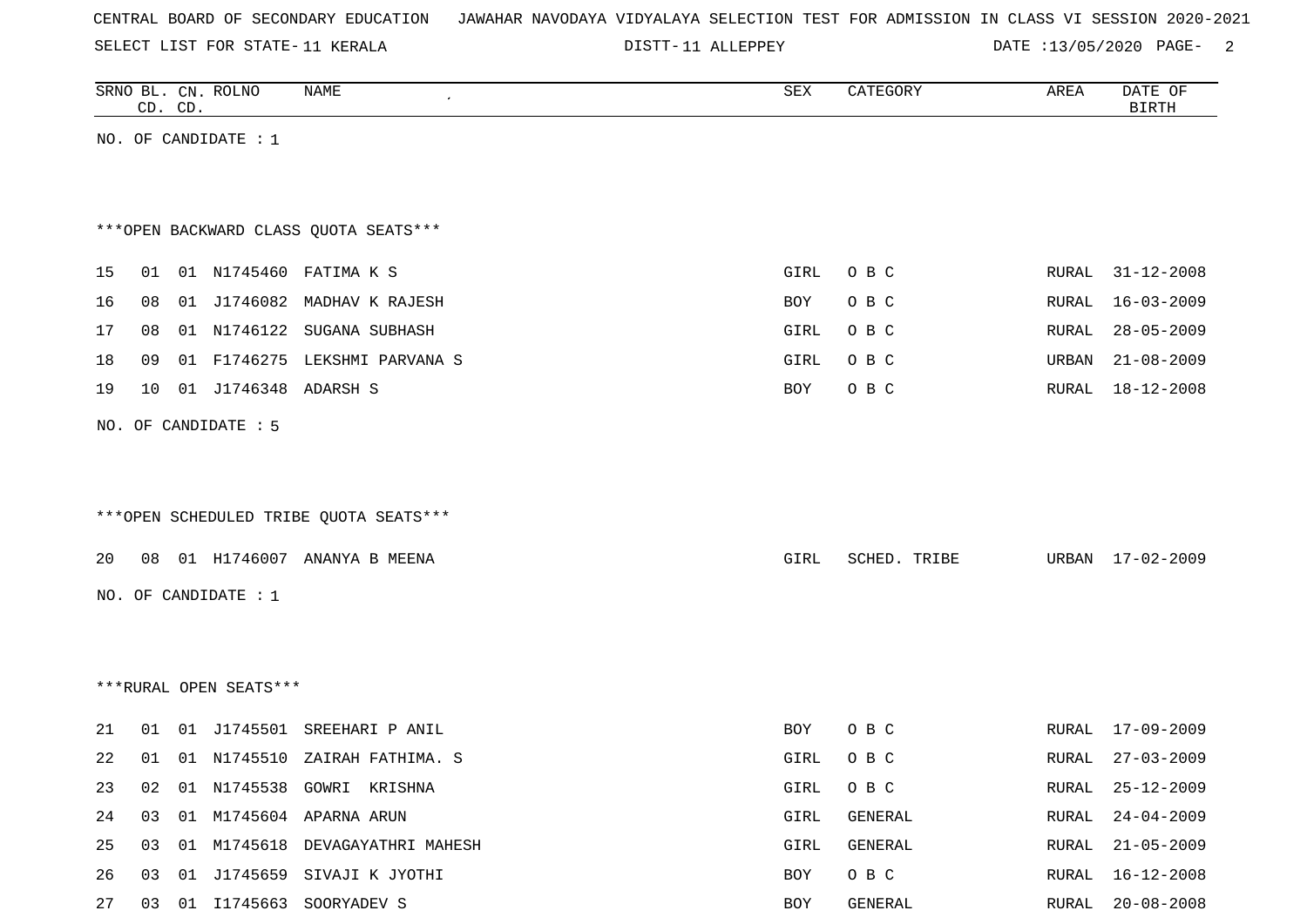SELECT LIST FOR STATE- DISTT- 11 KERALA

DISTT-11 ALLEPPEY DATE :13/05/2020 PAGE- 2

|    | CD. CD. | SRNO BL. CN. ROLNO     | <b>NAME</b>                            | ${\tt SEX}$ | CATEGORY     | AREA  | DATE OF<br><b>BIRTH</b> |
|----|---------|------------------------|----------------------------------------|-------------|--------------|-------|-------------------------|
|    |         | NO. OF CANDIDATE : $1$ |                                        |             |              |       |                         |
|    |         |                        |                                        |             |              |       |                         |
|    |         |                        |                                        |             |              |       |                         |
|    |         |                        | *** OPEN BACKWARD CLASS QUOTA SEATS*** |             |              |       |                         |
| 15 | 01      |                        | 01 N1745460 FATIMA K S                 | GIRL        | O B C        | RURAL | $31 - 12 - 2008$        |
| 16 | 08      |                        | 01 J1746082 MADHAV K RAJESH            | BOY         | O B C        | RURAL | $16 - 03 - 2009$        |
| 17 | 08      |                        | 01 N1746122 SUGANA SUBHASH             | GIRL        | O B C        | RURAL | $28 - 05 - 2009$        |
| 18 | 09      |                        | 01 F1746275 LEKSHMI PARVANA S          | GIRL        | O B C        | URBAN | $21 - 08 - 2009$        |
| 19 | 10      | 01 J1746348 ADARSH S   |                                        | BOY         | O B C        | RURAL | 18-12-2008              |
|    |         | NO. OF CANDIDATE : 5   |                                        |             |              |       |                         |
|    |         |                        |                                        |             |              |       |                         |
|    |         |                        |                                        |             |              |       |                         |
|    |         |                        | ***OPEN SCHEDULED TRIBE QUOTA SEATS*** |             |              |       |                         |
| 20 |         |                        | 08 01 H1746007 ANANYA B MEENA          | GIRL        | SCHED. TRIBE |       | URBAN 17-02-2009        |
|    |         | NO. OF CANDIDATE : 1   |                                        |             |              |       |                         |
|    |         |                        |                                        |             |              |       |                         |
|    |         |                        |                                        |             |              |       |                         |
|    |         |                        |                                        |             |              |       |                         |
|    |         | ***RURAL OPEN SEATS*** |                                        |             |              |       |                         |
| 21 |         |                        | 01 01 J1745501 SREEHARI P ANIL         | BOY         | O B C        |       | RURAL 17-09-2009        |
| 22 |         |                        | 01 01 N1745510 ZAIRAH FATHIMA. S       | GIRL        | O B C        | RURAL | $27 - 03 - 2009$        |
| 23 | 02      |                        | 01 N1745538 GOWRI KRISHNA              | GIRL        | O B C        |       | RURAL 25-12-2009        |
| 24 | 03      |                        | 01 M1745604 APARNA ARUN                | GIRL        | GENERAL      | RURAL | $24 - 04 - 2009$        |
| 25 | 03      |                        | 01 M1745618 DEVAGAYATHRI MAHESH        | GIRL        | GENERAL      | RURAL | $21 - 05 - 2009$        |
| 26 | 03      |                        | 01 J1745659 SIVAJI K JYOTHI            | BOY         | O B C        | RURAL | $16 - 12 - 2008$        |
| 27 |         |                        | 03 01 I1745663 SOORYADEV S             | BOY         | GENERAL      |       | RURAL 20-08-2008        |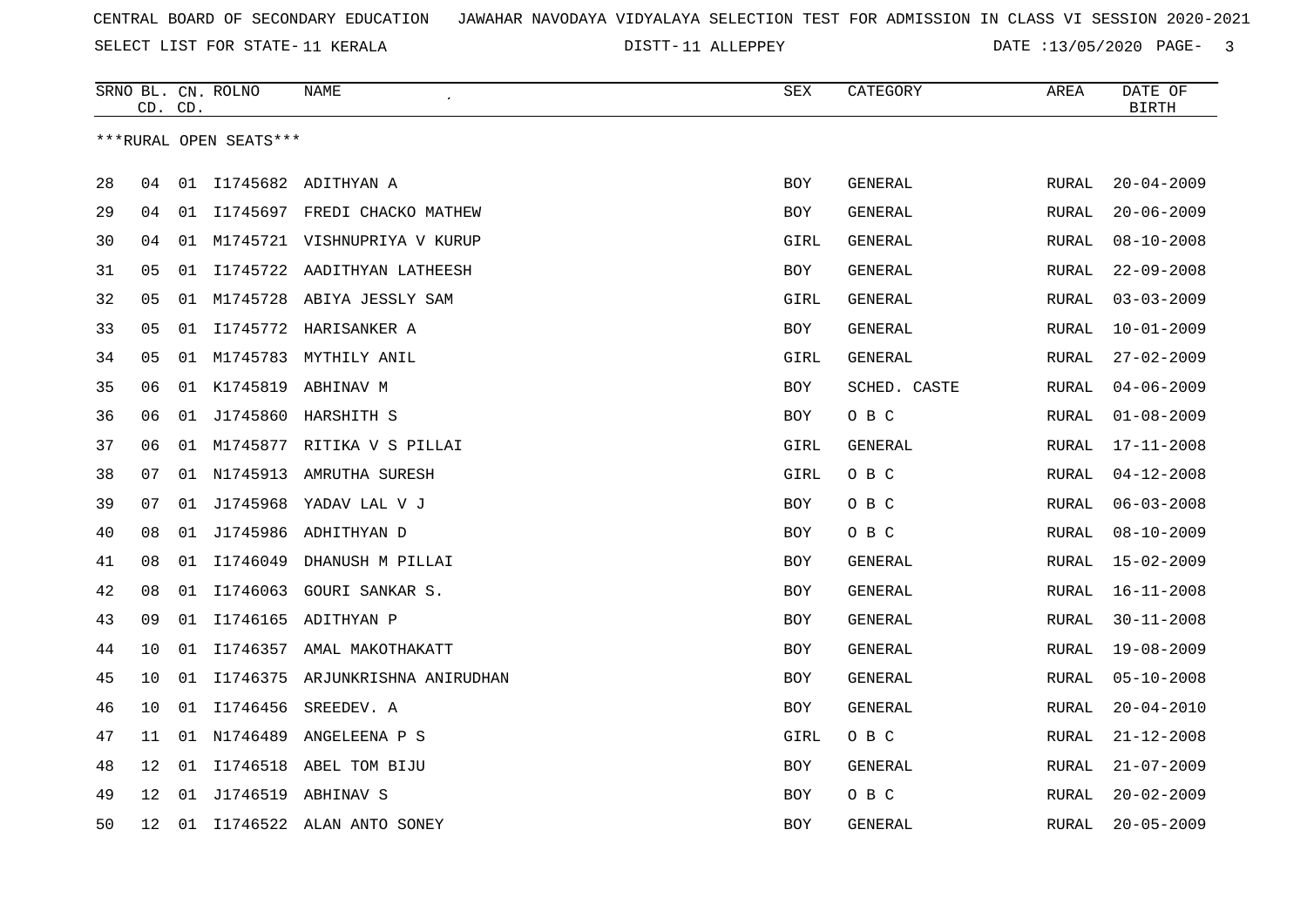SELECT LIST FOR STATE- DISTT- 11 KERALA

DISTT-11 ALLEPPEY **DATE** :13/05/2020 PAGE- 3

|    | CD. CD. |    | SRNO BL. CN. ROLNO     | NAME                               | SEX        | CATEGORY     | AREA         | DATE OF<br><b>BIRTH</b> |
|----|---------|----|------------------------|------------------------------------|------------|--------------|--------------|-------------------------|
|    |         |    | ***RURAL OPEN SEATS*** |                                    |            |              |              |                         |
| 28 | 04      | 01 |                        | I1745682 ADITHYAN A                | <b>BOY</b> | GENERAL      | RURAL        | $20 - 04 - 2009$        |
| 29 | 04      | 01 |                        | I1745697 FREDI CHACKO MATHEW       | BOY        | GENERAL      | RURAL        | $20 - 06 - 2009$        |
| 30 | 04      | 01 |                        | M1745721 VISHNUPRIYA V KURUP       | GIRL       | GENERAL      | <b>RURAL</b> | $08 - 10 - 2008$        |
| 31 | 05      | 01 |                        | I1745722 AADITHYAN LATHEESH        | BOY        | GENERAL      | RURAL        | $22 - 09 - 2008$        |
| 32 | 05      |    |                        | 01 M1745728 ABIYA JESSLY SAM       | GIRL       | GENERAL      | RURAL        | $03 - 03 - 2009$        |
| 33 | 05      | 01 |                        | I1745772 HARISANKER A              | BOY        | GENERAL      | RURAL        | $10 - 01 - 2009$        |
| 34 | 05      |    |                        | 01 M1745783 MYTHILY ANIL           | GIRL       | GENERAL      | <b>RURAL</b> | $27 - 02 - 2009$        |
| 35 | 06      |    |                        | 01 K1745819 ABHINAV M              | BOY        | SCHED. CASTE | RURAL        | $04 - 06 - 2009$        |
| 36 | 06      |    |                        | 01 J1745860 HARSHITH S             | BOY        | O B C        | <b>RURAL</b> | $01 - 08 - 2009$        |
| 37 | 06      | 01 |                        | M1745877 RITIKA V S PILLAI         | GIRL       | GENERAL      | RURAL        | $17 - 11 - 2008$        |
| 38 | 07      |    |                        | 01 N1745913 AMRUTHA SURESH         | GIRL       | O B C        | RURAL        | $04 - 12 - 2008$        |
| 39 | 07      | 01 | J1745968               | YADAV LAL V J                      | <b>BOY</b> | O B C        | <b>RURAL</b> | $06 - 03 - 2008$        |
| 40 | 08      |    |                        | 01 J1745986 ADHITHYAN D            | BOY        | O B C        | RURAL        | $08 - 10 - 2009$        |
| 41 | 08      | 01 | I1746049               | DHANUSH M PILLAI                   | BOY        | GENERAL      | RURAL        | $15 - 02 - 2009$        |
| 42 | 08      | 01 |                        | I1746063 GOURI SANKAR S.           | <b>BOY</b> | GENERAL      | RURAL        | $16 - 11 - 2008$        |
| 43 | 09      | 01 |                        | I1746165 ADITHYAN P                | BOY        | GENERAL      | RURAL        | $30 - 11 - 2008$        |
| 44 | 10      | 01 |                        | I1746357 AMAL MAKOTHAKATT          | BOY        | GENERAL      | RURAL        | $19 - 08 - 2009$        |
| 45 | 10      |    |                        | 01 I1746375 ARJUNKRISHNA ANIRUDHAN | <b>BOY</b> | GENERAL      | <b>RURAL</b> | $05 - 10 - 2008$        |
| 46 | 10      |    | 01 I1746456            | SREEDEV. A                         | <b>BOY</b> | GENERAL      | RURAL        | $20 - 04 - 2010$        |
| 47 | 11      |    |                        | 01 N1746489 ANGELEENA P S          | GIRL       | O B C        | RURAL        | $21 - 12 - 2008$        |
| 48 | 12      | 01 | I1746518               | ABEL TOM BIJU                      | <b>BOY</b> | GENERAL      | <b>RURAL</b> | $21 - 07 - 2009$        |
| 49 | 12      | 01 |                        | J1746519 ABHINAV S                 | <b>BOY</b> | O B C        | <b>RURAL</b> | $20 - 02 - 2009$        |
| 50 | 12      |    |                        | 01 I1746522 ALAN ANTO SONEY        | <b>BOY</b> | GENERAL      | RURAL        | $20 - 05 - 2009$        |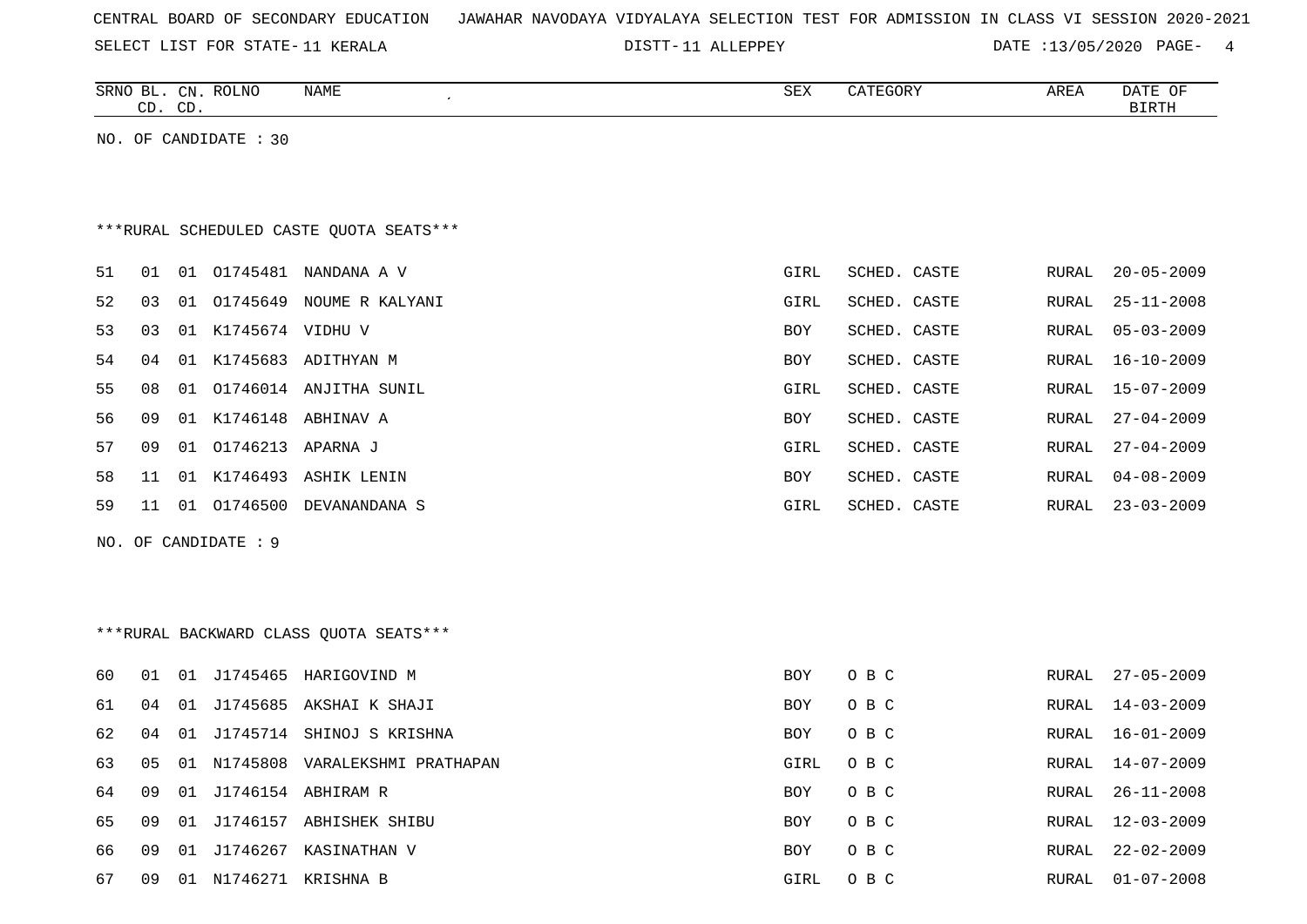| CENTRAL BOARD OF SECONDARY EDUCATION – JAWAHAR NAVODAYA VIDYALAYA SELECTION TEST FOR ADMISSION IN CLASS VI SESSION 2020-2021 |  |  |  |  |  |  |  |
|------------------------------------------------------------------------------------------------------------------------------|--|--|--|--|--|--|--|
|------------------------------------------------------------------------------------------------------------------------------|--|--|--|--|--|--|--|

DISTT-11 ALLEPPEY DATE :13/05/2020 PAGE- 4

| SRNO<br>∸<br>$\sim$<br>ىت | CΝ<br>$-$<br>$\cap$ T<br>ىب | <b>ROLNO</b> | NAME | CDZ<br>∆∟ت | P<br>GUR. | AREA | <b>DATE</b><br>$\sim$ $\sim$<br>OF.<br>້ີ້ |
|---------------------------|-----------------------------|--------------|------|------------|-----------|------|--------------------------------------------|
|                           |                             |              |      |            |           |      |                                            |

NO. OF CANDIDATE : 30

# \*\*\*RURAL SCHEDULED CASTE QUOTA SEATS\*\*\*

| 51 | 01  | 01 | 01745481            | NANDANA A V               | GIRL       | SCHED. CASTE | RURAL | 20-05-2009 |
|----|-----|----|---------------------|---------------------------|------------|--------------|-------|------------|
| 52 | 03  | 01 | 01745649            | NOUME R KALYANI           | GIRL       | SCHED. CASTE | RURAL | 25-11-2008 |
| 53 | 03  |    | 01 K1745674 VIDHU V |                           | <b>BOY</b> | SCHED. CASTE | RURAL | 05-03-2009 |
| 54 | 04  |    | 01 K1745683         | ADITHYAN M                | <b>BOY</b> | SCHED. CASTE | RURAL | 16-10-2009 |
| 55 | 08  |    |                     | 01 01746014 ANJITHA SUNIL | GIRL       | SCHED. CASTE | RURAL | 15-07-2009 |
| 56 | 09  |    |                     | 01 K1746148 ABHINAV A     | <b>BOY</b> | SCHED. CASTE | RURAL | 27-04-2009 |
| 57 | O 9 | 01 | 01746213 APARNA J   |                           | GIRL       | SCHED. CASTE | RURAL | 27-04-2009 |
| 58 | 11  |    | 01 K1746493         | ASHIK LENIN               | <b>BOY</b> | SCHED. CASTE | RURAL | 04-08-2009 |
| 59 | 11  | 01 | 01746500            | DEVANANDANA S             | GIRL       | SCHED. CASTE | RURAL | 23-03-2009 |
|    |     |    |                     |                           |            |              |       |            |

NO. OF CANDIDATE : 9

# \*\*\*RURAL BACKWARD CLASS QUOTA SEATS\*\*\*

| 60 | 01  | 01  |             | J1745465 HARIGOVIND M      | <b>BOY</b> | O B C | RURAL | $27 - 05 - 2009$ |
|----|-----|-----|-------------|----------------------------|------------|-------|-------|------------------|
| 61 | 04  |     |             | 01 J1745685 AKSHAI K SHAJI | <b>BOY</b> | O B C | RURAL | 14-03-2009       |
| 62 | 04  |     | 01 J1745714 | SHINOJ S KRISHNA           | <b>BOY</b> | O B C | RURAL | $16 - 01 - 2009$ |
| 63 | 05  | O 1 | N1745808    | VARALEKSHMI PRATHAPAN      | GIRL       | O B C | RURAL | $14 - 07 - 2009$ |
| 64 | 09. |     |             | 01 J1746154 ABHIRAM R      | <b>BOY</b> | O B C | RURAL | $26 - 11 - 2008$ |
| 65 | 09. |     | 01 J1746157 | ABHISHEK SHIBU             | <b>BOY</b> | O B C | RURAL | $12 - 03 - 2009$ |
| 66 | 09  | O 1 | J1746267    | KASINATHAN V               | <b>BOY</b> | O B C | RURAL | $22 - 02 - 2009$ |
| 67 | 09  | -01 | N1746271    | KRISHNA B                  | GIRL       | O B C | RURAL | $01 - 07 - 2008$ |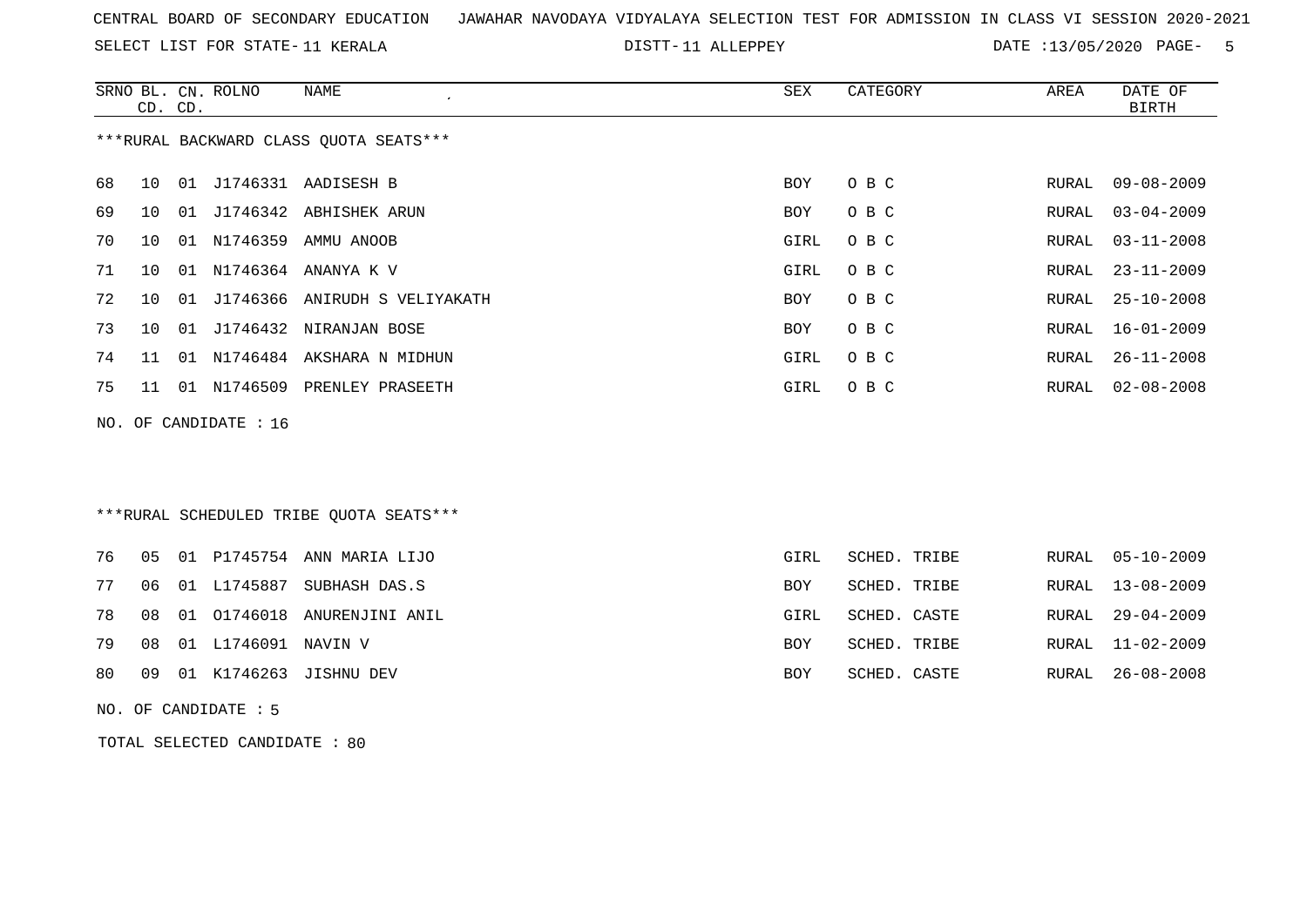SELECT LIST FOR STATE- DISTT- 11 KERALA

DISTT-11 ALLEPPEY DATE :13/05/2020 PAGE- 5

|    |    | CD. CD. | SRNO BL. CN. ROLNO      | NAME<br>$\epsilon$                     | SEX  | CATEGORY | AREA  | DATE OF<br>BIRTH |
|----|----|---------|-------------------------|----------------------------------------|------|----------|-------|------------------|
|    |    |         |                         | ***RURAL BACKWARD CLASS QUOTA SEATS*** |      |          |       |                  |
| 68 | 10 |         |                         | 01 J1746331 AADISESH B                 | BOY  | O B C    | RURAL | $09 - 08 - 2009$ |
| 69 | 10 |         |                         | 01 J1746342 ABHISHEK ARUN              | BOY  | O B C    | RURAL | $03 - 04 - 2009$ |
| 70 | 10 |         | 01 N1746359             | AMMU ANOOB                             | GIRL | O B C    | RURAL | $03 - 11 - 2008$ |
| 71 | 10 |         |                         | 01 N1746364 ANANYA K V                 | GIRL | O B C    | RURAL | $23 - 11 - 2009$ |
| 72 | 10 |         |                         | 01 J1746366 ANIRUDH S VELIYAKATH       | BOY  | O B C    | RURAL | $25 - 10 - 2008$ |
| 73 | 10 |         |                         | 01 J1746432 NIRANJAN BOSE              | BOY  | O B C    | RURAL | $16 - 01 - 2009$ |
| 74 | 11 |         |                         | 01 N1746484 AKSHARA N MIDHUN           | GIRL | O B C    | RURAL | $26 - 11 - 2008$ |
| 75 | 11 |         |                         | 01 N1746509 PRENLEY PRASEETH           | GIRL | O B C    | RURAL | $02 - 08 - 2008$ |
|    |    |         | NO. OF CANDIDATE : $16$ |                                        |      |          |       |                  |
|    |    |         |                         |                                        |      |          |       |                  |
|    |    |         |                         |                                        |      |          |       |                  |

\*\*\*RURAL SCHEDULED TRIBE QUOTA SEATS\*\*\*

|  |                           | 76 05 01 P1745754 ANN MARIA LIJO  | GIRL       | SCHED. TRIBE | RURAL 05-10-2009 |
|--|---------------------------|-----------------------------------|------------|--------------|------------------|
|  |                           | 77 06 01 L1745887 SUBHASH DAS.S   | <b>BOY</b> | SCHED. TRIBE | RURAL 13-08-2009 |
|  |                           | 78 08 01 01746018 ANURENJINI ANIL | GIRL       | SCHED. CASTE | RURAL 29-04-2009 |
|  | 79 08 01 L1746091 NAVIN V |                                   | <b>BOY</b> | SCHED. TRIBE | RURAL 11-02-2009 |
|  |                           | 80 09 01 K1746263 JISHNU DEV      | BOY        | SCHED. CASTE | RURAL 26-08-2008 |

NO. OF CANDIDATE : 5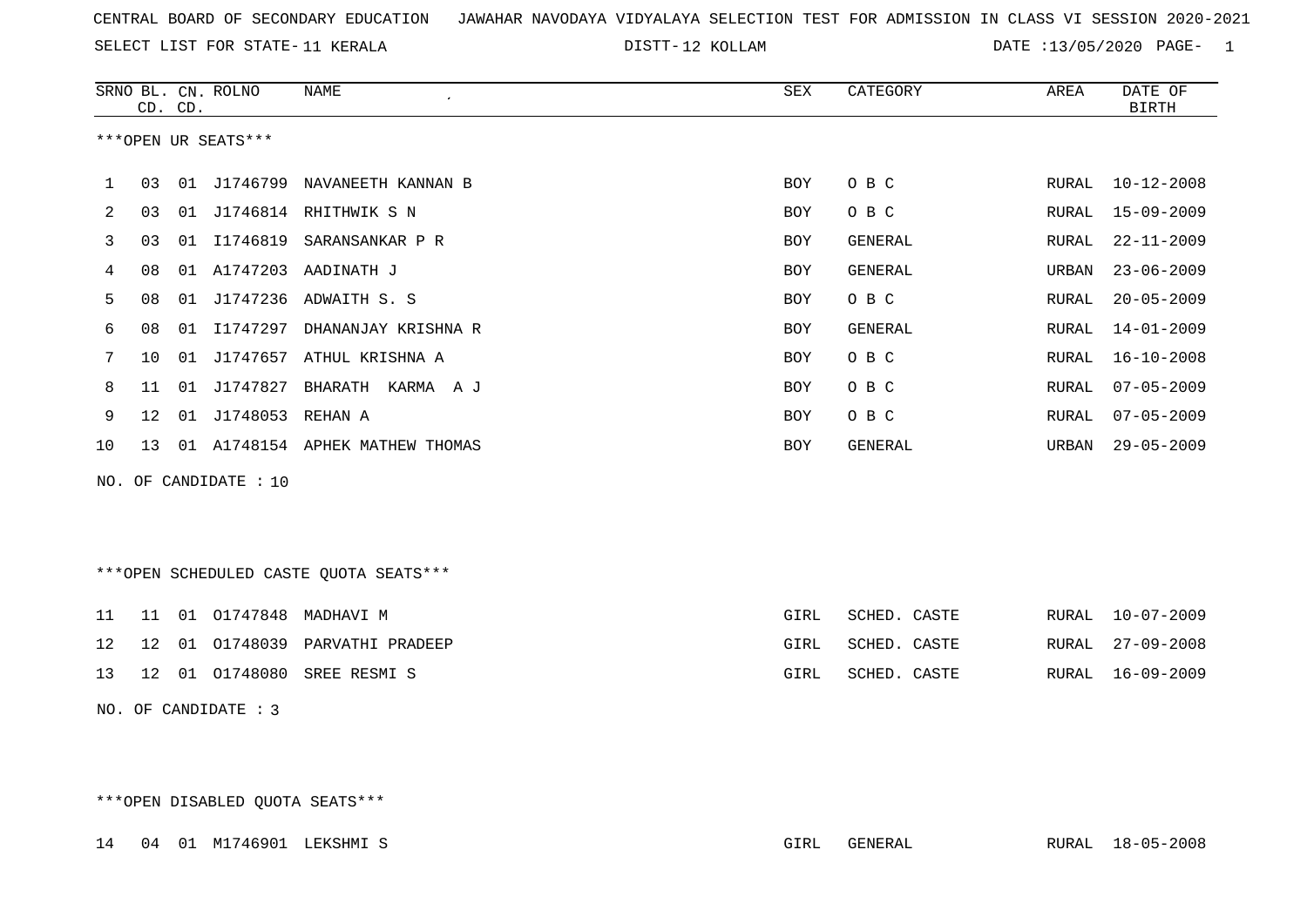SELECT LIST FOR STATE- DISTT- 11 KERALA

DISTT-12 KOLLAM DATE :13/05/2020 PAGE- 1

|    |    | CD. CD. | SRNO BL. CN. ROLNO    | NAME<br>$\epsilon$           | SEX | CATEGORY | AREA  | DATE OF<br><b>BIRTH</b> |
|----|----|---------|-----------------------|------------------------------|-----|----------|-------|-------------------------|
|    |    |         | ***OPEN UR SEATS***   |                              |     |          |       |                         |
| 1  | 03 | 01      | J1746799              | NAVANEETH KANNAN B           | BOY | O B C    | RURAL | $10 - 12 - 2008$        |
| 2  | 03 | 01      |                       | J1746814 RHITHWIK S N        | BOY | O B C    | RURAL | 15-09-2009              |
| 3  | 03 | 01      |                       | I1746819 SARANSANKAR P R     | BOY | GENERAL  | RURAL | $22 - 11 - 2009$        |
| 4  | 08 | 01      | A1747203              | AADINATH J                   | BOY | GENERAL  | URBAN | $23 - 06 - 2009$        |
| 5  | 08 | 01      |                       | J1747236 ADWAITH S. S        | BOY | O B C    | RURAL | $20 - 05 - 2009$        |
| 6  | 08 | 01      | I1747297              | DHANANJAY KRISHNA R          | BOY | GENERAL  | RURAL | $14 - 01 - 2009$        |
|    | 10 | 01      | J1747657              | ATHUL KRISHNA A              | BOY | O B C    | RURAL | $16 - 10 - 2008$        |
| 8  | 11 | 01      | J1747827              | BHARATH<br>KARMA A J         | BOY | O B C    | RURAL | $07 - 05 - 2009$        |
| 9  | 12 | 01      | J1748053 REHAN A      |                              | BOY | O B C    | RURAL | $07 - 05 - 2009$        |
| 10 | 13 | 01      |                       | A1748154 APHEK MATHEW THOMAS | BOY | GENERAL  | URBAN | $29 - 05 - 2009$        |
|    |    |         | NO. OF CANDIDATE : 10 |                              |     |          |       |                         |

\*\*\*OPEN SCHEDULED CASTE QUOTA SEATS\*\*\*

|  |  | 11 11 01 01747848 MADHAVI M              | GIRL | SCHED. CASTE      |  | RURAL 10-07-2009 |
|--|--|------------------------------------------|------|-------------------|--|------------------|
|  |  | 12  12  01  01748039  PARVATHI  PRADEEP  |      | GIRL SCHED. CASTE |  | RURAL 27-09-2008 |
|  |  | 13   12   01   01748080   SREE RESMI   S | GIRL | SCHED. CASTE      |  | RURAL 16-09-2009 |

NO. OF CANDIDATE : 3

\*\*\*OPEN DISABLED QUOTA SEATS\*\*\*

14 04 01 M1746901 LEKSHMI S GIRL GENERAL RURAL 18-05-2008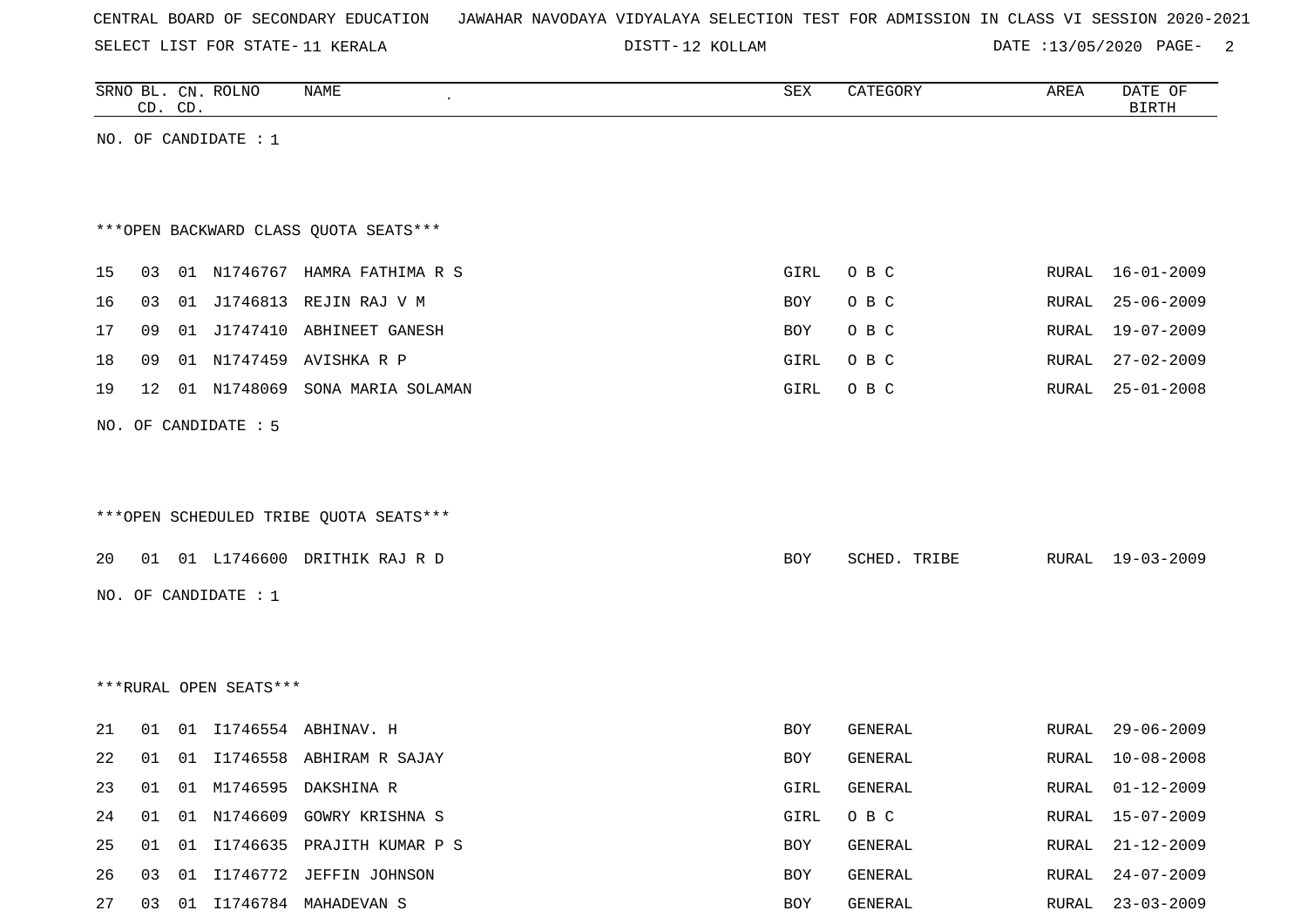| CENTRAL BOARD OF SECONDARY EDUCATION – JAWAHAR NAVODAYA VIDYALAYA SELECTION TEST FOR ADMISSION IN CLASS VI SESSION 2020-2021 |  |  |  |  |
|------------------------------------------------------------------------------------------------------------------------------|--|--|--|--|
|------------------------------------------------------------------------------------------------------------------------------|--|--|--|--|

DISTT-12 KOLLAM DATE :13/05/2020 PAGE- 2

|    |    | CD. CD. | SRNO BL. CN. ROLNO     | NAME                                   | SEX         | CATEGORY     | AREA         | DATE OF<br><b>BIRTH</b> |
|----|----|---------|------------------------|----------------------------------------|-------------|--------------|--------------|-------------------------|
|    |    |         | NO. OF CANDIDATE : $1$ |                                        |             |              |              |                         |
|    |    |         |                        |                                        |             |              |              |                         |
|    |    |         |                        |                                        |             |              |              |                         |
|    |    |         |                        | *** OPEN BACKWARD CLASS QUOTA SEATS*** |             |              |              |                         |
| 15 | 03 |         |                        | 01 N1746767 HAMRA FATHIMA R S          | <b>GIRL</b> | O B C        | RURAL        | $16 - 01 - 2009$        |
| 16 | 03 |         | 01 J1746813            | REJIN RAJ V M                          | BOY         | O B C        | <b>RURAL</b> | $25 - 06 - 2009$        |
| 17 | 09 |         |                        | 01 J1747410 ABHINEET GANESH            | <b>BOY</b>  | O B C        | RURAL        | 19-07-2009              |
| 18 | 09 |         | 01 N1747459            | AVISHKA R P                            | GIRL        | O B C        | RURAL        | $27 - 02 - 2009$        |
| 19 | 12 |         | 01 N1748069            | SONA MARIA SOLAMAN                     | GIRL        | O B C        | RURAL        | $25 - 01 - 2008$        |
|    |    |         | NO. OF CANDIDATE : 5   |                                        |             |              |              |                         |
|    |    |         |                        |                                        |             |              |              |                         |
|    |    |         |                        |                                        |             |              |              |                         |
|    |    |         |                        | ***OPEN SCHEDULED TRIBE QUOTA SEATS*** |             |              |              |                         |
| 20 | 01 |         |                        | 01 L1746600 DRITHIK RAJ R D            | <b>BOY</b>  | SCHED. TRIBE | RURAL        | 19-03-2009              |
|    |    |         |                        |                                        |             |              |              |                         |
|    |    |         | NO. OF CANDIDATE : $1$ |                                        |             |              |              |                         |
|    |    |         |                        |                                        |             |              |              |                         |
|    |    |         |                        |                                        |             |              |              |                         |
|    |    |         | ***RURAL OPEN SEATS*** |                                        |             |              |              |                         |
| 21 | 01 |         |                        | 01 I1746554 ABHINAV. H                 | BOY         | GENERAL      | RURAL        | $29 - 06 - 2009$        |
| 22 | 01 |         |                        | 01 I1746558 ABHIRAM R SAJAY            | <b>BOY</b>  | GENERAL      | RURAL        | $10 - 08 - 2008$        |
| 23 | 01 |         |                        | 01 M1746595 DAKSHINA R                 | GIRL        | GENERAL      | RURAL        | $01 - 12 - 2009$        |
| 24 | 01 | 01      | N1746609               | GOWRY KRISHNA S                        | GIRL        | O B C        | <b>RURAL</b> | $15 - 07 - 2009$        |
| 25 | 01 |         |                        | 01 I1746635 PRAJITH KUMAR P S          | BOY         | GENERAL      | RURAL        | $21 - 12 - 2009$        |
| 26 | 03 |         |                        | 01 I1746772 JEFFIN JOHNSON             | BOY         | GENERAL      | RURAL        | $24 - 07 - 2009$        |
| 27 | 03 |         |                        | 01 I1746784 MAHADEVAN S                | BOY         | GENERAL      | RURAL        | $23 - 03 - 2009$        |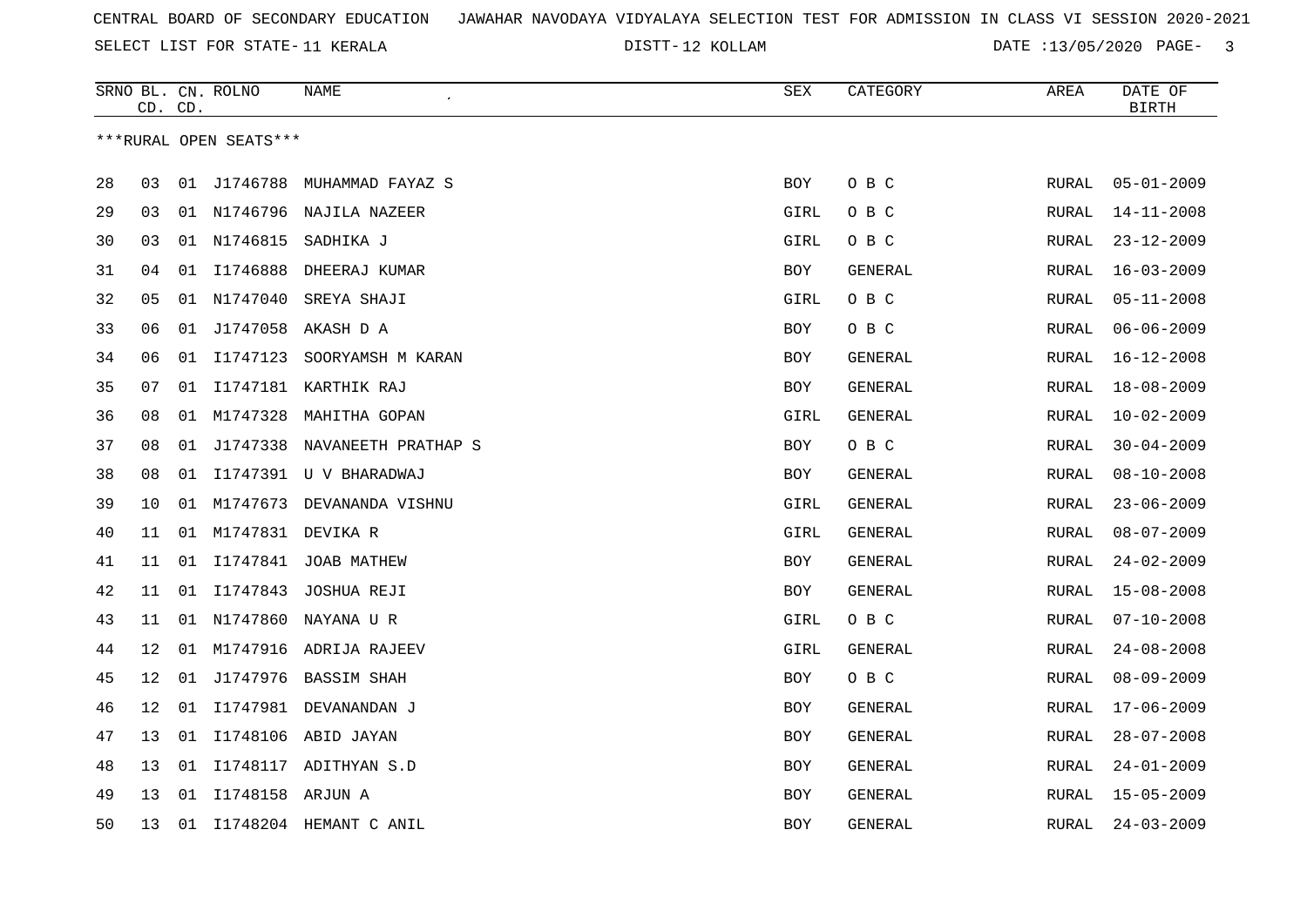SELECT LIST FOR STATE- DISTT- 11 KERALA

12 KOLLAM DATE :13/05/2020 PAGE- 3

|    |                 | CD. CD. | SRNO BL. CN. ROLNO     | NAME                         | <b>SEX</b> | CATEGORY       | AREA          | DATE OF<br><b>BIRTH</b> |
|----|-----------------|---------|------------------------|------------------------------|------------|----------------|---------------|-------------------------|
|    |                 |         | ***RURAL OPEN SEATS*** |                              |            |                |               |                         |
|    |                 |         |                        |                              |            |                |               |                         |
| 28 | 03              |         |                        | 01 J1746788 MUHAMMAD FAYAZ S | <b>BOY</b> | O B C          | RURAL         | $05 - 01 - 2009$        |
| 29 | 03              |         |                        | 01 N1746796 NAJILA NAZEER    | GIRL       | O B C          | RURAL         | $14 - 11 - 2008$        |
| 30 | 03              |         | 01 N1746815            | SADHIKA J                    | GIRL       | O B C          | RURAL         | $23 - 12 - 2009$        |
| 31 | 04              |         | 01 11746888            | DHEERAJ KUMAR                | BOY        | GENERAL        | RURAL         | $16 - 03 - 2009$        |
| 32 | 05              |         | 01 N1747040            | SREYA SHAJI                  | GIRL       | O B C          | RURAL         | $05 - 11 - 2008$        |
| 33 | 06              | 01      | J1747058               | AKASH D A                    | BOY        | O B C          | RURAL         | $06 - 06 - 2009$        |
| 34 | 06              |         | 01 11747123            | SOORYAMSH M KARAN            | BOY        | GENERAL        | RURAL         | $16 - 12 - 2008$        |
| 35 | 07              |         |                        | 01 I1747181 KARTHIK RAJ      | <b>BOY</b> | GENERAL        | <b>RURAL</b>  | $18 - 08 - 2009$        |
| 36 | 08              |         |                        | 01 M1747328 MAHITHA GOPAN    | GIRL       | GENERAL        | ${\tt RURAL}$ | $10 - 02 - 2009$        |
| 37 | 08              | 01      | J1747338               | NAVANEETH PRATHAP S          | <b>BOY</b> | O B C          | RURAL         | $30 - 04 - 2009$        |
| 38 | 08              | 01      |                        | I1747391 U V BHARADWAJ       | <b>BOY</b> | GENERAL        | <b>RURAL</b>  | $08 - 10 - 2008$        |
| 39 | 10              | 01      | M1747673               | DEVANANDA VISHNU             | GIRL       | GENERAL        | <b>RURAL</b>  | $23 - 06 - 2009$        |
| 40 | 11              |         | 01 M1747831 DEVIKA R   |                              | GIRL       | GENERAL        | RURAL         | $08 - 07 - 2009$        |
| 41 | 11              |         |                        | 01 I1747841 JOAB MATHEW      | <b>BOY</b> | <b>GENERAL</b> | RURAL         | $24 - 02 - 2009$        |
| 42 | 11              | 01      | I1747843               | JOSHUA REJI                  | BOY        | GENERAL        | RURAL         | $15 - 08 - 2008$        |
| 43 | 11              |         |                        | 01 N1747860 NAYANA U R       | GIRL       | O B C          | <b>RURAL</b>  | $07 - 10 - 2008$        |
| 44 | 12 <sub>1</sub> |         |                        | 01 M1747916 ADRIJA RAJEEV    | GIRL       | GENERAL        | RURAL         | $24 - 08 - 2008$        |
| 45 | 12              |         |                        | 01 J1747976 BASSIM SHAH      | <b>BOY</b> | O B C          | RURAL         | $08 - 09 - 2009$        |
| 46 | 12              | 01      |                        | I1747981 DEVANANDAN J        | BOY        | GENERAL        | RURAL         | $17 - 06 - 2009$        |
| 47 | 13              | 01      |                        | I1748106 ABID JAYAN          | BOY        | GENERAL        | RURAL         | $28 - 07 - 2008$        |
| 48 | 13              | 01      |                        | I1748117 ADITHYAN S.D        | BOY        | GENERAL        | RURAL         | $24 - 01 - 2009$        |
| 49 | 13              |         | 01 I1748158 ARJUN A    |                              | BOY        | GENERAL        | RURAL         | $15 - 05 - 2009$        |
| 50 | 13              |         |                        | 01 I1748204 HEMANT C ANIL    | <b>BOY</b> | <b>GENERAL</b> | RURAL         | $24 - 03 - 2009$        |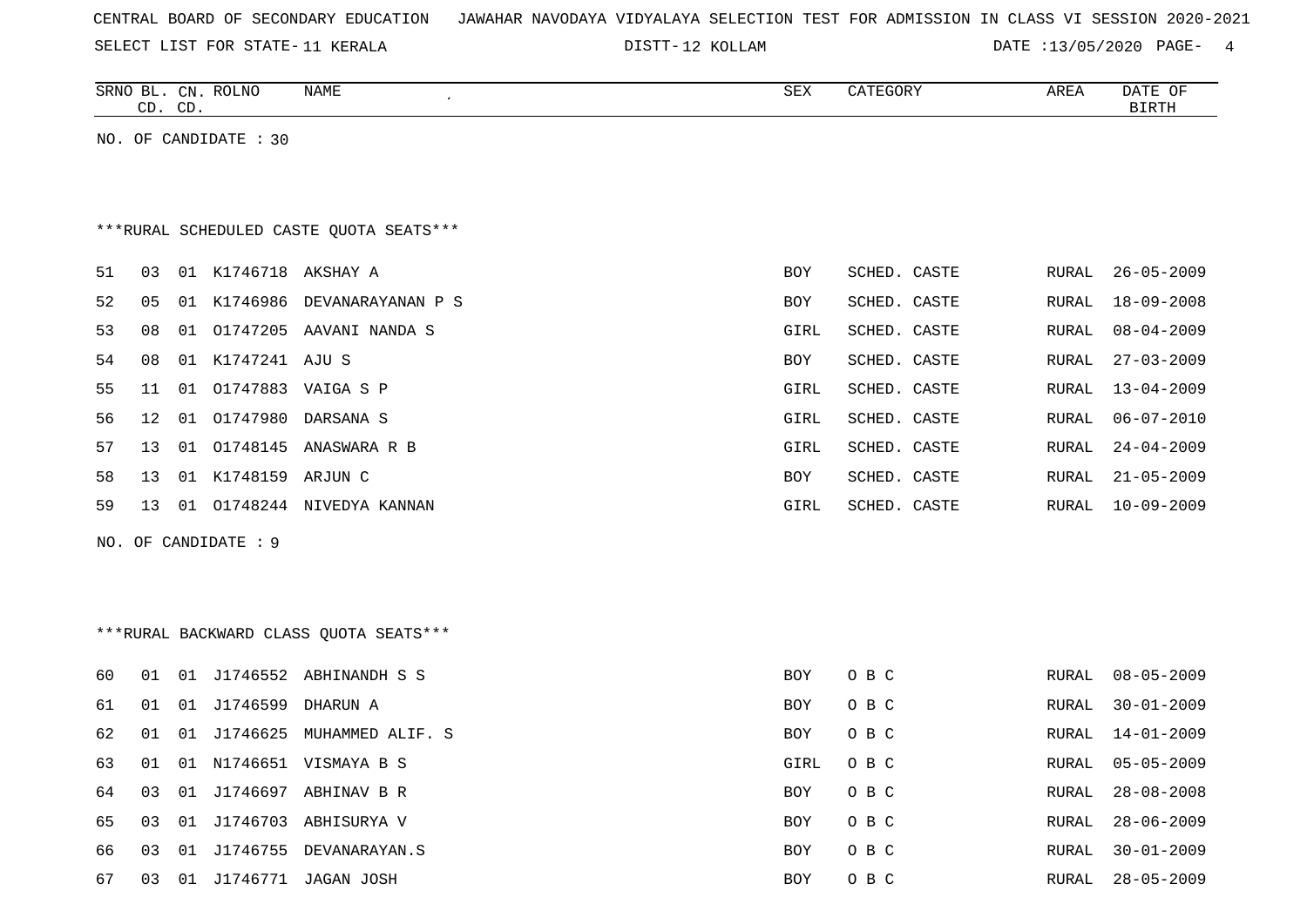| CENTRAL BOARD OF SECONDARY EDUCATION – JAWAHAR NAVODAYA VIDYALAYA SELECTION TEST FOR ADMISSION IN CLASS VI SESSION 2020-2021 |  |
|------------------------------------------------------------------------------------------------------------------------------|--|
|------------------------------------------------------------------------------------------------------------------------------|--|

SELECT LIST FOR STATE- DISTT- 11 KERALA 12 KOLLAM DATE :13/05/2020 PAGE- 4

|    |    | CD. CD. | SRNO BL. CN. ROLNO    | NAME                                    | SEX        | CATEGORY     | AREA         | DATE OF<br>BIRTH |
|----|----|---------|-----------------------|-----------------------------------------|------------|--------------|--------------|------------------|
|    |    |         | NO. OF CANDIDATE : 30 |                                         |            |              |              |                  |
|    |    |         |                       |                                         |            |              |              |                  |
|    |    |         |                       |                                         |            |              |              |                  |
|    |    |         |                       | ***RURAL SCHEDULED CASTE QUOTA SEATS*** |            |              |              |                  |
| 51 | 03 |         | 01 K1746718 AKSHAY A  |                                         | <b>BOY</b> | SCHED. CASTE | RURAL        | $26 - 05 - 2009$ |
| 52 | 05 |         |                       | 01 K1746986 DEVANARAYANAN P S           | BOY        | SCHED. CASTE | RURAL        | $18 - 09 - 2008$ |
| 53 | 08 | 01      |                       | 01747205 AAVANI NANDA S                 | GIRL       | SCHED. CASTE | <b>RURAL</b> | $08 - 04 - 2009$ |
| 54 | 08 |         | 01 K1747241 AJU S     |                                         | BOY        | SCHED. CASTE | RURAL        | $27 - 03 - 2009$ |
| 55 | 11 | 01      |                       | 01747883 VAIGA S P                      | GIRL       | SCHED. CASTE | RURAL        | $13 - 04 - 2009$ |
| 56 | 12 |         |                       | 01 01747980 DARSANA S                   | GIRL       | SCHED. CASTE | RURAL        | $06 - 07 - 2010$ |
| 57 | 13 | 01      |                       | 01748145 ANASWARA R B                   | GIRL       | SCHED. CASTE | RURAL        | $24 - 04 - 2009$ |
| 58 | 13 |         | 01 K1748159 ARJUN C   |                                         | BOY        | SCHED. CASTE | RURAL        | $21 - 05 - 2009$ |
| 59 |    |         |                       | 13 01 01748244 NIVEDYA KANNAN           | GIRL       | SCHED. CASTE | RURAL        | $10 - 09 - 2009$ |
|    |    |         | NO. OF CANDIDATE : 9  |                                         |            |              |              |                  |
|    |    |         |                       |                                         |            |              |              |                  |
|    |    |         |                       |                                         |            |              |              |                  |
|    |    |         |                       | ***RURAL BACKWARD CLASS QUOTA SEATS***  |            |              |              |                  |
|    |    |         |                       |                                         |            |              |              |                  |
| 60 | 01 |         |                       | 01 J1746552 ABHINANDH S S               | BOY        | O B C        | RURAL        | $08 - 05 - 2009$ |
| 61 | 01 |         | 01 J1746599           | DHARUN A                                | <b>BOY</b> | O B C        | <b>RURAL</b> | $30 - 01 - 2009$ |
| 62 | 01 |         |                       | 01 J1746625 MUHAMMED ALIF. S            | BOY        | O B C        | RURAL        | $14 - 01 - 2009$ |
| 63 | 01 |         |                       | 01 N1746651 VISMAYA B S                 | GIRL       | O B C        | RURAL        | $05 - 05 - 2009$ |
| 64 | 03 | 01      |                       | J1746697 ABHINAV B R                    | BOY        | O B C        | RURAL        | $28 - 08 - 2008$ |
| 65 | 03 |         |                       | 01 J1746703 ABHISURYA V                 | BOY        | O B C        | RURAL        | $28 - 06 - 2009$ |
| 66 | 03 |         |                       | 01 J1746755 DEVANARAYAN.S               | <b>BOY</b> | O B C        | RURAL        | $30 - 01 - 2009$ |

67 03 01 J1746771 JAGAN JOSH BOY O B C RURAL 28-05-2009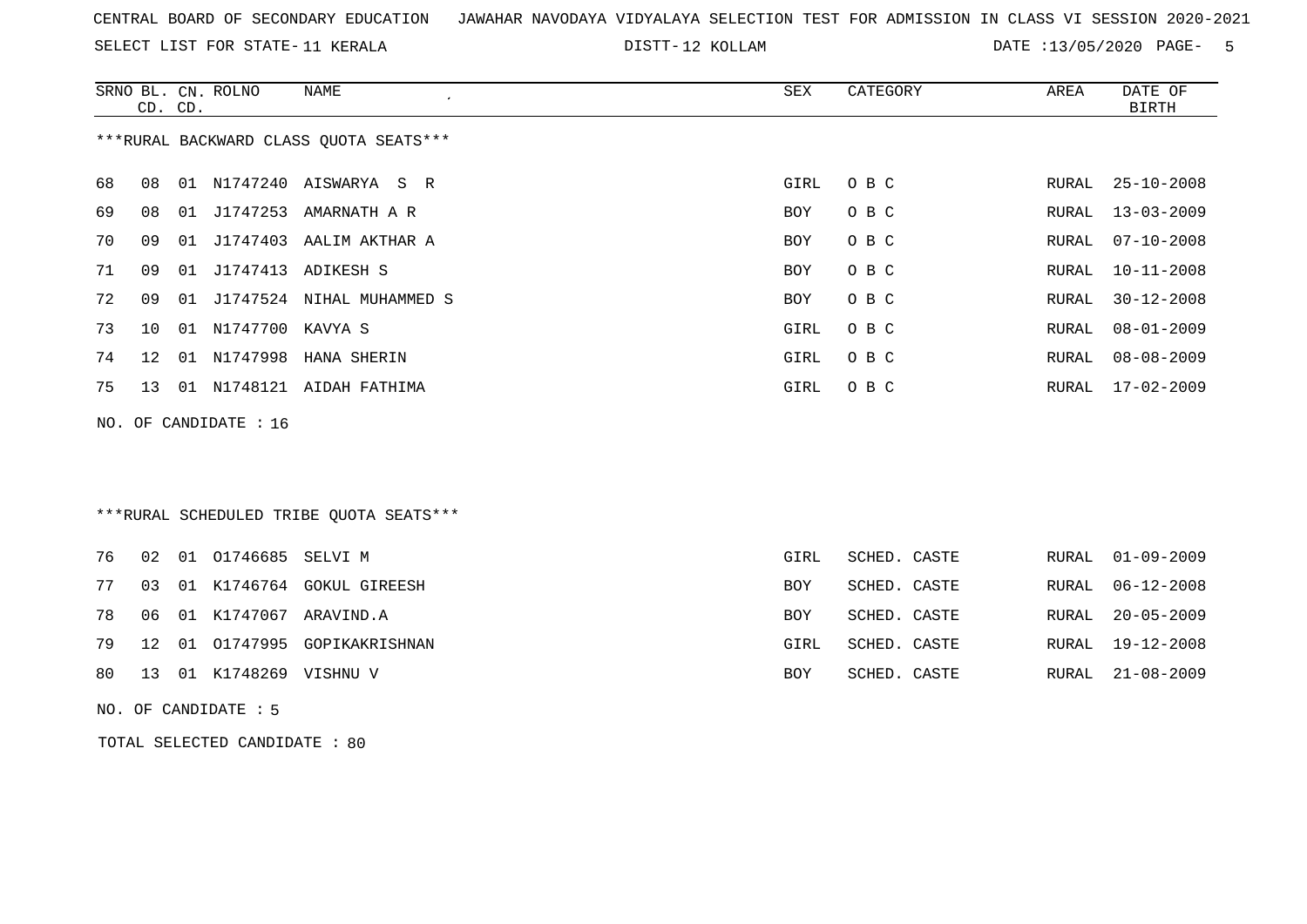SELECT LIST FOR STATE- DISTT- 11 KERALA

12 KOLLAM DATE :13/05/2020 PAGE- 5

|    |                 | CD. CD. | SRNO BL. CN. ROLNO    | NAME<br>$\epsilon$                     | SEX  | CATEGORY | AREA  | DATE OF<br>BIRTH |
|----|-----------------|---------|-----------------------|----------------------------------------|------|----------|-------|------------------|
|    |                 |         |                       | ***RURAL BACKWARD CLASS OUOTA SEATS*** |      |          |       |                  |
| 68 | 08              |         |                       | 01 N1747240 AISWARYA S R               | GIRL | O B C    | RURAL | $25 - 10 - 2008$ |
| 69 | 08              |         |                       | 01 J1747253 AMARNATH A R               | BOY  | O B C    | RURAL | $13 - 03 - 2009$ |
| 70 | 09              |         |                       | 01 J1747403 AALIM AKTHAR A             | BOY  | O B C    | RURAL | $07 - 10 - 2008$ |
| 71 | 09              |         |                       | 01 J1747413 ADIKESH S                  | BOY  | O B C    | RURAL | $10 - 11 - 2008$ |
| 72 | 09              |         |                       | 01 J1747524 NIHAL MUHAMMED S           | BOY  | O B C    | RURAL | $30 - 12 - 2008$ |
| 73 | 10 <sup>°</sup> |         | 01 N1747700 KAVYA S   |                                        | GIRL | O B C    | RURAL | $08 - 01 - 2009$ |
| 74 | 12 <sup>°</sup> |         |                       | 01 N1747998 HANA SHERIN                | GIRL | O B C    | RURAL | $08 - 08 - 2009$ |
| 75 | 13 <sup>°</sup> |         |                       | 01 N1748121 AIDAH FATHIMA              | GIRL | O B C    | RURAL | $17 - 02 - 2009$ |
|    |                 |         | NO. OF CANDIDATE : 16 |                                        |      |          |       |                  |
|    |                 |         |                       |                                        |      |          |       |                  |

\*\*\*RURAL SCHEDULED TRIBE QUOTA SEATS\*\*\*

|  | 76 02 01 01746685 SELVI M  |                                     | GIRL | SCHED. CASTE |  | RURAL 01-09-2009 |
|--|----------------------------|-------------------------------------|------|--------------|--|------------------|
|  |                            | 77 03 01 K1746764 GOKUL GIREESH     | BOY  | SCHED. CASTE |  | RURAL 06-12-2008 |
|  |                            | 78   06   01   K1747067   ARAVIND.A | BOY  | SCHED. CASTE |  | RURAL 20-05-2009 |
|  |                            | 79 12 01 01747995 GOPIKAKRISHNAN    | GIRL | SCHED. CASTE |  | RURAL 19-12-2008 |
|  | 80 13 01 K1748269 VISHNU V |                                     | BOY  | SCHED. CASTE |  | RURAL 21-08-2009 |

NO. OF CANDIDATE : 5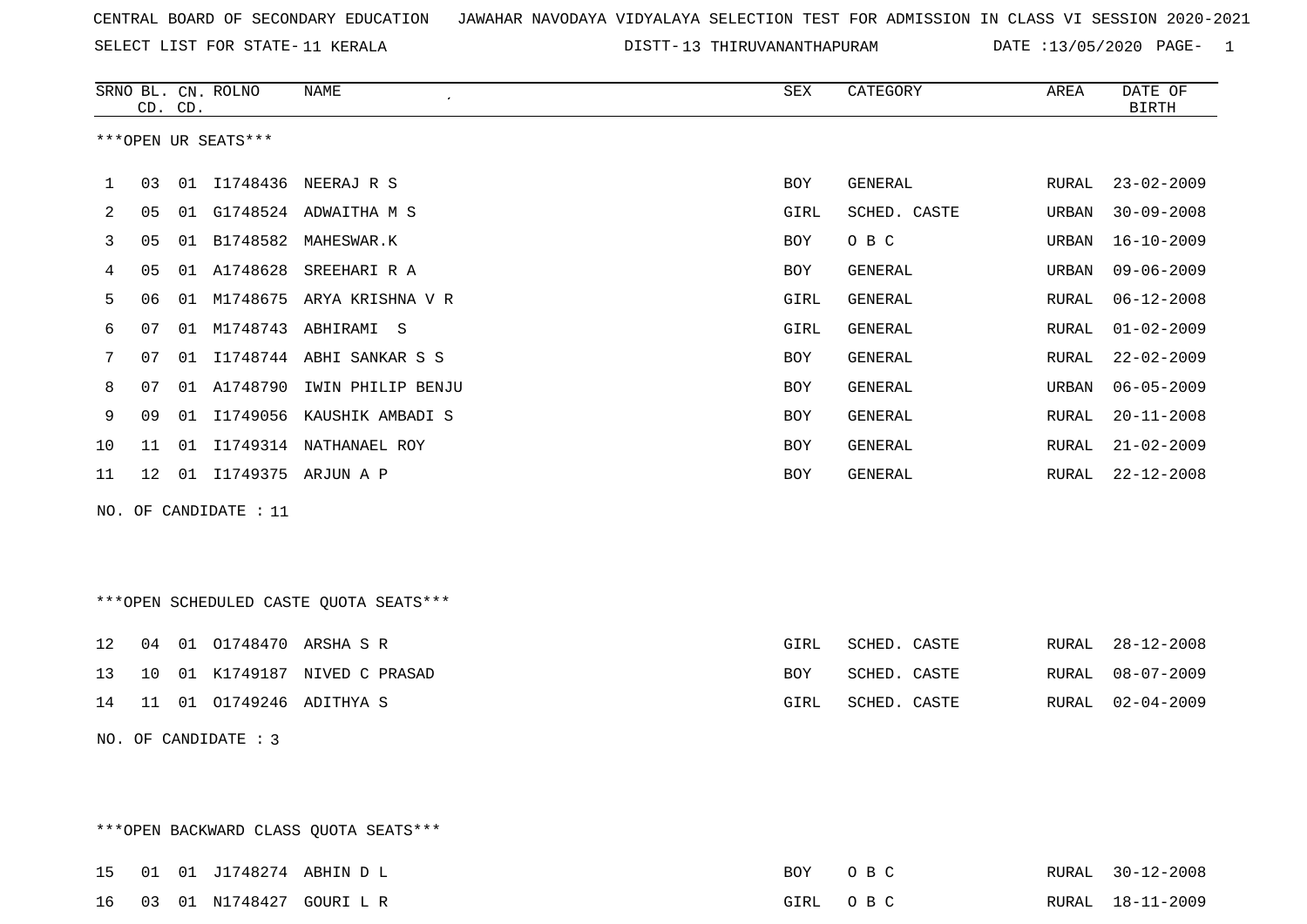SELECT LIST FOR STATE- DISTT- 11 KERALA

DISTT-13 THIRUVANANTHAPURAM DATE :13/05/2020 PAGE- 1

|    |    | CD. CD. | SRNO BL. CN. ROLNO    | NAME<br>$\lambda$                      | SEX  | CATEGORY       | AREA  | DATE OF<br><b>BIRTH</b> |
|----|----|---------|-----------------------|----------------------------------------|------|----------------|-------|-------------------------|
|    |    |         | ***OPEN UR SEATS***   |                                        |      |                |       |                         |
| 1  | 03 |         |                       | 01 I1748436 NEERAJ R S                 | BOY  | GENERAL        | RURAL | $23 - 02 - 2009$        |
| 2  | 05 |         |                       | 01 G1748524 ADWAITHA M S               | GIRL | SCHED. CASTE   | URBAN | $30 - 09 - 2008$        |
| 3  | 05 |         |                       | 01 B1748582 MAHESWAR.K                 | BOY  | O B C          | URBAN | $16 - 10 - 2009$        |
| 4  | 05 |         |                       | 01 A1748628 SREEHARI R A               | BOY  | GENERAL        | URBAN | $09 - 06 - 2009$        |
| 5  | 06 |         |                       | 01 M1748675 ARYA KRISHNA V R           | GIRL | GENERAL        | RURAL | $06 - 12 - 2008$        |
| 6  | 07 |         |                       | 01 M1748743 ABHIRAMI S                 | GIRL | GENERAL        | RURAL | $01 - 02 - 2009$        |
| 7  | 07 |         |                       | 01 I1748744 ABHI SANKAR S S            | BOY  | <b>GENERAL</b> | RURAL | $22 - 02 - 2009$        |
| 8  | 07 |         |                       | 01 A1748790 IWIN PHILIP BENJU          | BOY  | GENERAL        | URBAN | $06 - 05 - 2009$        |
| 9  | 09 | 01      |                       | I1749056 KAUSHIK AMBADI S              | BOY  | GENERAL        | RURAL | $20 - 11 - 2008$        |
| 10 | 11 |         |                       | 01 I1749314 NATHANAEL ROY              | BOY  | GENERAL        | RURAL | $21 - 02 - 2009$        |
| 11 |    |         |                       | 12 01 I1749375 ARJUN A P               | BOY  | GENERAL        | RURAL | $22 - 12 - 2008$        |
|    |    |         | NO. OF CANDIDATE : 11 |                                        |      |                |       |                         |
|    |    |         |                       |                                        |      |                |       |                         |
|    |    |         |                       |                                        |      |                |       |                         |
|    |    |         |                       | ***OPEN SCHEDULED CASTE QUOTA SEATS*** |      |                |       |                         |
| 12 | 04 |         |                       | 01 01748470 ARSHA S R                  | GIRL | SCHED. CASTE   | RURAL | $28 - 12 - 2008$        |
| 13 | 10 |         |                       | 01 K1749187 NIVED C PRASAD             | BOY  | SCHED. CASTE   | RURAL | $08 - 07 - 2009$        |
| 14 | 11 |         |                       | 01 01749246 ADITHYA S                  | GIRL | SCHED. CASTE   | RURAL | $02 - 04 - 2009$        |
|    |    |         | NO. OF CANDIDATE : 3  |                                        |      |                |       |                         |
|    |    |         |                       |                                        |      |                |       |                         |
|    |    |         |                       |                                        |      |                |       |                         |
|    |    |         |                       | *** OPEN BACKWARD CLASS QUOTA SEATS*** |      |                |       |                         |

|  |  | 15 01 01 J1748274 ABHIN D L | BOY OBC  |  | RURAL 30-12-2008 |
|--|--|-----------------------------|----------|--|------------------|
|  |  | 16 03 01 N1748427 GOURI L R | GIRL OBC |  | RURAL 18-11-2009 |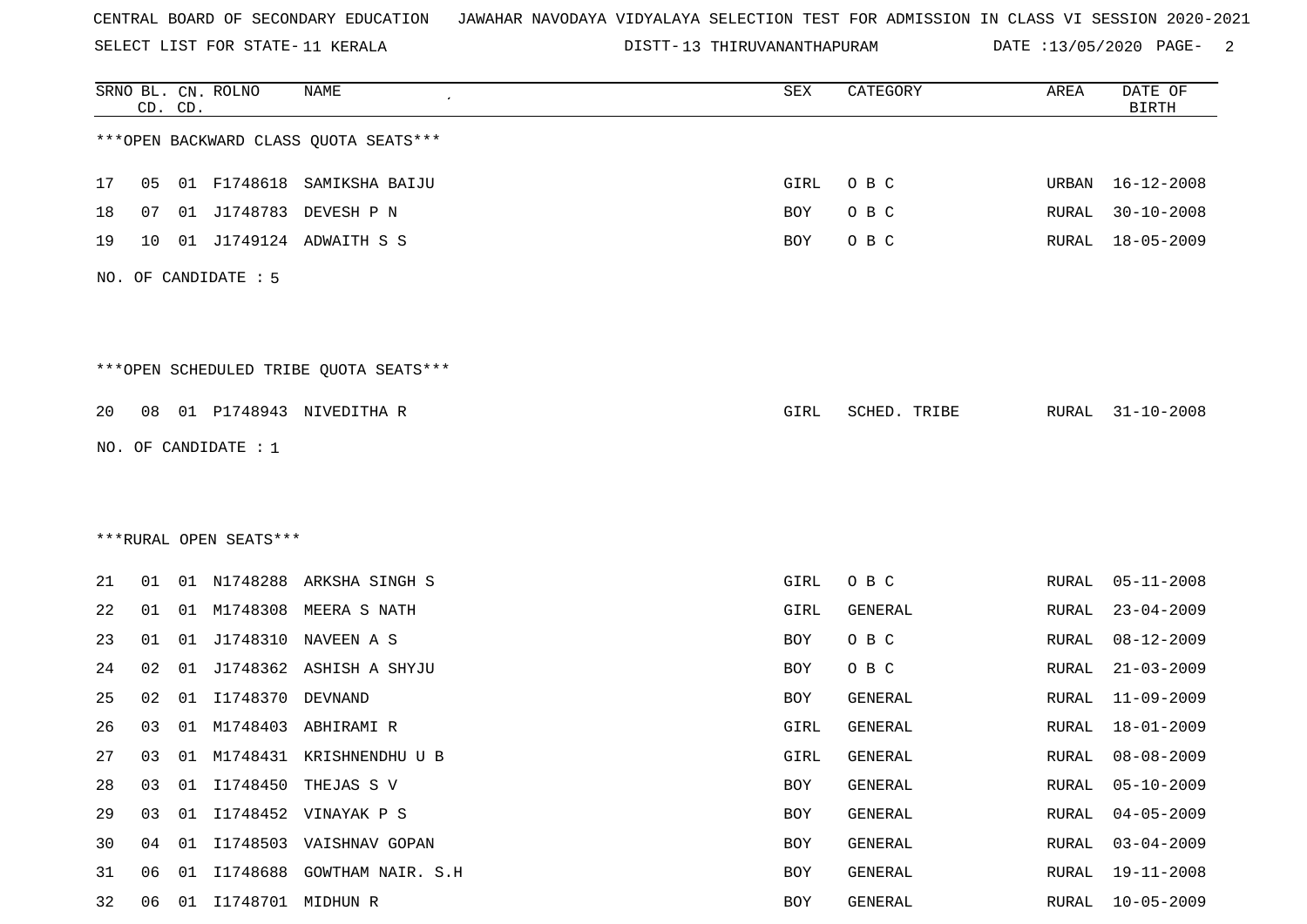SELECT LIST FOR STATE- DISTT- 11 KERALA

DISTT-13 THIRUVANANTHAPURAM DATE :13/05/2020 PAGE- 2

|    |    | CD. CD. | SRNO BL. CN. ROLNO     | <b>NAME</b>                            | SEX        | CATEGORY     | AREA  | DATE OF<br><b>BIRTH</b> |
|----|----|---------|------------------------|----------------------------------------|------------|--------------|-------|-------------------------|
|    |    |         |                        | *** OPEN BACKWARD CLASS QUOTA SEATS*** |            |              |       |                         |
| 17 | 05 |         |                        | 01 F1748618 SAMIKSHA BAIJU             | GIRL       | O B C        | URBAN | $16 - 12 - 2008$        |
| 18 | 07 |         | 01 J1748783            | DEVESH P N                             | BOY        | O B C        | RURAL | $30 - 10 - 2008$        |
| 19 | 10 |         |                        | 01 J1749124 ADWAITH S S                | BOY        | O B C        | RURAL | $18 - 05 - 2009$        |
|    |    |         | NO. OF CANDIDATE : 5   |                                        |            |              |       |                         |
|    |    |         |                        | ***OPEN SCHEDULED TRIBE QUOTA SEATS*** |            |              |       |                         |
| 20 | 08 |         |                        | 01 P1748943 NIVEDITHA R                | GIRL       | SCHED. TRIBE | RURAL | $31 - 10 - 2008$        |
|    |    |         | NO. OF CANDIDATE : 1   |                                        |            |              |       |                         |
|    |    |         |                        |                                        |            |              |       |                         |
|    |    |         |                        |                                        |            |              |       |                         |
|    |    |         | ***RURAL OPEN SEATS*** |                                        |            |              |       |                         |
| 21 | 01 |         | 01 N1748288            | ARKSHA SINGH S                         | GIRL       | O B C        | RURAL | $05 - 11 - 2008$        |
| 22 | 01 |         |                        | 01 M1748308 MEERA S NATH               | GIRL       | GENERAL      | RURAL | $23 - 04 - 2009$        |
| 23 | 01 | 01      | J1748310               | NAVEEN A S                             | BOY        | O B C        | RURAL | $08 - 12 - 2009$        |
| 24 | 02 | 01      | J1748362               | ASHISH A SHYJU                         | BOY        | O B C        | RURAL | $21 - 03 - 2009$        |
| 25 | 02 | 01      | I1748370               | DEVNAND                                | BOY        | GENERAL      | RURAL | $11 - 09 - 2009$        |
| 26 | 03 | 01      | M1748403               | ABHIRAMI R                             | GIRL       | GENERAL      | RURAL | $18 - 01 - 2009$        |
| 27 | 03 |         |                        | 01 M1748431 KRISHNENDHUU B             | GIRL       | GENERAL      | RURAL | $08 - 08 - 2009$        |
| 28 | 03 | 01      |                        | I1748450 THEJAS S V                    | <b>BOY</b> | GENERAL      | RURAL | $05 - 10 - 2009$        |
| 29 | 03 |         |                        | 01 I1748452 VINAYAK P S                | BOY        | GENERAL      | RURAL | $04 - 05 - 2009$        |
| 30 | 04 |         |                        | 01 I1748503 VAISHNAV GOPAN             | BOY        | GENERAL      | RURAL | $03 - 04 - 2009$        |
| 31 | 06 | 01      |                        | I1748688 GOWTHAM NAIR. S.H             | BOY        | GENERAL      | RURAL | $19 - 11 - 2008$        |
| 32 | 06 | 01      | 11748701 MIDHUN R      |                                        | BOY        | GENERAL      | RURAL | $10 - 05 - 2009$        |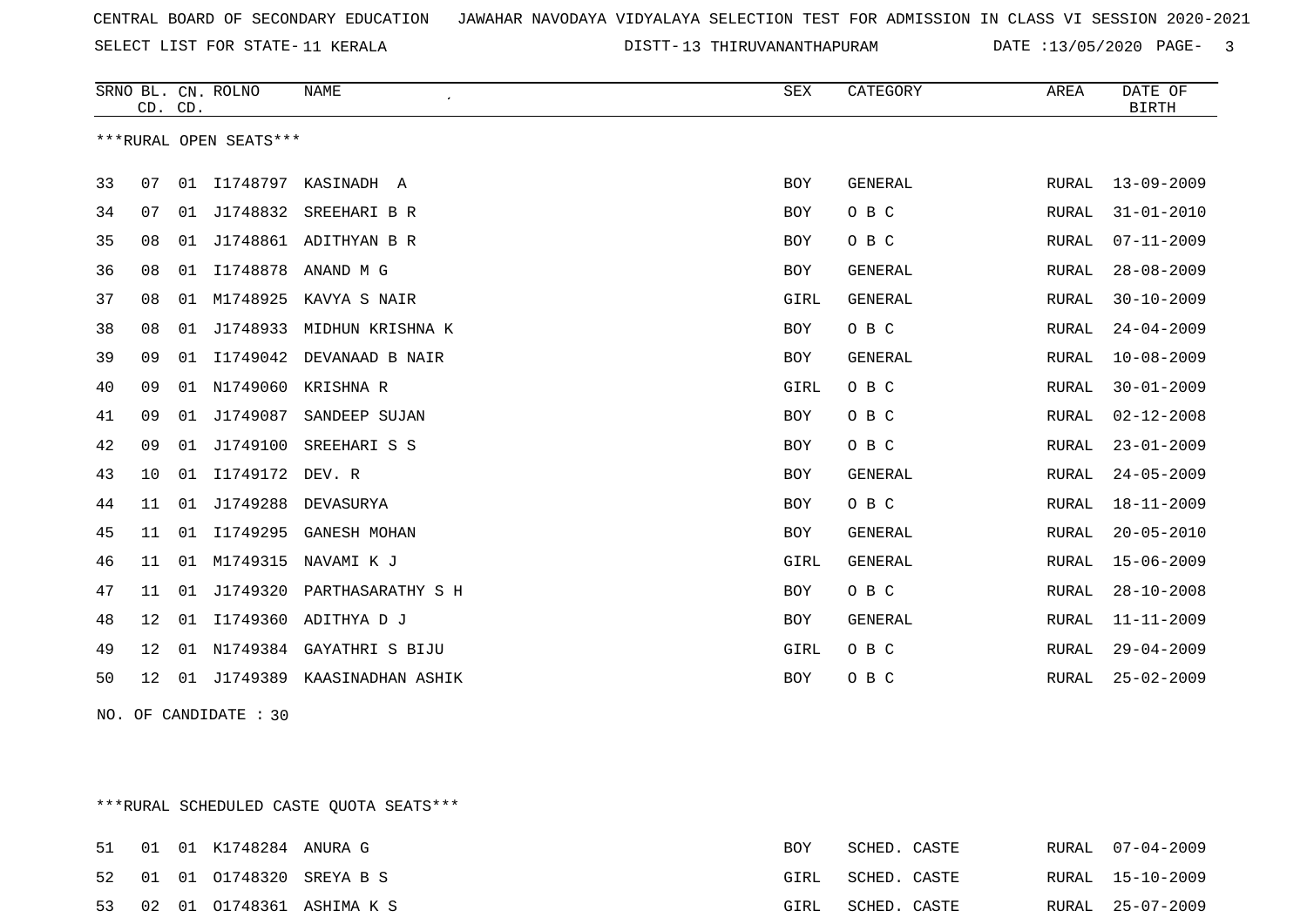SELECT LIST FOR STATE- DISTT- 11 KERALA

13 THIRUVANANTHAPURAM DATE :13/05/2020 PAGE- 3

|    | CD. CD. |    | SRNO BL. CN. ROLNO     | <b>NAME</b>                 | ${\tt SEX}$ | CATEGORY       | AREA  | DATE OF<br><b>BIRTH</b> |
|----|---------|----|------------------------|-----------------------------|-------------|----------------|-------|-------------------------|
|    |         |    | ***RURAL OPEN SEATS*** |                             |             |                |       |                         |
| 33 | 07      | 01 | I1748797               | KASINADH A                  | <b>BOY</b>  | <b>GENERAL</b> | RURAL | $13 - 09 - 2009$        |
| 34 | 07      | 01 | J1748832               | SREEHARI B R                | <b>BOY</b>  | O B C          | RURAL | $31 - 01 - 2010$        |
| 35 | 08      |    |                        | 01 J1748861 ADITHYAN B R    | <b>BOY</b>  | O B C          | RURAL | $07 - 11 - 2009$        |
| 36 | 08      | 01 | I1748878               | ANAND M G                   | <b>BOY</b>  | GENERAL        | RURAL | $28 - 08 - 2009$        |
| 37 | 08      | 01 | M1748925               | KAVYA S NAIR                | GIRL        | <b>GENERAL</b> | RURAL | $30 - 10 - 2009$        |
| 38 | 08      | 01 | J1748933               | MIDHUN KRISHNA K            | <b>BOY</b>  | O B C          | RURAL | $24 - 04 - 2009$        |
| 39 | 09      |    |                        | 01 I1749042 DEVANAAD B NAIR | <b>BOY</b>  | GENERAL        | RURAL | $10 - 08 - 2009$        |
| 40 | 09      | 01 | N1749060               | KRISHNA R                   | GIRL        | O B C          | RURAL | $30 - 01 - 2009$        |
| 41 | 09      |    | 01 J1749087            | SANDEEP SUJAN               | <b>BOY</b>  | O B C          | RURAL | $02 - 12 - 2008$        |
| 42 | 09      | 01 | J1749100               | SREEHARI S S                | <b>BOY</b>  | O B C          | RURAL | $23 - 01 - 2009$        |
| 43 | 10      |    | 01 I1749172 DEV. R     |                             | <b>BOY</b>  | GENERAL        | RURAL | $24 - 05 - 2009$        |
| 44 | 11      | 01 | J1749288               | DEVASURYA                   | <b>BOY</b>  | O B C          | RURAL | $18 - 11 - 2009$        |
| 45 | 11      | 01 | I1749295               | <b>GANESH MOHAN</b>         | <b>BOY</b>  | GENERAL        | RURAL | $20 - 05 - 2010$        |
| 46 | 11      | 01 | M1749315               | NAVAMI K J                  | GIRL        | GENERAL        | RURAL | $15 - 06 - 2009$        |
| 47 | 11      | 01 | J1749320               | PARTHASARATHY S H           | BOY         | O B C          | RURAL | $28 - 10 - 2008$        |
| 48 | 12      | 01 | I1749360               | ADITHYA D J                 | <b>BOY</b>  | GENERAL        | RURAL | $11 - 11 - 2009$        |
| 49 | 12      | 01 | N1749384               | GAYATHRI S BIJU             | GIRL        | O B C          | RURAL | $29 - 04 - 2009$        |
| 50 | 12      | 01 | J1749389               | KAASINADHAN ASHIK           | <b>BOY</b>  | O B C          | RURAL | $25 - 02 - 2009$        |

NO. OF CANDIDATE : 30

\*\*\*RURAL SCHEDULED CASTE QUOTA SEATS\*\*\*

|  | 51 01 01 K1748284 ANURA G |                              | BOY  | SCHED. CASTE |  | RURAL 07-04-2009 |
|--|---------------------------|------------------------------|------|--------------|--|------------------|
|  |                           | 52 01 01 01748320 SREYA B S  | GIRL | SCHED. CASTE |  | RURAL 15-10-2009 |
|  |                           | 53 02 01 01748361 ASHIMA K S | GIRL | SCHED. CASTE |  | RURAL 25-07-2009 |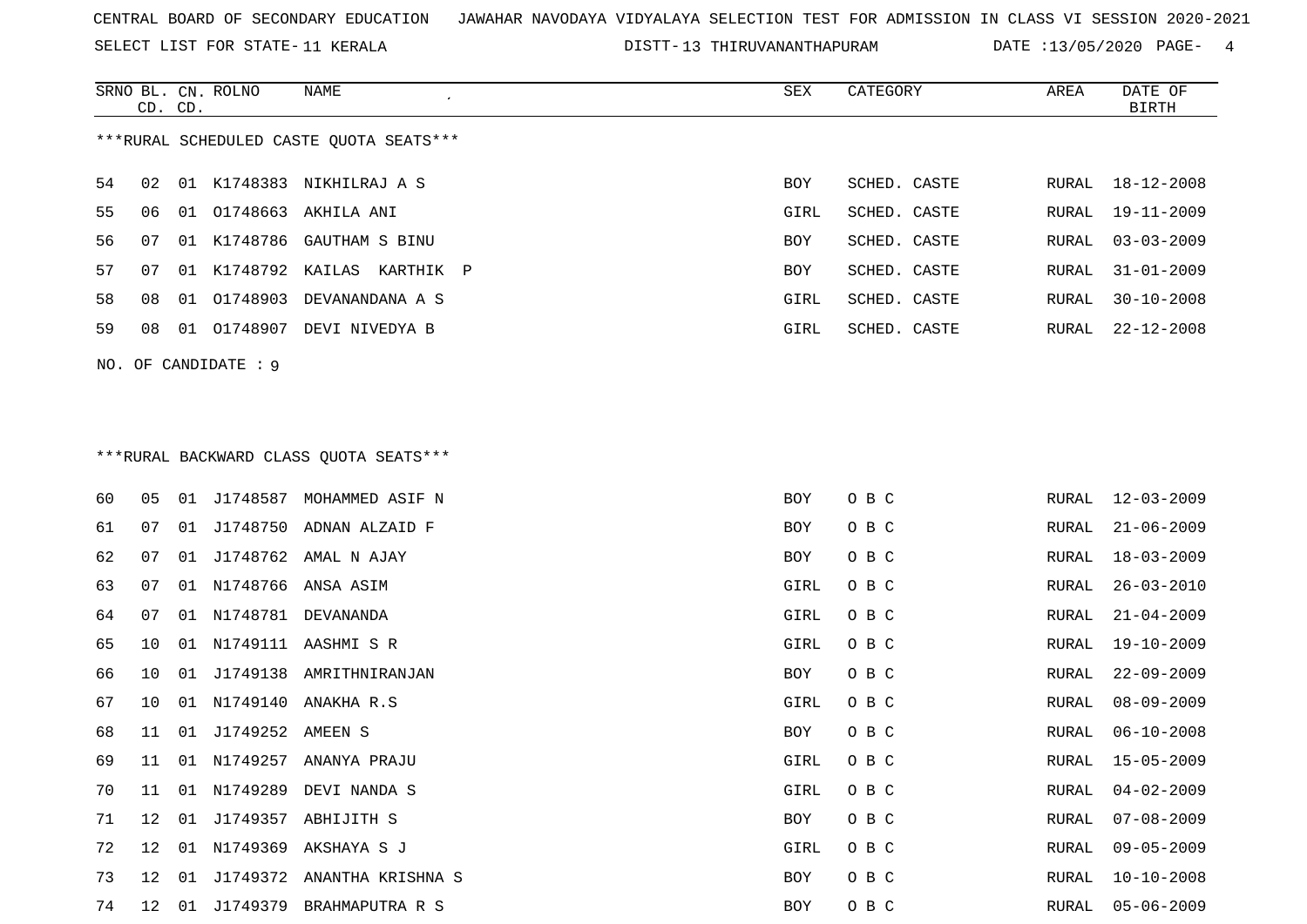SELECT LIST FOR STATE- DISTT- 11 KERALA

13 THIRUVANANTHAPURAM DATE :13/05/2020 PAGE- 4

|    | CD. CD. |    | SRNO BL. CN. ROLNO   | NAME                                    | SEX        | CATEGORY     | AREA  | DATE OF<br><b>BIRTH</b> |
|----|---------|----|----------------------|-----------------------------------------|------------|--------------|-------|-------------------------|
|    |         |    |                      | ***RURAL SCHEDULED CASTE QUOTA SEATS*** |            |              |       |                         |
| 54 | 02      |    |                      | 01 K1748383 NIKHILRAJ A S               | BOY        | SCHED. CASTE | RURAL | 18-12-2008              |
| 55 | 06      |    |                      | 01 01748663 AKHILA ANI                  | GIRL       | SCHED. CASTE | RURAL | $19 - 11 - 2009$        |
| 56 | 07      |    | 01 K1748786          | GAUTHAM S BINU                          | BOY        | SCHED. CASTE | RURAL | $03 - 03 - 2009$        |
| 57 | 07      | 01 |                      | K1748792 KAILAS KARTHIK P               | BOY        | SCHED. CASTE | RURAL | $31 - 01 - 2009$        |
| 58 | 08      | 01 | 01748903             | DEVANANDANA A S                         | GIRL       | SCHED. CASTE | RURAL | $30 - 10 - 2008$        |
| 59 | 08      |    |                      | 01 01748907 DEVI NIVEDYA B              | GIRL       | SCHED. CASTE | RURAL | $22 - 12 - 2008$        |
|    |         |    | NO. OF CANDIDATE : 9 |                                         |            |              |       |                         |
|    |         |    |                      |                                         |            |              |       |                         |
|    |         |    |                      |                                         |            |              |       |                         |
|    |         |    |                      | *** RURAL BACKWARD CLASS QUOTA SEATS*** |            |              |       |                         |
| 60 | 05      |    |                      | 01 J1748587 MOHAMMED ASIF N             | BOY        | O B C        | RURAL | $12 - 03 - 2009$        |
| 61 | 07      |    |                      | 01 J1748750 ADNAN ALZAID F              | BOY        | O B C        | RURAL | $21 - 06 - 2009$        |
| 62 | 07      |    |                      | 01 J1748762 AMAL N AJAY                 | BOY        | O B C        | RURAL | $18 - 03 - 2009$        |
| 63 | 07      | 01 |                      | N1748766 ANSA ASIM                      | GIRL       | O B C        | RURAL | $26 - 03 - 2010$        |
| 64 | 07      | 01 | N1748781             | DEVANANDA                               | GIRL       | O B C        | RURAL | $21 - 04 - 2009$        |
| 65 | 10      | 01 |                      | N1749111 AASHMI S R                     | GIRL       | O B C        | RURAL | $19 - 10 - 2009$        |
| 66 | 10      |    |                      | 01 J1749138 AMRITHNIRANJAN              | BOY        | O B C        | RURAL | $22 - 09 - 2009$        |
| 67 | 10      | 01 |                      | N1749140 ANAKHA R.S                     | GIRL       | O B C        | RURAL | $08 - 09 - 2009$        |
| 68 | 11      | 01 | J1749252 AMEEN S     |                                         | BOY        | O B C        | RURAL | $06 - 10 - 2008$        |
| 69 | 11      |    |                      | 01 N1749257 ANANYA PRAJU                | GIRL       | O B C        | RURAL | $15 - 05 - 2009$        |
| 70 | 11      |    |                      | 01 N1749289 DEVI NANDA S                | GIRL       | овс          | RURAL | $04 - 02 - 2009$        |
| 71 | 12      |    |                      | 01 J1749357 ABHIJITH S                  | <b>BOY</b> | O B C        | RURAL | $07 - 08 - 2009$        |
| 72 | 12      |    |                      | 01 N1749369 AKSHAYA S J                 | GIRL       | O B C        | RURAL | $09 - 05 - 2009$        |
| 73 | 12      |    |                      | 01 J1749372 ANANTHA KRISHNA S           | BOY        | O B C        | RURAL | $10 - 10 - 2008$        |
| 74 |         |    |                      | 12 01 J1749379 BRAHMAPUTRA R S          | BOY        | O B C        |       | RURAL 05-06-2009        |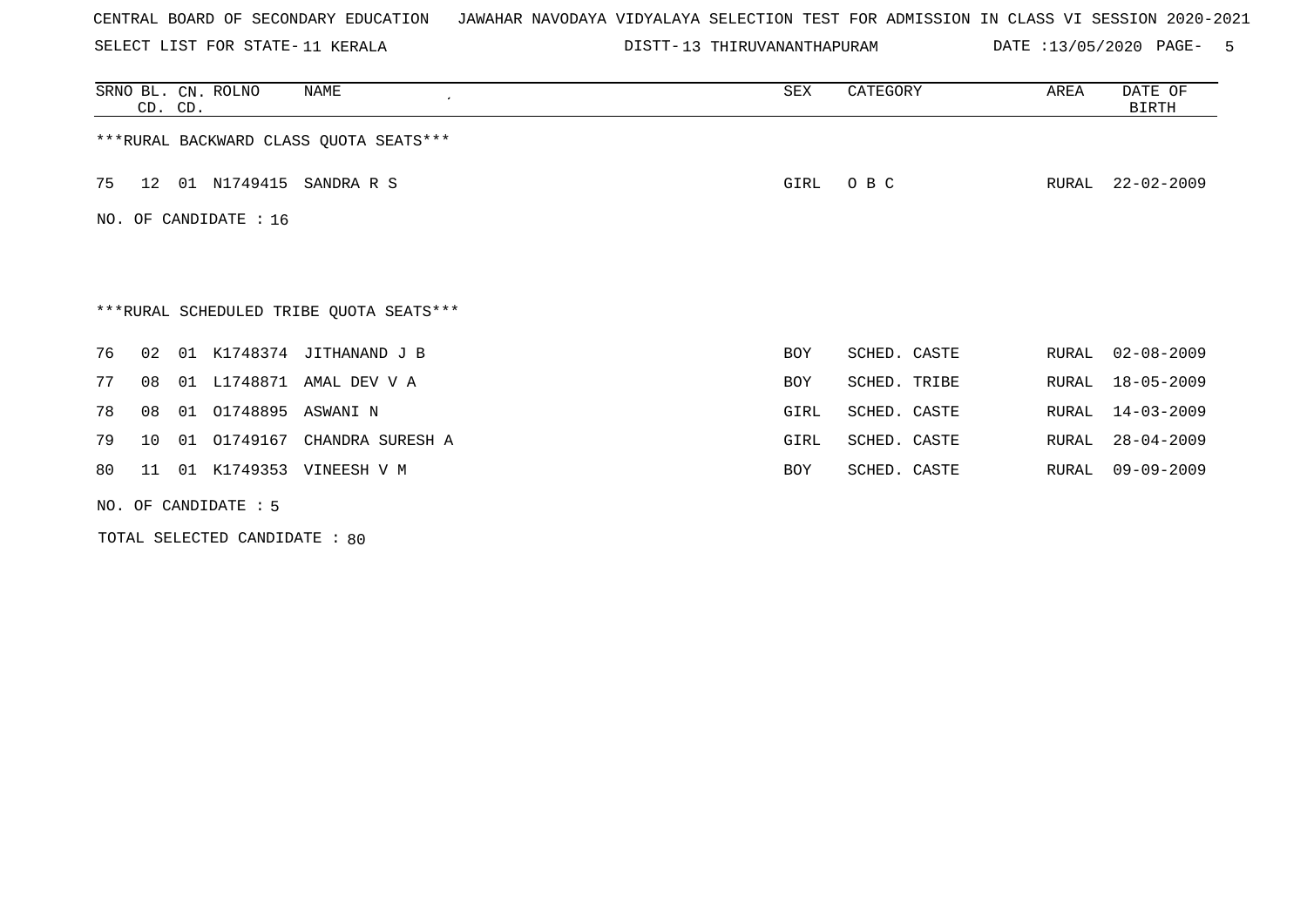SELECT LIST FOR STATE- DISTT- 11 KERALA

DISTT-13 THIRUVANANTHAPURAM DATE :13/05/2020 PAGE- 5

|    | CD. CD.                 |    | SRNO BL. CN. ROLNO   | NAME                                    | SEX  | CATEGORY     | AREA  | DATE OF<br>BIRTH |  |  |
|----|-------------------------|----|----------------------|-----------------------------------------|------|--------------|-------|------------------|--|--|
|    |                         |    |                      | *** RURAL BACKWARD CLASS QUOTA SEATS*** |      |              |       |                  |  |  |
| 75 | 12 <sup>1</sup>         |    | 01 N1749415          | SANDRA R S                              | GIRL | O B C        | RURAL | $22 - 02 - 2009$ |  |  |
|    | NO. OF CANDIDATE : $16$ |    |                      |                                         |      |              |       |                  |  |  |
|    |                         |    |                      |                                         |      |              |       |                  |  |  |
|    |                         |    |                      | ***RURAL SCHEDULED TRIBE QUOTA SEATS*** |      |              |       |                  |  |  |
| 76 | 02                      | 01 |                      | K1748374 JITHANAND J B                  | BOY  | SCHED. CASTE | RURAL | $02 - 08 - 2009$ |  |  |
| 77 | 08                      |    |                      | 01 L1748871 AMAL DEV V A                | BOY  | SCHED. TRIBE | RURAL | $18 - 05 - 2009$ |  |  |
| 78 | 08                      |    | 01 01748895 ASWANI N |                                         | GIRL | SCHED. CASTE | RURAL | $14 - 03 - 2009$ |  |  |
| 79 | 10                      |    | 01 01749167          | CHANDRA SURESH A                        | GIRL | SCHED. CASTE | RURAL | $28 - 04 - 2009$ |  |  |
| 80 | 11                      |    |                      | 01 K1749353 VINEESH V M                 | BOY  | SCHED. CASTE | RURAL | $09 - 09 - 2009$ |  |  |
|    |                         |    | NO. OF CANDIDATE : 5 |                                         |      |              |       |                  |  |  |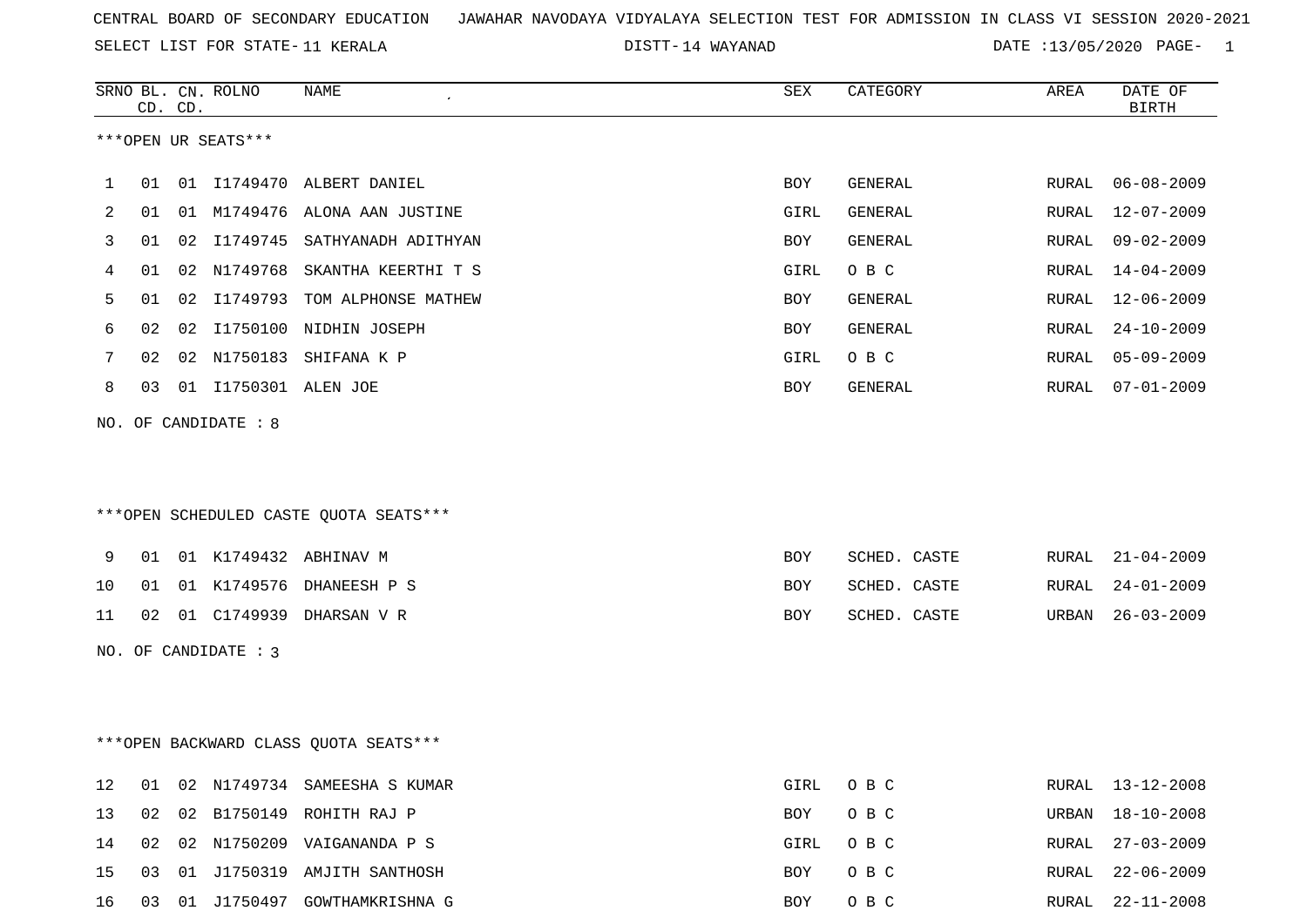SELECT LIST FOR STATE- DISTT- 11 KERALA

DISTT-14 WAYANAD **DATE** :13/05/2020 PAGE- 1

|         |    | CD. CD. | SRNO BL. CN. ROLNO   | NAME                                   | SEX        | CATEGORY       | AREA  | DATE OF<br>BIRTH |
|---------|----|---------|----------------------|----------------------------------------|------------|----------------|-------|------------------|
|         |    |         | ***OPEN UR SEATS***  |                                        |            |                |       |                  |
| 1       | 01 |         |                      | 01 I1749470 ALBERT DANIEL              | BOY        | GENERAL        | RURAL | $06 - 08 - 2009$ |
| 2       | 01 |         |                      | 01 M1749476 ALONA AAN JUSTINE          | GIRL       | GENERAL        | RURAL | $12 - 07 - 2009$ |
| 3       | 01 | 02      | I1749745             | SATHYANADH ADITHYAN                    | <b>BOY</b> | <b>GENERAL</b> | RURAL | $09 - 02 - 2009$ |
| 4       | 01 | 02      | N1749768             | SKANTHA KEERTHI T S                    | GIRL       | O B C          | RURAL | $14 - 04 - 2009$ |
| 5       | 01 | 02      |                      | I1749793 TOM ALPHONSE MATHEW           | <b>BOY</b> | GENERAL        | RURAL | $12 - 06 - 2009$ |
| 6       | 02 | 02      | I1750100             | NIDHIN JOSEPH                          | <b>BOY</b> | GENERAL        | RURAL | $24 - 10 - 2009$ |
| 7       | 02 | 02      | N1750183             | SHIFANA K P                            | GIRL       | O B C          | RURAL | $05 - 09 - 2009$ |
| 8       | 03 | 01      | I1750301 ALEN JOE    |                                        | BOY        | GENERAL        | RURAL | $07 - 01 - 2009$ |
|         |    |         | NO. OF CANDIDATE : 8 | ***OPEN SCHEDULED CASTE OUOTA SEATS*** |            |                |       |                  |
| 9       | 01 |         |                      | 01 K1749432 ABHINAV M                  | BOY        | SCHED. CASTE   | RURAL | 21-04-2009       |
| $10 \,$ | 01 |         |                      | 01 K1749576 DHANEESH P S               | <b>BOY</b> | SCHED. CASTE   | RURAL | $24 - 01 - 2009$ |
| 11      | 02 |         |                      | 01 C1749939 DHARSAN V R                | BOY        | SCHED. CASTE   | URBAN | $26 - 03 - 2009$ |
|         |    |         | NO. OF CANDIDATE : 3 |                                        |            |                |       |                  |
|         |    |         |                      | *** OPEN BACKWARD CLASS QUOTA SEATS*** |            |                |       |                  |
| $12$    | 01 |         |                      | 02 N1749734 SAMEESHA S KUMAR           | GIRL       | O B C          | RURAL | 13-12-2008       |
| 13      | 02 | 02      |                      | B1750149 ROHITH RAJ P                  | BOY        | O B C          | URBAN | $18 - 10 - 2008$ |
| 14      |    |         |                      | 02 02 N1750209 VAIGANANDA P S          | GIRL       | O B C          | RURAL | $27 - 03 - 2009$ |

15 03 01 J1750319 AMJITH SANTHOSH BOY O B C RURAL 22-06-2009 16 03 01 J1750497 GOWTHAMKRISHNA G BOY O B C RURAL 22-11-2008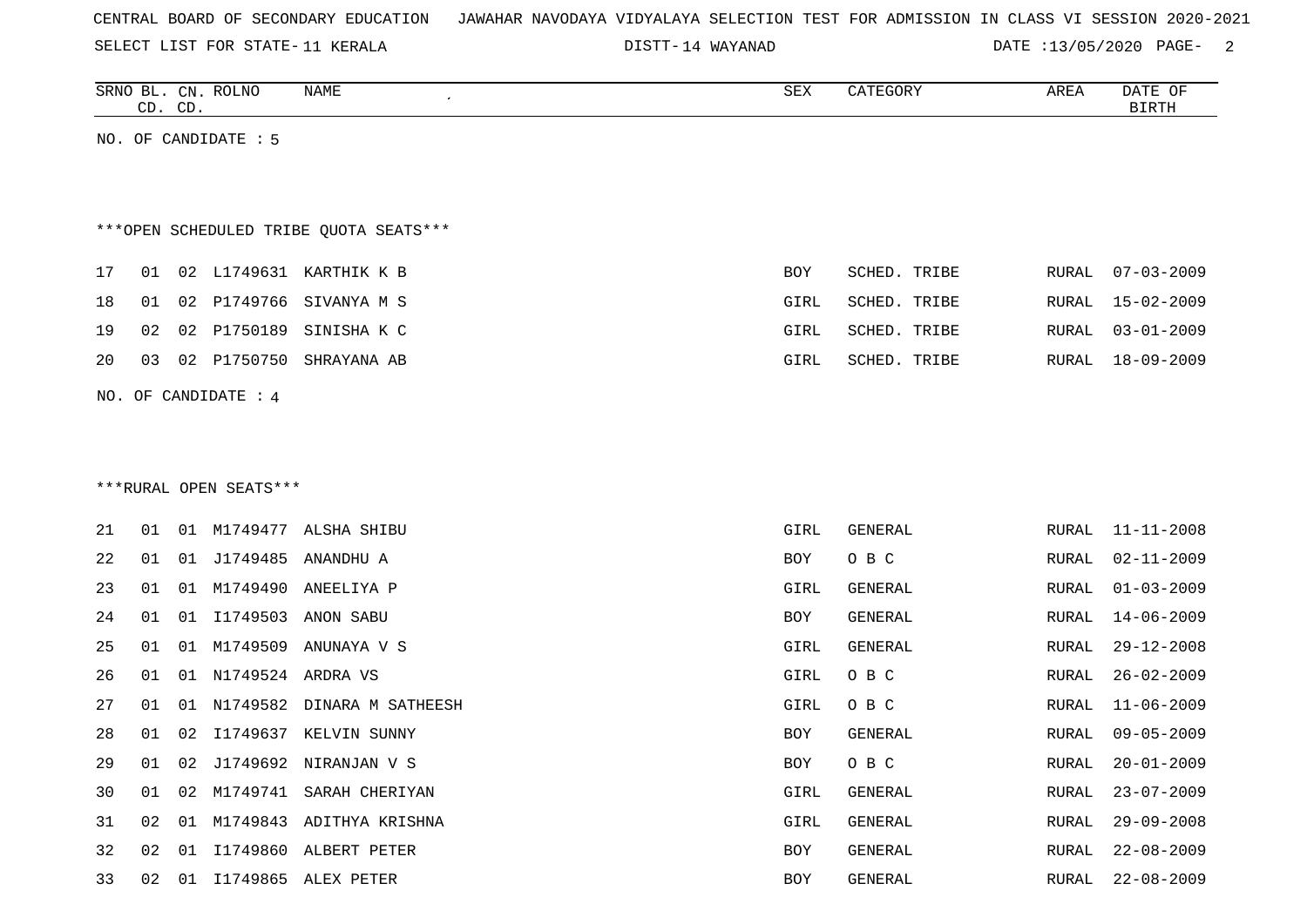| CENTRAL BOARD OF SECONDARY EDUCATION – JAWAHAR NAVODAYA VIDYALAYA SELECTION TEST FOR ADMISSION IN CLASS VI SESSION 2020-2021 |  |  |  |
|------------------------------------------------------------------------------------------------------------------------------|--|--|--|
|------------------------------------------------------------------------------------------------------------------------------|--|--|--|

DISTT-14 WAYANAD DATE :13/05/2020 PAGE- 2

| SRNO<br>. …        | CN             | <b>ROLNO</b><br>NAME | O TIN<br>つロマ | $\mathcal{L}$<br>GUR. | AREA | DATE<br>$\sim$ $\sim$<br>OF. |
|--------------------|----------------|----------------------|--------------|-----------------------|------|------------------------------|
| $\sim$ $\sim$<br>س | $\cap$ T<br>ىب |                      |              |                       |      |                              |

NO. OF CANDIDATE : 5

# \*\*\*OPEN SCHEDULED TRIBE QUOTA SEATS\*\*\*

|  |  | 17 01 02 L1749631 KARTHIK K B | BOY  | SCHED. TRIBE |  | RURAL 07-03-2009 |
|--|--|-------------------------------|------|--------------|--|------------------|
|  |  | 18 01 02 P1749766 SIVANYA M S | GIRL | SCHED. TRIBE |  | RURAL 15-02-2009 |
|  |  | 19 02 02 P1750189 SINISHAK C  | GIRL | SCHED. TRIBE |  | RURAL 03-01-2009 |
|  |  | 20 03 02 P1750750 SHRAYANA AB | GIRL | SCHED. TRIBE |  | RURAL 18-09-2009 |
|  |  |                               |      |              |  |                  |

NO. OF CANDIDATE : 4

#### \*\*\*RURAL OPEN SEATS\*\*\*

| 21 | 01    | 01 | M1749477 | ALSHA SHIBU                | GIRL | GENERAL |       | RURAL 11-11-2008 |
|----|-------|----|----------|----------------------------|------|---------|-------|------------------|
| 22 | 01    | 01 | J1749485 | ANANDHU A                  | BOY  | O B C   | RURAL | 02-11-2009       |
| 23 | 01    | 01 | M1749490 | ANEELIYA P                 | GIRL | GENERAL | RURAL | $01 - 03 - 2009$ |
| 24 | 01    | 01 | I1749503 | ANON SABU                  | BOY  | GENERAL | RURAL | 14-06-2009       |
| 25 | 01    | 01 | M1749509 | ANUNAYA V S                | GIRL | GENERAL | RURAL | $29 - 12 - 2008$ |
| 26 | 01    | 01 | N1749524 | ARDRA VS                   | GIRL | O B C   | RURAL | $26 - 02 - 2009$ |
| 27 | 01    | 01 |          | N1749582 DINARA M SATHEESH | GIRL | O B C   | RURAL | 11-06-2009       |
| 28 | 01    | 02 |          | I1749637 KELVIN SUNNY      | BOY  | GENERAL | RURAL | $09 - 05 - 2009$ |
| 29 | 01    | 02 |          | J1749692 NIRANJAN V S      | BOY  | O B C   | RURAL | $20 - 01 - 2009$ |
| 30 | 01    | 02 | M1749741 | SARAH CHERIYAN             | GIRL | GENERAL | RURAL | $23 - 07 - 2009$ |
| 31 | 02    | 01 | M1749843 | ADITHYA KRISHNA            | GIRL | GENERAL | RURAL | $29 - 09 - 2008$ |
| 32 | 02    | 01 | I1749860 | ALBERT PETER               | BOY  | GENERAL | RURAL | $22 - 08 - 2009$ |
| 33 | 02 01 |    | I1749865 | ALEX PETER                 | BOY  | GENERAL |       | RURAL 22-08-2009 |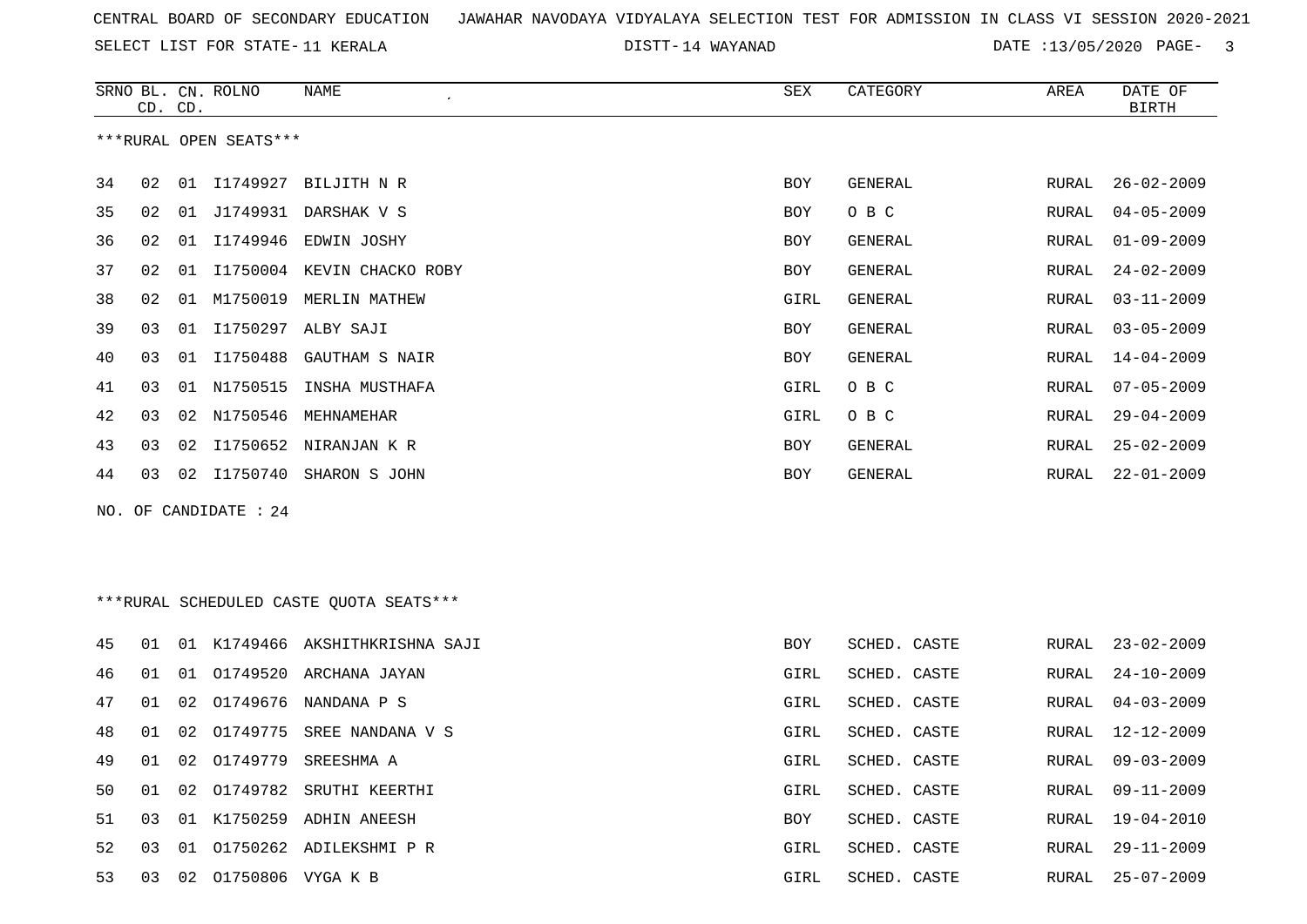14 WAYANAD DATE :13/05/2020 PAGE- 3

|    |    | CD. CD. | SRNO BL. CN. ROLNO     | NAME<br>$\epsilon$                      | SEX        | CATEGORY       | AREA         | DATE OF<br><b>BIRTH</b> |
|----|----|---------|------------------------|-----------------------------------------|------------|----------------|--------------|-------------------------|
|    |    |         | ***RURAL OPEN SEATS*** |                                         |            |                |              |                         |
| 34 | 02 |         |                        | 01 I1749927 BILJITH N R                 | <b>BOY</b> | <b>GENERAL</b> | <b>RURAL</b> | $26 - 02 - 2009$        |
| 35 | 02 |         |                        | 01 J1749931 DARSHAK V S                 | <b>BOY</b> | O B C          | <b>RURAL</b> | $04 - 05 - 2009$        |
| 36 | 02 | 01      |                        | I1749946 EDWIN JOSHY                    | BOY        | GENERAL        | RURAL        | $01 - 09 - 2009$        |
| 37 | 02 | 01      |                        | I1750004 KEVIN CHACKO ROBY              | <b>BOY</b> | GENERAL        | RURAL        | $24 - 02 - 2009$        |
| 38 | 02 |         |                        | 01 M1750019 MERLIN MATHEW               | GIRL       | <b>GENERAL</b> | RURAL        | $03 - 11 - 2009$        |
| 39 | 03 |         |                        | 01 I1750297 ALBY SAJI                   | <b>BOY</b> | GENERAL        | RURAL        | $03 - 05 - 2009$        |
| 40 | 03 |         | 01 11750488            | GAUTHAM S NAIR                          | <b>BOY</b> | GENERAL        | <b>RURAL</b> | $14 - 04 - 2009$        |
| 41 | 03 |         | 01 N1750515            | INSHA MUSTHAFA                          | GIRL       | O B C          | RURAL        | $07 - 05 - 2009$        |
| 42 | 03 | 02      |                        | N1750546 MEHNAMEHAR                     | GIRL       | O B C          | RURAL        | $29 - 04 - 2009$        |
| 43 | 03 | 02      |                        | I1750652 NIRANJAN K R                   | BOY        | GENERAL        | RURAL        | $25 - 02 - 2009$        |
| 44 | 03 |         |                        | 02 I1750740 SHARON S JOHN               | BOY        | <b>GENERAL</b> | RURAL        | $22 - 01 - 2009$        |
|    |    |         | NO. OF CANDIDATE : 24  |                                         |            |                |              |                         |
|    |    |         |                        |                                         |            |                |              |                         |
|    |    |         |                        |                                         |            |                |              |                         |
|    |    |         |                        | ***RURAL SCHEDULED CASTE QUOTA SEATS*** |            |                |              |                         |
| 45 | 01 |         |                        | 01 K1749466 AKSHITHKRISHNA SAJI         | BOY        | SCHED. CASTE   | RURAL        | $23 - 02 - 2009$        |
| 46 | 01 | 01      |                        | 01749520 ARCHANA JAYAN                  | GIRL       | SCHED. CASTE   | RURAL        | $24 - 10 - 2009$        |
| 47 | 01 | 02      |                        | O1749676 NANDANA P S                    | GIRL       | SCHED. CASTE   | <b>RURAL</b> | $04 - 03 - 2009$        |
| 48 | 01 | 02      | 01749775               | SREE NANDANA V S                        | GIRL       | SCHED. CASTE   | RURAL        | $12 - 12 - 2009$        |
| 49 | 01 | 02      | 01749779               | SREESHMA A                              | GIRL       | SCHED. CASTE   | RURAL        | $09 - 03 - 2009$        |
| 50 | 01 | 02      | 01749782               | SRUTHI KEERTHI                          | GIRL       | SCHED. CASTE   | <b>RURAL</b> | $09 - 11 - 2009$        |
| 51 | 03 | 01      |                        | K1750259 ADHIN ANEESH                   | BOY        | SCHED. CASTE   | RURAL        | 19-04-2010              |
| 52 | 03 |         |                        | 01 01750262 ADILEKSHMI P R              | GIRL       | SCHED. CASTE   | <b>RURAL</b> | $29 - 11 - 2009$        |

03 02 O1750806 VYGA K B GIRL SCHED. CASTE RURAL 25-07-2009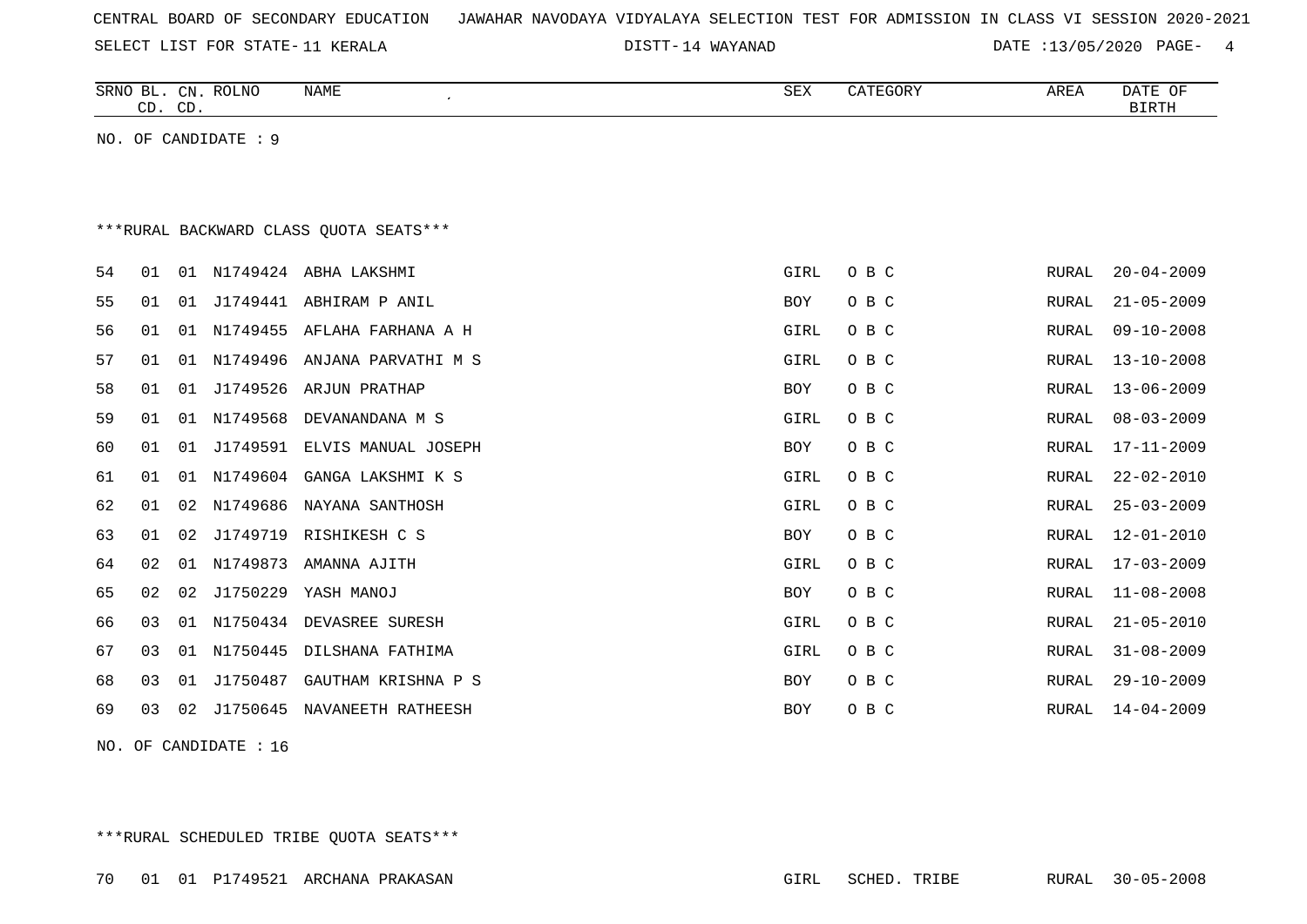| CENTRAL BOARD OF SECONDARY EDUCATION – JAWAHAR NAVODAYA VIDYALAYA SELECTION TEST FOR ADMISSION IN CLASS VI SESSION 2020-2021 |  |  |  |  |  |  |  |  |  |  |  |
|------------------------------------------------------------------------------------------------------------------------------|--|--|--|--|--|--|--|--|--|--|--|
|------------------------------------------------------------------------------------------------------------------------------|--|--|--|--|--|--|--|--|--|--|--|

DISTT-14 WAYANAD **DATE** :13/05/2020 PAGE- 4

|    | CD. CD. |    | SRNO BL. CN. ROLNO   | <b>NAME</b>                            | <b>SEX</b> | CATEGORY | AREA         | DATE OF<br><b>BIRTH</b> |
|----|---------|----|----------------------|----------------------------------------|------------|----------|--------------|-------------------------|
|    |         |    | NO. OF CANDIDATE : 9 |                                        |            |          |              |                         |
|    |         |    |                      |                                        |            |          |              |                         |
|    |         |    |                      |                                        |            |          |              |                         |
|    |         |    |                      | ***RURAL BACKWARD CLASS OUOTA SEATS*** |            |          |              |                         |
| 54 | 01      |    |                      | 01 N1749424 ABHA LAKSHMI               | GIRL       | O B C    | RURAL        | $20 - 04 - 2009$        |
| 55 | 01      | 01 |                      | J1749441 ABHIRAM P ANIL                | BOY        | O B C    | RURAL        | $21 - 05 - 2009$        |
| 56 | 01      | 01 |                      | N1749455 AFLAHA FARHANA A H            | GIRL       | O B C    | RURAL        | $09 - 10 - 2008$        |
| 57 | 01      | 01 | N1749496             | ANJANA PARVATHI M S                    | GIRL       | O B C    | RURAL        | $13 - 10 - 2008$        |
| 58 | 01      | 01 | J1749526             | ARJUN PRATHAP                          | BOY        | O B C    | RURAL        | $13 - 06 - 2009$        |
| 59 | 01      | 01 | N1749568             | DEVANANDANA M S                        | GIRL       | O B C    | RURAL        | $08 - 03 - 2009$        |
| 60 | 01      | 01 | J1749591             | ELVIS MANUAL JOSEPH                    | BOY        | O B C    | RURAL        | $17 - 11 - 2009$        |
| 61 | 01      | 01 | N1749604             | GANGA LAKSHMI K S                      | GIRL       | O B C    | RURAL        | $22 - 02 - 2010$        |
| 62 | 01      | 02 | N1749686             | NAYANA SANTHOSH                        | GIRL       | O B C    | RURAL        | $25 - 03 - 2009$        |
| 63 | 01      | 02 | J1749719             | RISHIKESH C S                          | <b>BOY</b> | O B C    | RURAL        | $12 - 01 - 2010$        |
| 64 | 02      | 01 | N1749873             | AMANNA AJITH                           | GIRL       | O B C    | RURAL        | $17 - 03 - 2009$        |
| 65 | 02      | 02 | J1750229             | YASH MANOJ                             | <b>BOY</b> | O B C    | <b>RURAL</b> | $11 - 08 - 2008$        |
| 66 | 03      | 01 |                      | N1750434 DEVASREE SURESH               | GIRL       | O B C    | RURAL        | $21 - 05 - 2010$        |
| 67 | 03      | 01 | N1750445             | DILSHANA FATHIMA                       | GIRL       | O B C    | RURAL        | $31 - 08 - 2009$        |
| 68 | 03      | 01 |                      | J1750487 GAUTHAM KRISHNA P S           | BOY        | O B C    | RURAL        | $29 - 10 - 2009$        |
| 69 | 03      | 02 |                      | J1750645 NAVANEETH RATHEESH            | BOY        | O B C    | RURAL        | $14 - 04 - 2009$        |

NO. OF CANDIDATE : 16

\*\*\*RURAL SCHEDULED TRIBE QUOTA SEATS\*\*\*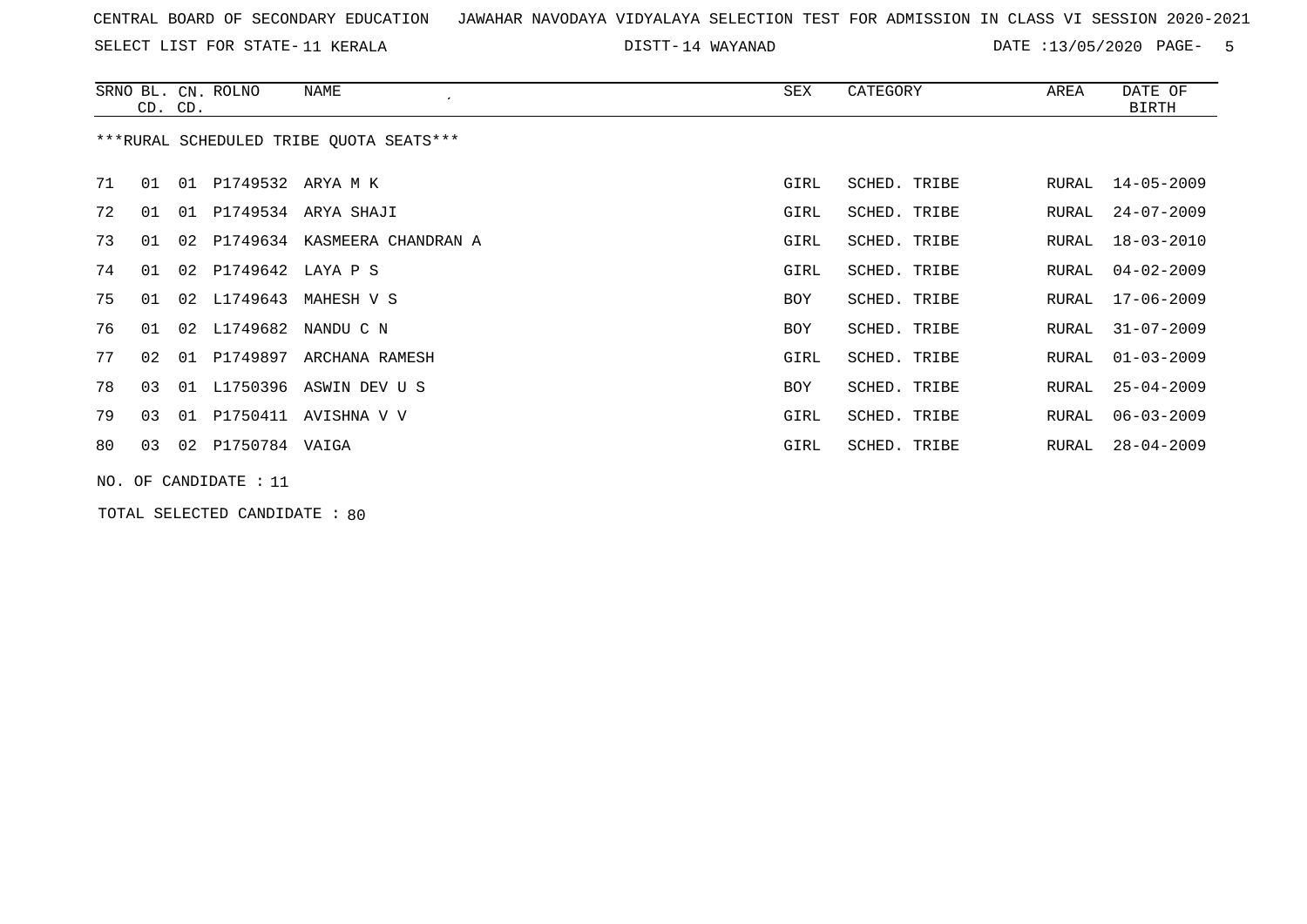SELECT LIST FOR STATE- DISTT- 11 KERALA

14 WAYANAD DATE :13/05/2020 PAGE- 5

|    | CD. CD.                                 |  | SRNO BL. CN. ROLNO    | NAME                            | SEX        | CATEGORY     | AREA  | DATE OF<br><b>BIRTH</b> |  |  |  |
|----|-----------------------------------------|--|-----------------------|---------------------------------|------------|--------------|-------|-------------------------|--|--|--|
|    | ***RURAL SCHEDULED TRIBE OUOTA SEATS*** |  |                       |                                 |            |              |       |                         |  |  |  |
| 71 | 01                                      |  | 01 P1749532 ARYA M K  |                                 | GIRL       | SCHED. TRIBE | RURAL | 14-05-2009              |  |  |  |
| 72 | 01                                      |  |                       | 01 P1749534 ARYA SHAJI          | GIRL       | SCHED. TRIBE | RURAL | $24 - 07 - 2009$        |  |  |  |
| 73 | 01                                      |  |                       | 02 P1749634 KASMEERA CHANDRAN A | GIRL       | SCHED. TRIBE | RURAL | $18 - 03 - 2010$        |  |  |  |
| 74 | 01                                      |  | 02 P1749642 LAYA P S  |                                 | GIRL       | SCHED. TRIBE | RURAL | $04 - 02 - 2009$        |  |  |  |
| 75 | 01                                      |  | 02 L1749643           | MAHESH V S                      | <b>BOY</b> | SCHED. TRIBE | RURAL | $17 - 06 - 2009$        |  |  |  |
| 76 | 01                                      |  |                       | 02 L1749682 NANDU C N           | BOY        | SCHED. TRIBE | RURAL | $31 - 07 - 2009$        |  |  |  |
| 77 | 02                                      |  | 01 P1749897           | ARCHANA RAMESH                  | GIRL       | SCHED. TRIBE | RURAL | $01 - 03 - 2009$        |  |  |  |
| 78 | 03                                      |  |                       | 01 L1750396 ASWIN DEV U S       | BOY        | SCHED. TRIBE | RURAL | $25 - 04 - 2009$        |  |  |  |
| 79 | 03                                      |  |                       | 01 P1750411 AVISHNA V V         | GIRL       | SCHED. TRIBE | RURAL | $06 - 03 - 2009$        |  |  |  |
| 80 | 03                                      |  | 02 P1750784 VAIGA     |                                 | GIRL       | SCHED. TRIBE | RURAL | $28 - 04 - 2009$        |  |  |  |
|    |                                         |  | NO. OF CANDIDATE : 11 |                                 |            |              |       |                         |  |  |  |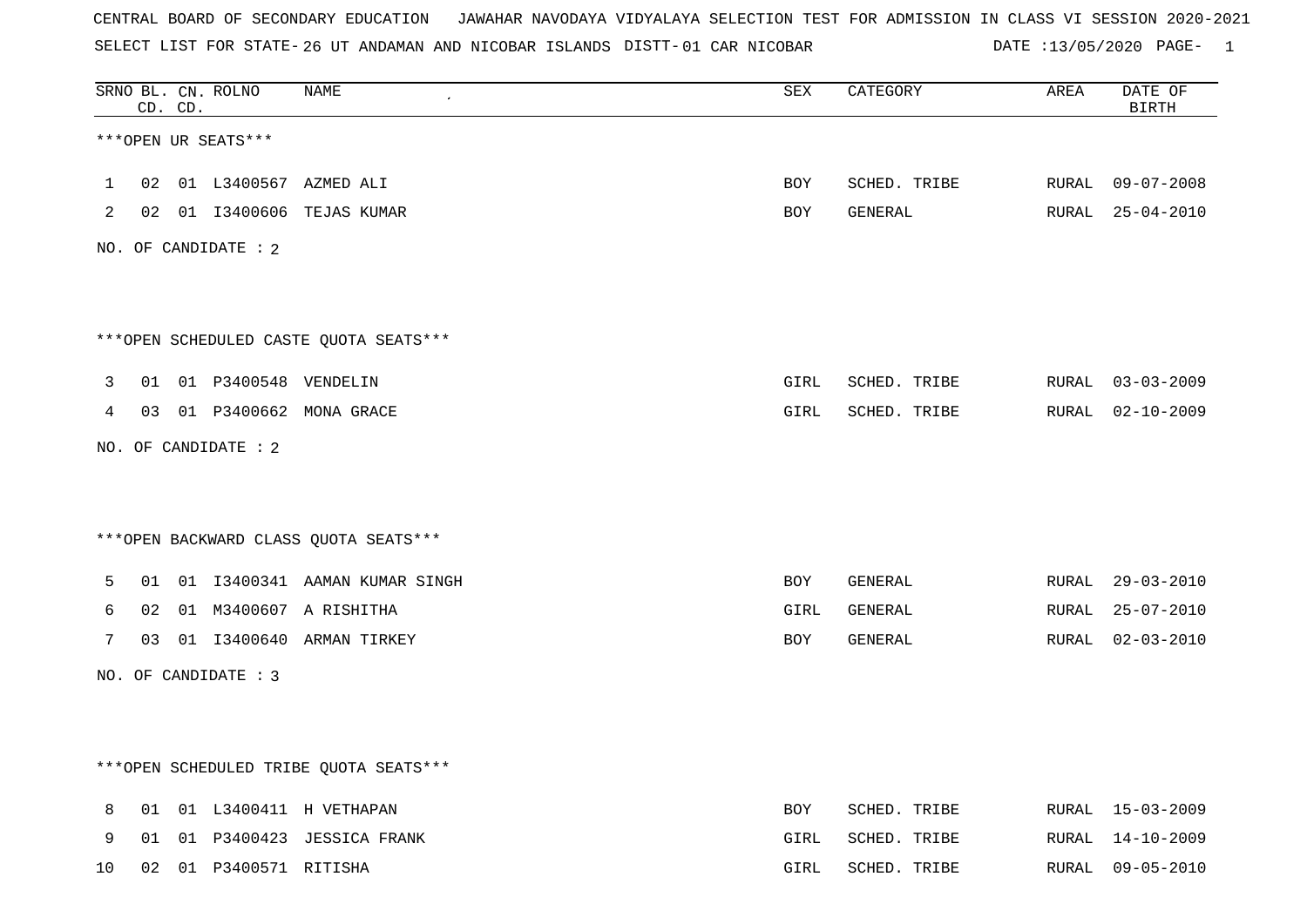CENTRAL BOARD OF SECONDARY EDUCATION JAWAHAR NAVODAYA VIDYALAYA SELECTION TEST FOR ADMISSION IN CLASS VI SESSION 2020-2021 SELECT LIST FOR STATE-26 UT ANDAMAN AND NICOBAR ISLANDS DISTT-DATE :13/05/2020 PAGE- 1

|                | CD. CD. | SRNO BL. CN. ROLNO      | NAME                                   | SEX          | CATEGORY                      | AREA | DATE OF<br><b>BIRTH</b> |
|----------------|---------|-------------------------|----------------------------------------|--------------|-------------------------------|------|-------------------------|
|                |         | ***OPEN UR SEATS***     |                                        |              |                               |      |                         |
| $\mathbf{1}$   |         |                         | 02 01 L3400567 AZMED ALI               | <b>BOY</b>   | SCHED. TRIBE RURAL 09-07-2008 |      |                         |
| $\overline{2}$ |         |                         | 02 01 I3400606 TEJAS KUMAR             | BOY          | GENERAL                       |      | RURAL 25-04-2010        |
|                |         | NO. OF CANDIDATE : 2    |                                        |              |                               |      |                         |
|                |         |                         |                                        |              |                               |      |                         |
|                |         |                         | ***OPEN SCHEDULED CASTE QUOTA SEATS*** |              |                               |      |                         |
| 3              |         | 01 01 P3400548 VENDELIN |                                        | GIRL         | SCHED. TRIBE RURAL 03-03-2009 |      |                         |
| 4              |         |                         | 03 01 P3400662 MONA GRACE              | GIRL         | SCHED. TRIBE RURAL 02-10-2009 |      |                         |
|                |         | NO. OF CANDIDATE : 2    |                                        |              |                               |      |                         |
|                |         |                         |                                        |              |                               |      |                         |
|                |         |                         | *** OPEN BACKWARD CLASS QUOTA SEATS*** |              |                               |      |                         |
| 5              |         |                         | 01 01 I3400341 AAMAN KUMAR SINGH       | BOY          | GENERAL                       |      | RURAL 29-03-2010        |
| 6              |         |                         | 02 01 M3400607 A RISHITHA              | GIRL         | GENERAL                       |      | RURAL 25-07-2010        |
| 7              |         |                         | 03 01 I3400640 ARMAN TIRKEY            | BOY          | GENERAL                       |      | RURAL 02-03-2010        |
|                |         | NO. OF CANDIDATE : 3    |                                        |              |                               |      |                         |
|                |         |                         |                                        |              |                               |      |                         |
|                |         |                         | ***OPEN SCHEDULED TRIBE QUOTA SEATS*** |              |                               |      |                         |
| 8              |         |                         | 01 01 L3400411 H VETHAPAN              | BOY          | SCHED. TRIBE                  |      | RURAL 15-03-2009        |
|                |         |                         |                                        | $\sim$ $  -$ |                               |      | ------- 11.10.0000      |

|  |                           | 9 OI OI P3400423 JESSICA FRANK | GIRL SCHED. TRIBE |  | RURAL 14-10-2009 |
|--|---------------------------|--------------------------------|-------------------|--|------------------|
|  | 10 02 01 P3400571 RITISHA |                                | GIRL SCHED. TRIBE |  | RURAL 09-05-2010 |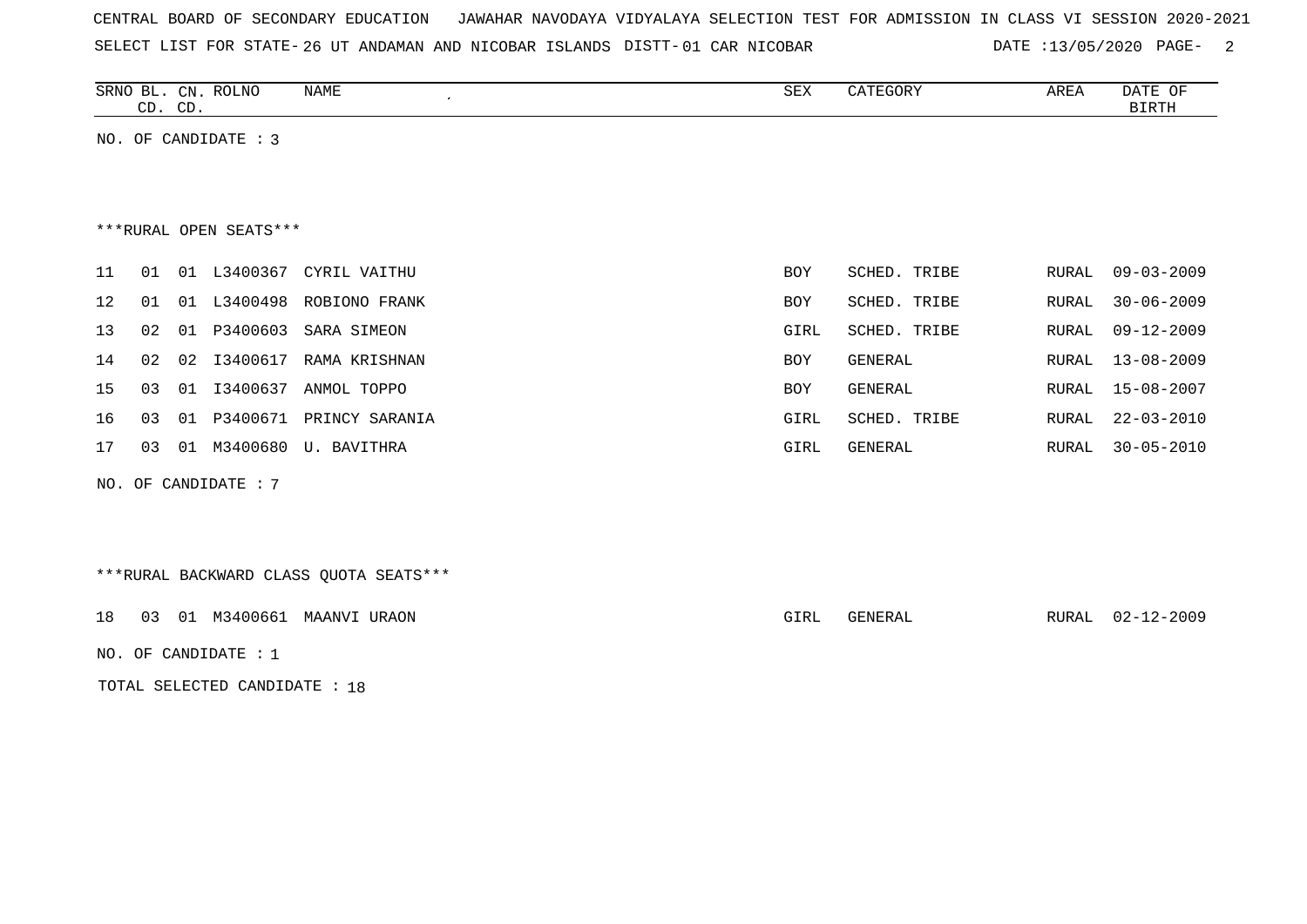SELECT LIST FOR STATE-26 UT ANDAMAN AND NICOBAR ISLANDS DISTT-

DATE :13/05/2020 PAGE- 2

|    | CD. CD. |    | SRNO BL. CN. ROLNO     | NAME<br>$\cdot$      | SEX        | CATEGORY     | AREA  | DATE OF<br>BIRTH |
|----|---------|----|------------------------|----------------------|------------|--------------|-------|------------------|
|    |         |    | NO. OF CANDIDATE : $3$ |                      |            |              |       |                  |
|    |         |    |                        |                      |            |              |       |                  |
|    |         |    |                        |                      |            |              |       |                  |
|    |         |    | ***RURAL OPEN SEATS*** |                      |            |              |       |                  |
| 11 | 01      | 01 | L3400367               | CYRIL VAITHU         | <b>BOY</b> | SCHED. TRIBE | RURAL | $09 - 03 - 2009$ |
| 12 | 01      |    | 01 L3400498            | ROBIONO FRANK        | BOY        | SCHED. TRIBE | RURAL | $30 - 06 - 2009$ |
| 13 | 02      | 01 | P3400603               | SARA SIMEON          | GIRL       | SCHED. TRIBE | RURAL | $09 - 12 - 2009$ |
| 14 | 02      | 02 | I3400617               | RAMA KRISHNAN        | BOY        | GENERAL      | RURAL | $13 - 08 - 2009$ |
| 15 | 03      | 01 | I3400637               | ANMOL TOPPO          | BOY        | GENERAL      | RURAL | $15 - 08 - 2007$ |
| 16 | 03      |    | 01 P3400671            | PRINCY SARANIA       | GIRL       | SCHED. TRIBE | RURAL | $22 - 03 - 2010$ |
| 17 | 03      | 01 |                        | M3400680 U. BAVITHRA | GIRL       | GENERAL      | RURAL | $30 - 05 - 2010$ |
|    |         |    | NO. OF CANDIDATE : $7$ |                      |            |              |       |                  |

\*\*\*RURAL BACKWARD CLASS QUOTA SEATS\*\*\*

18 03 01 M3400661 MAANVI URAON GIRL GENERAL RURAL 02-12-2009

NO. OF CANDIDATE : 1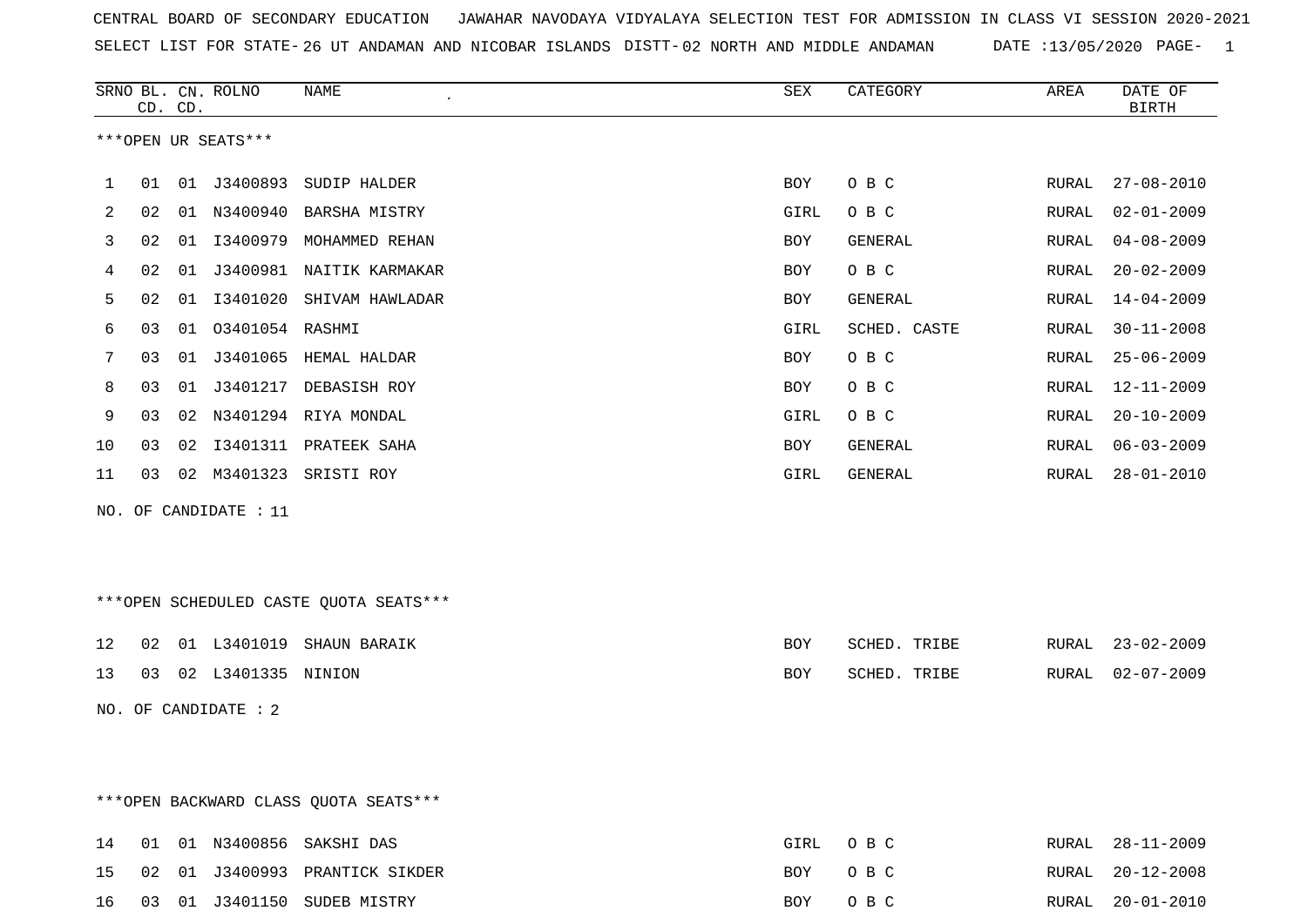CENTRAL BOARD OF SECONDARY EDUCATION JAWAHAR NAVODAYA VIDYALAYA SELECTION TEST FOR ADMISSION IN CLASS VI SESSION 2020-2021 SELECT LIST FOR STATE- DISTT- 26 UT ANDAMAN AND NICOBAR ISLANDS 02 NORTH AND MIDDLE ANDAMAN DATE :13/05/2020 PAGE- 1

|    |    | CD. CD. | SRNO BL. CN. ROLNO    | <b>NAME</b><br>$\pmb{\cdot}$           | ${\tt SEX}$ | CATEGORY     | AREA  | DATE OF<br><b>BIRTH</b> |
|----|----|---------|-----------------------|----------------------------------------|-------------|--------------|-------|-------------------------|
|    |    |         | ***OPEN UR SEATS***   |                                        |             |              |       |                         |
| 1  | 01 |         |                       | 01 J3400893 SUDIP HALDER               | BOY         | O B C        | RURAL | $27 - 08 - 2010$        |
| 2  | 02 | 01      | N3400940              | BARSHA MISTRY                          | GIRL        | O B C        | RURAL | $02 - 01 - 2009$        |
| 3  | 02 | 01      | I3400979              | MOHAMMED REHAN                         | BOY         | GENERAL      | RURAL | $04 - 08 - 2009$        |
| 4  | 02 | 01      |                       | J3400981 NAITIK KARMAKAR               | BOY         | O B C        | RURAL | $20 - 02 - 2009$        |
| 5  | 02 | 01      |                       | I3401020 SHIVAM HAWLADAR               | BOY         | GENERAL      | RURAL | $14 - 04 - 2009$        |
| 6  | 03 | 01      | 03401054 RASHMI       |                                        | GIRL        | SCHED. CASTE | RURAL | $30 - 11 - 2008$        |
| 7  | 03 | 01      |                       | J3401065 HEMAL HALDAR                  | BOY         | O B C        | RURAL | $25 - 06 - 2009$        |
| 8  | 03 | 01      |                       | J3401217 DEBASISH ROY                  | BOY         | O B C        | RURAL | $12 - 11 - 2009$        |
| 9  | 03 | 02      |                       | N3401294 RIYA MONDAL                   | GIRL        | O B C        | RURAL | $20 - 10 - 2009$        |
| 10 | 03 | 02      |                       | I3401311 PRATEEK SAHA                  | BOY         | GENERAL      | RURAL | $06 - 03 - 2009$        |
| 11 | 03 |         |                       | 02 M3401323 SRISTI ROY                 | GIRL        | GENERAL      | RURAL | $28 - 01 - 2010$        |
|    |    |         | NO. OF CANDIDATE : 11 |                                        |             |              |       |                         |
|    |    |         |                       |                                        |             |              |       |                         |
|    |    |         |                       |                                        |             |              |       |                         |
|    |    |         |                       | ***OPEN SCHEDULED CASTE QUOTA SEATS*** |             |              |       |                         |
| 12 | 02 |         |                       | 01 L3401019 SHAUN BARAIK               | <b>BOY</b>  | SCHED. TRIBE |       | RURAL 23-02-2009        |
| 13 | 03 |         | 02 L3401335 NINION    |                                        | BOY         | SCHED. TRIBE | RURAL | $02 - 07 - 2009$        |
|    |    |         | NO. OF CANDIDATE : 2  |                                        |             |              |       |                         |
|    |    |         |                       |                                        |             |              |       |                         |
|    |    |         |                       |                                        |             |              |       |                         |
|    |    |         |                       |                                        |             |              |       |                         |

\*\*\*OPEN BACKWARD CLASS QUOTA SEATS\*\*\*

|  |  | 14 01 01 N3400856 SAKSHIDAS       | GIRL OBC | RURAL 28-11-2009 |
|--|--|-----------------------------------|----------|------------------|
|  |  | 15 02 01 J3400993 PRANTICK SIKDER | BOY OBC  | RURAL 20-12-2008 |
|  |  | 16 03 01 J3401150 SUDEB MISTRY    | BOY OBC  | RURAL 20-01-2010 |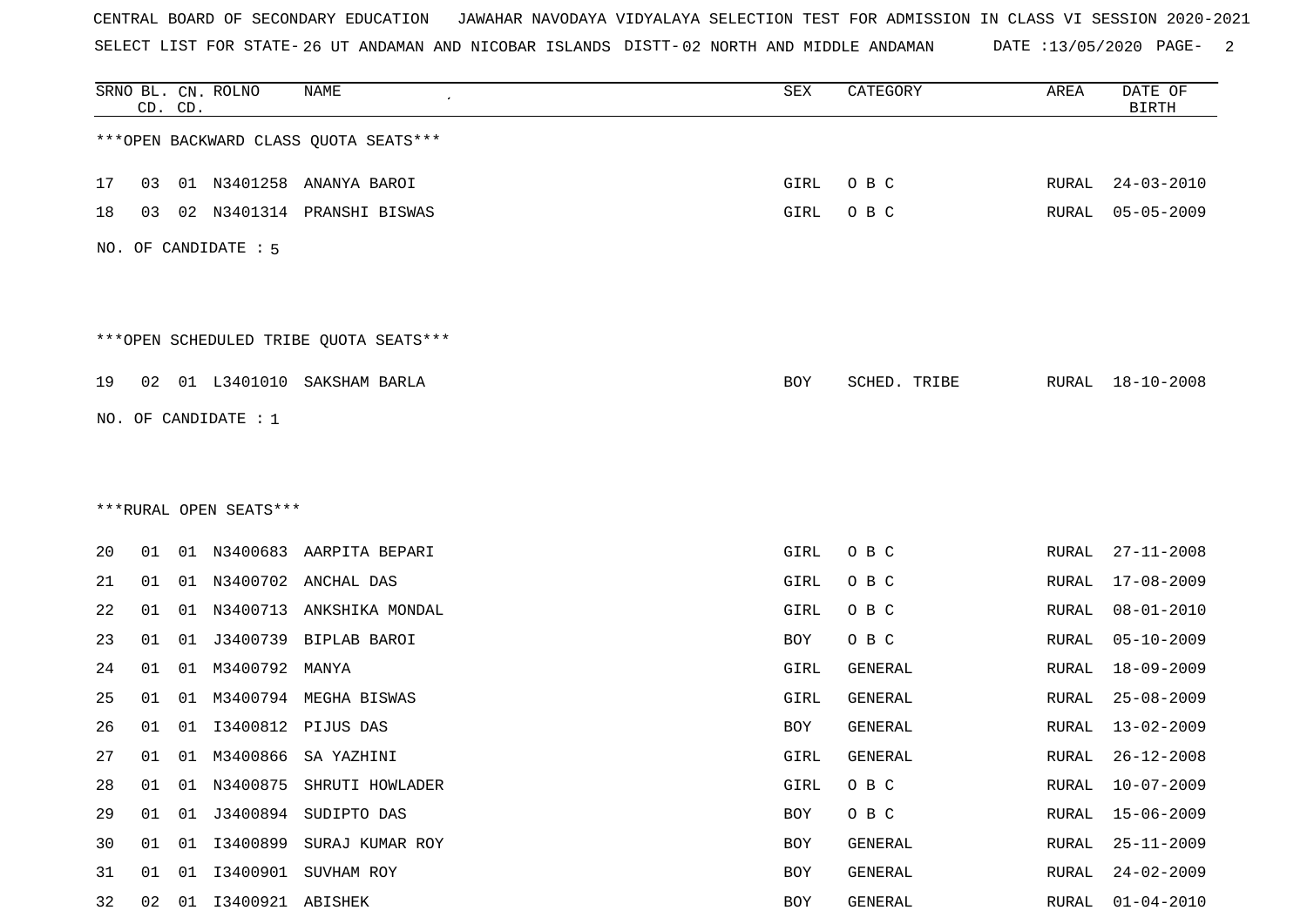CENTRAL BOARD OF SECONDARY EDUCATION JAWAHAR NAVODAYA VIDYALAYA SELECTION TEST FOR ADMISSION IN CLASS VI SESSION 2020-2021 SELECT LIST FOR STATE- DISTT- 26 UT ANDAMAN AND NICOBAR ISLANDS 02 NORTH AND MIDDLE ANDAMAN DATE :13/05/2020 PAGE- 2

|    | CD. CD. |    | SRNO BL. CN. ROLNO     | NAME                                   | SEX  | CATEGORY     | AREA         | DATE OF<br><b>BIRTH</b> |
|----|---------|----|------------------------|----------------------------------------|------|--------------|--------------|-------------------------|
|    |         |    |                        | *** OPEN BACKWARD CLASS QUOTA SEATS*** |      |              |              |                         |
| 17 | 03      |    |                        | 01 N3401258 ANANYA BAROI               | GIRL | O B C        | RURAL        | $24 - 03 - 2010$        |
| 18 | 03      |    |                        | 02 N3401314 PRANSHI BISWAS             | GIRL | O B C        | RURAL        | $05 - 05 - 2009$        |
|    |         |    | NO. OF CANDIDATE : 5   |                                        |      |              |              |                         |
|    |         |    |                        | ***OPEN SCHEDULED TRIBE QUOTA SEATS*** |      |              |              |                         |
| 19 | 02      |    | 01 L3401010            | SAKSHAM BARLA                          | BOY  | SCHED. TRIBE |              | RURAL 18-10-2008        |
|    |         |    | NO. OF CANDIDATE : 1   |                                        |      |              |              |                         |
|    |         |    |                        |                                        |      |              |              |                         |
|    |         |    | ***RURAL OPEN SEATS*** |                                        |      |              |              |                         |
| 20 | 01      |    |                        | 01 N3400683 AARPITA BEPARI             | GIRL | O B C        | RURAL        | $27 - 11 - 2008$        |
| 21 | 01      | 01 | N3400702               | ANCHAL DAS                             | GIRL | O B C        | RURAL        | $17 - 08 - 2009$        |
| 22 | 01      |    |                        | 01 N3400713 ANKSHIKA MONDAL            | GIRL | O B C        | RURAL        | $08 - 01 - 2010$        |
| 23 | 01      | 01 | J3400739               | BIPLAB BAROI                           | BOY  | O B C        | RURAL        | $05 - 10 - 2009$        |
| 24 | 01      | 01 | M3400792               | MANYA                                  | GIRL | GENERAL      | RURAL        | $18 - 09 - 2009$        |
| 25 | 01      | 01 |                        | M3400794 MEGHA BISWAS                  | GIRL | GENERAL      | RURAL        | $25 - 08 - 2009$        |
| 26 | 01      | 01 | I3400812               | PIJUS DAS                              | BOY  | GENERAL      | RURAL        | $13 - 02 - 2009$        |
| 27 | 01      |    | 01 M3400866            | SA YAZHINI                             | GIRL | GENERAL      | RURAL        | $26 - 12 - 2008$        |
| 28 | 01      | 01 |                        | N3400875 SHRUTI HOWLADER               | GIRL | O B C        | RURAL        | $10 - 07 - 2009$        |
| 29 | 01      | 01 |                        | J3400894 SUDIPTO DAS                   | BOY  | O B C        | RURAL        | $15 - 06 - 2009$        |
| 30 | 01      |    |                        | 01 I3400899 SURAJ KUMAR ROY            | BOY  | GENERAL      | RURAL        | $25 - 11 - 2009$        |
| 31 | 01      | 01 | I3400901               | SUVHAM ROY                             | BOY  | GENERAL      | <b>RURAL</b> | $24 - 02 - 2009$        |
| 32 | 02      |    | 01 I3400921 ABISHEK    |                                        | BOY  | GENERAL      | RURAL        | $01 - 04 - 2010$        |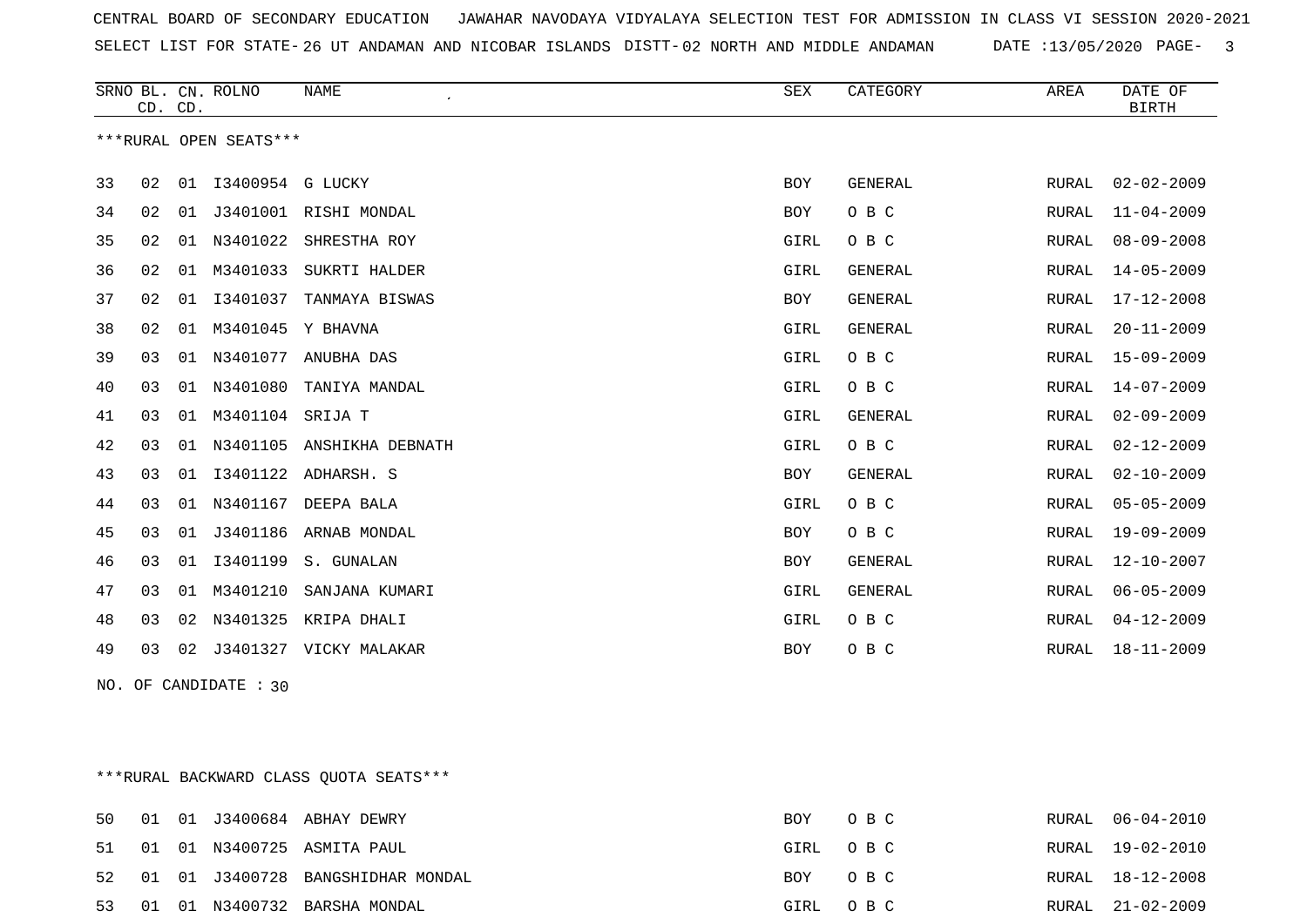CENTRAL BOARD OF SECONDARY EDUCATION JAWAHAR NAVODAYA VIDYALAYA SELECTION TEST FOR ADMISSION IN CLASS VI SESSION 2020-2021 SELECT LIST FOR STATE- DISTT- 26 UT ANDAMAN AND NICOBAR ISLANDS 02 NORTH AND MIDDLE ANDAMAN DATE :13/05/2020 PAGE- 3

|    | CD. CD. |    | SRNO BL. CN. ROLNO     | <b>NAME</b><br>$\cdot$ | <b>SEX</b> | CATEGORY       | AREA         | DATE OF<br><b>BIRTH</b> |
|----|---------|----|------------------------|------------------------|------------|----------------|--------------|-------------------------|
|    |         |    | ***RURAL OPEN SEATS*** |                        |            |                |              |                         |
| 33 | 02      |    | 01 I3400954 G LUCKY    |                        | <b>BOY</b> | GENERAL        | RURAL        | $02 - 02 - 2009$        |
| 34 | 02      | 01 |                        | J3401001 RISHI MONDAL  | <b>BOY</b> | O B C          | RURAL        | $11 - 04 - 2009$        |
| 35 | 02      | 01 | N3401022               | SHRESTHA ROY           | GIRL       | O B C          | <b>RURAL</b> | $08 - 09 - 2008$        |
| 36 | 02      | 01 | M3401033               | SUKRTI HALDER          | GIRL       | <b>GENERAL</b> | <b>RURAL</b> | $14 - 05 - 2009$        |
| 37 | 02      | 01 | I3401037               | TANMAYA BISWAS         | BOY        | GENERAL        | RURAL        | $17 - 12 - 2008$        |
| 38 | 02      | 01 | M3401045               | Y BHAVNA               | GIRL       | GENERAL        | RURAL        | $20 - 11 - 2009$        |
| 39 | 03      | 01 | N3401077               | ANUBHA DAS             | GIRL       | O B C          | <b>RURAL</b> | $15 - 09 - 2009$        |
| 40 | 03      | 01 | N3401080               | TANIYA MANDAL          | GIRL       | O B C          | RURAL        | 14-07-2009              |
| 41 | 03      | 01 | M3401104 SRIJA T       |                        | GIRL       | GENERAL        | <b>RURAL</b> | $02 - 09 - 2009$        |
| 42 | 03      | 01 | N3401105               | ANSHIKHA DEBNATH       | GIRL       | O B C          | <b>RURAL</b> | $02 - 12 - 2009$        |
| 43 | 03      | 01 | I3401122               | ADHARSH. S             | <b>BOY</b> | GENERAL        | RURAL        | $02 - 10 - 2009$        |
| 44 | 03      | 01 | N3401167               | DEEPA BALA             | GIRL       | O B C          | RURAL        | $05 - 05 - 2009$        |
| 45 | 03      | 01 | J3401186               | ARNAB MONDAL           | <b>BOY</b> | O B C          | <b>RURAL</b> | $19 - 09 - 2009$        |
| 46 | 03      | 01 | I3401199               | S. GUNALAN             | <b>BOY</b> | GENERAL        | RURAL        | $12 - 10 - 2007$        |
| 47 | 03      | 01 | M3401210               | SANJANA KUMARI         | GIRL       | GENERAL        | RURAL        | $06 - 05 - 2009$        |
| 48 | 03      | 02 | N3401325               | KRIPA DHALI            | GIRL       | O B C          | <b>RURAL</b> | $04 - 12 - 2009$        |
| 49 | 03      | 02 |                        | J3401327 VICKY MALAKAR | <b>BOY</b> | O B C          | RURAL        | $18 - 11 - 2009$        |

NO. OF CANDIDATE : 30

\*\*\*RURAL BACKWARD CLASS QUOTA SEATS\*\*\*

|  |  | 50 01 01 J3400684 ABHAY DEWRY        | BOY OBC  | RURAL 06-04-2010 |
|--|--|--------------------------------------|----------|------------------|
|  |  | 51 01 01 N3400725 ASMITA PAUL        | GIRL OBC | RURAL 19-02-2010 |
|  |  | 52 01 01 J3400728 BANGSHIDHAR MONDAL | BOY OBC  | RURAL 18-12-2008 |
|  |  | 53 01 01 N3400732 BARSHA MONDAL      | GIRL OBC | RURAL 21-02-2009 |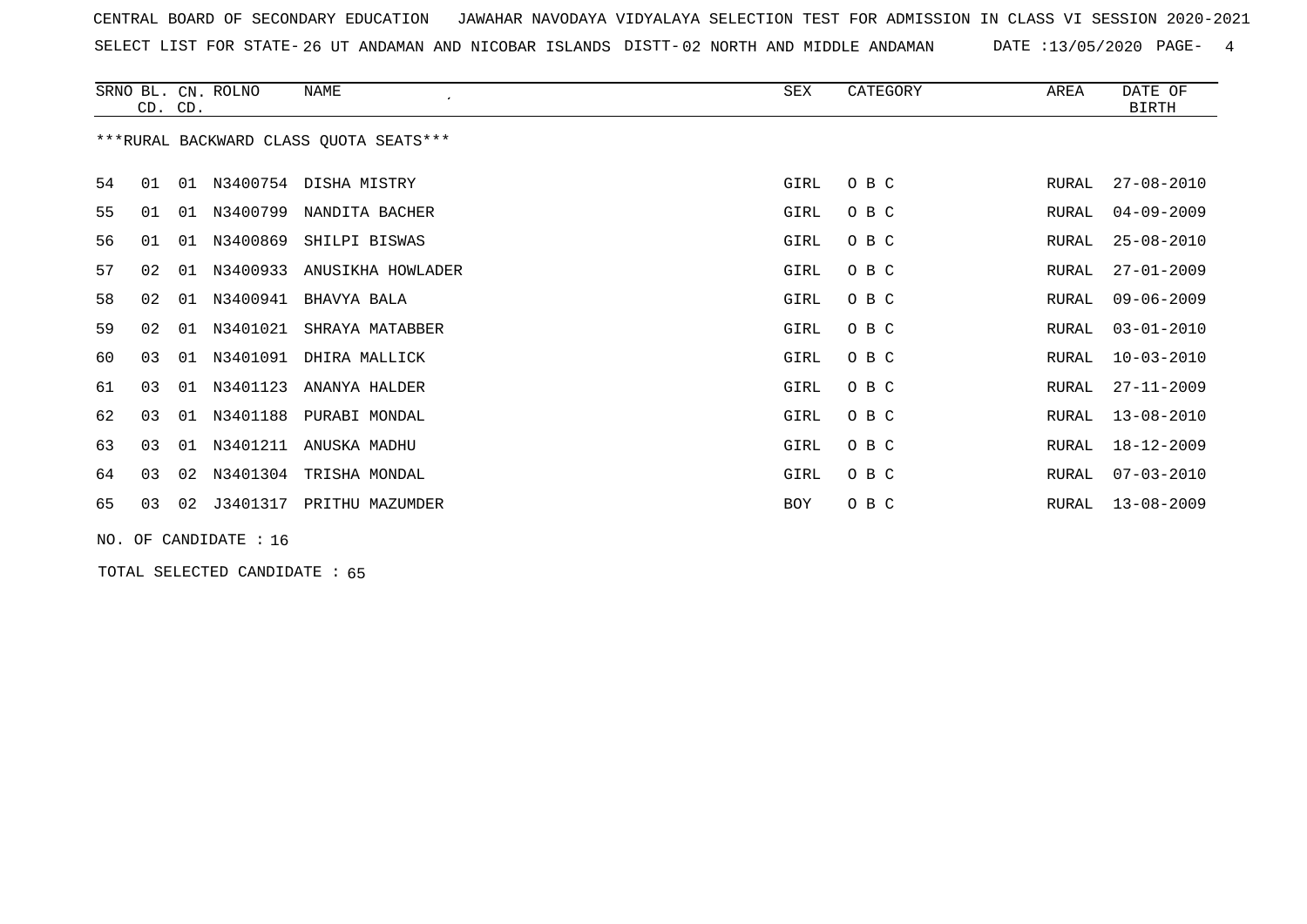CENTRAL BOARD OF SECONDARY EDUCATION JAWAHAR NAVODAYA VIDYALAYA SELECTION TEST FOR ADMISSION IN CLASS VI SESSION 2020-2021 SELECT LIST FOR STATE- DISTT- 26 UT ANDAMAN AND NICOBAR ISLANDS 02 NORTH AND MIDDLE ANDAMAN DATE :13/05/2020 PAGE- 4

|    |    | CD. CD. | SRNO BL. CN. ROLNO | NAME                                   | SEX        | CATEGORY | AREA  | DATE OF<br>BIRTH |
|----|----|---------|--------------------|----------------------------------------|------------|----------|-------|------------------|
|    |    |         |                    | ***RURAL BACKWARD CLASS QUOTA SEATS*** |            |          |       |                  |
| 54 | 01 | 01      |                    | N3400754 DISHA MISTRY                  | GIRL       | O B C    | RURAL | $27 - 08 - 2010$ |
| 55 | 01 | 01      | N3400799           | NANDITA BACHER                         | GIRL       | O B C    | RURAL | $04 - 09 - 2009$ |
| 56 | 01 | 01      | N3400869           | SHILPI BISWAS                          | GIRL       | O B C    | RURAL | $25 - 08 - 2010$ |
| 57 | 02 | 01      | N3400933           | ANUSIKHA HOWLADER                      | GIRL       | O B C    | RURAL | $27 - 01 - 2009$ |
| 58 | 02 | 01      | N3400941           | BHAVYA BALA                            | GIRL       | O B C    | RURAL | $09 - 06 - 2009$ |
| 59 | 02 | 01      | N3401021           | SHRAYA MATABBER                        | GIRL       | O B C    | RURAL | $03 - 01 - 2010$ |
| 60 | 03 | 01      | N3401091           | DHIRA MALLICK                          | GIRL       | O B C    | RURAL | $10 - 03 - 2010$ |
| 61 | 03 | 01      | N3401123           | ANANYA HALDER                          | GIRL       | O B C    | RURAL | $27 - 11 - 2009$ |
| 62 | 03 | 01      | N3401188           | PURABI MONDAL                          | GIRL       | O B C    | RURAL | $13 - 08 - 2010$ |
| 63 | 03 | 01      | N3401211           | ANUSKA MADHU                           | GIRL       | O B C    | RURAL | 18-12-2009       |
| 64 | 03 | 02      | N3401304           | TRISHA MONDAL                          | GIRL       | O B C    | RURAL | $07 - 03 - 2010$ |
| 65 | 03 | 02      | J3401317           | PRITHU MAZUMDER                        | <b>BOY</b> | O B C    | RURAL | $13 - 08 - 2009$ |
|    |    |         |                    |                                        |            |          |       |                  |

NO. OF CANDIDATE : 16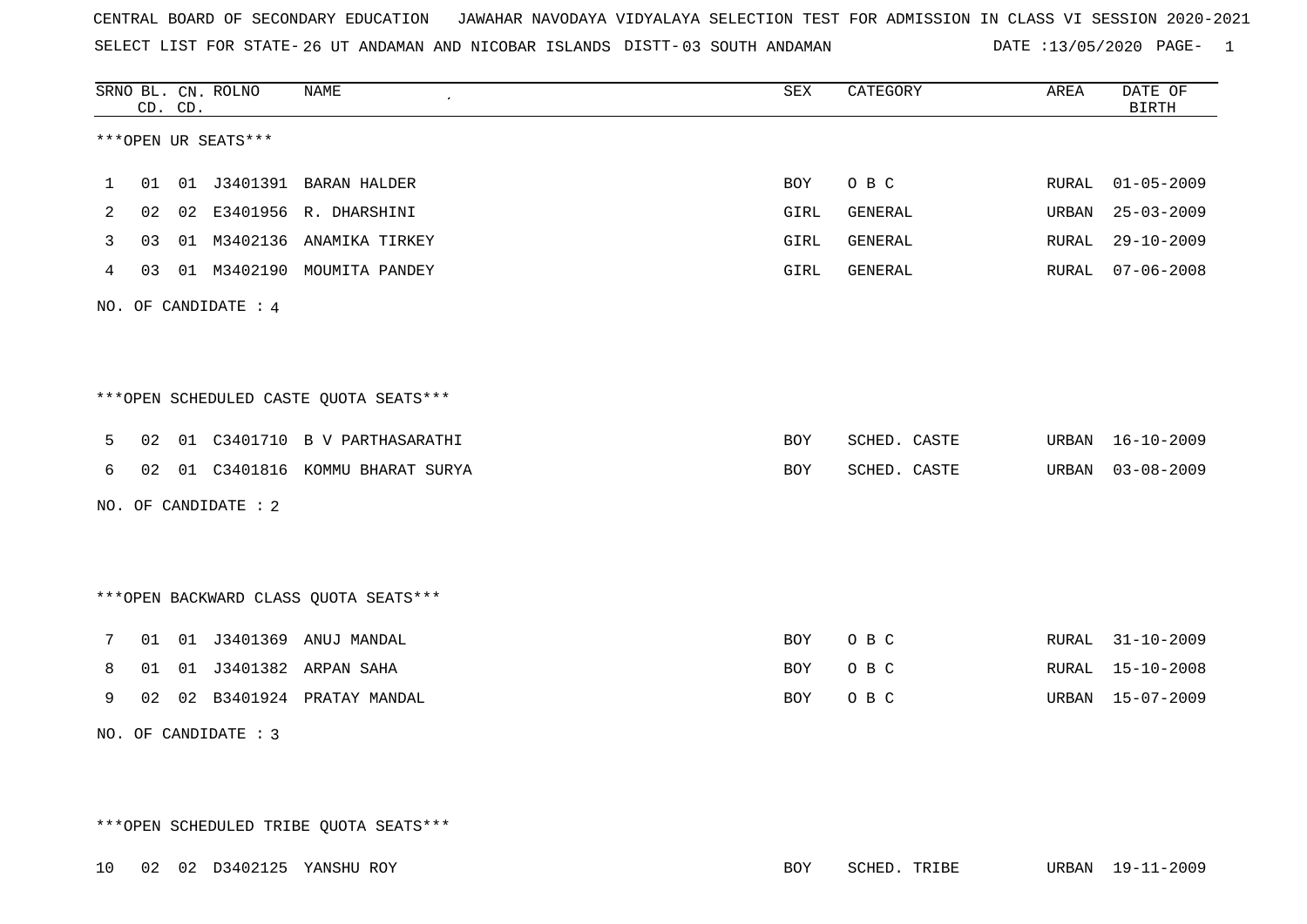CENTRAL BOARD OF SECONDARY EDUCATION JAWAHAR NAVODAYA VIDYALAYA SELECTION TEST FOR ADMISSION IN CLASS VI SESSION 2020-2021 SELECT LIST FOR STATE-26 UT ANDAMAN AND NICOBAR ISLANDS DISTT-DATE :13/05/2020 PAGE- 1

|              |    | CD. CD. | SRNO BL. CN. ROLNO   | <b>NAME</b><br>$\cdot$                 | SEX        | CATEGORY       | AREA  | DATE OF<br><b>BIRTH</b> |
|--------------|----|---------|----------------------|----------------------------------------|------------|----------------|-------|-------------------------|
|              |    |         | ***OPEN UR SEATS***  |                                        |            |                |       |                         |
| $\mathbf{1}$ |    |         |                      | 01 01 J3401391 BARAN HALDER            | BOY        | O B C          | RURAL | $01 - 05 - 2009$        |
| 2            |    |         |                      | 02 02 E3401956 R. DHARSHINI            | GIRL       | GENERAL        | URBAN | $25 - 03 - 2009$        |
| 3            | 03 |         |                      | 01 M3402136 ANAMIKA TIRKEY             | GIRL       | <b>GENERAL</b> | RURAL | $29 - 10 - 2009$        |
| 4            | 03 |         |                      | 01 M3402190 MOUMITA PANDEY             | GIRL       | GENERAL        | RURAL | $07 - 06 - 2008$        |
|              |    |         | NO. OF CANDIDATE : 4 |                                        |            |                |       |                         |
|              |    |         |                      |                                        |            |                |       |                         |
|              |    |         |                      |                                        |            |                |       |                         |
|              |    |         |                      | ***OPEN SCHEDULED CASTE QUOTA SEATS*** |            |                |       |                         |
| 5            | 02 |         |                      | 01 C3401710 B V PARTHASARATHI          | BOY        | SCHED. CASTE   | URBAN | $16 - 10 - 2009$        |
| 6            |    |         |                      | 02 01 C3401816 KOMMU BHARAT SURYA      | <b>BOY</b> | SCHED. CASTE   | URBAN | $03 - 08 - 2009$        |
|              |    |         | NO. OF CANDIDATE : 2 |                                        |            |                |       |                         |
|              |    |         |                      |                                        |            |                |       |                         |
|              |    |         |                      |                                        |            |                |       |                         |
|              |    |         |                      | *** OPEN BACKWARD CLASS QUOTA SEATS*** |            |                |       |                         |
| 7            |    |         |                      | 01  01  J3401369  ANUJ  MANDAL         | BOY        | O B C          |       | RURAL 31-10-2009        |
| 8            | 01 |         |                      | 01 J3401382 ARPAN SAHA                 | BOY        | O B C          | RURAL | $15 - 10 - 2008$        |
| 9            | 02 |         |                      | 02 B3401924 PRATAY MANDAL              | <b>BOY</b> | O B C          | URBAN | $15 - 07 - 2009$        |
|              |    |         | NO. OF CANDIDATE : 3 |                                        |            |                |       |                         |

\*\*\*OPEN SCHEDULED TRIBE QUOTA SEATS\*\*\*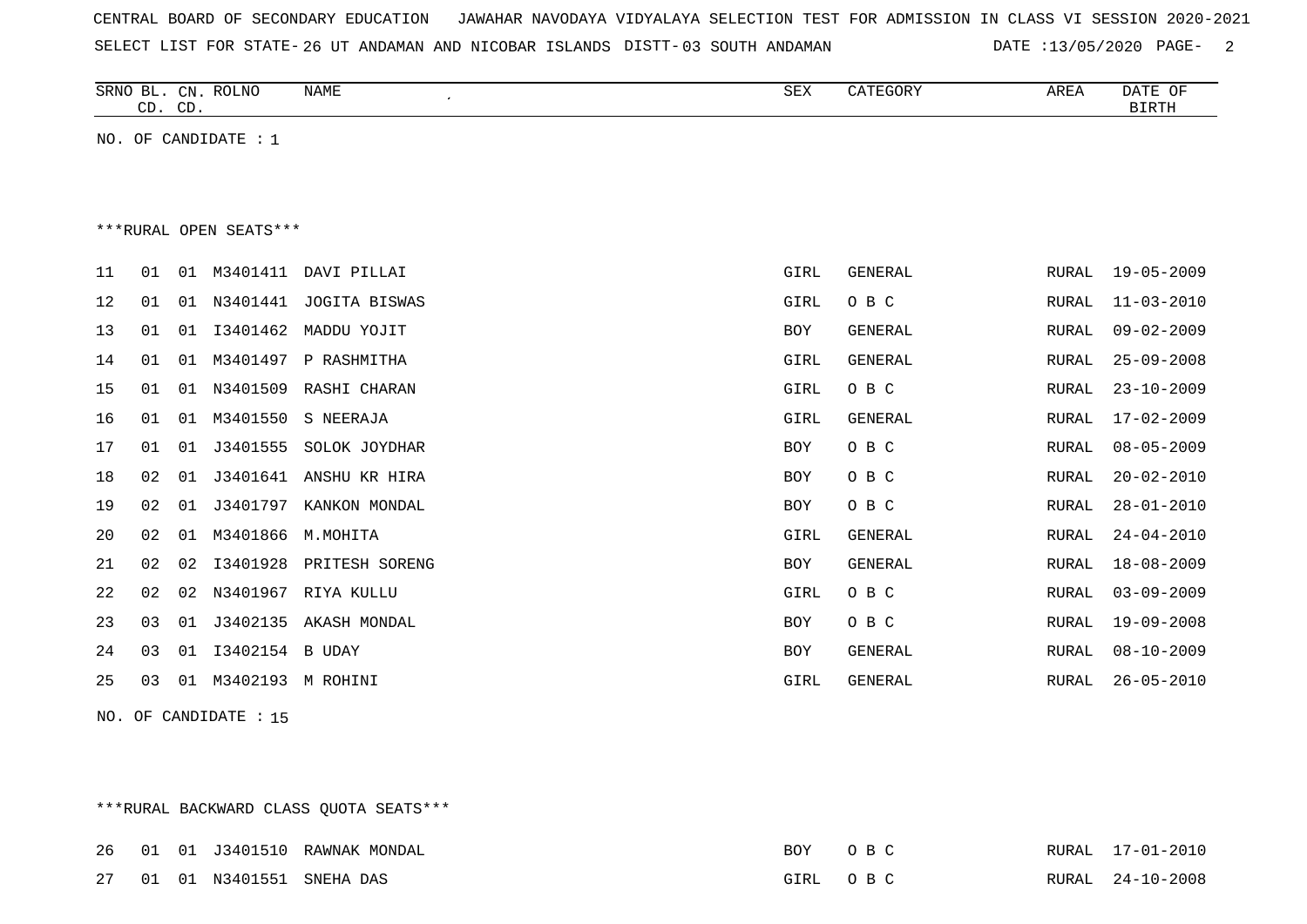SELECT LIST FOR STATE-26 UT ANDAMAN AND NICOBAR ISLANDS DISTT-03 SOUTH ANDAMAN DATE :13/05/2020 PAGE- 2

|    |                        | CD. CD. | SRNO BL. CN. ROLNO     | NAME<br>$\epsilon$ | SEX        | CATEGORY | AREA         | DATE OF<br><b>BIRTH</b> |  |  |  |
|----|------------------------|---------|------------------------|--------------------|------------|----------|--------------|-------------------------|--|--|--|
|    |                        |         | NO. OF CANDIDATE : $1$ |                    |            |          |              |                         |  |  |  |
|    |                        |         |                        |                    |            |          |              |                         |  |  |  |
|    |                        |         |                        |                    |            |          |              |                         |  |  |  |
|    | ***RURAL OPEN SEATS*** |         |                        |                    |            |          |              |                         |  |  |  |
| 11 | 01                     | 01      | M3401411               | DAVI PILLAI        | GIRL       | GENERAL  | RURAL        | $19 - 05 - 2009$        |  |  |  |
| 12 | 01                     | 01      | N3401441               | JOGITA BISWAS      | GIRL       | O B C    | <b>RURAL</b> | $11 - 03 - 2010$        |  |  |  |
| 13 | 01                     | 01      | I3401462               | MADDU YOJIT        | BOY        | GENERAL  | <b>RURAL</b> | $09 - 02 - 2009$        |  |  |  |
| 14 | 01                     | 01      | M3401497               | P RASHMITHA        | GIRL       | GENERAL  | <b>RURAL</b> | $25 - 09 - 2008$        |  |  |  |
| 15 | 01                     | 01      | N3401509               | RASHI CHARAN       | GIRL       | O B C    | <b>RURAL</b> | $23 - 10 - 2009$        |  |  |  |
| 16 | 01                     | 01      | M3401550               | S NEERAJA          | GIRL       | GENERAL  | <b>RURAL</b> | $17 - 02 - 2009$        |  |  |  |
| 17 | 01                     | 01      | J3401555               | SOLOK JOYDHAR      | <b>BOY</b> | O B C    | <b>RURAL</b> | $08 - 05 - 2009$        |  |  |  |
| 18 | 02                     | 01      | J3401641               | ANSHU KR HIRA      | BOY        | O B C    | RURAL        | $20 - 02 - 2010$        |  |  |  |
| 19 | 02                     | 01      | J3401797               | KANKON MONDAL      | BOY        | O B C    | <b>RURAL</b> | $28 - 01 - 2010$        |  |  |  |
| 20 | 02                     | 01      | M3401866               | M.MOHITA           | GIRL       | GENERAL  | <b>RURAL</b> | $24 - 04 - 2010$        |  |  |  |
| 21 | 02                     | 02      | I3401928               | PRITESH SORENG     | BOY        | GENERAL  | <b>RURAL</b> | $18 - 08 - 2009$        |  |  |  |
| 22 | 02                     | 02      | N3401967               | RIYA KULLU         | GIRL       | O B C    | <b>RURAL</b> | $03 - 09 - 2009$        |  |  |  |
| 23 | 03                     | 01      | J3402135               | AKASH MONDAL       | <b>BOY</b> | O B C    | <b>RURAL</b> | $19 - 09 - 2008$        |  |  |  |
| 24 | 03                     | 01      | I3402154               | B UDAY             | BOY        | GENERAL  | <b>RURAL</b> | $08 - 10 - 2009$        |  |  |  |
| 25 | 03                     | 01      |                        | M3402193 M ROHINI  | GIRL       | GENERAL  | <b>RURAL</b> | $26 - 05 - 2010$        |  |  |  |

NO. OF CANDIDATE : 15

\*\*\*RURAL BACKWARD CLASS QUOTA SEATS\*\*\*

|  |  | 26 01 01 J3401510 RAWNAK MONDAL | BOY OBC  |  | RURAL 17-01-2010 |
|--|--|---------------------------------|----------|--|------------------|
|  |  | 27 01 01 N3401551 SNEHADAS      | GIRL OBC |  | RURAL 24-10-2008 |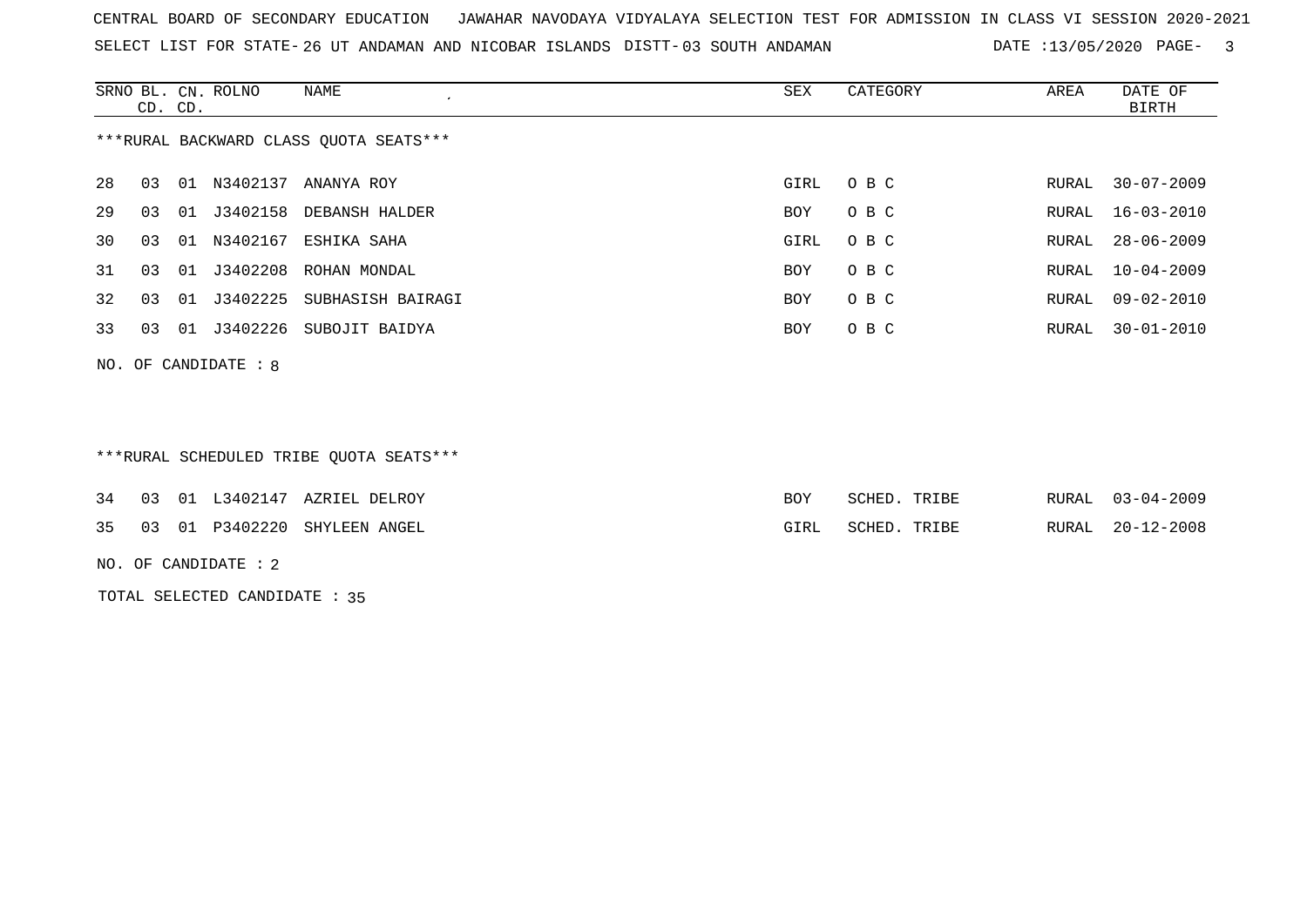SELECT LIST FOR STATE-26 UT ANDAMAN AND NICOBAR ISLANDS DISTT-03 SOUTH ANDAMAN DATE :13/05/2020 PAGE- 3

|     |                                        | CD. CD. | SRNO BL. CN. ROLNO | NAME<br>$\epsilon$      | SEX  | CATEGORY | AREA  | DATE OF<br><b>BIRTH</b> |  |  |
|-----|----------------------------------------|---------|--------------------|-------------------------|------|----------|-------|-------------------------|--|--|
|     | ***RURAL BACKWARD CLASS QUOTA SEATS*** |         |                    |                         |      |          |       |                         |  |  |
| 28  | 03                                     |         |                    | 01 N3402137 ANANYA ROY  | GIRL | O B C    | RURAL | $30 - 07 - 2009$        |  |  |
| 29  | 03                                     | 01      |                    | J3402158 DEBANSH HALDER | BOY  | O B C    | RURAL | $16 - 03 - 2010$        |  |  |
| 30  | 03                                     | 01      | N3402167           | ESHIKA SAHA             | GIRL | O B C    | RURAL | $28 - 06 - 2009$        |  |  |
| 31  | 03                                     | 01      | J3402208           | ROHAN MONDAL            | BOY  | O B C    | RURAL | $10 - 04 - 2009$        |  |  |
| 32  | 03                                     | 01      | J3402225           | SUBHASISH BAIRAGI       | BOY  | O B C    | RURAL | 09-02-2010              |  |  |
| 33  | 03                                     | 01      | J3402226           | SUBOJIT BAIDYA          | BOY  | O B C    | RURAL | $30 - 01 - 2010$        |  |  |
| NO. |                                        |         | OF CANDIDATE: 8    |                         |      |          |       |                         |  |  |
|     |                                        |         |                    |                         |      |          |       |                         |  |  |

\*\*\*RURAL SCHEDULED TRIBE QUOTA SEATS\*\*\*

|  |  | 34 03 01 L3402147 AZRIEL DELROY |      | SCHED. TRIBE | RURAL | $03 - 04 - 2009$ |
|--|--|---------------------------------|------|--------------|-------|------------------|
|  |  | 35 03 01 P3402220 SHYLEEN ANGEL | GIRL | SCHED. TRIBE | RURAL | $20 - 12 - 2008$ |

NO. OF CANDIDATE : 2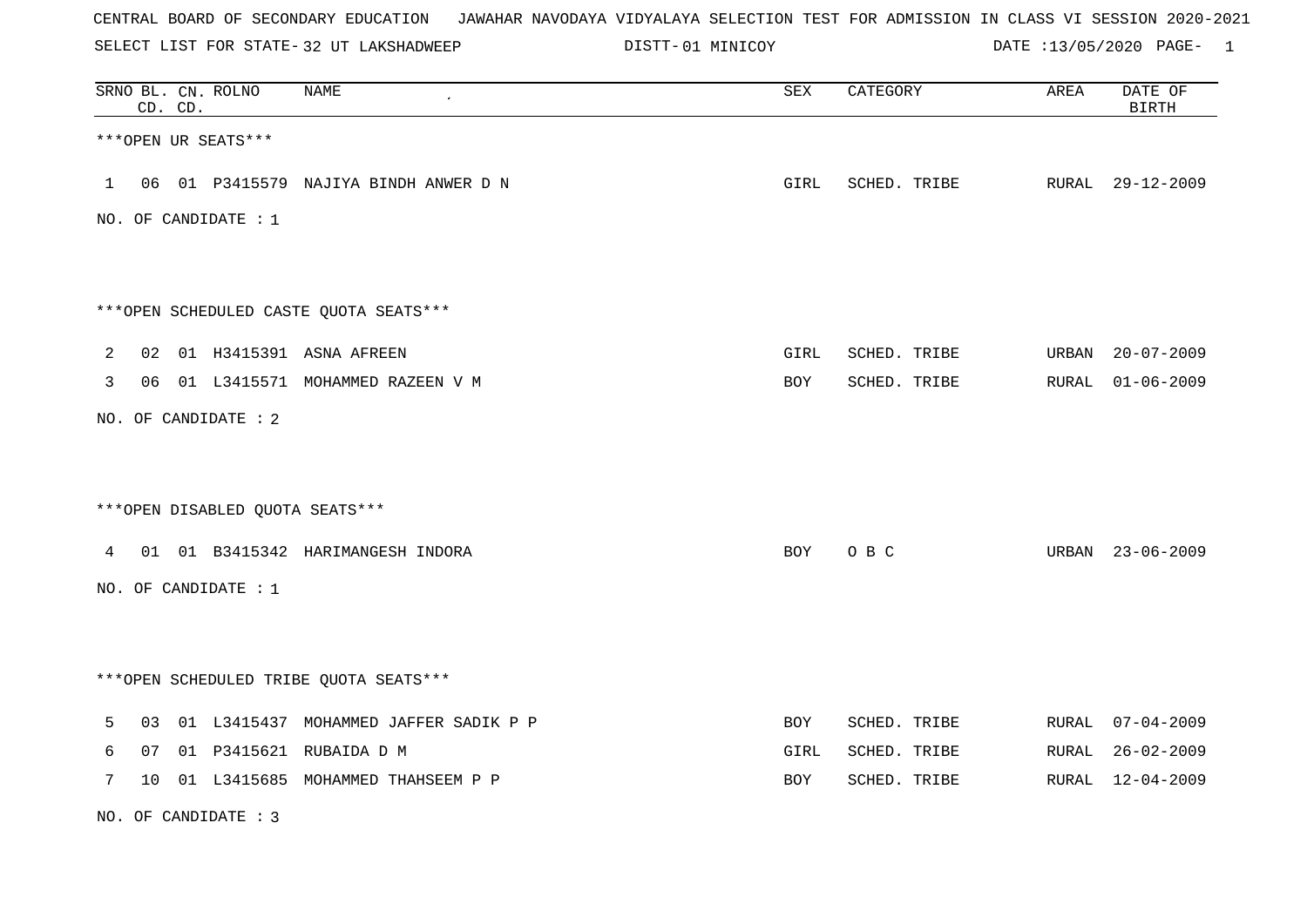| CENTRAL BOARD OF SECONDARY EDUCATION – JAWAHAR NAVODAYA VIDYALAYA SELECTION TEST FOR ADMISSION IN CLASS VI SESSION 2020-2021 |  |  |  |  |
|------------------------------------------------------------------------------------------------------------------------------|--|--|--|--|
|------------------------------------------------------------------------------------------------------------------------------|--|--|--|--|

SELECT LIST FOR STATE- DISTT- 32 UT LAKSHADWEEP 01 MINICOY DATE :13/05/2020 PAGE- 1

|   |    | CD. CD. | SRNO BL. CN. ROLNO   | <b>NAME</b>                             | ${\tt SEX}$ | CATEGORY     | AREA  | DATE OF<br><b>BIRTH</b> |
|---|----|---------|----------------------|-----------------------------------------|-------------|--------------|-------|-------------------------|
|   |    |         | ***OPEN UR SEATS***  |                                         |             |              |       |                         |
|   |    |         |                      | 1 06 01 P3415579 NAJIYA BINDH ANWER D N | GIRL        | SCHED. TRIBE |       | RURAL 29-12-2009        |
|   |    |         | NO. OF CANDIDATE : 1 |                                         |             |              |       |                         |
|   |    |         |                      |                                         |             |              |       |                         |
|   |    |         |                      | ***OPEN SCHEDULED CASTE QUOTA SEATS***  |             |              |       |                         |
| 2 |    |         |                      | 02 01 H3415391 ASNA AFREEN              | GIRL        | SCHED. TRIBE |       | URBAN 20-07-2009        |
| 3 |    |         |                      | 06 01 L3415571 MOHAMMED RAZEEN V M      | BOY         | SCHED. TRIBE |       | RURAL 01-06-2009        |
|   |    |         | NO. OF CANDIDATE : 2 |                                         |             |              |       |                         |
|   |    |         |                      |                                         |             |              |       |                         |
|   |    |         |                      | *** OPEN DISABLED QUOTA SEATS***        |             |              |       |                         |
|   |    |         |                      | 4 01 01 B3415342 HARIMANGESH INDORA     | BOY         | O B C        |       | URBAN 23-06-2009        |
|   |    |         | NO. OF CANDIDATE : 1 |                                         |             |              |       |                         |
|   |    |         |                      |                                         |             |              |       |                         |
|   |    |         |                      | ***OPEN SCHEDULED TRIBE QUOTA SEATS***  |             |              |       |                         |
| 5 | 03 |         |                      | 01 L3415437 MOHAMMED JAFFER SADIK P P   | BOY         | SCHED. TRIBE |       | RURAL 07-04-2009        |
| 6 | 07 |         |                      | 01 P3415621 RUBAIDA D M                 | GIRL        | SCHED. TRIBE |       | RURAL 26-02-2009        |
| 7 | 10 |         |                      | 01 L3415685 MOHAMMED THAHSEEM P P       | BOY         | SCHED. TRIBE | RURAL | $12 - 04 - 2009$        |

NO. OF CANDIDATE : 3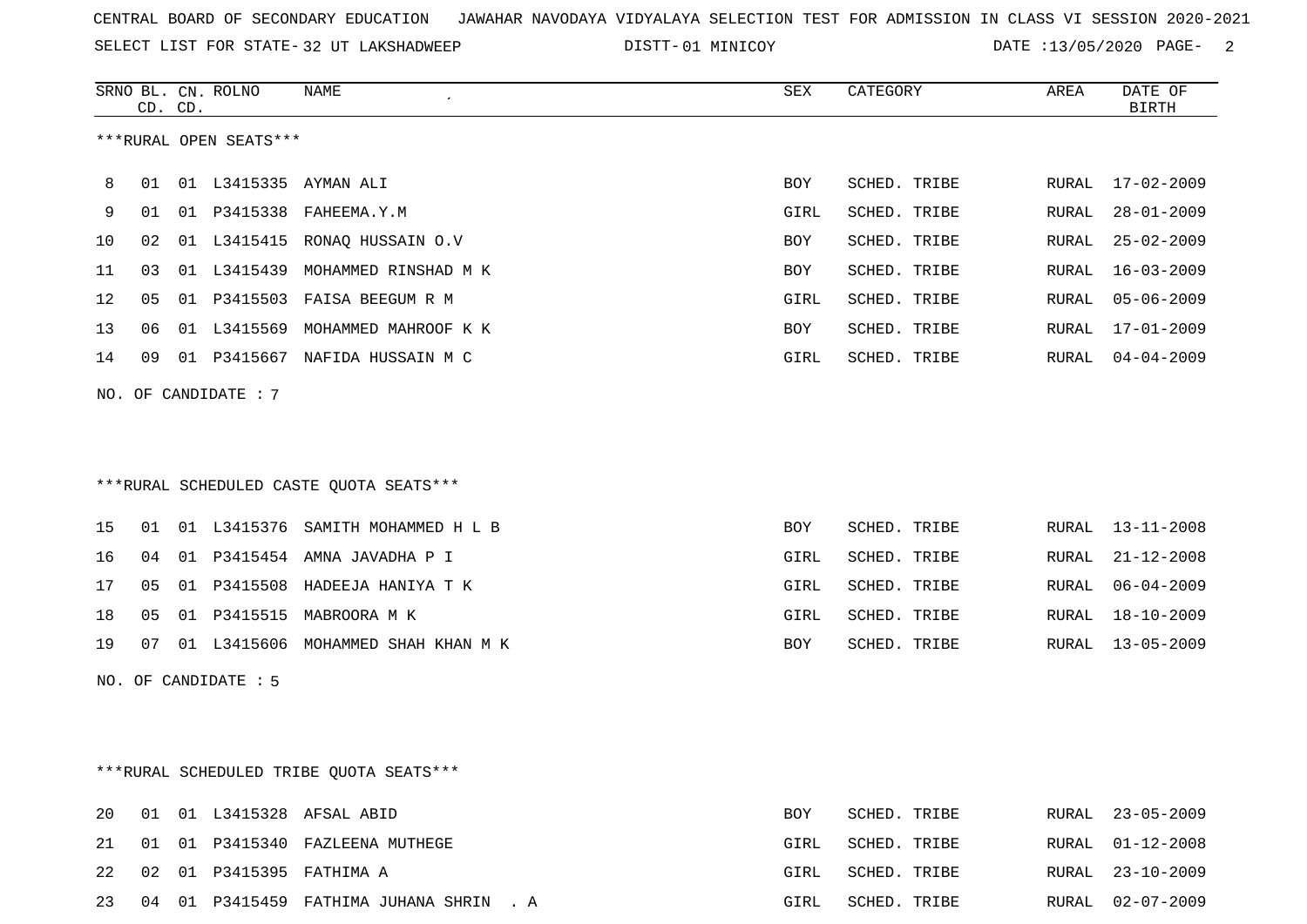SELECT LIST FOR STATE- DISTT- 32 UT LAKSHADWEEP

DISTT-01 MINICOY **DATE** :13/05/2020 PAGE- 2

|    |                                          | CD. CD. | SRNO BL. CN. ROLNO     | <b>NAME</b>                             | <b>SEX</b> | CATEGORY     | AREA  | DATE OF<br><b>BIRTH</b> |  |  |
|----|------------------------------------------|---------|------------------------|-----------------------------------------|------------|--------------|-------|-------------------------|--|--|
|    |                                          |         | ***RURAL OPEN SEATS*** |                                         |            |              |       |                         |  |  |
| 8  | 01                                       |         |                        | 01 L3415335 AYMAN ALI                   | BOY        | SCHED. TRIBE | RURAL | 17-02-2009              |  |  |
| 9  |                                          |         |                        | 01 01 P3415338 FAHEEMA.Y.M              | GIRL       | SCHED. TRIBE | RURAL | $28 - 01 - 2009$        |  |  |
| 10 | 02                                       |         |                        | 01 L3415415 RONAQ HUSSAIN O.V           | BOY        | SCHED. TRIBE | RURAL | $25 - 02 - 2009$        |  |  |
| 11 | 03                                       |         |                        | 01 L3415439 MOHAMMED RINSHAD M K        | BOY        | SCHED. TRIBE | RURAL | $16 - 03 - 2009$        |  |  |
| 12 | 05                                       |         |                        | 01 P3415503 FAISA BEEGUM R M            | GIRL       | SCHED. TRIBE | RURAL | $05 - 06 - 2009$        |  |  |
| 13 | 06                                       |         |                        | 01 L3415569 MOHAMMED MAHROOF K K        | BOY        | SCHED. TRIBE | RURAL | 17-01-2009              |  |  |
| 14 | 09                                       |         |                        | 01 P3415667 NAFIDA HUSSAIN M C          | GIRL       | SCHED. TRIBE |       | RURAL 04-04-2009        |  |  |
|    |                                          |         | NO. OF CANDIDATE : 7   |                                         |            |              |       |                         |  |  |
|    |                                          |         |                        |                                         |            |              |       |                         |  |  |
|    |                                          |         |                        |                                         |            |              |       |                         |  |  |
|    |                                          |         |                        | ***RURAL SCHEDULED CASTE OUOTA SEATS*** |            |              |       |                         |  |  |
| 15 | 01                                       |         |                        | 01 L3415376 SAMITH MOHAMMED H L B       | <b>BOY</b> | SCHED. TRIBE | RURAL | 13-11-2008              |  |  |
| 16 | 04                                       |         |                        | 01 P3415454 AMNA JAVADHA P I            | GIRL       | SCHED. TRIBE | RURAL | $21 - 12 - 2008$        |  |  |
| 17 | 05                                       |         |                        | 01 P3415508 HADEEJA HANIYA T K          | GIRL       | SCHED. TRIBE | RURAL | $06 - 04 - 2009$        |  |  |
| 18 | 05                                       |         |                        | 01 P3415515 MABROORA M K                | GIRL       | SCHED. TRIBE | RURAL | 18-10-2009              |  |  |
| 19 |                                          |         |                        | 07 01 L3415606 MOHAMMED SHAH KHAN M K   | BOY        | SCHED. TRIBE |       | RURAL 13-05-2009        |  |  |
|    |                                          |         | NO. OF CANDIDATE : 5   |                                         |            |              |       |                         |  |  |
|    |                                          |         |                        |                                         |            |              |       |                         |  |  |
|    |                                          |         |                        |                                         |            |              |       |                         |  |  |
|    | *** RURAL SCHEDULED TRIBE QUOTA SEATS*** |         |                        |                                         |            |              |       |                         |  |  |
| 20 |                                          |         |                        | 01 01 L3415328 AFSAL ABID               | BOY        | SCHED. TRIBE |       | RURAL 23-05-2009        |  |  |
| 21 |                                          |         |                        | 01 01 P3415340 FAZLEENA MUTHEGE         | GIRL       | SCHED. TRIBE | RURAL | $01 - 12 - 2008$        |  |  |

22 02 01 P3415395 FATHIMA A GIRL SCHED. TRIBE RURAL 23-10-2009

23 04 01 P3415459 FATHIMA JUHANA SHRIN . A GIRL SCHED. TRIBE RURAL 02-07-2009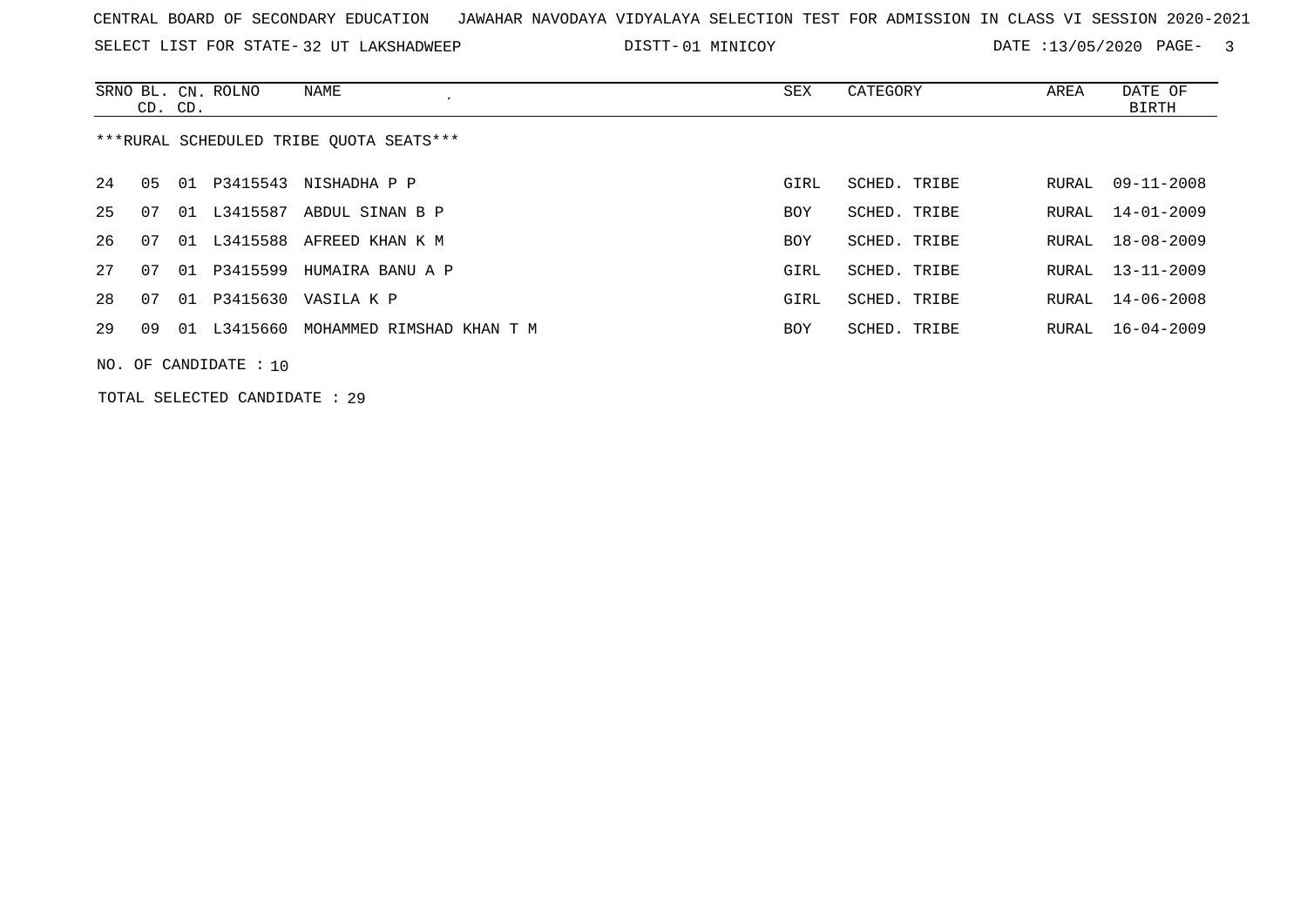SELECT LIST FOR STATE- DISTT- 32 UT LAKSHADWEEP

DISTT-01 MINICOY **DATE** :13/05/2020 PAGE- 3

|                                         | CD. CD. |    | SRNO BL. CN. ROLNO | NAME                        | SEX        | CATEGORY     | AREA  | DATE OF<br>BIRTH |  |
|-----------------------------------------|---------|----|--------------------|-----------------------------|------------|--------------|-------|------------------|--|
| ***RURAL SCHEDULED TRIBE OUOTA SEATS*** |         |    |                    |                             |            |              |       |                  |  |
| 24                                      | 05      |    |                    | 01 P3415543 NISHADHA P P    | GIRL       | SCHED. TRIBE | RURAL | $09 - 11 - 2008$ |  |
| 25                                      | 07      |    | 01 L3415587        | ABDUL SINAN B P             | BOY        | SCHED. TRIBE | RURAL | $14 - 01 - 2009$ |  |
| 26                                      | 07      |    |                    | 01 L3415588 AFREED KHAN K M | <b>BOY</b> | SCHED. TRIBE |       | RURAL 18-08-2009 |  |
| 27                                      | 07      | 01 | P3415599           | HUMAIRA BANU A P            | GIRL       | SCHED. TRIBE | RURAL | $13 - 11 - 2009$ |  |
| 28                                      | 07      |    |                    | 01 P3415630 VASILA K P      | GIRL       | SCHED. TRIBE | RURAL | $14 - 06 - 2008$ |  |
| 29                                      | 09      |    | 01 L3415660        | MOHAMMED RIMSHAD KHAN T M   | <b>BOY</b> | SCHED. TRIBE | RURAL | $16 - 04 - 2009$ |  |
| NO. OF CANDIDATE : $10$                 |         |    |                    |                             |            |              |       |                  |  |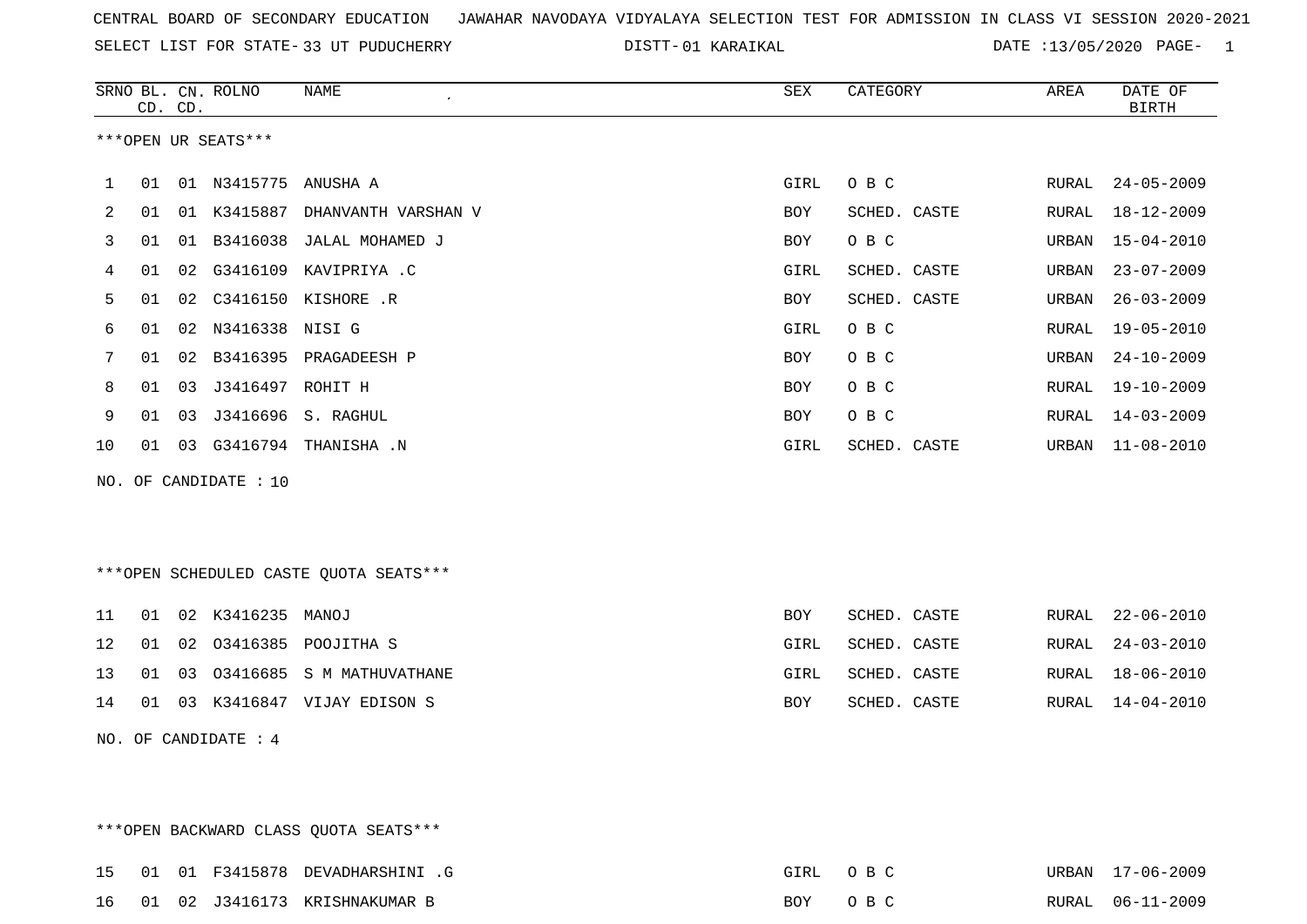SELECT LIST FOR STATE- DISTT- 33 UT PUDUCHERRY

01 KARAIKAL DATE :13/05/2020 PAGE- 1

|    |    | CD. CD. | SRNO BL. CN. ROLNO    | <b>NAME</b><br>$\pmb{\cdot}$           | ${\tt SEX}$ | CATEGORY     | AREA  | DATE OF<br><b>BIRTH</b> |
|----|----|---------|-----------------------|----------------------------------------|-------------|--------------|-------|-------------------------|
|    |    |         | ***OPEN UR SEATS***   |                                        |             |              |       |                         |
| 1  | 01 |         | 01 N3415775 ANUSHA A  |                                        | GIRL        | O B C        | RURAL | $24 - 05 - 2009$        |
| 2  | 01 |         | 01 K3415887           | DHANVANTH VARSHAN V                    | BOY         | SCHED. CASTE | RURAL | $18 - 12 - 2009$        |
| 3  | 01 | 01      |                       | B3416038 JALAL MOHAMED J               | <b>BOY</b>  | O B C        | URBAN | $15 - 04 - 2010$        |
| 4  | 01 | 02      | G3416109              | KAVIPRIYA .C                           | GIRL        | SCHED. CASTE | URBAN | $23 - 07 - 2009$        |
| 5  | 01 | 02      |                       | C3416150 KISHORE .R                    | BOY         | SCHED. CASTE | URBAN | $26 - 03 - 2009$        |
| 6  | 01 |         | 02 N3416338 NISI G    |                                        | GIRL        | O B C        | RURAL | $19 - 05 - 2010$        |
| 7  | 01 | 02      |                       | B3416395 PRAGADEESH P                  | <b>BOY</b>  | O B C        | URBAN | $24 - 10 - 2009$        |
| 8  | 01 | 03      | J3416497 ROHIT H      |                                        | BOY         | O B C        | RURAL | $19 - 10 - 2009$        |
| 9  | 01 | 03      |                       | J3416696 S. RAGHUL                     | <b>BOY</b>  | $O$ B $C$    | RURAL | $14 - 03 - 2009$        |
| 10 | 01 |         |                       | 03 G3416794 THANISHA .N                | GIRL        | SCHED. CASTE | URBAN | $11 - 08 - 2010$        |
|    |    |         | NO. OF CANDIDATE : 10 |                                        |             |              |       |                         |
|    |    |         |                       |                                        |             |              |       |                         |
|    |    |         |                       |                                        |             |              |       |                         |
|    |    |         |                       | ***OPEN SCHEDULED CASTE QUOTA SEATS*** |             |              |       |                         |
| 11 | 01 |         | 02 K3416235 MANOJ     |                                        | <b>BOY</b>  | SCHED. CASTE | RURAL | $22 - 06 - 2010$        |
| 12 | 01 | 02      |                       | 03416385 POOJITHA S                    | GIRL        | SCHED. CASTE | RURAL | $24 - 03 - 2010$        |
| 13 | 01 | 03      |                       | 03416685 S M MATHUVATHANE              | GIRL        | SCHED. CASTE | RURAL | $18 - 06 - 2010$        |
| 14 | 01 |         |                       | 03 K3416847 VIJAY EDISON S             | BOY         | SCHED. CASTE | RURAL | $14 - 04 - 2010$        |
|    |    |         | NO. OF CANDIDATE : 4  |                                        |             |              |       |                         |
|    |    |         |                       |                                        |             |              |       |                         |

\*\*\*OPEN BACKWARD CLASS QUOTA SEATS\*\*\* 15 01 01 F3415878 DEVADHARSHINI .G GIRL O B C URBAN 17-06-2009URBAN 17-06-2009 16 01 02 J3416173 KRISHNAKUMAR B BOY O B C RURAL 06-11-2009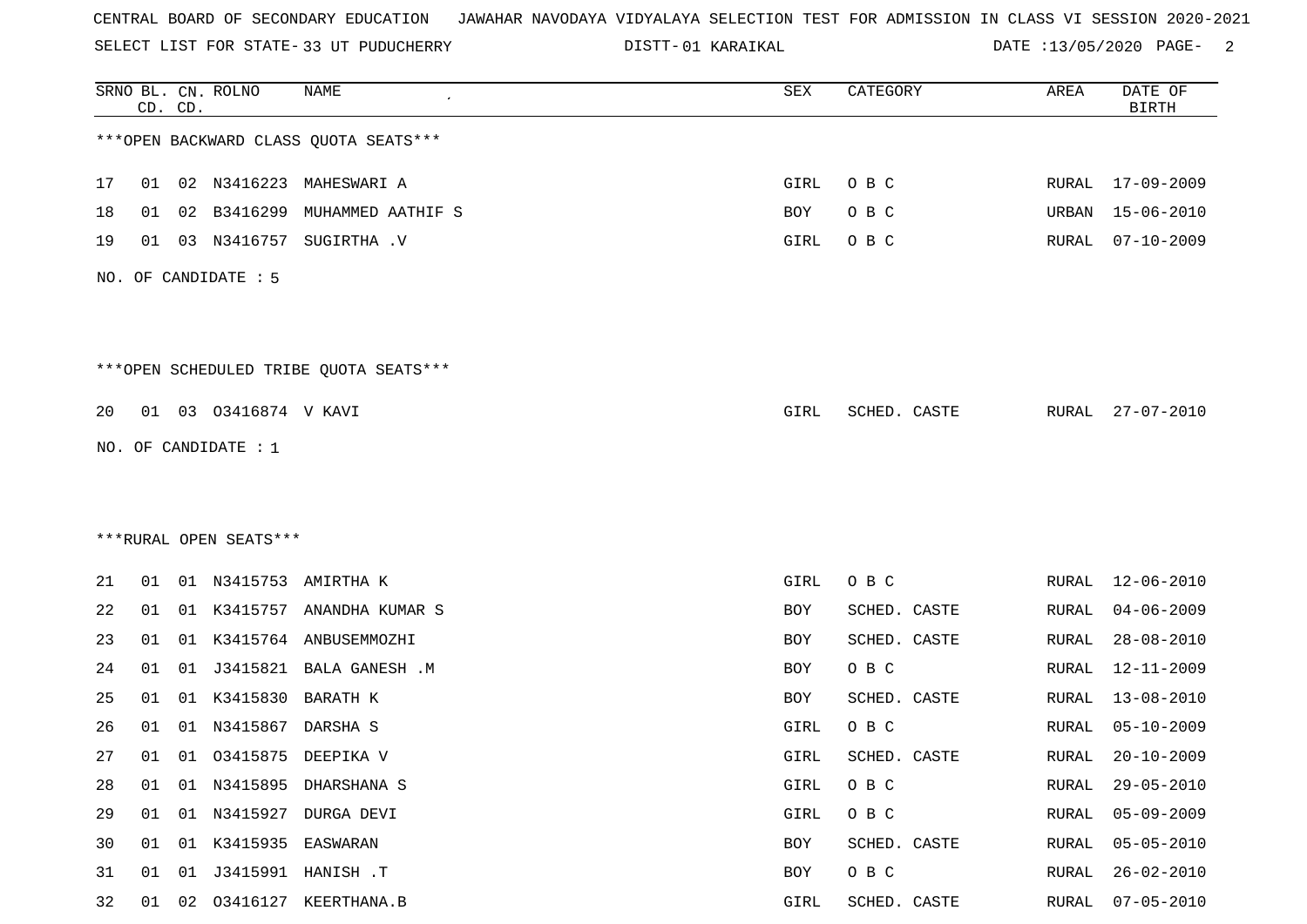SELECT LIST FOR STATE- DISTT- 33 UT PUDUCHERRY

01 KARAIKAL DATE :13/05/2020 PAGE- 2

|    |    | CD. CD. | SRNO BL. CN. ROLNO       | <b>NAME</b>                             | SEX  | CATEGORY     | AREA  | DATE OF<br><b>BIRTH</b> |
|----|----|---------|--------------------------|-----------------------------------------|------|--------------|-------|-------------------------|
|    |    |         |                          | *** OPEN BACKWARD CLASS QUOTA SEATS***  |      |              |       |                         |
| 17 | 01 |         |                          | 02 N3416223 MAHESWARI A                 | GIRL | O B C        |       | RURAL 17-09-2009        |
| 18 | 01 | 02      | B3416299                 | MUHAMMED AATHIF S                       | BOY  | O B C        | URBAN | $15 - 06 - 2010$        |
| 19 | 01 |         | 03 N3416757              | SUGIRTHA .V                             | GIRL | O B C        | RURAL | $07 - 10 - 2009$        |
|    |    |         | NO. OF CANDIDATE : 5     |                                         |      |              |       |                         |
|    |    |         |                          | *** OPEN SCHEDULED TRIBE QUOTA SEATS*** |      |              |       |                         |
| 20 |    |         | 01  03  03416874  V KAVI |                                         | GIRL | SCHED. CASTE |       | RURAL 27-07-2010        |
|    |    |         | NO. OF CANDIDATE : 1     |                                         |      |              |       |                         |
|    |    |         |                          |                                         |      |              |       |                         |
|    |    |         |                          |                                         |      |              |       |                         |
|    |    |         | ***RURAL OPEN SEATS***   |                                         |      |              |       |                         |
| 21 |    |         |                          | 01 01 N3415753 AMIRTHA K                | GIRL | O B C        | RURAL | 12-06-2010              |
| 22 | 01 |         |                          | 01 K3415757 ANANDHA KUMAR S             | BOY  | SCHED. CASTE | RURAL | $04 - 06 - 2009$        |
| 23 | 01 |         |                          | 01 K3415764 ANBUSEMMOZHI                | BOY  | SCHED. CASTE | RURAL | $28 - 08 - 2010$        |
| 24 | 01 | 01      | J3415821                 | <b>BALA GANESH .M</b>                   | BOY  | O B C        | RURAL | 12-11-2009              |
| 25 | 01 |         | 01 K3415830 BARATH K     |                                         | BOY  | SCHED. CASTE | RURAL | 13-08-2010              |
| 26 | 01 | 01      | N3415867                 | DARSHA S                                | GIRL | O B C        | RURAL | $05 - 10 - 2009$        |
| 27 |    |         |                          | 01 01 03415875 DEEPIKA V                | GIRL | SCHED. CASTE | RURAL | $20 - 10 - 2009$        |
| 28 | 01 |         |                          | 01 N3415895 DHARSHANA S                 | GIRL | O B C        | RURAL | $29 - 05 - 2010$        |
| 29 | 01 |         |                          | 01 N3415927 DURGA DEVI                  | GIRL | O B C        | RURAL | $05 - 09 - 2009$        |
| 30 | 01 |         | 01 K3415935 EASWARAN     |                                         | BOY  | SCHED. CASTE | RURAL | $05 - 05 - 2010$        |
| 31 | 01 | 01      |                          | J3415991 HANISH .T                      | BOY  | $O$ B $C$    | RURAL | $26 - 02 - 2010$        |
| 32 | 01 |         |                          | 02 03416127 KEERTHANA.B                 | GIRL | SCHED. CASTE | RURAL | $07 - 05 - 2010$        |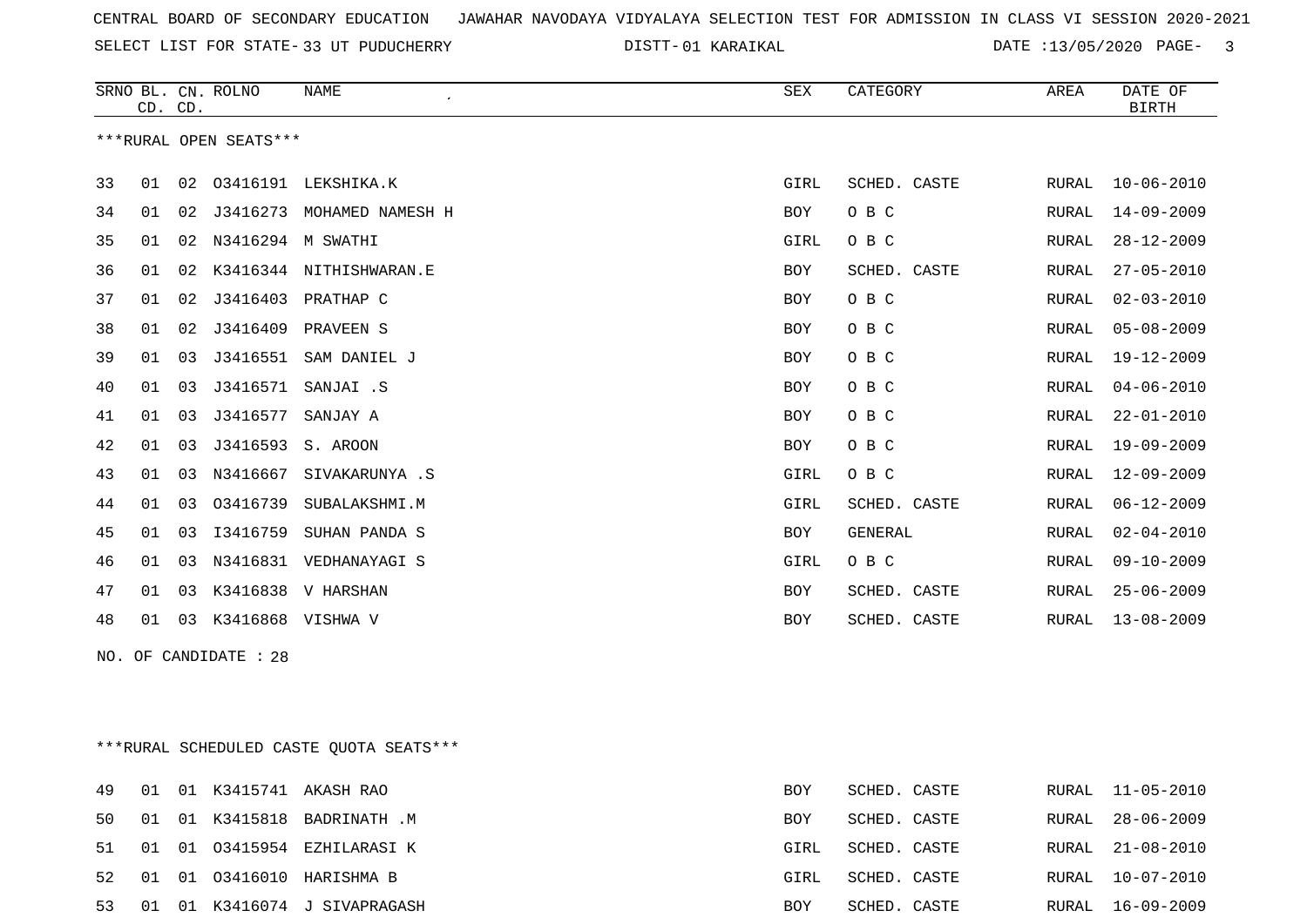SELECT LIST FOR STATE- DISTT- 33 UT PUDUCHERRY

01 KARAIKAL DATE :13/05/2020 PAGE- 3

|    | CD. CD. |    | SRNO BL. CN. ROLNO     | <b>NAME</b><br>$\epsilon$ | <b>SEX</b> | CATEGORY       | AREA         | DATE OF<br><b>BIRTH</b> |
|----|---------|----|------------------------|---------------------------|------------|----------------|--------------|-------------------------|
|    |         |    | ***RURAL OPEN SEATS*** |                           |            |                |              |                         |
| 33 | 01      | 02 |                        | 03416191 LEKSHIKA.K       | GIRL       | SCHED. CASTE   | RURAL        | $10 - 06 - 2010$        |
| 34 | 01      | 02 | J3416273               | MOHAMED NAMESH H          | BOY        | O B C          | RURAL        | $14 - 09 - 2009$        |
| 35 | 01      | 02 | N3416294               | M SWATHI                  | GIRL       | O B C          | <b>RURAL</b> | $28 - 12 - 2009$        |
| 36 | 01      | 02 |                        | K3416344 NITHISHWARAN.E   | BOY        | SCHED. CASTE   | RURAL        | $27 - 05 - 2010$        |
| 37 | 01      | 02 | J3416403               | PRATHAP C                 | <b>BOY</b> | O B C          | RURAL        | $02 - 03 - 2010$        |
| 38 | 01      | 02 | J3416409               | PRAVEEN S                 | BOY        | O B C          | RURAL        | $05 - 08 - 2009$        |
| 39 | 01      | 03 | J3416551               | SAM DANIEL J              | <b>BOY</b> | O B C          | RURAL        | $19 - 12 - 2009$        |
| 40 | 01      | 03 | J3416571               | SANJAI .S                 | BOY        | O B C          | RURAL        | $04 - 06 - 2010$        |
| 41 | 01      | 03 | J3416577               | SANJAY A                  | <b>BOY</b> | O B C          | RURAL        | $22 - 01 - 2010$        |
| 42 | 01      | 03 | J3416593               | S. AROON                  | <b>BOY</b> | O B C          | RURAL        | $19 - 09 - 2009$        |
| 43 | 01      | 03 | N3416667               | SIVAKARUNYA .S            | GIRL       | O B C          | RURAL        | $12 - 09 - 2009$        |
| 44 | 01      | 03 | 03416739               | SUBALAKSHMI.M             | GIRL       | SCHED. CASTE   | RURAL        | $06 - 12 - 2009$        |
| 45 | 01      | 03 | I3416759               | SUHAN PANDA S             | <b>BOY</b> | <b>GENERAL</b> | RURAL        | $02 - 04 - 2010$        |
| 46 | 01      | 03 | N3416831               | VEDHANAYAGI S             | GIRL       | O B C          | RURAL        | $09 - 10 - 2009$        |
| 47 | 01      | 03 | K3416838               | V HARSHAN                 | <b>BOY</b> | SCHED. CASTE   | <b>RURAL</b> | $25 - 06 - 2009$        |
| 48 | 01      | 03 | K3416868 VISHWA V      |                           | <b>BOY</b> | SCHED. CASTE   | <b>RURAL</b> | $13 - 08 - 2009$        |

NO. OF CANDIDATE : 28

\*\*\*RURAL SCHEDULED CASTE QUOTA SEATS\*\*\*

| 49    | 01 |  | 01 K3415741 AKASH RAO           | BOY  | SCHED. CASTE |       | RURAL 11-05-2010 |
|-------|----|--|---------------------------------|------|--------------|-------|------------------|
| 50 01 |    |  | 01 K3415818 BADRINATH .M        | BOY  | SCHED. CASTE | RURAL | 28-06-2009       |
|       |    |  | 51 01 01 03415954 EZHILARASI K  | GIRL | SCHED. CASTE |       | RURAL 21-08-2010 |
|       |    |  | 52 01 01 03416010 HARISHMA B    | GIRL | SCHED. CASTE |       | RURAL 10-07-2010 |
|       |    |  | 53 01 01 K3416074 J SIVAPRAGASH | BOY  | SCHED. CASTE |       | RURAL 16-09-2009 |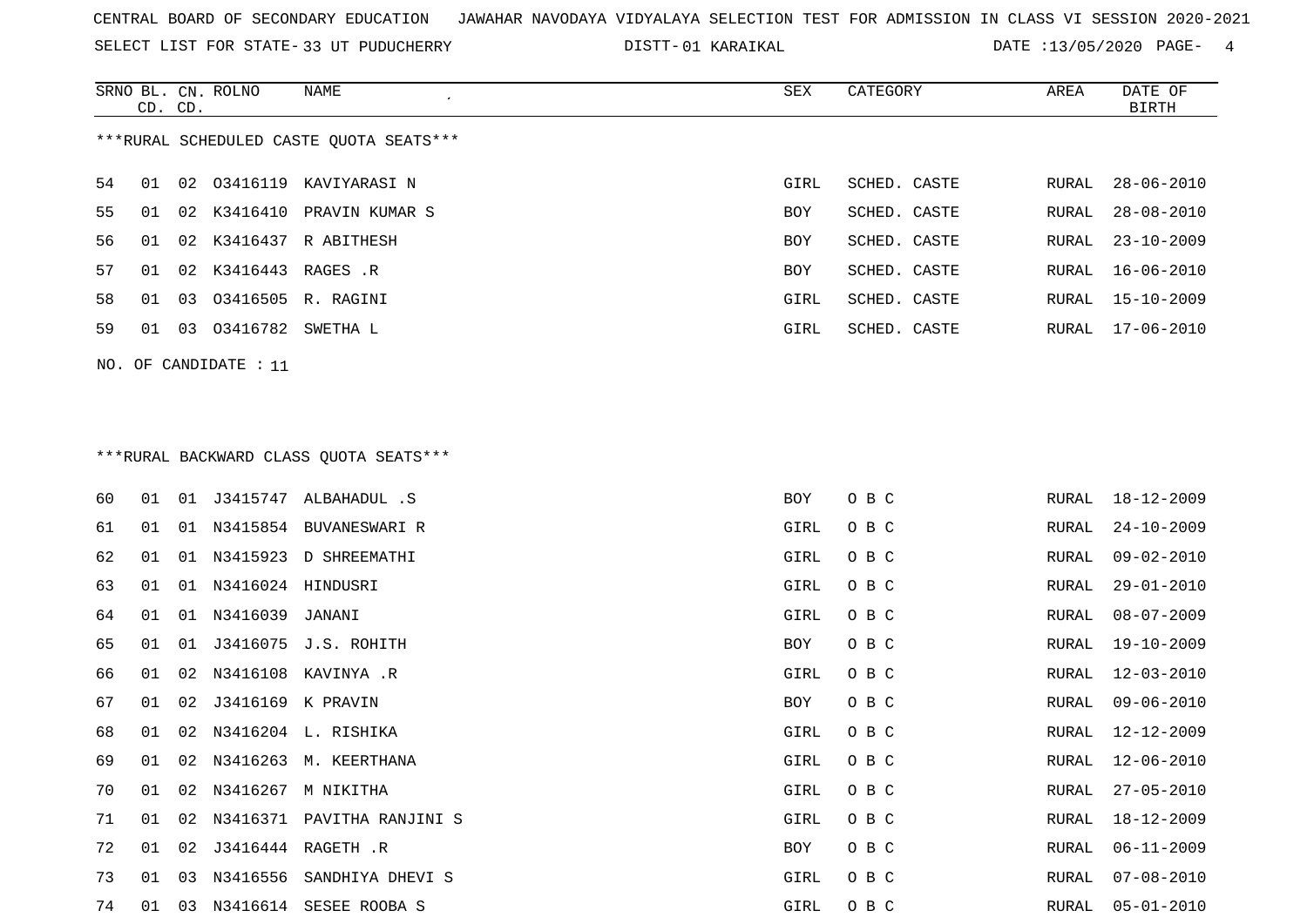SELECT LIST FOR STATE- DISTT- 33 UT PUDUCHERRY

01 KARAIKAL DATE :13/05/2020 PAGE- 4

|                                         | CD. CD.                 |    | SRNO BL. CN. ROLNO   | NAME                       | SEX        | CATEGORY     | AREA  | DATE OF<br>BIRTH |  |  |
|-----------------------------------------|-------------------------|----|----------------------|----------------------------|------------|--------------|-------|------------------|--|--|
| ***RURAL SCHEDULED CASTE OUOTA SEATS*** |                         |    |                      |                            |            |              |       |                  |  |  |
| 54                                      | 01                      |    |                      | 02 03416119 KAVIYARASI N   | GIRL       | SCHED. CASTE | RURAL | $28 - 06 - 2010$ |  |  |
| 55                                      | 01                      |    |                      | 02 K3416410 PRAVIN KUMAR S | <b>BOY</b> | SCHED. CASTE | RURAL | $28 - 08 - 2010$ |  |  |
| 56                                      | 01                      |    | 02 K3416437          | R ABITHESH                 | <b>BOY</b> | SCHED. CASTE | RURAL | $23 - 10 - 2009$ |  |  |
| 57                                      | 01                      |    | 02 K3416443 RAGES .R |                            | <b>BOY</b> | SCHED. CASTE |       | RURAL 16-06-2010 |  |  |
| 58                                      | 01                      |    |                      | 03 03416505 R. RAGINI      | GIRL       | SCHED. CASTE |       | RURAL 15-10-2009 |  |  |
| 59                                      | 01                      | 03 | 03416782 SWETHA L    |                            | GIRL       | SCHED. CASTE | RURAL | 17-06-2010       |  |  |
|                                         | $NO.$ OF CANDIDATE : 11 |    |                      |                            |            |              |       |                  |  |  |

# \*\*\*RURAL BACKWARD CLASS QUOTA SEATS\*\*\*

| 60 | 01 |    |                      | 01 J3415747 ALBAHADUL .S      | BOY  | O B C | RURAL | 18-12-2009       |
|----|----|----|----------------------|-------------------------------|------|-------|-------|------------------|
| 61 | 01 |    |                      | 01 N3415854 BUVANESWARI R     | GIRL | O B C | RURAL | $24 - 10 - 2009$ |
| 62 | 01 |    |                      | 01 N3415923 D SHREEMATHI      | GIRL | O B C | RURAL | $09 - 02 - 2010$ |
| 63 | 01 | 01 | N3416024 HINDUSRI    |                               | GIRL | O B C | RURAL | $29 - 01 - 2010$ |
| 64 | 01 |    | 01 N3416039 JANANI   |                               | GIRL | O B C | RURAL | $08 - 07 - 2009$ |
| 65 | 01 | 01 |                      | J3416075 J.S. ROHITH          | BOY  | O B C | RURAL | $19 - 10 - 2009$ |
| 66 | 01 |    |                      | 02 N3416108 KAVINYA .R        | GIRL | O B C | RURAL | 12-03-2010       |
| 67 | 01 |    | 02 J3416169 K PRAVIN |                               | BOY  | O B C | RURAL | $09 - 06 - 2010$ |
| 68 | 01 |    |                      | 02 N3416204 L. RISHIKA        | GIRL | O B C | RURAL | $12 - 12 - 2009$ |
| 69 | 01 |    |                      | 02 N3416263 M. KEERTHANA      | GIRL | O B C | RURAL | 12-06-2010       |
| 70 | 01 |    |                      | 02 N3416267 M NIKITHA         | GIRL | O B C | RURAL | $27 - 05 - 2010$ |
| 71 | 01 |    |                      | 02 N3416371 PAVITHA RANJINI S | GIRL | O B C | RURAL | 18-12-2009       |
| 72 | 01 | 02 |                      | J3416444 RAGETH .R            | BOY  | O B C | RURAL | $06 - 11 - 2009$ |
| 73 | 01 | 03 |                      | N3416556 SANDHIYA DHEVI S     | GIRL | O B C | RURAL | $07 - 08 - 2010$ |
| 74 | 01 | 03 |                      | N3416614 SESEE ROOBA S        | GIRL | O B C | RURAL | $05 - 01 - 2010$ |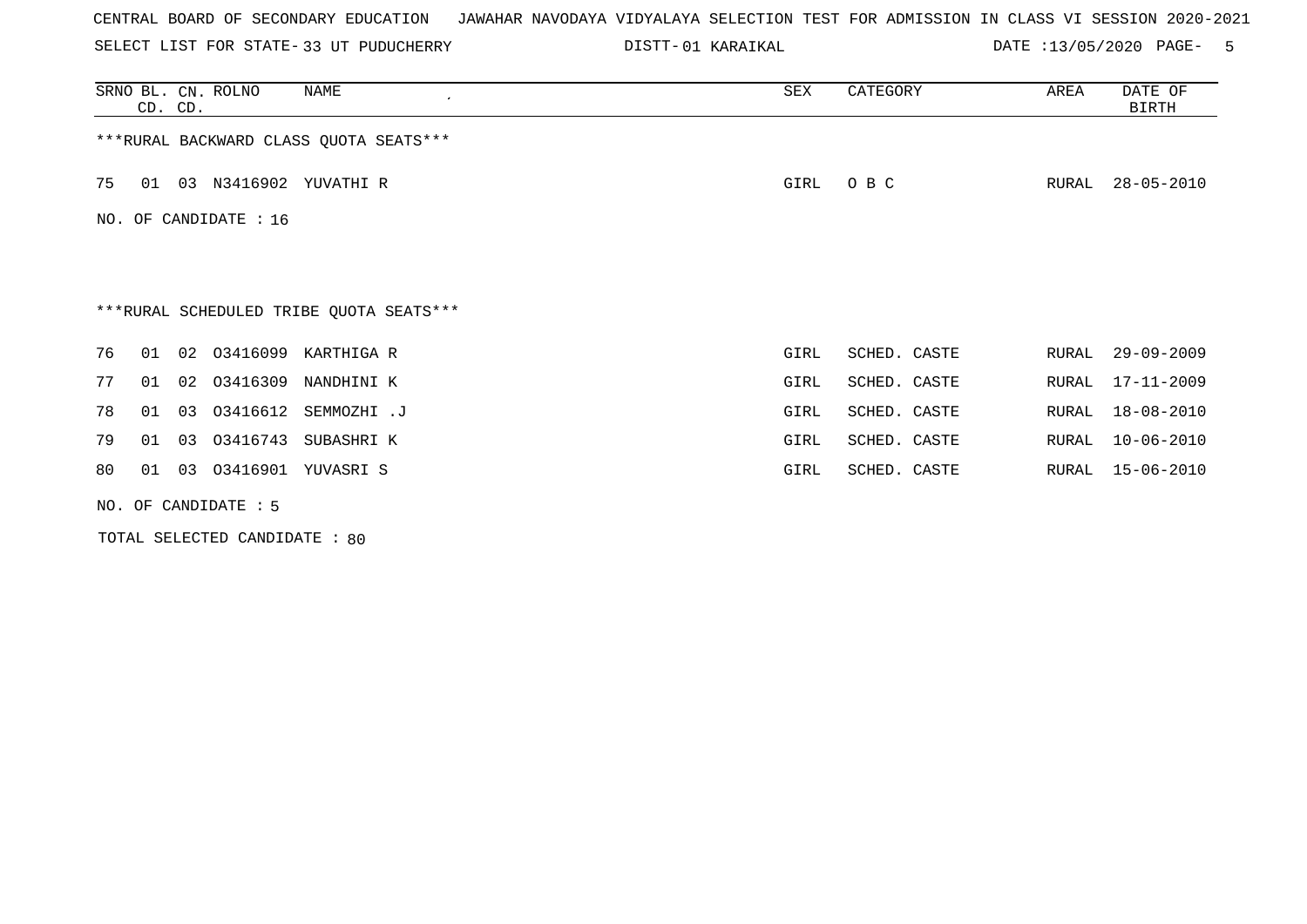SELECT LIST FOR STATE- DISTT- 33 UT PUDUCHERRY

01 KARAIKAL DATE :13/05/2020 PAGE- 5

|    | SRNO BL. CN. ROLNO<br>CD. CD. |                       | NAME<br>$\epsilon$                      | SEX  | CATEGORY     | AREA  | DATE OF<br><b>BIRTH</b> |  |  |
|----|-------------------------------|-----------------------|-----------------------------------------|------|--------------|-------|-------------------------|--|--|
|    |                               |                       | *** RURAL BACKWARD CLASS QUOTA SEATS*** |      |              |       |                         |  |  |
| 75 | 01                            |                       | 03 N3416902 YUVATHI R                   | GIRL | O B C        | RURAL | $28 - 05 - 2010$        |  |  |
|    |                               | NO. OF CANDIDATE : 16 |                                         |      |              |       |                         |  |  |
|    |                               |                       |                                         |      |              |       |                         |  |  |
|    |                               |                       | ***RURAL SCHEDULED TRIBE QUOTA SEATS*** |      |              |       |                         |  |  |
| 76 | 01                            |                       | 02 03416099 KARTHIGA R                  | GIRL | SCHED. CASTE | RURAL | $29 - 09 - 2009$        |  |  |
| 77 | 02<br>01                      | 03416309              | NANDHINI K                              | GIRL | SCHED. CASTE | RURAL | $17 - 11 - 2009$        |  |  |
| 78 | 03<br>01                      |                       | 03416612 SEMMOZHI.J                     | GIRL | SCHED. CASTE | RURAL | 18-08-2010              |  |  |
| 79 | 03<br>01                      | 03416743              | SUBASHRI K                              | GIRL | SCHED. CASTE | RURAL | $10 - 06 - 2010$        |  |  |
| 80 | 01                            |                       | 03 03416901 YUVASRI S                   | GIRL | SCHED. CASTE | RURAL | $15 - 06 - 2010$        |  |  |
|    | NO. OF CANDIDATE : 5          |                       |                                         |      |              |       |                         |  |  |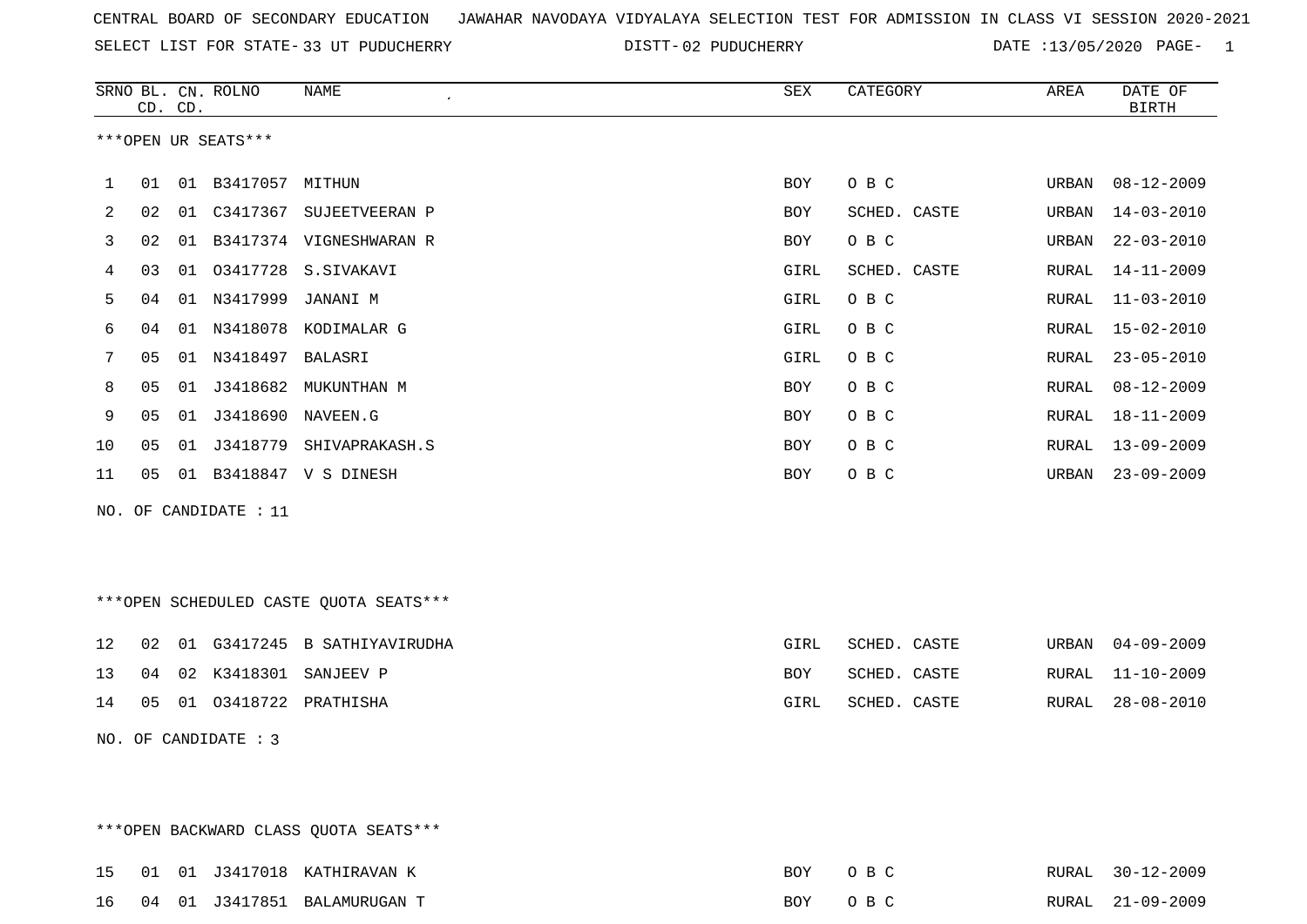SELECT LIST FOR STATE- DISTT- 33 UT PUDUCHERRY

02 PUDUCHERRY DATE :13/05/2020 PAGE- 1

|     |                                        | CD. CD. | SRNO BL. CN. ROLNO   | NAME                                    | SEX        | CATEGORY     | AREA  | DATE OF<br><b>BIRTH</b> |  |
|-----|----------------------------------------|---------|----------------------|-----------------------------------------|------------|--------------|-------|-------------------------|--|
|     |                                        |         | ***OPEN UR SEATS***  |                                         |            |              |       |                         |  |
| 1   | 01                                     |         | 01 B3417057 MITHUN   |                                         | <b>BOY</b> | O B C        | URBAN | $08 - 12 - 2009$        |  |
| 2   | 02                                     |         |                      | 01 C3417367 SUJEETVEERAN P              | <b>BOY</b> | SCHED. CASTE | URBAN | $14 - 03 - 2010$        |  |
| 3   | 02                                     |         |                      | 01 B3417374 VIGNESHWARAN R              | BOY        | O B C        | URBAN | $22 - 03 - 2010$        |  |
| 4   | 03                                     |         |                      | 01 03417728 S.SIVAKAVI                  | GIRL       | SCHED. CASTE | RURAL | 14-11-2009              |  |
| 5   | 04                                     |         | 01 N3417999          | JANANI M                                | GIRL       | O B C        | RURAL | $11 - 03 - 2010$        |  |
| 6   | 04                                     |         |                      | 01 N3418078 KODIMALAR G                 | GIRL       | O B C        | RURAL | $15 - 02 - 2010$        |  |
| 7   | 05                                     |         | 01 N3418497 BALASRI  |                                         | GIRL       | O B C        | RURAL | $23 - 05 - 2010$        |  |
| 8   | 05                                     |         |                      | 01 J3418682 MUKUNTHAN M                 | BOY        | O B C        | RURAL | $08 - 12 - 2009$        |  |
| 9   | 05                                     |         |                      |                                         | <b>BOY</b> | O B C        | RURAL | $18 - 11 - 2009$        |  |
| 10  | 05                                     |         |                      | 01 J3418779 SHIVAPRAKASH.S              | BOY        | O B C        | RURAL | $13 - 09 - 2009$        |  |
| 11  | 05                                     |         |                      | 01 B3418847 V S DINESH                  | BOY        | O B C        | URBAN | $23 - 09 - 2009$        |  |
| NO. |                                        |         | OF CANDIDATE : 11    |                                         |            |              |       |                         |  |
|     |                                        |         |                      |                                         |            |              |       |                         |  |
|     |                                        |         |                      |                                         |            |              |       |                         |  |
|     |                                        |         |                      | *** OPEN SCHEDULED CASTE QUOTA SEATS*** |            |              |       |                         |  |
| 12  | 02                                     |         |                      | 01 G3417245 B SATHIYAVIRUDHA            | GIRL       | SCHED. CASTE | URBAN | $04 - 09 - 2009$        |  |
| 13  | 04                                     |         |                      | 02 K3418301 SANJEEV P                   | <b>BOY</b> | SCHED. CASTE | RURAL | $11 - 10 - 2009$        |  |
| 14  | 05                                     |         |                      | 01 03418722 PRATHISHA                   | GIRL       | SCHED. CASTE | RURAL | $28 - 08 - 2010$        |  |
|     |                                        |         | NO. OF CANDIDATE : 3 |                                         |            |              |       |                         |  |
|     |                                        |         |                      |                                         |            |              |       |                         |  |
|     |                                        |         |                      |                                         |            |              |       |                         |  |
|     | *** OPEN BACKWARD CLASS QUOTA SEATS*** |         |                      |                                         |            |              |       |                         |  |

|  |  | 15 01 01 J3417018 KATHIRAVAN K  | BOY     | OR C | RURAL 30-12-2009 |
|--|--|---------------------------------|---------|------|------------------|
|  |  | 16 04 01 J3417851 BALAMURUGAN T | BOY OBC |      | RURAL 21-09-2009 |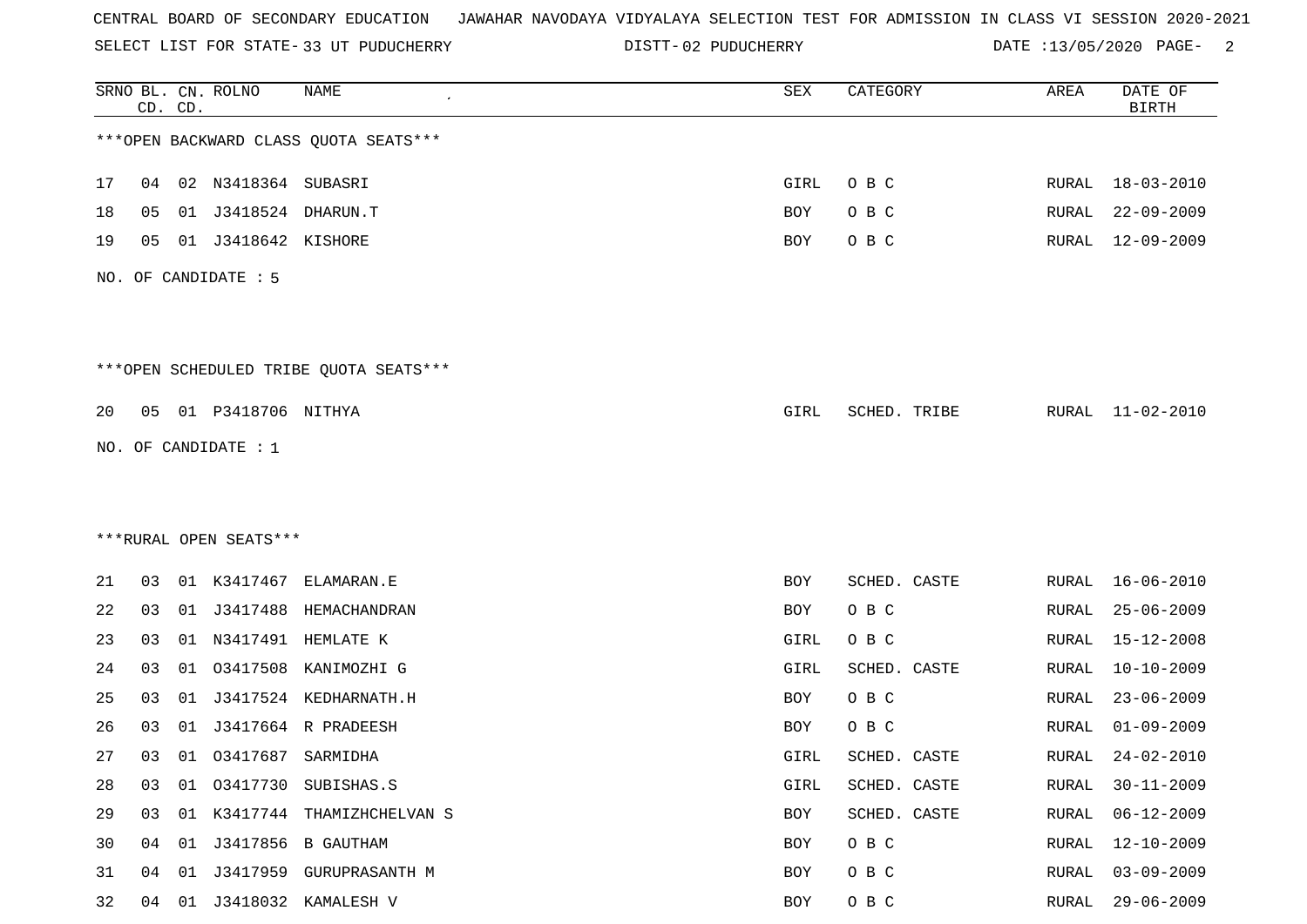SELECT LIST FOR STATE- DISTT- 33 UT PUDUCHERRY

DISTT-02 PUDUCHERRY DATE :13/05/2020 PAGE- 2

|    |    | CD. CD. | SRNO BL. CN. ROLNO     | <b>NAME</b>                            | SEX        | CATEGORY     | AREA         | DATE OF<br><b>BIRTH</b> |
|----|----|---------|------------------------|----------------------------------------|------------|--------------|--------------|-------------------------|
|    |    |         |                        | *** OPEN BACKWARD CLASS QUOTA SEATS*** |            |              |              |                         |
| 17 | 04 |         | 02 N3418364 SUBASRI    |                                        | GIRL       | O B C        | RURAL        | $18 - 03 - 2010$        |
| 18 | 05 | 01      | J3418524               | DHARUN.T                               | BOY        | O B C        | RURAL        | $22 - 09 - 2009$        |
| 19 | 05 |         | 01 J3418642 KISHORE    |                                        | BOY        | O B C        | RURAL        | $12 - 09 - 2009$        |
|    |    |         | NO. OF CANDIDATE : 5   |                                        |            |              |              |                         |
|    |    |         |                        | ***OPEN SCHEDULED TRIBE QUOTA SEATS*** |            |              |              |                         |
| 20 | 05 |         | 01 P3418706 NITHYA     |                                        | GIRL       | SCHED. TRIBE | RURAL        | 11-02-2010              |
|    |    |         | NO. OF CANDIDATE : $1$ |                                        |            |              |              |                         |
|    |    |         |                        |                                        |            |              |              |                         |
|    |    |         |                        |                                        |            |              |              |                         |
|    |    |         | ***RURAL OPEN SEATS*** |                                        |            |              |              |                         |
| 21 | 03 |         | 01 K3417467            | ELAMARAN.E                             | BOY        | SCHED. CASTE | RURAL        | $16 - 06 - 2010$        |
| 22 | 03 |         |                        | 01 J3417488 HEMACHANDRAN               | <b>BOY</b> | O B C        | RURAL        | $25 - 06 - 2009$        |
| 23 | 03 | 01      |                        | N3417491 HEMLATE K                     | GIRL       | O B C        | RURAL        | $15 - 12 - 2008$        |
| 24 | 03 | 01      | 03417508               | KANIMOZHI G                            | GIRL       | SCHED. CASTE | RURAL        | $10 - 10 - 2009$        |
| 25 | 03 | 01      |                        | J3417524 KEDHARNATH.H                  | BOY        | O B C        | RURAL        | $23 - 06 - 2009$        |
| 26 | 03 | 01      |                        | J3417664 R PRADEESH                    | BOY        | O B C        | RURAL        | $01 - 09 - 2009$        |
| 27 | 03 |         | 01 03417687 SARMIDHA   |                                        | GIRL       | SCHED. CASTE | RURAL        | $24 - 02 - 2010$        |
| 28 | 03 | 01      |                        | 03417730 SUBISHAS.S                    | GIRL       | SCHED. CASTE | <b>RURAL</b> | $30 - 11 - 2009$        |
| 29 | 03 |         |                        | 01 K3417744 THAMIZHCHELVAN S           | BOY        | SCHED. CASTE | <b>RURAL</b> | $06 - 12 - 2009$        |
| 30 |    | 04 01   |                        | J3417856 B GAUTHAM                     | BOY        | O B C        | RURAL        | $12 - 10 - 2009$        |
| 31 | 04 | 01      |                        | J3417959 GURUPRASANTH M                | BOY        | O B C        | <b>RURAL</b> | $03 - 09 - 2009$        |
| 32 |    | 04 01   |                        | J3418032 KAMALESH V                    | BOY        | O B C        | RURAL        | $29 - 06 - 2009$        |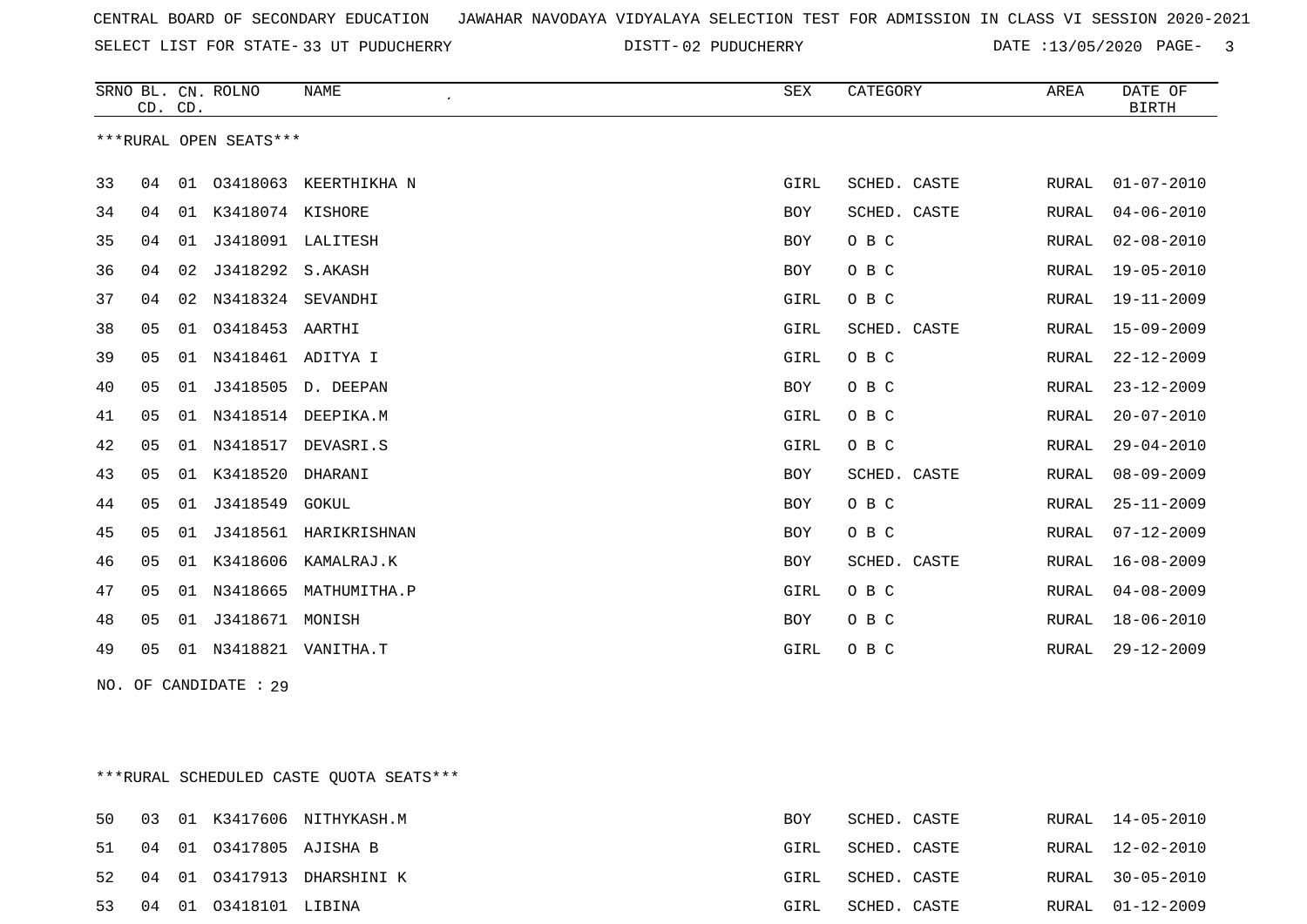SELECT LIST FOR STATE- DISTT- 33 UT PUDUCHERRY

DISTT-02 PUDUCHERRY DATE :13/05/2020 PAGE- 3

|    | CD. CD.        |    | SRNO BL. CN. ROLNO     | <b>NAME</b><br>$\pmb{\cdot}$ | <b>SEX</b>  | CATEGORY     | AREA         | DATE OF<br><b>BIRTH</b> |
|----|----------------|----|------------------------|------------------------------|-------------|--------------|--------------|-------------------------|
|    |                |    | ***RURAL OPEN SEATS*** |                              |             |              |              |                         |
| 33 | 04             | 01 | 03418063               | KEERTHIKHA N                 | GIRL        | SCHED. CASTE | RURAL        | $01 - 07 - 2010$        |
| 34 | 04             | 01 | K3418074 KISHORE       |                              | <b>BOY</b>  | SCHED. CASTE | RURAL        | $04 - 06 - 2010$        |
| 35 | 04             | 01 | J3418091               | LALITESH                     | BOY         | O B C        | <b>RURAL</b> | $02 - 08 - 2010$        |
| 36 | 04             | 02 | J3418292               | S.AKASH                      | BOY         | O B C        | RURAL        | $19 - 05 - 2010$        |
| 37 | 04             | 02 | N3418324               | SEVANDHI                     | GIRL        | O B C        | RURAL        | 19-11-2009              |
| 38 | 05             | 01 | 03418453               | AARTHI                       | GIRL        | SCHED. CASTE | RURAL        | $15 - 09 - 2009$        |
| 39 | 05             | 01 | N3418461 ADITYA I      |                              | GIRL        | O B C        | RURAL        | $22 - 12 - 2009$        |
| 40 | 05             | 01 | J3418505               | D. DEEPAN                    | BOY         | O B C        | RURAL        | $23 - 12 - 2009$        |
| 41 | 05             | 01 | N3418514               | DEEPIKA.M                    | GIRL        | O B C        | RURAL        | $20 - 07 - 2010$        |
| 42 | 05             | 01 | N3418517               | DEVASRI.S                    | GIRL        | O B C        | RURAL        | $29 - 04 - 2010$        |
| 43 | 05             | 01 | K3418520               | DHARANI                      | <b>BOY</b>  | SCHED. CASTE | RURAL        | $08 - 09 - 2009$        |
| 44 | 05             | 01 | J3418549               | GOKUL                        | BOY         | O B C        | RURAL        | $25 - 11 - 2009$        |
| 45 | 05             | 01 | J3418561               | HARIKRISHNAN                 | BOY         | O B C        | RURAL        | $07 - 12 - 2009$        |
| 46 | 0 <sub>5</sub> | 01 | K3418606               | KAMALRAJ.K                   | <b>BOY</b>  | SCHED. CASTE | <b>RURAL</b> | $16 - 08 - 2009$        |
| 47 | 05             | 01 | N3418665               | MATHUMITHA.P                 | GIRL        | O B C        | RURAL        | $04 - 08 - 2009$        |
| 48 | 05             | 01 | J3418671               | MONISH                       | BOY         | O B C        | RURAL        | $18 - 06 - 2010$        |
| 49 | 05             | 01 | N3418821               | VANITHA.T                    | <b>GIRL</b> | O B C        | <b>RURAL</b> | $29 - 12 - 2009$        |

NO. OF CANDIDATE : 29

\*\*\*RURAL SCHEDULED CASTE QUOTA SEATS\*\*\*

|  |                            | 50 03 01 K3417606 NITHYKASH.M | BOY  | SCHED. CASTE |  | RURAL 14-05-2010 |
|--|----------------------------|-------------------------------|------|--------------|--|------------------|
|  | 51 04 01 03417805 AJISHA B |                               | GIRL | SCHED. CASTE |  | RURAL 12-02-2010 |
|  |                            | 52 04 01 03417913 DHARSHINI K | GIRL | SCHED. CASTE |  | RURAL 30-05-2010 |
|  | 53 04 01 03418101 LIBINA   |                               | GIRL | SCHED. CASTE |  | RURAL 01-12-2009 |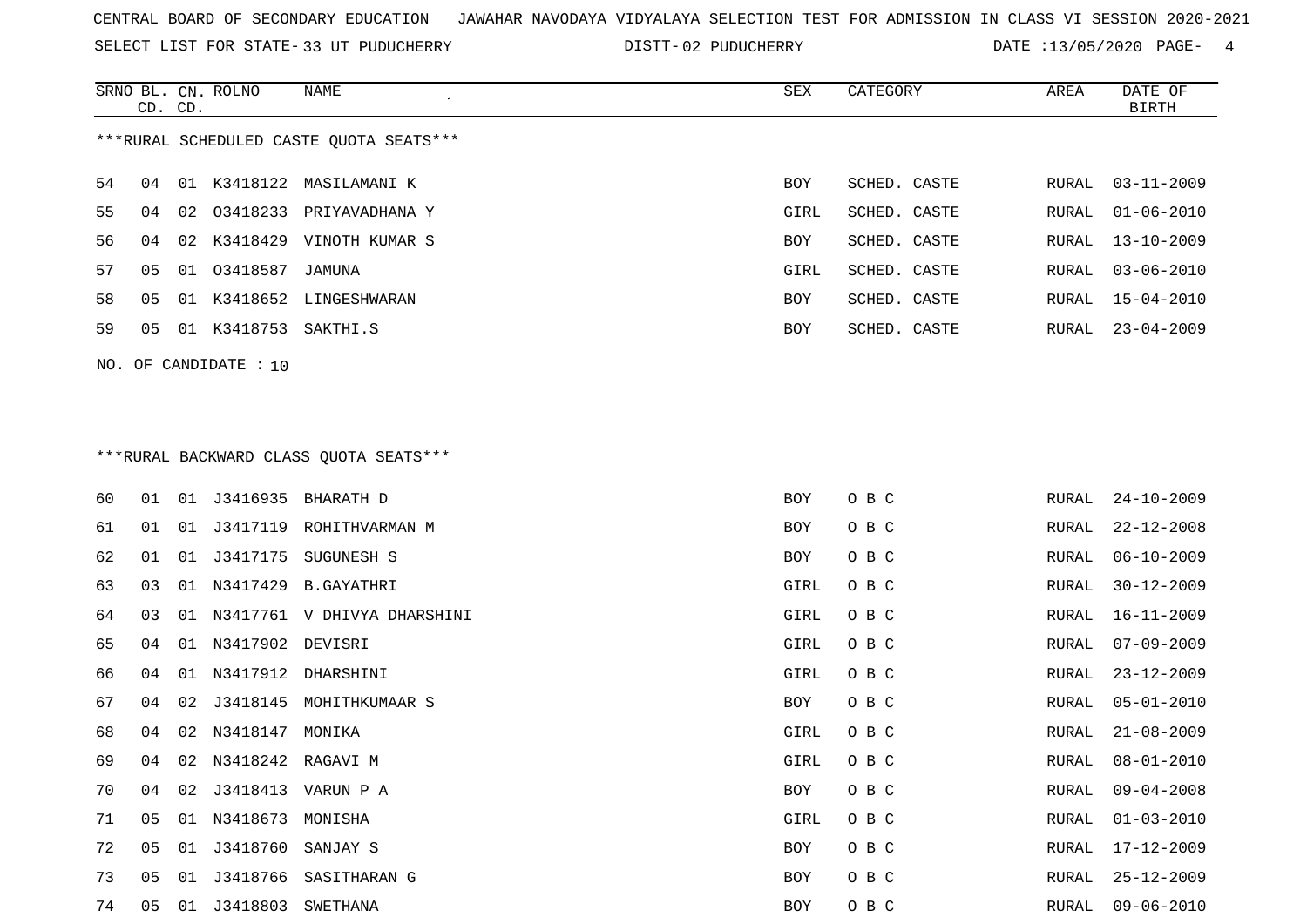SELECT LIST FOR STATE- DISTT- 33 UT PUDUCHERRY

DISTT-02 PUDUCHERRY DATE :13/05/2020 PAGE- 4

|     |    | CD. CD. | SRNO BL. CN. ROLNO   | <b>NAME</b>                              | <b>SEX</b> | CATEGORY     | AREA  | DATE OF<br><b>BIRTH</b> |
|-----|----|---------|----------------------|------------------------------------------|------------|--------------|-------|-------------------------|
|     |    |         |                      | *** RURAL SCHEDULED CASTE QUOTA SEATS*** |            |              |       |                         |
| 54  | 04 |         |                      | 01 K3418122 MASILAMANI K                 | BOY        | SCHED. CASTE | RURAL | $03 - 11 - 2009$        |
| 55  | 04 |         |                      | 02 03418233 PRIYAVADHANA Y               | GIRL       | SCHED. CASTE | RURAL | $01 - 06 - 2010$        |
| 56  | 04 |         |                      | 02 K3418429 VINOTH KUMAR S               | BOY        | SCHED. CASTE | RURAL | $13 - 10 - 2009$        |
| 57  | 05 |         | 01 03418587          | JAMUNA                                   | GIRL       | SCHED. CASTE | RURAL | $03 - 06 - 2010$        |
| 58  | 05 |         |                      | 01 K3418652 LINGESHWARAN                 | BOY        | SCHED. CASTE | RURAL | $15 - 04 - 2010$        |
| 59  | 05 |         | 01 K3418753 SAKTHI.S |                                          | <b>BOY</b> | SCHED. CASTE | RURAL | $23 - 04 - 2009$        |
| NO. |    |         | OF CANDIDATE : 10    |                                          |            |              |       |                         |
|     |    |         |                      |                                          |            |              |       |                         |
|     |    |         |                      |                                          |            |              |       |                         |
|     |    |         |                      | *** RURAL BACKWARD CLASS QUOTA SEATS***  |            |              |       |                         |
| 60  | 01 |         |                      | 01 J3416935 BHARATH D                    | BOY        | O B C        | RURAL | $24 - 10 - 2009$        |
| 61  | 01 | 01      | J3417119             | ROHITHVARMAN M                           | BOY        | O B C        | RURAL | $22 - 12 - 2008$        |
| 62  | 01 | 01      |                      | J3417175 SUGUNESH S                      | <b>BOY</b> | O B C        | RURAL | $06 - 10 - 2009$        |
| 63  | 03 |         |                      | 01 N3417429 B.GAYATHRI                   | GIRL       | O B C        | RURAL | $30 - 12 - 2009$        |
| 64  | 03 |         |                      | 01 N3417761 V DHIVYA DHARSHINI           | GIRL       | O B C        | RURAL | $16 - 11 - 2009$        |
| --- |    |         |                      |                                          |            |              |       | .                       |

| 64 | 03 |                         | 01 N3417761 V DHIVYA DHARSHINI | GIRL | O B C | RURAL | $16 - 11 - 2009$ |
|----|----|-------------------------|--------------------------------|------|-------|-------|------------------|
| 65 | 04 | 01 N3417902 DEVISRI     |                                | GIRL | O B C | RURAL | $07 - 09 - 2009$ |
| 66 | 04 |                         | 01 N3417912 DHARSHINI          | GIRL | O B C | RURAL | $23 - 12 - 2009$ |
| 67 | 04 |                         | 02 J3418145 MOHITHKUMAAR S     | BOY  | O B C | RURAL | $05 - 01 - 2010$ |
| 68 | 04 | 02 N3418147 MONIKA      |                                | GIRL | O B C | RURAL | $21 - 08 - 2009$ |
| 69 | 04 | 02 N3418242 RAGAVI M    |                                | GIRL | O B C | RURAL | $08 - 01 - 2010$ |
| 70 | 04 |                         | 02 J3418413 VARUN P A          | BOY  | O B C | RURAL | $09 - 04 - 2008$ |
| 71 | 05 | 01 N3418673 MONISHA     |                                | GIRL | O B C | RURAL | $01 - 03 - 2010$ |
| 72 | 05 | 01 J3418760 SANJAY S    |                                | BOY  | O B C | RURAL | 17-12-2009       |
| 73 | 05 |                         | 01 J3418766 SASITHARAN G       | BOY  | O B C | RURAL | $25 - 12 - 2009$ |
| 74 |    | 05 01 J3418803 SWETHANA |                                | BOY  | O B C |       | RURAL 09-06-2010 |
|    |    |                         |                                |      |       |       |                  |
|    |    |                         |                                |      |       |       |                  |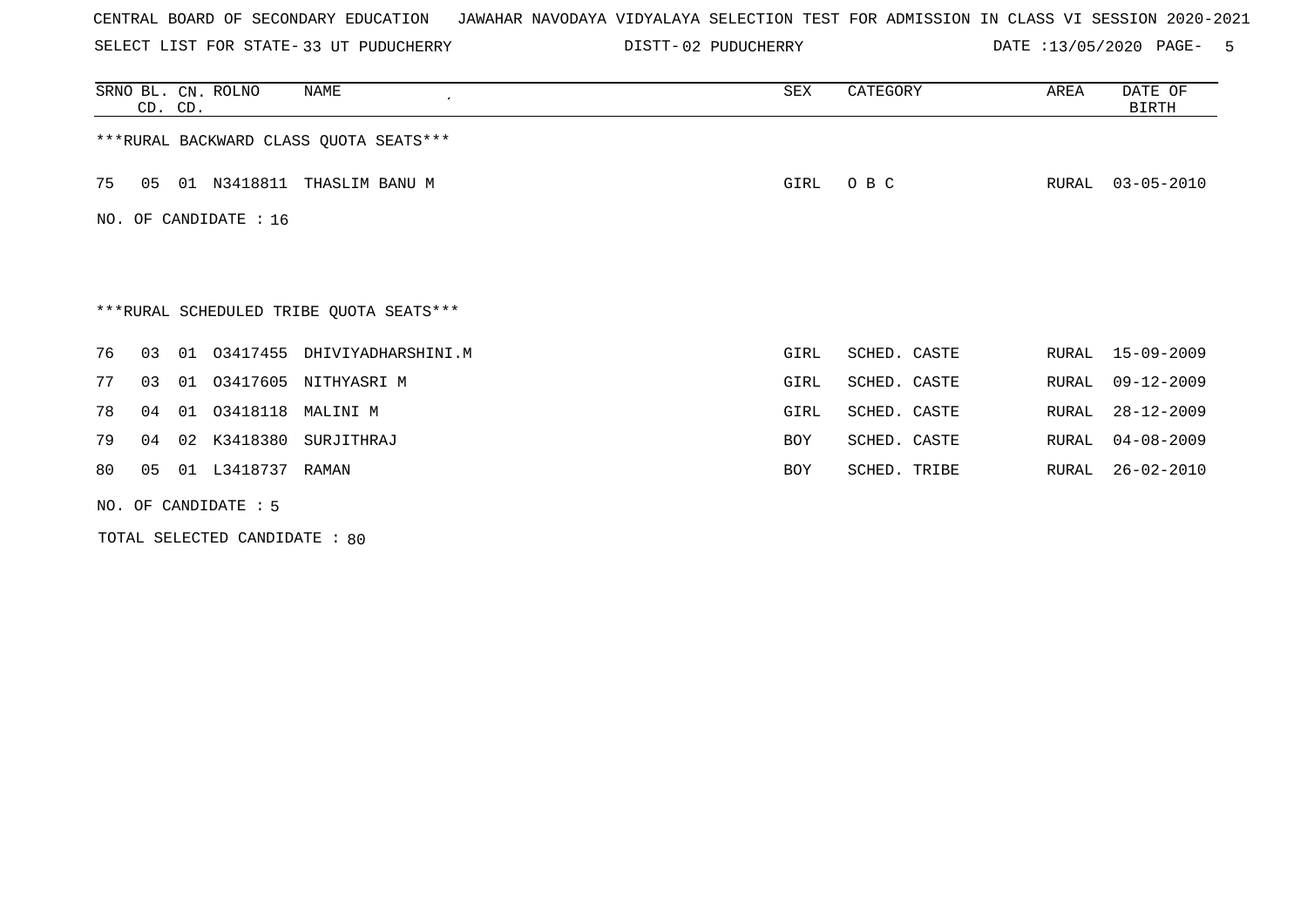SELECT LIST FOR STATE- DISTT- 33 UT PUDUCHERRY

DISTT-02 PUDUCHERRY DATE :13/05/2020 PAGE- 5

|     | CD. CD.                                 |    | SRNO BL. CN. ROLNO   | <b>NAME</b>                             | SEX  | CATEGORY     | AREA  | DATE OF<br><b>BIRTH</b> |  |  |  |  |
|-----|-----------------------------------------|----|----------------------|-----------------------------------------|------|--------------|-------|-------------------------|--|--|--|--|
|     | *** RURAL BACKWARD CLASS QUOTA SEATS*** |    |                      |                                         |      |              |       |                         |  |  |  |  |
| 75  | 05                                      |    | 01 N3418811          | THASLIM BANU M                          | GIRL | O B C        | RURAL | $03 - 05 - 2010$        |  |  |  |  |
| NO. |                                         |    | OF CANDIDATE : 16    |                                         |      |              |       |                         |  |  |  |  |
|     |                                         |    |                      |                                         |      |              |       |                         |  |  |  |  |
|     |                                         |    |                      | ***RURAL SCHEDULED TRIBE QUOTA SEATS*** |      |              |       |                         |  |  |  |  |
| 76  | 03                                      | 01 | 03417455             | DHIVIYADHARSHINI.M                      | GIRL | SCHED. CASTE | RURAL | 15-09-2009              |  |  |  |  |
| 77  | 03                                      | 01 | 03417605             | NITHYASRI M                             | GIRL | SCHED. CASTE | RURAL | $09 - 12 - 2009$        |  |  |  |  |
| 78  | 04                                      | 01 | 03418118             | MALINI M                                | GIRL | SCHED. CASTE | RURAL | $28 - 12 - 2009$        |  |  |  |  |
| 79  | 04                                      | 02 | K3418380             | SURJITHRAJ                              | BOY  | SCHED. CASTE | RURAL | $04 - 08 - 2009$        |  |  |  |  |
| 80  | 05                                      | 01 | L3418737             | RAMAN                                   | BOY  | SCHED. TRIBE | RURAL | $26 - 02 - 2010$        |  |  |  |  |
|     |                                         |    | NO. OF CANDIDATE : 5 |                                         |      |              |       |                         |  |  |  |  |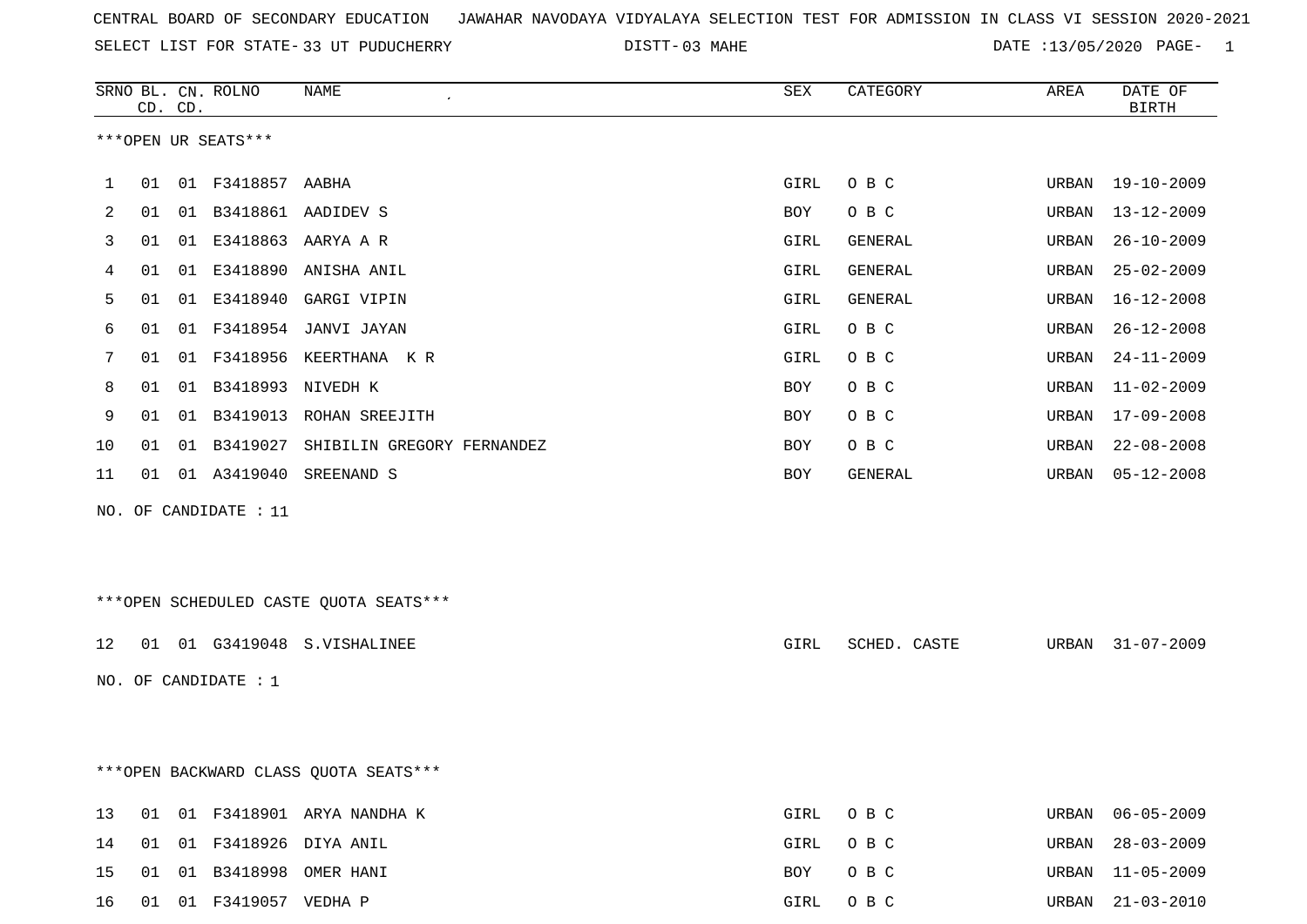| CENTRAL BOARD OF SECONDARY EDUCATION – JAWAHAR NAVODAYA VIDYALAYA SELECTION TEST FOR ADMISSION IN CLASS VI SESSION 2020-2021 |  |
|------------------------------------------------------------------------------------------------------------------------------|--|
|------------------------------------------------------------------------------------------------------------------------------|--|

SELECT LIST FOR STATE-33 UT PUDUCHERRY

33 UT PUDUCHERRY 03 MAHE DATE :13/05/2020 PAGE- 1

|     |    | CD. CD. | SRNO BL. CN. ROLNO     | NAME                                    | ${\tt SEX}$ | CATEGORY       | AREA  | DATE OF<br><b>BIRTH</b> |
|-----|----|---------|------------------------|-----------------------------------------|-------------|----------------|-------|-------------------------|
|     |    |         | ***OPEN UR SEATS***    |                                         |             |                |       |                         |
| 1   | 01 |         | 01 F3418857 AABHA      |                                         | GIRL        | O B C          | URBAN | 19-10-2009              |
| 2   | 01 |         |                        | 01 B3418861 AADIDEV S                   | BOY         | O B C          | URBAN | $13 - 12 - 2009$        |
| 3   | 01 |         |                        | 01 E3418863 AARYA A R                   | GIRL        | GENERAL        | URBAN | $26 - 10 - 2009$        |
| 4   | 01 |         | 01 E3418890            | ANISHA ANIL                             | GIRL        | GENERAL        | URBAN | $25 - 02 - 2009$        |
| 5   | 01 |         |                        | 01 E3418940 GARGI VIPIN                 | GIRL        | <b>GENERAL</b> | URBAN | $16 - 12 - 2008$        |
| 6   | 01 |         |                        | 01 F3418954 JANVI JAYAN                 | GIRL        | O B C          | URBAN | $26 - 12 - 2008$        |
| 7   | 01 | 01      |                        | F3418956 KEERTHANA KR                   | GIRL        | O B C          | URBAN | $24 - 11 - 2009$        |
| 8   | 01 |         | 01 B3418993 NIVEDH K   |                                         | BOY         | O B C          | URBAN | $11 - 02 - 2009$        |
| 9   | 01 |         |                        | 01 B3419013 ROHAN SREEJITH              | <b>BOY</b>  | O B C          | URBAN | $17 - 09 - 2008$        |
| 10  | 01 |         |                        | 01 B3419027 SHIBILIN GREGORY FERNANDEZ  | BOY         | O B C          | URBAN | $22 - 08 - 2008$        |
| 11  | 01 |         | 01 A3419040            | SREENAND S                              | BOY         | GENERAL        | URBAN | $05 - 12 - 2008$        |
| NO. |    |         | OF CANDIDATE : 11      |                                         |             |                |       |                         |
|     |    |         |                        |                                         |             |                |       |                         |
|     |    |         |                        | *** OPEN SCHEDULED CASTE QUOTA SEATS*** |             |                |       |                         |
| 12  |    |         |                        | 01 01 G3419048 S.VISHALINEE             | GIRL        | SCHED. CASTE   | URBAN | $31 - 07 - 2009$        |
|     |    |         |                        |                                         |             |                |       |                         |
|     |    |         | NO. OF CANDIDATE : 1   |                                         |             |                |       |                         |
|     |    |         |                        |                                         |             |                |       |                         |
|     |    |         |                        | *** OPEN BACKWARD CLASS QUOTA SEATS***  |             |                |       |                         |
| 13  |    |         |                        | 01 01 F3418901 ARYA NANDHA K            | GIRL        | O B C          | URBAN | $06 - 05 - 2009$        |
| 14  |    |         |                        | 01 01 F3418926 DIYA ANIL                | GIRL        | O B C          | URBAN | $28 - 03 - 2009$        |
| 15  |    |         |                        | 01 01 B3418998 OMER HANI                | BOY         | O B C          | URBAN | $11 - 05 - 2009$        |
| 16  |    |         | 01 01 F3419057 VEDHA P |                                         | GIRL        | O B C          |       | URBAN 21-03-2010        |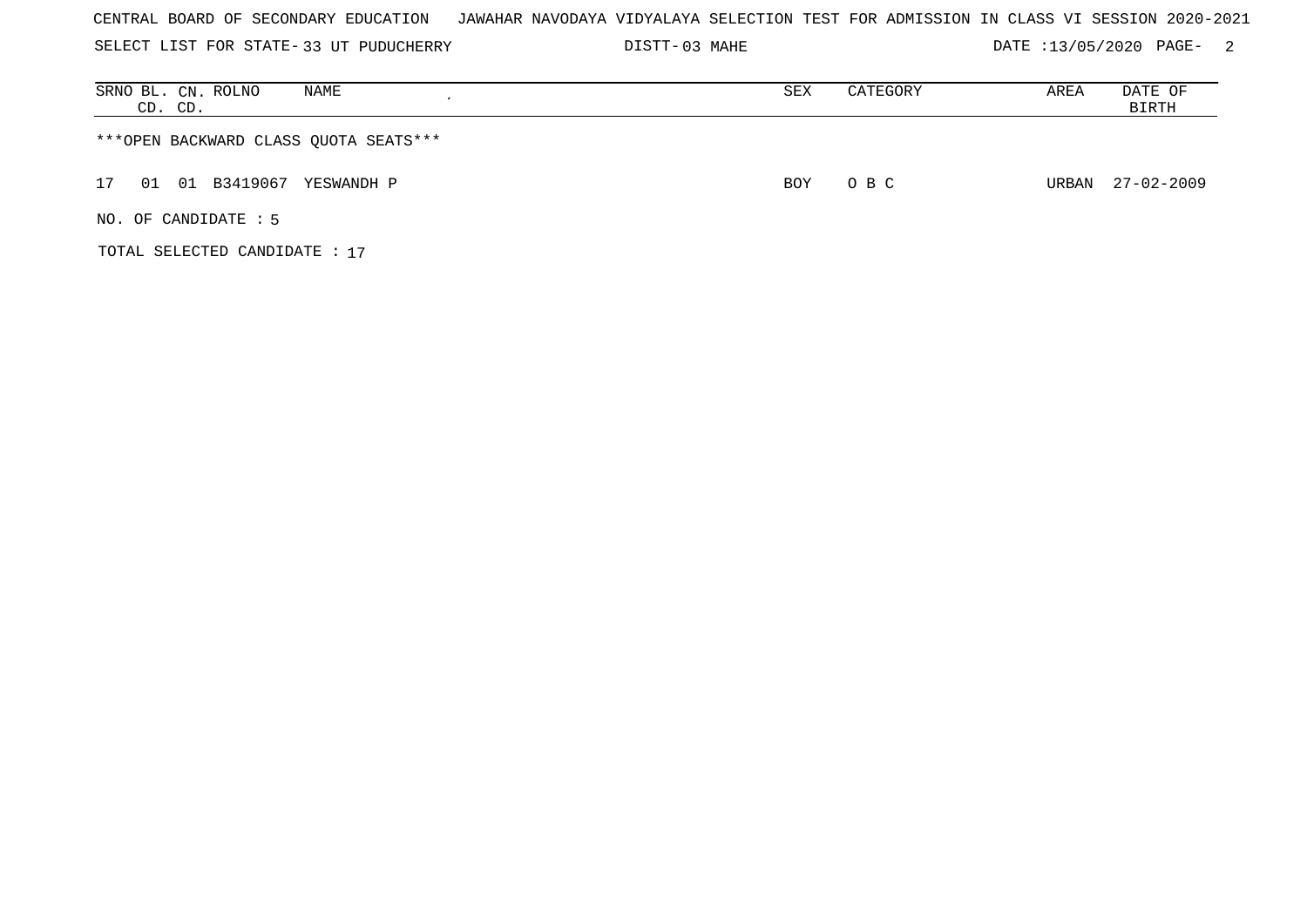| CENTRAL BOARD OF SECONDARY EDUCATION – JAWAHAR NAVODAYA VIDYALAYA SELECTION TEST FOR ADMISSION IN CLASS VI SESSION 2020-2021 |  |  |  |  |
|------------------------------------------------------------------------------------------------------------------------------|--|--|--|--|
|------------------------------------------------------------------------------------------------------------------------------|--|--|--|--|

SELECT LIST FOR STATE- DISTT- 33 UT PUDUCHERRY 03 MAHE DATE :13/05/2020 PAGE- 2

| SRNO BL. CN. ROLNO<br>NAME<br>CD. CD. | SEX        | CATEGORY | AREA  | DATE OF<br>BIRTH |
|---------------------------------------|------------|----------|-------|------------------|
| ***OPEN BACKWARD CLASS QUOTA SEATS*** |            |          |       |                  |
| 01 B3419067<br>01<br>17<br>YESWANDH P | <b>BOY</b> | O B C    | URBAN | 27-02-2009       |
| NO. OF CANDIDATE $: 5$                |            |          |       |                  |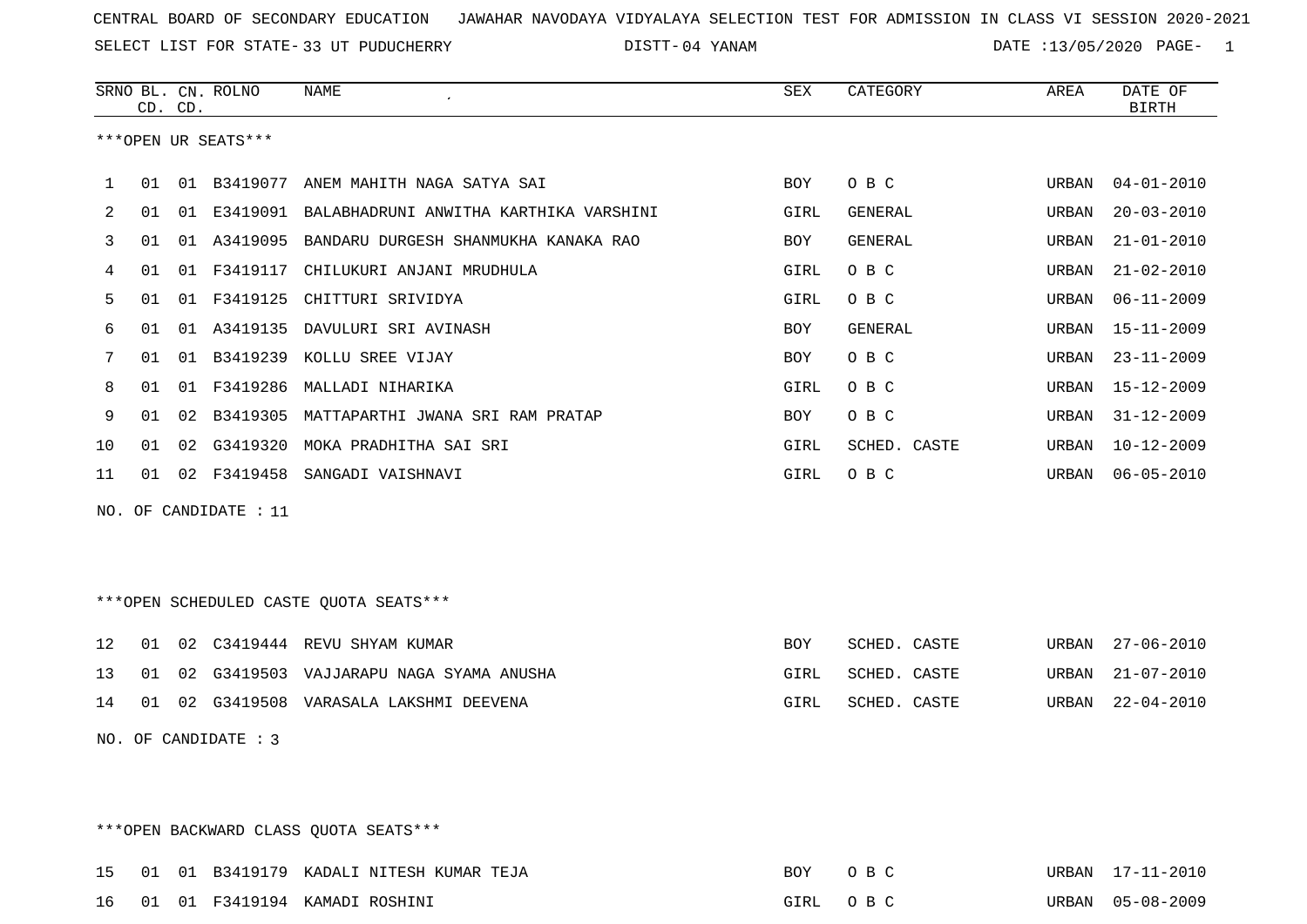SELECT LIST FOR STATE- DISTT- 33 UT PUDUCHERRY

04 YANAM DATE :13/05/2020 PAGE- 1

|    |    | CD. CD. | SRNO BL. CN. ROLNO    | <b>NAME</b>                                     | <b>SEX</b> | CATEGORY     | AREA  | DATE OF<br><b>BIRTH</b> |
|----|----|---------|-----------------------|-------------------------------------------------|------------|--------------|-------|-------------------------|
|    |    |         | ***OPEN UR SEATS***   |                                                 |            |              |       |                         |
| 1  | 01 |         | 01 B3419077           | ANEM MAHITH NAGA SATYA SAI                      | BOY        | O B C        | URBAN | $04 - 01 - 2010$        |
| 2  | 01 | 01      |                       | E3419091 BALABHADRUNI ANWITHA KARTHIKA VARSHINI | GIRL       | GENERAL      | URBAN | $20 - 03 - 2010$        |
| 3  | 01 |         | 01 A3419095           | BANDARU DURGESH SHANMUKHA KANAKA RAO            | BOY        | GENERAL      | URBAN | $21 - 01 - 2010$        |
| 4  | 01 | 01      | F3419117              | CHILUKURI ANJANI MRUDHULA                       | GIRL       | O B C        | URBAN | $21 - 02 - 2010$        |
| 5  | 01 |         |                       | 01 F3419125 CHITTURI SRIVIDYA                   | GIRL       | O B C        | URBAN | $06 - 11 - 2009$        |
| 6  | 01 | 01      |                       | A3419135 DAVULURI SRI AVINASH                   | <b>BOY</b> | GENERAL      | URBAN | $15 - 11 - 2009$        |
| 7  | 01 |         |                       | 01 B3419239 KOLLU SREE VIJAY                    | <b>BOY</b> | O B C        | URBAN | $23 - 11 - 2009$        |
| 8  | 01 |         | 01 F3419286           | MALLADI NIHARIKA                                | GIRL       | O B C        | URBAN | $15 - 12 - 2009$        |
| 9  | 01 |         |                       | 02 B3419305 MATTAPARTHI JWANA SRI RAM PRATAP    | BOY        | O B C        | URBAN | $31 - 12 - 2009$        |
| 10 | 01 | 02      | G3419320              | MOKA PRADHITHA SAI SRI                          | GIRL       | SCHED. CASTE | URBAN | $10 - 12 - 2009$        |
| 11 |    |         |                       | 01 02 F3419458 SANGADI VAISHNAVI                | GIRL       | O B C        | URBAN | $06 - 05 - 2010$        |
|    |    |         | NO. OF CANDIDATE : 11 |                                                 |            |              |       |                         |
|    |    |         |                       | ***OPEN SCHEDULED CASTE QUOTA SEATS***          |            |              |       |                         |
| 12 | 01 |         |                       | 02 C3419444 REVU SHYAM KUMAR                    | <b>BOY</b> | SCHED. CASTE | URBAN | $27 - 06 - 2010$        |
| 13 | 01 | 02      |                       | G3419503 VAJJARAPU NAGA SYAMA ANUSHA            | GIRL       | SCHED. CASTE | URBAN | $21 - 07 - 2010$        |
| 14 |    |         |                       | 01 02 G3419508 VARASALA LAKSHMI DEEVENA         | GIRL       | SCHED. CASTE | URBAN | $22 - 04 - 2010$        |
|    |    |         | NO. OF CANDIDATE : 3  |                                                 |            |              |       |                         |

\*\*\*OPEN BACKWARD CLASS QUOTA SEATS\*\*\*

|  |  | 15 01 01 B3419179 KADALI NITESH KUMAR TEJA | BOY | O B C    | URBAN 17-11-2010 |
|--|--|--------------------------------------------|-----|----------|------------------|
|  |  | 16 01 01 F3419194 KAMADI ROSHINI           |     | GIRL OBC | URBAN 05-08-2009 |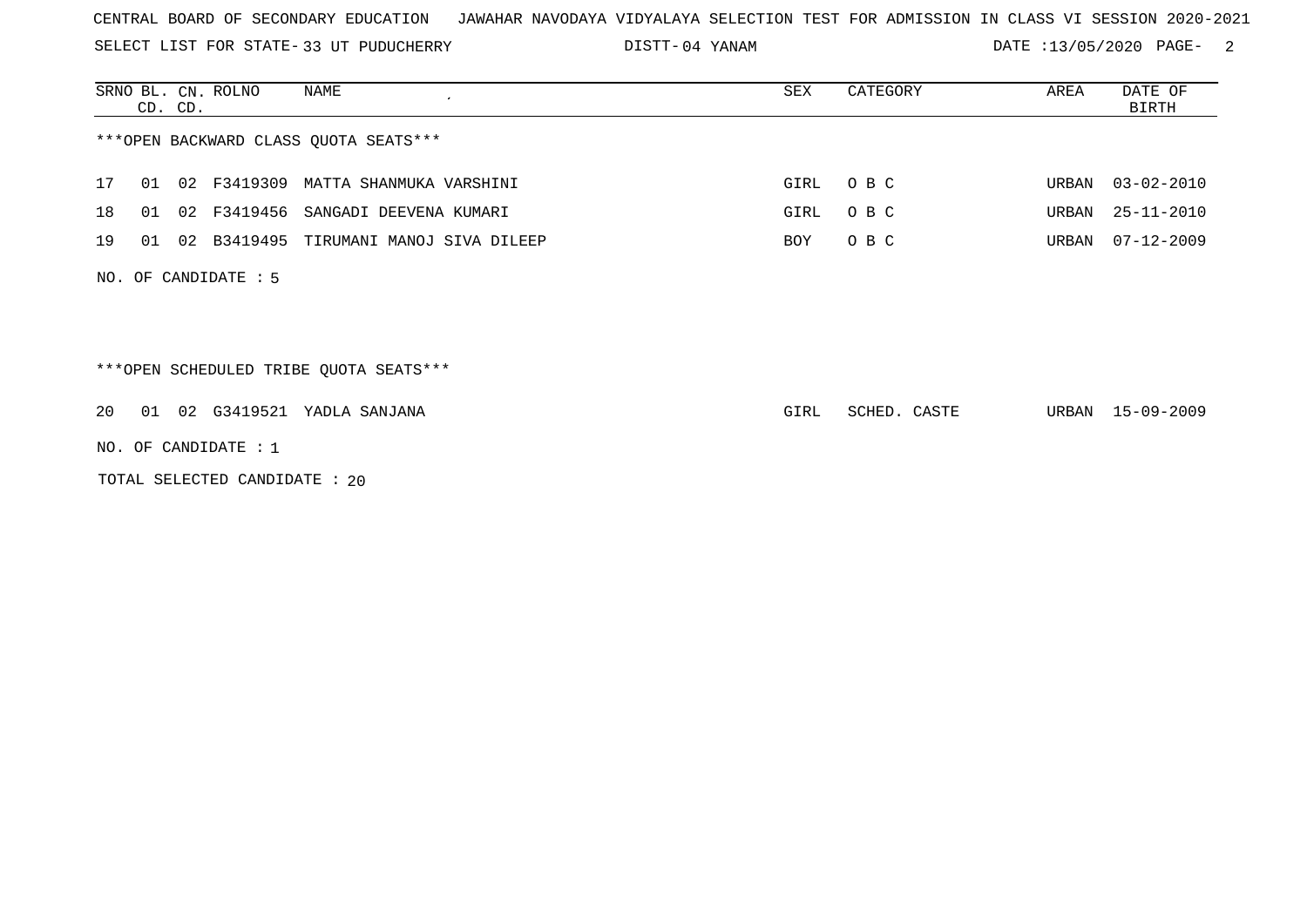SELECT LIST FOR STATE- DISTT- 33 UT PUDUCHERRY

04 YANAM DATE :13/05/2020 PAGE- 2

|    | CD. CD.                                | SRNO BL. CN. ROLNO           | NAME                                    | SEX  | CATEGORY     | AREA  | DATE OF<br><b>BIRTH</b> |  |  |  |  |
|----|----------------------------------------|------------------------------|-----------------------------------------|------|--------------|-------|-------------------------|--|--|--|--|
|    | *** OPEN BACKWARD CLASS QUOTA SEATS*** |                              |                                         |      |              |       |                         |  |  |  |  |
| 17 | 02<br>01                               |                              | F3419309 MATTA SHANMUKA VARSHINI        | GIRL | O B C        | URBAN | $03 - 02 - 2010$        |  |  |  |  |
| 18 | 01                                     |                              | 02 F3419456 SANGADI DEEVENA KUMARI      | GIRL | O B C        | URBAN | 25-11-2010              |  |  |  |  |
| 19 | 01                                     | 02 B3419495                  | TIRUMANI MANOJ SIVA DILEEP              | BOY  | O B C        | URBAN | $07 - 12 - 2009$        |  |  |  |  |
|    |                                        | NO. OF CANDIDATE $: 5$       |                                         |      |              |       |                         |  |  |  |  |
|    |                                        |                              | *** OPEN SCHEDULED TRIBE QUOTA SEATS*** |      |              |       |                         |  |  |  |  |
| 20 | 01                                     |                              | 02 G3419521 YADLA SANJANA               | GIRL | SCHED. CASTE | URBAN | 15-09-2009              |  |  |  |  |
|    |                                        | NO. OF CANDIDATE : $1$       |                                         |      |              |       |                         |  |  |  |  |
|    |                                        | TOTAL SELECTED CANDIDATE: 20 |                                         |      |              |       |                         |  |  |  |  |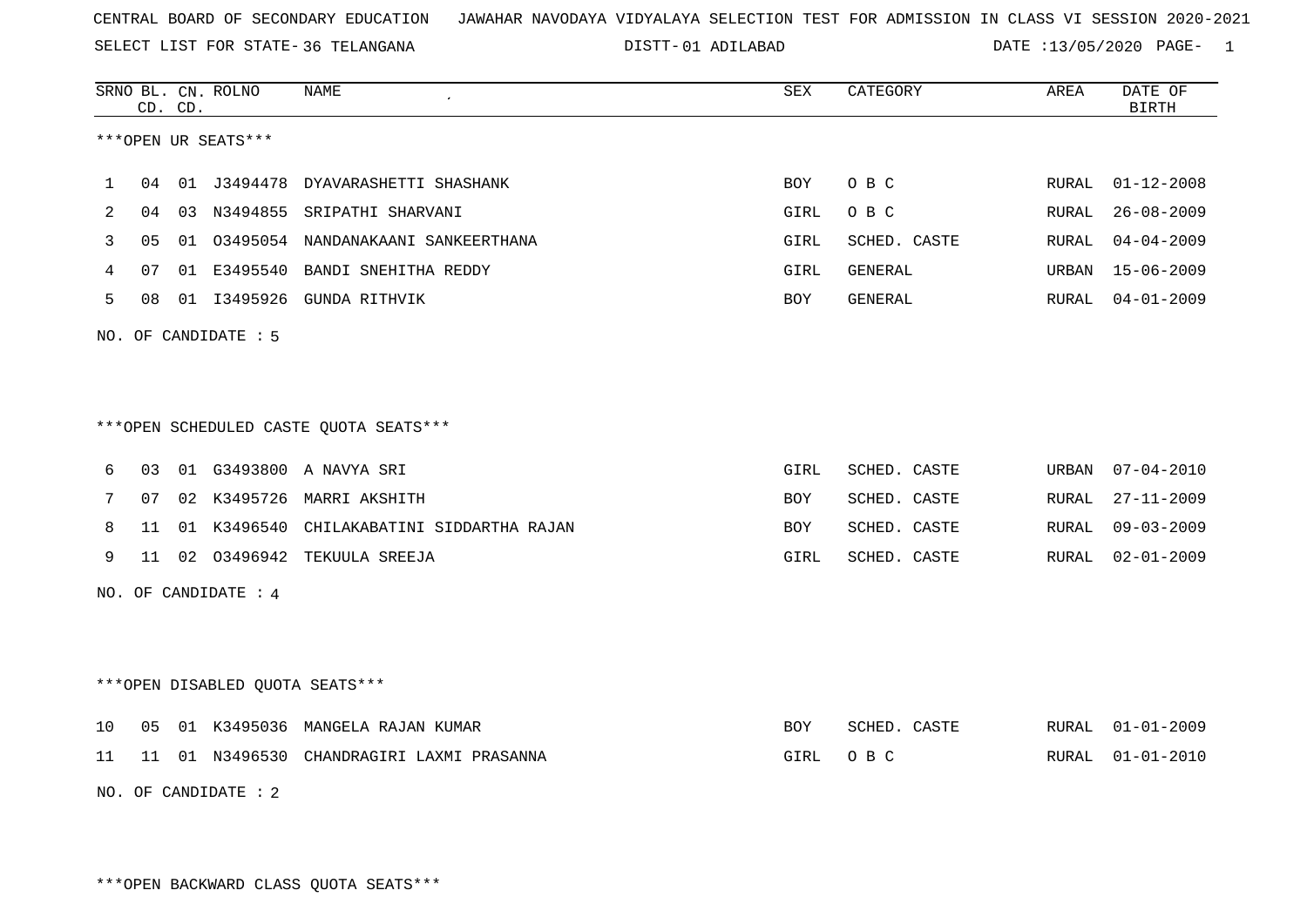SELECT LIST FOR STATE- DISTT- 36 TELANGANA

01 ADILABAD DATE :13/05/2020 PAGE- 1

|    |    | CD. CD. | SRNO BL. CN. ROLNO   | <b>NAME</b>                               | SEX        | CATEGORY       | AREA  | DATE OF<br><b>BIRTH</b> |
|----|----|---------|----------------------|-------------------------------------------|------------|----------------|-------|-------------------------|
|    |    |         | ***OPEN UR SEATS***  |                                           |            |                |       |                         |
| 1  | 04 |         |                      | 01 J3494478 DYAVARASHETTI SHASHANK        | BOY        | O B C          | RURAL | $01 - 12 - 2008$        |
| 2  | 04 |         |                      | 03 N3494855 SRIPATHI SHARVANI             | GIRL       | O B C          | RURAL | $26 - 08 - 2009$        |
| 3  | 05 |         |                      | 01 03495054 NANDANAKAANI SANKEERTHANA     | GIRL       | SCHED. CASTE   | RURAL | $04 - 04 - 2009$        |
| 4  | 07 |         |                      | 01 E3495540 BANDI SNEHITHA REDDY          | GIRL       | <b>GENERAL</b> | URBAN | $15 - 06 - 2009$        |
| 5  | 08 |         |                      | 01 I3495926 GUNDA RITHVIK                 | BOY        | GENERAL        | RURAL | $04 - 01 - 2009$        |
|    |    |         | NO. OF CANDIDATE : 5 |                                           |            |                |       |                         |
|    |    |         |                      |                                           |            |                |       |                         |
|    |    |         |                      |                                           |            |                |       |                         |
|    |    |         |                      | ***OPEN SCHEDULED CASTE QUOTA SEATS***    |            |                |       |                         |
| 6  | 03 |         |                      | 01 G3493800 A NAVYA SRI                   | GIRL       | SCHED. CASTE   | URBAN | $07 - 04 - 2010$        |
| 7  | 07 |         | 02 K3495726          | MARRI AKSHITH                             | BOY        | SCHED. CASTE   | RURAL | $27 - 11 - 2009$        |
| 8  | 11 |         |                      | 01 K3496540 CHILAKABATINI SIDDARTHA RAJAN | <b>BOY</b> | SCHED. CASTE   | RURAL | $09 - 03 - 2009$        |
| 9  | 11 |         |                      | 02 03496942 TEKUULA SREEJA                | GIRL       | SCHED. CASTE   | RURAL | $02 - 01 - 2009$        |
|    |    |         | NO. OF CANDIDATE : 4 |                                           |            |                |       |                         |
|    |    |         |                      |                                           |            |                |       |                         |
|    |    |         |                      |                                           |            |                |       |                         |
|    |    |         |                      | ***OPEN DISABLED QUOTA SEATS***           |            |                |       |                         |
| 10 | 05 |         |                      | 01 K3495036 MANGELA RAJAN KUMAR           | BOY        | SCHED. CASTE   | RURAL | $01 - 01 - 2009$        |
| 11 |    |         |                      | 11 01 N3496530 CHANDRAGIRI LAXMI PRASANNA | GIRL       | O B C          | RURAL | $01 - 01 - 2010$        |
|    |    |         | NO. OF CANDIDATE : 2 |                                           |            |                |       |                         |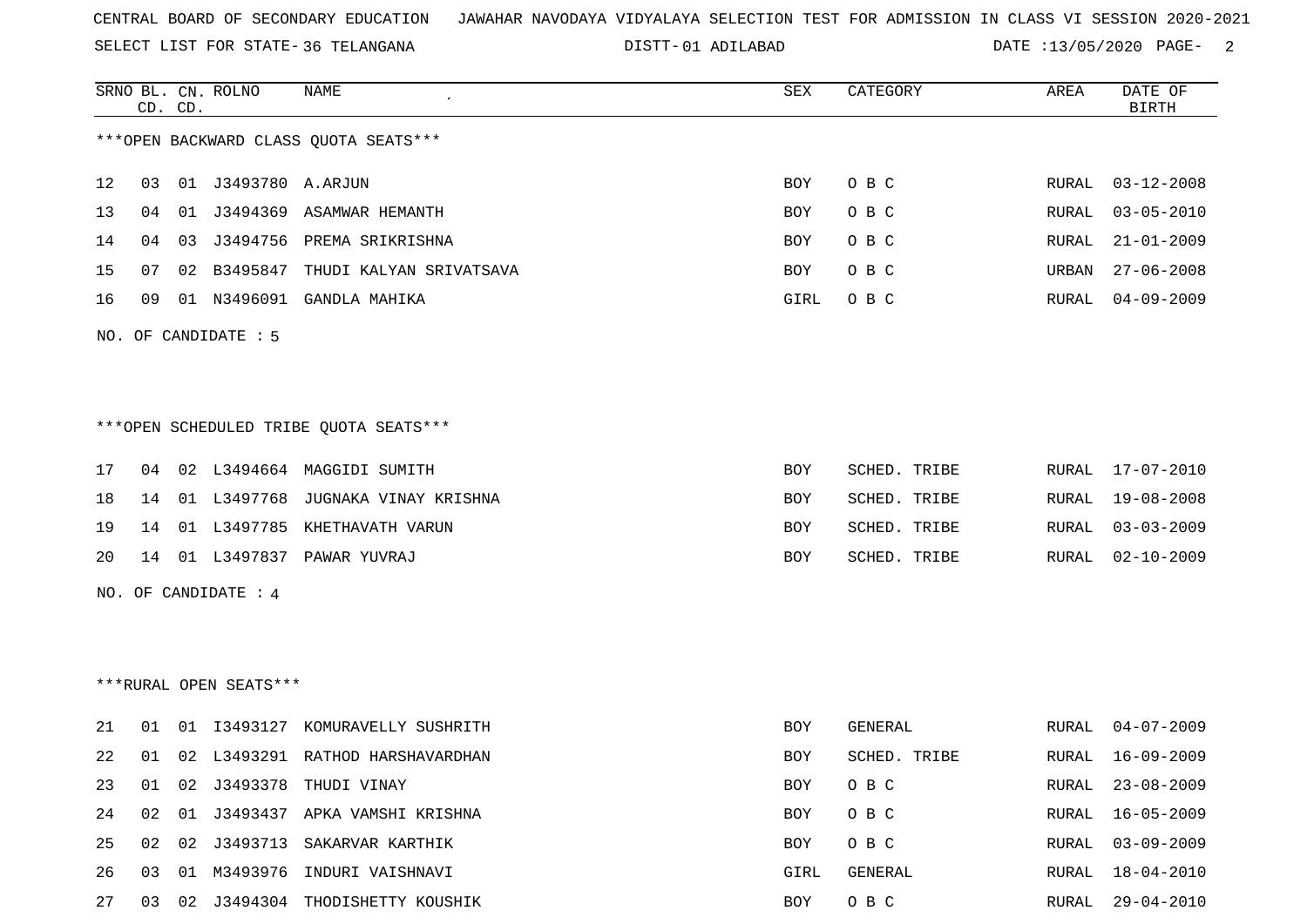SELECT LIST FOR STATE- DISTT- 36 TELANGANA

01 ADILABAD DATE :13/05/2020 PAGE- 2

O B C RURAL 16-05-2009

RURAL 18-04-2010

|    |    | CD. CD. | SRNO BL. CN. ROLNO     | <b>NAME</b>                            | ${\tt SEX}$ | CATEGORY     | AREA  | DATE OF<br><b>BIRTH</b> |
|----|----|---------|------------------------|----------------------------------------|-------------|--------------|-------|-------------------------|
|    |    |         |                        | *** OPEN BACKWARD CLASS QUOTA SEATS*** |             |              |       |                         |
| 12 | 03 |         |                        |                                        | <b>BOY</b>  | O B C        | RURAL | $03 - 12 - 2008$        |
| 13 | 04 |         |                        | 01 J3494369 ASAMWAR HEMANTH            | <b>BOY</b>  | O B C        | RURAL | $03 - 05 - 2010$        |
| 14 | 04 |         |                        | 03 J3494756 PREMA SRIKRISHNA           | <b>BOY</b>  | O B C        | RURAL | $21 - 01 - 2009$        |
| 15 | 07 |         |                        | 02 B3495847 THUDI KALYAN SRIVATSAVA    | <b>BOY</b>  | O B C        | URBAN | $27 - 06 - 2008$        |
| 16 | 09 |         |                        | 01 N3496091 GANDLA MAHIKA              | GIRL        | O B C        | RURAL | $04 - 09 - 2009$        |
|    |    |         | NO. OF CANDIDATE : 5   |                                        |             |              |       |                         |
|    |    |         |                        |                                        |             |              |       |                         |
|    |    |         |                        | ***OPEN SCHEDULED TRIBE QUOTA SEATS*** |             |              |       |                         |
| 17 | 04 |         |                        | 02 L3494664 MAGGIDI SUMITH             | <b>BOY</b>  | SCHED. TRIBE |       | RURAL 17-07-2010        |
| 18 | 14 |         |                        | 01 L3497768 JUGNAKA VINAY KRISHNA      | <b>BOY</b>  | SCHED. TRIBE | RURAL | $19 - 08 - 2008$        |
| 19 | 14 |         |                        | 01 L3497785 KHETHAVATH VARUN           | BOY         | SCHED. TRIBE | RURAL | $03 - 03 - 2009$        |
| 20 | 14 |         |                        | 01 L3497837 PAWAR YUVRAJ               | BOY         | SCHED. TRIBE | RURAL | $02 - 10 - 2009$        |
|    |    |         | NO. OF CANDIDATE : 4   |                                        |             |              |       |                         |
|    |    |         |                        |                                        |             |              |       |                         |
|    |    |         | ***RURAL OPEN SEATS*** |                                        |             |              |       |                         |
|    |    |         |                        |                                        |             |              |       |                         |
| 21 | 01 |         |                        | 01 I3493127 KOMURAVELLY SUSHRITH       | <b>BOY</b>  | GENERAL      | RURAL | $04 - 07 - 2009$        |
| 22 | 01 |         |                        | 02 L3493291 RATHOD HARSHAVARDHAN       | <b>BOY</b>  | SCHED. TRIBE |       | RURAL 16-09-2009        |

23 01 02 J3493378 THUDI VINAY BOY O B C RURAL 23-08-2009

25 02 02 J3493713 SAKARVAR KARTHIK BOY O B C RURAL 03-09-2009

27 03 02 J3494304 THODISHETTY KOUSHIK BOY O B C RURAL 29-04-2010

24 02 01 J3493437 APKA VAMSHI KRISHNA BOY O BOY

26 03 01 M3493976 INDURI VAISHNAVI GIRL GENERAL RURAL 18-04-2010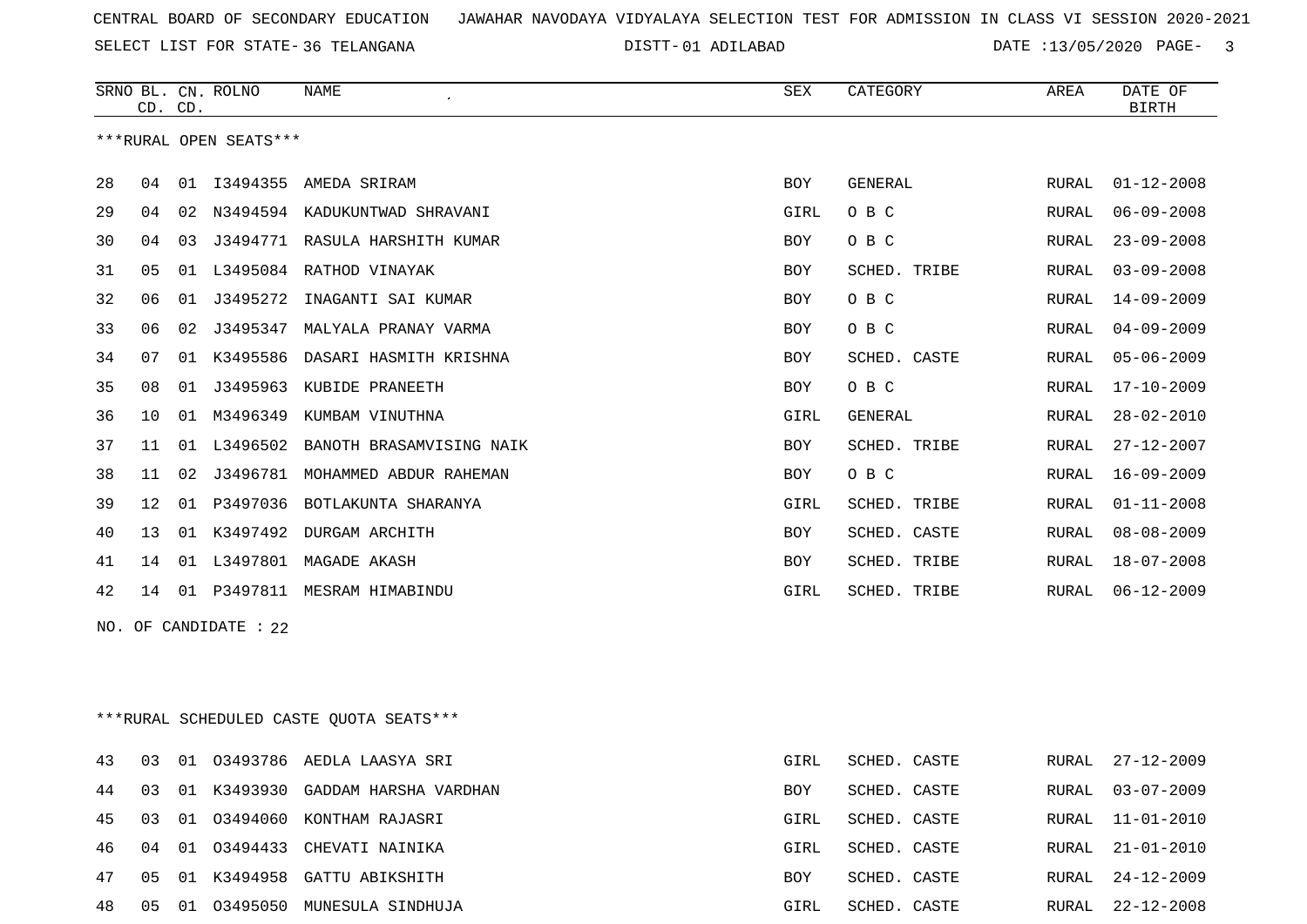SELECT LIST FOR STATE- DISTT- 36 TELANGANA

01 ADILABAD DATE :13/05/2020 PAGE- 3

|    | CD. CD.         |    | SRNO BL. CN. ROLNO     | <b>NAME</b><br>$\lambda$       | <b>SEX</b>  | CATEGORY     | AREA  | DATE OF<br><b>BIRTH</b> |
|----|-----------------|----|------------------------|--------------------------------|-------------|--------------|-------|-------------------------|
|    |                 |    | ***RURAL OPEN SEATS*** |                                |             |              |       |                         |
| 28 | 04              |    | 01 I3494355            | AMEDA SRIRAM                   | BOY         | GENERAL      | RURAL | $01 - 12 - 2008$        |
| 29 | 04              | 02 |                        | N3494594 KADUKUNTWAD SHRAVANI  | <b>GIRL</b> | O B C        | RURAL | $06 - 09 - 2008$        |
| 30 | 04              | 03 |                        | J3494771 RASULA HARSHITH KUMAR | <b>BOY</b>  | O B C        | RURAL | $23 - 09 - 2008$        |
| 31 | 05              | 01 | L3495084               | RATHOD VINAYAK                 | <b>BOY</b>  | SCHED. TRIBE | RURAL | $03 - 09 - 2008$        |
| 32 | 06              | 01 | J3495272               | INAGANTI SAI KUMAR             | <b>BOY</b>  | O B C        | RURAL | $14 - 09 - 2009$        |
| 33 | 06              | 02 | J3495347               | MALYALA PRANAY VARMA           | <b>BOY</b>  | O B C        | RURAL | $04 - 09 - 2009$        |
| 34 | 07              | 01 | K3495586               | DASARI HASMITH KRISHNA         | <b>BOY</b>  | SCHED. CASTE | RURAL | $05 - 06 - 2009$        |
| 35 | 08              | 01 | J3495963               | KUBIDE PRANEETH                | <b>BOY</b>  | O B C        | RURAL | $17 - 10 - 2009$        |
| 36 | 10              | 01 | M3496349               | KUMBAM VINUTHNA                | GIRL        | GENERAL      | RURAL | $28 - 02 - 2010$        |
| 37 | 11              |    | 01 L3496502            | BANOTH BRASAMVISING NAIK       | <b>BOY</b>  | SCHED. TRIBE | RURAL | $27 - 12 - 2007$        |
| 38 | 11              | 02 | J3496781               | MOHAMMED ABDUR RAHEMAN         | <b>BOY</b>  | O B C        | RURAL | $16 - 09 - 2009$        |
| 39 | 12 <sub>1</sub> | 01 | P3497036               | BOTLAKUNTA SHARANYA            | GIRL        | SCHED. TRIBE | RURAL | $01 - 11 - 2008$        |
| 40 | 13              | 01 | K3497492               | DURGAM ARCHITH                 | <b>BOY</b>  | SCHED. CASTE | RURAL | $08 - 08 - 2009$        |
| 41 | 14              |    | 01 L3497801            | MAGADE AKASH                   | <b>BOY</b>  | SCHED. TRIBE | RURAL | $18 - 07 - 2008$        |
| 42 | 14              | 01 | P3497811               | MESRAM HIMABINDU               | GIRL        | SCHED. TRIBE | RURAL | $06 - 12 - 2009$        |
|    |                 |    | NO. OF CANDIDATE : 22  |                                |             |              |       |                         |
|    |                 |    |                        |                                |             |              |       |                         |
|    |                 |    |                        |                                |             |              |       |                         |
|    |                 |    |                        |                                |             |              |       |                         |

\*\*\*RURAL SCHEDULED CASTE QUOTA SEATS\*\*\*

|     | 03   |    | 01 03493786 AEDLA LAASYA SRI      | GIRL       | SCHED. CASTE |       | RURAL 27-12-2009 |
|-----|------|----|-----------------------------------|------------|--------------|-------|------------------|
| 44  | 0.3  |    | 01 K3493930 GADDAM HARSHA VARDHAN | <b>BOY</b> | SCHED. CASTE |       | RURAL 03-07-2009 |
| 45  | - 03 | 01 | 03494060 KONTHAM RAJASRI          | GIRL       | SCHED. CASTE |       | RURAL 11-01-2010 |
| 46. | 04   | 01 | 03494433 CHEVATI NAINIKA          | GIRL       | SCHED. CASTE | RURAL | 21-01-2010       |
| 47  | 05   | 01 | K3494958 GATTU ABIKSHITH          | BOY        | SCHED. CASTE | RURAL | 24-12-2009       |
| 48  | - 05 | 01 | 03495050 MUNESULA SINDHUJA        | GIRL       | SCHED. CASTE | RURAL | 22-12-2008       |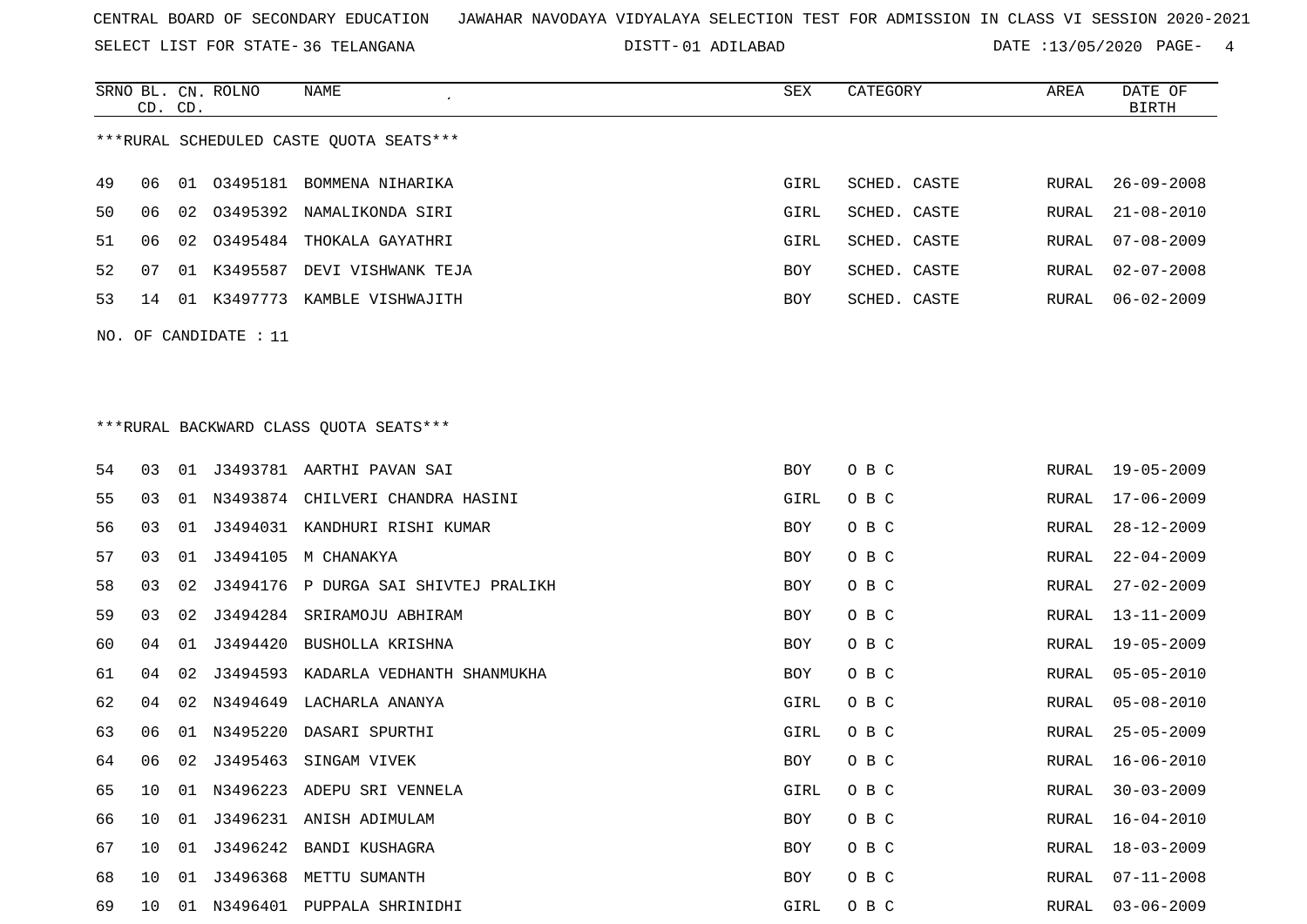SELECT LIST FOR STATE- DISTT- 36 TELANGANA

01 ADILABAD DATE :13/05/2020 PAGE- 4

|     |    | CD. CD. | SRNO BL. CN. ROLNO | <b>NAME</b>                             | <b>SEX</b> | CATEGORY     | AREA  | DATE OF<br><b>BIRTH</b> |
|-----|----|---------|--------------------|-----------------------------------------|------------|--------------|-------|-------------------------|
|     |    |         |                    | ***RURAL SCHEDULED CASTE QUOTA SEATS*** |            |              |       |                         |
|     |    |         |                    |                                         |            |              |       |                         |
| 49  | 06 | 01      |                    | 03495181 BOMMENA NIHARIKA               | GIRL       | SCHED. CASTE | RURAL | $26 - 09 - 2008$        |
| 50  | 06 | 02      |                    | 03495392 NAMALIKONDA SIRI               | GIRL       | SCHED. CASTE | RURAL | $21 - 08 - 2010$        |
| 51  | 06 |         |                    | 02 03495484 THOKALA GAYATHRI            | GIRL       | SCHED. CASTE | RURAL | $07 - 08 - 2009$        |
| 52  | 07 |         | 01 K3495587        | DEVI VISHWANK TEJA                      | BOY        | SCHED. CASTE | RURAL | $02 - 07 - 2008$        |
| 53  | 14 |         |                    | 01 K3497773 KAMBLE VISHWAJITH           | BOY        | SCHED. CASTE | RURAL | $06 - 02 - 2009$        |
| NO. |    |         | OF CANDIDATE : 11  |                                         |            |              |       |                         |
|     |    |         |                    |                                         |            |              |       |                         |
|     |    |         |                    |                                         |            |              |       |                         |
|     |    |         |                    | *** RURAL BACKWARD CLASS QUOTA SEATS*** |            |              |       |                         |
| 54  | 03 |         |                    | 01 J3493781 AARTHI PAVAN SAI            | <b>BOY</b> | O B C        | RURAL | 19-05-2009              |
| 55  | 03 |         |                    | 01 N3493874 CHILVERI CHANDRA HASINI     | GIRL       | O B C        | RURAL | 17-06-2009              |
| 56  | 03 | 01      |                    | J3494031 KANDHURI RISHI KUMAR           | BOY        | O B C        | RURAL | $28 - 12 - 2009$        |
| 57  | 03 |         |                    | 01 J3494105 M CHANAKYA                  | BOY        | O B C        | RURAL | $22 - 04 - 2009$        |
| 58  | 03 |         |                    | 02 J3494176 P DURGA SAI SHIVTEJ PRALIKH | BOY        | O B C        | RURAL | $27 - 02 - 2009$        |
| 59  | 03 |         |                    | 02 J3494284 SRIRAMOJU ABHIRAM           | BOY        | O B C        | RURAL | $13 - 11 - 2009$        |
| 60  | 04 | 01      | J3494420           | BUSHOLLA KRISHNA                        | BOY        | O B C        | RURAL | $19 - 05 - 2009$        |
| 61  | 04 | 02      | J3494593           | KADARLA VEDHANTH SHANMUKHA              | BOY        | O B C        | RURAL | $05 - 05 - 2010$        |
| 62  | 04 |         |                    | 02 N3494649 LACHARLA ANANYA             | GIRL       | O B C        | RURAL | $05 - 08 - 2010$        |
| 63  | 06 | 01      | N3495220           | DASARI SPURTHI                          | GIRL       | O B C        | RURAL | $25 - 05 - 2009$        |
| 64  | 06 |         |                    | 02 J3495463 SINGAM VIVEK                | BOY        | O B C        | RURAL | $16 - 06 - 2010$        |
| 65  | 10 |         |                    | 01 N3496223 ADEPU SRI VENNELA           | GIRL       | O B C        | RURAL | $30 - 03 - 2009$        |
| 66  | 10 |         |                    | 01 J3496231 ANISH ADIMULAM              | BOY        | O B C        | RURAL | $16 - 04 - 2010$        |
| 67  | 10 |         |                    | 01 J3496242 BANDI KUSHAGRA              | BOY        | O B C        | RURAL | $18 - 03 - 2009$        |
| 68  | 10 |         |                    | 01 J3496368 METTU SUMANTH               | BOY        | O B C        | RURAL | $07 - 11 - 2008$        |
| 69  | 10 |         |                    | 01 N3496401 PUPPALA SHRINIDHI           | GIRL       | O B C        | RURAL | $03 - 06 - 2009$        |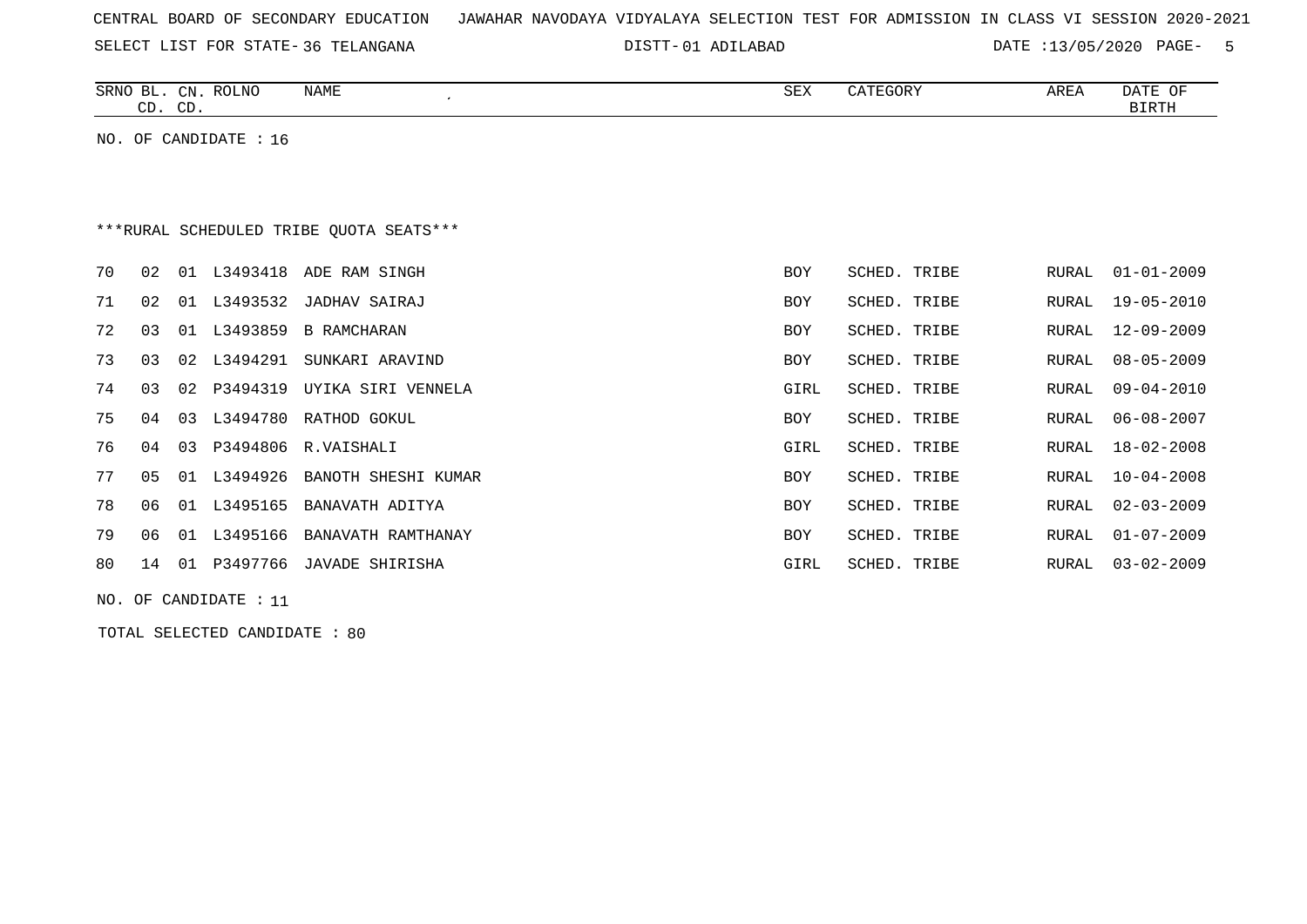| CENTRAL BOARD OF SECONDARY EDUCATION – JAWAHAR NAVODAYA VIDYALAYA SELECTION TEST FOR ADMISSION IN CLASS VI SESSION 2020-2021 |
|------------------------------------------------------------------------------------------------------------------------------|
|------------------------------------------------------------------------------------------------------------------------------|

SELECT LIST FOR STATE- DISTT- 36 TELANGANA

DISTT-01 ADILABAD DATE :13/05/2020 PAGE- 5

|    |                | CD. CD. | SRNO BL. CN. ROLNO    | <b>NAME</b><br>$\cdot$                  | <b>SEX</b> | CATEGORY     | AREA         | DATE OF<br><b>BIRTH</b> |
|----|----------------|---------|-----------------------|-----------------------------------------|------------|--------------|--------------|-------------------------|
|    |                |         | NO. OF CANDIDATE : 16 |                                         |            |              |              |                         |
|    |                |         |                       |                                         |            |              |              |                         |
|    |                |         |                       |                                         |            |              |              |                         |
|    |                |         |                       | ***RURAL SCHEDULED TRIBE OUOTA SEATS*** |            |              |              |                         |
|    |                |         |                       |                                         |            |              |              |                         |
| 70 | 02             |         | 01 L3493418           | ADE RAM SINGH                           | <b>BOY</b> | SCHED. TRIBE | RURAL        | $01 - 01 - 2009$        |
| 71 | 02             | 01      | L3493532              | JADHAV SAIRAJ                           | <b>BOY</b> | SCHED. TRIBE | RURAL        | $19 - 05 - 2010$        |
| 72 | 03             |         | 01 L3493859           | <b>B RAMCHARAN</b>                      | <b>BOY</b> | SCHED. TRIBE | RURAL        | $12 - 09 - 2009$        |
| 73 | 03             | 02      | L3494291              | SUNKARI ARAVIND                         | <b>BOY</b> | SCHED. TRIBE | RURAL        | $08 - 05 - 2009$        |
| 74 | 03             | 02      | P3494319              | UYIKA SIRI VENNELA                      | GIRL       | SCHED. TRIBE | RURAL        | $09 - 04 - 2010$        |
| 75 | 04             | 03      |                       | L3494780 RATHOD GOKUL                   | <b>BOY</b> | SCHED. TRIBE | RURAL        | $06 - 08 - 2007$        |
| 76 | 04             | 03      | P3494806              | R.VAISHALI                              | GIRL       | SCHED. TRIBE | <b>RURAL</b> | $18 - 02 - 2008$        |
| 77 | 0 <sub>5</sub> | 01      | L3494926              | BANOTH SHESHI KUMAR                     | <b>BOY</b> | SCHED. TRIBE | RURAL        | $10 - 04 - 2008$        |
| 78 | 06             | 01      | L3495165              | BANAVATH ADITYA                         | <b>BOY</b> | SCHED. TRIBE | RURAL        | $02 - 03 - 2009$        |
| 79 | 06             | 01      | L3495166              | BANAVATH RAMTHANAY                      | <b>BOY</b> | SCHED. TRIBE | RURAL        | $01 - 07 - 2009$        |
| 80 | 14             | 01      | P3497766              | JAVADE SHIRISHA                         | GIRL       | SCHED. TRIBE | RURAL        | $03 - 02 - 2009$        |

NO. OF CANDIDATE : 11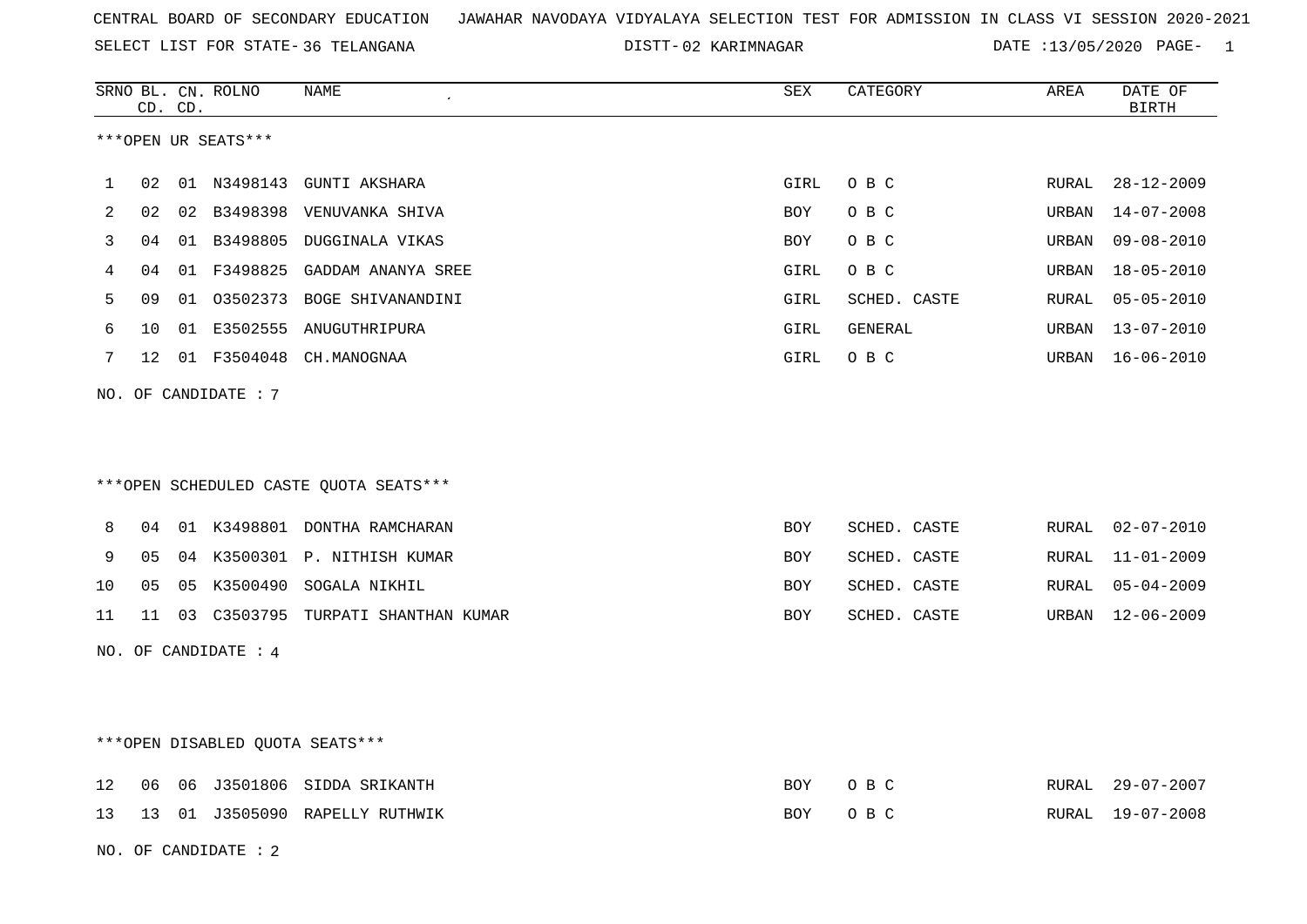SELECT LIST FOR STATE- DISTT- 36 TELANGANA

02 KARIMNAGAR DATE :13/05/2020 PAGE- 1

|     |                 | CD. CD. | SRNO BL. CN. ROLNO     | NAME                                   | SEX        | CATEGORY     | AREA         | DATE OF<br><b>BIRTH</b> |
|-----|-----------------|---------|------------------------|----------------------------------------|------------|--------------|--------------|-------------------------|
|     |                 |         | ***OPEN UR SEATS***    |                                        |            |              |              |                         |
| 1   | 02              |         |                        | 01 N3498143 GUNTI AKSHARA              | GIRL       | O B C        | RURAL        | $28 - 12 - 2009$        |
| 2   | 02              |         |                        | 02 B3498398 VENUVANKA SHIVA            | BOY        | O B C        | URBAN        | 14-07-2008              |
| 3   | 04              |         |                        | 01 B3498805 DUGGINALA VIKAS            | BOY        | O B C        | URBAN        | $09 - 08 - 2010$        |
| 4   | 04              |         | 01 F3498825            | GADDAM ANANYA SREE                     | GIRL       | O B C        | URBAN        | $18 - 05 - 2010$        |
| 5   | 09              |         |                        | 01 03502373 BOGE SHIVANANDINI          | GIRL       | SCHED. CASTE | <b>RURAL</b> | $05 - 05 - 2010$        |
| 6   | 10 <sup>°</sup> |         |                        | 01 E3502555 ANUGUTHRIPURA              | GIRL       | GENERAL      | URBAN        | 13-07-2010              |
| 7   | 12              |         |                        | 01 F3504048 CH.MANOGNAA                | GIRL       | O B C        | URBAN        | 16-06-2010              |
| NO. |                 |         | OF CANDIDATE: 7        | ***OPEN SCHEDULED CASTE QUOTA SEATS*** |            |              |              |                         |
| 8   |                 |         |                        | 04 01 K3498801 DONTHA RAMCHARAN        | BOY        | SCHED. CASTE | RURAL        | $02 - 07 - 2010$        |
| 9   | 05              |         |                        | 04 K3500301 P. NITHISH KUMAR           | BOY        | SCHED. CASTE | RURAL        | $11 - 01 - 2009$        |
| 10  | 05              |         |                        | 05 K3500490 SOGALA NIKHIL              | BOY        | SCHED. CASTE | RURAL        | $05 - 04 - 2009$        |
| 11  | 11              |         |                        | 03 C3503795 TURPATI SHANTHAN KUMAR     | BOY        | SCHED. CASTE | URBAN        | $12 - 06 - 2009$        |
|     |                 |         | NO. OF CANDIDATE : $4$ |                                        |            |              |              |                         |
|     |                 |         |                        | ***OPEN DISABLED QUOTA SEATS***        |            |              |              |                         |
| 12  | 06              |         |                        | 06 J3501806 SIDDA SRIKANTH             | BOY        | O B C        | RURAL        | $29 - 07 - 2007$        |
| 13  |                 |         |                        | 13 01 J3505090 RAPELLY RUTHWIK         | <b>BOY</b> | O B C        | RURAL        | 19-07-2008              |
|     |                 |         | NO. OF CANDIDATE: 2    |                                        |            |              |              |                         |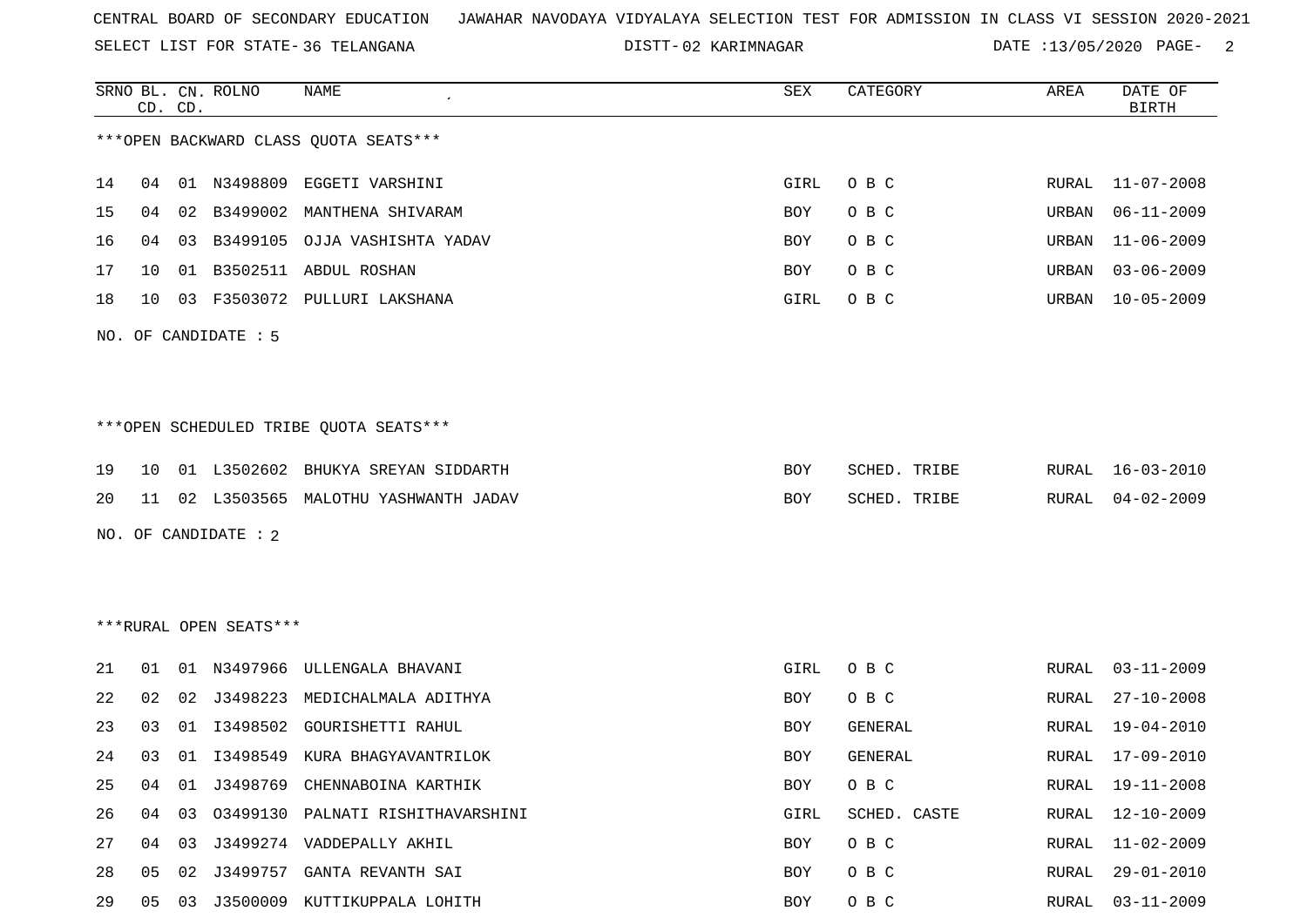SELECT LIST FOR STATE- DISTT- 36 TELANGANA

02 KARIMNAGAR DATE :13/05/2020 PAGE- 2

|    |    | CD. CD. | SRNO BL. CN. ROLNO     | NAME                                   | SEX  | CATEGORY       | AREA          | DATE OF<br><b>BIRTH</b> |
|----|----|---------|------------------------|----------------------------------------|------|----------------|---------------|-------------------------|
|    |    |         |                        | *** OPEN BACKWARD CLASS QUOTA SEATS*** |      |                |               |                         |
| 14 | 04 |         | 01 N3498809            | EGGETI VARSHINI                        | GIRL | O B C          | RURAL         | $11 - 07 - 2008$        |
| 15 | 04 | 02      | B3499002               | MANTHENA SHIVARAM                      | BOY  | O B C          | URBAN         | $06 - 11 - 2009$        |
| 16 | 04 | 03      | B3499105               | OJJA VASHISHTA YADAV                   | BOY  | O B C          | URBAN         | $11 - 06 - 2009$        |
| 17 | 10 | 01      |                        | B3502511 ABDUL ROSHAN                  | BOY  | O B C          | URBAN         | $03 - 06 - 2009$        |
| 18 | 10 |         |                        | 03 F3503072 PULLURI LAKSHANA           | GIRL | O B C          | URBAN         | $10 - 05 - 2009$        |
|    |    |         | NO. OF CANDIDATE : 5   |                                        |      |                |               |                         |
|    |    |         |                        |                                        |      |                |               |                         |
|    |    |         |                        |                                        |      |                |               |                         |
|    |    |         |                        | ***OPEN SCHEDULED TRIBE QUOTA SEATS*** |      |                |               |                         |
| 19 | 10 |         |                        | 01 L3502602 BHUKYA SREYAN SIDDARTH     | BOY  | SCHED. TRIBE   | RURAL         | $16 - 03 - 2010$        |
| 20 | 11 |         |                        | 02 L3503565 MALOTHU YASHWANTH JADAV    | BOY  | SCHED. TRIBE   | RURAL         | $04 - 02 - 2009$        |
|    |    |         | NO. OF CANDIDATE : 2   |                                        |      |                |               |                         |
|    |    |         |                        |                                        |      |                |               |                         |
|    |    |         |                        |                                        |      |                |               |                         |
|    |    |         | ***RURAL OPEN SEATS*** |                                        |      |                |               |                         |
| 21 | 01 |         | 01 N3497966            | ULLENGALA BHAVANI                      | GIRL | O B C          | RURAL         | $03 - 11 - 2009$        |
| 22 | 02 | 02      | J3498223               | MEDICHALMALA ADITHYA                   | BOY  | O B C          | RURAL         | $27 - 10 - 2008$        |
| 23 | 03 | 01      | I3498502               | <b>GOURISHETTI RAHUL</b>               | BOY  | <b>GENERAL</b> | RURAL         | 19-04-2010              |
| 24 | 03 | 01      |                        | 13498549 KURA BHAGYAVANTRILOK          | BOY  | <b>GENERAL</b> | RURAL         | $17 - 09 - 2010$        |
| 25 | 04 | 01      |                        | J3498769 CHENNABOINA KARTHIK           | BOY  | O B C          | RURAL         | $19 - 11 - 2008$        |
| 26 | 04 | 03      |                        | 03499130 PALNATI RISHITHAVARSHINI      | GIRL | SCHED. CASTE   | RURAL         | $12 - 10 - 2009$        |
| 27 | 04 | 03      |                        | J3499274 VADDEPALLY AKHIL              | BOY  | O B C          | RURAL         | $11 - 02 - 2009$        |
| 28 | 05 | 02      |                        | J3499757 GANTA REVANTH SAI             | BOY  | O B C          | ${\tt RURAL}$ | $29 - 01 - 2010$        |
| 29 | 05 | 03      |                        | J3500009 KUTTIKUPPALA LOHITH           | BOY  | O B C          | RURAL         | $03 - 11 - 2009$        |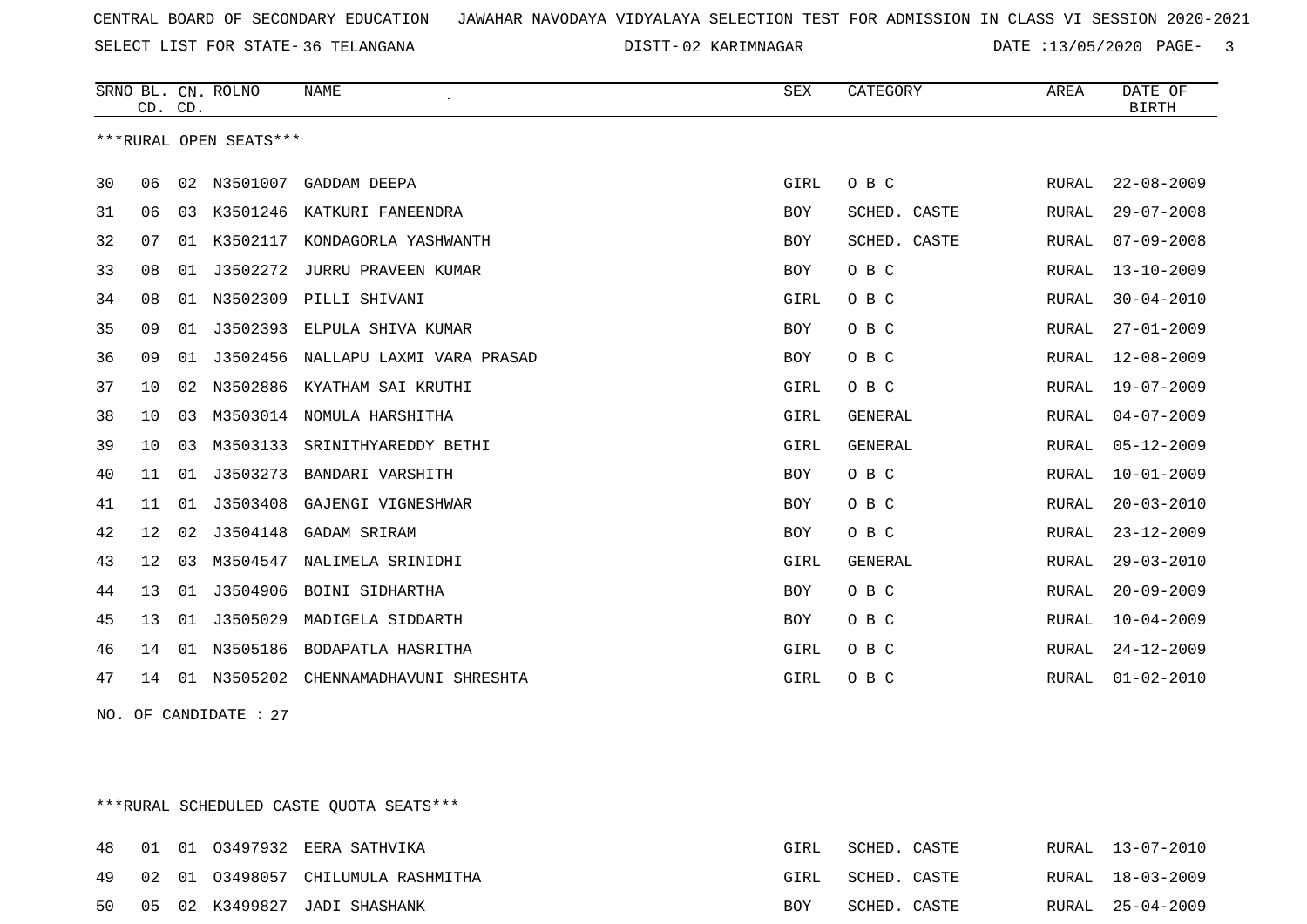SELECT LIST FOR STATE- DISTT- 36 TELANGANA

02 KARIMNAGAR DATE :13/05/2020 PAGE- 3

|    | CD. CD. |    | SRNO BL. CN. ROLNO     | <b>NAME</b>                           | SEX        | CATEGORY       | AREA  | DATE OF<br><b>BIRTH</b> |
|----|---------|----|------------------------|---------------------------------------|------------|----------------|-------|-------------------------|
|    |         |    | ***RURAL OPEN SEATS*** |                                       |            |                |       |                         |
| 30 | 06      | 02 | N3501007               | GADDAM DEEPA                          | GIRL       | O B C          | RURAL | $22 - 08 - 2009$        |
| 31 | 06      | 03 |                        | K3501246 KATKURI FANEENDRA            | BOY        | SCHED. CASTE   | RURAL | $29 - 07 - 2008$        |
| 32 | 07      |    |                        | 01 K3502117 KONDAGORLA YASHWANTH      | BOY        | SCHED. CASTE   | RURAL | $07 - 09 - 2008$        |
| 33 | 08      | 01 | J3502272               | JURRU PRAVEEN KUMAR                   | BOY        | O B C          | RURAL | $13 - 10 - 2009$        |
| 34 | 08      | 01 | N3502309               | PILLI SHIVANI                         | GIRL       | O B C          | RURAL | $30 - 04 - 2010$        |
| 35 | 09      | 01 | J3502393               | ELPULA SHIVA KUMAR                    | <b>BOY</b> | O B C          | RURAL | $27 - 01 - 2009$        |
| 36 | 09      |    |                        | 01 J3502456 NALLAPU LAXMI VARA PRASAD | <b>BOY</b> | O B C          | RURAL | $12 - 08 - 2009$        |
| 37 | 10      | 02 |                        | N3502886 KYATHAM SAI KRUTHI           | GIRL       | O B C          | RURAL | $19 - 07 - 2009$        |
| 38 | 10      | 03 | M3503014               | NOMULA HARSHITHA                      | GIRL       | <b>GENERAL</b> | RURAL | $04 - 07 - 2009$        |
| 39 | 10      | 03 | M3503133               | SRINITHYAREDDY BETHI                  | GIRL       | <b>GENERAL</b> | RURAL | $05 - 12 - 2009$        |
| 40 | 11      |    | 01 J3503273            | BANDARI VARSHITH                      | <b>BOY</b> | O B C          | RURAL | $10 - 01 - 2009$        |
| 41 | 11      | 01 | J3503408               | GAJENGI VIGNESHWAR                    | <b>BOY</b> | O B C          | RURAL | $20 - 03 - 2010$        |
| 42 | 12      | 02 | J3504148               | GADAM SRIRAM                          | <b>BOY</b> | O B C          | RURAL | $23 - 12 - 2009$        |
| 43 | 12      | 03 | M3504547               | NALIMELA SRINIDHI                     | GIRL       | GENERAL        | RURAL | $29 - 03 - 2010$        |
| 44 | 13      |    | 01 J3504906            | BOINI SIDHARTHA                       | <b>BOY</b> | O B C          | RURAL | $20 - 09 - 2009$        |
| 45 | 13      | 01 | J3505029               | MADIGELA SIDDARTH                     | <b>BOY</b> | O B C          | RURAL | $10 - 04 - 2009$        |
| 46 | 14      | 01 | N3505186               | BODAPATLA HASRITHA                    | GIRL       | O B C          | RURAL | $24 - 12 - 2009$        |
| 47 | 14      | 01 | N3505202               | CHENNAMADHAVUNI SHRESHTA              | GIRL       | O B C          | RURAL | $01 - 02 - 2010$        |

NO. OF CANDIDATE : 27

\*\*\*RURAL SCHEDULED CASTE QUOTA SEATS\*\*\*

| 48. |  | 01 01 03497932 EERA SATHVIKA       | GIRL | SCHED. CASTE |  | RURAL 13-07-2010 |
|-----|--|------------------------------------|------|--------------|--|------------------|
| 49  |  | 02 01 03498057 CHILUMULA RASHMITHA | GIRL | SCHED. CASTE |  | RURAL 18-03-2009 |
| 50  |  | 05 02 K3499827 JADI SHASHANK       | BOY  | SCHED. CASTE |  | RURAL 25-04-2009 |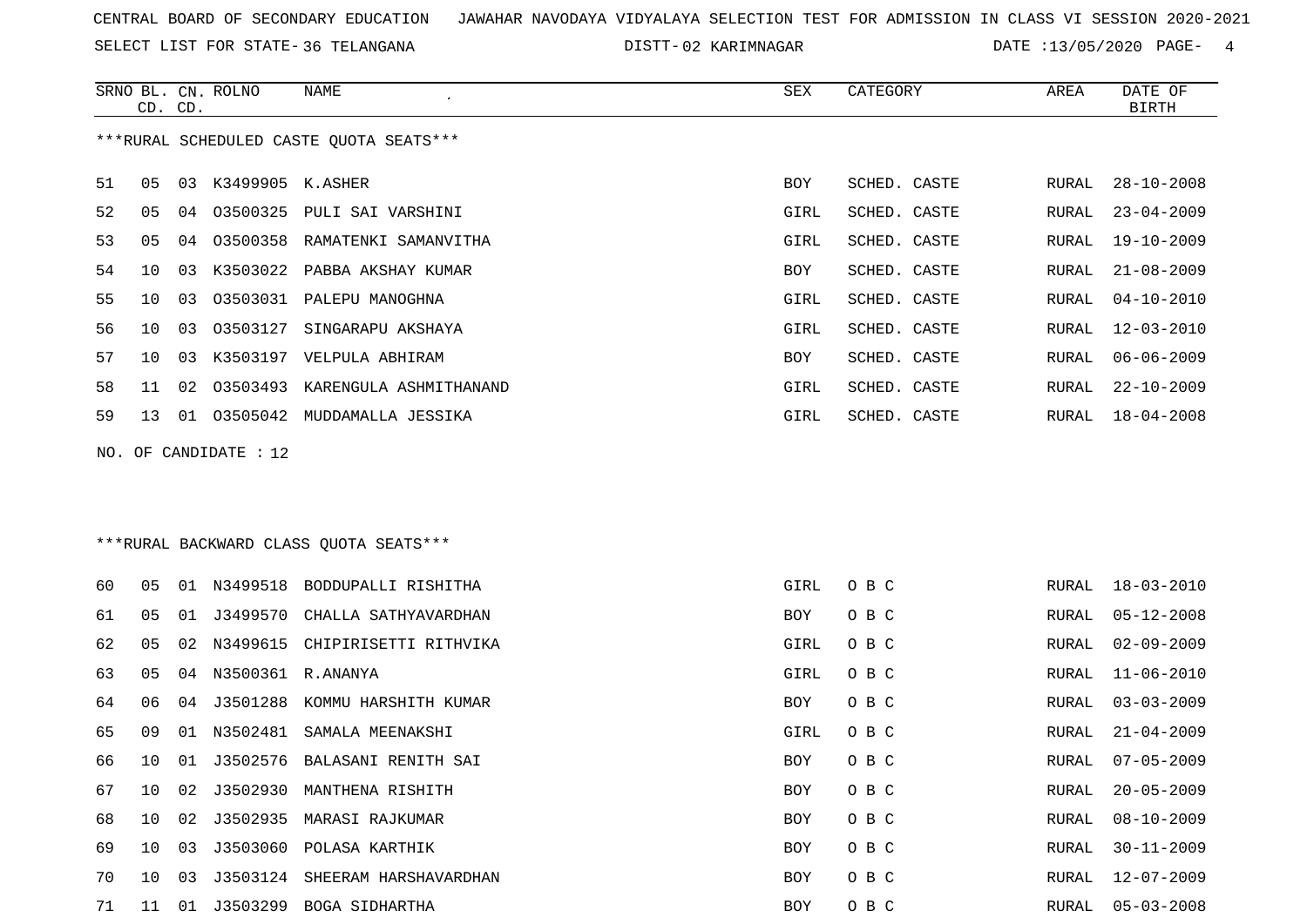SELECT LIST FOR STATE- DISTT- 36 TELANGANA

SRNO BL. CN.

CD. CD.

ROLNO NAME SEX CATEGORY AREA DATE OF

BIRTH

02 KARIMNAGAR DATE :13/05/2020 PAGE- 4

|    |    |    |                       | ***RURAL SCHEDULED CASTE QUOTA SEATS*** |            |              |               |                  |
|----|----|----|-----------------------|-----------------------------------------|------------|--------------|---------------|------------------|
| 51 | 05 | 03 | K3499905 K.ASHER      |                                         | BOY        | SCHED. CASTE | RURAL         | $28 - 10 - 2008$ |
| 52 | 05 | 04 |                       | 03500325 PULI SAI VARSHINI              | GIRL       | SCHED. CASTE | RURAL         | $23 - 04 - 2009$ |
| 53 | 05 | 04 |                       | 03500358 RAMATENKI SAMANVITHA           | GIRL       | SCHED. CASTE | RURAL         | 19-10-2009       |
| 54 | 10 | 03 | K3503022              | PABBA AKSHAY KUMAR                      | BOY        | SCHED. CASTE | RURAL         | $21 - 08 - 2009$ |
| 55 | 10 | 03 | 03503031              | PALEPU MANOGHNA                         | GIRL       | SCHED. CASTE | RURAL         | $04 - 10 - 2010$ |
| 56 | 10 | 03 | 03503127              | SINGARAPU AKSHAYA                       | GIRL       | SCHED. CASTE | ${\tt RURAL}$ | $12 - 03 - 2010$ |
| 57 | 10 | 03 |                       | K3503197 VELPULA ABHIRAM                | BOY        | SCHED. CASTE | RURAL         | $06 - 06 - 2009$ |
| 58 | 11 | 02 |                       | 03503493 KARENGULA ASHMITHANAND         | GIRL       | SCHED. CASTE | RURAL         | $22 - 10 - 2009$ |
| 59 | 13 |    |                       | 01 03505042 MUDDAMALLA JESSIKA          | GIRL       | SCHED. CASTE | RURAL         | $18 - 04 - 2008$ |
|    |    |    | NO. OF CANDIDATE : 12 | *** RURAL BACKWARD CLASS QUOTA SEATS*** |            |              |               |                  |
| 60 | 05 |    | 01 N3499518           | BODDUPALLI RISHITHA                     | GIRL       | O B C        | RURAL         | $18 - 03 - 2010$ |
| 61 | 05 | 01 | J3499570              | CHALLA SATHYAVARDHAN                    | BOY        | O B C        | RURAL         | $05 - 12 - 2008$ |
| 62 | 05 | 02 | N3499615              | CHIPIRISETTI RITHVIKA                   | GIRL       | O B C        | RURAL         | $02 - 09 - 2009$ |
| 63 | 05 | 04 | N3500361 R.ANANYA     |                                         | GIRL       | O B C        | RURAL         | $11 - 06 - 2010$ |
| 64 | 06 | 04 | J3501288              | KOMMU HARSHITH KUMAR                    | BOY        | O B C        | RURAL         | $03 - 03 - 2009$ |
| 65 | 09 | 01 | N3502481              | SAMALA MEENAKSHI                        | GIRL       | O B C        | RURAL         | $21 - 04 - 2009$ |
| 66 | 10 | 01 | J3502576              | BALASANI RENITH SAI                     | BOY        | O B C        | RURAL         | $07 - 05 - 2009$ |
| 67 | 10 | 02 | J3502930              | MANTHENA RISHITH                        | BOY        | O B C        | RURAL         | $20 - 05 - 2009$ |
| 68 | 10 | 02 |                       | J3502935 MARASI RAJKUMAR                | <b>BOY</b> | O B C        | RURAL         | $08 - 10 - 2009$ |
| 69 | 10 |    |                       | 03 J3503060 POLASA KARTHIK              | <b>BOY</b> | O B C        | <b>RURAL</b>  | $30 - 11 - 2009$ |
| 70 | 10 | 03 |                       | J3503124 SHEERAM HARSHAVARDHAN          | BOY        | O B C        | RURAL         | $12 - 07 - 2009$ |
| 71 | 11 |    |                       | 01 J3503299 BOGA SIDHARTHA              | BOY        | O B C        | RURAL         | $05 - 03 - 2008$ |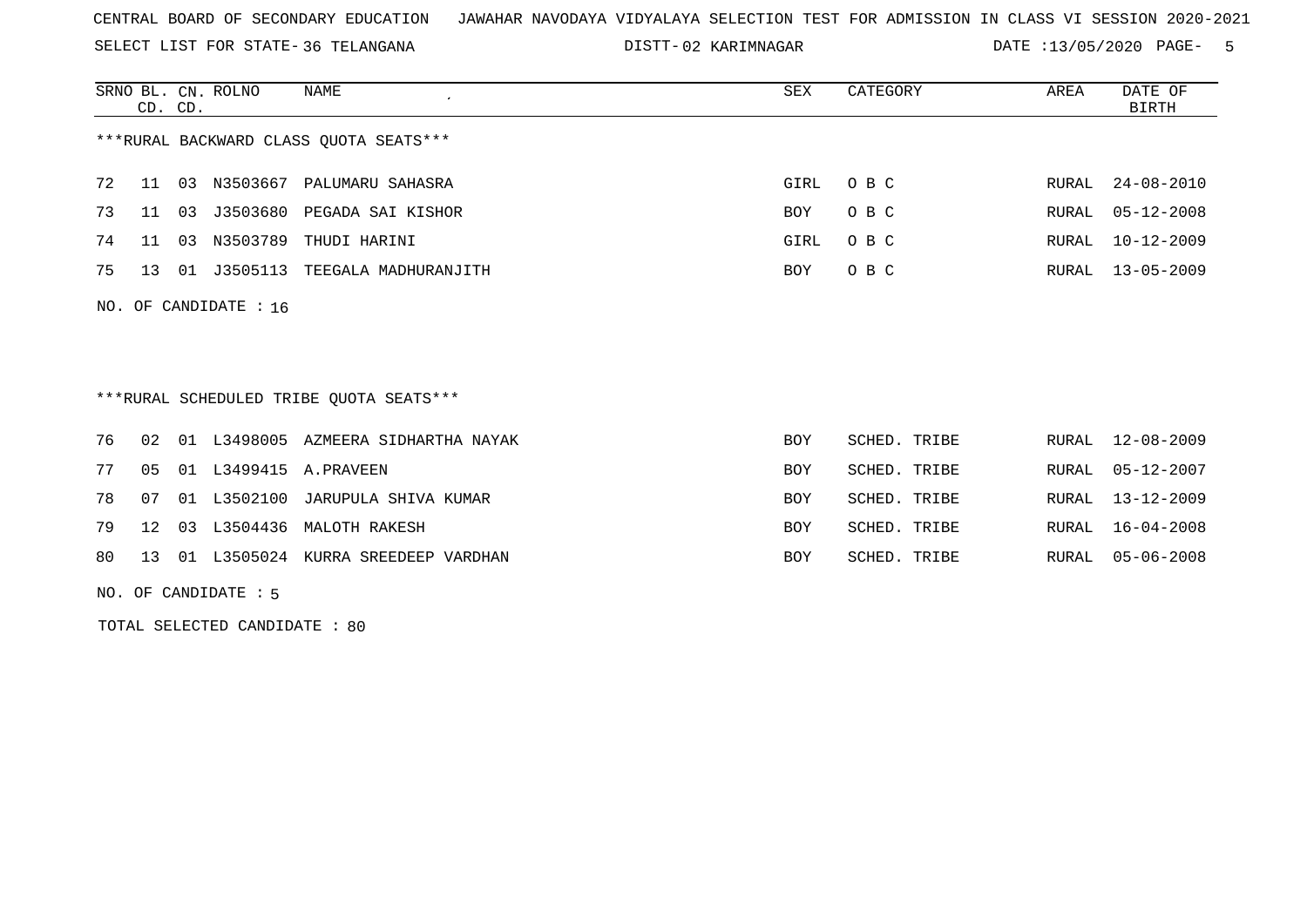SELECT LIST FOR STATE- DISTT- 36 TELANGANA

02 KARIMNAGAR DATE :13/05/2020 PAGE- 5

|    | CD. CD.         |    | SRNO BL. CN. ROLNO      | NAME                                    | SEX        | CATEGORY     | AREA         | DATE OF<br><b>BIRTH</b> |
|----|-----------------|----|-------------------------|-----------------------------------------|------------|--------------|--------------|-------------------------|
|    |                 |    |                         | ***RURAL BACKWARD CLASS QUOTA SEATS***  |            |              |              |                         |
| 72 | 11              | 03 | N3503667                | PALUMARU SAHASRA                        | GIRL       | O B C        | RURAL        | $24 - 08 - 2010$        |
| 73 | 11              | 03 | J3503680                | PEGADA SAI KISHOR                       | BOY        | O B C        | RURAL        | $05 - 12 - 2008$        |
| 74 | 11              | 03 | N3503789                | THUDI HARINI                            | GIRL       | O B C        | RURAL        | $10 - 12 - 2009$        |
| 75 | 13              | 01 | J3505113                | TEEGALA MADHURANJITH                    | <b>BOY</b> | O B C        | RURAL        | $13 - 05 - 2009$        |
|    |                 |    | NO. OF CANDIDATE : $16$ |                                         |            |              |              |                         |
|    |                 |    |                         | ***RURAL SCHEDULED TRIBE OUOTA SEATS*** |            |              |              |                         |
| 76 | 02              | 01 | L3498005                | AZMEERA SIDHARTHA NAYAK                 | <b>BOY</b> | SCHED. TRIBE | RURAL        | $12 - 08 - 2009$        |
| 77 | 0 <sub>5</sub>  | 01 | L3499415                | A.PRAVEEN                               | <b>BOY</b> | SCHED. TRIBE | <b>RURAL</b> | $05 - 12 - 2007$        |
| 78 | 07              | 01 | L3502100                | JARUPULA SHIVA KUMAR                    | <b>BOY</b> | SCHED. TRIBE | RURAL        | $13 - 12 - 2009$        |
| 79 | 12 <sup>°</sup> | 03 | L3504436                | MALOTH RAKESH                           | <b>BOY</b> | SCHED. TRIBE | RURAL        | 16-04-2008              |
| 80 | 13              |    | 01 L3505024             | KURRA SREEDEEP VARDHAN                  | <b>BOY</b> | SCHED. TRIBE | RURAL        | $05 - 06 - 2008$        |

NO. OF CANDIDATE : 5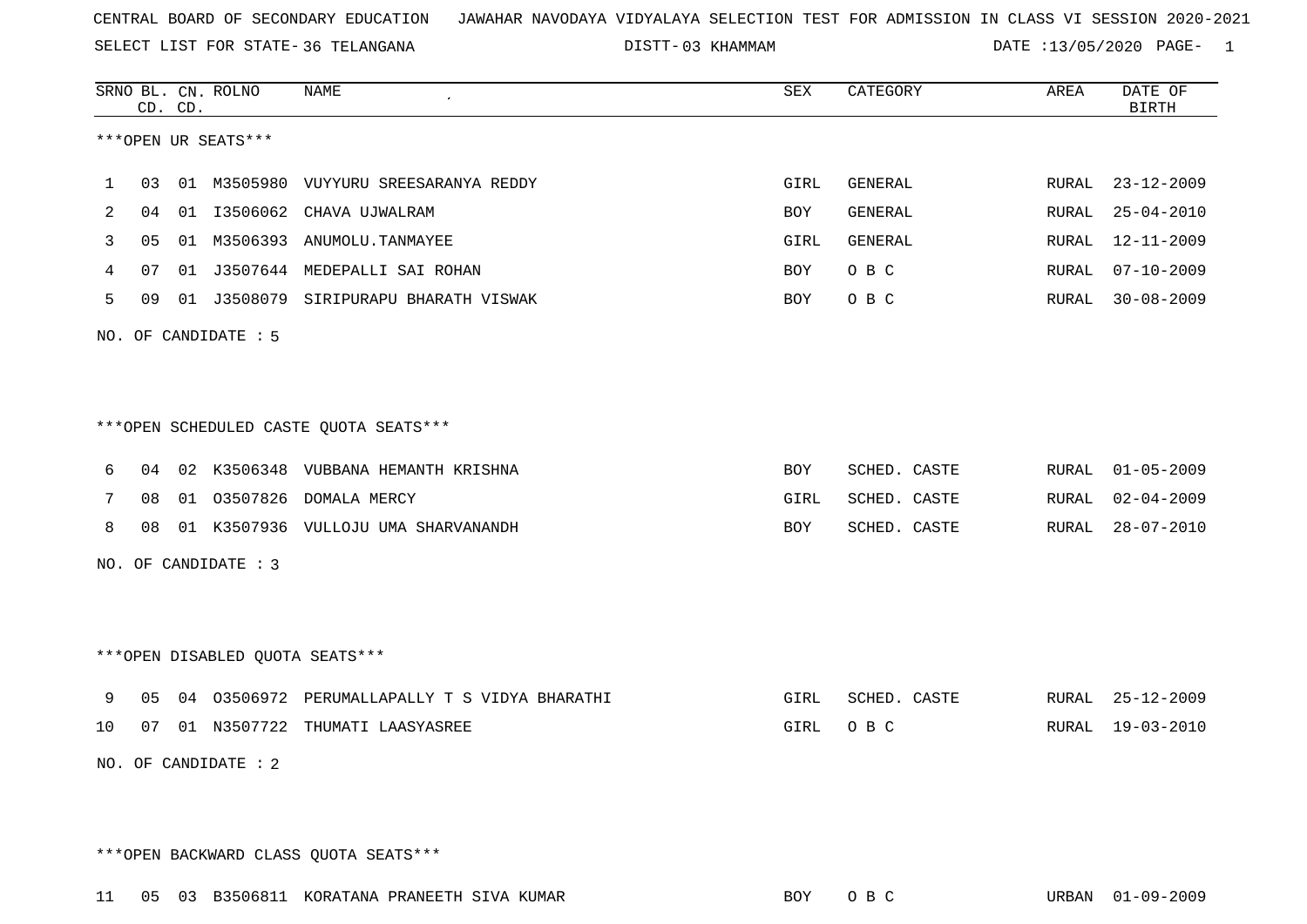SELECT LIST FOR STATE- DISTT- 36 TELANGANA

03 KHAMMAM DATE :13/05/2020 PAGE- 1

|                                  |                                        | CD. CD. | SRNO BL. CN. ROLNO | NAME<br>$\epsilon$                            | ${\tt SEX}$ | CATEGORY       | AREA  | DATE OF<br><b>BIRTH</b> |  |  |
|----------------------------------|----------------------------------------|---------|--------------------|-----------------------------------------------|-------------|----------------|-------|-------------------------|--|--|
| ***OPEN UR SEATS***              |                                        |         |                    |                                               |             |                |       |                         |  |  |
| 1                                | 03                                     |         |                    | 01 M3505980 VUYYURU SREESARANYA REDDY         | GIRL        | GENERAL        |       | RURAL 23-12-2009        |  |  |
| 2                                | 04                                     |         |                    | 01 I3506062 CHAVA UJWALRAM                    | BOY         | <b>GENERAL</b> | RURAL | $25 - 04 - 2010$        |  |  |
| 3                                | 0 <sub>5</sub>                         |         |                    | 01 M3506393 ANUMOLU.TANMAYEE                  | GIRL        | GENERAL        | RURAL | $12 - 11 - 2009$        |  |  |
| 4                                | 07                                     |         |                    | 01 J3507644 MEDEPALLI SAI ROHAN               | BOY.        | O B C          | RURAL | $07 - 10 - 2009$        |  |  |
| 5                                | 09                                     |         |                    | 01 J3508079 SIRIPURAPU BHARATH VISWAK         | BOY         | O B C          |       | RURAL 30-08-2009        |  |  |
|                                  | NO. OF CANDIDATE : 5                   |         |                    |                                               |             |                |       |                         |  |  |
|                                  |                                        |         |                    |                                               |             |                |       |                         |  |  |
|                                  |                                        |         |                    |                                               |             |                |       |                         |  |  |
|                                  | ***OPEN SCHEDULED CASTE QUOTA SEATS*** |         |                    |                                               |             |                |       |                         |  |  |
| 6                                | 04                                     |         |                    | 02 K3506348 VUBBANA HEMANTH KRISHNA           | BOY         | SCHED. CASTE   |       | RURAL 01-05-2009        |  |  |
| 7                                | 08                                     |         |                    | 01 03507826 DOMALA MERCY                      | GIRL        | SCHED. CASTE   | RURAL | $02 - 04 - 2009$        |  |  |
| 8                                | 08                                     |         |                    | 01 K3507936 VULLOJU UMA SHARVANANDH           | BOY         | SCHED. CASTE   | RURAL | $28 - 07 - 2010$        |  |  |
| NO. OF CANDIDATE : 3             |                                        |         |                    |                                               |             |                |       |                         |  |  |
|                                  |                                        |         |                    |                                               |             |                |       |                         |  |  |
|                                  |                                        |         |                    |                                               |             |                |       |                         |  |  |
| *** OPEN DISABLED QUOTA SEATS*** |                                        |         |                    |                                               |             |                |       |                         |  |  |
| 9                                | 05                                     |         |                    | 04 03506972 PERUMALLAPALLY T S VIDYA BHARATHI | GIRL        | SCHED. CASTE   |       | RURAL 25-12-2009        |  |  |
| 10                               | 07                                     |         |                    | 01 N3507722 THUMATI LAASYASREE                | GIRL        | O B C          |       | RURAL 19-03-2010        |  |  |
| NO. OF CANDIDATE : 2             |                                        |         |                    |                                               |             |                |       |                         |  |  |
|                                  |                                        |         |                    |                                               |             |                |       |                         |  |  |
|                                  |                                        |         |                    |                                               |             |                |       |                         |  |  |

\*\*\*OPEN BACKWARD CLASS QUOTA SEATS\*\*\*

11 05 03 B3506811 KORATANA PRANEETH SIVA KUMAR BOY O B C URBAN 01-09-2009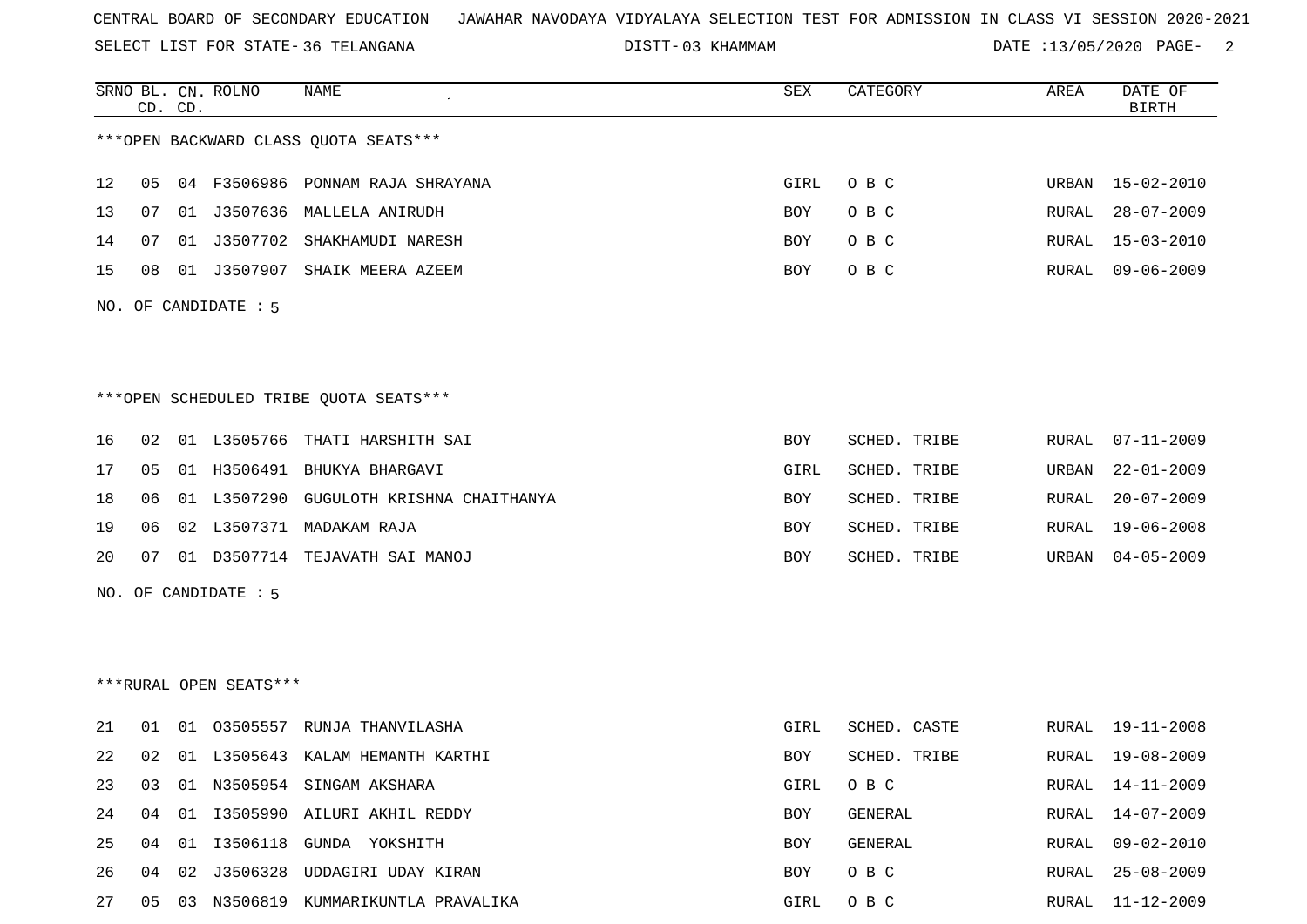SELECT LIST FOR STATE- DISTT- 36 TELANGANA

03 KHAMMAM DATE :13/05/2020 PAGE- 2

RURAL 25-08-2009

|                                        |    | CD. CD. | SRNO BL. CN. ROLNO | NAME                                    | <b>SEX</b> | CATEGORY     | AREA  | DATE OF<br><b>BIRTH</b> |  |
|----------------------------------------|----|---------|--------------------|-----------------------------------------|------------|--------------|-------|-------------------------|--|
|                                        |    |         |                    | *** OPEN BACKWARD CLASS QUOTA SEATS***  |            |              |       |                         |  |
| 12                                     | 05 |         |                    | 04 F3506986 PONNAM RAJA SHRAYANA        | GIRL       | O B C        | URBAN | $15 - 02 - 2010$        |  |
| 13                                     | 07 |         |                    | 01 J3507636 MALLELA ANIRUDH             | BOY        | O B C        | RURAL | $28 - 07 - 2009$        |  |
| 14                                     | 07 |         |                    | 01 J3507702 SHAKHAMUDI NARESH           | <b>BOY</b> | O B C        | RURAL | $15 - 03 - 2010$        |  |
| 15                                     | 08 |         |                    | 01 J3507907 SHAIK MEERA AZEEM           | <b>BOY</b> | O B C        |       | RURAL 09-06-2009        |  |
| NO. OF CANDIDATE : 5                   |    |         |                    |                                         |            |              |       |                         |  |
|                                        |    |         |                    |                                         |            |              |       |                         |  |
|                                        |    |         |                    |                                         |            |              |       |                         |  |
| ***OPEN SCHEDULED TRIBE QUOTA SEATS*** |    |         |                    |                                         |            |              |       |                         |  |
| 16                                     | 02 |         |                    | 01 L3505766 THATI HARSHITH SAI          | <b>BOY</b> | SCHED. TRIBE | RURAL | $07 - 11 - 2009$        |  |
| 17                                     | 05 |         |                    | 01 H3506491 BHUKYA BHARGAVI             | GIRL       | SCHED. TRIBE | URBAN | $22 - 01 - 2009$        |  |
| 18                                     | 06 |         |                    | 01 L3507290 GUGULOTH KRISHNA CHAITHANYA | <b>BOY</b> | SCHED. TRIBE | RURAL | $20 - 07 - 2009$        |  |
| 19                                     | 06 |         |                    | 02 L3507371 MADAKAM RAJA                | <b>BOY</b> | SCHED. TRIBE | RURAL | $19 - 06 - 2008$        |  |
| 20                                     | 07 |         |                    | 01 D3507714 TEJAVATH SAI MANOJ          | <b>BOY</b> | SCHED. TRIBE | URBAN | $04 - 05 - 2009$        |  |
| NO. OF CANDIDATE : 5                   |    |         |                    |                                         |            |              |       |                         |  |
|                                        |    |         |                    |                                         |            |              |       |                         |  |
|                                        |    |         |                    |                                         |            |              |       |                         |  |
| ***RURAL OPEN SEATS***                 |    |         |                    |                                         |            |              |       |                         |  |
| 21                                     | 01 |         |                    | 01 03505557 RUNJA THANVILASHA           | GIRL       | SCHED. CASTE |       | RURAL 19-11-2008        |  |
| 22                                     | 02 |         |                    | 01 L3505643 KALAM HEMANTH KARTHI        | <b>BOY</b> | SCHED. TRIBE | RURAL | 19-08-2009              |  |
| 23                                     | 03 |         |                    | 01 N3505954 SINGAM AKSHARA              | GIRL       | O B C        | RURAL | 14-11-2009              |  |
| 24                                     | 04 |         |                    | 01 I3505990 AILURI AKHIL REDDY          | <b>BOY</b> | GENERAL      | RURAL | 14-07-2009              |  |
| 25                                     | 04 |         |                    | 01 I3506118 GUNDA YOKSHITH              | <b>BOY</b> | GENERAL      | RURAL | $09 - 02 - 2010$        |  |

27 05 03 N3506819 KUMMARIKUNTLA PRAVALIKA GIRL O B C RURAL 11-12-2009

26 04 02 J3506328 UDDAGIRI UDAY KIRAN BOY O B C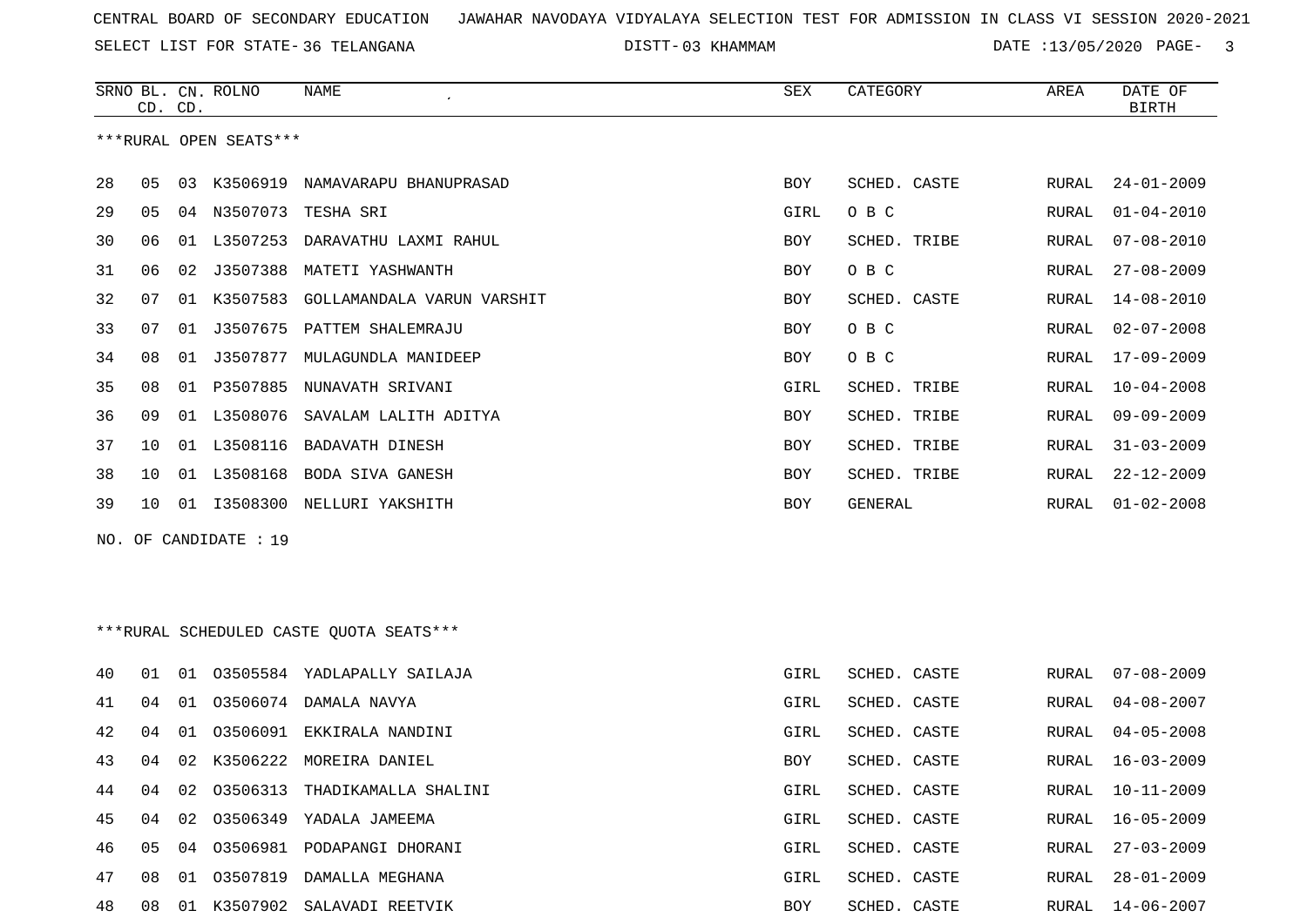SELECT LIST FOR STATE- DISTT- 36 TELANGANA

03 KHAMMAM DATE :13/05/2020 PAGE- 3

|                                         |    | CD. CD. | SRNO BL. CN. ROLNO     | NAME                             | SEX        | CATEGORY     | AREA  | DATE OF<br><b>BIRTH</b> |  |
|-----------------------------------------|----|---------|------------------------|----------------------------------|------------|--------------|-------|-------------------------|--|
|                                         |    |         | ***RURAL OPEN SEATS*** |                                  |            |              |       |                         |  |
| 28                                      | 05 |         | 03 K3506919            | NAMAVARAPU BHANUPRASAD           | BOY        | SCHED. CASTE | RURAL | $24 - 01 - 2009$        |  |
| 29                                      | 05 |         | 04 N3507073            | TESHA SRI                        | GIRL       | O B C        | RURAL | $01 - 04 - 2010$        |  |
| 30                                      | 06 |         | 01 L3507253            | DARAVATHU LAXMI RAHUL            | BOY        | SCHED. TRIBE | RURAL | $07 - 08 - 2010$        |  |
| 31                                      | 06 | 02      | J3507388               | MATETI YASHWANTH                 | BOY        | O B C        | RURAL | $27 - 08 - 2009$        |  |
| 32                                      | 07 |         | 01 K3507583            | GOLLAMANDALA VARUN VARSHIT       | BOY        | SCHED. CASTE | RURAL | $14 - 08 - 2010$        |  |
| 33                                      | 07 |         |                        | 01 J3507675 PATTEM SHALEMRAJU    | BOY        | O B C        | RURAL | $02 - 07 - 2008$        |  |
| 34                                      | 08 |         | 01 J3507877            | MULAGUNDLA MANIDEEP              | BOY        | O B C        | RURAL | $17 - 09 - 2009$        |  |
| 35                                      | 08 |         |                        | 01 P3507885 NUNAVATH SRIVANI     | GIRL       | SCHED. TRIBE | RURAL | $10 - 04 - 2008$        |  |
| 36                                      | 09 |         | 01 L3508076            | SAVALAM LALITH ADITYA            | BOY        | SCHED. TRIBE | RURAL | $09 - 09 - 2009$        |  |
| 37                                      | 10 |         | 01 L3508116            | BADAVATH DINESH                  | BOY        | SCHED. TRIBE | RURAL | $31 - 03 - 2009$        |  |
| 38                                      | 10 |         | 01 L3508168            | BODA SIVA GANESH                 | BOY        | SCHED. TRIBE | RURAL | $22 - 12 - 2009$        |  |
| 39                                      | 10 |         |                        | 01 I3508300 NELLURI YAKSHITH     | <b>BOY</b> | GENERAL      | RURAL | $01 - 02 - 2008$        |  |
|                                         |    |         | NO. OF CANDIDATE : 19  |                                  |            |              |       |                         |  |
|                                         |    |         |                        |                                  |            |              |       |                         |  |
|                                         |    |         |                        |                                  |            |              |       |                         |  |
| ***RURAL SCHEDULED CASTE QUOTA SEATS*** |    |         |                        |                                  |            |              |       |                         |  |
| 40                                      | 01 | 01      |                        | 03505584 YADLAPALLY SAILAJA      | GIRL       | SCHED. CASTE | RURAL | $07 - 08 - 2009$        |  |
| 41                                      | 04 |         |                        | 01 03506074 DAMALA NAVYA         | GIRL       | SCHED. CASTE | RURAL | $04 - 08 - 2007$        |  |
| 42                                      | 04 | 01      |                        | 03506091 EKKIRALA NANDINI        | GIRL       | SCHED. CASTE | RURAL | $04 - 05 - 2008$        |  |
| 43                                      | 04 |         |                        | 02 K3506222 MOREIRA DANIEL       | BOY        | SCHED. CASTE | RURAL | $16 - 03 - 2009$        |  |
| 44                                      | 04 |         |                        | 02 03506313 THADIKAMALLA SHALINI | GIRL       | SCHED. CASTE |       | RURAL 10-11-2009        |  |
| 45                                      | 04 | 02      |                        | 03506349 YADALA JAMEEMA          | GIRL       | SCHED. CASTE | RURAL | $16 - 05 - 2009$        |  |
| 46                                      | 05 |         |                        | 04 03506981 PODAPANGI DHORANI    | GIRL       | SCHED. CASTE | RURAL | $27 - 03 - 2009$        |  |
| 47                                      | 08 |         |                        | 01 03507819 DAMALLA MEGHANA      | GIRL       | SCHED. CASTE | RURAL | $28 - 01 - 2009$        |  |
| 48                                      | 08 |         |                        | 01 K3507902 SALAVADI REETVIK     | BOY        | SCHED. CASTE |       | RURAL 14-06-2007        |  |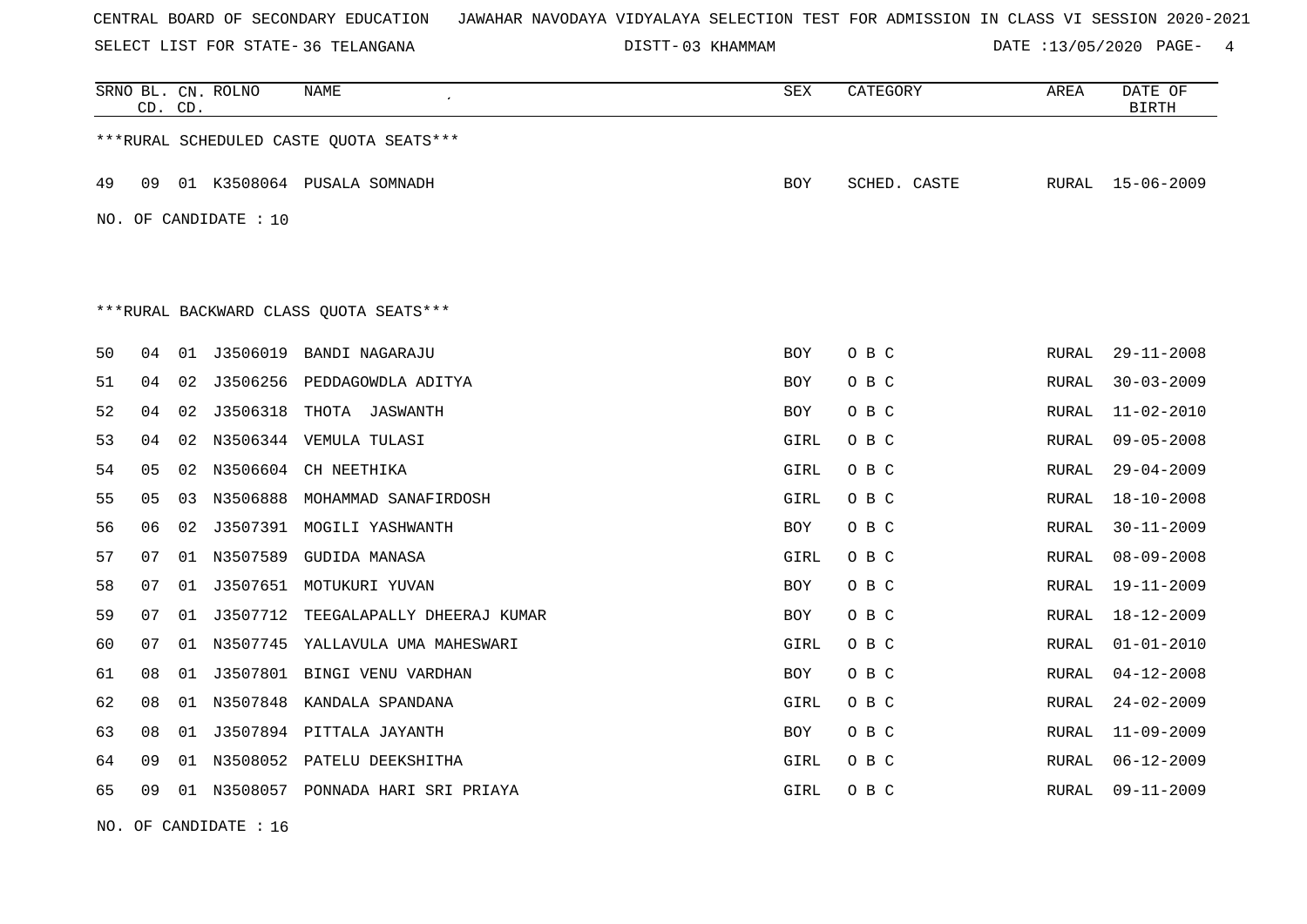SELECT LIST FOR STATE- DISTT- 36 TELANGANA

03 KHAMMAM DATE :13/05/2020 PAGE- 4

|    | CD. CD.                                |    | SRNO BL. CN. ROLNO    | NAME                                    | ${\tt SEX}$ | CATEGORY     | AREA         | DATE OF<br><b>BIRTH</b> |  |  |  |
|----|----------------------------------------|----|-----------------------|-----------------------------------------|-------------|--------------|--------------|-------------------------|--|--|--|
|    |                                        |    |                       | ***RURAL SCHEDULED CASTE QUOTA SEATS*** |             |              |              |                         |  |  |  |
| 49 | 09                                     |    |                       | 01 K3508064 PUSALA SOMNADH              | <b>BOY</b>  | SCHED. CASTE | RURAL        | 15-06-2009              |  |  |  |
|    |                                        |    | NO. OF CANDIDATE : 10 |                                         |             |              |              |                         |  |  |  |
|    |                                        |    |                       |                                         |             |              |              |                         |  |  |  |
|    |                                        |    |                       |                                         |             |              |              |                         |  |  |  |
|    | ***RURAL BACKWARD CLASS OUOTA SEATS*** |    |                       |                                         |             |              |              |                         |  |  |  |
| 50 | 04                                     |    | 01 J3506019           | BANDI NAGARAJU                          | <b>BOY</b>  | O B C        | RURAL        | $29 - 11 - 2008$        |  |  |  |
| 51 | 04                                     |    |                       | 02 J3506256 PEDDAGOWDLA ADITYA          | <b>BOY</b>  | O B C        | RURAL        | $30 - 03 - 2009$        |  |  |  |
| 52 | 04                                     |    | 02 J3506318           | THOTA JASWANTH                          | <b>BOY</b>  | O B C        | RURAL        | $11 - 02 - 2010$        |  |  |  |
| 53 | 04                                     |    |                       | 02 N3506344 VEMULA TULASI               | GIRL        | O B C        | RURAL        | $09 - 05 - 2008$        |  |  |  |
| 54 | 05                                     |    | 02 N3506604           | CH NEETHIKA                             | GIRL        | O B C        | RURAL        | $29 - 04 - 2009$        |  |  |  |
| 55 | 05                                     |    |                       | 03 N3506888 MOHAMMAD SANAFIRDOSH        | GIRL        | O B C        | RURAL        | $18 - 10 - 2008$        |  |  |  |
| 56 | 06                                     | 02 |                       | J3507391 MOGILI YASHWANTH               | BOY         | O B C        | RURAL        | $30 - 11 - 2009$        |  |  |  |
| 57 | 07                                     |    |                       | 01 N3507589 GUDIDA MANASA               | GIRL        | O B C        | RURAL        | $08 - 09 - 2008$        |  |  |  |
| 58 | 07                                     | 01 |                       | J3507651 MOTUKURI YUVAN                 | BOY         | O B C        | RURAL        | $19 - 11 - 2009$        |  |  |  |
| 59 | 07                                     |    |                       | 01 J3507712 TEEGALAPALLY DHEERAJ KUMAR  | BOY         | O B C        | RURAL        | 18-12-2009              |  |  |  |
| 60 | 07                                     |    |                       | 01 N3507745 YALLAVULA UMA MAHESWARI     | GIRL        | O B C        | RURAL        | $01 - 01 - 2010$        |  |  |  |
| 61 | 08                                     |    |                       | 01 J3507801 BINGI VENU VARDHAN          | BOY         | O B C        | RURAL        | $04 - 12 - 2008$        |  |  |  |
| 62 | 08                                     |    |                       | 01 N3507848 KANDALA SPANDANA            | GIRL        | O B C        | RURAL        | $24 - 02 - 2009$        |  |  |  |
| 63 | 08                                     | 01 |                       | J3507894 PITTALA JAYANTH                | BOY         | O B C        | RURAL        | $11 - 09 - 2009$        |  |  |  |
| 64 | 09                                     |    |                       | 01 N3508052 PATELU DEEKSHITHA           | GIRL        | O B C        | RURAL        | $06 - 12 - 2009$        |  |  |  |
| 65 | 09                                     |    |                       | 01 N3508057 PONNADA HARI SRI PRIAYA     | GIRL        | O B C        | <b>RURAL</b> | $09 - 11 - 2009$        |  |  |  |

NO. OF CANDIDATE : 16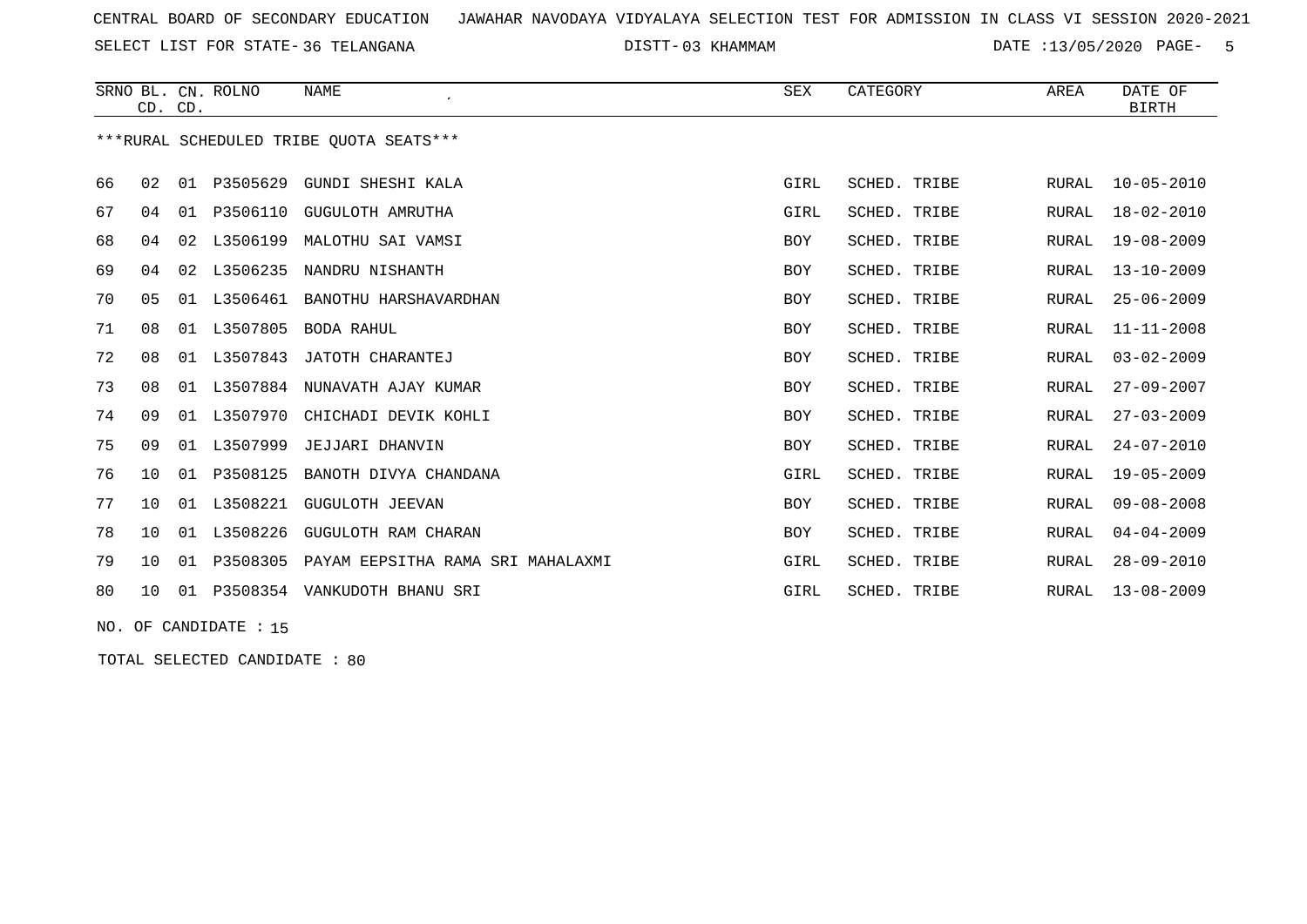SELECT LIST FOR STATE- DISTT- 36 TELANGANA

03 KHAMMAM DATE :13/05/2020 PAGE- 5

|    | CD. CD.                                 |    | SRNO BL. CN. ROLNO | <b>NAME</b>                       | SEX        | CATEGORY     | AREA  | DATE OF<br><b>BIRTH</b> |  |  |  |
|----|-----------------------------------------|----|--------------------|-----------------------------------|------------|--------------|-------|-------------------------|--|--|--|
|    | ***RURAL SCHEDULED TRIBE OUOTA SEATS*** |    |                    |                                   |            |              |       |                         |  |  |  |
| 66 | 02                                      | 01 |                    | P3505629 GUNDI SHESHI KALA        | GIRL       | SCHED. TRIBE | RURAL | $10 - 05 - 2010$        |  |  |  |
| 67 | 04                                      |    |                    | 01 P3506110 GUGULOTH AMRUTHA      | GIRL       | SCHED. TRIBE | RURAL | $18 - 02 - 2010$        |  |  |  |
| 68 | 04                                      |    | 02 L3506199        | MALOTHU SAI VAMSI                 | BOY        | SCHED. TRIBE | RURAL | $19 - 08 - 2009$        |  |  |  |
| 69 | 04                                      |    |                    | 02 L3506235 NANDRU NISHANTH       | BOY        | SCHED. TRIBE | RURAL | $13 - 10 - 2009$        |  |  |  |
| 70 | 05                                      |    |                    | 01 L3506461 BANOTHU HARSHAVARDHAN | BOY        | SCHED. TRIBE | RURAL | $25 - 06 - 2009$        |  |  |  |
| 71 | 08                                      |    | 01 L3507805        | BODA RAHUL                        | BOY        | SCHED. TRIBE | RURAL | $11 - 11 - 2008$        |  |  |  |
| 72 | 08                                      |    | 01 L3507843        | JATOTH CHARANTEJ                  | <b>BOY</b> | SCHED. TRIBE | RURAL | $03 - 02 - 2009$        |  |  |  |
| 73 | 08                                      |    |                    | 01 L3507884 NUNAVATH AJAY KUMAR   | BOY        | SCHED. TRIBE | RURAL | $27 - 09 - 2007$        |  |  |  |
| 74 | 09                                      |    | 01 L3507970        | CHICHADI DEVIK KOHLI              | BOY        | SCHED. TRIBE | RURAL | $27 - 03 - 2009$        |  |  |  |
| 75 | 09                                      | 01 | L3507999           | JEJJARI DHANVIN                   | BOY        | SCHED. TRIBE | RURAL | $24 - 07 - 2010$        |  |  |  |
| 76 | 10 <sup>°</sup>                         | 01 | P3508125           | BANOTH DIVYA CHANDANA             | GIRL       | SCHED. TRIBE | RURAL | $19 - 05 - 2009$        |  |  |  |
| 77 | 10 <sup>°</sup>                         | 01 | L3508221           | GUGULOTH JEEVAN                   | BOY        | SCHED. TRIBE | RURAL | $09 - 08 - 2008$        |  |  |  |
| 78 | 10 <sup>1</sup>                         | 01 | L3508226           | GUGULOTH RAM CHARAN               | BOY        | SCHED. TRIBE | RURAL | $04 - 04 - 2009$        |  |  |  |
| 79 | 10 <sup>1</sup>                         |    | 01 P3508305        | PAYAM EEPSITHA RAMA SRI MAHALAXMI | GIRL       | SCHED. TRIBE | RURAL | $28 - 09 - 2010$        |  |  |  |
| 80 | 10 <sup>°</sup>                         |    |                    | 01 P3508354 VANKUDOTH BHANU SRI   | GIRL       | SCHED. TRIBE | RURAL | $13 - 08 - 2009$        |  |  |  |

NO. OF CANDIDATE : 15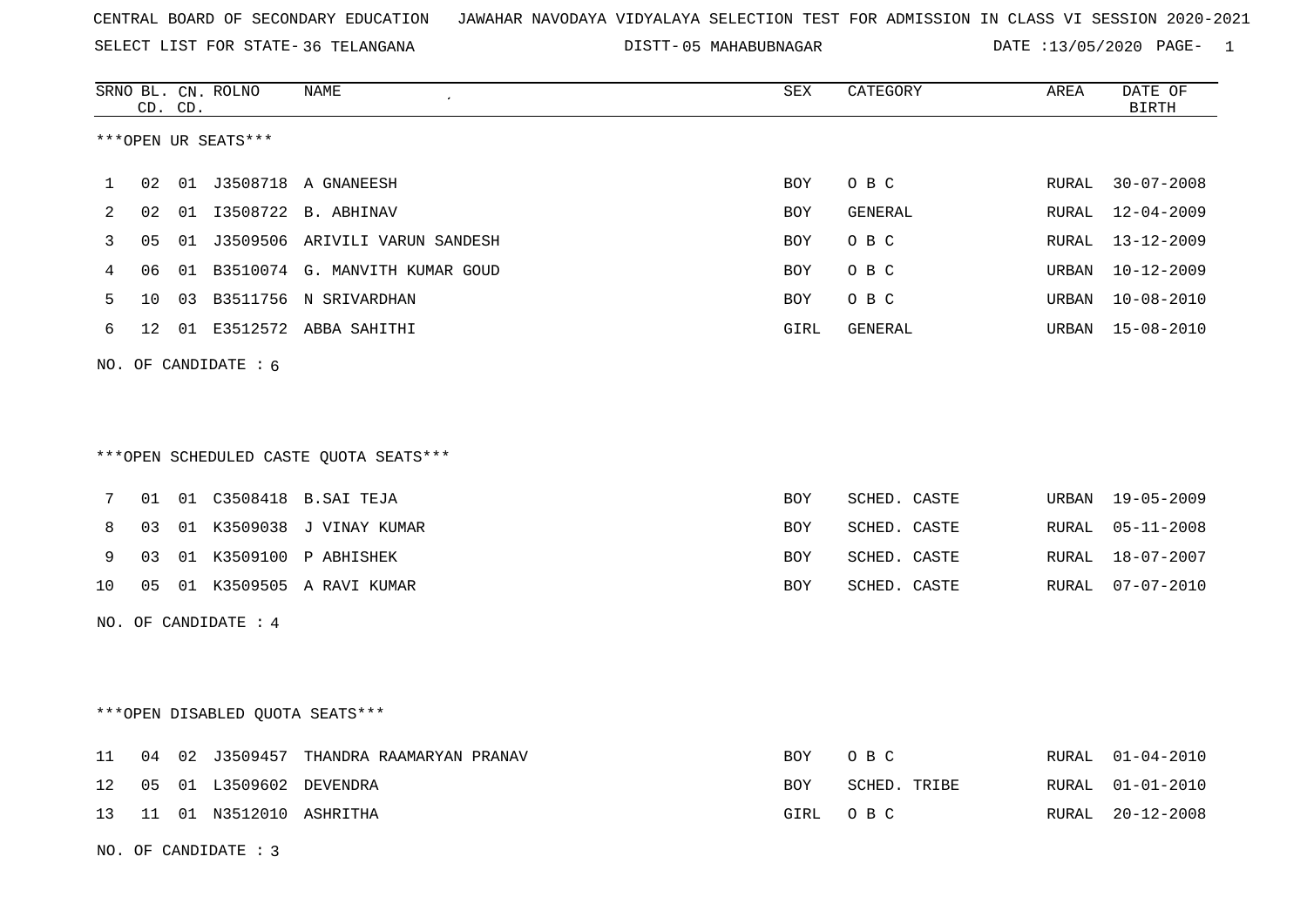SELECT LIST FOR STATE- DISTT- 36 TELANGANA

05 MAHABUBNAGAR DATE :13/05/2020 PAGE- 1

|    |    | CD. CD. | SRNO BL. CN. ROLNO     | <b>NAME</b>                            | <b>SEX</b> | CATEGORY     | AREA  | DATE OF<br><b>BIRTH</b> |
|----|----|---------|------------------------|----------------------------------------|------------|--------------|-------|-------------------------|
|    |    |         | ***OPEN UR SEATS***    |                                        |            |              |       |                         |
| 1  | 02 |         |                        | 01 J3508718 A GNANEESH                 | BOY        | O B C        | RURAL | $30 - 07 - 2008$        |
| 2  | 02 |         |                        | 01  13508722  B. ABHINAV               | BOY        | GENERAL      | RURAL | $12 - 04 - 2009$        |
| 3  | 05 |         |                        | 01 J3509506 ARIVILI VARUN SANDESH      | BOY        | O B C        | RURAL | $13 - 12 - 2009$        |
| 4  | 06 |         |                        | 01 B3510074 G. MANVITH KUMAR GOUD      | BOY        | O B C        | URBAN | $10 - 12 - 2009$        |
| 5  | 10 |         |                        | 03 B3511756 N SRIVARDHAN               | BOY        | O B C        | URBAN | $10 - 08 - 2010$        |
| 6  | 12 |         |                        | 01 E3512572 ABBA SAHITHI               | GIRL       | GENERAL      | URBAN | $15 - 08 - 2010$        |
|    |    |         | NO. OF CANDIDATE : $6$ |                                        |            |              |       |                         |
|    |    |         |                        |                                        |            |              |       |                         |
|    |    |         |                        |                                        |            |              |       |                         |
|    |    |         |                        | ***OPEN SCHEDULED CASTE QUOTA SEATS*** |            |              |       |                         |
| 7  | 01 |         |                        | 01 C3508418 B.SAI TEJA                 | BOY        | SCHED. CASTE | URBAN | 19-05-2009              |
| 8  | 03 |         |                        | 01 K3509038 J VINAY KUMAR              | BOY        | SCHED. CASTE | RURAL | $05 - 11 - 2008$        |
| 9  | 03 |         |                        | 01 K3509100 P ABHISHEK                 | BOY        | SCHED. CASTE | RURAL | 18-07-2007              |
| 10 | 05 |         |                        | 01 K3509505 A RAVI KUMAR               | BOY        | SCHED. CASTE | RURAL | $07 - 07 - 2010$        |
|    |    |         | NO. OF CANDIDATE : 4   |                                        |            |              |       |                         |
|    |    |         |                        |                                        |            |              |       |                         |
|    |    |         |                        |                                        |            |              |       |                         |
|    |    |         |                        | *** OPEN DISABLED QUOTA SEATS***       |            |              |       |                         |
| 11 | 04 |         |                        | 02 J3509457 THANDRA RAAMARYAN PRANAV   | BOY        | O B C        | RURAL | $01 - 04 - 2010$        |
| 12 | 05 |         | 01 L3509602 DEVENDRA   |                                        | BOY        | SCHED. TRIBE | RURAL | $01 - 01 - 2010$        |
| 13 | 11 |         | 01 N3512010 ASHRITHA   |                                        | GIRL       | O B C        | RURAL | $20 - 12 - 2008$        |
|    |    |         | NO. OF CANDIDATE : 3   |                                        |            |              |       |                         |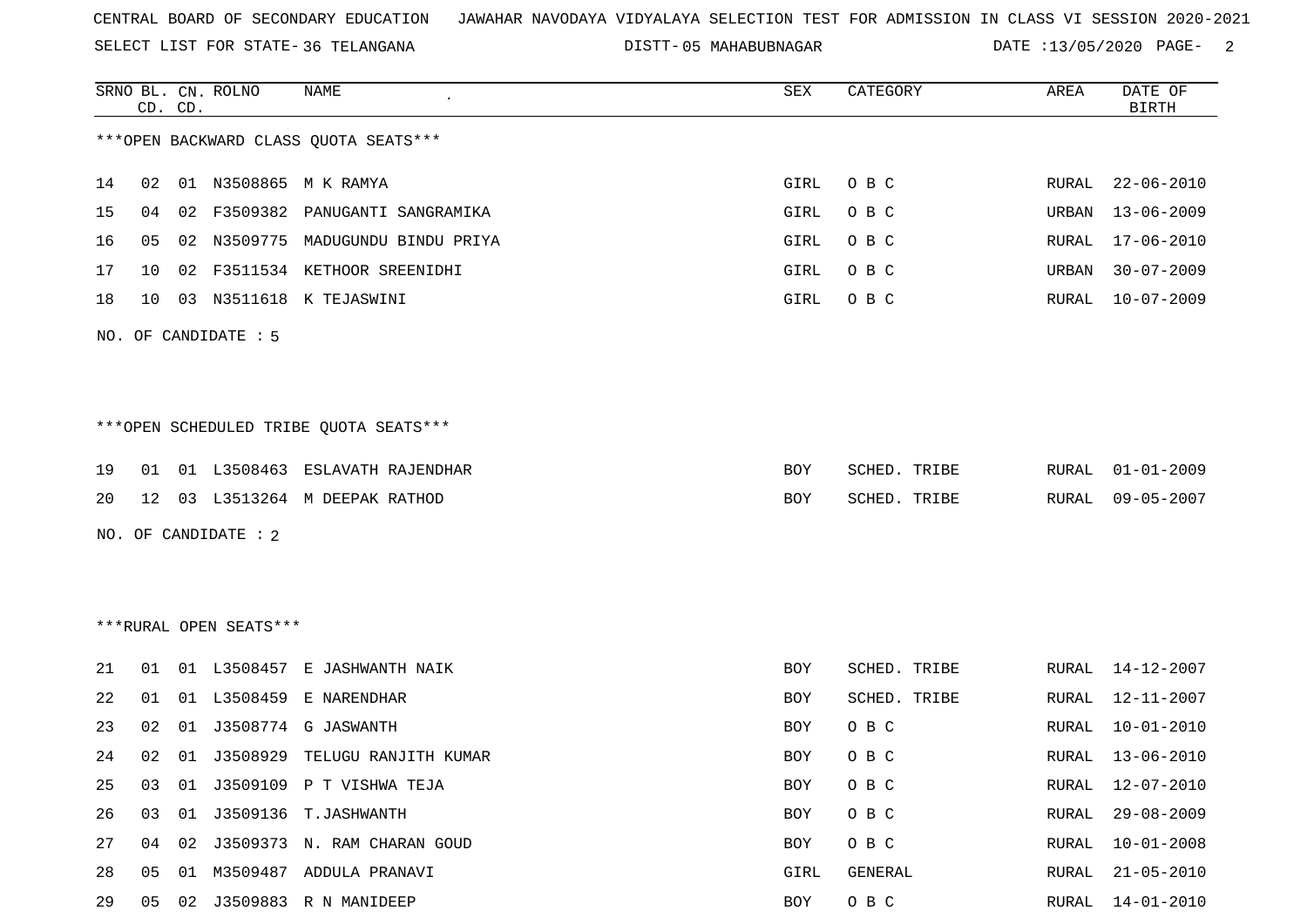SELECT LIST FOR STATE- DISTT- 36 TELANGANA

05 MAHABUBNAGAR DATE :13/05/2020 PAGE- 2

|    |    | CD. CD. | SRNO BL. CN. ROLNO     | <b>NAME</b>                             | SEX        | CATEGORY     | AREA  | DATE OF<br><b>BIRTH</b> |
|----|----|---------|------------------------|-----------------------------------------|------------|--------------|-------|-------------------------|
|    |    |         |                        | *** OPEN BACKWARD CLASS QUOTA SEATS***  |            |              |       |                         |
| 14 | 02 |         |                        | 01 N3508865 M K RAMYA                   | GIRL       | O B C        | RURAL | $22 - 06 - 2010$        |
| 15 | 04 | 02      | F3509382               | PANUGANTI SANGRAMIKA                    | GIRL       | O B C        | URBAN | $13 - 06 - 2009$        |
| 16 | 05 | 02      | N3509775               | MADUGUNDU BINDU PRIYA                   | GIRL       | O B C        | RURAL | $17 - 06 - 2010$        |
| 17 | 10 | 02      |                        | F3511534 KETHOOR SREENIDHI              | GIRL       | O B C        | URBAN | $30 - 07 - 2009$        |
| 18 | 10 | 03      |                        | N3511618 K TEJASWINI                    | GIRL       | O B C        | RURAL | $10 - 07 - 2009$        |
|    |    |         | NO. OF CANDIDATE : 5   |                                         |            |              |       |                         |
|    |    |         |                        |                                         |            |              |       |                         |
|    |    |         |                        | *** OPEN SCHEDULED TRIBE QUOTA SEATS*** |            |              |       |                         |
| 19 | 01 |         | 01 L3508463            | ESLAVATH RAJENDHAR                      | BOY        | SCHED. TRIBE | RURAL | $01 - 01 - 2009$        |
| 20 | 12 |         |                        | 03 L3513264 M DEEPAK RATHOD             | BOY        | SCHED. TRIBE | RURAL | $09 - 05 - 2007$        |
|    |    |         | NO. OF CANDIDATE : 2   |                                         |            |              |       |                         |
|    |    |         |                        |                                         |            |              |       |                         |
|    |    |         | ***RURAL OPEN SEATS*** |                                         |            |              |       |                         |
|    |    |         |                        |                                         |            |              |       |                         |
| 21 | 01 |         | 01 L3508457            | E JASHWANTH NAIK                        | BOY        | SCHED. TRIBE | RURAL | 14-12-2007              |
| 22 | 01 |         | 01 L3508459            | E NARENDHAR                             | BOY        | SCHED. TRIBE | RURAL | 12-11-2007              |
| 23 | 02 | 01      | J3508774               | G JASWANTH                              | BOY        | O B C        | RURAL | $10 - 01 - 2010$        |
| 24 | 02 | 01      |                        | J3508929 TELUGU RANJITH KUMAR           | BOY        | O B C        | RURAL | $13 - 06 - 2010$        |
| 25 | 03 | 01      |                        | J3509109 P T VISHWA TEJA                | <b>BOY</b> | O B C        | RURAL | $12 - 07 - 2010$        |
| 26 | 03 |         |                        | 01 J3509136 T.JASHWANTH                 | BOY        | O B C        | RURAL | $29 - 08 - 2009$        |
| 27 | 04 |         |                        | 02 J3509373 N. RAM CHARAN GOUD          | BOY        | O B C        | RURAL | $10 - 01 - 2008$        |
| 28 | 05 | 01      |                        | M3509487 ADDULA PRANAVI                 | GIRL       | GENERAL      | RURAL | $21 - 05 - 2010$        |
| 29 | 05 |         |                        | 02 J3509883 R N MANIDEEP                | BOY        | O B C        | RURAL | $14 - 01 - 2010$        |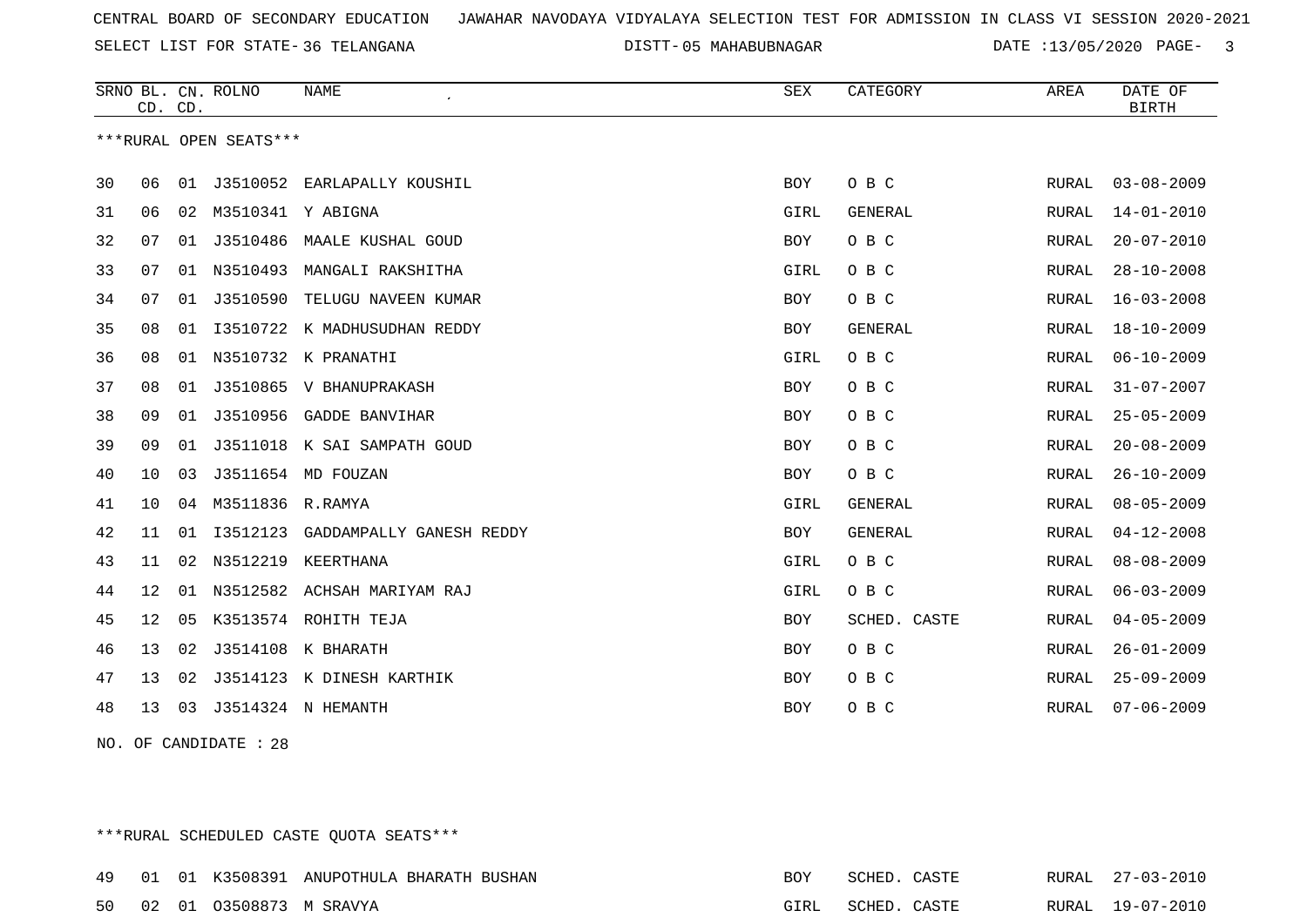SELECT LIST FOR STATE- DISTT- 36 TELANGANA

05 MAHABUBNAGAR DATE :13/05/2020 PAGE- 3

|    | CD. CD. |    | SRNO BL. CN. ROLNO     | <b>NAME</b>                  | <b>SEX</b> | CATEGORY       | AREA         | DATE OF<br><b>BIRTH</b> |
|----|---------|----|------------------------|------------------------------|------------|----------------|--------------|-------------------------|
|    |         |    | ***RURAL OPEN SEATS*** |                              |            |                |              |                         |
| 30 | 06      | 01 | J3510052               | EARLAPALLY KOUSHIL           | <b>BOY</b> | O B C          | RURAL        | $03 - 08 - 2009$        |
| 31 | 06      | 02 | M3510341 Y ABIGNA      |                              | GIRL       | GENERAL        | RURAL        | $14 - 01 - 2010$        |
| 32 | 07      | 01 | J3510486               | MAALE KUSHAL GOUD            | BOY        | O B C          | RURAL        | $20 - 07 - 2010$        |
| 33 | 07      | 01 | N3510493               | MANGALI RAKSHITHA            | GIRL       | O B C          | RURAL        | $28 - 10 - 2008$        |
| 34 | 07      | 01 | J3510590               | TELUGU NAVEEN KUMAR          | <b>BOY</b> | O B C          | RURAL        | $16 - 03 - 2008$        |
| 35 | 08      | 01 |                        | I3510722 K MADHUSUDHAN REDDY | BOY        | <b>GENERAL</b> | RURAL        | $18 - 10 - 2009$        |
| 36 | 08      | 01 |                        | N3510732 K PRANATHI          | GIRL       | O B C          | RURAL        | $06 - 10 - 2009$        |
| 37 | 08      | 01 |                        | J3510865 V BHANUPRAKASH      | <b>BOY</b> | O B C          | RURAL        | $31 - 07 - 2007$        |
| 38 | 09      | 01 |                        | J3510956 GADDE BANVIHAR      | BOY        | O B C          | RURAL        | $25 - 05 - 2009$        |
| 39 | 09      | 01 |                        | J3511018 K SAI SAMPATH GOUD  | BOY        | O B C          | <b>RURAL</b> | $20 - 08 - 2009$        |
| 40 | 10      | 03 |                        | J3511654 MD FOUZAN           | BOY        | O B C          | RURAL        | $26 - 10 - 2009$        |
| 41 | 10      | 04 | M3511836 R.RAMYA       |                              | GIRL       | <b>GENERAL</b> | RURAL        | $08 - 05 - 2009$        |
| 42 | 11      | 01 | I3512123               | GADDAMPALLY GANESH REDDY     | <b>BOY</b> | <b>GENERAL</b> | RURAL        | $04 - 12 - 2008$        |
| 43 | 11      | 02 | N3512219               | KEERTHANA                    | GIRL       | O B C          | <b>RURAL</b> | $08 - 08 - 2009$        |
| 44 | 12      | 01 |                        | N3512582 ACHSAH MARIYAM RAJ  | GIRL       | O B C          | RURAL        | $06 - 03 - 2009$        |
| 45 | 12      | 05 |                        | K3513574 ROHITH TEJA         | <b>BOY</b> | SCHED. CASTE   | <b>RURAL</b> | $04 - 05 - 2009$        |
| 46 | 13      | 02 | J3514108               | K BHARATH                    | BOY        | O B C          | RURAL        | $26 - 01 - 2009$        |
| 47 | 13      | 02 |                        | J3514123 K DINESH KARTHIK    | BOY        | O B C          | RURAL        | $25 - 09 - 2009$        |
| 48 | 13      | 03 |                        | J3514324 N HEMANTH           | BOY        | O B C          | RURAL        | $07 - 06 - 2009$        |
|    |         |    |                        |                              |            |                |              |                         |

NO. OF CANDIDATE : 28

\*\*\*RURAL SCHEDULED CASTE QUOTA SEATS\*\*\*

|  |                            | 49 01 01 K3508391 ANUPOTHULA BHARATH BUSHAN | BOY | SCHED. CASTE |  | RURAL 27-03-2010 |
|--|----------------------------|---------------------------------------------|-----|--------------|--|------------------|
|  | 50 02 01 03508873 M SRAVYA |                                             |     | SCHED. CASTE |  | RURAL 19-07-2010 |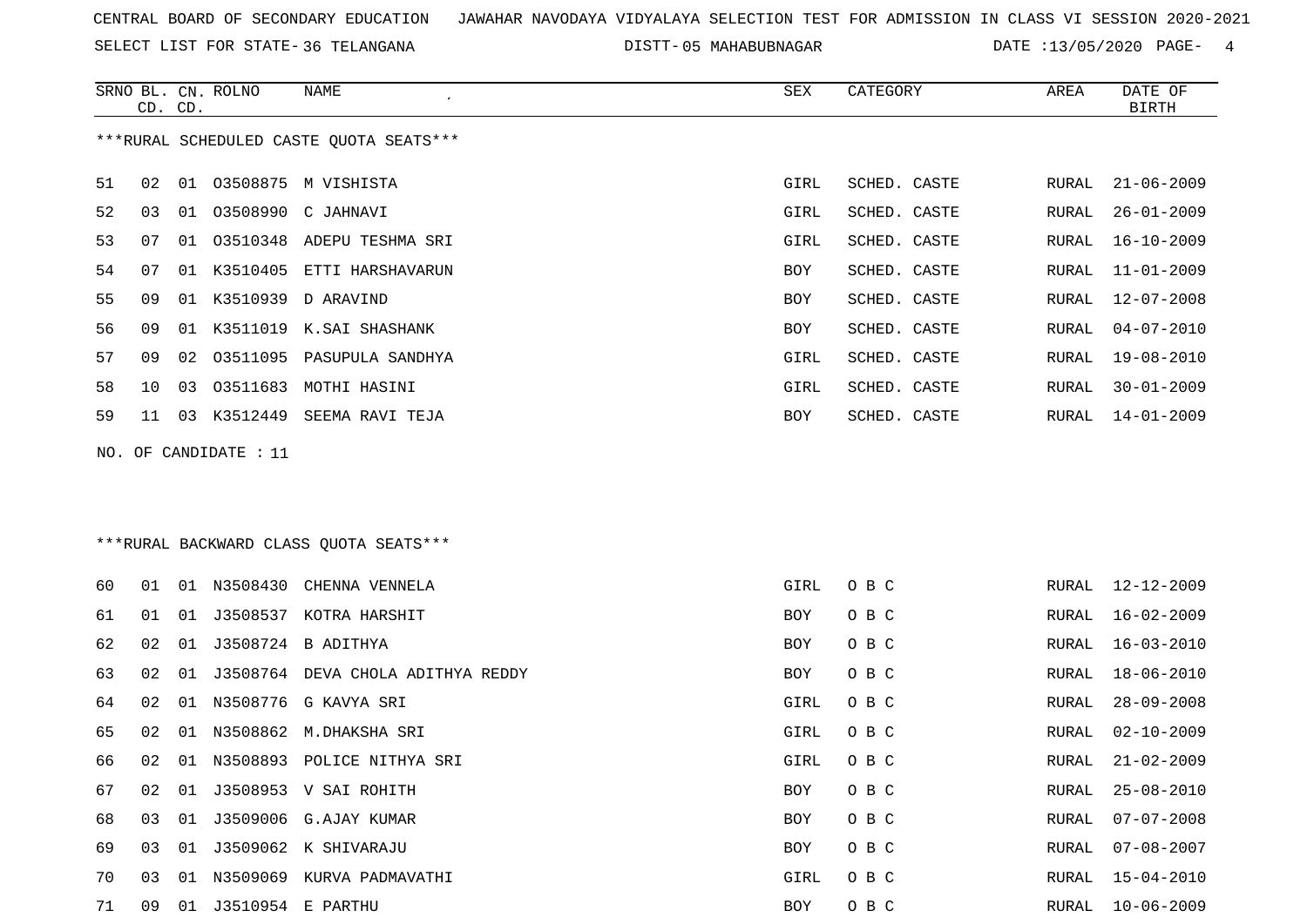SELECT LIST FOR STATE- DISTT- 36 TELANGANA

DISTT-05 MAHABUBNAGAR DATE :13/05/2020 PAGE- 4

|    | CD. CD. |    | SRNO BL. CN. ROLNO   | NAME                                    | SEX  | CATEGORY     | AREA  | DATE OF<br><b>BIRTH</b> |
|----|---------|----|----------------------|-----------------------------------------|------|--------------|-------|-------------------------|
|    |         |    |                      | ***RURAL SCHEDULED CASTE QUOTA SEATS*** |      |              |       |                         |
| 51 | 02      |    |                      | 01 03508875 M VISHISTA                  | GIRL | SCHED. CASTE | RURAL | $21 - 06 - 2009$        |
| 52 | 03      |    |                      | 01 03508990 C JAHNAVI                   | GIRL | SCHED. CASTE | RURAL | $26 - 01 - 2009$        |
| 53 | 07      |    |                      | 01 03510348 ADEPU TESHMA SRI            | GIRL | SCHED. CASTE | RURAL | $16 - 10 - 2009$        |
| 54 | 07      | 01 | K3510405             | ETTI HARSHAVARUN                        | BOY  | SCHED. CASTE | RURAL | $11 - 01 - 2009$        |
| 55 | 09      | 01 | K3510939             | D ARAVIND                               | BOY  | SCHED. CASTE | RURAL | $12 - 07 - 2008$        |
| 56 | 09      | 01 |                      | K3511019 K.SAI SHASHANK                 | BOY  | SCHED. CASTE | RURAL | $04 - 07 - 2010$        |
| 57 | 09      | 02 |                      | 03511095 PASUPULA SANDHYA               | GIRL | SCHED. CASTE | RURAL | $19 - 08 - 2010$        |
| 58 | 10      | 03 |                      | 03511683 MOTHI HASINI                   | GIRL | SCHED. CASTE | RURAL | $30 - 01 - 2009$        |
| 59 | 11      |    |                      | 03 K3512449 SEEMA RAVI TEJA             | BOY  | SCHED. CASTE | RURAL | $14 - 01 - 2009$        |
|    |         |    |                      | *** RURAL BACKWARD CLASS QUOTA SEATS*** |      |              |       |                         |
| 60 | 01      | 01 | N3508430             | CHENNA VENNELA                          | GIRL | O B C        | RURAL | 12-12-2009              |
| 61 | 01      | 01 |                      | J3508537 KOTRA HARSHIT                  | BOY  | O B C        | RURAL | $16 - 02 - 2009$        |
| 62 | 02      | 01 |                      | J3508724 B ADITHYA                      | BOY  | O B C        | RURAL | $16 - 03 - 2010$        |
| 63 | 02      | 01 |                      | J3508764 DEVA CHOLA ADITHYA REDDY       | BOY  | O B C        | RURAL | $18 - 06 - 2010$        |
| 64 | 02      | 01 |                      | N3508776 G KAVYA SRI                    | GIRL | O B C        | RURAL | $28 - 09 - 2008$        |
| 65 | 02      | 01 |                      | N3508862 M.DHAKSHA SRI                  | GIRL | O B C        | RURAL | $02 - 10 - 2009$        |
| 66 | 02      |    |                      | 01 N3508893 POLICE NITHYA SRI           | GIRL | O B C        | RURAL | $21 - 02 - 2009$        |
| 67 | 02      |    |                      | 01 J3508953 V SAI ROHITH                | BOY  | O B C        | RURAL | $25 - 08 - 2010$        |
| 68 | 03      |    |                      | 01 J3509006 G.AJAY KUMAR                | BOY  | O B C        | RURAL | $07 - 07 - 2008$        |
| 69 | 03      |    |                      | 01 J3509062 K SHIVARAJU                 | BOY  | O B C        | RURAL | $07 - 08 - 2007$        |
| 70 | 03      |    |                      | 01 N3509069 KURVA PADMAVATHI            | GIRL | O B C        | RURAL | $15 - 04 - 2010$        |
| 71 | 09      |    | 01 J3510954 E PARTHU |                                         | BOY  | O B C        | RURAL | $10 - 06 - 2009$        |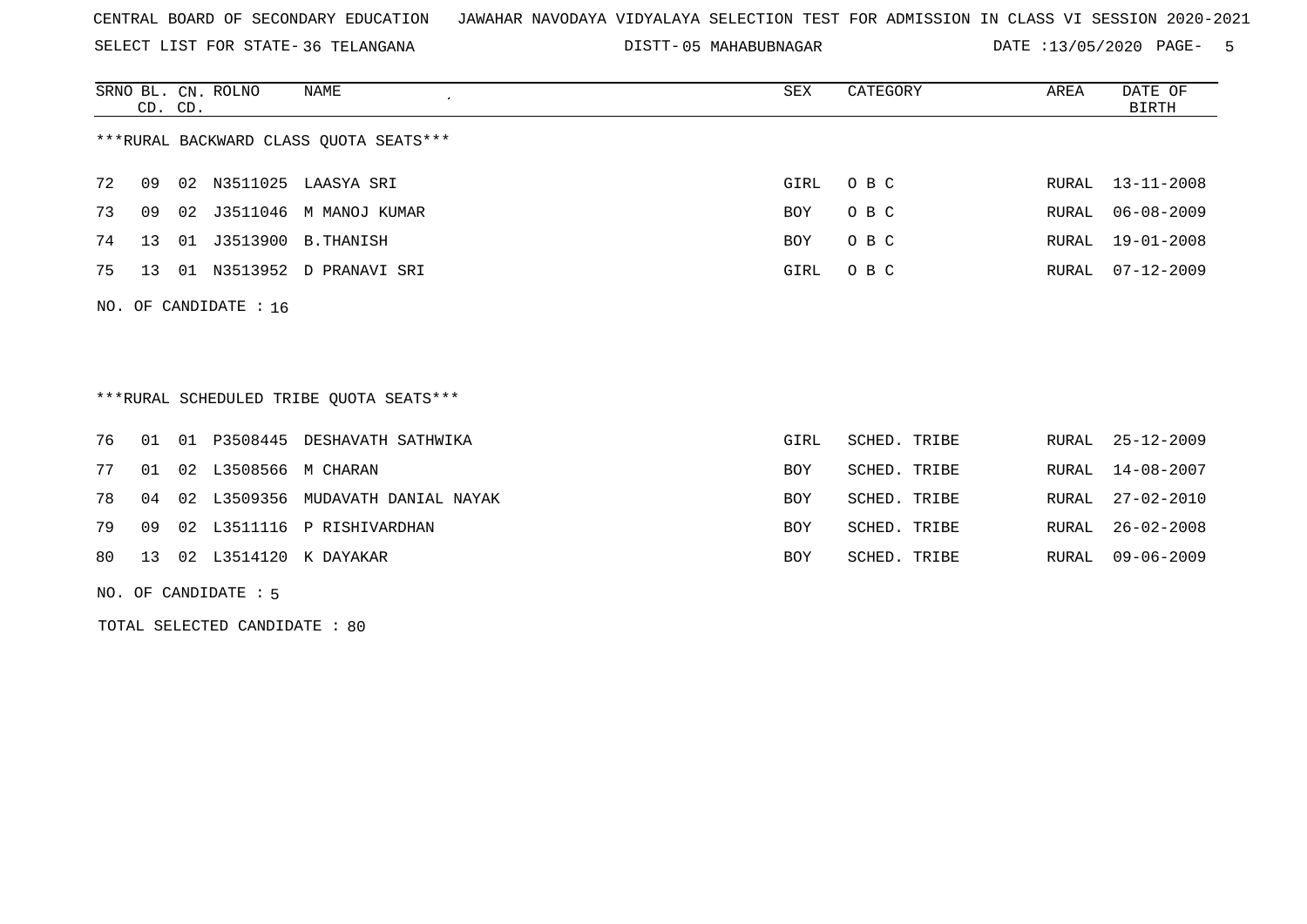SELECT LIST FOR STATE- DISTT- 36 TELANGANA

05 MAHABUBNAGAR DATE :13/05/2020 PAGE- 5

|                         | CD. CD.                                 |    | SRNO BL. CN. ROLNO | NAME                                   | SEX  | CATEGORY | AREA  | DATE OF<br>BIRTH |  |
|-------------------------|-----------------------------------------|----|--------------------|----------------------------------------|------|----------|-------|------------------|--|
|                         |                                         |    |                    | ***RURAL BACKWARD CLASS QUOTA SEATS*** |      |          |       |                  |  |
| 72                      | 09                                      |    |                    | 02 N3511025 LAASYA SRI                 | GIRL | O B C    |       | RURAL 13-11-2008 |  |
| 73                      | 09                                      |    | 02 J3511046        | M MANOJ KUMAR                          | BOY  | O B C    | RURAL | $06 - 08 - 2009$ |  |
| 74                      | 13                                      | 01 | J3513900           | B.THANISH                              | BOY  | O B C    | RURAL | 19-01-2008       |  |
| 75                      | 13                                      | 01 | N3513952           | D PRANAVI SRI                          | GIRL | O B C    | RURAL | 07-12-2009       |  |
| NO. OF CANDIDATE : $16$ |                                         |    |                    |                                        |      |          |       |                  |  |
|                         | ***RURAL SCHEDULED TRIBE OUOTA SEATS*** |    |                    |                                        |      |          |       |                  |  |

|  |                            | 76 01 01 P3508445 DESHAVATH SATHWIKA    | GIRL       | SCHED. TRIBE | RURAL 25-12-2009 |
|--|----------------------------|-----------------------------------------|------------|--------------|------------------|
|  | 77 01 02 L3508566 M CHARAN |                                         | <b>BOY</b> | SCHED. TRIBE | RURAL 14-08-2007 |
|  |                            | 78 04 02 L3509356 MUDAVATH DANIAL NAYAK | <b>BOY</b> | SCHED. TRIBE | RURAL 27-02-2010 |
|  |                            | 79 09 02 L3511116 P RISHIVARDHAN        | <b>BOY</b> | SCHED. TRIBE | RURAL 26-02-2008 |
|  |                            | 80 13 02 L3514120 K DAYAKAR             | <b>BOY</b> | SCHED. TRIBE | RURAL 09-06-2009 |

NO. OF CANDIDATE : 5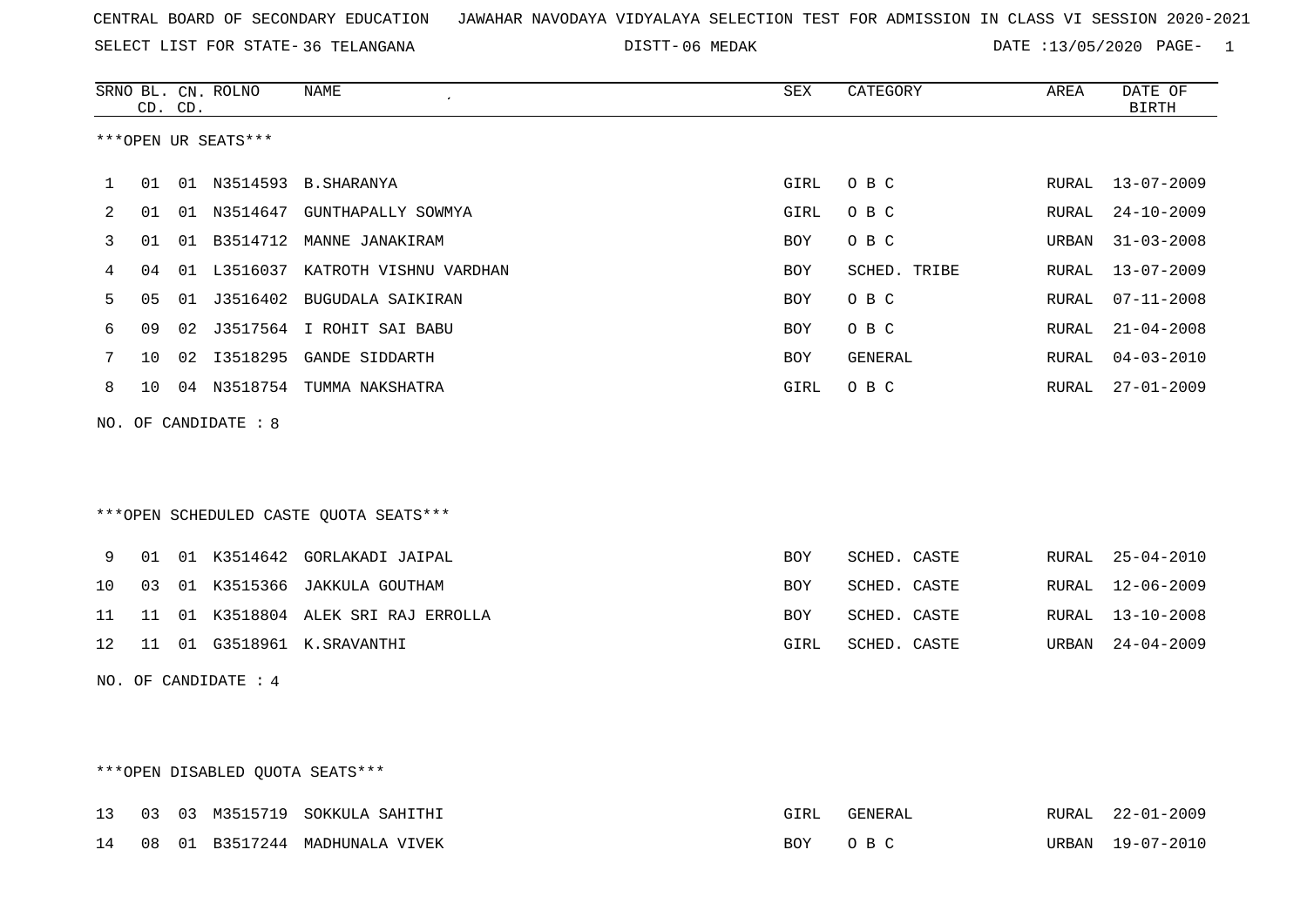SELECT LIST FOR STATE- DISTT- 36 TELANGANA

DISTT-06 MEDAK 13/05/2020 PAGE- 1

|    |          | <b>NAME</b><br>$\epsilon$                                                                            | ${\tt SEX}$                                                                                                                                                                                                                                                                                                                                                                                                                       | CATEGORY     | AREA                         | DATE OF<br><b>BIRTH</b> |
|----|----------|------------------------------------------------------------------------------------------------------|-----------------------------------------------------------------------------------------------------------------------------------------------------------------------------------------------------------------------------------------------------------------------------------------------------------------------------------------------------------------------------------------------------------------------------------|--------------|------------------------------|-------------------------|
|    |          |                                                                                                      |                                                                                                                                                                                                                                                                                                                                                                                                                                   |              |                              |                         |
| 01 |          |                                                                                                      | GIRL                                                                                                                                                                                                                                                                                                                                                                                                                              | O B C        | RURAL                        | $13 - 07 - 2009$        |
| 01 |          |                                                                                                      | GIRL                                                                                                                                                                                                                                                                                                                                                                                                                              | O B C        | RURAL                        | $24 - 10 - 2009$        |
| 01 | 01       |                                                                                                      | BOY                                                                                                                                                                                                                                                                                                                                                                                                                               | O B C        | URBAN                        | $31 - 03 - 2008$        |
| 04 |          |                                                                                                      | BOY                                                                                                                                                                                                                                                                                                                                                                                                                               | SCHED. TRIBE | RURAL                        | $13 - 07 - 2009$        |
| 05 |          |                                                                                                      | BOY                                                                                                                                                                                                                                                                                                                                                                                                                               | O B C        | RURAL                        | $07 - 11 - 2008$        |
| 09 | 02       |                                                                                                      | BOY                                                                                                                                                                                                                                                                                                                                                                                                                               | O B C        | RURAL                        | $21 - 04 - 2008$        |
| 10 |          |                                                                                                      | BOY                                                                                                                                                                                                                                                                                                                                                                                                                               | GENERAL      | RURAL                        | $04 - 03 - 2010$        |
| 10 |          |                                                                                                      | GIRL                                                                                                                                                                                                                                                                                                                                                                                                                              | O B C        | RURAL                        | $27 - 01 - 2009$        |
|    |          |                                                                                                      |                                                                                                                                                                                                                                                                                                                                                                                                                                   |              |                              |                         |
|    |          |                                                                                                      |                                                                                                                                                                                                                                                                                                                                                                                                                                   |              |                              |                         |
|    |          |                                                                                                      |                                                                                                                                                                                                                                                                                                                                                                                                                                   |              |                              |                         |
|    |          |                                                                                                      |                                                                                                                                                                                                                                                                                                                                                                                                                                   |              |                              |                         |
|    |          |                                                                                                      |                                                                                                                                                                                                                                                                                                                                                                                                                                   |              |                              |                         |
|    |          |                                                                                                      |                                                                                                                                                                                                                                                                                                                                                                                                                                   |              |                              | $25 - 04 - 2010$        |
|    |          |                                                                                                      |                                                                                                                                                                                                                                                                                                                                                                                                                                   |              |                              | $12 - 06 - 2009$        |
| 11 |          |                                                                                                      | BOY                                                                                                                                                                                                                                                                                                                                                                                                                               | SCHED. CASTE | RURAL                        | $13 - 10 - 2008$        |
|    |          |                                                                                                      | GIRL                                                                                                                                                                                                                                                                                                                                                                                                                              | SCHED. CASTE | URBAN                        | $24 - 04 - 2009$        |
|    |          |                                                                                                      |                                                                                                                                                                                                                                                                                                                                                                                                                                   |              |                              |                         |
|    |          |                                                                                                      |                                                                                                                                                                                                                                                                                                                                                                                                                                   |              |                              |                         |
|    |          |                                                                                                      |                                                                                                                                                                                                                                                                                                                                                                                                                                   |              |                              |                         |
|    | 01<br>03 | SRNO BL. CN. ROLNO<br>CD. CD.<br>***OPEN UR SEATS***<br>NO. OF CANDIDATE : 8<br>NO. OF CANDIDATE : 4 | 01 N3514593 B.SHARANYA<br>01 N3514647 GUNTHAPALLY SOWMYA<br>B3514712 MANNE JANAKIRAM<br>01 L3516037 KATROTH VISHNU VARDHAN<br>01 J3516402 BUGUDALA SAIKIRAN<br>J3517564 I ROHIT SAI BABU<br>02 I3518295 GANDE SIDDARTH<br>04 N3518754 TUMMA NAKSHATRA<br>*** OPEN SCHEDULED CASTE QUOTA SEATS***<br>01 K3514642 GORLAKADI JAIPAL<br>01 K3515366 JAKKULA GOUTHAM<br>01 K3518804 ALEK SRI RAJ ERROLLA<br>11 01 G3518961 K.SRAVANTHI | BOY<br>BOY   | SCHED. CASTE<br>SCHED. CASTE | RURAL<br>RURAL          |

## \*\*\*OPEN DISABLED QUOTA SEATS\*\*\*

|  |  | 13 03 03 M3515719 SOKKULA SAHITHI | GIRL    | GENERAL | RURAL 22-01-2009 |
|--|--|-----------------------------------|---------|---------|------------------|
|  |  | 14 08 01 B3517244 MADHUNALA VIVEK | BOY OBC |         | URBAN 19-07-2010 |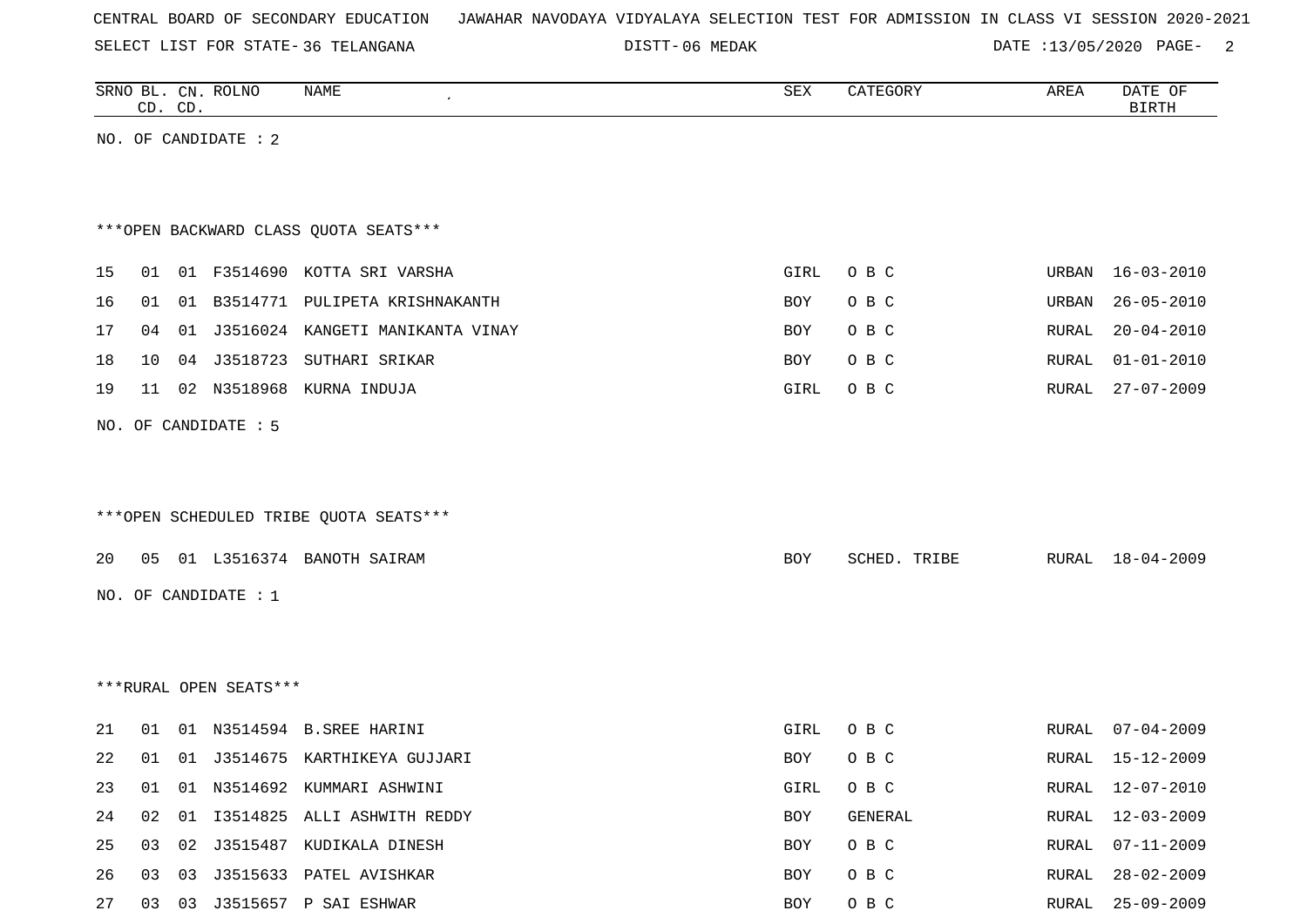SELECT LIST FOR STATE- DISTT- 36 TELANGANA

06 MEDAK DATE :13/05/2020 PAGE- 2

|    | CD. CD.                                |    | SRNO BL. CN. ROLNO     | NAME                                   | SEX        | CATEGORY     | AREA          | DATE OF<br><b>BIRTH</b> |  |  |
|----|----------------------------------------|----|------------------------|----------------------------------------|------------|--------------|---------------|-------------------------|--|--|
|    |                                        |    | NO. OF CANDIDATE : 2   |                                        |            |              |               |                         |  |  |
|    |                                        |    |                        |                                        |            |              |               |                         |  |  |
|    |                                        |    |                        |                                        |            |              |               |                         |  |  |
|    | *** OPEN BACKWARD CLASS OUOTA SEATS*** |    |                        |                                        |            |              |               |                         |  |  |
| 15 | 01                                     |    |                        | 01 F3514690 KOTTA SRI VARSHA           | GIRL       | O B C        | URBAN         | $16 - 03 - 2010$        |  |  |
| 16 | 01                                     |    |                        | 01 B3514771 PULIPETA KRISHNAKANTH      | BOY        | O B C        | URBAN         | $26 - 05 - 2010$        |  |  |
| 17 | 04                                     |    |                        | 01 J3516024 KANGETI MANIKANTA VINAY    | <b>BOY</b> | O B C        | RURAL         | $20 - 04 - 2010$        |  |  |
| 18 | 10                                     |    |                        | 04 J3518723 SUTHARI SRIKAR             | <b>BOY</b> | O B C        | RURAL         | $01 - 01 - 2010$        |  |  |
| 19 | 11                                     |    |                        | 02 N3518968 KURNA INDUJA               | GIRL       | O B C        | RURAL         | $27 - 07 - 2009$        |  |  |
|    |                                        |    | NO. OF CANDIDATE : 5   |                                        |            |              |               |                         |  |  |
|    |                                        |    |                        |                                        |            |              |               |                         |  |  |
|    |                                        |    |                        |                                        |            |              |               |                         |  |  |
|    |                                        |    |                        | ***OPEN SCHEDULED TRIBE QUOTA SEATS*** |            |              |               |                         |  |  |
| 20 | 05                                     |    |                        | 01 L3516374 BANOTH SAIRAM              | <b>BOY</b> | SCHED. TRIBE | RURAL         | 18-04-2009              |  |  |
|    |                                        |    |                        |                                        |            |              |               |                         |  |  |
|    |                                        |    | NO. OF CANDIDATE : $1$ |                                        |            |              |               |                         |  |  |
|    |                                        |    |                        |                                        |            |              |               |                         |  |  |
|    |                                        |    |                        |                                        |            |              |               |                         |  |  |
|    |                                        |    | ***RURAL OPEN SEATS*** |                                        |            |              |               |                         |  |  |
| 21 | 01                                     |    |                        | 01 N3514594 B.SREE HARINI              | GIRL       | O B C        | RURAL         | $07 - 04 - 2009$        |  |  |
| 22 | 01                                     |    |                        | 01 J3514675 KARTHIKEYA GUJJARI         | BOY        | O B C        | ${\tt RURAL}$ | 15-12-2009              |  |  |
| 23 | 01                                     |    |                        | 01 N3514692 KUMMARI ASHWINI            | GIRL       | O B C        | RURAL         | $12 - 07 - 2010$        |  |  |
| 24 | 02                                     | 01 |                        | 13514825 ALLI ASHWITH REDDY            | <b>BOY</b> | GENERAL      | RURAL         | $12 - 03 - 2009$        |  |  |
| 25 | 03                                     |    |                        | 02 J3515487 KUDIKALA DINESH            | <b>BOY</b> | O B C        | RURAL         | $07 - 11 - 2009$        |  |  |

26 03 03 J3515633 PATEL AVISHKAR BOY O B C RURAL 28-02-2009 27 03 03 J3515657 P SAI ESHWAR BOY O B C RURAL 25-09-2009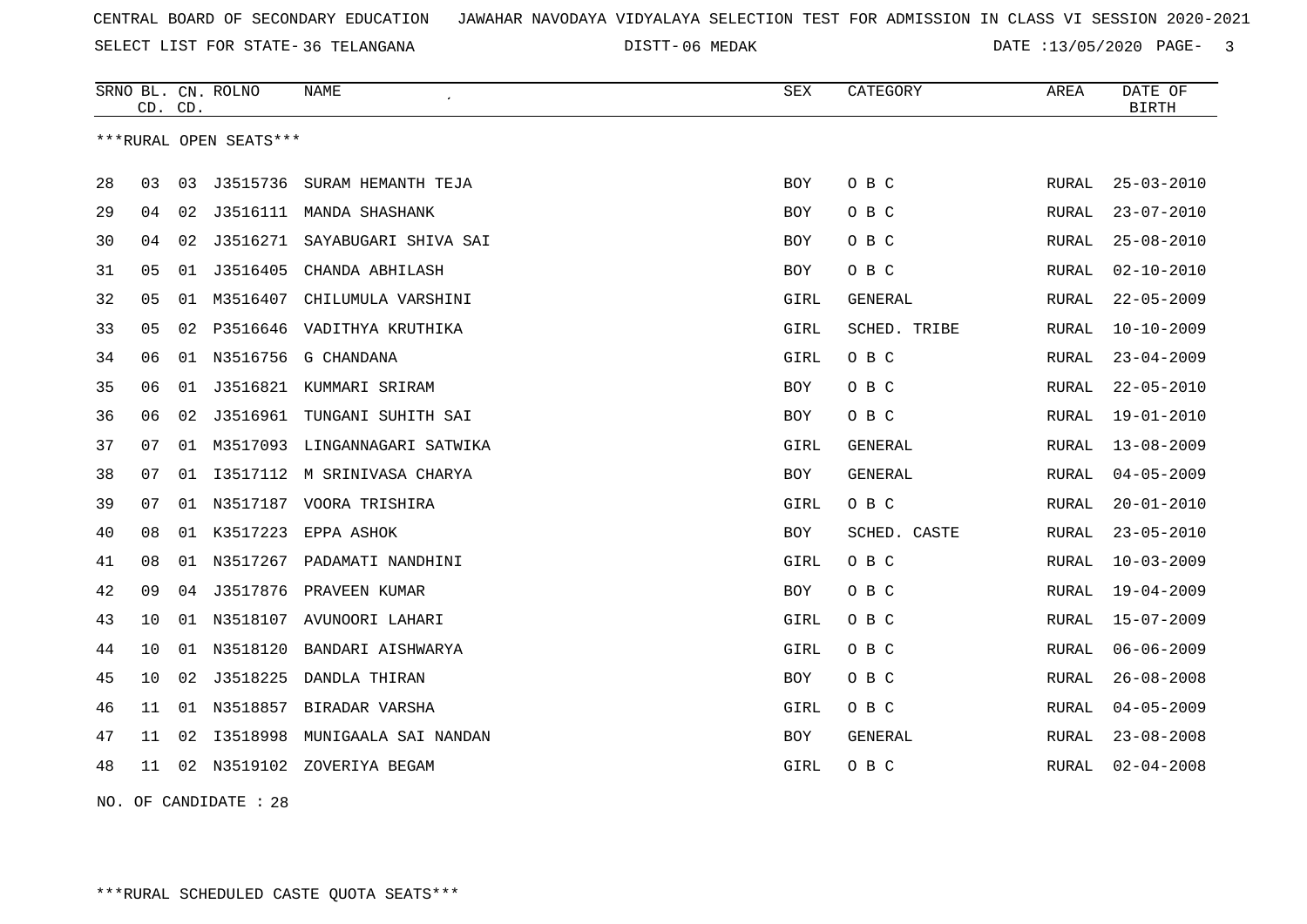SELECT LIST FOR STATE- DISTT- 36 TELANGANA

DISTT-06 MEDAK **DATE** :13/05/2020 PAGE- 3

|    | CD. CD. |    | SRNO BL. CN. ROLNO     | <b>NAME</b>                   | <b>SEX</b>  | CATEGORY       | AREA         | DATE OF<br><b>BIRTH</b> |
|----|---------|----|------------------------|-------------------------------|-------------|----------------|--------------|-------------------------|
|    |         |    | ***RURAL OPEN SEATS*** |                               |             |                |              |                         |
| 28 | 03      | 03 | J3515736               | SURAM HEMANTH TEJA            | <b>BOY</b>  | O B C          | RURAL        | $25 - 03 - 2010$        |
| 29 | 04      | 02 |                        | J3516111 MANDA SHASHANK       | <b>BOY</b>  | O B C          | RURAL        | $23 - 07 - 2010$        |
| 30 | 04      | 02 |                        | J3516271 SAYABUGARI SHIVA SAI | <b>BOY</b>  | O B C          | RURAL        | $25 - 08 - 2010$        |
| 31 | 05      | 01 | J3516405               | CHANDA ABHILASH               | BOY         | O B C          | RURAL        | $02 - 10 - 2010$        |
| 32 | 05      |    | 01 M3516407            | CHILUMULA VARSHINI            | GIRL        | GENERAL        | RURAL        | $22 - 05 - 2009$        |
| 33 | 05      | 02 |                        | P3516646 VADITHYA KRUTHIKA    | GIRL        | SCHED. TRIBE   | <b>RURAL</b> | $10 - 10 - 2009$        |
| 34 | 06      |    | 01 N3516756            | G CHANDANA                    | GIRL        | O B C          | RURAL        | $23 - 04 - 2009$        |
| 35 | 06      | 01 |                        | J3516821 KUMMARI SRIRAM       | <b>BOY</b>  | O B C          | RURAL        | $22 - 05 - 2010$        |
| 36 | 06      | 02 |                        | J3516961 TUNGANI SUHITH SAI   | BOY         | O B C          | RURAL        | $19 - 01 - 2010$        |
| 37 | 07      | 01 |                        | M3517093 LINGANNAGARI SATWIKA | <b>GIRL</b> | <b>GENERAL</b> | RURAL        | $13 - 08 - 2009$        |
| 38 | 07      | 01 |                        | 13517112 M SRINIVASA CHARYA   | BOY         | <b>GENERAL</b> | RURAL        | $04 - 05 - 2009$        |
| 39 | 07      |    |                        | 01 N3517187 VOORA TRISHIRA    | GIRL        | O B C          | RURAL        | $20 - 01 - 2010$        |
| 40 | 08      |    |                        | 01 K3517223 EPPA ASHOK        | <b>BOY</b>  | SCHED. CASTE   | RURAL        | $23 - 05 - 2010$        |
| 41 | 08      |    |                        | 01 N3517267 PADAMATI NANDHINI | GIRL        | O B C          | RURAL        | $10 - 03 - 2009$        |
| 42 | 09      | 04 |                        | J3517876 PRAVEEN KUMAR        | <b>BOY</b>  | O B C          | RURAL        | $19 - 04 - 2009$        |
| 43 | 10      |    |                        | 01 N3518107 AVUNOORI LAHARI   | GIRL        | O B C          | RURAL        | $15 - 07 - 2009$        |
| 44 | 10      | 01 | N3518120               | BANDARI AISHWARYA             | GIRL        | O B C          | RURAL        | $06 - 06 - 2009$        |
| 45 | 10      |    | 02 J3518225            | DANDLA THIRAN                 | <b>BOY</b>  | O B C          | RURAL        | $26 - 08 - 2008$        |
| 46 | 11      |    |                        | 01 N3518857 BIRADAR VARSHA    | GIRL        | O B C          | RURAL        | $04 - 05 - 2009$        |
| 47 | 11      | 02 | I3518998               | MUNIGAALA SAI NANDAN          | <b>BOY</b>  | <b>GENERAL</b> | RURAL        | $23 - 08 - 2008$        |
| 48 | 11      |    | 02 N3519102            | ZOVERIYA BEGAM                | GIRL        | O B C          | RURAL        | $02 - 04 - 2008$        |

NO. OF CANDIDATE : 28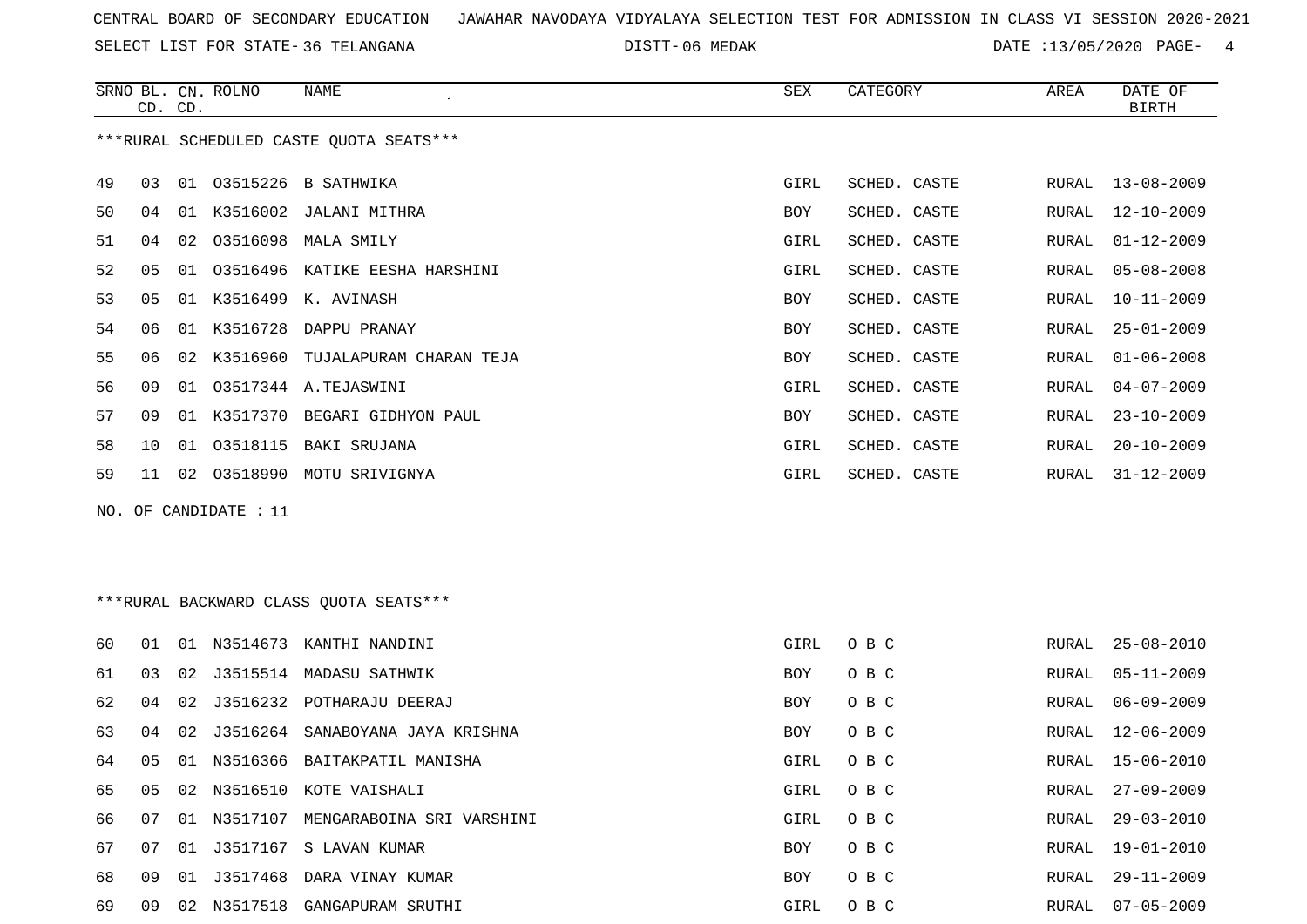SELECT LIST FOR STATE- DISTT- 36 TELANGANA

DISTT-06 MEDAK 13/05/2020 PAGE- 4

|                       |                 | CD. CD. | SRNO BL. CN. ROLNO | <b>NAME</b><br>$\epsilon$                                                                                                                                                                                                                                                                                                                                                                                                                                   | SEX        | CATEGORY     | AREA  | DATE OF<br><b>BIRTH</b> |
|-----------------------|-----------------|---------|--------------------|-------------------------------------------------------------------------------------------------------------------------------------------------------------------------------------------------------------------------------------------------------------------------------------------------------------------------------------------------------------------------------------------------------------------------------------------------------------|------------|--------------|-------|-------------------------|
|                       |                 |         |                    | ***RURAL SCHEDULED CASTE OUOTA SEATS***                                                                                                                                                                                                                                                                                                                                                                                                                     |            |              |       |                         |
| 49                    | 03              |         |                    | 01 03515226 B SATHWIKA                                                                                                                                                                                                                                                                                                                                                                                                                                      | GIRL       | SCHED. CASTE | RURAL | $13 - 08 - 2009$        |
| 50                    | 04              | 01      |                    | K3516002 JALANI MITHRA                                                                                                                                                                                                                                                                                                                                                                                                                                      | BOY        | SCHED. CASTE | RURAL | $12 - 10 - 2009$        |
| 51                    | 04              | 02      |                    | 03516098 MALA SMILY                                                                                                                                                                                                                                                                                                                                                                                                                                         | GIRL       | SCHED. CASTE | RURAL | $01 - 12 - 2009$        |
| 52                    | 0 <sub>5</sub>  | 01      |                    | 03516496 KATIKE EESHA HARSHINI                                                                                                                                                                                                                                                                                                                                                                                                                              | GIRL       | SCHED. CASTE | RURAL | $05 - 08 - 2008$        |
| 53                    | 05              |         |                    | 01 K3516499 K. AVINASH                                                                                                                                                                                                                                                                                                                                                                                                                                      | <b>BOY</b> | SCHED. CASTE | RURAL | $10 - 11 - 2009$        |
| 54                    | 06              |         |                    | 01 K3516728 DAPPU PRANAY                                                                                                                                                                                                                                                                                                                                                                                                                                    | BOY        | SCHED. CASTE | RURAL | $25 - 01 - 2009$        |
| 55                    | 06              | 02      |                    | K3516960 TUJALAPURAM CHARAN TEJA                                                                                                                                                                                                                                                                                                                                                                                                                            | <b>BOY</b> | SCHED. CASTE | RURAL | $01 - 06 - 2008$        |
| 56                    | 09              | 01      |                    | 03517344 A.TEJASWINI                                                                                                                                                                                                                                                                                                                                                                                                                                        | GIRL       | SCHED. CASTE | RURAL | $04 - 07 - 2009$        |
| 57                    | 09              |         |                    | 01 K3517370 BEGARI GIDHYON PAUL                                                                                                                                                                                                                                                                                                                                                                                                                             | BOY        | SCHED. CASTE | RURAL | $23 - 10 - 2009$        |
| 58                    | 10 <sup>°</sup> |         | 01 03518115        | BAKI SRUJANA                                                                                                                                                                                                                                                                                                                                                                                                                                                | GIRL       | SCHED. CASTE | RURAL | $20 - 10 - 2009$        |
| 59                    | 11              | 02      |                    | 03518990 MOTU SRIVIGNYA                                                                                                                                                                                                                                                                                                                                                                                                                                     | GIRL       | SCHED. CASTE | RURAL | $31 - 12 - 2009$        |
| NO. OF CANDIDATE : 11 |                 |         |                    |                                                                                                                                                                                                                                                                                                                                                                                                                                                             |            |              |       |                         |
|                       |                 |         |                    | $\lambda$ , $\lambda$ , $\lambda$ , $\lambda$ , $\lambda$ , $\lambda$ , $\lambda$ , $\lambda$ , $\lambda$ , $\lambda$ , $\lambda$ , $\lambda$ , $\lambda$ , $\lambda$ , $\lambda$ , $\lambda$ , $\lambda$ , $\lambda$ , $\lambda$ , $\lambda$ , $\lambda$ , $\lambda$ , $\lambda$ , $\lambda$ , $\lambda$ , $\lambda$ , $\lambda$ , $\lambda$ , $\lambda$ , $\lambda$ , $\lambda$ , $\lambda$ , $\lambda$ , $\lambda$ , $\lambda$ , $\lambda$ , $\lambda$ , |            |              |       |                         |

\*\*\*RURAL BACKWARD CLASS QUOTA SEATS\*\*\*

| 60 | . N 1 | . N 1 | N3514673    | KANTHI NANDINI                      | GIRL       | O B C |       | RURAL 25-08-2010 |
|----|-------|-------|-------------|-------------------------------------|------------|-------|-------|------------------|
| 61 | 03    |       | 02 J3515514 | MADASU SATHWIK                      | BOY        | O B C |       | RURAL 05-11-2009 |
| 62 | 04    |       |             | 02 J3516232 POTHARAJU DEERAJ        | <b>BOY</b> | O B C |       | RURAL 06-09-2009 |
| 63 | 04    |       |             | 02 J3516264 SANABOYANA JAYA KRISHNA | BOY        | O B C |       | RURAL 12-06-2009 |
| 64 | 05    |       |             | 01 N3516366 BAITAKPATIL MANISHA     | GIRL       | O B C | RURAL | 15-06-2010       |
| 65 | 05    |       |             | 02 N3516510 KOTE VAISHALI           | GIRL       | O B C | RURAL | $27 - 09 - 2009$ |
| 66 | 07    |       | 01 N3517107 | MENGARABOINA SRI VARSHINI           | GIRL       | O B C | RURAL | 29-03-2010       |
| 67 | 07    |       |             | 01 J3517167 S LAVAN KUMAR           | BOY        | O B C | RURAL | 19-01-2010       |
| 68 | O 9   |       | 01 J3517468 | DARA VINAY KUMAR                    | <b>BOY</b> | O B C | RURAL | 29-11-2009       |
| 69 | 09    | 02    | N3517518    | GANGAPURAM SRUTHI                   | GIRL       | O B C | RURAL | $07 - 05 - 2009$ |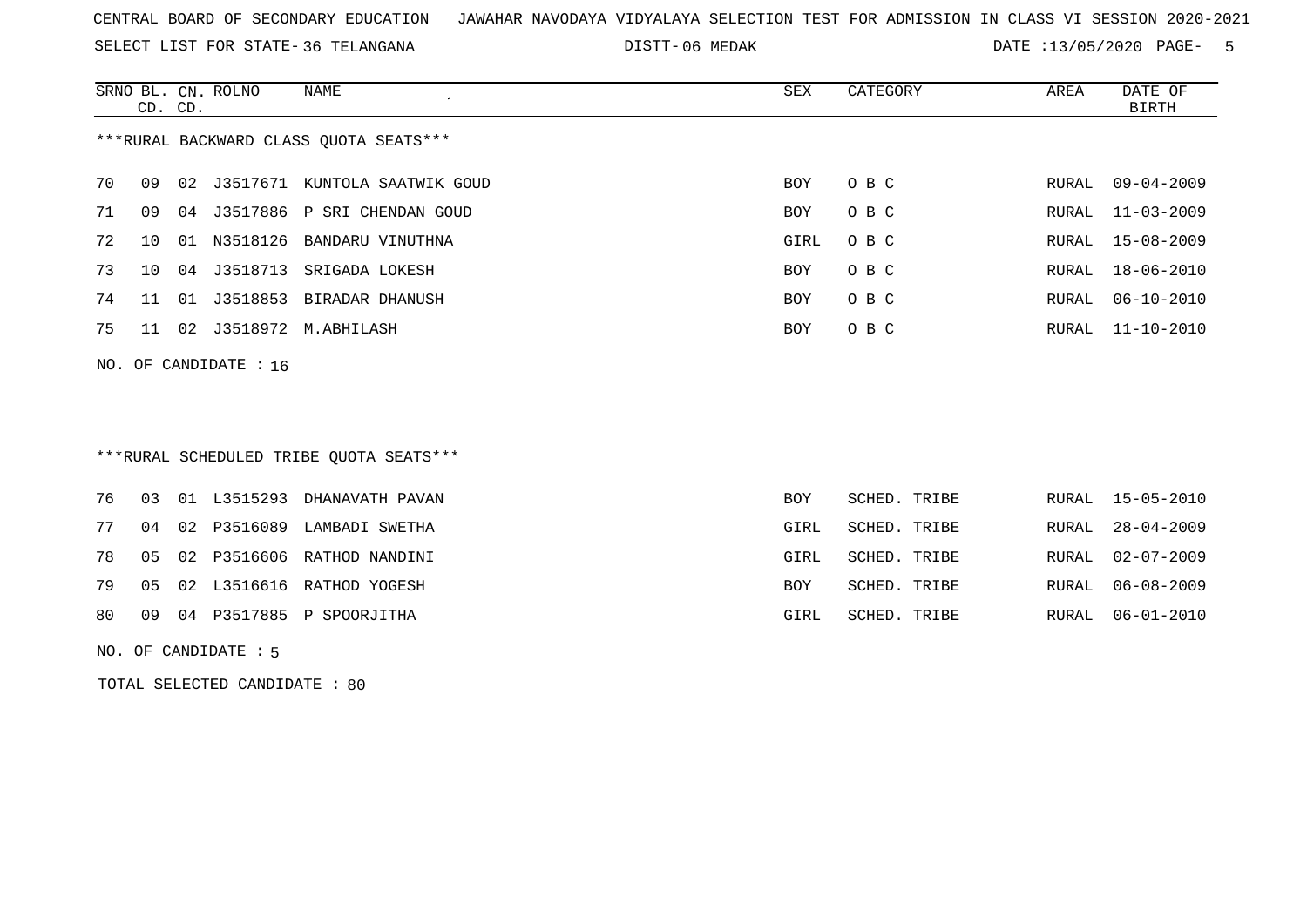SELECT LIST FOR STATE- DISTT- 36 TELANGANA

06 MEDAK DATE :13/05/2020 PAGE- 5

|                                        |     | CD. CD. | SRNO BL. CN. ROLNO | NAME<br>$\cdot$          | SEX        | CATEGORY | AREA  | DATE OF<br>BIRTH |  |
|----------------------------------------|-----|---------|--------------------|--------------------------|------------|----------|-------|------------------|--|
| ***RURAL BACKWARD CLASS OUOTA SEATS*** |     |         |                    |                          |            |          |       |                  |  |
| 70                                     | 09  |         | 02 J3517671        | KUNTOLA SAATWIK GOUD     | <b>BOY</b> | O B C    | RURAL | 09-04-2009       |  |
| 71                                     | 09  | 04      | J3517886           | P SRI CHENDAN GOUD       | <b>BOY</b> | O B C    |       | RURAL 11-03-2009 |  |
| 72                                     | 1 O | . N 1   | N3518126           | BANDARU VINUTHNA         | GIRL       | O B C    |       | RURAL 15-08-2009 |  |
| 73                                     | 10  |         | 04 J3518713        | SRIGADA LOKESH           | <b>BOY</b> | O B C    |       | RURAL 18-06-2010 |  |
| 74                                     | 11  | 01      |                    | J3518853 BIRADAR DHANUSH | <b>BOY</b> | O B C    | RURAL | $06 - 10 - 2010$ |  |
| 75                                     | 11  | 02      |                    | J3518972 M.ABHILASH      | <b>BOY</b> | O B C    |       | RURAL 11-10-2010 |  |
| NO. OF CANDIDATE : $16$                |     |         |                    |                          |            |          |       |                  |  |

## \*\*\*RURAL SCHEDULED TRIBE QUOTA SEATS\*\*\*

|  |  | 76 03 01 L3515293 DHANAVATH PAVAN    | <b>BOY</b> | SCHED. TRIBE |  | RURAL 15-05-2010 |
|--|--|--------------------------------------|------------|--------------|--|------------------|
|  |  | 77 04 02 P3516089 LAMBADI SWETHA     | GIRL       | SCHED. TRIBE |  | RURAL 28-04-2009 |
|  |  | 78  05  02  P3516606  RATHOD NANDINI | GIRL       | SCHED. TRIBE |  | RURAL 02-07-2009 |
|  |  | 79 05 02 L3516616 RATHOD YOGESH      | <b>BOY</b> | SCHED. TRIBE |  | RURAL 06-08-2009 |
|  |  | 80 09 04 P3517885 P SPOORJITHA       | GIRL       | SCHED. TRIBE |  | RURAL 06-01-2010 |
|  |  |                                      |            |              |  |                  |

NO. OF CANDIDATE : 5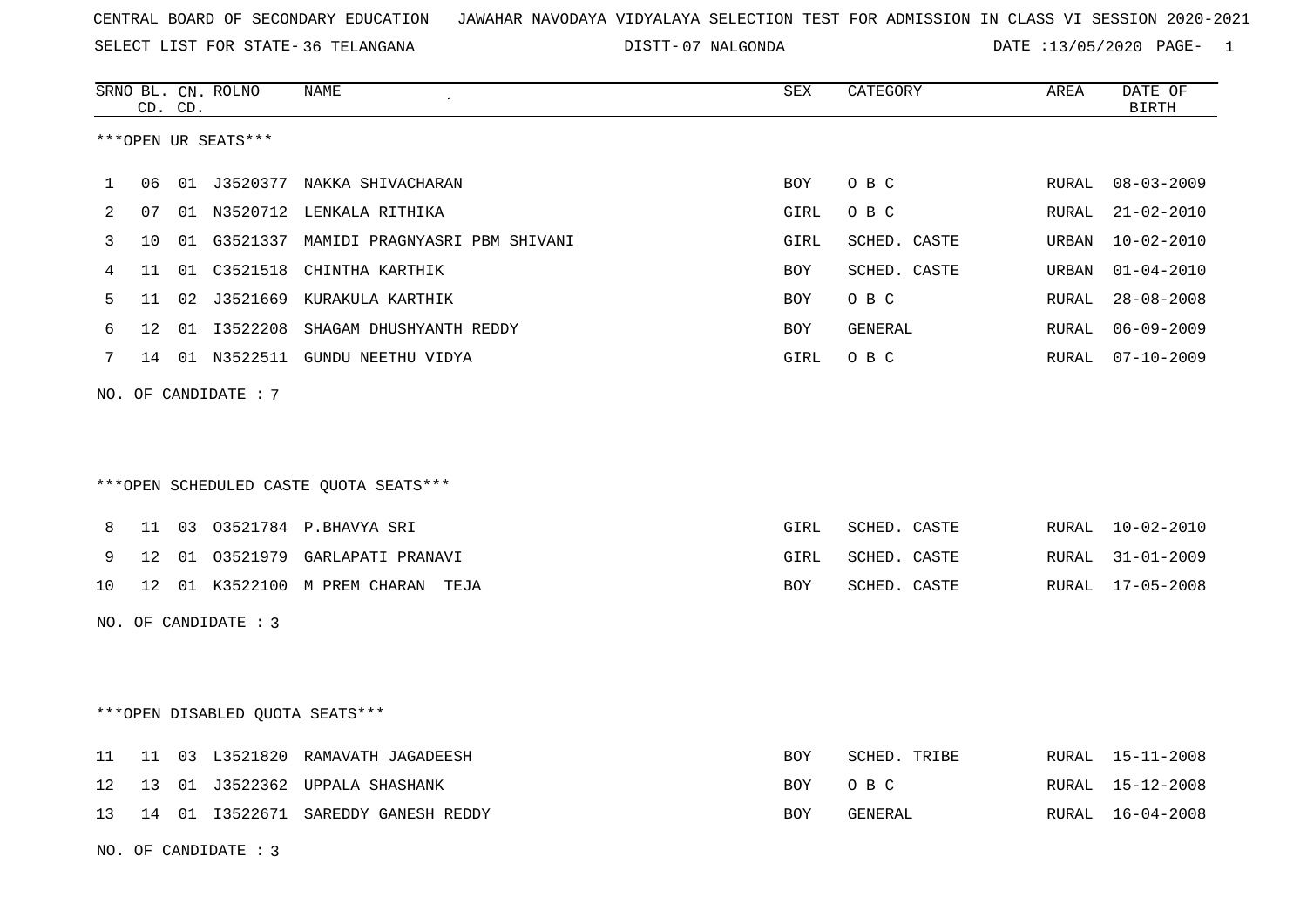SELECT LIST FOR STATE- DISTT- 36 TELANGANA

07 NALGONDA DATE :13/05/2020 PAGE- 1

|    |    | CD. CD. | SRNO BL. CN. ROLNO   | NAME                                      | <b>SEX</b> | CATEGORY     | AREA  | DATE OF<br><b>BIRTH</b> |
|----|----|---------|----------------------|-------------------------------------------|------------|--------------|-------|-------------------------|
|    |    |         | ***OPEN UR SEATS***  |                                           |            |              |       |                         |
| 1  | 06 |         |                      | 01 J3520377 NAKKA SHIVACHARAN             | BOY        | O B C        | RURAL | $08 - 03 - 2009$        |
| 2  | 07 |         |                      | 01 N3520712 LENKALA RITHIKA               | GIRL       | O B C        | RURAL | $21 - 02 - 2010$        |
| 3  | 10 |         |                      | 01 G3521337 MAMIDI PRAGNYASRI PBM SHIVANI | GIRL       | SCHED. CASTE | URBAN | $10 - 02 - 2010$        |
| 4  | 11 |         | 01 C3521518          | CHINTHA KARTHIK                           | <b>BOY</b> | SCHED. CASTE | URBAN | $01 - 04 - 2010$        |
| 5  | 11 |         |                      | 02 J3521669 KURAKULA KARTHIK              | <b>BOY</b> | O B C        | RURAL | $28 - 08 - 2008$        |
| 6  | 12 |         | 01 13522208          | SHAGAM DHUSHYANTH REDDY                   | BOY        | GENERAL      | RURAL | $06 - 09 - 2009$        |
| 7  |    |         |                      | 14 01 N3522511 GUNDU NEETHU VIDYA         | GIRL       | O B C        | RURAL | $07 - 10 - 2009$        |
|    |    |         | NO. OF CANDIDATE : 7 |                                           |            |              |       |                         |
|    |    |         |                      |                                           |            |              |       |                         |
|    |    |         |                      |                                           |            |              |       |                         |
|    |    |         |                      | ***OPEN SCHEDULED CASTE QUOTA SEATS***    |            |              |       |                         |
| 8  | 11 |         |                      | 03 03521784 P.BHAVYA SRI                  | GIRL       | SCHED. CASTE | RURAL | 10-02-2010              |
| 9  | 12 |         |                      | 01 03521979 GARLAPATI PRANAVI             | GIRL       | SCHED. CASTE | RURAL | $31 - 01 - 2009$        |
| 10 | 12 |         |                      | 01 K3522100 M PREM CHARAN TEJA            | BOY        | SCHED. CASTE | RURAL | 17-05-2008              |
|    |    |         | NO. OF CANDIDATE : 3 |                                           |            |              |       |                         |
|    |    |         |                      |                                           |            |              |       |                         |
|    |    |         |                      |                                           |            |              |       |                         |
|    |    |         |                      | ***OPEN DISABLED OUOTA SEATS***           |            |              |       |                         |
| 11 | 11 |         |                      | 03 L3521820 RAMAVATH JAGADEESH            | BOY        | SCHED. TRIBE | RURAL | 15-11-2008              |
| 12 | 13 | 01      |                      | J3522362 UPPALA SHASHANK                  | BOY        | O B C        | RURAL | 15-12-2008              |
| 13 | 14 |         |                      | 01 I3522671 SAREDDY GANESH REDDY          | BOY        | GENERAL      | RURAL | 16-04-2008              |
|    |    |         | NO. OF CANDIDATE : 3 |                                           |            |              |       |                         |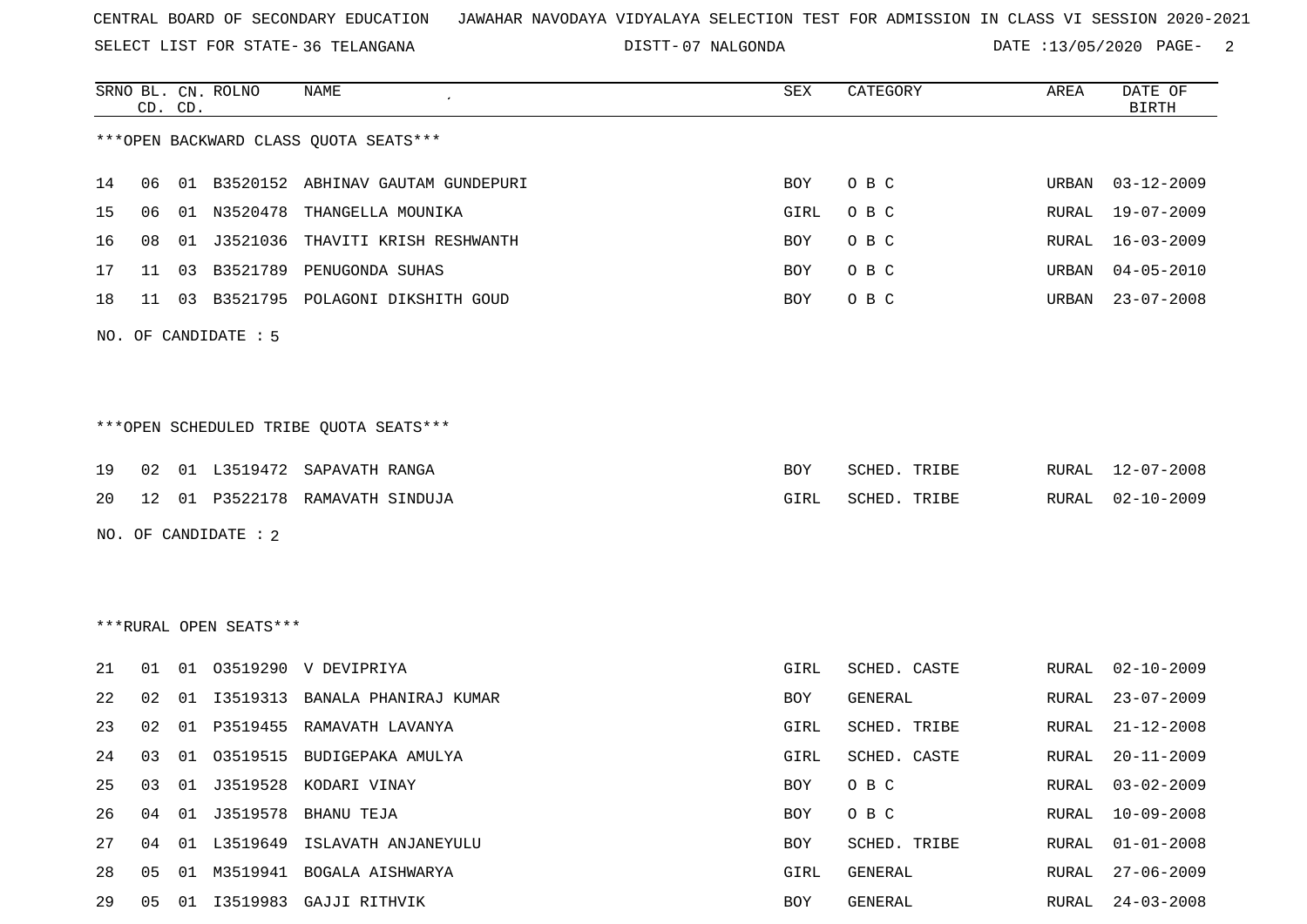SELECT LIST FOR STATE- DISTT- 36 TELANGANA

07 NALGONDA DATE :13/05/2020 PAGE- 2

| 14<br>06<br>15<br>01<br>06<br>16<br>01<br>08<br>17<br>03<br>11<br>18<br>11<br>03<br>NO. OF CANDIDATE : 5 | *** OPEN BACKWARD CLASS QUOTA SEATS***<br>01 B3520152 ABHINAV GAUTAM GUNDEPURI<br>N3520478<br>THANGELLA MOUNIKA<br>J3521036<br>THAVITI KRISH RESHWANTH<br>B3521789 PENUGONDA SUHAS<br>B3521795 POLAGONI DIKSHITH GOUD | O B C<br>BOY<br>O B C<br>GIRL<br>O B C<br>BOY<br>O B C<br>BOY<br>O B C<br>BOY | URBAN<br>RURAL<br>RURAL<br>URBAN | 03-12-2009<br>$19 - 07 - 2009$<br>$16 - 03 - 2009$ |
|----------------------------------------------------------------------------------------------------------|-----------------------------------------------------------------------------------------------------------------------------------------------------------------------------------------------------------------------|-------------------------------------------------------------------------------|----------------------------------|----------------------------------------------------|
|                                                                                                          |                                                                                                                                                                                                                       |                                                                               |                                  |                                                    |
|                                                                                                          |                                                                                                                                                                                                                       |                                                                               |                                  |                                                    |
|                                                                                                          |                                                                                                                                                                                                                       |                                                                               |                                  |                                                    |
|                                                                                                          |                                                                                                                                                                                                                       |                                                                               |                                  |                                                    |
|                                                                                                          |                                                                                                                                                                                                                       |                                                                               |                                  | $04 - 05 - 2010$                                   |
|                                                                                                          |                                                                                                                                                                                                                       |                                                                               | URBAN                            | $23 - 07 - 2008$                                   |
|                                                                                                          |                                                                                                                                                                                                                       |                                                                               |                                  |                                                    |
|                                                                                                          | ***OPEN SCHEDULED TRIBE QUOTA SEATS***                                                                                                                                                                                |                                                                               |                                  |                                                    |
| 19<br>01 L3519472<br>02                                                                                  | SAPAVATH RANGA                                                                                                                                                                                                        | SCHED. TRIBE<br>BOY                                                           | RURAL                            | 12-07-2008                                         |
| 20<br>12                                                                                                 | 01 P3522178 RAMAVATH SINDUJA                                                                                                                                                                                          | GIRL                                                                          | SCHED. TRIBE<br>RURAL            | $02 - 10 - 2009$                                   |
| NO. OF CANDIDATE : 2                                                                                     |                                                                                                                                                                                                                       |                                                                               |                                  |                                                    |
|                                                                                                          |                                                                                                                                                                                                                       |                                                                               |                                  |                                                    |
| ***RURAL OPEN SEATS***                                                                                   |                                                                                                                                                                                                                       |                                                                               |                                  |                                                    |
| 21<br>01<br>01                                                                                           | 03519290 V DEVIPRIYA                                                                                                                                                                                                  | SCHED. CASTE<br>GIRL                                                          | RURAL                            | $02 - 10 - 2009$                                   |
| 22<br>02<br>01                                                                                           | I3519313<br>BANALA PHANIRAJ KUMAR                                                                                                                                                                                     | GENERAL<br>BOY                                                                | RURAL                            | $23 - 07 - 2009$                                   |
| 23<br>02<br>01                                                                                           | P3519455<br>RAMAVATH LAVANYA                                                                                                                                                                                          | SCHED. TRIBE<br>GIRL                                                          | RURAL                            | $21 - 12 - 2008$                                   |
| 24<br>03<br>01                                                                                           | 03519515 BUDIGEPAKA AMULYA                                                                                                                                                                                            | GIRL<br>SCHED. CASTE                                                          | RURAL                            | $20 - 11 - 2009$                                   |
| 25<br>03<br>01                                                                                           | J3519528 KODARI VINAY                                                                                                                                                                                                 | O B C<br>BOY                                                                  | RURAL                            | $03 - 02 - 2009$                                   |
| 26<br>01 J3519578<br>04                                                                                  | BHANU TEJA                                                                                                                                                                                                            | O B C<br>BOY                                                                  | RURAL                            | $10 - 09 - 2008$                                   |
| 27<br>04                                                                                                 |                                                                                                                                                                                                                       | BOY                                                                           | SCHED. TRIBE<br>RURAL            | $01 - 01 - 2008$                                   |
| 28<br>05<br>01                                                                                           | 01 L3519649 ISLAVATH ANJANEYULU                                                                                                                                                                                       |                                                                               |                                  |                                                    |
| 29<br>I3519983 GAJJI RITHVIK<br>05<br>01                                                                 | M3519941 BOGALA AISHWARYA                                                                                                                                                                                             | GIRL<br>GENERAL                                                               | RURAL                            | $27 - 06 - 2009$                                   |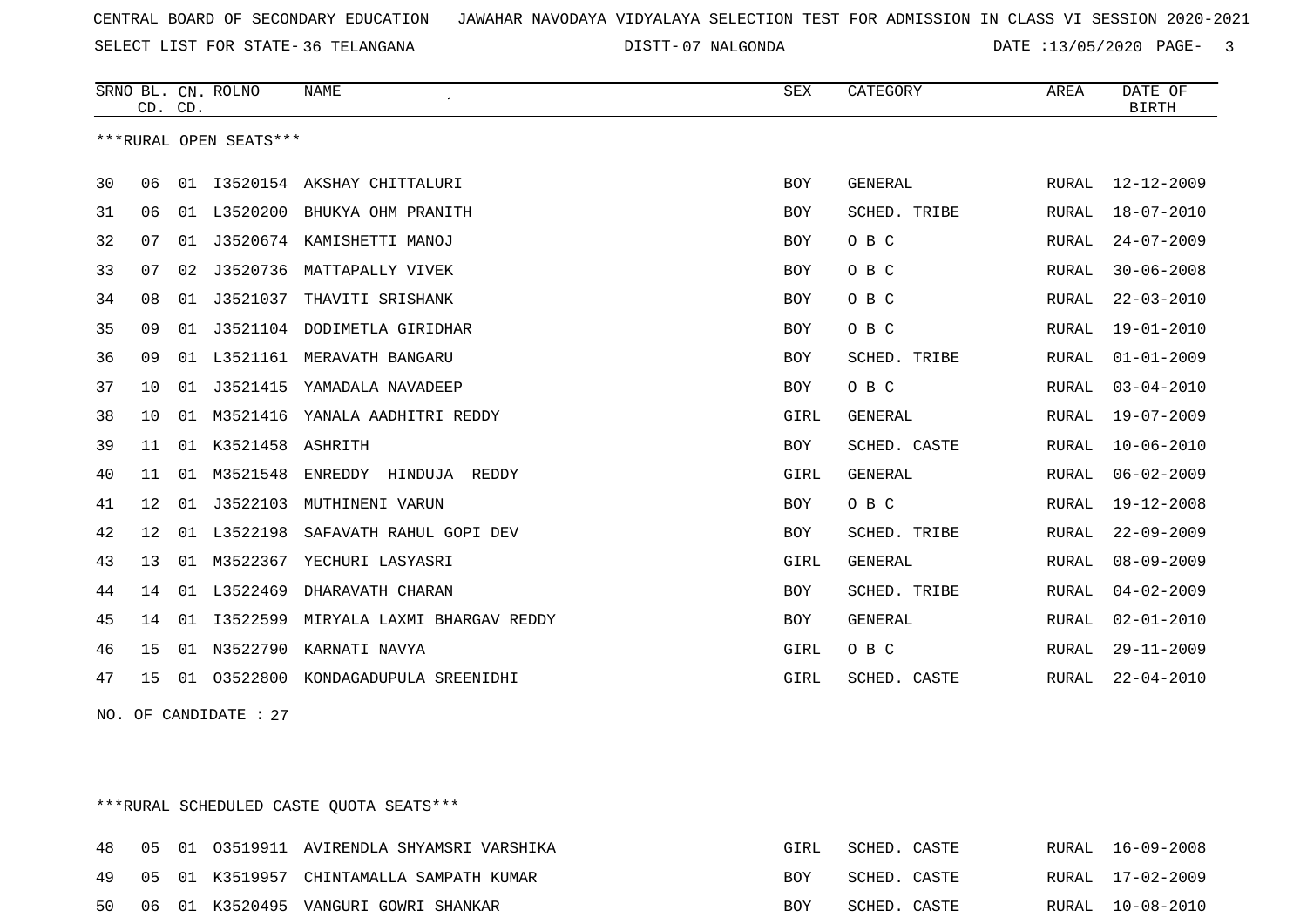SELECT LIST FOR STATE- DISTT- 36 TELANGANA

07 NALGONDA DATE :13/05/2020 PAGE- 3

|    | CD. CD. |    | SRNO BL. CN. ROLNO     | <b>NAME</b>                   | SEX        | CATEGORY            | AREA  | DATE OF<br><b>BIRTH</b> |
|----|---------|----|------------------------|-------------------------------|------------|---------------------|-------|-------------------------|
|    |         |    | ***RURAL OPEN SEATS*** |                               |            |                     |       |                         |
| 30 | 06      |    |                        | 01 I3520154 AKSHAY CHITTALURI | BOY        | GENERAL             | RURAL | 12-12-2009              |
| 31 | 06      | 01 |                        | L3520200 BHUKYA OHM PRANITH   | BOY        | SCHED. TRIBE        | RURAL | $18 - 07 - 2010$        |
| 32 | 07      | 01 |                        | J3520674 KAMISHETTI MANOJ     | BOY        | O B C               | RURAL | $24 - 07 - 2009$        |
| 33 | 07      | 02 |                        | J3520736 MATTAPALLY VIVEK     | BOY        | O B C               | RURAL | $30 - 06 - 2008$        |
| 34 | 08      | 01 | J3521037               | THAVITI SRISHANK              | BOY        | O B C               | RURAL | $22 - 03 - 2010$        |
| 35 | 09      | 01 |                        | J3521104 DODIMETLA GIRIDHAR   | BOY        | O B C               | RURAL | $19 - 01 - 2010$        |
| 36 | 09      |    |                        | 01 L3521161 MERAVATH BANGARU  | BOY        | <b>SCHED. TRIBE</b> | RURAL | $01 - 01 - 2009$        |
| 37 | 10      | 01 | J3521415               | YAMADALA NAVADEEP             | <b>BOY</b> | O B C               | RURAL | $03 - 04 - 2010$        |
| 38 | 10      | 01 | M3521416               | YANALA AADHITRI REDDY         | GIRL       | <b>GENERAL</b>      | RURAL | $19 - 07 - 2009$        |
| 39 | 11      | 01 | K3521458               | ASHRITH                       | BOY        | SCHED. CASTE        | RURAL | $10 - 06 - 2010$        |
| 40 | 11      |    | 01 M3521548            | ENREDDY HINDUJA REDDY         | GIRL       | GENERAL             | RURAL | $06 - 02 - 2009$        |
| 41 | 12      | 01 | J3522103               | MUTHINENI VARUN               | BOY        | O B C               | RURAL | $19 - 12 - 2008$        |
| 42 | $12 \,$ |    | 01 L3522198            | SAFAVATH RAHUL GOPI DEV       | <b>BOY</b> | SCHED. TRIBE        | RURAL | $22 - 09 - 2009$        |
| 43 | 13      | 01 | M3522367               | YECHURI LASYASRI              | GIRL       | GENERAL             | RURAL | $08 - 09 - 2009$        |
| 44 | 14      |    | 01 L3522469            | DHARAVATH CHARAN              | BOY        | SCHED. TRIBE        | RURAL | $04 - 02 - 2009$        |
| 45 | 14      | 01 | I3522599               | MIRYALA LAXMI BHARGAV REDDY   | BOY        | GENERAL             | RURAL | $02 - 01 - 2010$        |
| 46 | 15      |    | 01 N3522790            | KARNATI NAVYA                 | GIRL       | O B C               | RURAL | $29 - 11 - 2009$        |
| 47 | 15      | 01 | 03522800               | KONDAGADUPULA SREENIDHI       | GIRL       | SCHED. CASTE        | RURAL | $22 - 04 - 2010$        |

NO. OF CANDIDATE : 27

\*\*\*RURAL SCHEDULED CASTE QUOTA SEATS\*\*\*

|    |  | 48 05 01 03519911 AVIRENDLA SHYAMSRI VARSHIKA | GIRL       | SCHED. CASTE |  | RURAL 16-09-2008 |
|----|--|-----------------------------------------------|------------|--------------|--|------------------|
|    |  | 49 05 01 K3519957 CHINTAMALLA SAMPATH KUMAR   | BOY        | SCHED. CASTE |  | RURAL 17-02-2009 |
| 50 |  | 06 01 K3520495 VANGURI GOWRI SHANKAR          | <b>BOY</b> | SCHED. CASTE |  | RURAL 10-08-2010 |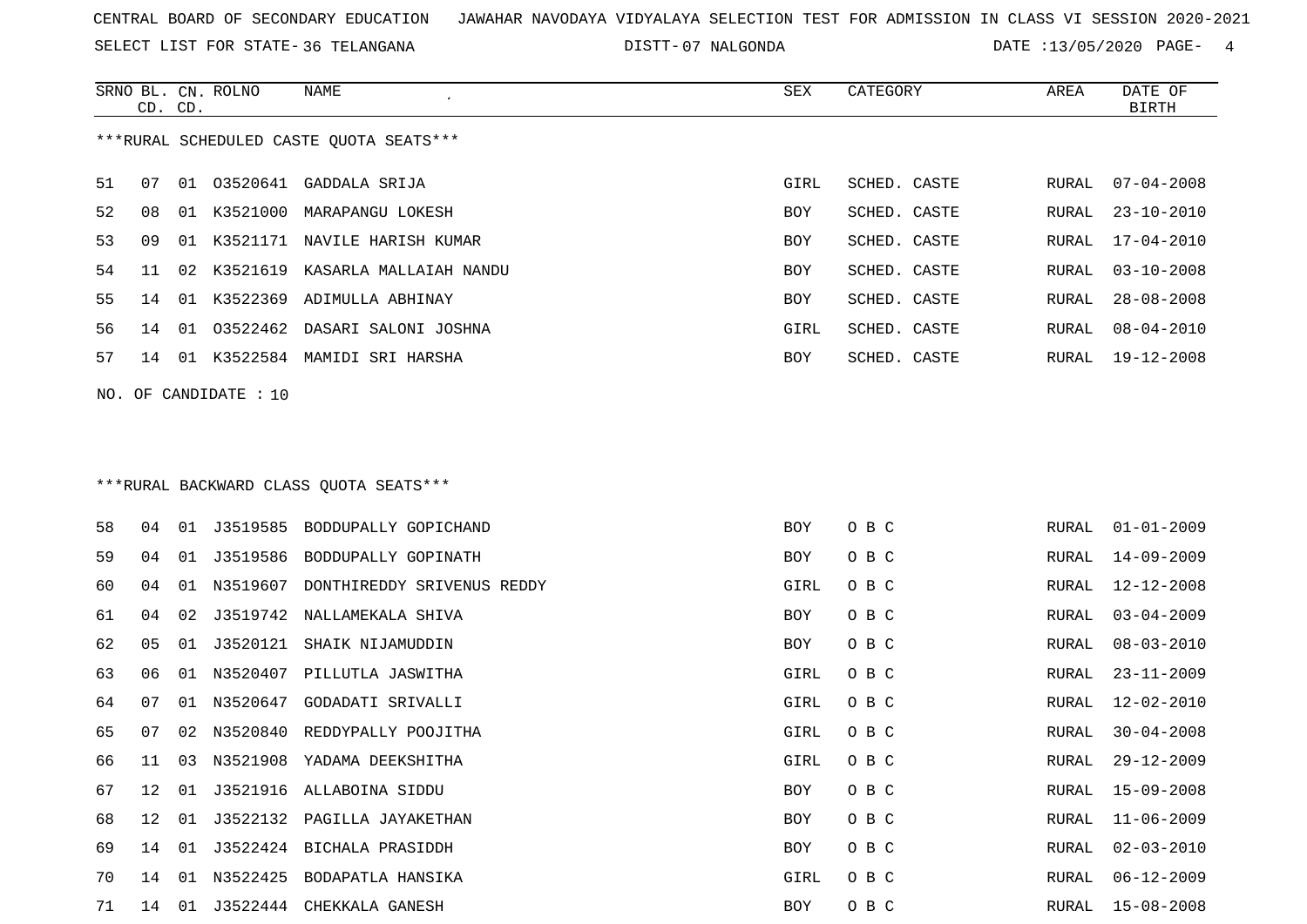SELECT LIST FOR STATE- DISTT- 36 TELANGANA

07 NALGONDA DATE :13/05/2020 PAGE- 4

|    | CD. CD.               |    | SRNO BL. CN. ROLNO | NAME                                    | SEX        | CATEGORY     | AREA  | DATE OF<br><b>BIRTH</b> |  |  |  |
|----|-----------------------|----|--------------------|-----------------------------------------|------------|--------------|-------|-------------------------|--|--|--|
|    |                       |    |                    | ***RURAL SCHEDULED CASTE QUOTA SEATS*** |            |              |       |                         |  |  |  |
| 51 | 07                    |    |                    | 01 03520641 GADDALA SRIJA               | GIRL       | SCHED. CASTE | RURAL | $07 - 04 - 2008$        |  |  |  |
| 52 | 08                    |    |                    | 01 K3521000 MARAPANGU LOKESH            | BOY        | SCHED. CASTE | RURAL | $23 - 10 - 2010$        |  |  |  |
| 53 | 09                    | 01 | K3521171           | NAVILE HARISH KUMAR                     | BOY        | SCHED. CASTE | RURAL | $17 - 04 - 2010$        |  |  |  |
| 54 | 11                    | 02 |                    | K3521619 KASARLA MALLAIAH NANDU         | BOY        | SCHED. CASTE | RURAL | $03 - 10 - 2008$        |  |  |  |
| 55 | 14                    |    | 01 K3522369        | ADIMULLA ABHINAY                        | BOY        | SCHED. CASTE | RURAL | $28 - 08 - 2008$        |  |  |  |
| 56 | 14                    |    |                    | 01 03522462 DASARI SALONI JOSHNA        | GIRL       | SCHED. CASTE | RURAL | $08 - 04 - 2010$        |  |  |  |
| 57 | 14                    |    |                    | 01 K3522584 MAMIDI SRI HARSHA           | BOY        | SCHED. CASTE | RURAL | 19-12-2008              |  |  |  |
|    | NO. OF CANDIDATE : 10 |    |                    |                                         |            |              |       |                         |  |  |  |
|    |                       |    |                    |                                         |            |              |       |                         |  |  |  |
|    |                       |    |                    |                                         |            |              |       |                         |  |  |  |
|    |                       |    |                    | ***RURAL BACKWARD CLASS OUOTA SEATS***  |            |              |       |                         |  |  |  |
| 58 | 04                    |    | 01 J3519585        | BODDUPALLY GOPICHAND                    | <b>BOY</b> | O B C        | RURAL | $01 - 01 - 2009$        |  |  |  |
| 59 | 04                    |    |                    | 01 J3519586 BODDUPALLY GOPINATH         | BOY        | O B C        | RURAL | $14 - 09 - 2009$        |  |  |  |
| 60 | 04                    |    |                    | 01 N3519607 DONTHIREDDY SRIVENUS REDDY  | GIRL       | O B C        | RURAL | $12 - 12 - 2008$        |  |  |  |
| 61 | 04                    | 02 |                    | J3519742 NALLAMEKALA SHIVA              | BOY        | O B C        | RURAL | $03 - 04 - 2009$        |  |  |  |
| 62 | 05                    | 01 |                    | J3520121 SHAIK NIJAMUDDIN               | BOY        | O B C        | RURAL | $08 - 03 - 2010$        |  |  |  |
| 63 | 06                    |    |                    | 01 N3520407 PILLUTLA JASWITHA           | GIRL       | O B C        | RURAL | $23 - 11 - 2009$        |  |  |  |
| 64 | 07                    | 01 |                    | N3520647 GODADATI SRIVALLI              | GIRL       | O B C        | RURAL | $12 - 02 - 2010$        |  |  |  |
| 65 | 07                    | 02 | N3520840           | REDDYPALLY POOJITHA                     | GIRL       | O B C        | RURAL | $30 - 04 - 2008$        |  |  |  |
| 66 | 11                    | 03 | N3521908           | YADAMA DEEKSHITHA                       | GIRL       | O B C        | RURAL | $29 - 12 - 2009$        |  |  |  |
| 67 | 12                    | 01 | J3521916           | ALLABOINA SIDDU                         | BOY        | O B C        | RURAL | $15 - 09 - 2008$        |  |  |  |
| 68 | 12 <sup>°</sup>       |    |                    | 01 J3522132 PAGILLA JAYAKETHAN          | BOY        | O B C        | RURAL | 11-06-2009              |  |  |  |
|    |                       |    |                    |                                         |            |              |       |                         |  |  |  |

 14 01 J3522424 BICHALA PRASIDDH BOY O B C RURAL 02-03-2010 14 01 N3522425 BODAPATLA HANSIKA GIRL O B C RURAL 06-12-2009 14 01 J3522444 CHEKKALA GANESH BOY O B C RURAL 15-08-2008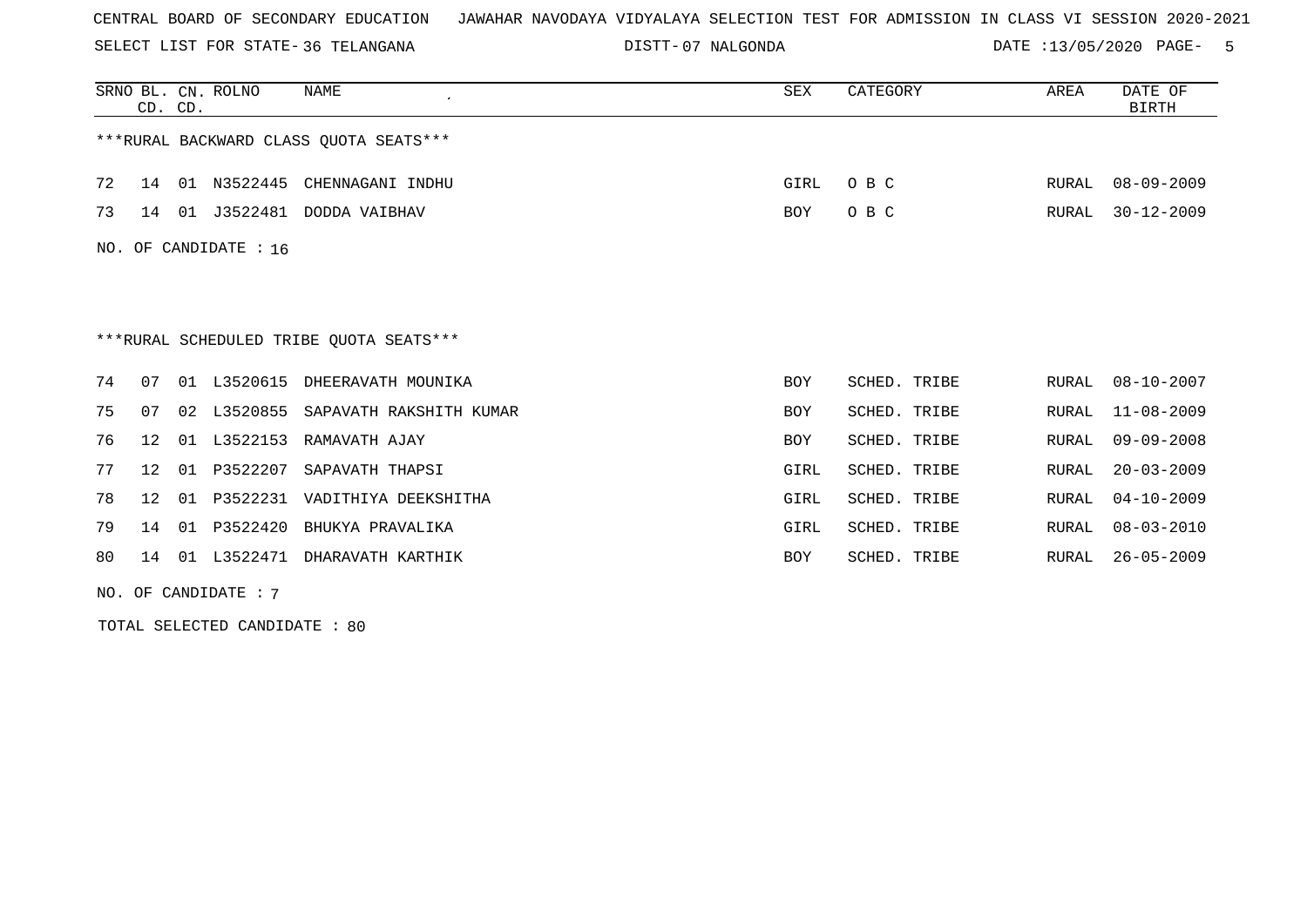SELECT LIST FOR STATE- DISTT- 36 TELANGANA

07 NALGONDA DATE :13/05/2020 PAGE- 5

|                       | CD. CD.         |    | SRNO BL. CN. ROLNO | NAME                                    | SEX  | CATEGORY     | AREA  | DATE OF<br><b>BIRTH</b> |  |  |
|-----------------------|-----------------|----|--------------------|-----------------------------------------|------|--------------|-------|-------------------------|--|--|
|                       |                 |    |                    | ***RURAL BACKWARD CLASS OUOTA SEATS***  |      |              |       |                         |  |  |
| 72                    | 14              |    |                    | 01 N3522445 CHENNAGANI INDHU            | GIRL | O B C        | RURAL | $08 - 09 - 2009$        |  |  |
| 73                    | 14              | 01 |                    | J3522481 DODDA VAIBHAV                  | BOY  | O B C        | RURAL | $30 - 12 - 2009$        |  |  |
| NO. OF CANDIDATE : 16 |                 |    |                    |                                         |      |              |       |                         |  |  |
|                       |                 |    |                    |                                         |      |              |       |                         |  |  |
|                       |                 |    |                    |                                         |      |              |       |                         |  |  |
|                       |                 |    |                    | ***RURAL SCHEDULED TRIBE QUOTA SEATS*** |      |              |       |                         |  |  |
| 74                    | 07              |    | 01 L3520615        | DHEERAVATH MOUNIKA                      | BOY  | SCHED. TRIBE | RURAL | $08 - 10 - 2007$        |  |  |
| 75                    | 07              | 02 | L3520855           | SAPAVATH RAKSHITH KUMAR                 | BOY  | SCHED. TRIBE | RURAL | $11 - 08 - 2009$        |  |  |
| 76                    | 12 <sup>°</sup> | 01 | L3522153           | RAMAVATH AJAY                           | BOY  | SCHED. TRIBE | RURAL | $09 - 09 - 2008$        |  |  |
| 77                    | 12              | 01 | P3522207           | SAPAVATH THAPSI                         | GIRL | SCHED. TRIBE | RURAL | $20 - 03 - 2009$        |  |  |
| 78                    | 12 <sup>°</sup> | 01 | P3522231           | VADITHIYA DEEKSHITHA                    | GIRL | SCHED. TRIBE | RURAL | $04 - 10 - 2009$        |  |  |
| 79                    | 14              | 01 | P3522420           | BHUKYA PRAVALIKA                        | GIRL | SCHED. TRIBE | RURAL | $08 - 03 - 2010$        |  |  |
| 80                    |                 |    | 14 01 L3522471     | DHARAVATH KARTHIK                       | BOY  | SCHED. TRIBE | RURAL | 26-05-2009              |  |  |

NO. OF CANDIDATE : 7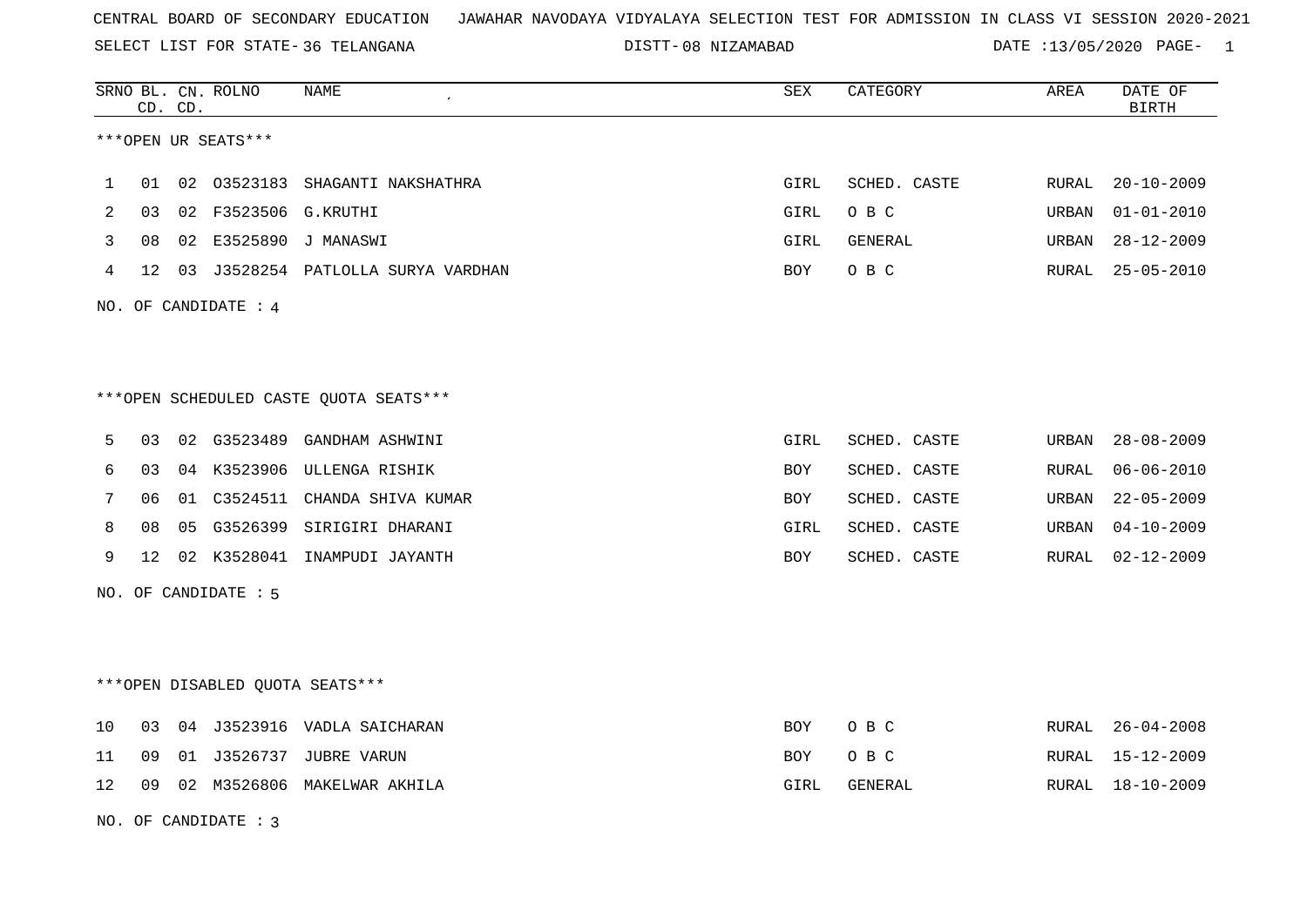SELECT LIST FOR STATE- DISTT- 36 TELANGANA

NO. OF CANDIDATE : 3

|    | CD. CD.         |    | SRNO BL. CN. ROLNO              | NAME                                   | SEX        | CATEGORY     | AREA  | DATE OF<br><b>BIRTH</b> |
|----|-----------------|----|---------------------------------|----------------------------------------|------------|--------------|-------|-------------------------|
|    |                 |    | ***OPEN UR SEATS***             |                                        |            |              |       |                         |
| 1  | 01              | 02 | 03523183                        | SHAGANTI NAKSHATHRA                    | GIRL       | SCHED. CASTE | RURAL | $20 - 10 - 2009$        |
| 2  | 03              | 02 | F3523506 G.KRUTHI               |                                        | GIRL       | O B C        | URBAN | $01 - 01 - 2010$        |
| 3  | 08              | 02 | E3525890                        | J MANASWI                              | GIRL       | GENERAL      | URBAN | $28 - 12 - 2009$        |
| 4  | 12              |    |                                 | 03 J3528254 PATLOLLA SURYA VARDHAN     | BOY        | O B C        | RURAL | $25 - 05 - 2010$        |
|    |                 |    | NO. OF CANDIDATE : 4            |                                        |            |              |       |                         |
|    |                 |    |                                 | ***OPEN SCHEDULED CASTE QUOTA SEATS*** |            |              |       |                         |
| 5  | 03              | 02 | G3523489                        | GANDHAM ASHWINI                        | GIRL       | SCHED. CASTE | URBAN | $28 - 08 - 2009$        |
| 6  | 03              |    | 04 K3523906                     | ULLENGA RISHIK                         | BOY        | SCHED. CASTE | RURAL | $06 - 06 - 2010$        |
| 7  | 06              |    |                                 | 01 C3524511 CHANDA SHIVA KUMAR         | <b>BOY</b> | SCHED. CASTE | URBAN | $22 - 05 - 2009$        |
| 8  | 08              | 05 | G3526399                        | SIRIGIRI DHARANI                       | GIRL       | SCHED. CASTE | URBAN | $04 - 10 - 2009$        |
| 9  | 12 <sup>°</sup> |    |                                 | 02 K3528041 INAMPUDI JAYANTH           | <b>BOY</b> | SCHED. CASTE | RURAL | 02-12-2009              |
|    |                 |    | NO. OF CANDIDATE : 5            |                                        |            |              |       |                         |
|    |                 |    |                                 |                                        |            |              |       |                         |
|    |                 |    | ***OPEN DISABLED QUOTA SEATS*** |                                        |            |              |       |                         |
| 10 | 03              |    |                                 | 04 J3523916 VADLA SAICHARAN            | BOY        | O B C        | RURAL | $26 - 04 - 2008$        |
| 11 | 09              |    |                                 | 01 J3526737 JUBRE VARUN                | BOY        | O B C        | RURAL | 15-12-2009              |
| 12 | 09              |    |                                 | 02 M3526806 MAKELWAR AKHILA            | GIRL       | GENERAL      | RURAL | 18-10-2009              |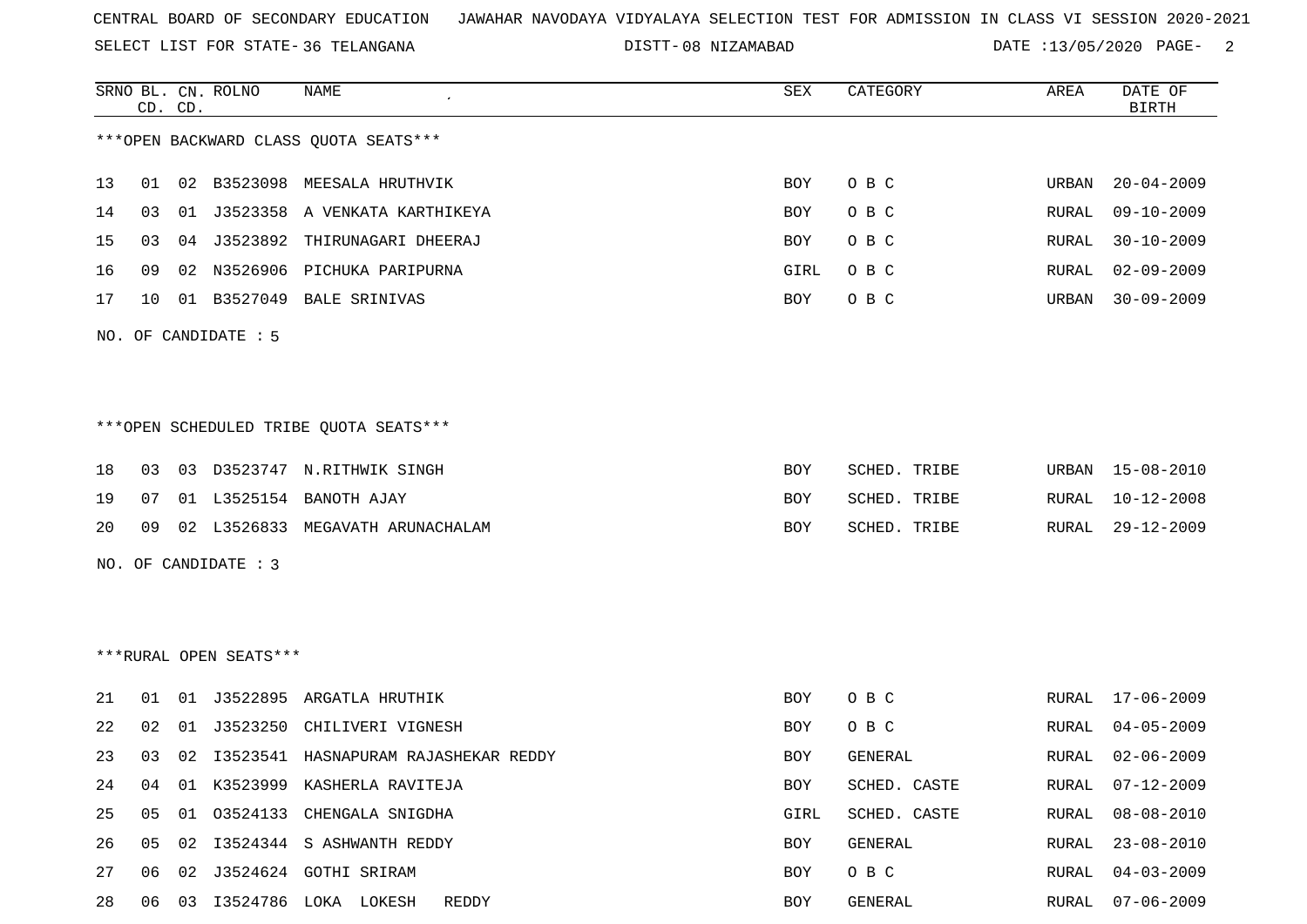SELECT LIST FOR STATE- DISTT- 36 TELANGANA

|    |    | CD. CD. | SRNO BL. CN. ROLNO     | NAME                                    | SEX        | CATEGORY     | AREA         | DATE OF<br><b>BIRTH</b> |
|----|----|---------|------------------------|-----------------------------------------|------------|--------------|--------------|-------------------------|
|    |    |         |                        | *** OPEN BACKWARD CLASS QUOTA SEATS***  |            |              |              |                         |
| 13 | 01 |         |                        | 02 B3523098 MEESALA HRUTHVIK            | BOY        | O B C        | URBAN        | $20 - 04 - 2009$        |
| 14 | 03 |         |                        | 01 J3523358 A VENKATA KARTHIKEYA        | BOY        | O B C        | RURAL        | $09 - 10 - 2009$        |
| 15 | 03 |         |                        | 04 J3523892 THIRUNAGARI DHEERAJ         | BOY        | O B C        | RURAL        | $30 - 10 - 2009$        |
| 16 | 09 |         |                        | 02 N3526906 PICHUKA PARIPURNA           | GIRL       | O B C        | RURAL        | $02 - 09 - 2009$        |
| 17 | 10 |         |                        | 01 B3527049 BALE SRINIVAS               | BOY        | O B C        | URBAN        | $30 - 09 - 2009$        |
|    |    |         | NO. OF CANDIDATE : $5$ |                                         |            |              |              |                         |
|    |    |         |                        | ***OPEN SCHEDULED TRIBE QUOTA SEATS***  |            |              |              |                         |
| 18 | 03 |         |                        | 03 D3523747 N.RITHWIK SINGH             | BOY        | SCHED. TRIBE | URBAN        | 15-08-2010              |
| 19 | 07 |         |                        | 01 L3525154 BANOTH AJAY                 | BOY        | SCHED. TRIBE | RURAL        | $10 - 12 - 2008$        |
| 20 | 09 |         |                        | 02 L3526833 MEGAVATH ARUNACHALAM        | BOY        | SCHED. TRIBE | RURAL        | $29 - 12 - 2009$        |
|    |    |         | NO. OF CANDIDATE : 3   |                                         |            |              |              |                         |
|    |    |         |                        |                                         |            |              |              |                         |
|    |    |         | ***RURAL OPEN SEATS*** |                                         |            |              |              |                         |
| 21 | 01 |         |                        | 01 J3522895 ARGATLA HRUTHIK             | BOY        | O B C        | RURAL        | $17 - 06 - 2009$        |
| 22 | 02 |         | 01 J3523250            | CHILIVERI VIGNESH                       | BOY        | O B C        | RURAL        | $04 - 05 - 2009$        |
| 23 | 03 |         |                        | 02 I3523541 HASNAPURAM RAJASHEKAR REDDY | BOY        | GENERAL      | RURAL        | $02 - 06 - 2009$        |
| 24 | 04 |         |                        | 01 K3523999 KASHERLA RAVITEJA           | <b>BOY</b> | SCHED. CASTE | <b>RURAL</b> | $07 - 12 - 2009$        |
| 25 | 05 |         | 01 03524133            | CHENGALA SNIGDHA                        | GIRL       | SCHED. CASTE | <b>RURAL</b> | $08 - 08 - 2010$        |
| 26 | 05 |         |                        | 02 I3524344 S ASHWANTH REDDY            | BOY        | GENERAL      | RURAL        | $23 - 08 - 2010$        |
| 27 | 06 |         |                        | 02 J3524624 GOTHI SRIRAM                | <b>BOY</b> | O B C        | RURAL        | $04 - 03 - 2009$        |
| 28 |    |         |                        | 06 03 13524786 LOKA LOKESH<br>REDDY     | BOY        | GENERAL      | RURAL        | $07 - 06 - 2009$        |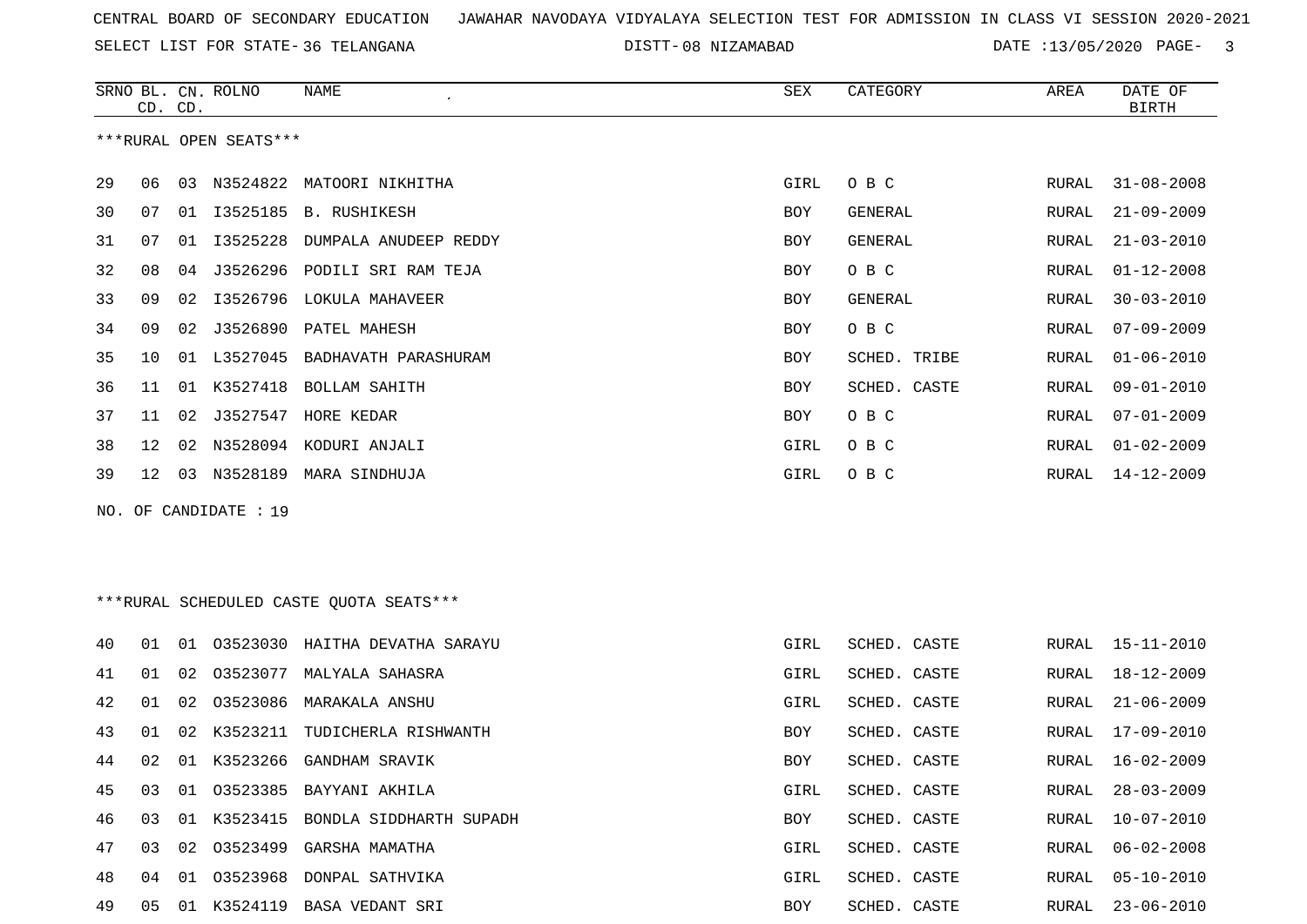SELECT LIST FOR STATE- DISTT- 36 TELANGANA

|    | CD. CD. |    | SRNO BL. CN. ROLNO     | NAME                                    | SEX         | CATEGORY       | AREA  | DATE OF<br><b>BIRTH</b> |
|----|---------|----|------------------------|-----------------------------------------|-------------|----------------|-------|-------------------------|
|    |         |    | ***RURAL OPEN SEATS*** |                                         |             |                |       |                         |
| 29 | 06      |    |                        | 03 N3524822 MATOORI NIKHITHA            | GIRL        | O B C          | RURAL | $31 - 08 - 2008$        |
| 30 | 07      |    |                        | 01  13525185 B. RUSHIKESH               | BOY         | GENERAL        | RURAL | $21 - 09 - 2009$        |
| 31 | 07      | 01 | I3525228               | DUMPALA ANUDEEP REDDY                   | BOY         | GENERAL        | RURAL | $21 - 03 - 2010$        |
| 32 | 08      | 04 |                        | J3526296 PODILI SRI RAM TEJA            | BOY         | O B C          | RURAL | $01 - 12 - 2008$        |
| 33 | 09      | 02 |                        | I3526796 LOKULA MAHAVEER                | BOY         | <b>GENERAL</b> | RURAL | $30 - 03 - 2010$        |
| 34 | 09      | 02 |                        | J3526890 PATEL MAHESH                   | BOY         | O B C          | RURAL | $07 - 09 - 2009$        |
| 35 | 10      |    |                        | 01 L3527045 BADHAVATH PARASHURAM        | BOY         | SCHED. TRIBE   | RURAL | $01 - 06 - 2010$        |
| 36 | 11      | 01 |                        | K3527418 BOLLAM SAHITH                  | BOY         | SCHED. CASTE   | RURAL | $09 - 01 - 2010$        |
| 37 | 11      | 02 |                        | J3527547 HORE KEDAR                     | BOY         | O B C          | RURAL | $07 - 01 - 2009$        |
| 38 | 12      |    |                        | 02 N3528094 KODURI ANJALI               | GIRL        | O B C          | RURAL | $01 - 02 - 2009$        |
| 39 | 12      |    |                        | 03 N3528189 MARA SINDHUJA               | GIRL        | O B C          | RURAL | 14-12-2009              |
|    |         |    | NO. OF CANDIDATE : 19  |                                         |             |                |       |                         |
|    |         |    |                        |                                         |             |                |       |                         |
|    |         |    |                        |                                         |             |                |       |                         |
|    |         |    |                        | ***RURAL SCHEDULED CASTE QUOTA SEATS*** |             |                |       |                         |
| 40 | 01      |    |                        | 01 03523030 HAITHA DEVATHA SARAYU       | GIRL        | SCHED. CASTE   | RURAL | $15 - 11 - 2010$        |
| 41 | 01      | 02 |                        | 03523077 MALYALA SAHASRA                | GIRL        | SCHED. CASTE   | RURAL | 18-12-2009              |
| 42 | 01      | 02 | 03523086               | MARAKALA ANSHU                          | <b>GIRL</b> | SCHED. CASTE   | RURAL | $21 - 06 - 2009$        |
| 43 | 01      | 02 |                        | K3523211 TUDICHERLA RISHWANTH           | BOY         | SCHED. CASTE   | RURAL | $17 - 09 - 2010$        |
| 44 | 02      |    |                        | 01 K3523266 GANDHAM SRAVIK              | BOY         | SCHED. CASTE   | RURAL | $16 - 02 - 2009$        |
| 45 | 03      |    |                        | 01 03523385 BAYYANI AKHILA              | GIRL        | SCHED. CASTE   | RURAL | $28 - 03 - 2009$        |
| 46 | 03      |    |                        | 01 K3523415 BONDLA SIDDHARTH SUPADH     | BOY         | SCHED. CASTE   | RURAL | $10 - 07 - 2010$        |
| 47 | 03      | 02 |                        | 03523499 GARSHA MAMATHA                 | GIRL        | SCHED. CASTE   | RURAL | $06 - 02 - 2008$        |
| 48 | 04      |    |                        | 01 03523968 DONPAL SATHVIKA             | GIRL        | SCHED. CASTE   | RURAL | $05 - 10 - 2010$        |
| 49 |         |    |                        | 05 01 K3524119 BASA VEDANT SRI          | BOY         | SCHED. CASTE   | RURAL | 23-06-2010              |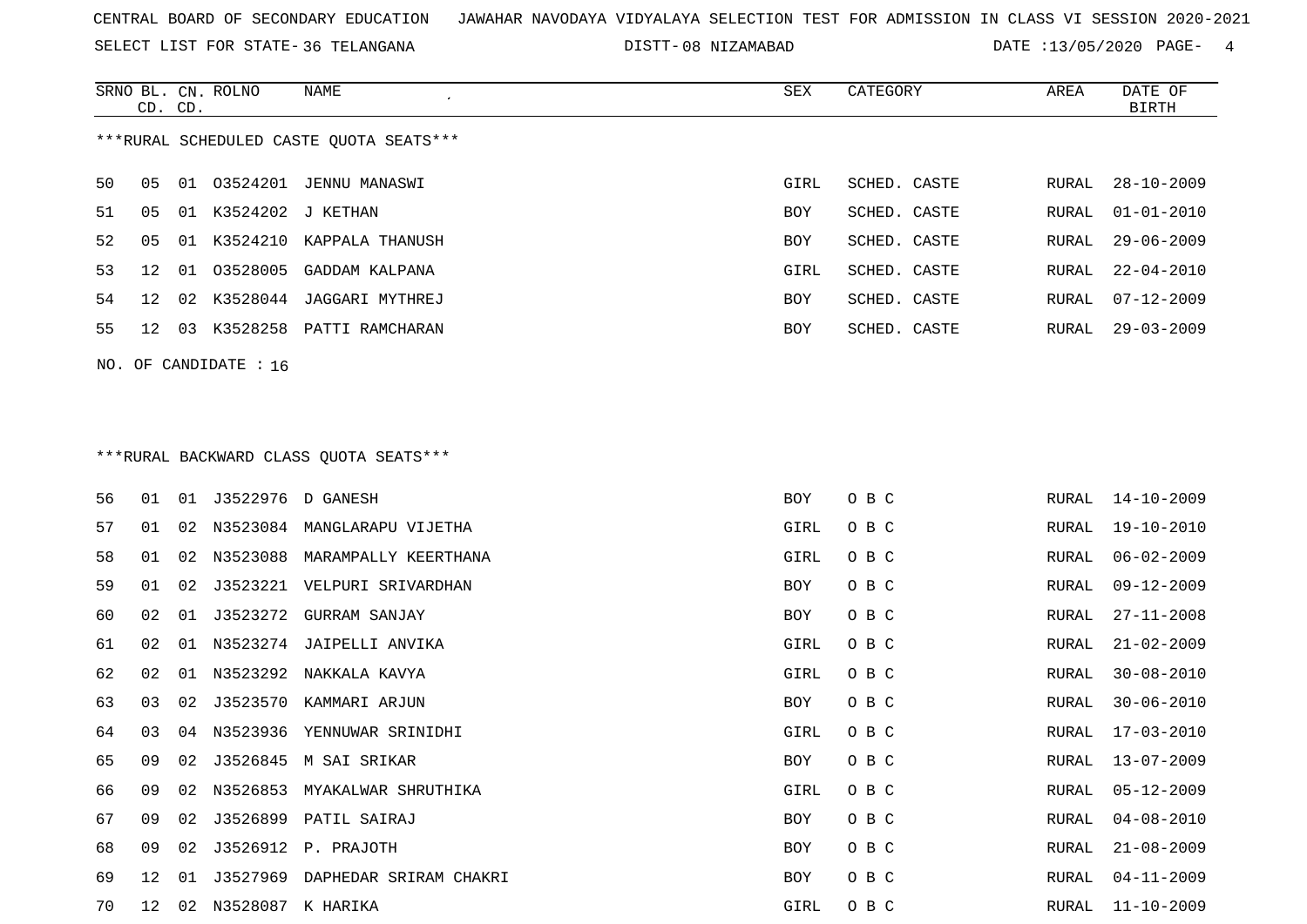SELECT LIST FOR STATE- DISTT- 36 TELANGANA

|    | CD. CD. |    | SRNO BL. CN. ROLNO      | NAME                                    | SEX         | CATEGORY     | AREA  | DATE OF<br><b>BIRTH</b> |
|----|---------|----|-------------------------|-----------------------------------------|-------------|--------------|-------|-------------------------|
|    |         |    |                         | ***RURAL SCHEDULED CASTE QUOTA SEATS*** |             |              |       |                         |
| 50 | 05      |    |                         | 01  03524201  JENNU  MANASWI            | GIRL        | SCHED. CASTE | RURAL | $28 - 10 - 2009$        |
| 51 | 05      |    | 01 K3524202 J KETHAN    |                                         | BOY         | SCHED. CASTE | RURAL | $01 - 01 - 2010$        |
| 52 | 05      |    |                         | 01 K3524210 KAPPALA THANUSH             | BOY         | SCHED. CASTE | RURAL | $29 - 06 - 2009$        |
| 53 | 12      | 01 |                         | 03528005 GADDAM KALPANA                 | <b>GIRL</b> | SCHED. CASTE | RURAL | $22 - 04 - 2010$        |
| 54 | 12      | 02 |                         | K3528044 JAGGARI MYTHREJ                | BOY         | SCHED. CASTE | RURAL | $07 - 12 - 2009$        |
| 55 | 12      | 03 |                         | K3528258 PATTI RAMCHARAN                | BOY         | SCHED. CASTE | RURAL | $29 - 03 - 2009$        |
|    |         |    | NO. OF CANDIDATE : 16   |                                         |             |              |       |                         |
|    |         |    |                         |                                         |             |              |       |                         |
|    |         |    |                         |                                         |             |              |       |                         |
|    |         |    |                         | *** RURAL BACKWARD CLASS QUOTA SEATS*** |             |              |       |                         |
| 56 | 01      |    | 01 J3522976 D GANESH    |                                         | BOY         | O B C        | RURAL | $14 - 10 - 2009$        |
| 57 | 01      |    |                         | 02 N3523084 MANGLARAPU VIJETHA          | GIRL        | O B C        | RURAL | 19-10-2010              |
| 58 | 01      |    | 02 N3523088             | MARAMPALLY KEERTHANA                    | GIRL        | O B C        | RURAL | $06 - 02 - 2009$        |
| 59 | 01      | 02 |                         | J3523221 VELPURI SRIVARDHAN             | BOY         | O B C        | RURAL | $09 - 12 - 2009$        |
| 60 | 02      | 01 | J3523272                | GURRAM SANJAY                           | BOY         | O B C        | RURAL | $27 - 11 - 2008$        |
| 61 | 02      | 01 | N3523274                | JAIPELLI ANVIKA                         | GIRL        | O B C        | RURAL | $21 - 02 - 2009$        |
| 62 | 02      | 01 |                         | N3523292 NAKKALA KAVYA                  | GIRL        | O B C        | RURAL | $30 - 08 - 2010$        |
| 63 | 03      | 02 | J3523570                | KAMMARI ARJUN                           | BOY         | O B C        | RURAL | $30 - 06 - 2010$        |
| 64 | 03      | 04 |                         | N3523936 YENNUWAR SRINIDHI              | GIRL        | O B C        | RURAL | 17-03-2010              |
| 65 | 09      |    |                         | 02 J3526845 M SAI SRIKAR                | BOY         | O B C        | RURAL | $13 - 07 - 2009$        |
| 66 | 09      | 02 |                         | N3526853 MYAKALWAR SHRUTHIKA            | GIRL        | O B C        | RURAL | $05 - 12 - 2009$        |
| 67 | 09      |    |                         | 02 J3526899 PATIL SAIRAJ                | BOY         | O B C        | RURAL | $04 - 08 - 2010$        |
| 68 | 09      |    |                         | 02 J3526912 P. PRAJOTH                  | BOY         | O B C        | RURAL | $21 - 08 - 2009$        |
| 69 | 12      |    |                         | 01 J3527969 DAPHEDAR SRIRAM CHAKRI      | BOY         | O B C        | RURAL | $04 - 11 - 2009$        |
| 70 |         |    | 12 02 N3528087 K HARIKA |                                         | GIRL        | O B C        |       | RURAL 11-10-2009        |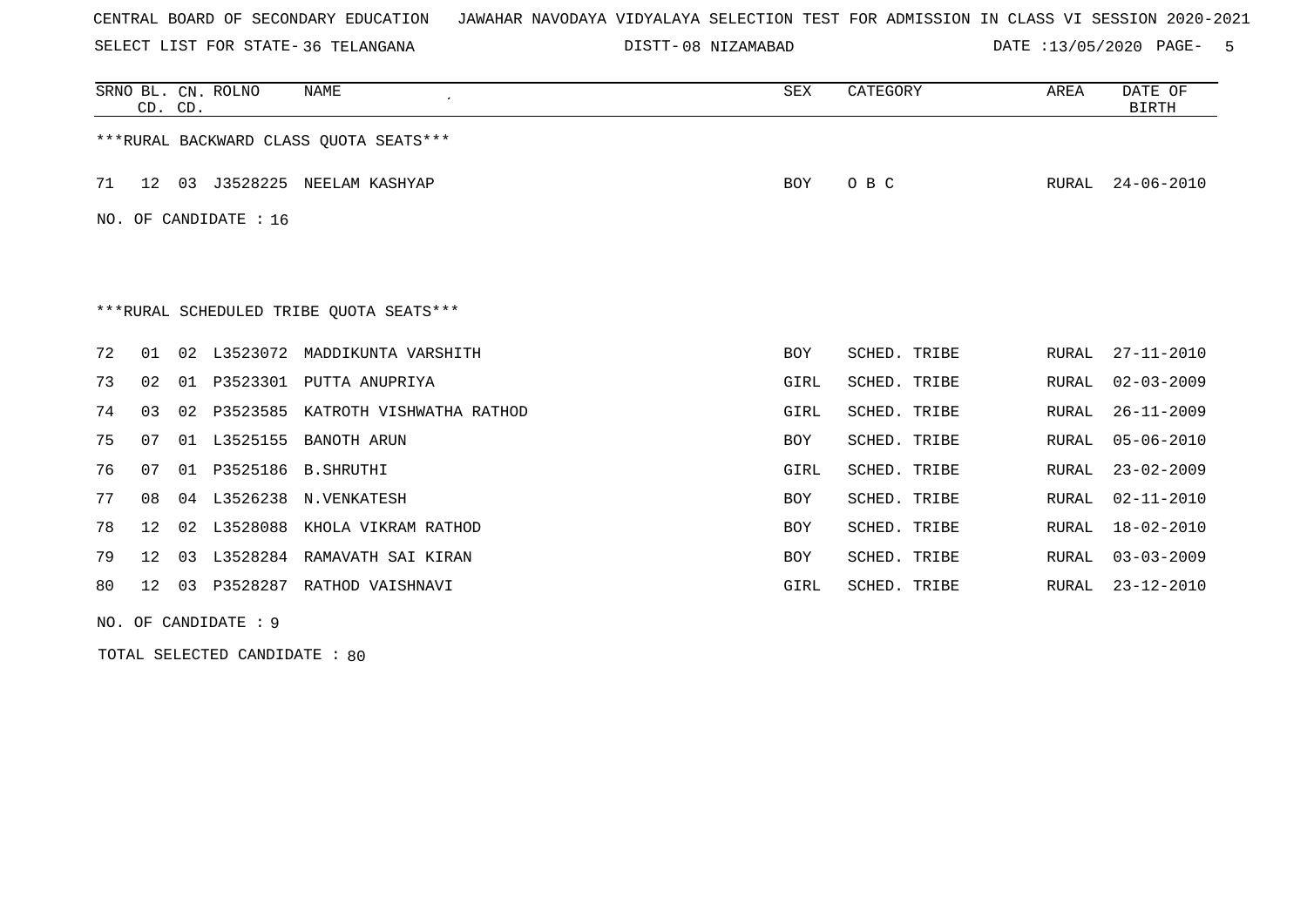SELECT LIST FOR STATE- DISTT- 36 TELANGANA

08 NIZAMABAD DATE :13/05/2020 PAGE- 5

|    | CD. CD. |    | SRNO BL. CN. ROLNO    | NAME                                     | <b>SEX</b> | CATEGORY     | AREA  | DATE OF<br><b>BIRTH</b> |
|----|---------|----|-----------------------|------------------------------------------|------------|--------------|-------|-------------------------|
|    |         |    |                       | ***RURAL BACKWARD CLASS OUOTA SEATS***   |            |              |       |                         |
| 71 | 12      | 03 |                       | J3528225 NEELAM KASHYAP                  | <b>BOY</b> | O B C        | RURAL | $24 - 06 - 2010$        |
|    |         |    | NO. OF CANDIDATE : 16 |                                          |            |              |       |                         |
|    |         |    |                       |                                          |            |              |       |                         |
|    |         |    |                       | *** RURAL SCHEDULED TRIBE QUOTA SEATS*** |            |              |       |                         |
| 72 | 01      |    |                       | 02 L3523072 MADDIKUNTA VARSHITH          | <b>BOY</b> | SCHED. TRIBE | RURAL | $27 - 11 - 2010$        |
| 73 | 02      | 01 | P3523301              | PUTTA ANUPRIYA                           | GIRL       | SCHED. TRIBE | RURAL | $02 - 03 - 2009$        |
| 74 | 03      | 02 | P3523585              | KATROTH VISHWATHA RATHOD                 | GIRL       | SCHED. TRIBE | RURAL | $26 - 11 - 2009$        |
| 75 | 07      | 01 | L3525155              | BANOTH ARUN                              | <b>BOY</b> | SCHED. TRIBE | RURAL | $05 - 06 - 2010$        |
| 76 | 07      | 01 | P3525186              | B.SHRUTHI                                | GIRL       | SCHED. TRIBE | RURAL | $23 - 02 - 2009$        |
| 77 | 08      | 04 | L3526238              | N.VENKATESH                              | <b>BOY</b> | SCHED. TRIBE | RURAL | $02 - 11 - 2010$        |
| 78 | 12      | 02 | L3528088              | KHOLA VIKRAM RATHOD                      | <b>BOY</b> | SCHED. TRIBE | RURAL | $18 - 02 - 2010$        |
| 79 | $12 \,$ | 03 |                       | L3528284 RAMAVATH SAI KIRAN              | <b>BOY</b> | SCHED. TRIBE | RURAL | $03 - 03 - 2009$        |
| 80 | 12      | 03 |                       | P3528287 RATHOD VAISHNAVI                | GIRL       | SCHED. TRIBE | RURAL | $23 - 12 - 2010$        |

NO. OF CANDIDATE : 9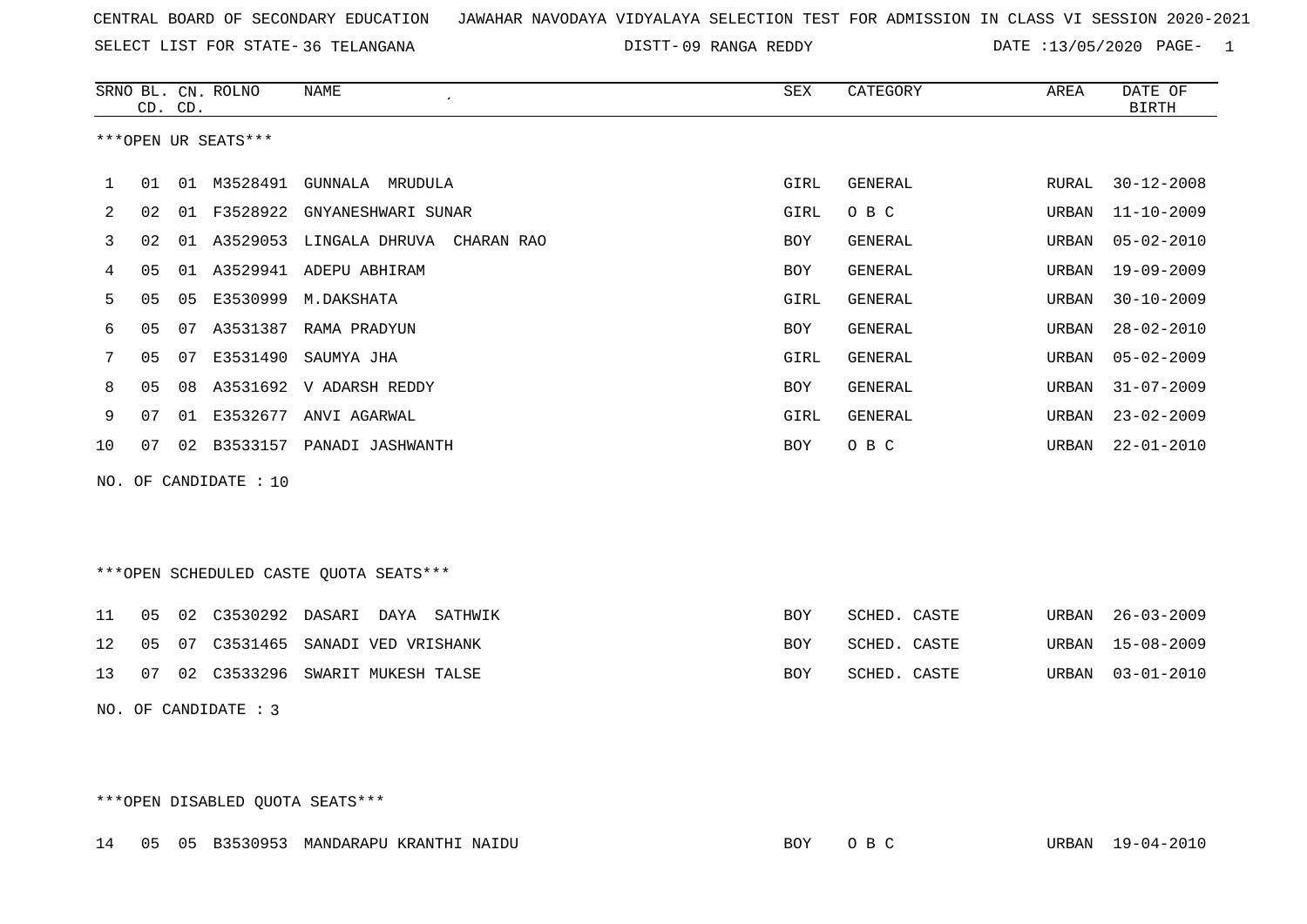SELECT LIST FOR STATE- DISTT- 36 TELANGANA

DISTT-09 RANGA REDDY **DATE** :13/05/2020 PAGE- 1

|    | CD. CD.        |    | SRNO BL. CN. ROLNO    | <b>NAME</b>                            | SEX         | CATEGORY       | AREA  | DATE OF<br><b>BIRTH</b> |
|----|----------------|----|-----------------------|----------------------------------------|-------------|----------------|-------|-------------------------|
|    |                |    |                       |                                        |             |                |       |                         |
|    |                |    | ***OPEN UR SEATS***   |                                        |             |                |       |                         |
| 1  | 01             |    | 01 M3528491           | GUNNALA MRUDULA                        | GIRL        | GENERAL        | RURAL | $30 - 12 - 2008$        |
| 2  | 02             | 01 | F3528922              | GNYANESHWARI SUNAR                     | GIRL        | O B C          | URBAN | $11 - 10 - 2009$        |
| 3  | 02             | 01 | A3529053              | LINGALA DHRUVA<br>CHARAN RAO           | <b>BOY</b>  | <b>GENERAL</b> | URBAN | $05 - 02 - 2010$        |
| 4  | 05             | 01 | A3529941              | ADEPU ABHIRAM                          | <b>BOY</b>  | <b>GENERAL</b> | URBAN | $19 - 09 - 2009$        |
| 5  | 05             | 05 | E3530999              | M.DAKSHATA                             | <b>GIRL</b> | <b>GENERAL</b> | URBAN | $30 - 10 - 2009$        |
| 6  | 05             | 07 | A3531387              | RAMA PRADYUN                           | <b>BOY</b>  | <b>GENERAL</b> | URBAN | $28 - 02 - 2010$        |
| 7  | 05             | 07 | E3531490              | SAUMYA JHA                             | <b>GIRL</b> | <b>GENERAL</b> | URBAN | $05 - 02 - 2009$        |
| 8  | 0 <sub>5</sub> | 08 | A3531692              | V ADARSH REDDY                         | <b>BOY</b>  | <b>GENERAL</b> | URBAN | $31 - 07 - 2009$        |
| 9  | 07             |    |                       | 01 E3532677 ANVI AGARWAL               | <b>GIRL</b> | GENERAL        | URBAN | $23 - 02 - 2009$        |
| 10 | 07             | 02 |                       | B3533157 PANADI JASHWANTH              | <b>BOY</b>  | O B C          | URBAN | $22 - 01 - 2010$        |
|    |                |    | NO. OF CANDIDATE : 10 |                                        |             |                |       |                         |
|    |                |    |                       |                                        |             |                |       |                         |
|    |                |    |                       |                                        |             |                |       |                         |
|    |                |    |                       | ***OPEN SCHEDULED CASTE QUOTA SEATS*** |             |                |       |                         |
| 11 | 05             | 02 | C3530292 DASARI       | DAYA<br>SATHWIK                        | <b>BOY</b>  | SCHED. CASTE   | URBAN | $26 - 03 - 2009$        |
| 12 | 05             | 07 | C3531465              | SANADI VED VRISHANK                    | <b>BOY</b>  | SCHED. CASTE   | URBAN | $15 - 08 - 2009$        |

NO. OF CANDIDATE : 3

\*\*\*OPEN DISABLED QUOTA SEATS\*\*\*

14 05 05 B3530953 MANDARAPU KRANTHI NAIDU BOY O B C URBAN 19-04-2010

13 07 02 C3533296 SWARIT MUKESH TALSE BOY SCHED. CASTE URBAN 03-01-2010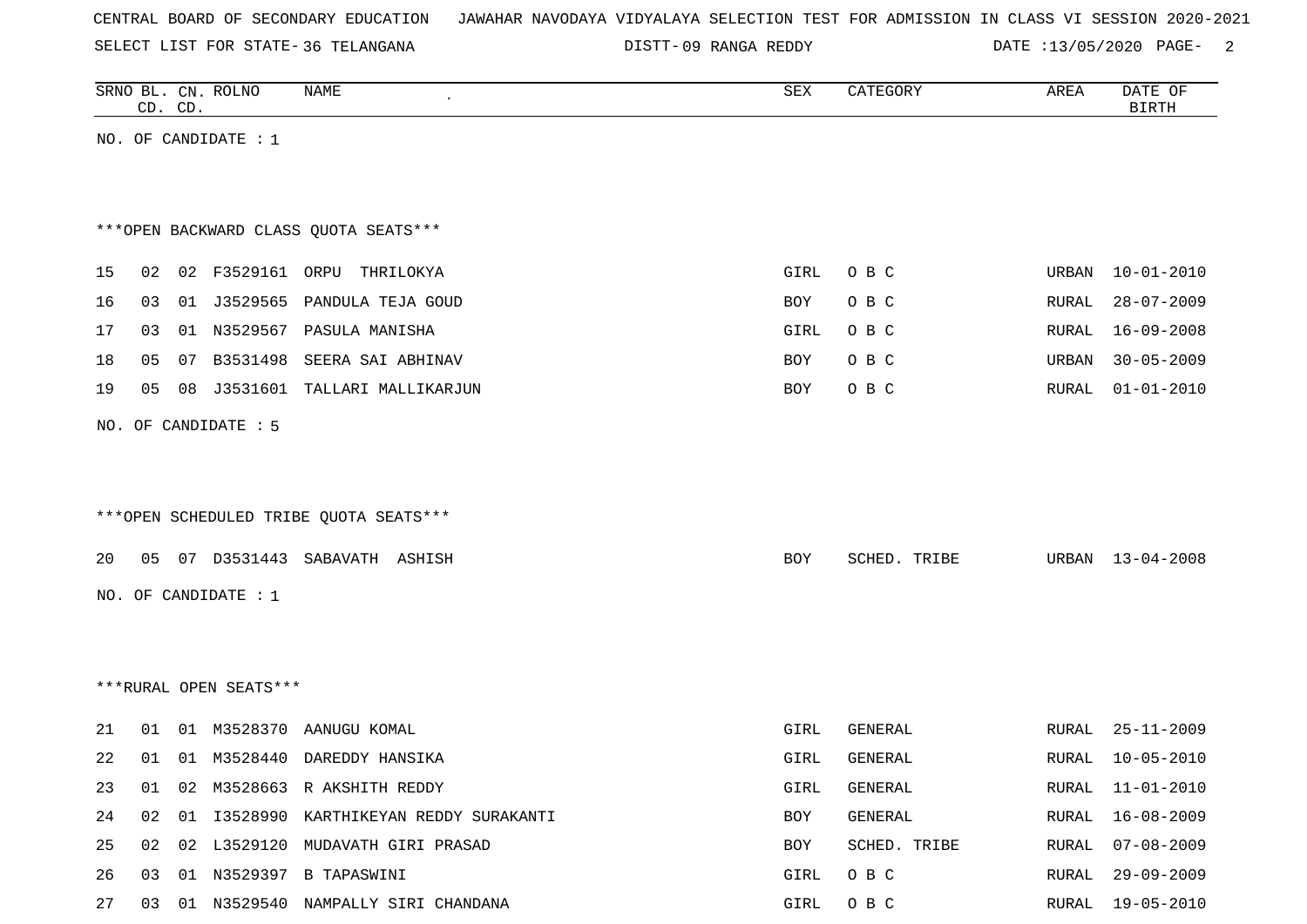|  |  |  |  | CENTRAL BOARD OF SECONDARY EDUCATION – JAWAHAR NAVODAYA VIDYALAYA SELECTION TEST FOR ADMISSION IN CLASS VI SESSION 2020-2021 |  |  |  |  |  |  |  |  |  |  |  |  |  |
|--|--|--|--|------------------------------------------------------------------------------------------------------------------------------|--|--|--|--|--|--|--|--|--|--|--|--|--|
|--|--|--|--|------------------------------------------------------------------------------------------------------------------------------|--|--|--|--|--|--|--|--|--|--|--|--|--|

SELECT LIST FOR STATE- DISTT- 36 TELANGANA

DISTT-09 RANGA REDDY DATE :13/05/2020 PAGE- 2

|    | CD. CD. |    | SRNO BL. CN. ROLNO     | NAME                                    | SEX  | CATEGORY     | AREA         | DATE OF<br><b>BIRTH</b> |
|----|---------|----|------------------------|-----------------------------------------|------|--------------|--------------|-------------------------|
|    |         |    | NO. OF CANDIDATE : $1$ |                                         |      |              |              |                         |
|    |         |    |                        |                                         |      |              |              |                         |
|    |         |    |                        |                                         |      |              |              |                         |
|    |         |    |                        | *** OPEN BACKWARD CLASS QUOTA SEATS***  |      |              |              |                         |
| 15 | 02      |    | 02 F3529161 ORPU       | THRILOKYA                               | GIRL | O B C        | URBAN        | $10 - 01 - 2010$        |
| 16 | 03      |    | 01 J3529565            | PANDULA TEJA GOUD                       | BOY  | O B C        | RURAL        | $28 - 07 - 2009$        |
| 17 | 03      |    |                        | 01 N3529567 PASULA MANISHA              | GIRL | O B C        | RURAL        | $16 - 09 - 2008$        |
| 18 | 05      | 07 | B3531498               | SEERA SAI ABHINAV                       | BOY  | O B C        | URBAN        | $30 - 05 - 2009$        |
| 19 | 05      | 08 | J3531601               | TALLARI MALLIKARJUN                     | BOY  | O B C        | RURAL        | $01 - 01 - 2010$        |
|    |         |    | NO. OF CANDIDATE : 5   |                                         |      |              |              |                         |
|    |         |    |                        |                                         |      |              |              |                         |
|    |         |    |                        |                                         |      |              |              |                         |
|    |         |    |                        | ***OPEN SCHEDULED TRIBE QUOTA SEATS***  |      |              |              |                         |
| 20 | 05      |    | 07 D3531443            | SABAVATH ASHISH                         | BOY  | SCHED. TRIBE | URBAN        | $13 - 04 - 2008$        |
|    |         |    |                        |                                         |      |              |              |                         |
|    |         |    | NO. OF CANDIDATE : $1$ |                                         |      |              |              |                         |
|    |         |    |                        |                                         |      |              |              |                         |
|    |         |    | ***RURAL OPEN SEATS*** |                                         |      |              |              |                         |
|    |         |    |                        |                                         |      |              |              |                         |
| 21 | 01      |    | 01 M3528370            | AANUGU KOMAL                            | GIRL | GENERAL      | <b>RURAL</b> | $25 - 11 - 2009$        |
| 22 | 01      |    | 01 M3528440            | DAREDDY HANSIKA                         | GIRL | GENERAL      | RURAL        | $10 - 05 - 2010$        |
| 23 | 01      |    |                        | 02 M3528663 R AKSHITH REDDY             | GIRL | GENERAL      |              | RURAL 11-01-2010        |
| 24 | 02      |    |                        | 01 I3528990 KARTHIKEYAN REDDY SURAKANTI | BOY  | GENERAL      | RURAL        | $16 - 08 - 2009$        |
| 25 | 02      | 02 |                        | L3529120 MUDAVATH GIRI PRASAD           | BOY  | SCHED. TRIBE | RURAL        | $07 - 08 - 2009$        |
| 26 | 03      |    |                        | 01 N3529397 B TAPASWINI                 | GIRL | O B C        | RURAL        | 29-09-2009              |
| 27 | 03      |    |                        | 01 N3529540 NAMPALLY SIRI CHANDANA      | GIRL | O B C        | RURAL        | 19-05-2010              |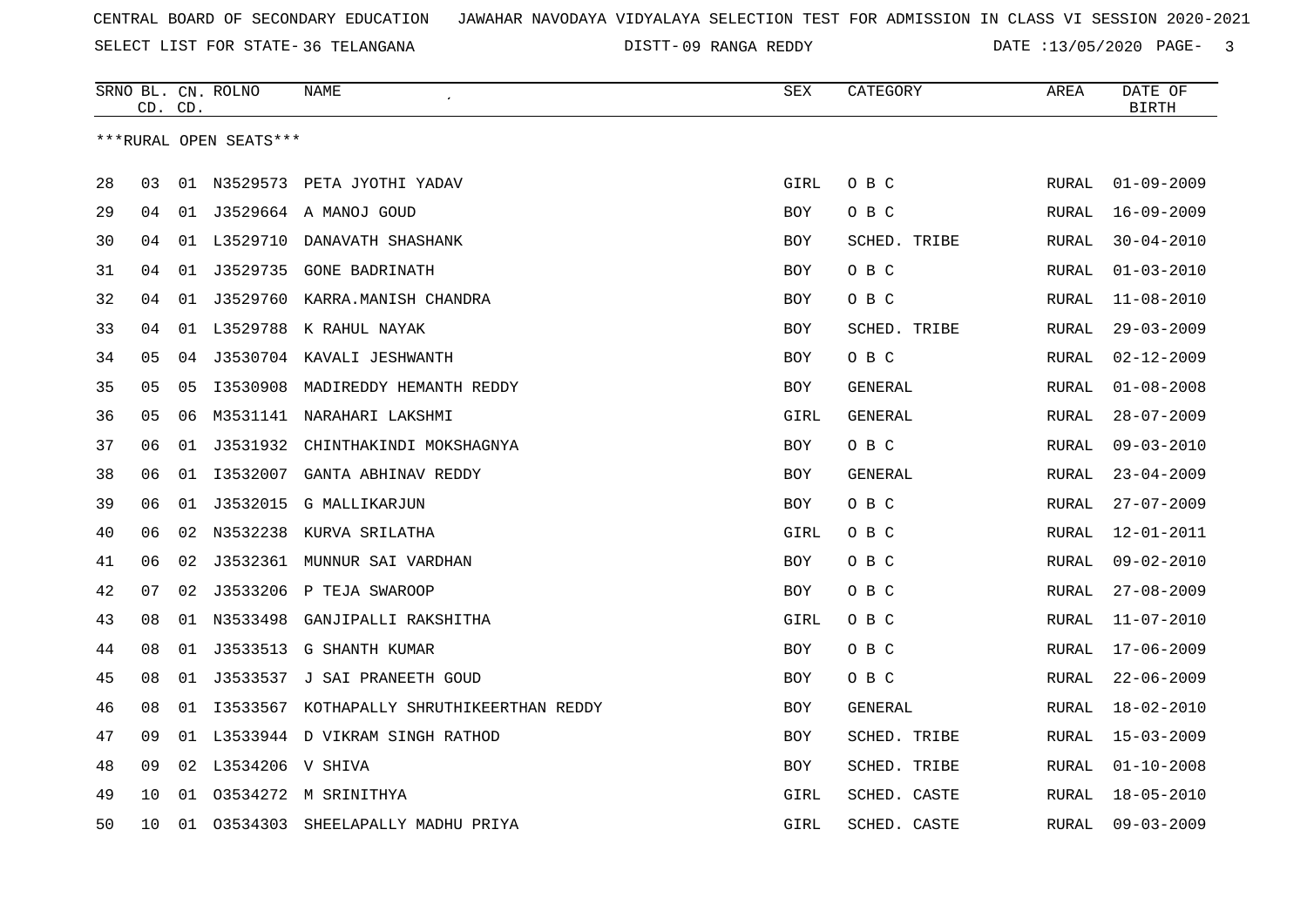SELECT LIST FOR STATE- DISTT- 36 TELANGANA

09 RANGA REDDY DATE :13/05/2020 PAGE- 3

|    |    | CD. CD. | SRNO BL. CN. ROLNO     | <b>NAME</b>                                  | <b>SEX</b> | CATEGORY     | AREA         | DATE OF<br><b>BIRTH</b> |
|----|----|---------|------------------------|----------------------------------------------|------------|--------------|--------------|-------------------------|
|    |    |         | ***RURAL OPEN SEATS*** |                                              |            |              |              |                         |
| 28 | 03 |         |                        | 01 N3529573 PETA JYOTHI YADAV                | GIRL       | O B C        | RURAL        | $01 - 09 - 2009$        |
| 29 | 04 |         |                        | 01 J3529664 A MANOJ GOUD                     | BOY        | O B C        | RURAL        | $16 - 09 - 2009$        |
| 30 | 04 | 01      | L3529710               | DANAVATH SHASHANK                            | BOY        | SCHED. TRIBE | RURAL        | $30 - 04 - 2010$        |
| 31 | 04 | 01      | J3529735               | GONE BADRINATH                               | BOY        | O B C        | RURAL        | $01 - 03 - 2010$        |
| 32 | 04 | 01      |                        | J3529760 KARRA.MANISH CHANDRA                | <b>BOY</b> | O B C        | RURAL        | $11 - 08 - 2010$        |
| 33 | 04 |         |                        | 01 L3529788 K RAHUL NAYAK                    | <b>BOY</b> | SCHED. TRIBE | RURAL        | $29 - 03 - 2009$        |
| 34 | 05 | 04      |                        | J3530704 KAVALI JESHWANTH                    | BOY        | O B C        | RURAL        | $02 - 12 - 2009$        |
| 35 | 05 | 05      | I3530908               | MADIREDDY HEMANTH REDDY                      | BOY        | GENERAL      | RURAL        | $01 - 08 - 2008$        |
| 36 | 05 | 06      |                        | M3531141 NARAHARI LAKSHMI                    | GIRL       | GENERAL      | RURAL        | $28 - 07 - 2009$        |
| 37 | 06 | 01      | J3531932               | CHINTHAKINDI MOKSHAGNYA                      | BOY        | O B C        | RURAL        | $09 - 03 - 2010$        |
| 38 | 06 | 01      | I3532007               | GANTA ABHINAV REDDY                          | BOY        | GENERAL      | RURAL        | $23 - 04 - 2009$        |
| 39 | 06 | 01      | J3532015               | <b>G MALLIKARJUN</b>                         | BOY        | O B C        | RURAL        | $27 - 07 - 2009$        |
| 40 | 06 |         |                        | 02 N3532238 KURVA SRILATHA                   | GIRL       | O B C        | RURAL        | $12 - 01 - 2011$        |
| 41 | 06 | 02      |                        | J3532361 MUNNUR SAI VARDHAN                  | BOY        | O B C        | <b>RURAL</b> | $09 - 02 - 2010$        |
| 42 | 07 | 02      |                        | J3533206 P TEJA SWAROOP                      | BOY        | O B C        | RURAL        | $27 - 08 - 2009$        |
| 43 | 08 | 01      | N3533498               | GANJIPALLI RAKSHITHA                         | GIRL       | O B C        | RURAL        | $11 - 07 - 2010$        |
| 44 | 08 | 01      | J3533513               | G SHANTH KUMAR                               | <b>BOY</b> | O B C        | <b>RURAL</b> | $17 - 06 - 2009$        |
| 45 | 08 |         |                        | 01 J3533537 J SAI PRANEETH GOUD              | <b>BOY</b> | O B C        | RURAL        | $22 - 06 - 2009$        |
| 46 | 08 |         |                        | 01 I3533567 KOTHAPALLY SHRUTHIKEERTHAN REDDY | BOY        | GENERAL      | RURAL        | $18 - 02 - 2010$        |
| 47 | 09 |         |                        | 01 L3533944 D VIKRAM SINGH RATHOD            | <b>BOY</b> | SCHED. TRIBE | <b>RURAL</b> | $15 - 03 - 2009$        |
| 48 | 09 | 02      | L3534206 V SHIVA       |                                              | BOY        | SCHED. TRIBE | <b>RURAL</b> | $01 - 10 - 2008$        |
| 49 | 10 | 01      |                        | 03534272 M SRINITHYA                         | GIRL       | SCHED. CASTE | <b>RURAL</b> | $18 - 05 - 2010$        |
| 50 | 10 | 01      | 03534303               | SHEELAPALLY MADHU PRIYA                      | GIRL       | SCHED. CASTE | RURAL        | $09 - 03 - 2009$        |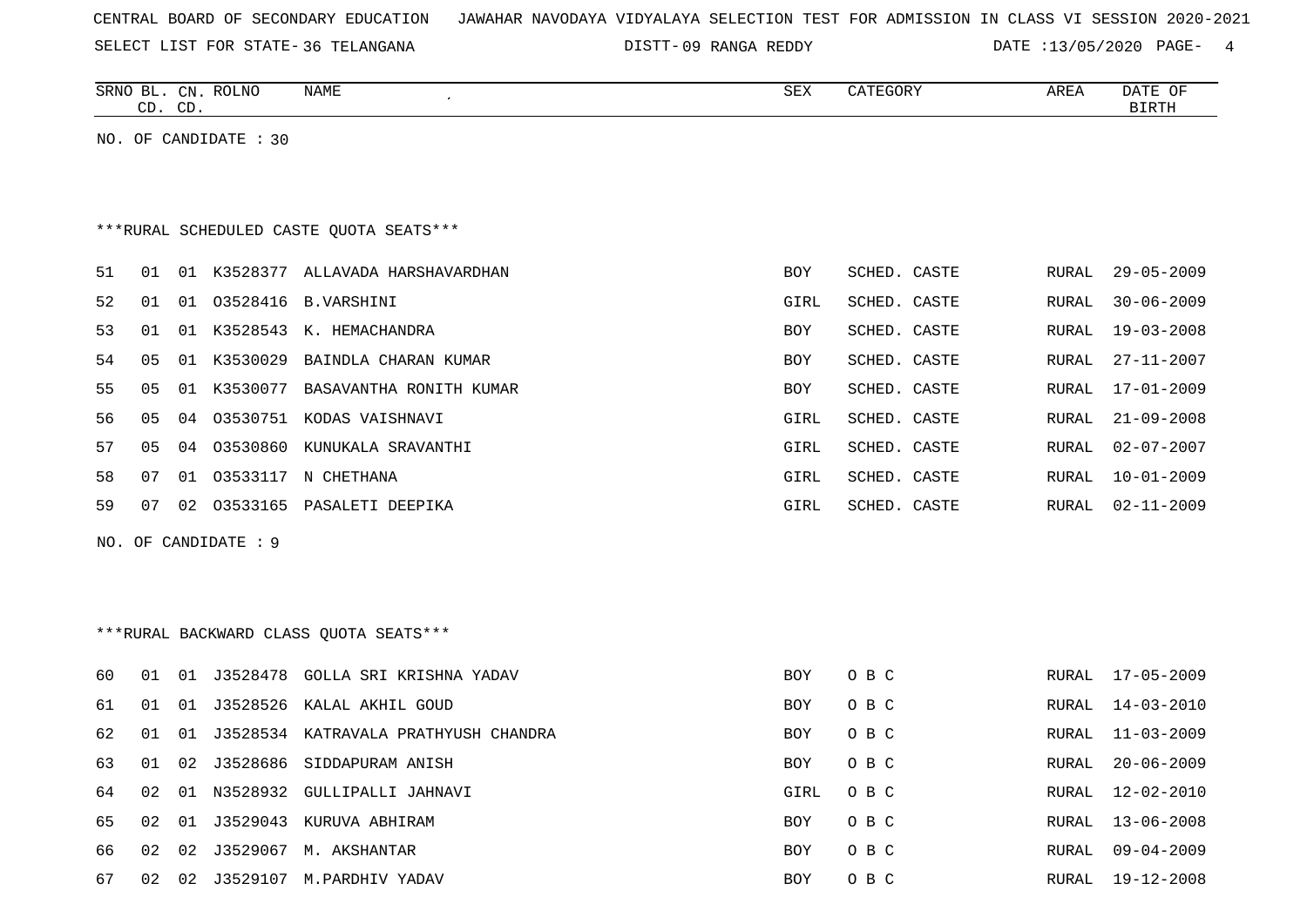|  |  |  | CENTRAL BOARD OF SECONDARY EDUCATION – JAWAHAR NAVODAYA VIDYALAYA SELECTION TEST FOR ADMISSION IN CLASS VI SESSION 2020-2021 |  |  |  |  |  |  |  |  |  |  |  |  |  |  |
|--|--|--|------------------------------------------------------------------------------------------------------------------------------|--|--|--|--|--|--|--|--|--|--|--|--|--|--|
|--|--|--|------------------------------------------------------------------------------------------------------------------------------|--|--|--|--|--|--|--|--|--|--|--|--|--|--|

SELECT LIST FOR STATE- DISTT- 36 TELANGANA 09 RANGA REDDY DATE :13/05/2020 PAGE- 4

|    |    | CD. CD. | SRNO BL. CN. ROLNO      | NAME                                    | <b>SEX</b>  | CATEGORY     | AREA  | DATE OF<br><b>BIRTH</b> |
|----|----|---------|-------------------------|-----------------------------------------|-------------|--------------|-------|-------------------------|
|    |    |         | NO. OF CANDIDATE $: 30$ |                                         |             |              |       |                         |
|    |    |         |                         |                                         |             |              |       |                         |
|    |    |         |                         |                                         |             |              |       |                         |
|    |    |         |                         | ***RURAL SCHEDULED CASTE QUOTA SEATS*** |             |              |       |                         |
| 51 | 01 |         |                         | 01 K3528377 ALLAVADA HARSHAVARDHAN      | BOY         | SCHED. CASTE | RURAL | $29 - 05 - 2009$        |
| 52 | 01 |         |                         | 01 03528416 B. VARSHINI                 | GIRL        | SCHED. CASTE | RURAL | $30 - 06 - 2009$        |
| 53 | 01 |         |                         | 01 K3528543 K. HEMACHANDRA              | BOY         | SCHED. CASTE | RURAL | $19 - 03 - 2008$        |
| 54 | 05 |         |                         | 01 K3530029 BAINDLA CHARAN KUMAR        | <b>BOY</b>  | SCHED. CASTE | RURAL | $27 - 11 - 2007$        |
| 55 | 05 |         |                         | 01 K3530077 BASAVANTHA RONITH KUMAR     | <b>BOY</b>  | SCHED. CASTE | RURAL | $17 - 01 - 2009$        |
| 56 | 05 |         |                         | 04 03530751 KODAS VAISHNAVI             | GIRL        | SCHED. CASTE | RURAL | $21 - 09 - 2008$        |
| 57 | 05 |         |                         | 04 03530860 KUNUKALA SRAVANTHI          | GIRL        | SCHED. CASTE | RURAL | $02 - 07 - 2007$        |
| 58 | 07 |         |                         | 01 03533117 N CHETHANA                  | <b>GIRL</b> | SCHED. CASTE | RURAL | $10 - 01 - 2009$        |
| 59 | 07 |         |                         | 02 03533165 PASALETI DEEPIKA            | GIRL        | SCHED. CASTE | RURAL | $02 - 11 - 2009$        |
|    |    |         | NO. OF CANDIDATE : 9    |                                         |             |              |       |                         |
|    |    |         |                         |                                         |             |              |       |                         |
|    |    |         |                         |                                         |             |              |       |                         |
|    |    |         |                         | *** RURAL BACKWARD CLASS QUOTA SEATS*** |             |              |       |                         |
|    |    |         |                         |                                         |             |              |       |                         |
| 60 | 01 |         |                         | 01 J3528478 GOLLA SRI KRISHNA YADAV     | <b>BOY</b>  | O B C        | RURAL | 17-05-2009              |
| 61 | 01 |         |                         | 01 J3528526 KALAL AKHIL GOUD            | <b>BOY</b>  | O B C        | RURAL | $14 - 03 - 2010$        |
| 62 | 01 |         |                         | 01 J3528534 KATRAVALA PRATHYUSH CHANDRA | <b>BOY</b>  | O B C        | RURAL | $11 - 03 - 2009$        |
| 63 | 01 | 02      |                         | J3528686 SIDDAPURAM ANISH               | BOY         | O B C        | RURAL | $20 - 06 - 2009$        |
| 64 | 02 |         |                         | 01 N3528932 GULLIPALLI JAHNAVI          | GIRL        | O B C        | RURAL | $12 - 02 - 2010$        |
| 65 | 02 |         |                         | 01 J3529043 KURUVA ABHIRAM              | BOY         | O B C        | RURAL | $13 - 06 - 2008$        |
| 66 | 02 |         |                         |                                         | BOY         | O B C        | RURAL | $09 - 04 - 2009$        |
| 67 | 02 |         |                         | 02 J3529107 M.PARDHIV YADAV             | <b>BOY</b>  | O B C        |       | RURAL 19-12-2008        |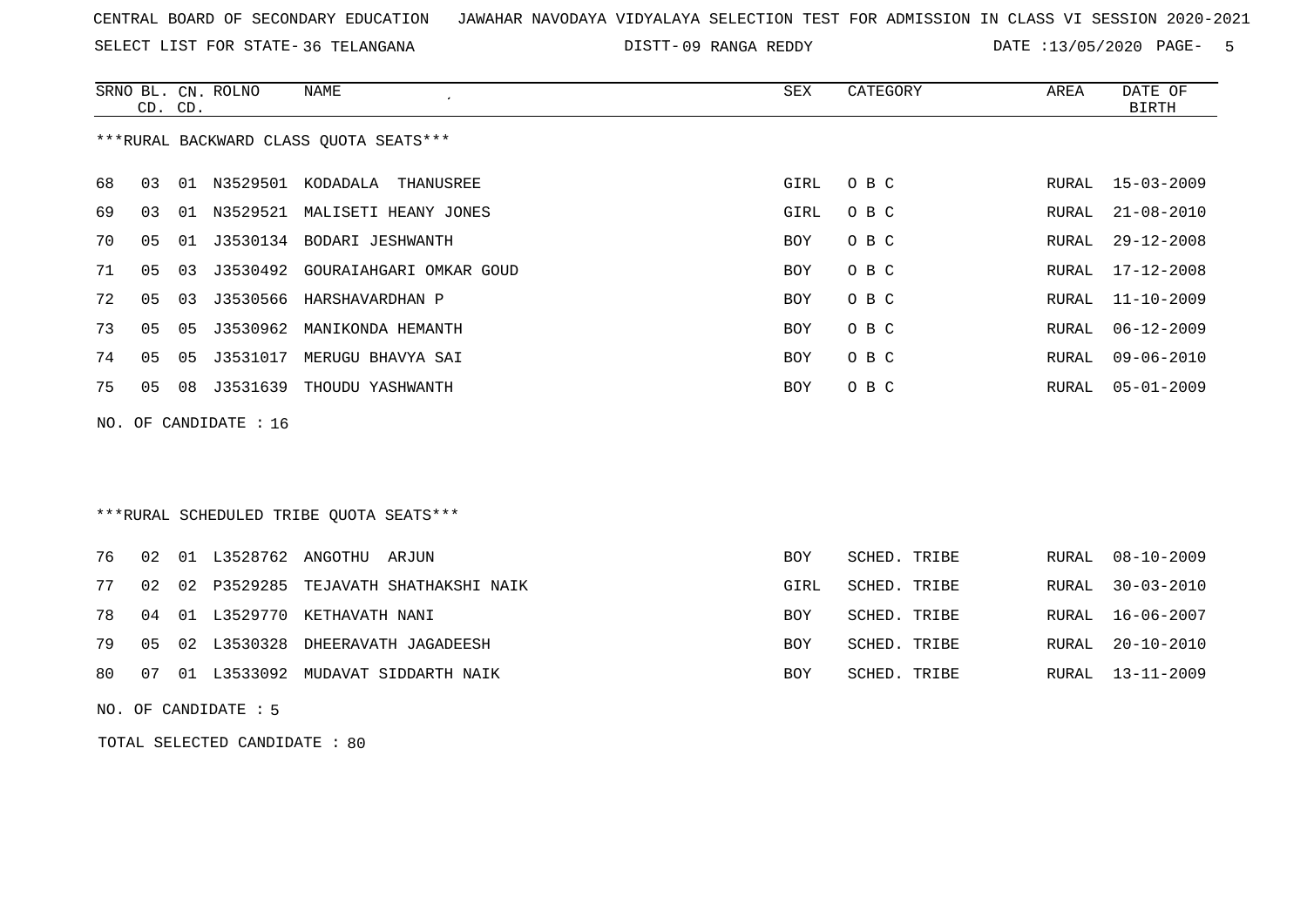SELECT LIST FOR STATE- DISTT- 36 TELANGANA

09 RANGA REDDY DATE :13/05/2020 PAGE- 5

SCHED. TRIBE RURAL 20-10-2010

SCHED. TRIBE RURAL 13-11-2009

|     | CD. CD.        |    | SRNO BL. CN. ROLNO | NAME                                    | SEX        | CATEGORY     | AREA  | DATE OF<br><b>BIRTH</b> |
|-----|----------------|----|--------------------|-----------------------------------------|------------|--------------|-------|-------------------------|
|     |                |    |                    | *** RURAL BACKWARD CLASS QUOTA SEATS*** |            |              |       |                         |
| 68  | 03             | 01 | N3529501           | KODADALA<br>THANUSREE                   | GIRL       | O B C        | RURAL | $15 - 03 - 2009$        |
| 69  | 03             | 01 | N3529521           | MALISETI HEANY JONES                    | GIRL       | O B C        | RURAL | $21 - 08 - 2010$        |
| 70  | 05             | 01 |                    | J3530134 BODARI JESHWANTH               | <b>BOY</b> | O B C        | RURAL | $29 - 12 - 2008$        |
| 71  | 05             | 03 |                    | J3530492 GOURAIAHGARI OMKAR GOUD        | <b>BOY</b> | O B C        | RURAL | $17 - 12 - 2008$        |
| 72  | 0 <sub>5</sub> | 03 |                    | J3530566 HARSHAVARDHAN P                | <b>BOY</b> | O B C        | RURAL | $11 - 10 - 2009$        |
| 73  | 05             | 05 | J3530962           | MANIKONDA HEMANTH                       | <b>BOY</b> | O B C        | RURAL | $06 - 12 - 2009$        |
| 74  | 0 <sub>5</sub> | 05 | J3531017           | MERUGU BHAVYA SAI                       | <b>BOY</b> | O B C        | RURAL | $09 - 06 - 2010$        |
| 75  | 05             | 08 | J3531639           | THOUDU YASHWANTH                        | <b>BOY</b> | O B C        | RURAL | $05 - 01 - 2009$        |
| NO. |                |    | OF CANDIDATE : 16  |                                         |            |              |       |                         |
|     |                |    |                    | ***RURAL SCHEDULED TRIBE OUOTA SEATS*** |            |              |       |                         |
| 76  | 02             | 01 | L3528762 ANGOTHU   | ARJUN                                   | <b>BOY</b> | SCHED. TRIBE | RURAL | $08 - 10 - 2009$        |
| 77  | 02             |    | 02 P3529285        | TEJAVATH SHATHAKSHI NAIK                | GIRL       | SCHED. TRIBE | RURAL | $30 - 03 - 2010$        |

78 04 01 L3529770 KETHAVATH NANI BOY SCHED. TRIBE RURAL 16-06-2007

79 05 02 L3530328 DHEERAVATH JAGADEESH BOY SCHED. TRIBE ROY

- 80 07 01 L3533092 MUDAVAT SIDDARTH NAIK SCHED. TRIBE ROY
- NO. OF CANDIDATE : 5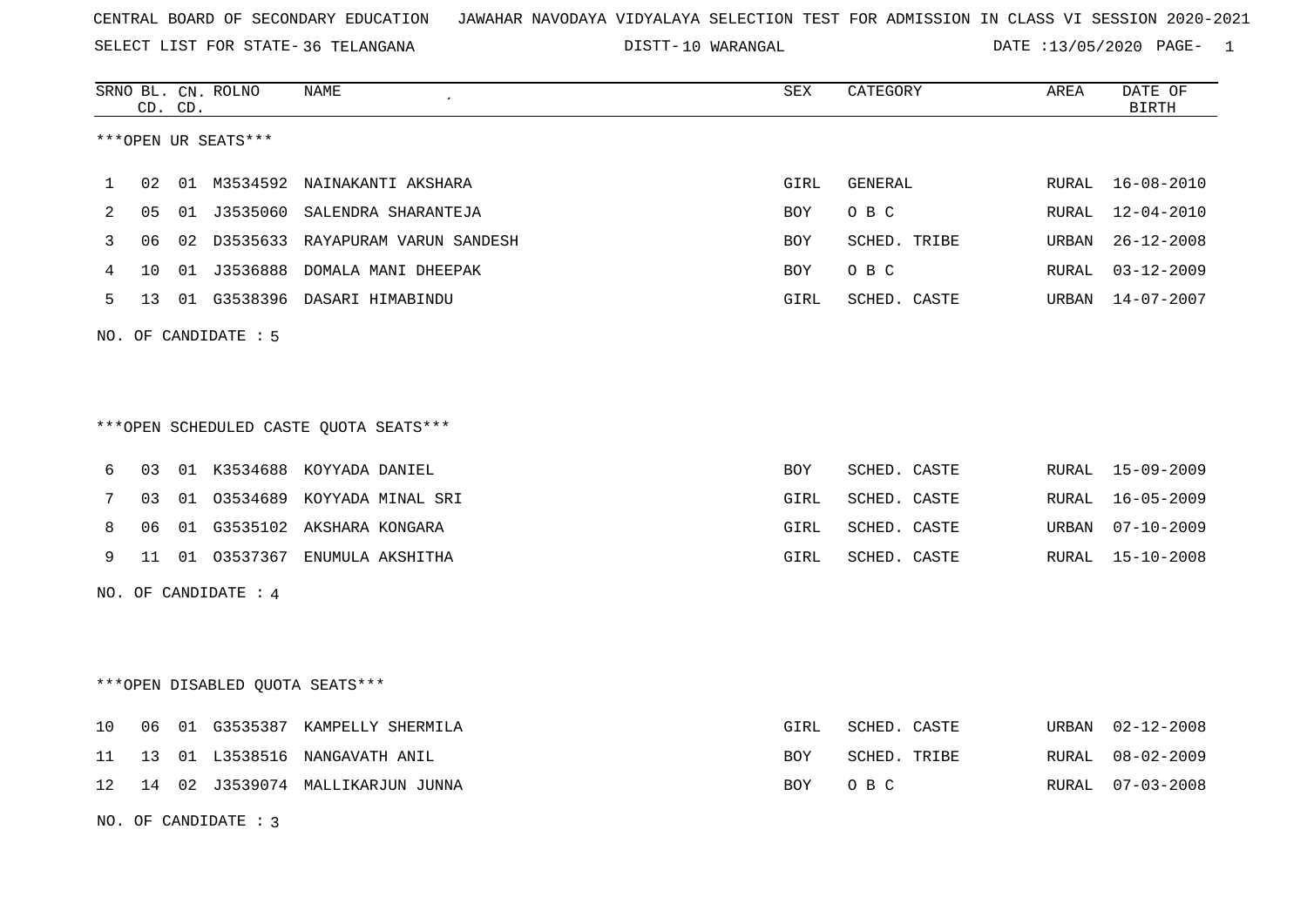SELECT LIST FOR STATE- DISTT- 36 TELANGANA

10 WARANGAL DATE :13/05/2020 PAGE- 1

|    |    | CD. CD. | SRNO BL. CN. ROLNO   | NAME                                   | SEX        | CATEGORY     | AREA  | DATE OF<br><b>BIRTH</b> |
|----|----|---------|----------------------|----------------------------------------|------------|--------------|-------|-------------------------|
|    |    |         | ***OPEN UR SEATS***  |                                        |            |              |       |                         |
| 1  | 02 |         | 01 M3534592          | NAINAKANTI AKSHARA                     | GIRL       | GENERAL      | RURAL | $16 - 08 - 2010$        |
| 2  | 05 | 01      | J3535060             | SALENDRA SHARANTEJA                    | BOY        | O B C        | RURAL | $12 - 04 - 2010$        |
| 3  | 06 |         |                      | 02 D3535633 RAYAPURAM VARUN SANDESH    | BOY        | SCHED. TRIBE | URBAN | $26 - 12 - 2008$        |
| 4  | 10 |         |                      | 01 J3536888 DOMALA MANI DHEEPAK        | BOY        | O B C        | RURAL | $03 - 12 - 2009$        |
| 5  | 13 |         |                      | 01 G3538396 DASARI HIMABINDU           | GIRL       | SCHED. CASTE | URBAN | 14-07-2007              |
|    |    |         | NO. OF CANDIDATE : 5 |                                        |            |              |       |                         |
|    |    |         |                      |                                        |            |              |       |                         |
|    |    |         |                      | ***OPEN SCHEDULED CASTE QUOTA SEATS*** |            |              |       |                         |
| 6  | 03 |         |                      | 01 K3534688 KOYYADA DANIEL             | <b>BOY</b> | SCHED. CASTE | RURAL | 15-09-2009              |
| 7  | 03 | 01      | 03534689             | KOYYADA MINAL SRI                      | GIRL       | SCHED. CASTE | RURAL | $16 - 05 - 2009$        |
| 8  | 06 |         |                      | 01 G3535102 AKSHARA KONGARA            | GIRL       | SCHED. CASTE | URBAN | $07 - 10 - 2009$        |
| 9  | 11 |         |                      | 01 03537367 ENUMULA AKSHITHA           | GIRL       | SCHED. CASTE | RURAL | 15-10-2008              |
|    |    |         | NO. OF CANDIDATE : 4 |                                        |            |              |       |                         |
|    |    |         |                      |                                        |            |              |       |                         |
|    |    |         |                      | ***OPEN DISABLED QUOTA SEATS***        |            |              |       |                         |
| 10 | 06 |         |                      | 01 G3535387 KAMPELLY SHERMILA          | GIRL       | SCHED. CASTE | URBAN | $02 - 12 - 2008$        |
| 11 | 13 |         | 01 L3538516          | NANGAVATH ANIL                         | <b>BOY</b> | SCHED. TRIBE | RURAL | $08 - 02 - 2009$        |
| 12 | 14 |         |                      | 02 J3539074 MALLIKARJUN JUNNA          | <b>BOY</b> | O B C        | RURAL | $07 - 03 - 2008$        |
|    |    |         | NO. OF CANDIDATE: 3  |                                        |            |              |       |                         |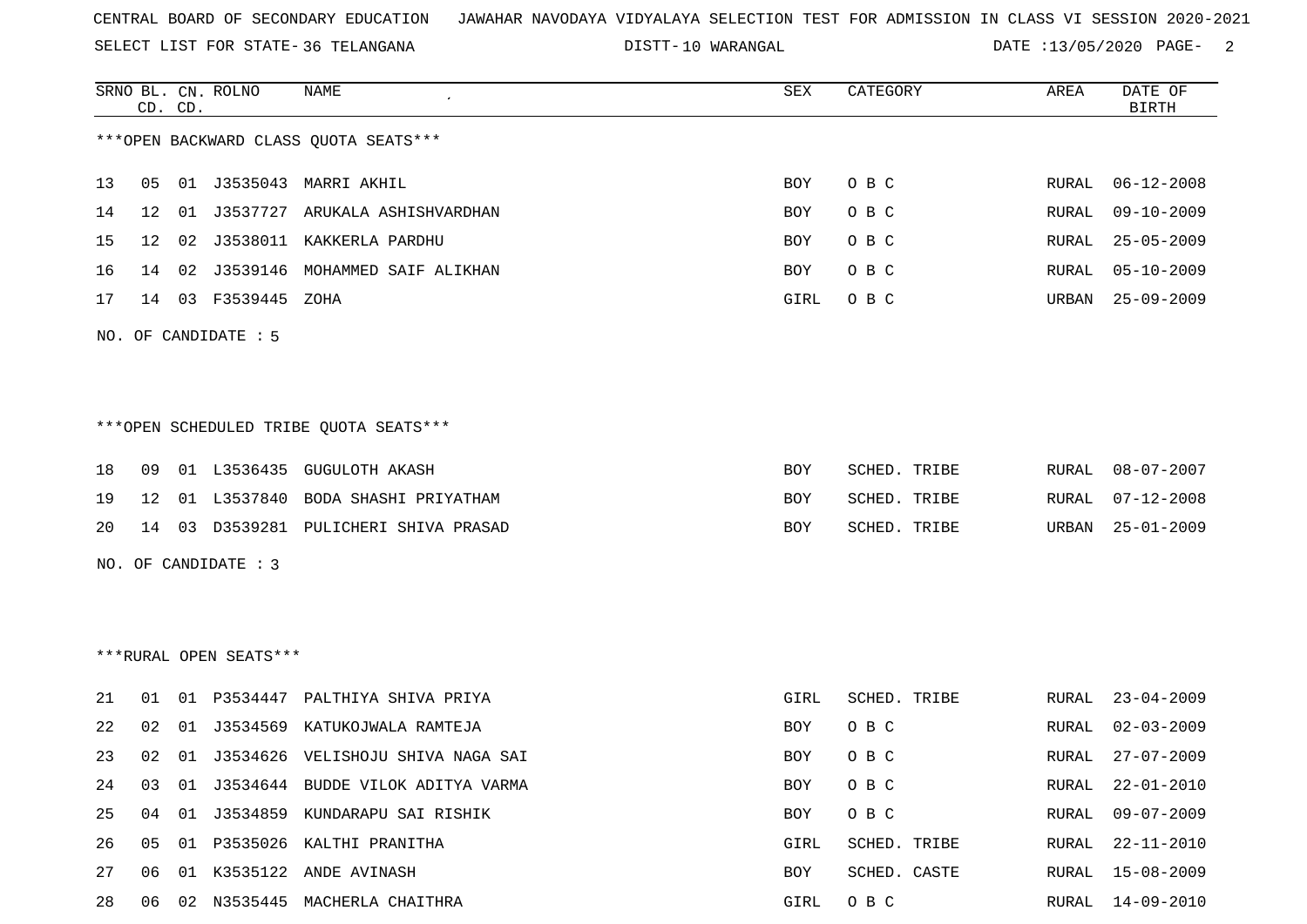SELECT LIST FOR STATE- DISTT- 36 TELANGANA

DISTT-10 WARANGAL 10 WARANGAL DATE :13/05/2020 PAGE- 2

|     |                      | CD. CD. | SRNO BL. CN. ROLNO     | NAME                                    | SEX  | CATEGORY     | AREA  | DATE OF<br><b>BIRTH</b> |
|-----|----------------------|---------|------------------------|-----------------------------------------|------|--------------|-------|-------------------------|
|     |                      |         |                        | *** OPEN BACKWARD CLASS QUOTA SEATS***  |      |              |       |                         |
| 13  | 05                   |         |                        | 01 J3535043 MARRI AKHIL                 | BOY  | O B C        | RURAL | $06 - 12 - 2008$        |
| 14  | 12                   | 01      |                        | J3537727 ARUKALA ASHISHVARDHAN          | BOY  | O B C        | RURAL | $09 - 10 - 2009$        |
| 15  | 12                   | 02      |                        | J3538011 KAKKERLA PARDHU                | BOY  | O B C        | RURAL | $25 - 05 - 2009$        |
| 16  | 14                   |         |                        | 02 J3539146 MOHAMMED SAIF ALIKHAN       | BOY  | O B C        | RURAL | $05 - 10 - 2009$        |
| 17  | 14                   |         | 03 F3539445            | ZOHA                                    | GIRL | O B C        | URBAN | $25 - 09 - 2009$        |
|     | NO. OF CANDIDATE : 5 |         |                        |                                         |      |              |       |                         |
|     |                      |         |                        |                                         |      |              |       |                         |
|     |                      |         |                        | *** OPEN SCHEDULED TRIBE QUOTA SEATS*** |      |              |       |                         |
| 18  | 09                   |         | 01 L3536435            | GUGULOTH AKASH                          | BOY  | SCHED. TRIBE | RURAL | $08 - 07 - 2007$        |
| 19  | 12                   |         |                        | 01 L3537840 BODA SHASHI PRIYATHAM       | BOY  | SCHED. TRIBE | RURAL | $07 - 12 - 2008$        |
| 20  | 14                   |         |                        | 03 D3539281 PULICHERI SHIVA PRASAD      | BOY  | SCHED. TRIBE | URBAN | $25 - 01 - 2009$        |
| NO. |                      |         | OF CANDIDATE : 3       |                                         |      |              |       |                         |
|     |                      |         |                        |                                         |      |              |       |                         |
|     |                      |         |                        |                                         |      |              |       |                         |
|     |                      |         | ***RURAL OPEN SEATS*** |                                         |      |              |       |                         |
| 21  | 01                   |         | 01 P3534447            | PALTHIYA SHIVA PRIYA                    | GIRL | SCHED. TRIBE | RURAL | $23 - 04 - 2009$        |
| 22  | 02                   |         |                        | 01 J3534569 KATUKOJWALA RAMTEJA         | BOY  | O B C        | RURAL | $02 - 03 - 2009$        |
| 23  | 02                   |         |                        | 01 J3534626 VELISHOJU SHIVA NAGA SAI    | BOY  | O B C        | RURAL | $27 - 07 - 2009$        |
| 24  | 03                   |         |                        | 01 J3534644 BUDDE VILOK ADITYA VARMA    | BOY  | O B C        | RURAL | $22 - 01 - 2010$        |
| 25  | 04                   |         |                        | 01 J3534859 KUNDARAPU SAI RISHIK        | BOY  | $O$ B $C$    | RURAL | $09 - 07 - 2009$        |
| 26  | 05                   |         |                        | 01 P3535026 KALTHI PRANITHA             | GIRL | SCHED. TRIBE | RURAL | $22 - 11 - 2010$        |
| 27  | 06                   |         |                        | 01 K3535122 ANDE AVINASH                | BOY  | SCHED. CASTE | RURAL | $15 - 08 - 2009$        |
| 28  |                      |         |                        | 06 02 N3535445 MACHERLA CHAITHRA        | GIRL | O B C        | RURAL | 14-09-2010              |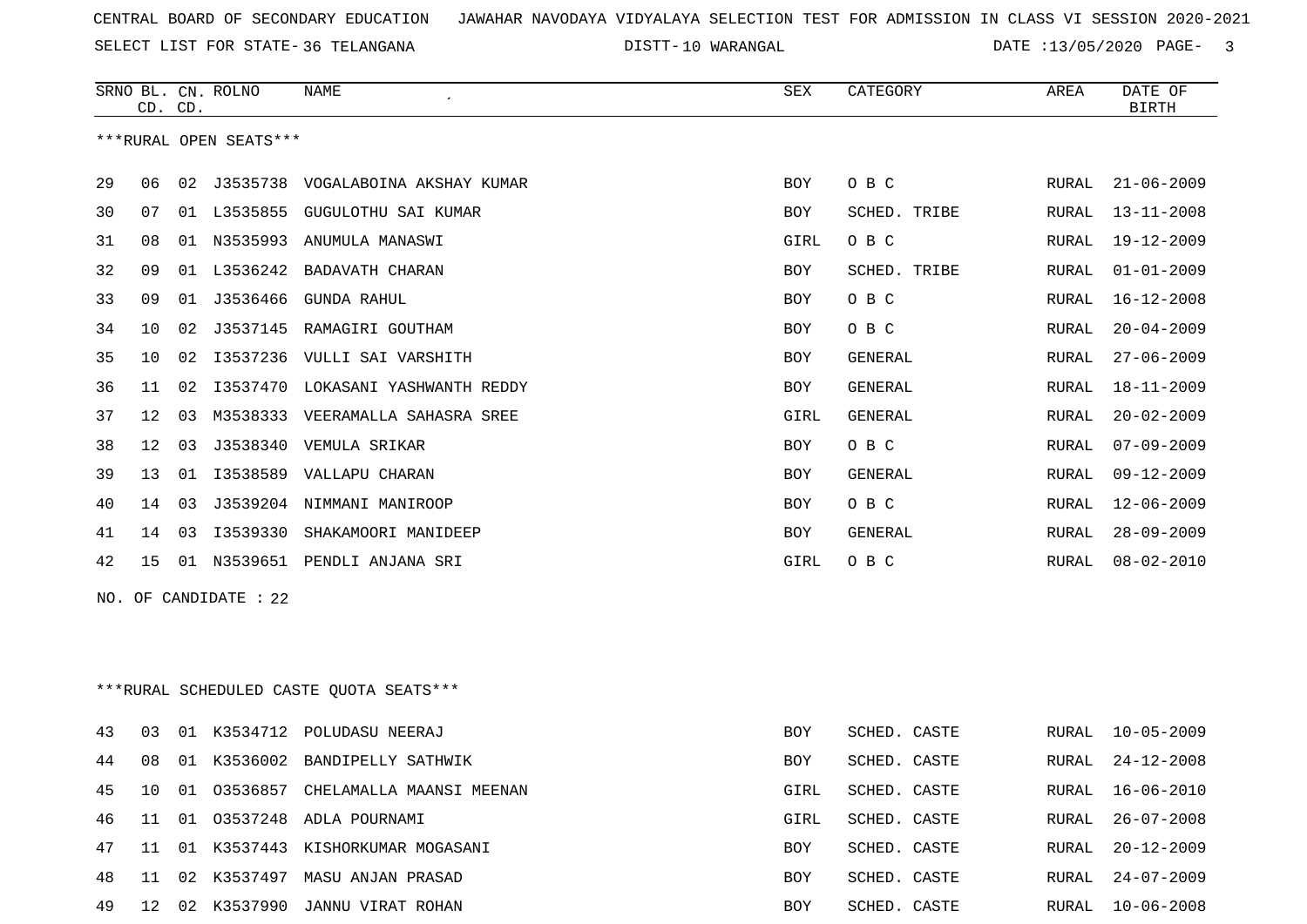SELECT LIST FOR STATE- DISTT- 36 TELANGANA

DISTT-10 WARANGAL 2008 2010 10 DATE :13/05/2020 PAGE- 3

|    | CD. CD.         |    | SRNO BL. CN. ROLNO     | NAME                                    | <b>SEX</b> | CATEGORY     | AREA  | DATE OF<br><b>BIRTH</b> |
|----|-----------------|----|------------------------|-----------------------------------------|------------|--------------|-------|-------------------------|
|    |                 |    | ***RURAL OPEN SEATS*** |                                         |            |              |       |                         |
| 29 | 06              |    |                        | 02 J3535738 VOGALABOINA AKSHAY KUMAR    | <b>BOY</b> | O B C        | RURAL | $21 - 06 - 2009$        |
| 30 | 07              |    |                        | 01 L3535855 GUGULOTHU SAI KUMAR         | <b>BOY</b> | SCHED. TRIBE | RURAL | $13 - 11 - 2008$        |
| 31 | 08              |    |                        | 01 N3535993 ANUMULA MANASWI             | GIRL       | O B C        | RURAL | 19-12-2009              |
| 32 | 09              |    |                        | 01 L3536242 BADAVATH CHARAN             | BOY        | SCHED. TRIBE | RURAL | $01 - 01 - 2009$        |
| 33 | 09              |    |                        | 01 J3536466 GUNDA RAHUL                 | <b>BOY</b> | O B C        | RURAL | $16 - 12 - 2008$        |
| 34 | 10              |    |                        | 02 J3537145 RAMAGIRI GOUTHAM            | BOY        | O B C        | RURAL | $20 - 04 - 2009$        |
| 35 | 10              |    |                        | 02 13537236 VULLI SAI VARSHITH          | <b>BOY</b> | GENERAL      | RURAL | $27 - 06 - 2009$        |
| 36 | 11              | 02 |                        | I3537470 LOKASANI YASHWANTH REDDY       | <b>BOY</b> | GENERAL      | RURAL | $18 - 11 - 2009$        |
| 37 | 12 <sup>°</sup> | 03 |                        | M3538333 VEERAMALLA SAHASRA SREE        | GIRL       | GENERAL      | RURAL | $20 - 02 - 2009$        |
| 38 | 12              | 03 |                        | J3538340 VEMULA SRIKAR                  | <b>BOY</b> | O B C        | RURAL | $07 - 09 - 2009$        |
| 39 | 13              |    |                        | 01 I3538589 VALLAPU CHARAN              | BOY        | GENERAL      | RURAL | $09 - 12 - 2009$        |
| 40 | 14              |    |                        | 03 J3539204 NIMMANI MANIROOP            | <b>BOY</b> | O B C        | RURAL | $12 - 06 - 2009$        |
| 41 | 14              | 03 | I3539330               | SHAKAMOORI MANIDEEP                     | BOY        | GENERAL      | RURAL | $28 - 09 - 2009$        |
| 42 |                 |    |                        | 15 01 N3539651 PENDLI ANJANA SRI        | GIRL       | O B C        | RURAL | $08 - 02 - 2010$        |
|    |                 |    | NO. OF CANDIDATE : 22  |                                         |            |              |       |                         |
|    |                 |    |                        | ***RURAL SCHEDULED CASTE OUOTA SEATS*** |            |              |       |                         |
| 43 | 03              |    |                        | 01 K3534712 POLUDASU NEERAJ             | BOY        | SCHED. CASTE | RURAL | $10 - 05 - 2009$        |
| 44 | 08              |    |                        | 01 K3536002 BANDIPELLY SATHWIK          | BOY        | SCHED. CASTE | RURAL | $24 - 12 - 2008$        |
| 45 | 10              |    |                        | 01 03536857 CHELAMALLA MAANSI MEENAN    | GIRL       | SCHED. CASTE | RURAL | $16 - 06 - 2010$        |
| 46 | 11              |    |                        | 01 03537248 ADLA POURNAMI               | GIRL       | SCHED. CASTE | RURAL | $26 - 07 - 2008$        |
| 47 |                 |    |                        | 11 01 K3537443 KISHORKUMAR MOGASANI     | <b>BOY</b> | SCHED. CASTE |       | RURAL 20-12-2009        |

 11 02 K3537497 MASU ANJAN PRASAD BOY SCHED. CASTE RURAL 24-07-2009 12 02 K3537990 JANNU VIRAT ROHAN BOY SCHED. CASTE RURAL 10-06-2008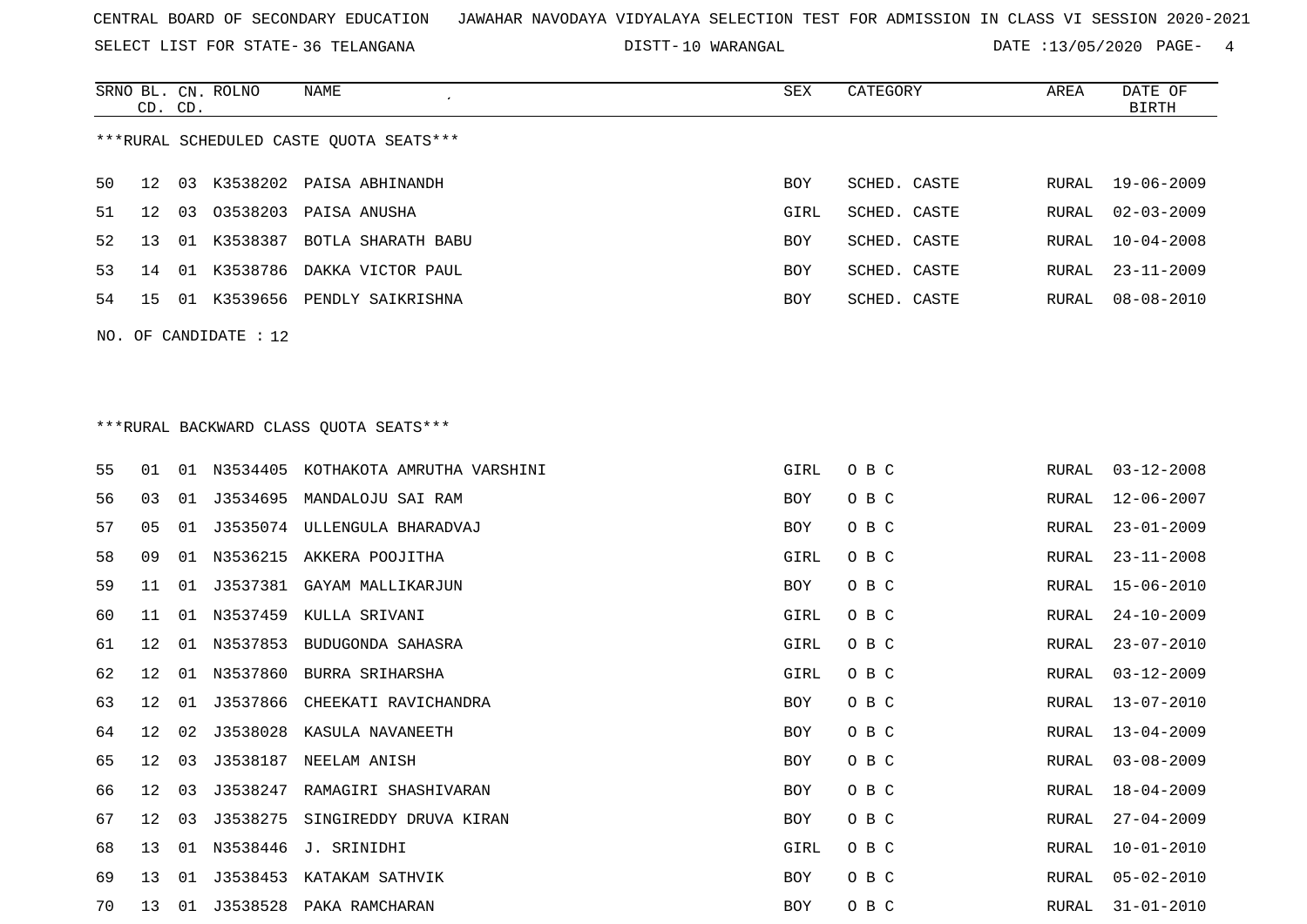SELECT LIST FOR STATE- DISTT- 36 TELANGANA

SRNO BL. CN.

ROLNO NAME SEX CATEGORY AREA DATE OF

DISTT-10 WARANGAL **DATE** :13/05/2020 PAGE- 4

|                                         | CD. CD. |    |                       |                                         |            |              |  |               | <b>BIRTH</b>     |
|-----------------------------------------|---------|----|-----------------------|-----------------------------------------|------------|--------------|--|---------------|------------------|
| ***RURAL SCHEDULED CASTE QUOTA SEATS*** |         |    |                       |                                         |            |              |  |               |                  |
| 50                                      | 12      | 03 | K3538202              | PAISA ABHINANDH                         | BOY        | SCHED. CASTE |  | RURAL         | $19 - 06 - 2009$ |
| 51                                      | 12      | 03 | 03538203              | PAISA ANUSHA                            | GIRL       | SCHED. CASTE |  | RURAL         | $02 - 03 - 2009$ |
| 52                                      | 13      | 01 | K3538387              | BOTLA SHARATH BABU                      | BOY        | SCHED. CASTE |  | RURAL         | $10 - 04 - 2008$ |
| 53                                      | 14      | 01 | K3538786              | DAKKA VICTOR PAUL                       | BOY        | SCHED. CASTE |  | RURAL         | $23 - 11 - 2009$ |
| 54                                      | 15      |    |                       | 01 K3539656 PENDLY SAIKRISHNA           | BOY        | SCHED. CASTE |  | RURAL         | $08 - 08 - 2010$ |
|                                         |         |    | NO. OF CANDIDATE : 12 |                                         |            |              |  |               |                  |
|                                         |         |    |                       |                                         |            |              |  |               |                  |
|                                         |         |    |                       |                                         |            |              |  |               |                  |
|                                         |         |    |                       | *** RURAL BACKWARD CLASS QUOTA SEATS*** |            |              |  |               |                  |
| 55                                      | 01      |    |                       | 01 N3534405 KOTHAKOTA AMRUTHA VARSHINI  | GIRL       | O B C        |  | RURAL         | $03 - 12 - 2008$ |
| 56                                      | 03      | 01 | J3534695              | MANDALOJU SAI RAM                       | BOY        | O B C        |  | RURAL         | $12 - 06 - 2007$ |
| 57                                      | 05      | 01 |                       | J3535074 ULLENGULA BHARADVAJ            | BOY        | O B C        |  | RURAL         | $23 - 01 - 2009$ |
| 58                                      | 09      | 01 |                       | N3536215 AKKERA POOJITHA                | GIRL       | O B C        |  | RURAL         | $23 - 11 - 2008$ |
| 59                                      | 11      | 01 |                       | J3537381 GAYAM MALLIKARJUN              | BOY        | O B C        |  | RURAL         | $15 - 06 - 2010$ |
| 60                                      | 11      | 01 |                       | N3537459 KULLA SRIVANI                  | GIRL       | O B C        |  | RURAL         | $24 - 10 - 2009$ |
| 61                                      | 12      |    | 01 N3537853           | BUDUGONDA SAHASRA                       | GIRL       | O B C        |  | ${\tt RURAL}$ | $23 - 07 - 2010$ |
| 62                                      | 12      | 01 | N3537860              | BURRA SRIHARSHA                         | GIRL       | O B C        |  | RURAL         | $03 - 12 - 2009$ |
| 63                                      | 12      | 01 | J3537866              | CHEEKATI RAVICHANDRA                    | BOY        | O B C        |  | RURAL         | $13 - 07 - 2010$ |
| 64                                      | 12      | 02 | J3538028              | KASULA NAVANEETH                        | BOY        | O B C        |  | RURAL         | $13 - 04 - 2009$ |
| 65                                      | 12      | 03 | J3538187              | NEELAM ANISH                            | BOY        | O B C        |  | RURAL         | $03 - 08 - 2009$ |
| 66                                      | 12      | 03 |                       | J3538247 RAMAGIRI SHASHIVARAN           | BOY        | O B C        |  | RURAL         | $18 - 04 - 2009$ |
| 67                                      |         |    |                       | 12 03 J3538275 SINGIREDDY DRUVA KIRAN   | BOY        | O B C        |  | RURAL         | $27 - 04 - 2009$ |
| 68                                      | 13      |    |                       | 01 N3538446 J. SRINIDHI                 | GIRL       | O B C        |  | RURAL         | $10 - 01 - 2010$ |
| 69                                      | 13      |    |                       | 01 J3538453 KATAKAM SATHVIK             | <b>BOY</b> | O B C        |  | RURAL         | $05 - 02 - 2010$ |
| 70                                      | 13      |    |                       | 01 J3538528 PAKA RAMCHARAN              | BOY        | O B C        |  | RURAL         | $31 - 01 - 2010$ |
|                                         |         |    |                       |                                         |            |              |  |               |                  |